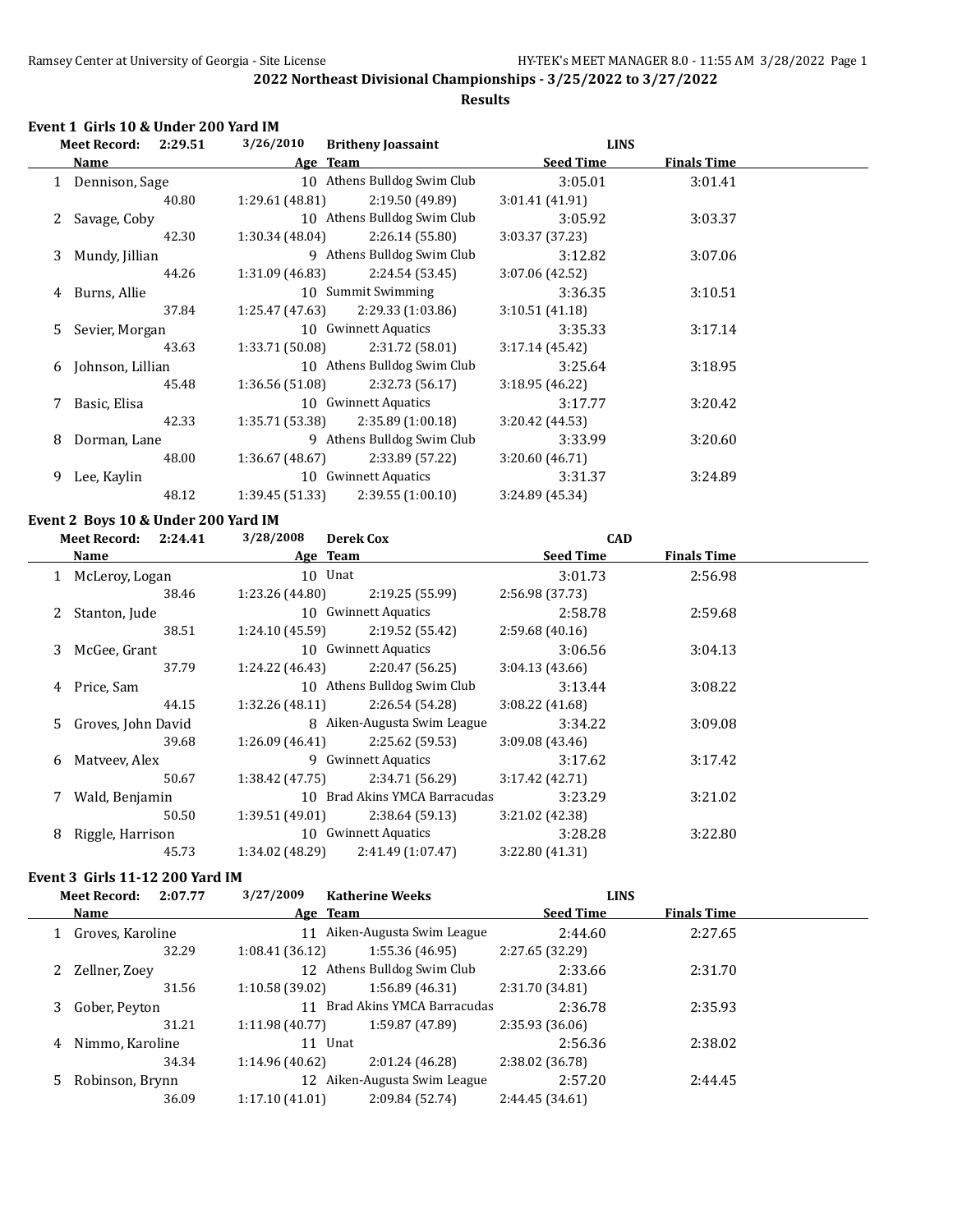## **Results**

#### **Event 1 Girls 10 & Under 200 Yard IM**

|    | 2:29.51<br><b>Meet Record:</b> | 3/26/2010       | <b>Britheny Joassaint</b>   | <b>LINS</b>      |                    |  |
|----|--------------------------------|-----------------|-----------------------------|------------------|--------------------|--|
|    | Name                           | Age Team        |                             | <b>Seed Time</b> | <b>Finals Time</b> |  |
|    | 1 Dennison, Sage               |                 | 10 Athens Bulldog Swim Club | 3:05.01          | 3:01.41            |  |
|    | 40.80                          | 1:29.61 (48.81) | 2:19.50 (49.89)             | 3:01.41(41.91)   |                    |  |
| 2. | Savage, Coby                   |                 | 10 Athens Bulldog Swim Club | 3:05.92          | 3:03.37            |  |
|    | 42.30                          | 1:30.34(48.04)  | 2:26.14(55.80)              | 3:03.37(37.23)   |                    |  |
| 3. | Mundy, Jillian                 |                 | 9 Athens Bulldog Swim Club  | 3:12.82          | 3:07.06            |  |
|    | 44.26                          | 1:31.09 (46.83) | 2:24.54 (53.45)             | 3:07.06(42.52)   |                    |  |
| 4  | Burns, Allie                   |                 | 10 Summit Swimming          | 3:36.35          | 3:10.51            |  |
|    | 37.84                          | 1:25.47 (47.63) | 2:29.33 (1:03.86)           | 3:10.51(41.18)   |                    |  |
| 5. | Sevier, Morgan                 |                 | 10 Gwinnett Aquatics        | 3:35.33          | 3:17.14            |  |
|    | 43.63                          | 1:33.71 (50.08) | 2:31.72 (58.01)             | 3:17.14(45.42)   |                    |  |
| 6  | Johnson, Lillian               |                 | 10 Athens Bulldog Swim Club | 3:25.64          | 3:18.95            |  |
|    | 45.48                          | 1:36.56(51.08)  | 2:32.73(56.17)              | 3:18.95(46.22)   |                    |  |
|    | Basic, Elisa                   |                 | 10 Gwinnett Aquatics        | 3:17.77          | 3:20.42            |  |
|    | 42.33                          | 1:35.71 (53.38) | 2:35.89(1:00.18)            | 3:20.42(44.53)   |                    |  |
| 8  | Dorman, Lane                   |                 | 9 Athens Bulldog Swim Club  | 3:33.99          | 3:20.60            |  |
|    | 48.00                          | 1:36.67(48.67)  | 2:33.89 (57.22)             | 3:20.60(46.71)   |                    |  |
| 9  | Lee, Kaylin                    |                 | 10 Gwinnett Aquatics        | 3:31.37          | 3:24.89            |  |
|    | 48.12                          | 1:39.45 (51.33) | 2:39.55(1:00.10)            | 3:24.89 (45.34)  |                    |  |
|    |                                |                 |                             |                  |                    |  |

#### **Event 2 Boys 10 & Under 200 Yard IM**

|   | <b>Meet Record: 2:24.41</b> | 3/28/2008       | <b>Derek Cox</b>              | <b>CAD</b>       |                    |  |
|---|-----------------------------|-----------------|-------------------------------|------------------|--------------------|--|
|   | <b>Name</b>                 |                 | Age Team                      | <b>Seed Time</b> | <b>Finals Time</b> |  |
|   | 1 McLeroy, Logan            |                 | 10 Unat                       | 3:01.73          | 2:56.98            |  |
|   | 38.46                       | 1:23.26 (44.80) | 2:19.25 (55.99)               | 2:56.98 (37.73)  |                    |  |
|   | 2 Stanton, Jude             |                 | 10 Gwinnett Aquatics          | 2:58.78          | 2:59.68            |  |
|   | 38.51                       | 1:24.10 (45.59) | 2:19.52 (55.42)               | 2:59.68(40.16)   |                    |  |
|   | 3 McGee, Grant              |                 | 10 Gwinnett Aquatics          | 3:06.56          | 3:04.13            |  |
|   | 37.79                       | 1:24.22 (46.43) | 2:20.47 (56.25)               | 3:04.13(43.66)   |                    |  |
|   | 4 Price, Sam                |                 | 10 Athens Bulldog Swim Club   | 3:13.44          | 3:08.22            |  |
|   | 44.15                       | 1:32.26 (48.11) | 2:26.54 (54.28)               | 3:08.22(41.68)   |                    |  |
|   | 5 Groves, John David        |                 | 8 Aiken-Augusta Swim League   | 3:34.22          | 3:09.08            |  |
|   | 39.68                       | 1:26.09 (46.41) | 2:25.62 (59.53)               | 3:09.08(43.46)   |                    |  |
|   | 6 Matyeey, Alex             |                 | 9 Gwinnett Aquatics           | 3:17.62          | 3:17.42            |  |
|   | 50.67                       | 1:38.42 (47.75) | 2:34.71 (56.29)               | 3:17.42 (42.71)  |                    |  |
|   | Wald, Benjamin              |                 | 10 Brad Akins YMCA Barracudas | 3:23.29          | 3:21.02            |  |
|   | 50.50                       | 1:39.51 (49.01) | 2:38.64 (59.13)               | 3:21.02(42.38)   |                    |  |
| 8 | Riggle, Harrison            |                 | 10 Gwinnett Aquatics          | 3:28.28          | 3:22.80            |  |
|   | 45.73                       | 1:34.02 (48.29) | 2:41.49 (1:07.47)             | 3:22.80 (41.31)  |                    |  |

# **Event 3 Girls 11-12 200 Yard IM**<br>Meet Record: 2:07.77 3

|    | <b>Meet Record:</b> | 2:07.77 | 3/27/2009      | <b>Katherine Weeks</b>       | <b>LINS</b>      |                    |  |
|----|---------------------|---------|----------------|------------------------------|------------------|--------------------|--|
|    | Name                |         |                | Age Team                     | <b>Seed Time</b> | <b>Finals Time</b> |  |
|    | Groves, Karoline    |         |                | 11 Aiken-Augusta Swim League | 2:44.60          | 2:27.65            |  |
|    |                     | 32.29   | 1:08.41(36.12) | 1:55.36(46.95)               | 2:27.65 (32.29)  |                    |  |
| 2  | Zellner, Zoev       |         |                | 12 Athens Bulldog Swim Club  | 2:33.66          | 2:31.70            |  |
|    |                     | 31.56   | 1:10.58(39.02) | 1:56.89(46.31)               | 2:31.70 (34.81)  |                    |  |
| 3  | Gober, Peyton       |         |                | Brad Akins YMCA Barracudas   | 2:36.78          | 2:35.93            |  |
|    |                     | 31.21   | 1:11.98(40.77) | 1:59.87 (47.89)              | 2:35.93 (36.06)  |                    |  |
| 4  | Nimmo, Karoline     |         |                | 11 Unat                      | 2:56.36          | 2:38.02            |  |
|    |                     | 34.34   | 1:14.96(40.62) | 2:01.24 (46.28)              | 2:38.02 (36.78)  |                    |  |
| 5. | Robinson, Brynn     |         |                | 12 Aiken-Augusta Swim League | 2:57.20          | 2:44.45            |  |
|    |                     | 36.09   | 1:17.10(41.01) | 2:09.84 (52.74)              | 2:44.45(34.61)   |                    |  |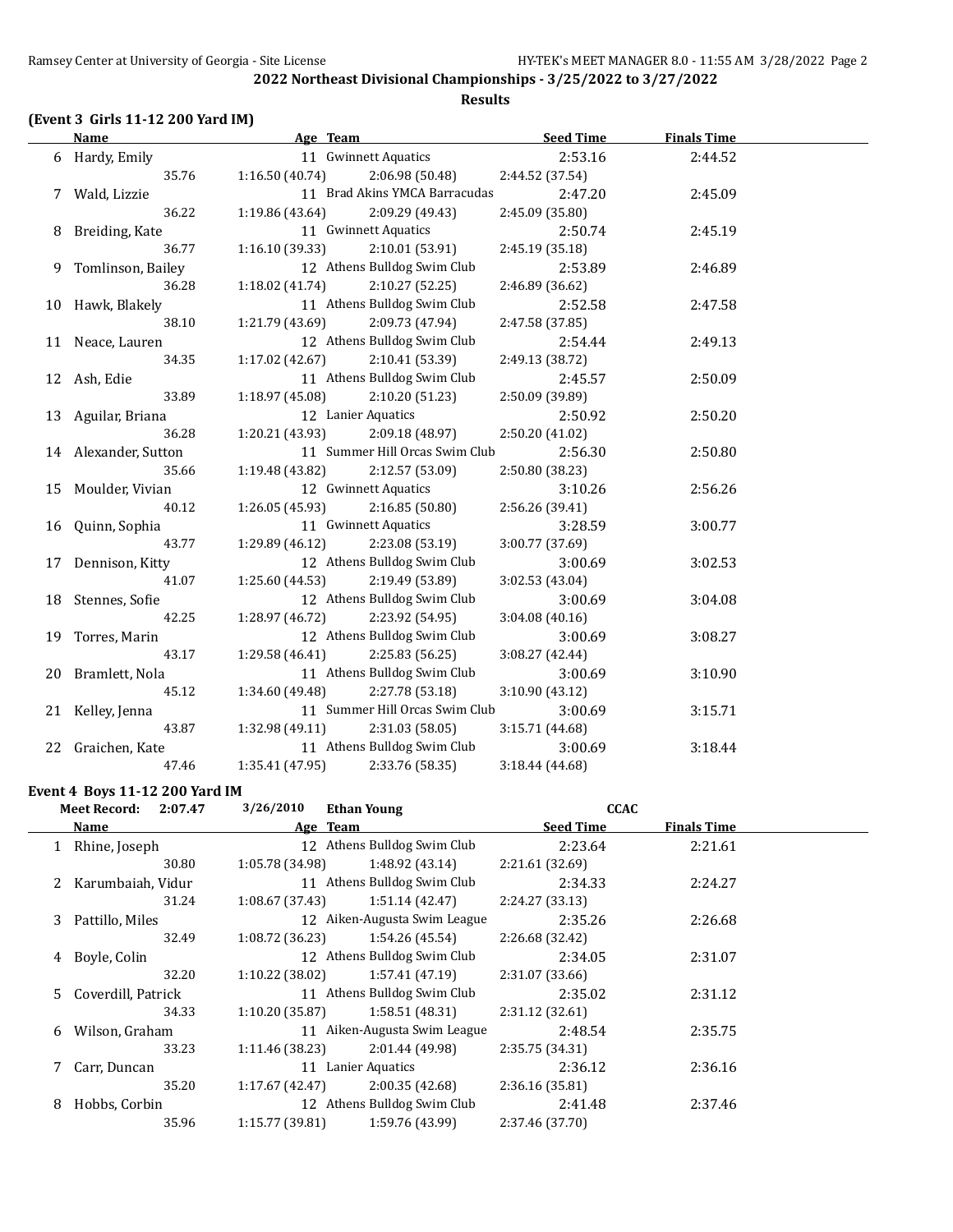#### **(Event 3 Girls 11-12 200 Yard IM)**

**Name Age Team Seed Time Finals Time** 6 Hardy, Emily 11 Gwinnett Aquatics 2:53.16 2:44.52 35.76 1:16.50 (40.74) 2:06.98 (50.48) 2:44.52 (37.54) 7 Wald, Lizzie 11 Brad Akins YMCA Barracudas 2:47.20 2:45.09 36.22 1:19.86 (43.64) 2:09.29 (49.43) 2:45.09 (35.80) 8 Breiding, Kate 11 Gwinnett Aquatics 2:50.74 2:45.19 36.77 1:16.10 (39.33) 2:10.01 (53.91) 2:45.19 (35.18) 9 Tomlinson, Bailey 12 Athens Bulldog Swim Club 2:53.89 2:46.89 36.28 1:18.02 (41.74) 2:10.27 (52.25) 2:46.89 (36.62) 10 Hawk, Blakely 11 Athens Bulldog Swim Club 2:52.58 2:47.58 38.10 1:21.79 (43.69) 2:09.73 (47.94) 2:47.58 (37.85) 11 Neace, Lauren 12 Athens Bulldog Swim Club 2:54.44 2:49.13 34.35 1:17.02 (42.67) 2:10.41 (53.39) 2:49.13 (38.72) 12 Ash, Edie 11 Athens Bulldog Swim Club 2:45.57 2:50.09 33.89 1:18.97 (45.08) 2:10.20 (51.23) 2:50.09 (39.89) 13 Aguilar, Briana 12 Lanier Aquatics 2:50.92 2:50.20 36.28 1:20.21 (43.93) 2:09.18 (48.97) 2:50.20 (41.02) 14 Alexander, Sutton 11 Summer Hill Orcas Swim Club 2:56.30 2:50.80 35.66 1:19.48 (43.82) 2:12.57 (53.09) 2:50.80 (38.23) 15 Moulder, Vivian 12 Gwinnett Aquatics 3:10.26 2:56.26 40.12 1:26.05 (45.93) 2:16.85 (50.80) 2:56.26 (39.41) 16 Quinn, Sophia 11 Gwinnett Aquatics 3:28.59 3:00.77 43.77 1:29.89 (46.12) 2:23.08 (53.19) 3:00.77 (37.69) 17 Dennison, Kitty 12 Athens Bulldog Swim Club 3:00.69 3:02.53 41.07 1:25.60 (44.53) 2:19.49 (53.89) 3:02.53 (43.04) 18 Stennes, Sofie 12 Athens Bulldog Swim Club 3:00.69 3:04.08 42.25 1:28.97 (46.72) 2:23.92 (54.95) 3:04.08 (40.16) 19 Torres, Marin 12 Athens Bulldog Swim Club 3:00.69 3:08.27 43.17 1:29.58 (46.41) 2:25.83 (56.25) 3:08.27 (42.44) 20 Bramlett, Nola 11 Athens Bulldog Swim Club 3:00.69 3:10.90 45.12 1:34.60 (49.48) 2:27.78 (53.18) 3:10.90 (43.12) 21 Kelley, Jenna 11 Summer Hill Orcas Swim Club 3:00.69 3:15.71 43.87 1:32.98 (49.11) 2:31.03 (58.05) 3:15.71 (44.68) 22 Graichen, Kate 11 Athens Bulldog Swim Club 3:00.69 3:18.44 47.46 1:35.41 (47.95) 2:33.76 (58.35) 3:18.44 (44.68)

#### **Event 4 Boys 11-12 200 Yard IM**

|   | <b>Meet Record:</b><br>2:07.47 | 3/26/2010       | <b>Ethan Young</b>           | <b>CCAC</b>      |                    |  |
|---|--------------------------------|-----------------|------------------------------|------------------|--------------------|--|
|   | Name                           | Age Team        |                              | <b>Seed Time</b> | <b>Finals Time</b> |  |
|   | Rhine, Joseph                  |                 | 12 Athens Bulldog Swim Club  | 2:23.64          | 2:21.61            |  |
|   | 30.80                          | 1:05.78 (34.98) | 1:48.92 (43.14)              | 2:21.61 (32.69)  |                    |  |
| 2 | Karumbaiah, Vidur              |                 | 11 Athens Bulldog Swim Club  | 2:34.33          | 2:24.27            |  |
|   | 31.24                          | 1:08.67(37.43)  | 1:51.14(42.47)               | 2:24.27 (33.13)  |                    |  |
| 3 | Pattillo, Miles                |                 | 12 Aiken-Augusta Swim League | 2:35.26          | 2:26.68            |  |
|   | 32.49                          | 1:08.72 (36.23) | 1:54.26 (45.54)              | 2:26.68 (32.42)  |                    |  |
| 4 | Boyle, Colin                   |                 | 12 Athens Bulldog Swim Club  | 2:34.05          | 2:31.07            |  |
|   | 32.20                          | 1:10.22(38.02)  | 1:57.41 (47.19)              | 2:31.07 (33.66)  |                    |  |
|   | 5 Coverdill, Patrick           |                 | 11 Athens Bulldog Swim Club  | 2:35.02          | 2:31.12            |  |
|   | 34.33                          | 1:10.20(35.87)  | 1:58.51(48.31)               | 2:31.12 (32.61)  |                    |  |
| 6 | Wilson, Graham                 |                 | 11 Aiken-Augusta Swim League | 2:48.54          | 2:35.75            |  |
|   | 33.23                          | 1:11.46 (38.23) | 2:01.44 (49.98)              | 2:35.75 (34.31)  |                    |  |
|   | 7 Carr, Duncan                 |                 | 11 Lanier Aquatics           | 2:36.12          | 2:36.16            |  |
|   | 35.20                          | 1:17.67 (42.47) | 2:00.35(42.68)               | 2:36.16(35.81)   |                    |  |
| 8 | Hobbs, Corbin                  |                 | 12 Athens Bulldog Swim Club  | 2:41.48          | 2:37.46            |  |
|   | 35.96                          | 1:15.77(39.81)  | 1:59.76 (43.99)              | 2:37.46 (37.70)  |                    |  |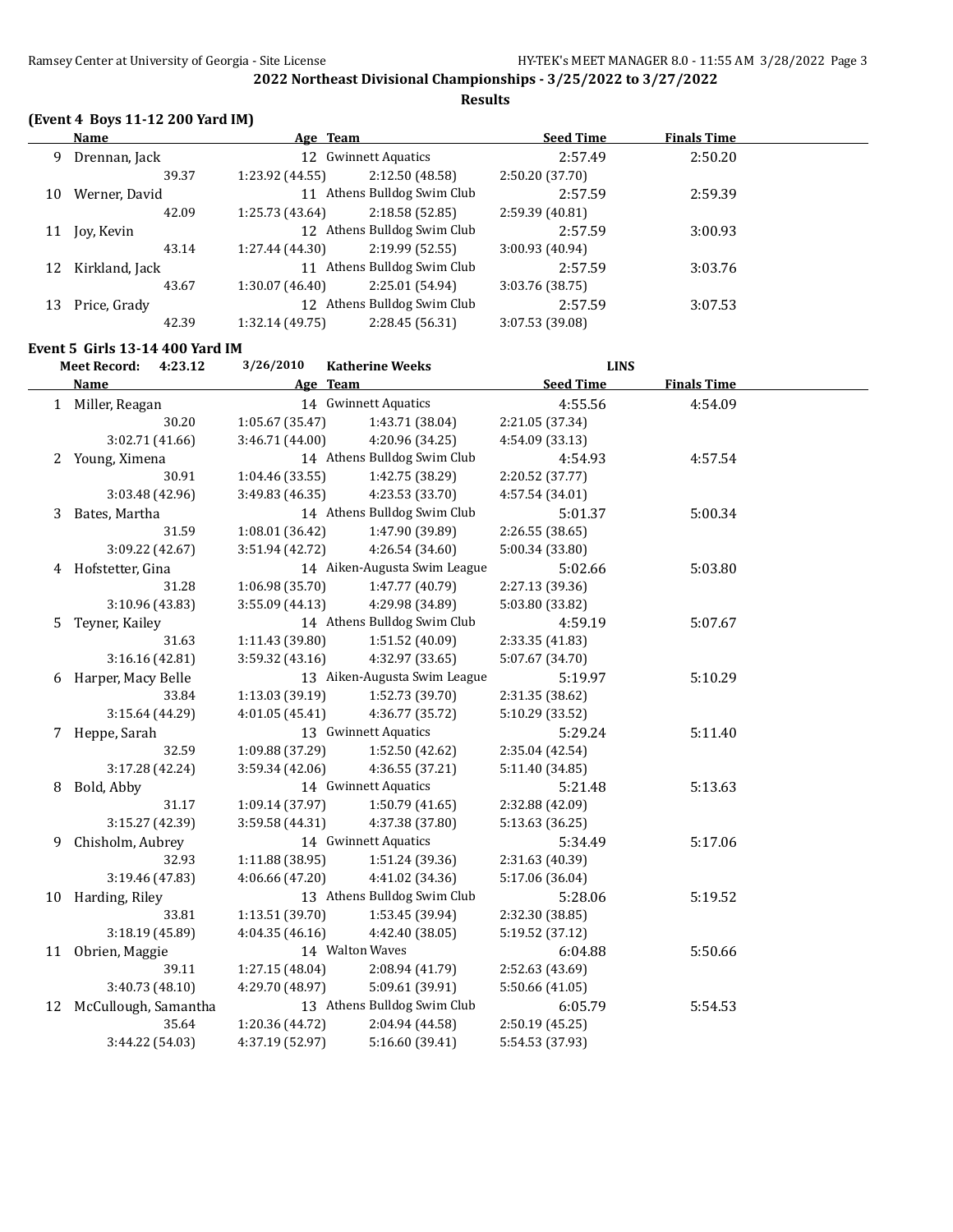**Results**

## **(Event 4 Boys 11-12 200 Yard IM)**

|    | Name           | Age Team        |                             | <b>Seed Time</b> | <b>Finals Time</b> |  |
|----|----------------|-----------------|-----------------------------|------------------|--------------------|--|
| 9  | Drennan, Jack  |                 | 12 Gwinnett Aquatics        | 2:57.49          | 2:50.20            |  |
|    | 39.37          | 1:23.92(44.55)  | 2:12.50 (48.58)             | 2:50.20(37.70)   |                    |  |
| 10 | Werner, David  | 11              | Athens Bulldog Swim Club    | 2:57.59          | 2:59.39            |  |
|    | 42.09          | 1:25.73 (43.64) | 2:18.58(52.85)              | 2:59.39(40.81)   |                    |  |
| 11 | Joy, Kevin     |                 | 12 Athens Bulldog Swim Club | 2:57.59          | 3:00.93            |  |
|    | 43.14          | 1:27.44 (44.30) | 2:19.99(52.55)              | 3:00.93 (40.94)  |                    |  |
| 12 | Kirkland, Jack | 11              | Athens Bulldog Swim Club    | 2:57.59          | 3:03.76            |  |
|    | 43.67          | 1:30.07 (46.40) | 2:25.01 (54.94)             | 3:03.76 (38.75)  |                    |  |
| 13 | Price, Grady   | 12              | Athens Bulldog Swim Club    | 2:57.59          | 3:07.53            |  |
|    | 42.39          | 1:32.14(49.75)  | 2:28.45 (56.31)             | 3:07.53 (39.08)  |                    |  |
|    |                |                 |                             |                  |                    |  |

## **Event 5 Girls 13-14 400 Yard IM**

|    | <b>Meet Record:</b><br>4:23.12 | 3/26/2010       | <b>Katherine Weeks</b>       | <b>LINS</b>      |                    |  |
|----|--------------------------------|-----------------|------------------------------|------------------|--------------------|--|
|    | <b>Name</b>                    |                 | Age Team                     | <b>Seed Time</b> | <b>Finals Time</b> |  |
|    | 1 Miller, Reagan               |                 | 14 Gwinnett Aquatics         | 4:55.56          | 4:54.09            |  |
|    | 30.20                          | 1:05.67(35.47)  | 1:43.71 (38.04)              | 2:21.05 (37.34)  |                    |  |
|    | 3:02.71 (41.66)                | 3:46.71 (44.00) | 4:20.96 (34.25)              | 4:54.09 (33.13)  |                    |  |
|    | 2 Young, Ximena                |                 | 14 Athens Bulldog Swim Club  | 4:54.93          | 4:57.54            |  |
|    | 30.91                          | 1:04.46 (33.55) | 1:42.75 (38.29)              | 2:20.52 (37.77)  |                    |  |
|    | 3:03.48 (42.96)                | 3:49.83 (46.35) | 4:23.53 (33.70)              | 4:57.54 (34.01)  |                    |  |
| 3  | Bates, Martha                  |                 | 14 Athens Bulldog Swim Club  | 5:01.37          | 5:00.34            |  |
|    | 31.59                          | 1:08.01 (36.42) | 1:47.90 (39.89)              | 2:26.55(38.65)   |                    |  |
|    | 3:09.22 (42.67)                | 3:51.94 (42.72) | 4:26.54 (34.60)              | 5:00.34 (33.80)  |                    |  |
| 4  | Hofstetter, Gina               |                 | 14 Aiken-Augusta Swim League | 5:02.66          | 5:03.80            |  |
|    | 31.28                          | 1:06.98 (35.70) | 1:47.77 (40.79)              | 2:27.13 (39.36)  |                    |  |
|    | 3:10.96 (43.83)                | 3:55.09 (44.13) | 4:29.98 (34.89)              | 5:03.80 (33.82)  |                    |  |
| 5. | Teyner, Kailey                 |                 | 14 Athens Bulldog Swim Club  | 4:59.19          | 5:07.67            |  |
|    | 31.63                          | 1:11.43 (39.80) | 1:51.52 (40.09)              | 2:33.35 (41.83)  |                    |  |
|    | 3:16.16 (42.81)                | 3:59.32 (43.16) | 4:32.97 (33.65)              | 5:07.67 (34.70)  |                    |  |
| 6  | Harper, Macy Belle             |                 | 13 Aiken-Augusta Swim League | 5:19.97          | 5:10.29            |  |
|    | 33.84                          | 1:13.03 (39.19) | 1:52.73 (39.70)              | 2:31.35 (38.62)  |                    |  |
|    | 3:15.64 (44.29)                | 4:01.05(45.41)  | 4:36.77 (35.72)              | 5:10.29 (33.52)  |                    |  |
| 7  | Heppe, Sarah                   |                 | 13 Gwinnett Aquatics         | 5:29.24          | 5:11.40            |  |
|    | 32.59                          | 1:09.88 (37.29) | 1:52.50 (42.62)              | 2:35.04 (42.54)  |                    |  |
|    | 3:17.28 (42.24)                | 3:59.34 (42.06) | 4:36.55 (37.21)              | 5:11.40 (34.85)  |                    |  |
| 8  | Bold, Abby                     |                 | 14 Gwinnett Aquatics         | 5:21.48          | 5:13.63            |  |
|    | 31.17                          | 1:09.14 (37.97) | 1:50.79(41.65)               | 2:32.88 (42.09)  |                    |  |
|    | 3:15.27 (42.39)                | 3:59.58 (44.31) | 4:37.38 (37.80)              | 5:13.63 (36.25)  |                    |  |
| 9  | Chisholm, Aubrey               |                 | 14 Gwinnett Aquatics         | 5:34.49          | 5:17.06            |  |
|    | 32.93                          | 1:11.88 (38.95) | 1:51.24 (39.36)              | 2:31.63 (40.39)  |                    |  |
|    | 3:19.46 (47.83)                | 4:06.66 (47.20) | 4:41.02 (34.36)              | 5:17.06 (36.04)  |                    |  |
| 10 | Harding, Riley                 |                 | 13 Athens Bulldog Swim Club  | 5:28.06          | 5:19.52            |  |
|    | 33.81                          | 1:13.51 (39.70) | 1:53.45 (39.94)              | 2:32.30 (38.85)  |                    |  |
|    | 3:18.19 (45.89)                | 4:04.35 (46.16) | 4:42.40 (38.05)              | 5:19.52 (37.12)  |                    |  |
| 11 | Obrien, Maggie                 |                 | 14 Walton Waves              | 6:04.88          | 5:50.66            |  |
|    | 39.11                          | 1:27.15 (48.04) | 2:08.94 (41.79)              | 2:52.63 (43.69)  |                    |  |
|    | 3:40.73 (48.10)                | 4:29.70 (48.97) | 5:09.61 (39.91)              | 5:50.66 (41.05)  |                    |  |
| 12 | McCullough, Samantha           |                 | 13 Athens Bulldog Swim Club  | 6:05.79          | 5:54.53            |  |
|    | 35.64                          | 1:20.36 (44.72) | 2:04.94 (44.58)              | 2:50.19 (45.25)  |                    |  |
|    | 3:44.22 (54.03)                | 4:37.19 (52.97) | 5:16.60 (39.41)              | 5:54.53 (37.93)  |                    |  |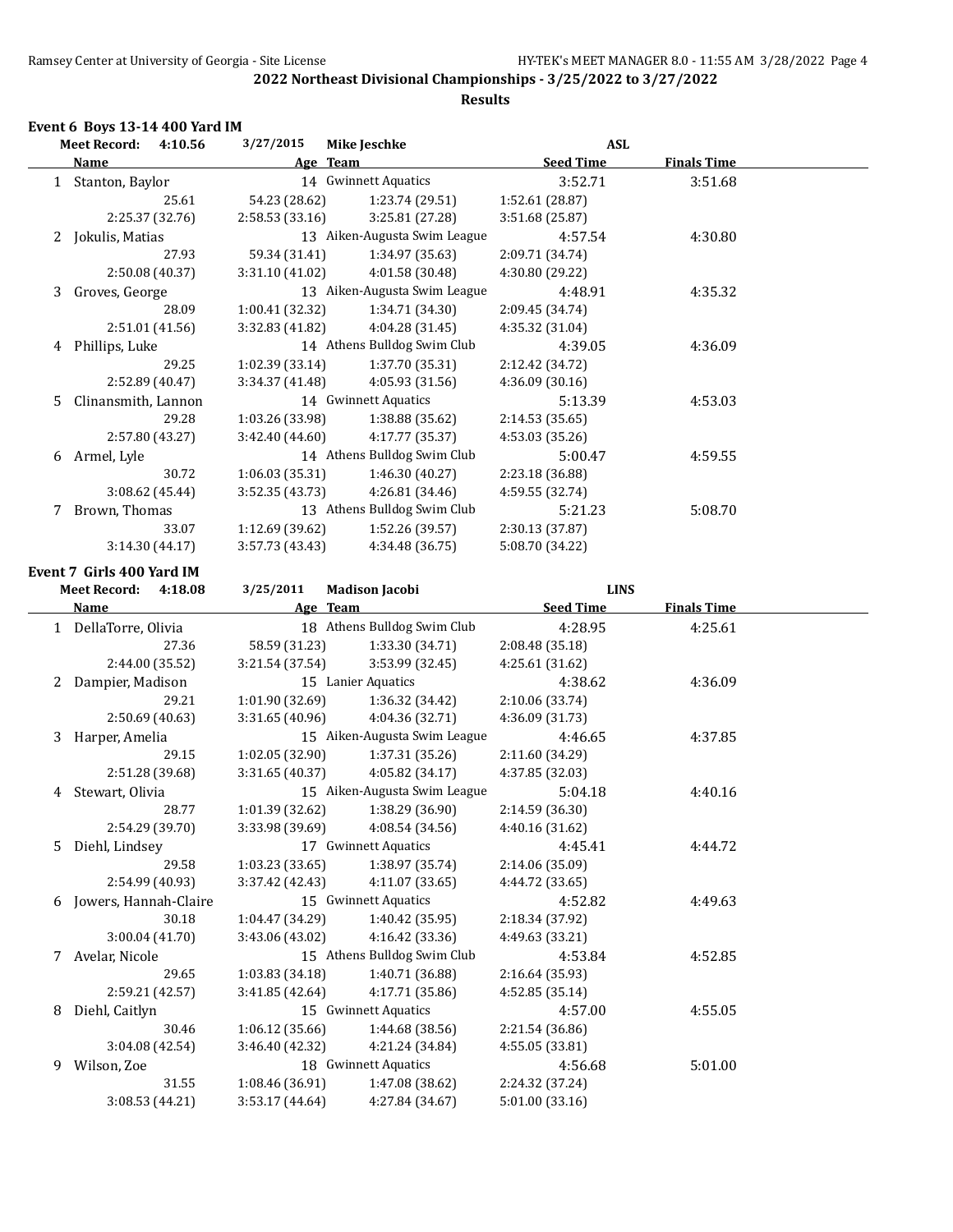## **Results**

## **Event 6 Boys 13-14 400 Yard IM**

|    | <b>Meet Record:</b><br>4:10.56 | 3/27/2015       | <b>Mike Jeschke</b>          | <b>ASL</b>       |                    |  |
|----|--------------------------------|-----------------|------------------------------|------------------|--------------------|--|
|    | Name                           |                 | Age Team                     | <b>Seed Time</b> | <b>Finals Time</b> |  |
|    | 1 Stanton, Baylor              |                 | 14 Gwinnett Aquatics         | 3:52.71          | 3:51.68            |  |
|    | 25.61                          | 54.23 (28.62)   | 1:23.74 (29.51)              | 1:52.61 (28.87)  |                    |  |
|    | 2:25.37 (32.76)                | 2:58.53 (33.16) | 3:25.81 (27.28)              | 3:51.68 (25.87)  |                    |  |
|    | 2 Jokulis, Matias              |                 | 13 Aiken-Augusta Swim League | 4:57.54          | 4:30.80            |  |
|    | 27.93                          | 59.34 (31.41)   | 1:34.97 (35.63)              | 2:09.71 (34.74)  |                    |  |
|    | 2:50.08 (40.37)                | 3:31.10 (41.02) | 4:01.58 (30.48)              | 4:30.80 (29.22)  |                    |  |
| 3  | Groves, George                 |                 | 13 Aiken-Augusta Swim League | 4:48.91          | 4:35.32            |  |
|    | 28.09                          | 1:00.41(32.32)  | 1:34.71 (34.30)              | 2:09.45 (34.74)  |                    |  |
|    | 2:51.01 (41.56)                | 3:32.83 (41.82) | 4:04.28 (31.45)              | 4:35.32 (31.04)  |                    |  |
|    | 4 Phillips, Luke               |                 | 14 Athens Bulldog Swim Club  | 4:39.05          | 4:36.09            |  |
|    | 29.25                          | 1:02.39 (33.14) | 1:37.70 (35.31)              | 2:12.42 (34.72)  |                    |  |
|    | 2:52.89 (40.47)                | 3:34.37 (41.48) | 4:05.93 (31.56)              | 4:36.09 (30.16)  |                    |  |
| 5. | Clinansmith, Lannon            |                 | 14 Gwinnett Aquatics         | 5:13.39          | 4:53.03            |  |
|    | 29.28                          | 1:03.26 (33.98) | 1:38.88 (35.62)              | 2:14.53 (35.65)  |                    |  |
|    | 2:57.80 (43.27)                | 3:42.40 (44.60) | 4:17.77 (35.37)              | 4:53.03 (35.26)  |                    |  |
| 6  | Armel, Lyle                    |                 | 14 Athens Bulldog Swim Club  | 5:00.47          | 4:59.55            |  |
|    | 30.72                          | 1:06.03 (35.31) | 1:46.30 (40.27)              | 2:23.18 (36.88)  |                    |  |
|    | 3:08.62 (45.44)                | 3:52.35 (43.73) | 4:26.81 (34.46)              | 4:59.55 (32.74)  |                    |  |
|    | 7 Brown, Thomas                |                 | 13 Athens Bulldog Swim Club  | 5:21.23          | 5:08.70            |  |
|    | 33.07                          | 1:12.69 (39.62) | 1:52.26 (39.57)              | 2:30.13 (37.87)  |                    |  |
|    | 3:14.30(44.17)                 | 3:57.73 (43.43) | 4:34.48 (36.75)              | 5:08.70 (34.22)  |                    |  |
|    | Event 7 Girls 400 Yard IM      |                 |                              |                  |                    |  |
|    | <b>Meet Record:</b><br>4:18.08 | 3/25/2011       | <b>Madison Jacobi</b>        | <b>LINS</b>      |                    |  |
|    | Name                           |                 | Age Team                     | <b>Seed Time</b> | <b>Finals Time</b> |  |
|    | 1 DellaTorre, Olivia           |                 | 18 Athens Bulldog Swim Club  | 4:28.95          | 4:25.61            |  |
|    | 27.36                          | 58.59 (31.23)   | 1:33.30 (34.71)              | 2:08.48 (35.18)  |                    |  |
|    | 2:44.00 (35.52)                | 3:21.54 (37.54) | 3:53.99 (32.45)              | 4:25.61 (31.62)  |                    |  |
|    | 2 Dampier, Madison             |                 | 15 Lanier Aquatics           | 4:38.62          | 4:36.09            |  |
|    | 29.21                          | 1:01.90 (32.69) | 1:36.32 (34.42)              | 2:10.06 (33.74)  |                    |  |
|    | 2:50.69 (40.63)                | 3:31.65 (40.96) | 4:04.36 (32.71)              | 4:36.09 (31.73)  |                    |  |
| 3  | Harper, Amelia                 |                 | 15 Aiken-Augusta Swim League | 4:46.65          | 4:37.85            |  |
|    | 29.15                          | 1:02.05 (32.90) | 1:37.31 (35.26)              | 2:11.60 (34.29)  |                    |  |
|    | 2:51.28 (39.68)                | 3:31.65 (40.37) | 4:05.82 (34.17)              | 4:37.85 (32.03)  |                    |  |
| 4  | Stewart, Olivia                |                 | 15 Aiken-Augusta Swim League | 5:04.18          | 4:40.16            |  |
|    | 28.77                          | 1:01.39 (32.62) | 1:38.29 (36.90)              | 2:14.59 (36.30)  |                    |  |
|    | 2:54.29 (39.70)                | 3:33.98 (39.69) | 4:08.54 (34.56)              | 4:40.16 (31.62)  |                    |  |
| 5. | Diehl, Lindsey                 |                 | 17 Gwinnett Aquatics         | 4:45.41          | 4:44.72            |  |
|    | 29.58                          | 1:03.23(33.65)  | 1:38.97 (35.74)              | 2:14.06 (35.09)  |                    |  |
|    | 2:54.99 (40.93)                | 3:37.42 (42.43) | 4:11.07 (33.65)              | 4:44.72 (33.65)  |                    |  |
|    | 6 Jowers, Hannah-Claire        |                 | 15 Gwinnett Aquatics         | 4:52.82          | 4:49.63            |  |
|    | 30.18                          | 1:04.47 (34.29) | 1:40.42 (35.95)              | 2:18.34 (37.92)  |                    |  |
|    | 3:00.04 (41.70)                | 3:43.06 (43.02) | 4:16.42 (33.36)              | 4:49.63 (33.21)  |                    |  |
|    | 7 Avelar, Nicole               |                 | 15 Athens Bulldog Swim Club  | 4:53.84          | 4:52.85            |  |
|    | 29.65                          | 1:03.83(34.18)  | 1:40.71 (36.88)              | 2:16.64 (35.93)  |                    |  |
|    | 2:59.21 (42.57)                | 3:41.85 (42.64) | 4:17.71 (35.86)              | 4:52.85 (35.14)  |                    |  |
| 8  | Diehl, Caitlyn                 |                 | 15 Gwinnett Aquatics         | 4:57.00          | 4:55.05            |  |
|    | 30.46                          | 1:06.12 (35.66) | 1:44.68 (38.56)              | 2:21.54 (36.86)  |                    |  |
|    | 3:04.08 (42.54)                | 3:46.40 (42.32) | 4:21.24 (34.84)              | 4:55.05 (33.81)  |                    |  |
| 9  | Wilson, Zoe                    |                 | 18 Gwinnett Aquatics         | 4:56.68          | 5:01.00            |  |
|    | 31.55                          | 1:08.46 (36.91) | 1:47.08 (38.62)              | 2:24.32 (37.24)  |                    |  |
|    | 3:08.53 (44.21)                | 3:53.17 (44.64) | 4:27.84 (34.67)              | 5:01.00 (33.16)  |                    |  |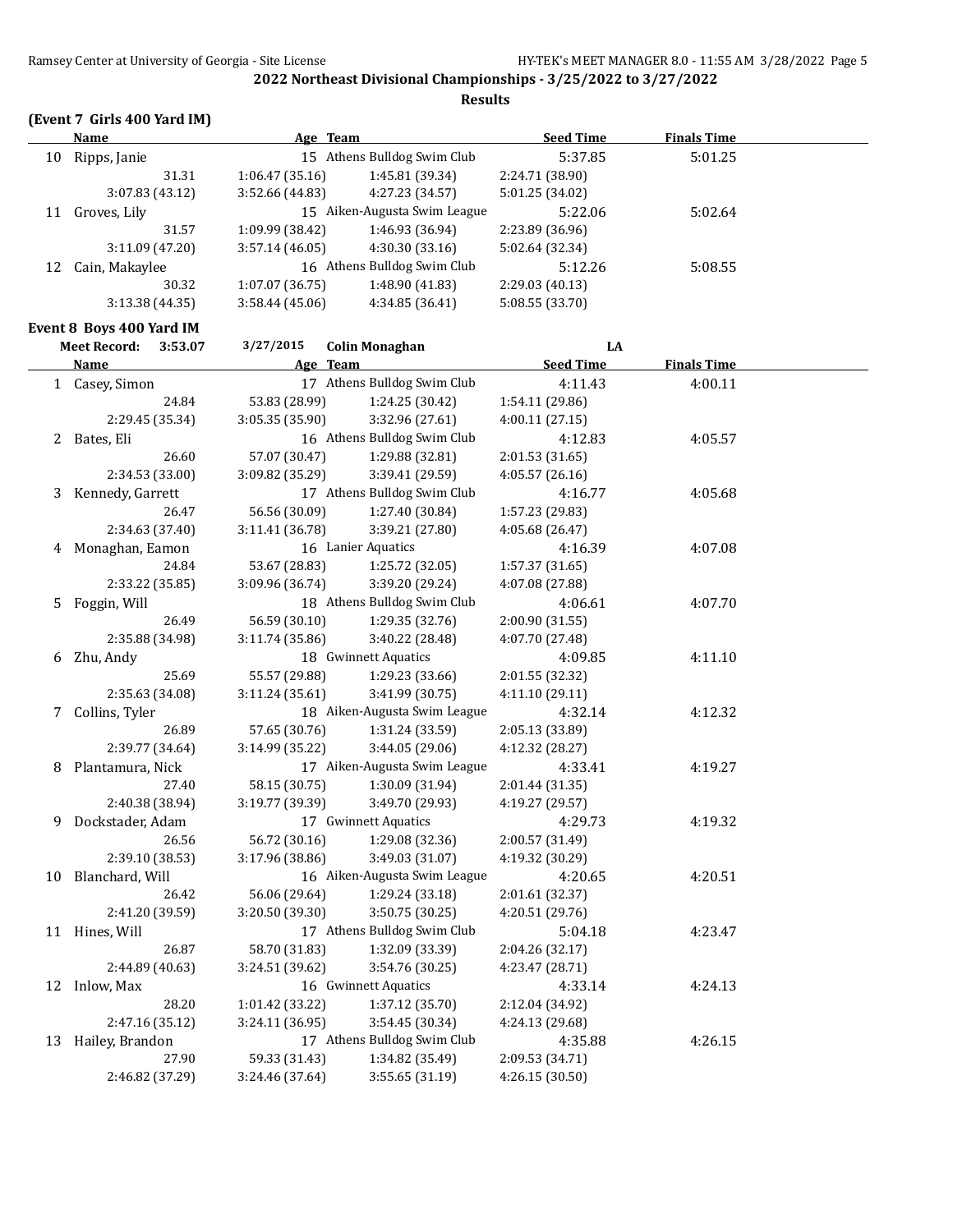**Results**

## **(Event 7 Girls 400 Yard IM)**

|    | Name           | Age Team        |                              | <b>Seed Time</b> | <b>Finals Time</b> |  |
|----|----------------|-----------------|------------------------------|------------------|--------------------|--|
| 10 | Ripps, Janie   |                 | 15 Athens Bulldog Swim Club  | 5:37.85          | 5:01.25            |  |
|    | 31.31          | 1:06.47(35.16)  | 1:45.81 (39.34)              | 2:24.71 (38.90)  |                    |  |
|    | 3:07.83(43.12) | 3:52.66 (44.83) | 4:27.23 (34.57)              | 5:01.25 (34.02)  |                    |  |
| 11 | Groves, Lily   |                 | 15 Aiken-Augusta Swim League | 5:22.06          | 5:02.64            |  |
|    | 31.57          | 1:09.99 (38.42) | 1:46.93 (36.94)              | 2:23.89 (36.96)  |                    |  |
|    | 3:11.09(47.20) | 3:57.14(46.05)  | 4:30.30(33.16)               | 5:02.64 (32.34)  |                    |  |
| 12 | Cain, Makaylee |                 | 16 Athens Bulldog Swim Club  | 5:12.26          | 5:08.55            |  |
|    | 30.32          | 1:07.07(36.75)  | 1:48.90(41.83)               | 2:29.03(40.13)   |                    |  |
|    | 3:13.38(44.35) | 3:58.44(45.06)  | 4:34.85(36.41)               | 5:08.55 (33.70)  |                    |  |
|    |                |                 |                              |                  |                    |  |

## **Event 8 Boys 400 Yard IM**

|    | <b>Meet Record:</b><br>3:53.07 | 3/27/2015       | <b>Colin Monaghan</b>        | LA               |                    |  |
|----|--------------------------------|-----------------|------------------------------|------------------|--------------------|--|
|    | Name                           | Age Team        |                              | <b>Seed Time</b> | <b>Finals Time</b> |  |
|    | 1 Casey, Simon                 |                 | 17 Athens Bulldog Swim Club  | 4:11.43          | 4:00.11            |  |
|    | 24.84                          | 53.83 (28.99)   | 1:24.25 (30.42)              | 1:54.11 (29.86)  |                    |  |
|    | 2:29.45 (35.34)                | 3:05.35 (35.90) | 3:32.96 (27.61)              | 4:00.11 (27.15)  |                    |  |
|    | 2 Bates, Eli                   |                 | 16 Athens Bulldog Swim Club  | 4:12.83          | 4:05.57            |  |
|    | 26.60                          | 57.07 (30.47)   | 1:29.88 (32.81)              | 2:01.53 (31.65)  |                    |  |
|    | 2:34.53 (33.00)                | 3:09.82 (35.29) | 3:39.41 (29.59)              | 4:05.57 (26.16)  |                    |  |
| 3  | Kennedy, Garrett               |                 | 17 Athens Bulldog Swim Club  | 4:16.77          | 4:05.68            |  |
|    | 26.47                          | 56.56 (30.09)   | 1:27.40 (30.84)              | 1:57.23 (29.83)  |                    |  |
|    | 2:34.63 (37.40)                | 3:11.41 (36.78) | 3:39.21 (27.80)              | 4:05.68 (26.47)  |                    |  |
|    | 4 Monaghan, Eamon              |                 | 16 Lanier Aquatics           | 4:16.39          | 4:07.08            |  |
|    | 24.84                          | 53.67 (28.83)   | 1:25.72 (32.05)              | 1:57.37 (31.65)  |                    |  |
|    | 2:33.22 (35.85)                | 3:09.96 (36.74) | 3:39.20 (29.24)              | 4:07.08 (27.88)  |                    |  |
| 5. | Foggin, Will                   |                 | 18 Athens Bulldog Swim Club  | 4:06.61          | 4:07.70            |  |
|    | 26.49                          | 56.59 (30.10)   | 1:29.35 (32.76)              | 2:00.90 (31.55)  |                    |  |
|    | 2:35.88 (34.98)                | 3:11.74 (35.86) | 3:40.22 (28.48)              | 4:07.70 (27.48)  |                    |  |
|    | 6 Zhu, Andy                    |                 | 18 Gwinnett Aquatics         | 4:09.85          | 4:11.10            |  |
|    | 25.69                          | 55.57 (29.88)   | 1:29.23 (33.66)              | 2:01.55 (32.32)  |                    |  |
|    | 2:35.63 (34.08)                | 3:11.24(35.61)  | 3:41.99 (30.75)              | 4:11.10 (29.11)  |                    |  |
|    | 7 Collins, Tyler               |                 | 18 Aiken-Augusta Swim League | 4:32.14          | 4:12.32            |  |
|    | 26.89                          | 57.65 (30.76)   | 1:31.24 (33.59)              | 2:05.13 (33.89)  |                    |  |
|    | 2:39.77 (34.64)                | 3:14.99 (35.22) | 3:44.05 (29.06)              | 4:12.32 (28.27)  |                    |  |
|    | 8 Plantamura, Nick             |                 | 17 Aiken-Augusta Swim League | 4:33.41          | 4:19.27            |  |
|    | 27.40                          | 58.15 (30.75)   | 1:30.09 (31.94)              | 2:01.44 (31.35)  |                    |  |
|    | 2:40.38 (38.94)                | 3:19.77 (39.39) | 3:49.70 (29.93)              | 4:19.27 (29.57)  |                    |  |
| 9  | Dockstader, Adam               |                 | 17 Gwinnett Aquatics         | 4:29.73          | 4:19.32            |  |
|    | 26.56                          | 56.72 (30.16)   | 1:29.08 (32.36)              | 2:00.57 (31.49)  |                    |  |
|    | 2:39.10 (38.53)                | 3:17.96 (38.86) | 3:49.03 (31.07)              | 4:19.32 (30.29)  |                    |  |
|    | 10 Blanchard, Will             |                 | 16 Aiken-Augusta Swim League | 4:20.65          | 4:20.51            |  |
|    | 26.42                          | 56.06 (29.64)   | 1:29.24 (33.18)              | 2:01.61 (32.37)  |                    |  |
|    | 2:41.20 (39.59)                | 3:20.50 (39.30) | 3:50.75 (30.25)              | 4:20.51 (29.76)  |                    |  |
|    | 11 Hines, Will                 |                 | 17 Athens Bulldog Swim Club  | 5:04.18          | 4:23.47            |  |
|    | 26.87                          | 58.70 (31.83)   | 1:32.09 (33.39)              | 2:04.26 (32.17)  |                    |  |
|    | 2:44.89 (40.63)                | 3:24.51 (39.62) | 3:54.76 (30.25)              | 4:23.47 (28.71)  |                    |  |
|    | 12 Inlow, Max                  |                 | 16 Gwinnett Aquatics         | 4:33.14          | 4:24.13            |  |
|    | 28.20                          | 1:01.42 (33.22) | 1:37.12 (35.70)              | 2:12.04 (34.92)  |                    |  |
|    | 2:47.16 (35.12)                | 3:24.11(36.95)  | 3:54.45 (30.34)              | 4:24.13 (29.68)  |                    |  |
|    | 13 Hailey, Brandon             |                 | 17 Athens Bulldog Swim Club  | 4:35.88          | 4:26.15            |  |
|    | 27.90                          | 59.33 (31.43)   | 1:34.82 (35.49)              | 2:09.53 (34.71)  |                    |  |
|    | 2:46.82 (37.29)                | 3:24.46 (37.64) | 3:55.65 (31.19)              | 4:26.15 (30.50)  |                    |  |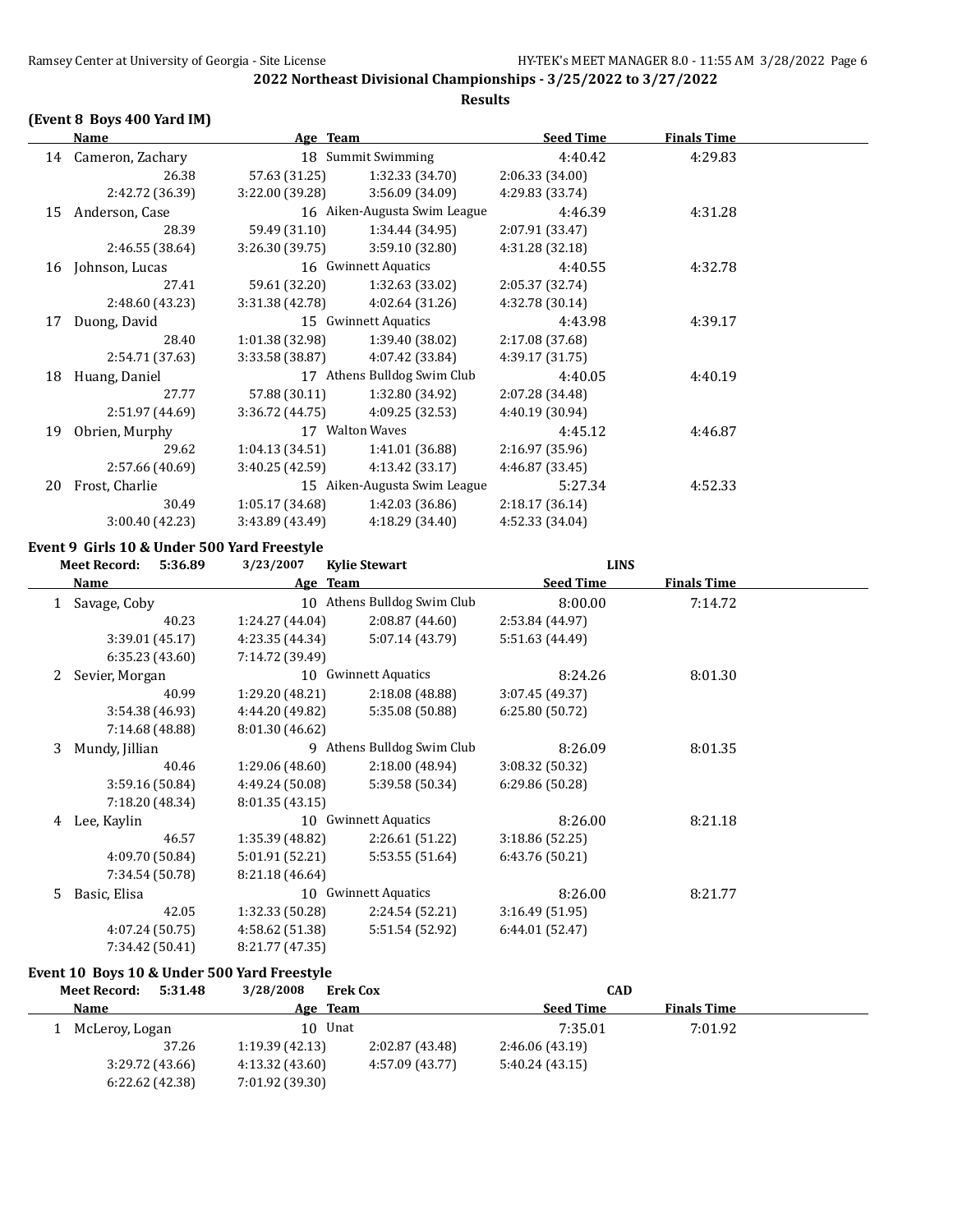## **(Event 8 Boys 400 Yard IM)**

|    | Name             | Age Team        |                              | <b>Seed Time</b> | <b>Finals Time</b> |  |
|----|------------------|-----------------|------------------------------|------------------|--------------------|--|
| 14 | Cameron, Zachary |                 | 18 Summit Swimming           | 4:40.42          | 4:29.83            |  |
|    | 26.38            | 57.63 (31.25)   | 1:32.33 (34.70)              | 2:06.33 (34.00)  |                    |  |
|    | 2:42.72 (36.39)  | 3:22.00 (39.28) | 3:56.09 (34.09)              | 4:29.83 (33.74)  |                    |  |
| 15 | Anderson, Case   |                 | 16 Aiken-Augusta Swim League | 4:46.39          | 4:31.28            |  |
|    | 28.39            | 59.49 (31.10)   | 1:34.44 (34.95)              | 2:07.91 (33.47)  |                    |  |
|    | 2:46.55 (38.64)  | 3:26.30(39.75)  | 3:59.10(32.80)               | 4:31.28 (32.18)  |                    |  |
| 16 | Johnson, Lucas   |                 | 16 Gwinnett Aquatics         | 4:40.55          | 4:32.78            |  |
|    | 27.41            | 59.61 (32.20)   | 1:32.63 (33.02)              | 2:05.37 (32.74)  |                    |  |
|    | 2:48.60 (43.23)  | 3:31.38(42.78)  | 4:02.64(31.26)               | 4:32.78 (30.14)  |                    |  |
| 17 | Duong, David     |                 | 15 Gwinnett Aquatics         | 4:43.98          | 4:39.17            |  |
|    | 28.40            | 1:01.38(32.98)  | 1:39.40(38.02)               | 2:17.08 (37.68)  |                    |  |
|    | 2:54.71 (37.63)  | 3:33.58 (38.87) | 4:07.42 (33.84)              | 4:39.17 (31.75)  |                    |  |
| 18 | Huang, Daniel    |                 | 17 Athens Bulldog Swim Club  | 4:40.05          | 4:40.19            |  |
|    | 27.77            | 57.88 (30.11)   | 1:32.80 (34.92)              | 2:07.28 (34.48)  |                    |  |
|    | 2:51.97 (44.69)  | 3:36.72 (44.75) | 4:09.25 (32.53)              | 4:40.19 (30.94)  |                    |  |
| 19 | Obrien, Murphy   |                 | 17 Walton Waves              | 4:45.12          | 4:46.87            |  |
|    | 29.62            | 1:04.13(34.51)  | 1:41.01 (36.88)              | 2:16.97(35.96)   |                    |  |
|    | 2:57.66 (40.69)  | 3:40.25(42.59)  | 4:13.42(33.17)               | 4:46.87 (33.45)  |                    |  |
| 20 | Frost, Charlie   |                 | 15 Aiken-Augusta Swim League | 5:27.34          | 4:52.33            |  |
|    | 30.49            | 1:05.17(34.68)  | 1:42.03(36.86)               | 2:18.17(36.14)   |                    |  |
|    | 3:00.40 (42.23)  | 3:43.89 (43.49) | 4:18.29 (34.40)              | 4:52.33 (34.04)  |                    |  |

## **Event 9 Girls 10 & Under 500 Yard Freestyle**

|    | <b>Meet Record:</b><br>5:36.89 | 3/23/2007       | <b>Kylie Stewart</b>       | <b>LINS</b>      |                    |  |
|----|--------------------------------|-----------------|----------------------------|------------------|--------------------|--|
|    | Name                           | Age Team        |                            | <b>Seed Time</b> | <b>Finals Time</b> |  |
|    | Savage, Coby                   | 10              | Athens Bulldog Swim Club   | 8:00.00          | 7:14.72            |  |
|    | 40.23                          | 1:24.27(44.04)  | 2:08.87(44.60)             | 2:53.84 (44.97)  |                    |  |
|    | 3:39.01 (45.17)                | 4:23.35 (44.34) | 5:07.14 (43.79)            | 5:51.63 (44.49)  |                    |  |
|    | 6:35.23(43.60)                 | 7:14.72 (39.49) |                            |                  |                    |  |
|    | Sevier, Morgan                 |                 | 10 Gwinnett Aquatics       | 8:24.26          | 8:01.30            |  |
|    | 40.99                          | 1:29.20 (48.21) | 2:18.08 (48.88)            | 3:07.45 (49.37)  |                    |  |
|    | 3:54.38 (46.93)                | 4:44.20 (49.82) | 5:35.08 (50.88)            | 6:25.80(50.72)   |                    |  |
|    | 7:14.68 (48.88)                | 8:01.30 (46.62) |                            |                  |                    |  |
| 3  | Mundy, Jillian                 |                 | 9 Athens Bulldog Swim Club | 8:26.09          | 8:01.35            |  |
|    | 40.46                          | 1:29.06 (48.60) | 2:18.00(48.94)             | 3:08.32 (50.32)  |                    |  |
|    | 3:59.16(50.84)                 | 4:49.24 (50.08) | 5:39.58 (50.34)            | 6:29.86 (50.28)  |                    |  |
|    | 7:18.20 (48.34)                | 8:01.35(43.15)  |                            |                  |                    |  |
| 4  | Lee, Kaylin                    |                 | 10 Gwinnett Aquatics       | 8:26.00          | 8:21.18            |  |
|    | 46.57                          | 1:35.39 (48.82) | 2:26.61 (51.22)            | 3:18.86 (52.25)  |                    |  |
|    | 4:09.70 (50.84)                | 5:01.91 (52.21) | 5:53.55 (51.64)            | 6:43.76 (50.21)  |                    |  |
|    | 7:34.54 (50.78)                | 8:21.18 (46.64) |                            |                  |                    |  |
| 5. | Basic, Elisa                   |                 | 10 Gwinnett Aquatics       | 8:26.00          | 8:21.77            |  |
|    | 42.05                          | 1:32.33(50.28)  | 2:24.54 (52.21)            | 3:16.49(51.95)   |                    |  |
|    | 4:07.24 (50.75)                | 4:58.62 (51.38) | 5:51.54 (52.92)            | 6:44.01(52.47)   |                    |  |
|    | 7:34.42 (50.41)                | 8:21.77 (47.35) |                            |                  |                    |  |

## **Event 10 Boys 10 & Under 500 Yard Freestyle**

| 5:31.48<br>Meet Record: | 3/28/2008<br><b>Erek Cox</b>       | <b>CAD</b>                             |         |
|-------------------------|------------------------------------|----------------------------------------|---------|
| Name                    | Team<br>Age                        | <b>Seed Time</b><br><b>Finals Time</b> |         |
| McLeroy, Logan          | 10 Unat                            | 7:35.01                                | 7:01.92 |
| 37.26                   | 2:02.87(43.48)<br>1:19.39(42.13)   | 2:46.06 (43.19)                        |         |
| 3:29.72 (43.66)         | 4:57.09 (43.77)<br>4:13.32 (43.60) | 5:40.24(43.15)                         |         |
| 6:22.62(42.38)          | 7:01.92 (39.30)                    |                                        |         |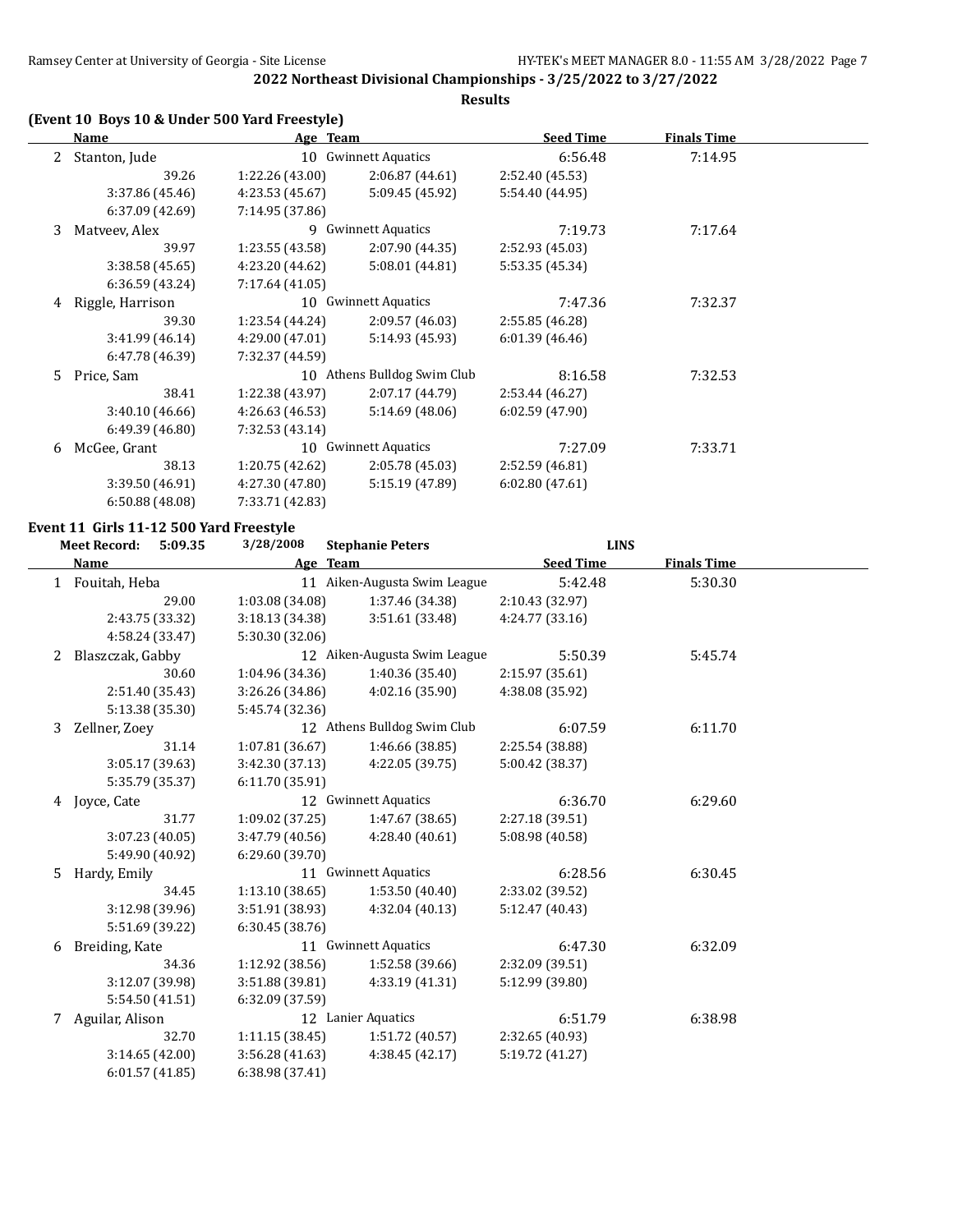## **Results**

## **(Event 10 Boys 10 & Under 500 Yard Freestyle)**

|    | Name             | Age Team             |                             | <b>Seed Time</b> | <b>Finals Time</b> |  |
|----|------------------|----------------------|-----------------------------|------------------|--------------------|--|
|    | Stanton, Jude    |                      | 10 Gwinnett Aquatics        | 6:56.48          | 7:14.95            |  |
|    | 39.26            | 1:22.26(43.00)       | 2:06.87 (44.61)             | 2:52.40 (45.53)  |                    |  |
|    | 3:37.86 (45.46)  | 4:23.53 (45.67)      | 5:09.45 (45.92)             | 5:54.40 (44.95)  |                    |  |
|    | 6:37.09(42.69)   | 7:14.95 (37.86)      |                             |                  |                    |  |
| 3  | Matveev, Alex    |                      | 9 Gwinnett Aquatics         | 7:19.73          | 7:17.64            |  |
|    | 39.97            | 1:23.55 (43.58)      | 2:07.90 (44.35)             | 2:52.93 (45.03)  |                    |  |
|    | 3:38.58(45.65)   | 4:23.20 (44.62)      | 5:08.01(44.81)              | 5:53.35 (45.34)  |                    |  |
|    | 6:36.59(43.24)   | 7:17.64 (41.05)      |                             |                  |                    |  |
| 4  | Riggle, Harrison | 10 Gwinnett Aquatics |                             | 7:47.36          | 7:32.37            |  |
|    | 39.30            | 1:23.54(44.24)       | 2:09.57 (46.03)             | 2:55.85 (46.28)  |                    |  |
|    | 3:41.99 (46.14)  | 4:29.00 (47.01)      | 5:14.93 (45.93)             | 6:01.39(46.46)   |                    |  |
|    | 6:47.78 (46.39)  | 7:32.37 (44.59)      |                             |                  |                    |  |
| 5. | Price, Sam       |                      | 10 Athens Bulldog Swim Club | 8:16.58          | 7:32.53            |  |
|    | 38.41            | 1:22.38 (43.97)      | 2:07.17 (44.79)             | 2:53.44 (46.27)  |                    |  |
|    | 3:40.10(46.66)   | 4:26.63 (46.53)      | 5:14.69(48.06)              | 6:02.59(47.90)   |                    |  |
|    | 6:49.39(46.80)   | 7:32.53 (43.14)      |                             |                  |                    |  |
| 6  | McGee, Grant     |                      | 10 Gwinnett Aquatics        | 7:27.09          | 7:33.71            |  |
|    | 38.13            | 1:20.75(42.62)       | 2:05.78 (45.03)             | 2:52.59(46.81)   |                    |  |
|    | 3:39.50 (46.91)  | 4:27.30 (47.80)      | 5:15.19 (47.89)             | 6:02.80(47.61)   |                    |  |
|    | 6:50.88(48.08)   | 7:33.71 (42.83)      |                             |                  |                    |  |

# **Event 11 Girls 11-12 500 Yard Freestyle**<br>Meet Becord: 5:09.35 3/28/2008

|    | <b>Meet Record:</b><br>5:09.35 | 3/28/2008       | <b>Stephanie Peters</b>      | <b>LINS</b>      |                    |  |
|----|--------------------------------|-----------------|------------------------------|------------------|--------------------|--|
|    | Name                           |                 | Age Team                     | <b>Seed Time</b> | <b>Finals Time</b> |  |
|    | 1 Fouitah, Heba                |                 | 11 Aiken-Augusta Swim League | 5:42.48          | 5:30.30            |  |
|    | 29.00                          | 1:03.08 (34.08) | 1:37.46 (34.38)              | 2:10.43 (32.97)  |                    |  |
|    | 2:43.75 (33.32)                | 3:18.13(34.38)  | 3:51.61(33.48)               | 4:24.77 (33.16)  |                    |  |
|    | 4:58.24 (33.47)                | 5:30.30 (32.06) |                              |                  |                    |  |
| 2  | Blaszczak, Gabby               |                 | 12 Aiken-Augusta Swim League | 5:50.39          | 5:45.74            |  |
|    | 30.60                          | 1:04.96 (34.36) | 1:40.36 (35.40)              | 2:15.97 (35.61)  |                    |  |
|    | 2:51.40 (35.43)                | 3:26.26(34.86)  | 4:02.16(35.90)               | 4:38.08 (35.92)  |                    |  |
|    | 5:13.38 (35.30)                | 5:45.74 (32.36) |                              |                  |                    |  |
| 3  | Zellner, Zoey                  |                 | 12 Athens Bulldog Swim Club  | 6:07.59          | 6:11.70            |  |
|    | 31.14                          | 1:07.81 (36.67) | 1:46.66 (38.85)              | 2:25.54 (38.88)  |                    |  |
|    | 3:05.17 (39.63)                | 3:42.30(37.13)  | 4:22.05 (39.75)              | 5:00.42 (38.37)  |                    |  |
|    | 5:35.79 (35.37)                | 6:11.70 (35.91) |                              |                  |                    |  |
| 4  | Joyce, Cate                    |                 | 12 Gwinnett Aquatics         | 6:36.70          | 6:29.60            |  |
|    | 31.77                          | 1:09.02 (37.25) | 1:47.67 (38.65)              | 2:27.18 (39.51)  |                    |  |
|    | 3:07.23 (40.05)                | 3:47.79(40.56)  | 4:28.40(40.61)               | 5:08.98 (40.58)  |                    |  |
|    | 5:49.90 (40.92)                | 6:29.60 (39.70) |                              |                  |                    |  |
| 5. | Hardy, Emily                   |                 | 11 Gwinnett Aquatics         | 6:28.56          | 6:30.45            |  |
|    | 34.45                          | 1:13.10(38.65)  | 1:53.50(40.40)               | 2:33.02 (39.52)  |                    |  |
|    | 3:12.98 (39.96)                | 3:51.91 (38.93) | 4:32.04 (40.13)              | 5:12.47 (40.43)  |                    |  |
|    | 5:51.69 (39.22)                | 6:30.45 (38.76) |                              |                  |                    |  |
| 6  | Breiding, Kate                 |                 | 11 Gwinnett Aquatics         | 6:47.30          | 6:32.09            |  |
|    | 34.36                          | 1:12.92 (38.56) | 1:52.58(39.66)               | 2:32.09 (39.51)  |                    |  |
|    | 3:12.07 (39.98)                | 3:51.88 (39.81) | 4:33.19 (41.31)              | 5:12.99 (39.80)  |                    |  |
|    | 5:54.50 (41.51)                | 6:32.09 (37.59) |                              |                  |                    |  |
| 7  | Aguilar, Alison                |                 | 12 Lanier Aquatics           | 6:51.79          | 6:38.98            |  |
|    | 32.70                          | 1:11.15(38.45)  | 1:51.72 (40.57)              | 2:32.65 (40.93)  |                    |  |
|    | 3:14.65(42.00)                 | 3:56.28 (41.63) | 4:38.45 (42.17)              | 5:19.72 (41.27)  |                    |  |
|    | 6:01.57(41.85)                 | 6:38.98 (37.41) |                              |                  |                    |  |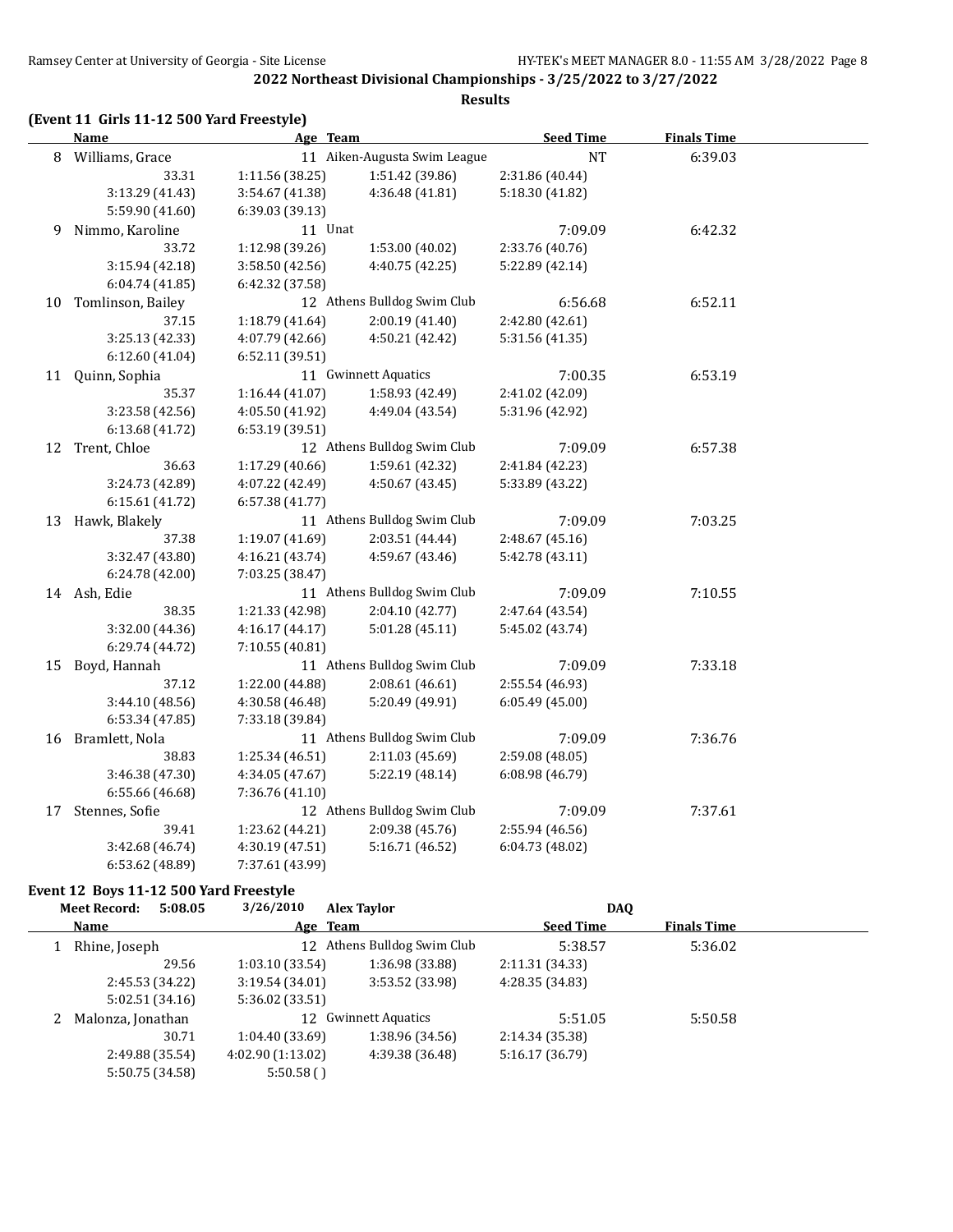## **(Event 11 Girls 11-12 500 Yard Freestyle)**

|    | Age Team<br><b>Name</b> |                 | <b>Seed Time</b>             | <b>Finals Time</b> |         |  |
|----|-------------------------|-----------------|------------------------------|--------------------|---------|--|
|    | 8 Williams, Grace       |                 | 11 Aiken-Augusta Swim League | <b>NT</b>          | 6:39.03 |  |
|    | 33.31                   | 1:11.56 (38.25) | 1:51.42 (39.86)              | 2:31.86 (40.44)    |         |  |
|    | 3:13.29 (41.43)         | 3:54.67 (41.38) | 4:36.48 (41.81)              | 5:18.30 (41.82)    |         |  |
|    | 5:59.90 (41.60)         | 6:39.03 (39.13) |                              |                    |         |  |
| 9  | Nimmo, Karoline         | 11 Unat         |                              | 7:09.09            | 6:42.32 |  |
|    | 33.72                   | 1:12.98 (39.26) | 1:53.00 (40.02)              | 2:33.76 (40.76)    |         |  |
|    | 3:15.94 (42.18)         | 3:58.50 (42.56) | 4:40.75 (42.25)              | 5:22.89 (42.14)    |         |  |
|    | 6:04.74 (41.85)         | 6:42.32 (37.58) |                              |                    |         |  |
|    | 10 Tomlinson, Bailey    |                 | 12 Athens Bulldog Swim Club  | 6:56.68            | 6:52.11 |  |
|    | 37.15                   | 1:18.79 (41.64) | 2:00.19 (41.40)              | 2:42.80 (42.61)    |         |  |
|    | 3:25.13 (42.33)         | 4:07.79 (42.66) | 4:50.21 (42.42)              | 5:31.56 (41.35)    |         |  |
|    | 6:12.60 (41.04)         | 6:52.11 (39.51) |                              |                    |         |  |
| 11 | Quinn, Sophia           |                 | 11 Gwinnett Aquatics         | 7:00.35            | 6:53.19 |  |
|    | 35.37                   | 1:16.44(41.07)  | 1:58.93 (42.49)              | 2:41.02 (42.09)    |         |  |
|    | 3:23.58 (42.56)         | 4:05.50 (41.92) | 4:49.04 (43.54)              | 5:31.96 (42.92)    |         |  |
|    | 6:13.68 (41.72)         | 6:53.19 (39.51) |                              |                    |         |  |
|    | 12 Trent, Chloe         |                 | 12 Athens Bulldog Swim Club  | 7:09.09            | 6:57.38 |  |
|    | 36.63                   | 1:17.29 (40.66) | 1:59.61 (42.32)              | 2:41.84 (42.23)    |         |  |
|    | 3:24.73 (42.89)         | 4:07.22 (42.49) | 4:50.67 (43.45)              | 5:33.89 (43.22)    |         |  |
|    | 6:15.61 (41.72)         | 6:57.38 (41.77) |                              |                    |         |  |
|    | 13 Hawk, Blakely        |                 | 11 Athens Bulldog Swim Club  | 7:09.09            | 7:03.25 |  |
|    | 37.38                   | 1:19.07 (41.69) | 2:03.51 (44.44)              | 2:48.67 (45.16)    |         |  |
|    | 3:32.47 (43.80)         | 4:16.21 (43.74) | 4:59.67 (43.46)              | 5:42.78 (43.11)    |         |  |
|    | 6:24.78 (42.00)         | 7:03.25 (38.47) |                              |                    |         |  |
|    | 14 Ash, Edie            |                 | 11 Athens Bulldog Swim Club  | 7:09.09            | 7:10.55 |  |
|    | 38.35                   | 1:21.33 (42.98) | 2:04.10 (42.77)              | 2:47.64 (43.54)    |         |  |
|    | 3:32.00 (44.36)         | 4:16.17 (44.17) | 5:01.28 (45.11)              | 5:45.02 (43.74)    |         |  |
|    | 6:29.74 (44.72)         | 7:10.55 (40.81) |                              |                    |         |  |
|    | 15 Boyd, Hannah         |                 | 11 Athens Bulldog Swim Club  | 7:09.09            | 7:33.18 |  |
|    | 37.12                   | 1:22.00 (44.88) | 2:08.61(46.61)               | 2:55.54 (46.93)    |         |  |
|    | 3:44.10 (48.56)         | 4:30.58 (46.48) | 5:20.49 (49.91)              | 6:05.49(45.00)     |         |  |
|    | 6:53.34 (47.85)         | 7:33.18 (39.84) |                              |                    |         |  |
|    | 16 Bramlett, Nola       |                 | 11 Athens Bulldog Swim Club  | 7:09.09            | 7:36.76 |  |
|    | 38.83                   | 1:25.34 (46.51) | 2:11.03 (45.69)              | 2:59.08 (48.05)    |         |  |
|    | 3:46.38 (47.30)         | 4:34.05 (47.67) | 5:22.19 (48.14)              | 6:08.98 (46.79)    |         |  |
|    | 6:55.66 (46.68)         | 7:36.76 (41.10) |                              |                    |         |  |
| 17 | Stennes, Sofie          |                 | 12 Athens Bulldog Swim Club  | 7:09.09            | 7:37.61 |  |
|    | 39.41                   | 1:23.62 (44.21) | 2:09.38 (45.76)              | 2:55.94 (46.56)    |         |  |
|    | 3:42.68 (46.74)         | 4:30.19 (47.51) | 5:16.71 (46.52)              | 6:04.73 (48.02)    |         |  |
|    | 6:53.62 (48.89)         | 7:37.61 (43.99) |                              |                    |         |  |

## **Event 12 Boys 11-12 500 Yard Freestyle**

| 5:08.05<br><b>Meet Record:</b> | 3/26/2010        | <b>Alex Taylor</b>          | <b>DAQ</b>       |                    |  |
|--------------------------------|------------------|-----------------------------|------------------|--------------------|--|
| Name                           | Age Team         |                             | <b>Seed Time</b> | <b>Finals Time</b> |  |
| Rhine, Joseph                  |                  | 12 Athens Bulldog Swim Club | 5:38.57          | 5:36.02            |  |
| 29.56                          | 1:03.10(33.54)   | 1:36.98 (33.88)             | 2:11.31 (34.33)  |                    |  |
| 2:45.53 (34.22)                | 3:19.54(34.01)   | 3:53.52 (33.98)             | 4:28.35 (34.83)  |                    |  |
| 5:02.51(34.16)                 | 5:36.02 (33.51)  |                             |                  |                    |  |
| Malonza, Jonathan              |                  | 12 Gwinnett Aquatics        | 5:51.05          | 5:50.58            |  |
| 30.71                          | 1:04.40 (33.69)  | 1:38.96 (34.56)             | 2:14.34 (35.38)  |                    |  |
| 2:49.88 (35.54)                | 4:02.90(1:13.02) | 4:39.38 (36.48)             | 5:16.17 (36.79)  |                    |  |
| 5:50.75 (34.58)                | 5:50.58()        |                             |                  |                    |  |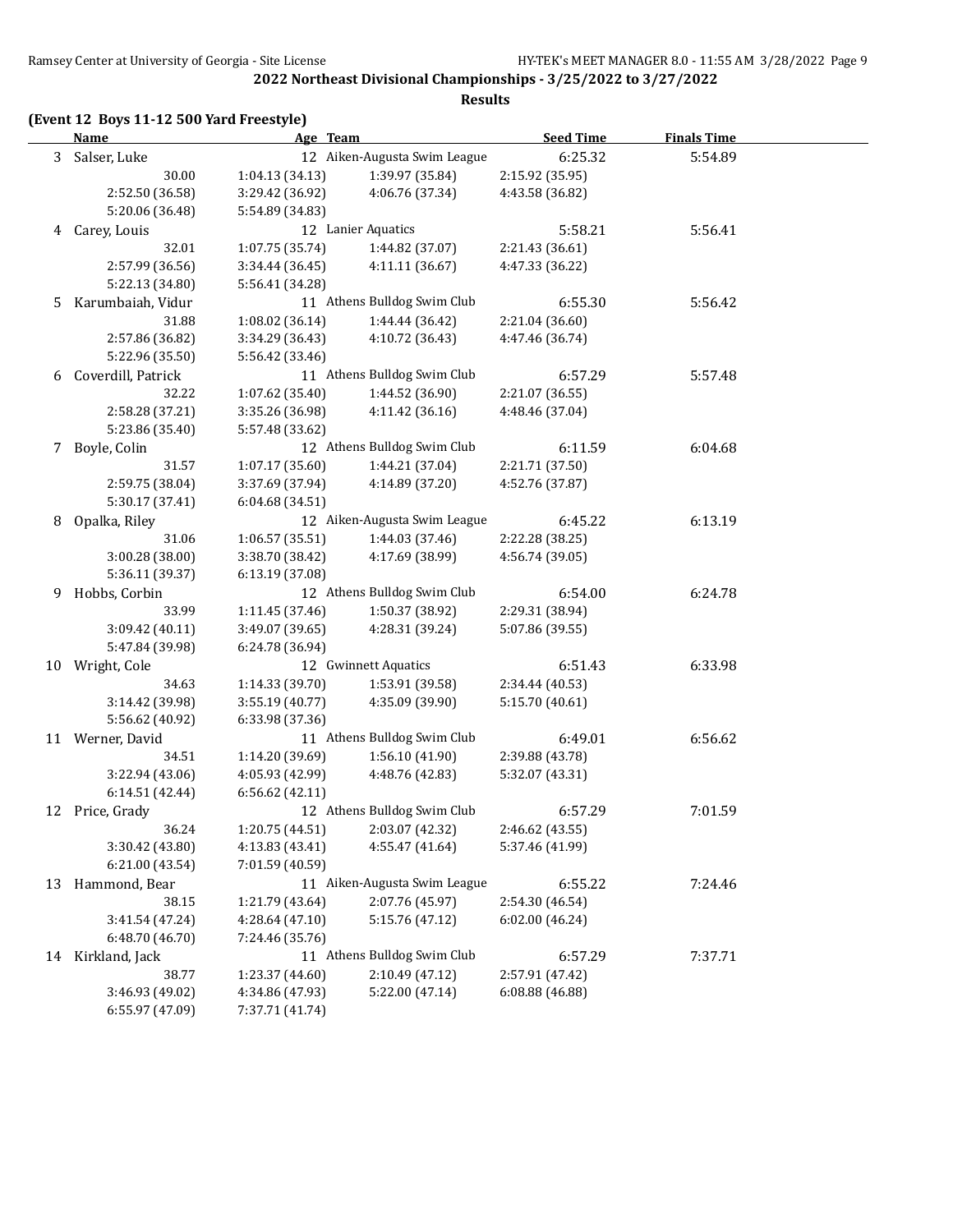## **(Event 12 Boys 11-12 500 Yard Freestyle)**

|   | <b>Name</b>                        | Age Team                           |                                    | <b>Seed Time</b> | <b>Finals Time</b> |  |
|---|------------------------------------|------------------------------------|------------------------------------|------------------|--------------------|--|
|   | 3 Salser, Luke                     |                                    | 12 Aiken-Augusta Swim League       | 6:25.32          | 5:54.89            |  |
|   | 30.00                              | 1:04.13(34.13)                     | 1:39.97 (35.84)                    | 2:15.92 (35.95)  |                    |  |
|   | 2:52.50 (36.58)                    | 3:29.42 (36.92)                    | 4:06.76 (37.34)                    | 4:43.58 (36.82)  |                    |  |
|   | 5:20.06 (36.48)                    | 5:54.89 (34.83)                    |                                    |                  |                    |  |
|   | 4 Carey, Louis                     |                                    | 12 Lanier Aquatics                 | 5:58.21          | 5:56.41            |  |
|   | 32.01                              | 1:07.75 (35.74)                    | 1:44.82 (37.07)                    | 2:21.43 (36.61)  |                    |  |
|   | 2:57.99 (36.56)                    | 3:34.44 (36.45)                    | 4:11.11 (36.67)                    | 4:47.33 (36.22)  |                    |  |
|   | 5:22.13 (34.80)                    | 5:56.41 (34.28)                    |                                    |                  |                    |  |
| 5 | Karumbaiah, Vidur                  |                                    | 11 Athens Bulldog Swim Club        | 6:55.30          | 5:56.42            |  |
|   | 31.88                              | 1:08.02 (36.14)                    | 1:44.44 (36.42)                    | 2:21.04 (36.60)  |                    |  |
|   | 2:57.86 (36.82)                    | 3:34.29 (36.43)                    | 4:10.72 (36.43)                    | 4:47.46 (36.74)  |                    |  |
|   | 5:22.96 (35.50)                    | 5:56.42 (33.46)                    |                                    |                  |                    |  |
| 6 | Coverdill, Patrick                 |                                    | 11 Athens Bulldog Swim Club        | 6:57.29          | 5:57.48            |  |
|   | 32.22                              | 1:07.62 (35.40)                    | 1:44.52 (36.90)                    | 2:21.07 (36.55)  |                    |  |
|   | 2:58.28 (37.21)                    | 3:35.26 (36.98)                    | 4:11.42 (36.16)                    | 4:48.46 (37.04)  |                    |  |
|   | 5:23.86 (35.40)                    | 5:57.48 (33.62)                    |                                    |                  |                    |  |
| 7 | Boyle, Colin                       |                                    | 12 Athens Bulldog Swim Club        | 6:11.59          | 6:04.68            |  |
|   | 31.57                              | 1:07.17 (35.60)                    | 1:44.21 (37.04)                    | 2:21.71 (37.50)  |                    |  |
|   | 2:59.75 (38.04)                    | 3:37.69 (37.94)                    | 4:14.89 (37.20)                    | 4:52.76 (37.87)  |                    |  |
|   | 5:30.17 (37.41)                    | 6:04.68 (34.51)                    |                                    |                  |                    |  |
| 8 | Opalka, Riley                      |                                    | 12 Aiken-Augusta Swim League       | 6:45.22          | 6:13.19            |  |
|   | 31.06                              | 1:06.57 (35.51)                    | 1:44.03 (37.46)                    | 2:22.28 (38.25)  |                    |  |
|   | 3:00.28 (38.00)                    | 3:38.70 (38.42)                    | 4:17.69 (38.99)                    | 4:56.74 (39.05)  |                    |  |
|   | 5:36.11 (39.37)                    | 6:13.19 (37.08)                    |                                    |                  |                    |  |
| 9 | Hobbs, Corbin                      |                                    | 12 Athens Bulldog Swim Club        | 6:54.00          | 6:24.78            |  |
|   | 33.99                              | 1:11.45 (37.46)                    | 1:50.37 (38.92)                    | 2:29.31 (38.94)  |                    |  |
|   | 3:09.42 (40.11)                    | 3:49.07 (39.65)                    | 4:28.31 (39.24)                    | 5:07.86 (39.55)  |                    |  |
|   | 5:47.84 (39.98)                    | 6:24.78 (36.94)                    |                                    |                  |                    |  |
|   | 10 Wright, Cole                    |                                    | 12 Gwinnett Aquatics               | 6:51.43          | 6:33.98            |  |
|   | 34.63                              | 1:14.33 (39.70)                    | 1:53.91 (39.58)                    | 2:34.44 (40.53)  |                    |  |
|   | 3:14.42 (39.98)                    | 3:55.19 (40.77)                    | 4:35.09 (39.90)                    | 5:15.70 (40.61)  |                    |  |
|   | 5:56.62 (40.92)                    | 6:33.98 (37.36)                    | 11 Athens Bulldog Swim Club        |                  |                    |  |
|   | 11 Werner, David                   |                                    |                                    | 6:49.01          | 6:56.62            |  |
|   | 34.51                              | 1:14.20 (39.69)<br>4:05.93 (42.99) | 1:56.10 (41.90)<br>4:48.76 (42.83) | 2:39.88 (43.78)  |                    |  |
|   | 3:22.94 (43.06)<br>6:14.51 (42.44) | 6:56.62 (42.11)                    |                                    | 5:32.07 (43.31)  |                    |  |
|   | 12 Price, Grady                    |                                    | 12 Athens Bulldog Swim Club        | 6:57.29          | 7:01.59            |  |
|   | 36.24                              | $1:20.75(44.51)$ $2:03.07(42.32)$  |                                    | 2:46.62 (43.55)  |                    |  |
|   | 3:30.42 (43.80)                    | 4:13.83 (43.41)                    | 4:55.47 (41.64)                    | 5:37.46 (41.99)  |                    |  |
|   | 6:21.00 (43.54)                    | 7:01.59 (40.59)                    |                                    |                  |                    |  |
|   | 13 Hammond, Bear                   |                                    | 11 Aiken-Augusta Swim League       | 6:55.22          | 7:24.46            |  |
|   | 38.15                              | 1:21.79 (43.64)                    | 2:07.76 (45.97)                    | 2:54.30 (46.54)  |                    |  |
|   | 3:41.54 (47.24)                    | 4:28.64 (47.10)                    | 5:15.76 (47.12)                    | 6:02.00 (46.24)  |                    |  |
|   | 6:48.70 (46.70)                    | 7:24.46 (35.76)                    |                                    |                  |                    |  |
|   | 14 Kirkland, Jack                  |                                    | 11 Athens Bulldog Swim Club        | 6:57.29          | 7:37.71            |  |
|   | 38.77                              | 1:23.37 (44.60)                    | 2:10.49 (47.12)                    | 2:57.91 (47.42)  |                    |  |
|   | 3:46.93 (49.02)                    | 4:34.86 (47.93)                    | 5:22.00 (47.14)                    | 6:08.88 (46.88)  |                    |  |
|   | 6:55.97 (47.09)                    | 7:37.71 (41.74)                    |                                    |                  |                    |  |
|   |                                    |                                    |                                    |                  |                    |  |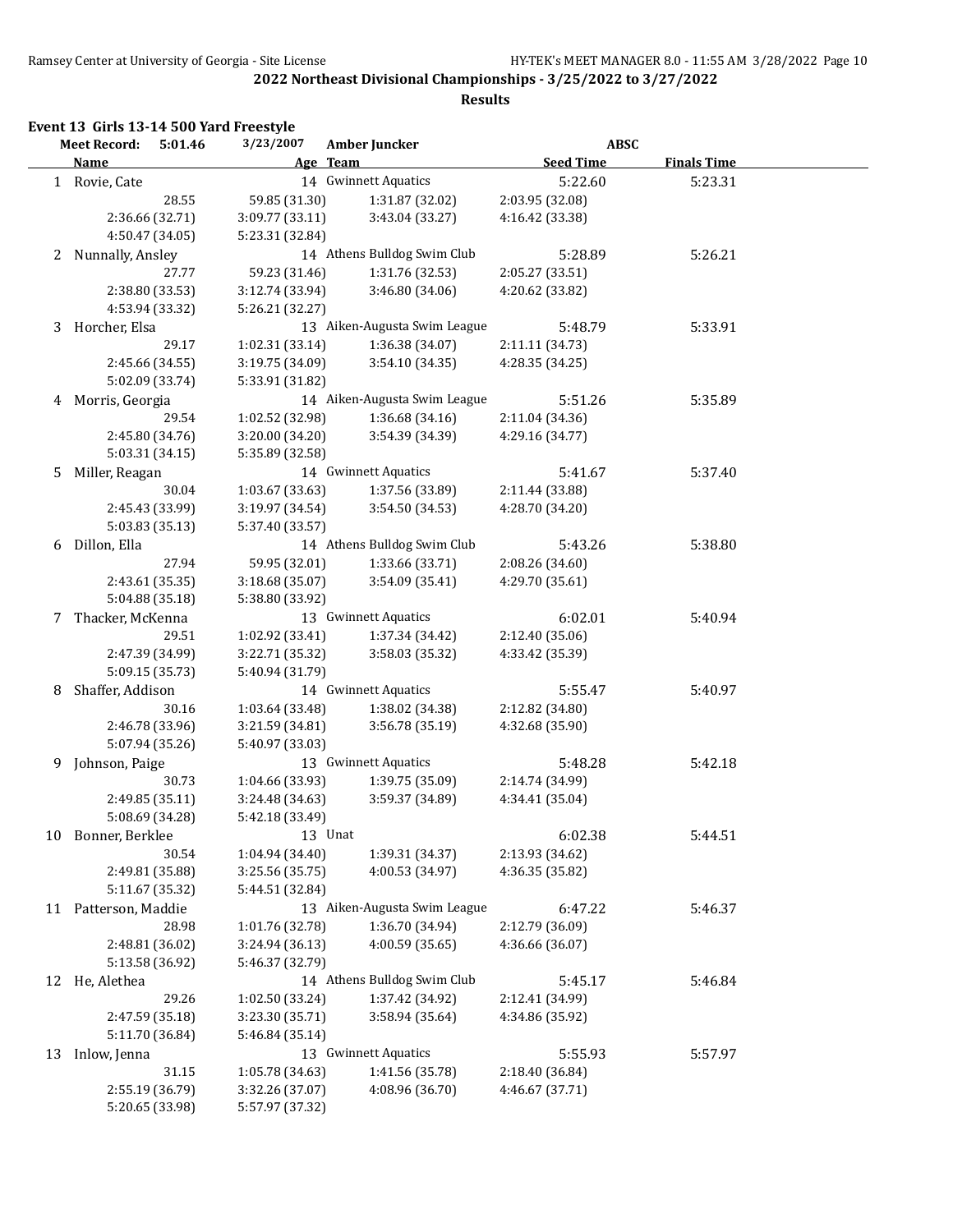|    | <b>Meet Record:</b><br>5:01.46 | 3/23/2007       | Amber Juncker                | <b>ABSC</b>      |                    |
|----|--------------------------------|-----------------|------------------------------|------------------|--------------------|
|    | <b>Name</b>                    |                 | Age Team                     | <b>Seed Time</b> | <b>Finals Time</b> |
|    | 1 Rovie, Cate                  |                 | 14 Gwinnett Aquatics         | 5:22.60          | 5:23.31            |
|    | 28.55                          | 59.85 (31.30)   | 1:31.87 (32.02)              | 2:03.95 (32.08)  |                    |
|    | 2:36.66 (32.71)                | 3:09.77 (33.11) | 3:43.04 (33.27)              | 4:16.42 (33.38)  |                    |
|    | 4:50.47 (34.05)                | 5:23.31 (32.84) |                              |                  |                    |
| 2  | Nunnally, Ansley               |                 | 14 Athens Bulldog Swim Club  | 5:28.89          | 5:26.21            |
|    | 27.77                          | 59.23 (31.46)   | 1:31.76 (32.53)              | 2:05.27 (33.51)  |                    |
|    | 2:38.80 (33.53)                | 3:12.74 (33.94) | 3:46.80 (34.06)              | 4:20.62 (33.82)  |                    |
|    | 4:53.94 (33.32)                | 5:26.21 (32.27) |                              |                  |                    |
|    | 3 Horcher, Elsa                |                 | 13 Aiken-Augusta Swim League | 5:48.79          | 5:33.91            |
|    | 29.17                          | 1:02.31 (33.14) | 1:36.38 (34.07)              | 2:11.11 (34.73)  |                    |
|    | 2:45.66 (34.55)                | 3:19.75 (34.09) | 3:54.10 (34.35)              | 4:28.35 (34.25)  |                    |
|    | 5:02.09 (33.74)                | 5:33.91 (31.82) |                              |                  |                    |
| 4  | Morris, Georgia                |                 | 14 Aiken-Augusta Swim League | 5:51.26          | 5:35.89            |
|    | 29.54                          | 1:02.52 (32.98) | 1:36.68 (34.16)              | 2:11.04 (34.36)  |                    |
|    | 2:45.80 (34.76)                | 3:20.00 (34.20) | 3:54.39 (34.39)              | 4:29.16 (34.77)  |                    |
|    | 5:03.31 (34.15)                | 5:35.89 (32.58) |                              |                  |                    |
| 5. | Miller, Reagan                 |                 | 14 Gwinnett Aquatics         | 5:41.67          | 5:37.40            |
|    | 30.04                          | 1:03.67 (33.63) | 1:37.56 (33.89)              | 2:11.44 (33.88)  |                    |
|    | 2:45.43 (33.99)                | 3:19.97 (34.54) | 3:54.50 (34.53)              | 4:28.70 (34.20)  |                    |
|    | 5:03.83 (35.13)                | 5:37.40 (33.57) |                              |                  |                    |
| 6  | Dillon, Ella                   |                 | 14 Athens Bulldog Swim Club  | 5:43.26          | 5:38.80            |
|    | 27.94                          | 59.95 (32.01)   | 1:33.66 (33.71)              | 2:08.26 (34.60)  |                    |
|    | 2:43.61 (35.35)                | 3:18.68 (35.07) | 3:54.09 (35.41)              | 4:29.70 (35.61)  |                    |
|    | 5:04.88 (35.18)                | 5:38.80 (33.92) |                              |                  |                    |
| 7  | Thacker, McKenna               |                 | 13 Gwinnett Aquatics         | 6:02.01          | 5:40.94            |
|    | 29.51                          | 1:02.92 (33.41) | 1:37.34 (34.42)              | 2:12.40 (35.06)  |                    |
|    | 2:47.39 (34.99)                | 3:22.71 (35.32) | 3:58.03 (35.32)              | 4:33.42 (35.39)  |                    |
|    | 5:09.15 (35.73)                | 5:40.94 (31.79) |                              |                  |                    |
| 8  | Shaffer, Addison               |                 | 14 Gwinnett Aquatics         | 5:55.47          | 5:40.97            |
|    | 30.16                          | 1:03.64 (33.48) | 1:38.02 (34.38)              | 2:12.82 (34.80)  |                    |
|    | 2:46.78 (33.96)                | 3:21.59 (34.81) | 3:56.78 (35.19)              | 4:32.68 (35.90)  |                    |
|    | 5:07.94 (35.26)                | 5:40.97 (33.03) |                              |                  |                    |
| 9. | Johnson, Paige                 |                 | 13 Gwinnett Aquatics         | 5:48.28          | 5:42.18            |
|    | 30.73                          | 1:04.66 (33.93) | 1:39.75 (35.09)              | 2:14.74 (34.99)  |                    |
|    | 2:49.85 (35.11)                | 3:24.48 (34.63) | 3:59.37 (34.89)              | 4:34.41 (35.04)  |                    |
|    | 5:08.69 (34.28)                | 5:42.18 (33.49) |                              |                  |                    |
| 10 | Bonner, Berklee                |                 | 13 Unat                      | 6:02.38          | 5:44.51            |
|    | 30.54                          | 1:04.94 (34.40) | 1:39.31 (34.37)              | 2:13.93 (34.62)  |                    |
|    | 2:49.81 (35.88)                | 3:25.56 (35.75) | 4:00.53 (34.97)              | 4:36.35 (35.82)  |                    |
|    | 5:11.67 (35.32)                | 5:44.51 (32.84) |                              |                  |                    |
|    | 11 Patterson, Maddie           |                 | 13 Aiken-Augusta Swim League | 6:47.22          | 5:46.37            |
|    | 28.98                          | 1:01.76 (32.78) | 1:36.70 (34.94)              | 2:12.79 (36.09)  |                    |
|    | 2:48.81 (36.02)                | 3:24.94 (36.13) | 4:00.59 (35.65)              | 4:36.66 (36.07)  |                    |
|    | 5:13.58 (36.92)                | 5:46.37 (32.79) |                              |                  |                    |
|    | 12 He, Alethea                 |                 | 14 Athens Bulldog Swim Club  | 5:45.17          | 5:46.84            |
|    | 29.26                          | 1:02.50 (33.24) | 1:37.42 (34.92)              | 2:12.41 (34.99)  |                    |
|    | 2:47.59 (35.18)                | 3:23.30 (35.71) | 3:58.94 (35.64)              | 4:34.86 (35.92)  |                    |
|    | 5:11.70 (36.84)                | 5:46.84 (35.14) |                              |                  |                    |
|    | 13 Inlow, Jenna                |                 | 13 Gwinnett Aquatics         | 5:55.93          | 5:57.97            |
|    | 31.15                          | 1:05.78 (34.63) | 1:41.56 (35.78)              | 2:18.40 (36.84)  |                    |
|    | 2:55.19 (36.79)                | 3:32.26 (37.07) | 4:08.96 (36.70)              | 4:46.67 (37.71)  |                    |
|    | 5:20.65 (33.98)                | 5:57.97 (37.32) |                              |                  |                    |
|    |                                |                 |                              |                  |                    |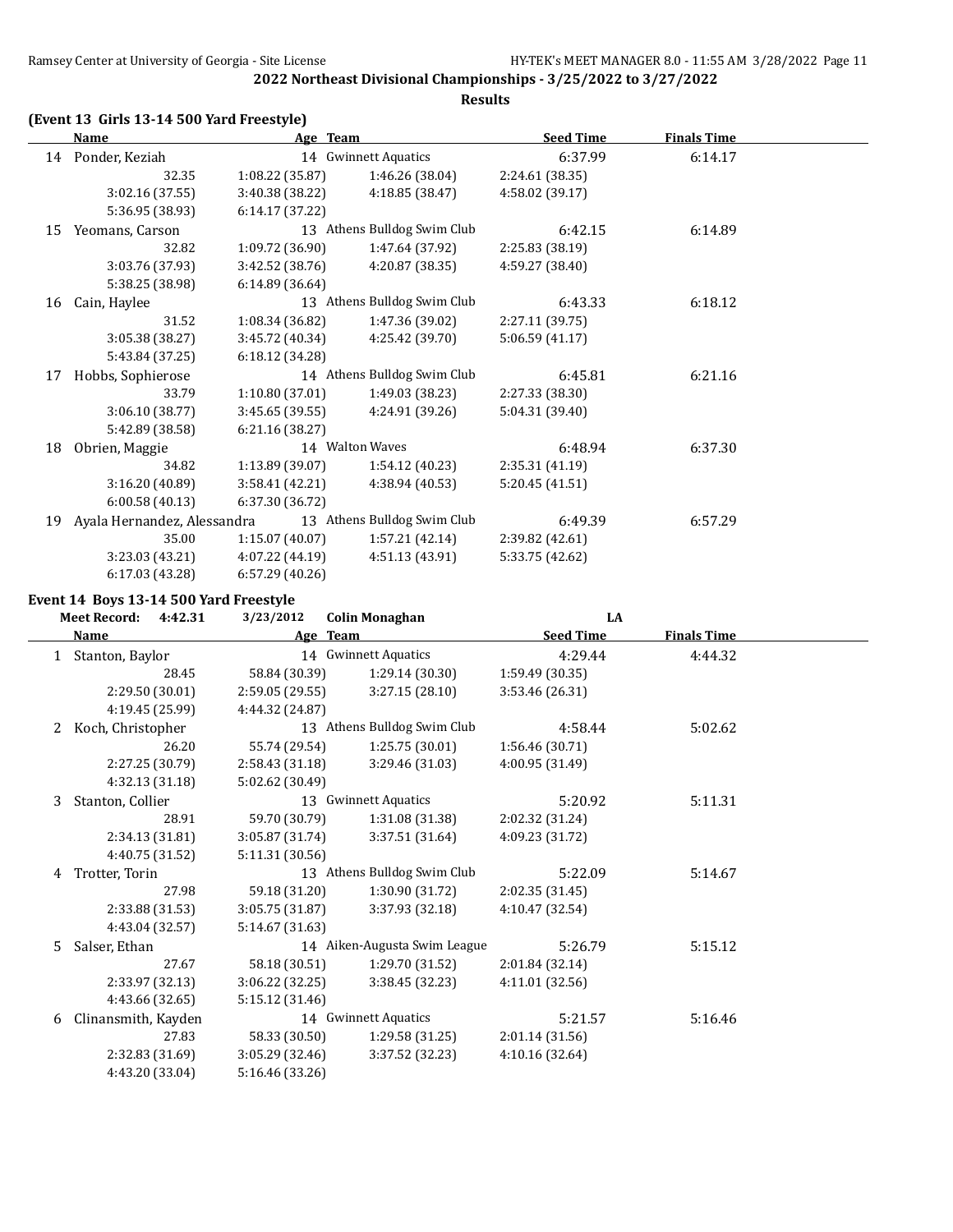## **(Event 13 Girls 13-14 500 Yard Freestyle)**

| Name |                             | Age Team                    |                             | <b>Seed Time</b> | <b>Finals Time</b> |  |
|------|-----------------------------|-----------------------------|-----------------------------|------------------|--------------------|--|
| 14   | Ponder, Keziah              |                             | 14 Gwinnett Aquatics        |                  | 6:14.17            |  |
|      | 32.35                       | 1:08.22 (35.87)             | 1:46.26 (38.04)             | 2:24.61 (38.35)  |                    |  |
|      | 3:02.16 (37.55)             | 3:40.38 (38.22)             | 4:18.85 (38.47)             | 4:58.02 (39.17)  |                    |  |
|      | 5:36.95 (38.93)             | 6:14.17 (37.22)             |                             |                  |                    |  |
| 15   | Yeomans, Carson             |                             | 13 Athens Bulldog Swim Club | 6:42.15          | 6:14.89            |  |
|      | 32.82                       | 1:09.72 (36.90)             | 1:47.64 (37.92)             | 2:25.83 (38.19)  |                    |  |
|      | 3:03.76 (37.93)             | 3:42.52 (38.76)             | 4:20.87 (38.35)             | 4:59.27 (38.40)  |                    |  |
|      | 5:38.25 (38.98)             | 6:14.89(36.64)              |                             |                  |                    |  |
| 16   | Cain, Haylee                | 13 Athens Bulldog Swim Club |                             | 6:43.33          | 6:18.12            |  |
|      | 31.52                       | 1:08.34 (36.82)             | 1:47.36 (39.02)             | 2:27.11 (39.75)  |                    |  |
|      | 3:05.38 (38.27)             | 3:45.72 (40.34)             | 4:25.42 (39.70)             | 5:06.59(41.17)   |                    |  |
|      | 5:43.84 (37.25)             | 6:18.12 (34.28)             |                             |                  |                    |  |
| 17   | Hobbs, Sophierose           |                             | 14 Athens Bulldog Swim Club | 6:45.81          | 6:21.16            |  |
|      | 33.79                       | 1:10.80(37.01)              | 1:49.03 (38.23)             | 2:27.33 (38.30)  |                    |  |
|      | 3:06.10 (38.77)             | 3:45.65 (39.55)             | 4:24.91 (39.26)             | 5:04.31 (39.40)  |                    |  |
|      | 5:42.89 (38.58)             | 6:21.16 (38.27)             |                             |                  |                    |  |
| 18   | Obrien, Maggie              |                             | 14 Walton Waves             | 6:48.94          | 6:37.30            |  |
|      | 34.82                       | 1:13.89 (39.07)             | 1:54.12 (40.23)             | 2:35.31 (41.19)  |                    |  |
|      | 3:16.20 (40.89)             | 3:58.41 (42.21)             | 4:38.94 (40.53)             | 5:20.45 (41.51)  |                    |  |
|      | 6:00.58(40.13)              | 6:37.30 (36.72)             |                             |                  |                    |  |
| 19   | Ayala Hernandez, Alessandra |                             | 13 Athens Bulldog Swim Club | 6:49.39          | 6:57.29            |  |
|      | 35.00                       | 1:15.07(40.07)              | 1:57.21 (42.14)             | 2:39.82 (42.61)  |                    |  |
|      | 3:23.03 (43.21)             | 4:07.22 (44.19)             | 4:51.13 (43.91)             | 5:33.75 (42.62)  |                    |  |
|      | 6:17.03 (43.28)             | 6:57.29 (40.26)             |                             |                  |                    |  |

#### **Event 14 Boys 13-14 500 Yard Freestyle**

|              | <b>Meet Record:</b><br>4:42.31 | 3/23/2012       | <b>Colin Monaghan</b>        | LA               |                    |  |
|--------------|--------------------------------|-----------------|------------------------------|------------------|--------------------|--|
|              | <b>Name</b>                    |                 | Age Team                     | <b>Seed Time</b> | <b>Finals Time</b> |  |
| $\mathbf{1}$ | Stanton, Baylor                |                 | 14 Gwinnett Aquatics         | 4:29.44          | 4:44.32            |  |
|              | 28.45                          | 58.84 (30.39)   | 1:29.14 (30.30)              | 1:59.49(30.35)   |                    |  |
|              | 2:29.50 (30.01)                | 2:59.05 (29.55) | 3:27.15(28.10)               | 3:53.46 (26.31)  |                    |  |
|              | 4:19.45 (25.99)                | 4:44.32 (24.87) |                              |                  |                    |  |
| 2            | Koch, Christopher              |                 | 13 Athens Bulldog Swim Club  | 4:58.44          | 5:02.62            |  |
|              | 26.20                          | 55.74 (29.54)   | 1:25.75 (30.01)              | 1:56.46 (30.71)  |                    |  |
|              | 2:27.25 (30.79)                | 2:58.43(31.18)  | 3:29.46 (31.03)              | 4:00.95(31.49)   |                    |  |
|              | 4:32.13 (31.18)                | 5:02.62 (30.49) |                              |                  |                    |  |
| 3            | Stanton, Collier               |                 | 13 Gwinnett Aquatics         | 5:20.92          | 5:11.31            |  |
|              | 28.91                          | 59.70 (30.79)   | 1:31.08 (31.38)              | 2:02.32 (31.24)  |                    |  |
|              | 2:34.13 (31.81)                | 3:05.87 (31.74) | 3:37.51 (31.64)              | 4:09.23 (31.72)  |                    |  |
|              | 4:40.75 (31.52)                | 5:11.31 (30.56) |                              |                  |                    |  |
| 4            | Trotter, Torin                 |                 | 13 Athens Bulldog Swim Club  | 5:22.09          | 5:14.67            |  |
|              | 27.98                          | 59.18 (31.20)   | 1:30.90 (31.72)              | 2:02.35(31.45)   |                    |  |
|              | 2:33.88 (31.53)                | 3:05.75(31.87)  | 3:37.93(32.18)               | 4:10.47 (32.54)  |                    |  |
|              | 4:43.04 (32.57)                | 5:14.67 (31.63) |                              |                  |                    |  |
| 5.           | Salser, Ethan                  |                 | 14 Aiken-Augusta Swim League | 5:26.79          | 5:15.12            |  |
|              | 27.67                          | 58.18 (30.51)   | 1:29.70 (31.52)              | 2:01.84 (32.14)  |                    |  |
|              | 2:33.97 (32.13)                | 3:06.22 (32.25) | 3:38.45 (32.23)              | 4:11.01(32.56)   |                    |  |
|              | 4:43.66 (32.65)                | 5:15.12 (31.46) |                              |                  |                    |  |
| 6            | Clinansmith, Kayden            |                 | 14 Gwinnett Aquatics         | 5:21.57          | 5:16.46            |  |
|              | 27.83                          | 58.33 (30.50)   | 1:29.58 (31.25)              | 2:01.14 (31.56)  |                    |  |
|              | 2:32.83 (31.69)                | 3:05.29 (32.46) | 3:37.52 (32.23)              | 4:10.16 (32.64)  |                    |  |
|              | 4:43.20 (33.04)                | 5:16.46 (33.26) |                              |                  |                    |  |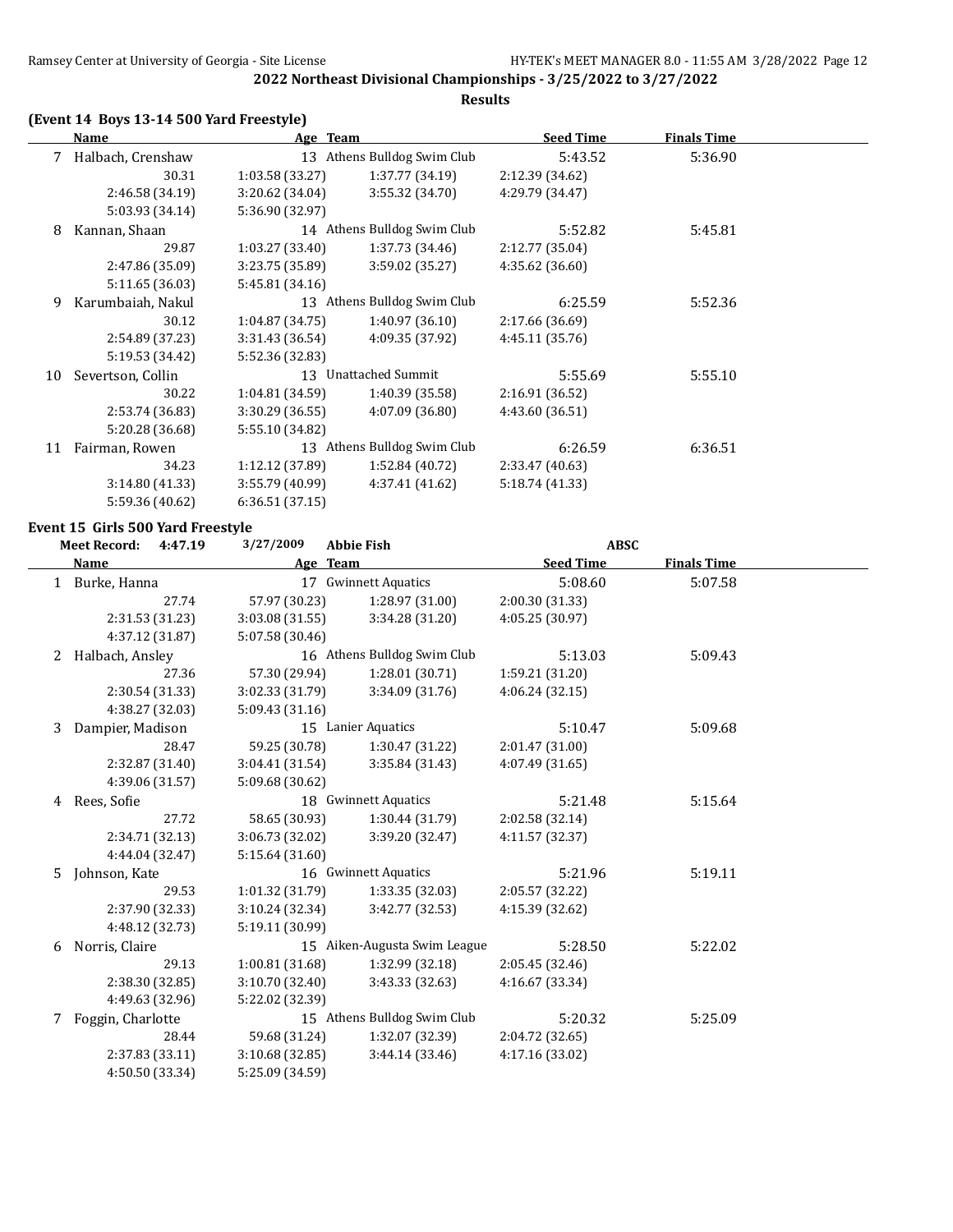## **(Event 14 Boys 13-14 500 Yard Freestyle)**

|    | Name              | Age Team        |                             | <b>Seed Time</b> | <b>Finals Time</b> |  |
|----|-------------------|-----------------|-----------------------------|------------------|--------------------|--|
| 7  | Halbach, Crenshaw |                 | 13 Athens Bulldog Swim Club | 5:43.52          | 5:36.90            |  |
|    | 30.31             | 1:03.58(33.27)  | 1:37.77(34.19)              | 2:12.39 (34.62)  |                    |  |
|    | 2:46.58 (34.19)   | 3:20.62 (34.04) | 3:55.32(34.70)              | 4:29.79 (34.47)  |                    |  |
|    | 5:03.93 (34.14)   | 5:36.90 (32.97) |                             |                  |                    |  |
| 8  | Kannan, Shaan     |                 | 14 Athens Bulldog Swim Club | 5:52.82          | 5:45.81            |  |
|    | 29.87             | 1:03.27(33.40)  | 1:37.73(34.46)              | 2:12.77 (35.04)  |                    |  |
|    | 2:47.86 (35.09)   | 3:23.75 (35.89) | 3:59.02 (35.27)             | 4:35.62 (36.60)  |                    |  |
|    | 5:11.65 (36.03)   | 5:45.81 (34.16) |                             |                  |                    |  |
| 9  | Karumbaiah, Nakul | 13              | Athens Bulldog Swim Club    | 6:25.59          | 5:52.36            |  |
|    | 30.12             | 1:04.87(34.75)  | 1:40.97(36.10)              | 2:17.66 (36.69)  |                    |  |
|    | 2:54.89 (37.23)   | 3:31.43 (36.54) | 4:09.35 (37.92)             | 4:45.11 (35.76)  |                    |  |
|    | 5:19.53 (34.42)   | 5:52.36 (32.83) |                             |                  |                    |  |
| 10 | Severtson, Collin |                 | 13 Unattached Summit        | 5:55.69          | 5:55.10            |  |
|    | 30.22             | 1:04.81(34.59)  | 1:40.39 (35.58)             | 2:16.91 (36.52)  |                    |  |
|    | 2:53.74 (36.83)   | 3:30.29(36.55)  | 4:07.09 (36.80)             | 4:43.60 (36.51)  |                    |  |
|    | 5:20.28 (36.68)   | 5:55.10 (34.82) |                             |                  |                    |  |
| 11 | Fairman, Rowen    |                 | 13 Athens Bulldog Swim Club | 6:26.59          | 6:36.51            |  |
|    | 34.23             | 1:12.12(37.89)  | 1:52.84 (40.72)             | 2:33.47 (40.63)  |                    |  |
|    | 3:14.80(41.33)    | 3:55.79 (40.99) | 4:37.41 (41.62)             | 5:18.74 (41.33)  |                    |  |
|    | 5:59.36 (40.62)   | 6:36.51(37.15)  |                             |                  |                    |  |

## **Event 15 Girls 500 Yard Freestyle**

| 3/27/2009<br><b>Meet Record:</b><br><b>Abbie Fish</b><br>4:47.19 |                   |                 | <b>ABSC</b>                  |                  |                    |  |
|------------------------------------------------------------------|-------------------|-----------------|------------------------------|------------------|--------------------|--|
|                                                                  | <b>Name</b>       |                 | Age Team                     | <b>Seed Time</b> | <b>Finals Time</b> |  |
|                                                                  | 1 Burke, Hanna    |                 | 17 Gwinnett Aquatics         | 5:08.60          | 5:07.58            |  |
|                                                                  | 27.74             | 57.97 (30.23)   | 1:28.97 (31.00)              | 2:00.30 (31.33)  |                    |  |
|                                                                  | 2:31.53 (31.23)   | 3:03.08 (31.55) | 3:34.28 (31.20)              | 4:05.25 (30.97)  |                    |  |
|                                                                  | 4:37.12 (31.87)   | 5:07.58 (30.46) |                              |                  |                    |  |
| 2                                                                | Halbach, Ansley   |                 | 16 Athens Bulldog Swim Club  | 5:13.03          | 5:09.43            |  |
|                                                                  | 27.36             | 57.30 (29.94)   | 1:28.01 (30.71)              | 1:59.21 (31.20)  |                    |  |
|                                                                  | 2:30.54 (31.33)   | 3:02.33 (31.79) | 3:34.09 (31.76)              | 4:06.24 (32.15)  |                    |  |
|                                                                  | 4:38.27 (32.03)   | 5:09.43(31.16)  |                              |                  |                    |  |
| 3                                                                | Dampier, Madison  |                 | 15 Lanier Aquatics           | 5:10.47          | 5:09.68            |  |
|                                                                  | 28.47             | 59.25 (30.78)   | 1:30.47 (31.22)              | 2:01.47 (31.00)  |                    |  |
|                                                                  | 2:32.87 (31.40)   | 3:04.41 (31.54) | 3:35.84 (31.43)              | 4:07.49 (31.65)  |                    |  |
|                                                                  | 4:39.06 (31.57)   | 5:09.68 (30.62) |                              |                  |                    |  |
| 4                                                                | Rees, Sofie       |                 | 18 Gwinnett Aquatics         | 5:21.48          | 5:15.64            |  |
|                                                                  | 27.72             | 58.65 (30.93)   | 1:30.44 (31.79)              | 2:02.58 (32.14)  |                    |  |
|                                                                  | 2:34.71 (32.13)   | 3:06.73 (32.02) | 3:39.20 (32.47)              | 4:11.57 (32.37)  |                    |  |
|                                                                  | 4:44.04 (32.47)   | 5:15.64 (31.60) |                              |                  |                    |  |
| 5.                                                               | Johnson, Kate     |                 | 16 Gwinnett Aquatics         | 5:21.96          | 5:19.11            |  |
|                                                                  | 29.53             | 1:01.32 (31.79) | 1:33.35 (32.03)              | 2:05.57 (32.22)  |                    |  |
|                                                                  | 2:37.90 (32.33)   | 3:10.24 (32.34) | 3:42.77 (32.53)              | 4:15.39 (32.62)  |                    |  |
|                                                                  | 4:48.12 (32.73)   | 5:19.11 (30.99) |                              |                  |                    |  |
| 6                                                                | Norris, Claire    |                 | 15 Aiken-Augusta Swim League | 5:28.50          | 5:22.02            |  |
|                                                                  | 29.13             | 1:00.81(31.68)  | 1:32.99 (32.18)              | 2:05.45 (32.46)  |                    |  |
|                                                                  | 2:38.30 (32.85)   | 3:10.70 (32.40) | 3:43.33 (32.63)              | 4:16.67 (33.34)  |                    |  |
|                                                                  | 4:49.63 (32.96)   | 5:22.02 (32.39) |                              |                  |                    |  |
| 7                                                                | Foggin, Charlotte |                 | 15 Athens Bulldog Swim Club  | 5:20.32          | 5:25.09            |  |
|                                                                  | 28.44             | 59.68 (31.24)   | 1:32.07 (32.39)              | 2:04.72 (32.65)  |                    |  |
|                                                                  | 2:37.83 (33.11)   | 3:10.68(32.85)  | 3:44.14 (33.46)              | 4:17.16 (33.02)  |                    |  |
|                                                                  | 4:50.50 (33.34)   | 5:25.09 (34.59) |                              |                  |                    |  |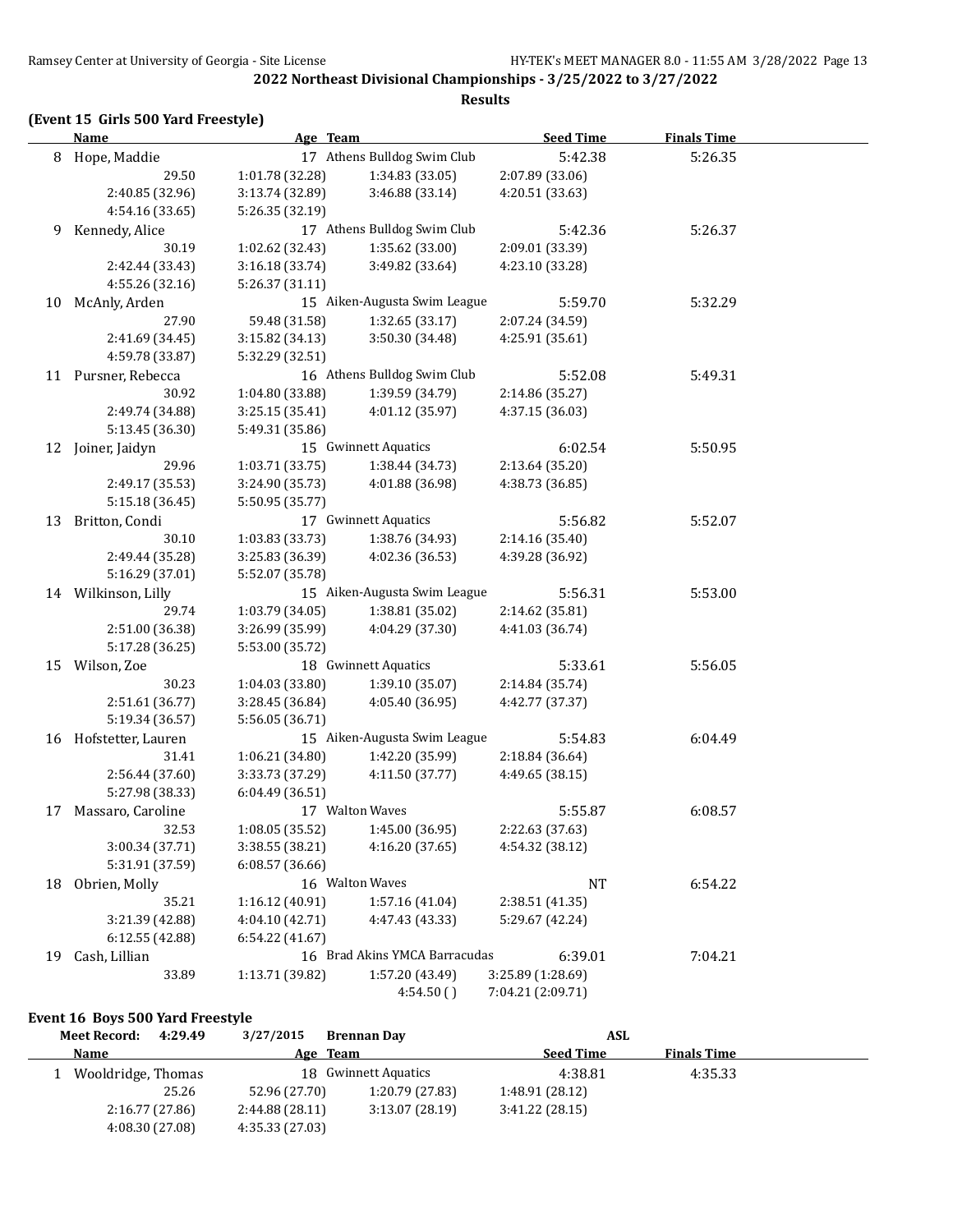#### **(Event 15 Girls 500 Yard Freestyle)**

**Name Age Team Seed Time Finals Time** 8 Hope, Maddie 17 Athens Bulldog Swim Club 5:42.38 5:26.35 29.50 1:01.78 (32.28) 1:34.83 (33.05) 2:07.89 (33.06) 2:40.85 (32.96) 3:13.74 (32.89) 3:46.88 (33.14) 4:20.51 (33.63) 4:54.16 (33.65) 5:26.35 (32.19) 9 Kennedy, Alice 17 Athens Bulldog Swim Club 5:42.36 5:26.37 30.19 1:02.62 (32.43) 1:35.62 (33.00) 2:09.01 (33.39) 2:42.44 (33.43) 3:16.18 (33.74) 3:49.82 (33.64) 4:23.10 (33.28) 4:55.26 (32.16) 5:26.37 (31.11) 10 McAnly, Arden 15 Aiken-Augusta Swim League 5:59.70 5:32.29 27.90 59.48 (31.58) 1:32.65 (33.17) 2:07.24 (34.59) 2:41.69 (34.45) 3:15.82 (34.13) 3:50.30 (34.48) 4:25.91 (35.61) 4:59.78 (33.87) 5:32.29 (32.51) 11 Pursner, Rebecca 16 Athens Bulldog Swim Club 5:52.08 5:49.31 30.92 1:04.80 (33.88) 1:39.59 (34.79) 2:14.86 (35.27) 2:49.74 (34.88) 3:25.15 (35.41) 4:01.12 (35.97) 4:37.15 (36.03) 5:13.45 (36.30) 5:49.31 (35.86) 12 Joiner, Jaidyn 15 Gwinnett Aquatics 6:02.54 5:50.95 29.96 1:03.71 (33.75) 1:38.44 (34.73) 2:13.64 (35.20) 2:49.17 (35.53) 3:24.90 (35.73) 4:01.88 (36.98) 4:38.73 (36.85) 5:15.18 (36.45) 5:50.95 (35.77) 13 Britton, Condi 17 Gwinnett Aquatics 5:56.82 5:52.07 30.10 1:03.83 (33.73) 1:38.76 (34.93) 2:14.16 (35.40) 2:49.44 (35.28) 3:25.83 (36.39) 4:02.36 (36.53) 4:39.28 (36.92) 5:16.29 (37.01) 5:52.07 (35.78) 14 Wilkinson, Lilly 15 Aiken-Augusta Swim League 5:56.31 5:53.00 29.74 1:03.79 (34.05) 1:38.81 (35.02) 2:14.62 (35.81) 2:51.00 (36.38) 3:26.99 (35.99) 4:04.29 (37.30) 4:41.03 (36.74) 5:17.28 (36.25) 5:53.00 (35.72) 15 Wilson, Zoe 18 Gwinnett Aquatics 5:33.61 5:56.05 30.23 1:04.03 (33.80) 1:39.10 (35.07) 2:14.84 (35.74) 2:51.61 (36.77) 3:28.45 (36.84) 4:05.40 (36.95) 4:42.77 (37.37) 5:19.34 (36.57) 5:56.05 (36.71) 16 Hofstetter, Lauren 15 Aiken-Augusta Swim League 5:54.83 6:04.49 31.41 1:06.21 (34.80) 1:42.20 (35.99) 2:18.84 (36.64) 2:56.44 (37.60) 3:33.73 (37.29) 4:11.50 (37.77) 4:49.65 (38.15) 5:27.98 (38.33) 6:04.49 (36.51) 17 Massaro, Caroline 17 Walton Waves 5:55.87 6:08.57 32.53 1:08.05 (35.52) 1:45.00 (36.95) 2:22.63 (37.63) 3:00.34 (37.71) 3:38.55 (38.21) 4:16.20 (37.65) 4:54.32 (38.12) 5:31.91 (37.59) 6:08.57 (36.66) 18 Obrien, Molly 16 Walton Waves 16 Walton Waves NT 6:54.22 35.21 1:16.12 (40.91) 1:57.16 (41.04) 2:38.51 (41.35) 3:21.39 (42.88) 4:04.10 (42.71) 4:47.43 (43.33) 5:29.67 (42.24) 6:12.55 (42.88) 6:54.22 (41.67) 19 Cash, Lillian 16 Brad Akins YMCA Barracudas 6:39.01 7:04.21 33.89 1:13.71 (39.82) 1:57.20 (43.49) 3:25.89 (1:28.69) 4:54.50 ( ) 7:04.21 (2:09.71)

#### **Event 16 Boys 500 Yard Freestyle**

| 4:29.49<br><b>Meet Record:</b> | 3/27/2015       | <b>Brennan Day</b>   | ASL              |                    |  |
|--------------------------------|-----------------|----------------------|------------------|--------------------|--|
| Name                           | Age Team        |                      | <b>Seed Time</b> | <b>Finals Time</b> |  |
| Wooldridge, Thomas             |                 | 18 Gwinnett Aquatics | 4:38.81          | 4:35.33            |  |
| 25.26                          | 52.96 (27.70)   | 1:20.79 (27.83)      | 1:48.91 (28.12)  |                    |  |
| 2:16.77(27.86)                 | 2:44.88(28.11)  | 3:13.07(28.19)       | 3:41.22(28.15)   |                    |  |
| 4:08.30(27.08)                 | 4:35.33 (27.03) |                      |                  |                    |  |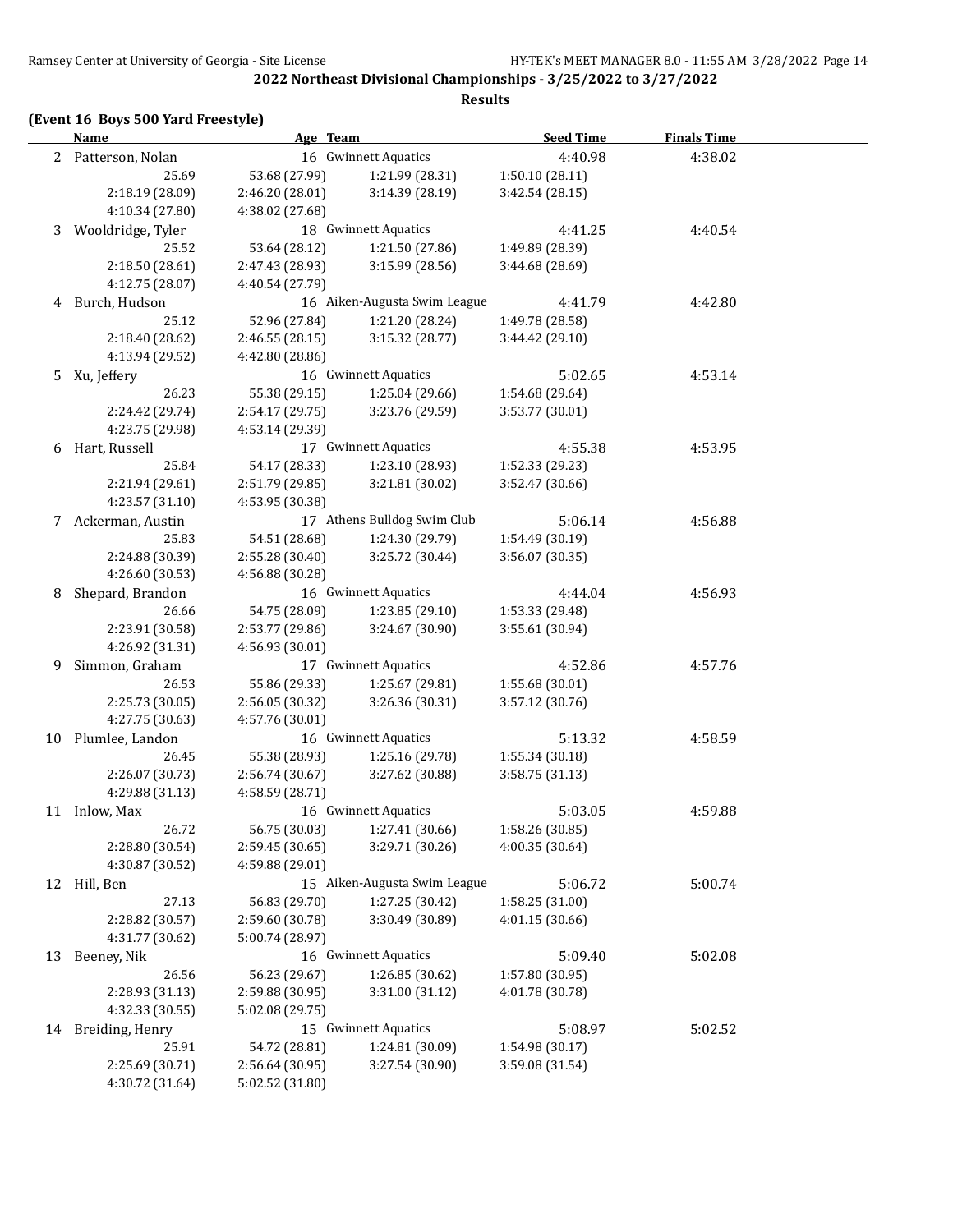#### **(Event 16 Boys 500 Yard Freestyle)**

**Name Age Team Seed Time Finals Time** 2 Patterson, Nolan 16 Gwinnett Aquatics 4:40.98 4:38.02 25.69 53.68 (27.99) 1:21.99 (28.31) 1:50.10 (28.11) 2:18.19 (28.09) 2:46.20 (28.01) 3:14.39 (28.19) 3:42.54 (28.15) 4:10.34 (27.80) 4:38.02 (27.68) 3 Wooldridge, Tyler 18 Gwinnett Aquatics 4:41.25 4:40.54 25.52 53.64 (28.12) 1:21.50 (27.86) 1:49.89 (28.39) 2:18.50 (28.61) 2:47.43 (28.93) 3:15.99 (28.56) 3:44.68 (28.69) 4:12.75 (28.07) 4:40.54 (27.79) 4 Burch, Hudson 16 Aiken-Augusta Swim League 4:41.79 4:42.80 25.12 52.96 (27.84) 1:21.20 (28.24) 1:49.78 (28.58) 2:18.40 (28.62) 2:46.55 (28.15) 3:15.32 (28.77) 3:44.42 (29.10) 4:13.94 (29.52) 4:42.80 (28.86) 5 Xu, Jeffery 16 Gwinnett Aquatics 5:02.65 4:53.14 26.23 55.38 (29.15) 1:25.04 (29.66) 1:54.68 (29.64) 2:24.42 (29.74) 2:54.17 (29.75) 3:23.76 (29.59) 3:53.77 (30.01) 4:23.75 (29.98) 4:53.14 (29.39) 6 Hart, Russell 17 Gwinnett Aquatics 4:55.38 4:53.95 25.84 54.17 (28.33) 1:23.10 (28.93) 1:52.33 (29.23) 2:21.94 (29.61) 2:51.79 (29.85) 3:21.81 (30.02) 3:52.47 (30.66) 4:23.57 (31.10) 4:53.95 (30.38) 7 Ackerman, Austin 17 Athens Bulldog Swim Club 5:06.14 4:56.88 25.83 54.51 (28.68) 1:24.30 (29.79) 1:54.49 (30.19) 2:24.88 (30.39) 2:55.28 (30.40) 3:25.72 (30.44) 3:56.07 (30.35) 4:26.60 (30.53) 4:56.88 (30.28) 8 Shepard, Brandon 16 Gwinnett Aquatics 4:44.04 4:56.93 26.66 54.75 (28.09) 1:23.85 (29.10) 1:53.33 (29.48) 2:23.91 (30.58) 2:53.77 (29.86) 3:24.67 (30.90) 3:55.61 (30.94) 4:26.92 (31.31) 4:56.93 (30.01) 9 Simmon, Graham 17 Gwinnett Aquatics 4:52.86 4:57.76 26.53 55.86 (29.33) 1:25.67 (29.81) 1:55.68 (30.01) 2:25.73 (30.05) 2:56.05 (30.32) 3:26.36 (30.31) 3:57.12 (30.76) 4:27.75 (30.63) 4:57.76 (30.01) 10 Plumlee, Landon 16 Gwinnett Aquatics 5:13.32 4:58.59 26.45 55.38 (28.93) 1:25.16 (29.78) 1:55.34 (30.18) 2:26.07 (30.73) 2:56.74 (30.67) 3:27.62 (30.88) 3:58.75 (31.13) 4:29.88 (31.13) 4:58.59 (28.71) 11 Inlow, Max 16 Gwinnett Aquatics 5:03.05 4:59.88 26.72 56.75 (30.03) 1:27.41 (30.66) 1:58.26 (30.85) 2:28.80 (30.54) 2:59.45 (30.65) 3:29.71 (30.26) 4:00.35 (30.64) 4:30.87 (30.52) 4:59.88 (29.01) 12 Hill, Ben 15 Aiken-Augusta Swim League 5:06.72 5:00.74 27.13 56.83 (29.70) 1:27.25 (30.42) 1:58.25 (31.00) 2:28.82 (30.57) 2:59.60 (30.78) 3:30.49 (30.89) 4:01.15 (30.66) 4:31.77 (30.62) 5:00.74 (28.97) 13 Beeney, Nik 16 Gwinnett Aquatics 5:09.40 5:02.08 26.56 56.23 (29.67) 1:26.85 (30.62) 1:57.80 (30.95) 2:28.93 (31.13) 2:59.88 (30.95) 3:31.00 (31.12) 4:01.78 (30.78) 4:32.33 (30.55) 5:02.08 (29.75) 14 Breiding, Henry 15 Gwinnett Aquatics 5:08.97 5:02.52 25.91 54.72 (28.81) 1:24.81 (30.09) 1:54.98 (30.17) 2:25.69 (30.71) 2:56.64 (30.95) 3:27.54 (30.90) 3:59.08 (31.54) 4:30.72 (31.64) 5:02.52 (31.80)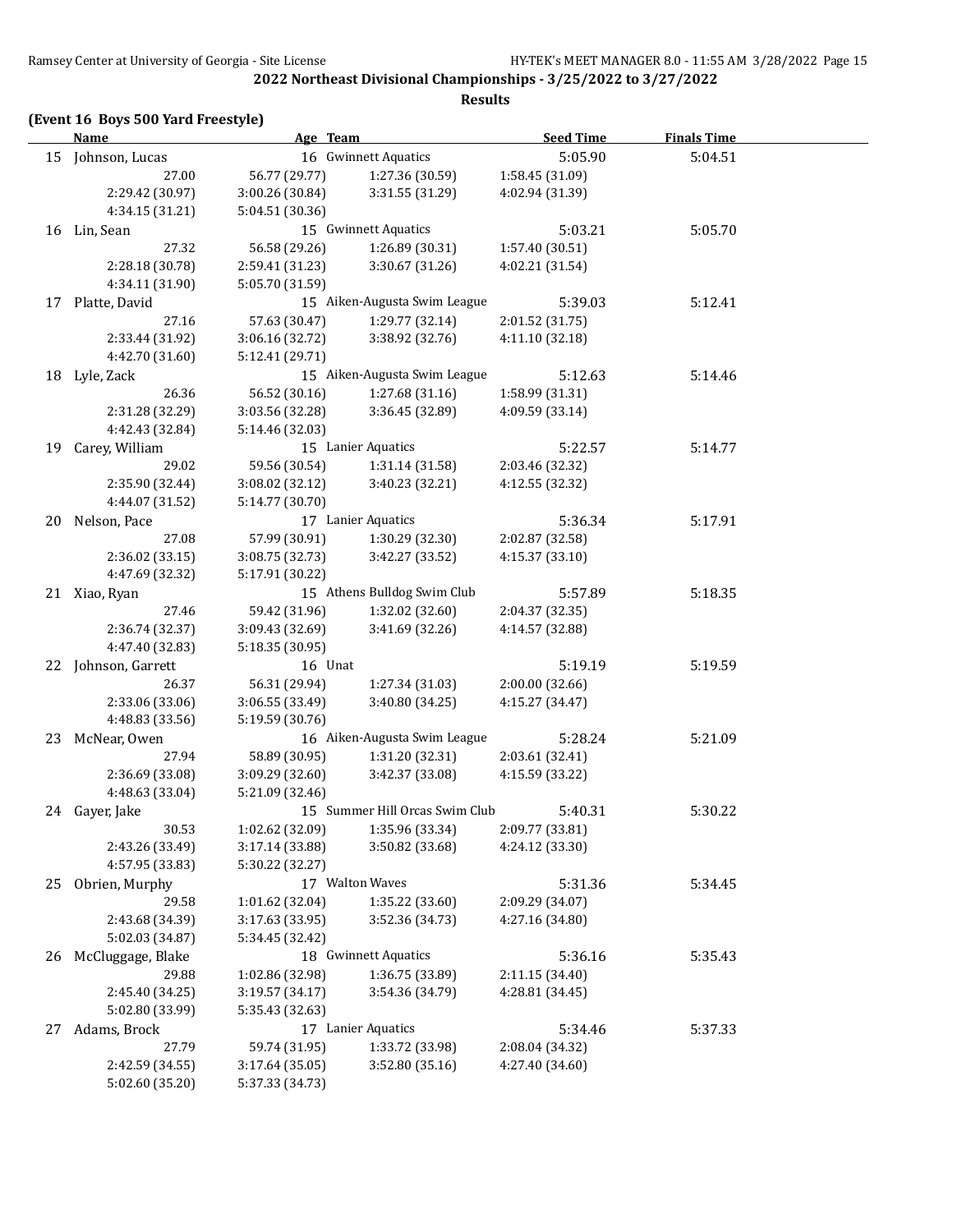**(Event 16 Boys 500 Yard Freestyle)**

|    | <u>Name</u>          | Age Team        |                                | <b>Seed Time</b> | <b>Finals Time</b> |  |
|----|----------------------|-----------------|--------------------------------|------------------|--------------------|--|
|    | 15 Johnson, Lucas    |                 | 16 Gwinnett Aquatics           | 5:05.90          | 5:04.51            |  |
|    | 27.00                | 56.77 (29.77)   | 1:27.36 (30.59)                | 1:58.45 (31.09)  |                    |  |
|    | 2:29.42 (30.97)      | 3:00.26 (30.84) | 3:31.55 (31.29)                | 4:02.94 (31.39)  |                    |  |
|    | 4:34.15 (31.21)      | 5:04.51 (30.36) |                                |                  |                    |  |
|    | 16 Lin, Sean         |                 | 15 Gwinnett Aquatics           | 5:03.21          | 5:05.70            |  |
|    | 27.32                | 56.58 (29.26)   | 1:26.89 (30.31)                | 1:57.40 (30.51)  |                    |  |
|    | 2:28.18 (30.78)      | 2:59.41 (31.23) | 3:30.67 (31.26)                | 4:02.21 (31.54)  |                    |  |
|    | 4:34.11 (31.90)      | 5:05.70 (31.59) |                                |                  |                    |  |
|    | 17 Platte, David     |                 | 15 Aiken-Augusta Swim League   | 5:39.03          | 5:12.41            |  |
|    | 27.16                | 57.63 (30.47)   | 1:29.77 (32.14)                | 2:01.52 (31.75)  |                    |  |
|    | 2:33.44 (31.92)      | 3:06.16 (32.72) | 3:38.92 (32.76)                | 4:11.10 (32.18)  |                    |  |
|    | 4:42.70 (31.60)      | 5:12.41 (29.71) |                                |                  |                    |  |
|    | 18 Lyle, Zack        |                 | 15 Aiken-Augusta Swim League   | 5:12.63          | 5:14.46            |  |
|    | 26.36                | 56.52 (30.16)   | 1:27.68 (31.16)                | 1:58.99 (31.31)  |                    |  |
|    | 2:31.28 (32.29)      | 3:03.56 (32.28) | 3:36.45 (32.89)                | 4:09.59 (33.14)  |                    |  |
|    | 4:42.43 (32.84)      | 5:14.46 (32.03) |                                |                  |                    |  |
| 19 | Carey, William       |                 | 15 Lanier Aquatics             | 5:22.57          | 5:14.77            |  |
|    | 29.02                | 59.56 (30.54)   | 1:31.14 (31.58)                | 2:03.46 (32.32)  |                    |  |
|    | 2:35.90 (32.44)      | 3:08.02(32.12)  | 3:40.23 (32.21)                | 4:12.55 (32.32)  |                    |  |
|    | 4:44.07 (31.52)      | 5:14.77 (30.70) |                                |                  |                    |  |
|    | 20 Nelson, Pace      |                 | 17 Lanier Aquatics             | 5:36.34          | 5:17.91            |  |
|    | 27.08                | 57.99 (30.91)   | 1:30.29 (32.30)                | 2:02.87 (32.58)  |                    |  |
|    | 2:36.02 (33.15)      | 3:08.75 (32.73) | 3:42.27 (33.52)                | 4:15.37 (33.10)  |                    |  |
|    | 4:47.69 (32.32)      | 5:17.91 (30.22) |                                |                  |                    |  |
|    | 21 Xiao, Ryan        |                 | 15 Athens Bulldog Swim Club    | 5:57.89          | 5:18.35            |  |
|    | 27.46                | 59.42 (31.96)   | 1:32.02 (32.60)                | 2:04.37 (32.35)  |                    |  |
|    | 2:36.74 (32.37)      | 3:09.43 (32.69) | 3:41.69 (32.26)                | 4:14.57 (32.88)  |                    |  |
|    | 4:47.40 (32.83)      | 5:18.35 (30.95) |                                |                  |                    |  |
|    | 22 Johnson, Garrett  | 16 Unat         |                                | 5:19.19          | 5:19.59            |  |
|    | 26.37                | 56.31 (29.94)   | 1:27.34 (31.03)                | 2:00.00 (32.66)  |                    |  |
|    | 2:33.06 (33.06)      | 3:06.55 (33.49) | 3:40.80 (34.25)                | 4:15.27 (34.47)  |                    |  |
|    | 4:48.83 (33.56)      | 5:19.59 (30.76) |                                |                  |                    |  |
|    | 23 McNear, Owen      |                 | 16 Aiken-Augusta Swim League   | 5:28.24          | 5:21.09            |  |
|    | 27.94                | 58.89 (30.95)   | 1:31.20 (32.31)                | 2:03.61 (32.41)  |                    |  |
|    | 2:36.69 (33.08)      | 3:09.29 (32.60) | 3:42.37 (33.08)                | 4:15.59 (33.22)  |                    |  |
|    | 4:48.63 (33.04)      | 5:21.09 (32.46) |                                |                  |                    |  |
|    | 24 Gayer, Jake       |                 | 15 Summer Hill Orcas Swim Club | 5:40.31          | 5:30.22            |  |
|    | 30.53                | 1:02.62 (32.09) | 1:35.96 (33.34)                | 2:09.77 (33.81)  |                    |  |
|    | 2:43.26 (33.49)      | 3:17.14 (33.88) | 3:50.82 (33.68)                | 4:24.12 (33.30)  |                    |  |
|    | 4:57.95 (33.83)      | 5:30.22 (32.27) |                                |                  |                    |  |
| 25 | Obrien, Murphy       |                 | 17 Walton Waves                | 5:31.36          | 5:34.45            |  |
|    | 29.58                | 1:01.62 (32.04) | 1:35.22 (33.60)                | 2:09.29 (34.07)  |                    |  |
|    | 2:43.68 (34.39)      | 3:17.63 (33.95) | 3:52.36 (34.73)                | 4:27.16 (34.80)  |                    |  |
|    | 5:02.03 (34.87)      | 5:34.45 (32.42) |                                |                  |                    |  |
|    | 26 McCluggage, Blake |                 | 18 Gwinnett Aquatics           | 5:36.16          | 5:35.43            |  |
|    | 29.88                | 1:02.86 (32.98) | 1:36.75 (33.89)                | 2:11.15 (34.40)  |                    |  |
|    | 2:45.40 (34.25)      | 3:19.57 (34.17) | 3:54.36 (34.79)                | 4:28.81 (34.45)  |                    |  |
|    | 5:02.80 (33.99)      | 5:35.43 (32.63) |                                |                  |                    |  |
|    | 27 Adams, Brock      |                 | 17 Lanier Aquatics             | 5:34.46          | 5:37.33            |  |
|    | 27.79                | 59.74 (31.95)   | 1:33.72 (33.98)                | 2:08.04 (34.32)  |                    |  |
|    | 2:42.59 (34.55)      | 3:17.64 (35.05) | 3:52.80 (35.16)                | 4:27.40 (34.60)  |                    |  |
|    | 5:02.60 (35.20)      | 5:37.33 (34.73) |                                |                  |                    |  |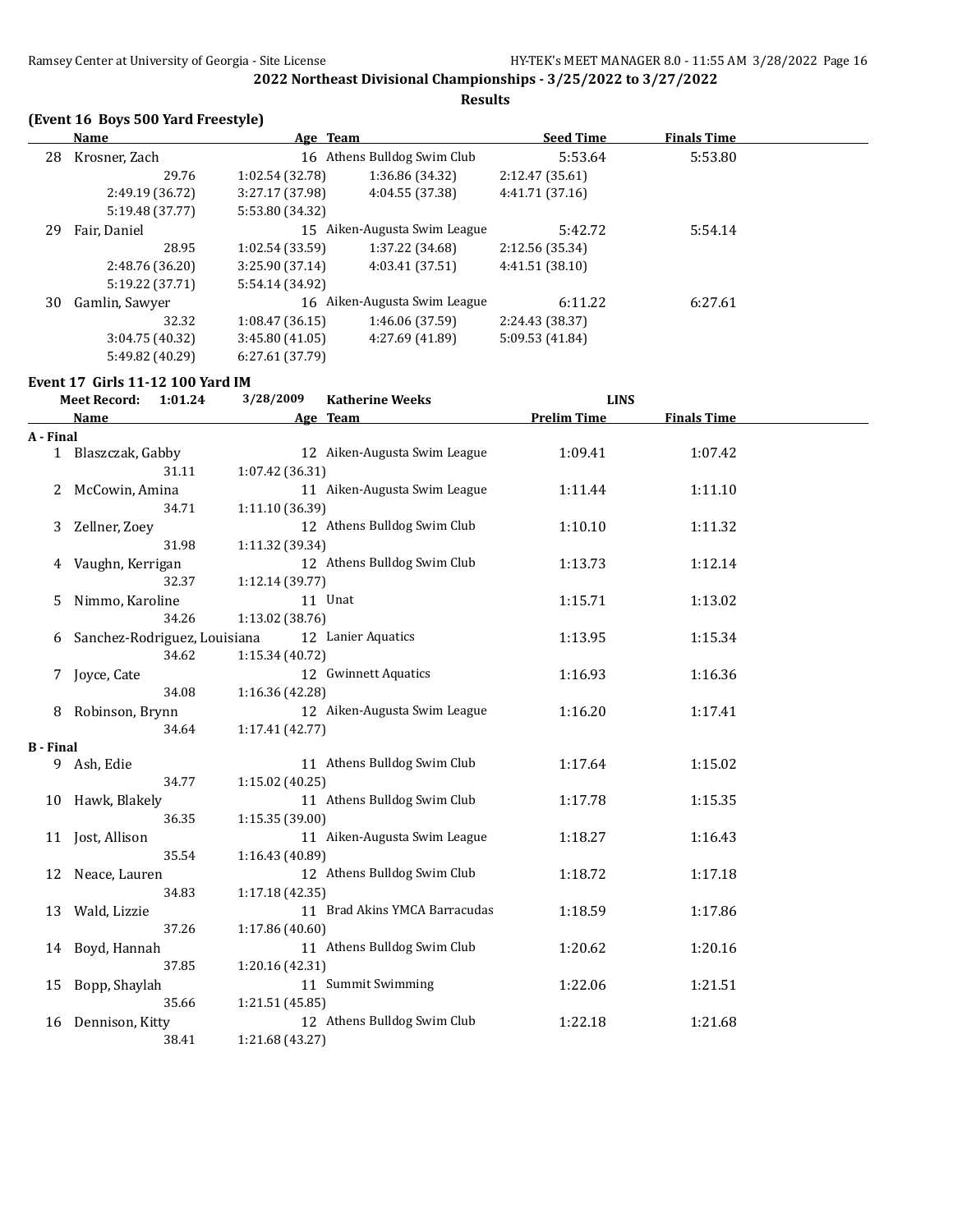#### **Results**

## **(Event 16 Boys 500 Yard Freestyle)**

|    | Name            | Age Team        |                              | <b>Seed Time</b> | <b>Finals Time</b> |  |
|----|-----------------|-----------------|------------------------------|------------------|--------------------|--|
| 28 | Krosner, Zach   |                 | 16 Athens Bulldog Swim Club  | 5:53.64          | 5:53.80            |  |
|    | 29.76           | 1:02.54(32.78)  | 1:36.86 (34.32)              | 2:12.47 (35.61)  |                    |  |
|    | 2:49.19 (36.72) | 3:27.17 (37.98) | 4:04.55 (37.38)              | 4:41.71 (37.16)  |                    |  |
|    | 5:19.48 (37.77) | 5:53.80 (34.32) |                              |                  |                    |  |
| 29 | Fair, Daniel    |                 | 15 Aiken-Augusta Swim League | 5:42.72          | 5:54.14            |  |
|    | 28.95           | 1:02.54(33.59)  | 1:37.22 (34.68)              | 2:12.56 (35.34)  |                    |  |
|    | 2:48.76 (36.20) | 3:25.90(37.14)  | 4:03.41 (37.51)              | 4:41.51(38.10)   |                    |  |
|    | 5:19.22 (37.71) | 5:54.14 (34.92) |                              |                  |                    |  |
| 30 | Gamlin, Sawyer  |                 | 16 Aiken-Augusta Swim League | 6:11.22          | 6:27.61            |  |
|    | 32.32           | 1:08.47(36.15)  | 1:46.06 (37.59)              | 2:24.43 (38.37)  |                    |  |
|    | 3:04.75(40.32)  | 3:45.80(41.05)  | 4:27.69 (41.89)              | 5:09.53 (41.84)  |                    |  |
|    | 5:49.82 (40.29) | 6:27.61 (37.79) |                              |                  |                    |  |

## **Event 17 Girls 11-12 100 Yard IM**

| <b>Meet Record:</b><br>1:01.24 |                              |       | 3/28/2009<br><b>Katherine Weeks</b> |                               | <b>LINS</b>        |                    |  |
|--------------------------------|------------------------------|-------|-------------------------------------|-------------------------------|--------------------|--------------------|--|
|                                | <b>Name</b>                  |       |                                     | Age Team                      | <b>Prelim Time</b> | <b>Finals Time</b> |  |
| A - Final                      |                              |       |                                     |                               |                    |                    |  |
|                                | 1 Blaszczak, Gabby           |       |                                     | 12 Aiken-Augusta Swim League  | 1:09.41            | 1:07.42            |  |
|                                |                              | 31.11 | 1:07.42 (36.31)                     |                               |                    |                    |  |
|                                | McCowin, Amina               |       |                                     | 11 Aiken-Augusta Swim League  | 1:11.44            | 1:11.10            |  |
|                                |                              | 34.71 | 1:11.10 (36.39)                     |                               |                    |                    |  |
| 3                              | Zellner, Zoey                |       |                                     | 12 Athens Bulldog Swim Club   | 1:10.10            | 1:11.32            |  |
|                                |                              | 31.98 | 1:11.32 (39.34)                     |                               |                    |                    |  |
| 4                              | Vaughn, Kerrigan             |       |                                     | 12 Athens Bulldog Swim Club   | 1:13.73            | 1:12.14            |  |
|                                |                              | 32.37 | 1:12.14 (39.77)                     |                               |                    |                    |  |
| 5.                             | Nimmo, Karoline              |       |                                     | 11 Unat                       | 1:15.71            | 1:13.02            |  |
|                                |                              | 34.26 | 1:13.02 (38.76)                     |                               |                    |                    |  |
| 6                              | Sanchez-Rodriguez, Louisiana |       |                                     | 12 Lanier Aquatics            | 1:13.95            | 1:15.34            |  |
|                                |                              | 34.62 | 1:15.34 (40.72)                     |                               |                    |                    |  |
| 7                              | Joyce, Cate                  |       |                                     | 12 Gwinnett Aquatics          | 1:16.93            | 1:16.36            |  |
|                                |                              | 34.08 | 1:16.36 (42.28)                     |                               |                    |                    |  |
|                                | 8 Robinson, Brynn            |       |                                     | 12 Aiken-Augusta Swim League  | 1:16.20            | 1:17.41            |  |
|                                |                              | 34.64 | 1:17.41 (42.77)                     |                               |                    |                    |  |
| <b>B</b> - Final               |                              |       |                                     |                               |                    |                    |  |
|                                | 9 Ash, Edie                  |       |                                     | 11 Athens Bulldog Swim Club   | 1:17.64            | 1:15.02            |  |
|                                |                              | 34.77 | 1:15.02 (40.25)                     |                               |                    |                    |  |
|                                | 10 Hawk, Blakely             |       |                                     | 11 Athens Bulldog Swim Club   | 1:17.78            | 1:15.35            |  |
|                                |                              | 36.35 | 1:15.35 (39.00)                     |                               |                    |                    |  |
|                                | 11 Jost, Allison             |       |                                     | 11 Aiken-Augusta Swim League  | 1:18.27            | 1:16.43            |  |
|                                |                              | 35.54 | 1:16.43 (40.89)                     |                               |                    |                    |  |
| 12                             | Neace, Lauren                |       |                                     | 12 Athens Bulldog Swim Club   | 1:18.72            | 1:17.18            |  |
|                                |                              | 34.83 | 1:17.18(42.35)                      |                               |                    |                    |  |
| 13                             | Wald, Lizzie                 |       |                                     | 11 Brad Akins YMCA Barracudas | 1:18.59            | 1:17.86            |  |
|                                |                              | 37.26 | 1:17.86 (40.60)                     |                               |                    |                    |  |
|                                | 14 Boyd, Hannah              |       |                                     | 11 Athens Bulldog Swim Club   | 1:20.62            | 1:20.16            |  |
|                                |                              | 37.85 | 1:20.16 (42.31)                     |                               |                    |                    |  |
|                                | 15 Bopp, Shaylah             |       |                                     | 11 Summit Swimming            | 1:22.06            | 1:21.51            |  |
|                                |                              | 35.66 | 1:21.51 (45.85)                     |                               |                    |                    |  |
| 16                             | Dennison, Kitty              |       |                                     | 12 Athens Bulldog Swim Club   | 1:22.18            | 1:21.68            |  |
|                                |                              | 38.41 | 1:21.68 (43.27)                     |                               |                    |                    |  |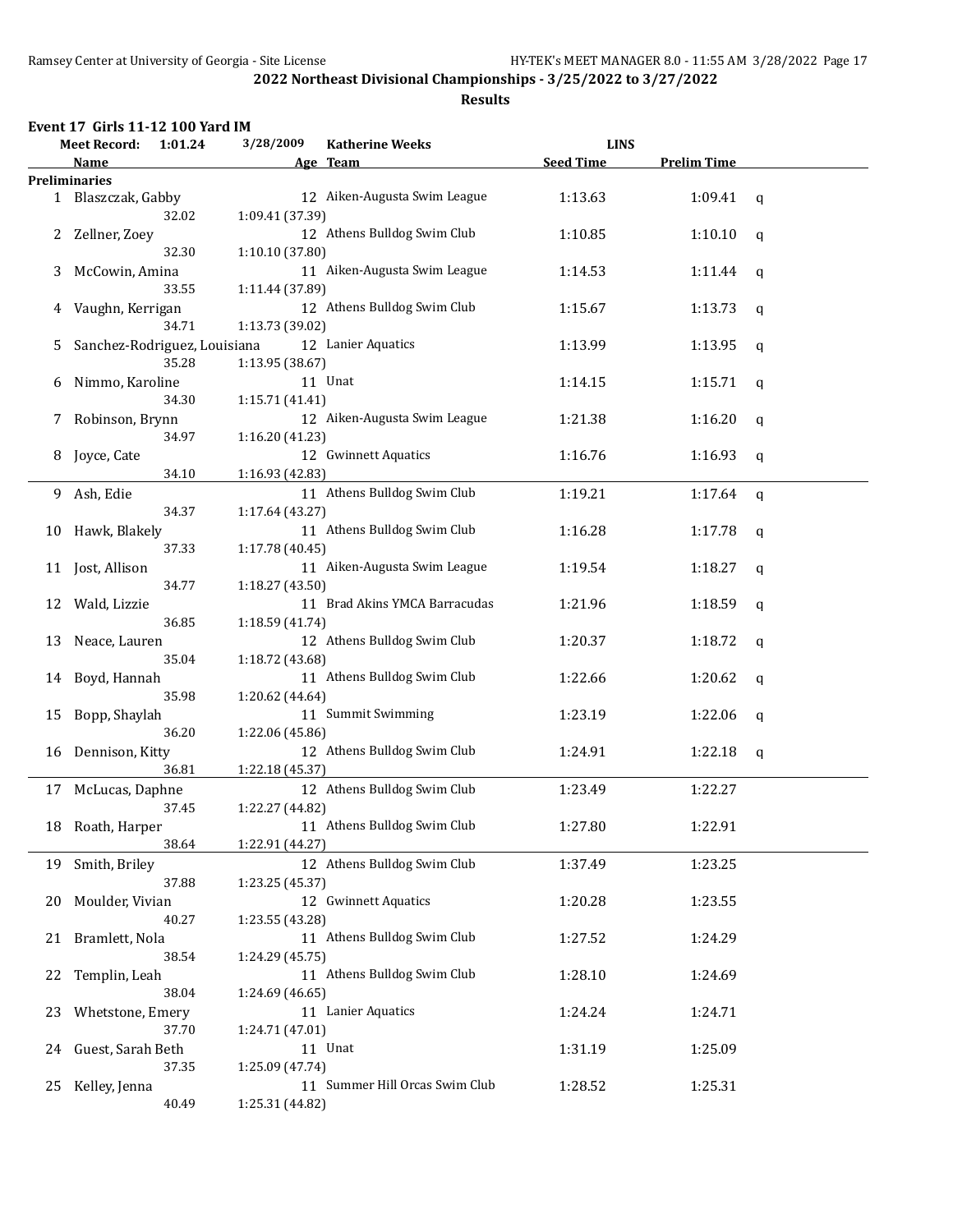| Event 17 Girls 11-12 100 Yard IM |  |
|----------------------------------|--|
|----------------------------------|--|

|              | <b>Meet Record:</b>          | 1:01.24 | 3/28/2009       | <b>Katherine Weeks</b>         | <b>LINS</b>      |                    |             |  |
|--------------|------------------------------|---------|-----------------|--------------------------------|------------------|--------------------|-------------|--|
|              | Name                         |         |                 | Age Team                       | <b>Seed Time</b> | <b>Prelim Time</b> |             |  |
|              | <b>Preliminaries</b>         |         |                 |                                |                  |                    |             |  |
| $\mathbf{1}$ | Blaszczak, Gabby             |         |                 | 12 Aiken-Augusta Swim League   | 1:13.63          | 1:09.41            | q           |  |
|              |                              | 32.02   | 1:09.41 (37.39) |                                |                  |                    |             |  |
|              |                              |         |                 |                                |                  |                    |             |  |
| 2            | Zellner, Zoey                |         |                 | 12 Athens Bulldog Swim Club    | 1:10.85          | 1:10.10            | $\mathbf q$ |  |
|              |                              | 32.30   | 1:10.10 (37.80) |                                |                  |                    |             |  |
| 3            | McCowin, Amina               |         |                 | 11 Aiken-Augusta Swim League   | 1:14.53          | 1:11.44            | q           |  |
|              |                              | 33.55   | 1:11.44 (37.89) |                                |                  |                    |             |  |
| 4            | Vaughn, Kerrigan             |         |                 | 12 Athens Bulldog Swim Club    | 1:15.67          | 1:13.73            | q           |  |
|              |                              | 34.71   | 1:13.73 (39.02) |                                |                  |                    |             |  |
| 5            | Sanchez-Rodriguez, Louisiana |         |                 | 12 Lanier Aquatics             | 1:13.99          | 1:13.95            | q           |  |
|              |                              | 35.28   | 1:13.95 (38.67) |                                |                  |                    |             |  |
|              |                              |         |                 |                                |                  |                    |             |  |
| 6            | Nimmo, Karoline              |         |                 | 11 Unat                        | 1:14.15          | 1:15.71            | q           |  |
|              |                              | 34.30   | 1:15.71 (41.41) |                                |                  |                    |             |  |
| 7            | Robinson, Brynn              |         |                 | 12 Aiken-Augusta Swim League   | 1:21.38          | 1:16.20            | q           |  |
|              |                              | 34.97   | 1:16.20 (41.23) |                                |                  |                    |             |  |
| 8            | Joyce, Cate                  |         |                 | 12 Gwinnett Aquatics           | 1:16.76          | 1:16.93            | q           |  |
|              |                              | 34.10   | 1:16.93 (42.83) |                                |                  |                    |             |  |
|              |                              |         |                 | 11 Athens Bulldog Swim Club    |                  |                    |             |  |
| 9.           | Ash, Edie                    |         |                 |                                | 1:19.21          | 1:17.64            | $\mathbf q$ |  |
|              |                              | 34.37   | 1:17.64 (43.27) |                                |                  |                    |             |  |
|              | 10 Hawk, Blakely             |         |                 | 11 Athens Bulldog Swim Club    | 1:16.28          | 1:17.78            | q           |  |
|              |                              | 37.33   | 1:17.78 (40.45) |                                |                  |                    |             |  |
|              | 11 Jost, Allison             |         |                 | 11 Aiken-Augusta Swim League   | 1:19.54          | 1:18.27            | q           |  |
|              |                              | 34.77   | 1:18.27 (43.50) |                                |                  |                    |             |  |
| 12           | Wald, Lizzie                 |         |                 | 11 Brad Akins YMCA Barracudas  | 1:21.96          | 1:18.59            | q           |  |
|              |                              | 36.85   | 1:18.59 (41.74) |                                |                  |                    |             |  |
|              |                              |         |                 |                                |                  |                    |             |  |
| 13           | Neace, Lauren                |         |                 | 12 Athens Bulldog Swim Club    | 1:20.37          | 1:18.72            | q           |  |
|              |                              | 35.04   | 1:18.72 (43.68) |                                |                  |                    |             |  |
| 14           | Boyd, Hannah                 |         |                 | 11 Athens Bulldog Swim Club    | 1:22.66          | 1:20.62            | q           |  |
|              |                              | 35.98   | 1:20.62 (44.64) |                                |                  |                    |             |  |
| 15           | Bopp, Shaylah                |         |                 | 11 Summit Swimming             | 1:23.19          | 1:22.06            | q           |  |
|              |                              | 36.20   | 1:22.06 (45.86) |                                |                  |                    |             |  |
|              | Dennison, Kitty              |         |                 | 12 Athens Bulldog Swim Club    | 1:24.91          | 1:22.18            |             |  |
| 16           |                              |         |                 |                                |                  |                    | q           |  |
|              |                              | 36.81   | 1:22.18 (45.37) |                                |                  |                    |             |  |
|              | 17 McLucas, Daphne           |         |                 | 12 Athens Bulldog Swim Club    | 1:23.49          | 1:22.27            |             |  |
|              |                              | 37.45   | 1:22.27 (44.82) |                                |                  |                    |             |  |
|              | 18 Roath, Harper             |         |                 | 11 Athens Bulldog Swim Club    | 1:27.80          | 1:22.91            |             |  |
|              |                              | 38.64   | 1:22.91 (44.27) |                                |                  |                    |             |  |
| 19           | Smith, Briley                |         |                 | 12 Athens Bulldog Swim Club    | 1:37.49          | 1:23.25            |             |  |
|              |                              |         |                 |                                |                  |                    |             |  |
|              |                              | 37.88   | 1:23.25 (45.37) |                                |                  |                    |             |  |
| 20           | Moulder, Vivian              |         |                 | 12 Gwinnett Aquatics           | 1:20.28          | 1:23.55            |             |  |
|              |                              | 40.27   | 1:23.55 (43.28) |                                |                  |                    |             |  |
| 21           | Bramlett, Nola               |         |                 | 11 Athens Bulldog Swim Club    | 1:27.52          | 1:24.29            |             |  |
|              |                              | 38.54   | 1:24.29 (45.75) |                                |                  |                    |             |  |
| 22           | Templin, Leah                |         |                 | 11 Athens Bulldog Swim Club    | 1:28.10          | 1:24.69            |             |  |
|              |                              | 38.04   | 1:24.69 (46.65) |                                |                  |                    |             |  |
|              |                              |         |                 |                                |                  |                    |             |  |
| 23           | Whetstone, Emery             |         |                 | 11 Lanier Aquatics             | 1:24.24          | 1:24.71            |             |  |
|              |                              | 37.70   | 1:24.71 (47.01) |                                |                  |                    |             |  |
| 24           | Guest, Sarah Beth            |         |                 | 11 Unat                        | 1:31.19          | 1:25.09            |             |  |
|              |                              | 37.35   | 1:25.09 (47.74) |                                |                  |                    |             |  |
|              | 25 Kelley, Jenna             |         |                 | 11 Summer Hill Orcas Swim Club | 1:28.52          | 1:25.31            |             |  |
|              |                              | 40.49   | 1:25.31 (44.82) |                                |                  |                    |             |  |
|              |                              |         |                 |                                |                  |                    |             |  |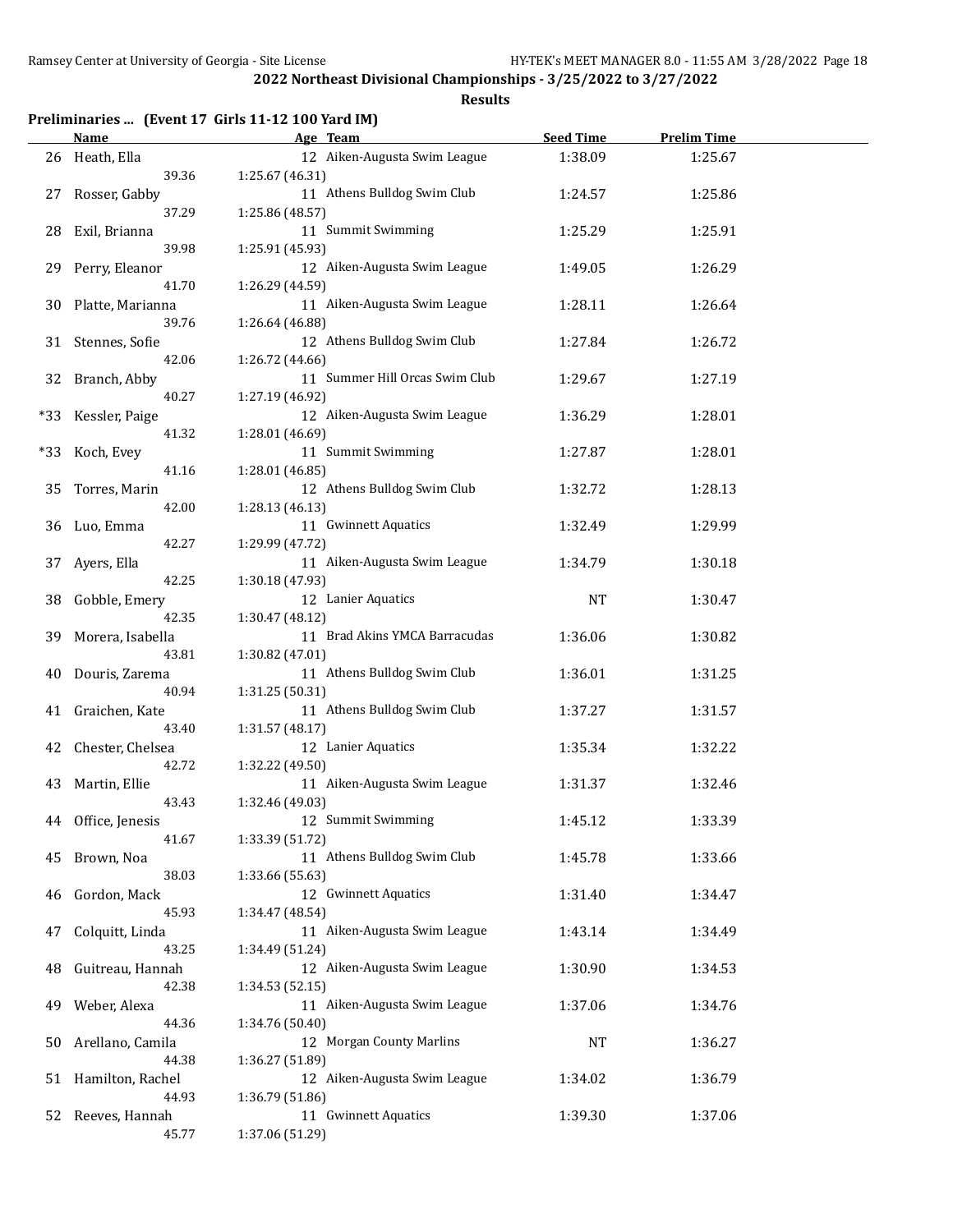**Results**

## **Preliminaries ... (Event 17 Girls 11-12 100 Yard IM)**

|       | <b>Name</b>         | Age Team                       | <b>Seed Time</b> | <b>Prelim Time</b> |  |
|-------|---------------------|--------------------------------|------------------|--------------------|--|
|       | 26 Heath, Ella      | 12 Aiken-Augusta Swim League   | 1:38.09          | 1:25.67            |  |
|       | 39.36               | 1:25.67 (46.31)                |                  |                    |  |
| 27    | Rosser, Gabby       | 11 Athens Bulldog Swim Club    | 1:24.57          | 1:25.86            |  |
|       | 37.29               | 1:25.86 (48.57)                |                  |                    |  |
| 28    | Exil, Brianna       | 11 Summit Swimming             | 1:25.29          | 1:25.91            |  |
|       | 39.98               | 1:25.91 (45.93)                |                  |                    |  |
| 29    | Perry, Eleanor      | 12 Aiken-Augusta Swim League   | 1:49.05          | 1:26.29            |  |
|       | 41.70               | 1:26.29 (44.59)                |                  |                    |  |
| 30    | Platte, Marianna    | 11 Aiken-Augusta Swim League   | 1:28.11          | 1:26.64            |  |
|       | 39.76               | 1:26.64 (46.88)                |                  |                    |  |
|       | 31 Stennes, Sofie   | 12 Athens Bulldog Swim Club    | 1:27.84          | 1:26.72            |  |
|       | 42.06               | 1:26.72 (44.66)                |                  |                    |  |
| 32    | Branch, Abby        | 11 Summer Hill Orcas Swim Club | 1:29.67          | 1:27.19            |  |
|       | 40.27               | 1:27.19 (46.92)                |                  |                    |  |
| *33   | Kessler, Paige      | 12 Aiken-Augusta Swim League   | 1:36.29          | 1:28.01            |  |
|       | 41.32               | 1:28.01 (46.69)                |                  |                    |  |
| $*33$ | Koch, Evey          | 11 Summit Swimming             | 1:27.87          | 1:28.01            |  |
|       | 41.16               | 1:28.01 (46.85)                |                  |                    |  |
| 35    | Torres, Marin       | 12 Athens Bulldog Swim Club    | 1:32.72          | 1:28.13            |  |
|       | 42.00               | 1:28.13 (46.13)                |                  |                    |  |
| 36    | Luo, Emma           | 11 Gwinnett Aquatics           | 1:32.49          | 1:29.99            |  |
|       | 42.27               | 1:29.99 (47.72)                |                  |                    |  |
| 37    | Ayers, Ella         | 11 Aiken-Augusta Swim League   | 1:34.79          | 1:30.18            |  |
|       | 42.25               | 1:30.18 (47.93)                |                  |                    |  |
| 38    | Gobble, Emery       | 12 Lanier Aquatics             | <b>NT</b>        | 1:30.47            |  |
|       | 42.35               | 1:30.47 (48.12)                |                  |                    |  |
| 39    | Morera, Isabella    | 11 Brad Akins YMCA Barracudas  | 1:36.06          | 1:30.82            |  |
|       | 43.81               | 1:30.82 (47.01)                |                  |                    |  |
| 40    | Douris, Zarema      | 11 Athens Bulldog Swim Club    | 1:36.01          | 1:31.25            |  |
|       | 40.94               | 1:31.25 (50.31)                |                  |                    |  |
| 41    | Graichen, Kate      | 11 Athens Bulldog Swim Club    | 1:37.27          | 1:31.57            |  |
|       | 43.40               | 1:31.57 (48.17)                |                  |                    |  |
|       | 42 Chester, Chelsea | 12 Lanier Aquatics             | 1:35.34          | 1:32.22            |  |
|       | 42.72               | 1:32.22 (49.50)                |                  |                    |  |
|       | 43 Martin, Ellie    | 11 Aiken-Augusta Swim League   | 1:31.37          | 1:32.46            |  |
|       | 43.43               | 1:32.46 (49.03)                |                  |                    |  |
|       | 44 Office, Jenesis  | 12 Summit Swimming             | 1:45.12          | 1:33.39            |  |
|       | 41.67               | 1:33.39 (51.72)                |                  |                    |  |
| 45    | Brown, Noa          | 11 Athens Bulldog Swim Club    | 1:45.78          | 1:33.66            |  |
|       | 38.03               | 1:33.66 (55.63)                |                  |                    |  |
| 46    | Gordon, Mack        | 12 Gwinnett Aquatics           | 1:31.40          | 1:34.47            |  |
|       | 45.93               | 1:34.47 (48.54)                |                  |                    |  |
| 47    | Colquitt, Linda     | 11 Aiken-Augusta Swim League   | 1:43.14          | 1:34.49            |  |
|       | 43.25               | 1:34.49 (51.24)                |                  |                    |  |
| 48    | Guitreau, Hannah    | 12 Aiken-Augusta Swim League   | 1:30.90          | 1:34.53            |  |
|       | 42.38               | 1:34.53 (52.15)                |                  |                    |  |
| 49    | Weber, Alexa        | 11 Aiken-Augusta Swim League   | 1:37.06          | 1:34.76            |  |
|       | 44.36               | 1:34.76 (50.40)                |                  |                    |  |
| 50    | Arellano, Camila    | 12 Morgan County Marlins       | NT               | 1:36.27            |  |
|       | 44.38               | 1:36.27 (51.89)                |                  |                    |  |
| 51    | Hamilton, Rachel    | 12 Aiken-Augusta Swim League   | 1:34.02          | 1:36.79            |  |
|       | 44.93               | 1:36.79 (51.86)                |                  |                    |  |
| 52    | Reeves, Hannah      | 11 Gwinnett Aquatics           | 1:39.30          | 1:37.06            |  |
|       | 45.77               | 1:37.06 (51.29)                |                  |                    |  |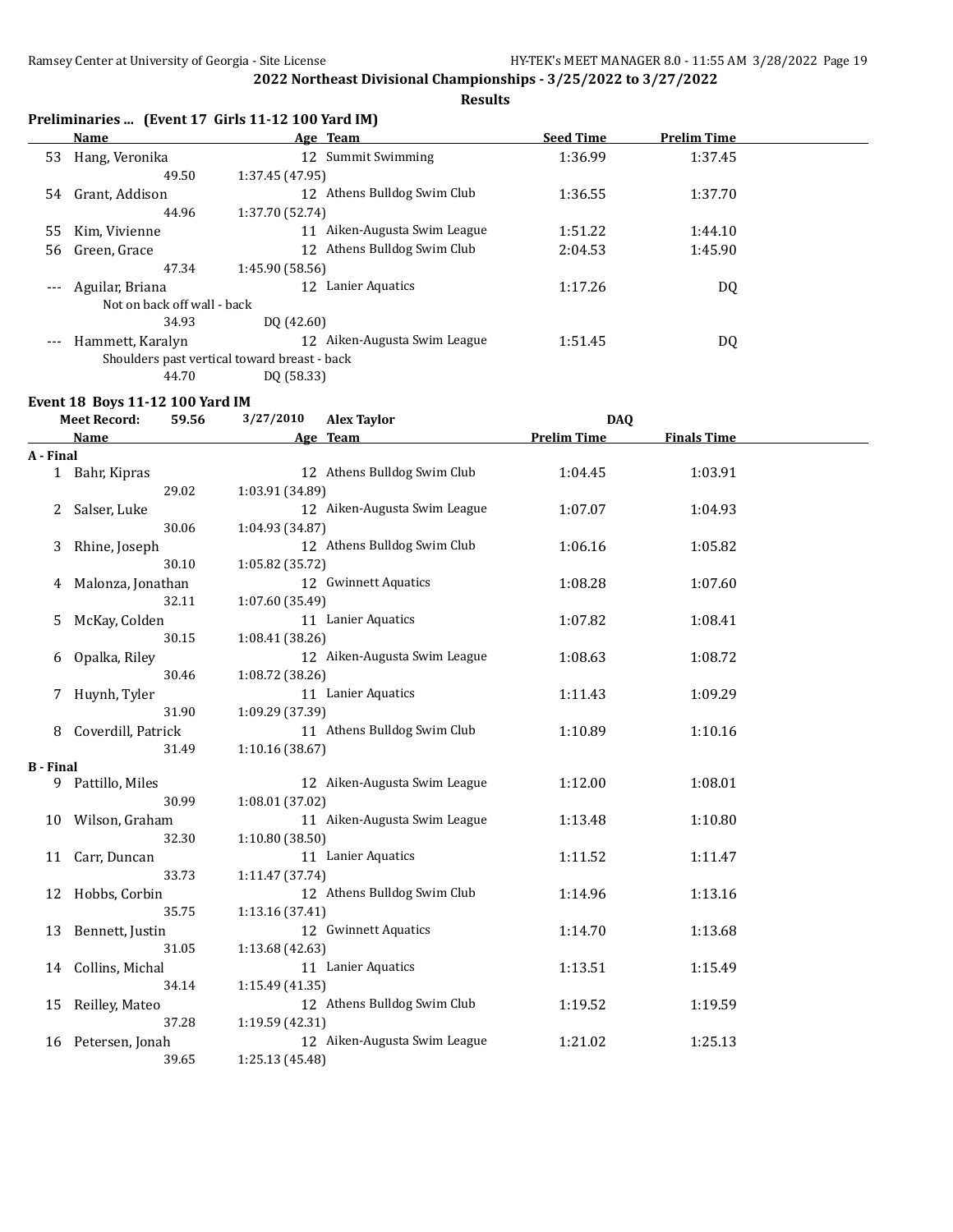**Results**

| Preliminaries  (Event 17 Girls 11-12 100 Yard IM) |  |  |  |
|---------------------------------------------------|--|--|--|
|---------------------------------------------------|--|--|--|

|                     | Name                                         |                 | Age Team                  | <b>Seed Time</b> | <b>Prelim Time</b> |  |
|---------------------|----------------------------------------------|-----------------|---------------------------|------------------|--------------------|--|
| 53                  | Hang, Veronika                               |                 | 12 Summit Swimming        | 1:36.99          | 1:37.45            |  |
|                     | 49.50                                        | 1:37.45 (47.95) |                           |                  |                    |  |
| 54                  | Grant, Addison                               | 12              | Athens Bulldog Swim Club  | 1:36.55          | 1:37.70            |  |
|                     | 44.96                                        | 1:37.70 (52.74) |                           |                  |                    |  |
| 55                  | Kim, Vivienne                                | 11              | Aiken-Augusta Swim League | 1:51.22          | 1:44.10            |  |
| 56                  | Green, Grace                                 | 12              | Athens Bulldog Swim Club  | 2:04.53          | 1:45.90            |  |
|                     | 47.34                                        | 1:45.90 (58.56) |                           |                  |                    |  |
| $\qquad \qquad - -$ | Aguilar, Briana                              | 12              | Lanier Aquatics           | 1:17.26          | DQ                 |  |
|                     | Not on back off wall - back                  |                 |                           |                  |                    |  |
|                     | 34.93                                        | DO (42.60)      |                           |                  |                    |  |
| $---$               | Hammett, Karalyn                             | 12              | Aiken-Augusta Swim League | 1:51.45          | DQ                 |  |
|                     | Shoulders past vertical toward breast - back |                 |                           |                  |                    |  |
|                     | 44.70                                        | DO (58.33)      |                           |                  |                    |  |

#### **Event 18 Boys 11-12 100 Yard IM**

| <b>Meet Record:</b><br>59.56 |                    | 3/27/2010<br><b>Alex Taylor</b> |                              | <b>DAQ</b>         |                    |  |
|------------------------------|--------------------|---------------------------------|------------------------------|--------------------|--------------------|--|
|                              | <b>Name</b>        |                                 | Age Team                     | <b>Prelim Time</b> | <b>Finals Time</b> |  |
| A - Final                    |                    |                                 |                              |                    |                    |  |
|                              | 1 Bahr, Kipras     |                                 | 12 Athens Bulldog Swim Club  | 1:04.45            | 1:03.91            |  |
|                              | 29.02              | 1:03.91 (34.89)                 |                              |                    |                    |  |
| 2                            | Salser, Luke       |                                 | 12 Aiken-Augusta Swim League | 1:07.07            | 1:04.93            |  |
|                              | 30.06              | 1:04.93 (34.87)                 |                              |                    |                    |  |
| 3                            | Rhine, Joseph      |                                 | 12 Athens Bulldog Swim Club  | 1:06.16            | 1:05.82            |  |
|                              | 30.10              | 1:05.82 (35.72)                 |                              |                    |                    |  |
| 4                            | Malonza, Jonathan  |                                 | 12 Gwinnett Aquatics         | 1:08.28            | 1:07.60            |  |
|                              | 32.11              | 1:07.60 (35.49)                 |                              |                    |                    |  |
| 5                            | McKay, Colden      |                                 | 11 Lanier Aquatics           | 1:07.82            | 1:08.41            |  |
|                              | 30.15              | 1:08.41 (38.26)                 |                              |                    |                    |  |
| 6                            | Opalka, Riley      |                                 | 12 Aiken-Augusta Swim League | 1:08.63            | 1:08.72            |  |
|                              | 30.46              | 1:08.72 (38.26)                 |                              |                    |                    |  |
| 7                            | Huynh, Tyler       |                                 | 11 Lanier Aquatics           | 1:11.43            | 1:09.29            |  |
|                              | 31.90              | 1:09.29 (37.39)                 |                              |                    |                    |  |
| 8                            | Coverdill, Patrick |                                 | 11 Athens Bulldog Swim Club  | 1:10.89            | 1:10.16            |  |
|                              | 31.49              | 1:10.16(38.67)                  |                              |                    |                    |  |
| <b>B</b> - Final             |                    |                                 |                              |                    |                    |  |
| 9                            | Pattillo, Miles    |                                 | 12 Aiken-Augusta Swim League | 1:12.00            | 1:08.01            |  |
|                              | 30.99              | 1:08.01 (37.02)                 |                              |                    |                    |  |
| 10                           | Wilson, Graham     |                                 | 11 Aiken-Augusta Swim League | 1:13.48            | 1:10.80            |  |
|                              | 32.30              | 1:10.80 (38.50)                 |                              |                    |                    |  |
| 11                           | Carr, Duncan       |                                 | 11 Lanier Aquatics           | 1:11.52            | 1:11.47            |  |
|                              | 33.73              | 1:11.47 (37.74)                 |                              |                    |                    |  |
| 12                           | Hobbs, Corbin      |                                 | 12 Athens Bulldog Swim Club  | 1:14.96            | 1:13.16            |  |
|                              | 35.75              | 1:13.16(37.41)                  |                              |                    |                    |  |
| 13                           | Bennett, Justin    |                                 | 12 Gwinnett Aquatics         | 1:14.70            | 1:13.68            |  |
|                              | 31.05              | 1:13.68 (42.63)                 |                              |                    |                    |  |
| 14                           | Collins, Michal    |                                 | 11 Lanier Aquatics           | 1:13.51            | 1:15.49            |  |
|                              | 34.14              | 1:15.49 (41.35)                 |                              |                    |                    |  |
| 15                           | Reilley, Mateo     |                                 | 12 Athens Bulldog Swim Club  | 1:19.52            | 1:19.59            |  |
|                              | 37.28              | 1:19.59 (42.31)                 |                              |                    |                    |  |
| 16                           | Petersen, Jonah    |                                 | 12 Aiken-Augusta Swim League | 1:21.02            | 1:25.13            |  |
|                              | 39.65              | 1:25.13 (45.48)                 |                              |                    |                    |  |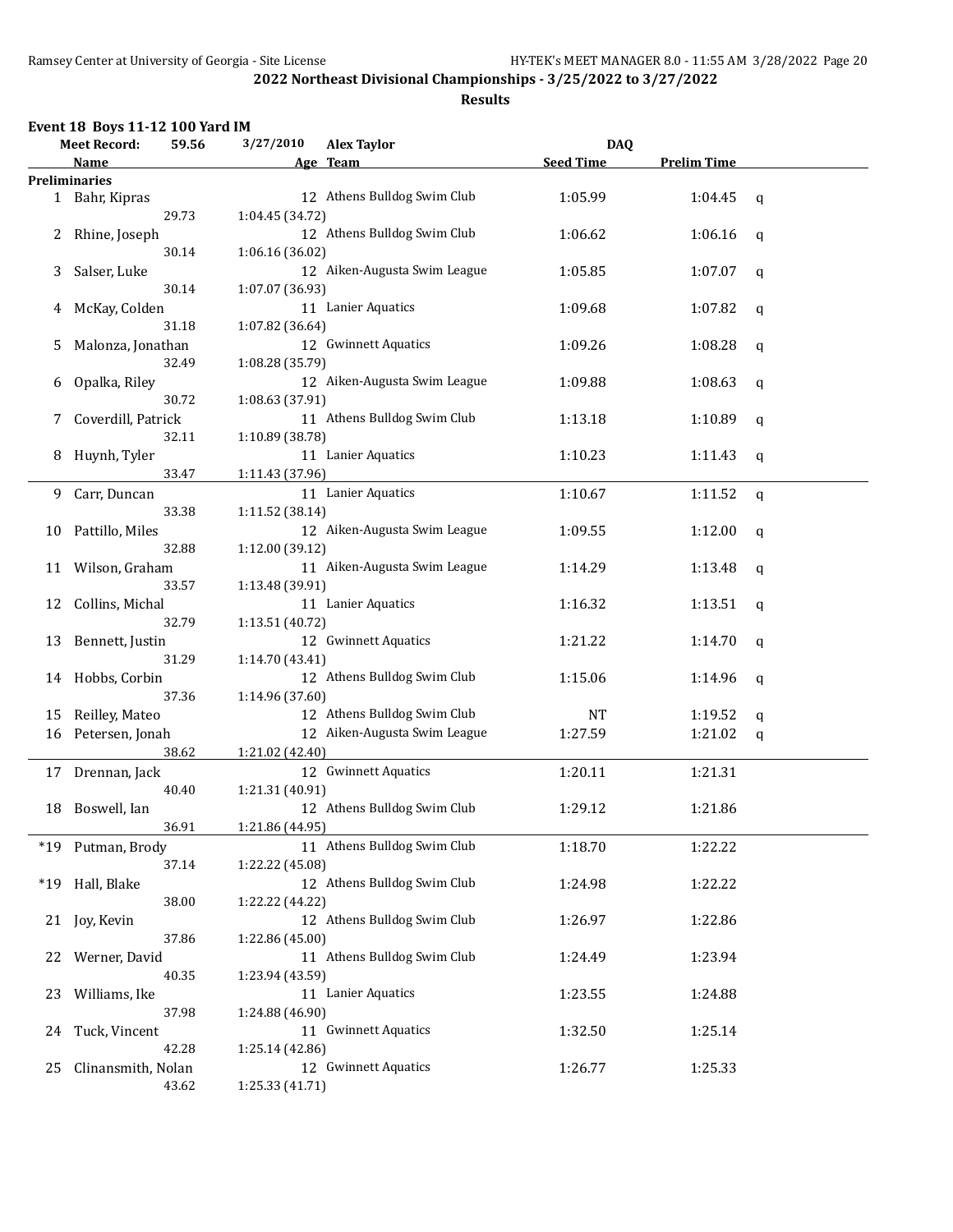|  |  | Event 18 Boys 11-12 100 Yard IM |  |
|--|--|---------------------------------|--|
|--|--|---------------------------------|--|

| 3/27/2010<br><b>Meet Record:</b><br><b>DAQ</b><br>59.56<br><b>Alex Taylor</b> |                      |       |                 |                              |                  |                    |             |
|-------------------------------------------------------------------------------|----------------------|-------|-----------------|------------------------------|------------------|--------------------|-------------|
|                                                                               | Name                 |       |                 | Age Team                     | <b>Seed Time</b> | <b>Prelim Time</b> |             |
|                                                                               | <b>Preliminaries</b> |       |                 |                              |                  |                    |             |
|                                                                               | 1 Bahr, Kipras       |       |                 | 12 Athens Bulldog Swim Club  | 1:05.99          | 1:04.45            | q           |
|                                                                               |                      | 29.73 | 1:04.45 (34.72) |                              |                  |                    |             |
| 2                                                                             | Rhine, Joseph        |       |                 | 12 Athens Bulldog Swim Club  | 1:06.62          | 1:06.16            | q           |
|                                                                               |                      | 30.14 | 1:06.16 (36.02) |                              |                  |                    |             |
| 3                                                                             | Salser, Luke         |       |                 | 12 Aiken-Augusta Swim League | 1:05.85          | 1:07.07            | q           |
|                                                                               |                      | 30.14 | 1:07.07 (36.93) |                              |                  |                    |             |
| 4                                                                             | McKay, Colden        |       |                 | 11 Lanier Aquatics           | 1:09.68          | 1:07.82            | $\mathbf q$ |
|                                                                               |                      | 31.18 | 1:07.82 (36.64) |                              |                  |                    |             |
| 5                                                                             | Malonza, Jonathan    |       |                 | 12 Gwinnett Aquatics         | 1:09.26          | 1:08.28            | q           |
|                                                                               |                      | 32.49 | 1:08.28 (35.79) |                              |                  |                    |             |
| 6                                                                             | Opalka, Riley        |       |                 | 12 Aiken-Augusta Swim League | 1:09.88          | 1:08.63            | q           |
|                                                                               |                      | 30.72 | 1:08.63 (37.91) |                              |                  |                    |             |
| 7                                                                             | Coverdill, Patrick   |       |                 | 11 Athens Bulldog Swim Club  | 1:13.18          | 1:10.89            | q           |
|                                                                               |                      | 32.11 | 1:10.89 (38.78) |                              |                  |                    |             |
| 8                                                                             | Huynh, Tyler         |       |                 | 11 Lanier Aquatics           | 1:10.23          | 1:11.43            | q           |
|                                                                               |                      | 33.47 | 1:11.43 (37.96) |                              |                  |                    |             |
| 9                                                                             | Carr, Duncan         |       |                 | 11 Lanier Aquatics           | 1:10.67          | 1:11.52            | q           |
|                                                                               |                      | 33.38 | 1:11.52 (38.14) |                              |                  |                    |             |
| 10                                                                            | Pattillo, Miles      |       |                 | 12 Aiken-Augusta Swim League | 1:09.55          | 1:12.00            | q           |
|                                                                               |                      | 32.88 | 1:12.00 (39.12) |                              |                  |                    |             |
|                                                                               | 11 Wilson, Graham    |       |                 | 11 Aiken-Augusta Swim League | 1:14.29          | 1:13.48            |             |
|                                                                               |                      | 33.57 | 1:13.48 (39.91) |                              |                  |                    | q           |
| 12                                                                            | Collins, Michal      |       |                 | 11 Lanier Aquatics           | 1:16.32          | 1:13.51            |             |
|                                                                               |                      | 32.79 | 1:13.51 (40.72) |                              |                  |                    | q           |
| 13                                                                            | Bennett, Justin      |       |                 | 12 Gwinnett Aquatics         | 1:21.22          | 1:14.70            |             |
|                                                                               |                      | 31.29 | 1:14.70 (43.41) |                              |                  |                    | q           |
|                                                                               | Hobbs, Corbin        |       |                 | 12 Athens Bulldog Swim Club  | 1:15.06          | 1:14.96            |             |
| 14                                                                            |                      | 37.36 | 1:14.96 (37.60) |                              |                  |                    | q           |
| 15                                                                            | Reilley, Mateo       |       |                 | 12 Athens Bulldog Swim Club  | NT               | 1:19.52            |             |
| 16                                                                            |                      |       |                 | 12 Aiken-Augusta Swim League | 1:27.59          | 1:21.02            | q           |
|                                                                               | Petersen, Jonah      | 38.62 |                 |                              |                  |                    | q           |
|                                                                               |                      |       | 1:21.02 (42.40) |                              |                  |                    |             |
|                                                                               | 17 Drennan, Jack     |       |                 | 12 Gwinnett Aquatics         | 1:20.11          | 1:21.31            |             |
|                                                                               |                      | 40.40 | 1:21.31 (40.91) |                              |                  |                    |             |
| 18                                                                            | Boswell, Ian         |       |                 | 12 Athens Bulldog Swim Club  | 1:29.12          | 1:21.86            |             |
|                                                                               |                      | 36.91 | 1:21.86 (44.95) |                              |                  |                    |             |
|                                                                               | *19 Putman, Brody    |       |                 | 11 Athens Bulldog Swim Club  | 1:18.70          | 1:22.22            |             |
|                                                                               |                      | 37.14 | 1:22.22 (45.08) |                              |                  |                    |             |
| $*19$                                                                         | Hall, Blake          |       |                 | 12 Athens Bulldog Swim Club  | 1:24.98          | 1:22.22            |             |
|                                                                               |                      | 38.00 | 1:22.22 (44.22) |                              |                  |                    |             |
| 21                                                                            | Joy, Kevin           |       |                 | 12 Athens Bulldog Swim Club  | 1:26.97          | 1:22.86            |             |
|                                                                               |                      | 37.86 | 1:22.86 (45.00) |                              |                  |                    |             |
| 22                                                                            | Werner, David        |       |                 | 11 Athens Bulldog Swim Club  | 1:24.49          | 1:23.94            |             |
|                                                                               |                      | 40.35 | 1:23.94 (43.59) |                              |                  |                    |             |
| 23                                                                            | Williams, Ike        |       |                 | 11 Lanier Aquatics           | 1:23.55          | 1:24.88            |             |
|                                                                               |                      | 37.98 | 1:24.88 (46.90) |                              |                  |                    |             |
| 24                                                                            | Tuck, Vincent        |       |                 | 11 Gwinnett Aquatics         | 1:32.50          | 1:25.14            |             |
|                                                                               |                      | 42.28 | 1:25.14 (42.86) |                              |                  |                    |             |
| 25                                                                            | Clinansmith, Nolan   |       |                 | 12 Gwinnett Aquatics         | 1:26.77          | 1:25.33            |             |
|                                                                               |                      | 43.62 | 1:25.33 (41.71) |                              |                  |                    |             |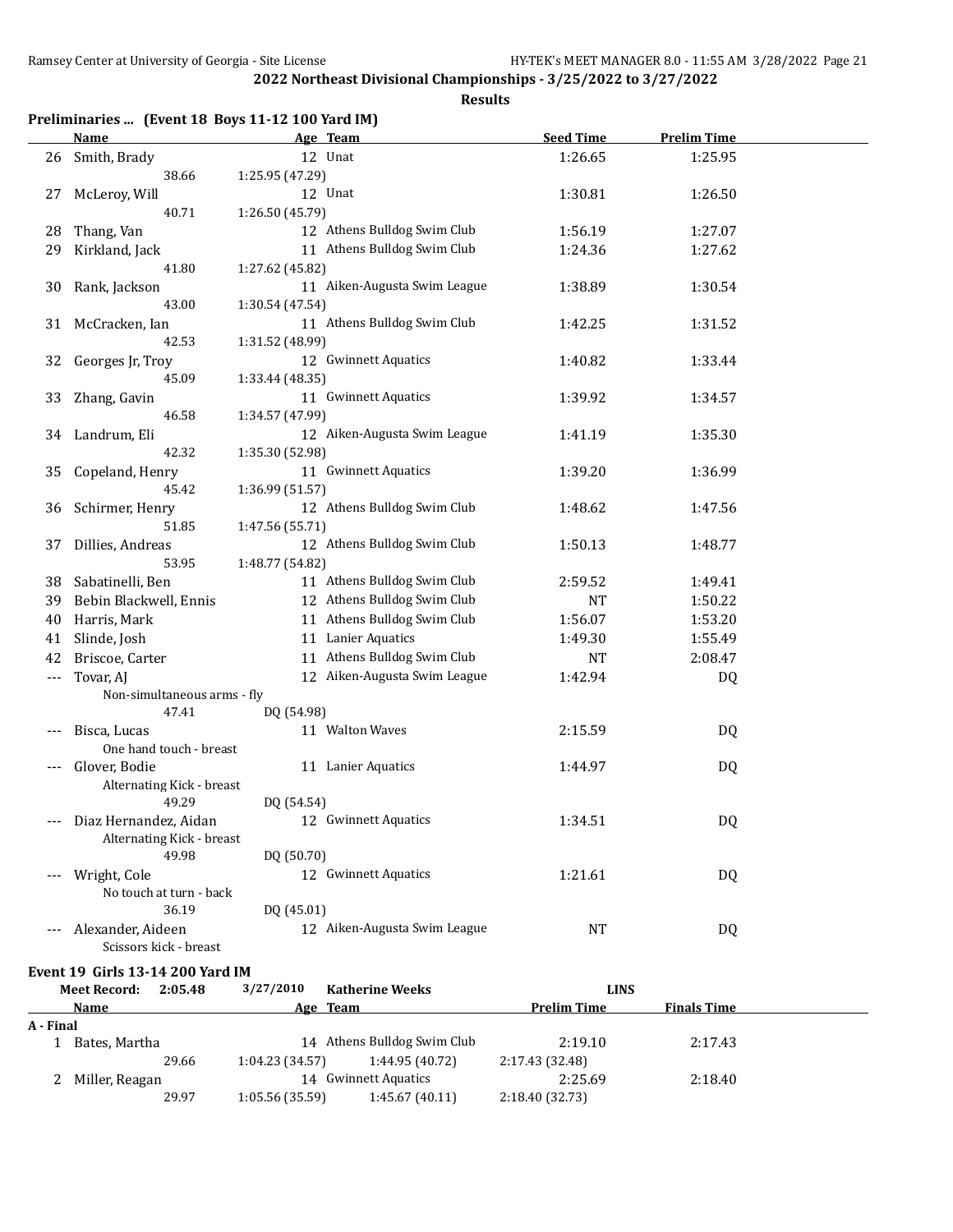## **Results**

## **Preliminaries ... (Event 18 Boys 11-12 100 Yard IM)**

|         | <b>Name</b>                 | Age Team                     | <b>Seed Time</b> | <b>Prelim Time</b> |  |
|---------|-----------------------------|------------------------------|------------------|--------------------|--|
| 26      | Smith, Brady                | 12 Unat                      | 1:26.65          | 1:25.95            |  |
|         | 38.66                       | 1:25.95 (47.29)              |                  |                    |  |
| 27      | McLeroy, Will               | 12 Unat                      | 1:30.81          | 1:26.50            |  |
|         | 40.71                       | 1:26.50 (45.79)              |                  |                    |  |
| 28      | Thang, Van                  | 12 Athens Bulldog Swim Club  | 1:56.19          | 1:27.07            |  |
| 29      | Kirkland, Jack              | 11 Athens Bulldog Swim Club  | 1:24.36          | 1:27.62            |  |
|         | 41.80                       | 1:27.62 (45.82)              |                  |                    |  |
| 30      | Rank, Jackson               | 11 Aiken-Augusta Swim League | 1:38.89          | 1:30.54            |  |
|         | 43.00                       | 1:30.54 (47.54)              |                  |                    |  |
| 31      | McCracken, Ian              | 11 Athens Bulldog Swim Club  | 1:42.25          | 1:31.52            |  |
|         | 42.53                       | 1:31.52 (48.99)              |                  |                    |  |
| 32      | Georges Jr, Troy            | 12 Gwinnett Aquatics         | 1:40.82          | 1:33.44            |  |
|         | 45.09                       | 1:33.44 (48.35)              |                  |                    |  |
| 33      | Zhang, Gavin                | 11 Gwinnett Aquatics         | 1:39.92          | 1:34.57            |  |
|         | 46.58                       | 1:34.57 (47.99)              |                  |                    |  |
| 34      | Landrum, Eli                | 12 Aiken-Augusta Swim League | 1:41.19          | 1:35.30            |  |
|         | 42.32                       | 1:35.30 (52.98)              |                  |                    |  |
| 35      | Copeland, Henry             | 11 Gwinnett Aquatics         | 1:39.20          | 1:36.99            |  |
|         | 45.42                       | 1:36.99 (51.57)              |                  |                    |  |
| 36      | Schirmer, Henry             | 12 Athens Bulldog Swim Club  | 1:48.62          | 1:47.56            |  |
|         | 51.85                       | 1:47.56 (55.71)              |                  |                    |  |
| 37      | Dillies, Andreas            | 12 Athens Bulldog Swim Club  | 1:50.13          | 1:48.77            |  |
|         | 53.95                       | 1:48.77 (54.82)              |                  |                    |  |
| 38      | Sabatinelli, Ben            | 11 Athens Bulldog Swim Club  | 2:59.52          | 1:49.41            |  |
| 39      | Bebin Blackwell, Ennis      | 12 Athens Bulldog Swim Club  | <b>NT</b>        | 1:50.22            |  |
| 40      | Harris, Mark                | 11 Athens Bulldog Swim Club  | 1:56.07          | 1:53.20            |  |
| 41      | Slinde, Josh                | 11 Lanier Aquatics           | 1:49.30          | 1:55.49            |  |
| 42      | Briscoe, Carter             | 11 Athens Bulldog Swim Club  | NT               | 2:08.47            |  |
| $---$   | Tovar, AJ                   | 12 Aiken-Augusta Swim League | 1:42.94          | DQ                 |  |
|         | Non-simultaneous arms - fly |                              |                  |                    |  |
|         | 47.41                       | DQ (54.98)                   |                  |                    |  |
|         | Bisca, Lucas                | 11 Walton Waves              | 2:15.59          | DQ                 |  |
|         | One hand touch - breast     |                              |                  |                    |  |
|         | Glover, Bodie               | 11 Lanier Aquatics           | 1:44.97          | DQ                 |  |
|         | Alternating Kick - breast   |                              |                  |                    |  |
|         | 49.29                       | DQ (54.54)                   |                  |                    |  |
| $- - -$ | Diaz Hernandez, Aidan       | 12 Gwinnett Aquatics         | 1:34.51          | DQ                 |  |
|         | Alternating Kick - breast   |                              |                  |                    |  |
|         | 49.98                       | DQ (50.70)                   |                  |                    |  |
|         | Wright, Cole                | 12 Gwinnett Aquatics         | 1:21.61          | DQ                 |  |
|         | No touch at turn - back     |                              |                  |                    |  |
|         | 36.19                       | DQ (45.01)                   |                  |                    |  |
|         | Alexander, Aideen           | 12 Aiken-Augusta Swim League | NT               | DQ                 |  |
|         | Scissors kick - breast      |                              |                  |                    |  |

## **Event 19 Girls 13-14 200 Yard IM**

|           | 2:05.48<br><b>Meet Record:</b> | 3/27/2010<br><b>Katherine Weeks</b> |                                    | LINS               |  |
|-----------|--------------------------------|-------------------------------------|------------------------------------|--------------------|--|
|           | Name                           | Age Team                            | <b>Prelim Time</b>                 | <b>Finals Time</b> |  |
| A - Final |                                |                                     |                                    |                    |  |
|           | Bates, Martha                  | 14 Athens Bulldog Swim Club         | 2:19.10                            | 2:17.43            |  |
|           | 29.66                          | 1:04.23(34.57)                      | 2:17.43 (32.48)<br>1:44.95 (40.72) |                    |  |
|           | Miller, Reagan                 | 14 Gwinnett Aquatics                | 2:25.69                            | 2:18.40            |  |
|           | 29.97                          | 1:05.56(35.59)                      | 2:18.40 (32.73)<br>1:45.67(40.11)  |                    |  |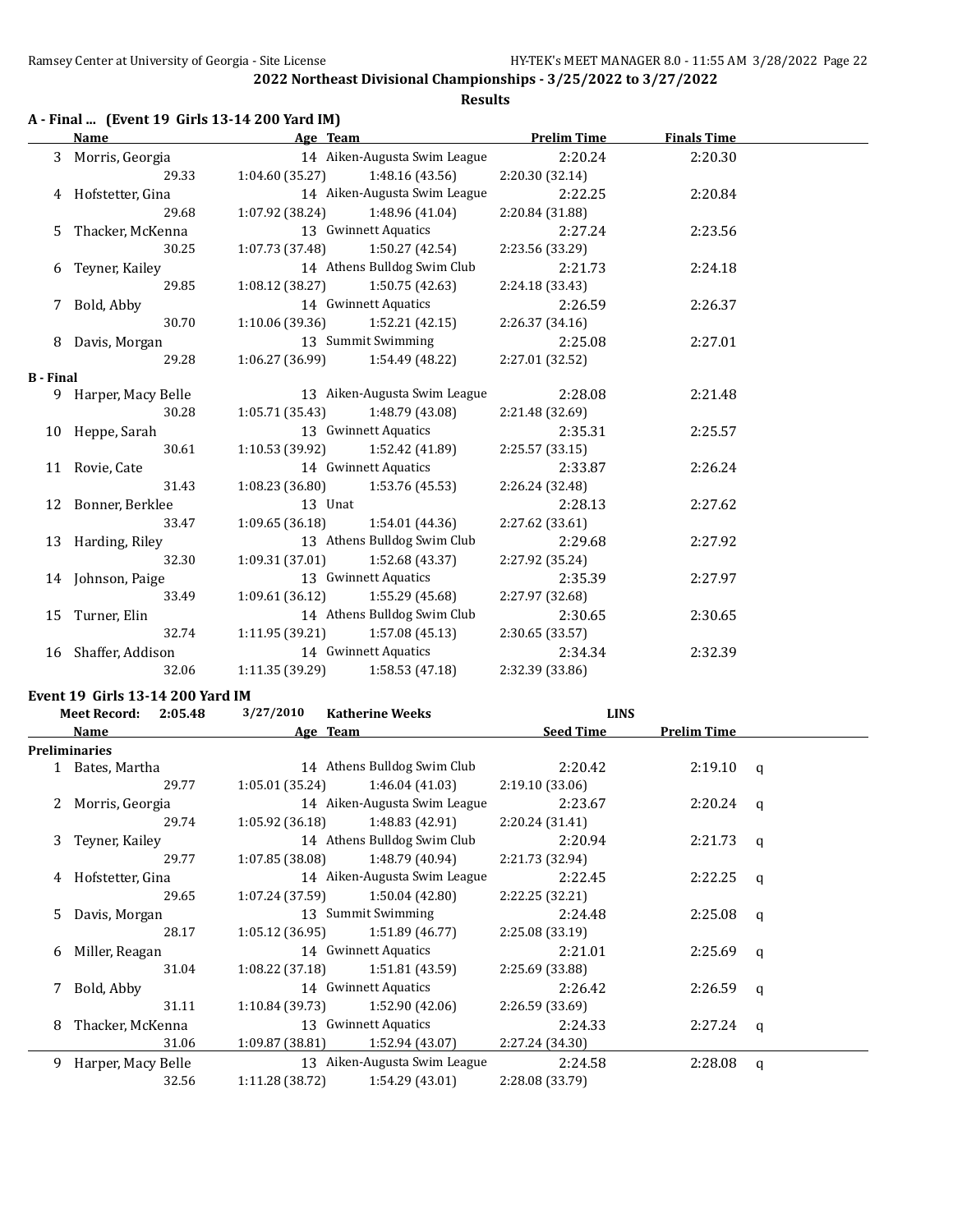## **A - Final ... (Event 19 Girls 13-14 200 Yard IM)**

|                  | Name                 | Age Team                          |                              | <b>Prelim Time</b> | <b>Finals Time</b> |  |
|------------------|----------------------|-----------------------------------|------------------------------|--------------------|--------------------|--|
|                  | 3 Morris, Georgia    |                                   | 14 Aiken-Augusta Swim League | 2:20.24            | 2:20.30            |  |
|                  | 29.33                | $1:04.60(35.27)$ $1:48.16(43.56)$ |                              | 2:20.30 (32.14)    |                    |  |
|                  | 4 Hofstetter, Gina   |                                   | 14 Aiken-Augusta Swim League | 2:22.25            | 2:20.84            |  |
|                  | 29.68                | $1:07.92(38.24)$ $1:48.96(41.04)$ |                              | 2:20.84 (31.88)    |                    |  |
|                  | 5 Thacker, McKenna   |                                   | 13 Gwinnett Aquatics         | 2:27.24            | 2:23.56            |  |
|                  | 30.25                | $1:07.73(37.48)$ $1:50.27(42.54)$ |                              | 2:23.56 (33.29)    |                    |  |
|                  | 6 Teyner, Kailey     |                                   | 14 Athens Bulldog Swim Club  | 2:21.73            | 2:24.18            |  |
|                  | 29.85                | $1:08.12(38.27)$ $1:50.75(42.63)$ |                              | 2:24.18 (33.43)    |                    |  |
| 7.               | Bold, Abby           |                                   | 14 Gwinnett Aquatics         | 2:26.59            | 2:26.37            |  |
|                  | 30.70                | $1:10.06(39.36)$ $1:52.21(42.15)$ |                              | 2:26.37(34.16)     |                    |  |
|                  | 8 Davis, Morgan      | 13 Summit Swimming                |                              | 2:25.08            | 2:27.01            |  |
|                  | 29.28                | $1:06.27(36.99)$ $1:54.49(48.22)$ |                              | 2:27.01 (32.52)    |                    |  |
| <b>B</b> - Final |                      |                                   |                              |                    |                    |  |
|                  | 9 Harper, Macy Belle |                                   | 13 Aiken-Augusta Swim League | 2:28.08            | 2:21.48            |  |
|                  | 30.28                | $1:05.71(35.43)$ $1:48.79(43.08)$ |                              | 2:21.48 (32.69)    |                    |  |
|                  | 10 Heppe, Sarah      |                                   | 13 Gwinnett Aquatics         | 2:35.31            | 2:25.57            |  |
|                  | 30.61                | $1:10.53(39.92)$ $1:52.42(41.89)$ |                              | 2:25.57(33.15)     |                    |  |
|                  | 11 Rovie, Cate       |                                   | 14 Gwinnett Aquatics         | 2:33.87            | 2:26.24            |  |
|                  | 31.43                | $1:08.23(36.80)$ $1:53.76(45.53)$ |                              | 2:26.24 (32.48)    |                    |  |
|                  | 12 Bonner, Berklee   | 13 Unat                           |                              | 2:28.13            | 2:27.62            |  |
|                  | 33.47                | $1:09.65(36.18)$ $1:54.01(44.36)$ |                              | 2:27.62(33.61)     |                    |  |
|                  | 13 Harding, Riley    | 13 Athens Bulldog Swim Club       |                              | 2:29.68            | 2:27.92            |  |
|                  | 32.30                | $1:09.31(37.01)$ $1:52.68(43.37)$ |                              | 2:27.92 (35.24)    |                    |  |
|                  | 14 Johnson, Paige    |                                   | 13 Gwinnett Aquatics         | 2:35.39            | 2:27.97            |  |
|                  | 33.49                | $1:09.61(36.12)$ $1:55.29(45.68)$ |                              | 2:27.97 (32.68)    |                    |  |
|                  | 15 Turner, Elin      | 14 Athens Bulldog Swim Club       |                              | 2:30.65            | 2:30.65            |  |
|                  | 32.74                | $1:11.95(39.21)$ $1:57.08(45.13)$ |                              | 2:30.65 (33.57)    |                    |  |
|                  | 16 Shaffer, Addison  |                                   | 14 Gwinnett Aquatics         | 2:34.34            | 2:32.39            |  |
|                  | 32.06                | $1:11.35(39.29)$ $1:58.53(47.18)$ |                              | 2:32.39 (33.86)    |                    |  |

#### **Event 19 Girls 13-14 200 Yard IM**

|                      |       | 3/27/2010                                                                                                                                                                           | <b>Katherine Weeks</b> |                                                                                                                                                                                                                                                                                                                                                                                                                                                                                                                                               |                              |              |
|----------------------|-------|-------------------------------------------------------------------------------------------------------------------------------------------------------------------------------------|------------------------|-----------------------------------------------------------------------------------------------------------------------------------------------------------------------------------------------------------------------------------------------------------------------------------------------------------------------------------------------------------------------------------------------------------------------------------------------------------------------------------------------------------------------------------------------|------------------------------|--------------|
| Name                 |       |                                                                                                                                                                                     |                        | <b>Seed Time</b>                                                                                                                                                                                                                                                                                                                                                                                                                                                                                                                              | <b>Prelim Time</b>           |              |
| <b>Preliminaries</b> |       |                                                                                                                                                                                     |                        |                                                                                                                                                                                                                                                                                                                                                                                                                                                                                                                                               |                              |              |
|                      |       |                                                                                                                                                                                     |                        | 2:20.42                                                                                                                                                                                                                                                                                                                                                                                                                                                                                                                                       | $2:19.10$ q                  |              |
|                      | 29.77 |                                                                                                                                                                                     |                        | 2:19.10(33.06)                                                                                                                                                                                                                                                                                                                                                                                                                                                                                                                                |                              |              |
|                      |       |                                                                                                                                                                                     |                        | 2:23.67                                                                                                                                                                                                                                                                                                                                                                                                                                                                                                                                       | 2:20.24                      | q            |
|                      | 29.74 |                                                                                                                                                                                     |                        | 2:20.24(31.41)                                                                                                                                                                                                                                                                                                                                                                                                                                                                                                                                |                              |              |
| 3                    |       |                                                                                                                                                                                     |                        | 2:20.94                                                                                                                                                                                                                                                                                                                                                                                                                                                                                                                                       | 2:21.73                      | a            |
|                      | 29.77 |                                                                                                                                                                                     |                        | 2:21.73 (32.94)                                                                                                                                                                                                                                                                                                                                                                                                                                                                                                                               |                              |              |
|                      |       |                                                                                                                                                                                     |                        | 2:22.45                                                                                                                                                                                                                                                                                                                                                                                                                                                                                                                                       | 2:22.25                      | $\mathsf{q}$ |
|                      | 29.65 |                                                                                                                                                                                     |                        | 2:22.25 (32.21)                                                                                                                                                                                                                                                                                                                                                                                                                                                                                                                               |                              |              |
| 5.                   |       |                                                                                                                                                                                     |                        | 2:24.48                                                                                                                                                                                                                                                                                                                                                                                                                                                                                                                                       | 2:25.08                      | q            |
|                      | 28.17 |                                                                                                                                                                                     |                        | 2:25.08 (33.19)                                                                                                                                                                                                                                                                                                                                                                                                                                                                                                                               |                              |              |
|                      |       |                                                                                                                                                                                     |                        | 2:21.01                                                                                                                                                                                                                                                                                                                                                                                                                                                                                                                                       | 2:25.69                      | q            |
|                      | 31.04 |                                                                                                                                                                                     |                        | 2:25.69 (33.88)                                                                                                                                                                                                                                                                                                                                                                                                                                                                                                                               |                              |              |
| 7 Bold, Abby         |       |                                                                                                                                                                                     |                        | 2:26.42                                                                                                                                                                                                                                                                                                                                                                                                                                                                                                                                       | 2:26.59                      | a            |
|                      | 31.11 |                                                                                                                                                                                     |                        | 2:26.59 (33.69)                                                                                                                                                                                                                                                                                                                                                                                                                                                                                                                               |                              |              |
| 8                    |       |                                                                                                                                                                                     |                        | 2:24.33                                                                                                                                                                                                                                                                                                                                                                                                                                                                                                                                       | 2:27.24                      | a            |
|                      | 31.06 |                                                                                                                                                                                     | 1:52.94 (43.07)        | 2:27.24 (34.30)                                                                                                                                                                                                                                                                                                                                                                                                                                                                                                                               |                              |              |
| 9.                   |       |                                                                                                                                                                                     |                        | 2:24.58                                                                                                                                                                                                                                                                                                                                                                                                                                                                                                                                       | 2:28.08                      | q            |
|                      | 32.56 |                                                                                                                                                                                     | 1:54.29 (43.01)        | 2:28.08 (33.79)                                                                                                                                                                                                                                                                                                                                                                                                                                                                                                                               |                              |              |
|                      |       | Meet Record: 2:05.48<br>1 Bates, Martha<br>2 Morris, Georgia<br>Teyner, Kailey<br>4 Hofstetter, Gina<br>Davis, Morgan<br>6 Miller, Reagan<br>Thacker, McKenna<br>Harper, Macy Belle |                        | Age Team<br>14 Athens Bulldog Swim Club<br>$1:05.01(35.24)$ $1:46.04(41.03)$<br>14 Aiken-Augusta Swim League<br>$1:05.92(36.18)$ $1:48.83(42.91)$<br>14 Athens Bulldog Swim Club<br>$1:07.85(38.08)$ $1:48.79(40.94)$<br>14 Aiken-Augusta Swim League<br>$1:07.24(37.59)$ $1:50.04(42.80)$<br>13 Summit Swimming<br>$1:05.12(36.95)$ $1:51.89(46.77)$<br>14 Gwinnett Aquatics<br>$1:08.22(37.18)$ $1:51.81(43.59)$<br>14 Gwinnett Aquatics<br>$1:10.84(39.73)$ $1:52.90(42.06)$<br>13 Gwinnett Aquatics<br>1:09.87 (38.81)<br>1:11.28 (38.72) | 13 Aiken-Augusta Swim League | <b>LINS</b>  |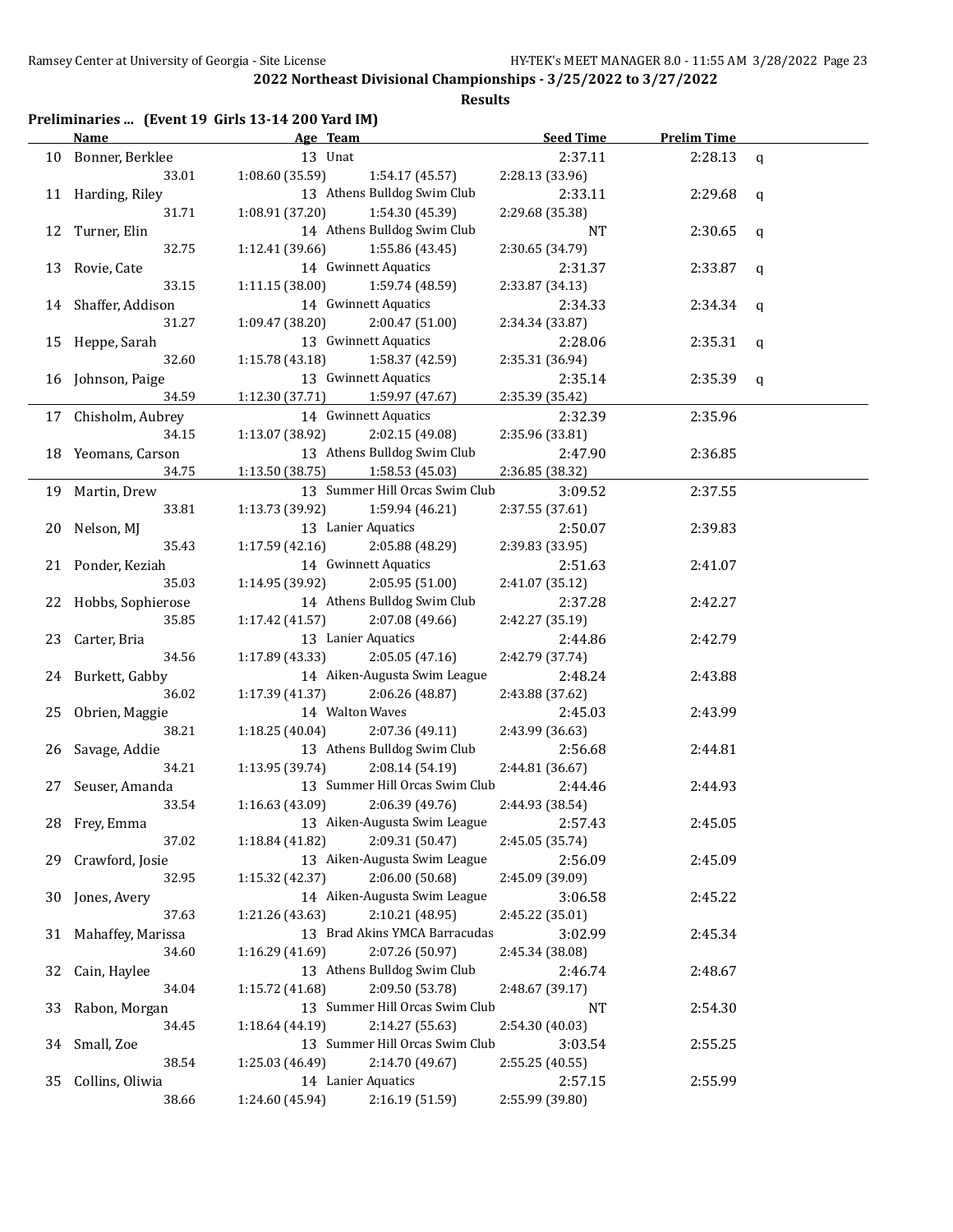|  |  | Preliminaries  (Event 19 Girls 13-14 200 Yard IM) |  |
|--|--|---------------------------------------------------|--|
|--|--|---------------------------------------------------|--|

|    | Name                 | Age Team                           | <b>Seed Time</b>           | <b>Prelim Time</b> |             |
|----|----------------------|------------------------------------|----------------------------|--------------------|-------------|
|    | 10 Bonner, Berklee   | 13 Unat                            | 2:37.11                    | 2:28.13            | $\mathbf q$ |
|    | 33.01                | 1:08.60(35.59)<br>1:54.17 (45.57)  | 2:28.13 (33.96)            |                    |             |
|    | 11 Harding, Riley    | 13 Athens Bulldog Swim Club        | 2:33.11                    | 2:29.68            | q           |
|    | 31.71                | 1:08.91 (37.20)<br>1:54.30 (45.39) | 2:29.68 (35.38)            |                    |             |
| 12 | Turner, Elin         | 14 Athens Bulldog Swim Club        | NT                         | 2:30.65            | q           |
|    | 32.75                | 1:55.86 (43.45)<br>1:12.41 (39.66) | 2:30.65 (34.79)            |                    |             |
|    | 13 Rovie, Cate       | 14 Gwinnett Aquatics               | 2:31.37                    | 2:33.87            | q           |
|    | 33.15                | 1:59.74 (48.59)<br>1:11.15(38.00)  | 2:33.87 (34.13)            |                    |             |
|    | 14 Shaffer, Addison  | 14 Gwinnett Aquatics               | 2:34.33                    | 2:34.34            | q           |
|    | 31.27                | 2:00.47 (51.00)<br>1:09.47 (38.20) | 2:34.34 (33.87)            |                    |             |
|    | 15 Heppe, Sarah      | 13 Gwinnett Aquatics               | 2:28.06                    | 2:35.31            | q           |
|    | 32.60                | 1:15.78 (43.18)<br>1:58.37 (42.59) | 2:35.31 (36.94)            |                    |             |
|    | 16 Johnson, Paige    | 13 Gwinnett Aquatics               | 2:35.14                    | 2:35.39            | q           |
|    | 34.59                | 1:12.30 (37.71)<br>1:59.97 (47.67) | 2:35.39 (35.42)            |                    |             |
|    | 17 Chisholm, Aubrey  | 14 Gwinnett Aquatics               | 2:32.39                    | 2:35.96            |             |
|    | 34.15                | 1:13.07(38.92)<br>2:02.15 (49.08)  | 2:35.96 (33.81)            |                    |             |
|    | 18 Yeomans, Carson   | 13 Athens Bulldog Swim Club        | 2:47.90                    | 2:36.85            |             |
|    | 34.75                | 1:13.50 (38.75)<br>1:58.53 (45.03) | 2:36.85 (38.32)            |                    |             |
|    | 19 Martin, Drew      | 13 Summer Hill Orcas Swim Club     | 3:09.52                    | 2:37.55            |             |
|    | 33.81                | 1:13.73 (39.92)<br>1:59.94 (46.21) | 2:37.55 (37.61)            |                    |             |
| 20 | Nelson, MJ           | 13 Lanier Aquatics                 | 2:50.07                    | 2:39.83            |             |
|    | 35.43                | 2:05.88 (48.29)<br>1:17.59(42.16)  | 2:39.83 (33.95)            |                    |             |
|    | 21 Ponder, Keziah    | 14 Gwinnett Aquatics               | 2:51.63                    | 2:41.07            |             |
|    | 35.03                | 2:05.95 (51.00)<br>1:14.95 (39.92) | 2:41.07 (35.12)            |                    |             |
|    | 22 Hobbs, Sophierose | 14 Athens Bulldog Swim Club        | 2:37.28                    | 2:42.27            |             |
|    | 35.85                | 1:17.42 (41.57)<br>2:07.08 (49.66) | 2:42.27 (35.19)            |                    |             |
|    | 23 Carter, Bria      | 13 Lanier Aquatics                 | 2:44.86                    | 2:42.79            |             |
|    | 34.56                | 2:05.05(47.16)<br>1:17.89 (43.33)  | 2:42.79 (37.74)            |                    |             |
|    | 24 Burkett, Gabby    | 14 Aiken-Augusta Swim League       | 2:48.24                    | 2:43.88            |             |
|    | 36.02                | 2:06.26 (48.87)<br>1:17.39 (41.37) | 2:43.88 (37.62)            |                    |             |
| 25 | Obrien, Maggie       | 14 Walton Waves                    | 2:45.03                    | 2:43.99            |             |
|    | 38.21                | 2:07.36 (49.11)<br>1:18.25(40.04)  | 2:43.99 (36.63)            |                    |             |
| 26 | Savage, Addie        | 13 Athens Bulldog Swim Club        | 2:56.68                    | 2:44.81            |             |
|    | 34.21                | 1:13.95 (39.74)<br>2:08.14 (54.19) | 2:44.81 (36.67)            |                    |             |
|    | 27 Seuser, Amanda    | 13 Summer Hill Orcas Swim Club     | 2:44.46                    | 2:44.93            |             |
|    | 33.54                | 1:16.63 (43.09)<br>2:06.39 (49.76) | 2:44.93 (38.54)            |                    |             |
|    | 28 Frey, Emma        | 13 Aiken-Augusta Swim League       | 2:57.43                    | 2:45.05            |             |
|    | 37.02                | 2:09.31 (50.47)<br>1:18.84 (41.82) | 2:45.05 (35.74)            |                    |             |
| 29 | Crawford, Josie      | 13 Aiken-Augusta Swim League       | 2:56.09                    | 2:45.09            |             |
|    | 32.95                | 2:06.00 (50.68)<br>1:15.32 (42.37) | 2:45.09 (39.09)            |                    |             |
| 30 | Jones, Avery         | 14 Aiken-Augusta Swim League       | 3:06.58                    | 2:45.22            |             |
|    | 37.63                | 2:10.21 (48.95)<br>1:21.26 (43.63) | 2:45.22 (35.01)            |                    |             |
| 31 | Mahaffey, Marissa    | 13 Brad Akins YMCA Barracudas      | 3:02.99                    | 2:45.34            |             |
|    | 34.60                | 2:07.26 (50.97)<br>1:16.29 (41.69) | 2:45.34 (38.08)            |                    |             |
|    | Cain, Haylee         | 13 Athens Bulldog Swim Club        | 2:46.74                    | 2:48.67            |             |
| 32 | 34.04                | 2:09.50 (53.78)<br>1:15.72 (41.68) | 2:48.67 (39.17)            |                    |             |
| 33 | Rabon, Morgan        | 13 Summer Hill Orcas Swim Club     | NT                         | 2:54.30            |             |
|    | 34.45                | 1:18.64 (44.19)<br>2:14.27 (55.63) | 2:54.30 (40.03)            |                    |             |
|    | Small, Zoe           | 13 Summer Hill Orcas Swim Club     | 3:03.54                    | 2:55.25            |             |
| 34 | 38.54                | 1:25.03 (46.49)<br>2:14.70 (49.67) |                            |                    |             |
|    | Collins, Oliwia      | 14 Lanier Aquatics                 | 2:55.25 (40.55)            |                    |             |
| 35 | 38.66                | 1:24.60 (45.94)<br>2:16.19 (51.59) | 2:57.15<br>2:55.99 (39.80) | 2:55.99            |             |
|    |                      |                                    |                            |                    |             |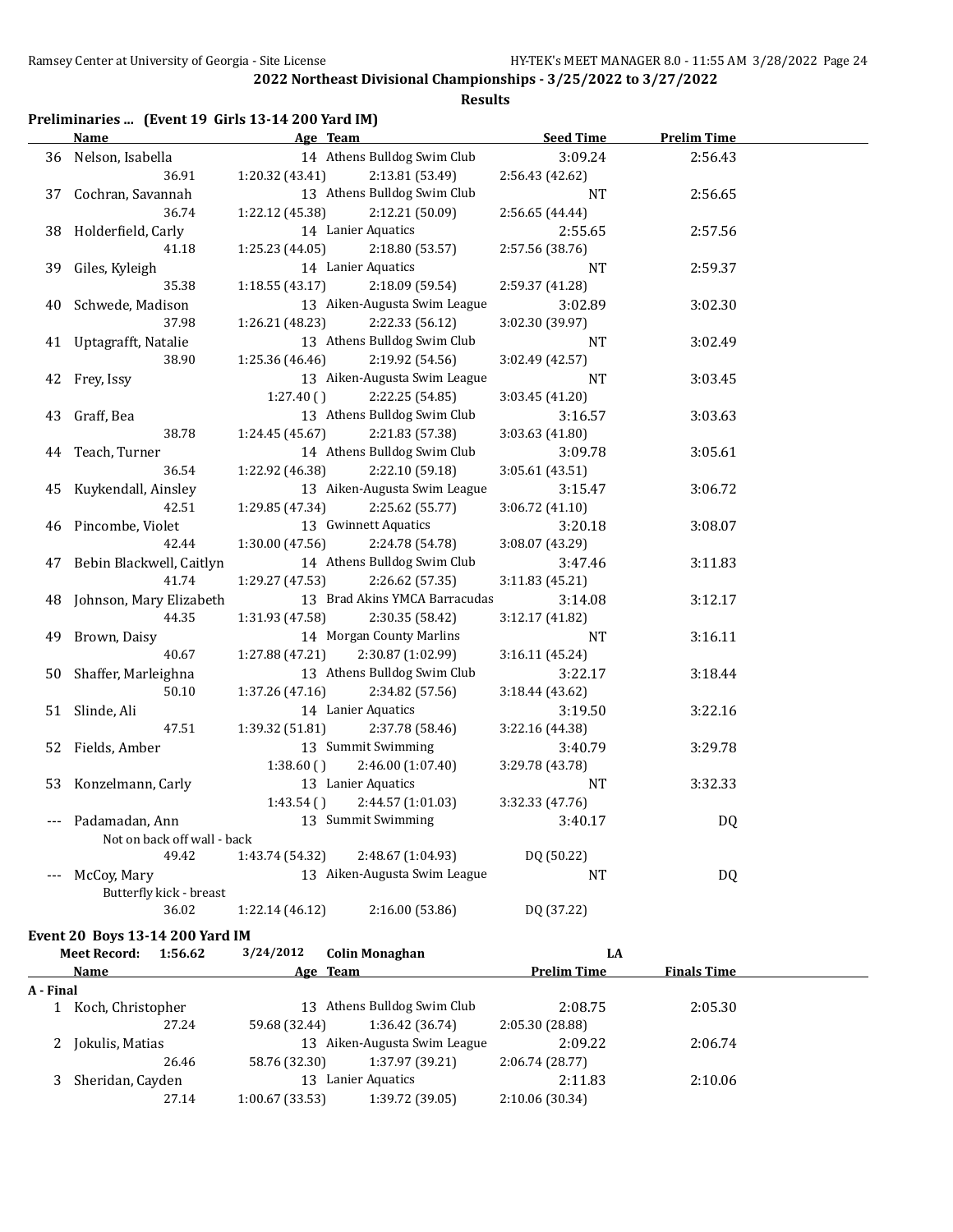## **Results**

## **Preliminaries ... (Event 19 Girls 13-14 200 Yard IM)**

|    | <b>Name</b>                     | Age Team                    |                               | <b>Seed Time</b>   | <b>Prelim Time</b> |  |
|----|---------------------------------|-----------------------------|-------------------------------|--------------------|--------------------|--|
|    | 36 Nelson, Isabella             |                             | 14 Athens Bulldog Swim Club   | 3:09.24            | 2:56.43            |  |
|    | 36.91                           | 1:20.32 (43.41)             | 2:13.81 (53.49)               | 2:56.43 (42.62)    |                    |  |
|    | 37 Cochran, Savannah            |                             | 13 Athens Bulldog Swim Club   | NT                 | 2:56.65            |  |
|    | 36.74                           | 1:22.12 (45.38)             | 2:12.21 (50.09)               | 2:56.65 (44.44)    |                    |  |
|    | 38 Holderfield, Carly           |                             | 14 Lanier Aquatics            | 2:55.65            | 2:57.56            |  |
|    | 41.18                           | 1:25.23 (44.05)             | 2:18.80 (53.57)               | 2:57.56 (38.76)    |                    |  |
|    | 39 Giles, Kyleigh               |                             | 14 Lanier Aquatics            | NT                 | 2:59.37            |  |
|    | 35.38                           | 1:18.55(43.17)              | 2:18.09 (59.54)               | 2:59.37 (41.28)    |                    |  |
|    | 40 Schwede, Madison             |                             | 13 Aiken-Augusta Swim League  | 3:02.89            | 3:02.30            |  |
|    | 37.98                           | 1:26.21 (48.23)             | 2:22.33 (56.12)               | 3:02.30 (39.97)    |                    |  |
|    | 41 Uptagrafft, Natalie          |                             | 13 Athens Bulldog Swim Club   | NT                 | 3:02.49            |  |
|    | 38.90                           | 1:25.36 (46.46)             | 2:19.92 (54.56)               | 3:02.49 (42.57)    |                    |  |
|    | 42 Frey, Issy                   |                             | 13 Aiken-Augusta Swim League  | NT                 | 3:03.45            |  |
|    |                                 | 1:27.40()                   | 2:22.25 (54.85)               | 3:03.45 (41.20)    |                    |  |
|    | 43 Graff, Bea                   |                             | 13 Athens Bulldog Swim Club   | 3:16.57            | 3:03.63            |  |
|    | 38.78                           | 1:24.45 (45.67)             | 2:21.83 (57.38)               | 3:03.63 (41.80)    |                    |  |
|    | 44 Teach, Turner                |                             | 14 Athens Bulldog Swim Club   | 3:09.78            | 3:05.61            |  |
|    | 36.54                           | 1:22.92 (46.38)             | 2:22.10 (59.18)               | 3:05.61(43.51)     |                    |  |
|    | 45 Kuykendall, Ainsley          |                             | 13 Aiken-Augusta Swim League  | 3:15.47            | 3:06.72            |  |
|    | 42.51                           | 1:29.85 (47.34)             | 2:25.62 (55.77)               | 3:06.72 (41.10)    |                    |  |
|    | 46 Pincombe, Violet             |                             | 13 Gwinnett Aquatics          | 3:20.18            | 3:08.07            |  |
|    | 42.44                           | 1:30.00(47.56)              | 2:24.78 (54.78)               | 3:08.07 (43.29)    |                    |  |
|    | 47 Bebin Blackwell, Caitlyn     |                             | 14 Athens Bulldog Swim Club   | 3:47.46            | 3:11.83            |  |
|    | 41.74                           | 1:29.27(47.53)              | 2:26.62 (57.35)               | 3:11.83 (45.21)    |                    |  |
|    | 48 Johnson, Mary Elizabeth      |                             | 13 Brad Akins YMCA Barracudas | 3:14.08            | 3:12.17            |  |
|    | 44.35                           | 1:31.93 (47.58)             | 2:30.35 (58.42)               | 3:12.17 (41.82)    |                    |  |
| 49 | Brown, Daisy                    |                             | 14 Morgan County Marlins      | <b>NT</b>          | 3:16.11            |  |
|    | 40.67                           | 1:27.88 (47.21)             | 2:30.87 (1:02.99)             | 3:16.11(45.24)     |                    |  |
|    | 50 Shaffer, Marleighna          |                             | 13 Athens Bulldog Swim Club   | 3:22.17            | 3:18.44            |  |
|    | 50.10                           | 1:37.26 (47.16)             | 2:34.82 (57.56)               | 3:18.44(43.62)     |                    |  |
|    | 51 Slinde, Ali                  |                             | 14 Lanier Aquatics            | 3:19.50            | 3:22.16            |  |
|    | 47.51                           | 1:39.32 (51.81)             | 2:37.78 (58.46)               | 3:22.16 (44.38)    |                    |  |
|    | 52 Fields, Amber                |                             | 13 Summit Swimming            | 3:40.79            | 3:29.78            |  |
|    |                                 | 1:38.60()                   | 2:46.00 (1:07.40)             | 3:29.78 (43.78)    |                    |  |
|    | 53 Konzelmann, Carly            |                             | 13 Lanier Aquatics            | NT                 | 3:32.33            |  |
|    |                                 | 1:43.54()                   | 2:44.57 (1:01.03)             | 3:32.33 (47.76)    |                    |  |
|    | Padamadan, Ann                  |                             | 13 Summit Swimming            | 3:40.17            | DQ                 |  |
|    | Not on back off wall - back     |                             |                               |                    |                    |  |
|    | 49.42                           | 1:43.74 (54.32)             | 2:48.67 (1:04.93)             | DQ (50.22)         |                    |  |
|    | McCoy, Mary                     |                             | 13 Aiken-Augusta Swim League  | NT                 | DQ                 |  |
|    | Butterfly kick - breast         |                             |                               |                    |                    |  |
|    | 36.02                           | 1:22.14 (46.12)             | 2:16.00 (53.86)               | DQ (37.22)         |                    |  |
|    | Event 20 Boys 13-14 200 Yard IM |                             |                               |                    |                    |  |
|    | <b>Meet Record:</b><br>1:56.62  | 3/24/2012                   | <b>Colin Monaghan</b>         | LA                 |                    |  |
|    | Namo                            | $\Delta \sigma \omega$ Toam |                               | <b>Dralim Time</b> | Finale Time        |  |

|           | Name              | Age Team       |                              | <b>Prelim Time</b> | <b>Finals Time</b> |  |
|-----------|-------------------|----------------|------------------------------|--------------------|--------------------|--|
| A - Final |                   |                |                              |                    |                    |  |
|           | Koch, Christopher |                | 13 Athens Bulldog Swim Club  | 2:08.75            | 2:05.30            |  |
|           | 27.24             | 59.68 (32.44)  | 1:36.42 (36.74)              | 2:05.30 (28.88)    |                    |  |
| 2         | Jokulis, Matias   |                | 13 Aiken-Augusta Swim League | 2:09.22            | 2:06.74            |  |
|           | 26.46             | 58.76 (32.30)  | 1:37.97 (39.21)              | 2:06.74 (28.77)    |                    |  |
|           | Sheridan, Cayden  | 13             | Lanier Aquatics              | 2:11.83            | 2:10.06            |  |
|           | 27.14             | 1:00.67(33.53) | 1:39.72 (39.05)              | 2:10.06 (30.34)    |                    |  |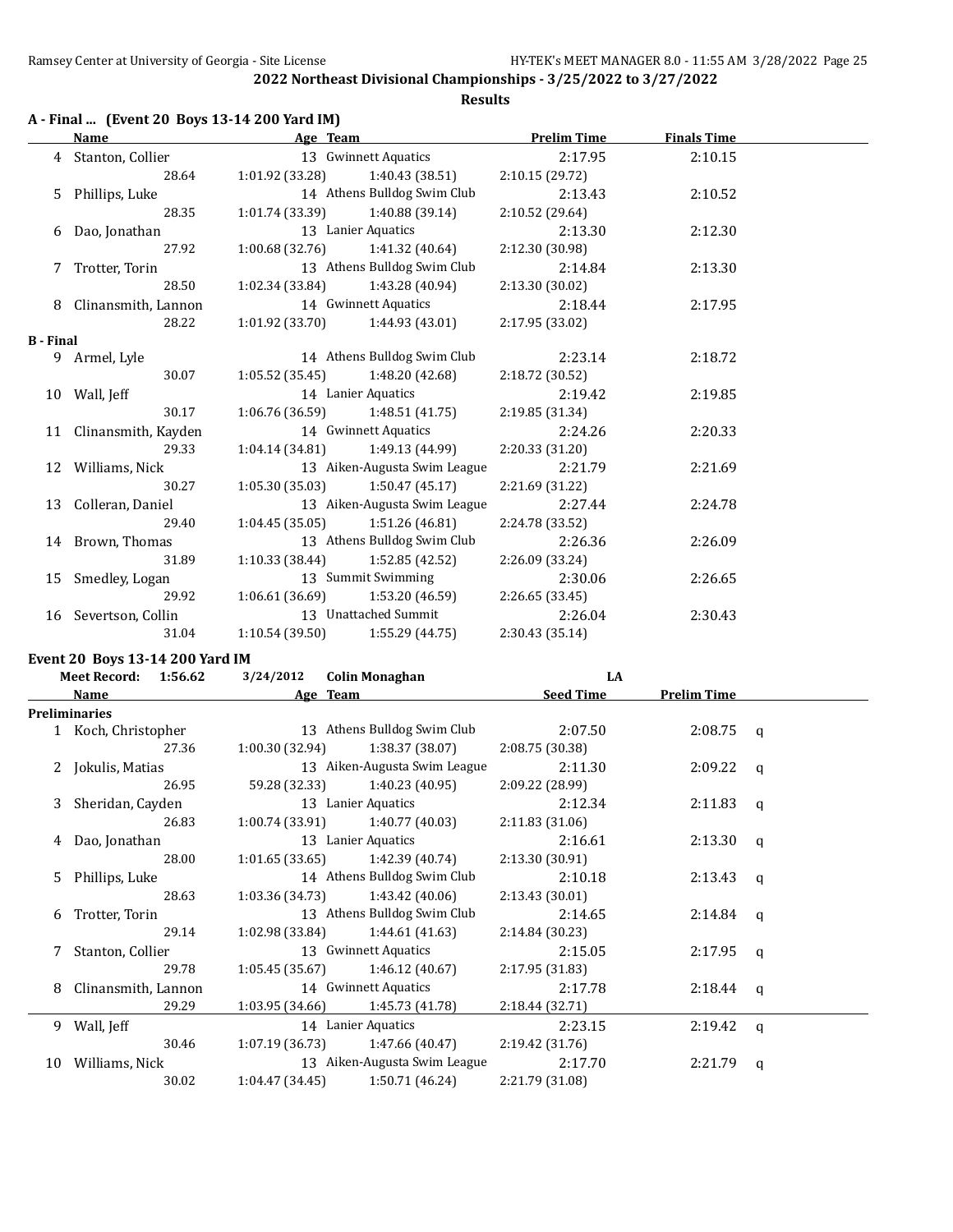#### **A - Final ... (Event 20 Boys 13-14 200 Yard IM)**

**Name Age Team Prelim Time Finals Time** 4 Stanton, Collier 13 Gwinnett Aquatics 2:17.95 2:10.15 28.64 1:01.92 (33.28) 1:40.43 (38.51) 2:10.15 (29.72) 5 Phillips, Luke 14 Athens Bulldog Swim Club 2:13.43 2:10.52 28.35 1:01.74 (33.39) 1:40.88 (39.14) 2:10.52 (29.64) 6 Dao, Jonathan 13 Lanier Aquatics 2:13.30 2:12.30 27.92 1:00.68 (32.76) 1:41.32 (40.64) 2:12.30 (30.98) 7 Trotter, Torin 13 Athens Bulldog Swim Club 2:14.84 2:13.30 28.50 1:02.34 (33.84) 1:43.28 (40.94) 2:13.30 (30.02) 8 Clinansmith, Lannon 14 Gwinnett Aquatics 2:18.44 2:17.95 28.22 1:01.92 (33.70) 1:44.93 (43.01) 2:17.95 (33.02) **B - Final** 9 Armel, Lyle 14 Athens Bulldog Swim Club 2:23.14 2:18.72 30.07 1:05.52 (35.45) 1:48.20 (42.68) 2:18.72 (30.52) 10 Wall, Jeff 14 Lanier Aquatics 2:19.42 2:19.85 30.17 1:06.76 (36.59) 1:48.51 (41.75) 2:19.85 (31.34) 11 Clinansmith, Kayden 14 Gwinnett Aquatics 2:24.26 2:20.33 29.33 1:04.14 (34.81) 1:49.13 (44.99) 2:20.33 (31.20) 12 Williams, Nick 13 Aiken-Augusta Swim League 2:21.79 2:21.69 30.27 1:05.30 (35.03) 1:50.47 (45.17) 2:21.69 (31.22) 13 Colleran, Daniel 13 Aiken-Augusta Swim League 2:27.44 2:24.78 29.40 1:04.45 (35.05) 1:51.26 (46.81) 2:24.78 (33.52) 14 Brown, Thomas 13 Athens Bulldog Swim Club 2:26.36 2:26.09 31.89 1:10.33 (38.44) 1:52.85 (42.52) 2:26.09 (33.24) 15 Smedley, Logan 13 Summit Swimming 2:30.06 2:26.65 29.92 1:06.61 (36.69) 1:53.20 (46.59) 2:26.65 (33.45) 16 Severtson, Collin 13 Unattached Summit 2:26.04 2:30.43 31.04 1:10.54 (39.50) 1:55.29 (44.75) 2:30.43 (35.14)

## **Event 20 Boys 13-14 200 Yard IM**

| <b>Meet Record:</b><br>1:56.62 |                     | 3/24/2012       | <b>Colin Monaghan</b>             | LA               |                    |          |
|--------------------------------|---------------------|-----------------|-----------------------------------|------------------|--------------------|----------|
|                                | Name                |                 | Age Team                          | <b>Seed Time</b> | <b>Prelim Time</b> |          |
|                                | Preliminaries       |                 |                                   |                  |                    |          |
|                                | 1 Koch, Christopher |                 | 13 Athens Bulldog Swim Club       | 2:07.50          | $2:08.75$ q        |          |
|                                | 27.36               | 1:00.30 (32.94) | 1:38.37 (38.07)                   | 2:08.75 (30.38)  |                    |          |
|                                | 2 Jokulis, Matias   |                 | 13 Aiken-Augusta Swim League      | 2:11.30          | $2:09.22$ q        |          |
|                                | 26.95               |                 | $59.28(32.33)$ 1:40.23 (40.95)    | 2:09.22 (28.99)  |                    |          |
| 3                              | Sheridan, Cayden    |                 | 13 Lanier Aquatics                | 2:12.34          | 2:11.83            | $\alpha$ |
|                                | 26.83               | 1:00.74 (33.91) | 1:40.77 (40.03)                   | 2:11.83 (31.06)  |                    |          |
| 4                              | Dao, Jonathan       |                 | 13 Lanier Aquatics                | 2:16.61          | 2:13.30            | q        |
|                                | 28.00               |                 | $1:01.65(33.65)$ $1:42.39(40.74)$ | 2:13.30 (30.91)  |                    |          |
| 5.                             | Phillips, Luke      |                 | 14 Athens Bulldog Swim Club       | 2:10.18          | $2:13.43$ q        |          |
|                                | 28.63               | 1:03.36 (34.73) | 1:43.42 (40.06)                   | 2:13.43(30.01)   |                    |          |
| 6                              | Trotter, Torin      |                 | 13 Athens Bulldog Swim Club       | 2:14.65          | $2:14.84$ q        |          |
|                                | 29.14               | 1:02.98 (33.84) | 1:44.61 (41.63)                   | 2:14.84 (30.23)  |                    |          |
| 7                              | Stanton, Collier    |                 | 13 Gwinnett Aquatics              | 2:15.05          | 2:17.95            | a        |
|                                | 29.78               |                 | $1:05.45(35.67)$ $1:46.12(40.67)$ | 2:17.95 (31.83)  |                    |          |
| 8                              | Clinansmith, Lannon |                 | 14 Gwinnett Aquatics              | 2:17.78          | $2:18.44$ q        |          |
|                                | 29.29               | 1:03.95 (34.66) | 1:45.73 (41.78)                   | 2:18.44(32.71)   |                    |          |
|                                | 9 Wall, Jeff        |                 | 14 Lanier Aquatics                | 2:23.15          | 2:19.42            | a        |
|                                | 30.46               | 1:07.19(36.73)  | 1:47.66 (40.47)                   | 2:19.42(31.76)   |                    |          |
| 10                             | Williams, Nick      |                 | 13 Aiken-Augusta Swim League      | 2:17.70          | 2:21.79            | a        |
|                                | 30.02               | 1:04.47(34.45)  | 1:50.71 (46.24)                   | 2:21.79 (31.08)  |                    |          |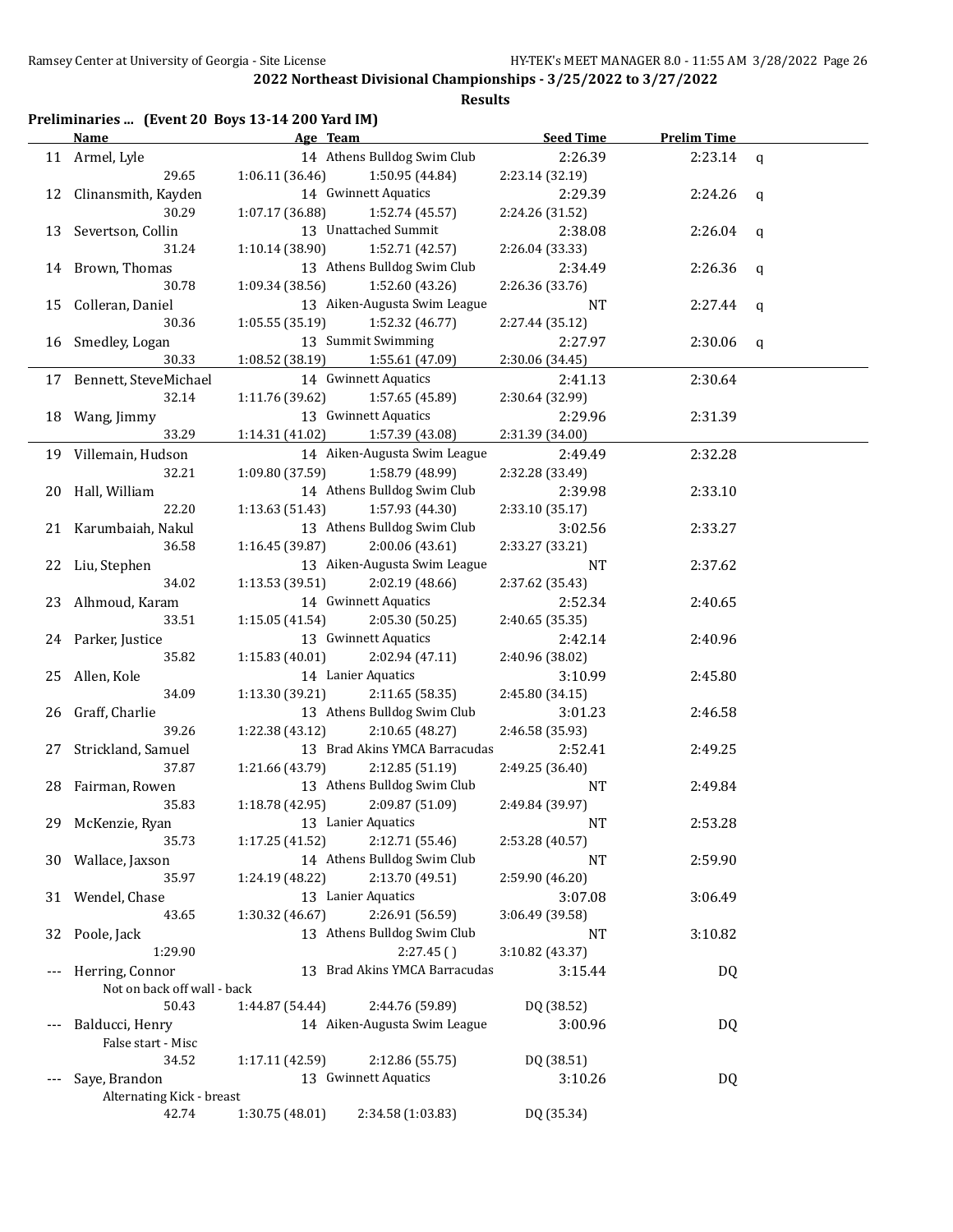| Preliminaries  (Event 20 Boys 13-14 200 Yard IM) |  |  |  |
|--------------------------------------------------|--|--|--|
|--------------------------------------------------|--|--|--|

|    | Name                        | Age Team        |                               | <b>Seed Time</b> | <b>Prelim Time</b> |             |
|----|-----------------------------|-----------------|-------------------------------|------------------|--------------------|-------------|
|    | 11 Armel, Lyle              |                 | 14 Athens Bulldog Swim Club   | 2:26.39          | 2:23.14            | $\mathbf q$ |
|    | 29.65                       | 1:06.11(36.46)  | 1:50.95 (44.84)               | 2:23.14 (32.19)  |                    |             |
|    | 12 Clinansmith, Kayden      |                 | 14 Gwinnett Aquatics          | 2:29.39          | 2:24.26            | q           |
|    | 30.29                       | 1:07.17 (36.88) | 1:52.74 (45.57)               | 2:24.26 (31.52)  |                    |             |
|    | 13 Severtson, Collin        |                 | 13 Unattached Summit          | 2:38.08          | 2:26.04            | q           |
|    | 31.24                       | 1:10.14 (38.90) | 1:52.71 (42.57)               | 2:26.04 (33.33)  |                    |             |
|    | 14 Brown, Thomas            |                 | 13 Athens Bulldog Swim Club   | 2:34.49          | 2:26.36            | q           |
|    | 30.78                       | 1:09.34 (38.56) | 1:52.60 (43.26)               | 2:26.36 (33.76)  |                    |             |
|    | 15 Colleran, Daniel         |                 | 13 Aiken-Augusta Swim League  | NT               | 2:27.44            |             |
|    | 30.36                       | 1:05.55(35.19)  | 1:52.32 (46.77)               | 2:27.44 (35.12)  |                    | q           |
|    |                             |                 |                               |                  |                    |             |
|    | 16 Smedley, Logan           |                 | 13 Summit Swimming            | 2:27.97          | 2:30.06            | q           |
|    | 30.33                       | 1:08.52 (38.19) | 1:55.61 (47.09)               | 2:30.06 (34.45)  |                    |             |
|    | 17 Bennett, SteveMichael    |                 | 14 Gwinnett Aquatics          | 2:41.13          | 2:30.64            |             |
|    | 32.14                       | 1:11.76 (39.62) | 1:57.65 (45.89)               | 2:30.64 (32.99)  |                    |             |
|    | 18 Wang, Jimmy              |                 | 13 Gwinnett Aquatics          | 2:29.96          | 2:31.39            |             |
|    | 33.29                       | 1:14.31 (41.02) | 1:57.39 (43.08)               | 2:31.39 (34.00)  |                    |             |
|    | 19 Villemain, Hudson        |                 | 14 Aiken-Augusta Swim League  | 2:49.49          | 2:32.28            |             |
|    | 32.21                       | 1:09.80 (37.59) | 1:58.79 (48.99)               | 2:32.28 (33.49)  |                    |             |
|    | 20 Hall, William            |                 | 14 Athens Bulldog Swim Club   | 2:39.98          | 2:33.10            |             |
|    | 22.20                       | 1:13.63 (51.43) | 1:57.93 (44.30)               | 2:33.10 (35.17)  |                    |             |
|    | 21 Karumbaiah, Nakul        |                 | 13 Athens Bulldog Swim Club   | 3:02.56          | 2:33.27            |             |
|    | 36.58                       | 1:16.45 (39.87) | 2:00.06 (43.61)               | 2:33.27 (33.21)  |                    |             |
|    | 22 Liu, Stephen             |                 | 13 Aiken-Augusta Swim League  | NT               | 2:37.62            |             |
|    | 34.02                       | 1:13.53 (39.51) | 2:02.19 (48.66)               | 2:37.62 (35.43)  |                    |             |
|    | 23 Alhmoud, Karam           |                 | 14 Gwinnett Aquatics          | 2:52.34          | 2:40.65            |             |
|    | 33.51                       | 1:15.05(41.54)  | 2:05.30 (50.25)               | 2:40.65 (35.35)  |                    |             |
|    | 24 Parker, Justice          |                 | 13 Gwinnett Aquatics          | 2:42.14          | 2:40.96            |             |
|    | 35.82                       | 1:15.83 (40.01) | 2:02.94 (47.11)               | 2:40.96 (38.02)  |                    |             |
|    | 25 Allen, Kole              |                 | 14 Lanier Aquatics            | 3:10.99          | 2:45.80            |             |
|    | 34.09                       | 1:13.30 (39.21) | 2:11.65 (58.35)               | 2:45.80 (34.15)  |                    |             |
|    | 26 Graff, Charlie           |                 | 13 Athens Bulldog Swim Club   | 3:01.23          | 2:46.58            |             |
|    | 39.26                       | 1:22.38 (43.12) | 2:10.65 (48.27)               | 2:46.58 (35.93)  |                    |             |
|    |                             |                 | 13 Brad Akins YMCA Barracudas | 2:52.41          | 2:49.25            |             |
| 27 | Strickland, Samuel<br>37.87 |                 | 2:12.85 (51.19)               |                  |                    |             |
|    |                             | 1:21.66 (43.79) | 13 Athens Bulldog Swim Club   | 2:49.25 (36.40)  |                    |             |
|    | 28 Fairman, Rowen           |                 |                               | <b>NT</b>        | 2:49.84            |             |
|    | 35.83                       | 1:18.78(42.95)  | 2:09.87 (51.09)               | 2:49.84 (39.97)  |                    |             |
|    | 29 McKenzie, Ryan           |                 | 13 Lanier Aquatics            | NT               | 2:53.28            |             |
|    | 35.73                       | 1:17.25 (41.52) | 2:12.71 (55.46)               | 2:53.28 (40.57)  |                    |             |
|    | 30 Wallace, Jaxson          |                 | 14 Athens Bulldog Swim Club   | NT               | 2:59.90            |             |
|    | 35.97                       | 1:24.19 (48.22) | 2:13.70 (49.51)               | 2:59.90 (46.20)  |                    |             |
|    | 31 Wendel, Chase            |                 | 13 Lanier Aquatics            | 3:07.08          | 3:06.49            |             |
|    | 43.65                       | 1:30.32 (46.67) | 2:26.91 (56.59)               | 3:06.49 (39.58)  |                    |             |
| 32 | Poole, Jack                 |                 | 13 Athens Bulldog Swim Club   | NT               | 3:10.82            |             |
|    | 1:29.90                     |                 | 2:27.45()                     | 3:10.82 (43.37)  |                    |             |
|    | Herring, Connor             |                 | 13 Brad Akins YMCA Barracudas | 3:15.44          | DQ                 |             |
|    | Not on back off wall - back |                 |                               |                  |                    |             |
|    | 50.43                       | 1:44.87 (54.44) | 2:44.76 (59.89)               | DQ (38.52)       |                    |             |
|    | Balducci, Henry             |                 | 14 Aiken-Augusta Swim League  | 3:00.96          | DQ                 |             |
|    | False start - Misc          |                 |                               |                  |                    |             |
|    | 34.52                       | 1:17.11 (42.59) | 2:12.86 (55.75)               | DQ (38.51)       |                    |             |
|    | Saye, Brandon               |                 | 13 Gwinnett Aquatics          | 3:10.26          | DQ                 |             |
|    | Alternating Kick - breast   |                 |                               |                  |                    |             |
|    | 42.74                       | 1:30.75 (48.01) | 2:34.58 (1:03.83)             | DQ (35.34)       |                    |             |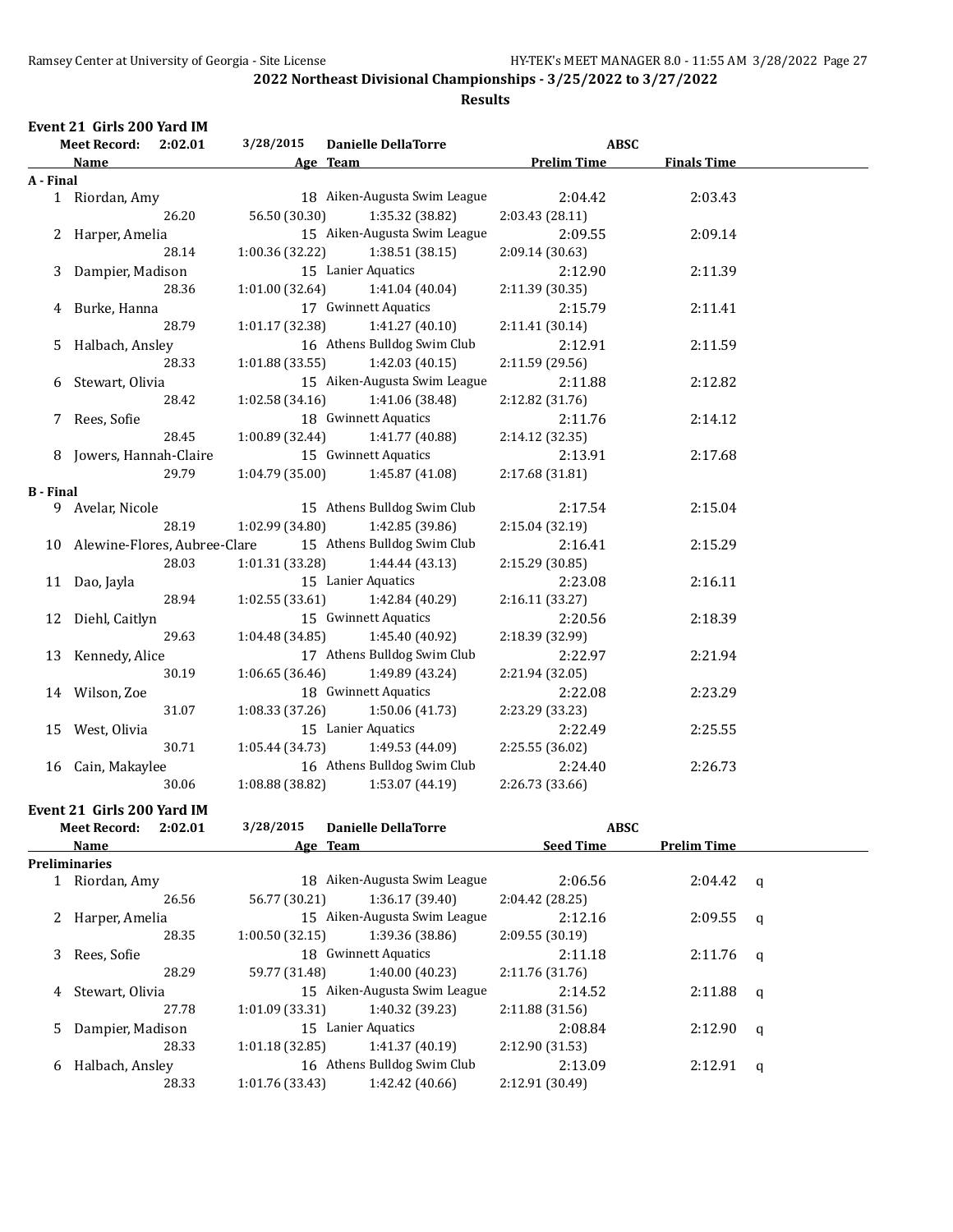**Event 21 Girls 200 Yard IM**

## **2022 Northeast Divisional Championships - 3/25/2022 to 3/27/2022**

|                  | <b>Meet Record:</b>             | 2:02.01 | 3/28/2015       | <b>Danielle DellaTorre</b>          |                    | <b>ABSC</b>        |  |
|------------------|---------------------------------|---------|-----------------|-------------------------------------|--------------------|--------------------|--|
|                  | Name                            |         | Age Team        |                                     | <b>Prelim Time</b> | <b>Finals Time</b> |  |
| A - Final        |                                 |         |                 |                                     |                    |                    |  |
|                  | 1 Riordan, Amy                  |         |                 | 18 Aiken-Augusta Swim League        | 2:04.42            | 2:03.43            |  |
|                  |                                 | 26.20   | 56.50 (30.30)   | 1:35.32 (38.82)                     | 2:03.43 (28.11)    |                    |  |
|                  | 2 Harper, Amelia                |         |                 | 15 Aiken-Augusta Swim League        | 2:09.55            | 2:09.14            |  |
|                  |                                 | 28.14   | 1:00.36(32.22)  | 1:38.51 (38.15)                     | 2:09.14 (30.63)    |                    |  |
|                  | 3 Dampier, Madison              |         |                 | 15 Lanier Aquatics                  | 2:12.90            | 2:11.39            |  |
|                  |                                 | 28.36   |                 | $1:01.00(32.64)$ $1:41.04(40.04)$   | 2:11.39 (30.35)    |                    |  |
|                  | 4 Burke, Hanna                  |         |                 | 17 Gwinnett Aquatics                | 2:15.79            | 2:11.41            |  |
|                  |                                 | 28.79   | 1:01.17 (32.38) | 1:41.27 (40.10)                     | 2:11.41 (30.14)    |                    |  |
| 5                | Halbach, Ansley                 |         |                 | 16 Athens Bulldog Swim Club         | 2:12.91            | 2:11.59            |  |
|                  |                                 | 28.33   |                 | $1:01.88(33.55)$ $1:42.03(40.15)$   | 2:11.59 (29.56)    |                    |  |
| 6                | Stewart, Olivia                 |         |                 | 15 Aiken-Augusta Swim League        | 2:11.88            | 2:12.82            |  |
|                  |                                 | 28.42   |                 | $1:02.58(34.16)$ $1:41.06(38.48)$   | 2:12.82 (31.76)    |                    |  |
|                  | 7 Rees, Sofie                   |         |                 | 18 Gwinnett Aquatics                | 2:11.76            | 2:14.12            |  |
|                  |                                 | 28.45   | 1:00.89(32.44)  | 1:41.77 (40.88)                     | 2:14.12 (32.35)    |                    |  |
|                  | 8 Jowers, Hannah-Claire         |         |                 | 15 Gwinnett Aquatics                | 2:13.91            | 2:17.68            |  |
|                  |                                 | 29.79   |                 | $1:04.79(35.00)$ $1:45.87(41.08)$   | 2:17.68 (31.81)    |                    |  |
| <b>B</b> - Final |                                 |         |                 |                                     |                    |                    |  |
|                  | 9 Avelar, Nicole                |         |                 | 15 Athens Bulldog Swim Club         | 2:17.54            | 2:15.04            |  |
|                  |                                 | 28.19   | 1:02.99 (34.80) | 1:42.85 (39.86)                     | 2:15.04(32.19)     |                    |  |
|                  | 10 Alewine-Flores, Aubree-Clare |         |                 | 15 Athens Bulldog Swim Club         | 2:16.41            | 2:15.29            |  |
|                  |                                 | 28.03   | 1:01.31(33.28)  | 1:44.44(43.13)                      | 2:15.29 (30.85)    |                    |  |
|                  | 11 Dao, Jayla                   |         |                 | 15 Lanier Aquatics                  | 2:23.08            | 2:16.11            |  |
|                  |                                 | 28.94   |                 | $1:02.55(33.61)$ $1:42.84(40.29)$   | 2:16.11 (33.27)    |                    |  |
|                  | 12 Diehl, Caitlyn               |         |                 | 15 Gwinnett Aquatics                | 2:20.56            | 2:18.39            |  |
|                  |                                 | 29.63   |                 | $1:04.48(34.85)$ $1:45.40(40.92)$   | 2:18.39 (32.99)    |                    |  |
|                  | 13 Kennedy, Alice               |         |                 | 17 Athens Bulldog Swim Club         | 2:22.97            | 2:21.94            |  |
|                  |                                 | 30.19   |                 | $1:06.65(36.46)$ $1:49.89(43.24)$   | 2:21.94 (32.05)    |                    |  |
|                  | 14 Wilson, Zoe                  |         |                 | 18 Gwinnett Aquatics                | 2:22.08            | 2:23.29            |  |
|                  |                                 | 31.07   |                 | $1:08.33(37.26)$ $1:50.06(41.73)$   | 2:23.29 (33.23)    |                    |  |
|                  | 15 West, Olivia                 |         |                 | 15 Lanier Aquatics                  | 2:22.49            | 2:25.55            |  |
|                  |                                 | 30.71   |                 | $1:05.44(34.73)$ $1:49.53(44.09)$   | 2:25.55 (36.02)    |                    |  |
|                  | 16 Cain, Makaylee               |         |                 | 16 Athens Bulldog Swim Club         | 2:24.40            | 2:26.73            |  |
|                  |                                 | 30.06   | 1:08.88(38.82)  | 1:53.07(44.19)                      | 2:26.73 (33.66)    |                    |  |
|                  | Event 21 Girls 200 Yard IM      |         |                 |                                     |                    |                    |  |
|                  |                                 |         | 2/20/2015       | $D_1, D_2, D_3, D_4, D_5, D_6, D_7$ |                    | 0.000              |  |

| <b>Meet Record:</b> |                    | 2:02.01 | 3/28/2015      | <b>Danielle DellaTorre</b>   | <b>ABSC</b>      |                    |              |  |
|---------------------|--------------------|---------|----------------|------------------------------|------------------|--------------------|--------------|--|
|                     | Name               |         |                | Age Team                     | <b>Seed Time</b> | <b>Prelim Time</b> |              |  |
|                     | Preliminaries      |         |                |                              |                  |                    |              |  |
|                     | Riordan, Amy       |         |                | 18 Aiken-Augusta Swim League | 2:06.56          | $2:04.42$ q        |              |  |
|                     |                    | 26.56   | 56.77 (30.21)  | 1:36.17(39.40)               | 2:04.42(28.25)   |                    |              |  |
|                     | 2 Harper, Amelia   |         |                | 15 Aiken-Augusta Swim League | 2:12.16          | 2:09.55            | $\alpha$     |  |
|                     |                    | 28.35   | 1:00.50(32.15) | 1:39.36 (38.86)              | 2:09.55(30.19)   |                    |              |  |
| 3                   | Rees, Sofie        |         |                | 18 Gwinnett Aquatics         | 2:11.18          | 2:11.76            | <b>a</b>     |  |
|                     |                    | 28.29   | 59.77 (31.48)  | 1:40.00(40.23)               | 2:11.76(31.76)   |                    |              |  |
| 4                   | Stewart, Olivia    |         |                | 15 Aiken-Augusta Swim League | 2:14.52          | 2:11.88            | $\mathbf{q}$ |  |
|                     |                    | 27.78   | 1:01.09(33.31) | 1:40.32 (39.23)              | 2:11.88(31.56)   |                    |              |  |
|                     | 5 Dampier, Madison |         |                | 15 Lanier Aquatics           | 2:08.84          | 2:12.90            | q            |  |
|                     |                    | 28.33   | 1:01.18(32.85) | 1:41.37(40.19)               | 2:12.90 (31.53)  |                    |              |  |
| 6                   | Halbach, Ansley    |         |                | 16 Athens Bulldog Swim Club  | 2:13.09          | 2:12.91            | q            |  |
|                     |                    | 28.33   | 1:01.76(33.43) | 1:42.42 (40.66)              | 2:12.91 (30.49)  |                    |              |  |
|                     |                    |         |                |                              |                  |                    |              |  |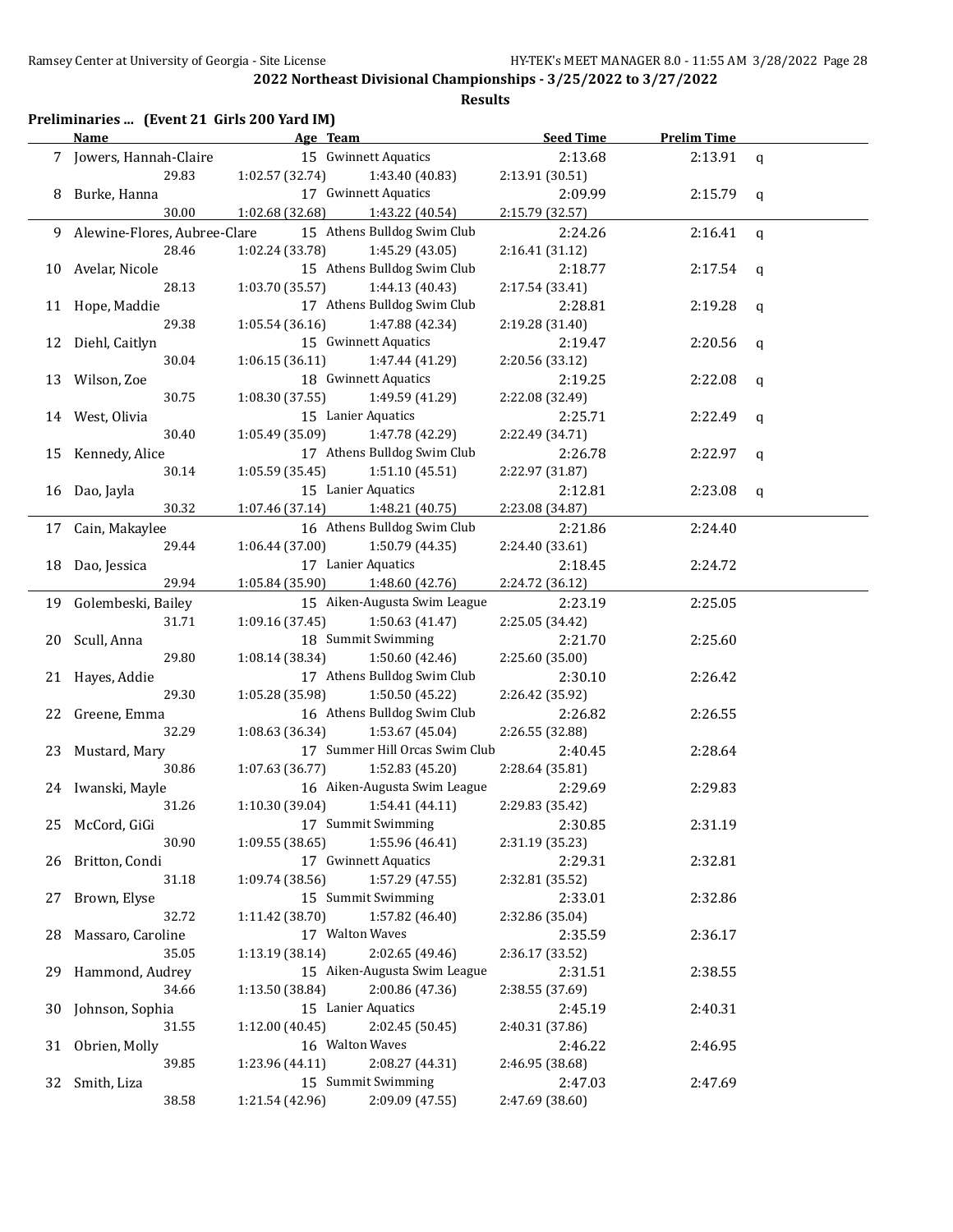## **Preliminaries ... (Event 21 Girls 200 Yard IM)**

|     | Name                           | Age Team                              |                                                | <b>Seed Time</b>           | <b>Prelim Time</b> |   |
|-----|--------------------------------|---------------------------------------|------------------------------------------------|----------------------------|--------------------|---|
|     | 7 Jowers, Hannah-Claire        |                                       | 15 Gwinnett Aquatics                           | 2:13.68                    | 2:13.91            | q |
|     | 29.83                          | 1:02.57 (32.74)                       | 1:43.40 (40.83)                                | 2:13.91 (30.51)            |                    |   |
| 8   | Burke, Hanna                   |                                       | 17 Gwinnett Aquatics                           | 2:09.99                    | 2:15.79            | q |
|     | 30.00                          | 1:02.68(32.68)                        | 1:43.22 (40.54)                                | 2:15.79 (32.57)            |                    |   |
|     | 9 Alewine-Flores, Aubree-Clare |                                       | 15 Athens Bulldog Swim Club                    | 2:24.26                    | 2:16.41            | q |
|     | 28.46                          | 1:02.24 (33.78)                       | 1:45.29 (43.05)                                | 2:16.41 (31.12)            |                    |   |
| 10  | Avelar, Nicole                 |                                       | 15 Athens Bulldog Swim Club                    | 2:18.77                    | 2:17.54            | q |
|     | 28.13                          | 1:03.70 (35.57)                       | 1:44.13 (40.43)                                | 2:17.54 (33.41)            |                    |   |
|     | 11 Hope, Maddie                |                                       | 17 Athens Bulldog Swim Club                    | 2:28.81                    | 2:19.28            | q |
|     | 29.38                          | 1:05.54 (36.16)                       | 1:47.88 (42.34)                                | 2:19.28 (31.40)            |                    |   |
| 12  | Diehl, Caitlyn                 |                                       | 15 Gwinnett Aquatics                           | 2:19.47                    | 2:20.56            | q |
|     | 30.04                          | 1:06.15(36.11)                        | 1:47.44 (41.29)                                | 2:20.56 (33.12)            |                    |   |
| 13  | Wilson, Zoe                    |                                       | 18 Gwinnett Aquatics                           | 2:19.25                    | 2:22.08            | q |
|     | 30.75                          | 1:08.30 (37.55)                       | 1:49.59 (41.29)                                | 2:22.08 (32.49)            |                    |   |
|     | 14 West, Olivia                | 15 Lanier Aquatics                    |                                                | 2:25.71                    | 2:22.49            | q |
|     | 30.40                          | 1:05.49 (35.09)                       | 1:47.78 (42.29)                                | 2:22.49 (34.71)            |                    |   |
| 15  | Kennedy, Alice                 |                                       | 17 Athens Bulldog Swim Club                    | 2:26.78                    | 2:22.97            |   |
|     | 30.14                          | 1:05.59 (35.45)                       | 1:51.10 (45.51)                                | 2:22.97 (31.87)            |                    | q |
|     | 16 Dao, Jayla                  | 15 Lanier Aquatics                    |                                                | 2:12.81                    | 2:23.08            |   |
|     | 30.32                          | 1:07.46 (37.14)                       | 1:48.21 (40.75)                                | 2:23.08 (34.87)            |                    | q |
|     |                                |                                       | 16 Athens Bulldog Swim Club                    |                            |                    |   |
|     | 17 Cain, Makaylee<br>29.44     | 1:06.44 (37.00)                       | 1:50.79 (44.35)                                | 2:21.86                    | 2:24.40            |   |
|     |                                | 17 Lanier Aquatics                    |                                                | 2:24.40 (33.61)            |                    |   |
| 18  | Dao, Jessica<br>29.94          |                                       |                                                | 2:18.45                    | 2:24.72            |   |
|     |                                | 1:05.84 (35.90)                       | 1:48.60 (42.76)                                | 2:24.72 (36.12)            |                    |   |
|     | 19 Golembeski, Bailey<br>31.71 | 1:09.16 (37.45)                       | 15 Aiken-Augusta Swim League<br>1:50.63(41.47) | 2:23.19                    | 2:25.05            |   |
|     | Scull, Anna                    |                                       | 18 Summit Swimming                             | 2:25.05 (34.42)<br>2:21.70 |                    |   |
| 20. | 29.80                          | 1:08.14 (38.34)                       | 1:50.60 (42.46)                                | 2:25.60 (35.00)            | 2:25.60            |   |
|     | 21 Hayes, Addie                |                                       | 17 Athens Bulldog Swim Club                    | 2:30.10                    | 2:26.42            |   |
|     | 29.30                          | 1:05.28 (35.98)                       | 1:50.50 (45.22)                                | 2:26.42 (35.92)            |                    |   |
| 22  | Greene, Emma                   |                                       | 16 Athens Bulldog Swim Club                    | 2:26.82                    | 2:26.55            |   |
|     | 32.29                          | 1:08.63 (36.34)                       | 1:53.67 (45.04)                                | 2:26.55 (32.88)            |                    |   |
|     |                                |                                       | 17 Summer Hill Orcas Swim Club                 | 2:40.45                    |                    |   |
| 23  | Mustard, Mary<br>30.86         | 1:07.63(36.77)                        | 1:52.83 (45.20)                                |                            | 2:28.64            |   |
|     | 24 Iwanski, Mayle              |                                       | 16 Aiken-Augusta Swim League                   | 2:28.64 (35.81)            |                    |   |
|     | 31.26                          | 1:10.30(39.04)                        | 1:54.41(44.11)                                 | 2:29.69<br>2:29.83 (35.42) | 2:29.83            |   |
|     |                                | 17 Summit Swimming                    |                                                |                            | 2:31.19            |   |
|     | 25 McCord, GiGi<br>30.90       | 1:09.55(38.65)                        | 1:55.96 (46.41)                                | 2:30.85<br>2:31.19 (35.23) |                    |   |
|     |                                |                                       | 17 Gwinnett Aquatics                           | 2:29.31                    | 2:32.81            |   |
|     | 26 Britton, Condi<br>31.18     |                                       | 1:57.29 (47.55)                                | 2:32.81 (35.52)            |                    |   |
|     |                                | 1:09.74(38.56)                        | 15 Summit Swimming                             |                            |                    |   |
|     | 27 Brown, Elyse<br>32.72       |                                       |                                                | 2:33.01                    | 2:32.86            |   |
|     |                                | 1:11.42 (38.70)<br>17 Walton Waves    | 1:57.82 (46.40)                                | 2:32.86 (35.04)            |                    |   |
| 28  | Massaro, Caroline              |                                       |                                                | 2:35.59                    | 2:36.17            |   |
|     | 35.05                          | 1:13.19(38.14)                        | 2:02.65 (49.46)                                | 2:36.17 (33.52)            |                    |   |
| 29. | Hammond, Audrey                |                                       | 15 Aiken-Augusta Swim League                   | 2:31.51                    | 2:38.55            |   |
|     | 34.66                          | 1:13.50 (38.84)<br>15 Lanier Aquatics | 2:00.86 (47.36)                                | 2:38.55 (37.69)            | 2:40.31            |   |
|     | 30 Johnson, Sophia<br>31.55    | 1:12.00 (40.45)                       | 2:02.45 (50.45)                                | 2:45.19                    |                    |   |
|     |                                |                                       |                                                | 2:40.31 (37.86)            |                    |   |
|     | 31 Obrien, Molly<br>39.85      | 16 Walton Waves                       |                                                | 2:46.22                    | 2:46.95            |   |
|     |                                | 1:23.96 (44.11)                       | 2:08.27 (44.31)                                | 2:46.95 (38.68)            |                    |   |
|     | 32 Smith, Liza                 |                                       | 15 Summit Swimming                             | 2:47.03                    | 2:47.69            |   |
|     | 38.58                          | 1:21.54 (42.96)                       | 2:09.09 (47.55)                                | 2:47.69 (38.60)            |                    |   |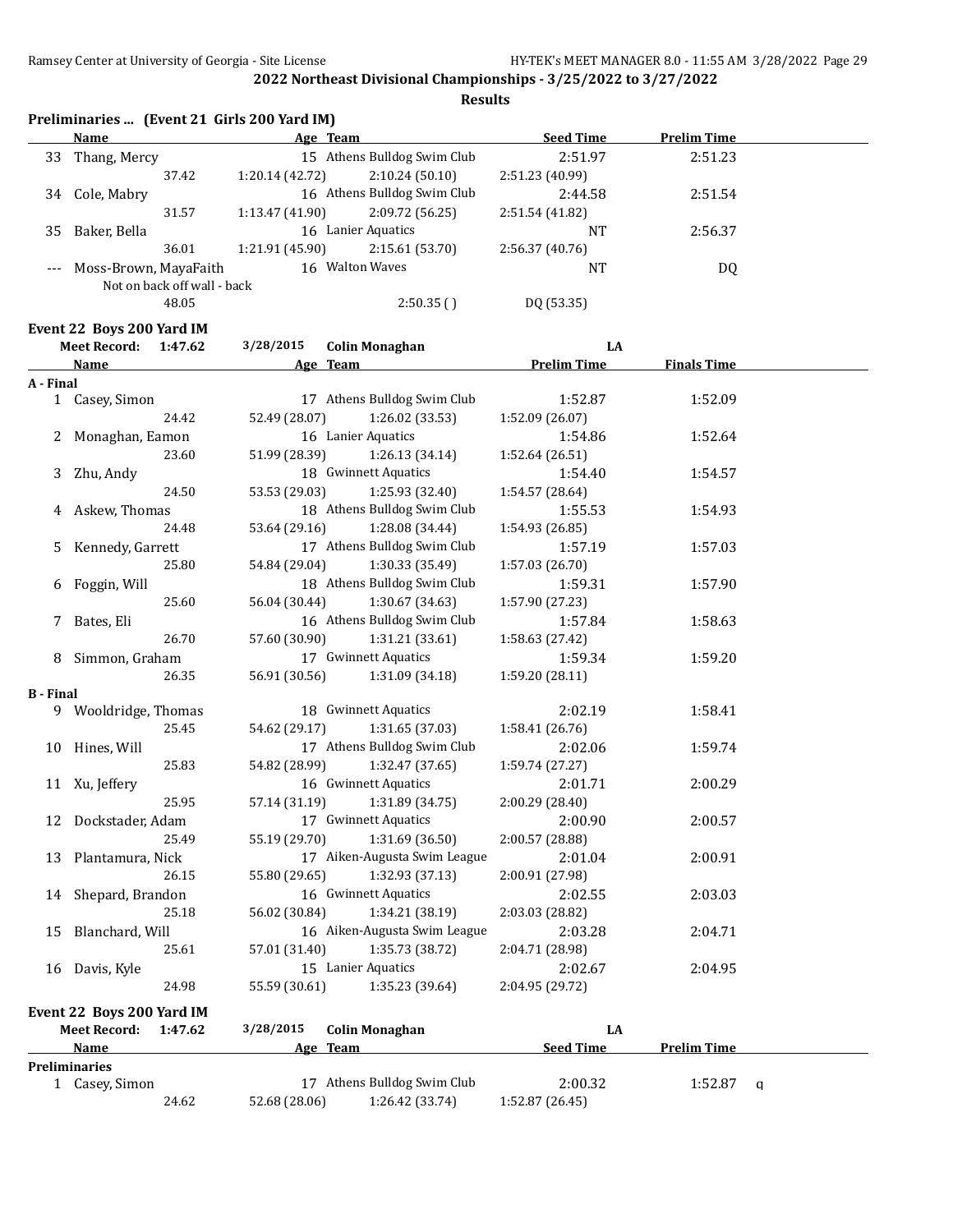**Results**

|    | <b>Name</b>                 | Age Team        |                             | <b>Seed Time</b> | <b>Prelim Time</b> |  |
|----|-----------------------------|-----------------|-----------------------------|------------------|--------------------|--|
| 33 | Thang, Mercy                |                 | 15 Athens Bulldog Swim Club | 2:51.97          | 2:51.23            |  |
|    | 37.42                       | 1:20.14(42.72)  | 2:10.24(50.10)              | 2:51.23 (40.99)  |                    |  |
| 34 | Cole, Mabry                 |                 | 16 Athens Bulldog Swim Club | 2:44.58          | 2:51.54            |  |
|    | 31.57                       | 1:13.47(41.90)  | 2:09.72 (56.25)             | 2:51.54 (41.82)  |                    |  |
| 35 | Baker. Bella                | 16              | Lanier Aquatics             | NT               | 2:56.37            |  |
|    | 36.01                       | 1:21.91 (45.90) | 2:15.61 (53.70)             | 2:56.37(40.76)   |                    |  |
|    | Moss-Brown, MayaFaith       |                 | 16 Walton Waves             | <b>NT</b>        | DQ                 |  |
|    | Not on back off wall - back |                 |                             |                  |                    |  |
|    | 48.05                       |                 | 2:50.35()                   | DQ (53.35)       |                    |  |

## **Event 22 Boys 200 Yard IM**<br>Most Bosord: 1:47.63

|                  | <b>Meet Record:</b>       | 1:47.62 | 3/28/2015     | <b>Colin Monaghan</b>        | LA                 |                    |   |
|------------------|---------------------------|---------|---------------|------------------------------|--------------------|--------------------|---|
|                  | Name                      |         |               | Age Team                     | <b>Prelim Time</b> | <b>Finals Time</b> |   |
| A - Final        |                           |         |               |                              |                    |                    |   |
|                  | 1 Casey, Simon            |         |               | 17 Athens Bulldog Swim Club  | 1:52.87            | 1:52.09            |   |
|                  |                           | 24.42   | 52.49 (28.07) | 1:26.02 (33.53)              | 1:52.09 (26.07)    |                    |   |
|                  | 2 Monaghan, Eamon         |         |               | 16 Lanier Aquatics           | 1:54.86            | 1:52.64            |   |
|                  |                           | 23.60   | 51.99 (28.39) | 1:26.13(34.14)               | 1:52.64 (26.51)    |                    |   |
| 3                | Zhu, Andy                 |         |               | 18 Gwinnett Aquatics         | 1:54.40            | 1:54.57            |   |
|                  |                           | 24.50   | 53.53 (29.03) | 1:25.93 (32.40)              | 1:54.57 (28.64)    |                    |   |
| 4                | Askew, Thomas             |         |               | 18 Athens Bulldog Swim Club  | 1:55.53            | 1:54.93            |   |
|                  |                           | 24.48   | 53.64 (29.16) | 1:28.08 (34.44)              | 1:54.93 (26.85)    |                    |   |
| 5.               | Kennedy, Garrett          |         |               | 17 Athens Bulldog Swim Club  | 1:57.19            | 1:57.03            |   |
|                  |                           | 25.80   | 54.84 (29.04) | 1:30.33 (35.49)              | 1:57.03 (26.70)    |                    |   |
| 6                | Foggin, Will              |         |               | 18 Athens Bulldog Swim Club  | 1:59.31            | 1:57.90            |   |
|                  |                           | 25.60   | 56.04 (30.44) | 1:30.67 (34.63)              | 1:57.90 (27.23)    |                    |   |
|                  | 7 Bates, Eli              |         |               | 16 Athens Bulldog Swim Club  | 1:57.84            | 1:58.63            |   |
|                  |                           | 26.70   | 57.60 (30.90) | 1:31.21 (33.61)              | 1:58.63 (27.42)    |                    |   |
| 8                | Simmon, Graham            |         |               | 17 Gwinnett Aquatics         | 1:59.34            | 1:59.20            |   |
|                  |                           | 26.35   | 56.91 (30.56) | 1:31.09(34.18)               | 1:59.20 (28.11)    |                    |   |
| <b>B</b> - Final |                           |         |               |                              |                    |                    |   |
|                  | 9 Wooldridge, Thomas      |         |               | 18 Gwinnett Aquatics         | 2:02.19            | 1:58.41            |   |
|                  |                           | 25.45   | 54.62 (29.17) | 1:31.65 (37.03)              | 1:58.41 (26.76)    |                    |   |
|                  | 10 Hines, Will            |         |               | 17 Athens Bulldog Swim Club  | 2:02.06            | 1:59.74            |   |
|                  |                           | 25.83   | 54.82 (28.99) | 1:32.47 (37.65)              | 1:59.74 (27.27)    |                    |   |
|                  | 11 Xu, Jeffery            |         |               | 16 Gwinnett Aquatics         | 2:01.71            | 2:00.29            |   |
|                  |                           | 25.95   | 57.14 (31.19) | 1:31.89 (34.75)              | 2:00.29 (28.40)    |                    |   |
|                  | 12 Dockstader, Adam       |         |               | 17 Gwinnett Aquatics         | 2:00.90            | 2:00.57            |   |
|                  |                           | 25.49   | 55.19 (29.70) | 1:31.69 (36.50)              | 2:00.57 (28.88)    |                    |   |
| 13               | Plantamura, Nick          |         |               | 17 Aiken-Augusta Swim League | 2:01.04            | 2:00.91            |   |
|                  |                           | 26.15   | 55.80 (29.65) | 1:32.93 (37.13)              | 2:00.91 (27.98)    |                    |   |
| 14               | Shepard, Brandon          |         |               | 16 Gwinnett Aquatics         | 2:02.55            | 2:03.03            |   |
|                  |                           | 25.18   | 56.02 (30.84) | 1:34.21 (38.19)              | 2:03.03 (28.82)    |                    |   |
| 15               | Blanchard, Will           |         |               | 16 Aiken-Augusta Swim League | 2:03.28            | 2:04.71            |   |
|                  |                           | 25.61   | 57.01 (31.40) | 1:35.73 (38.72)              | 2:04.71 (28.98)    |                    |   |
|                  | 16 Davis, Kyle            |         |               | 15 Lanier Aquatics           | 2:02.67            | 2:04.95            |   |
|                  |                           | 24.98   | 55.59 (30.61) | 1:35.23 (39.64)              | 2:04.95 (29.72)    |                    |   |
|                  | Event 22 Boys 200 Yard IM |         |               |                              |                    |                    |   |
|                  | <b>Meet Record:</b>       | 1:47.62 | 3/28/2015     | <b>Colin Monaghan</b>        | LA                 |                    |   |
|                  | Name                      |         |               | Age Team                     | <b>Seed Time</b>   | <b>Prelim Time</b> |   |
|                  | <b>Preliminaries</b>      |         |               |                              |                    |                    |   |
|                  | 1 Casey, Simon            |         |               | 17 Athens Bulldog Swim Club  | 2:00.32            | 1:52.87            | q |

24.62 52.68 (28.06) 1:26.42 (33.74) 1:52.87 (26.45)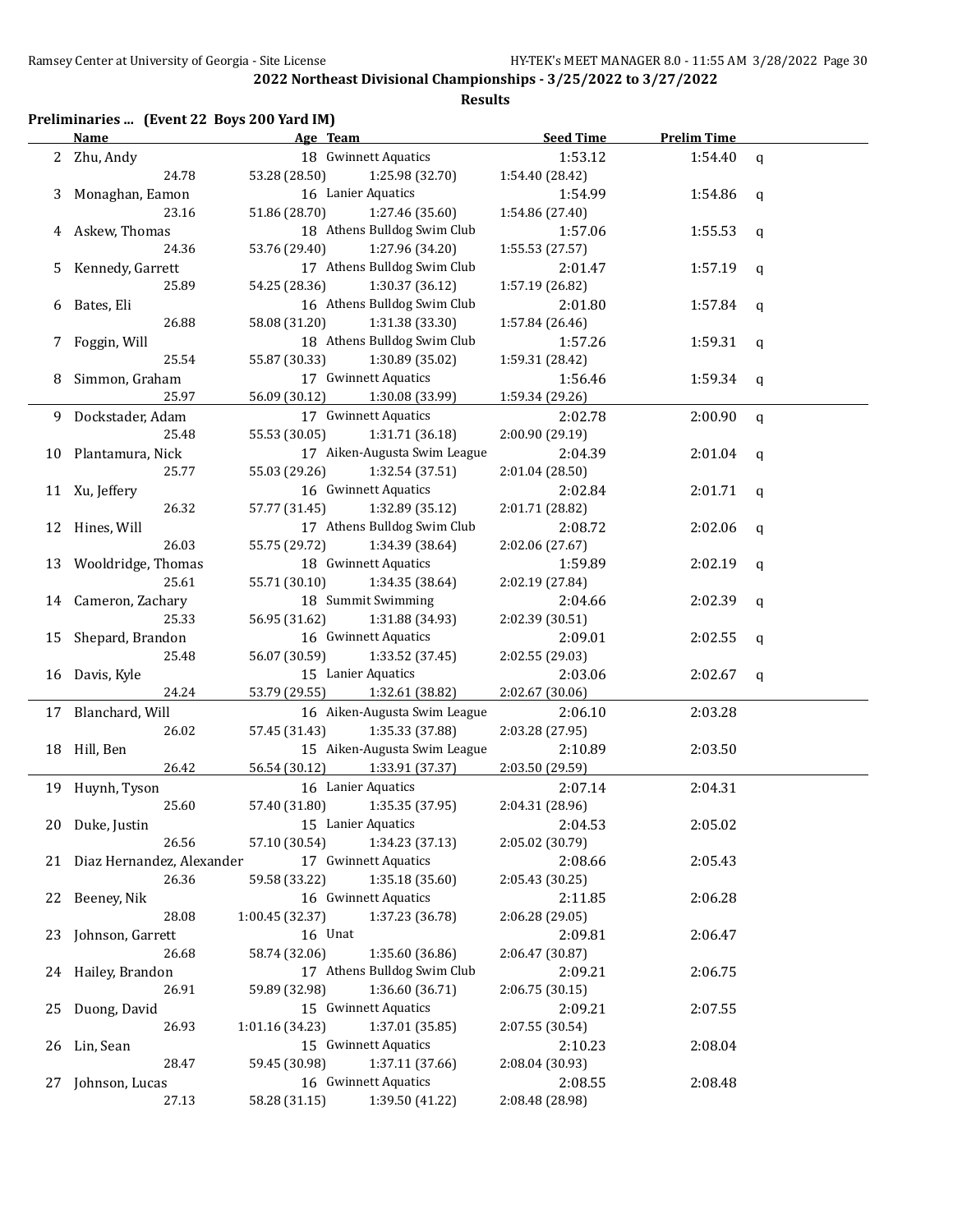## **Preliminaries ... (Event 22 Boys 200 Yard IM)**

|    | <b>Name</b>                  | Age Team                                                        | <b>Seed Time</b>           | <b>Prelim Time</b> |             |
|----|------------------------------|-----------------------------------------------------------------|----------------------------|--------------------|-------------|
|    | 2 Zhu, Andy                  | 18 Gwinnett Aquatics                                            | 1:53.12                    | 1:54.40            | $\mathbf q$ |
|    | 24.78                        | 53.28 (28.50)<br>1:25.98 (32.70)                                | 1:54.40 (28.42)            |                    |             |
| 3  | Monaghan, Eamon              | 16 Lanier Aquatics                                              | 1:54.99                    | 1:54.86            | q           |
|    | 23.16                        | 51.86 (28.70)<br>1:27.46 (35.60)                                | 1:54.86 (27.40)            |                    |             |
|    | Askew, Thomas                | 18 Athens Bulldog Swim Club                                     | 1:57.06                    | 1:55.53            | q           |
|    | 24.36                        | 1:27.96 (34.20)<br>53.76 (29.40)                                | 1:55.53 (27.57)            |                    |             |
| 5  | Kennedy, Garrett             | 17 Athens Bulldog Swim Club                                     | 2:01.47                    | 1:57.19            | q           |
|    | 25.89                        | 1:30.37 (36.12)<br>54.25 (28.36)                                | 1:57.19 (26.82)            |                    |             |
| 6  | Bates, Eli                   | 16 Athens Bulldog Swim Club                                     | 2:01.80                    | 1:57.84            | q           |
|    | 26.88                        | 58.08 (31.20)<br>1:31.38 (33.30)                                | 1:57.84 (26.46)            |                    |             |
| 7  | Foggin, Will                 | 18 Athens Bulldog Swim Club                                     | 1:57.26                    | 1:59.31            | q           |
|    | 25.54                        | 1:30.89 (35.02)<br>55.87 (30.33)                                | 1:59.31 (28.42)            |                    |             |
| 8  | Simmon, Graham               | 17 Gwinnett Aquatics                                            | 1:56.46                    | 1:59.34            | q           |
|    | 25.97                        | 56.09 (30.12)<br>1:30.08 (33.99)                                | 1:59.34 (29.26)            |                    |             |
| 9  | Dockstader, Adam             | 17 Gwinnett Aquatics                                            | 2:02.78                    | 2:00.90            | $\mathbf q$ |
|    | 25.48                        | 1:31.71 (36.18)<br>55.53 (30.05)                                | 2:00.90 (29.19)            |                    |             |
|    | 10 Plantamura, Nick          | 17 Aiken-Augusta Swim League                                    | 2:04.39                    | 2:01.04            | q           |
|    | 25.77                        | 1:32.54 (37.51)<br>55.03 (29.26)                                | 2:01.04 (28.50)            |                    |             |
|    | 11 Xu, Jeffery               | 16 Gwinnett Aquatics                                            | 2:02.84                    | 2:01.71            | q           |
|    | 26.32                        | 1:32.89 (35.12)<br>57.77 (31.45)                                | 2:01.71 (28.82)            |                    |             |
| 12 | Hines, Will                  | 17 Athens Bulldog Swim Club                                     | 2:08.72                    | 2:02.06            | q           |
|    | 26.03                        | 55.75 (29.72)<br>1:34.39 (38.64)                                | 2:02.06 (27.67)            |                    |             |
| 13 | Wooldridge, Thomas           | 18 Gwinnett Aquatics                                            | 1:59.89                    | 2:02.19            | q           |
|    | 25.61                        | 55.71 (30.10)<br>1:34.35 (38.64)                                | 2:02.19 (27.84)            |                    |             |
| 14 | Cameron, Zachary             | 18 Summit Swimming                                              | 2:04.66                    | 2:02.39            | q           |
|    | 25.33                        | 56.95 (31.62)<br>1:31.88 (34.93)                                | 2:02.39 (30.51)            |                    |             |
| 15 | Shepard, Brandon             | 16 Gwinnett Aquatics                                            | 2:09.01                    | 2:02.55            | q           |
|    | 25.48                        | 56.07 (30.59)<br>1:33.52 (37.45)                                | 2:02.55 (29.03)            |                    |             |
|    | 16 Davis, Kyle               | 15 Lanier Aquatics                                              | 2:03.06                    | 2:02.67            | q           |
|    | 24.24                        | 53.79 (29.55)<br>1:32.61 (38.82)                                | 2:02.67 (30.06)            |                    |             |
|    | 17 Blanchard, Will           | 16 Aiken-Augusta Swim League                                    | 2:06.10                    | 2:03.28            |             |
|    | 26.02                        | 57.45 (31.43)<br>1:35.33 (37.88)                                | 2:03.28 (27.95)            |                    |             |
|    | 18 Hill, Ben                 | 15 Aiken-Augusta Swim League                                    | 2:10.89                    | 2:03.50            |             |
|    | 26.42                        | 56.54 (30.12)<br>1:33.91 (37.37)                                | 2:03.50 (29.59)            |                    |             |
|    | 19 Huynh, Tyson              | 16 Lanier Aquatics                                              | 2:07.14                    | 2:04.31            |             |
|    | 25.60                        | 57.40 (31.80)<br>1:35.35 (37.95)                                | 2:04.31 (28.96)            |                    |             |
|    | 20 Duke, Justin              | 15 Lanier Aquatics                                              | 2:04.53                    | 2:05.02            |             |
|    | 26.56                        | 57.10 (30.54)<br>1:34.23 (37.13)                                | 2:05.02 (30.79)            |                    |             |
|    | 21 Diaz Hernandez, Alexander | 17 Gwinnett Aquatics                                            | 2:08.66                    | 2:05.43            |             |
|    | 26.36                        | 59.58 (33.22)<br>1:35.18 (35.60)                                | 2:05.43 (30.25)            |                    |             |
|    | 22 Beeney, Nik               | 16 Gwinnett Aquatics                                            | 2:11.85                    | 2:06.28            |             |
|    | 28.08                        | 1:00.45 (32.37)<br>1:37.23 (36.78)<br>16 Unat                   | 2:06.28 (29.05)            |                    |             |
|    | 23 Johnson, Garrett<br>26.68 |                                                                 | 2:09.81                    | 2:06.47            |             |
|    | 24 Hailey, Brandon           | 58.74 (32.06)<br>1:35.60 (36.86)<br>17 Athens Bulldog Swim Club | 2:06.47 (30.87)            |                    |             |
|    | 26.91                        | 1:36.60 (36.71)                                                 | 2:09.21                    | 2:06.75            |             |
| 25 | Duong, David                 | 59.89 (32.98)<br>15 Gwinnett Aquatics                           | 2:06.75 (30.15)<br>2:09.21 | 2:07.55            |             |
|    | 26.93                        | 1:37.01 (35.85)<br>1:01.16 (34.23)                              | 2:07.55 (30.54)            |                    |             |
|    | 26 Lin, Sean                 | 15 Gwinnett Aquatics                                            | 2:10.23                    | 2:08.04            |             |
|    | 28.47                        | 59.45 (30.98)<br>1:37.11 (37.66)                                | 2:08.04 (30.93)            |                    |             |
| 27 | Johnson, Lucas               | 16 Gwinnett Aquatics                                            | 2:08.55                    | 2:08.48            |             |
|    | 27.13                        | 58.28 (31.15)<br>1:39.50 (41.22)                                | 2:08.48 (28.98)            |                    |             |
|    |                              |                                                                 |                            |                    |             |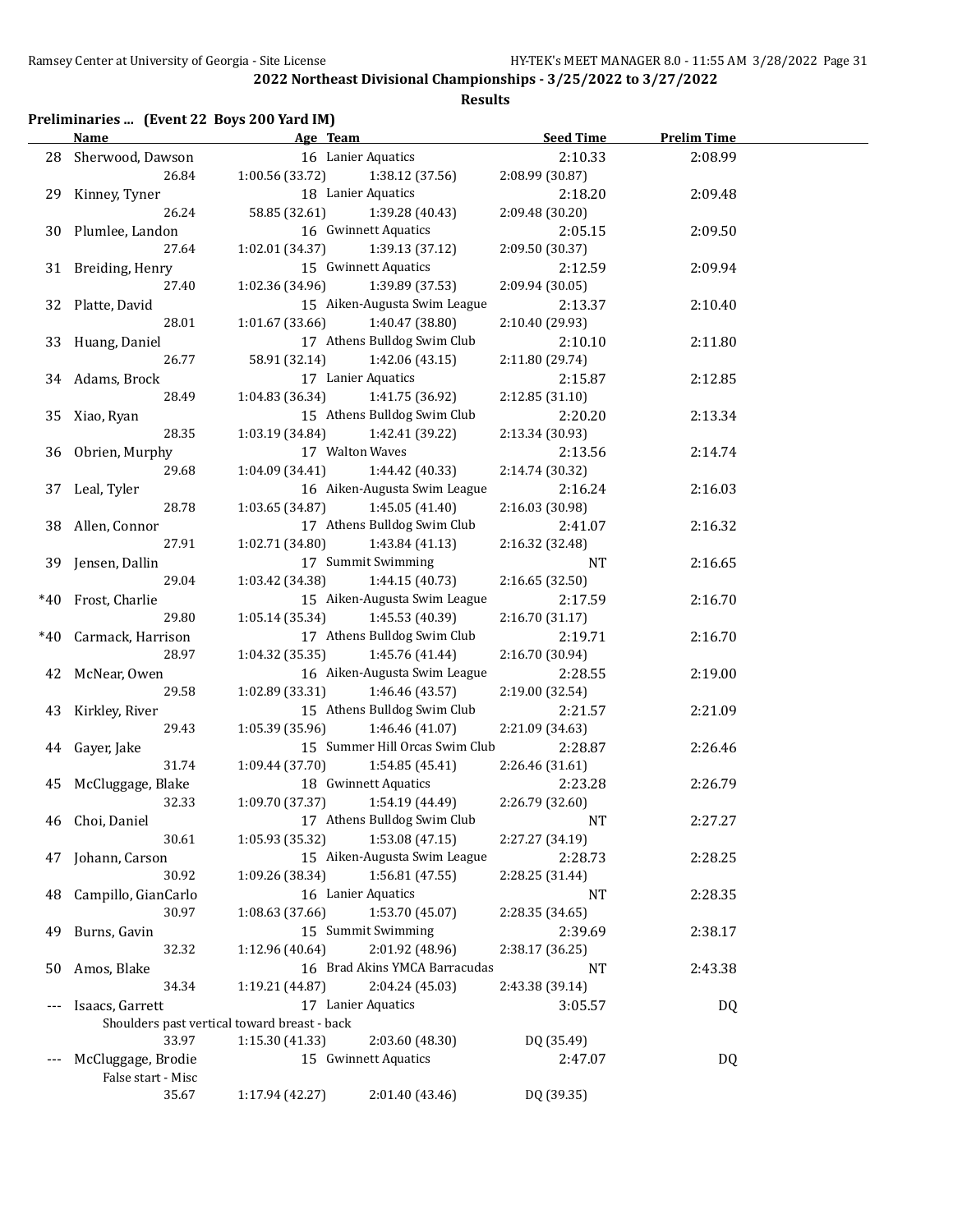## **Results**

## **Preliminaries ... (Event 22 Boys 200 Yard IM)**

|       | <b>Name</b><br>Age Team    |                                              | <b>Seed Time</b>               | <b>Prelim Time</b>         |           |  |
|-------|----------------------------|----------------------------------------------|--------------------------------|----------------------------|-----------|--|
|       | 28 Sherwood, Dawson        |                                              | 16 Lanier Aquatics             | 2:10.33                    | 2:08.99   |  |
|       | 26.84                      | 1:00.56 (33.72)                              | 1:38.12 (37.56)                | 2:08.99 (30.87)            |           |  |
|       | 29 Kinney, Tyner           | 18 Lanier Aquatics                           |                                | 2:18.20                    | 2:09.48   |  |
|       | 26.24                      | 58.85 (32.61)                                | 1:39.28 (40.43)                |                            |           |  |
|       | 30 Plumlee, Landon         |                                              | 16 Gwinnett Aquatics           | 2:09.48 (30.20)<br>2:05.15 | 2:09.50   |  |
|       | 27.64                      | 1:02.01(34.37)                               | 1:39.13 (37.12)                | 2:09.50 (30.37)            |           |  |
|       | 31 Breiding, Henry         |                                              | 15 Gwinnett Aquatics           | 2:12.59                    | 2:09.94   |  |
|       | 27.40                      | 1:02.36 (34.96)                              | 1:39.89 (37.53)                | 2:09.94 (30.05)            |           |  |
|       | 32 Platte, David           |                                              | 15 Aiken-Augusta Swim League   | 2:13.37                    | 2:10.40   |  |
|       | 28.01                      | 1:01.67(33.66)                               | 1:40.47 (38.80)                | 2:10.40 (29.93)            |           |  |
|       |                            |                                              |                                |                            |           |  |
|       | 33 Huang, Daniel           |                                              | 17 Athens Bulldog Swim Club    | 2:10.10                    | 2:11.80   |  |
|       | 26.77                      | 58.91 (32.14)                                | 1:42.06 (43.15)                | 2:11.80 (29.74)            |           |  |
|       | 34 Adams, Brock            |                                              | 17 Lanier Aquatics             | 2:15.87                    | 2:12.85   |  |
|       | 28.49                      | 1:04.83 (36.34)                              | 1:41.75 (36.92)                | 2:12.85 (31.10)            |           |  |
|       | 35 Xiao, Ryan              |                                              | 15 Athens Bulldog Swim Club    | 2:20.20                    | 2:13.34   |  |
|       | 28.35                      | 1:03.19 (34.84)                              | 1:42.41 (39.22)                | 2:13.34 (30.93)            |           |  |
|       | 36 Obrien, Murphy          | 17 Walton Waves                              |                                | 2:13.56                    | 2:14.74   |  |
|       | 29.68                      | 1:04.09(34.41)                               | 1:44.42 (40.33)                | 2:14.74 (30.32)            |           |  |
|       | 37 Leal, Tyler             |                                              | 16 Aiken-Augusta Swim League   | 2:16.24                    | 2:16.03   |  |
|       | 28.78                      | 1:03.65 (34.87)                              | 1:45.05 (41.40)                | 2:16.03 (30.98)            |           |  |
|       | 38 Allen, Connor           |                                              | 17 Athens Bulldog Swim Club    | 2:41.07                    | 2:16.32   |  |
|       | 27.91                      | 1:02.71(34.80)                               | 1:43.84 (41.13)                | 2:16.32 (32.48)            |           |  |
|       | 39 Jensen, Dallin          |                                              | 17 Summit Swimming             | NT                         | 2:16.65   |  |
|       | 29.04                      | 1:03.42 (34.38)                              | 1:44.15 (40.73)                | 2:16.65 (32.50)            |           |  |
| *40   | Frost, Charlie             |                                              | 15 Aiken-Augusta Swim League   | 2:17.59                    | 2:16.70   |  |
|       | 29.80                      | 1:05.14(35.34)                               | 1:45.53 (40.39)                | 2:16.70 (31.17)            |           |  |
| $*40$ | Carmack, Harrison          |                                              | 17 Athens Bulldog Swim Club    | 2:19.71                    | 2:16.70   |  |
|       | 28.97                      | 1:04.32(35.35)                               | 1:45.76 (41.44)                | 2:16.70 (30.94)            |           |  |
|       | 42 McNear, Owen            |                                              | 16 Aiken-Augusta Swim League   | 2:28.55                    | 2:19.00   |  |
|       | 29.58                      | 1:02.89 (33.31)                              | 1:46.46 (43.57)                | 2:19.00 (32.54)            |           |  |
|       |                            |                                              | 15 Athens Bulldog Swim Club    | 2:21.57                    |           |  |
|       | 43 Kirkley, River<br>29.43 | 1:05.39(35.96)                               | 1:46.46 (41.07)                |                            | 2:21.09   |  |
|       |                            |                                              | 15 Summer Hill Orcas Swim Club | 2:21.09 (34.63)            |           |  |
|       | 44 Gayer, Jake             |                                              |                                | 2:28.87                    | 2:26.46   |  |
|       | 31.74                      | 1:09.44(37.70)                               | 1:54.85 (45.41)                | 2:26.46 (31.61)            |           |  |
|       | 45 McCluggage, Blake       |                                              | 18 Gwinnett Aquatics           | 2:23.28                    | 2:26.79   |  |
|       | 32.33                      | 1:09.70 (37.37)                              | 1:54.19 (44.49)                | 2:26.79 (32.60)            |           |  |
|       | 46 Choi, Daniel            |                                              | 17 Athens Bulldog Swim Club    | NT                         | 2:27.27   |  |
|       | 30.61                      | 1:05.93 (35.32)                              | 1:53.08 (47.15)                | 2:27.27 (34.19)            |           |  |
|       | 47 Johann, Carson          |                                              | 15 Aiken-Augusta Swim League   | 2:28.73                    | 2:28.25   |  |
|       | 30.92                      | 1:09.26 (38.34)                              | 1:56.81 (47.55)                | 2:28.25 (31.44)            |           |  |
| 48    | Campillo, GianCarlo        |                                              | 16 Lanier Aquatics             | NT                         | 2:28.35   |  |
|       | 30.97                      | 1:08.63 (37.66)                              | 1:53.70 (45.07)                | 2:28.35 (34.65)            |           |  |
| 49    | Burns, Gavin               |                                              | 15 Summit Swimming             | 2:39.69                    | 2:38.17   |  |
|       | 32.32                      | 1:12.96 (40.64)                              | 2:01.92 (48.96)                | 2:38.17 (36.25)            |           |  |
| 50    | Amos, Blake                |                                              | 16 Brad Akins YMCA Barracudas  | NT                         | 2:43.38   |  |
|       | 34.34                      | 1:19.21 (44.87)                              | 2:04.24 (45.03)                | 2:43.38 (39.14)            |           |  |
| $---$ | Isaacs, Garrett            |                                              | 17 Lanier Aquatics             | 3:05.57                    | <b>DQ</b> |  |
|       |                            | Shoulders past vertical toward breast - back |                                |                            |           |  |
|       | 33.97                      | 1:15.30 (41.33)                              | 2:03.60 (48.30)                | DQ (35.49)                 |           |  |
| $---$ | McCluggage, Brodie         |                                              | 15 Gwinnett Aquatics           | 2:47.07                    | DQ        |  |
|       | False start - Misc         |                                              |                                |                            |           |  |
|       | 35.67                      | 1:17.94 (42.27)                              | 2:01.40 (43.46)                | DQ (39.35)                 |           |  |
|       |                            |                                              |                                |                            |           |  |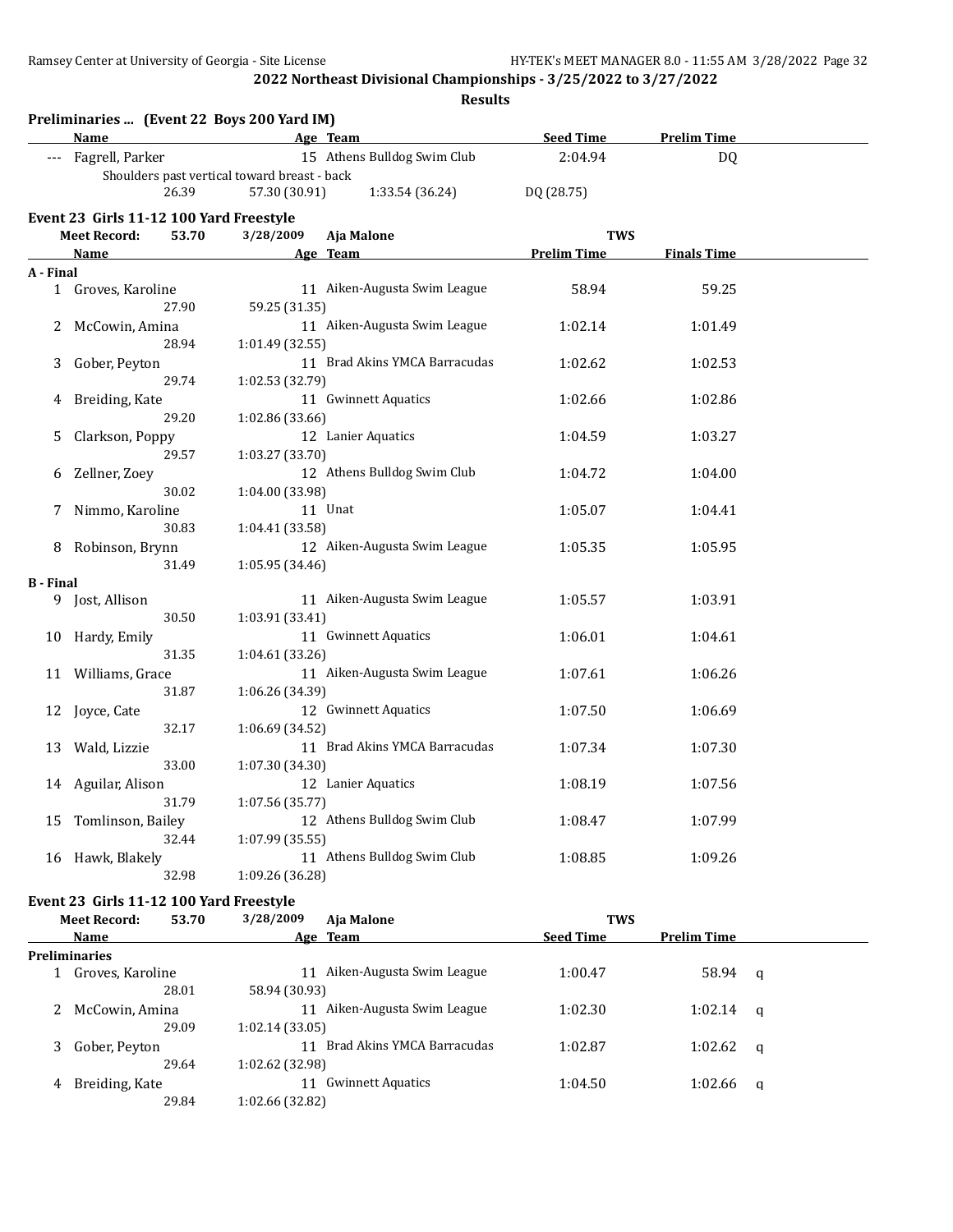**Results**

|                  | Name                                    |       | Preliminaries  (Event 22 Boys 200 Yard IM)<br><b>Example 2</b> Age Team |                               | <b>Seed Time</b>                 | <b>Prelim Time</b> |   |
|------------------|-----------------------------------------|-------|-------------------------------------------------------------------------|-------------------------------|----------------------------------|--------------------|---|
| ---              | Fagrell, Parker                         |       |                                                                         | 15 Athens Bulldog Swim Club   | 2:04.94                          | <b>DQ</b>          |   |
|                  |                                         |       | Shoulders past vertical toward breast - back                            |                               |                                  |                    |   |
|                  |                                         | 26.39 | 57.30 (30.91)                                                           | 1:33.54 (36.24)               | DQ (28.75)                       |                    |   |
|                  |                                         |       |                                                                         |                               |                                  |                    |   |
|                  | Event 23 Girls 11-12 100 Yard Freestyle |       |                                                                         |                               |                                  |                    |   |
|                  | <b>Meet Record:</b>                     | 53.70 | 3/28/2009                                                               | Aja Malone                    | <b>TWS</b><br><b>Prelim Time</b> |                    |   |
|                  | Name                                    |       |                                                                         | Age Team                      |                                  | <b>Finals Time</b> |   |
| A - Final        | 1 Groves, Karoline                      |       |                                                                         | 11 Aiken-Augusta Swim League  | 58.94                            | 59.25              |   |
|                  |                                         | 27.90 | 59.25 (31.35)                                                           |                               |                                  |                    |   |
| 2                | McCowin, Amina                          |       |                                                                         | 11 Aiken-Augusta Swim League  | 1:02.14                          | 1:01.49            |   |
|                  |                                         | 28.94 | 1:01.49 (32.55)                                                         |                               |                                  |                    |   |
| 3                | Gober, Peyton                           |       |                                                                         | 11 Brad Akins YMCA Barracudas | 1:02.62                          | 1:02.53            |   |
|                  |                                         | 29.74 | 1:02.53 (32.79)                                                         |                               |                                  |                    |   |
| 4                | Breiding, Kate                          |       |                                                                         | 11 Gwinnett Aquatics          | 1:02.66                          | 1:02.86            |   |
|                  |                                         | 29.20 | 1:02.86 (33.66)                                                         |                               |                                  |                    |   |
| 5.               | Clarkson, Poppy                         |       |                                                                         | 12 Lanier Aquatics            | 1:04.59                          | 1:03.27            |   |
|                  |                                         | 29.57 | 1:03.27 (33.70)                                                         |                               |                                  |                    |   |
|                  |                                         |       |                                                                         | 12 Athens Bulldog Swim Club   |                                  |                    |   |
| 6                | Zellner, Zoey                           | 30.02 | 1:04.00 (33.98)                                                         |                               | 1:04.72                          | 1:04.00            |   |
|                  |                                         |       |                                                                         |                               |                                  |                    |   |
| 7.               | Nimmo, Karoline                         | 30.83 |                                                                         | 11 Unat                       | 1:05.07                          | 1:04.41            |   |
|                  |                                         |       | 1:04.41 (33.58)                                                         |                               |                                  |                    |   |
| 8                | Robinson, Brynn                         |       |                                                                         | 12 Aiken-Augusta Swim League  | 1:05.35                          | 1:05.95            |   |
|                  |                                         | 31.49 | 1:05.95 (34.46)                                                         |                               |                                  |                    |   |
| <b>B</b> - Final | 9 Jost, Allison                         |       |                                                                         | 11 Aiken-Augusta Swim League  | 1:05.57                          | 1:03.91            |   |
|                  |                                         | 30.50 | 1:03.91 (33.41)                                                         |                               |                                  |                    |   |
|                  | 10 Hardy, Emily                         |       |                                                                         | 11 Gwinnett Aquatics          | 1:06.01                          | 1:04.61            |   |
|                  |                                         | 31.35 | 1:04.61 (33.26)                                                         |                               |                                  |                    |   |
|                  | 11 Williams, Grace                      |       |                                                                         | 11 Aiken-Augusta Swim League  | 1:07.61                          | 1:06.26            |   |
|                  |                                         | 31.87 | 1:06.26 (34.39)                                                         |                               |                                  |                    |   |
|                  |                                         |       |                                                                         | 12 Gwinnett Aquatics          |                                  |                    |   |
|                  | 12 Joyce, Cate                          |       |                                                                         |                               | 1:07.50                          | 1:06.69            |   |
|                  |                                         | 32.17 | 1:06.69 (34.52)                                                         | 11 Brad Akins YMCA Barracudas |                                  |                    |   |
|                  | 13 Wald, Lizzie                         |       |                                                                         |                               | 1:07.34                          | 1:07.30            |   |
|                  |                                         | 33.00 | 1:07.30 (34.30)                                                         |                               |                                  |                    |   |
|                  | 14 Aguilar, Alison                      |       |                                                                         | 12 Lanier Aquatics            | 1:08.19                          | 1:07.56            |   |
|                  |                                         | 31.79 | 1:07.56 (35.77)                                                         |                               |                                  |                    |   |
| 15               | Tomlinson, Bailey                       |       |                                                                         | 12 Athens Bulldog Swim Club   | 1:08.47                          | 1:07.99            |   |
|                  |                                         | 32.44 | 1:07.99 (35.55)                                                         |                               |                                  |                    |   |
| 16               | Hawk, Blakely                           |       |                                                                         | 11 Athens Bulldog Swim Club   | 1:08.85                          | 1:09.26            |   |
|                  |                                         | 32.98 | 1:09.26 (36.28)                                                         |                               |                                  |                    |   |
|                  | Event 23 Girls 11-12 100 Yard Freestyle |       |                                                                         |                               |                                  |                    |   |
|                  | <b>Meet Record:</b>                     | 53.70 | 3/28/2009                                                               | Aja Malone                    | <b>TWS</b>                       |                    |   |
|                  | <u>Name</u>                             |       |                                                                         | Age Team                      | <b>Seed Time</b>                 | <b>Prelim Time</b> |   |
|                  | <b>Preliminaries</b>                    |       |                                                                         |                               |                                  |                    |   |
|                  | 1 Groves, Karoline                      |       |                                                                         | 11 Aiken-Augusta Swim League  | 1:00.47                          | 58.94              | q |
|                  |                                         | 28.01 | 58.94 (30.93)                                                           |                               |                                  |                    |   |
|                  | McCowin, Amina                          |       |                                                                         | 11 Aiken-Augusta Swim League  | 1:02.30                          | 1:02.14            | q |
|                  |                                         | 29.09 | 1:02.14 (33.05)                                                         |                               |                                  |                    |   |
| 3.               | Gober, Peyton                           |       |                                                                         | 11 Brad Akins YMCA Barracudas | 1:02.87                          | 1:02.62            | q |
|                  |                                         | 29.64 | 1:02.62 (32.98)                                                         |                               |                                  |                    |   |
|                  | 4 Breiding, Kate                        |       |                                                                         | 11 Gwinnett Aquatics          | 1:04.50                          | $1:02.66$ q        |   |

29.84 1:02.66 (32.82)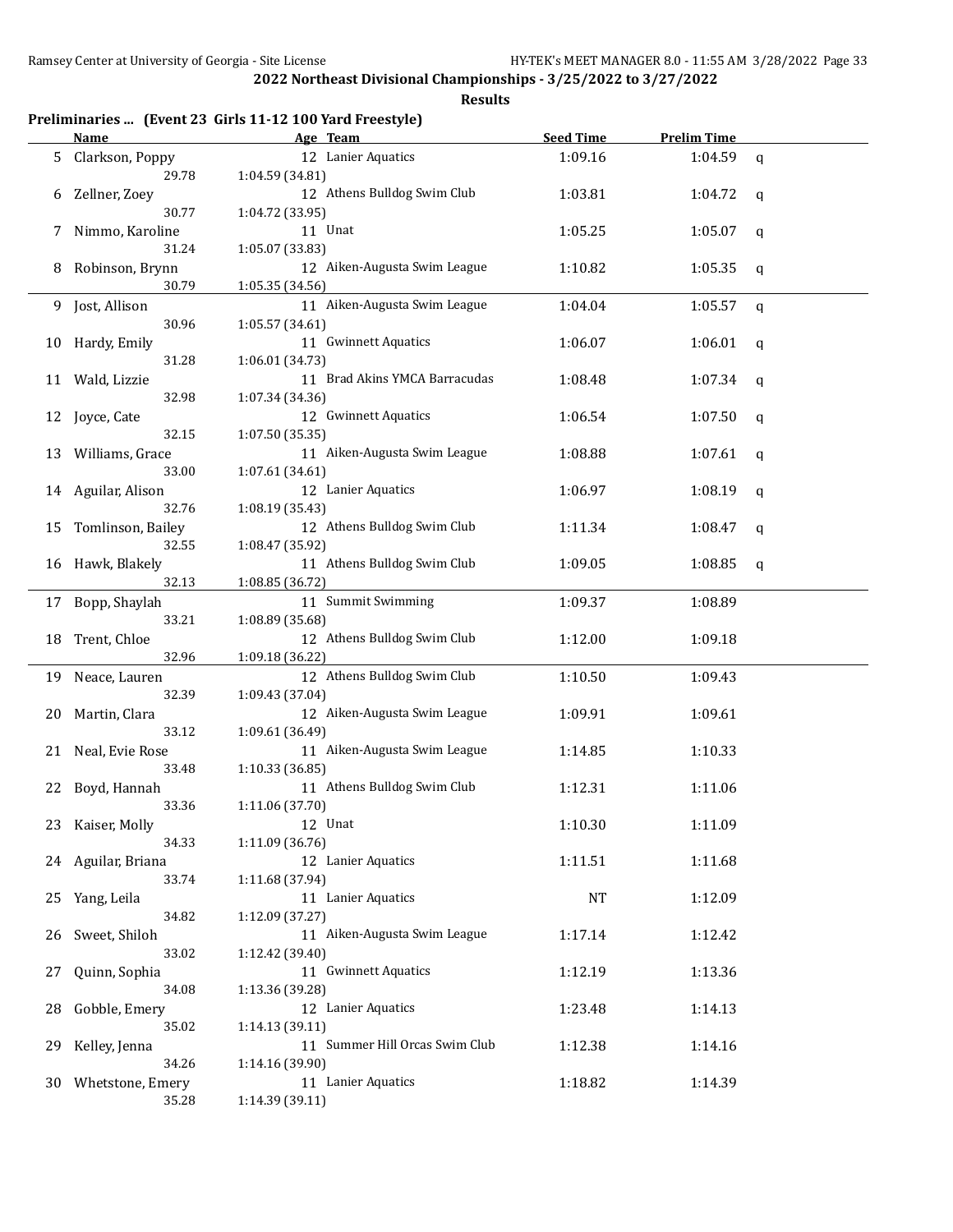|  |  | Preliminaries  (Event 23 Girls 11-12 100 Yard Freestyle) |  |
|--|--|----------------------------------------------------------|--|
|--|--|----------------------------------------------------------|--|

|     | <b>Name</b>          | Age Team                       | <b>Seed Time</b> | <b>Prelim Time</b> |             |
|-----|----------------------|--------------------------------|------------------|--------------------|-------------|
| 5   | Clarkson, Poppy      | 12 Lanier Aquatics             | 1:09.16          | 1:04.59            | $\mathbf q$ |
|     | 29.78                | 1:04.59 (34.81)                |                  |                    |             |
| 6   | Zellner, Zoey        | 12 Athens Bulldog Swim Club    | 1:03.81          | 1:04.72            | q           |
|     | 30.77                | 1:04.72 (33.95)                |                  |                    |             |
| 7   | Nimmo, Karoline      | 11 Unat                        | 1:05.25          | 1:05.07            | q           |
|     | 31.24                | 1:05.07 (33.83)                |                  |                    |             |
| 8   | Robinson, Brynn      | 12 Aiken-Augusta Swim League   | 1:10.82          | 1:05.35            | q           |
|     | 30.79                | 1:05.35 (34.56)                |                  |                    |             |
| 9   | Jost, Allison        | 11 Aiken-Augusta Swim League   | 1:04.04          | 1:05.57            |             |
|     | 30.96                | 1:05.57 (34.61)                |                  |                    | q           |
|     |                      |                                |                  |                    |             |
| 10  | Hardy, Emily         | 11 Gwinnett Aquatics           | 1:06.07          | 1:06.01            | q           |
|     | 31.28                | 1:06.01 (34.73)                |                  |                    |             |
| 11  | Wald, Lizzie         | 11 Brad Akins YMCA Barracudas  | 1:08.48          | 1:07.34            | q           |
|     | 32.98                | 1:07.34 (34.36)                |                  |                    |             |
| 12  | Joyce, Cate          | 12 Gwinnett Aquatics           | 1:06.54          | 1:07.50            | q           |
|     | 32.15                | 1:07.50(35.35)                 |                  |                    |             |
| 13  | Williams, Grace      | 11 Aiken-Augusta Swim League   | 1:08.88          | 1:07.61            | q           |
|     | 33.00                | 1:07.61 (34.61)                |                  |                    |             |
|     | 14 Aguilar, Alison   | 12 Lanier Aquatics             | 1:06.97          | 1:08.19            | q           |
|     | 32.76                | 1:08.19 (35.43)                |                  |                    |             |
| 15  | Tomlinson, Bailey    | 12 Athens Bulldog Swim Club    | 1:11.34          | 1:08.47            | q           |
|     | 32.55                | 1:08.47 (35.92)                |                  |                    |             |
| 16  | Hawk, Blakely        | 11 Athens Bulldog Swim Club    | 1:09.05          | 1:08.85            | q           |
|     | 32.13                | 1:08.85 (36.72)                |                  |                    |             |
| 17  | Bopp, Shaylah        | 11 Summit Swimming             | 1:09.37          | 1:08.89            |             |
|     | 33.21                | 1:08.89 (35.68)                |                  |                    |             |
| 18  | Trent, Chloe         | 12 Athens Bulldog Swim Club    | 1:12.00          | 1:09.18            |             |
|     | 32.96                | 1:09.18 (36.22)                |                  |                    |             |
| 19  | Neace, Lauren        | 12 Athens Bulldog Swim Club    | 1:10.50          | 1:09.43            |             |
|     | 32.39                | 1:09.43 (37.04)                |                  |                    |             |
| 20  | Martin, Clara        | 12 Aiken-Augusta Swim League   | 1:09.91          | 1:09.61            |             |
|     | 33.12                | 1:09.61 (36.49)                |                  |                    |             |
| 21  | Neal, Evie Rose      | 11 Aiken-Augusta Swim League   | 1:14.85          | 1:10.33            |             |
|     | 33.48                | 1:10.33 (36.85)                |                  |                    |             |
| 22  | Boyd, Hannah         | 11 Athens Bulldog Swim Club    | 1:12.31          | 1:11.06            |             |
|     | 33.36                | 1:11.06 (37.70)                |                  |                    |             |
|     | 23 Kaiser, Molly     | 12 Unat                        | 1:10.30          | 1:11.09            |             |
|     | 34.33                | 1:11.09 (36.76)                |                  |                    |             |
|     | 24 Aguilar, Briana   | 12 Lanier Aquatics             | 1:11.51          | 1:11.68            |             |
|     | 33.74                | 1:11.68 (37.94)                |                  |                    |             |
|     |                      | 11 Lanier Aquatics             | NT               |                    |             |
| 25  | Yang, Leila<br>34.82 |                                |                  | 1:12.09            |             |
|     |                      | 1:12.09 (37.27)                |                  |                    |             |
| 26. | Sweet, Shiloh        | 11 Aiken-Augusta Swim League   | 1:17.14          | 1:12.42            |             |
|     | 33.02                | 1:12.42 (39.40)                |                  |                    |             |
| 27  | Quinn, Sophia        | 11 Gwinnett Aquatics           | 1:12.19          | 1:13.36            |             |
|     | 34.08                | 1:13.36 (39.28)                |                  |                    |             |
| 28  | Gobble, Emery        | 12 Lanier Aquatics             | 1:23.48          | 1:14.13            |             |
|     | 35.02                | 1:14.13 (39.11)                |                  |                    |             |
| 29  | Kelley, Jenna        | 11 Summer Hill Orcas Swim Club | 1:12.38          | 1:14.16            |             |
|     | 34.26                | 1:14.16 (39.90)                |                  |                    |             |
| 30- | Whetstone, Emery     | 11 Lanier Aquatics             | 1:18.82          | 1:14.39            |             |
|     | 35.28                | 1:14.39 (39.11)                |                  |                    |             |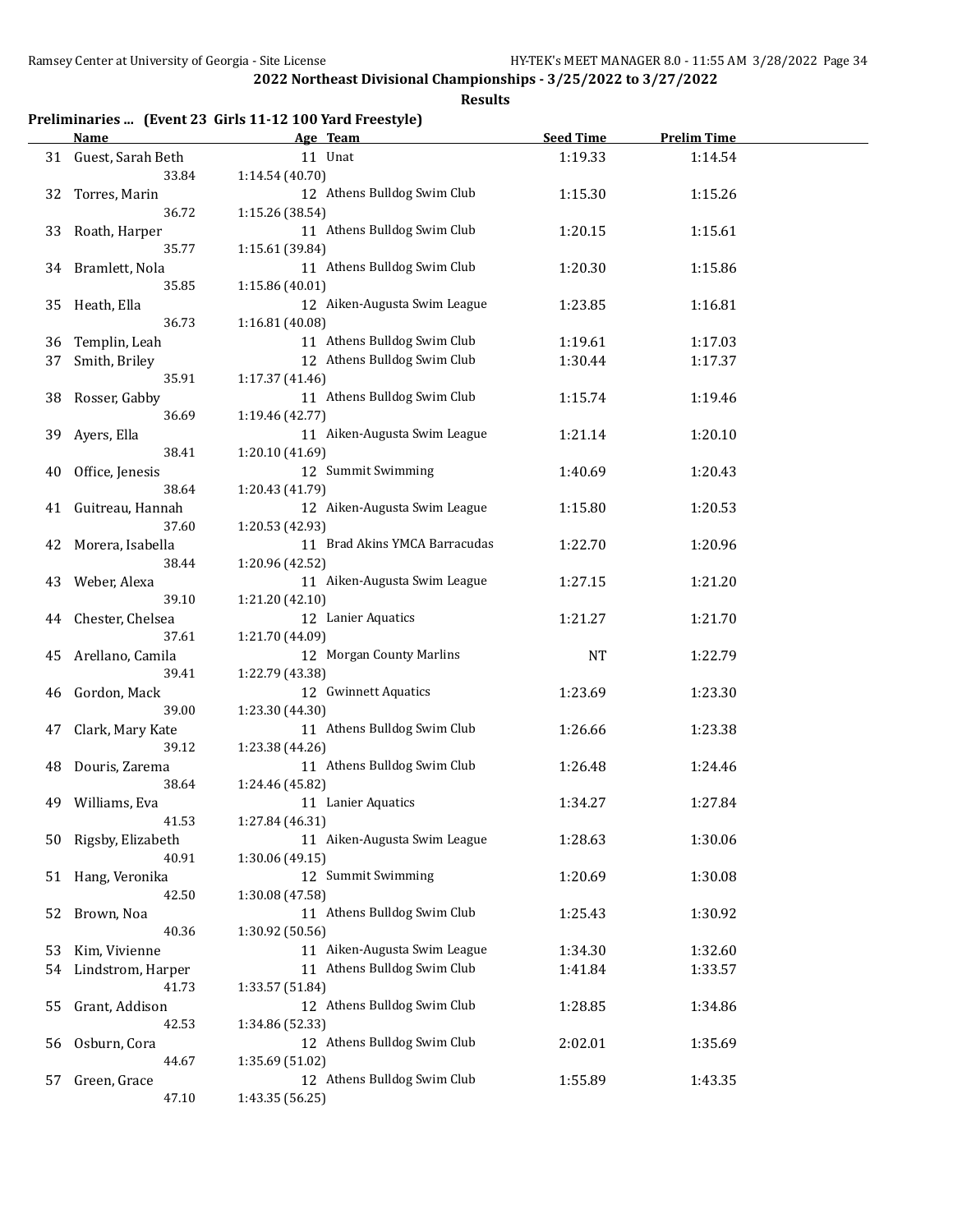**Results**

## **Preliminaries ... (Event 23 Girls 11-12 100 Yard Freestyle)**

|    | <b>Name</b>          | Age Team                      | <b>Seed Time</b> | <b>Prelim Time</b> |  |
|----|----------------------|-------------------------------|------------------|--------------------|--|
|    | 31 Guest, Sarah Beth | 11 Unat                       | 1:19.33          | 1:14.54            |  |
|    | 33.84                | 1:14.54(40.70)                |                  |                    |  |
| 32 | Torres, Marin        | 12 Athens Bulldog Swim Club   | 1:15.30          | 1:15.26            |  |
|    | 36.72                | 1:15.26 (38.54)               |                  |                    |  |
| 33 | Roath, Harper        | 11 Athens Bulldog Swim Club   | 1:20.15          | 1:15.61            |  |
|    | 35.77                | 1:15.61 (39.84)               |                  |                    |  |
|    | 34 Bramlett, Nola    | 11 Athens Bulldog Swim Club   | 1:20.30          | 1:15.86            |  |
|    | 35.85                | 1:15.86 (40.01)               |                  |                    |  |
|    |                      |                               |                  |                    |  |
| 35 | Heath, Ella          | 12 Aiken-Augusta Swim League  | 1:23.85          | 1:16.81            |  |
|    | 36.73                | 1:16.81 (40.08)               |                  |                    |  |
| 36 | Templin, Leah        | 11 Athens Bulldog Swim Club   | 1:19.61          | 1:17.03            |  |
| 37 | Smith, Briley        | 12 Athens Bulldog Swim Club   | 1:30.44          | 1:17.37            |  |
|    | 35.91                | 1:17.37 (41.46)               |                  |                    |  |
| 38 | Rosser, Gabby        | 11 Athens Bulldog Swim Club   | 1:15.74          | 1:19.46            |  |
|    | 36.69                | 1:19.46 (42.77)               |                  |                    |  |
| 39 | Ayers, Ella          | 11 Aiken-Augusta Swim League  | 1:21.14          | 1:20.10            |  |
|    | 38.41                | 1:20.10 (41.69)               |                  |                    |  |
| 40 | Office, Jenesis      | 12 Summit Swimming            | 1:40.69          | 1:20.43            |  |
|    | 38.64                | 1:20.43 (41.79)               |                  |                    |  |
| 41 | Guitreau, Hannah     | 12 Aiken-Augusta Swim League  | 1:15.80          | 1:20.53            |  |
|    | 37.60                | 1:20.53 (42.93)               |                  |                    |  |
| 42 | Morera, Isabella     | 11 Brad Akins YMCA Barracudas | 1:22.70          | 1:20.96            |  |
|    | 38.44                | 1:20.96 (42.52)               |                  |                    |  |
| 43 | Weber, Alexa         | 11 Aiken-Augusta Swim League  | 1:27.15          | 1:21.20            |  |
|    | 39.10                | 1:21.20 (42.10)               |                  |                    |  |
|    |                      | 12 Lanier Aquatics            | 1:21.27          |                    |  |
| 44 | Chester, Chelsea     |                               |                  | 1:21.70            |  |
|    | 37.61                | 1:21.70 (44.09)               |                  |                    |  |
| 45 | Arellano, Camila     | 12 Morgan County Marlins      | <b>NT</b>        | 1:22.79            |  |
|    | 39.41                | 1:22.79 (43.38)               |                  |                    |  |
| 46 | Gordon, Mack         | 12 Gwinnett Aquatics          | 1:23.69          | 1:23.30            |  |
|    | 39.00                | 1:23.30 (44.30)               |                  |                    |  |
| 47 | Clark, Mary Kate     | 11 Athens Bulldog Swim Club   | 1:26.66          | 1:23.38            |  |
|    | 39.12                | 1:23.38 (44.26)               |                  |                    |  |
| 48 | Douris, Zarema       | 11 Athens Bulldog Swim Club   | 1:26.48          | 1:24.46            |  |
|    | 38.64                | 1:24.46 (45.82)               |                  |                    |  |
| 49 | Williams, Eva        | 11 Lanier Aquatics            | 1:34.27          | 1:27.84            |  |
|    | 41.53                | 1:27.84 (46.31)               |                  |                    |  |
| 50 | Rigsby, Elizabeth    | 11 Aiken-Augusta Swim League  | 1:28.63          | 1:30.06            |  |
|    | 40.91                | 1:30.06 (49.15)               |                  |                    |  |
| 51 | Hang, Veronika       | 12 Summit Swimming            | 1:20.69          | 1:30.08            |  |
|    | 42.50                | 1:30.08 (47.58)               |                  |                    |  |
| 52 | Brown, Noa           | 11 Athens Bulldog Swim Club   | 1:25.43          | 1:30.92            |  |
|    | 40.36                | 1:30.92 (50.56)               |                  |                    |  |
| 53 | Kim, Vivienne        | 11 Aiken-Augusta Swim League  | 1:34.30          | 1:32.60            |  |
|    |                      | 11 Athens Bulldog Swim Club   |                  |                    |  |
| 54 | Lindstrom, Harper    |                               | 1:41.84          | 1:33.57            |  |
|    | 41.73                | 1:33.57 (51.84)               |                  |                    |  |
| 55 | Grant, Addison       | 12 Athens Bulldog Swim Club   | 1:28.85          | 1:34.86            |  |
|    | 42.53                | 1:34.86 (52.33)               |                  |                    |  |
| 56 | Osburn, Cora         | 12 Athens Bulldog Swim Club   | 2:02.01          | 1:35.69            |  |
|    | 44.67                | 1:35.69 (51.02)               |                  |                    |  |
| 57 | Green, Grace         | 12 Athens Bulldog Swim Club   | 1:55.89          | 1:43.35            |  |
|    | 47.10                | 1:43.35 (56.25)               |                  |                    |  |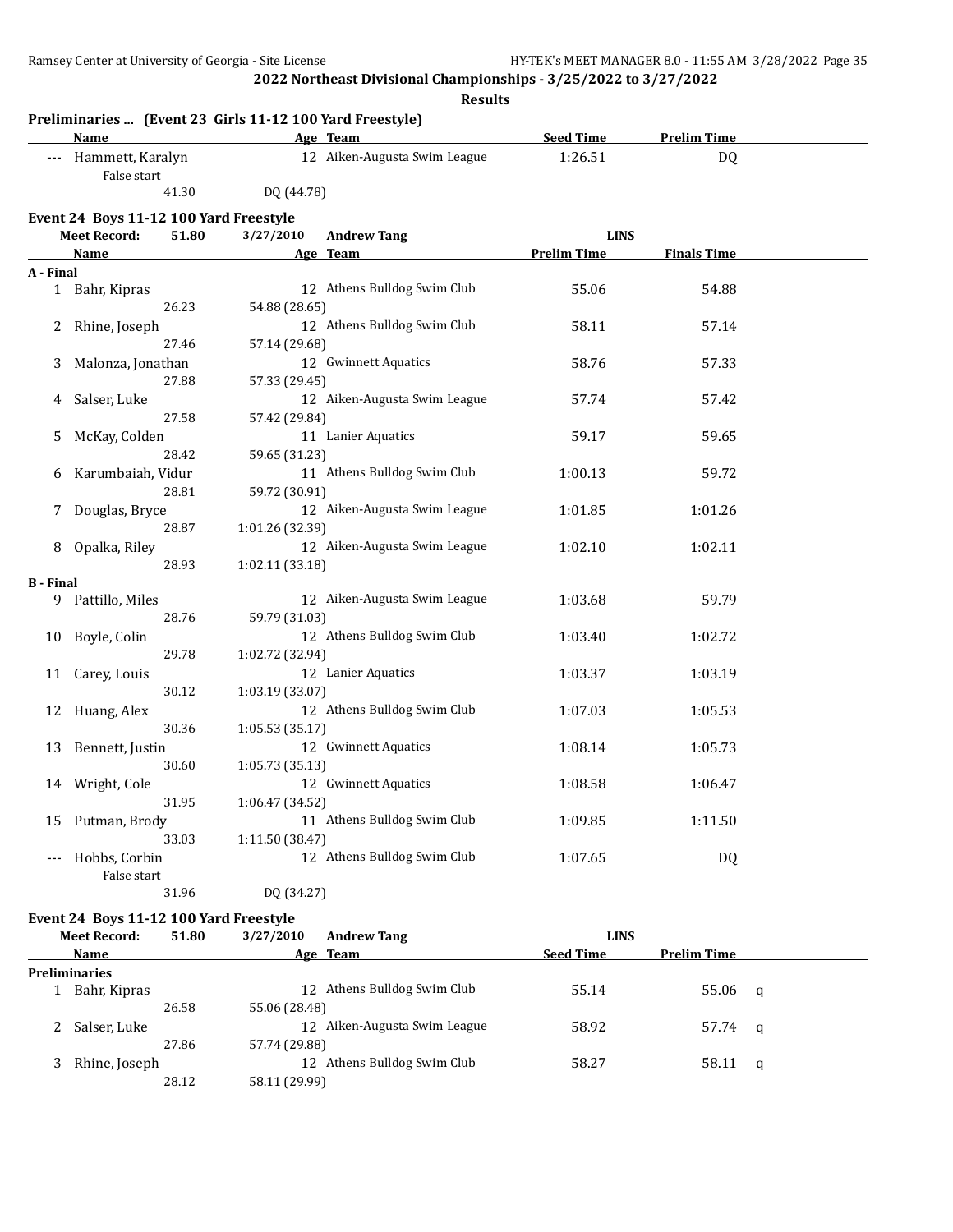**Results**

|                  | Name                                   |                 | Age Team                     | <b>Seed Time</b>   | <b>Prelim Time</b> |  |
|------------------|----------------------------------------|-----------------|------------------------------|--------------------|--------------------|--|
| ---              | Hammett, Karalyn<br>False start        |                 | 12 Aiken-Augusta Swim League | 1:26.51            | DQ                 |  |
|                  | 41.30                                  | DQ (44.78)      |                              |                    |                    |  |
|                  | Event 24 Boys 11-12 100 Yard Freestyle |                 |                              |                    |                    |  |
|                  | <b>Meet Record:</b><br>51.80           | 3/27/2010       | <b>Andrew Tang</b>           | <b>LINS</b>        |                    |  |
|                  | <b>Name</b>                            |                 | Age Team                     | <b>Prelim Time</b> | <b>Finals Time</b> |  |
| A - Final        |                                        |                 |                              |                    |                    |  |
|                  | 1 Bahr, Kipras                         |                 | 12 Athens Bulldog Swim Club  | 55.06              | 54.88              |  |
|                  | 26.23                                  | 54.88 (28.65)   |                              |                    |                    |  |
| 2                | Rhine, Joseph                          |                 | 12 Athens Bulldog Swim Club  | 58.11              | 57.14              |  |
|                  | 27.46                                  | 57.14 (29.68)   |                              |                    |                    |  |
| 3                | Malonza, Jonathan                      |                 | 12 Gwinnett Aquatics         | 58.76              | 57.33              |  |
|                  | 27.88                                  | 57.33 (29.45)   |                              |                    |                    |  |
| 4                | Salser, Luke                           |                 | 12 Aiken-Augusta Swim League | 57.74              | 57.42              |  |
|                  | 27.58                                  | 57.42 (29.84)   |                              |                    |                    |  |
| 5                | McKay, Colden                          |                 | 11 Lanier Aquatics           | 59.17              | 59.65              |  |
|                  | 28.42                                  | 59.65 (31.23)   |                              |                    |                    |  |
| 6                | Karumbaiah, Vidur                      |                 | 11 Athens Bulldog Swim Club  | 1:00.13            | 59.72              |  |
|                  | 28.81                                  | 59.72 (30.91)   |                              |                    |                    |  |
| 7                | Douglas, Bryce                         |                 | 12 Aiken-Augusta Swim League | 1:01.85            | 1:01.26            |  |
|                  | 28.87                                  | 1:01.26 (32.39) |                              |                    |                    |  |
| 8                |                                        |                 | 12 Aiken-Augusta Swim League | 1:02.10            | 1:02.11            |  |
|                  | Opalka, Riley<br>28.93                 | 1:02.11 (33.18) |                              |                    |                    |  |
| <b>B</b> - Final |                                        |                 |                              |                    |                    |  |
| 9.               | Pattillo, Miles                        |                 | 12 Aiken-Augusta Swim League | 1:03.68            | 59.79              |  |
|                  | 28.76                                  | 59.79 (31.03)   |                              |                    |                    |  |
| 10               | Boyle, Colin                           |                 | 12 Athens Bulldog Swim Club  | 1:03.40            | 1:02.72            |  |
|                  | 29.78                                  | 1:02.72 (32.94) |                              |                    |                    |  |
|                  |                                        |                 | 12 Lanier Aquatics           | 1:03.37            | 1:03.19            |  |
| 11               | Carey, Louis<br>30.12                  | 1:03.19 (33.07) |                              |                    |                    |  |
|                  |                                        |                 | 12 Athens Bulldog Swim Club  |                    |                    |  |
| 12               | Huang, Alex                            |                 |                              | 1:07.03            | 1:05.53            |  |
|                  | 30.36                                  | 1:05.53(35.17)  |                              |                    |                    |  |
| 13               | Bennett, Justin                        |                 | 12 Gwinnett Aquatics         | 1:08.14            | 1:05.73            |  |
|                  | 30.60                                  | 1:05.73 (35.13) |                              |                    |                    |  |
| 14               | Wright, Cole                           |                 | 12 Gwinnett Aquatics         | 1:08.58            | 1:06.47            |  |
|                  | 31.95                                  | 1:06.47 (34.52) |                              |                    |                    |  |
| 15               | Putman, Brody                          |                 | 11 Athens Bulldog Swim Club  | 1:09.85            | 1:11.50            |  |
|                  | 33.03                                  | 1:11.50 (38.47) |                              |                    |                    |  |
| ---              | Hobbs, Corbin                          |                 | 12 Athens Bulldog Swim Club  | 1:07.65            | <b>DQ</b>          |  |
|                  | False start                            |                 |                              |                    |                    |  |
|                  | 31.96                                  | DQ (34.27)      |                              |                    |                    |  |

## **Event 24 Boys 11-12 100 Yard Freestyle**

| <b>Meet Record:</b>  | 51.80 | 3/27/2010     | <b>Andrew Tang</b>           | <b>LINS</b>      |                    |  |
|----------------------|-------|---------------|------------------------------|------------------|--------------------|--|
| Name                 |       |               | Age Team                     | <b>Seed Time</b> | <b>Prelim Time</b> |  |
| <b>Preliminaries</b> |       |               |                              |                  |                    |  |
| Bahr, Kipras         |       |               | 12 Athens Bulldog Swim Club  | 55.14            | $55.06$ q          |  |
|                      | 26.58 | 55.06 (28.48) |                              |                  |                    |  |
| Salser, Luke         |       |               | 12 Aiken-Augusta Swim League | 58.92            | 57.74 q            |  |
|                      | 27.86 | 57.74 (29.88) |                              |                  |                    |  |
| Rhine, Joseph        |       |               | 12 Athens Bulldog Swim Club  | 58.27            | $58.11 \quad a$    |  |
|                      | 28.12 | 58.11 (29.99) |                              |                  |                    |  |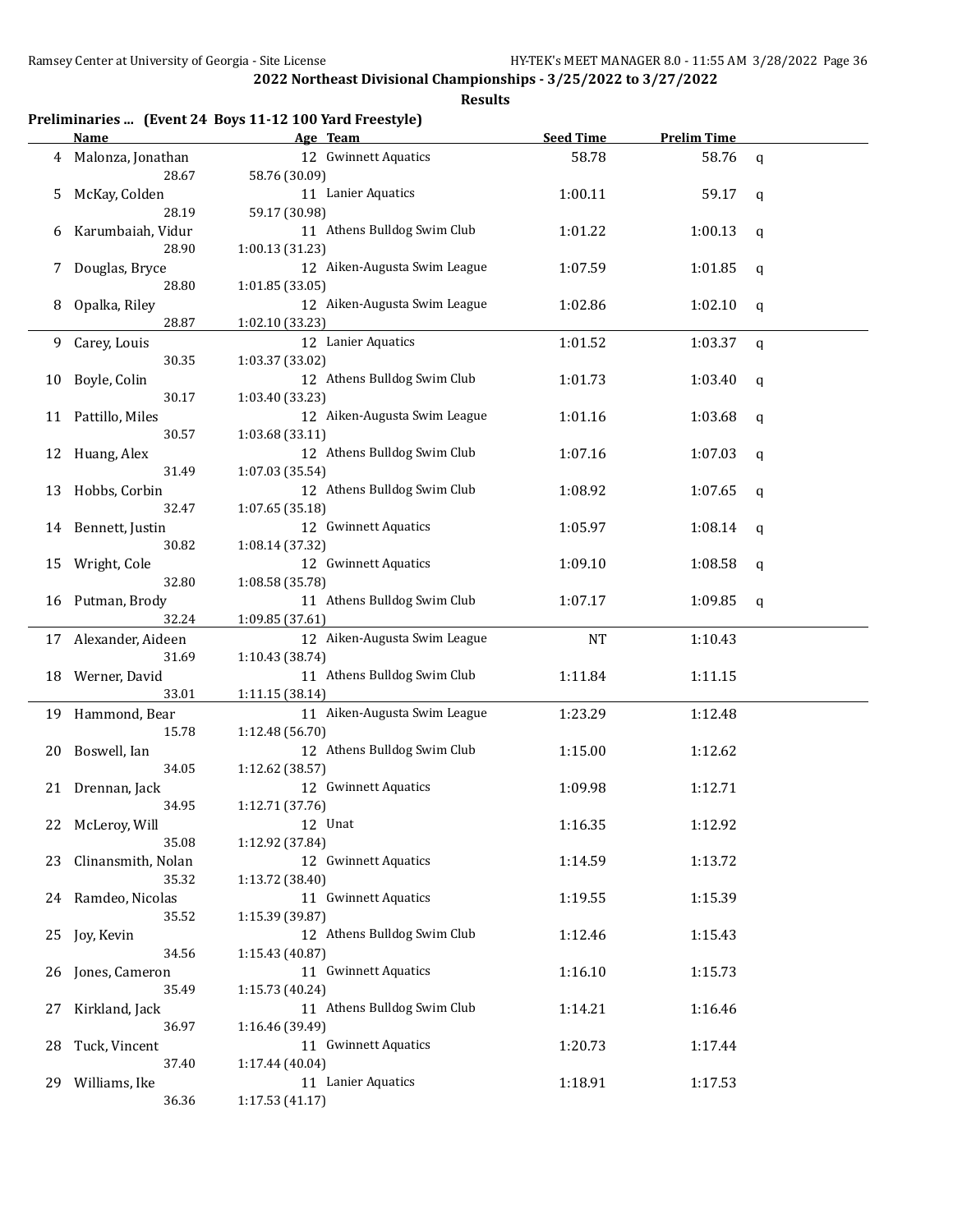| Preliminaries  (Event 24 Boys 11-12 100 Yard Freestyle) |  |  |  |
|---------------------------------------------------------|--|--|--|
|---------------------------------------------------------|--|--|--|

|     | <b>Name</b>                 | Age Team                                | <b>Seed Time</b> | <b>Prelim Time</b> |              |
|-----|-----------------------------|-----------------------------------------|------------------|--------------------|--------------|
| 4   | Malonza, Jonathan           | 12 Gwinnett Aquatics                    | 58.78            | 58.76              | $\mathsf{q}$ |
|     | 28.67                       | 58.76 (30.09)                           |                  |                    |              |
| 5   | McKay, Colden               | 11 Lanier Aquatics                      | 1:00.11          | 59.17              | q            |
|     | 28.19                       | 59.17 (30.98)                           |                  |                    |              |
| 6   | Karumbaiah, Vidur           | 11 Athens Bulldog Swim Club             | 1:01.22          | 1:00.13            | q            |
|     | 28.90                       | 1:00.13 (31.23)                         |                  |                    |              |
| 7   | Douglas, Bryce              | 12 Aiken-Augusta Swim League            | 1:07.59          | 1:01.85            | q            |
|     | 28.80                       | 1:01.85 (33.05)                         |                  |                    |              |
| 8   | Opalka, Riley               | 12 Aiken-Augusta Swim League            | 1:02.86          | 1:02.10            | q            |
|     | 28.87                       | 1:02.10 (33.23)                         |                  |                    |              |
| 9.  | Carey, Louis                | 12 Lanier Aquatics                      | 1:01.52          | 1:03.37            | q            |
|     | 30.35                       | 1:03.37 (33.02)                         |                  |                    |              |
| 10  | Boyle, Colin                | 12 Athens Bulldog Swim Club             | 1:01.73          | 1:03.40            | q            |
|     | 30.17                       | 1:03.40 (33.23)                         |                  |                    |              |
| 11  | Pattillo, Miles             | 12 Aiken-Augusta Swim League            | 1:01.16          | 1:03.68            | q            |
|     | 30.57                       | 1:03.68 (33.11)                         |                  |                    |              |
| 12  | Huang, Alex                 | 12 Athens Bulldog Swim Club             | 1:07.16          | 1:07.03            | q            |
|     | 31.49                       | 1:07.03 (35.54)                         |                  |                    |              |
| 13  | Hobbs, Corbin               | 12 Athens Bulldog Swim Club             | 1:08.92          | 1:07.65            | q            |
|     | 32.47                       | 1:07.65 (35.18)                         |                  |                    |              |
|     | 14 Bennett, Justin          | 12 Gwinnett Aquatics                    | 1:05.97          | 1:08.14            | q            |
|     | 30.82                       | 1:08.14 (37.32)                         |                  |                    |              |
| 15  | Wright, Cole                | 12 Gwinnett Aquatics                    | 1:09.10          | 1:08.58            | q            |
|     | 32.80                       | 1:08.58 (35.78)                         |                  |                    |              |
| 16  | Putman, Brody               | 11 Athens Bulldog Swim Club             | 1:07.17          | 1:09.85            | q            |
|     | 32.24                       | 1:09.85 (37.61)                         |                  |                    |              |
|     | 17 Alexander, Aideen        | 12 Aiken-Augusta Swim League            | <b>NT</b>        | 1:10.43            |              |
|     | 31.69                       | 1:10.43 (38.74)                         |                  |                    |              |
|     | 18 Werner, David            | 11 Athens Bulldog Swim Club             | 1:11.84          | 1:11.15            |              |
|     | 33.01                       | 1:11.15 (38.14)                         |                  |                    |              |
|     | 19 Hammond, Bear            | 11 Aiken-Augusta Swim League            | 1:23.29          | 1:12.48            |              |
|     | 15.78                       | 1:12.48 (56.70)                         |                  |                    |              |
| 20  | Boswell, Ian                | 12 Athens Bulldog Swim Club             | 1:15.00          | 1:12.62            |              |
|     | 34.05                       | 1:12.62 (38.57)                         |                  |                    |              |
|     | 21 Drennan, Jack            | 12 Gwinnett Aquatics                    | 1:09.98          | 1:12.71            |              |
|     | 34.95                       | 1:12.71 (37.76)                         |                  |                    |              |
|     | 22 McLeroy, Will            | 12 Unat                                 | 1:16.35          | 1:12.92            |              |
|     | 35.08                       | 1:12.92 (37.84)                         |                  |                    |              |
| 23  | Clinansmith, Nolan<br>35.32 | 12 Gwinnett Aquatics<br>1:13.72 (38.40) | 1:14.59          | 1:13.72            |              |
|     |                             | 11 Gwinnett Aquatics                    | 1:19.55          |                    |              |
|     | 24 Ramdeo, Nicolas<br>35.52 | 1:15.39 (39.87)                         |                  | 1:15.39            |              |
|     |                             | 12 Athens Bulldog Swim Club             | 1:12.46          | 1:15.43            |              |
|     | 25 Joy, Kevin<br>34.56      | 1:15.43 (40.87)                         |                  |                    |              |
|     | Jones, Cameron              | 11 Gwinnett Aquatics                    | 1:16.10          | 1:15.73            |              |
| 26  | 35.49                       | 1:15.73 (40.24)                         |                  |                    |              |
| 27  | Kirkland, Jack              | 11 Athens Bulldog Swim Club             | 1:14.21          | 1:16.46            |              |
|     | 36.97                       | 1:16.46 (39.49)                         |                  |                    |              |
| 28  | Tuck, Vincent               | 11 Gwinnett Aquatics                    | 1:20.73          | 1:17.44            |              |
|     | 37.40                       | 1:17.44 (40.04)                         |                  |                    |              |
| 29. | Williams, Ike               | 11 Lanier Aquatics                      | 1:18.91          | 1:17.53            |              |
|     | 36.36                       | 1:17.53 (41.17)                         |                  |                    |              |
|     |                             |                                         |                  |                    |              |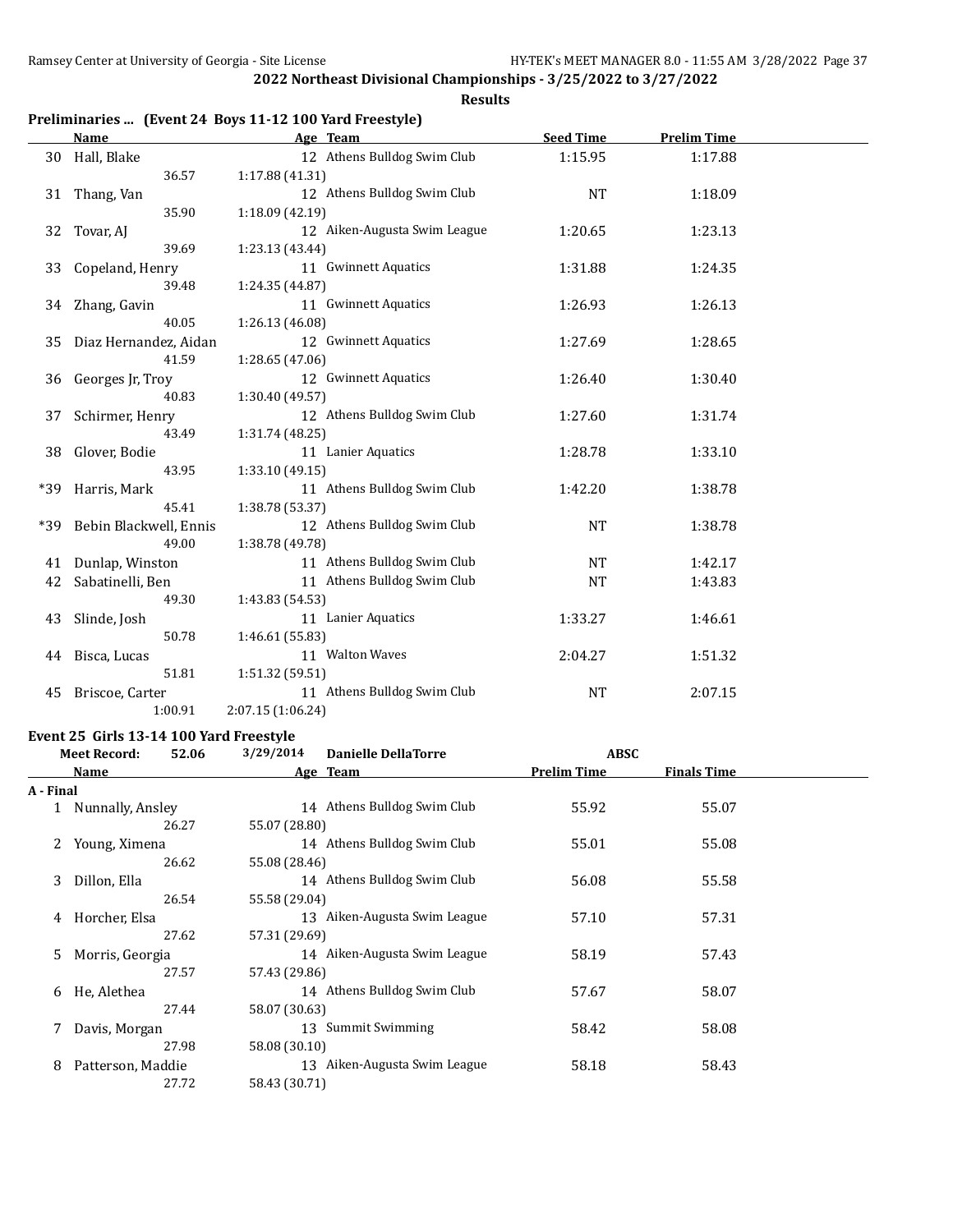**Results**

## **Preliminaries ... (Event 24 Boys 11-12 100 Yard Freestyle)**

|     | <b>Name</b>            | Age Team                     | <b>Seed Time</b> | <b>Prelim Time</b> |  |
|-----|------------------------|------------------------------|------------------|--------------------|--|
| 30  | Hall, Blake            | 12 Athens Bulldog Swim Club  | 1:15.95          | 1:17.88            |  |
|     | 36.57                  | 1:17.88 (41.31)              |                  |                    |  |
| 31  | Thang, Van             | 12 Athens Bulldog Swim Club  | <b>NT</b>        | 1:18.09            |  |
|     | 35.90                  | 1:18.09 (42.19)              |                  |                    |  |
| 32  | Tovar, AJ              | 12 Aiken-Augusta Swim League | 1:20.65          | 1:23.13            |  |
|     | 39.69                  | 1:23.13 (43.44)              |                  |                    |  |
| 33  | Copeland, Henry        | 11 Gwinnett Aquatics         | 1:31.88          | 1:24.35            |  |
|     | 39.48                  | 1:24.35 (44.87)              |                  |                    |  |
|     | 34 Zhang, Gavin        | 11 Gwinnett Aquatics         | 1:26.93          | 1:26.13            |  |
|     | 40.05                  | 1:26.13 (46.08)              |                  |                    |  |
| 35  | Diaz Hernandez, Aidan  | 12 Gwinnett Aquatics         | 1:27.69          | 1:28.65            |  |
|     | 41.59                  | 1:28.65(47.06)               |                  |                    |  |
| 36  | Georges Jr, Troy       | 12 Gwinnett Aquatics         | 1:26.40          | 1:30.40            |  |
|     | 40.83                  | 1:30.40 (49.57)              |                  |                    |  |
| 37  | Schirmer, Henry        | 12 Athens Bulldog Swim Club  | 1:27.60          | 1:31.74            |  |
|     | 43.49                  | 1:31.74 (48.25)              |                  |                    |  |
| 38  | Glover, Bodie          | 11 Lanier Aquatics           | 1:28.78          | 1:33.10            |  |
|     | 43.95                  | 1:33.10 (49.15)              |                  |                    |  |
| *39 | Harris, Mark           | 11 Athens Bulldog Swim Club  | 1:42.20          | 1:38.78            |  |
|     | 45.41                  | 1:38.78 (53.37)              |                  |                    |  |
| *39 | Bebin Blackwell, Ennis | 12 Athens Bulldog Swim Club  | <b>NT</b>        | 1:38.78            |  |
|     | 49.00                  | 1:38.78 (49.78)              |                  |                    |  |
| 41  | Dunlap, Winston        | 11 Athens Bulldog Swim Club  | <b>NT</b>        | 1:42.17            |  |
| 42  | Sabatinelli, Ben       | 11 Athens Bulldog Swim Club  | NT               | 1:43.83            |  |
|     | 49.30                  | 1:43.83 (54.53)              |                  |                    |  |
| 43  | Slinde, Josh           | 11 Lanier Aquatics           | 1:33.27          | 1:46.61            |  |
|     | 50.78                  | 1:46.61 (55.83)              |                  |                    |  |
|     | 44 Bisca, Lucas        | 11 Walton Waves              | 2:04.27          | 1:51.32            |  |
|     | 51.81                  | 1:51.32 (59.51)              |                  |                    |  |
| 45  | Briscoe, Carter        | 11 Athens Bulldog Swim Club  | <b>NT</b>        | 2:07.15            |  |
|     | 1:00.91                | 2:07.15 (1:06.24)            |                  |                    |  |

## **Event 25 Girls 13-14 100 Yard Freestyle**

|           | <b>Meet Record:</b> | 52.06 | 3/29/2014     | <b>Danielle DellaTorre</b>   | <b>ABSC</b>        |                    |  |
|-----------|---------------------|-------|---------------|------------------------------|--------------------|--------------------|--|
|           | Name                |       |               | Age Team                     | <b>Prelim Time</b> | <b>Finals Time</b> |  |
| A - Final |                     |       |               |                              |                    |                    |  |
|           | Nunnally, Ansley    |       |               | 14 Athens Bulldog Swim Club  | 55.92              | 55.07              |  |
|           |                     | 26.27 | 55.07 (28.80) |                              |                    |                    |  |
|           | Young, Ximena       |       |               | 14 Athens Bulldog Swim Club  | 55.01              | 55.08              |  |
|           |                     | 26.62 | 55.08 (28.46) |                              |                    |                    |  |
| 3         | Dillon, Ella        |       |               | 14 Athens Bulldog Swim Club  | 56.08              | 55.58              |  |
|           |                     | 26.54 | 55.58 (29.04) |                              |                    |                    |  |
| 4         | Horcher, Elsa       |       |               | 13 Aiken-Augusta Swim League | 57.10              | 57.31              |  |
|           |                     | 27.62 | 57.31 (29.69) |                              |                    |                    |  |
| 5.        | Morris, Georgia     |       |               | 14 Aiken-Augusta Swim League | 58.19              | 57.43              |  |
|           |                     | 27.57 | 57.43 (29.86) |                              |                    |                    |  |
| 6         | He, Alethea         |       |               | 14 Athens Bulldog Swim Club  | 57.67              | 58.07              |  |
|           |                     | 27.44 | 58.07 (30.63) |                              |                    |                    |  |
|           | Davis, Morgan       |       |               | 13 Summit Swimming           | 58.42              | 58.08              |  |
|           |                     | 27.98 | 58.08 (30.10) |                              |                    |                    |  |
| 8         | Patterson, Maddie   |       |               | 13 Aiken-Augusta Swim League | 58.18              | 58.43              |  |
|           |                     | 27.72 | 58.43 (30.71) |                              |                    |                    |  |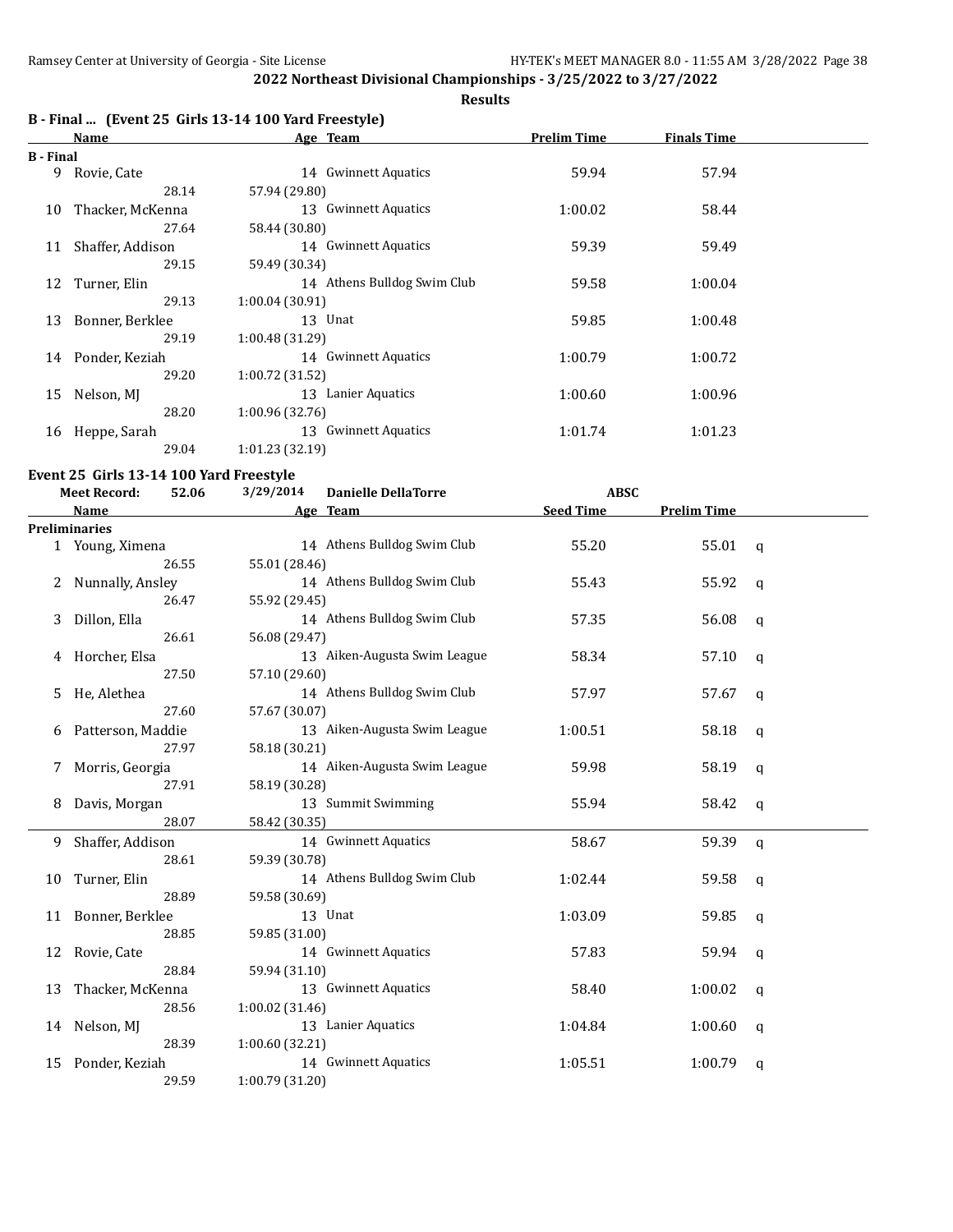## **Results**

## **B - Final ... (Event 25 Girls 13-14 100 Yard Freestyle)**

|           | Name             | Age Team                    | Prelim Time | <b>Finals Time</b> |  |
|-----------|------------------|-----------------------------|-------------|--------------------|--|
| B - Final |                  |                             |             |                    |  |
| 9         | Rovie, Cate      | 14 Gwinnett Aquatics        | 59.94       | 57.94              |  |
|           | 28.14            | 57.94 (29.80)               |             |                    |  |
| 10        | Thacker, McKenna | 13 Gwinnett Aquatics        | 1:00.02     | 58.44              |  |
|           | 27.64            | 58.44 (30.80)               |             |                    |  |
| 11        | Shaffer, Addison | 14 Gwinnett Aquatics        | 59.39       | 59.49              |  |
|           | 29.15            | 59.49 (30.34)               |             |                    |  |
| 12        | Turner, Elin     | 14 Athens Bulldog Swim Club | 59.58       | 1:00.04            |  |
|           | 29.13            | 1:00.04(30.91)              |             |                    |  |
| 13        | Bonner, Berklee  | 13 Unat                     | 59.85       | 1:00.48            |  |
|           | 29.19            | 1:00.48(31.29)              |             |                    |  |
| 14        | Ponder, Keziah   | 14 Gwinnett Aquatics        | 1:00.79     | 1:00.72            |  |
|           | 29.20            | 1:00.72(31.52)              |             |                    |  |
| 15        | Nelson, MJ       | 13 Lanier Aquatics          | 1:00.60     | 1:00.96            |  |
|           | 28.20            | 1:00.96(32.76)              |             |                    |  |
| 16        | Heppe, Sarah     | 13 Gwinnett Aquatics        | 1:01.74     | 1:01.23            |  |
|           | 29.04            | 1:01.23 (32.19)             |             |                    |  |

## **Event 25 Girls 13-14 100 Yard Freestyle**

|    | <b>Meet Record:</b>  | 3/29/2014<br>52.06 | <b>Danielle DellaTorre</b>   |                  | <b>ABSC</b>        |              |  |
|----|----------------------|--------------------|------------------------------|------------------|--------------------|--------------|--|
|    | Name                 |                    | Age Team                     | <b>Seed Time</b> | <b>Prelim Time</b> |              |  |
|    | <b>Preliminaries</b> |                    |                              |                  |                    |              |  |
|    | 1 Young, Ximena      |                    | 14 Athens Bulldog Swim Club  | 55.20            | 55.01              | $\mathbf{q}$ |  |
|    | 26.55                | 55.01 (28.46)      |                              |                  |                    |              |  |
| 2  | Nunnally, Ansley     |                    | 14 Athens Bulldog Swim Club  | 55.43            | 55.92              | q            |  |
|    | 26.47                | 55.92 (29.45)      |                              |                  |                    |              |  |
| 3  | Dillon, Ella         |                    | 14 Athens Bulldog Swim Club  | 57.35            | 56.08              | q            |  |
|    | 26.61                | 56.08 (29.47)      |                              |                  |                    |              |  |
| 4  | Horcher, Elsa        |                    | 13 Aiken-Augusta Swim League | 58.34            | 57.10              | q            |  |
|    | 27.50                | 57.10 (29.60)      |                              |                  |                    |              |  |
| 5. | He, Alethea          |                    | 14 Athens Bulldog Swim Club  | 57.97            | 57.67              | q            |  |
|    | 27.60                | 57.67 (30.07)      |                              |                  |                    |              |  |
| 6  | Patterson, Maddie    |                    | 13 Aiken-Augusta Swim League | 1:00.51          | 58.18              | q            |  |
|    | 27.97                | 58.18 (30.21)      |                              |                  |                    |              |  |
| 7  | Morris, Georgia      |                    | 14 Aiken-Augusta Swim League | 59.98            | 58.19              | q            |  |
|    | 27.91                | 58.19 (30.28)      |                              |                  |                    |              |  |
| 8  | Davis, Morgan        |                    | 13 Summit Swimming           | 55.94            | 58.42              | q            |  |
|    | 28.07                | 58.42 (30.35)      |                              |                  |                    |              |  |
| 9  | Shaffer, Addison     |                    | 14 Gwinnett Aquatics         | 58.67            | 59.39              | $\mathsf{q}$ |  |
|    | 28.61                | 59.39 (30.78)      |                              |                  |                    |              |  |
| 10 | Turner, Elin         |                    | 14 Athens Bulldog Swim Club  | 1:02.44          | 59.58              | q            |  |
|    | 28.89                | 59.58 (30.69)      |                              |                  |                    |              |  |
|    | 11 Bonner, Berklee   |                    | 13 Unat                      | 1:03.09          | 59.85              | q            |  |
|    | 28.85                | 59.85 (31.00)      |                              |                  |                    |              |  |
| 12 | Rovie, Cate          |                    | 14 Gwinnett Aquatics         | 57.83            | 59.94              | q            |  |
|    | 28.84                | 59.94 (31.10)      |                              |                  |                    |              |  |
| 13 | Thacker, McKenna     |                    | 13 Gwinnett Aquatics         | 58.40            | 1:00.02            | q            |  |
|    | 28.56                | 1:00.02(31.46)     |                              |                  |                    |              |  |
| 14 | Nelson, MJ           |                    | 13 Lanier Aquatics           | 1:04.84          | 1:00.60            | a            |  |
|    | 28.39                | 1:00.60 (32.21)    |                              |                  |                    |              |  |
| 15 | Ponder, Keziah       |                    | 14 Gwinnett Aquatics         | 1:05.51          | 1:00.79            | q            |  |
|    | 29.59                | 1:00.79 (31.20)    |                              |                  |                    |              |  |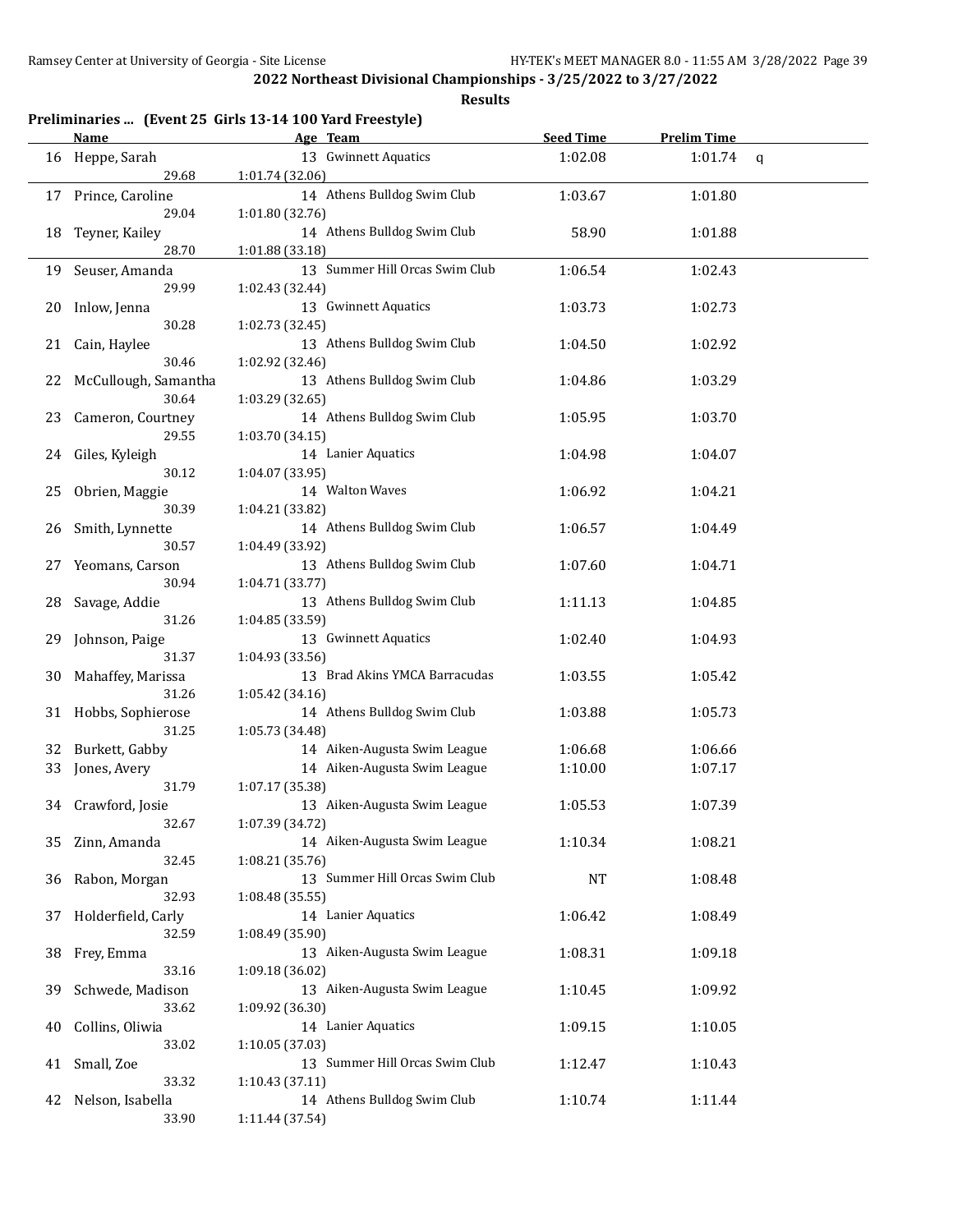|    | <b>Name</b>               | Preliminaries  (Event 25 Girls 13-14 100 Yard Freestyle)<br>Age Team | <b>Seed Time</b> | <b>Prelim Time</b> |              |
|----|---------------------------|----------------------------------------------------------------------|------------------|--------------------|--------------|
| 16 | Heppe, Sarah              | 13 Gwinnett Aquatics                                                 | 1:02.08          | 1:01.74            |              |
|    | 29.68                     | 1:01.74 (32.06)                                                      |                  |                    | $\mathsf{q}$ |
|    |                           | 14 Athens Bulldog Swim Club                                          | 1:03.67          |                    |              |
| 17 | Prince, Caroline<br>29.04 | 1:01.80 (32.76)                                                      |                  | 1:01.80            |              |
|    |                           | 14 Athens Bulldog Swim Club                                          |                  |                    |              |
| 18 | Teyner, Kailey<br>28.70   |                                                                      | 58.90            | 1:01.88            |              |
|    |                           | 1:01.88 (33.18)                                                      |                  |                    |              |
| 19 | Seuser, Amanda            | 13 Summer Hill Orcas Swim Club                                       | 1:06.54          | 1:02.43            |              |
|    | 29.99                     | 1:02.43 (32.44)                                                      |                  |                    |              |
| 20 | Inlow, Jenna              | 13 Gwinnett Aquatics                                                 | 1:03.73          | 1:02.73            |              |
|    | 30.28                     | 1:02.73 (32.45)                                                      |                  |                    |              |
| 21 | Cain, Haylee              | 13 Athens Bulldog Swim Club                                          | 1:04.50          | 1:02.92            |              |
|    | 30.46                     | 1:02.92 (32.46)                                                      |                  |                    |              |
| 22 | McCullough, Samantha      | 13 Athens Bulldog Swim Club                                          | 1:04.86          | 1:03.29            |              |
|    | 30.64                     | 1:03.29 (32.65)                                                      |                  |                    |              |
| 23 | Cameron, Courtney         | 14 Athens Bulldog Swim Club                                          | 1:05.95          | 1:03.70            |              |
|    | 29.55                     | 1:03.70 (34.15)                                                      |                  |                    |              |
| 24 | Giles, Kyleigh            | 14 Lanier Aquatics                                                   | 1:04.98          | 1:04.07            |              |
|    | 30.12                     | 1:04.07 (33.95)                                                      |                  |                    |              |
| 25 | Obrien, Maggie            | 14 Walton Waves                                                      | 1:06.92          | 1:04.21            |              |
|    | 30.39                     | 1:04.21 (33.82)                                                      |                  |                    |              |
| 26 | Smith, Lynnette           | 14 Athens Bulldog Swim Club                                          | 1:06.57          | 1:04.49            |              |
|    | 30.57                     | 1:04.49 (33.92)                                                      |                  |                    |              |
| 27 | Yeomans, Carson           | 13 Athens Bulldog Swim Club                                          | 1:07.60          | 1:04.71            |              |
|    | 30.94                     | 1:04.71 (33.77)                                                      |                  |                    |              |
| 28 | Savage, Addie             | 13 Athens Bulldog Swim Club                                          | 1:11.13          | 1:04.85            |              |
|    | 31.26                     | 1:04.85 (33.59)                                                      |                  |                    |              |
| 29 | Johnson, Paige            | 13 Gwinnett Aquatics                                                 | 1:02.40          | 1:04.93            |              |
|    | 31.37                     | 1:04.93 (33.56)                                                      |                  |                    |              |
| 30 | Mahaffey, Marissa         | 13 Brad Akins YMCA Barracudas                                        | 1:03.55          | 1:05.42            |              |
|    | 31.26                     | 1:05.42 (34.16)                                                      |                  |                    |              |
| 31 | Hobbs, Sophierose         | 14 Athens Bulldog Swim Club                                          | 1:03.88          | 1:05.73            |              |
|    | 31.25                     | 1:05.73 (34.48)                                                      |                  |                    |              |
| 32 | Burkett, Gabby            | 14 Aiken-Augusta Swim League                                         | 1:06.68          | 1:06.66            |              |
| 33 | Jones, Avery              | 14 Aiken-Augusta Swim League                                         | 1:10.00          | 1:07.17            |              |
|    | 31.79                     | 1:07.17 (35.38)                                                      |                  |                    |              |
|    | 34 Crawford, Josie        | 13 Aiken-Augusta Swim League                                         | 1:05.53          | 1:07.39            |              |
|    | 32.67                     | 1:07.39 (34.72)                                                      |                  |                    |              |
| 35 | Zinn, Amanda              | 14 Aiken-Augusta Swim League                                         | 1:10.34          | 1:08.21            |              |
|    | 32.45                     | 1:08.21 (35.76)                                                      |                  |                    |              |
| 36 | Rabon, Morgan             | 13 Summer Hill Orcas Swim Club                                       | <b>NT</b>        | 1:08.48            |              |
|    | 32.93                     | 1:08.48 (35.55)                                                      |                  |                    |              |
| 37 | Holderfield, Carly        | 14 Lanier Aquatics                                                   | 1:06.42          | 1:08.49            |              |
|    | 32.59                     | 1:08.49 (35.90)                                                      |                  |                    |              |
| 38 | Frey, Emma                | 13 Aiken-Augusta Swim League                                         | 1:08.31          | 1:09.18            |              |
|    | 33.16                     | 1:09.18 (36.02)                                                      |                  |                    |              |
| 39 | Schwede, Madison          | 13 Aiken-Augusta Swim League                                         | 1:10.45          | 1:09.92            |              |
|    | 33.62                     | 1:09.92 (36.30)                                                      |                  |                    |              |
| 40 | Collins, Oliwia           | 14 Lanier Aquatics                                                   | 1:09.15          | 1:10.05            |              |
|    | 33.02                     | 1:10.05 (37.03)                                                      |                  |                    |              |
| 41 | Small, Zoe                | 13 Summer Hill Orcas Swim Club                                       | 1:12.47          | 1:10.43            |              |
|    | 33.32                     | 1:10.43 (37.11)                                                      |                  |                    |              |
| 42 | Nelson, Isabella          | 14 Athens Bulldog Swim Club                                          | 1:10.74          | 1:11.44            |              |
|    | 33.90                     | 1:11.44 (37.54)                                                      |                  |                    |              |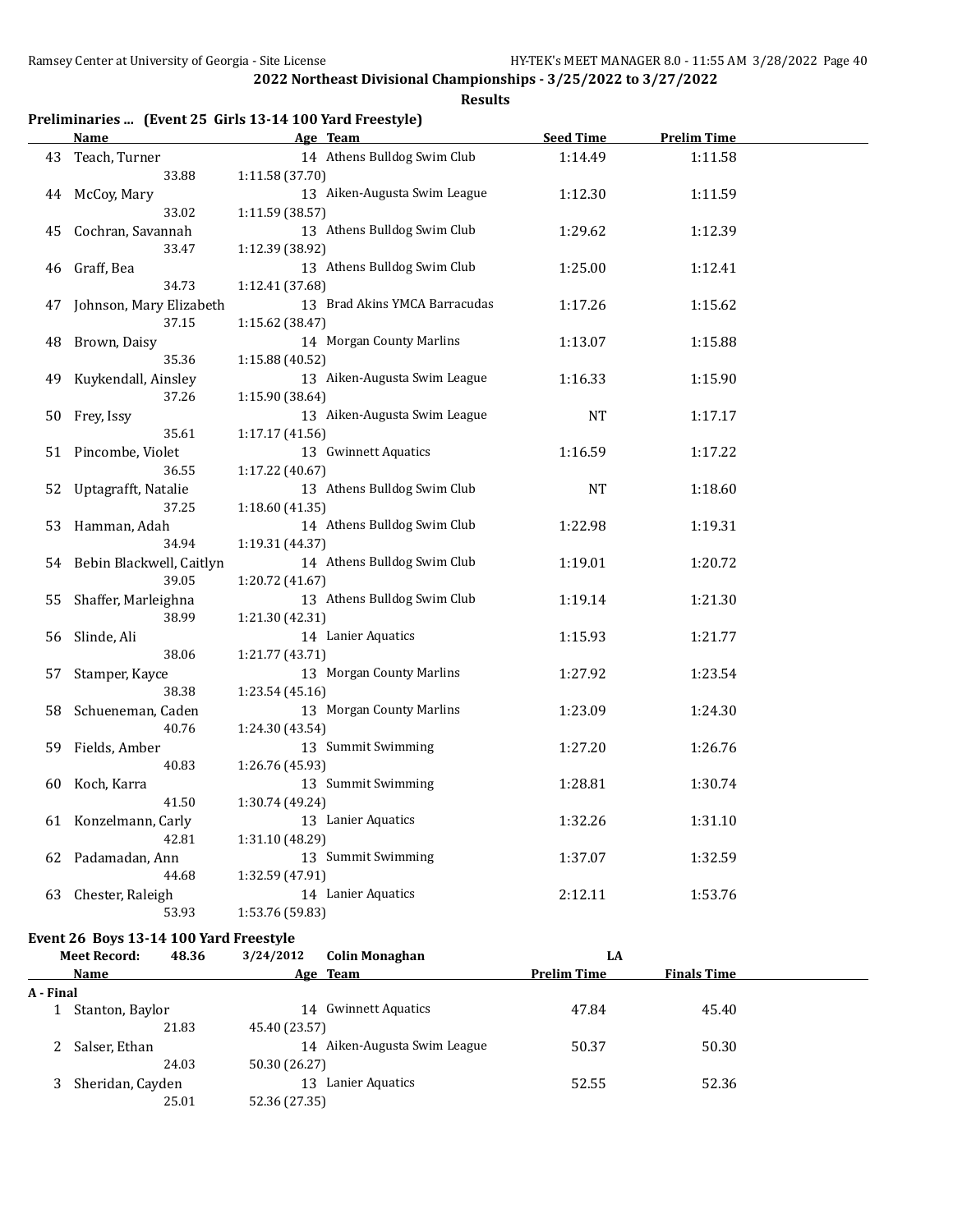**Results**

## **Preliminaries ... (Event 25 Girls 13-14 100 Yard Freestyle)**

|    | <u>Name</u>              | Age Team                              | <b>Seed Time</b> | <b>Prelim Time</b> |  |
|----|--------------------------|---------------------------------------|------------------|--------------------|--|
| 43 | Teach, Turner            | 14 Athens Bulldog Swim Club           | 1:14.49          | 1:11.58            |  |
|    | 33.88                    | 1:11.58 (37.70)                       |                  |                    |  |
| 44 | McCoy, Mary              | 13 Aiken-Augusta Swim League          | 1:12.30          | 1:11.59            |  |
|    | 33.02                    | 1:11.59 (38.57)                       |                  |                    |  |
| 45 | Cochran, Savannah        | 13 Athens Bulldog Swim Club           | 1:29.62          | 1:12.39            |  |
|    | 33.47                    | 1:12.39 (38.92)                       |                  |                    |  |
| 46 | Graff, Bea               | 13 Athens Bulldog Swim Club           | 1:25.00          | 1:12.41            |  |
|    | 34.73                    | 1:12.41 (37.68)                       |                  |                    |  |
| 47 | Johnson, Mary Elizabeth  | 13 Brad Akins YMCA Barracudas         | 1:17.26          | 1:15.62            |  |
|    | 37.15                    | 1:15.62 (38.47)                       |                  |                    |  |
| 48 | Brown, Daisy             | 14 Morgan County Marlins              | 1:13.07          | 1:15.88            |  |
|    | 35.36                    | 1:15.88 (40.52)                       |                  |                    |  |
| 49 | Kuykendall, Ainsley      | 13 Aiken-Augusta Swim League          | 1:16.33          | 1:15.90            |  |
|    | 37.26                    | 1:15.90 (38.64)                       |                  |                    |  |
| 50 | Frey, Issy               | 13 Aiken-Augusta Swim League          | <b>NT</b>        | 1:17.17            |  |
|    | 35.61                    | 1:17.17 (41.56)                       |                  |                    |  |
|    | 51 Pincombe, Violet      | 13 Gwinnett Aquatics                  | 1:16.59          | 1:17.22            |  |
|    | 36.55                    | 1:17.22 (40.67)                       |                  |                    |  |
| 52 | Uptagrafft, Natalie      | 13 Athens Bulldog Swim Club           | NT               | 1:18.60            |  |
|    | 37.25                    | 1:18.60(41.35)                        |                  |                    |  |
| 53 | Hamman, Adah             | 14 Athens Bulldog Swim Club           | 1:22.98          | 1:19.31            |  |
|    | 34.94                    | 1:19.31 (44.37)                       |                  |                    |  |
| 54 | Bebin Blackwell, Caitlyn | 14 Athens Bulldog Swim Club           | 1:19.01          | 1:20.72            |  |
|    | 39.05                    | 1:20.72 (41.67)                       |                  |                    |  |
| 55 | Shaffer, Marleighna      | 13 Athens Bulldog Swim Club           | 1:19.14          | 1:21.30            |  |
|    | 38.99                    | 1:21.30 (42.31)                       |                  |                    |  |
| 56 | Slinde, Ali              | 14 Lanier Aquatics                    | 1:15.93          | 1:21.77            |  |
|    | 38.06                    | 1:21.77 (43.71)                       |                  |                    |  |
| 57 | Stamper, Kayce           | 13 Morgan County Marlins              | 1:27.92          | 1:23.54            |  |
|    | 38.38                    | 1:23.54 (45.16)                       |                  |                    |  |
| 58 | Schueneman, Caden        | 13 Morgan County Marlins              | 1:23.09          | 1:24.30            |  |
|    | 40.76                    | 1:24.30 (43.54)                       |                  |                    |  |
| 59 | Fields, Amber            | 13 Summit Swimming                    | 1:27.20          | 1:26.76            |  |
|    | 40.83                    | 1:26.76 (45.93)<br>13 Summit Swimming |                  |                    |  |
| 60 | Koch, Karra<br>41.50     |                                       | 1:28.81          | 1:30.74            |  |
|    | Konzelmann, Carly        | 1:30.74 (49.24)<br>13 Lanier Aquatics | 1:32.26          | 1:31.10            |  |
| 61 | 42.81                    | 1:31.10 (48.29)                       |                  |                    |  |
| 62 | Padamadan, Ann           | 13 Summit Swimming                    | 1:37.07          | 1:32.59            |  |
|    | 44.68                    | 1:32.59 (47.91)                       |                  |                    |  |
| 63 | Chester, Raleigh         | 14 Lanier Aquatics                    | 2:12.11          | 1:53.76            |  |
|    | 53.93                    | 1:53.76 (59.83)                       |                  |                    |  |
|    |                          |                                       |                  |                    |  |

# **Event 26 Boys 13-14 100 Yard Freestyle**<br>Meet Becord: 48.36 3/24/2012

|           | <b>Meet Record:</b> | 48.36 | 3/24/2012     | <b>Colin Monaghan</b>        | LA                 |                    |  |
|-----------|---------------------|-------|---------------|------------------------------|--------------------|--------------------|--|
|           | <b>Name</b>         |       |               | Age Team                     | <b>Prelim Time</b> | <b>Finals Time</b> |  |
| A - Final |                     |       |               |                              |                    |                    |  |
|           | Stanton, Baylor     |       | 14            | Gwinnett Aquatics            | 47.84              | 45.40              |  |
|           |                     | 21.83 | 45.40 (23.57) |                              |                    |                    |  |
| 2         | Salser, Ethan       |       |               | 14 Aiken-Augusta Swim League | 50.37              | 50.30              |  |
|           |                     | 24.03 | 50.30 (26.27) |                              |                    |                    |  |
|           | Sheridan, Cayden    |       | 13            | Lanier Aquatics              | 52.55              | 52.36              |  |
|           |                     | 25.01 | 52.36 (27.35) |                              |                    |                    |  |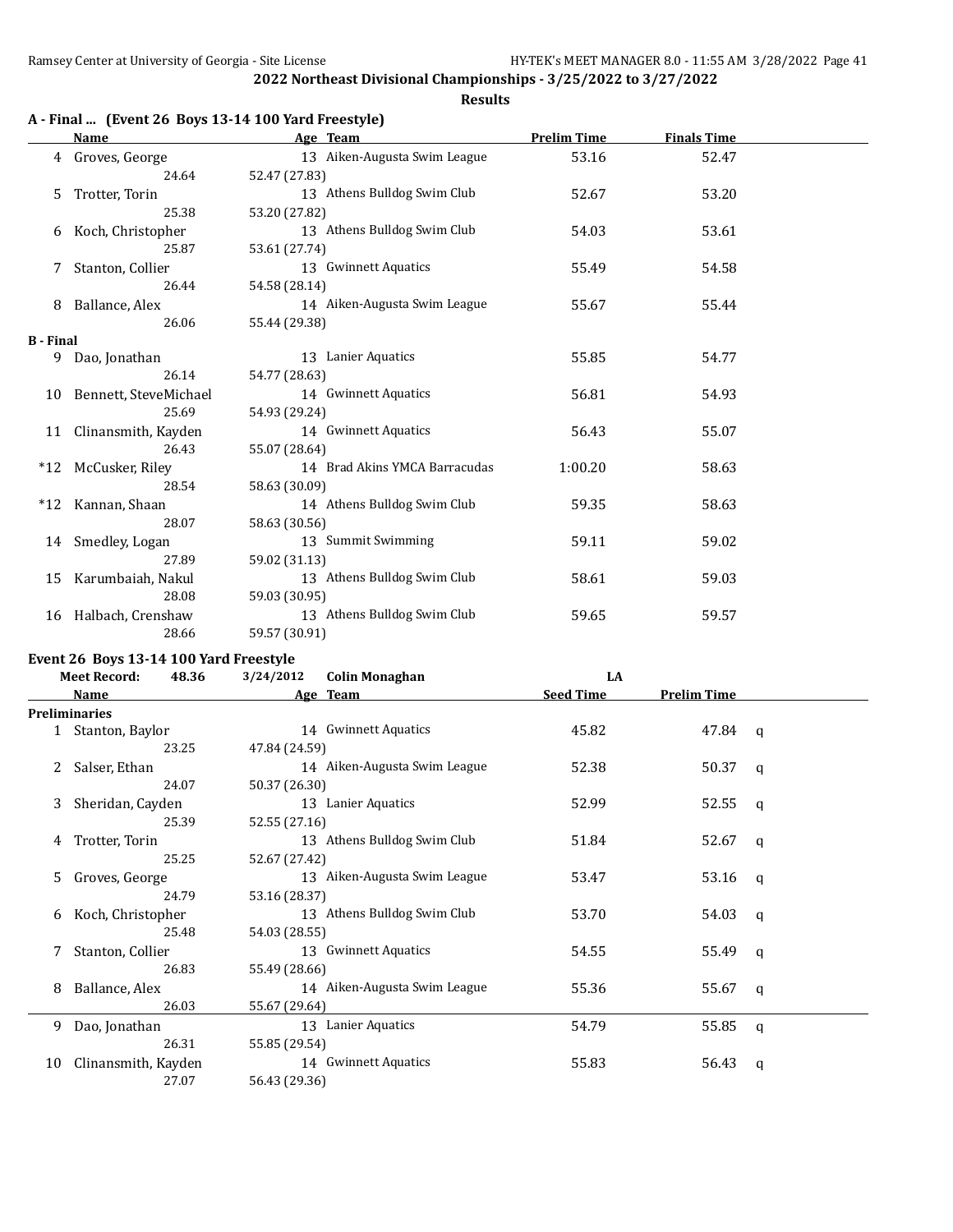**Results**

|  |  | A - Final  (Event 26 Boys 13-14 100 Yard Freestyle) |  |
|--|--|-----------------------------------------------------|--|
|--|--|-----------------------------------------------------|--|

|                  | Name                     | Age Team                      | <b>Prelim Time</b> | <b>Finals Time</b> |  |
|------------------|--------------------------|-------------------------------|--------------------|--------------------|--|
|                  | 4 Groves, George         | 13 Aiken-Augusta Swim League  | 53.16              | 52.47              |  |
|                  | 24.64                    | 52.47 (27.83)                 |                    |                    |  |
| 5.               | Trotter, Torin           | 13 Athens Bulldog Swim Club   | 52.67              | 53.20              |  |
|                  | 25.38                    | 53.20 (27.82)                 |                    |                    |  |
|                  | 6 Koch, Christopher      | 13 Athens Bulldog Swim Club   | 54.03              | 53.61              |  |
|                  | 25.87                    | 53.61 (27.74)                 |                    |                    |  |
| 7                | Stanton, Collier         | 13 Gwinnett Aquatics          | 55.49              | 54.58              |  |
|                  | 26.44                    | 54.58 (28.14)                 |                    |                    |  |
| 8                | Ballance, Alex           | 14 Aiken-Augusta Swim League  | 55.67              | 55.44              |  |
|                  | 26.06                    | 55.44 (29.38)                 |                    |                    |  |
| <b>B</b> - Final |                          |                               |                    |                    |  |
| 9                | Dao, Jonathan            | 13 Lanier Aquatics            | 55.85              | 54.77              |  |
|                  | 26.14                    | 54.77 (28.63)                 |                    |                    |  |
|                  | 10 Bennett, SteveMichael | 14 Gwinnett Aquatics          | 56.81              | 54.93              |  |
|                  | 25.69                    | 54.93 (29.24)                 |                    |                    |  |
| 11               | Clinansmith, Kayden      | 14 Gwinnett Aquatics          | 56.43              | 55.07              |  |
|                  | 26.43                    | 55.07 (28.64)                 |                    |                    |  |
| $*12$            | McCusker, Riley          | 14 Brad Akins YMCA Barracudas | 1:00.20            | 58.63              |  |
|                  | 28.54                    | 58.63 (30.09)                 |                    |                    |  |
|                  | *12 Kannan, Shaan        | 14 Athens Bulldog Swim Club   | 59.35              | 58.63              |  |
|                  | 28.07                    | 58.63 (30.56)                 |                    |                    |  |
|                  | 14 Smedley, Logan        | 13 Summit Swimming            | 59.11              | 59.02              |  |
|                  | 27.89                    | 59.02 (31.13)                 |                    |                    |  |
| 15               | Karumbaiah, Nakul        | 13 Athens Bulldog Swim Club   | 58.61              | 59.03              |  |
|                  | 28.08                    | 59.03 (30.95)                 |                    |                    |  |
| 16               | Halbach, Crenshaw        | 13 Athens Bulldog Swim Club   | 59.65              | 59.57              |  |
|                  | 28.66                    | 59.57 (30.91)                 |                    |                    |  |

# **Event 26 Boys 13-14 100 Yard Freestyle**<br>Meet Becord: 48.36 3/24/2012

|    | 48.36<br><b>Meet Record:</b> | 3/24/2012     | <b>Colin Monaghan</b>        | LA               |                    |   |
|----|------------------------------|---------------|------------------------------|------------------|--------------------|---|
|    | Name                         |               | Age Team                     | <b>Seed Time</b> | <b>Prelim Time</b> |   |
|    | <b>Preliminaries</b>         |               |                              |                  |                    |   |
|    | 1 Stanton, Baylor            |               | 14 Gwinnett Aquatics         | 45.82            | 47.84 q            |   |
|    | 23.25                        | 47.84 (24.59) |                              |                  |                    |   |
| 2  | Salser, Ethan                |               | 14 Aiken-Augusta Swim League | 52.38            | 50.37              | q |
|    | 24.07                        | 50.37 (26.30) |                              |                  |                    |   |
| 3  | Sheridan, Cayden             |               | 13 Lanier Aquatics           | 52.99            | 52.55              | q |
|    | 25.39                        | 52.55 (27.16) |                              |                  |                    |   |
| 4  | Trotter, Torin               |               | 13 Athens Bulldog Swim Club  | 51.84            | 52.67              | q |
|    | 25.25                        | 52.67 (27.42) |                              |                  |                    |   |
| 5. | Groves, George               |               | 13 Aiken-Augusta Swim League | 53.47            | 53.16              | q |
|    | 24.79                        | 53.16 (28.37) |                              |                  |                    |   |
| 6  | Koch, Christopher            |               | 13 Athens Bulldog Swim Club  | 53.70            | 54.03              | q |
|    | 25.48                        | 54.03 (28.55) |                              |                  |                    |   |
| 7  | Stanton, Collier             |               | 13 Gwinnett Aquatics         | 54.55            | 55.49              | a |
|    | 26.83                        | 55.49 (28.66) |                              |                  |                    |   |
| 8  | Ballance, Alex               |               | 14 Aiken-Augusta Swim League | 55.36            | 55.67              | q |
|    | 26.03                        | 55.67 (29.64) |                              |                  |                    |   |
| 9  | Dao, Jonathan                |               | 13 Lanier Aquatics           | 54.79            | 55.85              | q |
|    | 26.31                        | 55.85 (29.54) |                              |                  |                    |   |
| 10 | Clinansmith, Kayden          |               | 14 Gwinnett Aquatics         | 55.83            | 56.43              | a |
|    | 27.07                        | 56.43 (29.36) |                              |                  |                    |   |
|    |                              |               |                              |                  |                    |   |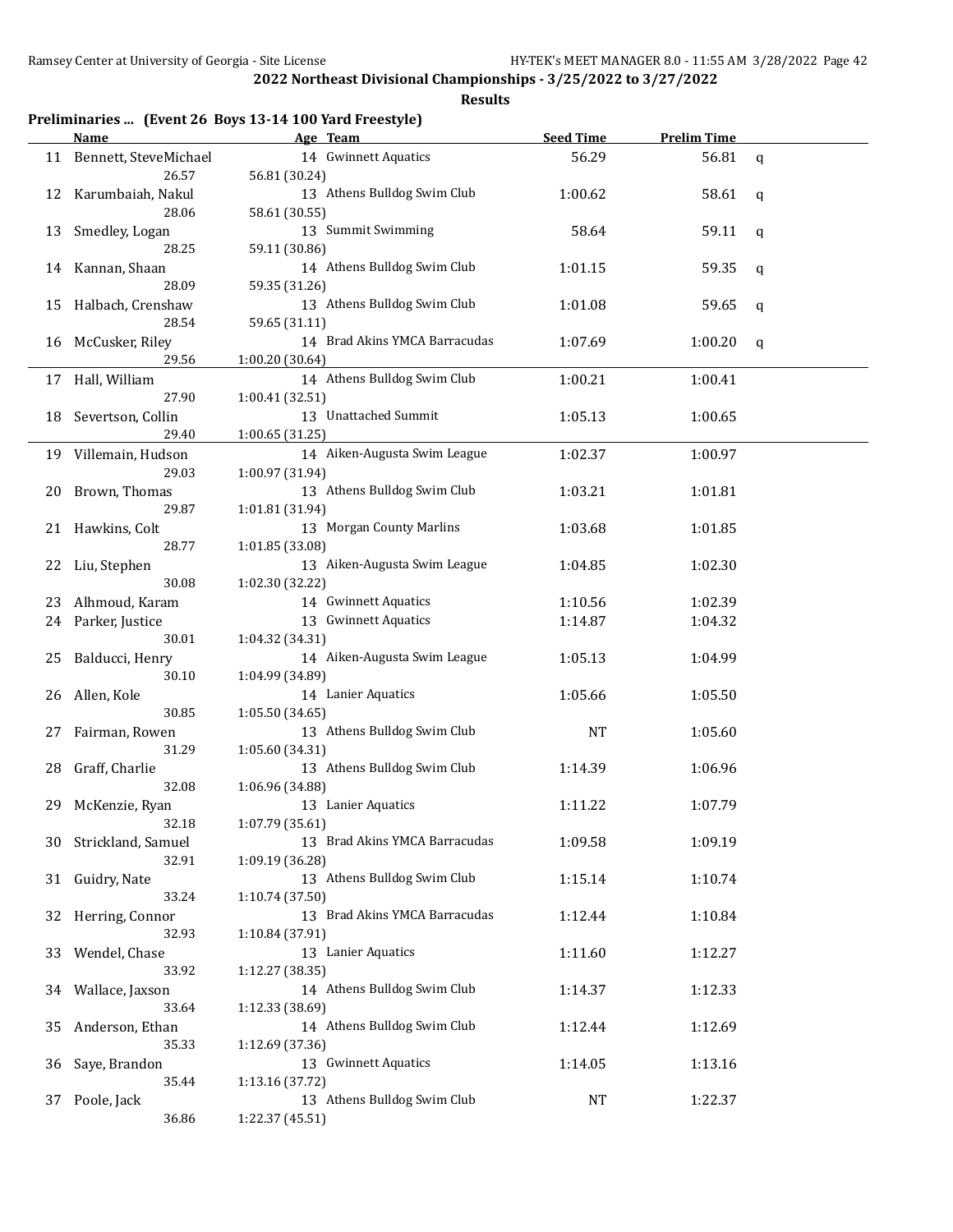| Preliminaries  (Event 26 Boys 13-14 100 Yard Freestyle) |  |  |  |  |  |
|---------------------------------------------------------|--|--|--|--|--|
|---------------------------------------------------------|--|--|--|--|--|

|    | <b>Name</b>              | Age Team                                       | <b>Seed Time</b> | <b>Prelim Time</b> |             |
|----|--------------------------|------------------------------------------------|------------------|--------------------|-------------|
|    | 11 Bennett, SteveMichael | 14 Gwinnett Aquatics                           | 56.29            | 56.81              | $\mathbf q$ |
|    | 26.57                    | 56.81 (30.24)                                  |                  |                    |             |
| 12 | Karumbaiah, Nakul        | 13 Athens Bulldog Swim Club                    | 1:00.62          | 58.61              | q           |
|    | 28.06                    | 58.61 (30.55)                                  |                  |                    |             |
| 13 | Smedley, Logan<br>28.25  | 13 Summit Swimming<br>59.11 (30.86)            | 58.64            | 59.11              | q           |
| 14 | Kannan, Shaan            | 14 Athens Bulldog Swim Club                    | 1:01.15          | 59.35              | q           |
|    | 28.09                    | 59.35 (31.26)                                  |                  |                    |             |
| 15 | Halbach, Crenshaw        | 13 Athens Bulldog Swim Club                    | 1:01.08          | 59.65              | q           |
|    | 28.54                    | 59.65 (31.11)                                  |                  |                    |             |
| 16 | McCusker, Riley          | 14 Brad Akins YMCA Barracudas                  | 1:07.69          | 1:00.20            | q           |
|    | 29.56                    | 1:00.20 (30.64)                                |                  |                    |             |
|    | 17 Hall, William         | 14 Athens Bulldog Swim Club                    | 1:00.21          | 1:00.41            |             |
|    | 27.90                    | 1:00.41 (32.51)                                |                  |                    |             |
| 18 | Severtson, Collin        | 13 Unattached Summit                           | 1:05.13          | 1:00.65            |             |
|    | 29.40                    | 1:00.65 (31.25)                                |                  |                    |             |
|    | 19 Villemain, Hudson     | 14 Aiken-Augusta Swim League                   | 1:02.37          | 1:00.97            |             |
| 20 | 29.03<br>Brown, Thomas   | 1:00.97 (31.94)<br>13 Athens Bulldog Swim Club | 1:03.21          | 1:01.81            |             |
|    | 29.87                    | 1:01.81 (31.94)                                |                  |                    |             |
|    | 21 Hawkins, Colt         | 13 Morgan County Marlins                       | 1:03.68          | 1:01.85            |             |
|    | 28.77                    | 1:01.85 (33.08)                                |                  |                    |             |
| 22 | Liu, Stephen             | 13 Aiken-Augusta Swim League                   | 1:04.85          | 1:02.30            |             |
|    | 30.08                    | 1:02.30 (32.22)                                |                  |                    |             |
| 23 | Alhmoud, Karam           | 14 Gwinnett Aquatics                           | 1:10.56          | 1:02.39            |             |
| 24 | Parker, Justice          | 13 Gwinnett Aquatics                           | 1:14.87          | 1:04.32            |             |
|    | 30.01                    | 1:04.32 (34.31)                                |                  |                    |             |
| 25 | Balducci, Henry          | 14 Aiken-Augusta Swim League                   | 1:05.13          | 1:04.99            |             |
|    | 30.10                    | 1:04.99 (34.89)                                |                  |                    |             |
| 26 | Allen, Kole<br>30.85     | 14 Lanier Aquatics                             | 1:05.66          | 1:05.50            |             |
| 27 | Fairman, Rowen           | 1:05.50 (34.65)<br>13 Athens Bulldog Swim Club | <b>NT</b>        | 1:05.60            |             |
|    | 31.29                    | 1:05.60 (34.31)                                |                  |                    |             |
| 28 | Graff, Charlie           | 13 Athens Bulldog Swim Club                    | 1:14.39          | 1:06.96            |             |
|    | 32.08                    | 1:06.96 (34.88)                                |                  |                    |             |
| 29 | McKenzie, Ryan           | 13 Lanier Aquatics                             | 1:11.22          | 1:07.79            |             |
|    | 32.18                    | 1:07.79 (35.61)                                |                  |                    |             |
| 30 | Strickland, Samuel       | 13 Brad Akins YMCA Barracudas                  | 1:09.58          | 1:09.19            |             |
|    | 32.91                    | 1:09.19 (36.28)                                |                  |                    |             |
| 31 | Guidry, Nate             | 13 Athens Bulldog Swim Club                    | 1:15.14          | 1:10.74            |             |
|    | 33.24                    | 1:10.74 (37.50)                                |                  |                    |             |
| 32 | Herring, Connor<br>32.93 | 13 Brad Akins YMCA Barracudas                  | 1:12.44          | 1:10.84            |             |
| 33 | Wendel, Chase            | 1:10.84 (37.91)<br>13 Lanier Aquatics          | 1:11.60          | 1:12.27            |             |
|    | 33.92                    | 1:12.27 (38.35)                                |                  |                    |             |
| 34 | Wallace, Jaxson          | 14 Athens Bulldog Swim Club                    | 1:14.37          | 1:12.33            |             |
|    | 33.64                    | 1:12.33 (38.69)                                |                  |                    |             |
| 35 | Anderson, Ethan          | 14 Athens Bulldog Swim Club                    | 1:12.44          | 1:12.69            |             |
|    | 35.33                    | 1:12.69 (37.36)                                |                  |                    |             |
| 36 | Saye, Brandon            | 13 Gwinnett Aquatics                           | 1:14.05          | 1:13.16            |             |
|    | 35.44                    | 1:13.16 (37.72)                                |                  |                    |             |
| 37 | Poole, Jack              | 13 Athens Bulldog Swim Club                    | NT               | 1:22.37            |             |
|    | 36.86                    | 1:22.37 (45.51)                                |                  |                    |             |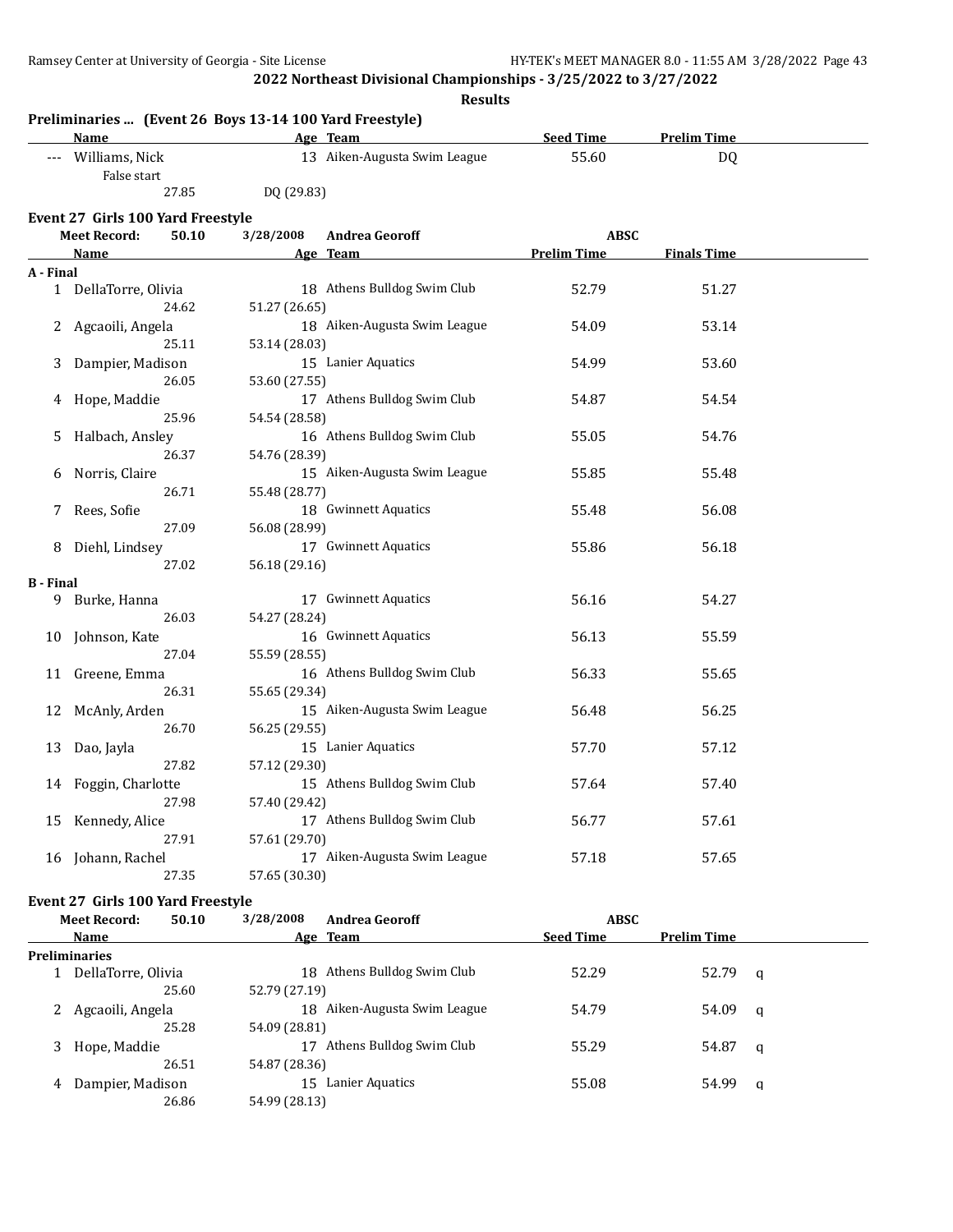|                  | <b>Name</b>                       | Preliminaries  (Event 26 Boys 13-14 100 Yard Freestyle) | Age Team                     | <b>Seed Time</b>   | <b>Prelim Time</b> |  |
|------------------|-----------------------------------|---------------------------------------------------------|------------------------------|--------------------|--------------------|--|
|                  | --- Williams, Nick                |                                                         | 13 Aiken-Augusta Swim League | 55.60              | DQ                 |  |
|                  | False start                       |                                                         |                              |                    |                    |  |
|                  | 27.85                             | DQ (29.83)                                              |                              |                    |                    |  |
|                  | Event 27 Girls 100 Yard Freestyle |                                                         |                              |                    |                    |  |
|                  | <b>Meet Record:</b><br>50.10      | 3/28/2008                                               | <b>Andrea Georoff</b>        | <b>ABSC</b>        |                    |  |
|                  | Name                              |                                                         | Age Team                     | <b>Prelim Time</b> | <b>Finals Time</b> |  |
| A - Final        |                                   |                                                         |                              |                    |                    |  |
|                  | 1 DellaTorre, Olivia              |                                                         | 18 Athens Bulldog Swim Club  | 52.79              | 51.27              |  |
|                  | 24.62                             | 51.27 (26.65)                                           |                              |                    |                    |  |
|                  | 2 Agcaoili, Angela                |                                                         | 18 Aiken-Augusta Swim League | 54.09              | 53.14              |  |
|                  | 25.11                             | 53.14 (28.03)                                           |                              |                    |                    |  |
|                  | Dampier, Madison                  |                                                         | 15 Lanier Aquatics           | 54.99              | 53.60              |  |
|                  | 26.05                             | 53.60 (27.55)                                           |                              |                    |                    |  |
| 4                | Hope, Maddie                      |                                                         | 17 Athens Bulldog Swim Club  | 54.87              | 54.54              |  |
|                  | 25.96                             | 54.54 (28.58)                                           |                              |                    |                    |  |
| 5                | Halbach, Ansley                   |                                                         | 16 Athens Bulldog Swim Club  | 55.05              | 54.76              |  |
|                  | 26.37                             | 54.76 (28.39)                                           |                              |                    |                    |  |
| 6                | Norris, Claire                    |                                                         | 15 Aiken-Augusta Swim League | 55.85              | 55.48              |  |
|                  | 26.71                             | 55.48 (28.77)                                           |                              |                    |                    |  |
| 7                | Rees, Sofie                       |                                                         | 18 Gwinnett Aquatics         | 55.48              | 56.08              |  |
|                  | 27.09                             | 56.08 (28.99)                                           |                              |                    |                    |  |
| 8                | Diehl, Lindsey                    |                                                         | 17 Gwinnett Aquatics         | 55.86              | 56.18              |  |
|                  | 27.02                             | 56.18 (29.16)                                           |                              |                    |                    |  |
| <b>B</b> - Final |                                   |                                                         |                              |                    |                    |  |
| 9                | Burke, Hanna                      |                                                         | 17 Gwinnett Aquatics         | 56.16              | 54.27              |  |
|                  | 26.03                             | 54.27 (28.24)                                           |                              |                    |                    |  |
| 10               | Johnson, Kate                     |                                                         | 16 Gwinnett Aquatics         | 56.13              | 55.59              |  |
|                  | 27.04                             | 55.59 (28.55)                                           |                              |                    |                    |  |
| 11               | Greene, Emma                      |                                                         | 16 Athens Bulldog Swim Club  | 56.33              | 55.65              |  |
|                  | 26.31                             | 55.65 (29.34)                                           |                              |                    |                    |  |
| 12               | McAnly, Arden                     |                                                         | 15 Aiken-Augusta Swim League | 56.48              | 56.25              |  |
|                  | 26.70                             | 56.25 (29.55)                                           |                              |                    |                    |  |
| 13               | Dao, Jayla                        |                                                         | 15 Lanier Aquatics           | 57.70              | 57.12              |  |
|                  | 27.82                             | 57.12 (29.30)                                           |                              |                    |                    |  |
| 14               | Foggin, Charlotte                 |                                                         | 15 Athens Bulldog Swim Club  | 57.64              | 57.40              |  |
|                  | 27.98                             | 57.40 (29.42)                                           |                              |                    |                    |  |
| 15               | Kennedy, Alice                    |                                                         | 17 Athens Bulldog Swim Club  | 56.77              | 57.61              |  |
|                  | 27.91                             | 57.61 (29.70)                                           |                              |                    |                    |  |
|                  | 16 Johann, Rachel                 |                                                         | 17 Aiken-Augusta Swim League | 57.18              | 57.65              |  |
|                  | 27.35                             | 57.65 (30.30)                                           |                              |                    |                    |  |
|                  | Event 27 Girls 100 Yard Freestyle |                                                         |                              |                    |                    |  |

|             | 50.10                                                 | 3/28/2008                                                                  | <b>Andrea Georoff</b>     | <b>ABSC</b>                                                                  |                    |   |
|-------------|-------------------------------------------------------|----------------------------------------------------------------------------|---------------------------|------------------------------------------------------------------------------|--------------------|---|
| <b>Name</b> |                                                       |                                                                            |                           | <b>Seed Time</b>                                                             | <b>Prelim Time</b> |   |
|             |                                                       |                                                                            |                           |                                                                              |                    |   |
|             |                                                       | 18                                                                         | Athens Bulldog Swim Club  | 52.29                                                                        | 52.79 q            |   |
|             | 25.60                                                 |                                                                            |                           |                                                                              |                    |   |
|             |                                                       | 18                                                                         | Aiken-Augusta Swim League | 54.79                                                                        | 54.09              | a |
|             | 25.28                                                 |                                                                            |                           |                                                                              |                    |   |
|             |                                                       | 17                                                                         | Athens Bulldog Swim Club  | 55.29                                                                        | 54.87              | q |
|             | 26.51                                                 |                                                                            |                           |                                                                              |                    |   |
|             |                                                       | 15                                                                         | Lanier Aquatics           | 55.08                                                                        | 54.99              | q |
|             | 26.86                                                 |                                                                            |                           |                                                                              |                    |   |
|             | <b>Meet Record:</b><br><b>Preliminaries</b><br>3<br>4 | DellaTorre, Olivia<br>Agcaoili, Angela<br>Hope, Maddie<br>Dampier, Madison |                           | Age Team<br>52.79 (27.19)<br>54.09 (28.81)<br>54.87 (28.36)<br>54.99 (28.13) |                    |   |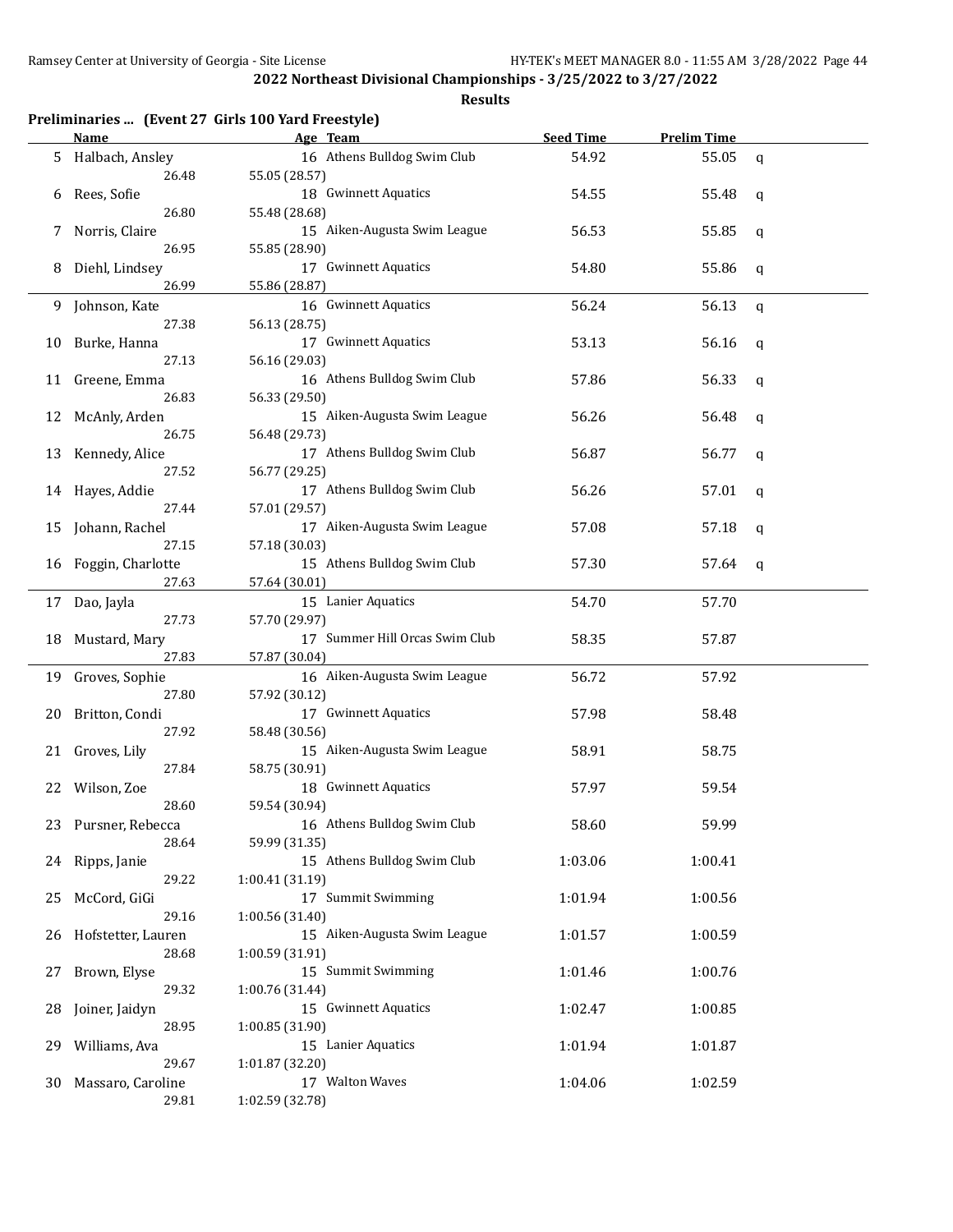|     |                          | Preliminaries  (Event 27 Girls 100 Yard Freestyle) |                  |                    |              |
|-----|--------------------------|----------------------------------------------------|------------------|--------------------|--------------|
|     | Name                     | Age Team                                           | <b>Seed Time</b> | <b>Prelim Time</b> |              |
| 5   | Halbach, Ansley<br>26.48 | 16 Athens Bulldog Swim Club<br>55.05 (28.57)       | 54.92            | 55.05              | $\mathsf{q}$ |
| 6   | Rees, Sofie              | 18 Gwinnett Aquatics                               | 54.55            | 55.48              | q            |
|     | 26.80                    | 55.48 (28.68)                                      |                  |                    |              |
| 7   | Norris, Claire<br>26.95  | 15 Aiken-Augusta Swim League                       | 56.53            | 55.85              | q            |
|     |                          | 55.85 (28.90)                                      |                  |                    |              |
| 8   | Diehl, Lindsey<br>26.99  | 17 Gwinnett Aquatics<br>55.86 (28.87)              | 54.80            | 55.86              | q            |
| 9   | Johnson, Kate            | 16 Gwinnett Aquatics                               | 56.24            | 56.13              | q            |
|     | 27.38                    | 56.13 (28.75)                                      |                  |                    |              |
| 10  | Burke, Hanna             | 17 Gwinnett Aquatics                               | 53.13            | 56.16              |              |
|     | 27.13                    | 56.16 (29.03)                                      |                  |                    | q            |
|     |                          | 16 Athens Bulldog Swim Club                        |                  |                    |              |
| 11  | Greene, Emma             |                                                    | 57.86            | 56.33              | q            |
|     | 26.83                    | 56.33 (29.50)                                      |                  |                    |              |
| 12  | McAnly, Arden            | 15 Aiken-Augusta Swim League                       | 56.26            | 56.48              | q            |
|     | 26.75                    | 56.48 (29.73)                                      |                  |                    |              |
| 13  | Kennedy, Alice           | 17 Athens Bulldog Swim Club                        | 56.87            | 56.77              | q            |
|     | 27.52                    | 56.77 (29.25)                                      |                  |                    |              |
| 14  | Hayes, Addie             | 17 Athens Bulldog Swim Club                        | 56.26            | 57.01              | q            |
|     | 27.44                    | 57.01 (29.57)                                      |                  |                    |              |
| 15  | Johann, Rachel           | 17 Aiken-Augusta Swim League                       | 57.08            | 57.18              | q            |
|     | 27.15                    | 57.18 (30.03)                                      |                  |                    |              |
| 16  | Foggin, Charlotte        | 15 Athens Bulldog Swim Club                        | 57.30            | 57.64              | q            |
|     | 27.63                    | 57.64 (30.01)                                      |                  |                    |              |
| 17  | Dao, Jayla               | 15 Lanier Aquatics                                 | 54.70            | 57.70              |              |
|     | 27.73                    | 57.70 (29.97)                                      |                  |                    |              |
|     |                          | 17 Summer Hill Orcas Swim Club                     |                  |                    |              |
| 18  | Mustard, Mary            |                                                    | 58.35            | 57.87              |              |
|     | 27.83                    | 57.87 (30.04)                                      |                  |                    |              |
| 19  | Groves, Sophie           | 16 Aiken-Augusta Swim League                       | 56.72            | 57.92              |              |
|     | 27.80                    | 57.92 (30.12)                                      |                  |                    |              |
| 20  | Britton, Condi           | 17 Gwinnett Aquatics                               | 57.98            | 58.48              |              |
|     | 27.92                    | 58.48 (30.56)                                      |                  |                    |              |
| 21  | Groves, Lily             | 15 Aiken-Augusta Swim League                       | 58.91            | 58.75              |              |
|     | 27.84                    | 58.75 (30.91)                                      |                  |                    |              |
| 22  | Wilson, Zoe              | 18 Gwinnett Aquatics                               | 57.97            | 59.54              |              |
|     | 28.60                    | 59.54 (30.94)                                      |                  |                    |              |
| 23. | Pursner, Rebecca         | 16 Athens Bulldog Swim Club                        | 58.60            | 59.99              |              |
|     | 28.64                    | 59.99 (31.35)                                      |                  |                    |              |
| 24  | Ripps, Janie             | 15 Athens Bulldog Swim Club                        | 1:03.06          | 1:00.41            |              |
|     | 29.22                    | 1:00.41 (31.19)                                    |                  |                    |              |
|     |                          | 17 Summit Swimming                                 | 1:01.94          | 1:00.56            |              |
| 25  | McCord, GiGi<br>29.16    |                                                    |                  |                    |              |
|     |                          | 1:00.56 (31.40)<br>15 Aiken-Augusta Swim League    |                  |                    |              |
| 26  | Hofstetter, Lauren       |                                                    | 1:01.57          | 1:00.59            |              |
|     | 28.68                    | 1:00.59 (31.91)                                    |                  |                    |              |
| 27  | Brown, Elyse             | 15 Summit Swimming                                 | 1:01.46          | 1:00.76            |              |
|     | 29.32                    | 1:00.76 (31.44)                                    |                  |                    |              |
| 28  | Joiner, Jaidyn           | 15 Gwinnett Aquatics                               | 1:02.47          | 1:00.85            |              |
|     | 28.95                    | 1:00.85 (31.90)                                    |                  |                    |              |
| 29  | Williams, Ava            | 15 Lanier Aquatics                                 | 1:01.94          | 1:01.87            |              |
|     | 29.67                    | 1:01.87 (32.20)                                    |                  |                    |              |
| 30  | Massaro, Caroline        | 17 Walton Waves                                    | 1:04.06          | 1:02.59            |              |
|     | 29.81                    | 1:02.59 (32.78)                                    |                  |                    |              |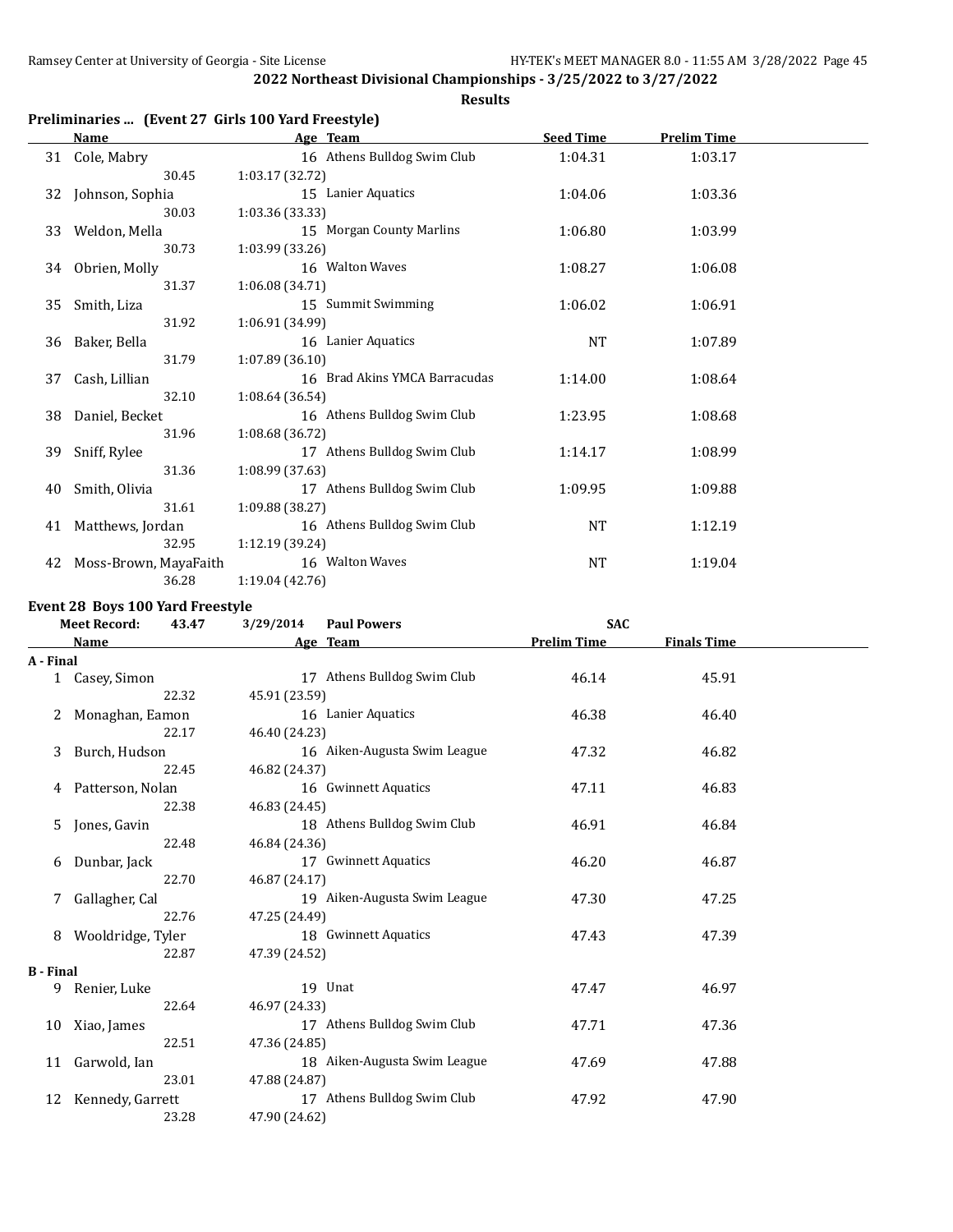## **Results**

## **Preliminaries ... (Event 27 Girls 100 Yard Freestyle)**

|    | Name                  | Age Team                      |           | <b>Seed Time</b><br><b>Prelim Time</b> |  |  |  |
|----|-----------------------|-------------------------------|-----------|----------------------------------------|--|--|--|
| 31 | Cole, Mabry           | 16 Athens Bulldog Swim Club   | 1:04.31   | 1:03.17                                |  |  |  |
|    | 30.45                 | 1:03.17 (32.72)               |           |                                        |  |  |  |
| 32 | Johnson, Sophia       | 15 Lanier Aquatics            | 1:04.06   | 1:03.36                                |  |  |  |
|    | 30.03                 | 1:03.36 (33.33)               |           |                                        |  |  |  |
| 33 | Weldon, Mella         | 15 Morgan County Marlins      | 1:06.80   | 1:03.99                                |  |  |  |
|    | 30.73                 | 1:03.99 (33.26)               |           |                                        |  |  |  |
| 34 | Obrien, Molly         | 16 Walton Waves               | 1:08.27   | 1:06.08                                |  |  |  |
|    | 31.37                 | 1:06.08 (34.71)               |           |                                        |  |  |  |
| 35 | Smith, Liza           | 15 Summit Swimming            | 1:06.02   | 1:06.91                                |  |  |  |
|    | 31.92                 | 1:06.91 (34.99)               |           |                                        |  |  |  |
| 36 | Baker, Bella          | 16 Lanier Aquatics            | <b>NT</b> | 1:07.89                                |  |  |  |
|    | 31.79                 | 1:07.89(36.10)                |           |                                        |  |  |  |
| 37 | Cash, Lillian         | 16 Brad Akins YMCA Barracudas | 1:14.00   | 1:08.64                                |  |  |  |
|    | 32.10                 | 1:08.64 (36.54)               |           |                                        |  |  |  |
| 38 | Daniel, Becket        | 16 Athens Bulldog Swim Club   | 1:23.95   | 1:08.68                                |  |  |  |
|    | 31.96                 | 1:08.68 (36.72)               |           |                                        |  |  |  |
| 39 | Sniff, Rylee          | 17 Athens Bulldog Swim Club   | 1:14.17   | 1:08.99                                |  |  |  |
|    | 31.36                 | 1:08.99 (37.63)               |           |                                        |  |  |  |
| 40 | Smith, Olivia         | 17 Athens Bulldog Swim Club   | 1:09.95   | 1:09.88                                |  |  |  |
|    | 31.61                 | 1:09.88 (38.27)               |           |                                        |  |  |  |
| 41 | Matthews, Jordan      | 16 Athens Bulldog Swim Club   | NT        | 1:12.19                                |  |  |  |
|    | 32.95                 | 1:12.19 (39.24)               |           |                                        |  |  |  |
| 42 | Moss-Brown, MayaFaith | 16 Walton Waves               | NT        | 1:19.04                                |  |  |  |
|    | 36.28                 | 1:19.04 (42.76)               |           |                                        |  |  |  |

## **Event 28 Boys 100 Yard Freestyle**

|                  | <b>Meet Record:</b> | 43.47 | 3/29/2014     | <b>Paul Powers</b>           | <b>SAC</b>         |                    |  |
|------------------|---------------------|-------|---------------|------------------------------|--------------------|--------------------|--|
|                  | Name                |       |               | Age Team                     | <b>Prelim Time</b> | <b>Finals Time</b> |  |
| A - Final        |                     |       |               |                              |                    |                    |  |
|                  | 1 Casey, Simon      |       |               | 17 Athens Bulldog Swim Club  | 46.14              | 45.91              |  |
|                  |                     | 22.32 | 45.91 (23.59) |                              |                    |                    |  |
| 2                | Monaghan, Eamon     |       |               | 16 Lanier Aquatics           | 46.38              | 46.40              |  |
|                  |                     | 22.17 | 46.40 (24.23) |                              |                    |                    |  |
| 3                | Burch, Hudson       |       |               | 16 Aiken-Augusta Swim League | 47.32              | 46.82              |  |
|                  |                     | 22.45 | 46.82 (24.37) |                              |                    |                    |  |
|                  | Patterson, Nolan    |       |               | 16 Gwinnett Aquatics         | 47.11              | 46.83              |  |
|                  |                     | 22.38 | 46.83 (24.45) |                              |                    |                    |  |
| 5.               | Jones, Gavin        |       |               | 18 Athens Bulldog Swim Club  | 46.91              | 46.84              |  |
|                  |                     | 22.48 | 46.84 (24.36) |                              |                    |                    |  |
| 6                | Dunbar, Jack        |       |               | 17 Gwinnett Aquatics         | 46.20              | 46.87              |  |
|                  |                     | 22.70 | 46.87 (24.17) |                              |                    |                    |  |
| 7                | Gallagher, Cal      |       |               | 19 Aiken-Augusta Swim League | 47.30              | 47.25              |  |
|                  |                     | 22.76 | 47.25 (24.49) |                              |                    |                    |  |
| 8                | Wooldridge, Tyler   |       |               | 18 Gwinnett Aquatics         | 47.43              | 47.39              |  |
|                  |                     | 22.87 | 47.39 (24.52) |                              |                    |                    |  |
| <b>B</b> - Final |                     |       |               |                              |                    |                    |  |
|                  | 9 Renier, Luke      |       |               | 19 Unat                      | 47.47              | 46.97              |  |
|                  |                     | 22.64 | 46.97 (24.33) |                              |                    |                    |  |
|                  | 10 Xiao, James      |       |               | 17 Athens Bulldog Swim Club  | 47.71              | 47.36              |  |
|                  |                     | 22.51 | 47.36 (24.85) |                              |                    |                    |  |
|                  | 11 Garwold, Ian     |       |               | 18 Aiken-Augusta Swim League | 47.69              | 47.88              |  |
|                  |                     | 23.01 | 47.88 (24.87) |                              |                    |                    |  |
| 12               | Kennedy, Garrett    |       |               | 17 Athens Bulldog Swim Club  | 47.92              | 47.90              |  |
|                  |                     | 23.28 | 47.90 (24.62) |                              |                    |                    |  |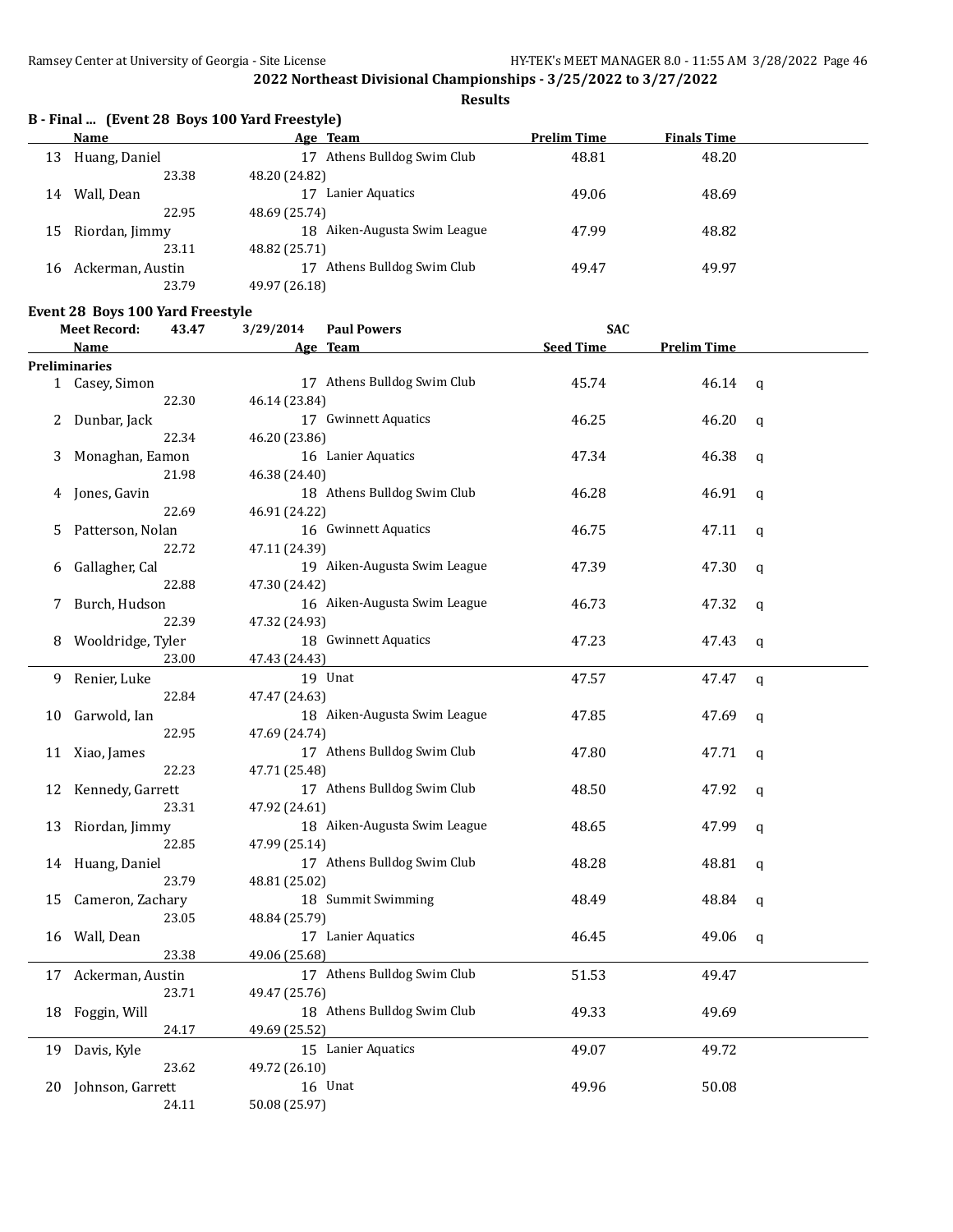**Results**

|      | B - Final  (Event 28 Boys 100 Yard Freestyle) |
|------|-----------------------------------------------|
| Name | Age Team                                      |

|    | <b>Name</b>      | Age Team                       | <b>Prelim Time</b> | <b>Finals Time</b> |  |
|----|------------------|--------------------------------|--------------------|--------------------|--|
| 13 | Huang, Daniel    | Athens Bulldog Swim Club<br>17 | 48.81              | 48.20              |  |
|    | 23.38            | 48.20 (24.82)                  |                    |                    |  |
| 14 | Wall, Dean       | Lanier Aquatics<br>17          | 49.06              | 48.69              |  |
|    | 22.95            | 48.69 (25.74)                  |                    |                    |  |
| 15 | Riordan, Jimmy   | 18 Aiken-Augusta Swim League   | 47.99              | 48.82              |  |
|    | 23.11            | 48.82 (25.71)                  |                    |                    |  |
| 16 | Ackerman, Austin | Athens Bulldog Swim Club<br>17 | 49.47              | 49.97              |  |
|    | 23.79            | 49.97 (26.18)                  |                    |                    |  |

## **Event 28 Boys 100 Yard Freestyle**

| Meet Record: | 43.47 |      | $3/29/2014$ Paul Powers | <b>SAC</b> |
|--------------|-------|------|-------------------------|------------|
| Name         |       | Λ σο | Toam                    | Sood Time  |

|    | Name                 | Age Team                     | <b>Seed Time</b> | <b>Prelim Time</b> |              |
|----|----------------------|------------------------------|------------------|--------------------|--------------|
|    | <b>Preliminaries</b> |                              |                  |                    |              |
|    | 1 Casey, Simon       | 17 Athens Bulldog Swim Club  | 45.74            | 46.14              | q            |
|    | 22.30                | 46.14 (23.84)                |                  |                    |              |
| 2  | Dunbar, Jack         | 17 Gwinnett Aquatics         | 46.25            | 46.20              | q            |
|    | 22.34                | 46.20 (23.86)                |                  |                    |              |
| 3  | Monaghan, Eamon      | 16 Lanier Aquatics           | 47.34            | 46.38              | $\mathbf q$  |
|    | 21.98                | 46.38 (24.40)                |                  |                    |              |
| 4  | Jones, Gavin         | 18 Athens Bulldog Swim Club  | 46.28            | 46.91              | q            |
|    | 22.69                | 46.91 (24.22)                |                  |                    |              |
| 5  | Patterson, Nolan     | 16 Gwinnett Aquatics         | 46.75            | 47.11              | q            |
|    | 22.72                | 47.11 (24.39)                |                  |                    |              |
| 6  | Gallagher, Cal       | 19 Aiken-Augusta Swim League | 47.39            | 47.30              | q            |
|    | 22.88                | 47.30 (24.42)                |                  |                    |              |
| 7  | Burch, Hudson        | 16 Aiken-Augusta Swim League | 46.73            | 47.32              | q            |
|    | 22.39                | 47.32 (24.93)                |                  |                    |              |
| 8  | Wooldridge, Tyler    | 18 Gwinnett Aquatics         | 47.23            | 47.43              | $\mathbf q$  |
|    | 23.00                | 47.43 (24.43)                |                  |                    |              |
| 9. | Renier, Luke         | 19 Unat                      | 47.57            | 47.47              | q            |
|    | 22.84                | 47.47 (24.63)                |                  |                    |              |
| 10 | Garwold, Ian         | 18 Aiken-Augusta Swim League | 47.85            | 47.69              | q            |
|    | 22.95                | 47.69 (24.74)                |                  |                    |              |
| 11 | Xiao, James          | 17 Athens Bulldog Swim Club  | 47.80            | 47.71              | $\mathbf q$  |
|    | 22.23                | 47.71 (25.48)                |                  |                    |              |
| 12 | Kennedy, Garrett     | 17 Athens Bulldog Swim Club  | 48.50            | 47.92              | $\mathsf{q}$ |
|    | 23.31                | 47.92 (24.61)                |                  |                    |              |
| 13 | Riordan, Jimmy       | 18 Aiken-Augusta Swim League | 48.65            | 47.99              | $\mathbf q$  |
|    | 22.85                | 47.99 (25.14)                |                  |                    |              |
|    | 14 Huang, Daniel     | 17 Athens Bulldog Swim Club  | 48.28            | 48.81              | q            |
|    | 23.79                | 48.81 (25.02)                |                  |                    |              |
| 15 | Cameron, Zachary     | 18 Summit Swimming           | 48.49            | 48.84              | q            |
|    | 23.05                | 48.84 (25.79)                |                  |                    |              |
| 16 | Wall, Dean           | 17 Lanier Aquatics           | 46.45            | 49.06              | q            |
|    | 23.38                | 49.06 (25.68)                |                  |                    |              |
| 17 | Ackerman, Austin     | 17 Athens Bulldog Swim Club  | 51.53            | 49.47              |              |
|    | 23.71                | 49.47 (25.76)                |                  |                    |              |
| 18 | Foggin, Will         | 18 Athens Bulldog Swim Club  | 49.33            | 49.69              |              |
|    | 24.17                | 49.69 (25.52)                |                  |                    |              |
| 19 | Davis, Kyle          | 15 Lanier Aquatics           | 49.07            | 49.72              |              |
|    | 23.62                | 49.72 (26.10)                |                  |                    |              |
| 20 | Johnson, Garrett     | 16 Unat                      | 49.96            | 50.08              |              |
|    | 24.11                | 50.08 (25.97)                |                  |                    |              |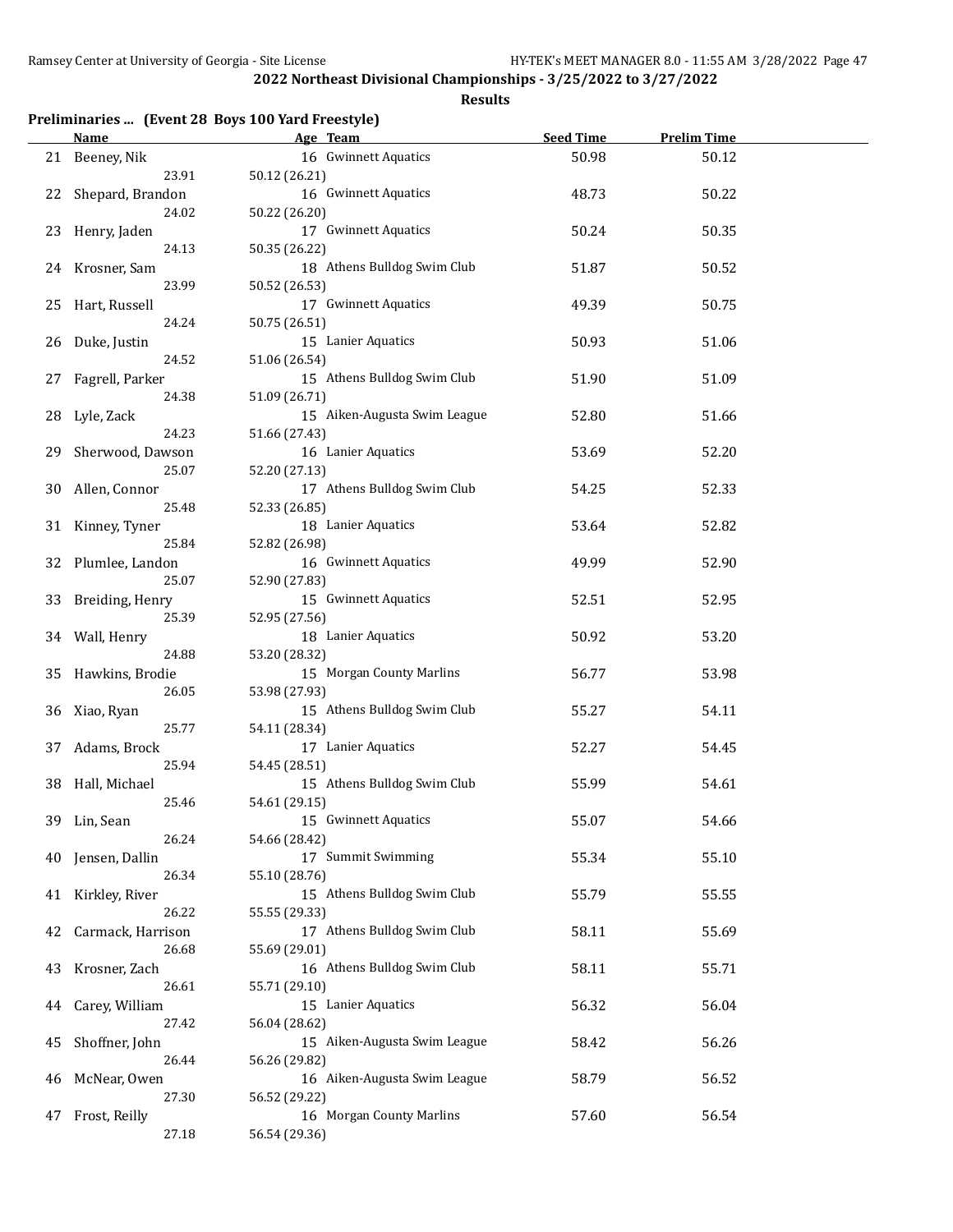| Preliminaries  (Event 28 Boys 100 Yard Freestyle) |  |  |  |
|---------------------------------------------------|--|--|--|
|---------------------------------------------------|--|--|--|

|    | <b>Name</b>              | Age Team                     | <b>Seed Time</b> | <b>Prelim Time</b> |  |
|----|--------------------------|------------------------------|------------------|--------------------|--|
|    | 21 Beeney, Nik           | 16 Gwinnett Aquatics         | 50.98            | 50.12              |  |
|    | 23.91                    | 50.12 (26.21)                |                  |                    |  |
| 22 | Shepard, Brandon         | 16 Gwinnett Aquatics         | 48.73            | 50.22              |  |
|    | 24.02                    | 50.22 (26.20)                |                  |                    |  |
| 23 | Henry, Jaden             | 17 Gwinnett Aquatics         | 50.24            | 50.35              |  |
|    | 24.13                    | 50.35 (26.22)                |                  |                    |  |
|    | 24 Krosner, Sam          | 18 Athens Bulldog Swim Club  | 51.87            | 50.52              |  |
|    | 23.99                    | 50.52 (26.53)                |                  |                    |  |
|    |                          |                              |                  |                    |  |
|    | 25 Hart, Russell         | 17 Gwinnett Aquatics         | 49.39            | 50.75              |  |
|    | 24.24                    | 50.75 (26.51)                |                  |                    |  |
| 26 | Duke, Justin             | 15 Lanier Aquatics           | 50.93            | 51.06              |  |
|    | 24.52                    | 51.06 (26.54)                |                  |                    |  |
| 27 | Fagrell, Parker          | 15 Athens Bulldog Swim Club  | 51.90            | 51.09              |  |
|    | 24.38                    | 51.09 (26.71)                |                  |                    |  |
| 28 | Lyle, Zack               | 15 Aiken-Augusta Swim League | 52.80            | 51.66              |  |
|    | 24.23                    | 51.66 (27.43)                |                  |                    |  |
| 29 | Sherwood, Dawson         | 16 Lanier Aquatics           | 53.69            | 52.20              |  |
|    | 25.07                    | 52.20 (27.13)                |                  |                    |  |
| 30 | Allen, Connor            | 17 Athens Bulldog Swim Club  | 54.25            | 52.33              |  |
|    | 25.48                    | 52.33 (26.85)                |                  |                    |  |
| 31 | Kinney, Tyner            | 18 Lanier Aquatics           | 53.64            | 52.82              |  |
|    | 25.84                    | 52.82 (26.98)                |                  |                    |  |
|    | 32 Plumlee, Landon       | 16 Gwinnett Aquatics         | 49.99            | 52.90              |  |
|    | 25.07                    | 52.90 (27.83)                |                  |                    |  |
| 33 |                          | 15 Gwinnett Aquatics         | 52.51            | 52.95              |  |
|    | Breiding, Henry<br>25.39 |                              |                  |                    |  |
|    |                          | 52.95 (27.56)                |                  |                    |  |
|    | 34 Wall, Henry           | 18 Lanier Aquatics           | 50.92            | 53.20              |  |
|    | 24.88                    | 53.20 (28.32)                |                  |                    |  |
| 35 | Hawkins, Brodie          | 15 Morgan County Marlins     | 56.77            | 53.98              |  |
|    | 26.05                    | 53.98 (27.93)                |                  |                    |  |
|    | 36 Xiao, Ryan            | 15 Athens Bulldog Swim Club  | 55.27            | 54.11              |  |
|    | 25.77                    | 54.11 (28.34)                |                  |                    |  |
| 37 | Adams, Brock             | 17 Lanier Aquatics           | 52.27            | 54.45              |  |
|    | 25.94                    | 54.45 (28.51)                |                  |                    |  |
|    | 38 Hall, Michael         | 15 Athens Bulldog Swim Club  | 55.99            | 54.61              |  |
|    | 25.46                    | 54.61 (29.15)                |                  |                    |  |
|    | 39 Lin, Sean             | 15 Gwinnett Aquatics         | 55.07            | 54.66              |  |
|    | 26.24                    | 54.66 (28.42)                |                  |                    |  |
| 40 | Jensen, Dallin           | 17 Summit Swimming           | 55.34            | 55.10              |  |
|    | 26.34                    | 55.10 (28.76)                |                  |                    |  |
| 41 | Kirkley, River           | 15 Athens Bulldog Swim Club  | 55.79            | 55.55              |  |
|    | 26.22                    | 55.55 (29.33)                |                  |                    |  |
| 42 | Carmack, Harrison        | 17 Athens Bulldog Swim Club  | 58.11            | 55.69              |  |
|    | 26.68                    | 55.69 (29.01)                |                  |                    |  |
| 43 | Krosner, Zach            | 16 Athens Bulldog Swim Club  | 58.11            | 55.71              |  |
|    | 26.61                    | 55.71 (29.10)                |                  |                    |  |
|    |                          |                              |                  |                    |  |
| 44 | Carey, William           | 15 Lanier Aquatics           | 56.32            | 56.04              |  |
|    | 27.42                    | 56.04 (28.62)                |                  |                    |  |
| 45 | Shoffner, John           | 15 Aiken-Augusta Swim League | 58.42            | 56.26              |  |
|    | 26.44                    | 56.26 (29.82)                |                  |                    |  |
| 46 | McNear, Owen             | 16 Aiken-Augusta Swim League | 58.79            | 56.52              |  |
|    | 27.30                    | 56.52 (29.22)                |                  |                    |  |
| 47 | Frost, Reilly            | 16 Morgan County Marlins     | 57.60            | 56.54              |  |
|    | 27.18                    | 56.54 (29.36)                |                  |                    |  |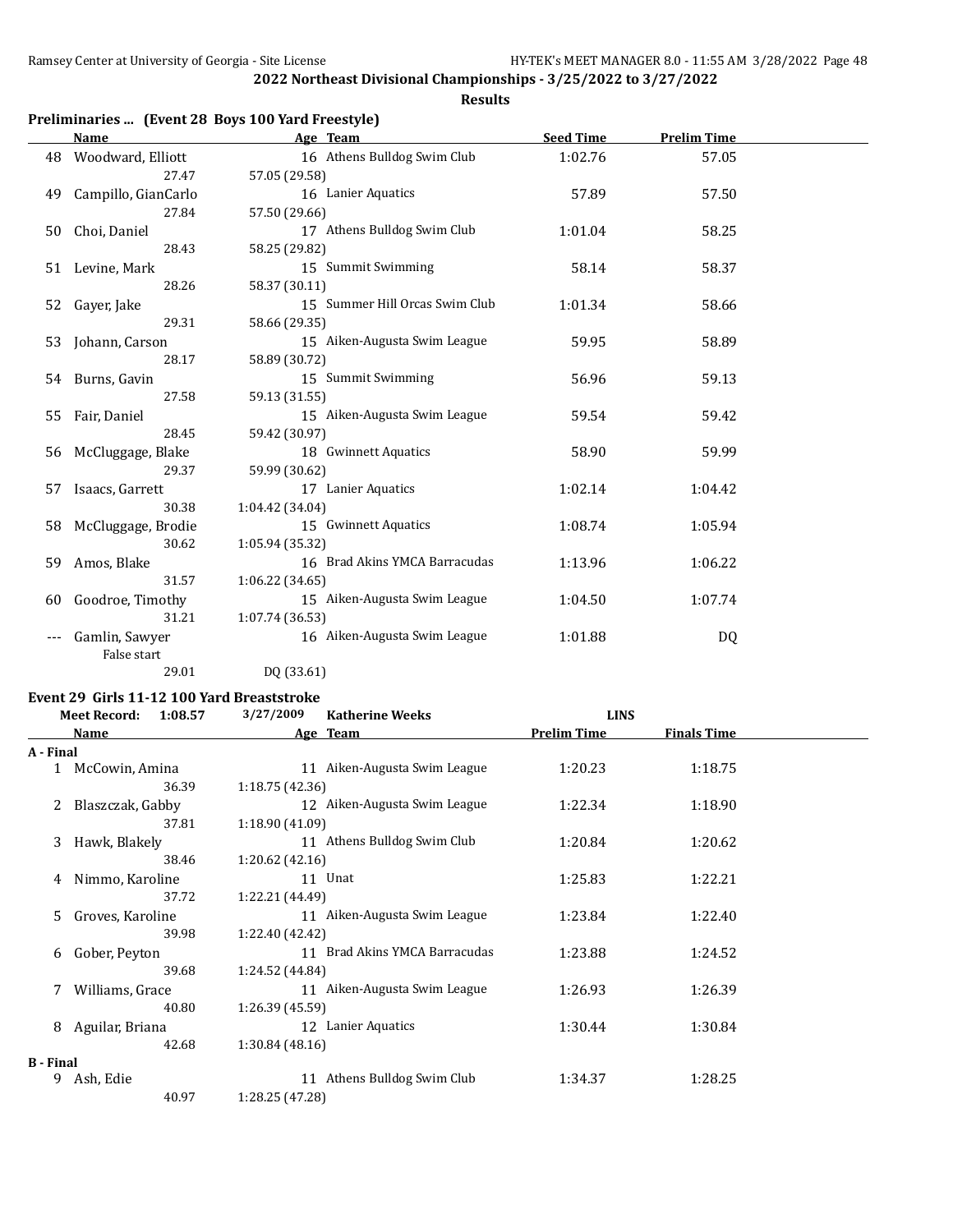**Results**

|    | <b>Name</b>         | Age Team                       | <b>Seed Time</b> | <b>Prelim Time</b> |  |
|----|---------------------|--------------------------------|------------------|--------------------|--|
| 48 | Woodward, Elliott   | 16 Athens Bulldog Swim Club    | 1:02.76          | 57.05              |  |
|    | 27.47               | 57.05 (29.58)                  |                  |                    |  |
| 49 | Campillo, GianCarlo | 16 Lanier Aquatics             | 57.89            | 57.50              |  |
|    | 27.84               | 57.50 (29.66)                  |                  |                    |  |
| 50 | Choi, Daniel        | 17 Athens Bulldog Swim Club    | 1:01.04          | 58.25              |  |
|    | 28.43               | 58.25 (29.82)                  |                  |                    |  |
| 51 | Levine, Mark        | 15 Summit Swimming             | 58.14            | 58.37              |  |
|    | 28.26               | 58.37 (30.11)                  |                  |                    |  |
| 52 | Gayer, Jake         | 15 Summer Hill Orcas Swim Club | 1:01.34          | 58.66              |  |
|    | 29.31               | 58.66 (29.35)                  |                  |                    |  |
| 53 | Johann, Carson      | 15 Aiken-Augusta Swim League   | 59.95            | 58.89              |  |
|    | 28.17               | 58.89 (30.72)                  |                  |                    |  |
| 54 | Burns, Gavin        | 15 Summit Swimming             | 56.96            | 59.13              |  |
|    | 27.58               | 59.13 (31.55)                  |                  |                    |  |
| 55 | Fair, Daniel        | 15 Aiken-Augusta Swim League   | 59.54            | 59.42              |  |
|    | 28.45               | 59.42 (30.97)                  |                  |                    |  |
| 56 | McCluggage, Blake   | 18 Gwinnett Aquatics           | 58.90            | 59.99              |  |
|    | 29.37               | 59.99 (30.62)                  |                  |                    |  |
| 57 | Isaacs, Garrett     | 17 Lanier Aquatics             | 1:02.14          | 1:04.42            |  |
|    | 30.38               | 1:04.42 (34.04)                |                  |                    |  |
| 58 | McCluggage, Brodie  | 15 Gwinnett Aquatics           | 1:08.74          | 1:05.94            |  |
|    | 30.62               | 1:05.94 (35.32)                |                  |                    |  |
| 59 | Amos, Blake         | 16 Brad Akins YMCA Barracudas  | 1:13.96          | 1:06.22            |  |
|    | 31.57               | 1:06.22(34.65)                 |                  |                    |  |
| 60 | Goodroe, Timothy    | 15 Aiken-Augusta Swim League   | 1:04.50          | 1:07.74            |  |
|    | 31.21               | 1:07.74(36.53)                 |                  |                    |  |
|    | Gamlin, Sawyer      | 16 Aiken-Augusta Swim League   | 1:01.88          | DQ                 |  |
|    | False start         |                                |                  |                    |  |
|    | 29.01               | DQ (33.61)                     |                  |                    |  |

#### **Event 29 Girls 11-12 100 Yard Breaststroke**

|                  | <b>Meet Record:</b> | 1:08.57 | 3/27/2009       | <b>Katherine Weeks</b>        | <b>LINS</b>        |                    |  |
|------------------|---------------------|---------|-----------------|-------------------------------|--------------------|--------------------|--|
|                  | Name                |         |                 | Age Team                      | <b>Prelim Time</b> | <b>Finals Time</b> |  |
| A - Final        |                     |         |                 |                               |                    |                    |  |
|                  | McCowin, Amina      |         |                 | 11 Aiken-Augusta Swim League  | 1:20.23            | 1:18.75            |  |
|                  |                     | 36.39   | 1:18.75(42.36)  |                               |                    |                    |  |
| 2                | Blaszczak, Gabby    |         |                 | 12 Aiken-Augusta Swim League  | 1:22.34            | 1:18.90            |  |
|                  |                     | 37.81   | 1:18.90(41.09)  |                               |                    |                    |  |
| 3                | Hawk, Blakely       |         |                 | 11 Athens Bulldog Swim Club   | 1:20.84            | 1:20.62            |  |
|                  |                     | 38.46   | 1:20.62(42.16)  |                               |                    |                    |  |
| 4                | Nimmo, Karoline     |         |                 | 11 Unat                       | 1:25.83            | 1:22.21            |  |
|                  |                     | 37.72   | 1:22.21 (44.49) |                               |                    |                    |  |
| .5.              | Groves, Karoline    |         |                 | 11 Aiken-Augusta Swim League  | 1:23.84            | 1:22.40            |  |
|                  |                     | 39.98   | 1:22.40 (42.42) |                               |                    |                    |  |
| 6                | Gober, Peyton       |         |                 | 11 Brad Akins YMCA Barracudas | 1:23.88            | 1:24.52            |  |
|                  |                     | 39.68   | 1:24.52 (44.84) |                               |                    |                    |  |
|                  | Williams, Grace     |         |                 | 11 Aiken-Augusta Swim League  | 1:26.93            | 1:26.39            |  |
|                  |                     | 40.80   | 1:26.39(45.59)  |                               |                    |                    |  |
| 8                | Aguilar, Briana     |         | 12              | Lanier Aquatics               | 1:30.44            | 1:30.84            |  |
|                  |                     | 42.68   | 1:30.84(48.16)  |                               |                    |                    |  |
| <b>B</b> - Final |                     |         |                 |                               |                    |                    |  |
| 9                | Ash, Edie           |         | 11              | Athens Bulldog Swim Club      | 1:34.37            | 1:28.25            |  |
|                  |                     | 40.97   | 1:28.25 (47.28) |                               |                    |                    |  |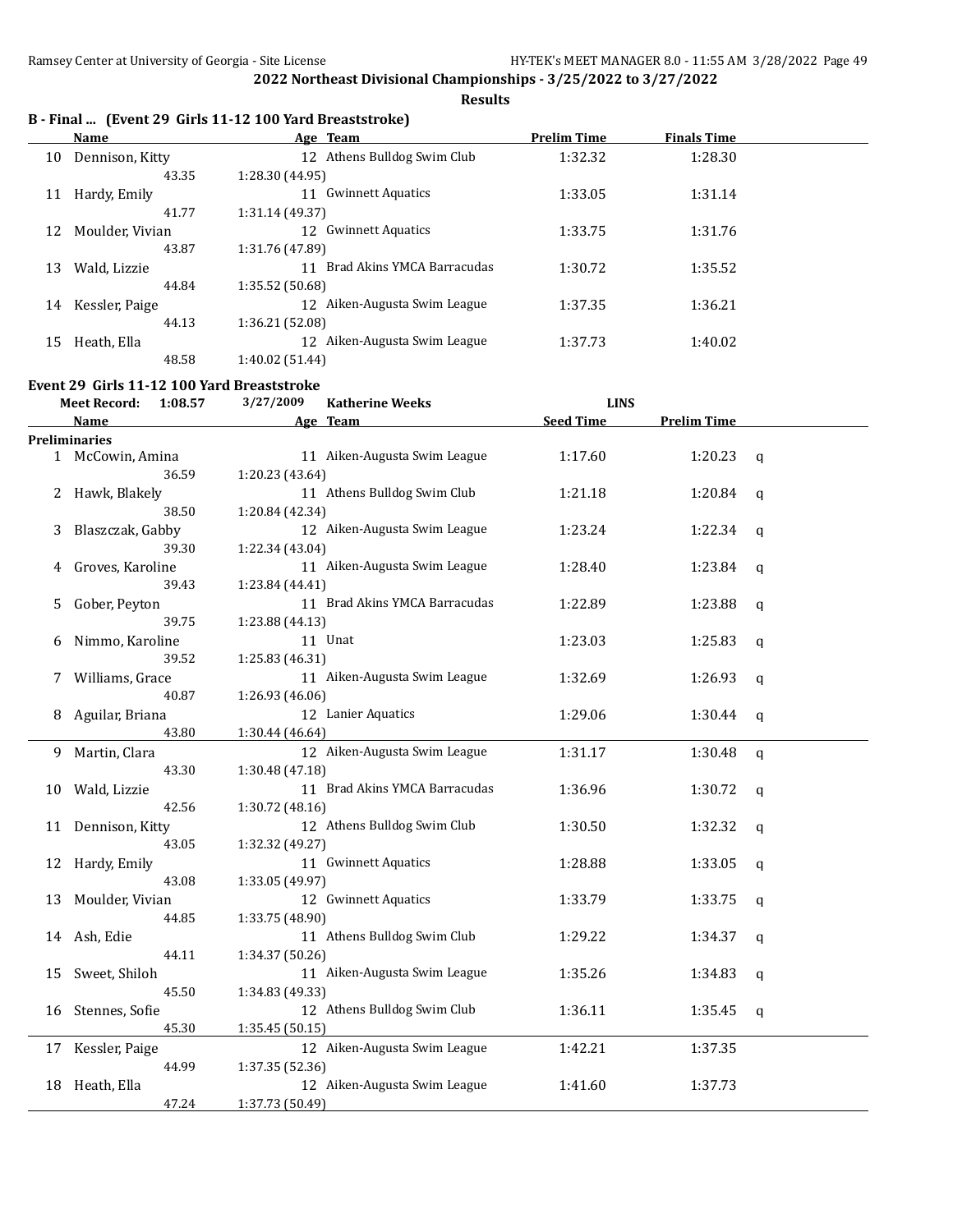**Results**

|    | Name            | Age Team                       | <b>Prelim Time</b> | <b>Finals Time</b> |  |
|----|-----------------|--------------------------------|--------------------|--------------------|--|
| 10 | Dennison, Kitty | 12 Athens Bulldog Swim Club    | 1:32.32            | 1:28.30            |  |
|    | 43.35           | 1:28.30 (44.95)                |                    |                    |  |
| 11 | Hardy, Emily    | <b>Gwinnett Aquatics</b><br>11 | 1:33.05            | 1:31.14            |  |
|    | 41.77           | 1:31.14 (49.37)                |                    |                    |  |
| 12 | Moulder, Vivian | 12 Gwinnett Aquatics           | 1:33.75            | 1:31.76            |  |
|    | 43.87           | 1:31.76 (47.89)                |                    |                    |  |
| 13 | Wald, Lizzie    | 11 Brad Akins YMCA Barracudas  | 1:30.72            | 1:35.52            |  |
|    | 44.84           | 1:35.52 (50.68)                |                    |                    |  |
| 14 | Kessler, Paige  | 12 Aiken-Augusta Swim League   | 1:37.35            | 1:36.21            |  |
|    | 44.13           | 1:36.21 (52.08)                |                    |                    |  |
| 15 | Heath, Ella     | 12 Aiken-Augusta Swim League   | 1:37.73            | 1:40.02            |  |
|    | 48.58           | 1:40.02 (51.44)                |                    |                    |  |

#### **Event 29 Girls 11-12 100 Yard Breaststroke**

|              | <b>Meet Record:</b><br>1:08.57 | 3/27/2009<br><b>Katherine Weeks</b> | <b>LINS</b>      |                    |             |
|--------------|--------------------------------|-------------------------------------|------------------|--------------------|-------------|
|              | Name                           | Age Team                            | <b>Seed Time</b> | <b>Prelim Time</b> |             |
|              | Preliminaries                  |                                     |                  |                    |             |
|              | 1 McCowin, Amina               | 11 Aiken-Augusta Swim League        | 1:17.60          | 1:20.23            | q           |
|              | 36.59                          | 1:20.23 (43.64)                     |                  |                    |             |
| $\mathbf{Z}$ | Hawk, Blakely                  | 11 Athens Bulldog Swim Club         | 1:21.18          | 1:20.84            | q           |
|              | 38.50                          | 1:20.84 (42.34)                     |                  |                    |             |
| 3            | Blaszczak, Gabby               | 12 Aiken-Augusta Swim League        | 1:23.24          | 1:22.34            | q           |
|              | 39.30                          | 1:22.34 (43.04)                     |                  |                    |             |
| 4            | Groves, Karoline               | 11 Aiken-Augusta Swim League        | 1:28.40          | 1:23.84            | a           |
|              | 39.43                          | 1:23.84 (44.41)                     |                  |                    |             |
| 5            | Gober, Peyton                  | 11 Brad Akins YMCA Barracudas       | 1:22.89          | 1:23.88            | $\mathbf q$ |
|              | 39.75                          | 1:23.88 (44.13)                     |                  |                    |             |
| 6            | Nimmo, Karoline                | 11 Unat                             | 1:23.03          | 1:25.83            | q           |
|              | 39.52                          | 1:25.83 (46.31)                     |                  |                    |             |
| 7            | Williams, Grace                | 11 Aiken-Augusta Swim League        | 1:32.69          | 1:26.93            | q           |
|              | 40.87                          | 1:26.93 (46.06)                     |                  |                    |             |
| 8            | Aguilar, Briana                | 12 Lanier Aquatics                  | 1:29.06          | 1:30.44            | q           |
|              | 43.80                          | 1:30.44 (46.64)                     |                  |                    |             |
| 9            | Martin, Clara                  | 12 Aiken-Augusta Swim League        | 1:31.17          | 1:30.48            | $\mathbf q$ |
|              | 43.30                          | 1:30.48 (47.18)                     |                  |                    |             |
| 10           | Wald, Lizzie                   | 11 Brad Akins YMCA Barracudas       | 1:36.96          | 1:30.72            | q           |
|              | 42.56                          | 1:30.72 (48.16)                     |                  |                    |             |
| 11           | Dennison, Kitty                | 12 Athens Bulldog Swim Club         | 1:30.50          | 1:32.32            | q           |
|              | 43.05                          | 1:32.32 (49.27)                     |                  |                    |             |
| 12           | Hardy, Emily                   | 11 Gwinnett Aquatics                | 1:28.88          | 1:33.05            | q           |
|              | 43.08                          | 1:33.05 (49.97)                     |                  |                    |             |
| 13           | Moulder, Vivian                | 12 Gwinnett Aquatics                | 1:33.79          | 1:33.75            | q           |
|              | 44.85                          | 1:33.75 (48.90)                     |                  |                    |             |
|              | 14 Ash, Edie                   | 11 Athens Bulldog Swim Club         | 1:29.22          | 1:34.37            | q           |
|              | 44.11                          | 1:34.37 (50.26)                     |                  |                    |             |
| 15           | Sweet, Shiloh                  | 11 Aiken-Augusta Swim League        | 1:35.26          | 1:34.83            | q           |
|              | 45.50                          | 1:34.83 (49.33)                     |                  |                    |             |
| 16           | Stennes, Sofie                 | 12 Athens Bulldog Swim Club         | 1:36.11          | 1:35.45            | $\mathbf q$ |
|              | 45.30                          | 1:35.45 (50.15)                     |                  |                    |             |
| 17           | Kessler, Paige                 | 12 Aiken-Augusta Swim League        | 1:42.21          | 1:37.35            |             |
|              | 44.99                          | 1:37.35 (52.36)                     |                  |                    |             |
| 18           | Heath, Ella                    | 12 Aiken-Augusta Swim League        | 1:41.60          | 1:37.73            |             |
|              | 47.24                          | 1:37.73 (50.49)                     |                  |                    |             |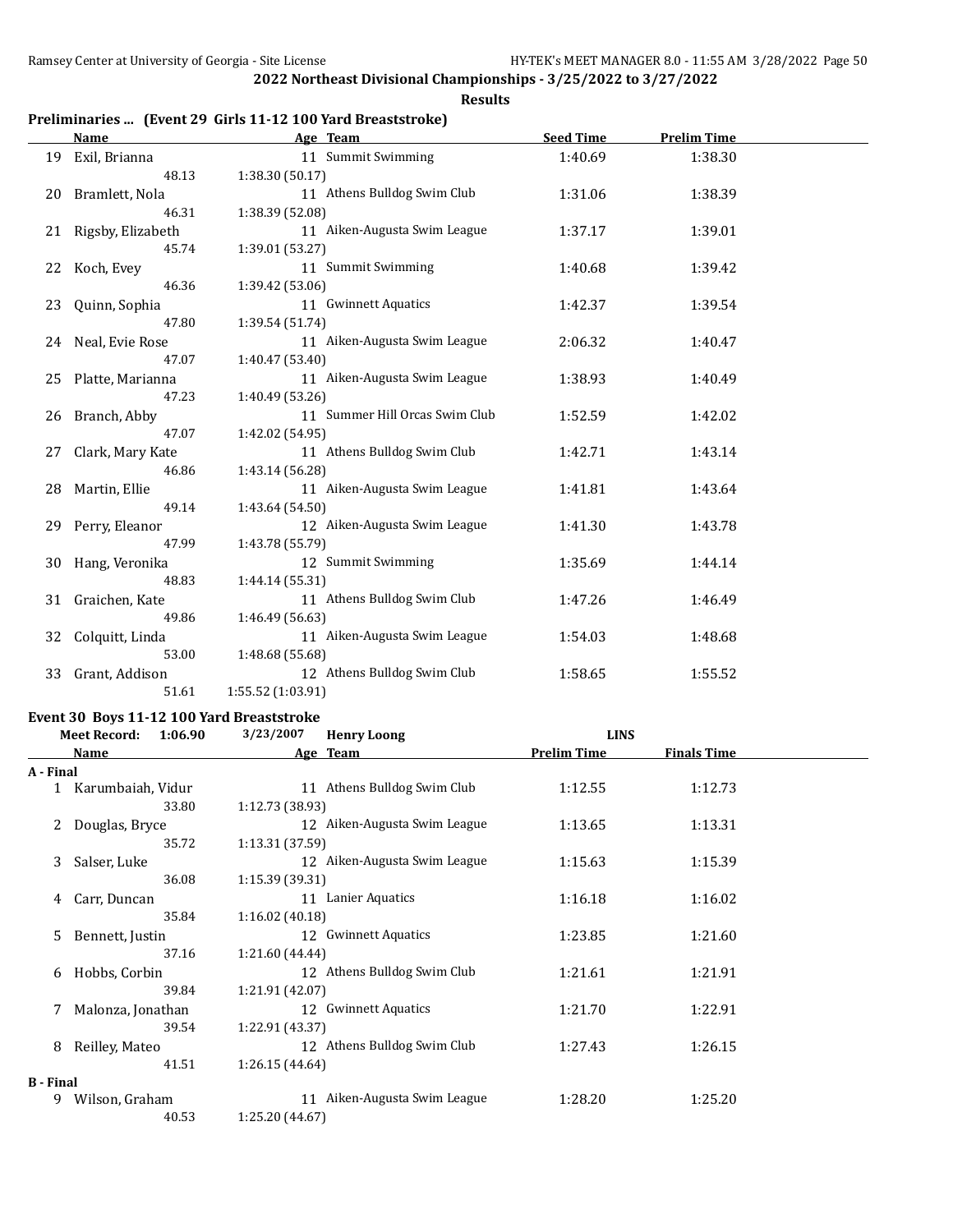#### **Results**

## **Preliminaries ... (Event 29 Girls 11-12 100 Yard Breaststroke)**

|    | Name                | Age Team                       | <b>Seed Time</b> | <b>Prelim Time</b> |  |
|----|---------------------|--------------------------------|------------------|--------------------|--|
| 19 | Exil, Brianna       | 11 Summit Swimming             | 1:40.69          | 1:38.30            |  |
|    | 48.13               | 1:38.30 (50.17)                |                  |                    |  |
|    | 20 Bramlett, Nola   | 11 Athens Bulldog Swim Club    | 1:31.06          | 1:38.39            |  |
|    | 46.31               | 1:38.39 (52.08)                |                  |                    |  |
| 21 | Rigsby, Elizabeth   | 11 Aiken-Augusta Swim League   | 1:37.17          | 1:39.01            |  |
|    | 45.74               | 1:39.01 (53.27)                |                  |                    |  |
| 22 | Koch, Evey          | 11 Summit Swimming             | 1:40.68          | 1:39.42            |  |
|    | 46.36               | 1:39.42 (53.06)                |                  |                    |  |
|    | 23 Quinn, Sophia    | 11 Gwinnett Aquatics           | 1:42.37          | 1:39.54            |  |
|    | 47.80               | 1:39.54 (51.74)                |                  |                    |  |
| 24 | Neal, Evie Rose     | 11 Aiken-Augusta Swim League   | 2:06.32          | 1:40.47            |  |
|    | 47.07               | 1:40.47 (53.40)                |                  |                    |  |
|    | 25 Platte, Marianna | 11 Aiken-Augusta Swim League   | 1:38.93          | 1:40.49            |  |
|    | 47.23               | 1:40.49 (53.26)                |                  |                    |  |
| 26 | Branch, Abby        | 11 Summer Hill Orcas Swim Club | 1:52.59          | 1:42.02            |  |
|    | 47.07               | 1:42.02 (54.95)                |                  |                    |  |
| 27 | Clark, Mary Kate    | 11 Athens Bulldog Swim Club    | 1:42.71          | 1:43.14            |  |
|    | 46.86               | 1:43.14 (56.28)                |                  |                    |  |
| 28 | Martin, Ellie       | 11 Aiken-Augusta Swim League   | 1:41.81          | 1:43.64            |  |
|    | 49.14               | 1:43.64 (54.50)                |                  |                    |  |
|    | 29 Perry, Eleanor   | 12 Aiken-Augusta Swim League   | 1:41.30          | 1:43.78            |  |
|    | 47.99               | 1:43.78 (55.79)                |                  |                    |  |
| 30 | Hang, Veronika      | 12 Summit Swimming             | 1:35.69          | 1:44.14            |  |
|    | 48.83               | 1:44.14 (55.31)                |                  |                    |  |
| 31 | Graichen, Kate      | 11 Athens Bulldog Swim Club    | 1:47.26          | 1:46.49            |  |
|    | 49.86               | 1:46.49 (56.63)                |                  |                    |  |
| 32 | Colquitt, Linda     | 11 Aiken-Augusta Swim League   | 1:54.03          | 1:48.68            |  |
|    | 53.00               | 1:48.68 (55.68)                |                  |                    |  |
| 33 | Grant, Addison      | 12 Athens Bulldog Swim Club    | 1:58.65          | 1:55.52            |  |
|    | 51.61               | 1:55.52 (1:03.91)              |                  |                    |  |

#### **Event 30 Boys 11-12 100 Yard Breaststroke**

|                  | <b>Meet Record:</b> | 1:06.90 | 3/23/2007       | <b>Henry Loong</b>           | <b>LINS</b>        |                    |  |
|------------------|---------------------|---------|-----------------|------------------------------|--------------------|--------------------|--|
|                  | Name                |         |                 | Age Team                     | <b>Prelim Time</b> | <b>Finals Time</b> |  |
| A - Final        |                     |         |                 |                              |                    |                    |  |
|                  | Karumbaiah, Vidur   |         |                 | 11 Athens Bulldog Swim Club  | 1:12.55            | 1:12.73            |  |
|                  |                     | 33.80   | 1:12.73(38.93)  |                              |                    |                    |  |
| 2                | Douglas, Bryce      |         |                 | 12 Aiken-Augusta Swim League | 1:13.65            | 1:13.31            |  |
|                  |                     | 35.72   | 1:13.31(37.59)  |                              |                    |                    |  |
| 3                | Salser, Luke        |         |                 | 12 Aiken-Augusta Swim League | 1:15.63            | 1:15.39            |  |
|                  |                     | 36.08   | 1:15.39(39.31)  |                              |                    |                    |  |
| 4                | Carr, Duncan        |         |                 | 11 Lanier Aquatics           | 1:16.18            | 1:16.02            |  |
|                  |                     | 35.84   | 1:16.02(40.18)  |                              |                    |                    |  |
| 5.               | Bennett, Justin     |         |                 | 12 Gwinnett Aquatics         | 1:23.85            | 1:21.60            |  |
|                  |                     | 37.16   | 1:21.60 (44.44) |                              |                    |                    |  |
| 6                | Hobbs, Corbin       |         |                 | 12 Athens Bulldog Swim Club  | 1:21.61            | 1:21.91            |  |
|                  |                     | 39.84   | 1:21.91 (42.07) |                              |                    |                    |  |
| 7                | Malonza, Jonathan   |         |                 | 12 Gwinnett Aquatics         | 1:21.70            | 1:22.91            |  |
|                  |                     | 39.54   | 1:22.91 (43.37) |                              |                    |                    |  |
| 8                | Reilley, Mateo      |         |                 | 12 Athens Bulldog Swim Club  | 1:27.43            | 1:26.15            |  |
|                  |                     | 41.51   | 1:26.15(44.64)  |                              |                    |                    |  |
| <b>B</b> - Final |                     |         |                 |                              |                    |                    |  |
| 9                | Wilson, Graham      |         |                 | 11 Aiken-Augusta Swim League | 1:28.20            | 1:25.20            |  |
|                  |                     | 40.53   | 1:25.20 (44.67) |                              |                    |                    |  |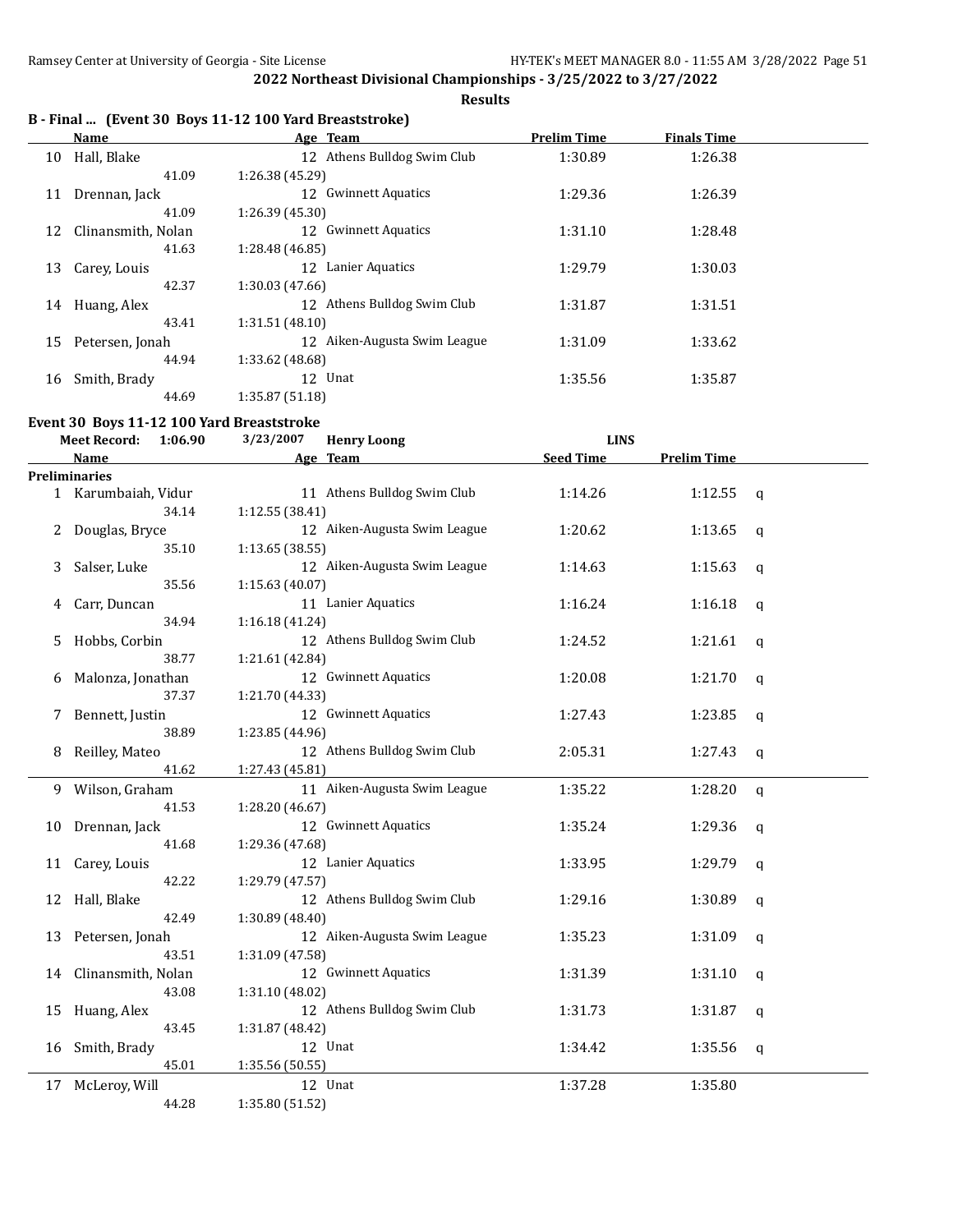**Results**

## **B - Final ... (Event 30 Boys 11-12 100 Yard Breaststroke)**

|    | Name               | Age Team                       | <b>Prelim Time</b> | <b>Finals Time</b> |  |
|----|--------------------|--------------------------------|--------------------|--------------------|--|
| 10 | Hall, Blake        | 12 Athens Bulldog Swim Club    | 1:30.89            | 1:26.38            |  |
|    | 41.09              | 1:26.38 (45.29)                |                    |                    |  |
| 11 | Drennan, Jack      | <b>Gwinnett Aquatics</b><br>12 | 1:29.36            | 1:26.39            |  |
|    | 41.09              | 1:26.39(45.30)                 |                    |                    |  |
| 12 | Clinansmith, Nolan | <b>Gwinnett Aquatics</b><br>12 | 1:31.10            | 1:28.48            |  |
|    | 41.63              | 1:28.48 (46.85)                |                    |                    |  |
| 13 | Carey, Louis       | Lanier Aquatics<br>12          | 1:29.79            | 1:30.03            |  |
|    | 42.37              | 1:30.03(47.66)                 |                    |                    |  |
|    | 14 Huang, Alex     | 12 Athens Bulldog Swim Club    | 1:31.87            | 1:31.51            |  |
|    | 43.41              | 1:31.51(48.10)                 |                    |                    |  |
| 15 | Petersen, Jonah    | 12 Aiken-Augusta Swim League   | 1:31.09            | 1:33.62            |  |
|    | 44.94              | 1:33.62 (48.68)                |                    |                    |  |
| 16 | Smith, Brady       | 12 Unat                        | 1:35.56            | 1:35.87            |  |
|    | 44.69              | 1:35.87(51.18)                 |                    |                    |  |
|    |                    |                                |                    |                    |  |

## **Event 30 Boys 11-12 100 Yard Breaststroke**

| <b>Meet Record:</b><br>1:06.90<br>3/23/2007 |                      | <b>Henry Loong</b>           | <b>LINS</b>      |                    |                |
|---------------------------------------------|----------------------|------------------------------|------------------|--------------------|----------------|
|                                             | <b>Name</b>          | Age Team                     | <b>Seed Time</b> | <b>Prelim Time</b> |                |
|                                             | <b>Preliminaries</b> |                              |                  |                    |                |
|                                             | 1 Karumbaiah, Vidur  | 11 Athens Bulldog Swim Club  | 1:14.26          | 1:12.55            | $\mathbf{q}$   |
|                                             | 34.14                | 1:12.55 (38.41)              |                  |                    |                |
| 2                                           | Douglas, Bryce       | 12 Aiken-Augusta Swim League | 1:20.62          | 1:13.65            | $\mathsf{q}$   |
|                                             | 35.10                | 1:13.65 (38.55)              |                  |                    |                |
| 3                                           | Salser, Luke         | 12 Aiken-Augusta Swim League | 1:14.63          | 1:15.63            | $\mathsf{q}$   |
|                                             | 35.56                | 1:15.63 (40.07)              |                  |                    |                |
| 4                                           | Carr, Duncan         | 11 Lanier Aquatics           | 1:16.24          | 1:16.18            | $\mathfrak{q}$ |
|                                             | 34.94                | 1:16.18(41.24)               |                  |                    |                |
| 5.                                          | Hobbs, Corbin        | 12 Athens Bulldog Swim Club  | 1:24.52          | 1:21.61            | $\mathbf q$    |
|                                             | 38.77                | 1:21.61 (42.84)              |                  |                    |                |
| 6                                           | Malonza, Jonathan    | 12 Gwinnett Aquatics         | 1:20.08          | 1:21.70            | q              |
|                                             | 37.37                | 1:21.70 (44.33)              |                  |                    |                |
| 7                                           | Bennett, Justin      | 12 Gwinnett Aquatics         | 1:27.43          | 1:23.85            | q              |
|                                             | 38.89                | 1:23.85 (44.96)              |                  |                    |                |
| 8                                           | Reilley, Mateo       | 12 Athens Bulldog Swim Club  | 2:05.31          | 1:27.43            | $\mathsf{q}$   |
|                                             | 41.62                | 1:27.43 (45.81)              |                  |                    |                |
| 9                                           | Wilson, Graham       | 11 Aiken-Augusta Swim League | 1:35.22          | 1:28.20            | $\mathsf{q}$   |
|                                             | 41.53                | 1:28.20 (46.67)              |                  |                    |                |
| 10                                          | Drennan, Jack        | 12 Gwinnett Aquatics         | 1:35.24          | 1:29.36            | q              |
|                                             | 41.68                | 1:29.36 (47.68)              |                  |                    |                |
| 11                                          | Carey, Louis         | 12 Lanier Aquatics           | 1:33.95          | 1:29.79            | q              |
|                                             | 42.22                | 1:29.79 (47.57)              |                  |                    |                |
| 12                                          | Hall, Blake          | 12 Athens Bulldog Swim Club  | 1:29.16          | 1:30.89            | q              |
|                                             | 42.49                | 1:30.89 (48.40)              |                  |                    |                |
| 13                                          | Petersen, Jonah      | 12 Aiken-Augusta Swim League | 1:35.23          | 1:31.09            | $\mathsf{q}$   |
|                                             | 43.51                | 1:31.09 (47.58)              |                  |                    |                |
| 14                                          | Clinansmith, Nolan   | 12 Gwinnett Aquatics         | 1:31.39          | 1:31.10            | $\mathsf{q}$   |
|                                             | 43.08                | 1:31.10 (48.02)              |                  |                    |                |
| 15                                          | Huang, Alex          | 12 Athens Bulldog Swim Club  | 1:31.73          | 1:31.87            | q              |
|                                             | 43.45                | 1:31.87 (48.42)              |                  |                    |                |
| 16                                          | Smith, Brady         | 12 Unat                      | 1:34.42          | 1:35.56            | q              |
|                                             | 45.01                | 1:35.56 (50.55)              |                  |                    |                |
| 17                                          | McLeroy, Will        | 12 Unat                      | 1:37.28          | 1:35.80            |                |
|                                             | 44.28                | 1:35.80 (51.52)              |                  |                    |                |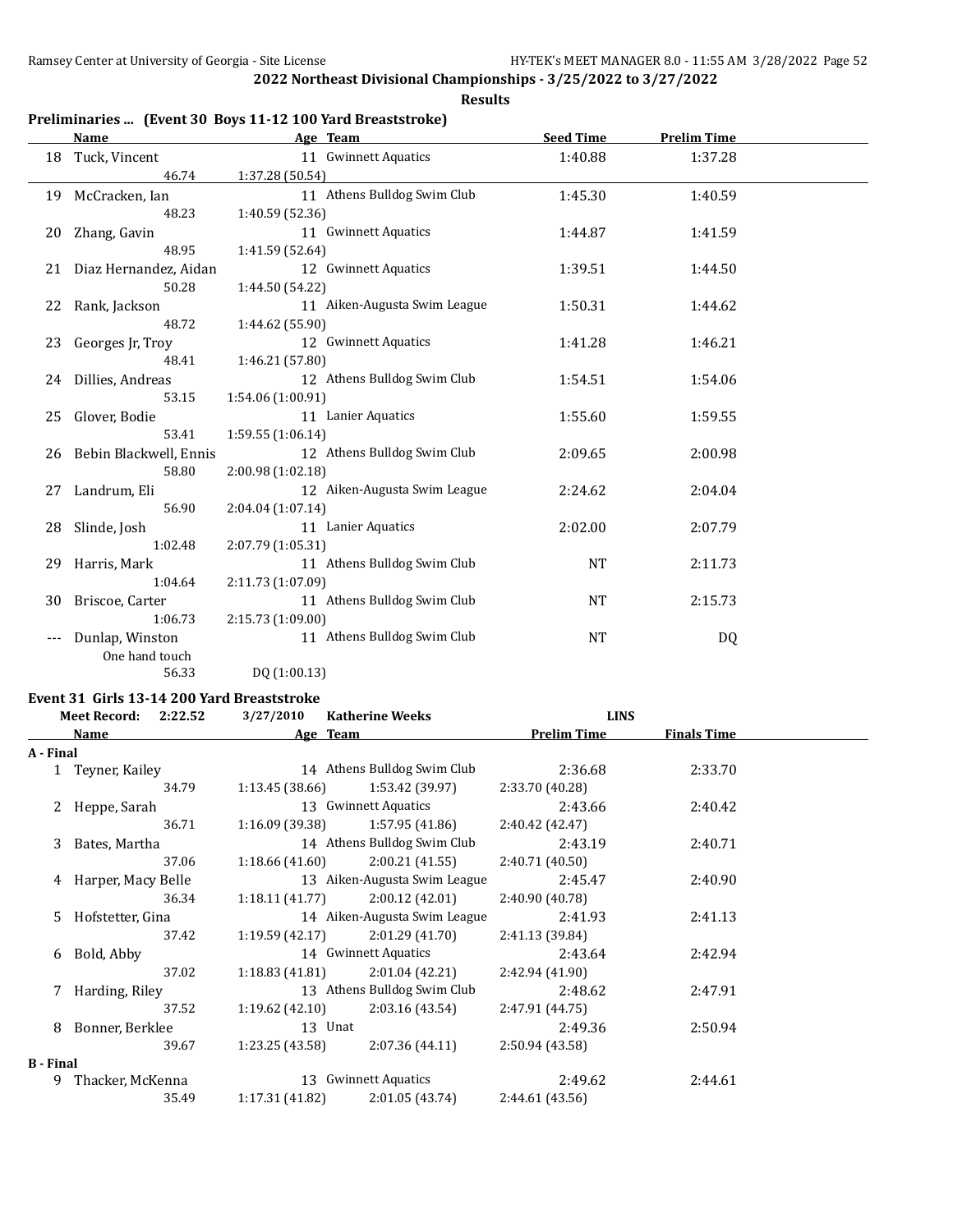**Results**

## **Preliminaries ... (Event 30 Boys 11-12 100 Yard Breaststroke)**

|       | <b>Name</b>               |                   | Age Team                     | <b>Seed Time</b> | <b>Prelim Time</b> |  |
|-------|---------------------------|-------------------|------------------------------|------------------|--------------------|--|
| 18    | Tuck, Vincent             |                   | 11 Gwinnett Aquatics         | 1:40.88          | 1:37.28            |  |
|       | 46.74                     | 1:37.28 (50.54)   |                              |                  |                    |  |
| 19    | McCracken, Ian            |                   | 11 Athens Bulldog Swim Club  | 1:45.30          | 1:40.59            |  |
|       | 48.23                     | 1:40.59 (52.36)   |                              |                  |                    |  |
| 20    | Zhang, Gavin              |                   | 11 Gwinnett Aquatics         | 1:44.87          | 1:41.59            |  |
|       | 48.95                     | 1:41.59 (52.64)   |                              |                  |                    |  |
| 21    | Diaz Hernandez, Aidan     |                   | 12 Gwinnett Aquatics         | 1:39.51          | 1:44.50            |  |
|       | 50.28                     | 1:44.50 (54.22)   |                              |                  |                    |  |
| 22    | Rank, Jackson             |                   | 11 Aiken-Augusta Swim League | 1:50.31          | 1:44.62            |  |
|       | 48.72                     | 1:44.62 (55.90)   |                              |                  |                    |  |
| 23    | Georges Jr, Troy          |                   | 12 Gwinnett Aquatics         | 1:41.28          | 1:46.21            |  |
|       | 48.41                     | 1:46.21 (57.80)   |                              |                  |                    |  |
|       | 24 Dillies, Andreas       |                   | 12 Athens Bulldog Swim Club  | 1:54.51          | 1:54.06            |  |
|       | 53.15                     | 1:54.06 (1:00.91) |                              |                  |                    |  |
| 25    | Glover, Bodie             |                   | 11 Lanier Aquatics           | 1:55.60          | 1:59.55            |  |
|       | 53.41                     | 1:59.55 (1:06.14) |                              |                  |                    |  |
|       | 26 Bebin Blackwell, Ennis |                   | 12 Athens Bulldog Swim Club  | 2:09.65          | 2:00.98            |  |
|       | 58.80                     | 2:00.98 (1:02.18) |                              |                  |                    |  |
| 27    | Landrum, Eli              |                   | 12 Aiken-Augusta Swim League | 2:24.62          | 2:04.04            |  |
|       | 56.90                     | 2:04.04(1:07.14)  |                              |                  |                    |  |
| 28    | Slinde, Josh              |                   | 11 Lanier Aquatics           | 2:02.00          | 2:07.79            |  |
|       | 1:02.48                   | 2:07.79 (1:05.31) |                              |                  |                    |  |
| 29    | Harris, Mark              |                   | 11 Athens Bulldog Swim Club  | <b>NT</b>        | 2:11.73            |  |
|       | 1:04.64                   | 2:11.73 (1:07.09) |                              |                  |                    |  |
| 30    | Briscoe, Carter           |                   | 11 Athens Bulldog Swim Club  | <b>NT</b>        | 2:15.73            |  |
|       | 1:06.73                   | 2:15.73 (1:09.00) |                              |                  |                    |  |
| $---$ | Dunlap, Winston           |                   | 11 Athens Bulldog Swim Club  | <b>NT</b>        | DQ                 |  |
|       | One hand touch            |                   |                              |                  |                    |  |
|       | 56.33                     | DQ (1:00.13)      |                              |                  |                    |  |

#### **Event 31 Girls 13-14 200 Yard Breaststroke**

|                  | Meet Record: 2:22.52 |       | 3/27/2010       | <b>Katherine Weeks</b>            | <b>LINS</b>        |                    |  |
|------------------|----------------------|-------|-----------------|-----------------------------------|--------------------|--------------------|--|
|                  | Name                 |       |                 | Age Team                          | <b>Prelim Time</b> | <b>Finals Time</b> |  |
| A - Final        |                      |       |                 |                                   |                    |                    |  |
|                  | 1 Teyner, Kailey     |       |                 | 14 Athens Bulldog Swim Club       | 2:36.68            | 2:33.70            |  |
|                  |                      | 34.79 | 1:13.45 (38.66) | 1:53.42 (39.97)                   | 2:33.70 (40.28)    |                    |  |
|                  | 2 Heppe, Sarah       |       |                 | 13 Gwinnett Aquatics              | 2:43.66            | 2:40.42            |  |
|                  |                      | 36.71 |                 | $1:16.09(39.38)$ $1:57.95(41.86)$ | 2:40.42 (42.47)    |                    |  |
|                  | 3 Bates, Martha      |       |                 | 14 Athens Bulldog Swim Club       | 2:43.19            | 2:40.71            |  |
|                  |                      | 37.06 | 1:18.66(41.60)  | 2:00.21 (41.55)                   | 2:40.71(40.50)     |                    |  |
|                  | 4 Harper, Macy Belle |       |                 | 13 Aiken-Augusta Swim League      | 2:45.47            | 2:40.90            |  |
|                  |                      | 36.34 | 1:18.11(41.77)  | 2:00.12(42.01)                    | 2:40.90 (40.78)    |                    |  |
|                  | 5 Hofstetter, Gina   |       |                 | 14 Aiken-Augusta Swim League      | 2:41.93            | 2:41.13            |  |
|                  |                      | 37.42 |                 | $1:19.59(42.17)$ $2:01.29(41.70)$ | 2:41.13 (39.84)    |                    |  |
|                  | 6 Bold, Abby         |       |                 | 14 Gwinnett Aquatics              | 2:43.64            | 2:42.94            |  |
|                  |                      | 37.02 | 1:18.83(41.81)  | 2:01.04 (42.21)                   | 2:42.94(41.90)     |                    |  |
|                  | 7 Harding, Riley     |       |                 | 13 Athens Bulldog Swim Club       | 2:48.62            | 2:47.91            |  |
|                  |                      | 37.52 | 1:19.62(42.10)  | 2:03.16 (43.54)                   | 2:47.91 (44.75)    |                    |  |
| 8                | Bonner, Berklee      |       |                 | 13 Unat                           | 2:49.36            | 2:50.94            |  |
|                  |                      | 39.67 | 1:23.25 (43.58) | 2:07.36 (44.11)                   | 2:50.94 (43.58)    |                    |  |
| <b>B</b> - Final |                      |       |                 |                                   |                    |                    |  |
| 9                | Thacker, McKenna     |       |                 | 13 Gwinnett Aquatics              | 2:49.62            | 2:44.61            |  |
|                  |                      | 35.49 | 1:17.31 (41.82) | 2:01.05 (43.74)                   | 2:44.61(43.56)     |                    |  |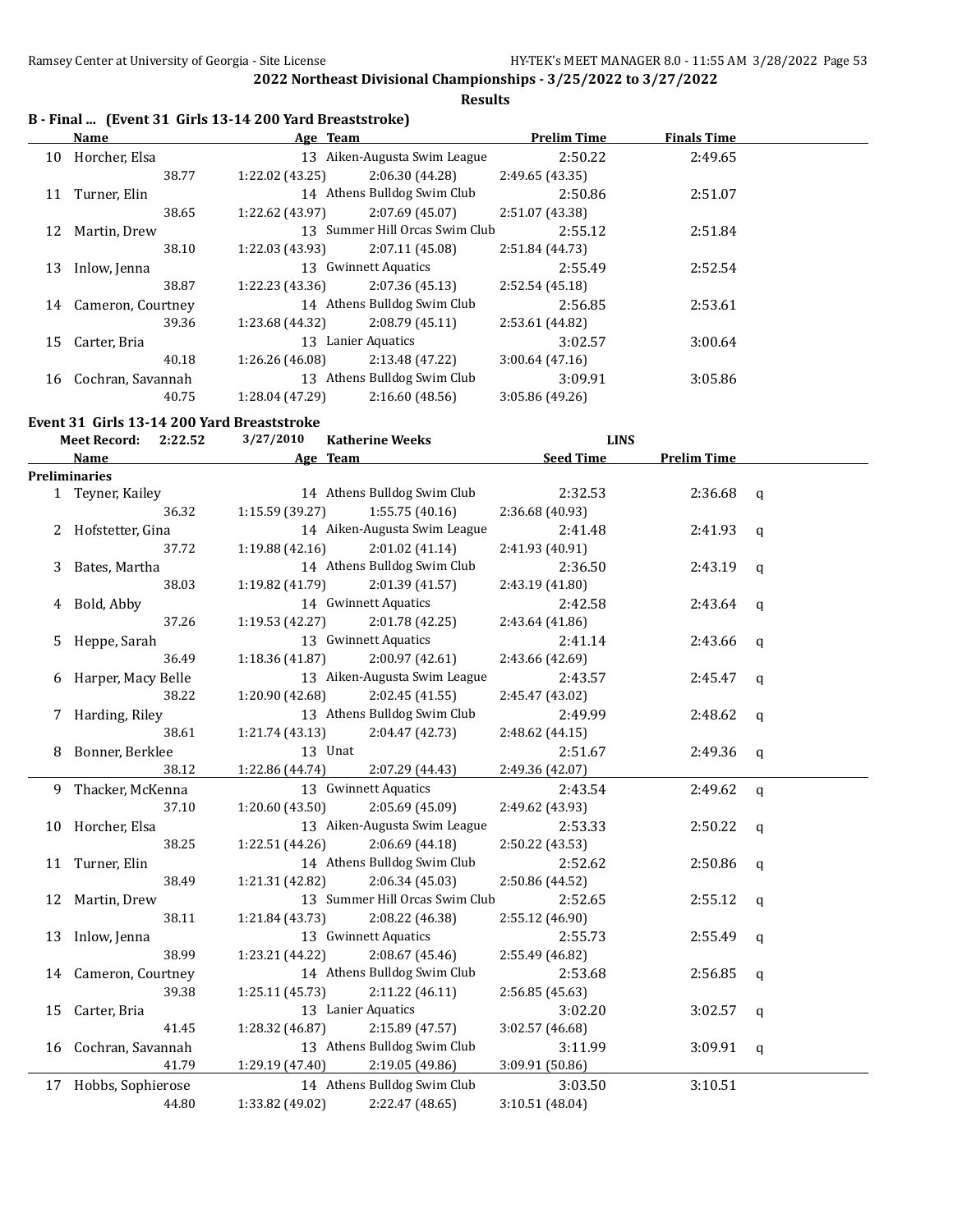**Results**

## **B - Final ... (Event 31 Girls 13-14 200 Yard Breaststroke)**

|    | Name                 | Age Team           |                                | <b>Prelim Time</b> | <b>Finals Time</b> |  |
|----|----------------------|--------------------|--------------------------------|--------------------|--------------------|--|
|    | 10 Horcher, Elsa     |                    | 13 Aiken-Augusta Swim League   | 2:50.22            | 2:49.65            |  |
|    | 38.77                | 1:22.02 (43.25)    | 2:06.30(44.28)                 | 2:49.65 (43.35)    |                    |  |
| 11 | Turner, Elin         |                    | 14 Athens Bulldog Swim Club    | 2:50.86            | 2:51.07            |  |
|    | 38.65                | 1:22.62 (43.97)    | 2:07.69(45.07)                 | 2:51.07 (43.38)    |                    |  |
|    | 12 Martin, Drew      |                    | 13 Summer Hill Orcas Swim Club | 2:55.12            | 2:51.84            |  |
|    | 38.10                | 1:22.03 (43.93)    | 2:07.11 (45.08)                | 2:51.84 (44.73)    |                    |  |
| 13 | Inlow, Jenna         |                    | 13 Gwinnett Aquatics           | 2:55.49            | 2:52.54            |  |
|    | 38.87                | 1:22.23 (43.36)    | 2:07.36(45.13)                 | 2:52.54(45.18)     |                    |  |
|    | 14 Cameron, Courtney |                    | 14 Athens Bulldog Swim Club    | 2:56.85            | 2:53.61            |  |
|    | 39.36                | 1:23.68 (44.32)    | 2:08.79(45.11)                 | 2:53.61 (44.82)    |                    |  |
|    | 15 Carter, Bria      | 13 Lanier Aquatics |                                | 3:02.57            | 3:00.64            |  |
|    | 40.18                | 1:26.26 (46.08)    | 2:13.48 (47.22)                | 3:00.64(47.16)     |                    |  |
|    | 16 Cochran, Savannah |                    | 13 Athens Bulldog Swim Club    | 3:09.91            | 3:05.86            |  |
|    | 40.75                | 1:28.04 (47.29)    | 2:16.60(48.56)                 | 3:05.86 (49.26)    |                    |  |

#### **Event 31 Girls 13-14 200 Yard Breaststroke**

|    | <b>Meet Record:</b><br>2:22.52 | 3/27/2010<br><b>Katherine Weeks</b> | <b>LINS</b>      |                    |              |
|----|--------------------------------|-------------------------------------|------------------|--------------------|--------------|
|    | Name                           | Age Team                            | <b>Seed Time</b> | <b>Prelim Time</b> |              |
|    | <b>Preliminaries</b>           |                                     |                  |                    |              |
|    | 1 Teyner, Kailey               | 14 Athens Bulldog Swim Club         | 2:32.53          | 2:36.68            | $\mathbf{q}$ |
|    | 36.32                          | 1:15.59(39.27)<br>1:55.75(40.16)    | 2:36.68 (40.93)  |                    |              |
|    | 2 Hofstetter, Gina             | 14 Aiken-Augusta Swim League        | 2:41.48          | 2:41.93            | q            |
|    | 37.72                          | 1:19.88(42.16)<br>2:01.02 (41.14)   | 2:41.93 (40.91)  |                    |              |
| 3  | Bates, Martha                  | 14 Athens Bulldog Swim Club         | 2:36.50          | 2:43.19            | $\mathsf{q}$ |
|    | 38.03                          | 1:19.82 (41.79)<br>2:01.39 (41.57)  | 2:43.19 (41.80)  |                    |              |
| 4  | Bold, Abby                     | 14 Gwinnett Aquatics                | 2:42.58          | 2:43.64            | $\mathsf{q}$ |
|    | 37.26                          | 1:19.53 (42.27)<br>2:01.78 (42.25)  | 2:43.64 (41.86)  |                    |              |
| 5. | Heppe, Sarah                   | 13 Gwinnett Aquatics                | 2:41.14          | 2:43.66            | q            |
|    | 36.49                          | 1:18.36 (41.87)<br>2:00.97 (42.61)  | 2:43.66 (42.69)  |                    |              |
| 6  | Harper, Macy Belle             | 13 Aiken-Augusta Swim League        | 2:43.57          | 2:45.47            | q            |
|    | 38.22                          | 2:02.45 (41.55)<br>1:20.90 (42.68)  | 2:45.47 (43.02)  |                    |              |
|    | Harding, Riley                 | 13 Athens Bulldog Swim Club         | 2:49.99          | 2:48.62            | $\mathbf q$  |
|    | 38.61                          | 1:21.74(43.13)<br>2:04.47 (42.73)   | 2:48.62 (44.15)  |                    |              |
| 8  | Bonner, Berklee                | 13 Unat                             | 2:51.67          | 2:49.36            | q            |
|    | 38.12                          | 1:22.86 (44.74)<br>2:07.29 (44.43)  | 2:49.36 (42.07)  |                    |              |
| 9. | Thacker, McKenna               | 13 Gwinnett Aquatics                | 2:43.54          | 2:49.62            | $\mathbf q$  |
|    | 37.10                          | 2:05.69 (45.09)<br>1:20.60 (43.50)  | 2:49.62 (43.93)  |                    |              |
|    | 10 Horcher, Elsa               | 13 Aiken-Augusta Swim League        | 2:53.33          | 2:50.22            | q            |
|    | 38.25                          | 1:22.51 (44.26)<br>2:06.69 (44.18)  | 2:50.22 (43.53)  |                    |              |
|    | 11 Turner, Elin                | 14 Athens Bulldog Swim Club         | 2:52.62          | 2:50.86            | q            |
|    | 38.49                          | 2:06.34 (45.03)<br>1:21.31 (42.82)  | 2:50.86 (44.52)  |                    |              |
| 12 | Martin, Drew                   | 13 Summer Hill Orcas Swim Club      | 2:52.65          | 2:55.12            | $\mathbf q$  |
|    | 38.11                          | 1:21.84 (43.73)<br>2:08.22 (46.38)  | 2:55.12 (46.90)  |                    |              |
|    | 13 Inlow, Jenna                | 13 Gwinnett Aquatics                | 2:55.73          | 2:55.49            | $\mathbf q$  |
|    | 38.99                          | 1:23.21 (44.22)<br>2:08.67 (45.46)  | 2:55.49 (46.82)  |                    |              |
|    | 14 Cameron, Courtney           | 14 Athens Bulldog Swim Club         | 2:53.68          | 2:56.85            | $\mathbf q$  |
|    | 39.38                          | 1:25.11(45.73)<br>2:11.22 (46.11)   | 2:56.85 (45.63)  |                    |              |
| 15 | Carter, Bria                   | 13 Lanier Aquatics                  | 3:02.20          | 3:02.57            | $\mathbf q$  |
|    | 41.45                          | 1:28.32 (46.87)<br>2:15.89 (47.57)  | 3:02.57 (46.68)  |                    |              |
| 16 | Cochran, Savannah              | 13 Athens Bulldog Swim Club         | 3:11.99          | 3:09.91            | q            |
|    | 41.79                          | 1:29.19 (47.40)<br>2:19.05 (49.86)  | 3:09.91 (50.86)  |                    |              |
|    | 17 Hobbs, Sophierose           | 14 Athens Bulldog Swim Club         | 3:03.50          | 3:10.51            |              |
|    | 44.80                          | 1:33.82 (49.02)<br>2:22.47 (48.65)  | 3:10.51 (48.04)  |                    |              |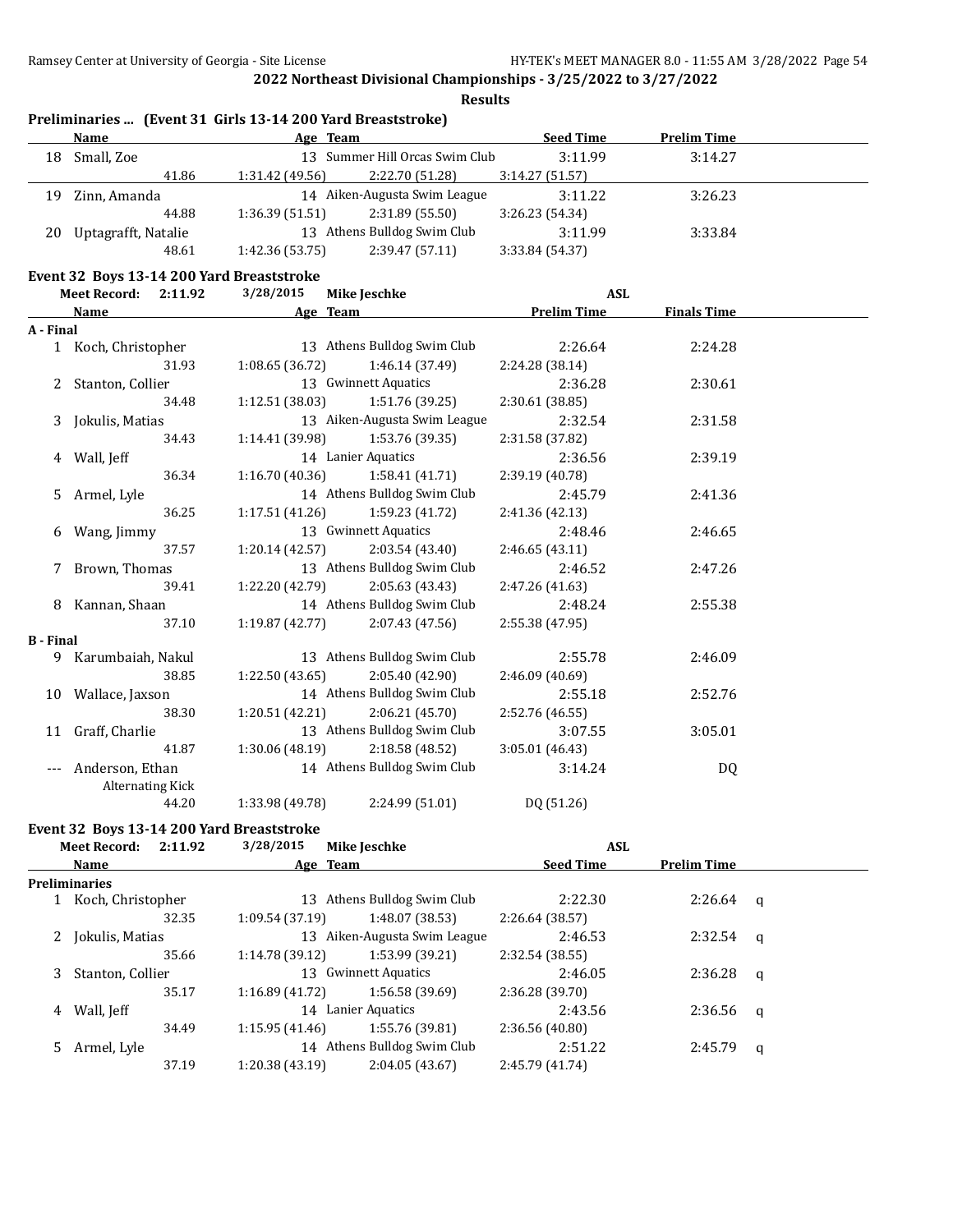|                  | <b>Name</b>                               | Age Team        |                                | <b>Seed Time</b>   | <b>Prelim Time</b> |  |
|------------------|-------------------------------------------|-----------------|--------------------------------|--------------------|--------------------|--|
| 18               | Small, Zoe                                |                 | 13 Summer Hill Orcas Swim Club | 3:11.99            | 3:14.27            |  |
|                  | 41.86                                     | 1:31.42 (49.56) | 2:22.70 (51.28)                | 3:14.27(51.57)     |                    |  |
| 19               | Zinn, Amanda                              |                 | 14 Aiken-Augusta Swim League   | 3:11.22            | 3:26.23            |  |
|                  | 44.88                                     | 1:36.39(51.51)  | 2:31.89 (55.50)                | 3:26.23 (54.34)    |                    |  |
| 20               | Uptagrafft, Natalie                       |                 | 13 Athens Bulldog Swim Club    | 3:11.99            | 3:33.84            |  |
|                  | 48.61                                     | 1:42.36 (53.75) | 2:39.47 (57.11)                | 3:33.84 (54.37)    |                    |  |
|                  | Event 32 Boys 13-14 200 Yard Breaststroke |                 |                                |                    |                    |  |
|                  | <b>Meet Record:</b><br>2:11.92            | 3/28/2015       | <b>Mike Jeschke</b>            | <b>ASL</b>         |                    |  |
|                  | <b>Name</b>                               | Age Team        |                                | <b>Prelim Time</b> | <b>Finals Time</b> |  |
| A - Final        |                                           |                 |                                |                    |                    |  |
|                  | 1 Koch, Christopher                       |                 | 13 Athens Bulldog Swim Club    | 2:26.64            | 2:24.28            |  |
|                  | 31.93                                     | 1:08.65(36.72)  | 1:46.14 (37.49)                | 2:24.28 (38.14)    |                    |  |
| 2                | Stanton, Collier                          |                 | 13 Gwinnett Aquatics           | 2:36.28            | 2:30.61            |  |
|                  | 34.48                                     | 1:12.51 (38.03) | 1:51.76 (39.25)                | 2:30.61 (38.85)    |                    |  |
| 3                | Jokulis, Matias                           |                 | 13 Aiken-Augusta Swim League   | 2:32.54            | 2:31.58            |  |
|                  | 34.43                                     | 1:14.41 (39.98) | 1:53.76 (39.35)                | 2:31.58 (37.82)    |                    |  |
| 4                | Wall, Jeff                                |                 | 14 Lanier Aquatics             | 2:36.56            | 2:39.19            |  |
|                  | 36.34                                     | 1:16.70(40.36)  | 1:58.41 (41.71)                | 2:39.19 (40.78)    |                    |  |
| 5.               | Armel, Lyle                               |                 | 14 Athens Bulldog Swim Club    | 2:45.79            | 2:41.36            |  |
|                  | 36.25                                     | 1:17.51 (41.26) | 1:59.23 (41.72)                | 2:41.36 (42.13)    |                    |  |
| 6                | Wang, Jimmy                               |                 | 13 Gwinnett Aquatics           | 2:48.46            | 2:46.65            |  |
|                  | 37.57                                     | 1:20.14 (42.57) | 2:03.54 (43.40)                | 2:46.65 (43.11)    |                    |  |
| 7                | Brown, Thomas                             |                 | 13 Athens Bulldog Swim Club    | 2:46.52            | 2:47.26            |  |
|                  | 39.41                                     | 1:22.20 (42.79) | 2:05.63 (43.43)                | 2:47.26 (41.63)    |                    |  |
| 8                | Kannan, Shaan                             |                 | 14 Athens Bulldog Swim Club    | 2:48.24            | 2:55.38            |  |
|                  | 37.10                                     | 1:19.87(42.77)  | 2:07.43 (47.56)                | 2:55.38 (47.95)    |                    |  |
| <b>B</b> - Final |                                           |                 |                                |                    |                    |  |
| 9.               | Karumbaiah, Nakul                         |                 | 13 Athens Bulldog Swim Club    | 2:55.78            | 2:46.09            |  |
|                  | 38.85                                     | 1:22.50 (43.65) | 2:05.40 (42.90)                | 2:46.09 (40.69)    |                    |  |
| 10               | Wallace, Jaxson                           |                 | 14 Athens Bulldog Swim Club    | 2:55.18            | 2:52.76            |  |
|                  | 38.30                                     | 1:20.51(42.21)  | 2:06.21 (45.70)                | 2:52.76 (46.55)    |                    |  |
| 11               | Graff, Charlie                            |                 | 13 Athens Bulldog Swim Club    | 3:07.55            | 3:05.01            |  |
|                  | 41.87                                     | 1:30.06 (48.19) | 2:18.58 (48.52)                | 3:05.01 (46.43)    |                    |  |
| $---$            | Anderson, Ethan                           |                 | 14 Athens Bulldog Swim Club    | 3:14.24            | DQ                 |  |
|                  | <b>Alternating Kick</b>                   |                 |                                |                    |                    |  |
|                  | 44.20                                     | 1:33.98 (49.78) | 2:24.99 (51.01)                | DQ (51.26)         |                    |  |
|                  | Event 32 Boys 13-14 200 Yard Breaststroke |                 |                                |                    |                    |  |
|                  | <b>Meet Record:</b><br>2:11.92            | 3/28/2015       | <b>Mike Jeschke</b>            | <b>ASL</b>         |                    |  |
|                  | Name                                      | Age Team        |                                | <b>Seed Time</b>   | <b>Prelim Time</b> |  |

|    |                      | $1.60 - 100.00$ |                              |                 | .           |   |
|----|----------------------|-----------------|------------------------------|-----------------|-------------|---|
|    | <b>Preliminaries</b> |                 |                              |                 |             |   |
|    | Koch, Christopher    |                 | 13 Athens Bulldog Swim Club  | 2:22.30         | $2:26.64$ q |   |
|    | 32.35                | 1:09.54(37.19)  | 1:48.07 (38.53)              | 2:26.64 (38.57) |             |   |
| 2  | Jokulis, Matias      |                 | 13 Aiken-Augusta Swim League | 2:46.53         | $2:32.54$ q |   |
|    | 35.66                | 1:14.78(39.12)  | 1:53.99 (39.21)              | 2:32.54(38.55)  |             |   |
| 3  | Stanton, Collier     |                 | 13 Gwinnett Aquatics         | 2:46.05         | $2:36.28$ q |   |
|    | 35.17                | 1:16.89(41.72)  | 1:56.58 (39.69)              | 2:36.28 (39.70) |             |   |
| 4  | Wall, Jeff           |                 | 14 Lanier Aquatics           | 2:43.56         | $2:36.56$ q |   |
|    | 34.49                | 1:15.95(41.46)  | 1:55.76 (39.81)              | 2:36.56(40.80)  |             |   |
| 5. | Armel, Lyle          |                 | 14 Athens Bulldog Swim Club  | 2:51.22         | 2:45.79     | q |
|    | 37.19                | 1:20.38(43.19)  | 2:04.05(43.67)               | 2:45.79 (41.74) |             |   |
|    |                      |                 |                              |                 |             |   |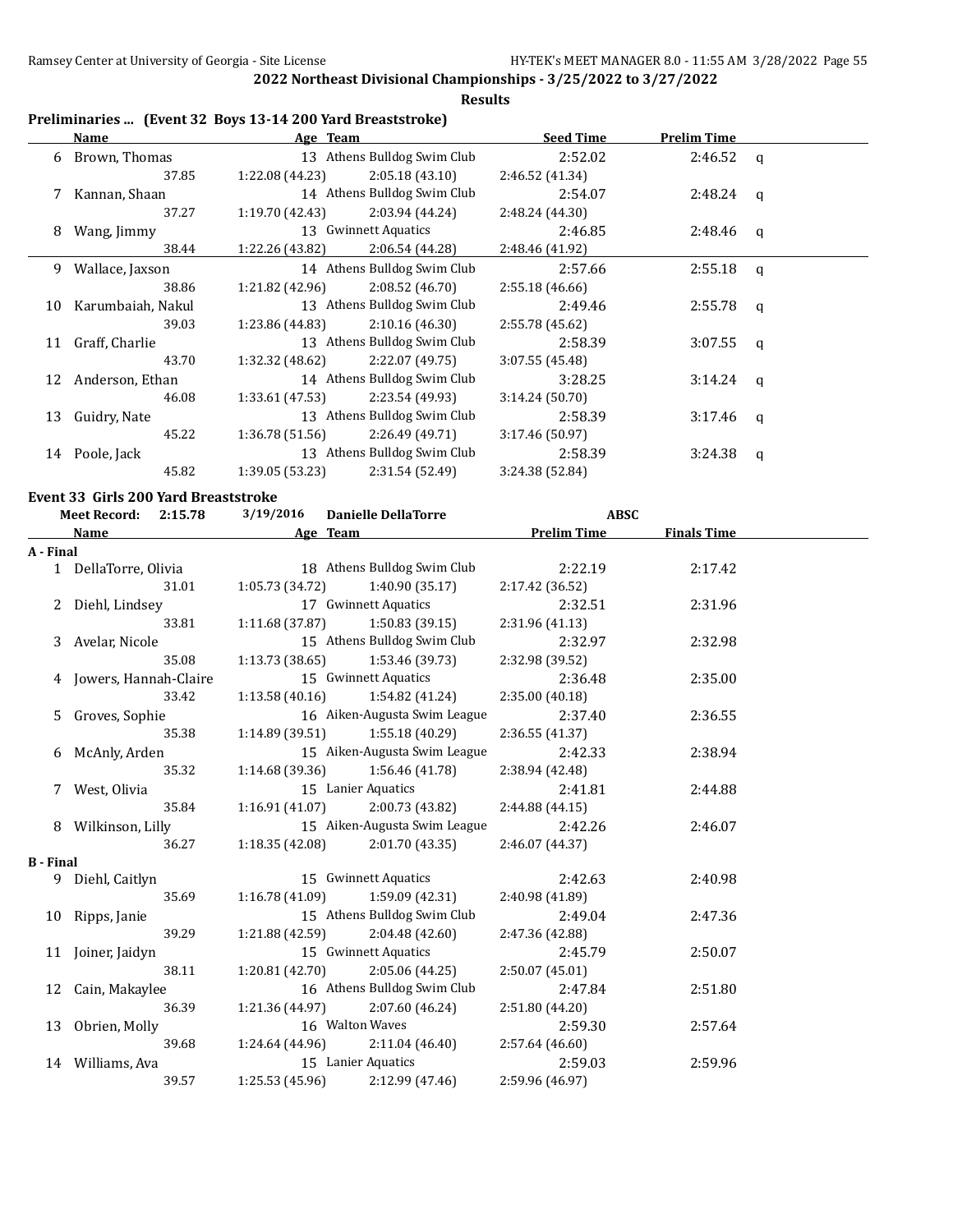**Results**

# **Preliminaries ... (Event 32 Boys 13-14 200 Yard Breaststroke)**

|    | Name               | Age Team        |                             | <b>Seed Time</b> | <b>Prelim Time</b> |              |
|----|--------------------|-----------------|-----------------------------|------------------|--------------------|--------------|
| 6  | Brown, Thomas      |                 | 13 Athens Bulldog Swim Club | 2:52.02          | 2:46.52 q          |              |
|    | 37.85              | 1:22.08 (44.23) | 2:05.18(43.10)              | 2:46.52 (41.34)  |                    |              |
| 7  | Kannan, Shaan      |                 | 14 Athens Bulldog Swim Club | 2:54.07          | 2:48.24            | $\mathbf{q}$ |
|    | 37.27              | 1:19.70(42.43)  | 2:03.94 (44.24)             | 2:48.24 (44.30)  |                    |              |
| 8  | Wang, Jimmy        |                 | 13 Gwinnett Aquatics        | 2:46.85          | 2:48.46            | $\mathbf{q}$ |
|    | 38.44              | 1:22.26 (43.82) | 2:06.54 (44.28)             | 2:48.46 (41.92)  |                    |              |
| 9  | Wallace, Jaxson    |                 | 14 Athens Bulldog Swim Club | 2:57.66          | 2:55.18            | $\mathbf{q}$ |
|    | 38.86              | 1:21.82(42.96)  | 2:08.52(46.70)              | 2:55.18(46.66)   |                    |              |
| 10 | Karumbaiah, Nakul  |                 | 13 Athens Bulldog Swim Club | 2:49.46          | 2:55.78            | $\mathbf{q}$ |
|    | 39.03              | 1:23.86 (44.83) | 2:10.16(46.30)              | 2:55.78 (45.62)  |                    |              |
| 11 | Graff, Charlie     |                 | 13 Athens Bulldog Swim Club | 2:58.39          | 3:07.55            | $\mathbf{q}$ |
|    | 43.70              | 1:32.32 (48.62) | 2:22.07 (49.75)             | 3:07.55(45.48)   |                    |              |
|    | 12 Anderson, Ethan |                 | 14 Athens Bulldog Swim Club | 3:28.25          | 3:14.24            | $\mathbf{q}$ |
|    | 46.08              | 1:33.61(47.53)  | 2:23.54 (49.93)             | 3:14.24(50.70)   |                    |              |
| 13 | Guidry, Nate       |                 | 13 Athens Bulldog Swim Club | 2:58.39          | 3:17.46            | q            |
|    | 45.22              | 1:36.78(51.56)  | 2:26.49 (49.71)             | 3:17.46(50.97)   |                    |              |
|    | 14 Poole, Jack     |                 | 13 Athens Bulldog Swim Club | 2:58.39          | 3:24.38            | q            |
|    | 45.82              | 1:39.05(53.23)  | 2:31.54 (52.49)             | 3:24.38 (52.84)  |                    |              |

#### **Event 33 Girls 200 Yard Breaststroke**

|                  | Meet Record: 2:15.78    | 3/19/2016                 | <b>Danielle DellaTorre</b>          | <b>ABSC</b>        |                    |  |
|------------------|-------------------------|---------------------------|-------------------------------------|--------------------|--------------------|--|
|                  | <b>Name</b>             | <b>Example 2</b> Age Team |                                     | <b>Prelim Time</b> | <b>Finals Time</b> |  |
| A - Final        |                         |                           |                                     |                    |                    |  |
|                  | 1 DellaTorre, Olivia    |                           | 18 Athens Bulldog Swim Club         | 2:22.19            | 2:17.42            |  |
|                  | 31.01                   |                           | $1:05.73(34.72)$ $1:40.90(35.17)$   | 2:17.42(36.52)     |                    |  |
|                  | 2 Diehl, Lindsey        |                           | 17 Gwinnett Aquatics                | 2:32.51            | 2:31.96            |  |
|                  | 33.81                   |                           | $1:11.68(37.87)$ $1:50.83(39.15)$   | 2:31.96 (41.13)    |                    |  |
|                  | 3 Avelar, Nicole        |                           | 15 Athens Bulldog Swim Club         | 2:32.97            | 2:32.98            |  |
|                  | 35.08                   | 1:13.73(38.65)            | 1:53.46 (39.73)                     | 2:32.98 (39.52)    |                    |  |
|                  | 4 Jowers, Hannah-Claire |                           | 15 Gwinnett Aquatics                | 2:36.48            | 2:35.00            |  |
|                  | 33.42                   |                           | $1:13.58(40.16)$ $1:54.82(41.24)$   | 2:35.00(40.18)     |                    |  |
|                  | 5 Groves, Sophie        |                           | 16 Aiken-Augusta Swim League        | 2:37.40            | 2:36.55            |  |
|                  | 35.38                   |                           | $1:14.89$ (39.51) $1:55.18$ (40.29) | 2:36.55 (41.37)    |                    |  |
|                  | 6 McAnly, Arden         |                           | 15 Aiken-Augusta Swim League        | 2:42.33            | 2:38.94            |  |
|                  | 35.32                   |                           | $1:14.68(39.36)$ $1:56.46(41.78)$   | 2:38.94 (42.48)    |                    |  |
|                  | 7 West, Olivia          |                           | 15 Lanier Aquatics                  | 2:41.81            | 2:44.88            |  |
|                  | 35.84                   |                           | $1:16.91(41.07)$ $2:00.73(43.82)$   | 2:44.88 (44.15)    |                    |  |
|                  | 8 Wilkinson, Lilly      |                           | 15 Aiken-Augusta Swim League        | 2:42.26            | 2:46.07            |  |
|                  | 36.27                   |                           | $1:18.35(42.08)$ $2:01.70(43.35)$   | 2:46.07 (44.37)    |                    |  |
| <b>B</b> - Final |                         |                           |                                     |                    |                    |  |
|                  | 9 Diehl, Caitlyn        |                           | 15 Gwinnett Aquatics                | 2:42.63            | 2:40.98            |  |
|                  | 35.69                   |                           | $1:16.78(41.09)$ $1:59.09(42.31)$   | 2:40.98 (41.89)    |                    |  |
|                  | 10 Ripps, Janie         |                           | 15 Athens Bulldog Swim Club         | 2:49.04            | 2:47.36            |  |
|                  | 39.29                   | 1:21.88 (42.59)           | 2:04.48 (42.60)                     | 2:47.36 (42.88)    |                    |  |
|                  | 11 Joiner, Jaidyn       |                           | 15 Gwinnett Aquatics                | 2:45.79            | 2:50.07            |  |
|                  | 38.11                   | 1:20.81(42.70)            | 2:05.06 (44.25)                     | 2:50.07(45.01)     |                    |  |
|                  | 12 Cain, Makaylee       |                           | 16 Athens Bulldog Swim Club         | 2:47.84            | 2:51.80            |  |
|                  | 36.39                   |                           | $1:21.36(44.97)$ $2:07.60(46.24)$   | 2:51.80 (44.20)    |                    |  |
|                  | 13 Obrien, Molly        |                           | 16 Walton Waves                     | 2:59.30            | 2:57.64            |  |
|                  | 39.68                   |                           | $1:24.64(44.96)$ $2:11.04(46.40)$   | 2:57.64(46.60)     |                    |  |
|                  | 14 Williams, Ava        |                           | 15 Lanier Aquatics                  | 2:59.03            | 2:59.96            |  |
|                  | 39.57                   |                           | $1:25.53(45.96)$ $2:12.99(47.46)$   | 2:59.96 (46.97)    |                    |  |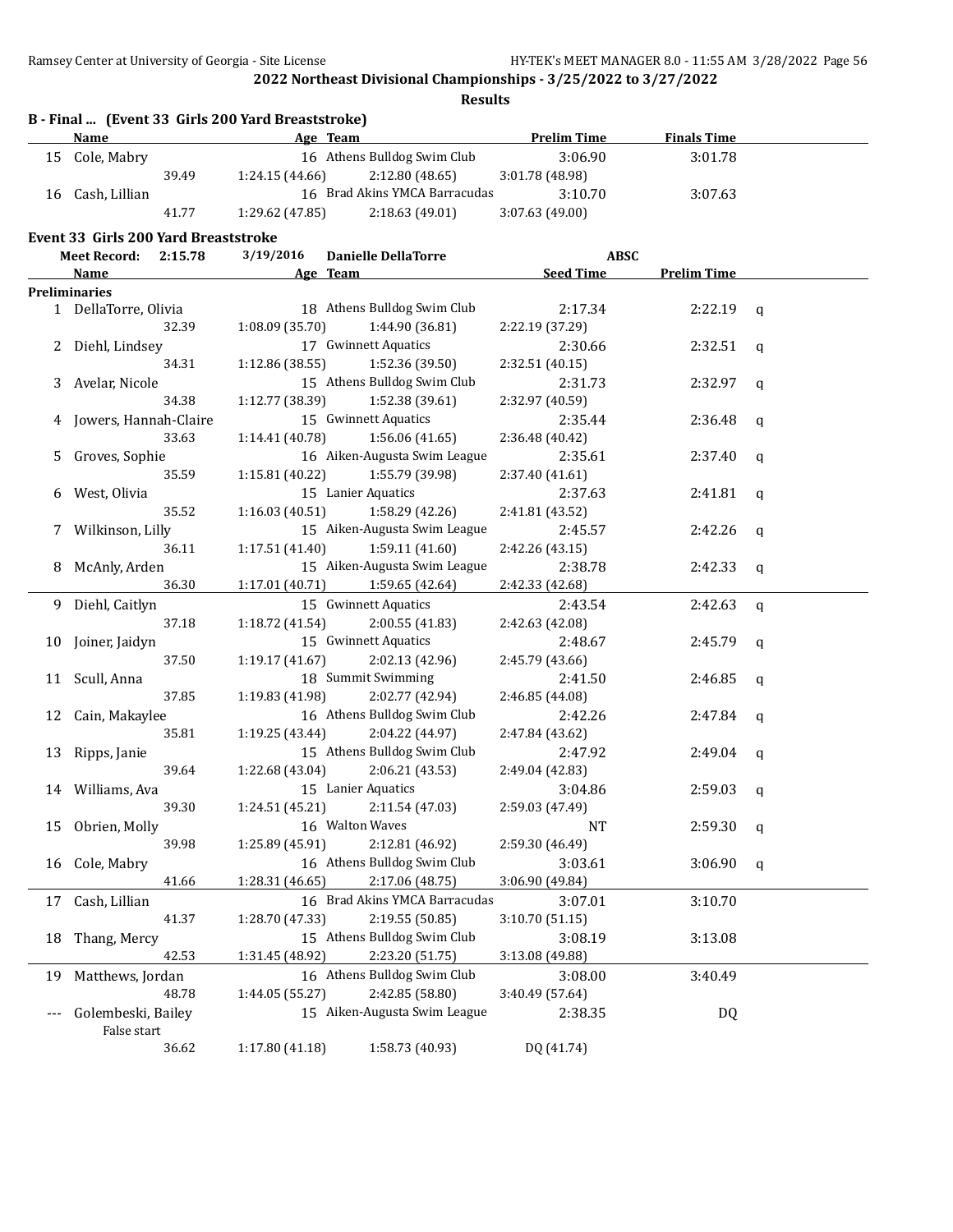|     |                                             |         | B - Final  (Event 33 Girls 200 Yard Breaststroke) |                                   |                    |                    |             |
|-----|---------------------------------------------|---------|---------------------------------------------------|-----------------------------------|--------------------|--------------------|-------------|
|     | <b>Name</b>                                 |         |                                                   | Age Team                          | <b>Prelim Time</b> | <b>Finals Time</b> |             |
|     | 15 Cole, Mabry                              |         |                                                   | 16 Athens Bulldog Swim Club       | 3:06.90            | 3:01.78            |             |
|     |                                             | 39.49   | 1:24.15(44.66)                                    | 2:12.80 (48.65)                   | 3:01.78 (48.98)    |                    |             |
|     | 16 Cash, Lillian                            |         |                                                   | 16 Brad Akins YMCA Barracudas     | 3:10.70            | 3:07.63            |             |
|     |                                             | 41.77   | 1:29.62 (47.85)                                   | 2:18.63(49.01)                    | 3:07.63 (49.00)    |                    |             |
|     | <b>Event 33 Girls 200 Yard Breaststroke</b> |         |                                                   |                                   |                    |                    |             |
|     | <b>Meet Record:</b>                         | 2:15.78 | 3/19/2016                                         | <b>Danielle DellaTorre</b>        | <b>ABSC</b>        |                    |             |
|     | Name                                        |         |                                                   | Age Team                          | <b>Seed Time</b>   | <b>Prelim Time</b> |             |
|     | Preliminaries                               |         |                                                   |                                   |                    |                    |             |
|     | 1 DellaTorre, Olivia                        |         |                                                   | 18 Athens Bulldog Swim Club       | 2:17.34            | 2:22.19            | q           |
|     |                                             | 32.39   | 1:08.09 (35.70)                                   | 1:44.90 (36.81)                   | 2:22.19 (37.29)    |                    |             |
|     | Diehl, Lindsey                              |         |                                                   | 17 Gwinnett Aquatics              | 2:30.66            | 2:32.51            | q           |
|     |                                             | 34.31   | 1:12.86 (38.55)                                   | 1:52.36 (39.50)                   | 2:32.51 (40.15)    |                    |             |
| 3   | Avelar, Nicole                              |         |                                                   | 15 Athens Bulldog Swim Club       | 2:31.73            | 2:32.97            | q           |
|     |                                             | 34.38   | 1:12.77 (38.39)                                   | 1:52.38 (39.61)                   | 2:32.97 (40.59)    |                    |             |
|     | Jowers, Hannah-Claire                       |         |                                                   | 15 Gwinnett Aquatics              | 2:35.44            | 2:36.48            | q           |
|     |                                             | 33.63   | 1:14.41 (40.78)                                   | 1:56.06 (41.65)                   | 2:36.48 (40.42)    |                    |             |
| 5.  | Groves, Sophie                              |         |                                                   | 16 Aiken-Augusta Swim League      | 2:35.61            | 2:37.40            | q           |
|     |                                             | 35.59   | 1:15.81 (40.22)                                   | 1:55.79 (39.98)                   | 2:37.40 (41.61)    |                    |             |
| 6   | West, Olivia                                |         |                                                   | 15 Lanier Aquatics                | 2:37.63            | 2:41.81            | q           |
|     |                                             | 35.52   | 1:16.03(40.51)                                    | 1:58.29 (42.26)                   | 2:41.81 (43.52)    |                    |             |
| 7.  | Wilkinson, Lilly                            |         |                                                   | 15 Aiken-Augusta Swim League      | 2:45.57            | 2:42.26            | q           |
|     |                                             | 36.11   | 1:17.51(41.40)                                    | 1:59.11(41.60)                    | 2:42.26 (43.15)    |                    |             |
| 8   | McAnly, Arden                               |         |                                                   | 15 Aiken-Augusta Swim League      | 2:38.78            | 2:42.33            | q           |
|     |                                             | 36.30   | 1:17.01(40.71)                                    | 1:59.65 (42.64)                   | 2:42.33 (42.68)    |                    |             |
|     | 9 Diehl, Caitlyn                            |         |                                                   | 15 Gwinnett Aquatics              | 2:43.54            | 2:42.63            | $\mathbf q$ |
|     |                                             | 37.18   | 1:18.72 (41.54)                                   | 2:00.55 (41.83)                   | 2:42.63 (42.08)    |                    |             |
|     | 10 Joiner, Jaidyn                           |         |                                                   | 15 Gwinnett Aquatics              | 2:48.67            | 2:45.79            | q           |
|     |                                             | 37.50   | 1:19.17 (41.67)                                   | 2:02.13 (42.96)                   | 2:45.79 (43.66)    |                    |             |
| 11  | Scull, Anna                                 |         |                                                   | 18 Summit Swimming                | 2:41.50            | 2:46.85            | q           |
|     |                                             | 37.85   | 1:19.83 (41.98)                                   | 2:02.77 (42.94)                   | 2:46.85 (44.08)    |                    |             |
|     |                                             |         |                                                   | 16 Athens Bulldog Swim Club       | 2:42.26            |                    |             |
| 12  | Cain, Makaylee                              | 35.81   |                                                   | 2:04.22 (44.97)                   | 2:47.84 (43.62)    | 2:47.84            | q           |
|     |                                             |         | 1:19.25 (43.44)                                   | 15 Athens Bulldog Swim Club       |                    |                    |             |
| 13  | Ripps, Janie                                | 39.64   | 1:22.68 (43.04)                                   | 2:06.21 (43.53)                   | 2:47.92            | 2:49.04            | q           |
|     |                                             |         |                                                   | 15 Lanier Aquatics                | 2:49.04 (42.83)    |                    |             |
|     | 14 Williams, Ava                            | 39.30   |                                                   | $1:24.51(45.21)$ $2:11.54(47.03)$ | 3:04.86            | 2:59.03            | q           |
|     |                                             |         |                                                   |                                   | 2:59.03 (47.49)    |                    |             |
| 15  | Obrien, Molly                               |         |                                                   | 16 Walton Waves                   | <b>NT</b>          | 2:59.30            | q           |
|     |                                             | 39.98   | 1:25.89 (45.91)                                   | 2:12.81 (46.92)                   | 2:59.30 (46.49)    |                    |             |
| 16  | Cole, Mabry                                 |         |                                                   | 16 Athens Bulldog Swim Club       | 3:03.61            | 3:06.90            | q           |
|     |                                             | 41.66   | 1:28.31 (46.65)                                   | 2:17.06 (48.75)                   | 3:06.90 (49.84)    |                    |             |
| 17  | Cash, Lillian                               |         |                                                   | 16 Brad Akins YMCA Barracudas     | 3:07.01            | 3:10.70            |             |
|     |                                             | 41.37   | 1:28.70 (47.33)                                   | 2:19.55 (50.85)                   | 3:10.70 (51.15)    |                    |             |
| 18  | Thang, Mercy                                |         |                                                   | 15 Athens Bulldog Swim Club       | 3:08.19            | 3:13.08            |             |
|     |                                             | 42.53   | 1:31.45 (48.92)                                   | 2:23.20 (51.75)                   | 3:13.08 (49.88)    |                    |             |
| 19  | Matthews, Jordan                            |         |                                                   | 16 Athens Bulldog Swim Club       | 3:08.00            | 3:40.49            |             |
|     |                                             | 48.78   | 1:44.05 (55.27)                                   | 2:42.85 (58.80)                   | 3:40.49 (57.64)    |                    |             |
| --- | Golembeski, Bailey                          |         |                                                   | 15 Aiken-Augusta Swim League      | 2:38.35            | DQ                 |             |
|     | False start                                 |         |                                                   |                                   |                    |                    |             |
|     |                                             | 36.62   | 1:17.80 (41.18)                                   | 1:58.73 (40.93)                   | DQ (41.74)         |                    |             |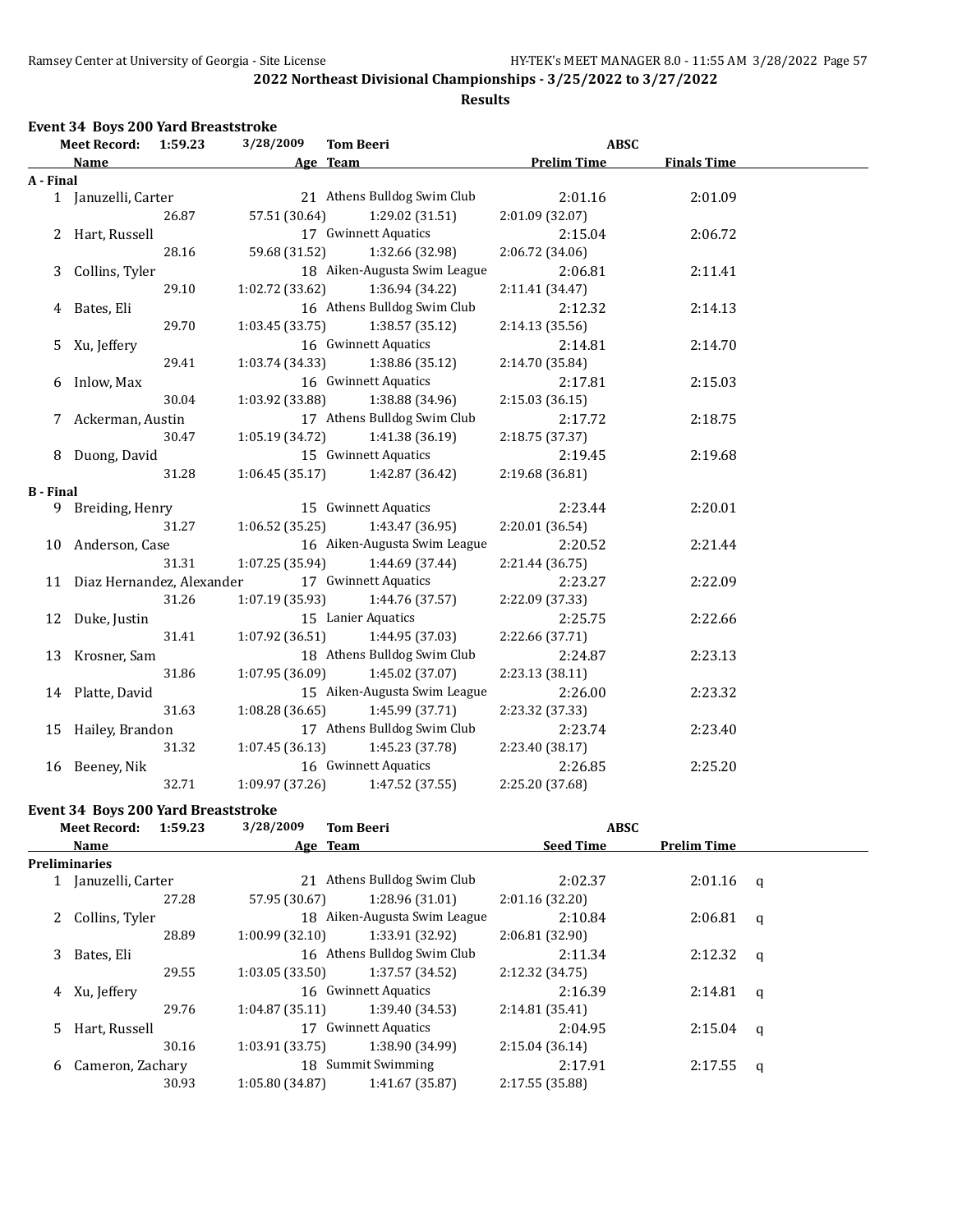#### **Results**

#### **Event 34 Boys 200 Yard Breaststroke**

|                  | <b>Meet Record:</b>          | 1:59.23 | 3/28/2009       | <b>Tom Beeri</b>                  | <b>ABSC</b>        |                    |  |
|------------------|------------------------------|---------|-----------------|-----------------------------------|--------------------|--------------------|--|
|                  | Name                         |         |                 | Age Team                          | <b>Prelim Time</b> | <b>Finals Time</b> |  |
| A - Final        |                              |         |                 |                                   |                    |                    |  |
|                  | 1 Januzelli, Carter          |         |                 | 21 Athens Bulldog Swim Club       | 2:01.16            | 2:01.09            |  |
|                  |                              | 26.87   | 57.51 (30.64)   | 1:29.02 (31.51)                   | 2:01.09 (32.07)    |                    |  |
|                  | 2 Hart, Russell              |         |                 | 17 Gwinnett Aquatics              | 2:15.04            | 2:06.72            |  |
|                  |                              | 28.16   | 59.68 (31.52)   | 1:32.66 (32.98)                   | 2:06.72 (34.06)    |                    |  |
| 3                | Collins, Tyler               |         |                 | 18 Aiken-Augusta Swim League      | 2:06.81            | 2:11.41            |  |
|                  |                              | 29.10   | 1:02.72 (33.62) | 1:36.94 (34.22)                   | 2:11.41 (34.47)    |                    |  |
|                  | 4 Bates, Eli                 |         |                 | 16 Athens Bulldog Swim Club       | 2:12.32            | 2:14.13            |  |
|                  |                              | 29.70   | 1:03.45 (33.75) | 1:38.57(35.12)                    | 2:14.13 (35.56)    |                    |  |
| 5                | Xu, Jeffery                  |         |                 | 16 Gwinnett Aquatics              | 2:14.81            | 2:14.70            |  |
|                  |                              | 29.41   | 1:03.74 (34.33) | 1:38.86 (35.12)                   | 2:14.70 (35.84)    |                    |  |
| 6                | Inlow, Max                   |         |                 | 16 Gwinnett Aquatics              | 2:17.81            | 2:15.03            |  |
|                  |                              | 30.04   | 1:03.92 (33.88) | 1:38.88 (34.96)                   | 2:15.03 (36.15)    |                    |  |
|                  | 7 Ackerman, Austin           |         |                 | 17 Athens Bulldog Swim Club       | 2:17.72            | 2:18.75            |  |
|                  |                              | 30.47   | 1:05.19(34.72)  | 1:41.38 (36.19)                   | 2:18.75 (37.37)    |                    |  |
|                  | 8 Duong, David               |         |                 | 15 Gwinnett Aquatics              | 2:19.45            | 2:19.68            |  |
|                  |                              | 31.28   |                 | $1:06.45(35.17)$ $1:42.87(36.42)$ | 2:19.68 (36.81)    |                    |  |
| <b>B</b> - Final |                              |         |                 |                                   |                    |                    |  |
|                  | 9 Breiding, Henry            |         |                 | 15 Gwinnett Aquatics              | 2:23.44            | 2:20.01            |  |
|                  |                              | 31.27   | 1:06.52(35.25)  | 1:43.47 (36.95)                   | 2:20.01 (36.54)    |                    |  |
|                  | 10 Anderson, Case            |         |                 | 16 Aiken-Augusta Swim League      | 2:20.52            | 2:21.44            |  |
|                  |                              | 31.31   | 1:07.25(35.94)  | 1:44.69 (37.44)                   | 2:21.44 (36.75)    |                    |  |
|                  | 11 Diaz Hernandez, Alexander |         |                 | 17 Gwinnett Aquatics              | 2:23.27            | 2:22.09            |  |
|                  |                              | 31.26   | 1:07.19 (35.93) | 1:44.76 (37.57)                   | 2:22.09 (37.33)    |                    |  |
|                  | 12 Duke, Justin              |         |                 | 15 Lanier Aquatics                | 2:25.75            | 2:22.66            |  |
|                  |                              | 31.41   | 1:07.92(36.51)  | 1:44.95 (37.03)                   | 2:22.66 (37.71)    |                    |  |
|                  | 13 Krosner, Sam              |         |                 | 18 Athens Bulldog Swim Club       | 2:24.87            | 2:23.13            |  |
|                  |                              | 31.86   | 1:07.95(36.09)  | 1:45.02 (37.07)                   | 2:23.13 (38.11)    |                    |  |
|                  | 14 Platte, David             |         |                 | 15 Aiken-Augusta Swim League      | 2:26.00            | 2:23.32            |  |
|                  |                              | 31.63   | 1:08.28(36.65)  | 1:45.99 (37.71)                   | 2:23.32 (37.33)    |                    |  |
|                  | 15 Hailey, Brandon           |         |                 | 17 Athens Bulldog Swim Club       | 2:23.74            | 2:23.40            |  |
|                  |                              | 31.32   | 1:07.45(36.13)  | 1:45.23 (37.78)                   | 2:23.40 (38.17)    |                    |  |
|                  | 16 Beeney, Nik               |         |                 | 16 Gwinnett Aquatics              | 2:26.85            | 2:25.20            |  |
|                  |                              | 32.71   | 1:09.97 (37.26) | 1:47.52 (37.55)                   | 2:25.20 (37.68)    |                    |  |
|                  |                              |         |                 |                                   |                    |                    |  |

### **Event 34 Boys 200 Yard Breaststroke**

|   | Meet Record:         | 1:59.23 | 3/28/2009      | <b>Tom Beeri</b>             | <b>ABSC</b>      |                    |              |
|---|----------------------|---------|----------------|------------------------------|------------------|--------------------|--------------|
|   | Name                 |         |                | Age Team                     | <b>Seed Time</b> | <b>Prelim Time</b> |              |
|   | <b>Preliminaries</b> |         |                |                              |                  |                    |              |
|   | Januzelli, Carter    |         |                | 21 Athens Bulldog Swim Club  | 2:02.37          | 2:01.16            | q            |
|   |                      | 27.28   | 57.95 (30.67)  | 1:28.96(31.01)               | 2:01.16(32.20)   |                    |              |
|   | 2 Collins, Tyler     |         |                | 18 Aiken-Augusta Swim League | 2:10.84          | 2:06.81            | q            |
|   |                      | 28.89   | 1:00.99(32.10) | 1:33.91 (32.92)              | 2:06.81(32.90)   |                    |              |
| 3 | Bates, Eli           |         |                | 16 Athens Bulldog Swim Club  | 2:11.34          | 2:12.32            | $\mathbf{q}$ |
|   |                      | 29.55   | 1:03.05(33.50) | 1:37.57 (34.52)              | 2:12.32 (34.75)  |                    |              |
|   | 4 Xu, Jeffery        |         |                | 16 Gwinnett Aquatics         | 2:16.39          | 2:14.81            | $\mathbf{q}$ |
|   |                      | 29.76   | 1:04.87(35.11) | 1:39.40 (34.53)              | 2:14.81(35.41)   |                    |              |
|   | 5 Hart, Russell      |         |                | 17 Gwinnett Aquatics         | 2:04.95          | 2:15.04            | $\mathbf{q}$ |
|   |                      | 30.16   | 1:03.91(33.75) | 1:38.90 (34.99)              | 2:15.04(36.14)   |                    |              |
| 6 | Cameron, Zachary     |         |                | 18 Summit Swimming           | 2:17.91          | 2:17.55            | q            |
|   |                      | 30.93   | 1:05.80(34.87) | 1:41.67 (35.87)              | 2:17.55 (35.88)  |                    |              |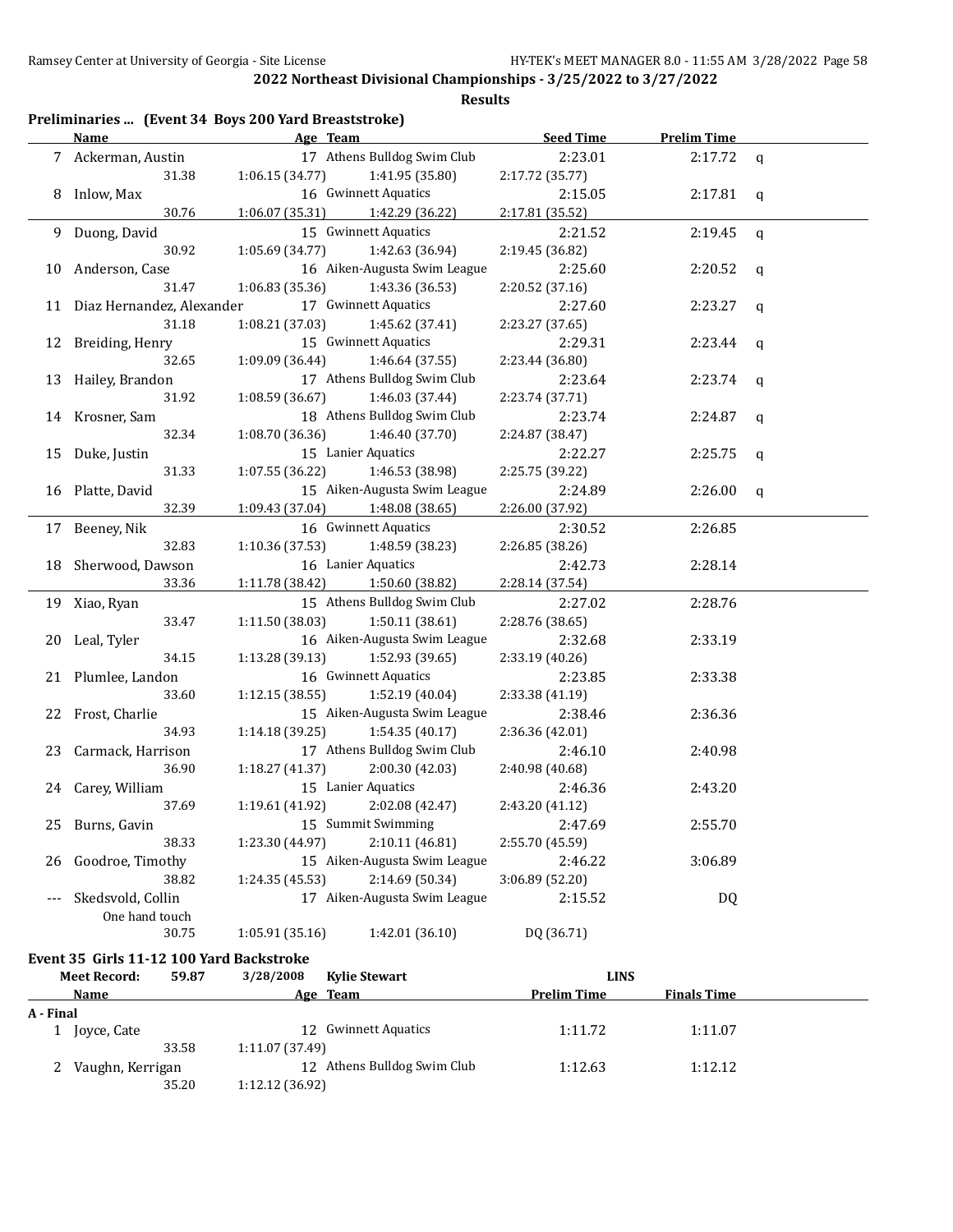**Results**

|       | <b>Name</b>                  | Preliminaries  (Event 34 Boys 200 Yard Breaststroke)<br>Age Team | <b>Seed Time</b> | <b>Prelim Time</b> |             |
|-------|------------------------------|------------------------------------------------------------------|------------------|--------------------|-------------|
|       | 7 Ackerman, Austin           | 17 Athens Bulldog Swim Club                                      | 2:23.01          | 2:17.72            | q           |
|       | 31.38                        | 1:06.15 (34.77)<br>1:41.95 (35.80)                               | 2:17.72 (35.77)  |                    |             |
|       | 8 Inlow, Max                 | 16 Gwinnett Aquatics                                             | 2:15.05          | 2:17.81            | q           |
|       | 30.76                        | 1:06.07 (35.31)<br>1:42.29 (36.22)                               | 2:17.81 (35.52)  |                    |             |
|       | 9 Duong, David               | 15 Gwinnett Aquatics                                             | 2:21.52          | 2:19.45            | $\mathbf q$ |
|       | 30.92                        | 1:05.69 (34.77)<br>1:42.63 (36.94)                               | 2:19.45 (36.82)  |                    |             |
| 10    | Anderson, Case               | 16 Aiken-Augusta Swim League                                     | 2:25.60          | 2:20.52            | q           |
|       | 31.47                        | 1:06.83 (35.36)<br>1:43.36 (36.53)                               | 2:20.52 (37.16)  |                    |             |
|       | 11 Diaz Hernandez, Alexander | 17 Gwinnett Aquatics                                             | 2:27.60          | 2:23.27            | q           |
|       | 31.18                        | 1:08.21 (37.03)<br>1:45.62 (37.41)                               | 2:23.27 (37.65)  |                    |             |
| 12    | Breiding, Henry              | 15 Gwinnett Aquatics                                             | 2:29.31          | 2:23.44            | q           |
|       | 32.65                        | 1:09.09 (36.44)<br>1:46.64 (37.55)                               | 2:23.44 (36.80)  |                    |             |
| 13    | Hailey, Brandon              | 17 Athens Bulldog Swim Club                                      | 2:23.64          | 2:23.74            |             |
|       | 31.92                        | 1:08.59 (36.67)<br>1:46.03 (37.44)                               | 2:23.74 (37.71)  |                    | q           |
| 14    | Krosner, Sam                 | 18 Athens Bulldog Swim Club                                      | 2:23.74          | 2:24.87            |             |
|       | 32.34                        | 1:08.70 (36.36)<br>1:46.40 (37.70)                               | 2:24.87 (38.47)  |                    | $\mathbf q$ |
|       |                              | 15 Lanier Aquatics                                               | 2:22.27          | 2:25.75            |             |
| 15    | Duke, Justin<br>31.33        | 1:46.53 (38.98)<br>1:07.55 (36.22)                               | 2:25.75 (39.22)  |                    | $\mathbf q$ |
|       |                              | 15 Aiken-Augusta Swim League                                     | 2:24.89          | 2:26.00            |             |
| 16    | Platte, David<br>32.39       | 1:09.43 (37.04)                                                  | 2:26.00 (37.92)  |                    | q           |
|       |                              | 1:48.08 (38.65)<br>16 Gwinnett Aquatics                          |                  |                    |             |
|       | 17 Beeney, Nik               |                                                                  | 2:30.52          | 2:26.85            |             |
|       | 32.83                        | 1:10.36 (37.53)<br>1:48.59 (38.23)                               | 2:26.85 (38.26)  |                    |             |
| 18    | Sherwood, Dawson             | 16 Lanier Aquatics                                               | 2:42.73          | 2:28.14            |             |
|       | 33.36                        | 1:11.78 (38.42)<br>1:50.60 (38.82)                               | 2:28.14 (37.54)  |                    |             |
|       | 19 Xiao, Ryan                | 15 Athens Bulldog Swim Club                                      | 2:27.02          | 2:28.76            |             |
|       | 33.47                        | 1:11.50 (38.03)<br>1:50.11(38.61)                                | 2:28.76 (38.65)  |                    |             |
| 20    | Leal, Tyler                  | 16 Aiken-Augusta Swim League                                     | 2:32.68          | 2:33.19            |             |
|       | 34.15                        | 1:52.93 (39.65)<br>1:13.28 (39.13)                               | 2:33.19 (40.26)  |                    |             |
|       | 21 Plumlee, Landon           | 16 Gwinnett Aquatics                                             | 2:23.85          | 2:33.38            |             |
|       | 33.60                        | 1:12.15(38.55)<br>1:52.19 (40.04)                                | 2:33.38 (41.19)  |                    |             |
|       | 22 Frost, Charlie            | 15 Aiken-Augusta Swim League                                     | 2:38.46          | 2:36.36            |             |
|       | 34.93                        | 1:14.18 (39.25)<br>1:54.35 (40.17)                               | 2:36.36 (42.01)  |                    |             |
| 23    | Carmack, Harrison            | 17 Athens Bulldog Swim Club                                      | 2:46.10          | 2:40.98            |             |
|       | 36.90                        | 2:00.30 (42.03)<br>1:18.27(41.37)                                | 2:40.98 (40.68)  |                    |             |
|       | 24 Carey, William            | 15 Lanier Aquatics                                               | 2:46.36          | 2:43.20            |             |
|       | 37.69                        | 1:19.61 (41.92)<br>2:02.08 (42.47)                               | 2:43.20 (41.12)  |                    |             |
| 25    | Burns, Gavin                 | 15 Summit Swimming                                               | 2:47.69          | 2:55.70            |             |
|       | 38.33                        | 2:10.11 (46.81)<br>1:23.30 (44.97)                               | 2:55.70 (45.59)  |                    |             |
| 26    | Goodroe, Timothy             | 15 Aiken-Augusta Swim League                                     | 2:46.22          | 3:06.89            |             |
|       | 38.82                        | 2:14.69 (50.34)<br>1:24.35(45.53)                                | 3:06.89 (52.20)  |                    |             |
| $---$ | Skedsvold, Collin            | 17 Aiken-Augusta Swim League                                     | 2:15.52          | DQ                 |             |
|       | One hand touch               |                                                                  |                  |                    |             |
|       | 30.75                        | 1:42.01 (36.10)<br>1:05.91 (35.16)                               | DQ (36.71)       |                    |             |

#### **Event 35 Girls 11-12 100 Yard Backstroke**

|           | <b>Meet Record:</b> | 59.87 | 3/28/2008       | <b>Kylie Stewart</b>        | <b>LINS</b>        |                    |  |
|-----------|---------------------|-------|-----------------|-----------------------------|--------------------|--------------------|--|
|           | Name                |       |                 | Age Team                    | <b>Prelim Time</b> | <b>Finals Time</b> |  |
| A - Final |                     |       |                 |                             |                    |                    |  |
|           | Joyce, Cate         |       |                 | 12 Gwinnett Aquatics        | 1:11.72            | 1:11.07            |  |
|           |                     | 33.58 | 1:11.07 (37.49) |                             |                    |                    |  |
|           | Vaughn, Kerrigan    |       |                 | 12 Athens Bulldog Swim Club | 1:12.63            | 1:12.12            |  |
|           |                     | 35.20 | 1:12.12(36.92)  |                             |                    |                    |  |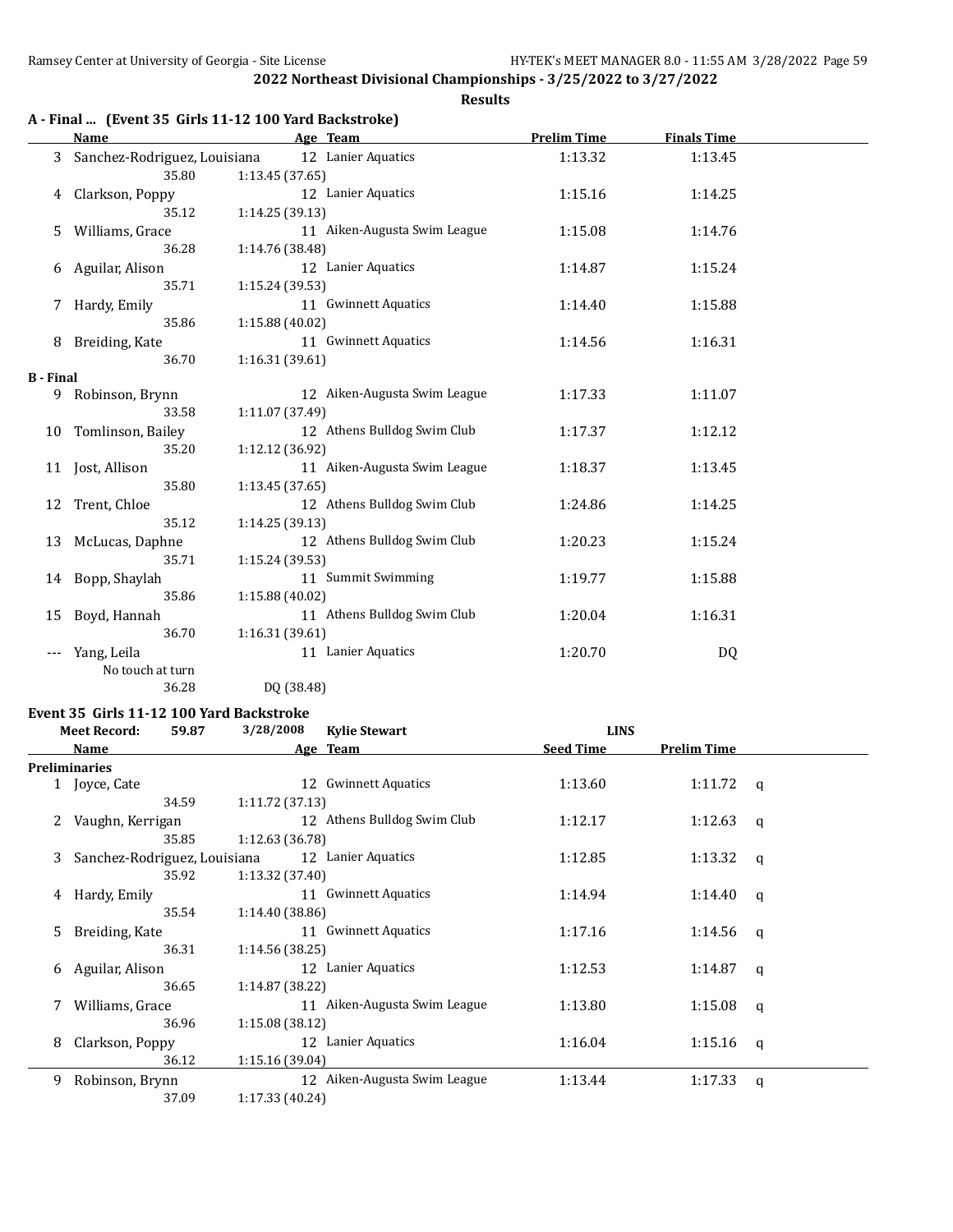|                  |                              |                                                                   | <b>Results</b>     |                    |
|------------------|------------------------------|-------------------------------------------------------------------|--------------------|--------------------|
|                  | <b>Name</b>                  | A - Final  (Event 35 Girls 11-12 100 Yard Backstroke)<br>Age Team | <b>Prelim Time</b> | <b>Finals Time</b> |
| 3                | Sanchez-Rodriguez, Louisiana | 12 Lanier Aquatics                                                | 1:13.32            | 1:13.45            |
|                  | 35.80                        | 1:13.45(37.65)                                                    |                    |                    |
| 4                | Clarkson, Poppy              | 12 Lanier Aquatics                                                | 1:15.16            | 1:14.25            |
|                  | 35.12                        | 1:14.25(39.13)                                                    |                    |                    |
| 5.               | Williams, Grace              | 11 Aiken-Augusta Swim League                                      | 1:15.08            | 1:14.76            |
|                  | 36.28                        | 1:14.76 (38.48)                                                   |                    |                    |
| 6                | Aguilar, Alison              | 12 Lanier Aquatics                                                | 1:14.87            | 1:15.24            |
|                  | 35.71                        | 1:15.24 (39.53)                                                   |                    |                    |
| 7                | Hardy, Emily                 | 11 Gwinnett Aquatics                                              | 1:14.40            | 1:15.88            |
|                  | 35.86                        | 1:15.88 (40.02)                                                   |                    |                    |
| 8                | Breiding, Kate               | 11 Gwinnett Aquatics                                              | 1:14.56            | 1:16.31            |
|                  | 36.70                        | 1:16.31(39.61)                                                    |                    |                    |
| <b>B</b> - Final |                              |                                                                   |                    |                    |
| 9                | Robinson, Brynn              | 12 Aiken-Augusta Swim League                                      | 1:17.33            | 1:11.07            |
|                  | 33.58                        | 1:11.07 (37.49)                                                   |                    |                    |
| 10               | Tomlinson, Bailey            | 12 Athens Bulldog Swim Club                                       | 1:17.37            | 1:12.12            |
|                  | 35.20                        | 1:12.12 (36.92)                                                   |                    |                    |
| 11               | Jost, Allison                | 11 Aiken-Augusta Swim League                                      | 1:18.37            | 1:13.45            |
|                  | 35.80                        | 1:13.45(37.65)                                                    |                    |                    |
| 12               | Trent, Chloe                 | 12 Athens Bulldog Swim Club                                       | 1:24.86            | 1:14.25            |
|                  | 35.12                        | 1:14.25 (39.13)                                                   |                    |                    |
| 13               | McLucas, Daphne              | 12 Athens Bulldog Swim Club                                       | 1:20.23            | 1:15.24            |
|                  | 35.71                        | 1:15.24 (39.53)                                                   |                    |                    |
| 14               | Bopp, Shaylah                | 11 Summit Swimming                                                | 1:19.77            | 1:15.88            |
|                  | 35.86                        | 1:15.88 (40.02)                                                   |                    |                    |
| 15               | Boyd, Hannah                 | 11 Athens Bulldog Swim Club                                       | 1:20.04            | 1:16.31            |
|                  | 36.70                        | 1:16.31 (39.61)                                                   |                    |                    |
| ---              | Yang, Leila                  | 11 Lanier Aquatics                                                | 1:20.70            | DQ                 |

**Event 35 Girls 11-12 100 Yard Backstroke**

36.28 DQ (38.48)

No touch at turn

|    | <b>Meet Record:</b>          | 59.87 | 3/28/2008       | <b>Kylie Stewart</b>         | <b>LINS</b>      |                    |              |
|----|------------------------------|-------|-----------------|------------------------------|------------------|--------------------|--------------|
|    | <b>Name</b>                  |       |                 | Age Team                     | <b>Seed Time</b> | <b>Prelim Time</b> |              |
|    | Preliminaries                |       |                 |                              |                  |                    |              |
|    | 1 Joyce, Cate                |       |                 | 12 Gwinnett Aquatics         | 1:13.60          | $1:11.72$ q        |              |
|    |                              | 34.59 | 1:11.72(37.13)  |                              |                  |                    |              |
| 2  | Vaughn, Kerrigan             |       |                 | 12 Athens Bulldog Swim Club  | 1:12.17          | $1:12.63$ q        |              |
|    |                              | 35.85 | 1:12.63 (36.78) |                              |                  |                    |              |
| 3  | Sanchez-Rodriguez, Louisiana |       |                 | 12 Lanier Aquatics           | 1:12.85          | 1:13.32            | q            |
|    |                              | 35.92 | 1:13.32(37.40)  |                              |                  |                    |              |
| 4  | Hardy, Emily                 |       |                 | 11 Gwinnett Aquatics         | 1:14.94          | 1:14.40            | q            |
|    |                              | 35.54 | 1:14.40 (38.86) |                              |                  |                    |              |
| 5. | Breiding, Kate               |       |                 | 11 Gwinnett Aquatics         | 1:17.16          | 1:14.56 $q$        |              |
|    |                              | 36.31 | 1:14.56(38.25)  |                              |                  |                    |              |
| 6  | Aguilar, Alison              |       |                 | 12 Lanier Aquatics           | 1:12.53          | 1:14.87            | $\mathbf{q}$ |
|    |                              | 36.65 | 1:14.87(38.22)  |                              |                  |                    |              |
|    | Williams, Grace              |       |                 | 11 Aiken-Augusta Swim League | 1:13.80          | 1:15.08            | q            |
|    |                              | 36.96 | 1:15.08(38.12)  |                              |                  |                    |              |
| 8  | Clarkson, Poppy              |       |                 | 12 Lanier Aquatics           | 1:16.04          | 1:15.16            | $\alpha$     |
|    |                              | 36.12 | 1:15.16(39.04)  |                              |                  |                    |              |
| 9  | Robinson, Brynn              |       |                 | 12 Aiken-Augusta Swim League | 1:13.44          | 1:17.33            | $\mathsf{q}$ |
|    |                              | 37.09 | 1:17.33 (40.24) |                              |                  |                    |              |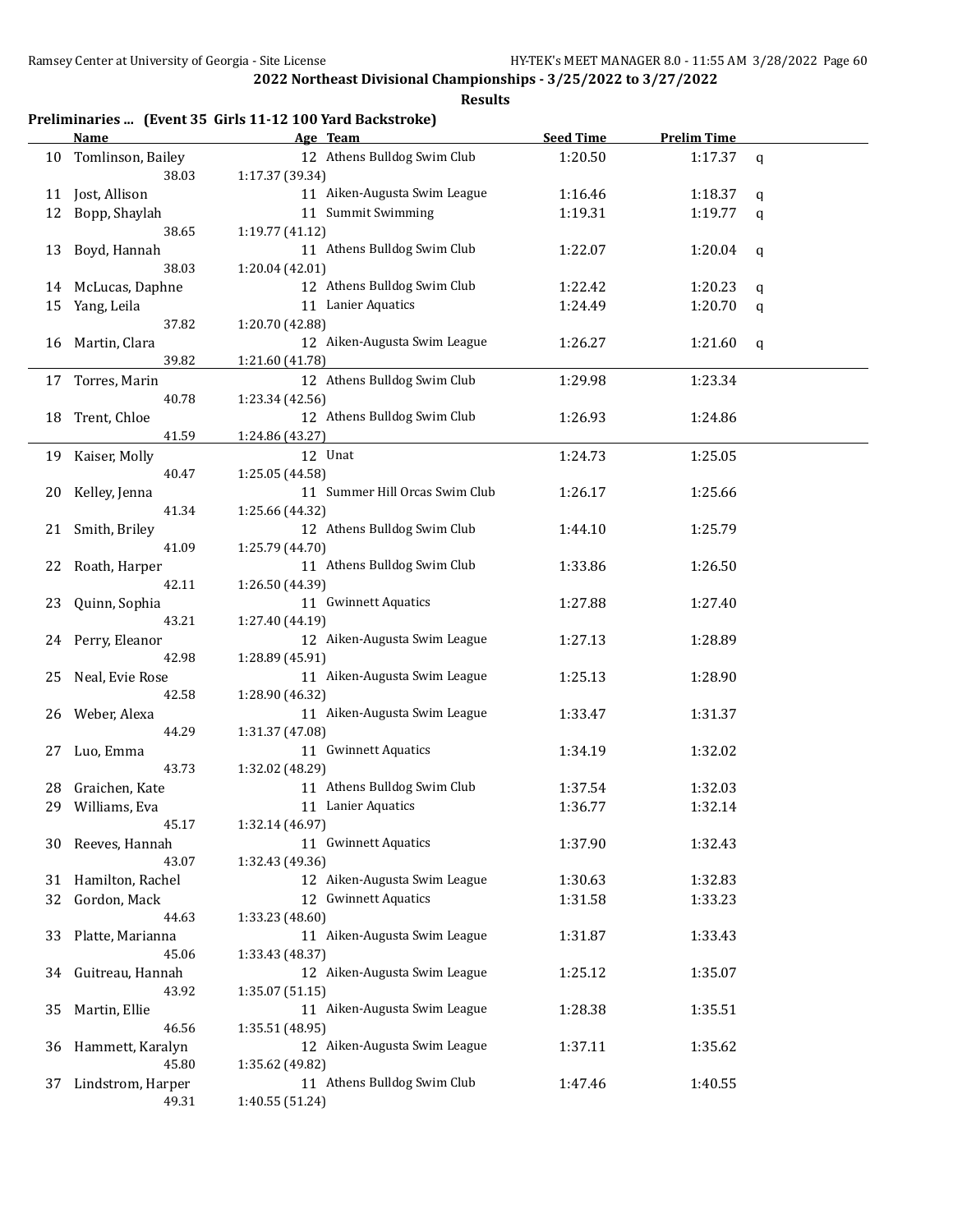## **Results**

## **Preliminaries ... (Event 35 Girls 11-12 100 Yard Backstroke)**

|    | <u>Name</u>               | Age Team                       | <b>Seed Time</b> | <b>Prelim Time</b> |   |
|----|---------------------------|--------------------------------|------------------|--------------------|---|
| 10 | Tomlinson, Bailey         | 12 Athens Bulldog Swim Club    | 1:20.50          | 1:17.37            | q |
|    | 38.03                     | 1:17.37 (39.34)                |                  |                    |   |
| 11 | Jost, Allison             | 11 Aiken-Augusta Swim League   | 1:16.46          | 1:18.37            | q |
| 12 | Bopp, Shaylah             | 11 Summit Swimming             | 1:19.31          | 1:19.77            | q |
|    | 38.65                     | 1:19.77 (41.12)                |                  |                    |   |
| 13 | Boyd, Hannah              | 11 Athens Bulldog Swim Club    | 1:22.07          | 1:20.04            | q |
|    | 38.03                     | 1:20.04 (42.01)                |                  |                    |   |
| 14 | McLucas, Daphne           | 12 Athens Bulldog Swim Club    | 1:22.42          | 1:20.23            | q |
| 15 | Yang, Leila               | 11 Lanier Aquatics             | 1:24.49          | 1:20.70            | q |
|    | 37.82                     | 1:20.70 (42.88)                |                  |                    |   |
| 16 | Martin, Clara             | 12 Aiken-Augusta Swim League   | 1:26.27          | 1:21.60            | q |
|    | 39.82                     | 1:21.60 (41.78)                |                  |                    |   |
| 17 | Torres, Marin             | 12 Athens Bulldog Swim Club    | 1:29.98          | 1:23.34            |   |
|    | 40.78                     | 1:23.34 (42.56)                |                  |                    |   |
| 18 | Trent, Chloe              | 12 Athens Bulldog Swim Club    | 1:26.93          | 1:24.86            |   |
|    | 41.59                     | 1:24.86 (43.27)                |                  |                    |   |
| 19 | Kaiser, Molly             | 12 Unat                        | 1:24.73          | 1:25.05            |   |
|    | 40.47                     | 1:25.05 (44.58)                |                  |                    |   |
| 20 | Kelley, Jenna             | 11 Summer Hill Orcas Swim Club | 1:26.17          | 1:25.66            |   |
|    | 41.34                     | 1:25.66 (44.32)                |                  |                    |   |
| 21 | Smith, Briley             | 12 Athens Bulldog Swim Club    | 1:44.10          | 1:25.79            |   |
|    | 41.09                     | 1:25.79 (44.70)                |                  |                    |   |
|    |                           | 11 Athens Bulldog Swim Club    |                  |                    |   |
| 22 | Roath, Harper<br>42.11    | 1:26.50 (44.39)                | 1:33.86          | 1:26.50            |   |
| 23 |                           | 11 Gwinnett Aquatics           |                  |                    |   |
|    | Quinn, Sophia<br>43.21    | 1:27.40 (44.19)                | 1:27.88          | 1:27.40            |   |
| 24 | Perry, Eleanor            | 12 Aiken-Augusta Swim League   | 1:27.13          | 1:28.89            |   |
|    | 42.98                     | 1:28.89 (45.91)                |                  |                    |   |
| 25 | Neal, Evie Rose           | 11 Aiken-Augusta Swim League   | 1:25.13          | 1:28.90            |   |
|    | 42.58                     | 1:28.90 (46.32)                |                  |                    |   |
| 26 | Weber, Alexa              | 11 Aiken-Augusta Swim League   | 1:33.47          | 1:31.37            |   |
|    | 44.29                     | 1:31.37 (47.08)                |                  |                    |   |
| 27 | Luo, Emma                 | 11 Gwinnett Aquatics           | 1:34.19          | 1:32.02            |   |
|    | 43.73                     | 1:32.02 (48.29)                |                  |                    |   |
| 28 | Graichen, Kate            | 11 Athens Bulldog Swim Club    | 1:37.54          | 1:32.03            |   |
| 29 | Williams, Eva             | 11 Lanier Aquatics             | 1:36.77          | 1:32.14            |   |
|    | 45.17                     | 1:32.14 (46.97)                |                  |                    |   |
| 30 | Reeves, Hannah            | 11 Gwinnett Aquatics           | 1:37.90          | 1:32.43            |   |
|    | 43.07                     | 1:32.43 (49.36)                |                  |                    |   |
|    | 31 Hamilton, Rachel       | 12 Aiken-Augusta Swim League   | 1:30.63          | 1:32.83            |   |
| 32 | Gordon, Mack              | 12 Gwinnett Aquatics           | 1:31.58          | 1:33.23            |   |
|    | 44.63                     | 1:33.23 (48.60)                |                  |                    |   |
| 33 | Platte, Marianna          | 11 Aiken-Augusta Swim League   | 1:31.87          | 1:33.43            |   |
|    | 45.06                     | 1:33.43 (48.37)                |                  |                    |   |
|    |                           | 12 Aiken-Augusta Swim League   | 1:25.12          | 1:35.07            |   |
| 34 | Guitreau, Hannah<br>43.92 | 1:35.07 (51.15)                |                  |                    |   |
| 35 | Martin, Ellie             | 11 Aiken-Augusta Swim League   | 1:28.38          | 1:35.51            |   |
|    | 46.56                     | 1:35.51 (48.95)                |                  |                    |   |
| 36 | Hammett, Karalyn          | 12 Aiken-Augusta Swim League   | 1:37.11          | 1:35.62            |   |
|    | 45.80                     | 1:35.62 (49.82)                |                  |                    |   |
| 37 | Lindstrom, Harper         | 11 Athens Bulldog Swim Club    | 1:47.46          | 1:40.55            |   |
|    | 49.31                     | 1:40.55 (51.24)                |                  |                    |   |
|    |                           |                                |                  |                    |   |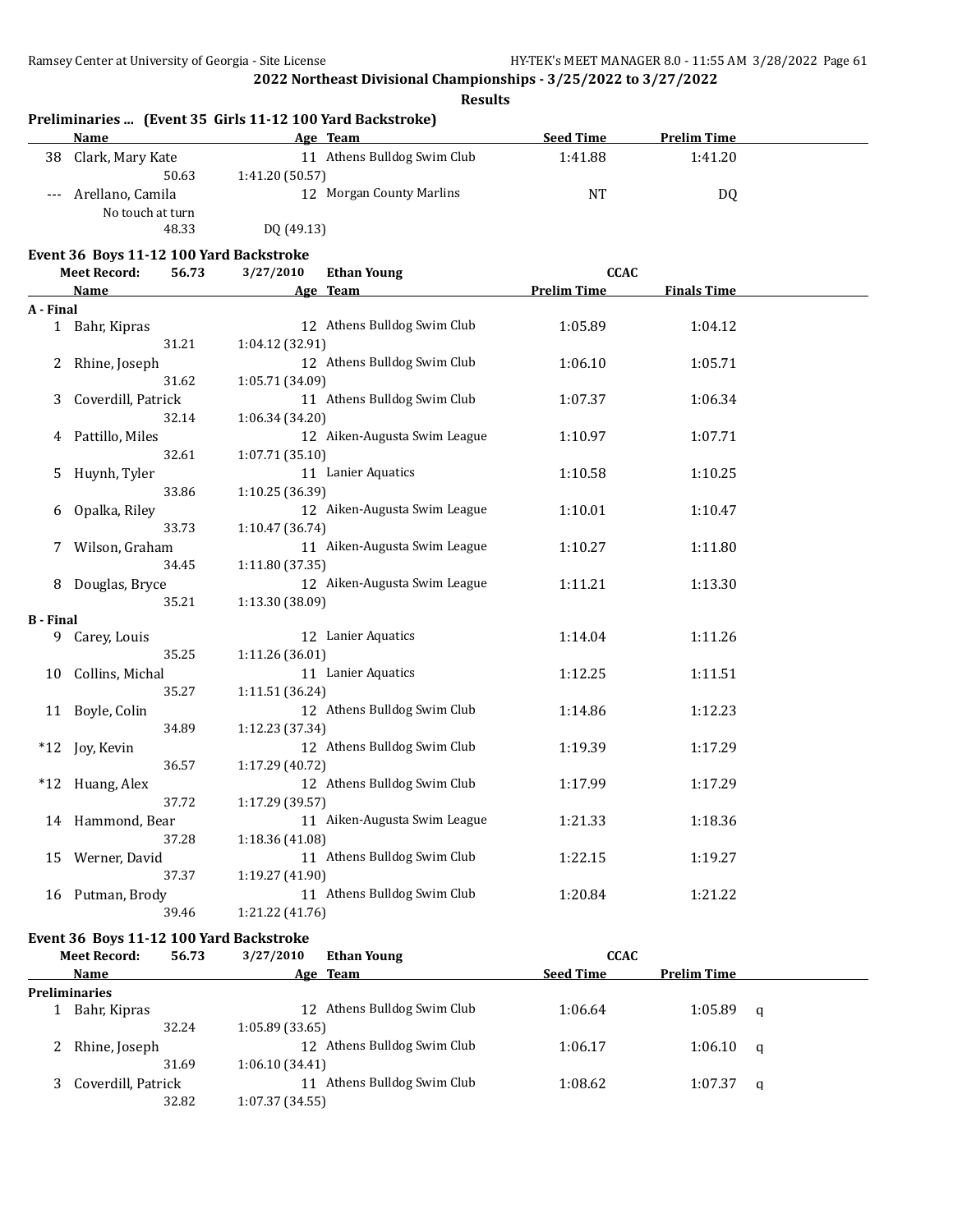|           |                                                                         | <b>Results</b>                                                        |                    |                    |
|-----------|-------------------------------------------------------------------------|-----------------------------------------------------------------------|--------------------|--------------------|
|           | Name                                                                    | Preliminaries  (Event 35 Girls 11-12 100 Yard Backstroke)<br>Age Team | <b>Seed Time</b>   | <b>Prelim Time</b> |
| 38        | Clark, Mary Kate                                                        | 11 Athens Bulldog Swim Club                                           | 1:41.88            | 1:41.20            |
|           | 50.63                                                                   | 1:41.20 (50.57)                                                       |                    |                    |
|           | Arellano, Camila<br>No touch at turn                                    | 12 Morgan County Marlins                                              | NT                 | DQ                 |
|           | 48.33                                                                   | DQ (49.13)                                                            |                    |                    |
|           |                                                                         |                                                                       |                    |                    |
|           | Event 36 Boys 11-12 100 Yard Backstroke<br>56.73<br><b>Meet Record:</b> | 3/27/2010<br><b>Ethan Young</b>                                       | <b>CCAC</b>        |                    |
|           | <u>Name</u>                                                             | Age Team                                                              | <b>Prelim Time</b> | <b>Finals Time</b> |
| A - Final |                                                                         |                                                                       |                    |                    |
|           | 1 Bahr, Kipras                                                          | 12 Athens Bulldog Swim Club                                           | 1:05.89            | 1:04.12            |
|           | 31.21                                                                   | 1:04.12 (32.91)                                                       |                    |                    |
|           | Rhine, Joseph                                                           | 12 Athens Bulldog Swim Club                                           | 1:06.10            | 1:05.71            |
|           | 31.62                                                                   | 1:05.71 (34.09)                                                       |                    |                    |
| 3         | Coverdill, Patrick                                                      | 11 Athens Bulldog Swim Club                                           | 1:07.37            | 1:06.34            |
|           | 32.14                                                                   | 1:06.34 (34.20)                                                       |                    |                    |
|           | Pattillo, Miles                                                         | 12 Aiken-Augusta Swim League                                          | 1:10.97            | 1:07.71            |
|           | 32.61                                                                   | 1:07.71(35.10)                                                        |                    |                    |
| 5         | Huynh, Tyler                                                            | 11 Lanier Aquatics                                                    | 1:10.58            | 1:10.25            |
|           | 33.86                                                                   | 1:10.25 (36.39)                                                       |                    |                    |
|           | Opalka, Riley                                                           | 12 Aiken-Augusta Swim League                                          | 1:10.01            | 1:10.47            |
|           | 33.73                                                                   | 1:10.47 (36.74)                                                       |                    |                    |
| 7         | Wilson, Graham                                                          | 11 Aiken-Augusta Swim League                                          | 1:10.27            | 1:11.80            |
|           | 34.45                                                                   | 1:11.80 (37.35)                                                       |                    |                    |
|           | Douglas, Bryce                                                          | 12 Aiken-Augusta Swim League                                          | 1:11.21            | 1:13.30            |
|           | 35.21                                                                   | 1:13.30 (38.09)                                                       |                    |                    |
| B - Final | 9 Carey, Louis                                                          | 12 Lanier Aquatics                                                    | 1:14.04            | 1:11.26            |
|           | 35.25                                                                   | 1:11.26 (36.01)                                                       |                    |                    |
| 10        | Collins, Michal                                                         | 11 Lanier Aquatics                                                    | 1:12.25            | 1:11.51            |
|           | 35.27                                                                   | 1:11.51 (36.24)                                                       |                    |                    |
|           | 11 Boyle, Colin                                                         | 12 Athens Bulldog Swim Club                                           | 1:14.86            | 1:12.23            |
|           | 34.89                                                                   | 1:12.23 (37.34)                                                       |                    |                    |
|           | *12 Joy, Kevin                                                          | 12 Athens Bulldog Swim Club                                           | 1:19.39            | 1:17.29            |
|           | 36.57                                                                   | 1:17.29 (40.72)                                                       |                    |                    |
|           | *12 Huang, Alex                                                         | 12 Athens Bulldog Swim Club                                           | 1:17.99            | 1:17.29            |
|           | 37.72                                                                   | 1:17.29 (39.57)                                                       |                    |                    |
|           | 14 Hammond, Bear                                                        | 11 Aiken-Augusta Swim League                                          | 1:21.33            | 1:18.36            |
|           | 37.28                                                                   | 1:18.36 (41.08)                                                       |                    |                    |
|           | 15 Werner, David                                                        | 11 Athens Bulldog Swim Club                                           | 1:22.15            | 1:19.27            |
|           | 37.37                                                                   | 1:19.27 (41.90)                                                       |                    |                    |
|           | 16 Putman, Brody                                                        | 11 Athens Bulldog Swim Club                                           | 1:20.84            | 1:21.22            |
|           | 39.46                                                                   | 1:21.22 (41.76)                                                       |                    |                    |
|           | Event 36 Boys 11-12 100 Yard Backstroke                                 |                                                                       |                    |                    |
|           | 56.73<br><b>Meet Record:</b>                                            | 3/27/2010<br><b>Ethan Young</b>                                       | <b>CCAC</b>        |                    |
|           | <b>Name</b>                                                             | Age Team                                                              | Seed Time          | <b>Prelim Time</b> |

|   | Name               | Age Team                    | <b>Seed Time</b> | <b>Prelim Time</b> |          |
|---|--------------------|-----------------------------|------------------|--------------------|----------|
|   | Preliminaries      |                             |                  |                    |          |
|   | Bahr, Kipras       | 12 Athens Bulldog Swim Club | 1:06.64          | 1:05.89            | - a      |
|   | 32.24              | 1:05.89 (33.65)             |                  |                    |          |
| 2 | Rhine, Joseph      | 12 Athens Bulldog Swim Club | 1:06.17          | 1:06.10            | $\alpha$ |
|   | 31.69              | 1:06.10(34.41)              |                  |                    |          |
|   | Coverdill, Patrick | Athens Bulldog Swim Club    | 1:08.62          | 1:07.37            | - a      |
|   | 32.82              | 1:07.37 (34.55)             |                  |                    |          |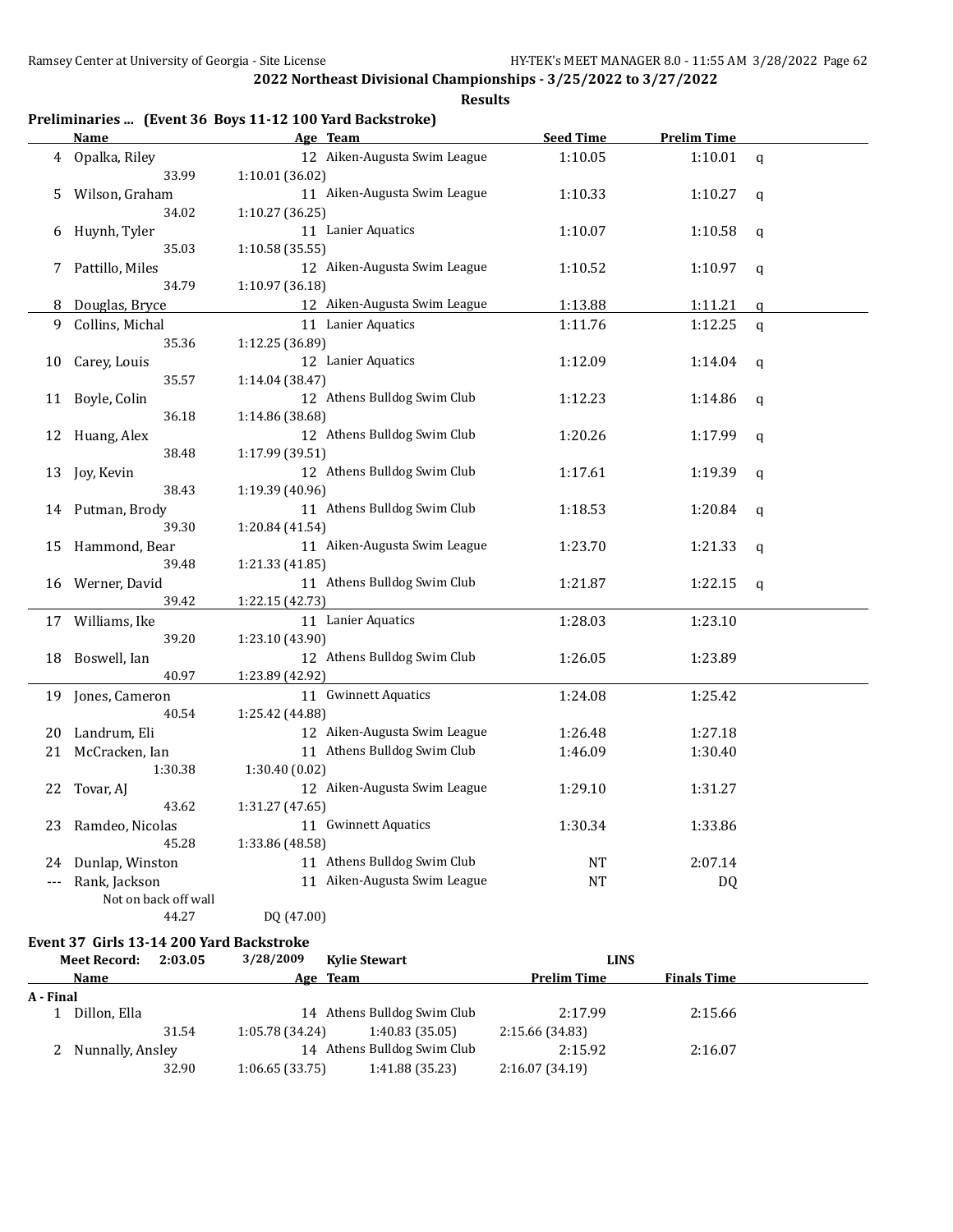**Results**

## **Preliminaries ... (Event 36 Boys 11-12 100 Yard Backstroke)**

|                      | <b>Name</b>          | Age Team                     | <b>Seed Time</b> | <b>Prelim Time</b> |             |
|----------------------|----------------------|------------------------------|------------------|--------------------|-------------|
|                      | 4 Opalka, Riley      | 12 Aiken-Augusta Swim League | 1:10.05          | 1:10.01            | q           |
|                      | 33.99                | 1:10.01 (36.02)              |                  |                    |             |
| 5                    | Wilson, Graham       | 11 Aiken-Augusta Swim League | 1:10.33          | 1:10.27            | q           |
|                      | 34.02                | 1:10.27 (36.25)              |                  |                    |             |
| 6                    | Huynh, Tyler         | 11 Lanier Aquatics           | 1:10.07          | 1:10.58            | q           |
|                      | 35.03                | 1:10.58 (35.55)              |                  |                    |             |
| 7                    | Pattillo, Miles      | 12 Aiken-Augusta Swim League | 1:10.52          | 1:10.97            | q           |
|                      | 34.79                | 1:10.97 (36.18)              |                  |                    |             |
| 8                    | Douglas, Bryce       | 12 Aiken-Augusta Swim League | 1:13.88          | 1:11.21            | q           |
| 9                    | Collins, Michal      | 11 Lanier Aquatics           | 1:11.76          | 1:12.25            | q           |
|                      | 35.36                | 1:12.25 (36.89)              |                  |                    |             |
| 10                   | Carey, Louis         | 12 Lanier Aquatics           | 1:12.09          | 1:14.04            | q           |
|                      | 35.57                | 1:14.04 (38.47)              |                  |                    |             |
| 11                   | Boyle, Colin         | 12 Athens Bulldog Swim Club  | 1:12.23          | 1:14.86            | q           |
|                      | 36.18                | 1:14.86 (38.68)              |                  |                    |             |
| 12                   | Huang, Alex          | 12 Athens Bulldog Swim Club  | 1:20.26          | 1:17.99            | q           |
|                      | 38.48                | 1:17.99 (39.51)              |                  |                    |             |
| 13                   | Joy, Kevin           | 12 Athens Bulldog Swim Club  | 1:17.61          | 1:19.39            | $\mathbf q$ |
|                      | 38.43                | 1:19.39 (40.96)              |                  |                    |             |
|                      | 14 Putman, Brody     | 11 Athens Bulldog Swim Club  | 1:18.53          | 1:20.84            | q           |
|                      | 39.30                | 1:20.84 (41.54)              |                  |                    |             |
| 15                   | Hammond, Bear        | 11 Aiken-Augusta Swim League | 1:23.70          | 1:21.33            | q           |
|                      | 39.48                | 1:21.33 (41.85)              |                  |                    |             |
| 16                   | Werner, David        | 11 Athens Bulldog Swim Club  | 1:21.87          | 1:22.15            | q           |
|                      | 39.42                | 1:22.15 (42.73)              |                  |                    |             |
|                      | 17 Williams, Ike     | 11 Lanier Aquatics           | 1:28.03          | 1:23.10            |             |
|                      | 39.20                | 1:23.10 (43.90)              |                  |                    |             |
| 18                   | Boswell, Ian         | 12 Athens Bulldog Swim Club  | 1:26.05          | 1:23.89            |             |
|                      | 40.97                | 1:23.89 (42.92)              |                  |                    |             |
| 19                   | Jones, Cameron       | 11 Gwinnett Aquatics         | 1:24.08          | 1:25.42            |             |
|                      | 40.54                | 1:25.42 (44.88)              |                  |                    |             |
| 20                   | Landrum, Eli         | 12 Aiken-Augusta Swim League | 1:26.48          | 1:27.18            |             |
| 21                   | McCracken, Ian       | 11 Athens Bulldog Swim Club  | 1:46.09          | 1:30.40            |             |
|                      | 1:30.38              | 1:30.40(0.02)                |                  |                    |             |
| 22                   | Tovar, AJ            | 12 Aiken-Augusta Swim League | 1:29.10          | 1:31.27            |             |
|                      | 43.62                | 1:31.27 (47.65)              |                  |                    |             |
| 23                   | Ramdeo, Nicolas      | 11 Gwinnett Aquatics         | 1:30.34          | 1:33.86            |             |
|                      | 45.28                | 1:33.86 (48.58)              |                  |                    |             |
| 24                   | Dunlap, Winston      | 11 Athens Bulldog Swim Club  | NT               | 2:07.14            |             |
| $\scriptstyle\cdots$ | Rank, Jackson        | 11 Aiken-Augusta Swim League | NT               | DQ                 |             |
|                      | Not on back off wall |                              |                  |                    |             |
|                      | 44.27                | DQ (47.00)                   |                  |                    |             |

#### **Event 37 Girls 13-14 200 Yard Backstroke**

|           | <b>Meet Record:</b> | 2:03.05 | 3/28/2009       | <b>Kylie Stewart</b>        | <b>LINS</b>        |                    |  |
|-----------|---------------------|---------|-----------------|-----------------------------|--------------------|--------------------|--|
|           | <b>Name</b>         |         | Age Team        |                             | <b>Prelim Time</b> | <b>Finals Time</b> |  |
| A - Final |                     |         |                 |                             |                    |                    |  |
|           | Dillon, Ella        |         |                 | 14 Athens Bulldog Swim Club | 2:17.99            | 2:15.66            |  |
|           |                     | 31.54   | 1:05.78 (34.24) | 1:40.83(35.05)              | 2:15.66 (34.83)    |                    |  |
|           | 2 Nunnally, Ansley  |         |                 | 14 Athens Bulldog Swim Club | 2:15.92            | 2:16.07            |  |
|           |                     | 32.90   | 1:06.65(33.75)  | 1:41.88 (35.23)             | 2:16.07(34.19)     |                    |  |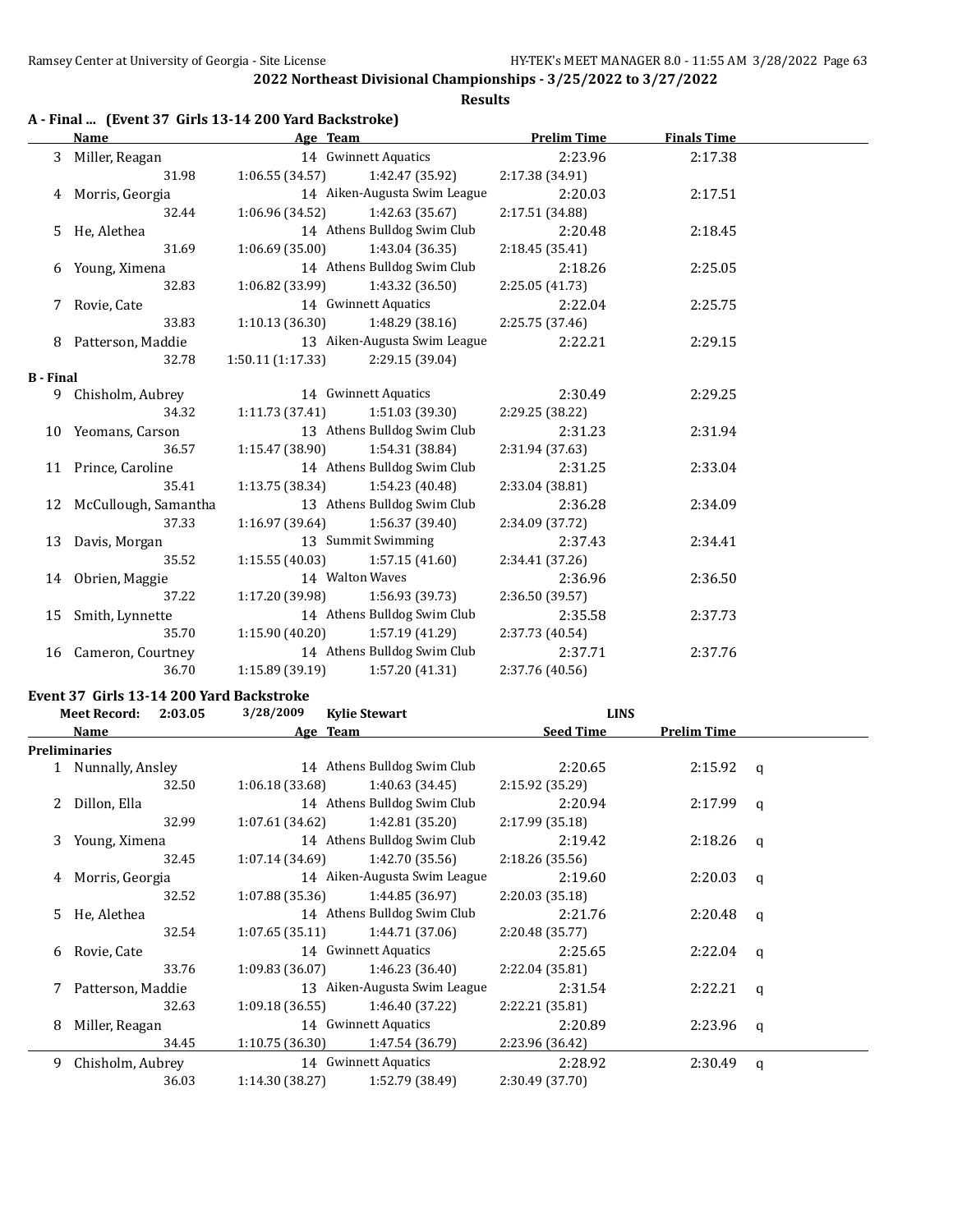**Results**

|  |  |  | A - Final  (Event 37 Girls 13-14 200 Yard Backstroke) |
|--|--|--|-------------------------------------------------------|
|--|--|--|-------------------------------------------------------|

|                  | Name                    |                                     | Age Team and the state of the state of the state of the state of the state of the state of the state of the state of the state of the state of the state of the state of the state of the state of the state of the state of t | <b>Prelim Time</b> | <b>Finals Time</b> |  |
|------------------|-------------------------|-------------------------------------|--------------------------------------------------------------------------------------------------------------------------------------------------------------------------------------------------------------------------------|--------------------|--------------------|--|
|                  | 3 Miller, Reagan        |                                     | 14 Gwinnett Aquatics                                                                                                                                                                                                           | 2:23.96            | 2:17.38            |  |
|                  | 31.98                   |                                     | $1:06.55(34.57)$ $1:42.47(35.92)$                                                                                                                                                                                              | 2:17.38(34.91)     |                    |  |
|                  | 4 Morris, Georgia       |                                     | 14 Aiken-Augusta Swim League                                                                                                                                                                                                   | 2:20.03            | 2:17.51            |  |
|                  | 32.44                   | $1:06.96(34.52)$ $1:42.63(35.67)$   |                                                                                                                                                                                                                                | 2:17.51 (34.88)    |                    |  |
|                  | 5 He, Alethea           |                                     | 14 Athens Bulldog Swim Club                                                                                                                                                                                                    | 2:20.48            | 2:18.45            |  |
|                  | 31.69                   |                                     | $1:06.69(35.00)$ $1:43.04(36.35)$                                                                                                                                                                                              | 2:18.45 (35.41)    |                    |  |
|                  | 6 Young, Ximena         |                                     | 14 Athens Bulldog Swim Club                                                                                                                                                                                                    | 2:18.26            | 2:25.05            |  |
|                  | 32.83                   |                                     | $1:06.82(33.99)$ $1:43.32(36.50)$                                                                                                                                                                                              | 2:25.05 (41.73)    |                    |  |
|                  | 7 Rovie, Cate           |                                     | 14 Gwinnett Aquatics                                                                                                                                                                                                           | 2:22.04            | 2:25.75            |  |
|                  | 33.83                   |                                     | $1:10.13(36.30)$ $1:48.29(38.16)$                                                                                                                                                                                              | 2:25.75 (37.46)    |                    |  |
|                  | 8 Patterson, Maddie     |                                     | 13 Aiken-Augusta Swim League                                                                                                                                                                                                   | 2:22.21            | 2:29.15            |  |
|                  | 32.78                   | $1:50.11(1:17.33)$ $2:29.15(39.04)$ |                                                                                                                                                                                                                                |                    |                    |  |
| <b>B</b> - Final |                         |                                     |                                                                                                                                                                                                                                |                    |                    |  |
|                  | 9 Chisholm, Aubrey      |                                     | 14 Gwinnett Aquatics                                                                                                                                                                                                           | 2:30.49            | 2:29.25            |  |
|                  | 34.32                   |                                     | $1:11.73(37.41)$ $1:51.03(39.30)$                                                                                                                                                                                              | 2:29.25 (38.22)    |                    |  |
|                  | 10 Yeomans, Carson      |                                     | 13 Athens Bulldog Swim Club                                                                                                                                                                                                    | 2:31.23            | 2:31.94            |  |
|                  | 36.57                   | 1:15.47 (38.90)                     | 1:54.31 (38.84)                                                                                                                                                                                                                | 2:31.94(37.63)     |                    |  |
|                  | 11 Prince, Caroline     |                                     | 14 Athens Bulldog Swim Club                                                                                                                                                                                                    | 2:31.25            | 2:33.04            |  |
|                  | 35.41                   | $1:13.75(38.34)$ $1:54.23(40.48)$   |                                                                                                                                                                                                                                | 2:33.04 (38.81)    |                    |  |
|                  | 12 McCullough, Samantha |                                     | 13 Athens Bulldog Swim Club                                                                                                                                                                                                    | 2:36.28            | 2:34.09            |  |
|                  | 37.33                   | 1:16.97 (39.64)                     | 1:56.37 (39.40)                                                                                                                                                                                                                | 2:34.09 (37.72)    |                    |  |
|                  | 13 Davis, Morgan        |                                     | 13 Summit Swimming                                                                                                                                                                                                             | 2:37.43            | 2:34.41            |  |
|                  | 35.52                   | 1:15.55(40.03)                      | 1:57.15 (41.60)                                                                                                                                                                                                                | 2:34.41 (37.26)    |                    |  |
|                  | 14 Obrien, Maggie       | 14 Walton Waves                     |                                                                                                                                                                                                                                | 2:36.96            | 2:36.50            |  |
|                  | 37.22                   |                                     | $1:17.20(39.98)$ $1:56.93(39.73)$                                                                                                                                                                                              | 2:36.50 (39.57)    |                    |  |
|                  | 15 Smith, Lynnette      |                                     | 14 Athens Bulldog Swim Club                                                                                                                                                                                                    | 2:35.58            | 2:37.73            |  |
|                  | 35.70                   | 1:15.90 (40.20)                     | 1:57.19 (41.29)                                                                                                                                                                                                                | 2:37.73 (40.54)    |                    |  |
|                  | 16 Cameron, Courtney    |                                     | 14 Athens Bulldog Swim Club                                                                                                                                                                                                    | 2:37.71            | 2:37.76            |  |
|                  | 36.70                   | 1:15.89 (39.19)                     | 1:57.20 (41.31)                                                                                                                                                                                                                | 2:37.76 (40.56)    |                    |  |

## **Event 37 Girls 13-14 200 Yard Backstroke**

|    | <b>Meet Record:</b>  | 2:03.05 | 3/28/2009       | <b>Kylie Stewart</b>         | <b>LINS</b>      |                    |   |
|----|----------------------|---------|-----------------|------------------------------|------------------|--------------------|---|
|    | Name                 |         |                 | Age Team                     | <b>Seed Time</b> | <b>Prelim Time</b> |   |
|    | <b>Preliminaries</b> |         |                 |                              |                  |                    |   |
|    | 1 Nunnally, Ansley   |         |                 | 14 Athens Bulldog Swim Club  | 2:20.65          | 2:15.92            | a |
|    |                      | 32.50   | 1:06.18 (33.68) | 1:40.63 (34.45)              | 2:15.92 (35.29)  |                    |   |
| 2  | Dillon, Ella         |         |                 | 14 Athens Bulldog Swim Club  | 2:20.94          | 2:17.99            | a |
|    |                      | 32.99   | 1:07.61 (34.62) | 1:42.81 (35.20)              | 2:17.99(35.18)   |                    |   |
| 3  | Young, Ximena        |         |                 | 14 Athens Bulldog Swim Club  | 2:19.42          | 2:18.26            | q |
|    |                      | 32.45   | 1:07.14 (34.69) | 1:42.70 (35.56)              | 2:18.26(35.56)   |                    |   |
| 4  | Morris, Georgia      |         |                 | 14 Aiken-Augusta Swim League | 2:19.60          | 2:20.03            | q |
|    |                      | 32.52   | 1:07.88(35.36)  | 1:44.85 (36.97)              | 2:20.03(35.18)   |                    |   |
| 5. | He, Alethea          |         |                 | 14 Athens Bulldog Swim Club  | 2:21.76          | 2:20.48            | q |
|    |                      | 32.54   | 1:07.65(35.11)  | 1:44.71 (37.06)              | 2:20.48 (35.77)  |                    |   |
| 6  | Rovie, Cate          |         |                 | 14 Gwinnett Aquatics         | 2:25.65          | $2:22.04$ q        |   |
|    |                      | 33.76   | 1:09.83(36.07)  | 1:46.23 (36.40)              | 2:22.04 (35.81)  |                    |   |
|    | Patterson, Maddie    |         |                 | 13 Aiken-Augusta Swim League | 2:31.54          | 2:22.21            | a |
|    |                      | 32.63   | 1:09.18(36.55)  | 1:46.40 (37.22)              | 2:22.21 (35.81)  |                    |   |
| 8  | Miller, Reagan       |         |                 | 14 Gwinnett Aquatics         | 2:20.89          | 2:23.96            | q |
|    |                      | 34.45   | 1:10.75(36.30)  | 1:47.54 (36.79)              | 2:23.96 (36.42)  |                    |   |
| 9  | Chisholm, Aubrey     |         |                 | 14 Gwinnett Aquatics         | 2:28.92          | 2:30.49            | q |
|    |                      | 36.03   | 1:14.30 (38.27) | 1:52.79 (38.49)              | 2:30.49 (37.70)  |                    |   |
|    |                      |         |                 |                              |                  |                    |   |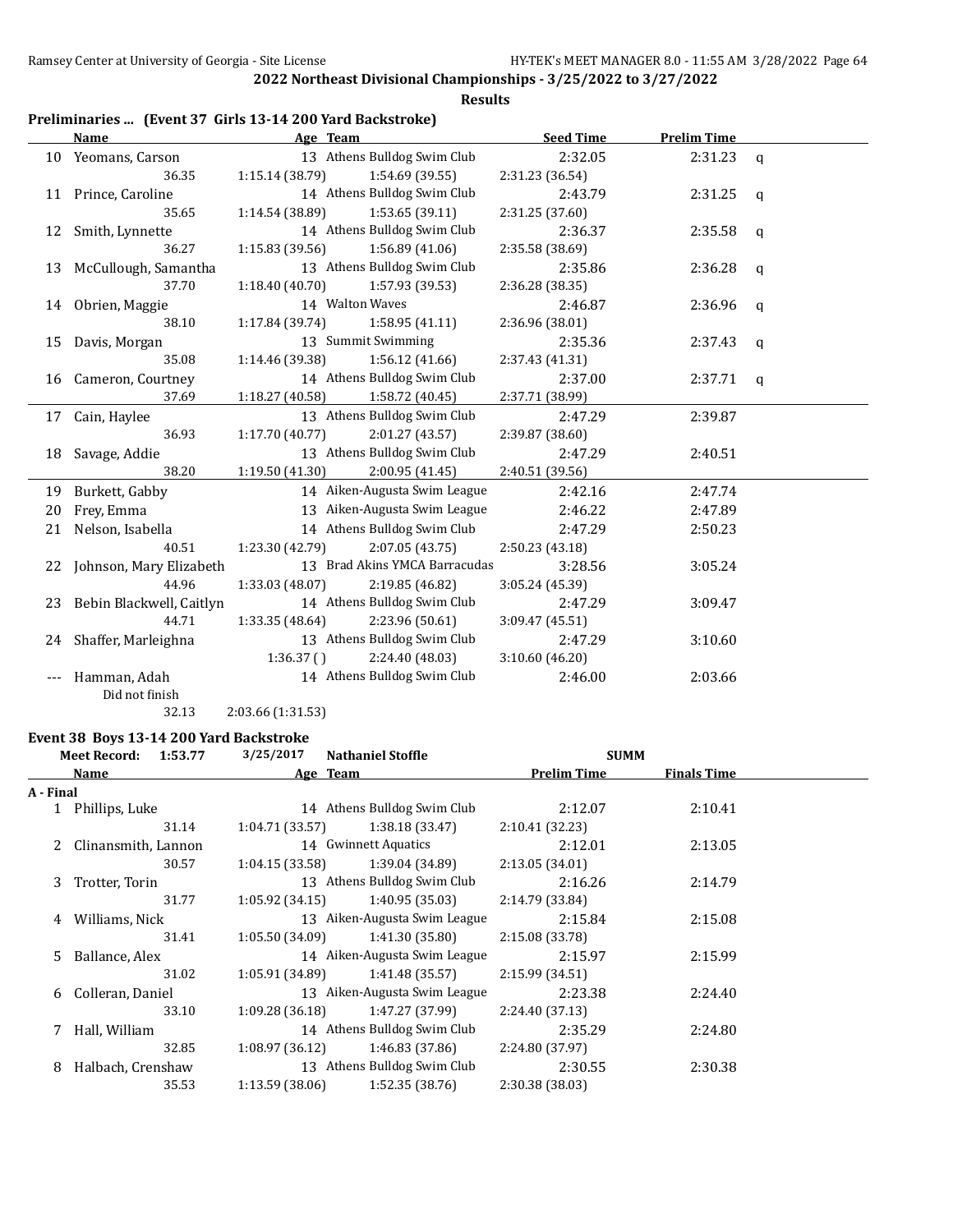#### **Results**

## **Preliminaries ... (Event 37 Girls 13-14 200 Yard Backstroke)**

|    | Name                        | Age Team        |                               | <b>Seed Time</b> | <b>Prelim Time</b> |                |
|----|-----------------------------|-----------------|-------------------------------|------------------|--------------------|----------------|
|    | 10 Yeomans, Carson          |                 | 13 Athens Bulldog Swim Club   | 2:32.05          | 2:31.23            | $\mathbf{q}$   |
|    | 36.35                       | 1:15.14(38.79)  | 1:54.69 (39.55)               | 2:31.23 (36.54)  |                    |                |
|    | 11 Prince, Caroline         |                 | 14 Athens Bulldog Swim Club   | 2:43.79          | 2:31.25            | $\mathbf{q}$   |
|    | 35.65                       | 1:14.54 (38.89) | 1:53.65(39.11)                | 2:31.25 (37.60)  |                    |                |
| 12 | Smith, Lynnette             |                 | 14 Athens Bulldog Swim Club   | 2:36.37          | 2:35.58            | q              |
|    | 36.27                       | 1:15.83 (39.56) | 1:56.89(41.06)                | 2:35.58 (38.69)  |                    |                |
|    | 13 McCullough, Samantha     |                 | 13 Athens Bulldog Swim Club   | 2:35.86          | 2:36.28            | $\mathfrak{q}$ |
|    | 37.70                       | 1:18.40(40.70)  | 1:57.93 (39.53)               | 2:36.28 (38.35)  |                    |                |
|    | 14 Obrien, Maggie           | 14 Walton Waves |                               | 2:46.87          | 2:36.96            | q              |
|    | 38.10                       | 1:17.84(39.74)  | 1:58.95(41.11)                | 2:36.96 (38.01)  |                    |                |
|    | 15 Davis, Morgan            |                 | 13 Summit Swimming            | 2:35.36          | 2:37.43            | q              |
|    | 35.08                       | 1:14.46 (39.38) | 1:56.12 (41.66)               | 2:37.43 (41.31)  |                    |                |
|    | 16 Cameron, Courtney        |                 | 14 Athens Bulldog Swim Club   | 2:37.00          | 2:37.71            | $\mathsf{q}$   |
|    | 37.69                       | 1:18.27 (40.58) | 1:58.72 (40.45)               | 2:37.71 (38.99)  |                    |                |
|    | 17 Cain, Haylee             |                 | 13 Athens Bulldog Swim Club   | 2:47.29          | 2:39.87            |                |
|    | 36.93                       | 1:17.70 (40.77) | 2:01.27(43.57)                | 2:39.87 (38.60)  |                    |                |
|    | 18 Savage, Addie            |                 | 13 Athens Bulldog Swim Club   | 2:47.29          | 2:40.51            |                |
|    | 38.20                       | 1:19.50(41.30)  | 2:00.95 (41.45)               | 2:40.51 (39.56)  |                    |                |
| 19 | Burkett, Gabby              |                 | 14 Aiken-Augusta Swim League  | 2:42.16          | 2:47.74            |                |
| 20 | Frey, Emma                  |                 | 13 Aiken-Augusta Swim League  | 2:46.22          | 2:47.89            |                |
| 21 | Nelson, Isabella            |                 | 14 Athens Bulldog Swim Club   | 2:47.29          | 2:50.23            |                |
|    | 40.51                       | 1:23.30 (42.79) | 2:07.05 (43.75)               | 2:50.23 (43.18)  |                    |                |
|    | 22 Johnson, Mary Elizabeth  |                 | 13 Brad Akins YMCA Barracudas | 3:28.56          | 3:05.24            |                |
|    | 44.96                       | 1:33.03 (48.07) | 2:19.85 (46.82)               | 3:05.24 (45.39)  |                    |                |
|    | 23 Bebin Blackwell, Caitlyn |                 | 14 Athens Bulldog Swim Club   | 2:47.29          | 3:09.47            |                |
|    | 44.71                       | 1:33.35 (48.64) | 2:23.96 (50.61)               | 3:09.47(45.51)   |                    |                |
|    | 24 Shaffer, Marleighna      |                 | 13 Athens Bulldog Swim Club   | 2:47.29          | 3:10.60            |                |
|    |                             | 1:36.37()       | 2:24.40 (48.03)               | 3:10.60(46.20)   |                    |                |
|    | Hamman, Adah                |                 | 14 Athens Bulldog Swim Club   | 2:46.00          | 2:03.66            |                |
|    | Did not finish              |                 |                               |                  |                    |                |

32.13 2:03.66 (1:31.53)

#### **Event 38 Boys 13-14 200 Yard Backstroke**

|           | <b>Meet Record:</b><br>1:53.77 | 3/25/2017      | <b>Nathaniel Stoffle</b>     | <b>SUMM</b>        |                    |  |
|-----------|--------------------------------|----------------|------------------------------|--------------------|--------------------|--|
|           | Name                           |                | Age Team                     | <b>Prelim Time</b> | <b>Finals Time</b> |  |
| A - Final |                                |                |                              |                    |                    |  |
|           | 1 Phillips, Luke               |                | 14 Athens Bulldog Swim Club  | 2:12.07            | 2:10.41            |  |
|           | 31.14                          | 1:04.71(33.57) | 1:38.18(33.47)               | 2:10.41 (32.23)    |                    |  |
|           | Clinansmith, Lannon            |                | 14 Gwinnett Aquatics         | 2:12.01            | 2:13.05            |  |
|           | 30.57                          | 1:04.15(33.58) | 1:39.04 (34.89)              | 2:13.05(34.01)     |                    |  |
| 3         | Trotter, Torin                 |                | 13 Athens Bulldog Swim Club  | 2:16.26            | 2:14.79            |  |
|           | 31.77                          | 1:05.92(34.15) | 1:40.95 (35.03)              | 2:14.79 (33.84)    |                    |  |
| 4         | Williams, Nick                 |                | 13 Aiken-Augusta Swim League | 2:15.84            | 2:15.08            |  |
|           | 31.41                          | 1:05.50(34.09) | 1:41.30(35.80)               | 2:15.08 (33.78)    |                    |  |
| 5.        | Ballance, Alex                 |                | 14 Aiken-Augusta Swim League | 2:15.97            | 2:15.99            |  |
|           | 31.02                          | 1:05.91(34.89) | 1:41.48 (35.57)              | 2:15.99(34.51)     |                    |  |
| 6         | Colleran, Daniel               |                | 13 Aiken-Augusta Swim League | 2:23.38            | 2:24.40            |  |
|           | 33.10                          | 1:09.28(36.18) | 1:47.27 (37.99)              | 2:24.40 (37.13)    |                    |  |
| 7         | Hall, William                  |                | 14 Athens Bulldog Swim Club  | 2:35.29            | 2:24.80            |  |
|           | 32.85                          | 1:08.97(36.12) | 1:46.83(37.86)               | 2:24.80 (37.97)    |                    |  |
| 8         | Halbach, Crenshaw              |                | 13 Athens Bulldog Swim Club  | 2:30.55            | 2:30.38            |  |
|           | 35.53                          | 1:13.59(38.06) | 1:52.35(38.76)               | 2:30.38 (38.03)    |                    |  |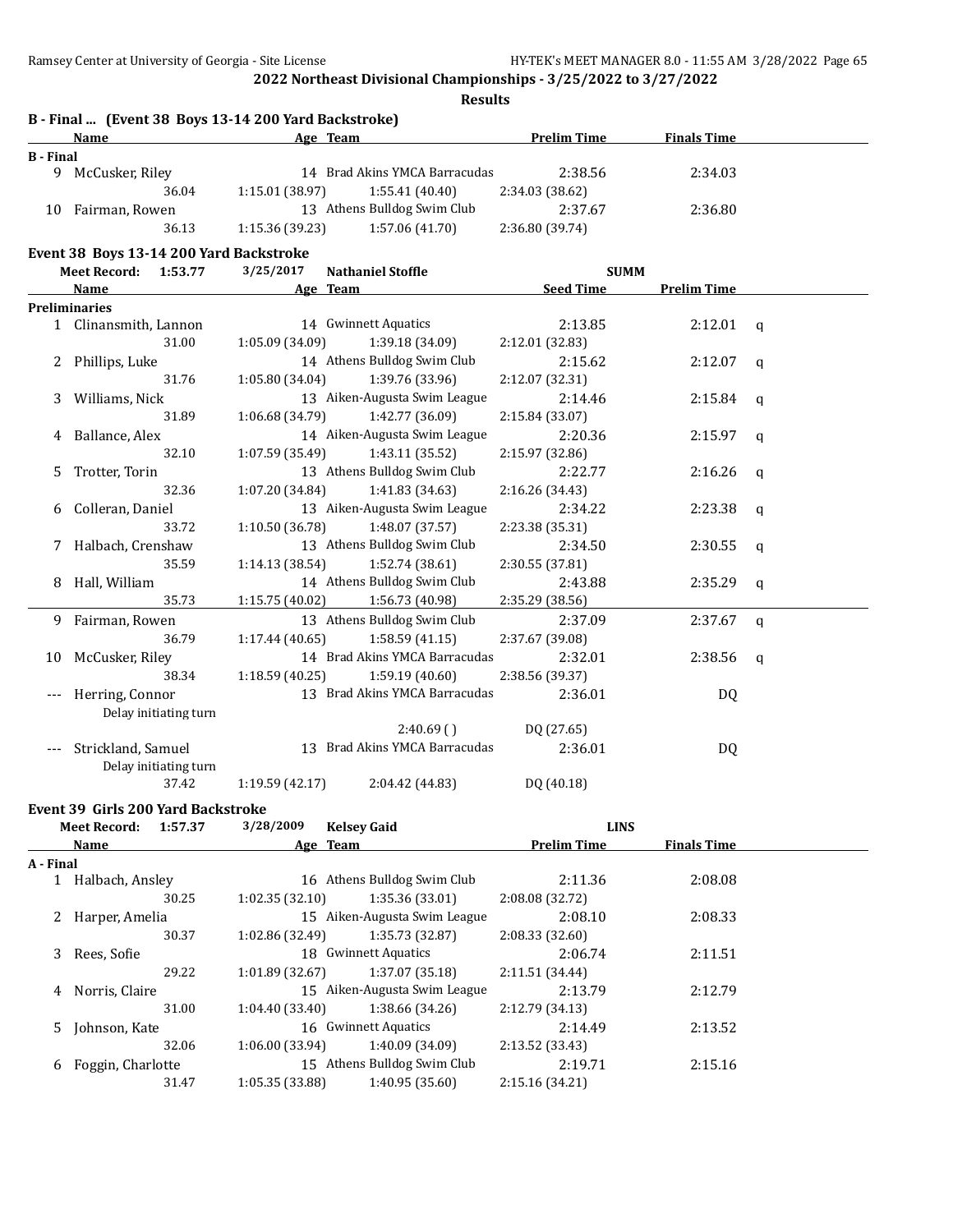|                  | B - Final  (Event 38 Boys 13-14 200 Yard Backstroke) |         |                 |                                                 |                    |                    |              |
|------------------|------------------------------------------------------|---------|-----------------|-------------------------------------------------|--------------------|--------------------|--------------|
|                  | <b>Name</b>                                          |         |                 | Age Team                                        | <b>Prelim Time</b> | <b>Finals Time</b> |              |
| <b>B</b> - Final |                                                      |         |                 |                                                 |                    |                    |              |
|                  | 9 McCusker, Riley                                    |         |                 | 14 Brad Akins YMCA Barracudas                   | 2:38.56            | 2:34.03            |              |
|                  |                                                      | 36.04   | 1:15.01 (38.97) | 1:55.41 (40.40)                                 | 2:34.03 (38.62)    |                    |              |
|                  | 10 Fairman, Rowen                                    |         |                 | 13 Athens Bulldog Swim Club                     | 2:37.67            | 2:36.80            |              |
|                  |                                                      | 36.13   | 1:15.36 (39.23) | 1:57.06 (41.70)                                 | 2:36.80 (39.74)    |                    |              |
|                  | Event 38 Boys 13-14 200 Yard Backstroke              |         |                 |                                                 |                    |                    |              |
|                  | <b>Meet Record:</b>                                  | 1:53.77 | 3/25/2017       | <b>Nathaniel Stoffle</b>                        |                    | <b>SUMM</b>        |              |
|                  | Name                                                 |         |                 | Age Team                                        | <b>Seed Time</b>   | <b>Prelim Time</b> |              |
|                  | <b>Preliminaries</b>                                 |         |                 |                                                 |                    |                    |              |
|                  | 1 Clinansmith, Lannon                                |         |                 | 14 Gwinnett Aquatics                            | 2:13.85            | 2:12.01            | q            |
|                  |                                                      | 31.00   | 1:05.09 (34.09) | 1:39.18 (34.09)                                 | 2:12.01 (32.83)    |                    |              |
|                  | 2 Phillips, Luke                                     |         |                 | 14 Athens Bulldog Swim Club                     | 2:15.62            | 2:12.07            | q            |
|                  |                                                      | 31.76   | 1:05.80 (34.04) | 1:39.76 (33.96)                                 | 2:12.07 (32.31)    |                    |              |
|                  |                                                      |         |                 | 13 Aiken-Augusta Swim League                    |                    |                    |              |
| 3                | Williams, Nick                                       |         |                 |                                                 | 2:14.46            | 2:15.84            | q            |
|                  |                                                      | 31.89   | 1:06.68 (34.79) | 1:42.77 (36.09)<br>14 Aiken-Augusta Swim League | 2:15.84 (33.07)    |                    |              |
| 4                | Ballance, Alex                                       |         |                 |                                                 | 2:20.36            | 2:15.97            | q            |
|                  |                                                      | 32.10   | 1:07.59 (35.49) | 1:43.11(35.52)                                  | 2:15.97 (32.86)    |                    |              |
| 5                | Trotter, Torin                                       |         |                 | 13 Athens Bulldog Swim Club                     | 2:22.77            | 2:16.26            | q            |
|                  |                                                      | 32.36   | 1:07.20 (34.84) | 1:41.83 (34.63)                                 | 2:16.26 (34.43)    |                    |              |
| 6                | Colleran, Daniel                                     |         |                 | 13 Aiken-Augusta Swim League                    | 2:34.22            | 2:23.38            | q            |
|                  |                                                      | 33.72   | 1:10.50 (36.78) | 1:48.07 (37.57)                                 | 2:23.38 (35.31)    |                    |              |
| 7                | Halbach, Crenshaw                                    |         |                 | 13 Athens Bulldog Swim Club                     | 2:34.50            | 2:30.55            | q            |
|                  |                                                      | 35.59   | 1:14.13 (38.54) | 1:52.74 (38.61)                                 | 2:30.55 (37.81)    |                    |              |
| 8                | Hall, William                                        |         |                 | 14 Athens Bulldog Swim Club                     | 2:43.88            | 2:35.29            | q            |
|                  |                                                      | 35.73   | 1:15.75 (40.02) | 1:56.73 (40.98)                                 | 2:35.29 (38.56)    |                    |              |
|                  | 9 Fairman, Rowen                                     |         |                 | 13 Athens Bulldog Swim Club                     | 2:37.09            | 2:37.67            | $\mathbf{q}$ |
|                  |                                                      | 36.79   | 1:17.44 (40.65) | 1:58.59(41.15)                                  | 2:37.67 (39.08)    |                    |              |
| 10               | McCusker, Riley                                      |         |                 | 14 Brad Akins YMCA Barracudas                   | 2:32.01            | 2:38.56            | q            |
|                  |                                                      | 38.34   | 1:18.59 (40.25) | 1:59.19 (40.60)                                 | 2:38.56 (39.37)    |                    |              |
|                  | Herring, Connor                                      |         |                 | 13 Brad Akins YMCA Barracudas                   | 2:36.01            | DQ                 |              |
|                  | Delay initiating turn                                |         |                 |                                                 |                    |                    |              |
|                  |                                                      |         |                 | 2:40.69()                                       | DQ (27.65)         |                    |              |
| $---$            | Strickland, Samuel                                   |         |                 | 13 Brad Akins YMCA Barracudas                   | 2:36.01            | DQ                 |              |
|                  | Delay initiating turn                                |         |                 |                                                 |                    |                    |              |
|                  |                                                      | 37.42   | 1:19.59 (42.17) | 2:04.42 (44.83)                                 | DQ (40.18)         |                    |              |
|                  | Event 39 Girls 200 Yard Backstroke                   |         |                 |                                                 |                    |                    |              |
|                  | <b>Meet Record:</b>                                  | 1:57.37 | 3/28/2009       | <b>Kelsey Gaid</b>                              |                    | <b>LINS</b>        |              |
|                  | <b>Name</b>                                          |         |                 | Age Team                                        | <b>Prelim Time</b> | <b>Finals Time</b> |              |
| A - Final        |                                                      |         |                 |                                                 |                    |                    |              |
|                  | 1 Halbach, Ansley                                    |         |                 | 16 Athens Bulldog Swim Club                     | 2:11.36            | 2:08.08            |              |
|                  |                                                      | 30.25   | 1:02.35 (32.10) | 1:35.36 (33.01)                                 | 2:08.08 (32.72)    |                    |              |
|                  |                                                      |         |                 | 15 Aiken-Augusta Swim League                    | 2:08.10            | 2:08.33            |              |
|                  | 2 Harper, Amelia                                     |         |                 |                                                 |                    |                    |              |
|                  |                                                      | 30.37   | 1:02.86 (32.49) | 1:35.73 (32.87)                                 | 2:08.33 (32.60)    |                    |              |
| 3                | Rees, Sofie                                          |         |                 | 18 Gwinnett Aquatics                            | 2:06.74            | 2:11.51            |              |
|                  |                                                      | 29.22   | 1:01.89 (32.67) | 1:37.07 (35.18)                                 | 2:11.51 (34.44)    |                    |              |
| 4                | Norris, Claire                                       |         |                 | 15 Aiken-Augusta Swim League                    | 2:13.79            | 2:12.79            |              |
|                  |                                                      | 31.00   | 1:04.40 (33.40) | 1:38.66 (34.26)                                 | 2:12.79 (34.13)    |                    |              |
| 5                | Johnson, Kate                                        |         |                 | 16 Gwinnett Aquatics                            | 2:14.49            | 2:13.52            |              |
|                  |                                                      | 32.06   | 1:06.00(33.94)  | 1:40.09 (34.09)                                 | 2:13.52 (33.43)    |                    |              |

6 Foggin, Charlotte 15 Athens Bulldog Swim Club 2:19.71 2:15.16<br>31.47 1:05.35 (33.88) 1:40.95 (35.60) 2:15.16 (34.21) 31.47 1:05.35 (33.88) 1:40.95 (35.60) 2:15.16 (34.21)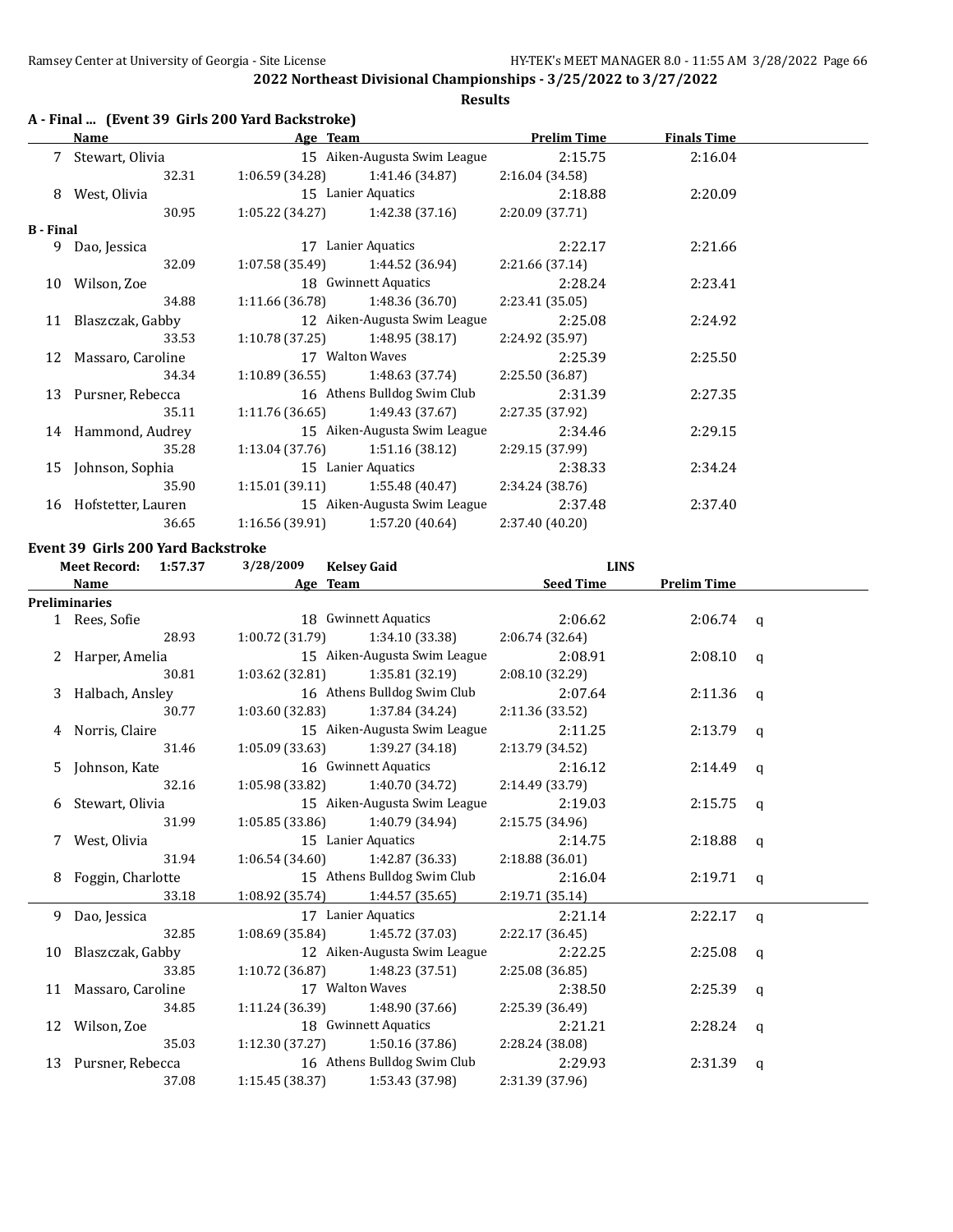## **A - Final ... (Event 39 Girls 200 Yard Backstroke)**

|                  | Name                  | Age Team        |                                   | <b>Prelim Time</b> | <b>Finals Time</b> |  |
|------------------|-----------------------|-----------------|-----------------------------------|--------------------|--------------------|--|
|                  | 7 Stewart, Olivia     |                 | 15 Aiken-Augusta Swim League      | 2:15.75            | 2:16.04            |  |
|                  | 32.31                 |                 | $1:06.59(34.28)$ $1:41.46(34.87)$ | 2:16.04 (34.58)    |                    |  |
| 8                | West, Olivia          |                 | 15 Lanier Aquatics                | 2:18.88            | 2:20.09            |  |
|                  | 30.95                 |                 | $1:05.22(34.27)$ $1:42.38(37.16)$ | 2:20.09(37.71)     |                    |  |
| <b>B</b> - Final |                       |                 |                                   |                    |                    |  |
|                  | 9 Dao, Jessica        |                 | 17 Lanier Aquatics                | 2:22.17            | 2:21.66            |  |
|                  | 32.09                 |                 | $1:07.58(35.49)$ $1:44.52(36.94)$ | 2:21.66(37.14)     |                    |  |
|                  | 10 Wilson, Zoe        |                 | 18 Gwinnett Aquatics              | 2:28.24            | 2:23.41            |  |
|                  | 34.88                 |                 | $1:11.66(36.78)$ $1:48.36(36.70)$ | 2:23.41(35.05)     |                    |  |
|                  | 11 Blaszczak, Gabby   |                 | 12 Aiken-Augusta Swim League      | 2:25.08            | 2:24.92            |  |
|                  | 33.53                 |                 | $1:10.78(37.25)$ $1:48.95(38.17)$ | 2:24.92 (35.97)    |                    |  |
|                  | 12 Massaro, Caroline  |                 | 17 Walton Waves                   | 2:25.39            | 2:25.50            |  |
|                  | 34.34                 |                 | $1:10.89(36.55)$ $1:48.63(37.74)$ | 2:25.50 (36.87)    |                    |  |
|                  | 13 Pursner, Rebecca   |                 | 16 Athens Bulldog Swim Club       | 2:31.39            | 2:27.35            |  |
|                  | 35.11                 |                 | $1:11.76(36.65)$ $1:49.43(37.67)$ | 2:27.35 (37.92)    |                    |  |
|                  | 14 Hammond, Audrey    |                 | 15 Aiken-Augusta Swim League      | 2:34.46            | 2:29.15            |  |
|                  | 35.28                 |                 | $1:13.04(37.76)$ $1:51.16(38.12)$ | 2:29.15 (37.99)    |                    |  |
|                  | 15 Iohnson, Sophia    |                 | 15 Lanier Aquatics                | 2:38.33            | 2:34.24            |  |
|                  | 35.90                 |                 | $1:15.01(39.11)$ $1:55.48(40.47)$ | 2:34.24 (38.76)    |                    |  |
|                  | 16 Hofstetter, Lauren |                 | 15 Aiken-Augusta Swim League      | 2:37.48            | 2:37.40            |  |
|                  | 36.65                 | 1:16.56 (39.91) | 1:57.20 (40.64)                   | 2:37.40 (40.20)    |                    |  |

#### **Event 39 Girls 200 Yard Backstroke**

|    | <b>Meet Record:</b><br>1:57.37 | 3/28/2009       | <b>Kelsey Gaid</b>                  | <b>LINS</b>      |                    |              |
|----|--------------------------------|-----------------|-------------------------------------|------------------|--------------------|--------------|
|    | Name                           | Age Team        |                                     | <b>Seed Time</b> | <b>Prelim Time</b> |              |
|    | <b>Preliminaries</b>           |                 |                                     |                  |                    |              |
|    | 1 Rees, Sofie                  |                 | 18 Gwinnett Aquatics                | 2:06.62          | $2:06.74$ q        |              |
|    | 28.93                          | 1:00.72 (31.79) | 1:34.10 (33.38)                     | 2:06.74(32.64)   |                    |              |
|    | 2 Harper, Amelia               |                 | 15 Aiken-Augusta Swim League        | 2:08.91          | $2:08.10$ q        |              |
|    | 30.81                          |                 | $1:03.62$ (32.81) $1:35.81$ (32.19) | 2:08.10(32.29)   |                    |              |
|    | 3 Halbach, Ansley              |                 | 16 Athens Bulldog Swim Club         | 2:07.64          | $2:11.36$ q        |              |
|    | 30.77                          | 1:03.60(32.83)  | 1:37.84 (34.24)                     | 2:11.36 (33.52)  |                    |              |
|    | 4 Norris, Claire               |                 | 15 Aiken-Augusta Swim League        | 2:11.25          | 2:13.79            | q            |
|    | 31.46                          |                 | $1:05.09(33.63)$ $1:39.27(34.18)$   | 2:13.79 (34.52)  |                    |              |
| 5. | Johnson, Kate                  |                 | 16 Gwinnett Aquatics                | 2:16.12          | 2:14.49            | q            |
|    | 32.16                          |                 | $1:05.98(33.82)$ $1:40.70(34.72)$   | 2:14.49 (33.79)  |                    |              |
|    | 6 Stewart, Olivia              |                 | 15 Aiken-Augusta Swim League        | 2:19.03          | 2:15.75            | q            |
|    | 31.99                          | 1:05.85(33.86)  | 1:40.79 (34.94)                     | 2:15.75 (34.96)  |                    |              |
|    | West, Olivia                   |                 | 15 Lanier Aquatics                  | 2:14.75          | 2:18.88            | $\alpha$     |
|    | 31.94                          |                 | $1:06.54(34.60)$ $1:42.87(36.33)$   | 2:18.88(36.01)   |                    |              |
| 8  | Foggin, Charlotte              |                 | 15 Athens Bulldog Swim Club         | 2:16.04          | $2:19.71$ q        |              |
|    | 33.18                          |                 | $1:08.92(35.74)$ $1:44.57(35.65)$   | 2:19.71(35.14)   |                    |              |
|    | 9 Dao, Jessica                 |                 | 17 Lanier Aquatics                  | 2:21.14          | 2:22.17            | $\mathbf{q}$ |
|    | 32.85                          |                 | $1:08.69$ (35.84) $1:45.72$ (37.03) | 2:22.17 (36.45)  |                    |              |
|    | 10 Blaszczak, Gabby            |                 | 12 Aiken-Augusta Swim League        | 2:22.25          | 2:25.08            | q            |
|    | 33.85                          |                 | $1:10.72$ (36.87) $1:48.23$ (37.51) | 2:25.08 (36.85)  |                    |              |
|    | 11 Massaro, Caroline           |                 | 17 Walton Waves                     | 2:38.50          | $2:25.39$ q        |              |
|    | 34.85                          |                 | $1:11.24(36.39)$ $1:48.90(37.66)$   | 2:25.39 (36.49)  |                    |              |
|    | 12 Wilson, Zoe                 |                 | 18 Gwinnett Aquatics                | 2:21.21          | $2:28.24$ q        |              |
|    | 35.03                          |                 | $1:12.30(37.27)$ $1:50.16(37.86)$   | 2:28.24 (38.08)  |                    |              |
|    | 13 Pursner, Rebecca            |                 | 16 Athens Bulldog Swim Club         | 2:29.93          | 2:31.39            | q            |
|    | 37.08                          | 1:15.45 (38.37) | 1:53.43 (37.98)                     | 2:31.39 (37.96)  |                    |              |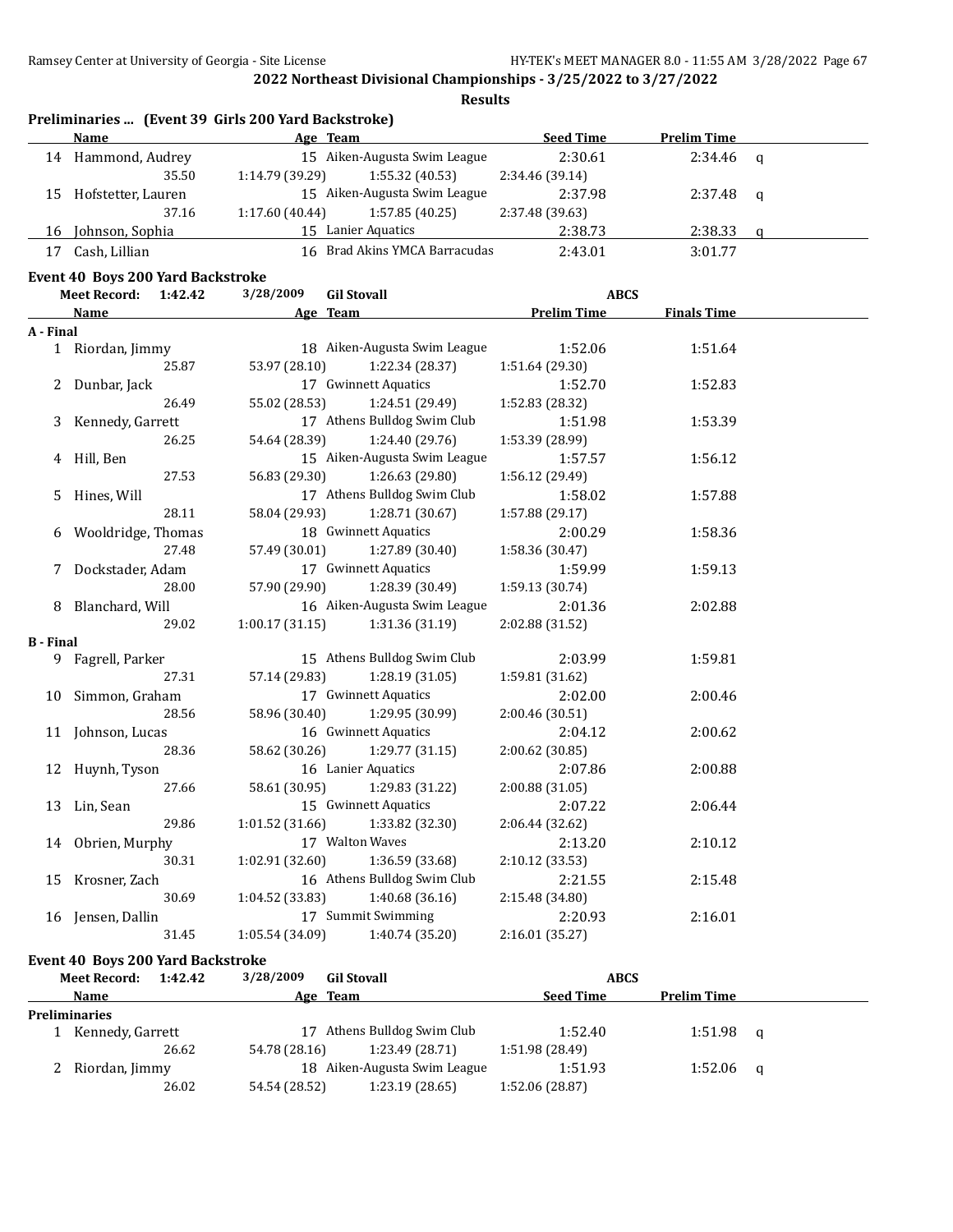**Results**

|    | Preliminaries  (Event 39 Girls 200 Yard Backstroke) |                                  |                  |                    |          |  |  |  |  |
|----|-----------------------------------------------------|----------------------------------|------------------|--------------------|----------|--|--|--|--|
|    | Name                                                | Age Team                         | <b>Seed Time</b> | <b>Prelim Time</b> |          |  |  |  |  |
| 14 | Hammond, Audrey                                     | 15 Aiken-Augusta Swim League     | 2:30.61          | 2:34.46            | $\alpha$ |  |  |  |  |
|    | 35.50                                               | 1:55.32(40.53)<br>1:14.79(39.29) | 2:34.46 (39.14)  |                    |          |  |  |  |  |
| 15 | Hofstetter, Lauren                                  | 15 Aiken-Augusta Swim League     | 2:37.98          | $2:37.48$ q        |          |  |  |  |  |
|    | 37.16                                               | 1:57.85(40.25)<br>1:17.60(40.44) | 2:37.48 (39.63)  |                    |          |  |  |  |  |
| 16 | Johnson, Sophia                                     | Lanier Aquatics<br>15            | 2:38.73          | 2:38.33            |          |  |  |  |  |
|    | Cash, Lillian                                       | Brad Akins YMCA Barracudas<br>16 | 2:43.01          | 3:01.77            |          |  |  |  |  |

#### **Event 40 Boys 200 Yard Backstroke**

|                  | <b>Meet Record:</b>  | 1:42.42 | 3/28/2009       | <b>Gil Stovall</b>                |                    | <b>ABCS</b>        |  |
|------------------|----------------------|---------|-----------------|-----------------------------------|--------------------|--------------------|--|
|                  | <b>Name</b>          |         |                 | Age Team                          | <b>Prelim Time</b> | <b>Finals Time</b> |  |
| A - Final        |                      |         |                 |                                   |                    |                    |  |
|                  | 1 Riordan, Jimmy     |         |                 | 18 Aiken-Augusta Swim League      | 1:52.06            | 1:51.64            |  |
|                  |                      | 25.87   | 53.97 (28.10)   | 1:22.34 (28.37)                   | 1:51.64 (29.30)    |                    |  |
|                  | 2 Dunbar, Jack       |         |                 | 17 Gwinnett Aquatics              | 1:52.70            | 1:52.83            |  |
|                  |                      | 26.49   | 55.02 (28.53)   | 1:24.51 (29.49)                   | 1:52.83 (28.32)    |                    |  |
| 3                | Kennedy, Garrett     |         |                 | 17 Athens Bulldog Swim Club       | 1:51.98            | 1:53.39            |  |
|                  |                      | 26.25   | 54.64 (28.39)   | 1:24.40 (29.76)                   | 1:53.39 (28.99)    |                    |  |
|                  | 4 Hill, Ben          |         |                 | 15 Aiken-Augusta Swim League      | 1:57.57            | 1:56.12            |  |
|                  |                      | 27.53   | 56.83 (29.30)   | 1:26.63 (29.80)                   | 1:56.12 (29.49)    |                    |  |
|                  | 5 Hines, Will        |         |                 | 17 Athens Bulldog Swim Club       | 1:58.02            | 1:57.88            |  |
|                  |                      | 28.11   | 58.04 (29.93)   | 1:28.71 (30.67)                   | 1:57.88 (29.17)    |                    |  |
|                  | 6 Wooldridge, Thomas |         |                 | 18 Gwinnett Aquatics              | 2:00.29            | 1:58.36            |  |
|                  |                      | 27.48   |                 | 57.49 (30.01) 1:27.89 (30.40)     | 1:58.36 (30.47)    |                    |  |
|                  | 7 Dockstader, Adam   |         |                 | 17 Gwinnett Aquatics              | 1:59.99            | 1:59.13            |  |
|                  |                      | 28.00   |                 | 57.90 (29.90) 1:28.39 (30.49)     | 1:59.13 (30.74)    |                    |  |
|                  | 8 Blanchard, Will    |         |                 | 16 Aiken-Augusta Swim League      | 2:01.36            | 2:02.88            |  |
|                  |                      | 29.02   |                 | $1:00.17(31.15)$ $1:31.36(31.19)$ | 2:02.88 (31.52)    |                    |  |
| <b>B</b> - Final |                      |         |                 |                                   |                    |                    |  |
|                  | 9 Fagrell, Parker    |         |                 | 15 Athens Bulldog Swim Club       | 2:03.99            | 1:59.81            |  |
|                  |                      | 27.31   | 57.14 (29.83)   | 1:28.19 (31.05)                   | 1:59.81 (31.62)    |                    |  |
|                  | 10 Simmon, Graham    |         |                 | 17 Gwinnett Aquatics              | 2:02.00            | 2:00.46            |  |
|                  |                      | 28.56   | 58.96 (30.40)   | 1:29.95 (30.99)                   | 2:00.46 (30.51)    |                    |  |
|                  | 11 Johnson, Lucas    |         |                 | 16 Gwinnett Aquatics              | 2:04.12            | 2:00.62            |  |
|                  |                      | 28.36   | 58.62 (30.26)   | 1:29.77(31.15)                    | 2:00.62 (30.85)    |                    |  |
|                  | 12 Huynh, Tyson      |         |                 | 16 Lanier Aquatics                | 2:07.86            | 2:00.88            |  |
|                  |                      | 27.66   | 58.61 (30.95)   | 1:29.83 (31.22)                   | 2:00.88 (31.05)    |                    |  |
|                  | 13 Lin, Sean         |         |                 | 15 Gwinnett Aquatics              | 2:07.22            | 2:06.44            |  |
|                  |                      | 29.86   | 1:01.52(31.66)  | 1:33.82 (32.30)                   | 2:06.44 (32.62)    |                    |  |
|                  | 14 Obrien, Murphy    |         |                 | 17 Walton Waves                   | 2:13.20            | 2:10.12            |  |
|                  |                      | 30.31   | 1:02.91(32.60)  | 1:36.59 (33.68)                   | 2:10.12 (33.53)    |                    |  |
|                  | 15 Krosner, Zach     |         |                 | 16 Athens Bulldog Swim Club       | 2:21.55            | 2:15.48            |  |
|                  |                      | 30.69   | 1:04.52 (33.83) | 1:40.68(36.16)                    | 2:15.48 (34.80)    |                    |  |
|                  | 16 Jensen, Dallin    |         |                 | 17 Summit Swimming                | 2:20.93            | 2:16.01            |  |
|                  |                      | 31.45   | 1:05.54(34.09)  | 1:40.74 (35.20)                   | 2:16.01 (35.27)    |                    |  |

#### **Event 40 Boys 200 Yard Backstroke**

| 1:42.42<br><b>Meet Record:</b> | 3/28/2009<br><b>Gil Stovall</b>  | <b>ABCS</b>                            |          |
|--------------------------------|----------------------------------|----------------------------------------|----------|
| Name                           | Age Team                         | <b>Seed Time</b><br><b>Prelim Time</b> |          |
| Preliminaries                  |                                  |                                        |          |
| Kennedy, Garrett               | 17 Athens Bulldog Swim Club      | 1:52.40<br>1:51.98                     | - a      |
| 26.62                          | 1:23.49 (28.71)<br>54.78 (28.16) | 1:51.98 (28.49)                        |          |
| Riordan, Jimmy                 | 18 Aiken-Augusta Swim League     | 1:51.93<br>1:52.06                     | <b>a</b> |
| 26.02                          | 1:23.19(28.65)<br>54.54 (28.52)  | 1:52.06 (28.87)                        |          |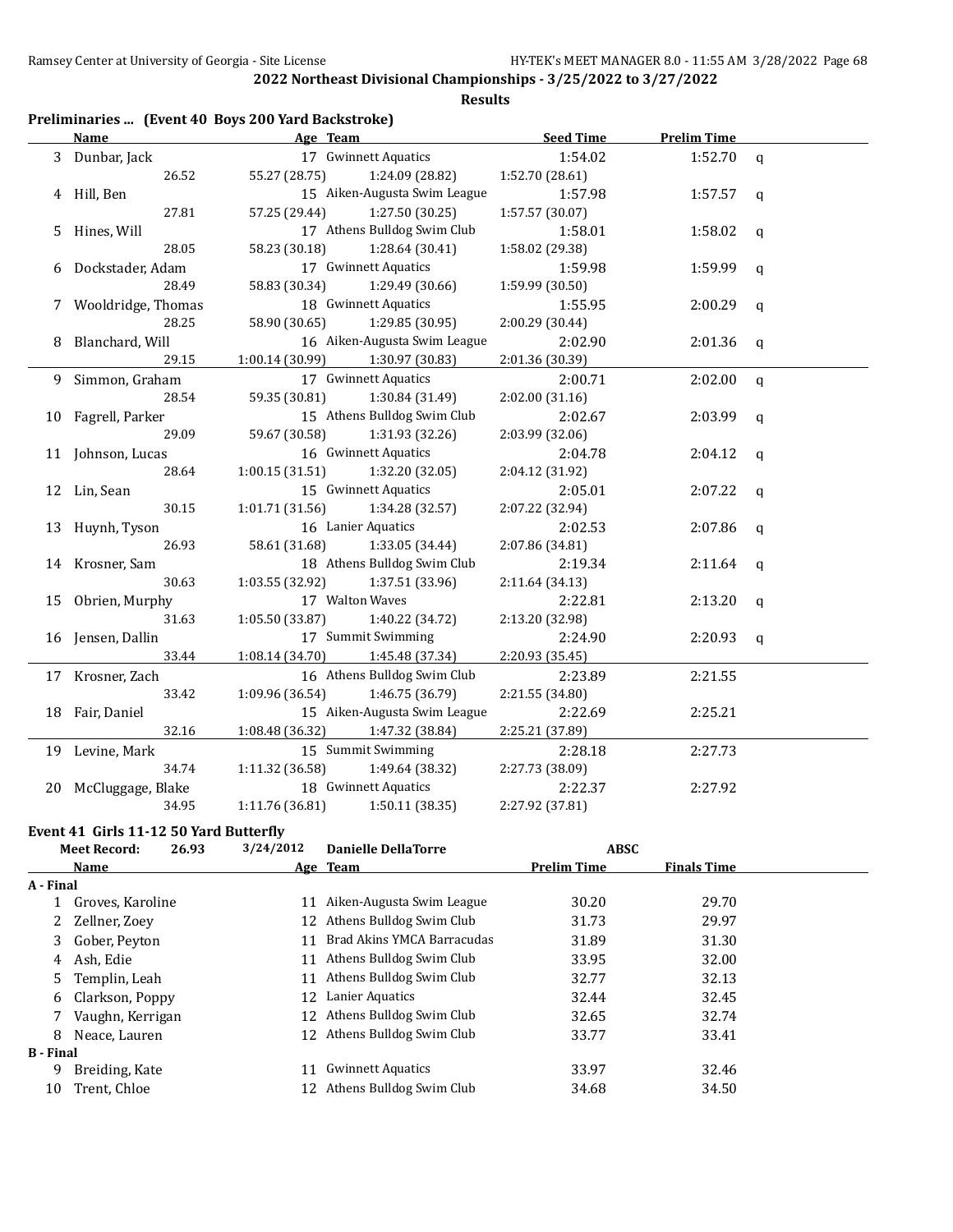**Results**

| Preliminaries  (Event 40 Boys 200 Yard Backstroke) |  |  |  |
|----------------------------------------------------|--|--|--|
|----------------------------------------------------|--|--|--|

|   | <b>Name</b>          | Age Team        |                              | <b>Seed Time</b> | <b>Prelim Time</b> |              |
|---|----------------------|-----------------|------------------------------|------------------|--------------------|--------------|
|   | 3 Dunbar, Jack       |                 | 17 Gwinnett Aquatics         | 1:54.02          | 1:52.70            | $\mathsf{q}$ |
|   | 26.52                | 55.27 (28.75)   | 1:24.09 (28.82)              | 1:52.70 (28.61)  |                    |              |
|   | 4 Hill, Ben          |                 | 15 Aiken-Augusta Swim League | 1:57.98          | 1:57.57            | q            |
|   | 27.81                | 57.25 (29.44)   | 1:27.50(30.25)               | 1:57.57 (30.07)  |                    |              |
|   | 5 Hines, Will        |                 | 17 Athens Bulldog Swim Club  | 1:58.01          | 1:58.02            | q            |
|   | 28.05                | 58.23 (30.18)   | 1:28.64 (30.41)              | 1:58.02 (29.38)  |                    |              |
| 6 | Dockstader, Adam     |                 | 17 Gwinnett Aquatics         | 1:59.98          | 1:59.99            | q            |
|   | 28.49                | 58.83 (30.34)   | 1:29.49 (30.66)              | 1:59.99 (30.50)  |                    |              |
|   | 7 Wooldridge, Thomas |                 | 18 Gwinnett Aquatics         | 1:55.95          | 2:00.29            | q            |
|   | 28.25                | 58.90 (30.65)   | 1:29.85 (30.95)              | 2:00.29 (30.44)  |                    |              |
| 8 | Blanchard, Will      |                 | 16 Aiken-Augusta Swim League | 2:02.90          | 2:01.36            | $\mathsf{q}$ |
|   | 29.15                | 1:00.14(30.99)  | 1:30.97 (30.83)              | 2:01.36 (30.39)  |                    |              |
|   | 9 Simmon, Graham     |                 | 17 Gwinnett Aquatics         | 2:00.71          | 2:02.00            | $\mathbf q$  |
|   | 28.54                | 59.35 (30.81)   | 1:30.84 (31.49)              | 2:02.00 (31.16)  |                    |              |
|   | 10 Fagrell, Parker   |                 | 15 Athens Bulldog Swim Club  | 2:02.67          | 2:03.99            | q            |
|   | 29.09                | 59.67 (30.58)   | 1:31.93 (32.26)              | 2:03.99 (32.06)  |                    |              |
|   | 11 Johnson, Lucas    |                 | 16 Gwinnett Aquatics         | 2:04.78          | 2:04.12            | $\mathbf q$  |
|   | 28.64                | 1:00.15(31.51)  | 1:32.20 (32.05)              | 2:04.12 (31.92)  |                    |              |
|   | 12 Lin, Sean         |                 | 15 Gwinnett Aquatics         | 2:05.01          | 2:07.22            | q            |
|   | 30.15                | 1:01.71(31.56)  | 1:34.28 (32.57)              | 2:07.22 (32.94)  |                    |              |
|   | 13 Huynh, Tyson      |                 | 16 Lanier Aquatics           | 2:02.53          | 2:07.86            | q            |
|   | 26.93                | 58.61 (31.68)   | 1:33.05 (34.44)              | 2:07.86 (34.81)  |                    |              |
|   | 14 Krosner, Sam      |                 | 18 Athens Bulldog Swim Club  | 2:19.34          | 2:11.64            | q            |
|   | 30.63                | 1:03.55 (32.92) | 1:37.51 (33.96)              | 2:11.64 (34.13)  |                    |              |
|   | 15 Obrien, Murphy    |                 | 17 Walton Waves              | 2:22.81          | 2:13.20            | a            |
|   | 31.63                | 1:05.50 (33.87) | 1:40.22 (34.72)              | 2:13.20 (32.98)  |                    |              |
|   | 16 Jensen, Dallin    |                 | 17 Summit Swimming           | 2:24.90          | 2:20.93            | q            |
|   | 33.44                | 1:08.14 (34.70) | 1:45.48 (37.34)              | 2:20.93 (35.45)  |                    |              |
|   | 17 Krosner, Zach     |                 | 16 Athens Bulldog Swim Club  | 2:23.89          | 2:21.55            |              |
|   | 33.42                | 1:09.96 (36.54) | 1:46.75 (36.79)              | 2:21.55 (34.80)  |                    |              |
|   | 18 Fair, Daniel      |                 | 15 Aiken-Augusta Swim League | 2:22.69          | 2:25.21            |              |
|   | 32.16                | 1:08.48 (36.32) | 1:47.32 (38.84)              | 2:25.21 (37.89)  |                    |              |
|   | 19 Levine, Mark      |                 | 15 Summit Swimming           | 2:28.18          | 2:27.73            |              |
|   | 34.74                | 1:11.32(36.58)  | 1:49.64 (38.32)              | 2:27.73 (38.09)  |                    |              |
|   | 20 McCluggage, Blake |                 | 18 Gwinnett Aquatics         | 2:22.37          | 2:27.92            |              |
|   | 34.95                | 1:11.76 (36.81) | 1:50.11 (38.35)              | 2:27.92 (37.81)  |                    |              |

## **Event 41 Girls 11-12 50 Yard Butterfly**

|                  | <b>Meet Record:</b> | 26.93 | 3/24/2012 | <b>Danielle DellaTorre</b>  | <b>ABSC</b>        |                    |  |
|------------------|---------------------|-------|-----------|-----------------------------|--------------------|--------------------|--|
|                  | <b>Name</b>         |       |           | Age Team                    | <b>Prelim Time</b> | <b>Finals Time</b> |  |
| A - Final        |                     |       |           |                             |                    |                    |  |
|                  | Groves, Karoline    |       | 11        | Aiken-Augusta Swim League   | 30.20              | 29.70              |  |
| 2                | Zellner, Zoev       |       |           | 12 Athens Bulldog Swim Club | 31.73              | 29.97              |  |
| 3                | Gober, Peyton       |       | 11        | Brad Akins YMCA Barracudas  | 31.89              | 31.30              |  |
| 4                | Ash, Edie           |       | 11        | Athens Bulldog Swim Club    | 33.95              | 32.00              |  |
| 5                | Templin, Leah       |       | 11        | Athens Bulldog Swim Club    | 32.77              | 32.13              |  |
| 6                | Clarkson, Poppy     |       |           | 12 Lanier Aquatics          | 32.44              | 32.45              |  |
|                  | Vaughn, Kerrigan    |       | 12        | Athens Bulldog Swim Club    | 32.65              | 32.74              |  |
| 8                | Neace, Lauren       |       |           | 12 Athens Bulldog Swim Club | 33.77              | 33.41              |  |
| <b>B</b> - Final |                     |       |           |                             |                    |                    |  |
| 9                | Breiding, Kate      |       | 11        | <b>Gwinnett Aquatics</b>    | 33.97              | 32.46              |  |
| 10               | Trent, Chloe        |       | 12.       | Athens Bulldog Swim Club    | 34.68              | 34.50              |  |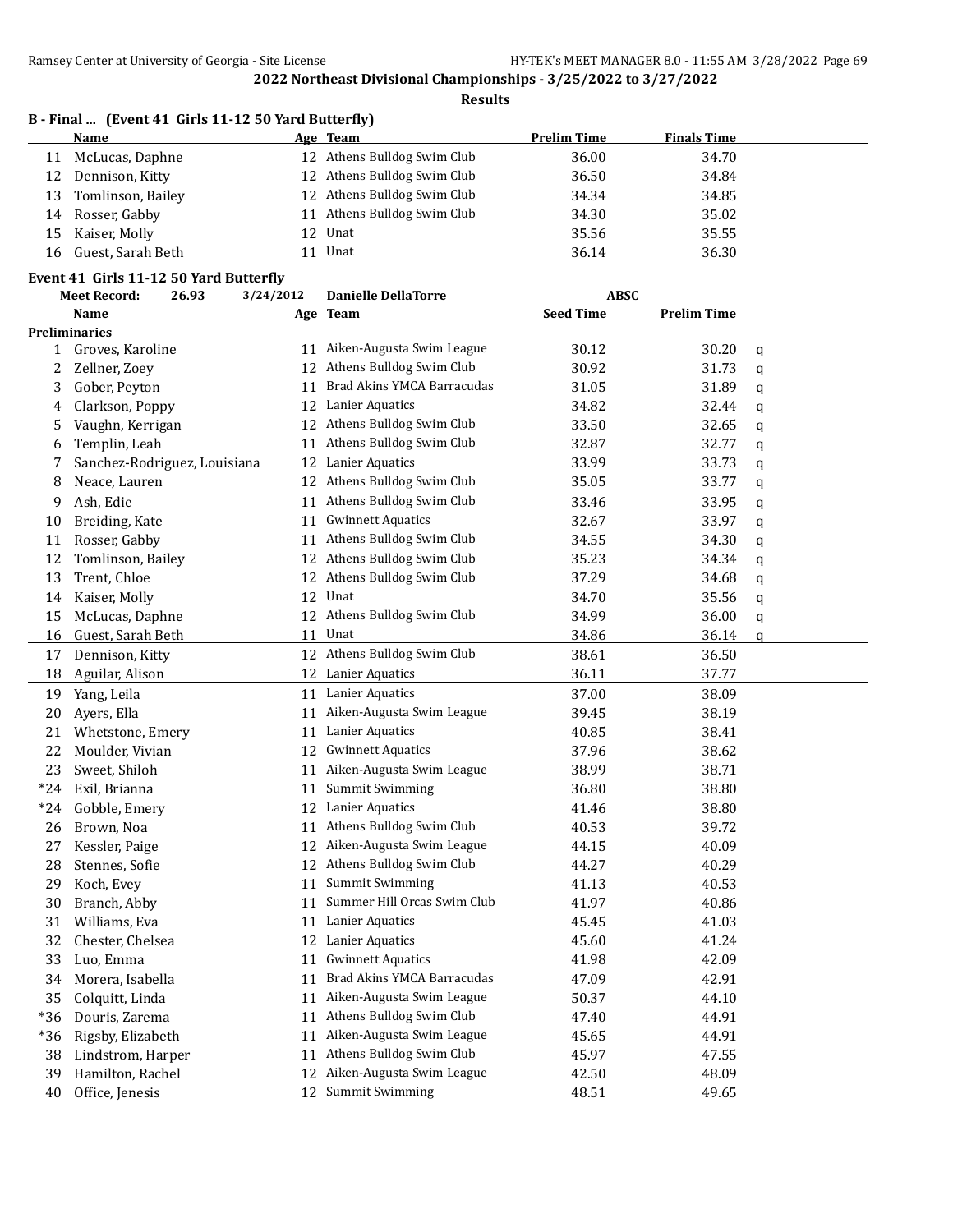|       | B - Final  (Event 41 Girls 11-12 50 Yard Butterfly) |           |                              | <b>Prelim Time</b> |                    |   |
|-------|-----------------------------------------------------|-----------|------------------------------|--------------------|--------------------|---|
|       | Name                                                |           | Age Team                     |                    | <b>Finals Time</b> |   |
| 11    | McLucas, Daphne                                     |           | 12 Athens Bulldog Swim Club  | 36.00              | 34.70              |   |
| 12    | Dennison, Kitty                                     |           | 12 Athens Bulldog Swim Club  | 36.50              | 34.84              |   |
| 13    | Tomlinson, Bailey                                   |           | 12 Athens Bulldog Swim Club  | 34.34              | 34.85              |   |
| 14    | Rosser, Gabby                                       |           | 11 Athens Bulldog Swim Club  | 34.30              | 35.02              |   |
| 15    | Kaiser, Molly                                       | 12        | Unat                         | 35.56              | 35.55              |   |
| 16    | Guest, Sarah Beth                                   |           | 11 Unat                      | 36.14              | 36.30              |   |
|       | Event 41 Girls 11-12 50 Yard Butterfly              |           |                              |                    |                    |   |
|       | 26.93<br><b>Meet Record:</b>                        | 3/24/2012 | <b>Danielle DellaTorre</b>   | ABSC               |                    |   |
|       | Name                                                |           | Age Team                     | <b>Seed Time</b>   | <b>Prelim Time</b> |   |
|       | <b>Preliminaries</b>                                |           |                              |                    |                    |   |
| 1     | Groves, Karoline                                    |           | 11 Aiken-Augusta Swim League | 30.12              | 30.20              | q |
| 2     | Zellner, Zoey                                       |           | 12 Athens Bulldog Swim Club  | 30.92              | 31.73              | q |
| 3     | Gober, Peyton                                       | 11        | Brad Akins YMCA Barracudas   | 31.05              | 31.89              | q |
| 4     | Clarkson, Poppy                                     | 12        | Lanier Aquatics              | 34.82              | 32.44              | q |
| 5     | Vaughn, Kerrigan                                    |           | 12 Athens Bulldog Swim Club  | 33.50              | 32.65              | q |
| 6     | Templin, Leah                                       |           | 11 Athens Bulldog Swim Club  | 32.87              | 32.77              | q |
| 7     | Sanchez-Rodriguez, Louisiana                        |           | 12 Lanier Aquatics           | 33.99              | 33.73              | q |
| 8     | Neace, Lauren                                       |           | 12 Athens Bulldog Swim Club  | 35.05              | 33.77              | q |
| 9     | Ash, Edie                                           |           | 11 Athens Bulldog Swim Club  | 33.46              | 33.95              | q |
| 10    | Breiding, Kate                                      | 11        | <b>Gwinnett Aquatics</b>     | 32.67              | 33.97              | q |
| 11    | Rosser, Gabby                                       | 11        | Athens Bulldog Swim Club     | 34.55              | 34.30              | q |
| 12    | Tomlinson, Bailey                                   | 12        | Athens Bulldog Swim Club     | 35.23              | 34.34              | q |
| 13    | Trent, Chloe                                        | 12        | Athens Bulldog Swim Club     | 37.29              | 34.68              | q |
| 14    | Kaiser, Molly                                       | 12        | Unat                         | 34.70              | 35.56              | q |
| 15    | McLucas, Daphne                                     | 12        | Athens Bulldog Swim Club     | 34.99              | 36.00              | q |
| 16    | Guest, Sarah Beth                                   | 11        | Unat                         | 34.86              | 36.14              | a |
| 17    | Dennison, Kitty                                     |           | 12 Athens Bulldog Swim Club  | 38.61              | 36.50              |   |
| 18    | Aguilar, Alison                                     |           | 12 Lanier Aquatics           | 36.11              | 37.77              |   |
| 19    | Yang, Leila                                         |           | 11 Lanier Aquatics           | 37.00              | 38.09              |   |
| 20    | Ayers, Ella                                         | 11        | Aiken-Augusta Swim League    | 39.45              | 38.19              |   |
| 21    | Whetstone, Emery                                    | 11        | Lanier Aquatics              | 40.85              | 38.41              |   |
| 22    | Moulder, Vivian                                     | 12        | <b>Gwinnett Aquatics</b>     | 37.96              | 38.62              |   |
| 23    | Sweet, Shiloh                                       |           | 11 Aiken-Augusta Swim League | 38.99              | 38.71              |   |
| $*24$ | Exil, Brianna                                       |           | 11 Summit Swimming           | 36.80              | 38.80              |   |
| *24   | Gobble, Emery                                       | 12        | Lanier Aquatics              | 41.46              | 38.80              |   |
|       |                                                     |           | 11 Athens Bulldog Swim Club  |                    |                    |   |
| 26    | Brown, Noa                                          |           | Aiken-Augusta Swim League    | 40.53              | 39.72              |   |
| 27    | Kessler, Paige                                      | 12        | Athens Bulldog Swim Club     | 44.15              | 40.09              |   |
| 28    | Stennes, Sofie                                      | 12        |                              | 44.27              | 40.29              |   |
| 29    | Koch, Evey                                          | 11        | <b>Summit Swimming</b>       | 41.13              | 40.53              |   |
| 30    | Branch, Abby                                        | 11        | Summer Hill Orcas Swim Club  | 41.97              | 40.86              |   |
| 31    | Williams, Eva                                       | 11        | Lanier Aquatics              | 45.45              | 41.03              |   |
| 32    | Chester, Chelsea                                    | 12        | Lanier Aquatics              | 45.60              | 41.24              |   |
| 33    | Luo, Emma                                           | 11        | <b>Gwinnett Aquatics</b>     | 41.98              | 42.09              |   |
| 34    | Morera, Isabella                                    | 11        | Brad Akins YMCA Barracudas   | 47.09              | 42.91              |   |
| 35    | Colquitt, Linda                                     | 11        | Aiken-Augusta Swim League    | 50.37              | 44.10              |   |
| $*36$ | Douris, Zarema                                      | 11        | Athens Bulldog Swim Club     | 47.40              | 44.91              |   |
| $*36$ | Rigsby, Elizabeth                                   | 11        | Aiken-Augusta Swim League    | 45.65              | 44.91              |   |
| 38    | Lindstrom, Harper                                   | 11        | Athens Bulldog Swim Club     | 45.97              | 47.55              |   |
| 39    | Hamilton, Rachel                                    | 12        | Aiken-Augusta Swim League    | 42.50              | 48.09              |   |
| 40    | Office, Jenesis                                     | 12        | <b>Summit Swimming</b>       | 48.51              | 49.65              |   |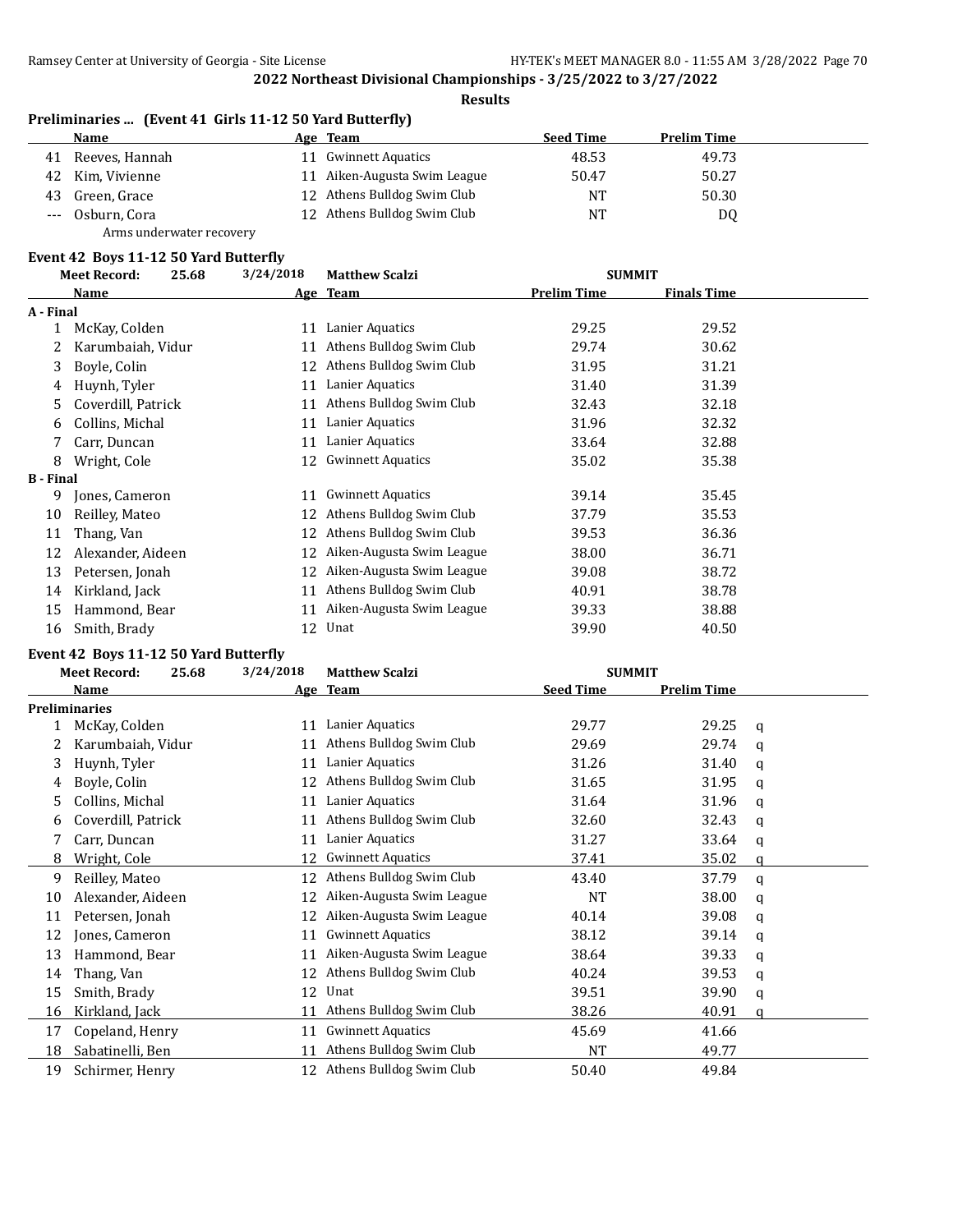#### **Results**

|    | Preliminaries  (Event 41 Girls 11-12 50 Yard Butterfly) |    |                             |                  |                    |  |  |  |
|----|---------------------------------------------------------|----|-----------------------------|------------------|--------------------|--|--|--|
|    | Name                                                    |    | Age Team                    | <b>Seed Time</b> | <b>Prelim Time</b> |  |  |  |
| 41 | Reeves, Hannah                                          | 11 | Gwinnett Aquatics           | 48.53            | 49.73              |  |  |  |
| 42 | Kim, Vivienne                                           | 11 | Aiken-Augusta Swim League   | 50.47            | 50.27              |  |  |  |
| 43 | Green, Grace                                            |    | 12 Athens Bulldog Swim Club | NT               | 50.30              |  |  |  |
|    | --- Osburn, Cora                                        |    | 12 Athens Bulldog Swim Club | NT               | DQ                 |  |  |  |
|    | Arms underwater recovery                                |    |                             |                  |                    |  |  |  |

## **Event 42 Boys 11-12 50 Yard Butterfly**

|                  | <b>Meet Record:</b> | 25.68 | 3/24/2018 | <b>Matthew Scalzi</b>     | <b>SUMMIT</b>      |                    |  |
|------------------|---------------------|-------|-----------|---------------------------|--------------------|--------------------|--|
|                  | Name                |       |           | Age Team                  | <b>Prelim Time</b> | <b>Finals Time</b> |  |
| A - Final        |                     |       |           |                           |                    |                    |  |
|                  | McKay, Colden       |       | 11        | Lanier Aquatics           | 29.25              | 29.52              |  |
|                  | Karumbaiah, Vidur   |       | 11        | Athens Bulldog Swim Club  | 29.74              | 30.62              |  |
| 3                | Boyle, Colin        |       | 12        | Athens Bulldog Swim Club  | 31.95              | 31.21              |  |
| 4                | Huynh, Tyler        |       | 11        | Lanier Aquatics           | 31.40              | 31.39              |  |
| 5                | Coverdill, Patrick  |       | 11        | Athens Bulldog Swim Club  | 32.43              | 32.18              |  |
| 6                | Collins, Michal     |       | 11        | Lanier Aquatics           | 31.96              | 32.32              |  |
|                  | Carr, Duncan        |       | 11        | Lanier Aquatics           | 33.64              | 32.88              |  |
| 8                | Wright, Cole        |       | 12        | <b>Gwinnett Aquatics</b>  | 35.02              | 35.38              |  |
| <b>B</b> - Final |                     |       |           |                           |                    |                    |  |
| 9                | Jones, Cameron      |       | 11        | <b>Gwinnett Aquatics</b>  | 39.14              | 35.45              |  |
| 10               | Reilley, Mateo      |       | 12        | Athens Bulldog Swim Club  | 37.79              | 35.53              |  |
| 11               | Thang, Van          |       | 12        | Athens Bulldog Swim Club  | 39.53              | 36.36              |  |
| 12               | Alexander, Aideen   |       | 12        | Aiken-Augusta Swim League | 38.00              | 36.71              |  |
| 13               | Petersen, Jonah     |       | 12        | Aiken-Augusta Swim League | 39.08              | 38.72              |  |
| 14               | Kirkland, Jack      |       | 11        | Athens Bulldog Swim Club  | 40.91              | 38.78              |  |
| 15               | Hammond, Bear       |       | 11        | Aiken-Augusta Swim League | 39.33              | 38.88              |  |
| 16               | Smith, Brady        |       | 12        | Unat                      | 39.90              | 40.50              |  |

# **Event 42 Boys 11-12 50 Yard Butterfly**

| <b>Meet Record:</b><br>25.68 |                      | 3/24/2018 | <b>Matthew Scalzi</b>     | <b>SUMMIT</b>    |                    |   |
|------------------------------|----------------------|-----------|---------------------------|------------------|--------------------|---|
|                              | <b>Name</b>          |           | Age Team                  | <b>Seed Time</b> | <b>Prelim Time</b> |   |
|                              | <b>Preliminaries</b> |           |                           |                  |                    |   |
|                              | McKay, Colden        | 11        | Lanier Aquatics           | 29.77            | 29.25              | q |
|                              | Karumbaiah, Vidur    | 11        | Athens Bulldog Swim Club  | 29.69            | 29.74              | a |
| 3                            | Huynh, Tyler         | 11        | Lanier Aquatics           | 31.26            | 31.40              | q |
| 4                            | Boyle, Colin         | 12        | Athens Bulldog Swim Club  | 31.65            | 31.95              | a |
| 5.                           | Collins, Michal      | 11        | Lanier Aquatics           | 31.64            | 31.96              | q |
| 6                            | Coverdill, Patrick   | 11        | Athens Bulldog Swim Club  | 32.60            | 32.43              | a |
|                              | Carr, Duncan         | 11        | Lanier Aquatics           | 31.27            | 33.64              | q |
| 8                            | Wright, Cole         | 12        | <b>Gwinnett Aquatics</b>  | 37.41            | 35.02              | a |
| 9                            | Reilley, Mateo       | 12        | Athens Bulldog Swim Club  | 43.40            | 37.79              | a |
| 10                           | Alexander, Aideen    | 12        | Aiken-Augusta Swim League | <b>NT</b>        | 38.00              | a |
| 11                           | Petersen, Jonah      | 12        | Aiken-Augusta Swim League | 40.14            | 39.08              | a |
| 12                           | Jones, Cameron       | 11        | <b>Gwinnett Aquatics</b>  | 38.12            | 39.14              | a |
| 13                           | Hammond, Bear        | 11        | Aiken-Augusta Swim League | 38.64            | 39.33              | a |
| 14                           | Thang, Van           | 12        | Athens Bulldog Swim Club  | 40.24            | 39.53              | a |
| 15                           | Smith, Brady         | 12        | Unat                      | 39.51            | 39.90              | q |
| 16                           | Kirkland, Jack       | 11        | Athens Bulldog Swim Club  | 38.26            | 40.91              | a |
| 17                           | Copeland, Henry      | 11        | <b>Gwinnett Aquatics</b>  | 45.69            | 41.66              |   |
| 18                           | Sabatinelli, Ben     | 11        | Athens Bulldog Swim Club  | NT               | 49.77              |   |
| 19                           | Schirmer, Henry      | 12        | Athens Bulldog Swim Club  | 50.40            | 49.84              |   |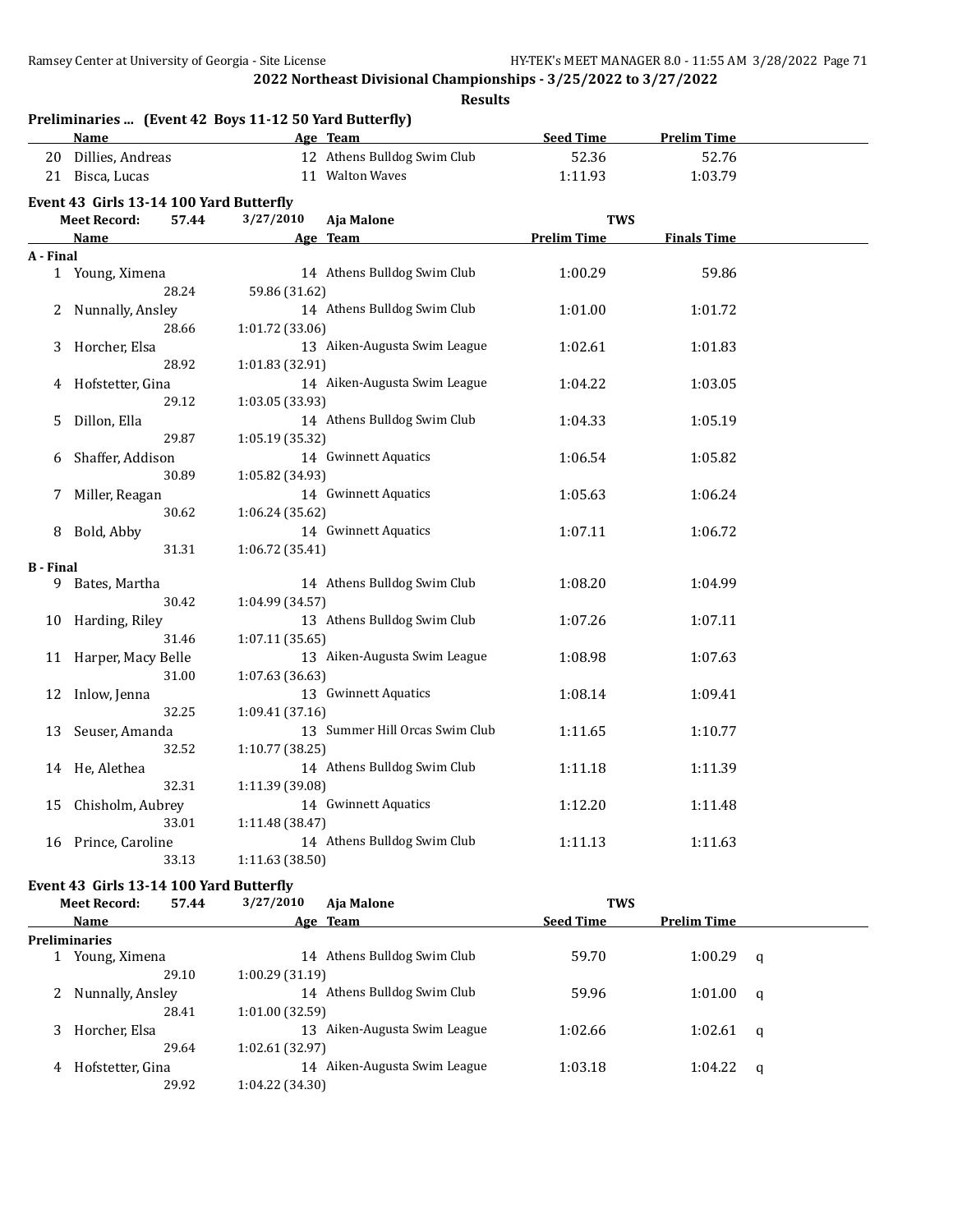|                              | Name                                    |                 | Age Team                       | <b>Seed Time</b>   | <b>Prelim Time</b> |  |
|------------------------------|-----------------------------------------|-----------------|--------------------------------|--------------------|--------------------|--|
|                              | 20 Dillies, Andreas                     |                 | 12 Athens Bulldog Swim Club    | 52.36              | 52.76              |  |
|                              | 21 Bisca, Lucas                         |                 | 11 Walton Waves                | 1:11.93            | 1:03.79            |  |
|                              | Event 43 Girls 13-14 100 Yard Butterfly |                 |                                |                    |                    |  |
| 57.44<br><b>Meet Record:</b> |                                         | 3/27/2010       | Aja Malone                     | <b>TWS</b>         |                    |  |
|                              | <b>Name</b>                             |                 | Age Team                       | <b>Prelim Time</b> | <b>Finals Time</b> |  |
| A - Final                    |                                         |                 |                                |                    |                    |  |
|                              | 1 Young, Ximena                         |                 | 14 Athens Bulldog Swim Club    | 1:00.29            | 59.86              |  |
|                              | 28.24                                   | 59.86 (31.62)   |                                |                    |                    |  |
|                              | Nunnally, Ansley                        |                 | 14 Athens Bulldog Swim Club    | 1:01.00            | 1:01.72            |  |
|                              | 28.66                                   | 1:01.72 (33.06) |                                |                    |                    |  |
| 3                            | Horcher, Elsa                           |                 | 13 Aiken-Augusta Swim League   | 1:02.61            | 1:01.83            |  |
|                              | 28.92                                   | 1:01.83 (32.91) |                                |                    |                    |  |
| 4                            | Hofstetter, Gina                        |                 | 14 Aiken-Augusta Swim League   | 1:04.22            | 1:03.05            |  |
|                              | 29.12                                   | 1:03.05 (33.93) |                                |                    |                    |  |
| 5                            | Dillon, Ella                            |                 | 14 Athens Bulldog Swim Club    | 1:04.33            | 1:05.19            |  |
|                              | 29.87                                   | 1:05.19 (35.32) |                                |                    |                    |  |
| 6                            | Shaffer, Addison                        |                 | 14 Gwinnett Aquatics           | 1:06.54            | 1:05.82            |  |
|                              | 30.89                                   | 1:05.82 (34.93) |                                |                    |                    |  |
| 7                            | Miller, Reagan                          |                 | 14 Gwinnett Aquatics           | 1:05.63            | 1:06.24            |  |
|                              | 30.62                                   | 1:06.24(35.62)  |                                |                    |                    |  |
| 8                            | Bold, Abby                              |                 | 14 Gwinnett Aquatics           | 1:07.11            | 1:06.72            |  |
|                              | 31.31                                   | 1:06.72 (35.41) |                                |                    |                    |  |
| <b>B</b> - Final             |                                         |                 |                                |                    |                    |  |
|                              | 9 Bates, Martha                         |                 | 14 Athens Bulldog Swim Club    | 1:08.20            | 1:04.99            |  |
|                              | 30.42                                   | 1:04.99 (34.57) |                                |                    |                    |  |
| 10                           | Harding, Riley                          |                 | 13 Athens Bulldog Swim Club    | 1:07.26            | 1:07.11            |  |
|                              | 31.46                                   | 1:07.11(35.65)  |                                |                    |                    |  |
|                              | 11 Harper, Macy Belle                   |                 | 13 Aiken-Augusta Swim League   | 1:08.98            | 1:07.63            |  |
|                              | 31.00                                   | 1:07.63 (36.63) |                                |                    |                    |  |
|                              | 12 Inlow, Jenna                         |                 | 13 Gwinnett Aquatics           | 1:08.14            | 1:09.41            |  |
|                              | 32.25                                   | 1:09.41(37.16)  |                                |                    |                    |  |
| 13                           | Seuser, Amanda                          |                 | 13 Summer Hill Orcas Swim Club | 1:11.65            | 1:10.77            |  |
|                              | 32.52                                   | 1:10.77 (38.25) |                                |                    |                    |  |
| 14                           | He, Alethea                             |                 | 14 Athens Bulldog Swim Club    | 1:11.18            | 1:11.39            |  |
|                              | 32.31                                   | 1:11.39 (39.08) |                                |                    |                    |  |
|                              |                                         |                 | 14 Gwinnett Aquatics           |                    |                    |  |
| 15                           | Chisholm, Aubrey                        |                 |                                | 1:12.20            | 1:11.48            |  |
|                              | 33.01                                   | 1:11.48 (38.47) |                                |                    |                    |  |
|                              | 16 Prince, Caroline                     |                 | 14 Athens Bulldog Swim Club    | 1:11.13            | 1:11.63            |  |
|                              | 33.13                                   | 1:11.63(38.50)  |                                |                    |                    |  |

|    | <b>Meet Record:</b>  | 57.44 | 3/27/2010       | Aja Malone                | <b>TWS</b>       |                    |   |  |  |
|----|----------------------|-------|-----------------|---------------------------|------------------|--------------------|---|--|--|
|    | Name                 |       |                 | Age Team                  | <b>Seed Time</b> | <b>Prelim Time</b> |   |  |  |
|    | <b>Preliminaries</b> |       |                 |                           |                  |                    |   |  |  |
|    | Young, Ximena        |       | 14              | Athens Bulldog Swim Club  | 59.70            | 1:00.29            | q |  |  |
|    |                      | 29.10 | 1:00.29(31.19)  |                           |                  |                    |   |  |  |
| 2. | Nunnally, Ansley     |       | 14              | Athens Bulldog Swim Club  | 59.96            | 1:01.00            | q |  |  |
|    |                      | 28.41 | 1:01.00(32.59)  |                           |                  |                    |   |  |  |
|    | Horcher, Elsa        |       | 13              | Aiken-Augusta Swim League | 1:02.66          | 1:02.61            | q |  |  |
|    |                      | 29.64 | 1:02.61 (32.97) |                           |                  |                    |   |  |  |
| 4  | Hofstetter, Gina     |       | 14              | Aiken-Augusta Swim League | 1:03.18          | 1:04.22            | q |  |  |
|    |                      | 29.92 | 1:04.22 (34.30) |                           |                  |                    |   |  |  |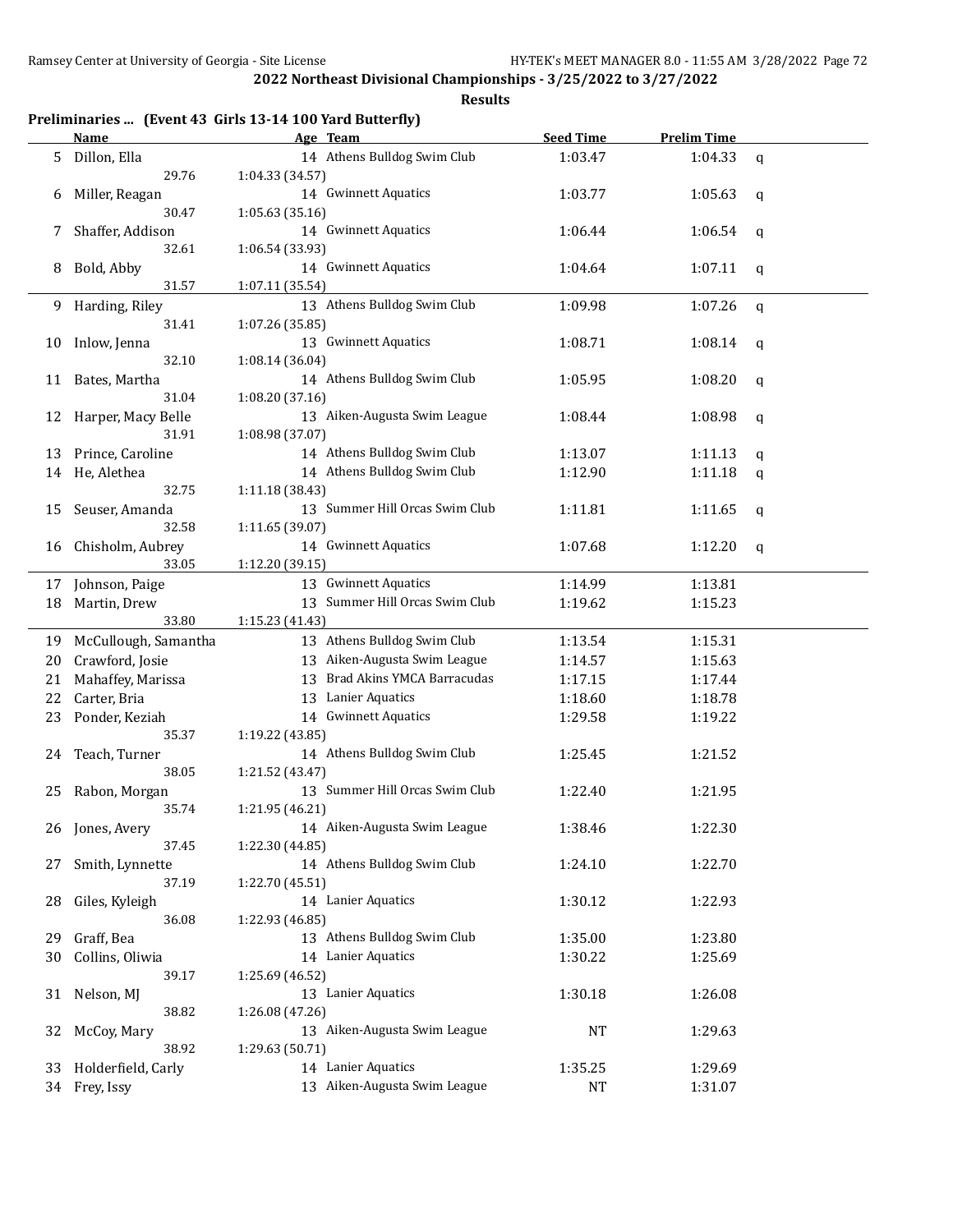|              | <b>Name</b>               | Preliminaries  (Event 43 Girls 13-14 100 Yard Butterfly)<br>Age Team | <b>Seed Time</b> | <b>Prelim Time</b> |             |
|--------------|---------------------------|----------------------------------------------------------------------|------------------|--------------------|-------------|
| 5            | Dillon, Ella              | 14 Athens Bulldog Swim Club                                          | 1:03.47          | 1:04.33            | $\mathbf q$ |
|              | 29.76                     | 1:04.33 (34.57)                                                      |                  |                    |             |
| 6            | Miller, Reagan            | 14 Gwinnett Aquatics                                                 | 1:03.77          | 1:05.63            | q           |
|              | 30.47                     | 1:05.63 (35.16)                                                      |                  |                    |             |
| 7            | Shaffer, Addison          | 14 Gwinnett Aquatics                                                 | 1:06.44          | 1:06.54            | q           |
|              | 32.61                     | 1:06.54 (33.93)                                                      |                  |                    |             |
| 8<br>9<br>10 | Bold, Abby                | 14 Gwinnett Aquatics                                                 | 1:04.64          | 1:07.11            | q           |
|              | 31.57                     | 1:07.11 (35.54)                                                      |                  |                    |             |
|              | Harding, Riley            | 13 Athens Bulldog Swim Club                                          | 1:09.98          | 1:07.26            | q           |
|              | 31.41                     | 1:07.26 (35.85)                                                      |                  |                    |             |
|              | Inlow, Jenna              | 13 Gwinnett Aquatics                                                 | 1:08.71          | 1:08.14            | q           |
|              | 32.10                     | 1:08.14 (36.04)                                                      |                  |                    |             |
| 11           | Bates, Martha             | 14 Athens Bulldog Swim Club                                          | 1:05.95          | 1:08.20            | q           |
|              | 31.04                     | 1:08.20 (37.16)                                                      |                  |                    |             |
| 12           | Harper, Macy Belle        | 13 Aiken-Augusta Swim League                                         | 1:08.44          | 1:08.98            |             |
|              | 31.91                     | 1:08.98 (37.07)                                                      |                  |                    | q           |
| 13           | Prince, Caroline          | 14 Athens Bulldog Swim Club                                          | 1:13.07          | 1:11.13            |             |
| 14           | He, Alethea               | 14 Athens Bulldog Swim Club                                          | 1:12.90          | 1:11.18            | q           |
|              | 32.75                     | 1:11.18 (38.43)                                                      |                  |                    | q           |
| 15           | Seuser, Amanda            | 13 Summer Hill Orcas Swim Club                                       | 1:11.81          | 1:11.65            |             |
|              | 32.58                     |                                                                      |                  |                    | q           |
|              |                           | 1:11.65 (39.07)<br>14 Gwinnett Aquatics                              | 1:07.68          | 1:12.20            |             |
| 16           | Chisholm, Aubrey<br>33.05 |                                                                      |                  |                    | q           |
|              |                           | 1:12.20 (39.15)                                                      |                  |                    |             |
| 17           | Johnson, Paige            | 13 Gwinnett Aquatics<br>13 Summer Hill Orcas Swim Club               | 1:14.99          | 1:13.81            |             |
| 18           | Martin, Drew<br>33.80     |                                                                      | 1:19.62          | 1:15.23            |             |
|              | McCullough, Samantha      | 1:15.23 (41.43)<br>13 Athens Bulldog Swim Club                       | 1:13.54          | 1:15.31            |             |
| 19           |                           | 13 Aiken-Augusta Swim League                                         |                  |                    |             |
| 20           | Crawford, Josie           |                                                                      | 1:14.57          | 1:15.63            |             |
| 21           | Mahaffey, Marissa         | <b>Brad Akins YMCA Barracudas</b><br>13                              | 1:17.15          | 1:17.44            |             |
| 22           | Carter, Bria              | Lanier Aquatics<br>13                                                | 1:18.60          | 1:18.78            |             |
| 23           | Ponder, Keziah            | 14 Gwinnett Aquatics                                                 | 1:29.58          | 1:19.22            |             |
|              | 35.37                     | 1:19.22 (43.85)                                                      |                  |                    |             |
| 24           | Teach, Turner             | 14 Athens Bulldog Swim Club                                          | 1:25.45          | 1:21.52            |             |
|              | 38.05                     | 1:21.52 (43.47)                                                      |                  |                    |             |
| 25           | Rabon, Morgan             | 13 Summer Hill Orcas Swim Club                                       | 1:22.40          | 1:21.95            |             |
|              | 35.74                     | 1:21.95 (46.21)                                                      |                  |                    |             |
| 26           | Jones, Avery              | 14 Aiken-Augusta Swim League                                         | 1:38.46          | 1:22.30            |             |
|              | 37.45                     | 1:22.30 (44.85)                                                      |                  |                    |             |
| 27           | Smith, Lynnette           | 14 Athens Bulldog Swim Club                                          | 1:24.10          | 1:22.70            |             |
|              | 37.19                     | 1:22.70 (45.51)                                                      |                  |                    |             |
| 28           | Giles, Kyleigh            | 14 Lanier Aquatics                                                   | 1:30.12          | 1:22.93            |             |
|              | 36.08                     | 1:22.93 (46.85)                                                      |                  |                    |             |
| 29           | Graff, Bea                | 13 Athens Bulldog Swim Club                                          | 1:35.00          | 1:23.80            |             |
| 30           | Collins, Oliwia           | 14 Lanier Aquatics                                                   | 1:30.22          | 1:25.69            |             |
|              | 39.17                     | 1:25.69 (46.52)                                                      |                  |                    |             |
| 31           | Nelson, MJ                | 13 Lanier Aquatics                                                   | 1:30.18          | 1:26.08            |             |
|              | 38.82                     | 1:26.08 (47.26)                                                      |                  |                    |             |
| 32           | McCoy, Mary               | 13 Aiken-Augusta Swim League                                         | NT               | 1:29.63            |             |
|              | 38.92                     | 1:29.63 (50.71)                                                      |                  |                    |             |
| 33           | Holderfield, Carly        | 14 Lanier Aquatics                                                   | 1:35.25          | 1:29.69            |             |
|              | 34 Frey, Issy             | 13 Aiken-Augusta Swim League                                         | NT               | 1:31.07            |             |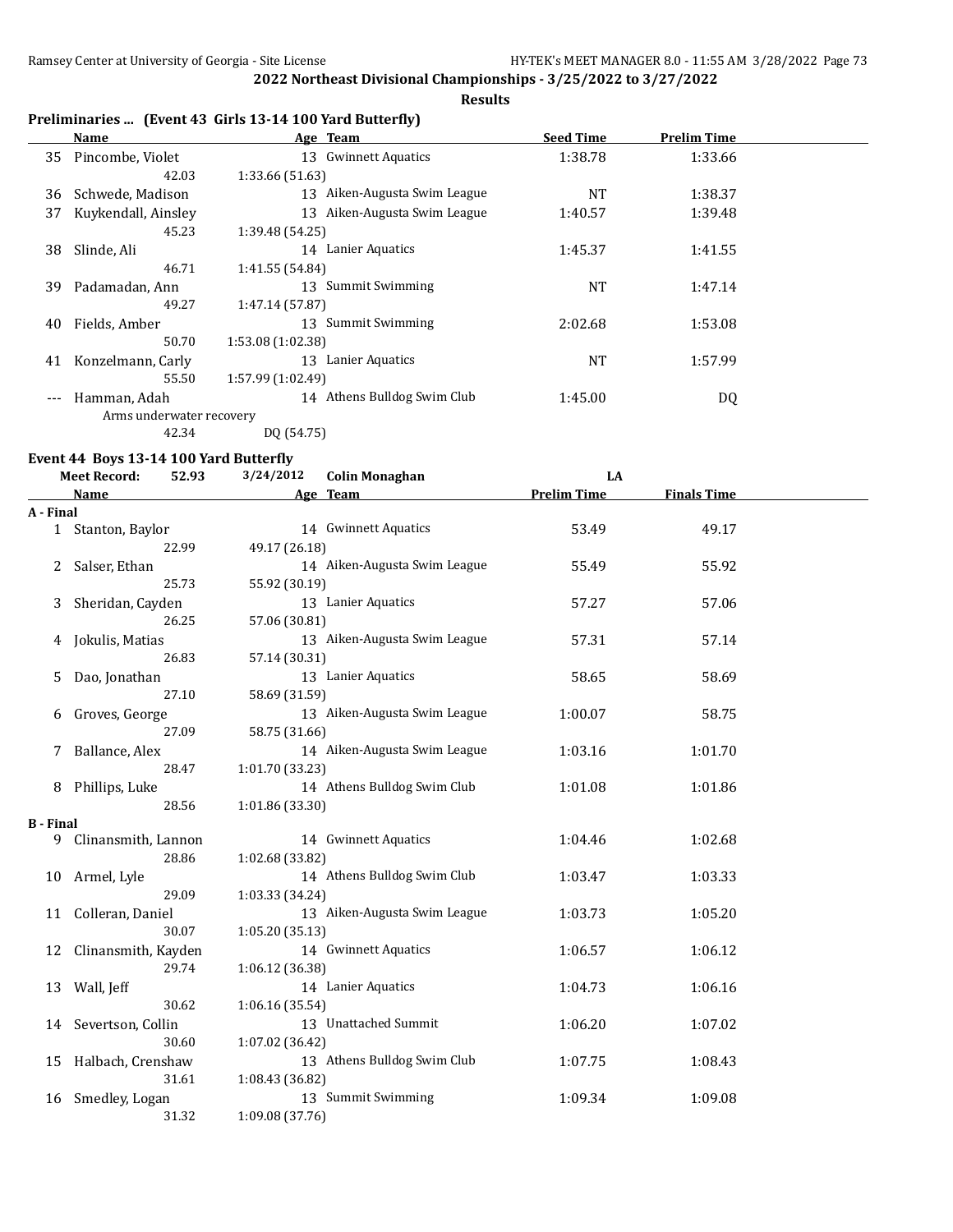#### **Results**

## **Preliminaries ... (Event 43 Girls 13-14 100 Yard Butterfly)**

|       | Name                     | Age Team                       | <b>Seed Time</b> | <b>Prelim Time</b> |  |
|-------|--------------------------|--------------------------------|------------------|--------------------|--|
| 35    | Pincombe, Violet         | <b>Gwinnett Aquatics</b><br>13 | 1:38.78          | 1:33.66            |  |
|       | 42.03                    | 1:33.66 (51.63)                |                  |                    |  |
| 36    | Schwede, Madison         | 13 Aiken-Augusta Swim League   | NT               | 1:38.37            |  |
| 37    | Kuykendall, Ainsley      | 13 Aiken-Augusta Swim League   | 1:40.57          | 1:39.48            |  |
|       | 45.23                    | 1:39.48 (54.25)                |                  |                    |  |
| 38    | Slinde, Ali              | Lanier Aquatics<br>14          | 1:45.37          | 1:41.55            |  |
|       | 46.71                    | 1:41.55 (54.84)                |                  |                    |  |
| 39    | Padamadan, Ann           | Summit Swimming<br>13          | NT               | 1:47.14            |  |
|       | 49.27                    | 1:47.14 (57.87)                |                  |                    |  |
| 40    | Fields, Amber            | Summit Swimming<br>13          | 2:02.68          | 1:53.08            |  |
|       | 50.70                    | 1:53.08 (1:02.38)              |                  |                    |  |
| 41    | Konzelmann, Carly        | Lanier Aquatics<br>13          | NT               | 1:57.99            |  |
|       | 55.50                    | 1:57.99 (1:02.49)              |                  |                    |  |
| $---$ | Hamman, Adah             | Athens Bulldog Swim Club<br>14 | 1:45.00          | DQ                 |  |
|       | Arms underwater recovery |                                |                  |                    |  |
|       | 42.34                    | DQ (54.75)                     |                  |                    |  |

## **Event 44 Boys 13-14 100 Yard Butterfly<br>Meet Becord:** 52.93 3/24/2012

|                  | <b>Meet Record:</b><br>52.93 | 3/24/2012       | <b>Colin Monaghan</b>        | LA                 |                    |  |
|------------------|------------------------------|-----------------|------------------------------|--------------------|--------------------|--|
|                  | Name                         |                 | Age Team                     | <b>Prelim Time</b> | <b>Finals Time</b> |  |
| A - Final        |                              |                 |                              |                    |                    |  |
|                  | 1 Stanton, Baylor            |                 | 14 Gwinnett Aquatics         | 53.49              | 49.17              |  |
|                  | 22.99                        | 49.17 (26.18)   |                              |                    |                    |  |
| 2                | Salser, Ethan                |                 | 14 Aiken-Augusta Swim League | 55.49              | 55.92              |  |
|                  | 25.73                        | 55.92 (30.19)   |                              |                    |                    |  |
| 3                | Sheridan, Cayden             |                 | 13 Lanier Aquatics           | 57.27              | 57.06              |  |
|                  | 26.25                        | 57.06 (30.81)   |                              |                    |                    |  |
| 4                | Jokulis, Matias              |                 | 13 Aiken-Augusta Swim League | 57.31              | 57.14              |  |
|                  | 26.83                        | 57.14 (30.31)   |                              |                    |                    |  |
| 5                | Dao, Jonathan                |                 | 13 Lanier Aquatics           | 58.65              | 58.69              |  |
|                  | 27.10                        | 58.69 (31.59)   |                              |                    |                    |  |
| 6                | Groves, George               |                 | 13 Aiken-Augusta Swim League | 1:00.07            | 58.75              |  |
|                  | 27.09                        | 58.75 (31.66)   |                              |                    |                    |  |
| 7                | Ballance, Alex               |                 | 14 Aiken-Augusta Swim League | 1:03.16            | 1:01.70            |  |
|                  | 28.47                        | 1:01.70 (33.23) |                              |                    |                    |  |
| 8                | Phillips, Luke               |                 | 14 Athens Bulldog Swim Club  | 1:01.08            | 1:01.86            |  |
|                  | 28.56                        | 1:01.86 (33.30) |                              |                    |                    |  |
| <b>B</b> - Final |                              |                 |                              |                    |                    |  |
| 9.               | Clinansmith, Lannon          |                 | 14 Gwinnett Aquatics         | 1:04.46            | 1:02.68            |  |
|                  | 28.86                        | 1:02.68 (33.82) |                              |                    |                    |  |
| 10               | Armel, Lyle                  |                 | 14 Athens Bulldog Swim Club  | 1:03.47            | 1:03.33            |  |
|                  | 29.09                        | 1:03.33 (34.24) |                              |                    |                    |  |
| 11               | Colleran, Daniel             |                 | 13 Aiken-Augusta Swim League | 1:03.73            | 1:05.20            |  |
|                  | 30.07                        | 1:05.20(35.13)  |                              |                    |                    |  |
| 12               | Clinansmith, Kayden          |                 | 14 Gwinnett Aquatics         | 1:06.57            | 1:06.12            |  |
|                  | 29.74                        | 1:06.12 (36.38) |                              |                    |                    |  |
| 13               | Wall, Jeff                   |                 | 14 Lanier Aquatics           | 1:04.73            | 1:06.16            |  |
|                  | 30.62                        | 1:06.16(35.54)  |                              |                    |                    |  |
| 14               | Severtson, Collin            |                 | 13 Unattached Summit         | 1:06.20            | 1:07.02            |  |
|                  | 30.60                        | 1:07.02(36.42)  |                              |                    |                    |  |
| 15               | Halbach, Crenshaw            |                 | 13 Athens Bulldog Swim Club  | 1:07.75            | 1:08.43            |  |
|                  | 31.61                        | 1:08.43 (36.82) |                              |                    |                    |  |
| 16               | Smedley, Logan               |                 | 13 Summit Swimming           | 1:09.34            | 1:09.08            |  |
|                  | 31.32                        | 1:09.08 (37.76) |                              |                    |                    |  |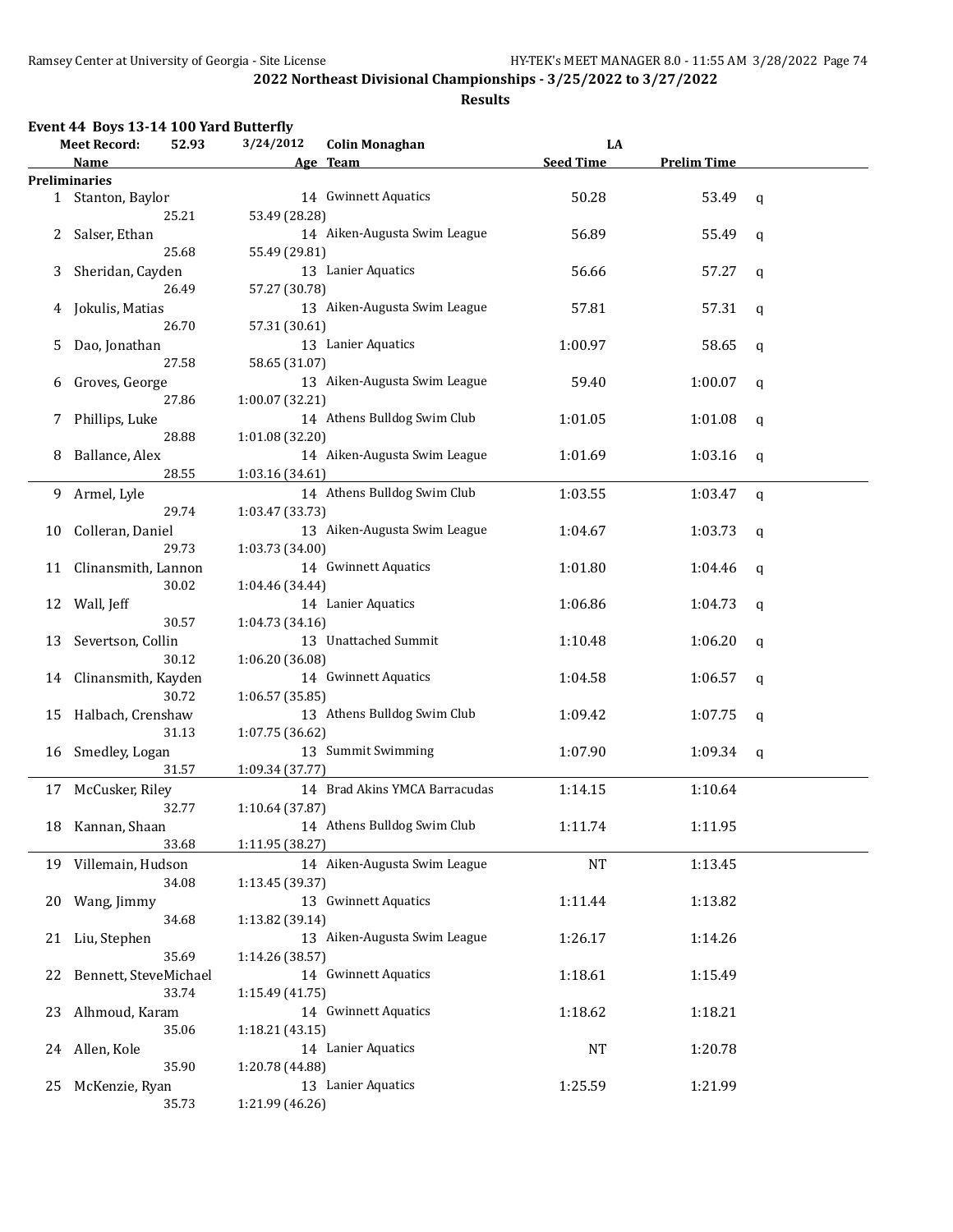|    | Event 44 Boys 13-14 100 Yard Butterfly    |                 |                               |                  |                    |             |
|----|-------------------------------------------|-----------------|-------------------------------|------------------|--------------------|-------------|
|    | 52.93<br><b>Meet Record:</b>              | 3/24/2012       | <b>Colin Monaghan</b>         | LA               |                    |             |
|    | Name                                      |                 | Age Team                      | <b>Seed Time</b> | <b>Prelim Time</b> |             |
|    | <b>Preliminaries</b><br>1 Stanton, Baylor |                 | 14 Gwinnett Aquatics          | 50.28            | 53.49              |             |
|    | 25.21                                     | 53.49 (28.28)   |                               |                  |                    | q           |
|    |                                           |                 | 14 Aiken-Augusta Swim League  |                  |                    |             |
| 2  | Salser, Ethan<br>25.68                    |                 |                               | 56.89            | 55.49              | q           |
|    |                                           | 55.49 (29.81)   | 13 Lanier Aquatics            |                  |                    |             |
| 3  | Sheridan, Cayden                          |                 |                               | 56.66            | 57.27              | q           |
|    | 26.49                                     | 57.27 (30.78)   |                               |                  |                    |             |
| 4  | Jokulis, Matias                           |                 | 13 Aiken-Augusta Swim League  | 57.81            | 57.31              | $\mathbf q$ |
|    | 26.70                                     | 57.31 (30.61)   |                               |                  |                    |             |
| 5  | Dao, Jonathan                             |                 | 13 Lanier Aquatics            | 1:00.97          | 58.65              | q           |
|    | 27.58                                     | 58.65 (31.07)   |                               |                  |                    |             |
| 6  | Groves, George                            |                 | 13 Aiken-Augusta Swim League  | 59.40            | 1:00.07            | q           |
|    | 27.86                                     | 1:00.07 (32.21) |                               |                  |                    |             |
| 7  | Phillips, Luke                            |                 | 14 Athens Bulldog Swim Club   | 1:01.05          | 1:01.08            | q           |
|    | 28.88                                     | 1:01.08 (32.20) |                               |                  |                    |             |
| 8  | Ballance, Alex                            |                 | 14 Aiken-Augusta Swim League  | 1:01.69          | 1:03.16            | q           |
|    | 28.55                                     | 1:03.16 (34.61) |                               |                  |                    |             |
| 9  | Armel, Lyle                               |                 | 14 Athens Bulldog Swim Club   | 1:03.55          | 1:03.47            | $\mathbf q$ |
|    | 29.74                                     | 1:03.47 (33.73) |                               |                  |                    |             |
| 10 | Colleran, Daniel                          |                 | 13 Aiken-Augusta Swim League  | 1:04.67          | 1:03.73            | q           |
|    | 29.73                                     | 1:03.73 (34.00) |                               |                  |                    |             |
| 11 | Clinansmith, Lannon                       |                 | 14 Gwinnett Aquatics          | 1:01.80          | 1:04.46            | q           |
|    | 30.02                                     | 1:04.46 (34.44) |                               |                  |                    |             |
| 12 | Wall, Jeff                                |                 | 14 Lanier Aquatics            | 1:06.86          | 1:04.73            | q           |
|    | 30.57                                     | 1:04.73 (34.16) |                               |                  |                    |             |
| 13 | Severtson, Collin                         |                 | 13 Unattached Summit          | 1:10.48          | 1:06.20            | $\mathbf q$ |
|    | 30.12                                     | 1:06.20 (36.08) |                               |                  |                    |             |
| 14 | Clinansmith, Kayden                       |                 | 14 Gwinnett Aquatics          | 1:04.58          | 1:06.57            | $\mathbf q$ |
|    | 30.72                                     | 1:06.57 (35.85) |                               |                  |                    |             |
| 15 | Halbach, Crenshaw                         |                 | 13 Athens Bulldog Swim Club   | 1:09.42          | 1:07.75            | q           |
|    | 31.13                                     | 1:07.75 (36.62) |                               |                  |                    |             |
| 16 | Smedley, Logan                            |                 | 13 Summit Swimming            | 1:07.90          | 1:09.34            | q           |
|    | 31.57                                     | 1:09.34 (37.77) |                               |                  |                    |             |
| 17 | McCusker, Riley                           |                 | 14 Brad Akins YMCA Barracudas | 1:14.15          | 1:10.64            |             |
|    | 32.77                                     | 1:10.64 (37.87) |                               |                  |                    |             |
|    | 18 Kannan, Shaan                          |                 | 14 Athens Bulldog Swim Club   | 1:11.74          | 1:11.95            |             |
|    | 33.68                                     | 1:11.95 (38.27) |                               |                  |                    |             |
|    | 19 Villemain, Hudson                      |                 | 14 Aiken-Augusta Swim League  | <b>NT</b>        | 1:13.45            |             |
|    | 34.08                                     | 1:13.45 (39.37) |                               |                  |                    |             |
| 20 | Wang, Jimmy                               |                 | 13 Gwinnett Aquatics          | 1:11.44          | 1:13.82            |             |
|    | 34.68                                     | 1:13.82 (39.14) |                               |                  |                    |             |
| 21 | Liu, Stephen                              |                 | 13 Aiken-Augusta Swim League  | 1:26.17          | 1:14.26            |             |
|    | 35.69                                     | 1:14.26 (38.57) |                               |                  |                    |             |
| 22 | Bennett, SteveMichael                     |                 | 14 Gwinnett Aquatics          | 1:18.61          | 1:15.49            |             |
|    | 33.74                                     | 1:15.49(41.75)  |                               |                  |                    |             |
| 23 | Alhmoud, Karam                            |                 | 14 Gwinnett Aquatics          | 1:18.62          | 1:18.21            |             |
|    | 35.06                                     | 1:18.21(43.15)  |                               |                  |                    |             |
| 24 | Allen, Kole                               |                 | 14 Lanier Aquatics            | NT               | 1:20.78            |             |
|    | 35.90                                     | 1:20.78 (44.88) |                               |                  |                    |             |
| 25 | McKenzie, Ryan                            |                 | 13 Lanier Aquatics            | 1:25.59          | 1:21.99            |             |
|    | 35.73                                     | 1:21.99 (46.26) |                               |                  |                    |             |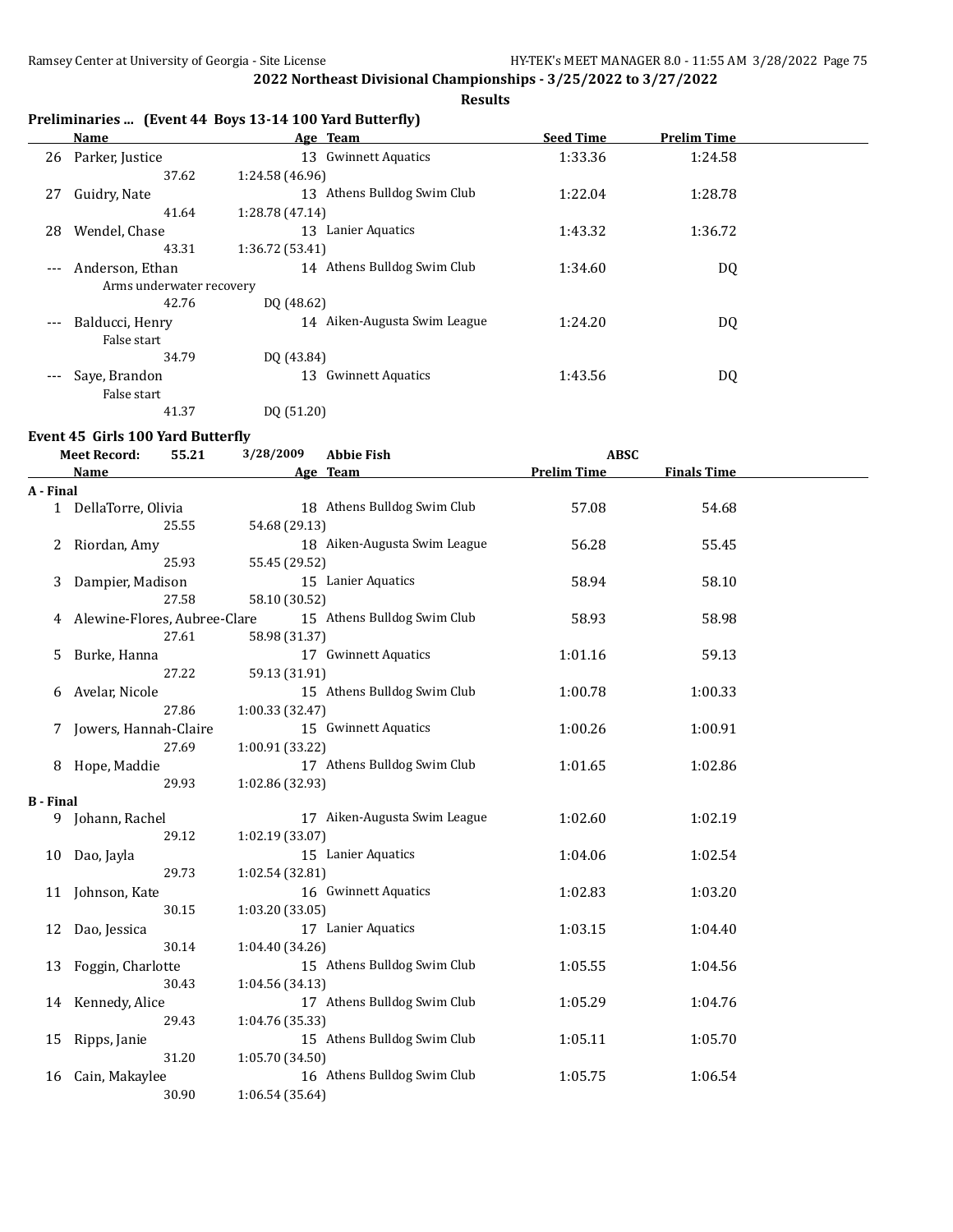**Results**

|  |  |  | Preliminaries  (Event 44 Boys 13-14 100 Yard Butterfly) |
|--|--|--|---------------------------------------------------------|
|--|--|--|---------------------------------------------------------|

|         | Name                     |                 | Age Team                     | <b>Seed Time</b> | <b>Prelim Time</b> |  |
|---------|--------------------------|-----------------|------------------------------|------------------|--------------------|--|
| 26      | Parker, Justice          | 13              | <b>Gwinnett Aquatics</b>     | 1:33.36          | 1:24.58            |  |
|         | 37.62                    | 1:24.58 (46.96) |                              |                  |                    |  |
| 27      | Guidry, Nate             | 13              | Athens Bulldog Swim Club     | 1:22.04          | 1:28.78            |  |
|         | 41.64                    | 1:28.78(47.14)  |                              |                  |                    |  |
| 28      | Wendel, Chase            | 13              | Lanier Aquatics              | 1:43.32          | 1:36.72            |  |
|         | 43.31                    | 1:36.72(53.41)  |                              |                  |                    |  |
| $---$   | Anderson, Ethan          |                 | 14 Athens Bulldog Swim Club  | 1:34.60          | DQ                 |  |
|         | Arms underwater recovery |                 |                              |                  |                    |  |
|         | 42.76                    | DQ (48.62)      |                              |                  |                    |  |
| $- - -$ | Balducci, Henry          |                 | 14 Aiken-Augusta Swim League | 1:24.20          | DQ                 |  |
|         | False start              |                 |                              |                  |                    |  |
|         | 34.79                    | DQ (43.84)      |                              |                  |                    |  |
|         | Saye, Brandon            | 13              | <b>Gwinnett Aquatics</b>     | 1:43.56          | DQ                 |  |
|         | False start              |                 |                              |                  |                    |  |
|         | 41.37                    | DO (51.20)      |                              |                  |                    |  |

#### **Event 45 Girls 100 Yard Butterfly**

|                       | <b>Meet Record:</b>          | 55.21 | 3/28/2009       | <b>Abbie Fish</b>            | <b>ABSC</b>        |                    |  |
|-----------------------|------------------------------|-------|-----------------|------------------------------|--------------------|--------------------|--|
|                       | Name                         |       |                 | Age Team                     | <b>Prelim Time</b> | <b>Finals Time</b> |  |
| A - Final             |                              |       |                 |                              |                    |                    |  |
|                       | 1 DellaTorre, Olivia         |       |                 | 18 Athens Bulldog Swim Club  | 57.08              | 54.68              |  |
|                       |                              | 25.55 | 54.68 (29.13)   |                              |                    |                    |  |
| 2                     | Riordan, Amy                 |       |                 | 18 Aiken-Augusta Swim League | 56.28              | 55.45              |  |
|                       |                              | 25.93 | 55.45 (29.52)   |                              |                    |                    |  |
| 3                     | Dampier, Madison             |       |                 | 15 Lanier Aquatics           | 58.94              | 58.10              |  |
|                       |                              | 27.58 | 58.10 (30.52)   |                              |                    |                    |  |
|                       | Alewine-Flores, Aubree-Clare |       |                 | 15 Athens Bulldog Swim Club  | 58.93              | 58.98              |  |
|                       |                              | 27.61 | 58.98 (31.37)   |                              |                    |                    |  |
| 5                     | Burke, Hanna                 |       |                 | 17 Gwinnett Aquatics         | 1:01.16            | 59.13              |  |
|                       |                              | 27.22 | 59.13 (31.91)   |                              |                    |                    |  |
| 6                     | Avelar, Nicole               |       |                 | 15 Athens Bulldog Swim Club  | 1:00.78            | 1:00.33            |  |
|                       |                              | 27.86 | 1:00.33 (32.47) |                              |                    |                    |  |
| 7                     | Jowers, Hannah-Claire        |       |                 | 15 Gwinnett Aquatics         | 1:00.26            | 1:00.91            |  |
|                       |                              | 27.69 | 1:00.91 (33.22) |                              |                    |                    |  |
| 8.                    | Hope, Maddie                 |       |                 | 17 Athens Bulldog Swim Club  | 1:01.65            | 1:02.86            |  |
|                       |                              | 29.93 | 1:02.86 (32.93) |                              |                    |                    |  |
| <b>B</b> - Final<br>9 | Johann, Rachel               |       |                 | 17 Aiken-Augusta Swim League | 1:02.60            | 1:02.19            |  |
|                       |                              | 29.12 | 1:02.19 (33.07) |                              |                    |                    |  |
| 10                    | Dao, Jayla                   |       |                 | 15 Lanier Aquatics           | 1:04.06            | 1:02.54            |  |
|                       |                              | 29.73 | 1:02.54 (32.81) |                              |                    |                    |  |
| 11                    | Johnson, Kate                |       |                 | 16 Gwinnett Aquatics         | 1:02.83            | 1:03.20            |  |
|                       |                              | 30.15 | 1:03.20 (33.05) |                              |                    |                    |  |
| 12                    | Dao, Jessica                 |       |                 | 17 Lanier Aquatics           | 1:03.15            | 1:04.40            |  |
|                       |                              | 30.14 | 1:04.40 (34.26) |                              |                    |                    |  |
| 13                    | Foggin, Charlotte            |       |                 | 15 Athens Bulldog Swim Club  | 1:05.55            | 1:04.56            |  |
|                       |                              | 30.43 | 1:04.56 (34.13) |                              |                    |                    |  |
| 14                    | Kennedy, Alice               |       |                 | 17 Athens Bulldog Swim Club  | 1:05.29            | 1:04.76            |  |
|                       |                              | 29.43 | 1:04.76 (35.33) |                              |                    |                    |  |
| 15                    | Ripps, Janie                 |       |                 | 15 Athens Bulldog Swim Club  | 1:05.11            | 1:05.70            |  |
|                       |                              | 31.20 | 1:05.70 (34.50) |                              |                    |                    |  |
| 16                    | Cain, Makaylee               |       |                 | 16 Athens Bulldog Swim Club  | 1:05.75            | 1:06.54            |  |
|                       |                              | 30.90 | 1:06.54 (35.64) |                              |                    |                    |  |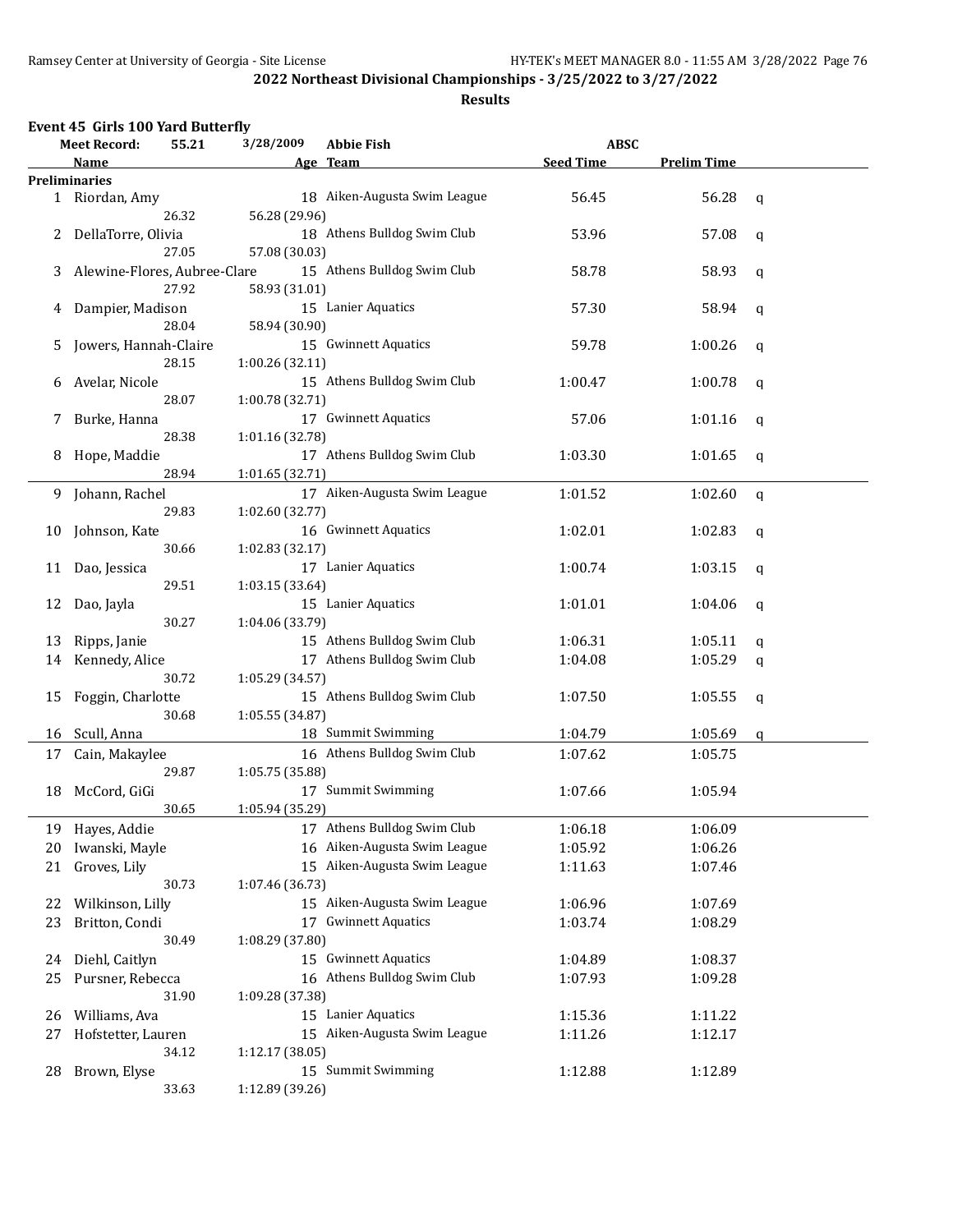|    | Event 45 Girls 100 Yard Butterfly |                 |                              |                  |                    |              |
|----|-----------------------------------|-----------------|------------------------------|------------------|--------------------|--------------|
|    | 55.21<br><b>Meet Record:</b>      | 3/28/2009       | <b>Abbie Fish</b>            | <b>ABSC</b>      |                    |              |
|    | Name                              |                 | Age Team                     | <b>Seed Time</b> | <b>Prelim Time</b> |              |
|    | <b>Preliminaries</b>              |                 |                              |                  |                    |              |
|    | 1 Riordan, Amy                    |                 | 18 Aiken-Augusta Swim League | 56.45            | 56.28              | q            |
|    | 26.32                             | 56.28 (29.96)   |                              |                  |                    |              |
| 2  | DellaTorre, Olivia                |                 | 18 Athens Bulldog Swim Club  | 53.96            | 57.08              | q            |
|    | 27.05                             | 57.08 (30.03)   |                              |                  |                    |              |
| 3  | Alewine-Flores, Aubree-Clare      |                 | 15 Athens Bulldog Swim Club  | 58.78            | 58.93              | q            |
|    | 27.92                             | 58.93 (31.01)   |                              |                  |                    |              |
| 4  | Dampier, Madison                  |                 | 15 Lanier Aquatics           | 57.30            | 58.94              | q            |
|    | 28.04                             | 58.94 (30.90)   |                              |                  |                    |              |
| 5  | Jowers, Hannah-Claire             |                 | 15 Gwinnett Aquatics         | 59.78            | 1:00.26            | q            |
|    | 28.15                             | 1:00.26 (32.11) |                              |                  |                    |              |
| 6  | Avelar, Nicole                    |                 | 15 Athens Bulldog Swim Club  | 1:00.47          | 1:00.78            | q            |
|    | 28.07                             | 1:00.78 (32.71) |                              |                  |                    |              |
| 7  | Burke, Hanna                      |                 | 17 Gwinnett Aquatics         | 57.06            | 1:01.16            | q            |
|    | 28.38                             | 1:01.16 (32.78) |                              |                  |                    |              |
| 8  | Hope, Maddie                      |                 | 17 Athens Bulldog Swim Club  | 1:03.30          | 1:01.65            | q            |
|    | 28.94                             | 1:01.65 (32.71) |                              |                  |                    |              |
| 9  | Johann, Rachel                    |                 | 17 Aiken-Augusta Swim League | 1:01.52          | 1:02.60            | $\mathbf{q}$ |
|    | 29.83                             | 1:02.60 (32.77) |                              |                  |                    |              |
| 10 | Johnson, Kate                     |                 | 16 Gwinnett Aquatics         | 1:02.01          | 1:02.83            | q            |
|    | 30.66                             | 1:02.83 (32.17) |                              |                  |                    |              |
| 11 | Dao, Jessica                      |                 | 17 Lanier Aquatics           | 1:00.74          | 1:03.15            | q            |
|    | 29.51                             | 1:03.15 (33.64) |                              |                  |                    |              |
| 12 | Dao, Jayla                        |                 | 15 Lanier Aquatics           | 1:01.01          | 1:04.06            | q            |
|    | 30.27                             | 1:04.06 (33.79) |                              |                  |                    |              |
| 13 | Ripps, Janie                      |                 | 15 Athens Bulldog Swim Club  | 1:06.31          | 1:05.11            | q            |
| 14 | Kennedy, Alice                    |                 | 17 Athens Bulldog Swim Club  | 1:04.08          | 1:05.29            | q            |
|    | 30.72                             | 1:05.29 (34.57) |                              |                  |                    |              |
| 15 | Foggin, Charlotte                 |                 | 15 Athens Bulldog Swim Club  | 1:07.50          | 1:05.55            | q            |
|    | 30.68                             | 1:05.55 (34.87) |                              |                  |                    |              |
| 16 | Scull, Anna                       |                 | 18 Summit Swimming           | 1:04.79          | 1:05.69            | q            |
| 17 | Cain, Makaylee                    |                 | 16 Athens Bulldog Swim Club  | 1:07.62          | 1:05.75            |              |
|    | 29.87                             | 1:05.75 (35.88) |                              |                  |                    |              |
| 18 | McCord, GiGi                      |                 | 17 Summit Swimming           | 1:07.66          | 1:05.94            |              |
|    | 30.65                             | 1:05.94 (35.29) |                              |                  |                    |              |
| 19 | Hayes, Addie                      |                 | 17 Athens Bulldog Swim Club  | 1:06.18          | 1:06.09            |              |
| 20 | Iwanski, Mayle                    |                 | 16 Aiken-Augusta Swim League | 1:05.92          | 1:06.26            |              |
| 21 | Groves, Lily                      |                 | 15 Aiken-Augusta Swim League | 1:11.63          | 1:07.46            |              |
|    | 30.73                             | 1:07.46 (36.73) |                              |                  |                    |              |
| 22 | Wilkinson, Lilly                  |                 | 15 Aiken-Augusta Swim League | 1:06.96          | 1:07.69            |              |
| 23 | Britton, Condi                    |                 | 17 Gwinnett Aquatics         | 1:03.74          | 1:08.29            |              |
|    | 30.49                             | 1:08.29 (37.80) |                              |                  |                    |              |
| 24 | Diehl, Caitlyn                    |                 | 15 Gwinnett Aquatics         | 1:04.89          | 1:08.37            |              |
| 25 | Pursner, Rebecca                  |                 | 16 Athens Bulldog Swim Club  | 1:07.93          | 1:09.28            |              |
|    | 31.90                             | 1:09.28 (37.38) |                              |                  |                    |              |
| 26 | Williams, Ava                     |                 | 15 Lanier Aquatics           | 1:15.36          | 1:11.22            |              |
| 27 | Hofstetter, Lauren                |                 | 15 Aiken-Augusta Swim League | 1:11.26          | 1:12.17            |              |
|    | 34.12                             | 1:12.17 (38.05) |                              |                  |                    |              |
| 28 | Brown, Elyse                      |                 | 15 Summit Swimming           | 1:12.88          | 1:12.89            |              |
|    | 33.63                             | 1:12.89 (39.26) |                              |                  |                    |              |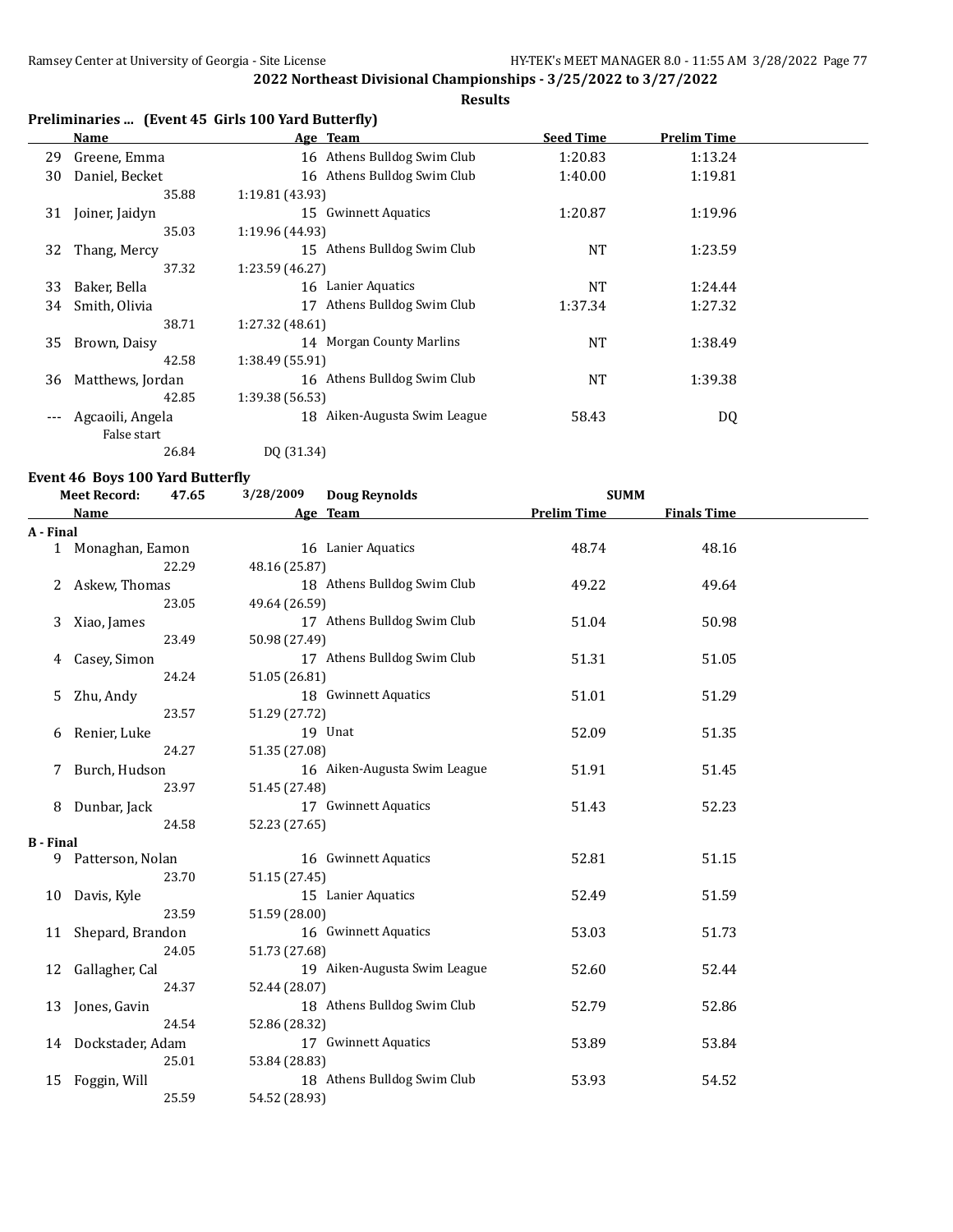$\overline{a}$ 

**2022 Northeast Divisional Championships - 3/25/2022 to 3/27/2022**

### **Results**

## **Preliminaries ... (Event 45 Girls 100 Yard Butterfly)**

|     | Name             | Age Team                           | <b>Seed Time</b> | <b>Prelim Time</b> |  |
|-----|------------------|------------------------------------|------------------|--------------------|--|
| 29  | Greene, Emma     | 16 Athens Bulldog Swim Club        | 1:20.83          | 1:13.24            |  |
| 30  | Daniel, Becket   | 16 Athens Bulldog Swim Club        | 1:40.00          | 1:19.81            |  |
|     | 35.88            | 1:19.81 (43.93)                    |                  |                    |  |
| 31  | Joiner, Jaidyn   | <b>Gwinnett Aquatics</b><br>15     | 1:20.87          | 1:19.96            |  |
|     | 35.03            | 1:19.96 (44.93)                    |                  |                    |  |
| 32  | Thang, Mercy     | 15 Athens Bulldog Swim Club        | <b>NT</b>        | 1:23.59            |  |
|     | 37.32            | 1:23.59 (46.27)                    |                  |                    |  |
| 33  | Baker, Bella     | Lanier Aquatics<br>16              | <b>NT</b>        | 1:24.44            |  |
| 34  | Smith, Olivia    | Athens Bulldog Swim Club<br>17     | 1:37.34          | 1:27.32            |  |
|     | 38.71            | 1:27.32 (48.61)                    |                  |                    |  |
| 35  | Brown, Daisy     | <b>Morgan County Marlins</b><br>14 | <b>NT</b>        | 1:38.49            |  |
|     | 42.58            | 1:38.49 (55.91)                    |                  |                    |  |
| 36  | Matthews, Jordan | 16 Athens Bulldog Swim Club        | <b>NT</b>        | 1:39.38            |  |
|     | 42.85            | 1:39.38 (56.53)                    |                  |                    |  |
| --- | Agcaoili, Angela | Aiken-Augusta Swim League<br>18    | 58.43            | DQ                 |  |
|     | False start      |                                    |                  |                    |  |
|     | 26.84            | DQ (31.34)                         |                  |                    |  |

#### **Event 46 Boys 100 Yard Butterfly**

|                  | <b>Meet Record:</b><br>47.65 | 3/28/2009<br><b>Doug Reynolds</b> | <b>SUMM</b>        |                    |  |
|------------------|------------------------------|-----------------------------------|--------------------|--------------------|--|
|                  | <b>Name</b>                  | Age Team                          | <b>Prelim Time</b> | <b>Finals Time</b> |  |
| A - Final        |                              |                                   |                    |                    |  |
|                  | 1 Monaghan, Eamon            | 16 Lanier Aquatics                | 48.74              | 48.16              |  |
|                  | 22.29                        | 48.16 (25.87)                     |                    |                    |  |
| 2                | Askew, Thomas                | 18 Athens Bulldog Swim Club       | 49.22              | 49.64              |  |
|                  | 23.05                        | 49.64 (26.59)                     |                    |                    |  |
| 3                | Xiao, James                  | 17 Athens Bulldog Swim Club       | 51.04              | 50.98              |  |
|                  | 23.49                        | 50.98 (27.49)                     |                    |                    |  |
| 4                | Casey, Simon                 | 17 Athens Bulldog Swim Club       | 51.31              | 51.05              |  |
|                  | 24.24                        | 51.05 (26.81)                     |                    |                    |  |
| 5                | Zhu, Andy                    | 18 Gwinnett Aquatics              | 51.01              | 51.29              |  |
|                  | 23.57                        | 51.29 (27.72)                     |                    |                    |  |
| 6                | Renier, Luke                 | 19 Unat                           | 52.09              | 51.35              |  |
|                  | 24.27                        | 51.35 (27.08)                     |                    |                    |  |
|                  | Burch, Hudson                | 16 Aiken-Augusta Swim League      | 51.91              | 51.45              |  |
|                  | 23.97                        | 51.45 (27.48)                     |                    |                    |  |
| 8                | Dunbar, Jack                 | 17 Gwinnett Aquatics              | 51.43              | 52.23              |  |
|                  | 24.58                        | 52.23 (27.65)                     |                    |                    |  |
| <b>B</b> - Final |                              |                                   |                    |                    |  |
|                  | 9 Patterson, Nolan           | 16 Gwinnett Aquatics              | 52.81              | 51.15              |  |
|                  | 23.70                        | 51.15 (27.45)                     |                    |                    |  |
| 10               | Davis, Kyle                  | 15 Lanier Aquatics                | 52.49              | 51.59              |  |
|                  | 23.59                        | 51.59 (28.00)                     |                    |                    |  |
| 11               | Shepard, Brandon             | 16 Gwinnett Aquatics              | 53.03              | 51.73              |  |
|                  | 24.05                        | 51.73 (27.68)                     |                    |                    |  |
| 12               | Gallagher, Cal               | 19 Aiken-Augusta Swim League      | 52.60              | 52.44              |  |
|                  | 24.37                        | 52.44 (28.07)                     |                    |                    |  |
| 13               | Jones, Gavin                 | 18 Athens Bulldog Swim Club       | 52.79              | 52.86              |  |
|                  | 24.54                        | 52.86 (28.32)                     |                    |                    |  |
|                  | 14 Dockstader, Adam          | 17 Gwinnett Aquatics              | 53.89              | 53.84              |  |
|                  | 25.01                        | 53.84 (28.83)                     |                    |                    |  |
| 15               | Foggin, Will                 | 18 Athens Bulldog Swim Club       | 53.93              | 54.52              |  |
|                  | 25.59                        | 54.52 (28.93)                     |                    |                    |  |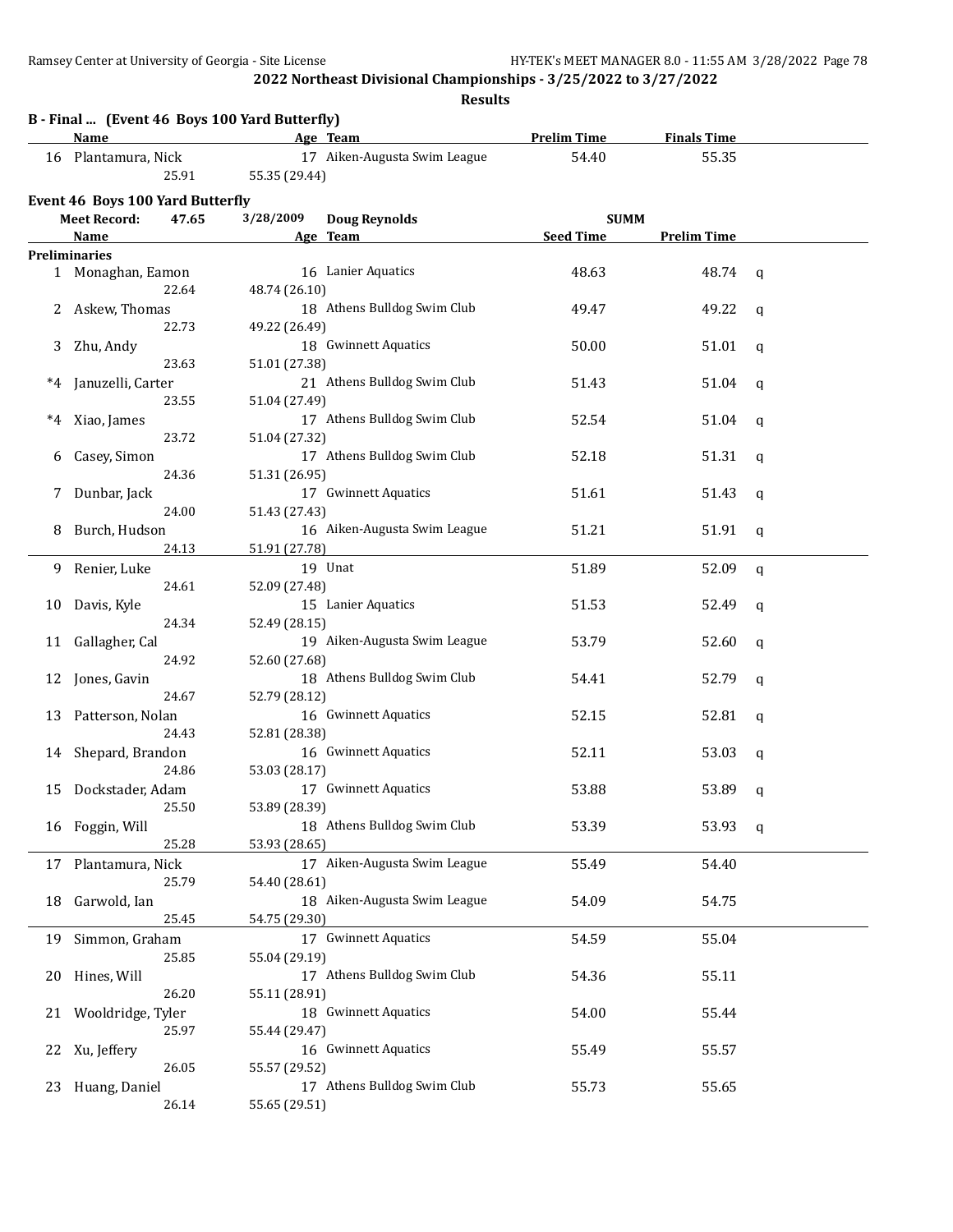|       | B - Final  (Event 46 Boys 100 Yard Butterfly)<br>Name |               | Age Team                     | <b>Prelim Time</b> | <b>Finals Time</b> |              |
|-------|-------------------------------------------------------|---------------|------------------------------|--------------------|--------------------|--------------|
|       | 16 Plantamura, Nick                                   |               | 17 Aiken-Augusta Swim League | 54.40              | 55.35              |              |
|       | 25.91                                                 | 55.35 (29.44) |                              |                    |                    |              |
|       | Event 46 Boys 100 Yard Butterfly                      |               |                              |                    |                    |              |
|       | <b>Meet Record:</b><br>47.65                          | 3/28/2009     | <b>Doug Reynolds</b>         | <b>SUMM</b>        |                    |              |
|       | Name                                                  |               | Age Team                     | <b>Seed Time</b>   | <b>Prelim Time</b> |              |
|       | <b>Preliminaries</b>                                  |               |                              |                    |                    |              |
|       | 1 Monaghan, Eamon                                     |               | 16 Lanier Aquatics           | 48.63              | 48.74              | q            |
|       | 22.64                                                 | 48.74 (26.10) |                              |                    |                    |              |
|       | 2 Askew, Thomas                                       |               | 18 Athens Bulldog Swim Club  | 49.47              | 49.22              | q            |
|       | 22.73                                                 | 49.22 (26.49) |                              |                    |                    |              |
| 3     | Zhu, Andy                                             |               | 18 Gwinnett Aquatics         | 50.00              | 51.01              | q            |
|       | 23.63                                                 | 51.01 (27.38) |                              |                    |                    |              |
| $^*4$ | Januzelli, Carter                                     |               | 21 Athens Bulldog Swim Club  | 51.43              | 51.04              | q            |
|       | 23.55                                                 | 51.04 (27.49) |                              |                    |                    |              |
| $^*4$ | Xiao, James                                           |               | 17 Athens Bulldog Swim Club  | 52.54              | 51.04              | q            |
|       | 23.72                                                 | 51.04 (27.32) |                              |                    |                    |              |
| b     | Casey, Simon                                          |               | 17 Athens Bulldog Swim Club  | 52.18              | 51.31              | q            |
|       | 24.36                                                 | 51.31 (26.95) |                              |                    |                    |              |
| Z     | Dunbar, Jack                                          |               | 17 Gwinnett Aquatics         | 51.61              | 51.43              | q            |
|       | 24.00                                                 | 51.43 (27.43) |                              |                    |                    |              |
| 8     | Burch, Hudson                                         |               | 16 Aiken-Augusta Swim League | 51.21              | 51.91              | q            |
|       | 24.13                                                 | 51.91 (27.78) |                              |                    |                    |              |
| 9.    | Renier, Luke                                          |               | 19 Unat                      | 51.89              | 52.09              | $\mathbf{q}$ |
|       | 24.61                                                 | 52.09 (27.48) |                              |                    |                    |              |
| 10    | Davis, Kyle                                           |               | 15 Lanier Aquatics           | 51.53              | 52.49              | q            |
|       | 24.34                                                 | 52.49 (28.15) |                              |                    |                    |              |
| 11    | Gallagher, Cal                                        |               | 19 Aiken-Augusta Swim League | 53.79              | 52.60              | q            |
|       | 24.92                                                 | 52.60 (27.68) |                              |                    |                    |              |
| 12    | Jones, Gavin                                          |               | 18 Athens Bulldog Swim Club  | 54.41              | 52.79              | q            |
|       | 24.67                                                 | 52.79 (28.12) |                              |                    |                    |              |
| 13    | Patterson, Nolan                                      |               | 16 Gwinnett Aquatics         | 52.15              | 52.81              | q            |
|       | 24.43                                                 | 52.81 (28.38) |                              |                    |                    |              |
| 14    | Shepard, Brandon                                      |               | 16 Gwinnett Aquatics         | 52.11              | 53.03              | q            |
|       | 24.86                                                 | 53.03 (28.17) |                              |                    |                    |              |
| 15    | Dockstader, Adam                                      |               | 17 Gwinnett Aquatics         | 53.88              | 53.89              | q            |
|       | 25.50                                                 | 53.89 (28.39) |                              |                    |                    |              |
|       | 16 Foggin, Will                                       |               | 18 Athens Bulldog Swim Club  | 53.39              | 53.93              | q            |
|       | 25.28                                                 | 53.93 (28.65) |                              |                    |                    |              |
| 17    | Plantamura, Nick                                      |               | 17 Aiken-Augusta Swim League | 55.49              | 54.40              |              |
|       | 25.79                                                 | 54.40 (28.61) |                              |                    |                    |              |
| 18    | Garwold, Ian                                          |               | 18 Aiken-Augusta Swim League | 54.09              | 54.75              |              |
|       | 25.45                                                 | 54.75 (29.30) |                              |                    |                    |              |
| 19    | Simmon, Graham                                        |               | 17 Gwinnett Aquatics         | 54.59              | 55.04              |              |
|       | 25.85                                                 | 55.04 (29.19) |                              |                    |                    |              |
| 20    | Hines, Will                                           |               | 17 Athens Bulldog Swim Club  | 54.36              | 55.11              |              |
|       | 26.20                                                 | 55.11 (28.91) |                              |                    |                    |              |
| 21    | Wooldridge, Tyler                                     |               | 18 Gwinnett Aquatics         | 54.00              | 55.44              |              |
|       | 25.97                                                 | 55.44 (29.47) |                              |                    |                    |              |
| 22    | Xu, Jeffery                                           |               | 16 Gwinnett Aquatics         | 55.49              | 55.57              |              |
|       | 26.05                                                 | 55.57 (29.52) |                              |                    |                    |              |
| 23    | Huang, Daniel                                         |               | 17 Athens Bulldog Swim Club  | 55.73              | 55.65              |              |
|       | 26.14                                                 | 55.65 (29.51) |                              |                    |                    |              |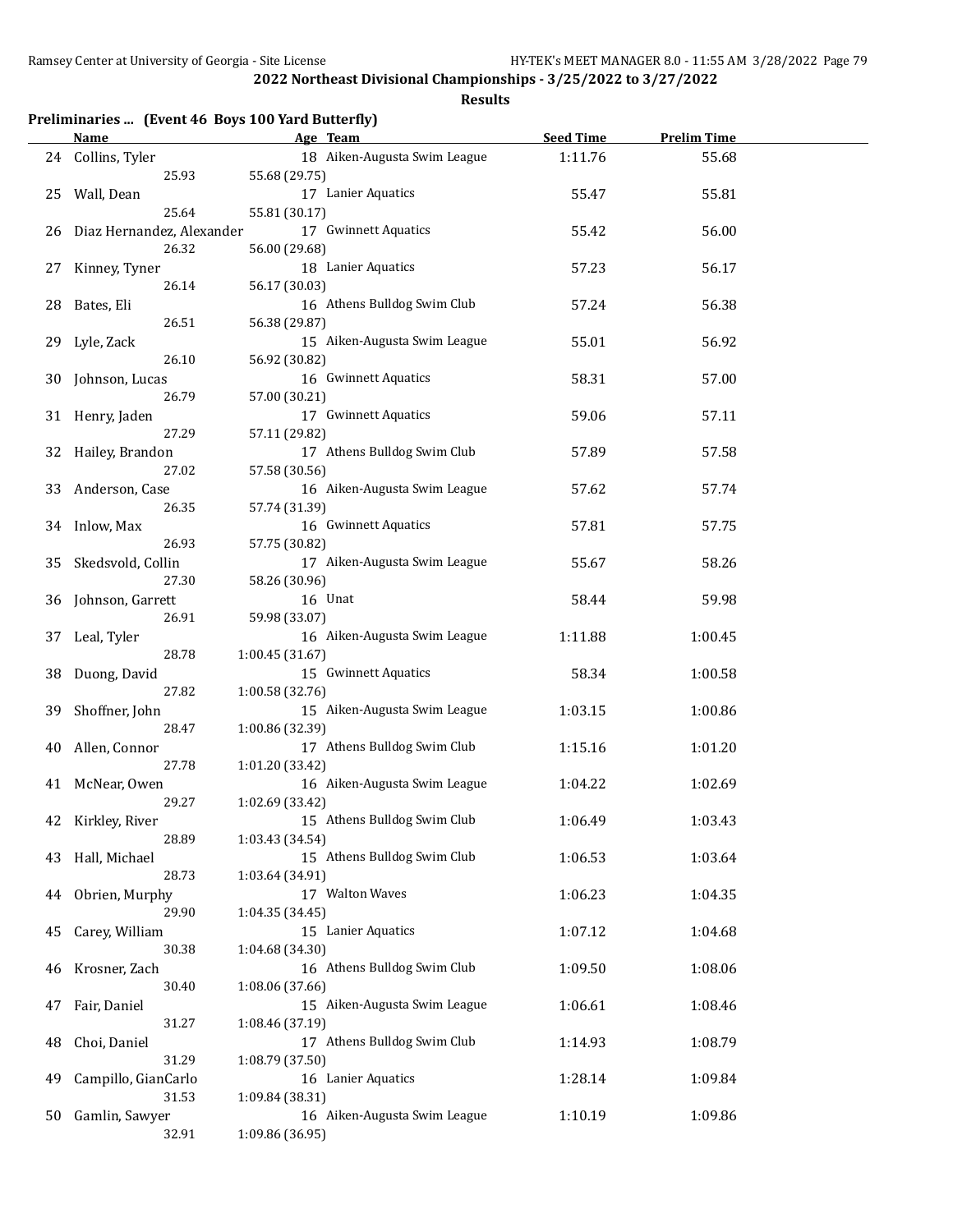|    | <u>Name</u>                | Preliminaries  (Event 46 Boys 100 Yard Butterfly)<br>Age Team | <b>Seed Time</b> | <b>Prelim Time</b> |  |
|----|----------------------------|---------------------------------------------------------------|------------------|--------------------|--|
| 24 | Collins, Tyler             | 18 Aiken-Augusta Swim League                                  | 1:11.76          | 55.68              |  |
|    | 25.93                      | 55.68 (29.75)                                                 |                  |                    |  |
| 25 | Wall, Dean                 | 17 Lanier Aquatics                                            | 55.47            | 55.81              |  |
|    | 25.64                      | 55.81 (30.17)                                                 |                  |                    |  |
| 26 | Diaz Hernandez, Alexander  | 17 Gwinnett Aquatics                                          | 55.42            | 56.00              |  |
|    | 26.32                      | 56.00 (29.68)                                                 |                  |                    |  |
| 27 | Kinney, Tyner              | 18 Lanier Aquatics                                            | 57.23            | 56.17              |  |
|    | 26.14                      | 56.17 (30.03)                                                 |                  |                    |  |
| 28 | Bates, Eli                 | 16 Athens Bulldog Swim Club                                   | 57.24            | 56.38              |  |
|    | 26.51                      | 56.38 (29.87)                                                 |                  |                    |  |
| 29 | Lyle, Zack                 | 15 Aiken-Augusta Swim League                                  | 55.01            | 56.92              |  |
|    | 26.10                      | 56.92 (30.82)                                                 |                  |                    |  |
| 30 | Johnson, Lucas             | 16 Gwinnett Aquatics                                          | 58.31            | 57.00              |  |
|    | 26.79                      | 57.00 (30.21)                                                 |                  |                    |  |
| 31 | Henry, Jaden               | 17 Gwinnett Aquatics                                          | 59.06            | 57.11              |  |
|    | 27.29                      | 57.11 (29.82)                                                 |                  |                    |  |
| 32 | Hailey, Brandon            | 17 Athens Bulldog Swim Club                                   | 57.89            | 57.58              |  |
|    | 27.02                      | 57.58 (30.56)                                                 |                  |                    |  |
| 33 | Anderson, Case             | 16 Aiken-Augusta Swim League                                  | 57.62            | 57.74              |  |
|    | 26.35                      | 57.74 (31.39)                                                 |                  |                    |  |
|    |                            | 16 Gwinnett Aquatics                                          | 57.81            | 57.75              |  |
| 34 | Inlow, Max<br>26.93        | 57.75 (30.82)                                                 |                  |                    |  |
|    |                            | 17 Aiken-Augusta Swim League                                  | 55.67            | 58.26              |  |
| 35 | Skedsvold, Collin<br>27.30 | 58.26 (30.96)                                                 |                  |                    |  |
|    |                            |                                                               |                  |                    |  |
| 36 | Johnson, Garrett<br>26.91  | 16 Unat                                                       | 58.44            | 59.98              |  |
|    |                            | 59.98 (33.07)                                                 |                  |                    |  |
| 37 | Leal, Tyler<br>28.78       | 16 Aiken-Augusta Swim League                                  | 1:11.88          | 1:00.45            |  |
|    |                            | 1:00.45 (31.67)                                               |                  |                    |  |
| 38 | Duong, David<br>27.82      | 15 Gwinnett Aquatics                                          | 58.34            | 1:00.58            |  |
|    |                            | 1:00.58 (32.76)                                               |                  |                    |  |
| 39 | Shoffner, John             | 15 Aiken-Augusta Swim League                                  | 1:03.15          | 1:00.86            |  |
|    | 28.47                      | 1:00.86 (32.39)<br>17 Athens Bulldog Swim Club                |                  |                    |  |
| 40 | Allen, Connor              |                                                               | 1:15.16          | 1:01.20            |  |
|    | 27.78                      | 1:01.20 (33.42)                                               |                  |                    |  |
|    | 41 McNear, Owen            | 16 Aiken-Augusta Swim League                                  | 1:04.22          | 1:02.69            |  |
|    | 29.27                      | 1:02.69 (33.42)                                               |                  |                    |  |
| 42 | Kirkley, River             | 15 Athens Bulldog Swim Club                                   | 1:06.49          | 1:03.43            |  |
|    | 28.89                      | 1:03.43 (34.54)                                               |                  |                    |  |
| 43 | Hall, Michael<br>28.73     | 15 Athens Bulldog Swim Club                                   | 1:06.53          | 1:03.64            |  |
|    |                            | 1:03.64 (34.91)                                               |                  |                    |  |
| 44 | Obrien, Murphy             | 17 Walton Waves                                               | 1:06.23          | 1:04.35            |  |
|    | 29.90                      | 1:04.35 (34.45)                                               |                  |                    |  |
| 45 | Carey, William             | 15 Lanier Aquatics                                            | 1:07.12          | 1:04.68            |  |
|    | 30.38                      | 1:04.68 (34.30)                                               |                  |                    |  |
| 46 | Krosner, Zach              | 16 Athens Bulldog Swim Club                                   | 1:09.50          | 1:08.06            |  |
|    | 30.40                      | 1:08.06 (37.66)                                               |                  |                    |  |
| 47 | Fair, Daniel               | 15 Aiken-Augusta Swim League                                  | 1:06.61          | 1:08.46            |  |
|    | 31.27                      | 1:08.46 (37.19)                                               |                  |                    |  |
| 48 | Choi, Daniel               | 17 Athens Bulldog Swim Club                                   | 1:14.93          | 1:08.79            |  |
|    | 31.29                      | 1:08.79 (37.50)                                               |                  |                    |  |
| 49 | Campillo, GianCarlo        | 16 Lanier Aquatics                                            | 1:28.14          | 1:09.84            |  |
|    | 31.53                      | 1:09.84 (38.31)                                               |                  |                    |  |
| 50 | Gamlin, Sawyer             | 16 Aiken-Augusta Swim League                                  | 1:10.19          | 1:09.86            |  |
|    | 32.91                      | 1:09.86 (36.95)                                               |                  |                    |  |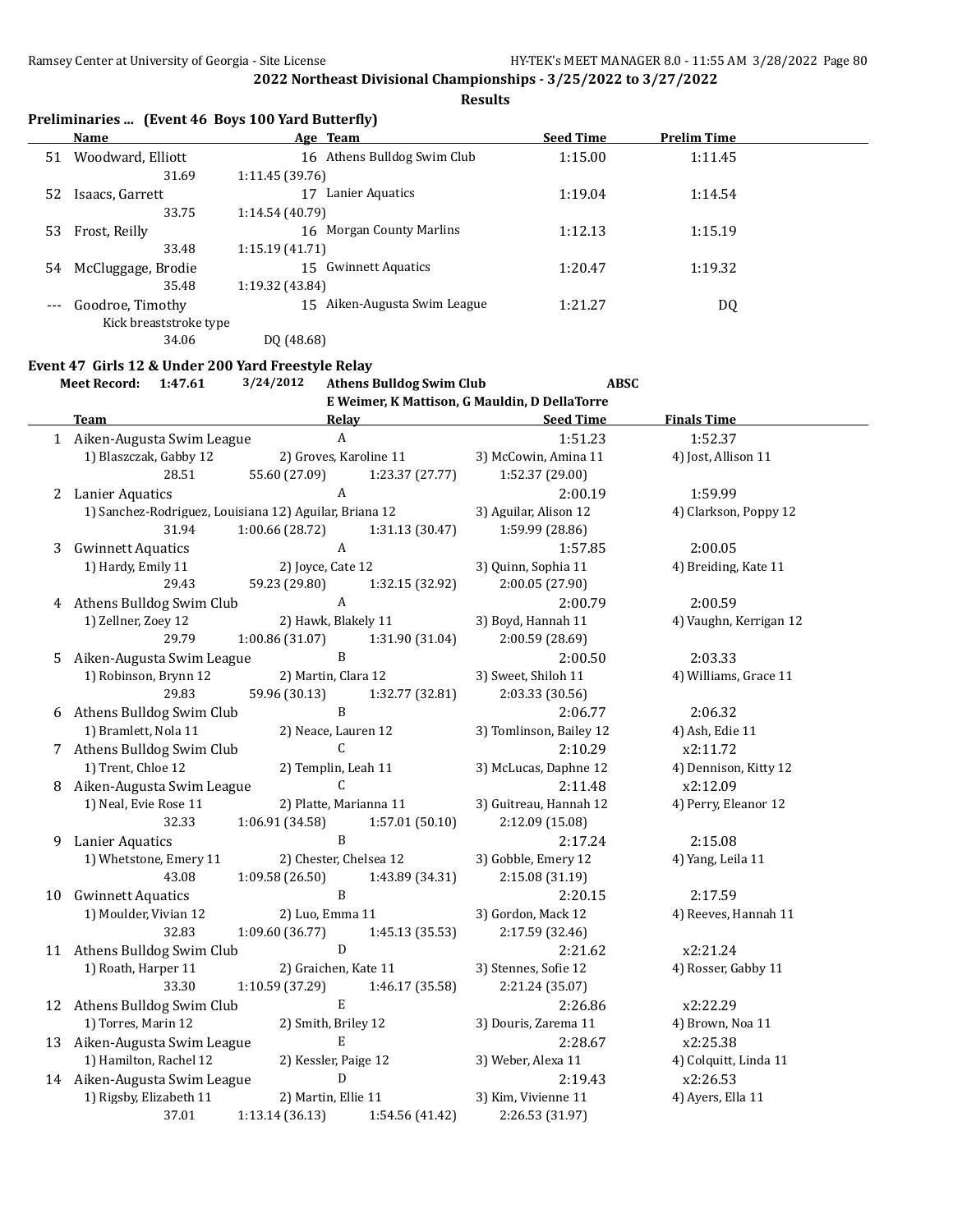**Results**

| Preliminaries  (Event 46 Boys 100 Yard Butterfly) |  |  |  |
|---------------------------------------------------|--|--|--|
|---------------------------------------------------|--|--|--|

|                     | Name                   | Age Team                           | <b>Seed Time</b> | <b>Prelim Time</b> |  |
|---------------------|------------------------|------------------------------------|------------------|--------------------|--|
| 51                  | Woodward, Elliott      | 16 Athens Bulldog Swim Club        | 1:15.00          | 1:11.45            |  |
|                     | 31.69                  | 1:11.45(39.76)                     |                  |                    |  |
| 52                  | Isaacs, Garrett        | Lanier Aquatics                    | 1:19.04          | 1:14.54            |  |
|                     | 33.75                  | 1:14.54 (40.79)                    |                  |                    |  |
| 53                  | Frost, Reilly          | <b>Morgan County Marlins</b><br>16 | 1:12.13          | 1:15.19            |  |
|                     | 33.48                  | 1:15.19(41.71)                     |                  |                    |  |
| 54                  | McCluggage, Brodie     | 15 Gwinnett Aquatics               | 1:20.47          | 1:19.32            |  |
|                     | 35.48                  | 1:19.32 (43.84)                    |                  |                    |  |
| $\qquad \qquad - -$ | Goodroe, Timothy       | Aiken-Augusta Swim League<br>15    | 1:21.27          | DQ                 |  |
|                     | Kick breaststroke type |                                    |                  |                    |  |
|                     | 34.06                  | DO (48.68)                         |                  |                    |  |

#### **Event 47 Girls 12 & Under 200 Yard Freestyle Relay**

**Meet Record: 1:47.61 3/24/2012 Athens Bulldog Swim Club ABSC**

|    |                              |                                                        |                 | E Weimer, K Mattison, G Mauldin, D DellaTorre |                        |
|----|------------------------------|--------------------------------------------------------|-----------------|-----------------------------------------------|------------------------|
|    | <b>Team</b>                  | Relay                                                  |                 | <b>Seed Time</b>                              | <b>Finals Time</b>     |
|    | 1 Aiken-Augusta Swim League  | $\mathbf{A}$                                           |                 | 1:51.23                                       | 1:52.37                |
|    | 1) Blaszczak, Gabby 12       | 2) Groves, Karoline 11                                 |                 | 3) McCowin, Amina 11                          | 4) Jost, Allison 11    |
|    | 28.51                        | 55.60 (27.09)                                          | 1:23.37 (27.77) | 1:52.37 (29.00)                               |                        |
|    | 2 Lanier Aquatics            | $\boldsymbol{A}$                                       |                 | 2:00.19                                       | 1:59.99                |
|    |                              | 1) Sanchez-Rodriguez, Louisiana 12) Aguilar, Briana 12 |                 | 3) Aguilar, Alison 12                         | 4) Clarkson, Poppy 12  |
|    | 31.94                        | 1:00.66(28.72)                                         | 1:31.13 (30.47) | 1:59.99 (28.86)                               |                        |
| 3  | <b>Gwinnett Aquatics</b>     | $\boldsymbol{A}$                                       |                 | 1:57.85                                       | 2:00.05                |
|    | 1) Hardy, Emily 11           | 2) Joyce, Cate 12                                      |                 | 3) Quinn, Sophia 11                           | 4) Breiding, Kate 11   |
|    | 29.43                        | 59.23 (29.80)                                          | 1:32.15 (32.92) | 2:00.05 (27.90)                               |                        |
|    | 4 Athens Bulldog Swim Club   | $\mathbf{A}$                                           |                 | 2:00.79                                       | 2:00.59                |
|    | 1) Zellner, Zoey 12          | 2) Hawk, Blakely 11                                    |                 | 3) Boyd, Hannah 11                            | 4) Vaughn, Kerrigan 12 |
|    | 29.79                        | 1:00.86(31.07)                                         | 1:31.90 (31.04) | 2:00.59 (28.69)                               |                        |
| 5  | Aiken-Augusta Swim League    | B                                                      |                 | 2:00.50                                       | 2:03.33                |
|    | 1) Robinson, Brynn 12        | 2) Martin, Clara 12                                    |                 | 3) Sweet, Shiloh 11                           | 4) Williams, Grace 11  |
|    | 29.83                        | 59.96 (30.13)                                          | 1:32.77 (32.81) | 2:03.33 (30.56)                               |                        |
|    | 6 Athens Bulldog Swim Club   | $\mathbf B$                                            |                 | 2:06.77                                       | 2:06.32                |
|    | 1) Bramlett, Nola 11         | 2) Neace, Lauren 12                                    |                 | 3) Tomlinson, Bailey 12                       | 4) Ash, Edie 11        |
|    | 7 Athens Bulldog Swim Club   | $\mathsf{C}$                                           |                 | 2:10.29                                       | x2:11.72               |
|    | 1) Trent, Chloe 12           | 2) Templin, Leah 11                                    |                 | 3) McLucas, Daphne 12                         | 4) Dennison, Kitty 12  |
|    | 8 Aiken-Augusta Swim League  | $\mathsf{C}$                                           |                 | 2:11.48                                       | x2:12.09               |
|    | 1) Neal, Evie Rose 11        | 2) Platte, Marianna 11                                 |                 | 3) Guitreau, Hannah 12                        | 4) Perry, Eleanor 12   |
|    | 32.33                        | 1:06.91 (34.58)                                        | 1:57.01 (50.10) | 2:12.09 (15.08)                               |                        |
| 9  | Lanier Aquatics              | B                                                      |                 | 2:17.24                                       | 2:15.08                |
|    | 1) Whetstone, Emery 11       | 2) Chester, Chelsea 12                                 |                 | 3) Gobble, Emery 12                           | 4) Yang, Leila 11      |
|    | 43.08                        | 1:09.58 (26.50)                                        | 1:43.89 (34.31) | 2:15.08 (31.19)                               |                        |
| 10 | <b>Gwinnett Aquatics</b>     | $\mathbf B$                                            |                 | 2:20.15                                       | 2:17.59                |
|    | 1) Moulder, Vivian 12        | 2) Luo, Emma 11                                        |                 | 3) Gordon, Mack 12                            | 4) Reeves, Hannah 11   |
|    | 32.83                        | 1:09.60 (36.77)                                        | 1:45.13 (35.53) | 2:17.59 (32.46)                               |                        |
|    | 11 Athens Bulldog Swim Club  | D                                                      |                 | 2:21.62                                       | x2:21.24               |
|    | 1) Roath, Harper 11          | 2) Graichen, Kate 11                                   |                 | 3) Stennes, Sofie 12                          | 4) Rosser, Gabby 11    |
|    | 33.30                        | 1:10.59 (37.29)                                        | 1:46.17 (35.58) | 2:21.24 (35.07)                               |                        |
|    | 12 Athens Bulldog Swim Club  | $\mathbf E$                                            |                 | 2:26.86                                       | x2:22.29               |
|    | 1) Torres, Marin 12          | 2) Smith, Briley 12                                    |                 | 3) Douris, Zarema 11                          | 4) Brown, Noa 11       |
|    | 13 Aiken-Augusta Swim League | $\mathbf E$                                            |                 | 2:28.67                                       | x2:25.38               |
|    | 1) Hamilton, Rachel 12       | 2) Kessler, Paige 12                                   |                 | 3) Weber, Alexa 11                            | 4) Colquitt, Linda 11  |
|    | 14 Aiken-Augusta Swim League | ${\bf D}$                                              |                 | 2:19.43                                       | x2:26.53               |
|    | 1) Rigsby, Elizabeth 11      | 2) Martin, Ellie 11                                    |                 | 3) Kim, Vivienne 11                           | 4) Ayers, Ella 11      |
|    | 37.01                        | 1:13.14 (36.13)                                        | 1:54.56 (41.42) | 2:26.53 (31.97)                               |                        |
|    |                              |                                                        |                 |                                               |                        |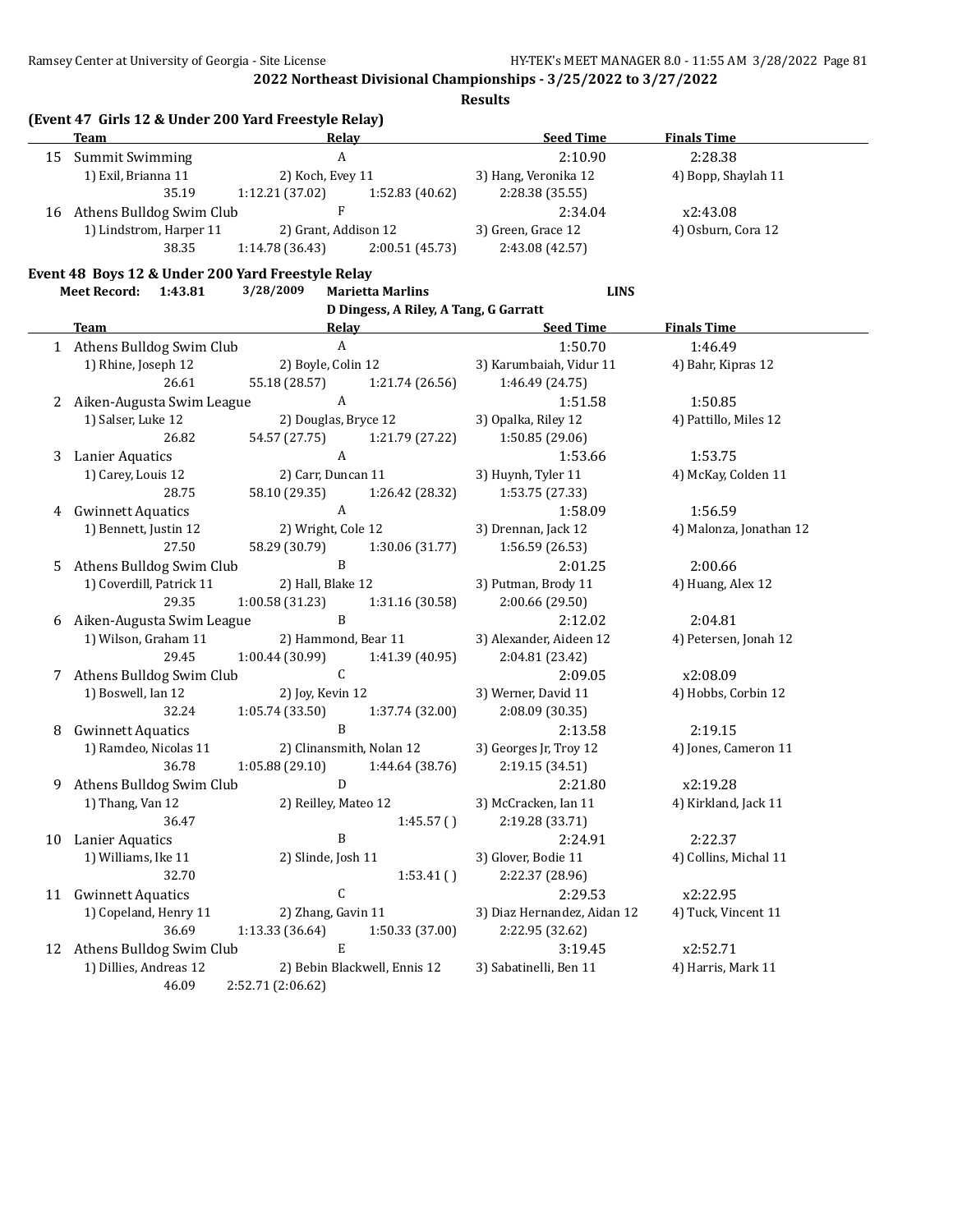|    | <b>Team</b>                                       | (Event 47 Girls 12 & Under 200 Yard Freestyle Relay)<br>Relay |                                       | <b>Seed Time</b>                | <b>Finals Time</b>      |
|----|---------------------------------------------------|---------------------------------------------------------------|---------------------------------------|---------------------------------|-------------------------|
|    | 15 Summit Swimming                                | $\boldsymbol{\mathsf{A}}$                                     |                                       | 2:10.90                         | 2:28.38                 |
|    | 1) Exil, Brianna 11<br>2) Koch, Evey 11           |                                                               | 3) Hang, Veronika 12                  | 4) Bopp, Shaylah 11             |                         |
|    | 35.19                                             | 1:12.21 (37.02)                                               | 1:52.83 (40.62)                       | 2:28.38 (35.55)                 |                         |
|    | 16 Athens Bulldog Swim Club                       | ${\bf F}$                                                     |                                       | 2:34.04                         | x2:43.08                |
|    | 1) Lindstrom, Harper 11                           | 2) Grant, Addison 12                                          |                                       | 3) Green, Grace 12              | 4) Osburn, Cora 12      |
|    | 38.35                                             | 1:14.78 (36.43)                                               | 2:00.51 (45.73)                       | 2:43.08 (42.57)                 |                         |
|    | Event 48 Boys 12 & Under 200 Yard Freestyle Relay |                                                               |                                       |                                 |                         |
|    | Meet Record: 1:43.81                              | 3/28/2009                                                     | <b>Marietta Marlins</b>               | <b>LINS</b>                     |                         |
|    |                                                   |                                                               | D Dingess, A Riley, A Tang, G Garratt |                                 |                         |
|    | <b>Team</b>                                       |                                                               | Relay Relay                           | <b>Seed Time</b>                | <b>Finals Time</b>      |
|    | 1 Athens Bulldog Swim Club                        | $\boldsymbol{\mathsf{A}}$                                     |                                       | 1:50.70                         | 1:46.49                 |
|    | 1) Rhine, Joseph 12                               | 2) Boyle, Colin 12                                            |                                       | 3) Karumbaiah, Vidur 11         | 4) Bahr, Kipras 12      |
|    | 26.61                                             | 55.18 (28.57)                                                 | 1:21.74 (26.56)                       | 1:46.49 (24.75)                 |                         |
|    | 2 Aiken-Augusta Swim League                       | $\boldsymbol{A}$                                              |                                       | 1:51.58                         | 1:50.85                 |
|    | 1) Salser, Luke 12                                | 2) Douglas, Bryce 12                                          |                                       | 3) Opalka, Riley 12             | 4) Pattillo, Miles 12   |
|    | 26.82                                             | 54.57 (27.75)                                                 | 1:21.79 (27.22)                       | 1:50.85 (29.06)                 |                         |
| 3  | <b>Lanier Aquatics</b>                            | $\mathbf{A}$                                                  |                                       | 1:53.66                         | 1:53.75                 |
|    | 1) Carey, Louis 12                                | 2) Carr, Duncan 11                                            |                                       | 3) Huynh, Tyler 11              | 4) McKay, Colden 11     |
|    | 28.75                                             | 58.10 (29.35)                                                 | 1:26.42 (28.32)                       | 1:53.75 (27.33)                 |                         |
| 4  | <b>Gwinnett Aquatics</b>                          | $\boldsymbol{A}$                                              |                                       | 1:58.09                         | 1:56.59                 |
|    | 1) Bennett, Justin 12                             | 2) Wright, Cole 12                                            |                                       | 3) Drennan, Jack 12             | 4) Malonza, Jonathan 12 |
|    | 27.50                                             | 58.29 (30.79)                                                 | 1:30.06 (31.77)                       | 1:56.59(26.53)                  |                         |
| 5  | Athens Bulldog Swim Club                          | $\, {\bf B}$                                                  |                                       | 2:01.25                         | 2:00.66                 |
|    | 1) Coverdill, Patrick 11                          | 2) Hall, Blake 12                                             |                                       | 3) Putman, Brody 11             | 4) Huang, Alex 12       |
|    | 29.35                                             | 1:00.58 (31.23)                                               | 1:31.16 (30.58)                       | 2:00.66 (29.50)                 |                         |
| 6  | Aiken-Augusta Swim League                         | $\, {\bf B}$                                                  |                                       | 2:12.02                         | 2:04.81                 |
|    | 1) Wilson, Graham 11                              | 2) Hammond, Bear 11                                           |                                       | 3) Alexander, Aideen 12         | 4) Petersen, Jonah 12   |
|    | 29.45                                             | 1:00.44 (30.99)                                               | 1:41.39 (40.95)                       | 2:04.81 (23.42)                 |                         |
| 7  | Athens Bulldog Swim Club                          | ${\mathsf C}$                                                 |                                       | 2:09.05                         | x2:08.09                |
|    | 1) Boswell, Ian 12                                | 2) Joy, Kevin 12                                              |                                       | 3) Werner, David 11             | 4) Hobbs, Corbin 12     |
|    | 32.24                                             | 1:05.74(33.50)                                                | 1:37.74 (32.00)                       | 2:08.09 (30.35)                 |                         |
| 8  | <b>Gwinnett Aquatics</b>                          | $\, {\bf B}$                                                  |                                       | 2:13.58                         | 2:19.15                 |
|    | 1) Ramdeo, Nicolas 11                             | 2) Clinansmith, Nolan 12                                      |                                       | 3) Georges Jr, Troy 12          | 4) Jones, Cameron 11    |
|    | 36.78                                             | 1:05.88 (29.10)<br>D                                          | 1:44.64 (38.76)                       | 2:19.15 (34.51)                 |                         |
| 9  | Athens Bulldog Swim Club<br>1) Thang, Van 12      | 2) Reilley, Mateo 12                                          |                                       | 2:21.80<br>3) McCracken, Ian 11 | x2:19.28                |
|    | 36.47                                             |                                                               | 1:45.57()                             | 2:19.28 (33.71)                 | 4) Kirkland, Jack 11    |
| 10 | <b>Lanier Aquatics</b>                            | B                                                             |                                       | 2:24.91                         | 2:22.37                 |
|    | 1) Williams, Ike 11                               | 2) Slinde, Josh 11                                            |                                       | 3) Glover, Bodie 11             | 4) Collins, Michal 11   |
|    | 32.70                                             |                                                               | 1:53.41()                             | 2:22.37 (28.96)                 |                         |
| 11 | <b>Gwinnett Aquatics</b>                          | $\mathsf C$                                                   |                                       | 2:29.53                         | x2:22.95                |
|    | 1) Copeland, Henry 11                             | 2) Zhang, Gavin 11                                            |                                       | 3) Diaz Hernandez, Aidan 12     | 4) Tuck, Vincent 11     |
|    | 36.69                                             | 1:13.33 (36.64)                                               | 1:50.33 (37.00)                       | 2:22.95 (32.62)                 |                         |
|    | 12 Athens Bulldog Swim Club                       | $\mathbf E$                                                   |                                       | 3:19.45                         | x2:52.71                |
|    | 1) Dillies, Andreas 12                            | 2) Bebin Blackwell, Ennis 12                                  |                                       | 3) Sabatinelli, Ben 11          | 4) Harris, Mark 11      |
|    | 46.09                                             | 2:52.71 (2:06.62)                                             |                                       |                                 |                         |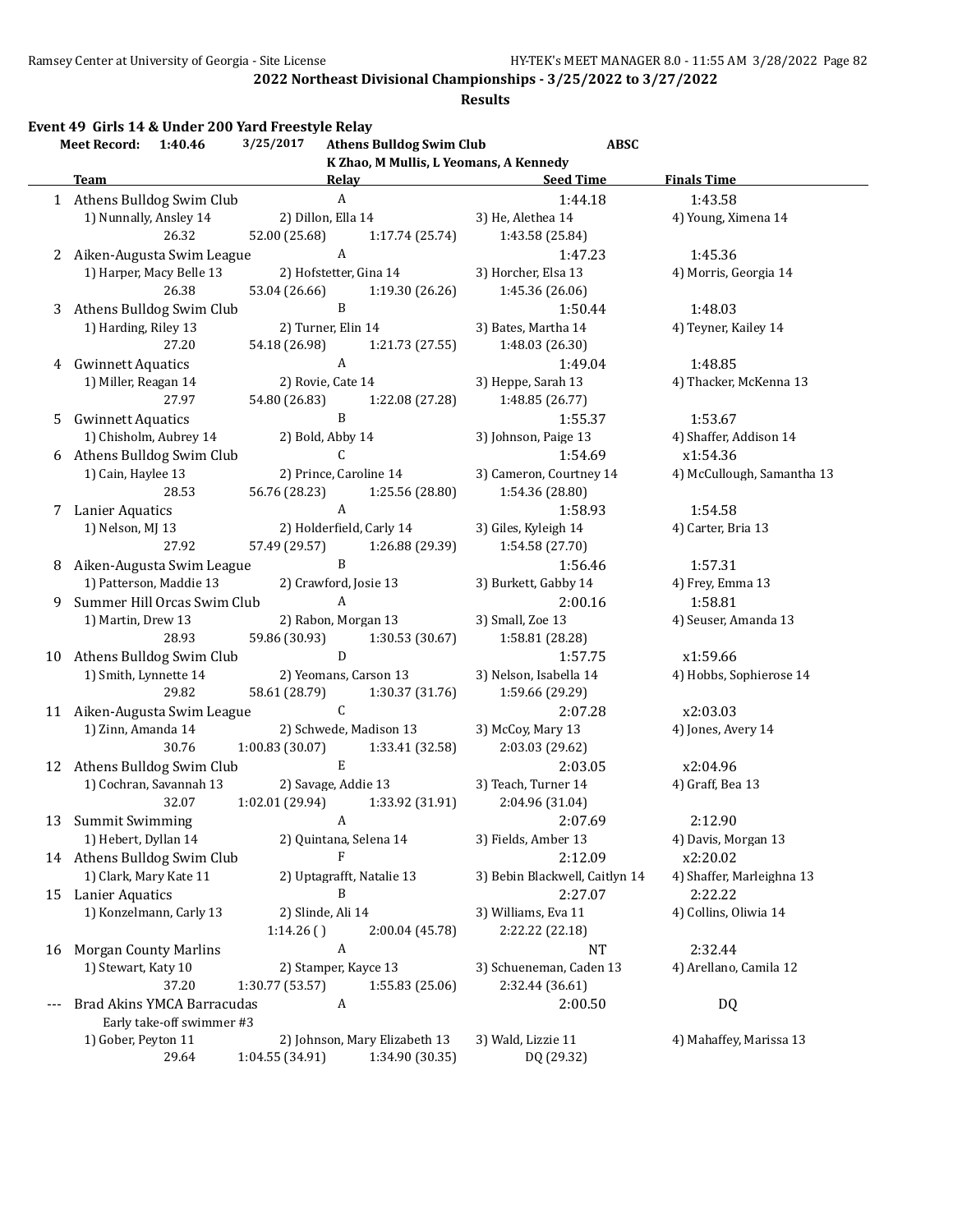#### **Results**

**Event 49 Girls 14 & Under 200 Yard Freestyle Relay**

|    | <b>Meet Record:</b>          | 1:40.46                      | 3/25/2017                | <b>Athens Bulldog Swim Club</b>        | <b>ABSC</b>                    |                            |
|----|------------------------------|------------------------------|--------------------------|----------------------------------------|--------------------------------|----------------------------|
|    |                              |                              |                          | K Zhao, M Mullis, L Yeomans, A Kennedy |                                |                            |
|    | <b>Team</b>                  |                              | Relay                    |                                        | <b>Seed Time</b>               | <b>Finals Time</b>         |
|    |                              | 1 Athens Bulldog Swim Club   | $\boldsymbol{A}$         |                                        | 1:44.18                        | 1:43.58                    |
|    | 1) Nunnally, Ansley 14       |                              | 2) Dillon, Ella 14       |                                        | 3) He, Alethea 14              | 4) Young, Ximena 14        |
|    |                              | 26.32                        | 52.00 (25.68)            | 1:17.74 (25.74)                        | 1:43.58 (25.84)                |                            |
| 2  |                              | Aiken-Augusta Swim League    | $\boldsymbol{A}$         |                                        | 1:47.23                        | 1:45.36                    |
|    |                              | 1) Harper, Macy Belle 13     | 2) Hofstetter, Gina 14   |                                        | 3) Horcher, Elsa 13            | 4) Morris, Georgia 14      |
|    |                              | 26.38                        | 53.04 (26.66)            | 1:19.30 (26.26)                        | 1:45.36 (26.06)                |                            |
| 3  |                              | Athens Bulldog Swim Club     | $\, {\bf B}$             |                                        | 1:50.44                        | 1:48.03                    |
|    | 1) Harding, Riley 13         |                              | 2) Turner, Elin 14       |                                        | 3) Bates, Martha 14            | 4) Teyner, Kailey 14       |
|    |                              | 27.20                        | 54.18 (26.98)            | 1:21.73 (27.55)                        | 1:48.03 (26.30)                |                            |
| 4  | <b>Gwinnett Aquatics</b>     |                              | $\boldsymbol{A}$         |                                        | 1:49.04                        | 1:48.85                    |
|    | 1) Miller, Reagan 14         |                              | 2) Rovie, Cate 14        |                                        | 3) Heppe, Sarah 13             | 4) Thacker, McKenna 13     |
|    |                              | 27.97                        | 54.80 (26.83)            | 1:22.08 (27.28)                        | 1:48.85 (26.77)                |                            |
| 5  | <b>Gwinnett Aquatics</b>     |                              | B                        |                                        | 1:55.37                        | 1:53.67                    |
|    |                              | 1) Chisholm, Aubrey 14       | 2) Bold, Abby 14         |                                        | 3) Johnson, Paige 13           | 4) Shaffer, Addison 14     |
| 6  |                              | Athens Bulldog Swim Club     | С                        |                                        | 1:54.69                        | x1:54.36                   |
|    | 1) Cain, Haylee 13           |                              | 2) Prince, Caroline 14   |                                        | 3) Cameron, Courtney 14        | 4) McCullough, Samantha 13 |
|    |                              | 28.53                        | 56.76 (28.23)            | 1:25.56 (28.80)                        | 1:54.36 (28.80)                |                            |
| 7  | Lanier Aquatics              |                              | $\boldsymbol{A}$         |                                        | 1:58.93                        | 1:54.58                    |
|    | 1) Nelson, MJ 13             |                              | 2) Holderfield, Carly 14 |                                        | 3) Giles, Kyleigh 14           | 4) Carter, Bria 13         |
|    |                              | 27.92                        | 57.49 (29.57)            | 1:26.88 (29.39)                        | 1:54.58 (27.70)                |                            |
| 8  |                              | Aiken-Augusta Swim League    | $\, {\bf B}$             |                                        | 1:56.46                        | 1:57.31                    |
|    |                              | 1) Patterson, Maddie 13      | 2) Crawford, Josie 13    |                                        | 3) Burkett, Gabby 14           | 4) Frey, Emma 13           |
| 9  |                              | Summer Hill Orcas Swim Club  | $\boldsymbol{A}$         |                                        | 2:00.16                        | 1:58.81                    |
|    | 1) Martin, Drew 13           |                              | 2) Rabon, Morgan 13      |                                        | 3) Small, Zoe 13               | 4) Seuser, Amanda 13       |
|    |                              | 28.93                        | 59.86 (30.93)            | 1:30.53 (30.67)                        | 1:58.81 (28.28)                |                            |
|    |                              | 10 Athens Bulldog Swim Club  | $\mathbf D$              |                                        | 1:57.75                        | x1:59.66                   |
|    | 1) Smith, Lynnette 14        |                              | 2) Yeomans, Carson 13    |                                        | 3) Nelson, Isabella 14         | 4) Hobbs, Sophierose 14    |
|    |                              | 29.82                        | 58.61 (28.79)            | 1:30.37 (31.76)                        | 1:59.66 (29.29)                |                            |
|    |                              | 11 Aiken-Augusta Swim League | $\mathsf C$              |                                        | 2:07.28                        | x2:03.03                   |
|    | 1) Zinn, Amanda 14           |                              |                          | 2) Schwede, Madison 13                 | 3) McCoy, Mary 13              | 4) Jones, Avery 14         |
|    |                              | 30.76                        | 1:00.83 (30.07)          | 1:33.41 (32.58)                        | 2:03.03 (29.62)                |                            |
|    |                              | 12 Athens Bulldog Swim Club  | ${\bf E}$                |                                        | 2:03.05                        | x2:04.96                   |
|    |                              | 1) Cochran, Savannah 13      | 2) Savage, Addie 13      |                                        | 3) Teach, Turner 14            | 4) Graff, Bea 13           |
|    |                              | 32.07                        | 1:02.01 (29.94)          | 1:33.92 (31.91)                        | 2:04.96 (31.04)                |                            |
|    | 13 Summit Swimming           |                              | A                        |                                        | 2:07.69                        | 2:12.90                    |
|    | 1) Hebert, Dyllan 14         |                              | 2) Quintana, Selena 14   |                                        | 3) Fields, Amber 13            | 4) Davis, Morgan 13        |
|    |                              | 14 Athens Bulldog Swim Club  | F                        |                                        | 2:12.09                        | x2:20.02                   |
|    | 1) Clark, Mary Kate 11       |                              |                          | 2) Uptagrafft, Natalie 13              | 3) Bebin Blackwell, Caitlyn 14 | 4) Shaffer, Marleighna 13  |
|    | 15 Lanier Aquatics           |                              | B                        |                                        | 2:27.07                        | 2:22.22                    |
|    |                              | 1) Konzelmann, Carly 13      | 2) Slinde, Ali 14        |                                        | 3) Williams, Eva 11            | 4) Collins, Oliwia 14      |
|    |                              |                              | 1:14.26()                | 2:00.04 (45.78)                        | 2:22.22 (22.18)                |                            |
| 16 | <b>Morgan County Marlins</b> |                              | A                        |                                        | <b>NT</b>                      | 2:32.44                    |
|    | 1) Stewart, Katy 10          |                              | 2) Stamper, Kayce 13     |                                        | 3) Schueneman, Caden 13        | 4) Arellano, Camila 12     |
|    |                              | 37.20                        | 1:30.77 (53.57)          | 1:55.83 (25.06)                        | 2:32.44 (36.61)                |                            |
|    |                              | Brad Akins YMCA Barracudas   | A                        |                                        | 2:00.50                        | DQ                         |
|    |                              | Early take-off swimmer #3    |                          |                                        |                                |                            |
|    | 1) Gober, Peyton 11          |                              |                          | 2) Johnson, Mary Elizabeth 13          | 3) Wald, Lizzie 11             | 4) Mahaffey, Marissa 13    |
|    |                              | 29.64                        | 1:04.55 (34.91)          | 1:34.90 (30.35)                        | DQ (29.32)                     |                            |
|    |                              |                              |                          |                                        |                                |                            |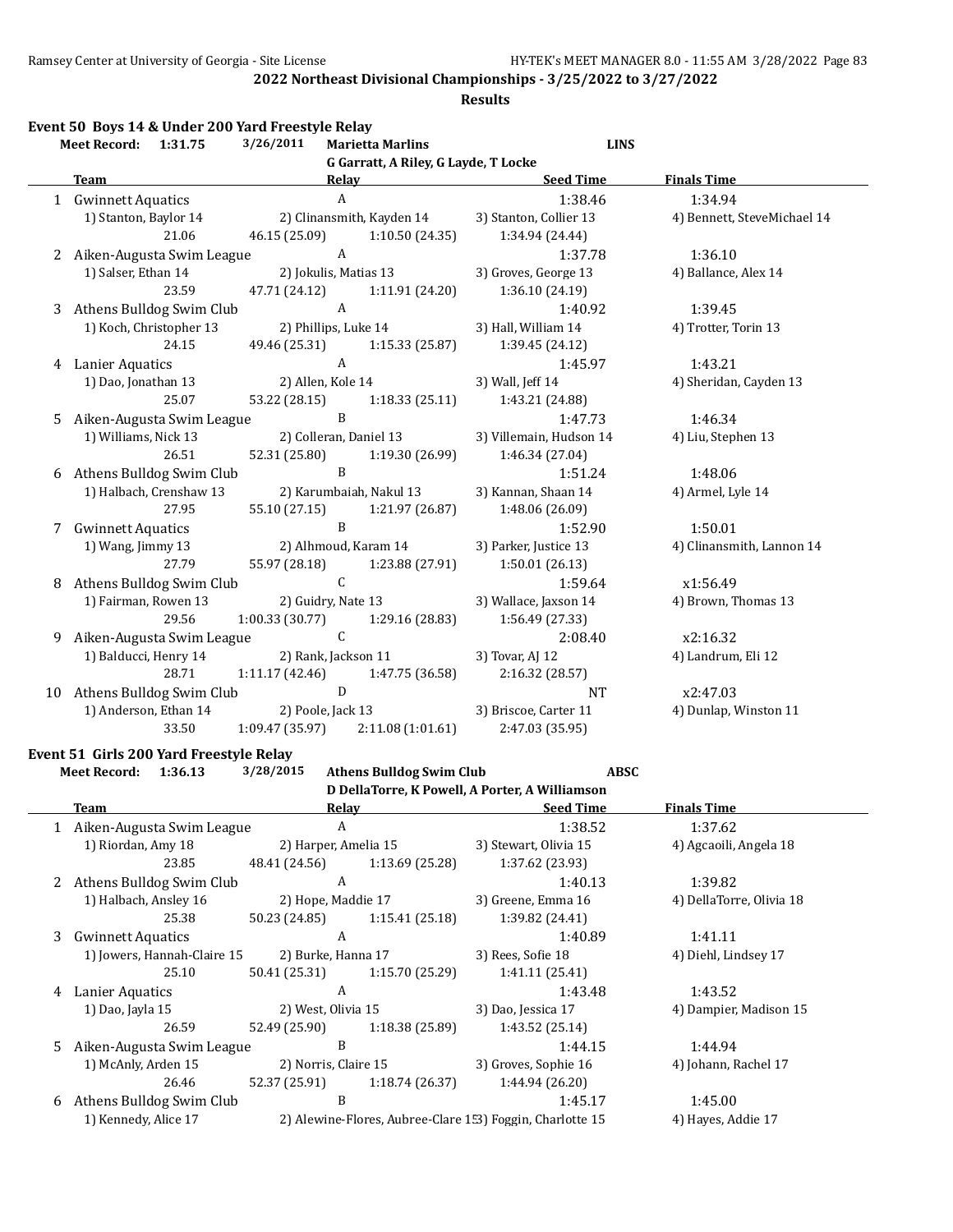#### **Results**

|    | Meet Record: 1:31.75                     | 3/26/2011      | <b>Marietta Marlins</b>              | <b>LINS</b>             |                             |
|----|------------------------------------------|----------------|--------------------------------------|-------------------------|-----------------------------|
|    |                                          |                | G Garratt, A Riley, G Layde, T Locke |                         |                             |
|    | <b>Team</b>                              |                | Relay                                | <b>Seed Time</b>        | <b>Finals Time</b>          |
|    | 1 Gwinnett Aquatics                      |                | $\mathbf{A}$                         | 1:38.46                 | 1:34.94                     |
|    | 1) Stanton, Baylor 14                    |                | 2) Clinansmith, Kayden 14            | 3) Stanton, Collier 13  | 4) Bennett, SteveMichael 14 |
|    | 21.06                                    | 46.15 (25.09)  | 1:10.50(24.35)                       | 1:34.94 (24.44)         |                             |
| 2  | Aiken-Augusta Swim League                |                | $\mathbf{A}$                         | 1:37.78                 | 1:36.10                     |
|    | 1) Salser, Ethan 14                      |                | 2) Jokulis, Matias 13                | 3) Groves, George 13    | 4) Ballance, Alex 14        |
|    | 23.59                                    | 47.71 (24.12)  | 1:11.91 (24.20)                      | 1:36.10 (24.19)         |                             |
|    | 3 Athens Bulldog Swim Club               |                | $\mathbf{A}$                         | 1:40.92                 | 1:39.45                     |
|    | 1) Koch, Christopher 13                  |                | 2) Phillips, Luke 14                 | 3) Hall, William 14     | 4) Trotter, Torin 13        |
|    | 24.15                                    | 49.46 (25.31)  | 1:15.33(25.87)                       | 1:39.45 (24.12)         |                             |
| 4  | <b>Lanier Aquatics</b>                   |                | $\boldsymbol{A}$                     | 1:45.97                 | 1:43.21                     |
|    | 1) Dao, Jonathan 13<br>2) Allen, Kole 14 |                |                                      | 3) Wall, Jeff 14        | 4) Sheridan, Cayden 13      |
|    | 25.07                                    | 53.22 (28.15)  | 1:18.33(25.11)                       | 1:43.21 (24.88)         |                             |
| 5  | Aiken-Augusta Swim League                |                | $\, {\bf B}$                         | 1:47.73                 | 1:46.34                     |
|    | 1) Williams, Nick 13                     |                | 2) Colleran, Daniel 13               | 3) Villemain, Hudson 14 | 4) Liu, Stephen 13          |
|    | 26.51                                    | 52.31 (25.80)  | 1:19.30 (26.99)                      | 1:46.34 (27.04)         |                             |
| 6  | Athens Bulldog Swim Club                 |                | B                                    | 1:51.24                 | 1:48.06                     |
|    | 1) Halbach, Crenshaw 13                  |                | 2) Karumbaiah, Nakul 13              | 3) Kannan, Shaan 14     | 4) Armel, Lyle 14           |
|    | 27.95                                    | 55.10 (27.15)  | 1:21.97 (26.87)                      | 1:48.06 (26.09)         |                             |
| 7  | <b>Gwinnett Aquatics</b>                 |                | $\, {\bf B}$                         | 1:52.90                 | 1:50.01                     |
|    | 1) Wang, Jimmy 13                        |                | 2) Alhmoud, Karam 14                 | 3) Parker, Justice 13   | 4) Clinansmith, Lannon 14   |
|    | 27.79                                    | 55.97 (28.18)  | 1:23.88 (27.91)                      | 1:50.01(26.13)          |                             |
| 8  | Athens Bulldog Swim Club                 |                | $\mathsf{C}$                         | 1:59.64                 | x1:56.49                    |
|    | 1) Fairman, Rowen 13                     |                | 2) Guidry, Nate 13                   | 3) Wallace, Jaxson 14   | 4) Brown, Thomas 13         |
|    | 29.56                                    | 1:00.33(30.77) | 1:29.16 (28.83)                      | 1:56.49 (27.33)         |                             |
| 9  | Aiken-Augusta Swim League                |                | $\mathsf{C}$                         | 2:08.40                 | x2:16.32                    |
|    | 1) Balducci, Henry 14                    |                | 2) Rank, Jackson 11                  | 3) Tovar, AJ 12         | 4) Landrum, Eli 12          |
|    | 28.71                                    | 1:11.17(42.46) | 1:47.75 (36.58)                      | 2:16.32 (28.57)         |                             |
| 10 | Athens Bulldog Swim Club                 |                | D                                    | <b>NT</b>               | x2:47.03                    |
|    | 1) Anderson, Ethan 14                    |                | 2) Poole, Jack 13                    | 3) Briscoe, Carter 11   | 4) Dunlap, Winston 11       |
|    | 33.50                                    | 1:09.47(35.97) | 2:11.08(1:01.61)                     | 2:47.03 (35.95)         |                             |

#### **Event 51 Girls 200 Yard Freestyle Relay**

|    | <b>Meet Record:</b><br>1:36.13 | 3/28/2015            | <b>Athens Bulldog Swim Club</b> | <b>ABSC</b>                                               |                          |
|----|--------------------------------|----------------------|---------------------------------|-----------------------------------------------------------|--------------------------|
|    |                                |                      |                                 | D DellaTorre, K Powell, A Porter, A Williamson            |                          |
|    | Team                           |                      | Relav                           | <b>Seed Time</b>                                          | <b>Finals Time</b>       |
|    | 1 Aiken-Augusta Swim League    |                      | A                               | 1:38.52                                                   | 1:37.62                  |
|    | 1) Riordan, Amy 18             | 2) Harper, Amelia 15 |                                 | 3) Stewart, Olivia 15                                     | 4) Agcaoili, Angela 18   |
|    | 23.85                          | 48.41 (24.56)        | 1:13.69(25.28)                  | 1:37.62 (23.93)                                           |                          |
|    | Athens Bulldog Swim Club       |                      | A                               | 1:40.13                                                   | 1:39.82                  |
|    | 1) Halbach, Ansley 16          | 2) Hope, Maddie 17   |                                 | 3) Greene, Emma 16                                        | 4) DellaTorre, Olivia 18 |
|    | 25.38                          | 50.23 (24.85)        | 1:15.41(25.18)                  | 1:39.82 (24.41)                                           |                          |
| 3  | <b>Gwinnett Aquatics</b>       |                      | A                               | 1:40.89                                                   | 1:41.11                  |
|    | 1) Jowers, Hannah-Claire 15    | 2) Burke, Hanna 17   |                                 | 3) Rees, Sofie 18                                         | 4) Diehl, Lindsey 17     |
|    | 25.10                          | 50.41 (25.31)        | 1:15.70(25.29)                  | 1:41.11(25.41)                                            |                          |
| 4  | Lanier Aquatics                |                      | A                               | 1:43.48                                                   | 1:43.52                  |
|    | 1) Dao, Jayla 15               | 2) West, Olivia 15   |                                 | 3) Dao, Jessica 17                                        | 4) Dampier, Madison 15   |
|    | 26.59                          | 52.49 (25.90)        | 1:18.38(25.89)                  | 1:43.52 (25.14)                                           |                          |
| 5. | Aiken-Augusta Swim League      |                      | B                               | 1:44.15                                                   | 1:44.94                  |
|    | 1) McAnly, Arden 15            | 2) Norris, Claire 15 |                                 | 3) Groves, Sophie 16                                      | 4) Johann, Rachel 17     |
|    | 26.46                          | 52.37 (25.91)        | 1:18.74(26.37)                  | 1:44.94 (26.20)                                           |                          |
| 6  | Athens Bulldog Swim Club       |                      | B                               | 1:45.17                                                   | 1:45.00                  |
|    | 1) Kennedy, Alice 17           |                      |                                 | 2) Alewine-Flores, Aubree-Clare 1.3) Foggin, Charlotte 15 | 4) Hayes, Addie 17       |
|    |                                |                      |                                 |                                                           |                          |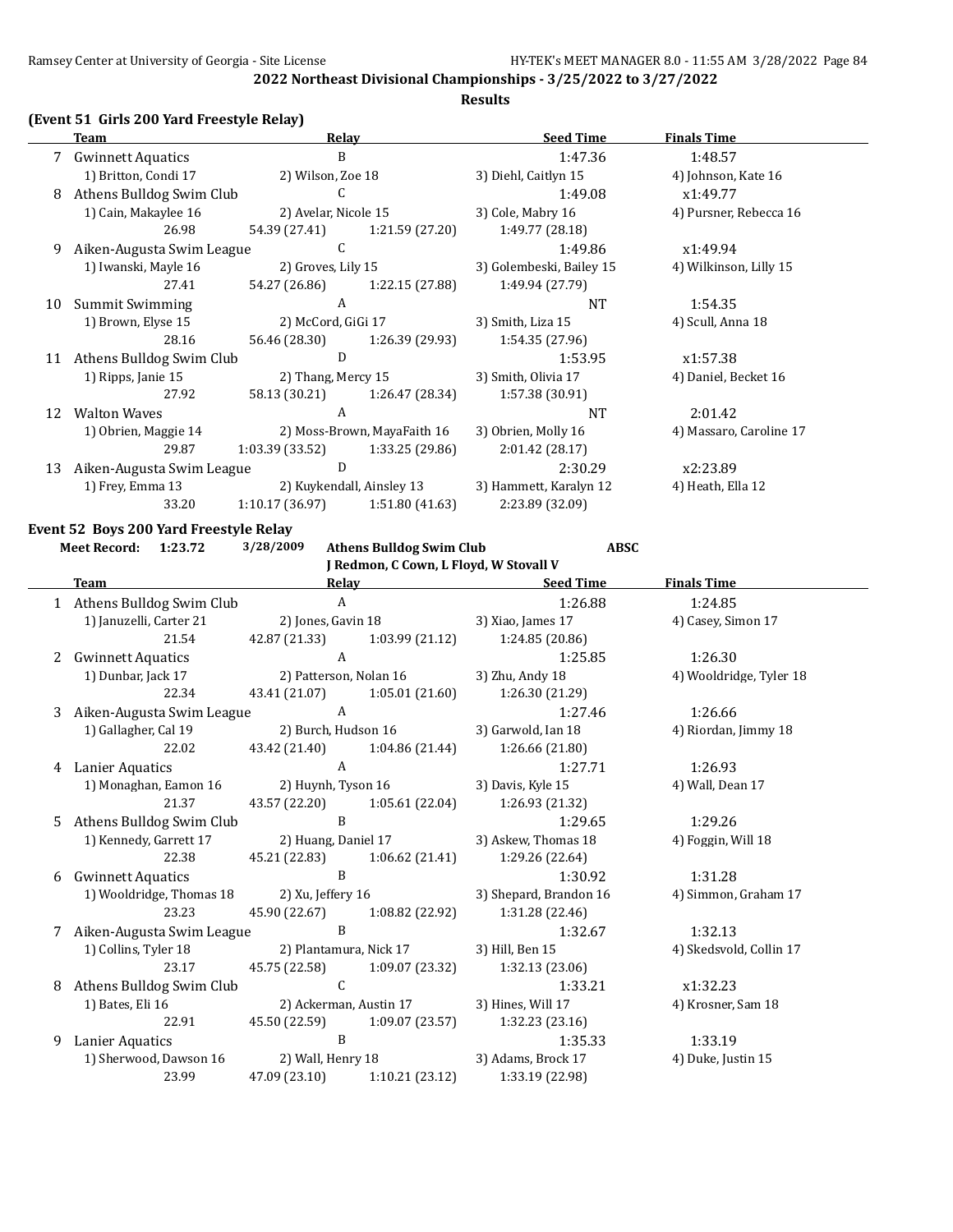#### **Results**

## **(Event 51 Girls 200 Yard Freestyle Relay)**

|    | <b>Team</b>               | Relay                |                             | <b>Seed Time</b>         | <b>Finals Time</b>      |
|----|---------------------------|----------------------|-----------------------------|--------------------------|-------------------------|
|    | <b>Gwinnett Aquatics</b>  | B                    |                             | 1:47.36                  | 1:48.57                 |
|    | 1) Britton, Condi 17      | 2) Wilson, Zoe 18    |                             | 3) Diehl, Caitlyn 15     | 4) Johnson, Kate 16     |
| 8  | Athens Bulldog Swim Club  | C                    |                             | 1:49.08                  | x1:49.77                |
|    | 1) Cain, Makaylee 16      | 2) Avelar, Nicole 15 |                             | 3) Cole, Mabry 16        | 4) Pursner, Rebecca 16  |
|    | 26.98                     | 54.39 (27.41)        | 1:21.59(27.20)              | 1:49.77 (28.18)          |                         |
| 9  | Aiken-Augusta Swim League | C                    |                             | 1:49.86                  | x1:49.94                |
|    | 1) Iwanski, Mayle 16      | 2) Groves, Lily 15   |                             | 3) Golembeski, Bailey 15 | 4) Wilkinson, Lilly 15  |
|    | 27.41                     | 54.27 (26.86)        | 1:22.15 (27.88)             | 1:49.94 (27.79)          |                         |
| 10 | <b>Summit Swimming</b>    | A                    |                             | <b>NT</b>                | 1:54.35                 |
|    | 1) Brown, Elyse 15        | 2) McCord, GiGi 17   |                             | 3) Smith, Liza 15        | 4) Scull, Anna 18       |
|    | 28.16                     | 56.46 (28.30)        | 1:26.39 (29.93)             | 1:54.35 (27.96)          |                         |
| 11 | Athens Bulldog Swim Club  | D                    |                             | 1:53.95                  | x1:57.38                |
|    | 1) Ripps, Janie 15        | 2) Thang, Mercy 15   |                             | 3) Smith, Olivia 17      | 4) Daniel, Becket 16    |
|    | 27.92                     | 58.13 (30.21)        | 1:26.47 (28.34)             | 1:57.38(30.91)           |                         |
| 12 | <b>Walton Waves</b>       | A                    |                             | <b>NT</b>                | 2:01.42                 |
|    | 1) Obrien, Maggie 14      |                      | 2) Moss-Brown, MayaFaith 16 | 3) Obrien, Molly 16      | 4) Massaro, Caroline 17 |
|    | 29.87                     | 1:03.39(33.52)       | 1:33.25 (29.86)             | 2:01.42(28.17)           |                         |
| 13 | Aiken-Augusta Swim League | D                    |                             | 2:30.29                  | x2:23.89                |
|    | 1) Frey, Emma 13          |                      | 2) Kuykendall, Ainsley 13   | 3) Hammett, Karalyn 12   | 4) Heath, Ella 12       |
|    | 33.20                     | 1:10.17(36.97)       | 1:51.80(41.63)              | 2:23.89 (32.09)          |                         |
|    |                           |                      |                             |                          |                         |

## **Event 52 Boys 200 Yard Freestyle Relay**

|   | Meet Record: 1:23.72                     | 3/28/2009           | <b>Athens Bulldog Swim Club</b>        | <b>ABSC</b>                                   |                         |
|---|------------------------------------------|---------------------|----------------------------------------|-----------------------------------------------|-------------------------|
|   |                                          |                     | J Redmon, C Cown, L Floyd, W Stovall V |                                               |                         |
|   | <b>Team</b>                              |                     |                                        | Relay Seed Time                               | <b>Finals Time</b>      |
|   | 1 Athens Bulldog Swim Club               |                     | $\mathbf{A}$                           | 1:26.88                                       | 1:24.85                 |
|   | 1) Januzelli, Carter 21                  |                     | 2) Jones, Gavin 18                     | 3) Xiao, James 17                             | 4) Casey, Simon 17      |
|   | 21.54                                    | 42.87 (21.33)       | 1:03.99 (21.12)                        | 1:24.85 (20.86)                               |                         |
| 2 | <b>Gwinnett Aquatics</b>                 | $\mathbf{A}$        |                                        | 1:25.85                                       | 1:26.30                 |
|   | 1) Dunbar, Jack 17                       |                     | 2) Patterson, Nolan 16                 | 3) Zhu, Andy 18                               | 4) Wooldridge, Tyler 18 |
|   | 22.34                                    |                     |                                        | 43.41 (21.07) 1:05.01 (21.60) 1:26.30 (21.29) |                         |
| 3 | Aiken-Augusta Swim League                | A                   |                                        | 1:27.46                                       | 1:26.66                 |
|   | 1) Gallagher, Cal 19 2) Burch, Hudson 16 |                     |                                        | 3) Garwold, Ian 18                            | 4) Riordan, Jimmy 18    |
|   | 22.02                                    | 43.42 (21.40)       | 1:04.86 (21.44)                        | 1:26.66(21.80)                                |                         |
| 4 | <b>Lanier Aquatics</b>                   | $\mathbf{A}$        |                                        | 1:27.71                                       | 1:26.93                 |
|   | 1) Monaghan, Eamon 16                    |                     | 2) Huynh, Tyson 16                     | 3) Davis, Kyle 15                             | 4) Wall, Dean 17        |
|   | 21.37                                    |                     | 43.57 (22.20) 1:05.61 (22.04)          | 1:26.93 (21.32)                               |                         |
| 5 | Athens Bulldog Swim Club                 | B                   |                                        | 1:29.65                                       | 1:29.26                 |
|   | 1) Kennedy, Garrett 17                   | 2) Huang, Daniel 17 |                                        | 3) Askew, Thomas 18                           | 4) Foggin, Will 18      |
|   | 22.38                                    |                     | 45.21 (22.83) 1:06.62 (21.41)          | 1:29.26 (22.64)                               |                         |
| 6 | <b>Gwinnett Aquatics</b>                 | $\, {\bf B}$        |                                        | 1:30.92                                       | 1:31.28                 |
|   | 1) Wooldridge, Thomas 18                 | 2) Xu, Jeffery 16   |                                        | 3) Shepard, Brandon 16                        | 4) Simmon, Graham 17    |
|   | 23.23                                    | 45.90 (22.67)       | 1:08.82 (22.92)                        | 1:31.28 (22.46)                               |                         |
| 7 | Aiken-Augusta Swim League                | B                   |                                        | 1:32.67                                       | 1:32.13                 |
|   | 1) Collins, Tyler 18                     |                     | 2) Plantamura, Nick 17                 | 3) Hill, Ben 15                               | 4) Skedsvold, Collin 17 |
|   | 23.17                                    |                     | 45.75 (22.58) 1:09.07 (23.32)          | 1:32.13(23.06)                                |                         |
| 8 | Athens Bulldog Swim Club                 | $\mathcal{C}$       |                                        | 1:33.21                                       | x1:32.23                |
|   | 1) Bates, Eli 16                         |                     | 2) Ackerman, Austin 17                 | 3) Hines, Will 17                             | 4) Krosner, Sam 18      |
|   | 22.91                                    |                     | 45.50 (22.59) 1:09.07 (23.57)          | 1:32.23 (23.16)                               |                         |
| 9 | Lanier Aquatics                          | $\overline{B}$      |                                        | 1:35.33                                       | 1:33.19                 |
|   | 1) Sherwood, Dawson 16                   | 2) Wall, Henry 18   |                                        | 3) Adams, Brock 17                            | 4) Duke, Justin 15      |
|   | 23.99                                    |                     | 47.09 (23.10) 1:10.21 (23.12)          | 1:33.19 (22.98)                               |                         |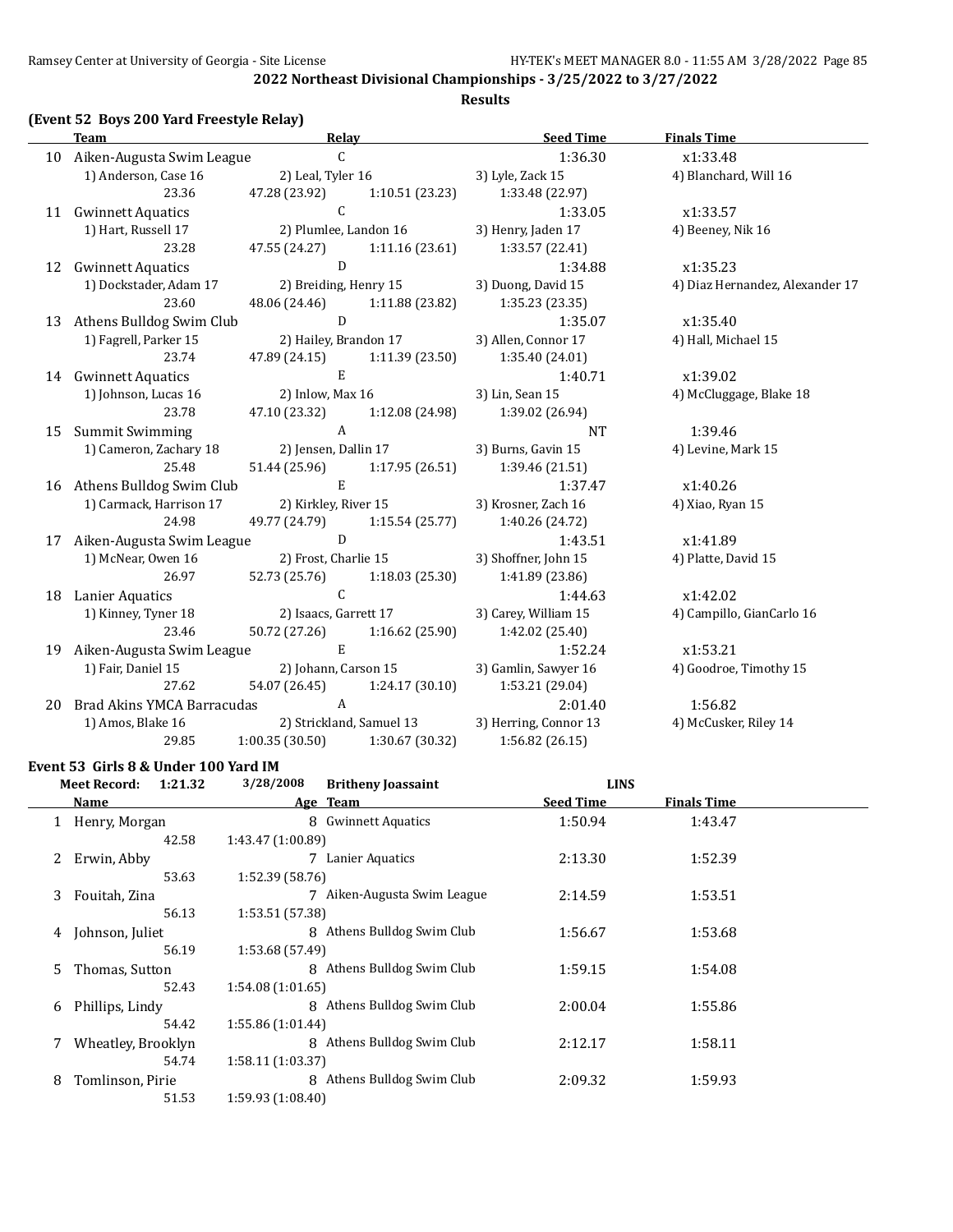#### **Results**

## **(Event 52 Boys 200 Yard Freestyle Relay)**

|    | <b>Team</b>                                | <b>Relay</b>                                      |                               | <b>Seed Time</b>                              | <b>Finals Time</b>              |
|----|--------------------------------------------|---------------------------------------------------|-------------------------------|-----------------------------------------------|---------------------------------|
|    | 10 Aiken-Augusta Swim League               | $\mathsf{C}$                                      |                               | 1:36.30                                       | x1:33.48                        |
|    | 1) Anderson, Case 16                       | 2) Leal, Tyler 16                                 |                               | 3) Lyle, Zack 15                              | 4) Blanchard, Will 16           |
|    | 23.36                                      | 47.28 (23.92)                                     | 1:10.51(23.23)                | 1:33.48 (22.97)                               |                                 |
|    | 11 Gwinnett Aquatics                       | $\mathcal{C}$                                     |                               | 1:33.05                                       | x1:33.57                        |
|    | 1) Hart, Russell 17                        |                                                   | 2) Plumlee, Landon 16         | 3) Henry, Jaden 17                            | 4) Beeney, Nik 16               |
|    | 23.28                                      | 47.55 (24.27)                                     | 1:11.16 (23.61)               | 1:33.57 (22.41)                               |                                 |
|    | 12 Gwinnett Aquatics                       | D                                                 |                               | 1:34.88                                       | x1:35.23                        |
|    | 1) Dockstader, Adam 17                     |                                                   | 2) Breiding, Henry 15         | 3) Duong, David 15                            | 4) Diaz Hernandez, Alexander 17 |
|    | 23.60                                      |                                                   | 48.06 (24.46) 1:11.88 (23.82) | 1:35.23 (23.35)                               |                                 |
| 13 | Athens Bulldog Swim Club                   | D                                                 |                               | 1:35.07                                       | x1:35.40                        |
|    | 1) Fagrell, Parker 15                      |                                                   | 2) Hailey, Brandon 17         | 3) Allen, Connor 17                           | 4) Hall, Michael 15             |
|    | 23.74                                      | 47.89 (24.15) 1:11.39 (23.50)                     |                               | 1:35.40 (24.01)                               |                                 |
|    | 14 Gwinnett Aquatics                       | $\mathbf E$                                       |                               | 1:40.71                                       | x1:39.02                        |
|    | 1) Johnson, Lucas 16                       |                                                   | 2) Inlow, Max 16              | 3) Lin, Sean 15                               | 4) McCluggage, Blake 18         |
|    | 23.78                                      | 47.10 (23.32)                                     | 1:12.08 (24.98)               | 1:39.02 (26.94)                               |                                 |
| 15 | Summit Swimming                            | $\mathsf{A}$                                      |                               | <b>NT</b>                                     | 1:39.46                         |
|    | 1) Cameron, Zachary 18                     | 2) Jensen, Dallin 17                              |                               | 3) Burns, Gavin 15                            | 4) Levine, Mark 15              |
|    | 25.48                                      |                                                   |                               | 51.44 (25.96) 1:17.95 (26.51) 1:39.46 (21.51) |                                 |
|    | 16 Athens Bulldog Swim Club                | $\,$ E                                            |                               | 1:37.47                                       | x1:40.26                        |
|    | 1) Carmack, Harrison 17                    |                                                   | 2) Kirkley, River 15          | 3) Krosner, Zach 16                           | 4) Xiao, Ryan 15                |
|    | 24.98                                      |                                                   | 49.77 (24.79) 1:15.54 (25.77) | 1:40.26 (24.72)                               |                                 |
| 17 | Aiken-Augusta Swim League                  | $\overline{D}$                                    |                               | 1:43.51                                       | x1:41.89                        |
|    | 1) McNear, Owen 16                         | 2) Frost, Charlie 15                              |                               | 3) Shoffner, John 15                          | 4) Platte, David 15             |
|    | 26.97                                      | 52.73 (25.76) 1:18.03 (25.30)                     |                               | 1:41.89 (23.86)                               |                                 |
|    | 18 Lanier Aquatics                         | $\mathsf{C}$                                      |                               | 1:44.63                                       | x1:42.02                        |
|    | 1) Kinney, Tyner 18                        | 2) Isaacs, Garrett 17                             |                               | 3) Carey, William 15                          | 4) Campillo, GianCarlo 16       |
|    | 23.46                                      | 50.72 (27.26)                                     | 1:16.62(25.90)                | 1:42.02 (25.40)                               |                                 |
| 19 | Aiken-Augusta Swim League                  | E                                                 |                               | 1:52.24                                       | x1:53.21                        |
|    | 1) Fair, Daniel 15                         | 2) Johann, Carson 15                              |                               | 3) Gamlin, Sawyer 16                          | 4) Goodroe, Timothy 15          |
|    | 27.62                                      |                                                   |                               | 54.07 (26.45) 1:24.17 (30.10) 1:53.21 (29.04) |                                 |
|    | 20 Brad Akins YMCA Barracudas A            |                                                   |                               | 2:01.40                                       | 1:56.82                         |
|    | 1) Amos, Blake 16 2) Strickland, Samuel 13 |                                                   |                               | 3) Herring, Connor 13                         | 4) McCusker, Riley 14           |
|    | 29.85                                      | $1:00.35(30.50)$ $1:30.67(30.32)$                 |                               | 1:56.82 (26.15)                               |                                 |
|    |                                            | $\overline{100}$ $\overline{11}$ $\overline{111}$ |                               |                                               |                                 |

#### **Event 53 Girls 8 & Under 100 Yard IM**

|    | <b>Meet Record:</b><br>1:21.32 | 3/28/2008         | <b>Britheny Joassaint</b>   | <b>LINS</b>      |                    |  |
|----|--------------------------------|-------------------|-----------------------------|------------------|--------------------|--|
|    | Name                           | Age Team          |                             | <b>Seed Time</b> | <b>Finals Time</b> |  |
|    | Henry, Morgan                  |                   | 8 Gwinnett Aquatics         | 1:50.94          | 1:43.47            |  |
|    | 42.58                          | 1:43.47 (1:00.89) |                             |                  |                    |  |
| 2  | Erwin, Abby                    |                   | 7 Lanier Aquatics           | 2:13.30          | 1:52.39            |  |
|    | 53.63                          | 1:52.39 (58.76)   |                             |                  |                    |  |
| 3  | Fouitah, Zina                  |                   | 7 Aiken-Augusta Swim League | 2:14.59          | 1:53.51            |  |
|    | 56.13                          | 1:53.51 (57.38)   |                             |                  |                    |  |
| 4  | Johnson, Juliet                |                   | 8 Athens Bulldog Swim Club  | 1:56.67          | 1:53.68            |  |
|    | 56.19                          | 1:53.68 (57.49)   |                             |                  |                    |  |
| 5. | Thomas, Sutton                 |                   | 8 Athens Bulldog Swim Club  | 1:59.15          | 1:54.08            |  |
|    | 52.43                          | 1:54.08(1:01.65)  |                             |                  |                    |  |
| 6  | Phillips, Lindy                |                   | 8 Athens Bulldog Swim Club  | 2:00.04          | 1:55.86            |  |
|    | 54.42                          | 1:55.86 (1:01.44) |                             |                  |                    |  |
|    | Wheatley, Brooklyn             | 8                 | Athens Bulldog Swim Club    | 2:12.17          | 1:58.11            |  |
|    | 54.74                          | 1:58.11(1:03.37)  |                             |                  |                    |  |
| 8  | Tomlinson, Pirie               |                   | 8 Athens Bulldog Swim Club  | 2:09.32          | 1:59.93            |  |
|    | 51.53                          | 1:59.93(1:08.40)  |                             |                  |                    |  |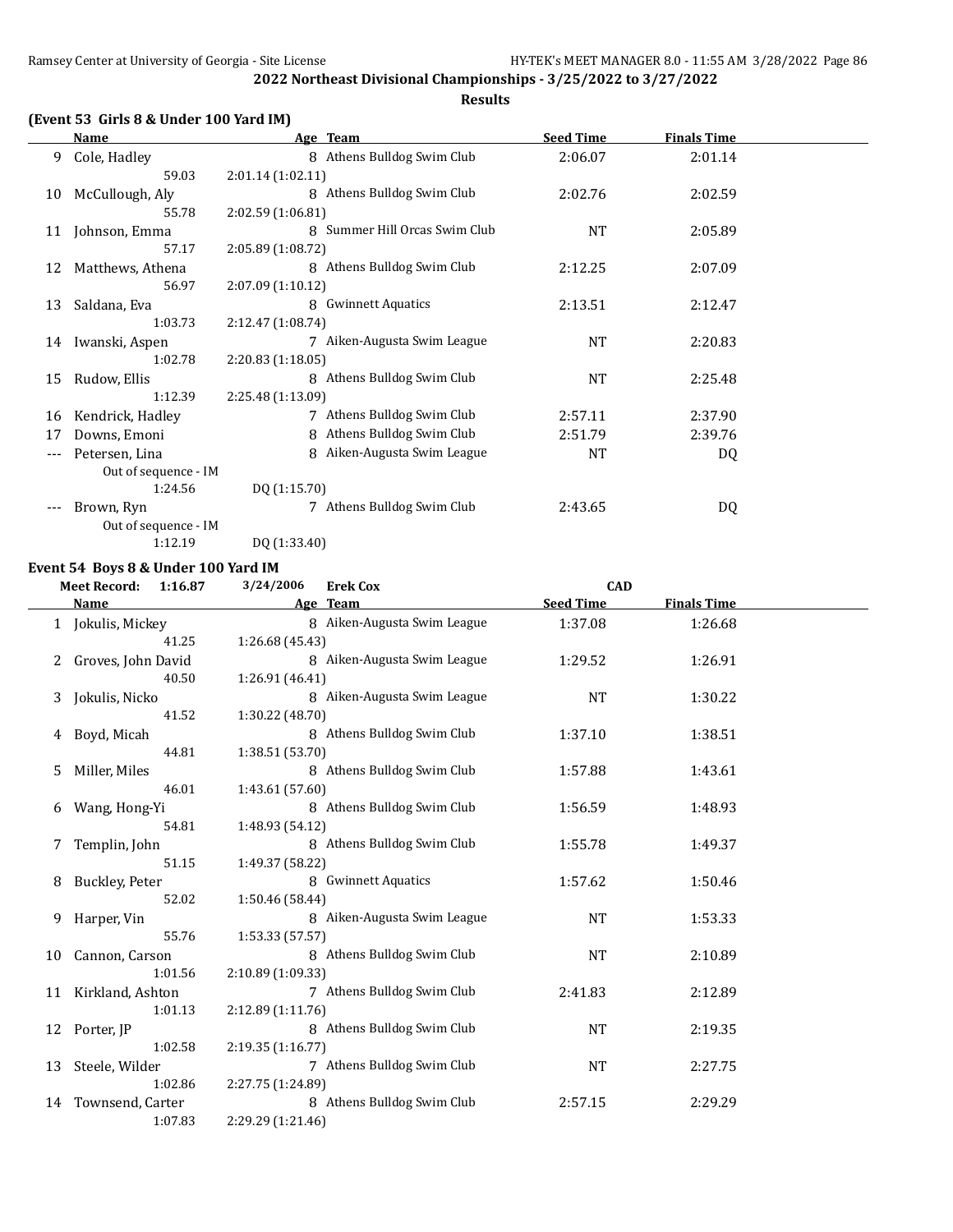#### **(Event 53 Girls 8 & Under 100 Yard IM)**

**Name Age Team Seed Time Finals Time** 9 Cole, Hadley 8 Athens Bulldog Swim Club 2:06.07 2:01.14 59.03 2:01.14 (1:02.11) 10 McCullough, Aly 8 Athens Bulldog Swim Club 2:02.76 2:02.59 55.78 2:02.59 (1:06.81) 11 Johnson, Emma 8 Summer Hill Orcas Swim Club NT 2:05.89 57.17 2:05.89 (1:08.72) 12 Matthews, Athena 8 Athens Bulldog Swim Club 2:12.25 2:07.09 56.97 2:07.09 (1:10.12) 13 Saldana, Eva **8 Gwinnett Aquatics** 2:13.51 2:12.47 1:03.73 2:12.47 (1:08.74) 14 Iwanski, Aspen 7 Aiken-Augusta Swim League NT 2:20.83 1:02.78 2:20.83 (1:18.05) 15 Rudow, Ellis 8 Athens Bulldog Swim Club 15 Rudow, 2:25.48 1:12.39 2:25.48 (1:13.09) 16 Kendrick, Hadley 7 Athens Bulldog Swim Club 2:57.11 2:37.90 17 Downs, Emoni 8 Athens Bulldog Swim Club 2:51.79 2:39.76 --- Petersen, Lina 1988 aiken-Augusta Swim League 1988 NT Out of sequence - IM 1:24.56 DQ (1:15.70) --- Brown, Ryn 7 Athens Bulldog Swim Club 2:43.65 DQ Out of sequence - IM

1:12.19 DQ (1:33.40)

#### **Event 54 Boys 8 & Under 100 Yard IM**

### **Meet Record: 1:16.87 3/24/2006 Erek Cox CAD**

|    | Name               | Age Team                    | <b>Seed Time</b> | <b>Finals Time</b> |
|----|--------------------|-----------------------------|------------------|--------------------|
|    | 1 Jokulis, Mickey  | 8 Aiken-Augusta Swim League | 1:37.08          | 1:26.68            |
|    | 41.25              | 1:26.68 (45.43)             |                  |                    |
|    | Groves, John David | 8 Aiken-Augusta Swim League | 1:29.52          | 1:26.91            |
|    | 40.50              | 1:26.91 (46.41)             |                  |                    |
| 3  | Jokulis, Nicko     | 8 Aiken-Augusta Swim League | <b>NT</b>        | 1:30.22            |
|    | 41.52              | 1:30.22 (48.70)             |                  |                    |
| 4  | Boyd, Micah        | 8 Athens Bulldog Swim Club  | 1:37.10          | 1:38.51            |
|    | 44.81              | 1:38.51 (53.70)             |                  |                    |
| 5  | Miller, Miles      | 8 Athens Bulldog Swim Club  | 1:57.88          | 1:43.61            |
|    | 46.01              | 1:43.61 (57.60)             |                  |                    |
| 6  | Wang, Hong-Yi      | 8 Athens Bulldog Swim Club  | 1:56.59          | 1:48.93            |
|    | 54.81              | 1:48.93 (54.12)             |                  |                    |
|    | Templin, John      | 8 Athens Bulldog Swim Club  | 1:55.78          | 1:49.37            |
|    | 51.15              | 1:49.37 (58.22)             |                  |                    |
| 8  | Buckley, Peter     | 8 Gwinnett Aquatics         | 1:57.62          | 1:50.46            |
|    | 52.02              | 1:50.46 (58.44)             |                  |                    |
| 9  | Harper, Vin        | 8 Aiken-Augusta Swim League | <b>NT</b>        | 1:53.33            |
|    | 55.76              | 1:53.33(57.57)              |                  |                    |
| 10 | Cannon, Carson     | 8 Athens Bulldog Swim Club  | <b>NT</b>        | 2:10.89            |
|    | 1:01.56            | 2:10.89 (1:09.33)           |                  |                    |
| 11 | Kirkland, Ashton   | 7 Athens Bulldog Swim Club  | 2:41.83          | 2:12.89            |
|    | 1:01.13            | 2:12.89(1:11.76)            |                  |                    |
| 12 | Porter, JP         | 8 Athens Bulldog Swim Club  | <b>NT</b>        | 2:19.35            |
|    | 1:02.58            | 2:19.35(1:16.77)            |                  |                    |
| 13 | Steele, Wilder     | 7 Athens Bulldog Swim Club  | NT               | 2:27.75            |
|    | 1:02.86            | 2:27.75 (1:24.89)           |                  |                    |
| 14 | Townsend, Carter   | 8 Athens Bulldog Swim Club  | 2:57.15          | 2:29.29            |
|    | 1:07.83            | 2:29.29 (1:21.46)           |                  |                    |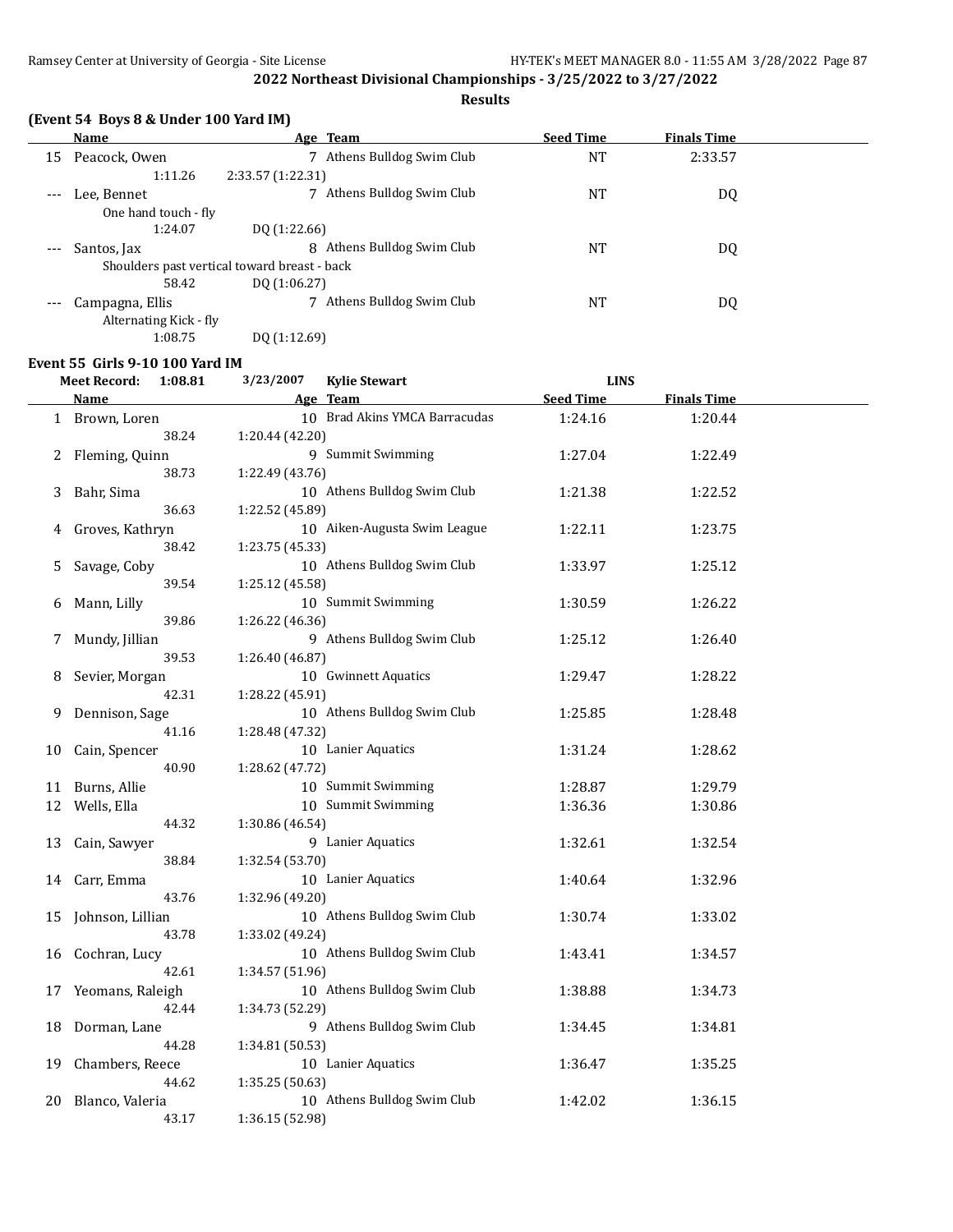#### **Results**

|       | (Event 54 Boys 8 & Under 100 Yard IM)        |                               |                  |                    |  |
|-------|----------------------------------------------|-------------------------------|------------------|--------------------|--|
|       | <b>Name</b>                                  | Age Team                      | <b>Seed Time</b> | <b>Finals Time</b> |  |
| 15    | Peacock, Owen                                | Athens Bulldog Swim Club<br>7 | NT               | 2:33.57            |  |
|       | 1:11.26                                      | 2:33.57 (1:22.31)             |                  |                    |  |
| $---$ | Lee. Bennet                                  | Athens Bulldog Swim Club      | <b>NT</b>        | DQ                 |  |
|       | One hand touch - fly                         |                               |                  |                    |  |
|       | 1:24.07                                      | DQ (1:22.66)                  |                  |                    |  |
|       | Santos, Jax                                  | Athens Bulldog Swim Club<br>8 | <b>NT</b>        | DQ                 |  |
|       | Shoulders past vertical toward breast - back |                               |                  |                    |  |
|       | 58.42                                        | DO (1:06.27)                  |                  |                    |  |
|       | Campagna, Ellis                              | Athens Bulldog Swim Club      | NT               | DQ                 |  |
|       | Alternating Kick - fly                       |                               |                  |                    |  |
|       | 1:08.75                                      | DQ (1:12.69)                  |                  |                    |  |

#### **Event 55 Girls 9-10 100 Yard IM**

|    | <b>Meet Record:</b><br>1:08.81 | 3/23/2007<br><b>Kylie Stewart</b>              | <b>LINS</b>      |                    |  |
|----|--------------------------------|------------------------------------------------|------------------|--------------------|--|
|    | Name                           | Age Team                                       | <b>Seed Time</b> | <b>Finals Time</b> |  |
|    | 1 Brown, Loren                 | 10 Brad Akins YMCA Barracudas                  | 1:24.16          | 1:20.44            |  |
|    | 38.24                          | 1:20.44 (42.20)                                |                  |                    |  |
| 2  | Fleming, Quinn                 | 9 Summit Swimming                              | 1:27.04          | 1:22.49            |  |
|    | 38.73                          | 1:22.49 (43.76)                                |                  |                    |  |
| 3  | Bahr, Sima                     | 10 Athens Bulldog Swim Club                    | 1:21.38          | 1:22.52            |  |
|    | 36.63                          | 1:22.52 (45.89)                                |                  |                    |  |
| 4  | Groves, Kathryn                | 10 Aiken-Augusta Swim League                   | 1:22.11          | 1:23.75            |  |
|    | 38.42                          | 1:23.75 (45.33)                                |                  |                    |  |
| 5  | Savage, Coby                   | 10 Athens Bulldog Swim Club                    | 1:33.97          | 1:25.12            |  |
|    | 39.54                          | 1:25.12 (45.58)                                |                  |                    |  |
| 6  | Mann, Lilly                    | 10 Summit Swimming                             | 1:30.59          | 1:26.22            |  |
|    | 39.86                          | 1:26.22 (46.36)                                |                  |                    |  |
| 7  | Mundy, Jillian                 | 9 Athens Bulldog Swim Club                     | 1:25.12          | 1:26.40            |  |
|    | 39.53                          | 1:26.40 (46.87)                                |                  |                    |  |
| 8  | Sevier, Morgan                 | 10 Gwinnett Aquatics                           | 1:29.47          | 1:28.22            |  |
|    | 42.31                          | 1:28.22 (45.91)                                |                  |                    |  |
| 9  | Dennison, Sage                 | 10 Athens Bulldog Swim Club                    | 1:25.85          | 1:28.48            |  |
|    | 41.16                          | 1:28.48 (47.32)                                |                  |                    |  |
| 10 | Cain, Spencer                  | 10 Lanier Aquatics                             | 1:31.24          | 1:28.62            |  |
|    | 40.90                          | 1:28.62 (47.72)                                |                  |                    |  |
| 11 | Burns, Allie                   | 10 Summit Swimming                             | 1:28.87          | 1:29.79            |  |
|    | 12 Wells, Ella                 | 10 Summit Swimming                             | 1:36.36          | 1:30.86            |  |
|    | 44.32                          | 1:30.86 (46.54)                                |                  |                    |  |
| 13 | Cain, Sawyer                   | 9 Lanier Aquatics                              | 1:32.61          | 1:32.54            |  |
|    | 38.84                          | 1:32.54 (53.70)                                |                  |                    |  |
| 14 | Carr, Emma                     | 10 Lanier Aquatics                             | 1:40.64          | 1:32.96            |  |
|    | 43.76                          | 1:32.96 (49.20)                                |                  |                    |  |
| 15 | Johnson, Lillian               | 10 Athens Bulldog Swim Club                    | 1:30.74          | 1:33.02            |  |
|    | 43.78                          | 1:33.02 (49.24)                                |                  |                    |  |
| 16 | Cochran, Lucy                  | 10 Athens Bulldog Swim Club                    | 1:43.41          | 1:34.57            |  |
|    | 42.61                          | 1:34.57 (51.96)<br>10 Athens Bulldog Swim Club |                  |                    |  |
| 17 | Yeomans, Raleigh               |                                                | 1:38.88          | 1:34.73            |  |
|    | 42.44                          | 1:34.73 (52.29)<br>9 Athens Bulldog Swim Club  |                  |                    |  |
| 18 | Dorman, Lane<br>44.28          | 1:34.81 (50.53)                                | 1:34.45          | 1:34.81            |  |
| 19 | Chambers, Reece                | 10 Lanier Aquatics                             | 1:36.47          | 1:35.25            |  |
|    | 44.62                          | 1:35.25 (50.63)                                |                  |                    |  |
| 20 | Blanco, Valeria                | 10 Athens Bulldog Swim Club                    | 1:42.02          | 1:36.15            |  |
|    | 43.17                          | 1:36.15 (52.98)                                |                  |                    |  |
|    |                                |                                                |                  |                    |  |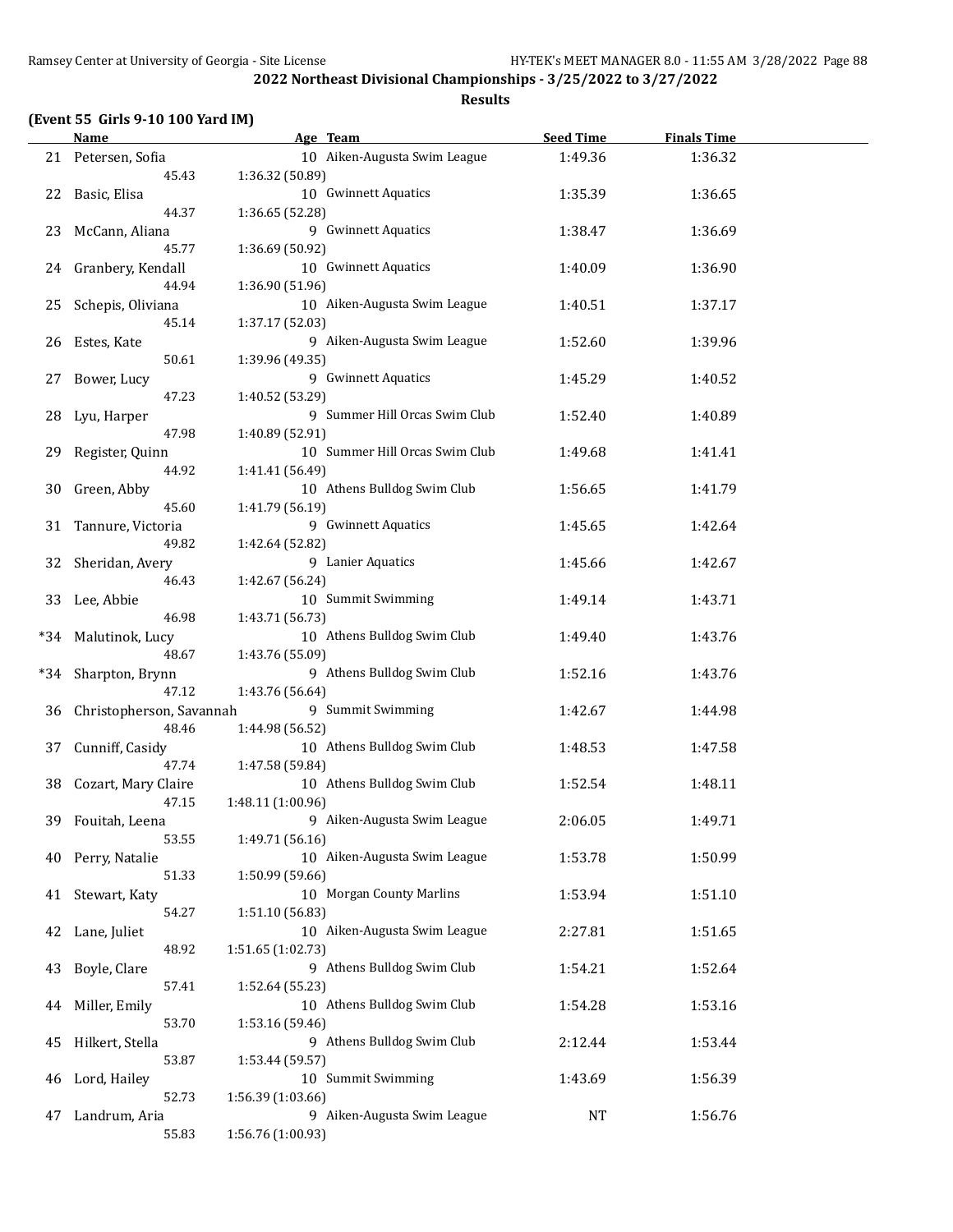| (Event 55 Girls 9-10 100 Yard IM) |  |  |  |  |  |
|-----------------------------------|--|--|--|--|--|
|-----------------------------------|--|--|--|--|--|

|       | <b>Name</b>              |                   | Age Team                       | <b>Seed Time</b> | <b>Finals Time</b> |  |
|-------|--------------------------|-------------------|--------------------------------|------------------|--------------------|--|
|       | 21 Petersen, Sofia       |                   | 10 Aiken-Augusta Swim League   | 1:49.36          | 1:36.32            |  |
|       | 45.43                    | 1:36.32 (50.89)   |                                |                  |                    |  |
| 22    | Basic, Elisa             |                   | 10 Gwinnett Aquatics           | 1:35.39          | 1:36.65            |  |
|       | 44.37                    | 1:36.65 (52.28)   |                                |                  |                    |  |
| 23    | McCann, Aliana           |                   | 9 Gwinnett Aquatics            | 1:38.47          | 1:36.69            |  |
|       | 45.77                    | 1:36.69 (50.92)   |                                |                  |                    |  |
|       |                          |                   | 10 Gwinnett Aquatics           |                  |                    |  |
| 24    | Granbery, Kendall        |                   |                                | 1:40.09          | 1:36.90            |  |
|       | 44.94                    | 1:36.90 (51.96)   |                                |                  |                    |  |
| 25    | Schepis, Oliviana        |                   | 10 Aiken-Augusta Swim League   | 1:40.51          | 1:37.17            |  |
|       | 45.14                    | 1:37.17 (52.03)   |                                |                  |                    |  |
| 26    | Estes, Kate              |                   | 9 Aiken-Augusta Swim League    | 1:52.60          | 1:39.96            |  |
|       | 50.61                    | 1:39.96 (49.35)   |                                |                  |                    |  |
| 27    | Bower, Lucy              |                   | 9 Gwinnett Aquatics            | 1:45.29          | 1:40.52            |  |
|       | 47.23                    | 1:40.52 (53.29)   |                                |                  |                    |  |
| 28    | Lyu, Harper              |                   | 9 Summer Hill Orcas Swim Club  | 1:52.40          | 1:40.89            |  |
|       | 47.98                    | 1:40.89 (52.91)   |                                |                  |                    |  |
| 29    | Register, Quinn          |                   | 10 Summer Hill Orcas Swim Club | 1:49.68          | 1:41.41            |  |
|       | 44.92                    | 1:41.41 (56.49)   |                                |                  |                    |  |
| 30    | Green, Abby              |                   | 10 Athens Bulldog Swim Club    | 1:56.65          | 1:41.79            |  |
|       | 45.60                    | 1:41.79 (56.19)   |                                |                  |                    |  |
| 31    | Tannure, Victoria        |                   | 9 Gwinnett Aquatics            | 1:45.65          | 1:42.64            |  |
|       | 49.82                    |                   |                                |                  |                    |  |
|       |                          | 1:42.64 (52.82)   |                                |                  |                    |  |
| 32    | Sheridan, Avery          |                   | 9 Lanier Aquatics              | 1:45.66          | 1:42.67            |  |
|       | 46.43                    | 1:42.67 (56.24)   |                                |                  |                    |  |
| 33    | Lee, Abbie               |                   | 10 Summit Swimming             | 1:49.14          | 1:43.71            |  |
|       | 46.98                    | 1:43.71 (56.73)   |                                |                  |                    |  |
| $*34$ | Malutinok, Lucy          |                   | 10 Athens Bulldog Swim Club    | 1:49.40          | 1:43.76            |  |
|       | 48.67                    | 1:43.76 (55.09)   |                                |                  |                    |  |
| $*34$ | Sharpton, Brynn          |                   | 9 Athens Bulldog Swim Club     | 1:52.16          | 1:43.76            |  |
|       | 47.12                    | 1:43.76 (56.64)   |                                |                  |                    |  |
| 36    | Christopherson, Savannah |                   | 9 Summit Swimming              | 1:42.67          | 1:44.98            |  |
|       | 48.46                    | 1:44.98 (56.52)   |                                |                  |                    |  |
| 37    | Cunniff, Casidy          |                   | 10 Athens Bulldog Swim Club    | 1:48.53          | 1:47.58            |  |
|       | 47.74                    | 1:47.58 (59.84)   |                                |                  |                    |  |
| 38    | Cozart, Mary Claire      |                   | 10 Athens Bulldog Swim Club    | 1:52.54          | 1:48.11            |  |
|       | 47.15                    | 1:48.11 (1:00.96) |                                |                  |                    |  |
| 39    | Fouitah, Leena           |                   | 9 Aiken-Augusta Swim League    | 2:06.05          | 1:49.71            |  |
|       | 53.55                    | 1:49.71 (56.16)   |                                |                  |                    |  |
| 40    | Perry, Natalie           |                   | 10 Aiken-Augusta Swim League   | 1:53.78          | 1:50.99            |  |
|       |                          |                   |                                |                  |                    |  |
|       | 51.33                    | 1:50.99 (59.66)   |                                |                  |                    |  |
| 41    | Stewart, Katy            |                   | 10 Morgan County Marlins       | 1:53.94          | 1:51.10            |  |
|       | 54.27                    | 1:51.10 (56.83)   |                                |                  |                    |  |
| 42    | Lane, Juliet             |                   | 10 Aiken-Augusta Swim League   | 2:27.81          | 1:51.65            |  |
|       | 48.92                    | 1:51.65 (1:02.73) |                                |                  |                    |  |
| 43    | Boyle, Clare             |                   | 9 Athens Bulldog Swim Club     | 1:54.21          | 1:52.64            |  |
|       | 57.41                    | 1:52.64 (55.23)   |                                |                  |                    |  |
| 44    | Miller, Emily            |                   | 10 Athens Bulldog Swim Club    | 1:54.28          | 1:53.16            |  |
|       | 53.70                    | 1:53.16 (59.46)   |                                |                  |                    |  |
| 45    | Hilkert, Stella          |                   | 9 Athens Bulldog Swim Club     | 2:12.44          | 1:53.44            |  |
|       | 53.87                    | 1:53.44 (59.57)   |                                |                  |                    |  |
| 46    | Lord, Hailey             |                   | 10 Summit Swimming             | 1:43.69          | 1:56.39            |  |
|       | 52.73                    | 1:56.39 (1:03.66) |                                |                  |                    |  |
| 47    | Landrum, Aria            |                   | 9 Aiken-Augusta Swim League    | NT               | 1:56.76            |  |
|       | 55.83                    | 1:56.76 (1:00.93) |                                |                  |                    |  |
|       |                          |                   |                                |                  |                    |  |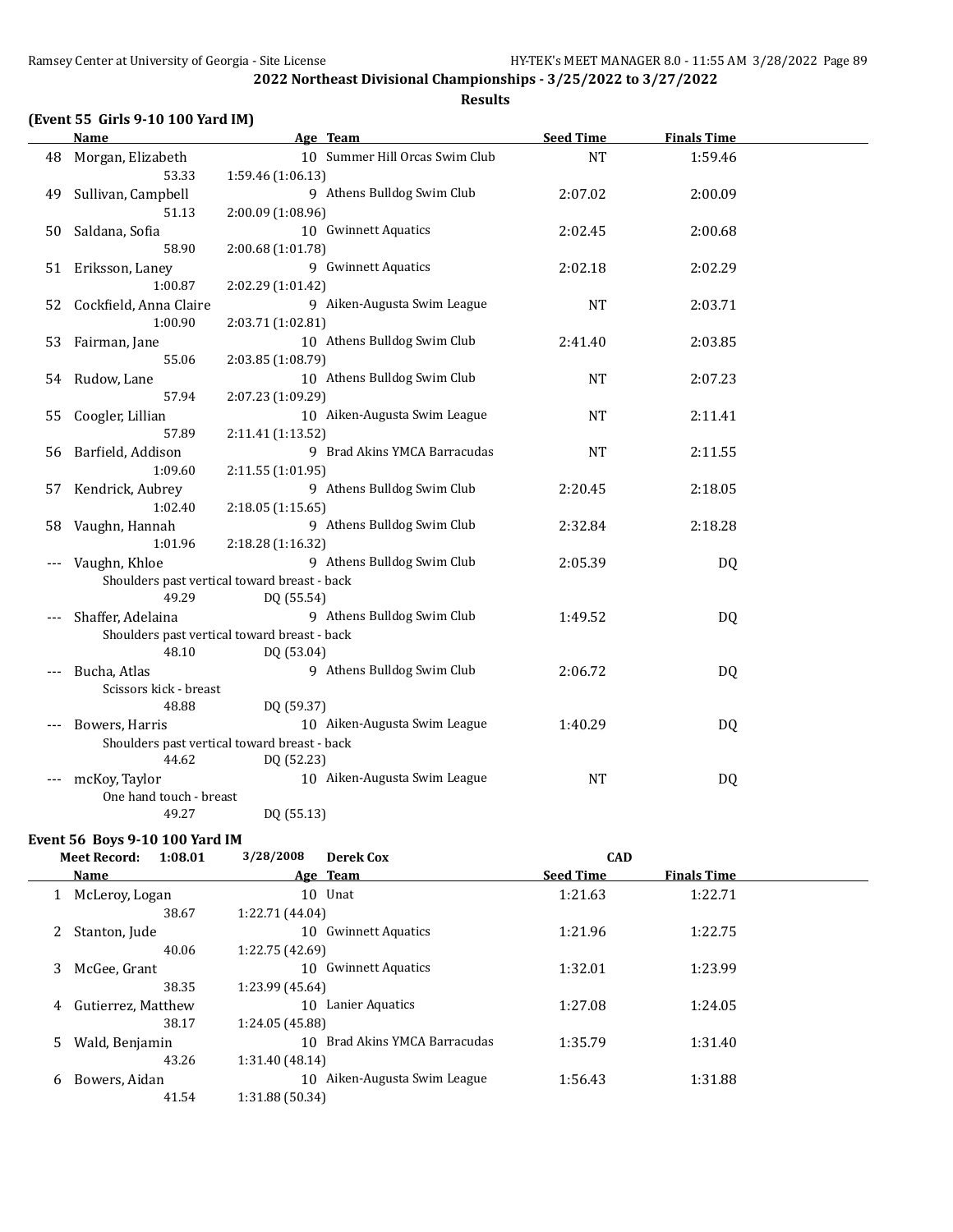#### **(Event 55 Girls 9-10 100 Yard IM)**

**Name Age Team Seed Time Finals Time** 48 Morgan, Elizabeth 10 Summer Hill Orcas Swim Club NT 1:59.46 53.33 1:59.46 (1:06.13) 49 Sullivan, Campbell 9 Athens Bulldog Swim Club 2:07.02 2:00.09 51.13 2:00.09 (1:08.96) 50 Saldana, Sofia 10 Gwinnett Aquatics 2:02.45 2:00.68 58.90 2:00.68 (1:01.78) 51 Eriksson, Laney 9 Gwinnett Aquatics 2:02.18 2:02.29 1:00.87 2:02.29 (1:01.42) 52 Cockfield, Anna Claire 9 Aiken-Augusta Swim League NT 2:03.71 1:00.90 2:03.71 (1:02.81) 53 Fairman, Jane 10 Athens Bulldog Swim Club 2:41.40 2:03.85 55.06 2:03.85 (1:08.79) 54 Rudow, Lane 10 Athens Bulldog Swim Club NT 2:07.23 57.94 2:07.23 (1:09.29) 55 Coogler, Lillian 10 Aiken-Augusta Swim League NT 2:11.41 57.89 2:11.41 (1:13.52) 56 Barfield, Addison 9 Brad Akins YMCA Barracudas NT 2:11.55 1:09.60 2:11.55 (1:01.95) 57 Kendrick, Aubrey 9 Athens Bulldog Swim Club 2:20.45 2:18.05 1:02.40 2:18.05 (1:15.65) 58 Vaughn, Hannah 9 Athens Bulldog Swim Club 2:32.84 2:18.28 1:01.96 2:18.28 (1:16.32) --- Vaughn, Khloe 9 Athens Bulldog Swim Club 2:05.39 DQ Shoulders past vertical toward breast - back 49.29 DQ (55.54) --- Shaffer, Adelaina 9 Athens Bulldog Swim Club 1:49.52 DQ Shoulders past vertical toward breast - back 48.10 DQ (53.04) --- Bucha, Atlas 9 Athens Bulldog Swim Club 2:06.72 DQ Scissors kick - breast 48.88 DQ (59.37) --- Bowers, Harris 10 Aiken-Augusta Swim League 1:40.29 DQ Shoulders past vertical toward breast - back 44.62 DQ (52.23) mcKoy, Taylor **10 Aiken-Augusta Swim League** NT NT DQ One hand touch - breast 49.27 DQ (55.13)

#### **Event 56 Boys 9-10 100 Yard IM**

|    | <b>Meet Record:</b><br>1:08.01 | 3/28/2008       | Derek Cox                  | <b>CAD</b>       |                    |  |
|----|--------------------------------|-----------------|----------------------------|------------------|--------------------|--|
|    | <b>Name</b>                    |                 | Age Team                   | <b>Seed Time</b> | <b>Finals Time</b> |  |
|    | McLeroy, Logan                 |                 | 10 Unat                    | 1:21.63          | 1:22.71            |  |
|    | 38.67                          | 1:22.71 (44.04) |                            |                  |                    |  |
|    | Stanton, Jude                  | 10              | <b>Gwinnett Aquatics</b>   | 1:21.96          | 1:22.75            |  |
|    | 40.06                          | 1:22.75 (42.69) |                            |                  |                    |  |
| 3  | McGee, Grant                   | 10              | <b>Gwinnett Aquatics</b>   | 1:32.01          | 1:23.99            |  |
|    | 38.35                          | 1:23.99 (45.64) |                            |                  |                    |  |
| 4  | Gutierrez, Matthew             | 10              | Lanier Aquatics            | 1:27.08          | 1:24.05            |  |
|    | 38.17                          | 1:24.05 (45.88) |                            |                  |                    |  |
| 5. | Wald, Benjamin                 | 10              | Brad Akins YMCA Barracudas | 1:35.79          | 1:31.40            |  |
|    | 43.26                          | 1:31.40 (48.14) |                            |                  |                    |  |
| 6  | Bowers, Aidan                  | 10              | Aiken-Augusta Swim League  | 1:56.43          | 1:31.88            |  |
|    | 41.54                          | 1:31.88 (50.34) |                            |                  |                    |  |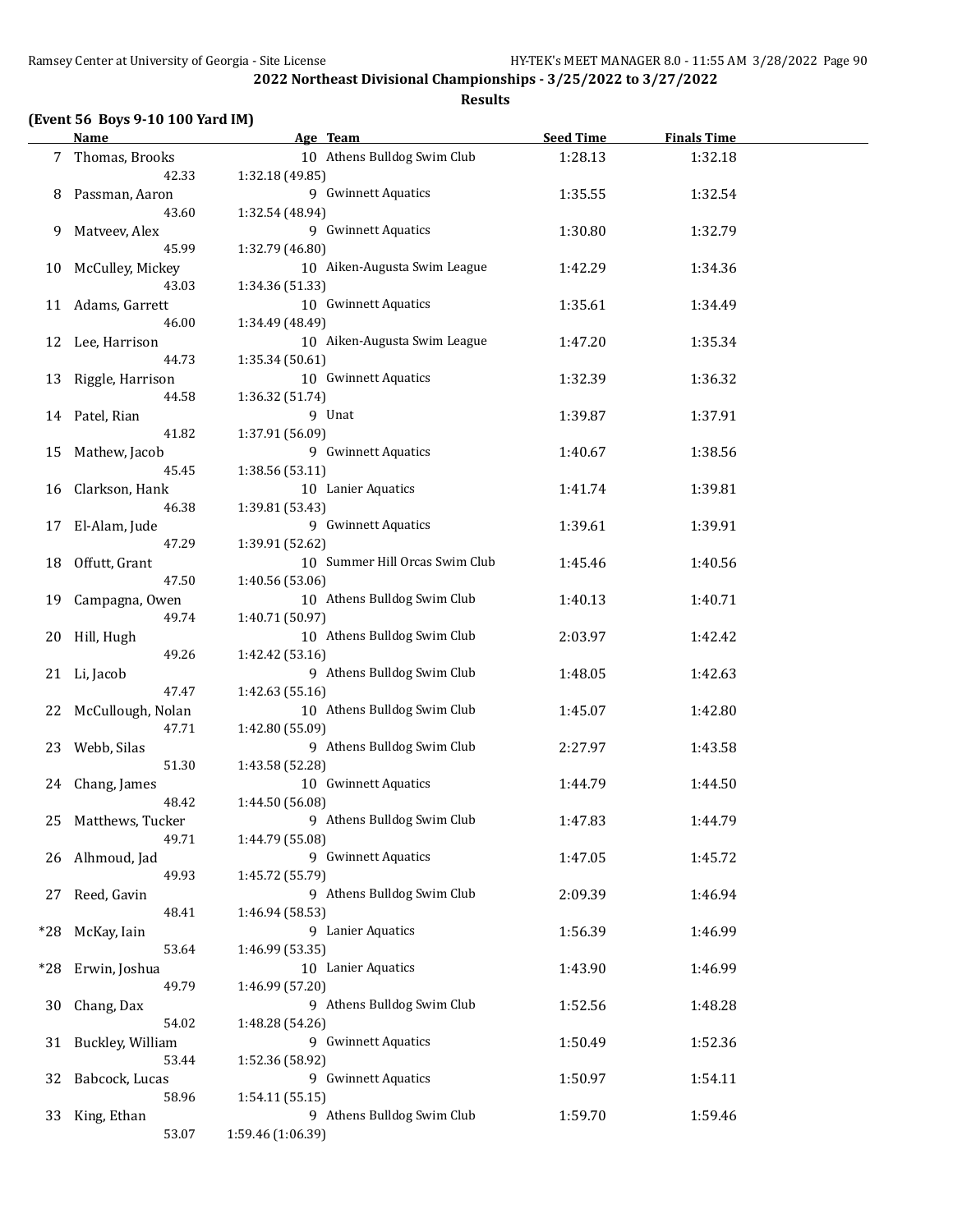#### **(Event 56 Boys 9-10 100 Yard IM)**

**Name Age Team Seed Time Finals Time** 7 Thomas, Brooks 10 Athens Bulldog Swim Club 1:28.13 1:32.18 42.33 1:32.18 (49.85) 8 Passman, Aaron 1:32.54 9 Gwinnett Aquatics 1:35.55 1:32.54 43.60 1:32.54 (48.94) 9 Matveev, Alex 9 Gwinnett Aquatics 1:30.80 1:32.79 45.99 1:32.79 (46.80) 10 McCulley, Mickey 10 Aiken-Augusta Swim League 1:42.29 1:34.36 43.03 1:34.36 (51.33) 11 Adams, Garrett 10 10 Gwinnett Aquatics 1:35.61 1:34.49 46.00 1:34.49 (48.49) 12 Lee, Harrison 10 Aiken-Augusta Swim League 1:47.20 1:35.34 44.73 1:35.34 (50.61) 13 Riggle, Harrison 10 Gwinnett Aquatics 1:32.39 1:36.32 44.58 1:36.32 (51.74) 14 Patel, Rian 1:37.91 9 Unat 1:39.87 1:37.91 41.82 1:37.91 (56.09) 15 Mathew, Jacob 9 Gwinnett Aquatics 1:40.67 1:38.56 45.45 1:38.56 (53.11) 16 Clarkson, Hank 10 Lanier Aquatics 1:41.74 1:39.81 46.38 1:39.81 (53.43) 17 El-Alam, Jude 9 Gwinnett Aquatics 1:39.61 1:39.91 47.29 1:39.91 (52.62) 18 Offutt, Grant 10 10 Summer Hill Orcas Swim Club 1:45.46 1:40.56 47.50 1:40.56 (53.06) 19 Campagna, Owen 10 Athens Bulldog Swim Club 1:40.13 1:40.71 49.74 1:40.71 (50.97) 20 Hill, Hugh 10 Athens Bulldog Swim Club 2:03.97 1:42.42 49.26 1:42.42 (53.16) 21 Li, Jacob 9 Athens Bulldog Swim Club 1:48.05 1:42.63 47.47 1:42.63 (55.16) 22 McCullough, Nolan 10 Athens Bulldog Swim Club 1:45.07 1:42.80 47.71 1:42.80 (55.09) 23 Webb, Silas 9 Athens Bulldog Swim Club 2:27.97 1:43.58 51.30 1:43.58 (52.28) 24 Chang, James 10 Gwinnett Aquatics 1:44.79 1:44.50 48.42 1:44.50 (56.08) 25 Matthews, Tucker 9 Athens Bulldog Swim Club 1:47.83 1:44.79 49.71 1:44.79 (55.08) 26 Alhmoud, Jad 9 Gwinnett Aquatics 1:47.05 1:45.72 49.93 1:45.72 (55.79) 27 Reed, Gavin 9 Athens Bulldog Swim Club 2:09.39 1:46.94 48.41 1:46.94 (58.53) \*28 McKay, Iain 9 Lanier Aquatics 1:56.39 1:46.99 53.64 1:46.99 (53.35) \*28 Erwin, Joshua 10 Lanier Aquatics 1:43.90 1:46.99 49.79 1:46.99 (57.20) 30 Chang, Dax 9 Athens Bulldog Swim Club 1:52.56 1:48.28 54.02 1:48.28 (54.26) 31 Buckley, William 9 Gwinnett Aquatics 1:50.49 1:52.36 53.44 1:52.36 (58.92) 32 Babcock, Lucas 32 Babcock, Lucas 32 Babcock, Lucas 32 Babcock, Lucas 32 Babcock, Lucas 32 Babcock, 2013 58.96 1:54.11 (55.15) 33 King, Ethan 1:59.46 9 Athens Bulldog Swim Club 1:59.70 1:59.46 53.07 1:59.46 (1:06.39)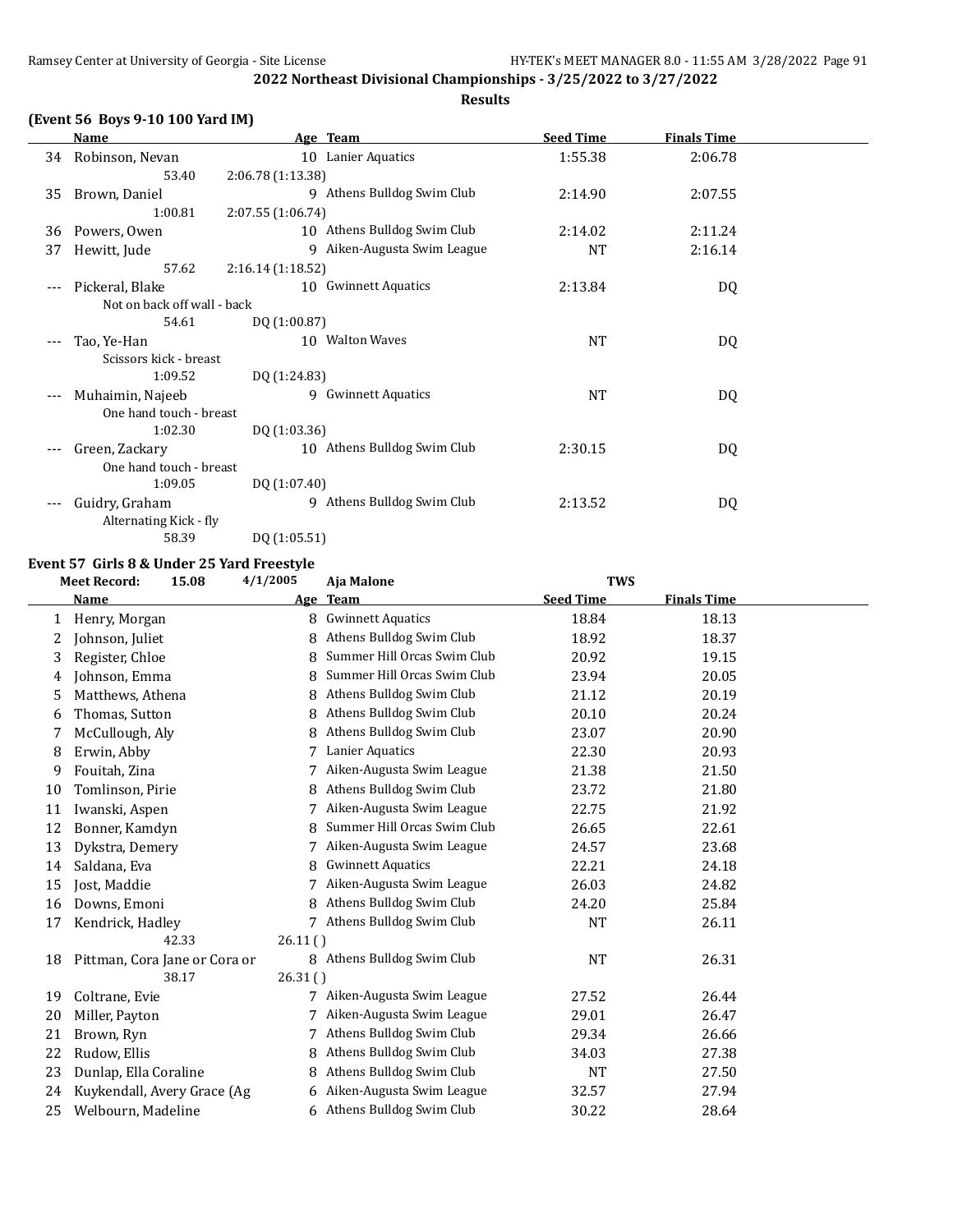## **(Event 56 Boys 9-10 100 Yard IM)**

|       | Name                        | Age Team                       | <b>Seed Time</b> | <b>Finals Time</b> |  |
|-------|-----------------------------|--------------------------------|------------------|--------------------|--|
| 34    | Robinson, Nevan             | 10 Lanier Aquatics             | 1:55.38          | 2:06.78            |  |
|       | 53.40                       | 2:06.78 (1:13.38)              |                  |                    |  |
| 35    | Brown, Daniel               | 9 Athens Bulldog Swim Club     | 2:14.90          | 2:07.55            |  |
|       | 1:00.81                     | 2:07.55(1:06.74)               |                  |                    |  |
| 36    | Powers, Owen                | 10 Athens Bulldog Swim Club    | 2:14.02          | 2:11.24            |  |
| 37    | Hewitt, Jude                | Aiken-Augusta Swim League<br>9 | <b>NT</b>        | 2:16.14            |  |
|       | 57.62                       | 2:16.14(1:18.52)               |                  |                    |  |
|       | Pickeral, Blake             | 10 Gwinnett Aquatics           | 2:13.84          | DQ                 |  |
|       | Not on back off wall - back |                                |                  |                    |  |
|       | 54.61                       | DQ (1:00.87)                   |                  |                    |  |
|       | Tao, Ye-Han                 | 10 Walton Waves                | <b>NT</b>        | DQ                 |  |
|       | Scissors kick - breast      |                                |                  |                    |  |
|       | 1:09.52                     | DQ (1:24.83)                   |                  |                    |  |
| $---$ | Muhaimin, Najeeb            | 9 Gwinnett Aquatics            | <b>NT</b>        | DQ                 |  |
|       | One hand touch - breast     |                                |                  |                    |  |
|       | 1:02.30                     | DQ (1:03.36)                   |                  |                    |  |
| $---$ | Green, Zackary              | 10 Athens Bulldog Swim Club    | 2:30.15          | DQ                 |  |
|       | One hand touch - breast     |                                |                  |                    |  |
|       | 1:09.05                     | DQ (1:07.40)                   |                  |                    |  |
| ---   | Guidry, Graham              | Athens Bulldog Swim Club<br>9  | 2:13.52          | DQ                 |  |
|       | Alternating Kick - fly      |                                |                  |                    |  |

58.39 DQ (1:05.51)

## **Event 57 Girls 8 & Under 25 Yard Freestyle**

|    | <b>Meet Record:</b>   | 15.08                         | 4/1/2005 | Aja Malone                  | <b>TWS</b>       |                    |  |
|----|-----------------------|-------------------------------|----------|-----------------------------|------------------|--------------------|--|
|    | Name                  |                               | Age      | <b>Team</b>                 | <b>Seed Time</b> | <b>Finals Time</b> |  |
| 1  | Henry, Morgan         |                               | 8        | <b>Gwinnett Aquatics</b>    | 18.84            | 18.13              |  |
| 2  | Johnson, Juliet       |                               | 8        | Athens Bulldog Swim Club    | 18.92            | 18.37              |  |
| 3  | Register, Chloe       |                               | 8        | Summer Hill Orcas Swim Club | 20.92            | 19.15              |  |
| 4  | Johnson, Emma         |                               | 8        | Summer Hill Orcas Swim Club | 23.94            | 20.05              |  |
| 5  | Matthews, Athena      |                               | 8        | Athens Bulldog Swim Club    | 21.12            | 20.19              |  |
| 6  | Thomas, Sutton        |                               | 8        | Athens Bulldog Swim Club    | 20.10            | 20.24              |  |
| 7  | McCullough, Aly       |                               | 8        | Athens Bulldog Swim Club    | 23.07            | 20.90              |  |
| 8  | Erwin, Abby           |                               |          | Lanier Aquatics             | 22.30            | 20.93              |  |
| 9  | Fouitah, Zina         |                               | 7        | Aiken-Augusta Swim League   | 21.38            | 21.50              |  |
| 10 | Tomlinson, Pirie      |                               | 8        | Athens Bulldog Swim Club    | 23.72            | 21.80              |  |
| 11 | Iwanski, Aspen        |                               |          | Aiken-Augusta Swim League   | 22.75            | 21.92              |  |
| 12 | Bonner, Kamdyn        |                               | 8        | Summer Hill Orcas Swim Club | 26.65            | 22.61              |  |
| 13 | Dykstra, Demery       |                               |          | Aiken-Augusta Swim League   | 24.57            | 23.68              |  |
| 14 | Saldana, Eva          |                               | 8        | <b>Gwinnett Aquatics</b>    | 22.21            | 24.18              |  |
| 15 | Jost, Maddie          |                               | 7        | Aiken-Augusta Swim League   | 26.03            | 24.82              |  |
| 16 | Downs, Emoni          |                               | 8        | Athens Bulldog Swim Club    | 24.20            | 25.84              |  |
| 17 | Kendrick, Hadley      |                               | 7        | Athens Bulldog Swim Club    | <b>NT</b>        | 26.11              |  |
|    |                       | 42.33                         | 26.11()  |                             |                  |                    |  |
| 18 |                       | Pittman, Cora Jane or Cora or |          | 8 Athens Bulldog Swim Club  | <b>NT</b>        | 26.31              |  |
|    |                       | 38.17                         | 26.31()  |                             |                  |                    |  |
| 19 | Coltrane, Evie        |                               | 7        | Aiken-Augusta Swim League   | 27.52            | 26.44              |  |
| 20 | Miller, Payton        |                               | 7        | Aiken-Augusta Swim League   | 29.01            | 26.47              |  |
| 21 | Brown, Ryn            |                               |          | Athens Bulldog Swim Club    | 29.34            | 26.66              |  |
| 22 | Rudow, Ellis          |                               | 8        | Athens Bulldog Swim Club    | 34.03            | 27.38              |  |
| 23 | Dunlap, Ella Coraline |                               | 8        | Athens Bulldog Swim Club    | <b>NT</b>        | 27.50              |  |
| 24 |                       | Kuykendall, Avery Grace (Ag   |          | Aiken-Augusta Swim League   | 32.57            | 27.94              |  |
| 25 | Welbourn, Madeline    |                               | 6        | Athens Bulldog Swim Club    | 30.22            | 28.64              |  |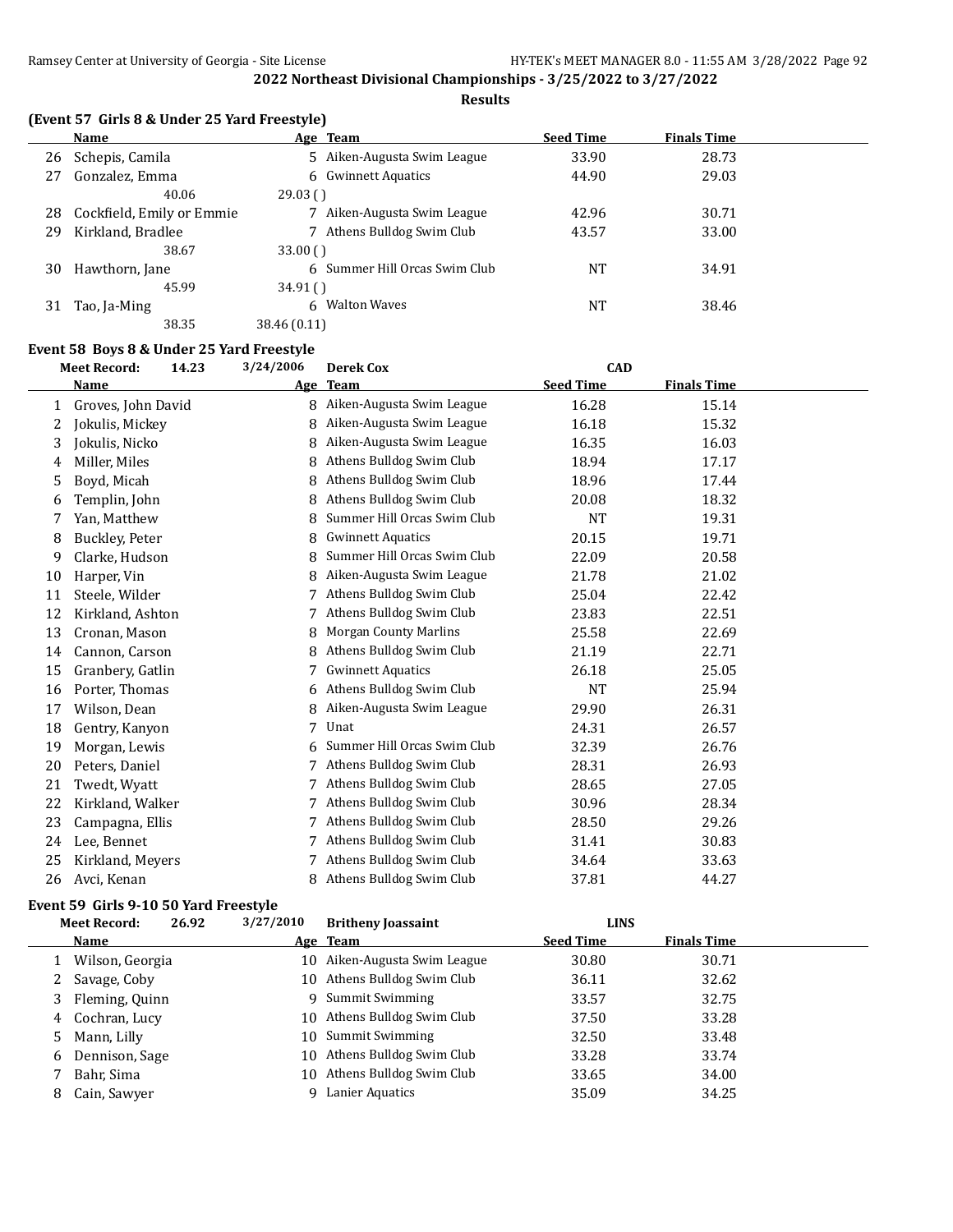**Results**

|    | Name                      | Age Team                      | <b>Seed Time</b> | <b>Finals Time</b> |  |
|----|---------------------------|-------------------------------|------------------|--------------------|--|
| 26 | Schepis, Camila           | 5 Aiken-Augusta Swim League   | 33.90            | 28.73              |  |
| 27 | Gonzalez, Emma            | 6 Gwinnett Aquatics           | 44.90            | 29.03              |  |
|    | 40.06                     | 29.03()                       |                  |                    |  |
| 28 | Cockfield, Emily or Emmie | Aiken-Augusta Swim League     | 42.96            | 30.71              |  |
| 29 | Kirkland, Bradlee         | Athens Bulldog Swim Club      | 43.57            | 33.00              |  |
|    | 38.67                     | 33.00()                       |                  |                    |  |
| 30 | Hawthorn, Jane            | 6 Summer Hill Orcas Swim Club | NT               | 34.91              |  |
|    | 45.99                     | 34.91()                       |                  |                    |  |
| 31 | Tao, Ja-Ming              | 6 Walton Waves                | NT               | 38.46              |  |
|    | 38.35                     | 38.46 (0.11)                  |                  |                    |  |

#### **Event 58 Boys 8 & Under 25 Yard Freestyle**

|    | <b>Meet Record:</b> | 14.23 | 3/24/2006  | <b>Derek Cox</b>             | <b>CAD</b>       |                    |  |
|----|---------------------|-------|------------|------------------------------|------------------|--------------------|--|
|    | <b>Name</b>         |       | <u>Age</u> | <b>Team</b>                  | <b>Seed Time</b> | <b>Finals Time</b> |  |
| 1  | Groves, John David  |       | 8          | Aiken-Augusta Swim League    | 16.28            | 15.14              |  |
| 2  | Jokulis, Mickey     |       | 8          | Aiken-Augusta Swim League    | 16.18            | 15.32              |  |
| 3  | Jokulis, Nicko      |       | 8          | Aiken-Augusta Swim League    | 16.35            | 16.03              |  |
| 4  | Miller, Miles       |       | 8          | Athens Bulldog Swim Club     | 18.94            | 17.17              |  |
| 5  | Boyd, Micah         |       | 8          | Athens Bulldog Swim Club     | 18.96            | 17.44              |  |
| 6  | Templin, John       |       | 8          | Athens Bulldog Swim Club     | 20.08            | 18.32              |  |
| 7  | Yan, Matthew        |       | 8          | Summer Hill Orcas Swim Club  | <b>NT</b>        | 19.31              |  |
| 8  | Buckley, Peter      |       | 8          | <b>Gwinnett Aquatics</b>     | 20.15            | 19.71              |  |
| 9  | Clarke, Hudson      |       | 8          | Summer Hill Orcas Swim Club  | 22.09            | 20.58              |  |
| 10 | Harper, Vin         |       | 8          | Aiken-Augusta Swim League    | 21.78            | 21.02              |  |
| 11 | Steele, Wilder      |       |            | Athens Bulldog Swim Club     | 25.04            | 22.42              |  |
| 12 | Kirkland, Ashton    |       |            | Athens Bulldog Swim Club     | 23.83            | 22.51              |  |
| 13 | Cronan, Mason       |       | 8          | <b>Morgan County Marlins</b> | 25.58            | 22.69              |  |
| 14 | Cannon, Carson      |       | 8          | Athens Bulldog Swim Club     | 21.19            | 22.71              |  |
| 15 | Granbery, Gatlin    |       | 7          | <b>Gwinnett Aquatics</b>     | 26.18            | 25.05              |  |
| 16 | Porter, Thomas      |       | 6          | Athens Bulldog Swim Club     | <b>NT</b>        | 25.94              |  |
| 17 | Wilson, Dean        |       | 8          | Aiken-Augusta Swim League    | 29.90            | 26.31              |  |
| 18 | Gentry, Kanyon      |       |            | Unat                         | 24.31            | 26.57              |  |
| 19 | Morgan, Lewis       |       | 6          | Summer Hill Orcas Swim Club  | 32.39            | 26.76              |  |
| 20 | Peters, Daniel      |       |            | Athens Bulldog Swim Club     | 28.31            | 26.93              |  |
| 21 | Twedt, Wyatt        |       |            | Athens Bulldog Swim Club     | 28.65            | 27.05              |  |
| 22 | Kirkland, Walker    |       |            | Athens Bulldog Swim Club     | 30.96            | 28.34              |  |
| 23 | Campagna, Ellis     |       | 7          | Athens Bulldog Swim Club     | 28.50            | 29.26              |  |
| 24 | Lee, Bennet         |       |            | Athens Bulldog Swim Club     | 31.41            | 30.83              |  |
| 25 | Kirkland, Meyers    |       |            | Athens Bulldog Swim Club     | 34.64            | 33.63              |  |
| 26 | Avci, Kenan         |       | 8          | Athens Bulldog Swim Club     | 37.81            | 44.27              |  |

## **Event 59 Girls 9-10 50 Yard Freestyle**

|    | <b>Meet Record:</b> | 26.92 | 3/27/2010 | <b>Britheny Joassaint</b>    | <b>LINS</b>      |                    |  |
|----|---------------------|-------|-----------|------------------------------|------------------|--------------------|--|
|    | <b>Name</b>         |       |           | Age Team                     | <b>Seed Time</b> | <b>Finals Time</b> |  |
|    | Wilson, Georgia     |       |           | 10 Aiken-Augusta Swim League | 30.80            | 30.71              |  |
|    | 2 Savage, Coby      |       |           | 10 Athens Bulldog Swim Club  | 36.11            | 32.62              |  |
| 3  | Fleming, Quinn      |       |           | 9 Summit Swimming            | 33.57            | 32.75              |  |
|    | 4 Cochran, Lucy     |       |           | 10 Athens Bulldog Swim Club  | 37.50            | 33.28              |  |
| 5. | Mann, Lilly         |       |           | 10 Summit Swimming           | 32.50            | 33.48              |  |
| 6  | Dennison, Sage      |       |           | 10 Athens Bulldog Swim Club  | 33.28            | 33.74              |  |
|    | Bahr, Sima          |       |           | 10 Athens Bulldog Swim Club  | 33.65            | 34.00              |  |
| 8  | Cain, Sawyer        |       |           | Lanier Aquatics              | 35.09            | 34.25              |  |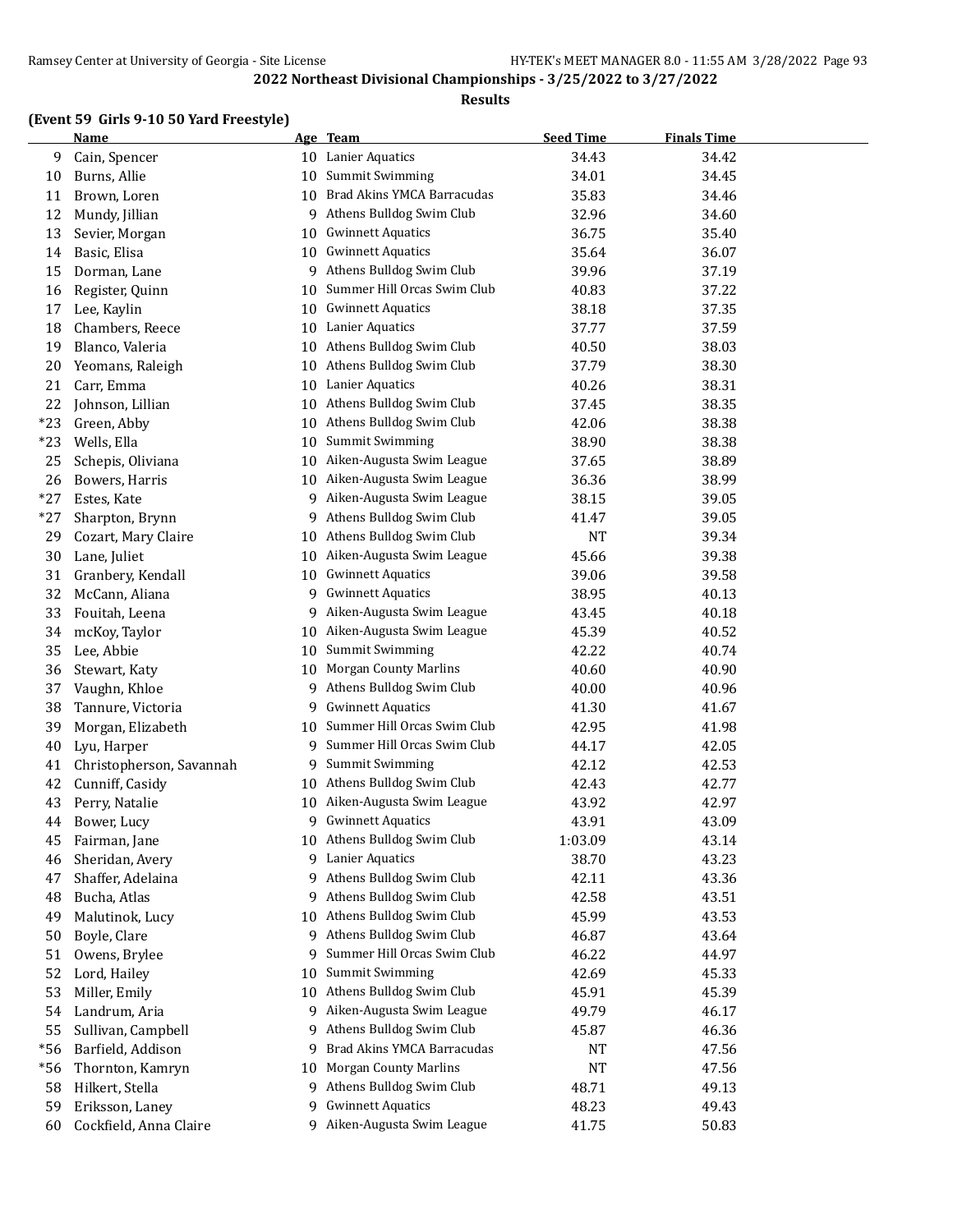## **Results**

## **(Event 59 Girls 9-10 50 Yard Freestyle)**

|       | <b>Name</b>              |    | Age Team                     | <b>Seed Time</b> | <b>Finals Time</b> |  |
|-------|--------------------------|----|------------------------------|------------------|--------------------|--|
| 9     | Cain, Spencer            |    | 10 Lanier Aquatics           | 34.43            | 34.42              |  |
| 10    | Burns, Allie             | 10 | Summit Swimming              | 34.01            | 34.45              |  |
| 11    | Brown, Loren             | 10 | Brad Akins YMCA Barracudas   | 35.83            | 34.46              |  |
| 12    | Mundy, Jillian           | 9  | Athens Bulldog Swim Club     | 32.96            | 34.60              |  |
| 13    | Sevier, Morgan           | 10 | <b>Gwinnett Aquatics</b>     | 36.75            | 35.40              |  |
| 14    | Basic, Elisa             | 10 | <b>Gwinnett Aquatics</b>     | 35.64            | 36.07              |  |
| 15    | Dorman, Lane             | 9  | Athens Bulldog Swim Club     | 39.96            | 37.19              |  |
| 16    | Register, Quinn          | 10 | Summer Hill Orcas Swim Club  | 40.83            | 37.22              |  |
| 17    | Lee, Kaylin              | 10 | <b>Gwinnett Aquatics</b>     | 38.18            | 37.35              |  |
| 18    | Chambers, Reece          | 10 | Lanier Aquatics              | 37.77            | 37.59              |  |
| 19    | Blanco, Valeria          | 10 | Athens Bulldog Swim Club     | 40.50            | 38.03              |  |
| 20    | Yeomans, Raleigh         | 10 | Athens Bulldog Swim Club     | 37.79            | 38.30              |  |
| 21    | Carr, Emma               | 10 | Lanier Aquatics              | 40.26            | 38.31              |  |
| 22    | Johnson, Lillian         | 10 | Athens Bulldog Swim Club     | 37.45            | 38.35              |  |
| $*23$ | Green, Abby              | 10 | Athens Bulldog Swim Club     | 42.06            | 38.38              |  |
| $*23$ | Wells, Ella              | 10 | <b>Summit Swimming</b>       | 38.90            | 38.38              |  |
| 25    | Schepis, Oliviana        | 10 | Aiken-Augusta Swim League    | 37.65            | 38.89              |  |
| 26    | Bowers, Harris           | 10 | Aiken-Augusta Swim League    | 36.36            | 38.99              |  |
| $*27$ | Estes, Kate              | 9  | Aiken-Augusta Swim League    | 38.15            | 39.05              |  |
| $*27$ | Sharpton, Brynn          | 9  | Athens Bulldog Swim Club     | 41.47            | 39.05              |  |
| 29    | Cozart, Mary Claire      | 10 | Athens Bulldog Swim Club     | <b>NT</b>        | 39.34              |  |
| 30    | Lane, Juliet             | 10 | Aiken-Augusta Swim League    | 45.66            | 39.38              |  |
| 31    | Granbery, Kendall        | 10 | <b>Gwinnett Aquatics</b>     | 39.06            | 39.58              |  |
| 32    | McCann, Aliana           | 9  | <b>Gwinnett Aquatics</b>     | 38.95            | 40.13              |  |
| 33    | Fouitah, Leena           | 9  | Aiken-Augusta Swim League    | 43.45            | 40.18              |  |
| 34    | mcKoy, Taylor            | 10 | Aiken-Augusta Swim League    | 45.39            | 40.52              |  |
| 35    | Lee, Abbie               | 10 | <b>Summit Swimming</b>       | 42.22            | 40.74              |  |
| 36    | Stewart, Katy            | 10 | <b>Morgan County Marlins</b> | 40.60            | 40.90              |  |
| 37    | Vaughn, Khloe            | 9  | Athens Bulldog Swim Club     | 40.00            | 40.96              |  |
| 38    | Tannure, Victoria        | 9  | <b>Gwinnett Aquatics</b>     | 41.30            | 41.67              |  |
| 39    | Morgan, Elizabeth        | 10 | Summer Hill Orcas Swim Club  | 42.95            | 41.98              |  |
| 40    | Lyu, Harper              | 9  | Summer Hill Orcas Swim Club  | 44.17            | 42.05              |  |
| 41    | Christopherson, Savannah | 9  | Summit Swimming              | 42.12            | 42.53              |  |
| 42    | Cunniff, Casidy          | 10 | Athens Bulldog Swim Club     | 42.43            | 42.77              |  |
| 43    | Perry, Natalie           | 10 | Aiken-Augusta Swim League    | 43.92            | 42.97              |  |
| 44    | Bower, Lucy              | 9  | <b>Gwinnett Aquatics</b>     | 43.91            | 43.09              |  |
| 45    | Fairman, Jane            |    | 10 Athens Bulldog Swim Club  | 1:03.09          | 43.14              |  |
| 46    | Sheridan, Avery          |    | 9 Lanier Aquatics            | 38.70            | 43.23              |  |
| 47    | Shaffer, Adelaina        | 9  | Athens Bulldog Swim Club     | 42.11            | 43.36              |  |
| 48    | Bucha, Atlas             | 9  | Athens Bulldog Swim Club     | 42.58            | 43.51              |  |
| 49    | Malutinok, Lucy          | 10 | Athens Bulldog Swim Club     | 45.99            | 43.53              |  |
| 50    | Boyle, Clare             | 9  | Athens Bulldog Swim Club     | 46.87            | 43.64              |  |
| 51    | Owens, Brylee            | 9  | Summer Hill Orcas Swim Club  | 46.22            | 44.97              |  |
| 52    | Lord, Hailey             | 10 | Summit Swimming              | 42.69            | 45.33              |  |
| 53    | Miller, Emily            | 10 | Athens Bulldog Swim Club     | 45.91            | 45.39              |  |
| 54    | Landrum, Aria            | 9  | Aiken-Augusta Swim League    | 49.79            | 46.17              |  |
| 55    | Sullivan, Campbell       | 9  | Athens Bulldog Swim Club     | 45.87            | 46.36              |  |
| $*56$ | Barfield, Addison        | 9  | Brad Akins YMCA Barracudas   | NT               | 47.56              |  |
| $*56$ | Thornton, Kamryn         | 10 | <b>Morgan County Marlins</b> | NT               | 47.56              |  |
| 58    | Hilkert, Stella          | 9  | Athens Bulldog Swim Club     | 48.71            | 49.13              |  |
| 59    | Eriksson, Laney          | 9  | <b>Gwinnett Aquatics</b>     | 48.23            | 49.43              |  |
| 60    | Cockfield, Anna Claire   | 9. | Aiken-Augusta Swim League    | 41.75            | 50.83              |  |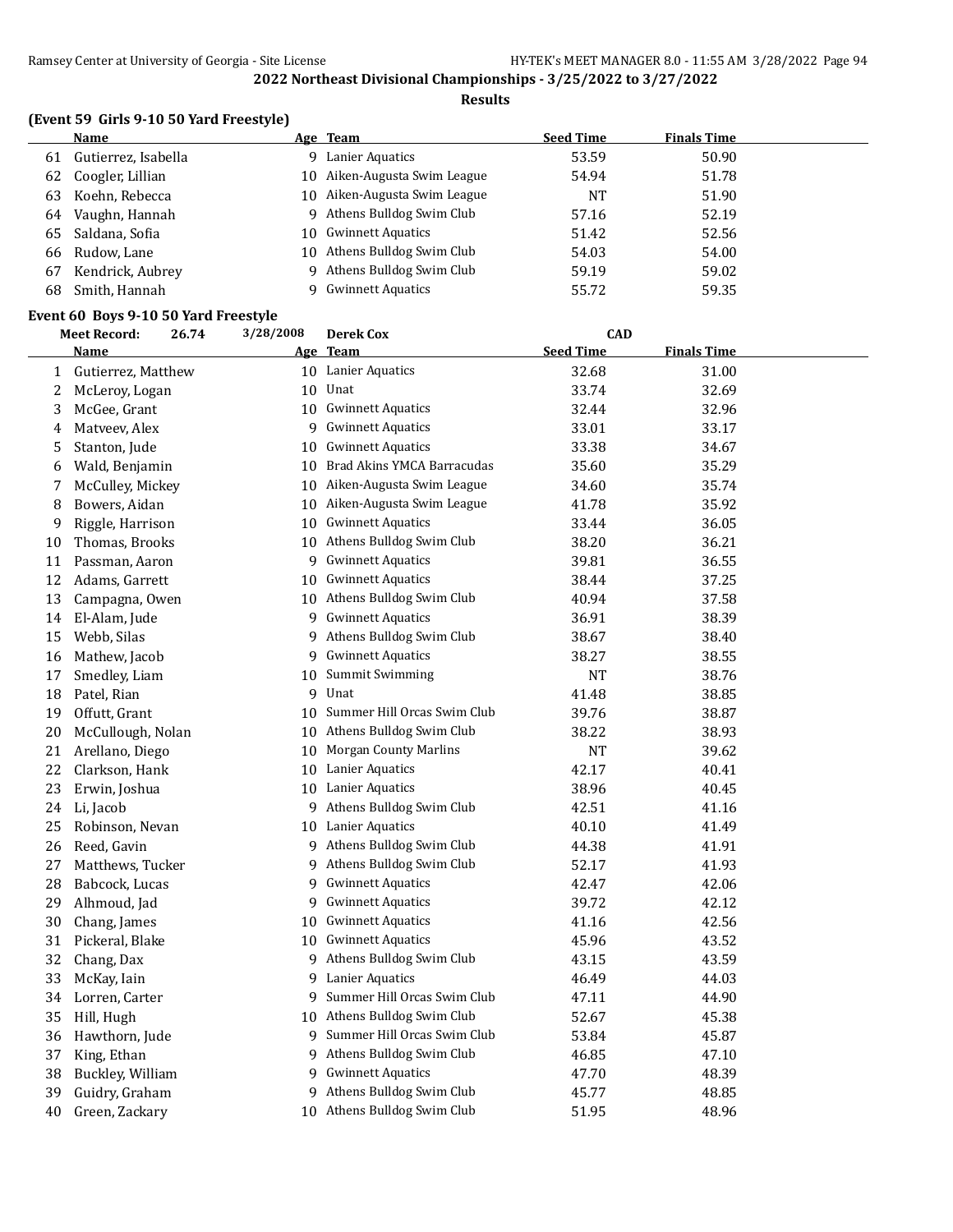#### **Results**

## **(Event 59 Girls 9-10 50 Yard Freestyle)**

|    | Name                | Age Team                     | <b>Seed Time</b> | <b>Finals Time</b> |
|----|---------------------|------------------------------|------------------|--------------------|
| 61 | Gutierrez, Isabella | 9 Lanier Aquatics            | 53.59            | 50.90              |
|    | 62 Coogler, Lillian | 10 Aiken-Augusta Swim League | 54.94            | 51.78              |
|    | 63 Koehn, Rebecca   | 10 Aiken-Augusta Swim League | NT               | 51.90              |
|    | 64 Vaughn, Hannah   | 9 Athens Bulldog Swim Club   | 57.16            | 52.19              |
|    | 65 Saldana, Sofia   | 10 Gwinnett Aquatics         | 51.42            | 52.56              |
|    | 66 Rudow, Lane      | 10 Athens Bulldog Swim Club  | 54.03            | 54.00              |
| 67 | Kendrick, Aubrey    | 9 Athens Bulldog Swim Club   | 59.19            | 59.02              |
| 68 | Smith, Hannah       | 9 Gwinnett Aquatics          | 55.72            | 59.35              |
|    |                     |                              |                  |                    |

## **Event 60 Boys 9-10 50 Yard Freestyle**<br>Most Bosondy 26.74 2/28/2008 Po

|              | <b>Meet Record:</b> | 3/28/2008<br>26.74<br><b>Derek Cox</b><br><b>CAD</b> |    |                                |                  |                    |  |
|--------------|---------------------|------------------------------------------------------|----|--------------------------------|------------------|--------------------|--|
|              | <u>Name</u>         |                                                      |    | Age Team                       | <b>Seed Time</b> | <b>Finals Time</b> |  |
| $\mathbf{1}$ | Gutierrez, Matthew  |                                                      |    | 10 Lanier Aquatics             | 32.68            | 31.00              |  |
| 2            | McLeroy, Logan      |                                                      | 10 | Unat                           | 33.74            | 32.69              |  |
| 3            | McGee, Grant        |                                                      | 10 | <b>Gwinnett Aquatics</b>       | 32.44            | 32.96              |  |
| 4            | Matveev, Alex       |                                                      | 9  | <b>Gwinnett Aquatics</b>       | 33.01            | 33.17              |  |
| 5            | Stanton, Jude       |                                                      | 10 | <b>Gwinnett Aquatics</b>       | 33.38            | 34.67              |  |
| 6            | Wald, Benjamin      |                                                      | 10 | Brad Akins YMCA Barracudas     | 35.60            | 35.29              |  |
| 7            | McCulley, Mickey    |                                                      | 10 | Aiken-Augusta Swim League      | 34.60            | 35.74              |  |
| 8            | Bowers, Aidan       |                                                      | 10 | Aiken-Augusta Swim League      | 41.78            | 35.92              |  |
| 9            | Riggle, Harrison    |                                                      |    | 10 Gwinnett Aquatics           | 33.44            | 36.05              |  |
| 10           | Thomas, Brooks      |                                                      |    | 10 Athens Bulldog Swim Club    | 38.20            | 36.21              |  |
| 11           | Passman, Aaron      |                                                      | 9  | <b>Gwinnett Aquatics</b>       | 39.81            | 36.55              |  |
| 12           | Adams, Garrett      |                                                      | 10 | <b>Gwinnett Aquatics</b>       | 38.44            | 37.25              |  |
| 13           | Campagna, Owen      |                                                      | 10 | Athens Bulldog Swim Club       | 40.94            | 37.58              |  |
| 14           | El-Alam, Jude       |                                                      | 9  | <b>Gwinnett Aquatics</b>       | 36.91            | 38.39              |  |
| 15           | Webb, Silas         |                                                      | 9  | Athens Bulldog Swim Club       | 38.67            | 38.40              |  |
| 16           | Mathew, Jacob       |                                                      | 9  | <b>Gwinnett Aquatics</b>       | 38.27            | 38.55              |  |
| 17           | Smedley, Liam       |                                                      | 10 | Summit Swimming                | NT               | 38.76              |  |
| 18           | Patel, Rian         |                                                      |    | 9 Unat                         | 41.48            | 38.85              |  |
| 19           | Offutt, Grant       |                                                      |    | 10 Summer Hill Orcas Swim Club | 39.76            | 38.87              |  |
| 20           | McCullough, Nolan   |                                                      | 10 | Athens Bulldog Swim Club       | 38.22            | 38.93              |  |
| 21           | Arellano, Diego     |                                                      | 10 | <b>Morgan County Marlins</b>   | <b>NT</b>        | 39.62              |  |
| 22           | Clarkson, Hank      |                                                      | 10 | Lanier Aquatics                | 42.17            | 40.41              |  |
| 23           | Erwin, Joshua       |                                                      |    | 10 Lanier Aquatics             | 38.96            | 40.45              |  |
| 24           | Li, Jacob           |                                                      | 9  | Athens Bulldog Swim Club       | 42.51            | 41.16              |  |
| 25           | Robinson, Nevan     |                                                      |    | 10 Lanier Aquatics             | 40.10            | 41.49              |  |
| 26           | Reed, Gavin         |                                                      | 9  | Athens Bulldog Swim Club       | 44.38            | 41.91              |  |
| 27           | Matthews, Tucker    |                                                      | 9  | Athens Bulldog Swim Club       | 52.17            | 41.93              |  |
| 28           | Babcock, Lucas      |                                                      | 9  | <b>Gwinnett Aquatics</b>       | 42.47            | 42.06              |  |
| 29           | Alhmoud, Jad        |                                                      | 9  | <b>Gwinnett Aquatics</b>       | 39.72            | 42.12              |  |
| 30           | Chang, James        |                                                      | 10 | <b>Gwinnett Aquatics</b>       | 41.16            | 42.56              |  |
| 31           | Pickeral, Blake     |                                                      |    | 10 Gwinnett Aquatics           | 45.96            | 43.52              |  |
| 32           | Chang, Dax          |                                                      | 9  | Athens Bulldog Swim Club       | 43.15            | 43.59              |  |
| 33           | McKay, Iain         |                                                      | 9  | Lanier Aquatics                | 46.49            | 44.03              |  |
| 34           | Lorren, Carter      |                                                      | 9. | Summer Hill Orcas Swim Club    | 47.11            | 44.90              |  |
| 35           | Hill, Hugh          |                                                      |    | 10 Athens Bulldog Swim Club    | 52.67            | 45.38              |  |
| 36           | Hawthorn, Jude      |                                                      | 9  | Summer Hill Orcas Swim Club    | 53.84            | 45.87              |  |
| 37           | King, Ethan         |                                                      |    | 9 Athens Bulldog Swim Club     | 46.85            | 47.10              |  |
| 38           | Buckley, William    |                                                      |    | 9 Gwinnett Aquatics            | 47.70            | 48.39              |  |
| 39           | Guidry, Graham      |                                                      |    | 9 Athens Bulldog Swim Club     | 45.77            | 48.85              |  |
| 40           | Green, Zackary      |                                                      |    | 10 Athens Bulldog Swim Club    | 51.95            | 48.96              |  |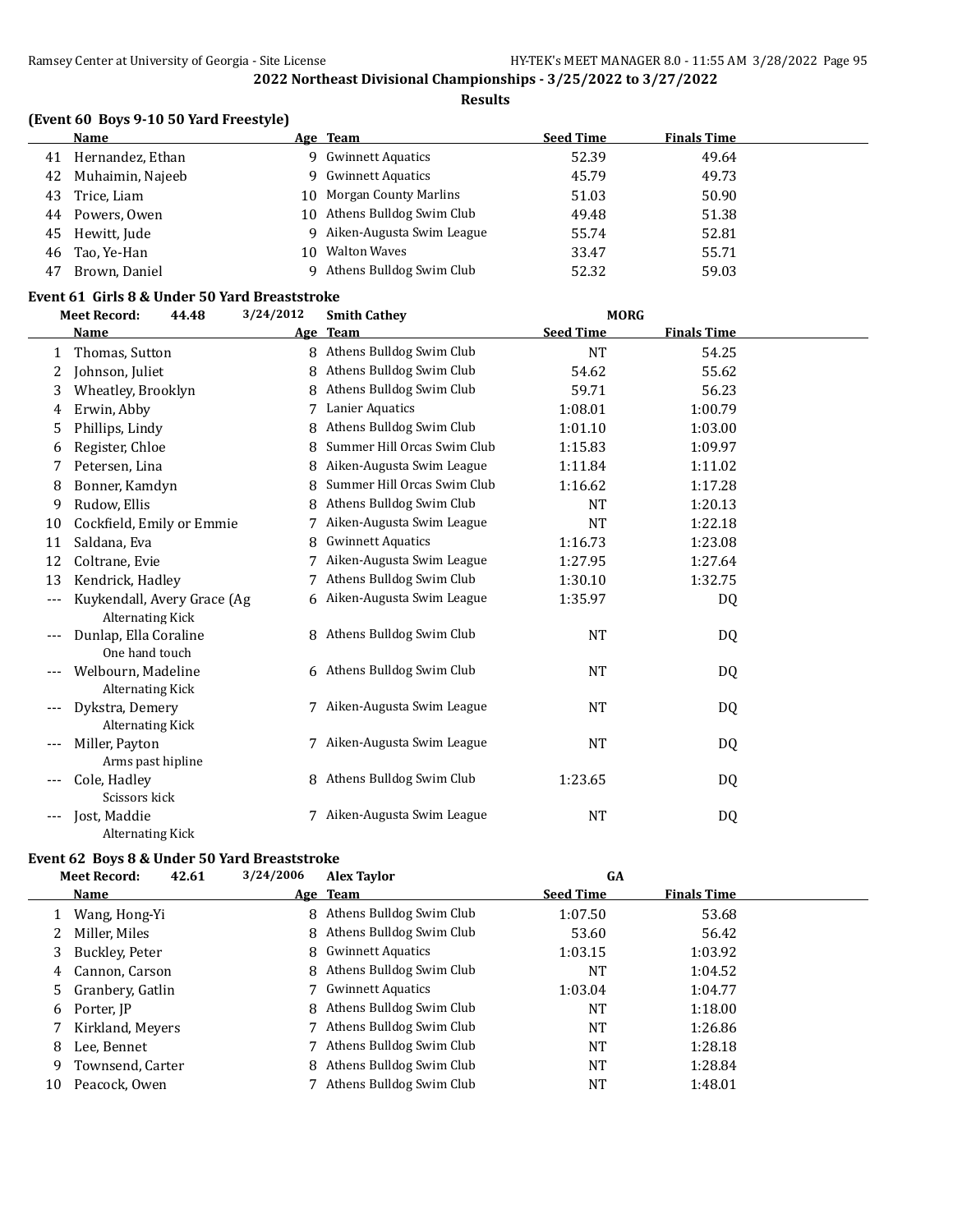**Results**

## **(Event 60 Boys 9-10 50 Yard Freestyle)**

|    | Name             |     | Age Team                    | <b>Seed Time</b> | <b>Finals Time</b> |  |
|----|------------------|-----|-----------------------------|------------------|--------------------|--|
| 41 | Hernandez, Ethan | Q.  | <b>Gwinnett Aquatics</b>    | 52.39            | 49.64              |  |
| 42 | Muhaimin, Najeeb | Q.  | <b>Gwinnett Aquatics</b>    | 45.79            | 49.73              |  |
| 43 | Trice, Liam      |     | 10 Morgan County Marlins    | 51.03            | 50.90              |  |
| 44 | Powers, Owen     |     | 10 Athens Bulldog Swim Club | 49.48            | 51.38              |  |
| 45 | Hewitt, Jude     | q.  | Aiken-Augusta Swim League   | 55.74            | 52.81              |  |
| 46 | Tao, Ye-Han      | 10. | <b>Walton Waves</b>         | 33.47            | 55.71              |  |
| 47 | Brown, Daniel    |     | Athens Bulldog Swim Club    | 52.32            | 59.03              |  |

#### **Event 61 Girls 8 & Under 50 Yard Breaststroke**

|       | <b>Meet Record:</b>                                    | 3/24/2012<br>44.48 | <b>Smith Cathey</b>         | <b>MORG</b>      |                    |  |
|-------|--------------------------------------------------------|--------------------|-----------------------------|------------------|--------------------|--|
|       | Name                                                   | <u>Age</u>         | <b>Team</b>                 | <b>Seed Time</b> | <b>Finals Time</b> |  |
| 1     | Thomas, Sutton                                         | 8                  | Athens Bulldog Swim Club    | <b>NT</b>        | 54.25              |  |
| 2     | Johnson, Juliet                                        | 8                  | Athens Bulldog Swim Club    | 54.62            | 55.62              |  |
| 3     | Wheatley, Brooklyn                                     | 8                  | Athens Bulldog Swim Club    | 59.71            | 56.23              |  |
| 4     | Erwin, Abby                                            | 7                  | Lanier Aquatics             | 1:08.01          | 1:00.79            |  |
| 5     | Phillips, Lindy                                        | 8                  | Athens Bulldog Swim Club    | 1:01.10          | 1:03.00            |  |
| 6     | Register, Chloe                                        | 8                  | Summer Hill Orcas Swim Club | 1:15.83          | 1:09.97            |  |
| 7     | Petersen, Lina                                         | 8                  | Aiken-Augusta Swim League   | 1:11.84          | 1:11.02            |  |
| 8     | Bonner, Kamdyn                                         | 8                  | Summer Hill Orcas Swim Club | 1:16.62          | 1:17.28            |  |
| 9     | Rudow, Ellis                                           | 8                  | Athens Bulldog Swim Club    | <b>NT</b>        | 1:20.13            |  |
| 10    | Cockfield, Emily or Emmie                              |                    | Aiken-Augusta Swim League   | <b>NT</b>        | 1:22.18            |  |
| 11    | Saldana, Eva                                           | 8                  | <b>Gwinnett Aquatics</b>    | 1:16.73          | 1:23.08            |  |
| 12    | Coltrane, Evie                                         |                    | Aiken-Augusta Swim League   | 1:27.95          | 1:27.64            |  |
| 13    | Kendrick, Hadley                                       |                    | Athens Bulldog Swim Club    | 1:30.10          | 1:32.75            |  |
| $---$ | Kuykendall, Avery Grace (Ag<br><b>Alternating Kick</b> | 6                  | Aiken-Augusta Swim League   | 1:35.97          | DQ                 |  |
|       | Dunlap, Ella Coraline<br>One hand touch                |                    | 8 Athens Bulldog Swim Club  | <b>NT</b>        | DQ                 |  |
|       | Welbourn, Madeline<br><b>Alternating Kick</b>          |                    | 6 Athens Bulldog Swim Club  | <b>NT</b>        | DQ                 |  |
|       | Dykstra, Demery<br><b>Alternating Kick</b>             |                    | 7 Aiken-Augusta Swim League | <b>NT</b>        | DQ                 |  |
|       | Miller, Payton<br>Arms past hipline                    |                    | 7 Aiken-Augusta Swim League | <b>NT</b>        | DQ                 |  |
|       | Cole, Hadley<br>Scissors kick                          | 8                  | Athens Bulldog Swim Club    | 1:23.65          | DQ                 |  |
|       | Jost, Maddie<br><b>Alternating Kick</b>                |                    | 7 Aiken-Augusta Swim League | <b>NT</b>        | DQ                 |  |

### **Event 62 Boys 8 & Under 50 Yard Breaststroke**

|    | <b>Meet Record:</b> | 42.61 | 3/24/2006 | <b>Alex Taylor</b>         | GA               |                    |  |
|----|---------------------|-------|-----------|----------------------------|------------------|--------------------|--|
|    | Name                |       |           | Age Team                   | <b>Seed Time</b> | <b>Finals Time</b> |  |
|    | Wang, Hong-Yi       |       | 8         | Athens Bulldog Swim Club   | 1:07.50          | 53.68              |  |
| 2  | Miller, Miles       |       |           | 8 Athens Bulldog Swim Club | 53.60            | 56.42              |  |
| 3  | Buckley, Peter      |       |           | 8 Gwinnett Aquatics        | 1:03.15          | 1:03.92            |  |
| 4  | Cannon, Carson      |       |           | 8 Athens Bulldog Swim Club | NT               | 1:04.52            |  |
|    | 5 Granbery, Gatlin  |       |           | 7 Gwinnett Aquatics        | 1:03.04          | 1:04.77            |  |
| 6  | Porter, IP          |       |           | 8 Athens Bulldog Swim Club | NT               | 1:18.00            |  |
|    | Kirkland, Meyers    |       |           | 7 Athens Bulldog Swim Club | NT               | 1:26.86            |  |
| 8  | Lee, Bennet         |       |           | Athens Bulldog Swim Club   | <b>NT</b>        | 1:28.18            |  |
| 9  | Townsend, Carter    |       |           | 8 Athens Bulldog Swim Club | <b>NT</b>        | 1:28.84            |  |
| 10 | Peacock, Owen       |       |           | Athens Bulldog Swim Club   | NT               | 1:48.01            |  |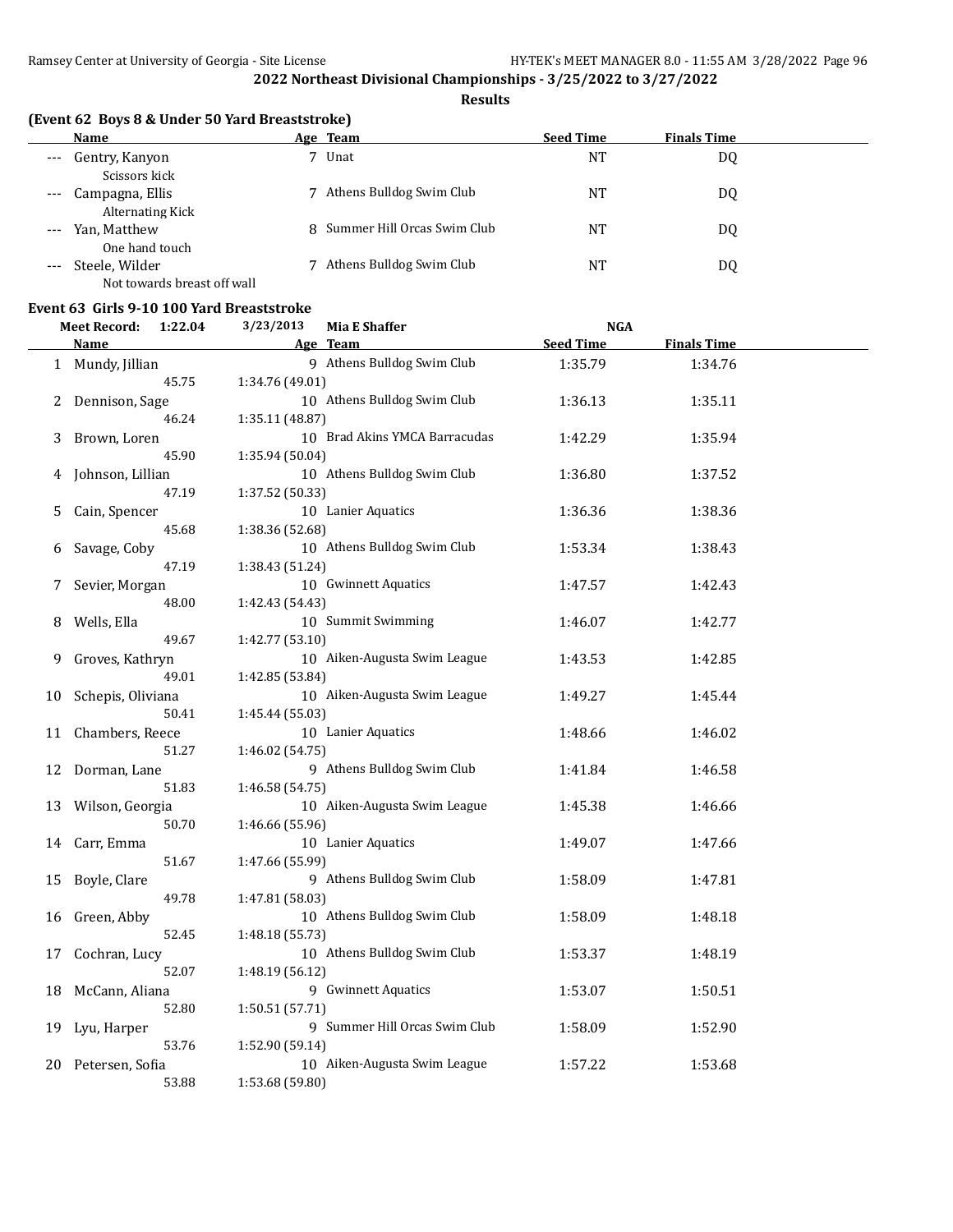**Results**

## **(Event 62 Boys 8 & Under 50 Yard Breaststroke)**

|       | Name                                       |   | Age Team                      | <b>Seed Time</b> | <b>Finals Time</b> |
|-------|--------------------------------------------|---|-------------------------------|------------------|--------------------|
| $---$ | Gentry, Kanyon                             | 7 | Unat                          | <b>NT</b>        | DQ                 |
|       | Scissors kick                              |   |                               |                  |                    |
| $---$ | Campagna, Ellis<br><b>Alternating Kick</b> | 7 | Athens Bulldog Swim Club      | NT               | DQ                 |
| $---$ | Yan, Matthew                               |   | 8 Summer Hill Orcas Swim Club | NΤ               | DQ                 |
|       | One hand touch                             |   |                               |                  |                    |
| $---$ | Steele, Wilder                             |   | Athens Bulldog Swim Club      | NT               | DQ                 |
|       | Not towards breast off wall                |   |                               |                  |                    |

## **Event 63 Girls 9-10 100 Yard Breaststroke**

|    | <b>Meet Record:</b>    | 3/23/2013<br>1:22.04     | <b>Mia E Shaffer</b>          | <b>NGA</b>       |                    |  |
|----|------------------------|--------------------------|-------------------------------|------------------|--------------------|--|
|    | Name                   |                          | Age Team                      | <b>Seed Time</b> | <b>Finals Time</b> |  |
|    | 1 Mundy, Jillian       |                          | 9 Athens Bulldog Swim Club    | 1:35.79          | 1:34.76            |  |
|    |                        | 45.75<br>1:34.76 (49.01) |                               |                  |                    |  |
| 2  | Dennison, Sage         |                          | 10 Athens Bulldog Swim Club   | 1:36.13          | 1:35.11            |  |
|    |                        | 46.24<br>1:35.11 (48.87) |                               |                  |                    |  |
| 3  | Brown, Loren           |                          | 10 Brad Akins YMCA Barracudas | 1:42.29          | 1:35.94            |  |
|    | 45.90                  | 1:35.94 (50.04)          |                               |                  |                    |  |
| 4  | Johnson, Lillian       |                          | 10 Athens Bulldog Swim Club   | 1:36.80          | 1:37.52            |  |
|    | 47.19                  | 1:37.52 (50.33)          |                               |                  |                    |  |
| 5  | Cain, Spencer          |                          | 10 Lanier Aquatics            | 1:36.36          | 1:38.36            |  |
|    | 45.68                  | 1:38.36 (52.68)          |                               |                  |                    |  |
| 6  | Savage, Coby           |                          | 10 Athens Bulldog Swim Club   | 1:53.34          | 1:38.43            |  |
|    | 47.19                  | 1:38.43 (51.24)          |                               |                  |                    |  |
| 7  | Sevier, Morgan         |                          | 10 Gwinnett Aquatics          | 1:47.57          | 1:42.43            |  |
|    | 48.00                  | 1:42.43 (54.43)          |                               |                  |                    |  |
| 8  | Wells, Ella            |                          | 10 Summit Swimming            | 1:46.07          | 1:42.77            |  |
|    |                        | 49.67<br>1:42.77 (53.10) |                               |                  |                    |  |
| 9  | Groves, Kathryn        |                          | 10 Aiken-Augusta Swim League  | 1:43.53          | 1:42.85            |  |
|    |                        | 49.01<br>1:42.85 (53.84) |                               |                  |                    |  |
| 10 | Schepis, Oliviana      |                          | 10 Aiken-Augusta Swim League  | 1:49.27          | 1:45.44            |  |
|    |                        | 50.41<br>1:45.44 (55.03) |                               |                  |                    |  |
| 11 | Chambers, Reece        |                          | 10 Lanier Aquatics            | 1:48.66          | 1:46.02            |  |
|    |                        | 51.27<br>1:46.02 (54.75) |                               |                  |                    |  |
| 12 | Dorman, Lane           |                          | 9 Athens Bulldog Swim Club    | 1:41.84          | 1:46.58            |  |
|    |                        | 51.83<br>1:46.58 (54.75) |                               |                  |                    |  |
| 13 | Wilson, Georgia        |                          | 10 Aiken-Augusta Swim League  | 1:45.38          | 1:46.66            |  |
|    |                        | 1:46.66 (55.96)<br>50.70 |                               |                  |                    |  |
| 14 | Carr, Emma             |                          | 10 Lanier Aquatics            | 1:49.07          | 1:47.66            |  |
|    | 51.67                  | 1:47.66 (55.99)          |                               |                  |                    |  |
| 15 | Boyle, Clare<br>49.78  |                          | 9 Athens Bulldog Swim Club    | 1:58.09          | 1:47.81            |  |
|    |                        | 1:47.81 (58.03)          |                               |                  |                    |  |
| 16 | Green, Abby            |                          | 10 Athens Bulldog Swim Club   | 1:58.09          | 1:48.18            |  |
|    | 52.45                  | 1:48.18 (55.73)          | 10 Athens Bulldog Swim Club   |                  |                    |  |
| 17 | Cochran, Lucy<br>52.07 | 1:48.19 (56.12)          |                               | 1:53.37          | 1:48.19            |  |
|    | McCann, Aliana         |                          | 9 Gwinnett Aquatics           |                  |                    |  |
| 18 | 52.80                  |                          |                               | 1:53.07          | 1:50.51            |  |
| 19 | Lyu, Harper            | 1:50.51 (57.71)          | 9 Summer Hill Orcas Swim Club | 1:58.09          | 1:52.90            |  |
|    |                        | 53.76<br>1:52.90 (59.14) |                               |                  |                    |  |
| 20 | Petersen, Sofia        |                          | 10 Aiken-Augusta Swim League  | 1:57.22          | 1:53.68            |  |
|    |                        | 53.88<br>1:53.68 (59.80) |                               |                  |                    |  |
|    |                        |                          |                               |                  |                    |  |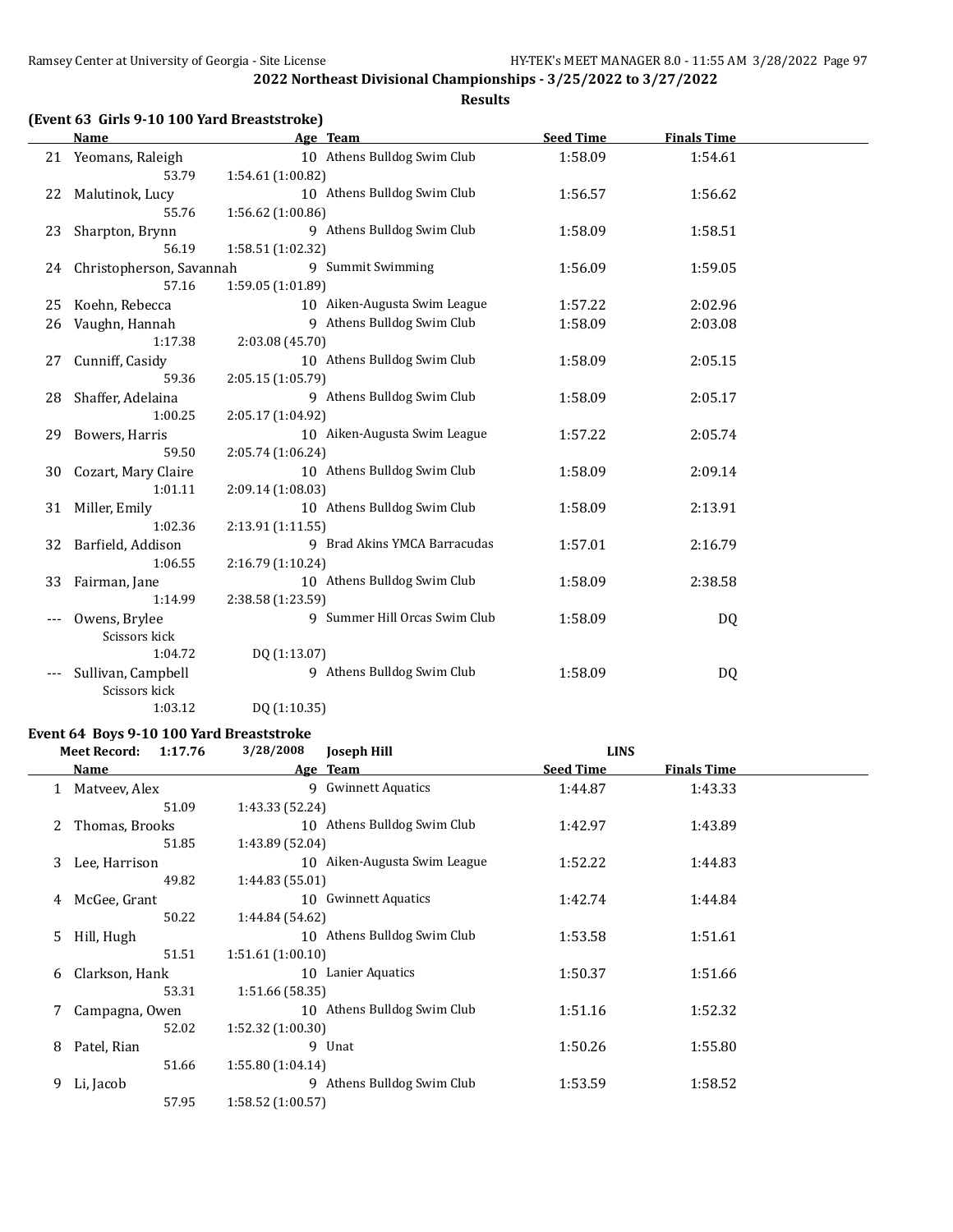**Results**

|  | (Event 63 Girls 9-10 100 Yard Breaststroke) |  |
|--|---------------------------------------------|--|
|--|---------------------------------------------|--|

|       | <b>Name</b>              |                   | Age Team                      | <b>Seed Time</b> | <b>Finals Time</b> |  |
|-------|--------------------------|-------------------|-------------------------------|------------------|--------------------|--|
|       | 21 Yeomans, Raleigh      |                   | 10 Athens Bulldog Swim Club   | 1:58.09          | 1:54.61            |  |
|       | 53.79                    | 1:54.61 (1:00.82) |                               |                  |                    |  |
| 22    | Malutinok, Lucy          |                   | 10 Athens Bulldog Swim Club   | 1:56.57          | 1:56.62            |  |
|       | 55.76                    | 1:56.62(1:00.86)  |                               |                  |                    |  |
| 23    | Sharpton, Brynn          |                   | 9 Athens Bulldog Swim Club    | 1:58.09          | 1:58.51            |  |
|       | 56.19                    | 1:58.51 (1:02.32) |                               |                  |                    |  |
| 24    | Christopherson, Savannah |                   | 9 Summit Swimming             | 1:56.09          | 1:59.05            |  |
|       | 57.16                    | 1:59.05 (1:01.89) |                               |                  |                    |  |
| 25    | Koehn, Rebecca           |                   | 10 Aiken-Augusta Swim League  | 1:57.22          | 2:02.96            |  |
| 26    | Vaughn, Hannah           |                   | 9 Athens Bulldog Swim Club    | 1:58.09          | 2:03.08            |  |
|       | 1:17.38                  | 2:03.08 (45.70)   |                               |                  |                    |  |
| 27    | Cunniff, Casidy          |                   | 10 Athens Bulldog Swim Club   | 1:58.09          | 2:05.15            |  |
|       | 59.36                    | 2:05.15 (1:05.79) |                               |                  |                    |  |
| 28    | Shaffer, Adelaina        |                   | 9 Athens Bulldog Swim Club    | 1:58.09          | 2:05.17            |  |
|       | 1:00.25                  | 2:05.17 (1:04.92) |                               |                  |                    |  |
| 29    | Bowers, Harris           |                   | 10 Aiken-Augusta Swim League  | 1:57.22          | 2:05.74            |  |
|       | 59.50                    | 2:05.74 (1:06.24) |                               |                  |                    |  |
| 30    | Cozart, Mary Claire      |                   | 10 Athens Bulldog Swim Club   | 1:58.09          | 2:09.14            |  |
|       | 1:01.11                  | 2:09.14 (1:08.03) |                               |                  |                    |  |
| 31    | Miller, Emily            |                   | 10 Athens Bulldog Swim Club   | 1:58.09          | 2:13.91            |  |
|       | 1:02.36                  | 2:13.91(1:11.55)  |                               |                  |                    |  |
| 32    | Barfield, Addison        |                   | 9 Brad Akins YMCA Barracudas  | 1:57.01          | 2:16.79            |  |
|       | 1:06.55                  | 2:16.79 (1:10.24) |                               |                  |                    |  |
| 33    | Fairman, Jane            |                   | 10 Athens Bulldog Swim Club   | 1:58.09          | 2:38.58            |  |
|       | 1:14.99                  | 2:38.58 (1:23.59) |                               |                  |                    |  |
|       | Owens, Brylee            |                   | 9 Summer Hill Orcas Swim Club | 1:58.09          | DQ                 |  |
|       | Scissors kick            |                   |                               |                  |                    |  |
|       | 1:04.72                  | DQ (1:13.07)      |                               |                  |                    |  |
| $---$ | Sullivan, Campbell       |                   | 9 Athens Bulldog Swim Club    | 1:58.09          | DQ                 |  |
|       | Scissors kick            |                   |                               |                  |                    |  |

1:03.12 DQ (1:10.35)

## **Event 64 Boys 9-10 100 Yard Breaststroke**

|   | <b>Meet Record:</b><br>1:17.76 | 3/28/2008<br>Joseph Hill     | <b>LINS</b>      |                    |
|---|--------------------------------|------------------------------|------------------|--------------------|
|   | Name                           | Age Team                     | <b>Seed Time</b> | <b>Finals Time</b> |
|   | Matveev, Alex                  | 9 Gwinnett Aquatics          | 1:44.87          | 1:43.33            |
|   | 51.09                          | 1:43.33 (52.24)              |                  |                    |
| 2 | Thomas, Brooks                 | 10 Athens Bulldog Swim Club  | 1:42.97          | 1:43.89            |
|   | 51.85                          | 1:43.89 (52.04)              |                  |                    |
| 3 | Lee, Harrison                  | 10 Aiken-Augusta Swim League | 1:52.22          | 1:44.83            |
|   | 49.82                          | 1:44.83(55.01)               |                  |                    |
| 4 | McGee, Grant                   | 10 Gwinnett Aquatics         | 1:42.74          | 1:44.84            |
|   | 50.22                          | 1:44.84 (54.62)              |                  |                    |
| 5 | Hill, Hugh                     | 10 Athens Bulldog Swim Club  | 1:53.58          | 1:51.61            |
|   | 51.51                          | 1:51.61(1:00.10)             |                  |                    |
| 6 | Clarkson, Hank                 | 10 Lanier Aquatics           | 1:50.37          | 1:51.66            |
|   | 53.31                          | 1:51.66(58.35)               |                  |                    |
|   | Campagna, Owen                 | 10 Athens Bulldog Swim Club  | 1:51.16          | 1:52.32            |
|   | 52.02                          | 1:52.32(1:00.30)             |                  |                    |
| 8 | Patel, Rian                    | Unat<br>9                    | 1:50.26          | 1:55.80            |
|   | 51.66                          | 1:55.80(1:04.14)             |                  |                    |
| 9 | Li, Jacob                      | 9 Athens Bulldog Swim Club   | 1:53.59          | 1:58.52            |
|   | 57.95                          | 1:58.52(1:00.57)             |                  |                    |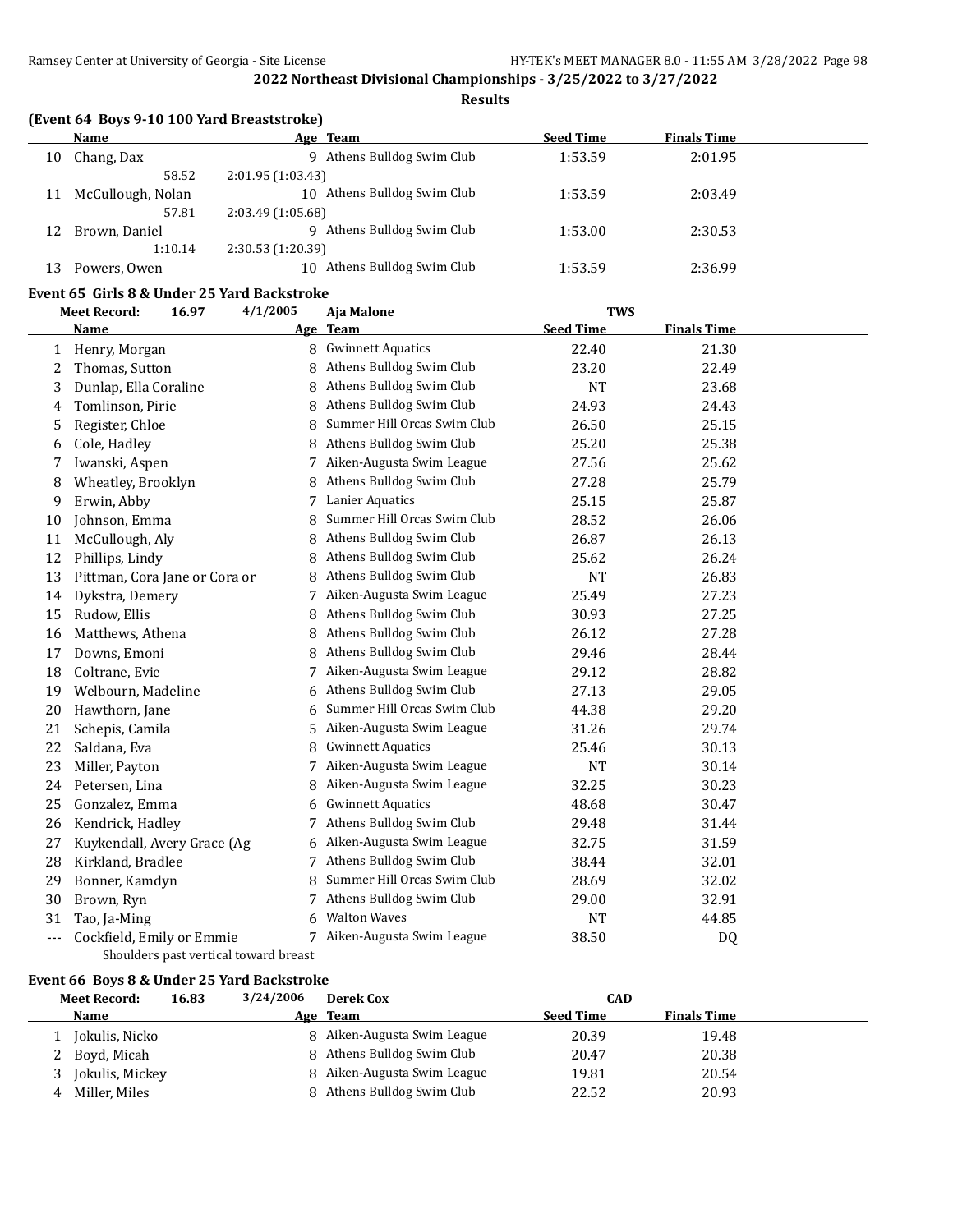**Results**

|    | <b>Name</b>       | Age Team                       | <b>Seed Time</b> | <b>Finals Time</b> |
|----|-------------------|--------------------------------|------------------|--------------------|
| 10 | Chang, Dax        | Athens Bulldog Swim Club<br>q  | 1:53.59          | 2:01.95            |
|    | 58.52             | 2:01.95(1:03.43)               |                  |                    |
| 11 | McCullough, Nolan | Athens Bulldog Swim Club<br>10 | 1:53.59          | 2:03.49            |
|    | 57.81             | 2:03.49(1:05.68)               |                  |                    |
| 12 | Brown, Daniel     | Athens Bulldog Swim Club<br>q  | 1:53.00          | 2:30.53            |
|    | 1:10.14           | 2:30.53(1:20.39)               |                  |                    |
| 13 | Powers, Owen      | Athens Bulldog Swim Club<br>10 | 1:53.59          | 2:36.99            |

#### **Event 65 Girls 8 & Under 25 Yard Backstroke**

|     | <b>Meet Record:</b><br>16.97          | 4/1/2005 | Aja Malone                  | <b>TWS</b>       |                    |  |
|-----|---------------------------------------|----------|-----------------------------|------------------|--------------------|--|
|     | <b>Name</b>                           |          | Age Team                    | <b>Seed Time</b> | <b>Finals Time</b> |  |
| 1   | Henry, Morgan                         |          | 8 Gwinnett Aquatics         | 22.40            | 21.30              |  |
| 2   | Thomas, Sutton                        | 8        | Athens Bulldog Swim Club    | 23.20            | 22.49              |  |
| 3   | Dunlap, Ella Coraline                 | 8        | Athens Bulldog Swim Club    | <b>NT</b>        | 23.68              |  |
| 4   | Tomlinson, Pirie                      | 8        | Athens Bulldog Swim Club    | 24.93            | 24.43              |  |
| 5   | Register, Chloe                       | 8        | Summer Hill Orcas Swim Club | 26.50            | 25.15              |  |
| 6   | Cole, Hadley                          | 8        | Athens Bulldog Swim Club    | 25.20            | 25.38              |  |
| 7   | Iwanski, Aspen                        | 7        | Aiken-Augusta Swim League   | 27.56            | 25.62              |  |
| 8   | Wheatley, Brooklyn                    | 8        | Athens Bulldog Swim Club    | 27.28            | 25.79              |  |
| 9   | Erwin, Abby                           |          | <b>Lanier Aquatics</b>      | 25.15            | 25.87              |  |
| 10  | Johnson, Emma                         | 8        | Summer Hill Orcas Swim Club | 28.52            | 26.06              |  |
| 11  | McCullough, Aly                       | 8        | Athens Bulldog Swim Club    | 26.87            | 26.13              |  |
| 12  | Phillips, Lindy                       | 8        | Athens Bulldog Swim Club    | 25.62            | 26.24              |  |
| 13  | Pittman, Cora Jane or Cora or         | 8        | Athens Bulldog Swim Club    | <b>NT</b>        | 26.83              |  |
| 14  | Dykstra, Demery                       | 7        | Aiken-Augusta Swim League   | 25.49            | 27.23              |  |
| 15  | Rudow, Ellis                          | 8        | Athens Bulldog Swim Club    | 30.93            | 27.25              |  |
| 16  | Matthews, Athena                      | 8        | Athens Bulldog Swim Club    | 26.12            | 27.28              |  |
| 17  | Downs, Emoni                          | 8        | Athens Bulldog Swim Club    | 29.46            | 28.44              |  |
| 18  | Coltrane, Evie                        | 7        | Aiken-Augusta Swim League   | 29.12            | 28.82              |  |
| 19  | Welbourn, Madeline                    | 6        | Athens Bulldog Swim Club    | 27.13            | 29.05              |  |
| 20  | Hawthorn, Jane                        | 6        | Summer Hill Orcas Swim Club | 44.38            | 29.20              |  |
| 21  | Schepis, Camila                       | 5        | Aiken-Augusta Swim League   | 31.26            | 29.74              |  |
| 22  | Saldana, Eva                          | 8        | <b>Gwinnett Aquatics</b>    | 25.46            | 30.13              |  |
| 23  | Miller, Payton                        | 7        | Aiken-Augusta Swim League   | <b>NT</b>        | 30.14              |  |
| 24  | Petersen, Lina                        | 8        | Aiken-Augusta Swim League   | 32.25            | 30.23              |  |
| 25  | Gonzalez, Emma                        | 6        | <b>Gwinnett Aquatics</b>    | 48.68            | 30.47              |  |
| 26  | Kendrick, Hadley                      | 7        | Athens Bulldog Swim Club    | 29.48            | 31.44              |  |
| 27  | Kuykendall, Avery Grace (Ag           | 6        | Aiken-Augusta Swim League   | 32.75            | 31.59              |  |
| 28  | Kirkland, Bradlee                     |          | Athens Bulldog Swim Club    | 38.44            | 32.01              |  |
| 29  | Bonner, Kamdyn                        | 8        | Summer Hill Orcas Swim Club | 28.69            | 32.02              |  |
| 30  | Brown, Ryn                            | 7        | Athens Bulldog Swim Club    | 29.00            | 32.91              |  |
| 31  | Tao, Ja-Ming                          | 6        | <b>Walton Waves</b>         | NT               | 44.85              |  |
| --- | Cockfield, Emily or Emmie             | 7        | Aiken-Augusta Swim League   | 38.50            | DQ                 |  |
|     | Shoulders past vertical toward breast |          |                             |                  |                    |  |

## **Event 66 Boys 8 & Under 25 Yard Backstroke**

|   | <b>Meet Record:</b> | 16.83 | 3/24/2006 | <b>Derek Cox</b>            | <b>CAD</b>       |                    |  |
|---|---------------------|-------|-----------|-----------------------------|------------------|--------------------|--|
|   | Name                |       |           | Age Team                    | <b>Seed Time</b> | <b>Finals Time</b> |  |
|   | Jokulis, Nicko      |       |           | 8 Aiken-Augusta Swim League | 20.39            | 19.48              |  |
|   | 2 Boyd, Micah       |       |           | 8 Athens Bulldog Swim Club  | 20.47            | 20.38              |  |
|   | Jokulis, Mickey     |       |           | 8 Aiken-Augusta Swim League | 19.81            | 20.54              |  |
| 4 | Miller. Miles       |       |           | 8 Athens Bulldog Swim Club  | 22.52            | 20.93              |  |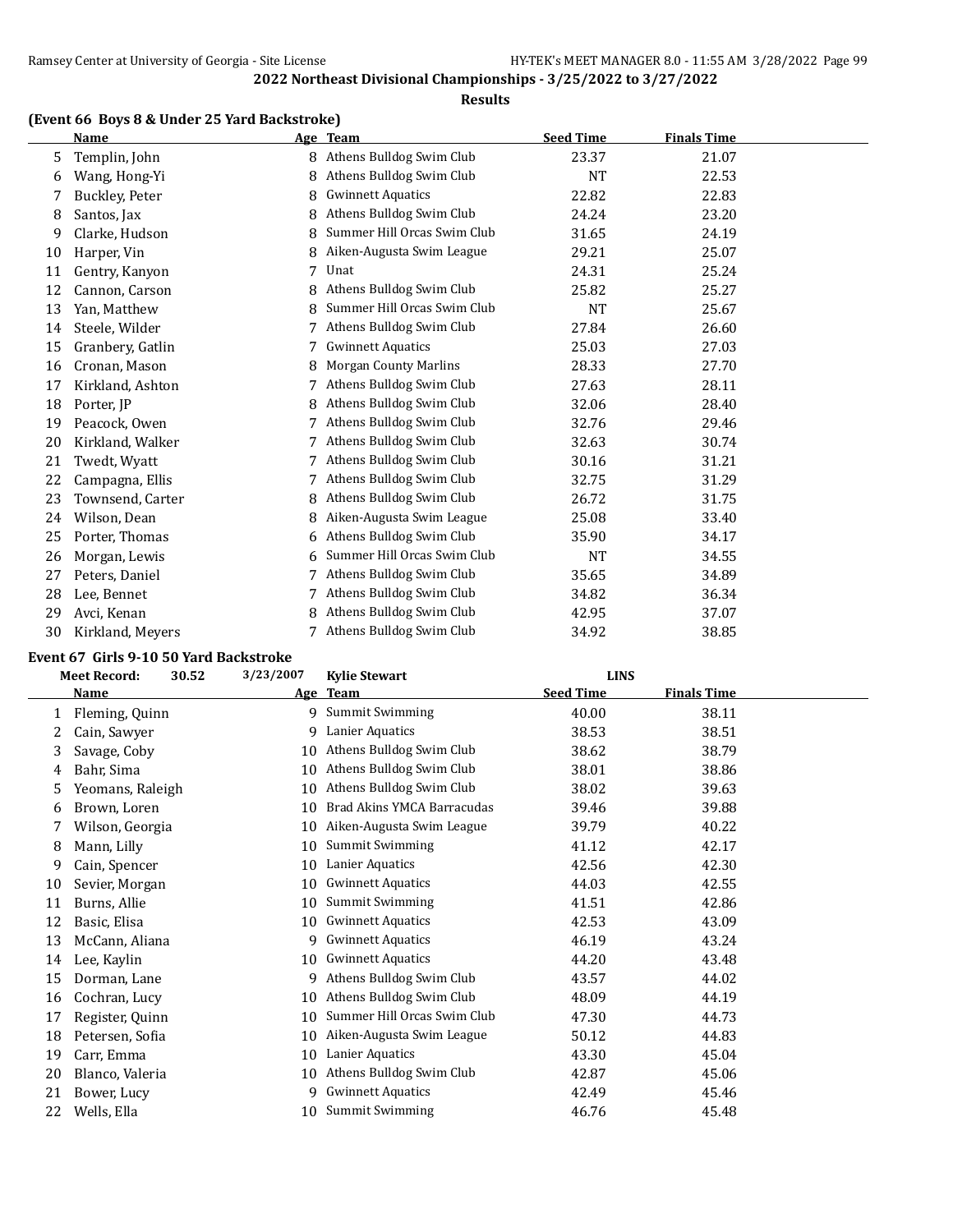#### **Results**

## **(Event 66 Boys 8 & Under 25 Yard Backstroke)**

|    | <b>Name</b>      |   | Age Team                     | <b>Seed Time</b> | <b>Finals Time</b> |  |
|----|------------------|---|------------------------------|------------------|--------------------|--|
| 5  | Templin, John    | 8 | Athens Bulldog Swim Club     | 23.37            | 21.07              |  |
| 6  | Wang, Hong-Yi    | 8 | Athens Bulldog Swim Club     | <b>NT</b>        | 22.53              |  |
| 7  | Buckley, Peter   | 8 | <b>Gwinnett Aquatics</b>     | 22.82            | 22.83              |  |
| 8  | Santos, Jax      | 8 | Athens Bulldog Swim Club     | 24.24            | 23.20              |  |
| 9  | Clarke, Hudson   | 8 | Summer Hill Orcas Swim Club  | 31.65            | 24.19              |  |
| 10 | Harper, Vin      | 8 | Aiken-Augusta Swim League    | 29.21            | 25.07              |  |
| 11 | Gentry, Kanyon   | 7 | Unat                         | 24.31            | 25.24              |  |
| 12 | Cannon, Carson   |   | Athens Bulldog Swim Club     | 25.82            | 25.27              |  |
| 13 | Yan, Matthew     | 8 | Summer Hill Orcas Swim Club  | <b>NT</b>        | 25.67              |  |
| 14 | Steele, Wilder   |   | Athens Bulldog Swim Club     | 27.84            | 26.60              |  |
| 15 | Granbery, Gatlin |   | <b>Gwinnett Aquatics</b>     | 25.03            | 27.03              |  |
| 16 | Cronan, Mason    | 8 | <b>Morgan County Marlins</b> | 28.33            | 27.70              |  |
| 17 | Kirkland, Ashton |   | Athens Bulldog Swim Club     | 27.63            | 28.11              |  |
| 18 | Porter, JP       | 8 | Athens Bulldog Swim Club     | 32.06            | 28.40              |  |
| 19 | Peacock, Owen    |   | Athens Bulldog Swim Club     | 32.76            | 29.46              |  |
| 20 | Kirkland, Walker |   | Athens Bulldog Swim Club     | 32.63            | 30.74              |  |
| 21 | Twedt, Wyatt     |   | Athens Bulldog Swim Club     | 30.16            | 31.21              |  |
| 22 | Campagna, Ellis  |   | Athens Bulldog Swim Club     | 32.75            | 31.29              |  |
| 23 | Townsend, Carter | 8 | Athens Bulldog Swim Club     | 26.72            | 31.75              |  |
| 24 | Wilson, Dean     | 8 | Aiken-Augusta Swim League    | 25.08            | 33.40              |  |
| 25 | Porter, Thomas   | 6 | Athens Bulldog Swim Club     | 35.90            | 34.17              |  |
| 26 | Morgan, Lewis    | 6 | Summer Hill Orcas Swim Club  | <b>NT</b>        | 34.55              |  |
| 27 | Peters, Daniel   |   | Athens Bulldog Swim Club     | 35.65            | 34.89              |  |
| 28 | Lee, Bennet      | 7 | Athens Bulldog Swim Club     | 34.82            | 36.34              |  |
| 29 | Avci, Kenan      | 8 | Athens Bulldog Swim Club     | 42.95            | 37.07              |  |
| 30 | Kirkland, Meyers | 7 | Athens Bulldog Swim Club     | 34.92            | 38.85              |  |

#### **Event 67 Girls 9-10 50 Yard Backstroke**

|    | <b>Meet Record:</b><br>30.52 | 3/23/2007 | <b>Kylie Stewart</b>        | <b>LINS</b>      |                    |  |
|----|------------------------------|-----------|-----------------------------|------------------|--------------------|--|
|    | Name                         |           | Age Team                    | <b>Seed Time</b> | <b>Finals Time</b> |  |
| 1  | Fleming, Quinn               | 9         | <b>Summit Swimming</b>      | 40.00            | 38.11              |  |
| 2  | Cain, Sawyer                 | 9         | Lanier Aquatics             | 38.53            | 38.51              |  |
| 3  | Savage, Coby                 | 10        | Athens Bulldog Swim Club    | 38.62            | 38.79              |  |
| 4  | Bahr, Sima                   | 10        | Athens Bulldog Swim Club    | 38.01            | 38.86              |  |
| 5  | Yeomans, Raleigh             | 10        | Athens Bulldog Swim Club    | 38.02            | 39.63              |  |
| 6  | Brown, Loren                 | 10        | Brad Akins YMCA Barracudas  | 39.46            | 39.88              |  |
|    | Wilson, Georgia              | 10        | Aiken-Augusta Swim League   | 39.79            | 40.22              |  |
| 8  | Mann, Lilly                  | 10        | <b>Summit Swimming</b>      | 41.12            | 42.17              |  |
| 9  | Cain, Spencer                | 10        | Lanier Aquatics             | 42.56            | 42.30              |  |
| 10 | Sevier, Morgan               | 10        | <b>Gwinnett Aquatics</b>    | 44.03            | 42.55              |  |
| 11 | Burns, Allie                 | 10        | Summit Swimming             | 41.51            | 42.86              |  |
| 12 | Basic, Elisa                 | 10        | <b>Gwinnett Aquatics</b>    | 42.53            | 43.09              |  |
| 13 | McCann, Aliana               | 9         | <b>Gwinnett Aquatics</b>    | 46.19            | 43.24              |  |
| 14 | Lee, Kaylin                  | 10        | <b>Gwinnett Aquatics</b>    | 44.20            | 43.48              |  |
| 15 | Dorman, Lane                 | q         | Athens Bulldog Swim Club    | 43.57            | 44.02              |  |
| 16 | Cochran, Lucy                | 10        | Athens Bulldog Swim Club    | 48.09            | 44.19              |  |
| 17 | Register, Quinn              | 10        | Summer Hill Orcas Swim Club | 47.30            | 44.73              |  |
| 18 | Petersen, Sofia              | 10        | Aiken-Augusta Swim League   | 50.12            | 44.83              |  |
| 19 | Carr, Emma                   | 10        | Lanier Aquatics             | 43.30            | 45.04              |  |
| 20 | Blanco, Valeria              | 10        | Athens Bulldog Swim Club    | 42.87            | 45.06              |  |
| 21 | Bower, Lucy                  | q         | <b>Gwinnett Aquatics</b>    | 42.49            | 45.46              |  |
| 22 | Wells, Ella                  | 10        | <b>Summit Swimming</b>      | 46.76            | 45.48              |  |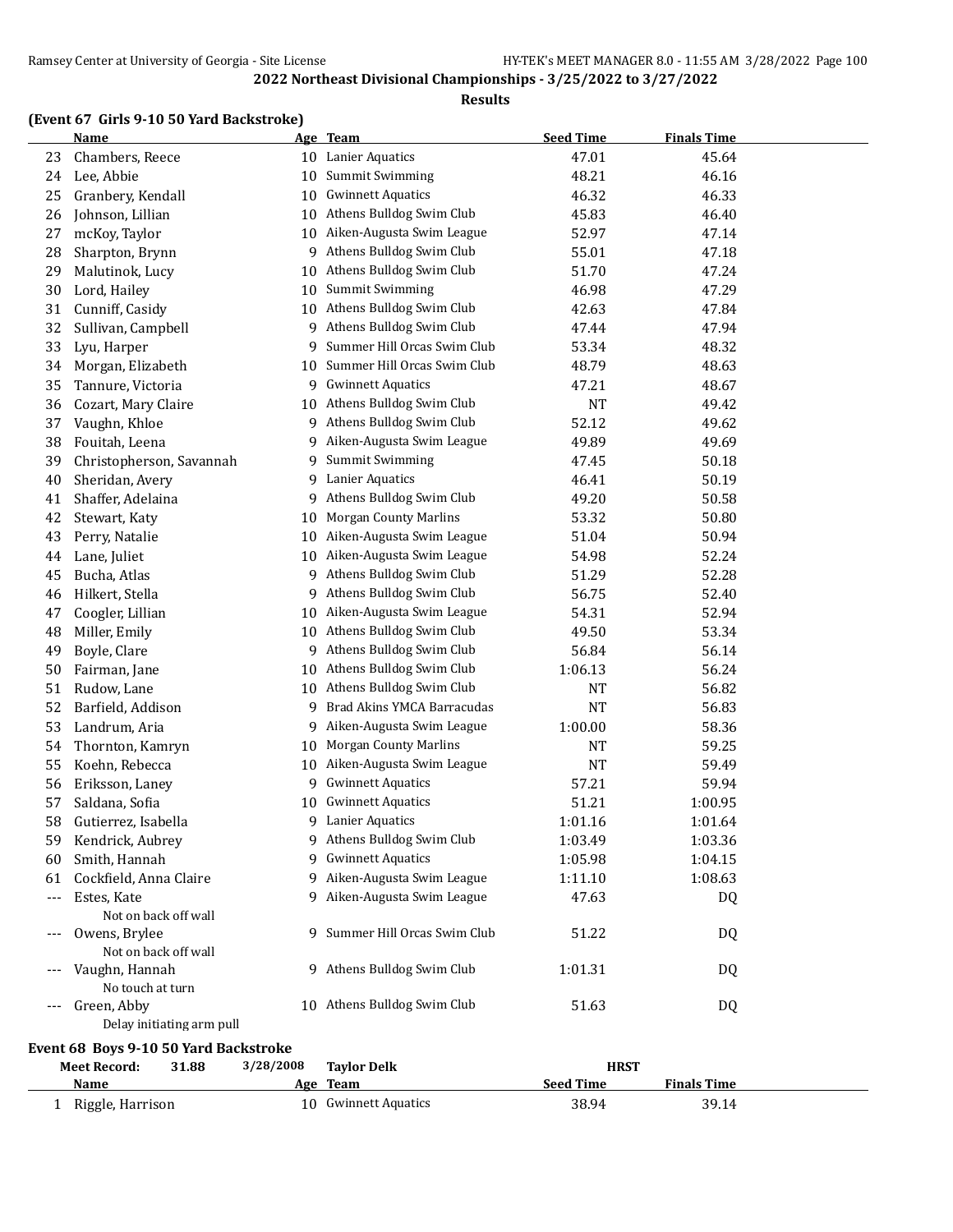#### **Results**

## **(Event 67 Girls 9-10 50 Yard Backstroke)**

|     | <b>Name</b>                              |    | Age Team                     | <b>Seed Time</b> | <b>Finals Time</b> |  |
|-----|------------------------------------------|----|------------------------------|------------------|--------------------|--|
| 23  | Chambers, Reece                          | 10 | Lanier Aquatics              | 47.01            | 45.64              |  |
| 24  | Lee, Abbie                               | 10 | <b>Summit Swimming</b>       | 48.21            | 46.16              |  |
| 25  | Granbery, Kendall                        | 10 | <b>Gwinnett Aquatics</b>     | 46.32            | 46.33              |  |
| 26  | Johnson, Lillian                         | 10 | Athens Bulldog Swim Club     | 45.83            | 46.40              |  |
| 27  | mcKoy, Taylor                            | 10 | Aiken-Augusta Swim League    | 52.97            | 47.14              |  |
| 28  | Sharpton, Brynn                          | 9  | Athens Bulldog Swim Club     | 55.01            | 47.18              |  |
| 29  | Malutinok, Lucy                          | 10 | Athens Bulldog Swim Club     | 51.70            | 47.24              |  |
| 30  | Lord, Hailey                             | 10 | Summit Swimming              | 46.98            | 47.29              |  |
| 31  | Cunniff, Casidy                          | 10 | Athens Bulldog Swim Club     | 42.63            | 47.84              |  |
| 32  | Sullivan, Campbell                       | 9  | Athens Bulldog Swim Club     | 47.44            | 47.94              |  |
| 33  | Lyu, Harper                              | 9  | Summer Hill Orcas Swim Club  | 53.34            | 48.32              |  |
| 34  | Morgan, Elizabeth                        | 10 | Summer Hill Orcas Swim Club  | 48.79            | 48.63              |  |
| 35  | Tannure, Victoria                        | 9  | <b>Gwinnett Aquatics</b>     | 47.21            | 48.67              |  |
| 36  | Cozart, Mary Claire                      | 10 | Athens Bulldog Swim Club     | <b>NT</b>        | 49.42              |  |
| 37  | Vaughn, Khloe                            | 9  | Athens Bulldog Swim Club     | 52.12            | 49.62              |  |
| 38  | Fouitah, Leena                           | 9  | Aiken-Augusta Swim League    | 49.89            | 49.69              |  |
| 39  | Christopherson, Savannah                 | 9  | Summit Swimming              | 47.45            | 50.18              |  |
| 40  | Sheridan, Avery                          | 9  | Lanier Aquatics              | 46.41            | 50.19              |  |
| 41  | Shaffer, Adelaina                        | 9  | Athens Bulldog Swim Club     | 49.20            | 50.58              |  |
| 42  | Stewart, Katy                            | 10 | <b>Morgan County Marlins</b> | 53.32            | 50.80              |  |
| 43  | Perry, Natalie                           | 10 | Aiken-Augusta Swim League    | 51.04            | 50.94              |  |
| 44  | Lane, Juliet                             | 10 | Aiken-Augusta Swim League    | 54.98            | 52.24              |  |
| 45  | Bucha, Atlas                             | 9  | Athens Bulldog Swim Club     | 51.29            | 52.28              |  |
| 46  | Hilkert, Stella                          | 9  | Athens Bulldog Swim Club     | 56.75            | 52.40              |  |
| 47  | Coogler, Lillian                         | 10 | Aiken-Augusta Swim League    | 54.31            | 52.94              |  |
| 48  | Miller, Emily                            | 10 | Athens Bulldog Swim Club     | 49.50            | 53.34              |  |
| 49  | Boyle, Clare                             | 9  | Athens Bulldog Swim Club     | 56.84            | 56.14              |  |
| 50  | Fairman, Jane                            | 10 | Athens Bulldog Swim Club     | 1:06.13          | 56.24              |  |
| 51  | Rudow, Lane                              | 10 | Athens Bulldog Swim Club     | NT               | 56.82              |  |
| 52  | Barfield, Addison                        | 9  | Brad Akins YMCA Barracudas   | <b>NT</b>        | 56.83              |  |
| 53  | Landrum, Aria                            | 9  | Aiken-Augusta Swim League    | 1:00.00          | 58.36              |  |
| 54  | Thornton, Kamryn                         | 10 | <b>Morgan County Marlins</b> | NT               | 59.25              |  |
| 55  | Koehn, Rebecca                           | 10 | Aiken-Augusta Swim League    | NT               | 59.49              |  |
| 56  | Eriksson, Laney                          | 9  | <b>Gwinnett Aquatics</b>     | 57.21            | 59.94              |  |
| 57  | Saldana, Sofia                           | 10 | <b>Gwinnett Aquatics</b>     | 51.21            | 1:00.95            |  |
| 58  | Gutierrez, Isabella                      | 9  | Lanier Aquatics              | 1:01.16          | 1:01.64            |  |
| 59  | Kendrick, Aubrey                         | 9  | Athens Bulldog Swim Club     | 1:03.49          | 1:03.36            |  |
| 60  | Smith, Hannah                            | 9  | <b>Gwinnett Aquatics</b>     | 1:05.98          | 1:04.15            |  |
| 61  | Cockfield, Anna Claire                   | 9  | Aiken-Augusta Swim League    | 1:11.10          | 1:08.63            |  |
| --- | Estes, Kate                              | 9  | Aiken-Augusta Swim League    | 47.63            | DQ                 |  |
|     | Not on back off wall                     |    |                              |                  |                    |  |
| --- | Owens, Brylee<br>Not on back off wall    | 9. | Summer Hill Orcas Swim Club  | 51.22            | DQ                 |  |
|     | Vaughn, Hannah                           |    | 9 Athens Bulldog Swim Club   | 1:01.31          |                    |  |
|     | No touch at turn                         |    |                              |                  | DQ                 |  |
| --- | Green, Abby<br>Delay initiating arm pull |    | 10 Athens Bulldog Swim Club  | 51.63            | DQ                 |  |

## **Event 68 Boys 9-10 50 Yard Backstroke**

| <b>Meet Record:</b> | 31.88 | 3/28/2008 | <b>Taylor Delk</b>   |           | <b>HRST</b>        |  |
|---------------------|-------|-----------|----------------------|-----------|--------------------|--|
| Name                |       | Age       | Team                 | Seed Time | <b>Finals Time</b> |  |
| Riggle, Harrison    |       |           | 10 Gwinnett Aquatics | 38.94     | 39.14              |  |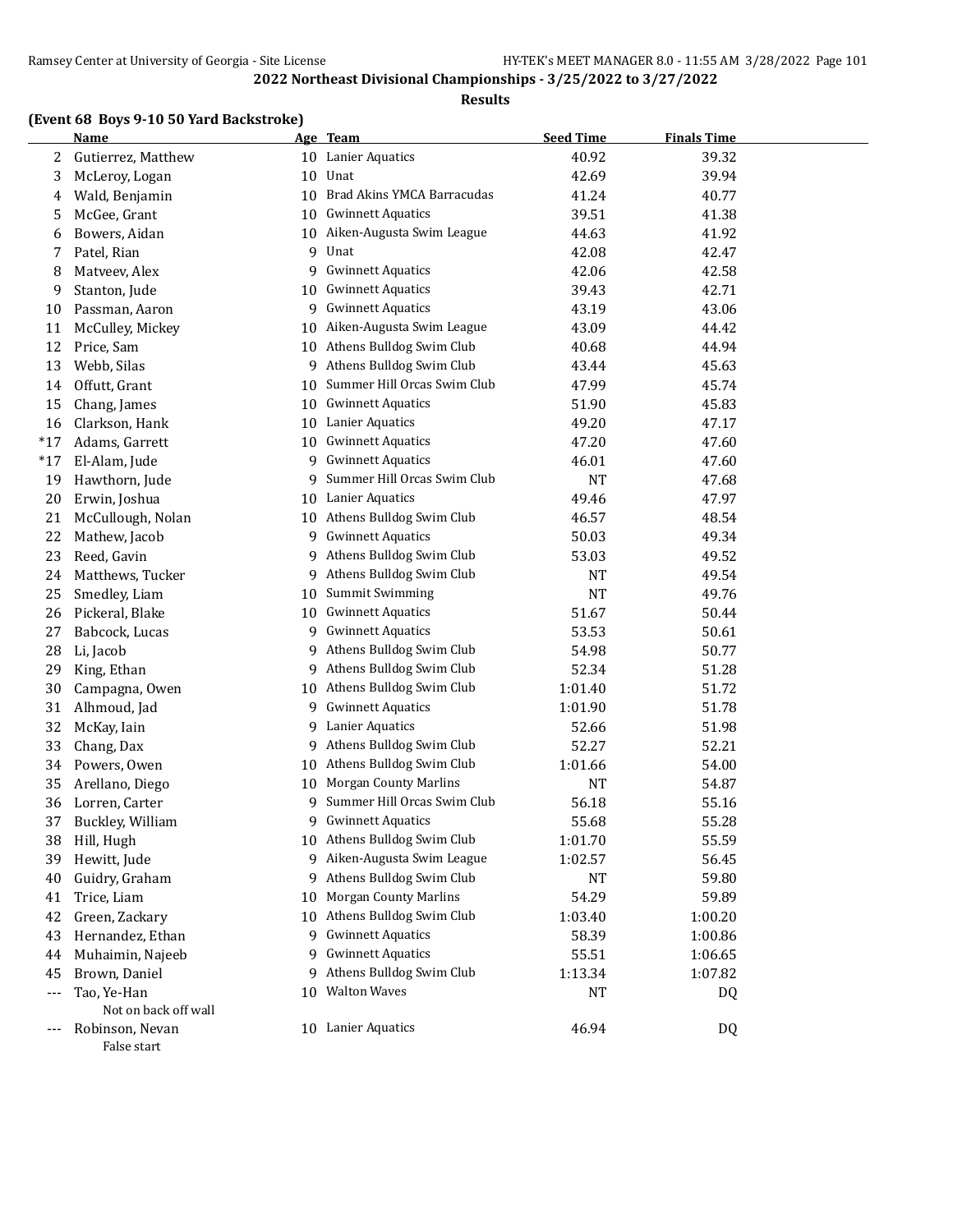#### **Results**

## **(Event 68 Boys 9-10 50 Yard Backstroke)**

|       | <b>Name</b>          |    | Age Team                     | <b>Seed Time</b> | <b>Finals Time</b> |  |
|-------|----------------------|----|------------------------------|------------------|--------------------|--|
| 2     | Gutierrez, Matthew   |    | 10 Lanier Aquatics           | 40.92            | 39.32              |  |
| 3     | McLeroy, Logan       | 10 | Unat                         | 42.69            | 39.94              |  |
| 4     | Wald, Benjamin       | 10 | Brad Akins YMCA Barracudas   | 41.24            | 40.77              |  |
| 5     | McGee, Grant         | 10 | <b>Gwinnett Aquatics</b>     | 39.51            | 41.38              |  |
| 6     | Bowers, Aidan        | 10 | Aiken-Augusta Swim League    | 44.63            | 41.92              |  |
| 7     | Patel, Rian          | 9  | Unat                         | 42.08            | 42.47              |  |
| 8     | Matveev, Alex        | 9  | <b>Gwinnett Aquatics</b>     | 42.06            | 42.58              |  |
| 9     | Stanton, Jude        | 10 | <b>Gwinnett Aquatics</b>     | 39.43            | 42.71              |  |
| 10    | Passman, Aaron       | 9  | <b>Gwinnett Aquatics</b>     | 43.19            | 43.06              |  |
| 11    | McCulley, Mickey     | 10 | Aiken-Augusta Swim League    | 43.09            | 44.42              |  |
| 12    | Price, Sam           | 10 | Athens Bulldog Swim Club     | 40.68            | 44.94              |  |
| 13    | Webb, Silas          | 9  | Athens Bulldog Swim Club     | 43.44            | 45.63              |  |
| 14    | Offutt, Grant        | 10 | Summer Hill Orcas Swim Club  | 47.99            | 45.74              |  |
| 15    | Chang, James         | 10 | <b>Gwinnett Aquatics</b>     | 51.90            | 45.83              |  |
| 16    | Clarkson, Hank       | 10 | Lanier Aquatics              | 49.20            | 47.17              |  |
| $*17$ | Adams, Garrett       | 10 | <b>Gwinnett Aquatics</b>     | 47.20            | 47.60              |  |
| $*17$ | El-Alam, Jude        | 9  | <b>Gwinnett Aquatics</b>     | 46.01            | 47.60              |  |
| 19    | Hawthorn, Jude       | 9  | Summer Hill Orcas Swim Club  | <b>NT</b>        | 47.68              |  |
| 20    | Erwin, Joshua        |    | 10 Lanier Aquatics           | 49.46            | 47.97              |  |
| 21    | McCullough, Nolan    | 10 | Athens Bulldog Swim Club     | 46.57            | 48.54              |  |
| 22    | Mathew, Jacob        | 9  | <b>Gwinnett Aquatics</b>     | 50.03            | 49.34              |  |
| 23    | Reed, Gavin          | 9  | Athens Bulldog Swim Club     | 53.03            | 49.52              |  |
| 24    | Matthews, Tucker     | 9. | Athens Bulldog Swim Club     | <b>NT</b>        | 49.54              |  |
| 25    | Smedley, Liam        | 10 | <b>Summit Swimming</b>       | <b>NT</b>        | 49.76              |  |
| 26    | Pickeral, Blake      | 10 | <b>Gwinnett Aquatics</b>     | 51.67            | 50.44              |  |
| 27    | Babcock, Lucas       | 9  | <b>Gwinnett Aquatics</b>     | 53.53            | 50.61              |  |
| 28    | Li, Jacob            | 9  | Athens Bulldog Swim Club     | 54.98            | 50.77              |  |
| 29    | King, Ethan          | 9. | Athens Bulldog Swim Club     | 52.34            | 51.28              |  |
| 30    | Campagna, Owen       | 10 | Athens Bulldog Swim Club     | 1:01.40          | 51.72              |  |
| 31    | Alhmoud, Jad         | 9  | <b>Gwinnett Aquatics</b>     | 1:01.90          | 51.78              |  |
| 32    | McKay, Iain          | 9  | Lanier Aquatics              | 52.66            | 51.98              |  |
| 33    | Chang, Dax           | 9  | Athens Bulldog Swim Club     | 52.27            | 52.21              |  |
| 34    | Powers, Owen         | 10 | Athens Bulldog Swim Club     | 1:01.66          | 54.00              |  |
| 35    | Arellano, Diego      | 10 | <b>Morgan County Marlins</b> | <b>NT</b>        | 54.87              |  |
| 36    | Lorren, Carter       | 9  | Summer Hill Orcas Swim Club  | 56.18            | 55.16              |  |
| 37    | Buckley, William     | 9. | <b>Gwinnett Aquatics</b>     | 55.68            | 55.28              |  |
| 38    | Hill, Hugh           |    | 10 Athens Bulldog Swim Club  | 1:01.70          | 55.59              |  |
| 39    | Hewitt, Jude         | 9  | Aiken-Augusta Swim League    | 1:02.57          | 56.45              |  |
| 40    | Guidry, Graham       | 9  | Athens Bulldog Swim Club     | NT               | 59.80              |  |
| 41    | Trice, Liam          | 10 | <b>Morgan County Marlins</b> | 54.29            | 59.89              |  |
| 42    | Green, Zackary       | 10 | Athens Bulldog Swim Club     | 1:03.40          | 1:00.20            |  |
| 43    | Hernandez, Ethan     | 9  | <b>Gwinnett Aquatics</b>     | 58.39            | 1:00.86            |  |
| 44    | Muhaimin, Najeeb     | 9  | <b>Gwinnett Aquatics</b>     | 55.51            | 1:06.65            |  |
| 45    | Brown, Daniel        | 9  | Athens Bulldog Swim Club     | 1:13.34          | 1:07.82            |  |
| $---$ | Tao, Ye-Han          | 10 | <b>Walton Waves</b>          | NT               | DQ                 |  |
|       | Not on back off wall |    |                              |                  |                    |  |
| $---$ | Robinson, Nevan      |    | 10 Lanier Aquatics           | 46.94            | DQ                 |  |
|       | False start          |    |                              |                  |                    |  |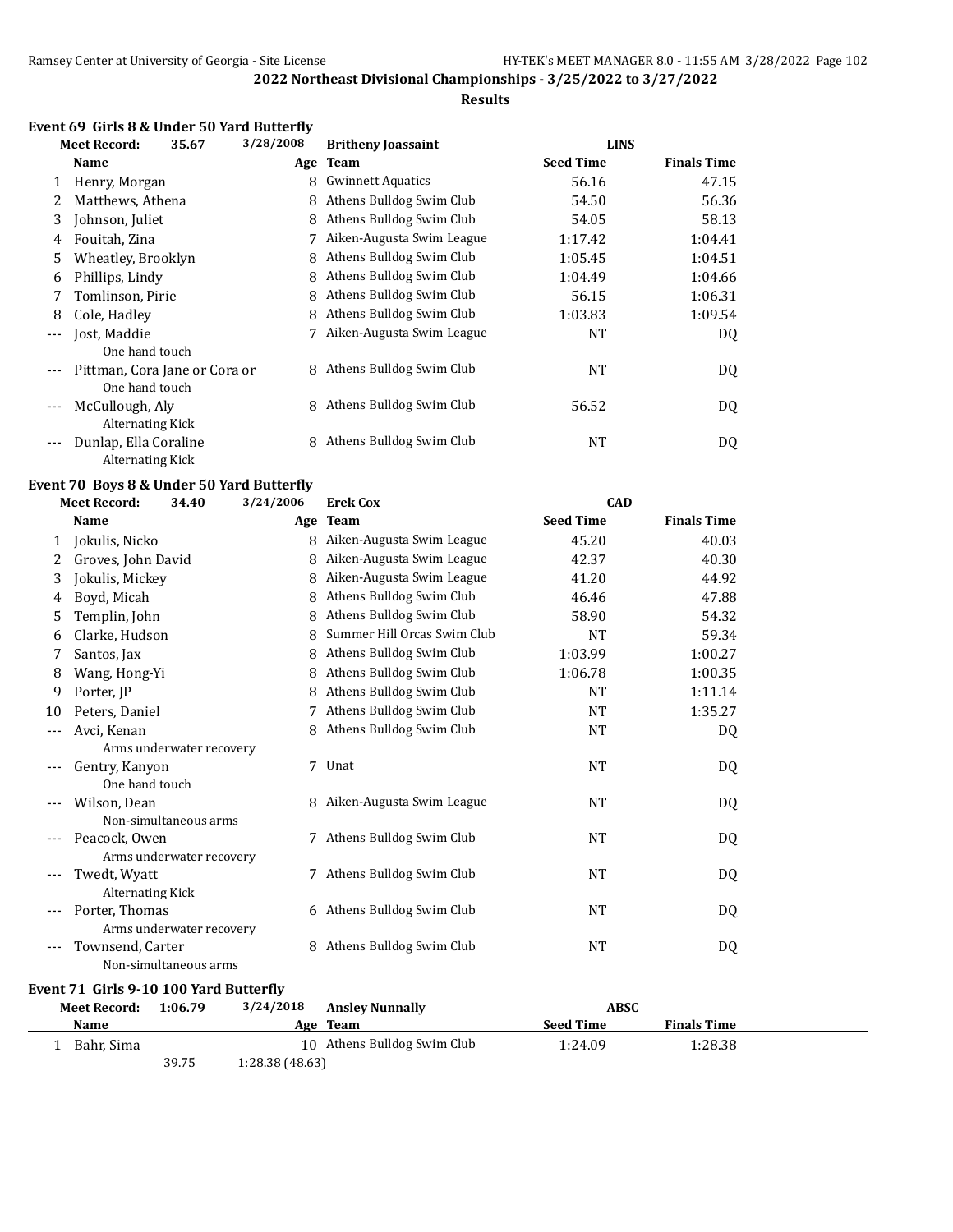#### **Results**

#### **Event 69 Girls 8 & Under 50 Yard Butterfly**

|       | <b>Meet Record:</b>                              | 35.67 | 3/28/2008 | <b>Britheny Joassaint</b> | <b>LINS</b>      |                    |  |
|-------|--------------------------------------------------|-------|-----------|---------------------------|------------------|--------------------|--|
|       | Name                                             |       |           | Age Team                  | <b>Seed Time</b> | <b>Finals Time</b> |  |
|       | Henry, Morgan                                    |       | 8         | <b>Gwinnett Aquatics</b>  | 56.16            | 47.15              |  |
| 2     | Matthews, Athena                                 |       | 8         | Athens Bulldog Swim Club  | 54.50            | 56.36              |  |
| 3     | Johnson, Juliet                                  |       | 8         | Athens Bulldog Swim Club  | 54.05            | 58.13              |  |
| 4     | Fouitah, Zina                                    |       |           | Aiken-Augusta Swim League | 1:17.42          | 1:04.41            |  |
| 5.    | Wheatley, Brooklyn                               |       | 8         | Athens Bulldog Swim Club  | 1:05.45          | 1:04.51            |  |
| 6     | Phillips, Lindy                                  |       | 8         | Athens Bulldog Swim Club  | 1:04.49          | 1:04.66            |  |
| 7     | Tomlinson, Pirie                                 |       | 8         | Athens Bulldog Swim Club  | 56.15            | 1:06.31            |  |
| 8     | Cole, Hadley                                     |       | 8         | Athens Bulldog Swim Club  | 1:03.83          | 1:09.54            |  |
| $---$ | Jost, Maddie                                     |       |           | Aiken-Augusta Swim League | NT               | DQ                 |  |
|       | One hand touch                                   |       |           |                           |                  |                    |  |
| $---$ | Pittman, Cora Jane or Cora or<br>One hand touch  |       | 8         | Athens Bulldog Swim Club  | <b>NT</b>        | DQ                 |  |
| $---$ | McCullough, Aly<br>Alternating Kick              |       | 8         | Athens Bulldog Swim Club  | 56.52            | DQ                 |  |
| $---$ | Dunlap, Ella Coraline<br><b>Alternating Kick</b> |       | 8         | Athens Bulldog Swim Club  | NT               | DQ                 |  |

#### **Event 70 Boys 8 & Under 50 Yard Butterfly**

|       | <b>Meet Record:</b>                    | 34.40                    | 3/24/2006 | <b>Erek Cox</b>             | <b>CAD</b>       |                    |  |
|-------|----------------------------------------|--------------------------|-----------|-----------------------------|------------------|--------------------|--|
|       | <b>Name</b>                            |                          |           | Age Team                    | <b>Seed Time</b> | <b>Finals Time</b> |  |
| 1     | Jokulis, Nicko                         |                          |           | 8 Aiken-Augusta Swim League | 45.20            | 40.03              |  |
| 2     | Groves, John David                     |                          | 8         | Aiken-Augusta Swim League   | 42.37            | 40.30              |  |
| 3     | Jokulis, Mickey                        |                          | 8         | Aiken-Augusta Swim League   | 41.20            | 44.92              |  |
| 4     | Boyd, Micah                            |                          | 8         | Athens Bulldog Swim Club    | 46.46            | 47.88              |  |
| 5     | Templin, John                          |                          | 8         | Athens Bulldog Swim Club    | 58.90            | 54.32              |  |
| 6     | Clarke, Hudson                         |                          | 8         | Summer Hill Orcas Swim Club | <b>NT</b>        | 59.34              |  |
| 7     | Santos, Jax                            |                          | 8         | Athens Bulldog Swim Club    | 1:03.99          | 1:00.27            |  |
| 8     | Wang, Hong-Yi                          |                          | 8         | Athens Bulldog Swim Club    | 1:06.78          | 1:00.35            |  |
| 9     | Porter, JP                             |                          | 8         | Athens Bulldog Swim Club    | <b>NT</b>        | 1:11.14            |  |
| 10    | Peters, Daniel                         |                          |           | 7 Athens Bulldog Swim Club  | <b>NT</b>        | 1:35.27            |  |
| ---   | Avci, Kenan                            |                          | 8         | Athens Bulldog Swim Club    | <b>NT</b>        | DQ                 |  |
|       |                                        | Arms underwater recovery |           |                             |                  |                    |  |
|       | Gentry, Kanyon                         |                          |           | 7 Unat                      | NT               | DQ                 |  |
|       | One hand touch                         |                          |           |                             |                  |                    |  |
|       | Wilson, Dean                           |                          |           | 8 Aiken-Augusta Swim League | <b>NT</b>        | DQ                 |  |
|       |                                        | Non-simultaneous arms    |           |                             |                  |                    |  |
| $---$ | Peacock, Owen                          |                          |           | 7 Athens Bulldog Swim Club  | <b>NT</b>        | DQ                 |  |
|       |                                        | Arms underwater recovery |           |                             |                  |                    |  |
|       | Twedt, Wyatt                           |                          |           | 7 Athens Bulldog Swim Club  | <b>NT</b>        | DQ                 |  |
|       | <b>Alternating Kick</b>                |                          |           |                             |                  |                    |  |
|       | Porter, Thomas                         |                          |           | 6 Athens Bulldog Swim Club  | NT               | DQ                 |  |
|       |                                        | Arms underwater recovery |           |                             |                  |                    |  |
|       | Townsend, Carter                       |                          |           | 8 Athens Bulldog Swim Club  | <b>NT</b>        | DQ                 |  |
|       |                                        | Non-simultaneous arms    |           |                             |                  |                    |  |
|       | Event 71 Girls 9-10 100 Yard Butterfly |                          |           |                             |                  |                    |  |
|       | <b>Meet Record:</b>                    | 1:06.79                  | 3/24/2018 | <b>Ansley Nunnally</b>      | <b>ABSC</b>      |                    |  |

| <b>Name</b> |            | Age Team                    | <b>Seed Time</b> | <b>Finals Time</b> |  |
|-------------|------------|-----------------------------|------------------|--------------------|--|
|             | Bahr, Sima | 10 Athens Bulldog Swim Club | 1:24.09          | 1:28.38            |  |
|             | 39.75      | 1:28.38(48.63)              |                  |                    |  |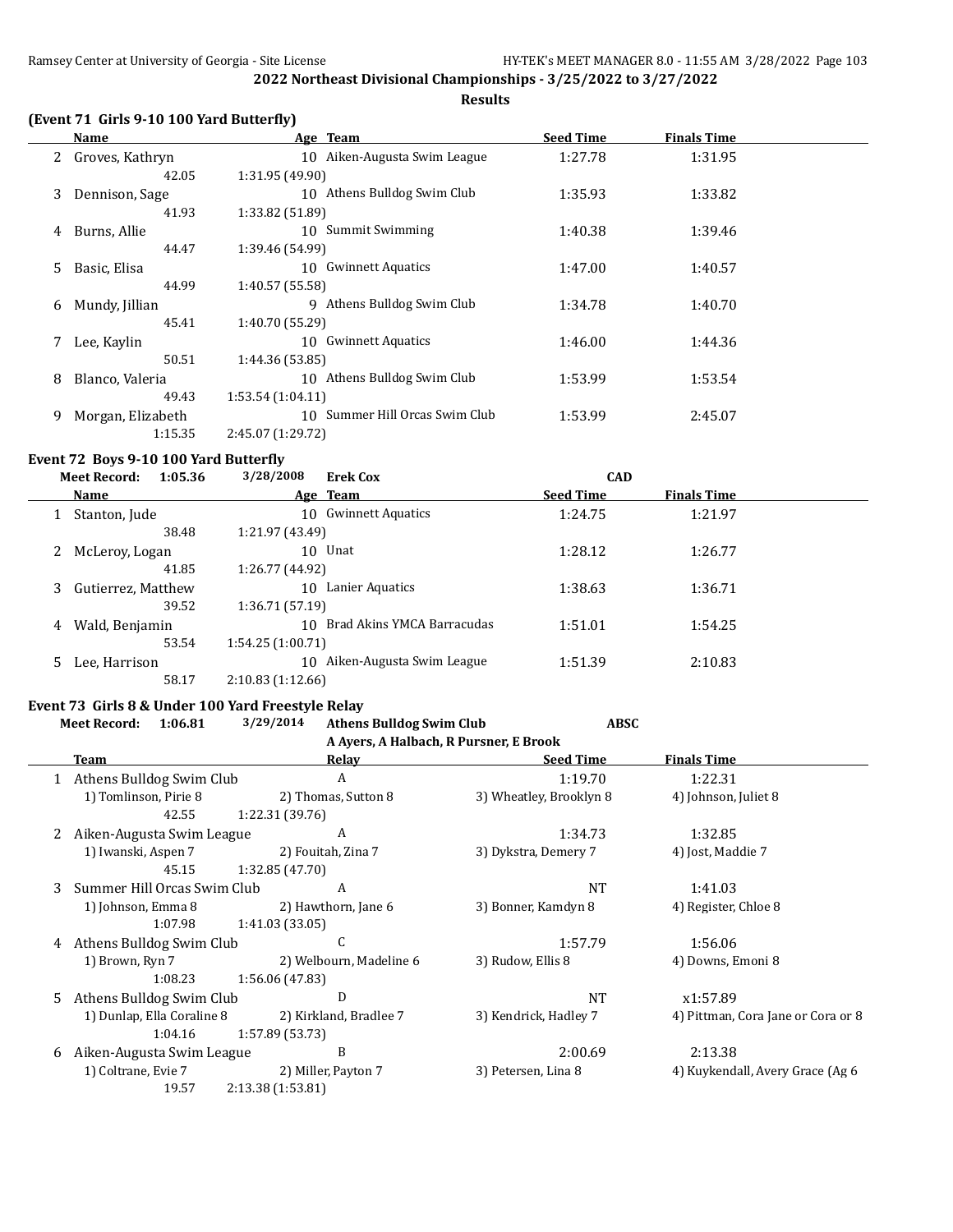**Results**

## **(Event 71 Girls 9-10 100 Yard Butterfly)**

|    | Name              | Age Team                       | <b>Seed Time</b> | <b>Finals Time</b> |  |
|----|-------------------|--------------------------------|------------------|--------------------|--|
| 2  | Groves, Kathryn   | 10 Aiken-Augusta Swim League   | 1:27.78          | 1:31.95            |  |
|    | 42.05             | 1:31.95(49.90)                 |                  |                    |  |
| 3  | Dennison, Sage    | 10 Athens Bulldog Swim Club    | 1:35.93          | 1:33.82            |  |
|    | 41.93             | 1:33.82 (51.89)                |                  |                    |  |
| 4  | Burns, Allie      | 10 Summit Swimming             | 1:40.38          | 1:39.46            |  |
|    | 44.47             | 1:39.46 (54.99)                |                  |                    |  |
| 5. | Basic, Elisa      | 10 Gwinnett Aquatics           | 1:47.00          | 1:40.57            |  |
|    | 44.99             | 1:40.57 (55.58)                |                  |                    |  |
| 6  | Mundy, Jillian    | Athens Bulldog Swim Club<br>9  | 1:34.78          | 1:40.70            |  |
|    | 45.41             | 1:40.70 (55.29)                |                  |                    |  |
| 7  | Lee, Kaylin       | 10 Gwinnett Aquatics           | 1:46.00          | 1:44.36            |  |
|    | 50.51             | 1:44.36 (53.85)                |                  |                    |  |
| 8  | Blanco, Valeria   | 10 Athens Bulldog Swim Club    | 1:53.99          | 1:53.54            |  |
|    | 49.43             | 1:53.54(1:04.11)               |                  |                    |  |
| 9  | Morgan, Elizabeth | 10 Summer Hill Orcas Swim Club | 1:53.99          | 2:45.07            |  |
|    | 1:15.35           | 2:45.07 (1:29.72)              |                  |                    |  |

## **Event 72 Boys 9-10 100 Yard Butterfly<br>Meet Becord: 1:05.36 3/28/2008**

|   | 1:05.36<br><b>Meet Record:</b> | 3/28/2008<br><b>Erek Cox</b>     | <b>CAD</b>       |                    |  |
|---|--------------------------------|----------------------------------|------------------|--------------------|--|
|   | Name                           | Age Team                         | <b>Seed Time</b> | <b>Finals Time</b> |  |
|   | Stanton, Jude                  | <b>Gwinnett Aquatics</b><br>10   | 1:24.75          | 1:21.97            |  |
|   | 38.48                          | 1:21.97 (43.49)                  |                  |                    |  |
|   | McLeroy, Logan                 | 10 Unat                          | 1:28.12          | 1:26.77            |  |
|   | 41.85                          | 1:26.77 (44.92)                  |                  |                    |  |
| 3 | Gutierrez, Matthew             | Lanier Aquatics<br>10            | 1:38.63          | 1:36.71            |  |
|   | 39.52                          | 1:36.71 (57.19)                  |                  |                    |  |
| 4 | Wald, Benjamin                 | Brad Akins YMCA Barracudas<br>10 | 1:51.01          | 1:54.25            |  |
|   | 53.54                          | 1:54.25(1:00.71)                 |                  |                    |  |
|   | Lee, Harrison                  | Aiken-Augusta Swim League<br>10  | 1:51.39          | 2:10.83            |  |
|   | 58.17                          | 2:10.83(1:12.66)                 |                  |                    |  |

# **Event 73 Girls 8 & Under 100 Yard Freestyle Relay**

|    | 1:06.81<br><b>Meet Record:</b> | 3/29/2014         | <b>Athens Bulldog Swim Club</b>        |                         | <b>ABSC</b> |                                    |  |
|----|--------------------------------|-------------------|----------------------------------------|-------------------------|-------------|------------------------------------|--|
|    |                                |                   | A Ayers, A Halbach, R Pursner, E Brook |                         |             |                                    |  |
|    | Team                           |                   | Relay                                  | <b>Seed Time</b>        |             | <b>Finals Time</b>                 |  |
|    | Athens Bulldog Swim Club       |                   | A                                      | 1:19.70                 |             | 1:22.31                            |  |
|    | 1) Tomlinson, Pirie 8          |                   | 2) Thomas, Sutton 8                    | 3) Wheatley, Brooklyn 8 |             | 4) Johnson, Juliet 8               |  |
|    | 42.55                          | 1:22.31 (39.76)   |                                        |                         |             |                                    |  |
|    | Aiken-Augusta Swim League      |                   | A                                      | 1:34.73                 |             | 1:32.85                            |  |
|    | 1) Iwanski, Aspen 7            |                   | 2) Fouitah, Zina 7                     | 3) Dykstra, Demery 7    |             | 4) Jost, Maddie 7                  |  |
|    | 45.15                          | 1:32.85(47.70)    |                                        |                         |             |                                    |  |
| 3. | Summer Hill Orcas Swim Club    |                   | A                                      |                         | <b>NT</b>   | 1:41.03                            |  |
|    | 1) Johnson, Emma 8             |                   | 2) Hawthorn, Jane 6                    | 3) Bonner, Kamdyn 8     |             | 4) Register, Chloe 8               |  |
|    | 1:07.98                        | 1:41.03 (33.05)   |                                        |                         |             |                                    |  |
| 4  | Athens Bulldog Swim Club       |                   | C                                      | 1:57.79                 |             | 1:56.06                            |  |
|    | 1) Brown, Ryn 7                |                   | 2) Welbourn, Madeline 6                | 3) Rudow, Ellis 8       |             | 4) Downs, Emoni 8                  |  |
|    | 1:08.23                        | 1:56.06 (47.83)   |                                        |                         |             |                                    |  |
| 5. | Athens Bulldog Swim Club       |                   | D                                      |                         | <b>NT</b>   | x1:57.89                           |  |
|    | 1) Dunlap, Ella Coraline 8     |                   | 2) Kirkland, Bradlee 7                 | 3) Kendrick, Hadley 7   |             | 4) Pittman, Cora Jane or Cora or 8 |  |
|    | 1:04.16                        | 1:57.89(53.73)    |                                        |                         |             |                                    |  |
| 6  | Aiken-Augusta Swim League      |                   | B                                      | 2:00.69                 |             | 2:13.38                            |  |
|    | 1) Coltrane, Evie 7            |                   | 2) Miller, Payton 7                    | 3) Petersen, Lina 8     |             | 4) Kuykendall, Avery Grace (Ag 6   |  |
|    | 19.57                          | 2:13.38 (1:53.81) |                                        |                         |             |                                    |  |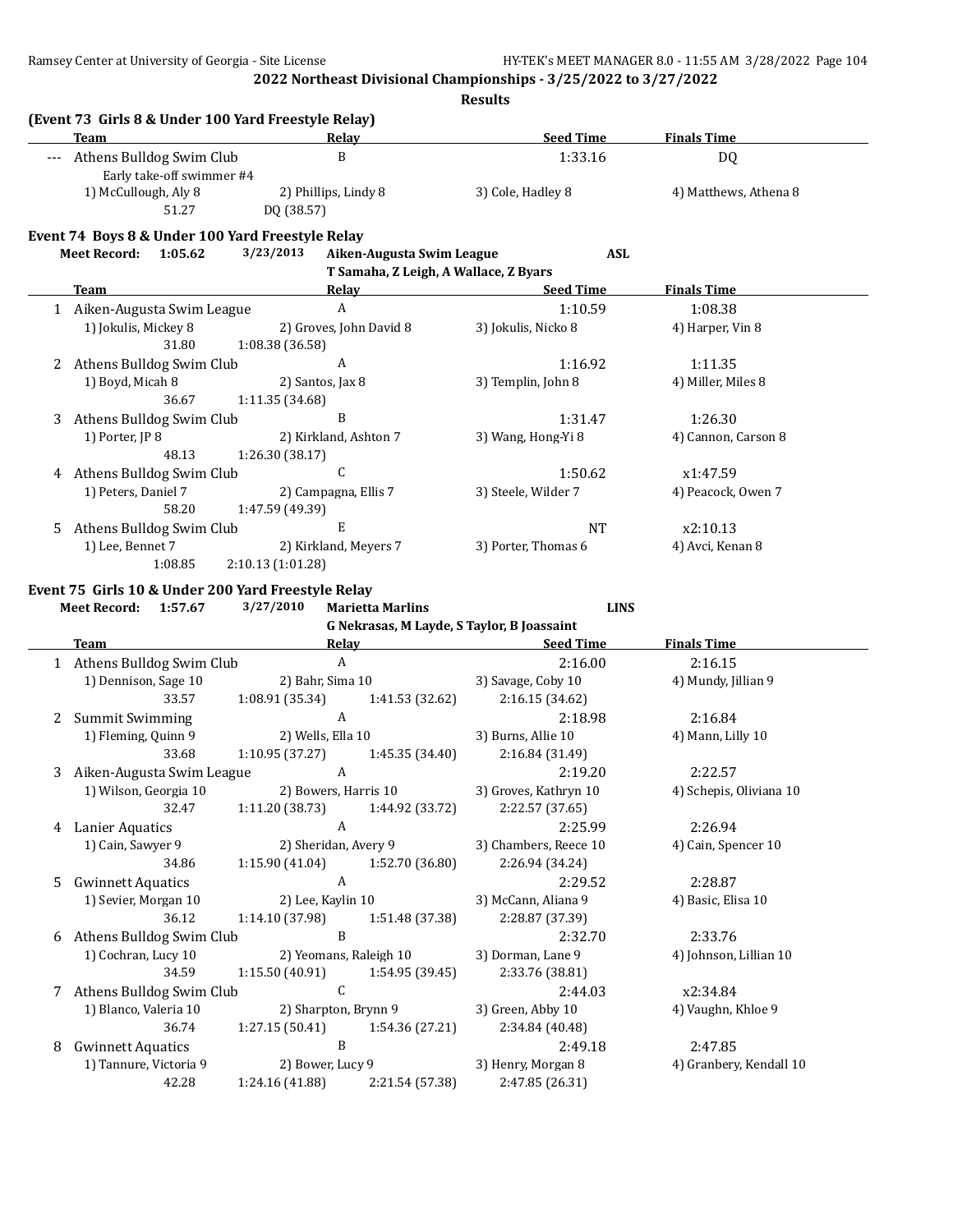|   | Team                                                | Relay                                      | <b>Seed Time</b>                      | <b>Finals Time</b>      |
|---|-----------------------------------------------------|--------------------------------------------|---------------------------------------|-------------------------|
|   | --- Athens Bulldog Swim Club                        | $\, {\bf B}$                               | 1:33.16                               | DQ                      |
|   | Early take-off swimmer #4                           |                                            |                                       |                         |
|   | 1) McCullough, Aly 8                                | 2) Phillips, Lindy 8                       | 3) Cole, Hadley 8                     | 4) Matthews, Athena 8   |
|   | 51.27                                               | DQ (38.57)                                 |                                       |                         |
|   | Event 74 Boys 8 & Under 100 Yard Freestyle Relay    |                                            |                                       |                         |
|   | Meet Record: 1:05.62                                | 3/23/2013<br>Aiken-Augusta Swim League     | <b>ASL</b>                            |                         |
|   |                                                     | T Samaha, Z Leigh, A Wallace, Z Byars      |                                       |                         |
|   | <b>Team</b>                                         | Relay                                      | <b>Seed Time</b>                      | <b>Finals Time</b>      |
|   | 1 Aiken-Augusta Swim League<br>1) Jokulis, Mickey 8 | $\mathbf{A}$<br>2) Groves, John David 8    | 1:10.59                               | 1:08.38                 |
|   | 31.80                                               | 1:08.38 (36.58)                            | 3) Jokulis, Nicko 8                   | 4) Harper, Vin 8        |
| 2 | Athens Bulldog Swim Club                            | A                                          | 1:16.92                               | 1:11.35                 |
|   | 1) Boyd, Micah 8                                    | 2) Santos, Jax 8                           | 3) Templin, John 8                    | 4) Miller, Miles 8      |
|   | 36.67                                               | 1:11.35 (34.68)                            |                                       |                         |
| 3 | Athens Bulldog Swim Club                            | $\mathbf{B}$                               | 1:31.47                               | 1:26.30                 |
|   | 1) Porter, JP 8                                     | 2) Kirkland, Ashton 7                      | 3) Wang, Hong-Yi 8                    | 4) Cannon, Carson 8     |
|   | 48.13                                               | 1:26.30 (38.17)                            |                                       |                         |
|   | 4 Athens Bulldog Swim Club                          | $\mathsf{C}$                               | 1:50.62                               | x1:47.59                |
|   | 1) Peters, Daniel 7                                 | 2) Campagna, Ellis 7                       | 3) Steele, Wilder 7                   | 4) Peacock, Owen 7      |
|   | 58.20                                               | 1:47.59 (49.39)                            |                                       |                         |
| 5 | Athens Bulldog Swim Club                            | E                                          | NT                                    | x2:10.13                |
|   | 1) Lee, Bennet 7                                    | 2) Kirkland, Meyers 7                      | 3) Porter, Thomas 6                   | 4) Avci, Kenan 8        |
|   | 1:08.85                                             | 2:10.13 (1:01.28)                          |                                       |                         |
|   | Event 75 Girls 10 & Under 200 Yard Freestyle Relay  |                                            |                                       |                         |
|   | Meet Record: 1:57.67                                | 3/27/2010<br><b>Marietta Marlins</b>       | <b>LINS</b>                           |                         |
|   |                                                     |                                            |                                       |                         |
|   |                                                     | G Nekrasas, M Layde, S Taylor, B Joassaint |                                       |                         |
|   | <b>Team</b>                                         | Relay Relay                                | <b>Seed Time</b>                      | <b>Finals Time</b>      |
|   | 1 Athens Bulldog Swim Club                          | $\mathbf{A}$                               | 2:16.00                               | 2:16.15                 |
|   | 1) Dennison, Sage 10                                | 2) Bahr, Sima 10                           | 3) Savage, Coby 10                    | 4) Mundy, Jillian 9     |
|   | 33.57                                               | 1:08.91(35.34)<br>1:41.53 (32.62)          | 2:16.15 (34.62)                       |                         |
|   | 2 Summit Swimming                                   | $\boldsymbol{A}$                           | 2:18.98                               | 2:16.84                 |
|   | 1) Fleming, Quinn 9<br>33.68                        | 2) Wells, Ella 10<br>1:45.35 (34.40)       | 3) Burns, Allie 10<br>2:16.84 (31.49) | 4) Mann, Lilly 10       |
| 3 | Aiken-Augusta Swim League                           | 1:10.95 (37.27)<br>$\mathbf{A}$            | 2:19.20                               | 2:22.57                 |
|   | 1) Wilson, Georgia 10                               | 2) Bowers, Harris 10                       | 3) Groves, Kathryn 10                 | 4) Schepis, Oliviana 10 |
|   | 32.47                                               | $1:11.20(38.73)$ $1:44.92(33.72)$          | 2:22.57 (37.65)                       |                         |
|   | 4 Lanier Aquatics                                   | A                                          | 2:25.99                               | 2:26.94                 |
|   | 1) Cain, Sawyer 9                                   | 2) Sheridan, Avery 9                       | 3) Chambers, Reece 10                 | 4) Cain, Spencer 10     |
|   | 34.86                                               | 1:15.90(41.04)<br>1:52.70 (36.80)          | 2:26.94 (34.24)                       |                         |
| 5 | <b>Gwinnett Aquatics</b>                            | A                                          | 2:29.52                               | 2:28.87                 |
|   | 1) Sevier, Morgan 10                                | 2) Lee, Kaylin 10                          | 3) McCann, Aliana 9                   | 4) Basic, Elisa 10      |
|   | 36.12                                               | 1:14.10 (37.98)<br>1:51.48 (37.38)         | 2:28.87 (37.39)                       |                         |
| 6 | Athens Bulldog Swim Club                            | B                                          | 2:32.70                               | 2:33.76                 |
|   | 1) Cochran, Lucy 10                                 | 2) Yeomans, Raleigh 10                     | 3) Dorman, Lane 9                     | 4) Johnson, Lillian 10  |
|   | 34.59                                               | 1:15.50(40.91)<br>1:54.95 (39.45)          | 2:33.76 (38.81)                       |                         |
| 7 | Athens Bulldog Swim Club                            | C                                          | 2:44.03                               | x2:34.84                |
|   | 1) Blanco, Valeria 10                               | 2) Sharpton, Brynn 9                       | 3) Green, Abby 10                     | 4) Vaughn, Khloe 9      |
|   | 36.74                                               | 1:54.36 (27.21)<br>1:27.15(50.41)          | 2:34.84 (40.48)                       |                         |
| 8 | <b>Gwinnett Aquatics</b>                            | B                                          | 2:49.18                               | 2:47.85                 |
|   | 1) Tannure, Victoria 9                              | 2) Bower, Lucy 9                           | 3) Henry, Morgan 8                    | 4) Granbery, Kendall 10 |
|   | 42.28                                               | 2:21.54 (57.38)<br>1:24.16 (41.88)         | 2:47.85 (26.31)                       |                         |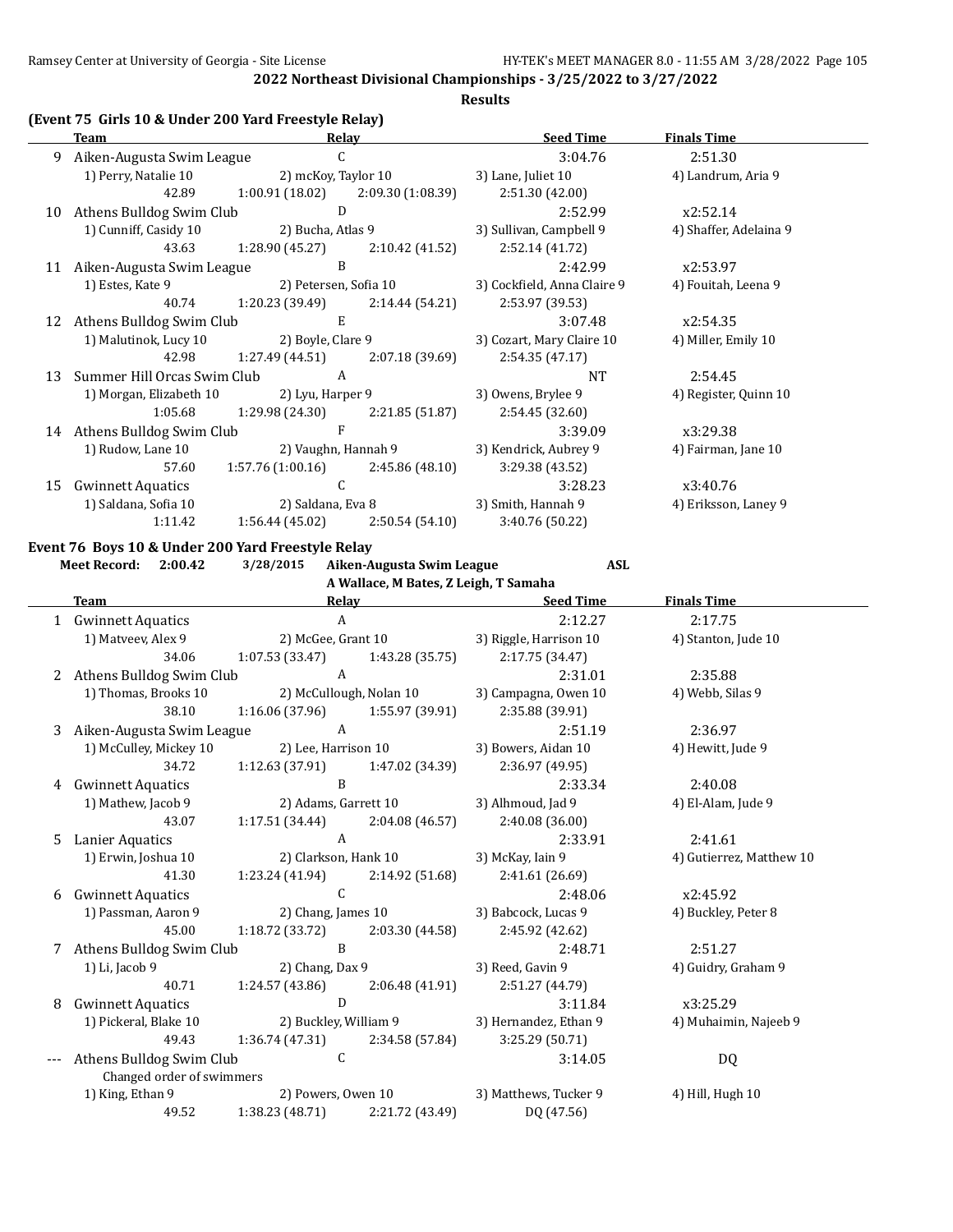#### **Results**

## **(Event 75 Girls 10 & Under 200 Yard Freestyle Relay)**

|    | Team                                     | Relav                               |                       | <b>Seed Time</b>            | <b>Finals Time</b>     |  |
|----|------------------------------------------|-------------------------------------|-----------------------|-----------------------------|------------------------|--|
| 9  | Aiken-Augusta Swim League                | C                                   |                       | 3:04.76                     | 2:51.30                |  |
|    | 1) Perry, Natalie 10                     | 2) mcKoy, Taylor 10                 |                       | 3) Lane, Juliet 10          | 4) Landrum, Aria 9     |  |
|    | 42.89                                    | $1:00.91(18.02)$ $2:09.30(1:08.39)$ |                       | 2:51.30 (42.00)             |                        |  |
| 10 | Athens Bulldog Swim Club                 | D                                   |                       | 2:52.99                     | x2:52.14               |  |
|    | 1) Cunniff, Casidy 10                    | 2) Bucha, Atlas 9                   |                       | 3) Sullivan, Campbell 9     | 4) Shaffer, Adelaina 9 |  |
|    | 43.63                                    | 1:28.90 (45.27)                     | 2:10.42 (41.52)       | 2:52.14 (41.72)             |                        |  |
| 11 | Aiken-Augusta Swim League                | B                                   |                       | 2:42.99                     | x2:53.97               |  |
|    | 1) Estes, Kate 9                         | 2) Petersen, Sofia 10               |                       | 3) Cockfield, Anna Claire 9 | 4) Fouitah, Leena 9    |  |
|    | 40.74                                    | 1:20.23 (39.49)                     | 2:14.44 (54.21)       | 2:53.97 (39.53)             |                        |  |
| 12 | Athens Bulldog Swim Club<br>Ε            |                                     |                       | 3:07.48                     | x2:54.35               |  |
|    | 1) Malutinok, Lucy 10                    | 2) Boyle, Clare 9                   |                       | 3) Cozart, Mary Claire 10   | 4) Miller, Emily 10    |  |
|    | 42.98                                    | 1:27.49 (44.51)                     | 2:07.18(39.69)        | 2:54.35(47.17)              |                        |  |
| 13 | Summer Hill Orcas Swim Club              | A                                   |                       | <b>NT</b>                   | 2:54.45                |  |
|    | 1) Morgan, Elizabeth 10                  | 2) Lyu, Harper 9                    |                       | 3) Owens, Brylee 9          | 4) Register, Quinn 10  |  |
|    | 1:05.68                                  | 1:29.98 (24.30)                     | 2:21.85(51.87)        | 2:54.45(32.60)              |                        |  |
| 14 | Athens Bulldog Swim Club                 | $\mathbf{F}$                        |                       | 3:39.09                     | x3:29.38               |  |
|    | 1) Rudow, Lane 10<br>2) Vaughn, Hannah 9 |                                     | 3) Kendrick, Aubrey 9 | 4) Fairman, Jane 10         |                        |  |
|    | 57.60                                    | 1:57.76(1:00.16)                    | 2:45.86 (48.10)       | 3:29.38 (43.52)             |                        |  |
| 15 | <b>Gwinnett Aquatics</b>                 | C                                   |                       | 3:28.23                     | x3:40.76               |  |
|    | 1) Saldana, Sofia 10                     | 2) Saldana, Eva 8                   |                       | 3) Smith, Hannah 9          | 4) Eriksson, Laney 9   |  |
|    | 1:11.42                                  | 1:56.44(45.02)                      | 2:50.54(54.10)        | 3:40.76 (50.22)             |                        |  |

**Event 76 Boys 10 & Under 200 Yard Freestyle Relay**

|   | Meet Record: 2:00.42     |                           | 3/28/2015                      | Aiken-Augusta Swim League             | <b>ASL</b>                                          |                          |
|---|--------------------------|---------------------------|--------------------------------|---------------------------------------|-----------------------------------------------------|--------------------------|
|   |                          |                           |                                | A Wallace, M Bates, Z Leigh, T Samaha |                                                     |                          |
|   | <b>Team</b>              |                           | Relay                          |                                       | <b>Seed Time</b>                                    | <b>Finals Time</b>       |
|   | 1 Gwinnett Aquatics      |                           | $\mathbf{A}$                   |                                       | 2:12.27                                             | 2:17.75                  |
|   | 1) Matveev, Alex 9       |                           |                                |                                       | 2) McGee, Grant 10 3) Riggle, Harrison 10           | 4) Stanton, Jude 10      |
|   |                          | 34.06                     |                                |                                       | $1:07.53(33.47)$ $1:43.28(35.75)$ $2:17.75(34.47)$  |                          |
| 2 | Athens Bulldog Swim Club |                           | $\overline{A}$                 |                                       | 2:31.01                                             | 2:35.88                  |
|   | 1) Thomas, Brooks 10     |                           |                                | 2) McCullough, Nolan 10               | 3) Campagna, Owen 10                                | 4) Webb, Silas 9         |
|   |                          | 38.10                     |                                | $1:16.06(37.96)$ $1:55.97(39.91)$     | 2:35.88 (39.91)                                     |                          |
| 3 |                          |                           | A<br>Aiken-Augusta Swim League |                                       | 2:51.19                                             | 2:36.97                  |
|   | 1) McCulley, Mickey 10   |                           | 2) Lee, Harrison 10            |                                       | 3) Bowers, Aidan 10                                 | 4) Hewitt, Jude 9        |
|   |                          | 34.72                     |                                |                                       | 1:12.63 (37.91) 1:47.02 (34.39) 2:36.97 (49.95)     |                          |
|   | 4 Gwinnett Aquatics      |                           | <sub>B</sub>                   |                                       | 2:33.34                                             | 2:40.08                  |
|   | 1) Mathew, Jacob 9       |                           |                                |                                       | 2) Adams, Garrett 10 3) Alhmoud, Jad 9              | 4) El-Alam, Jude 9       |
|   |                          | 43.07                     |                                |                                       | $1:17.51(34.44)$ $2:04.08(46.57)$ $2:40.08(36.00)$  |                          |
|   | 5 Lanier Aquatics        |                           | $\overline{A}$                 |                                       | 2:33.91                                             | 2:41.61                  |
|   | 1) Erwin, Joshua 10      |                           |                                |                                       | 2) Clarkson, Hank 10 3) McKay, Iain 9               | 4) Gutierrez, Matthew 10 |
|   |                          | 41.30                     |                                | $1:23.24(41.94)$ $2:14.92(51.68)$     | 2:41.61 (26.69)                                     |                          |
|   | 6 Gwinnett Aquatics      |                           | $\mathcal{C}$                  |                                       | 2:48.06                                             | x2:45.92                 |
|   | 1) Passman, Aaron 9      |                           |                                | 2) Chang, James 10                    | 3) Babcock, Lucas 9                                 | 4) Buckley, Peter 8      |
|   |                          | 45.00                     |                                |                                       | 1:18.72 (33.72) $2:03.30$ (44.58) $2:45.92$ (42.62) |                          |
| 7 | Athens Bulldog Swim Club |                           | $\overline{B}$                 |                                       | 2:48.71                                             | 2:51.27                  |
|   | 1) Li, Jacob 9           |                           |                                | 2) Chang, Dax 9                       | 3) Reed, Gavin 9                                    | 4) Guidry, Graham 9      |
|   |                          | 40.71                     |                                |                                       | $1:24.57(43.86)$ $2:06.48(41.91)$ $2:51.27(44.79)$  |                          |
| 8 | <b>Gwinnett Aquatics</b> |                           | D                              |                                       | 3:11.84                                             | x3:25.29                 |
|   | 1) Pickeral, Blake 10    |                           | 2) Buckley, William 9          |                                       | 3) Hernandez, Ethan 9                               | 4) Muhaimin, Najeeb 9    |
|   |                          | 49.43                     |                                | $1:36.74(47.31)$ $2:34.58(57.84)$     | 3:25.29(50.71)                                      |                          |
|   | Athens Bulldog Swim Club |                           | $\overline{C}$                 |                                       | 3:14.05                                             | DQ                       |
|   |                          | Changed order of swimmers |                                |                                       |                                                     |                          |
|   | 1) King, Ethan 9         |                           |                                |                                       | 2) Powers, Owen 10 3) Matthews, Tucker 9            | 4) Hill, Hugh 10         |
|   |                          | 49.52                     |                                |                                       | 1:38.23 (48.71) 2:21.72 (43.49) DQ (47.56)          |                          |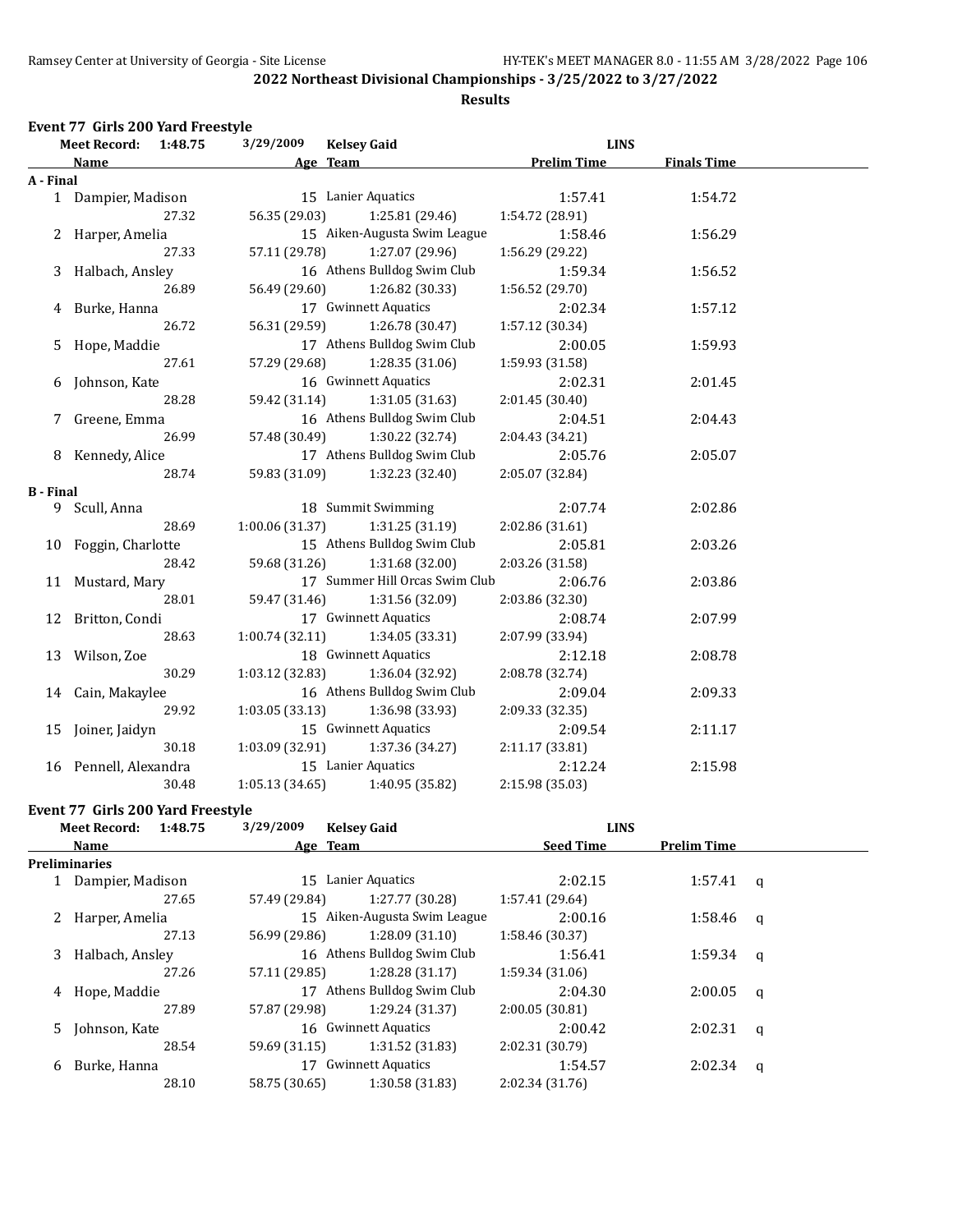#### **Results**

#### **Event 77 Girls 200 Yard Freestyle**

|                  | <b>Meet Record:</b><br>1:48.75 |       | 3/29/2009<br><b>Kelsey Gaid</b> |                                | <b>LINS</b>        |                    |  |
|------------------|--------------------------------|-------|---------------------------------|--------------------------------|--------------------|--------------------|--|
|                  | Name                           |       |                                 | Age Team                       | <b>Prelim Time</b> | <b>Finals Time</b> |  |
| A - Final        |                                |       |                                 |                                |                    |                    |  |
|                  | 1 Dampier, Madison             |       |                                 | 15 Lanier Aquatics             | 1:57.41            | 1:54.72            |  |
|                  |                                | 27.32 | 56.35 (29.03)                   | 1:25.81 (29.46)                | 1:54.72 (28.91)    |                    |  |
|                  | 2 Harper, Amelia               |       |                                 | 15 Aiken-Augusta Swim League   | 1:58.46            | 1:56.29            |  |
|                  |                                | 27.33 | 57.11 (29.78)                   | 1:27.07 (29.96)                | 1:56.29 (29.22)    |                    |  |
| 3                | Halbach, Ansley                |       |                                 | 16 Athens Bulldog Swim Club    | 1:59.34            | 1:56.52            |  |
|                  |                                | 26.89 | 56.49 (29.60)                   | 1:26.82 (30.33)                | 1:56.52 (29.70)    |                    |  |
|                  | 4 Burke, Hanna                 |       |                                 | 17 Gwinnett Aquatics           | 2:02.34            | 1:57.12            |  |
|                  |                                | 26.72 | 56.31 (29.59)                   | 1:26.78 (30.47)                | 1:57.12 (30.34)    |                    |  |
|                  | Hope, Maddie                   |       |                                 | 17 Athens Bulldog Swim Club    | 2:00.05            | 1:59.93            |  |
|                  |                                | 27.61 | 57.29 (29.68)                   | 1:28.35 (31.06)                | 1:59.93 (31.58)    |                    |  |
|                  | Johnson, Kate                  |       |                                 | 16 Gwinnett Aquatics           | 2:02.31            | 2:01.45            |  |
|                  |                                | 28.28 | 59.42 (31.14)                   | 1:31.05(31.63)                 | 2:01.45 (30.40)    |                    |  |
|                  | Greene, Emma                   |       |                                 | 16 Athens Bulldog Swim Club    | 2:04.51            | 2:04.43            |  |
|                  |                                | 26.99 | 57.48 (30.49)                   | 1:30.22 (32.74)                | 2:04.43 (34.21)    |                    |  |
|                  | 8 Kennedy, Alice               |       | 17 Athens Bulldog Swim Club     |                                | 2:05.76            | 2:05.07            |  |
|                  |                                | 28.74 | 59.83 (31.09)                   | 1:32.23 (32.40)                | 2:05.07 (32.84)    |                    |  |
| <b>B</b> - Final |                                |       |                                 |                                |                    |                    |  |
|                  | 9 Scull, Anna                  |       |                                 | 18 Summit Swimming             | 2:07.74            | 2:02.86            |  |
|                  |                                | 28.69 | 1:00.06 (31.37)                 | 1:31.25 (31.19)                | 2:02.86 (31.61)    |                    |  |
|                  | 10 Foggin, Charlotte           |       |                                 | 15 Athens Bulldog Swim Club    | 2:05.81            | 2:03.26            |  |
|                  |                                | 28.42 | 59.68 (31.26)                   | 1:31.68 (32.00)                | 2:03.26 (31.58)    |                    |  |
|                  | 11 Mustard, Mary               |       |                                 | 17 Summer Hill Orcas Swim Club | 2:06.76            | 2:03.86            |  |
|                  |                                | 28.01 | 59.47 (31.46)                   | 1:31.56 (32.09)                | 2:03.86 (32.30)    |                    |  |
|                  | 12 Britton, Condi              |       |                                 | 17 Gwinnett Aquatics           | 2:08.74            | 2:07.99            |  |
|                  |                                | 28.63 | 1:00.74(32.11)                  | 1:34.05 (33.31)                | 2:07.99 (33.94)    |                    |  |
|                  | 13 Wilson, Zoe                 |       |                                 | 18 Gwinnett Aquatics           | 2:12.18            | 2:08.78            |  |
|                  |                                | 30.29 | 1:03.12 (32.83)                 | 1:36.04 (32.92)                | 2:08.78 (32.74)    |                    |  |
|                  | 14 Cain, Makaylee              |       |                                 | 16 Athens Bulldog Swim Club    | 2:09.04            | 2:09.33            |  |
|                  |                                | 29.92 | 1:03.05(33.13)                  | 1:36.98 (33.93)                | 2:09.33 (32.35)    |                    |  |
|                  | 15 Joiner, Jaidyn              |       |                                 | 15 Gwinnett Aquatics           | 2:09.54            | 2:11.17            |  |
|                  |                                | 30.18 | 1:03.09(32.91)                  | 1:37.36 (34.27)                | 2:11.17 (33.81)    |                    |  |
|                  | 16 Pennell, Alexandra          |       |                                 | 15 Lanier Aquatics             | 2:12.24            | 2:15.98            |  |
|                  |                                | 30.48 | 1:05.13(34.65)                  | 1:40.95 (35.82)                | 2:15.98 (35.03)    |                    |  |
|                  |                                |       |                                 |                                |                    |                    |  |

## **Event 77 Girls 200 Yard Freestyle**<br>Meet Record: 1:48.75 3/3

| Meet Record: 1:48.75 |                  | 3/29/2009<br><b>Kelsey Gaid</b> |                              | <b>LINS</b>      |                    |              |
|----------------------|------------------|---------------------------------|------------------------------|------------------|--------------------|--------------|
|                      | Name             | Age Team                        |                              | <b>Seed Time</b> | <b>Prelim Time</b> |              |
|                      | Preliminaries    |                                 |                              |                  |                    |              |
|                      | Dampier, Madison |                                 | 15 Lanier Aquatics           | 2:02.15          | 1:57.41            | $\mathbf{q}$ |
|                      | 27.65            | 57.49 (29.84)                   | 1:27.77 (30.28)              | 1:57.41 (29.64)  |                    |              |
| 2                    | Harper, Amelia   |                                 | 15 Aiken-Augusta Swim League | 2:00.16          | 1:58.46            | $\alpha$     |
|                      | 27.13            | 56.99 (29.86)                   | 1:28.09(31.10)               | 1:58.46 (30.37)  |                    |              |
| 3                    | Halbach, Ansley  |                                 | 16 Athens Bulldog Swim Club  | 1:56.41          | 1:59.34            | q            |
|                      | 27.26            | 57.11 (29.85)                   | 1:28.28(31.17)               | 1:59.34(31.06)   |                    |              |
| 4                    | Hope, Maddie     |                                 | 17 Athens Bulldog Swim Club  | 2:04.30          | 2:00.05            | a            |
|                      | 27.89            | 57.87 (29.98)                   | 1:29.24(31.37)               | 2:00.05(30.81)   |                    |              |
|                      | 5 Johnson, Kate  |                                 | 16 Gwinnett Aquatics         | 2:00.42          | 2:02.31            | $\alpha$     |
|                      | 28.54            | 59.69 (31.15)                   | 1:31.52(31.83)               | 2:02.31 (30.79)  |                    |              |
| 6                    | Burke, Hanna     | 17                              | Gwinnett Aquatics            | 1:54.57          | 2:02.34            | q            |
|                      | 28.10            | 58.75 (30.65)                   | 1:30.58 (31.83)              | 2:02.34(31.76)   |                    |              |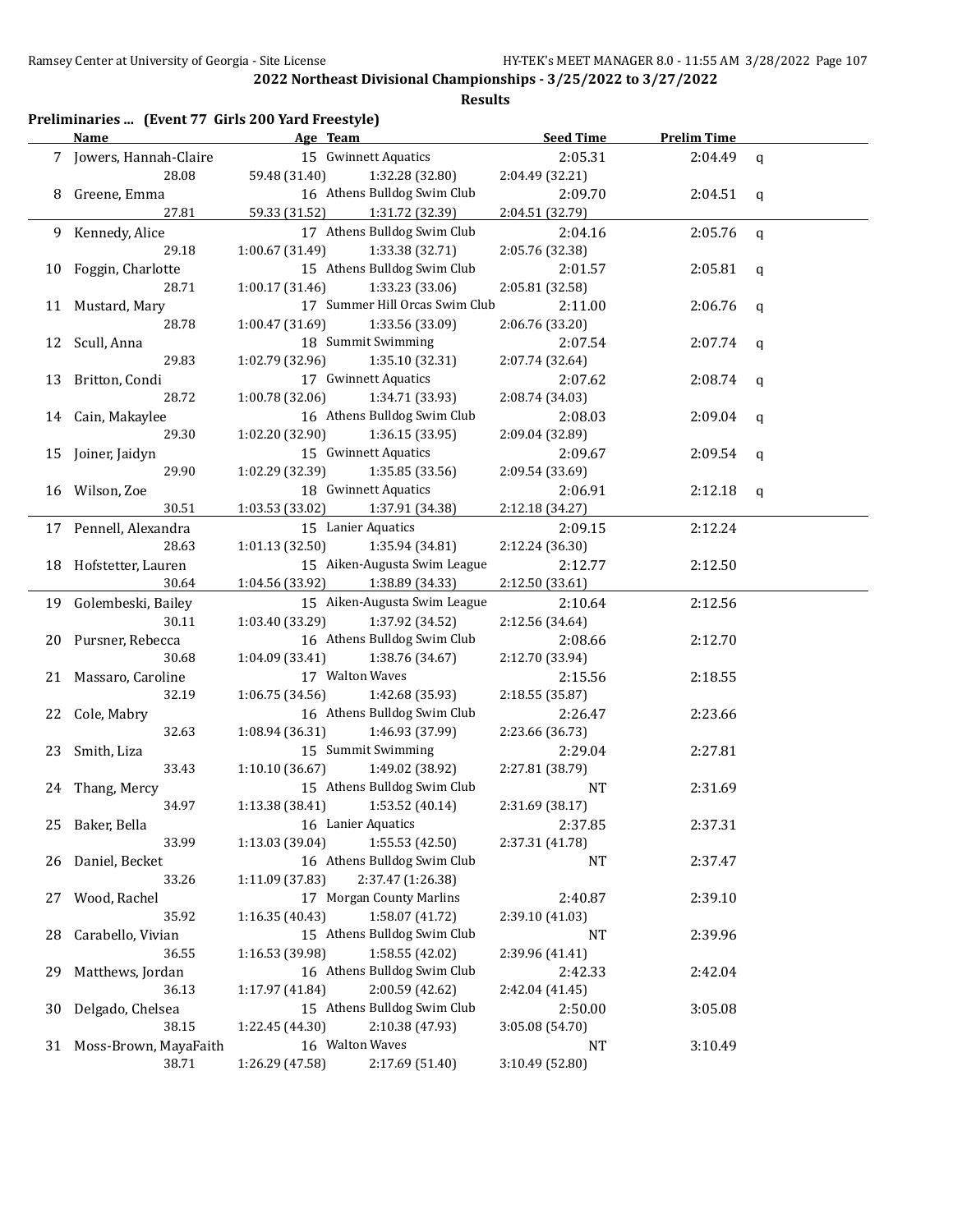|    | Preliminaries  (Event 77 Girls 200 Yard Freestyle) |                                    |                                |                  |                    |             |
|----|----------------------------------------------------|------------------------------------|--------------------------------|------------------|--------------------|-------------|
|    | <b>Name</b>                                        | Age Team                           |                                | <b>Seed Time</b> | <b>Prelim Time</b> |             |
|    | 7 Jowers, Hannah-Claire                            |                                    | 15 Gwinnett Aquatics           | 2:05.31          | 2:04.49            | $\mathbf q$ |
|    | 28.08                                              | 59.48 (31.40)                      | 1:32.28 (32.80)                | 2:04.49 (32.21)  |                    |             |
| 8  | Greene, Emma                                       |                                    | 16 Athens Bulldog Swim Club    | 2:09.70          | 2:04.51            | q           |
|    | 27.81                                              | 59.33 (31.52)                      | 1:31.72 (32.39)                | 2:04.51 (32.79)  |                    |             |
| 9. | Kennedy, Alice                                     |                                    | 17 Athens Bulldog Swim Club    | 2:04.16          | 2:05.76            | $\mathbf q$ |
|    | 29.18                                              | 1:00.67 (31.49)                    | 1:33.38 (32.71)                | 2:05.76 (32.38)  |                    |             |
| 10 | Foggin, Charlotte                                  |                                    | 15 Athens Bulldog Swim Club    | 2:01.57          | 2:05.81            | q           |
|    | 28.71                                              | 1:00.17 (31.46)<br>1:33.23 (33.06) |                                | 2:05.81 (32.58)  |                    |             |
| 11 | Mustard, Mary                                      |                                    | 17 Summer Hill Orcas Swim Club | 2:11.00          | 2:06.76            | q           |
|    | 28.78                                              | 1:00.47 (31.69)                    | 1:33.56 (33.09)                | 2:06.76 (33.20)  |                    |             |
| 12 | Scull, Anna                                        |                                    | 18 Summit Swimming             | 2:07.54          | 2:07.74            | q           |
|    | 29.83                                              | 1:02.79 (32.96)                    | 1:35.10(32.31)                 | 2:07.74 (32.64)  |                    |             |
| 13 | Britton, Condi                                     |                                    | 17 Gwinnett Aquatics           | 2:07.62          | 2:08.74            | q           |
|    | 28.72                                              | 1:00.78 (32.06)                    | 1:34.71 (33.93)                | 2:08.74 (34.03)  |                    |             |
| 14 | Cain, Makaylee                                     |                                    | 16 Athens Bulldog Swim Club    | 2:08.03          | 2:09.04            | q           |
|    | 29.30                                              | 1:02.20 (32.90)                    | 1:36.15 (33.95)                | 2:09.04 (32.89)  |                    |             |
| 15 | Joiner, Jaidyn                                     |                                    | 15 Gwinnett Aquatics           | 2:09.67          | 2:09.54            | q           |
|    | 29.90                                              | 1:02.29 (32.39)                    | 1:35.85 (33.56)                | 2:09.54 (33.69)  |                    |             |
|    | 16 Wilson, Zoe                                     |                                    | 18 Gwinnett Aquatics           | 2:06.91          | 2:12.18            | q           |
|    | 30.51                                              | 1:03.53 (33.02)                    | 1:37.91 (34.38)                | 2:12.18 (34.27)  |                    |             |
|    | 17 Pennell, Alexandra                              |                                    | 15 Lanier Aquatics             | 2:09.15          | 2:12.24            |             |
|    | 28.63                                              | 1:01.13 (32.50)                    | 1:35.94 (34.81)                | 2:12.24 (36.30)  |                    |             |
| 18 | Hofstetter, Lauren                                 |                                    | 15 Aiken-Augusta Swim League   | 2:12.77          | 2:12.50            |             |
|    | 30.64                                              | 1:04.56 (33.92)                    | 1:38.89 (34.33)                | 2:12.50 (33.61)  |                    |             |
|    | 19 Golembeski, Bailey                              |                                    | 15 Aiken-Augusta Swim League   | 2:10.64          | 2:12.56            |             |
|    | 30.11                                              | 1:03.40 (33.29)                    | 1:37.92 (34.52)                | 2:12.56 (34.64)  |                    |             |
| 20 | Pursner, Rebecca                                   |                                    | 16 Athens Bulldog Swim Club    | 2:08.66          | 2:12.70            |             |
|    | 30.68                                              | 1:04.09 (33.41)                    | 1:38.76 (34.67)                | 2:12.70 (33.94)  |                    |             |
| 21 | Massaro, Caroline                                  | 17 Walton Waves                    |                                | 2:15.56          | 2:18.55            |             |
|    | 32.19                                              | 1:06.75(34.56)                     | 1:42.68 (35.93)                | 2:18.55 (35.87)  |                    |             |
| 22 | Cole, Mabry                                        |                                    | 16 Athens Bulldog Swim Club    | 2:26.47          | 2:23.66            |             |
|    | 32.63                                              | 1:46.93 (37.99)<br>1:08.94 (36.31) |                                | 2:23.66 (36.73)  |                    |             |
| 23 | Smith, Liza                                        |                                    | 15 Summit Swimming             | 2:29.04          | 2:27.81            |             |
|    | 33.43                                              | 1:10.10(36.67)                     | 1:49.02 (38.92)                | 2:27.81 (38.79)  |                    |             |
|    | 24 Thang, Mercy                                    |                                    | 15 Athens Bulldog Swim Club    | NT               | 2:31.69            |             |
|    | 34.97                                              | 1:13.38 (38.41)                    | 1:53.52 (40.14)                | 2:31.69 (38.17)  |                    |             |
| 25 | Baker, Bella                                       |                                    | 16 Lanier Aquatics             | 2:37.85          | 2:37.31            |             |
|    | 33.99                                              | 1:13.03 (39.04)                    | 1:55.53 (42.50)                | 2:37.31 (41.78)  |                    |             |
| 26 | Daniel, Becket                                     |                                    | 16 Athens Bulldog Swim Club    | NT               | 2:37.47            |             |
|    | 33.26                                              | 1:11.09 (37.83)                    | 2:37.47 (1:26.38)              |                  |                    |             |
| 27 | Wood, Rachel                                       |                                    | 17 Morgan County Marlins       | 2:40.87          | 2:39.10            |             |
|    | 35.92                                              | 1:16.35(40.43)                     | 1:58.07 (41.72)                | 2:39.10 (41.03)  |                    |             |
| 28 | Carabello, Vivian                                  |                                    | 15 Athens Bulldog Swim Club    | <b>NT</b>        | 2:39.96            |             |
|    | 36.55                                              | 1:16.53 (39.98)                    | 1:58.55 (42.02)                | 2:39.96 (41.41)  |                    |             |
| 29 | Matthews, Jordan                                   |                                    | 16 Athens Bulldog Swim Club    | 2:42.33          | 2:42.04            |             |
|    | 36.13                                              | 1:17.97 (41.84)                    | 2:00.59 (42.62)                | 2:42.04 (41.45)  |                    |             |
| 30 | Delgado, Chelsea                                   |                                    | 15 Athens Bulldog Swim Club    | 2:50.00          | 3:05.08            |             |
|    | 38.15                                              | 1:22.45 (44.30)                    | 2:10.38 (47.93)                | 3:05.08 (54.70)  |                    |             |
| 31 | Moss-Brown, MayaFaith                              | 16 Walton Waves                    |                                | NT               | 3:10.49            |             |
|    | 38.71                                              | 1:26.29 (47.58)                    | 2:17.69 (51.40)                | 3:10.49 (52.80)  |                    |             |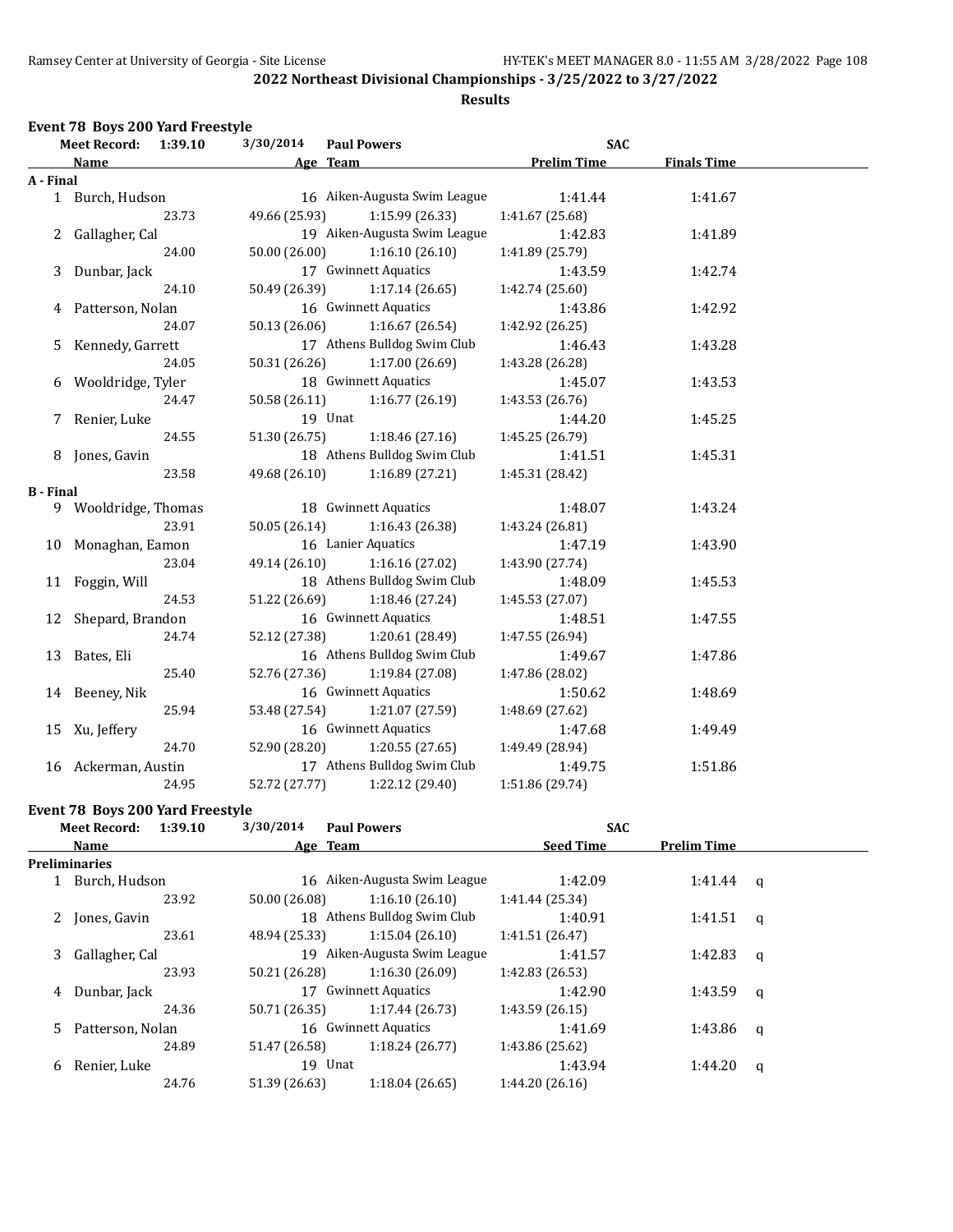#### **Results**

#### **Event 78 Boys 200 Yard Freestyle**

|                  | <b>Meet Record:</b>  | 1:39.10 | 3/30/2014     | <b>Paul Powers</b>            | <b>SAC</b>         |                    |  |
|------------------|----------------------|---------|---------------|-------------------------------|--------------------|--------------------|--|
|                  | Name                 |         |               | Age Team                      | <b>Prelim Time</b> | <b>Finals Time</b> |  |
| A - Final        |                      |         |               |                               |                    |                    |  |
|                  | 1 Burch, Hudson      |         |               | 16 Aiken-Augusta Swim League  | 1:41.44            | 1:41.67            |  |
|                  |                      | 23.73   | 49.66 (25.93) | 1:15.99 (26.33)               | 1:41.67 (25.68)    |                    |  |
|                  | 2 Gallagher, Cal     |         |               | 19 Aiken-Augusta Swim League  | 1:42.83            | 1:41.89            |  |
|                  |                      | 24.00   | 50.00 (26.00) | 1:16.10(26.10)                | 1:41.89 (25.79)    |                    |  |
| 3                | Dunbar, Jack         |         |               | 17 Gwinnett Aquatics          | 1:43.59            | 1:42.74            |  |
|                  |                      | 24.10   | 50.49 (26.39) | 1:17.14(26.65)                | 1:42.74 (25.60)    |                    |  |
|                  | 4 Patterson, Nolan   |         |               | 16 Gwinnett Aquatics          | 1:43.86            | 1:42.92            |  |
|                  |                      | 24.07   | 50.13 (26.06) | 1:16.67(26.54)                | 1:42.92 (26.25)    |                    |  |
| 5                | Kennedy, Garrett     |         |               | 17 Athens Bulldog Swim Club   | 1:46.43            | 1:43.28            |  |
|                  |                      | 24.05   | 50.31 (26.26) | 1:17.00(26.69)                | 1:43.28 (26.28)    |                    |  |
| 6                | Wooldridge, Tyler    |         |               | 18 Gwinnett Aquatics          | 1:45.07            | 1:43.53            |  |
|                  |                      | 24.47   | 50.58 (26.11) | 1:16.77(26.19)                | 1:43.53 (26.76)    |                    |  |
|                  | Renier, Luke         |         |               | 19 Unat                       | 1:44.20            | 1:45.25            |  |
|                  |                      | 24.55   | 51.30 (26.75) | 1:18.46(27.16)                | 1:45.25 (26.79)    |                    |  |
|                  | 8 Jones, Gavin       |         |               | 18 Athens Bulldog Swim Club   | 1:41.51            | 1:45.31            |  |
|                  |                      | 23.58   | 49.68 (26.10) | 1:16.89(27.21)                | 1:45.31 (28.42)    |                    |  |
| <b>B</b> - Final |                      |         |               |                               |                    |                    |  |
|                  | 9 Wooldridge, Thomas |         |               | 18 Gwinnett Aquatics          | 1:48.07            | 1:43.24            |  |
|                  |                      | 23.91   | 50.05 (26.14) | 1:16.43 (26.38)               | 1:43.24 (26.81)    |                    |  |
|                  | 10 Monaghan, Eamon   |         |               | 16 Lanier Aquatics            | 1:47.19            | 1:43.90            |  |
|                  |                      | 23.04   |               | 49.14 (26.10) 1:16.16 (27.02) | 1:43.90 (27.74)    |                    |  |
|                  | 11 Foggin, Will      |         |               | 18 Athens Bulldog Swim Club   | 1:48.09            | 1:45.53            |  |
|                  |                      | 24.53   | 51.22 (26.69) | 1:18.46 (27.24)               | 1:45.53 (27.07)    |                    |  |
|                  | 12 Shepard, Brandon  |         |               | 16 Gwinnett Aquatics          | 1:48.51            | 1:47.55            |  |
|                  |                      | 24.74   | 52.12 (27.38) | 1:20.61 (28.49)               | 1:47.55 (26.94)    |                    |  |
|                  | 13 Bates, Eli        |         |               | 16 Athens Bulldog Swim Club   | 1:49.67            | 1:47.86            |  |
|                  |                      | 25.40   | 52.76 (27.36) | 1:19.84 (27.08)               | 1:47.86 (28.02)    |                    |  |
|                  | 14 Beeney, Nik       |         |               | 16 Gwinnett Aquatics          | 1:50.62            | 1:48.69            |  |
|                  |                      | 25.94   | 53.48 (27.54) | 1:21.07 (27.59)               | 1:48.69 (27.62)    |                    |  |
|                  | 15 Xu, Jeffery       |         |               | 16 Gwinnett Aquatics          | 1:47.68            | 1:49.49            |  |
|                  |                      | 24.70   | 52.90 (28.20) | 1:20.55(27.65)                | 1:49.49 (28.94)    |                    |  |
|                  | 16 Ackerman, Austin  |         |               | 17 Athens Bulldog Swim Club   | 1:49.75            | 1:51.86            |  |
|                  |                      | 24.95   | 52.72 (27.77) | 1:22.12 (29.40)               | 1:51.86 (29.74)    |                    |  |
|                  |                      |         |               |                               |                    |                    |  |

#### **Event 78 Boys 200 Yard Freestyle**

|    | <b>Meet Record:</b> | 1:39.10 | 3/30/2014     | <b>Paul Powers</b>           | <b>SAC</b>       |                    |              |  |
|----|---------------------|---------|---------------|------------------------------|------------------|--------------------|--------------|--|
|    | Name                |         |               | Age Team                     | <b>Seed Time</b> | <b>Prelim Time</b> |              |  |
|    | Preliminaries       |         |               |                              |                  |                    |              |  |
|    | Burch, Hudson       |         |               | 16 Aiken-Augusta Swim League | 1:42.09          | $1:41.44$ q        |              |  |
|    |                     | 23.92   | 50.00 (26.08) | 1:16.10(26.10)               | 1:41.44 (25.34)  |                    |              |  |
|    | 2 Jones, Gavin      |         |               | 18 Athens Bulldog Swim Club  | 1:40.91          | 1:41.51            | $\mathbf{q}$ |  |
|    |                     | 23.61   | 48.94 (25.33) | 1:15.04(26.10)               | 1:41.51 (26.47)  |                    |              |  |
| 3  | Gallagher, Cal      |         |               | 19 Aiken-Augusta Swim League | 1:41.57          | 1:42.83            | q            |  |
|    |                     | 23.93   | 50.21 (26.28) | 1:16.30(26.09)               | 1:42.83(26.53)   |                    |              |  |
| 4  | Dunbar, Jack        |         |               | 17 Gwinnett Aquatics         | 1:42.90          | 1:43.59            | q            |  |
|    |                     | 24.36   | 50.71 (26.35) | 1:17.44(26.73)               | 1:43.59(26.15)   |                    |              |  |
| 5. | Patterson, Nolan    |         |               | 16 Gwinnett Aquatics         | 1:41.69          | 1:43.86            | q            |  |
|    |                     | 24.89   | 51.47 (26.58) | 1:18.24(26.77)               | 1:43.86 (25.62)  |                    |              |  |
| 6  | Renier, Luke        |         |               | 19 Unat                      | 1:43.94          | 1:44.20            | q            |  |
|    |                     | 24.76   | 51.39 (26.63) | 1:18.04(26.65)               | 1:44.20(26.16)   |                    |              |  |
|    |                     |         |               |                              |                  |                    |              |  |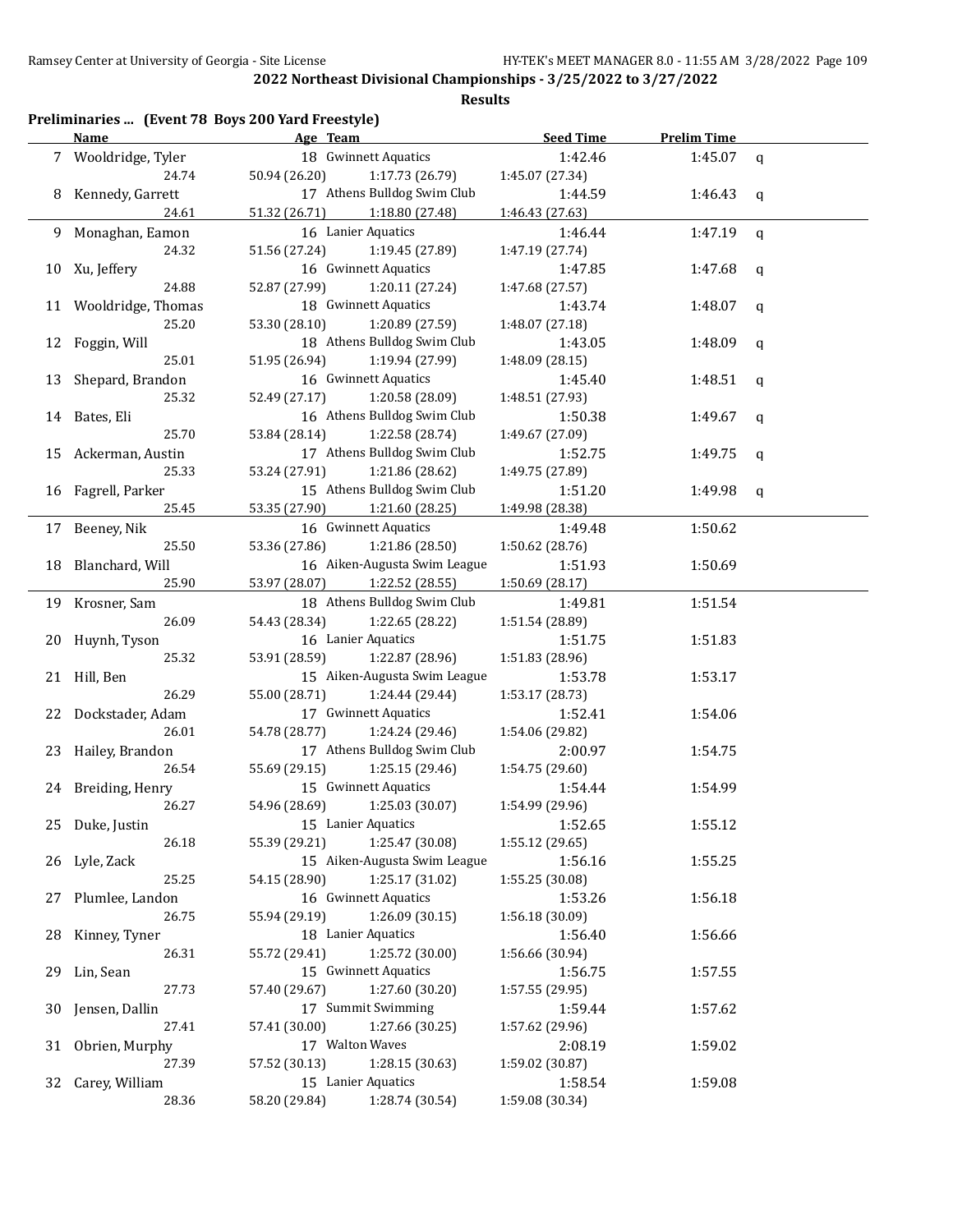|     | Name                     | Age Team      |                               | <b>Seed Time</b> | <b>Prelim Time</b> |             |
|-----|--------------------------|---------------|-------------------------------|------------------|--------------------|-------------|
|     | 7 Wooldridge, Tyler      |               | 18 Gwinnett Aquatics          | 1:42.46          | 1:45.07            | $\mathbf q$ |
|     | 24.74                    | 50.94 (26.20) | 1:17.73 (26.79)               | 1:45.07 (27.34)  |                    |             |
| 8   | Kennedy, Garrett         |               | 17 Athens Bulldog Swim Club   | 1:44.59          | 1:46.43            | q           |
|     | 24.61                    | 51.32 (26.71) | 1:18.80 (27.48)               | 1:46.43 (27.63)  |                    |             |
| 9.  | Monaghan, Eamon          |               | 16 Lanier Aquatics            | 1:46.44          | 1:47.19            | q           |
|     | 24.32                    | 51.56 (27.24) | 1:19.45 (27.89)               | 1:47.19 (27.74)  |                    |             |
|     | 10 Xu, Jeffery           |               | 16 Gwinnett Aquatics          | 1:47.85          | 1:47.68            | q           |
|     | 24.88                    | 52.87 (27.99) | 1:20.11 (27.24)               | 1:47.68 (27.57)  |                    |             |
|     | 11 Wooldridge, Thomas    |               | 18 Gwinnett Aquatics          | 1:43.74          | 1:48.07            | q           |
|     | 25.20                    | 53.30 (28.10) | 1:20.89 (27.59)               | 1:48.07 (27.18)  |                    |             |
| 12  | Foggin, Will             |               | 18 Athens Bulldog Swim Club   | 1:43.05          | 1:48.09            | $\mathbf q$ |
|     | 25.01                    | 51.95 (26.94) | 1:19.94 (27.99)               | 1:48.09 (28.15)  |                    |             |
| 13  | Shepard, Brandon         |               | 16 Gwinnett Aquatics          | 1:45.40          | 1:48.51            | q           |
|     | 25.32                    | 52.49 (27.17) | 1:20.58 (28.09)               | 1:48.51 (27.93)  |                    |             |
| 14  | Bates, Eli               |               | 16 Athens Bulldog Swim Club   | 1:50.38          | 1:49.67            | q           |
|     | 25.70                    | 53.84 (28.14) | 1:22.58 (28.74)               | 1:49.67 (27.09)  |                    |             |
| 15  | Ackerman, Austin         |               | 17 Athens Bulldog Swim Club   | 1:52.75          | 1:49.75            | q           |
|     | 25.33                    | 53.24 (27.91) | 1:21.86 (28.62)               | 1:49.75 (27.89)  |                    |             |
|     |                          |               | 15 Athens Bulldog Swim Club   |                  |                    |             |
| 16  | Fagrell, Parker<br>25.45 |               | 1:21.60 (28.25)               | 1:51.20          | 1:49.98            | q           |
|     |                          | 53.35 (27.90) |                               | 1:49.98 (28.38)  |                    |             |
|     | 17 Beeney, Nik           |               | 16 Gwinnett Aquatics          | 1:49.48          | 1:50.62            |             |
|     | 25.50                    | 53.36 (27.86) | 1:21.86 (28.50)               | 1:50.62 (28.76)  |                    |             |
| 18  | Blanchard, Will          |               | 16 Aiken-Augusta Swim League  | 1:51.93          | 1:50.69            |             |
|     | 25.90                    | 53.97 (28.07) | 1:22.52 (28.55)               | 1:50.69 (28.17)  |                    |             |
|     | 19 Krosner, Sam          |               | 18 Athens Bulldog Swim Club   | 1:49.81          | 1:51.54            |             |
|     | 26.09                    | 54.43 (28.34) | 1:22.65 (28.22)               | 1:51.54 (28.89)  |                    |             |
| 20. | Huynh, Tyson             |               | 16 Lanier Aquatics            | 1:51.75          | 1:51.83            |             |
|     | 25.32                    | 53.91 (28.59) | 1:22.87 (28.96)               | 1:51.83 (28.96)  |                    |             |
|     | 21 Hill, Ben             |               | 15 Aiken-Augusta Swim League  | 1:53.78          | 1:53.17            |             |
|     | 26.29                    | 55.00 (28.71) | 1:24.44 (29.44)               | 1:53.17 (28.73)  |                    |             |
|     | 22 Dockstader, Adam      |               | 17 Gwinnett Aquatics          | 1:52.41          | 1:54.06            |             |
|     | 26.01                    | 54.78 (28.77) | 1:24.24 (29.46)               | 1:54.06 (29.82)  |                    |             |
|     | 23 Hailey, Brandon       |               | 17 Athens Bulldog Swim Club   | 2:00.97          | 1:54.75            |             |
|     | 26.54                    | 55.69 (29.15) | 1:25.15 (29.46)               | 1:54.75 (29.60)  |                    |             |
|     | 24 Breiding, Henry       |               | 15 Gwinnett Aquatics          | 1:54.44          | 1:54.99            |             |
|     | 26.27                    |               | 54.96 (28.69) 1:25.03 (30.07) | 1:54.99 (29.96)  |                    |             |
|     | 25 Duke, Justin          |               | 15 Lanier Aquatics            | 1:52.65          | 1:55.12            |             |
|     | 26.18                    | 55.39 (29.21) | 1:25.47 (30.08)               | 1:55.12 (29.65)  |                    |             |
|     | 26 Lyle, Zack            |               | 15 Aiken-Augusta Swim League  | 1:56.16          | 1:55.25            |             |
|     | 25.25                    | 54.15 (28.90) | 1:25.17 (31.02)               | 1:55.25 (30.08)  |                    |             |
|     | 27 Plumlee, Landon       |               | 16 Gwinnett Aquatics          | 1:53.26          | 1:56.18            |             |
|     | 26.75                    | 55.94 (29.19) | 1:26.09 (30.15)               | 1:56.18 (30.09)  |                    |             |
|     | 28 Kinney, Tyner         |               | 18 Lanier Aquatics            | 1:56.40          | 1:56.66            |             |
|     | 26.31                    | 55.72 (29.41) | 1:25.72 (30.00)               | 1:56.66 (30.94)  |                    |             |
|     | 29 Lin, Sean             |               | 15 Gwinnett Aquatics          | 1:56.75          | 1:57.55            |             |
|     | 27.73                    | 57.40 (29.67) | 1:27.60 (30.20)               | 1:57.55 (29.95)  |                    |             |
| 30  | Jensen, Dallin           |               | 17 Summit Swimming            | 1:59.44          | 1:57.62            |             |
|     | 27.41                    | 57.41 (30.00) | 1:27.66 (30.25)               | 1:57.62 (29.96)  |                    |             |
|     |                          |               |                               |                  |                    |             |
|     | 31 Obrien, Murphy        |               | 17 Walton Waves               | 2:08.19          | 1:59.02            |             |
|     | 27.39                    | 57.52 (30.13) | 1:28.15 (30.63)               | 1:59.02 (30.87)  |                    |             |
| 32  | Carey, William           |               | 15 Lanier Aquatics            | 1:58.54          | 1:59.08            |             |
|     | 28.36                    | 58.20 (29.84) | 1:28.74 (30.54)               | 1:59.08 (30.34)  |                    |             |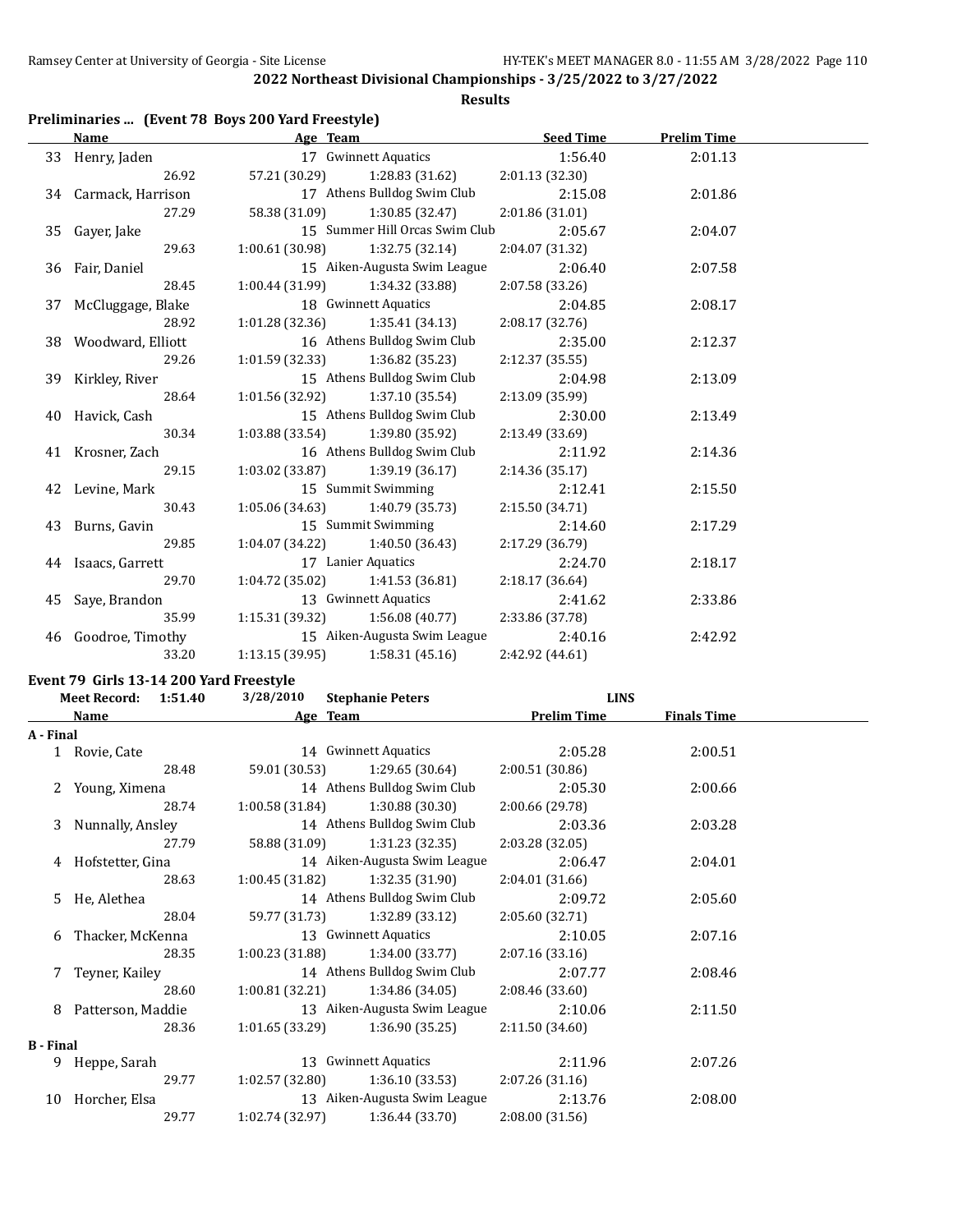**Results**

# **Preliminaries ... (Event 78 Boys 200 Yard Freestyle)**

| <b>Name</b>          | Age Team                            |                                     | <b>Seed Time</b> | <b>Prelim Time</b> |  |
|----------------------|-------------------------------------|-------------------------------------|------------------|--------------------|--|
| 33 Henry, Jaden      |                                     | 17 Gwinnett Aquatics                | 1:56.40          | 2:01.13            |  |
| 26.92                |                                     | 57.21 (30.29) 1:28.83 (31.62)       | 2:01.13(32.30)   |                    |  |
| 34 Carmack, Harrison |                                     | 17 Athens Bulldog Swim Club         | 2:15.08          | 2:01.86            |  |
| 27.29                | 58.38 (31.09)                       | 1:30.85 (32.47)                     | 2:01.86(31.01)   |                    |  |
| 35 Gayer, Jake       |                                     | 15 Summer Hill Orcas Swim Club      | 2:05.67          | 2:04.07            |  |
| 29.63                | $1:00.61(30.98)$ $1:32.75(32.14)$   |                                     | 2:04.07 (31.32)  |                    |  |
| 36 Fair, Daniel      |                                     | 15 Aiken-Augusta Swim League        | 2:06.40          | 2:07.58            |  |
| 28.45                |                                     | $1:00.44(31.99)$ $1:34.32(33.88)$   | 2:07.58(33.26)   |                    |  |
| 37 McCluggage, Blake |                                     | 18 Gwinnett Aquatics                | 2:04.85          | 2:08.17            |  |
| 28.92                |                                     | $1:01.28(32.36)$ $1:35.41(34.13)$   | 2:08.17(32.76)   |                    |  |
| 38 Woodward, Elliott |                                     | 16 Athens Bulldog Swim Club         | 2:35.00          | 2:12.37            |  |
| 29.26                |                                     | $1:01.59(32.33)$ $1:36.82(35.23)$   | 2:12.37(35.55)   |                    |  |
| 39 Kirkley, River    |                                     | 15 Athens Bulldog Swim Club         | 2:04.98          | 2:13.09            |  |
| 28.64                | 1:01.56 (32.92)                     | 1:37.10(35.54)                      | 2:13.09 (35.99)  |                    |  |
| 40 Havick, Cash      |                                     | 15 Athens Bulldog Swim Club         | 2:30.00          | 2:13.49            |  |
| 30.34                | $1:03.88(33.54)$ $1:39.80(35.92)$   |                                     | 2:13.49 (33.69)  |                    |  |
| 41 Krosner, Zach     |                                     | 16 Athens Bulldog Swim Club         | 2:11.92          | 2:14.36            |  |
| 29.15                |                                     | $1:03.02$ (33.87) $1:39.19$ (36.17) | 2:14.36(35.17)   |                    |  |
| 42 Levine, Mark      |                                     | 15 Summit Swimming                  | 2:12.41          | 2:15.50            |  |
| 30.43                |                                     | $1:05.06(34.63)$ $1:40.79(35.73)$   | 2:15.50(34.71)   |                    |  |
| 43 Burns, Gavin      |                                     | 15 Summit Swimming                  | 2:14.60          | 2:17.29            |  |
| 29.85                | $1:04.07$ (34.22) $1:40.50$ (36.43) |                                     | 2:17.29 (36.79)  |                    |  |
| 44 Isaacs, Garrett   |                                     | 17 Lanier Aquatics                  | 2:24.70          | 2:18.17            |  |
| 29.70                |                                     | $1:04.72(35.02)$ $1:41.53(36.81)$   | 2:18.17(36.64)   |                    |  |
| 45 Saye, Brandon     |                                     | 13 Gwinnett Aquatics                | 2:41.62          | 2:33.86            |  |
| 35.99                |                                     | $1:15.31(39.32)$ $1:56.08(40.77)$   | 2:33.86 (37.78)  |                    |  |
| 46 Goodroe, Timothy  |                                     | 15 Aiken-Augusta Swim League        | 2:40.16          | 2:42.92            |  |
| 33.20                | 1:13.15 (39.95)                     | 1:58.31(45.16)                      | 2:42.92 (44.61)  |                    |  |

# **Event 79 Girls 13-14 200 Yard Freestyle**

|                  | <b>Meet Record:</b><br>1:51.40 | 3/28/2010       | <b>Stephanie Peters</b>      |                    | <b>LINS</b>        |  |
|------------------|--------------------------------|-----------------|------------------------------|--------------------|--------------------|--|
|                  | Name                           |                 | Age Team                     | <b>Prelim Time</b> | <b>Finals Time</b> |  |
| A - Final        |                                |                 |                              |                    |                    |  |
|                  | 1 Rovie, Cate                  |                 | 14 Gwinnett Aquatics         | 2:05.28            | 2:00.51            |  |
|                  | 28.48                          | 59.01 (30.53)   | 1:29.65 (30.64)              | 2:00.51(30.86)     |                    |  |
|                  | 2 Young, Ximena                |                 | 14 Athens Bulldog Swim Club  | 2:05.30            | 2:00.66            |  |
|                  | 28.74                          | 1:00.58 (31.84) | 1:30.88 (30.30)              | 2:00.66 (29.78)    |                    |  |
|                  | 3 Nunnally, Ansley             |                 | 14 Athens Bulldog Swim Club  | 2:03.36            | 2:03.28            |  |
|                  | 27.79                          | 58.88 (31.09)   | 1:31.23 (32.35)              | 2:03.28 (32.05)    |                    |  |
|                  | 4 Hofstetter, Gina             |                 | 14 Aiken-Augusta Swim League | 2:06.47            | 2:04.01            |  |
|                  | 28.63                          | 1:00.45 (31.82) | 1:32.35 (31.90)              | 2:04.01 (31.66)    |                    |  |
|                  | 5 He, Alethea                  |                 | 14 Athens Bulldog Swim Club  | 2:09.72            | 2:05.60            |  |
|                  | 28.04                          | 59.77 (31.73)   | 1:32.89 (33.12)              | 2:05.60 (32.71)    |                    |  |
| 6                | Thacker, McKenna               |                 | 13 Gwinnett Aquatics         | 2:10.05            | 2:07.16            |  |
|                  | 28.35                          | 1:00.23(31.88)  | 1:34.00 (33.77)              | 2:07.16(33.16)     |                    |  |
|                  | 7 Teyner, Kailey               |                 | 14 Athens Bulldog Swim Club  | 2:07.77            | 2:08.46            |  |
|                  | 28.60                          | 1:00.81(32.21)  | 1:34.86(34.05)               | 2:08.46 (33.60)    |                    |  |
| 8                | Patterson, Maddie              |                 | 13 Aiken-Augusta Swim League | 2:10.06            | 2:11.50            |  |
|                  | 28.36                          | 1:01.65(33.29)  | 1:36.90(35.25)               | 2:11.50(34.60)     |                    |  |
| <b>B</b> - Final |                                |                 |                              |                    |                    |  |
| 9                | Heppe, Sarah                   |                 | 13 Gwinnett Aquatics         | 2:11.96            | 2:07.26            |  |
|                  | 29.77                          | 1:02.57(32.80)  | 1:36.10 (33.53)              | 2:07.26(31.16)     |                    |  |
| 10               | Horcher, Elsa                  |                 | 13 Aiken-Augusta Swim League | 2:13.76            | 2:08.00            |  |
|                  | 29.77                          | 1:02.74(32.97)  | 1:36.44(33.70)               | 2:08.00 (31.56)    |                    |  |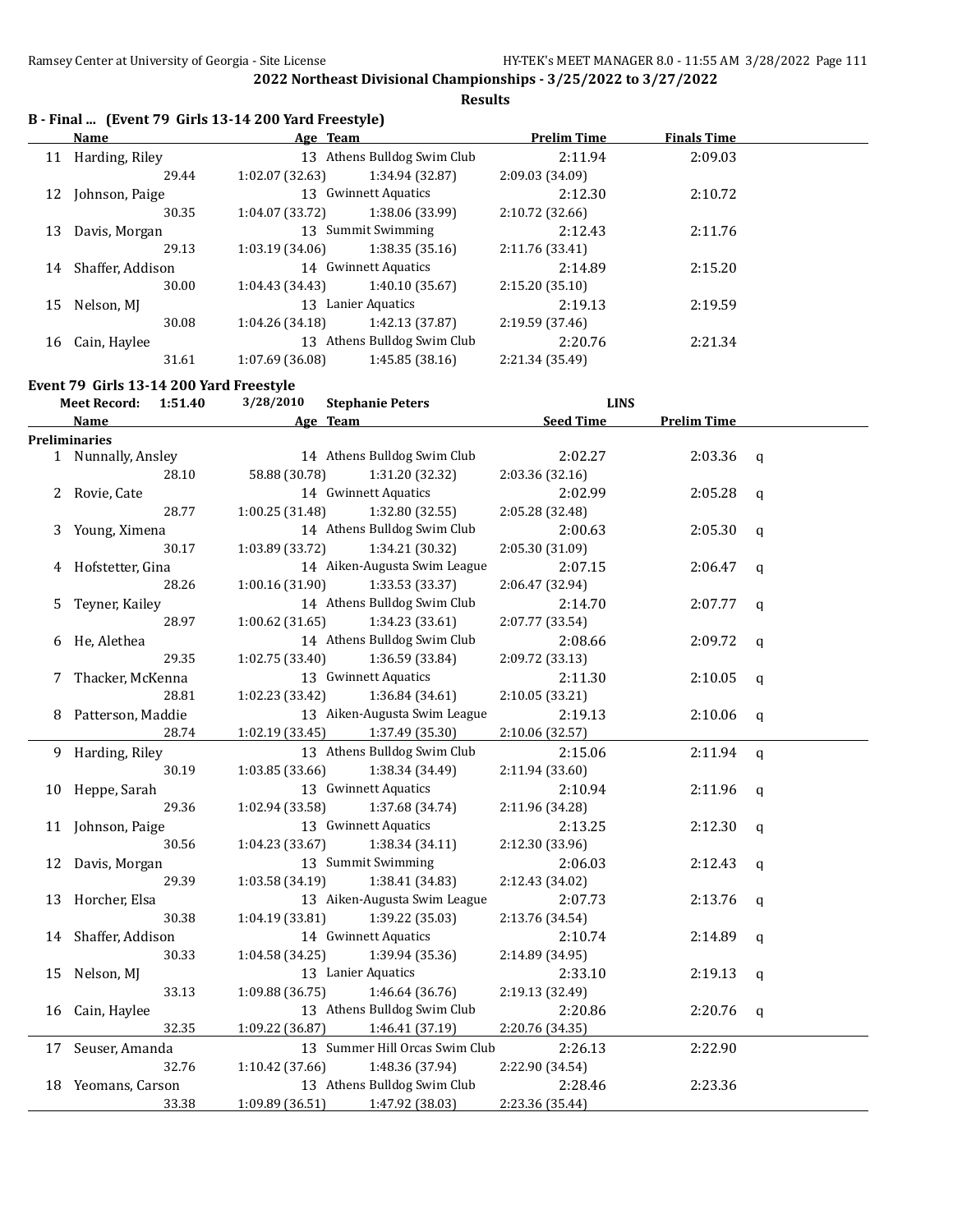**Results**

|  |  | B - Final  (Event 79 Girls 13-14 200 Yard Freestyle) |  |
|--|--|------------------------------------------------------|--|
|--|--|------------------------------------------------------|--|

| Name             |                 |                 | <b>Prelim Time</b>                                                                                                                                              | <b>Finals Time</b> |  |
|------------------|-----------------|-----------------|-----------------------------------------------------------------------------------------------------------------------------------------------------------------|--------------------|--|
| Harding, Riley   |                 |                 | 2:11.94                                                                                                                                                         | 2:09.03            |  |
| 29.44            | 1:02.07(32.63)  | 1:34.94 (32.87) | 2:09.03 (34.09)                                                                                                                                                 |                    |  |
| Johnson, Paige   |                 |                 | 2:12.30                                                                                                                                                         | 2:10.72            |  |
| 30.35            | 1:04.07 (33.72) | 1:38.06 (33.99) | 2:10.72 (32.66)                                                                                                                                                 |                    |  |
| Davis, Morgan    |                 |                 | 2:12.43                                                                                                                                                         | 2:11.76            |  |
| 29.13            | 1:03.19(34.06)  | 1:38.35(35.16)  | 2:11.76 (33.41)                                                                                                                                                 |                    |  |
| Shaffer, Addison |                 |                 | 2:14.89                                                                                                                                                         | 2:15.20            |  |
| 30.00            | 1:04.43(34.43)  | 1:40.10(35.67)  | 2:15.20(35.10)                                                                                                                                                  |                    |  |
| Nelson, MJ       |                 |                 | 2:19.13                                                                                                                                                         | 2:19.59            |  |
| 30.08            | 1:04.26(34.18)  | 1:42.13 (37.87) | 2:19.59 (37.46)                                                                                                                                                 |                    |  |
| Cain, Haylee     | 13              |                 | 2:20.76                                                                                                                                                         | 2:21.34            |  |
| 31.61            | 1:07.69 (36.08) | 1:45.85 (38.16) | 2:21.34 (35.49)                                                                                                                                                 |                    |  |
|                  |                 |                 | Age Team<br>13 Athens Bulldog Swim Club<br>13 Gwinnett Aquatics<br>13 Summit Swimming<br>14 Gwinnett Aquatics<br>13 Lanier Aquatics<br>Athens Bulldog Swim Club |                    |  |

**Event 79 Girls 13-14 200 Yard Freestyle**

| <b>Meet Record:</b><br>1:51.40 |                      | 3/28/2010<br><b>Stephanie Peters</b> | <b>LINS</b>      |                    |              |
|--------------------------------|----------------------|--------------------------------------|------------------|--------------------|--------------|
|                                | <b>Name</b>          | Age Team                             | <b>Seed Time</b> | <b>Prelim Time</b> |              |
|                                | <b>Preliminaries</b> |                                      |                  |                    |              |
|                                | 1 Nunnally, Ansley   | 14 Athens Bulldog Swim Club          | 2:02.27          | 2:03.36            | $\mathsf{q}$ |
|                                | 28.10                | 58.88 (30.78)<br>1:31.20 (32.32)     | 2:03.36 (32.16)  |                    |              |
|                                | 2 Rovie, Cate        | 14 Gwinnett Aquatics                 | 2:02.99          | 2:05.28            | q            |
|                                | 28.77                | 1:32.80 (32.55)<br>1:00.25(31.48)    | 2:05.28 (32.48)  |                    |              |
|                                | 3 Young, Ximena      | 14 Athens Bulldog Swim Club          | 2:00.63          | 2:05.30            | a            |
|                                | 30.17                | 1:03.89 (33.72)<br>1:34.21 (30.32)   | 2:05.30 (31.09)  |                    |              |
|                                | 4 Hofstetter, Gina   | 14 Aiken-Augusta Swim League         | 2:07.15          | 2:06.47            | a            |
|                                | 28.26                | 1:33.53 (33.37)<br>1:00.16(31.90)    | 2:06.47 (32.94)  |                    |              |
| 5                              | Teyner, Kailey       | 14 Athens Bulldog Swim Club          | 2:14.70          | 2:07.77            | q            |
|                                | 28.97                | 1:00.62 (31.65)<br>1:34.23 (33.61)   | 2:07.77 (33.54)  |                    |              |
| 6                              | He, Alethea          | 14 Athens Bulldog Swim Club          | 2:08.66          | 2:09.72            | q            |
|                                | 29.35                | 1:02.75 (33.40)<br>1:36.59 (33.84)   | 2:09.72 (33.13)  |                    |              |
| 7                              | Thacker, McKenna     | 13 Gwinnett Aquatics                 | 2:11.30          | 2:10.05            | q            |
|                                | 28.81                | 1:02.23 (33.42)<br>1:36.84 (34.61)   | 2:10.05 (33.21)  |                    |              |
|                                | 8 Patterson, Maddie  | 13 Aiken-Augusta Swim League         | 2:19.13          | 2:10.06            | q            |
|                                | 28.74                | 1:02.19(33.45)<br>1:37.49 (35.30)    | 2:10.06 (32.57)  |                    |              |
|                                | 9 Harding, Riley     | 13 Athens Bulldog Swim Club          | 2:15.06          | 2:11.94            | $\mathbf q$  |
|                                | 30.19                | 1:03.85 (33.66)<br>1:38.34 (34.49)   | 2:11.94 (33.60)  |                    |              |
|                                | 10 Heppe, Sarah      | 13 Gwinnett Aquatics                 | 2:10.94          | 2:11.96            | q            |
|                                | 29.36                | 1:02.94 (33.58)<br>1:37.68 (34.74)   | 2:11.96 (34.28)  |                    |              |
|                                | 11 Johnson, Paige    | 13 Gwinnett Aquatics                 | 2:13.25          | 2:12.30            | q            |
|                                | 30.56                | 1:04.23 (33.67)<br>1:38.34(34.11)    | 2:12.30 (33.96)  |                    |              |
|                                | 12 Davis, Morgan     | 13 Summit Swimming                   | 2:06.03          | 2:12.43            | q            |
|                                | 29.39                | 1:38.41 (34.83)<br>1:03.58 (34.19)   | 2:12.43 (34.02)  |                    |              |
|                                | 13 Horcher, Elsa     | 13 Aiken-Augusta Swim League         | 2:07.73          | 2:13.76            | q            |
|                                | 30.38                | 1:04.19 (33.81)<br>1:39.22 (35.03)   | 2:13.76 (34.54)  |                    |              |
|                                | 14 Shaffer, Addison  | 14 Gwinnett Aquatics                 | 2:10.74          | 2:14.89            | q            |
|                                | 30.33                | 1:04.58 (34.25)<br>1:39.94 (35.36)   | 2:14.89 (34.95)  |                    |              |
| 15                             | Nelson, MJ           | 13 Lanier Aquatics                   | 2:33.10          | 2:19.13            | q            |
|                                | 33.13                | 1:09.88 (36.75)<br>1:46.64 (36.76)   | 2:19.13 (32.49)  |                    |              |
|                                | 16 Cain, Haylee      | 13 Athens Bulldog Swim Club          | 2:20.86          | 2:20.76            | q            |
|                                | 32.35                | 1:09.22 (36.87)<br>1:46.41 (37.19)   | 2:20.76 (34.35)  |                    |              |
|                                | 17 Seuser, Amanda    | 13 Summer Hill Orcas Swim Club       | 2:26.13          | 2:22.90            |              |
|                                | 32.76                | 1:10.42 (37.66)<br>1:48.36 (37.94)   | 2:22.90 (34.54)  |                    |              |
|                                | 18 Yeomans, Carson   | 13 Athens Bulldog Swim Club          | 2:28.46          | 2:23.36            |              |
|                                | 33.38                | 1:47.92 (38.03)<br>1:09.89 (36.51)   | 2:23.36 (35.44)  |                    |              |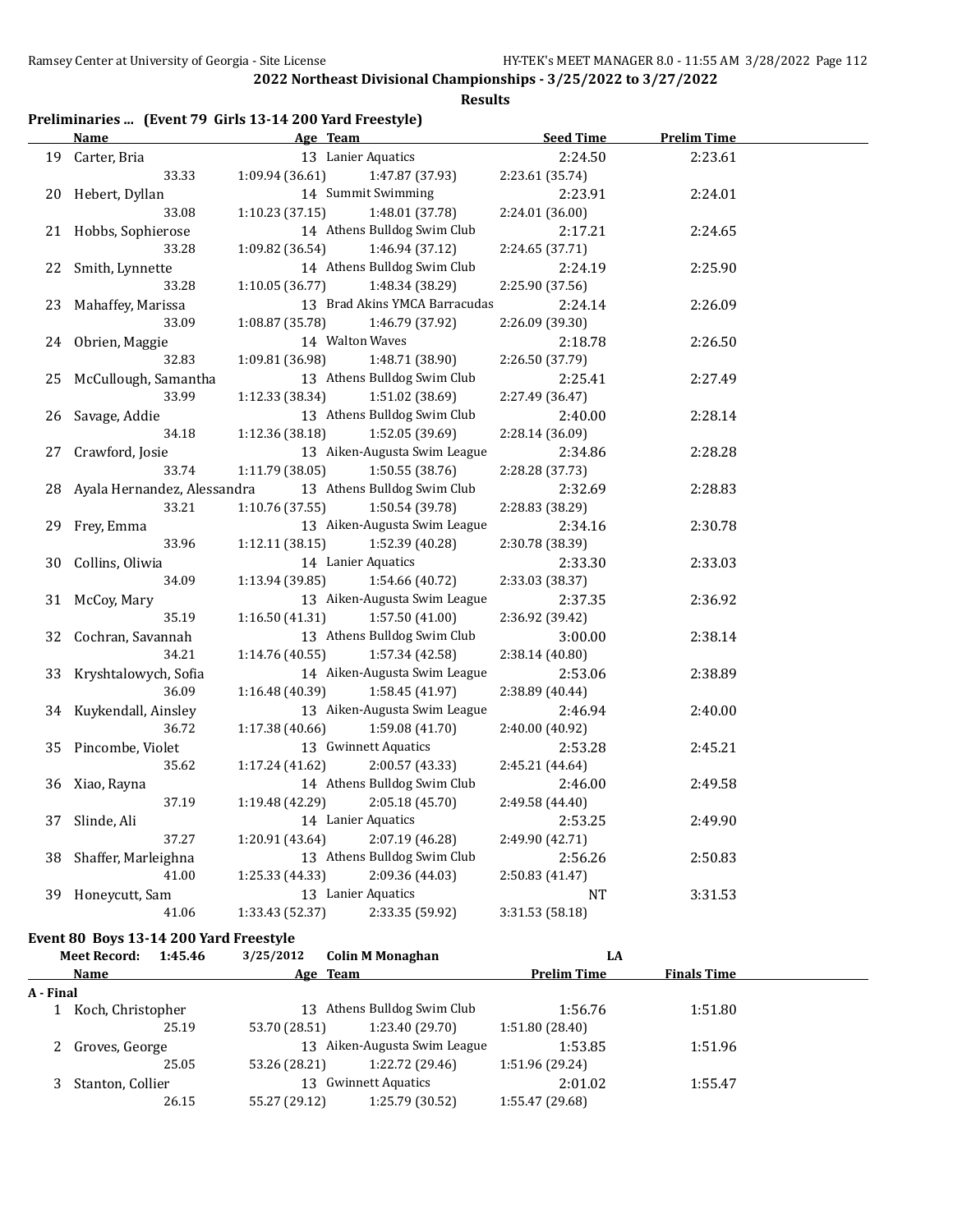**Results**

# **Preliminaries ... (Event 79 Girls 13-14 200 Yard Freestyle)**

|    | <u>Name</u>                 | Age Team             |                               | <b>Seed Time</b> | <b>Prelim Time</b> |  |
|----|-----------------------------|----------------------|-------------------------------|------------------|--------------------|--|
| 19 | Carter, Bria                | 13 Lanier Aquatics   |                               | 2:24.50          | 2:23.61            |  |
|    | 33.33                       | 1:09.94 (36.61)      | 1:47.87 (37.93)               | 2:23.61 (35.74)  |                    |  |
| 20 | Hebert, Dyllan              | 14 Summit Swimming   |                               | 2:23.91          | 2:24.01            |  |
|    | 33.08                       | 1:10.23(37.15)       | 1:48.01 (37.78)               | 2:24.01 (36.00)  |                    |  |
|    | 21 Hobbs, Sophierose        |                      | 14 Athens Bulldog Swim Club   | 2:17.21          | 2:24.65            |  |
|    | 33.28                       | 1:09.82 (36.54)      | 1:46.94 (37.12)               | 2:24.65 (37.71)  |                    |  |
| 22 | Smith, Lynnette             |                      | 14 Athens Bulldog Swim Club   | 2:24.19          | 2:25.90            |  |
|    | 33.28                       | 1:10.05 (36.77)      | 1:48.34 (38.29)               | 2:25.90 (37.56)  |                    |  |
| 23 | Mahaffey, Marissa           |                      | 13 Brad Akins YMCA Barracudas | 2:24.14          | 2:26.09            |  |
|    | 33.09                       | 1:08.87 (35.78)      | 1:46.79 (37.92)               | 2:26.09 (39.30)  |                    |  |
| 24 | Obrien, Maggie              | 14 Walton Waves      |                               | 2:18.78          | 2:26.50            |  |
|    | 32.83                       | 1:09.81 (36.98)      | 1:48.71 (38.90)               | 2:26.50 (37.79)  |                    |  |
| 25 | McCullough, Samantha        |                      | 13 Athens Bulldog Swim Club   | 2:25.41          | 2:27.49            |  |
|    | 33.99                       | 1:12.33 (38.34)      | 1:51.02 (38.69)               | 2:27.49 (36.47)  |                    |  |
| 26 | Savage, Addie               |                      | 13 Athens Bulldog Swim Club   | 2:40.00          | 2:28.14            |  |
|    | 34.18                       | 1:12.36 (38.18)      | 1:52.05 (39.69)               | 2:28.14 (36.09)  |                    |  |
| 27 | Crawford, Josie             |                      | 13 Aiken-Augusta Swim League  | 2:34.86          | 2:28.28            |  |
|    | 33.74                       | 1:11.79 (38.05)      | 1:50.55(38.76)                | 2:28.28 (37.73)  |                    |  |
| 28 | Ayala Hernandez, Alessandra |                      | 13 Athens Bulldog Swim Club   | 2:32.69          | 2:28.83            |  |
|    | 33.21                       | 1:10.76(37.55)       | 1:50.54 (39.78)               | 2:28.83 (38.29)  |                    |  |
| 29 | Frey, Emma                  |                      | 13 Aiken-Augusta Swim League  | 2:34.16          | 2:30.78            |  |
|    | 33.96                       | 1:12.11 (38.15)      | 1:52.39 (40.28)               | 2:30.78 (38.39)  |                    |  |
| 30 | Collins, Oliwia             | 14 Lanier Aquatics   |                               | 2:33.30          | 2:33.03            |  |
|    | 34.09                       | 1:13.94(39.85)       | 1:54.66 (40.72)               | 2:33.03 (38.37)  |                    |  |
| 31 | McCoy, Mary                 |                      | 13 Aiken-Augusta Swim League  | 2:37.35          | 2:36.92            |  |
|    | 35.19                       | 1:16.50(41.31)       | 1:57.50(41.00)                | 2:36.92 (39.42)  |                    |  |
| 32 | Cochran, Savannah           |                      | 13 Athens Bulldog Swim Club   | 3:00.00          | 2:38.14            |  |
|    | 34.21                       | 1:14.76(40.55)       | 1:57.34 (42.58)               | 2:38.14 (40.80)  |                    |  |
| 33 | Kryshtalowych, Sofia        |                      | 14 Aiken-Augusta Swim League  | 2:53.06          | 2:38.89            |  |
|    | 36.09                       | 1:16.48 (40.39)      | 1:58.45 (41.97)               | 2:38.89 (40.44)  |                    |  |
| 34 | Kuykendall, Ainsley         |                      | 13 Aiken-Augusta Swim League  | 2:46.94          | 2:40.00            |  |
|    | 36.72                       | 1:17.38 (40.66)      | 1:59.08 (41.70)               | 2:40.00 (40.92)  |                    |  |
| 35 | Pincombe, Violet            | 13 Gwinnett Aquatics |                               | 2:53.28          | 2:45.21            |  |
|    | 35.62                       | 1:17.24 (41.62)      | 2:00.57 (43.33)               | 2:45.21 (44.64)  |                    |  |
| 36 | Xiao, Rayna                 |                      | 14 Athens Bulldog Swim Club   | 2:46.00          | 2:49.58            |  |
|    | 37.19                       | 1:19.48 (42.29)      | 2:05.18 (45.70)               | 2:49.58 (44.40)  |                    |  |
| 37 | Slinde, Ali                 | 14 Lanier Aquatics   |                               | 2:53.25          | 2:49.90            |  |
|    | 37.27                       | 1:20.91 (43.64)      | 2:07.19 (46.28)               | 2:49.90 (42.71)  |                    |  |
| 38 | Shaffer, Marleighna         |                      | 13 Athens Bulldog Swim Club   | 2:56.26          | 2:50.83            |  |
|    | 41.00                       | 1:25.33 (44.33)      | 2:09.36 (44.03)               | 2:50.83 (41.47)  |                    |  |
| 39 | Honeycutt, Sam              | 13 Lanier Aquatics   |                               | NT               | 3:31.53            |  |
|    | 41.06                       | 1:33.43 (52.37)      | 2:33.35 (59.92)               | 3:31.53 (58.18)  |                    |  |

#### **Event 80 Boys 13-14 200 Yard Freestyle**

|           | <b>Meet Record:</b><br>1:45.46 | 3/25/2012     | <b>Colin M Monaghan</b>      | LA              |                    |  |
|-----------|--------------------------------|---------------|------------------------------|-----------------|--------------------|--|
|           | Name                           |               | Age Team                     | Prelim Time     | <b>Finals Time</b> |  |
| A - Final |                                |               |                              |                 |                    |  |
|           | 1 Koch, Christopher            |               | 13 Athens Bulldog Swim Club  | 1:56.76         | 1:51.80            |  |
|           | 25.19                          | 53.70 (28.51) | 1:23.40 (29.70)              | 1:51.80(28.40)  |                    |  |
|           | 2 Groves, George               |               | 13 Aiken-Augusta Swim League | 1:53.85         | 1:51.96            |  |
|           | 25.05                          | 53.26 (28.21) | 1:22.72 (29.46)              | 1:51.96 (29.24) |                    |  |
|           | Stanton, Collier               |               | 13 Gwinnett Aquatics         | 2:01.02         | 1:55.47            |  |
|           | 26.15                          | 55.27 (29.12) | 1:25.79 (30.52)              | 1:55.47 (29.68) |                    |  |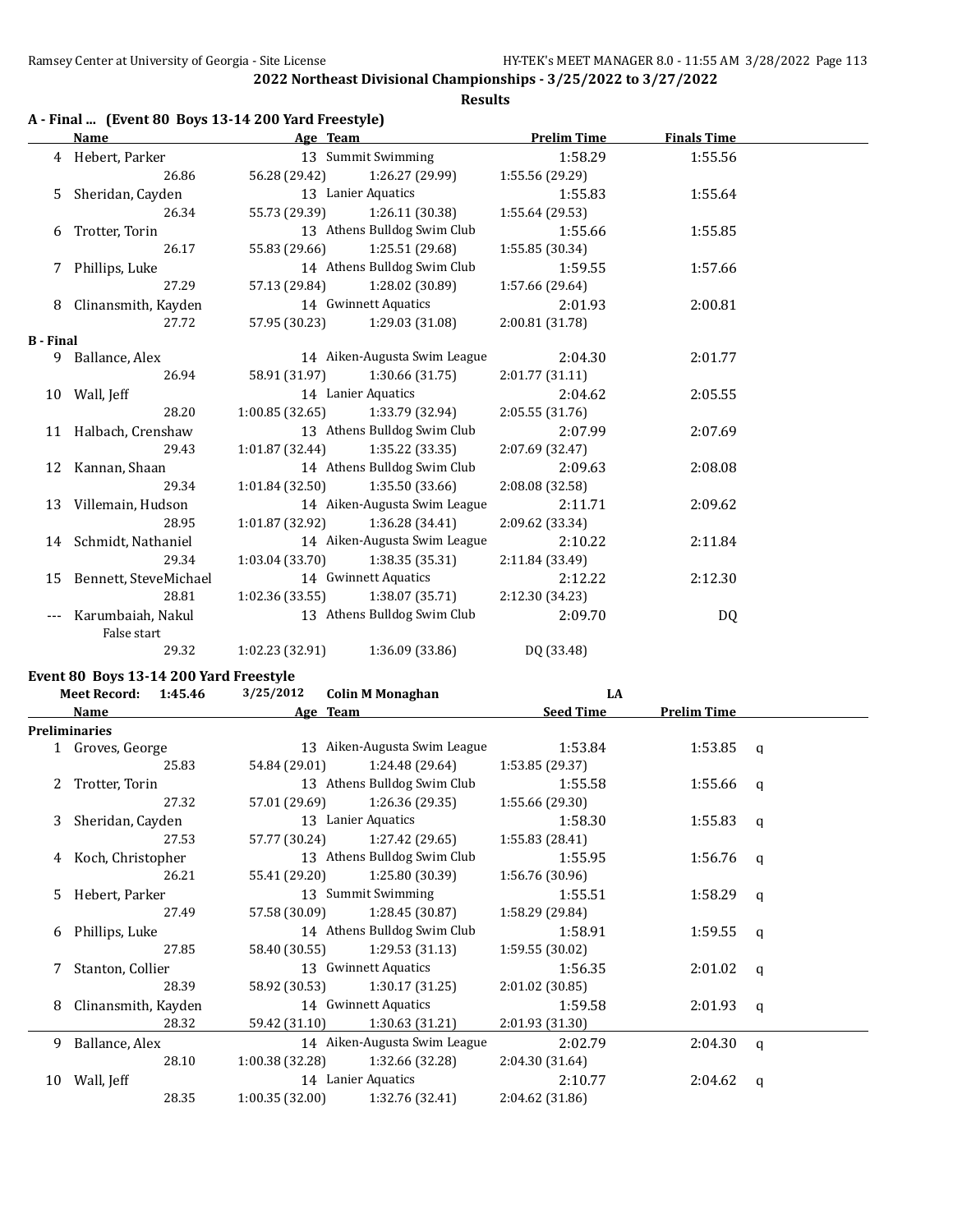# **Results**

|  |  | A - Final  (Event 80 Boys 13-14 200 Yard Freestyle) |  |
|--|--|-----------------------------------------------------|--|
|--|--|-----------------------------------------------------|--|

|                  | Name                     | Age Team        |                                   | <b>Prelim Time</b> | <b>Finals Time</b> |  |
|------------------|--------------------------|-----------------|-----------------------------------|--------------------|--------------------|--|
|                  | 4 Hebert, Parker         |                 | 13 Summit Swimming                | 1:58.29            | 1:55.56            |  |
|                  | 26.86                    |                 | 56.28 (29.42) 1:26.27 (29.99)     | 1:55.56(29.29)     |                    |  |
|                  | 5 Sheridan, Cayden       |                 | 13 Lanier Aquatics                | 1:55.83            | 1:55.64            |  |
|                  | 26.34                    |                 | 55.73 (29.39) 1:26.11 (30.38)     | 1:55.64(29.53)     |                    |  |
|                  | 6 Trotter, Torin         |                 | 13 Athens Bulldog Swim Club       | 1:55.66            | 1:55.85            |  |
|                  | 26.17                    |                 | 55.83 (29.66) 1:25.51 (29.68)     | 1:55.85(30.34)     |                    |  |
|                  | 7 Phillips, Luke         |                 | 14 Athens Bulldog Swim Club       | 1:59.55            | 1:57.66            |  |
|                  | 27.29                    |                 | 57.13 (29.84) 1:28.02 (30.89)     | 1:57.66(29.64)     |                    |  |
|                  | 8 Clinansmith, Kayden    |                 | 14 Gwinnett Aquatics              | 2:01.93            | 2:00.81            |  |
|                  | 27.72                    |                 | 57.95 (30.23) 1:29.03 (31.08)     | 2:00.81 (31.78)    |                    |  |
| <b>B</b> - Final |                          |                 |                                   |                    |                    |  |
|                  | 9 Ballance, Alex         |                 | 14 Aiken-Augusta Swim League      | 2:04.30            | 2:01.77            |  |
|                  | 26.94                    |                 | 58.91 (31.97) 1:30.66 (31.75)     | 2:01.77(31.11)     |                    |  |
|                  | 10 Wall, Jeff            |                 | 14 Lanier Aquatics                | 2:04.62            | 2:05.55            |  |
|                  | 28.20                    |                 | $1:00.85(32.65)$ $1:33.79(32.94)$ | 2:05.55(31.76)     |                    |  |
|                  | 11 Halbach, Crenshaw     |                 | 13 Athens Bulldog Swim Club       | 2:07.99            | 2:07.69            |  |
|                  | 29.43                    | 1:01.87(32.44)  | 1:35.22 (33.35)                   | 2:07.69 (32.47)    |                    |  |
|                  | 12 Kannan, Shaan         |                 | 14 Athens Bulldog Swim Club       | 2:09.63            | 2:08.08            |  |
|                  | 29.34                    |                 | $1:01.84(32.50)$ $1:35.50(33.66)$ | 2:08.08(32.58)     |                    |  |
|                  | 13 Villemain, Hudson     |                 | 14 Aiken-Augusta Swim League      | 2:11.71            | 2:09.62            |  |
|                  | 28.95                    |                 | $1:01.87(32.92)$ $1:36.28(34.41)$ | 2:09.62 (33.34)    |                    |  |
|                  | 14 Schmidt, Nathaniel    |                 | 14 Aiken-Augusta Swim League      | 2:10.22            | 2:11.84            |  |
|                  | 29.34                    |                 | $1:03.04(33.70)$ $1:38.35(35.31)$ | 2:11.84 (33.49)    |                    |  |
|                  | 15 Bennett, SteveMichael |                 | 14 Gwinnett Aquatics              | 2:12.22            | 2:12.30            |  |
|                  | 28.81                    |                 | $1:02.36(33.55)$ $1:38.07(35.71)$ | 2:12.30(34.23)     |                    |  |
|                  | Karumbaiah, Nakul        |                 | 13 Athens Bulldog Swim Club       | 2:09.70            | DQ                 |  |
|                  | False start              |                 |                                   |                    |                    |  |
|                  | 29.32                    | 1:02.23 (32.91) | 1:36.09 (33.86)                   | DQ (33.48)         |                    |  |

#### **Event 80 Boys 13-14 200 Yard Freestyle**

| <b>Meet Record:</b><br>1:45.46 |                      |       | 3/25/2012       | <b>Colin M Monaghan</b>       | LA               |                    |          |
|--------------------------------|----------------------|-------|-----------------|-------------------------------|------------------|--------------------|----------|
|                                | Name                 |       |                 | Age Team                      | <b>Seed Time</b> | <b>Prelim Time</b> |          |
|                                | <b>Preliminaries</b> |       |                 |                               |                  |                    |          |
|                                | 1 Groves, George     |       |                 | 13 Aiken-Augusta Swim League  | 1:53.84          | $1:53.85$ q        |          |
|                                |                      | 25.83 | 54.84 (29.01)   | 1:24.48 (29.64)               | 1:53.85 (29.37)  |                    |          |
|                                | 2 Trotter, Torin     |       |                 | 13 Athens Bulldog Swim Club   | 1:55.58          | 1:55.66 q          |          |
|                                |                      | 27.32 |                 | 57.01 (29.69) 1:26.36 (29.35) | 1:55.66(29.30)   |                    |          |
|                                | 3 Sheridan, Cayden   |       |                 | 13 Lanier Aquatics            | 1:58.30          | 1:55.83            | q        |
|                                |                      | 27.53 | 57.77 (30.24)   | 1:27.42 (29.65)               | 1:55.83 (28.41)  |                    |          |
|                                | 4 Koch, Christopher  |       |                 | 13 Athens Bulldog Swim Club   | 1:55.95          | 1:56.76            | q        |
|                                |                      | 26.21 |                 | 55.41 (29.20) 1:25.80 (30.39) | 1:56.76(30.96)   |                    |          |
| 5.                             | Hebert, Parker       |       |                 | 13 Summit Swimming            | 1:55.51          | $1:58.29$ q        |          |
|                                |                      | 27.49 |                 | 57.58 (30.09) 1:28.45 (30.87) | 1:58.29 (29.84)  |                    |          |
| 6                              | Phillips, Luke       |       |                 | 14 Athens Bulldog Swim Club   | 1:58.91          | 1:59.55            | $\alpha$ |
|                                |                      | 27.85 | 58.40 (30.55)   | 1:29.53 (31.13)               | 1:59.55 (30.02)  |                    |          |
|                                | Stanton, Collier     |       |                 | 13 Gwinnett Aquatics          | 1:56.35          | 2:01.02            | a        |
|                                |                      | 28.39 |                 | 58.92 (30.53) 1:30.17 (31.25) | 2:01.02(30.85)   |                    |          |
| 8                              | Clinansmith, Kayden  |       |                 | 14 Gwinnett Aquatics          | 1:59.58          | $2:01.93$ q        |          |
|                                |                      | 28.32 | 59.42 (31.10)   | 1:30.63 (31.21)               | 2:01.93(31.30)   |                    |          |
| 9                              | Ballance, Alex       |       |                 | 14 Aiken-Augusta Swim League  | 2:02.79          | 2:04.30            | q        |
|                                |                      | 28.10 | 1:00.38 (32.28) | 1:32.66 (32.28)               | 2:04.30(31.64)   |                    |          |
|                                | 10 Wall, Jeff        |       |                 | 14 Lanier Aquatics            | 2:10.77          | 2:04.62            | a        |
|                                |                      | 28.35 | 1:00.35(32.00)  | 1:32.76 (32.41)               | 2:04.62 (31.86)  |                    |          |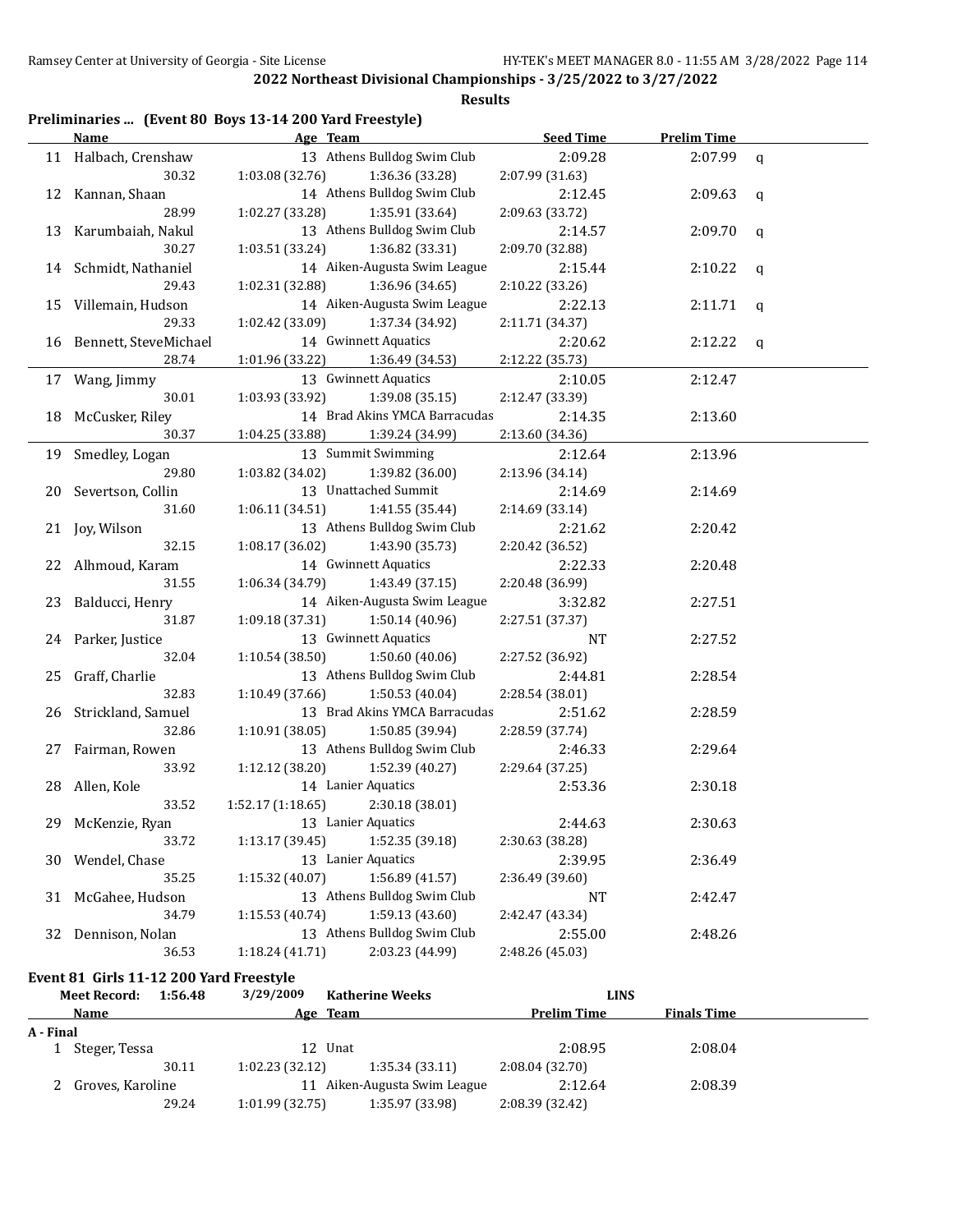#### **Results**

| Preliminaries  (Event 80 Boys 13-14 200 Yard Freestyle) |  |  |
|---------------------------------------------------------|--|--|
|                                                         |  |  |

|    | Name                      | Age Team <b>Age Team</b> 2007                                     | <b>Seed Time</b>      | <b>Prelim Time</b> |              |
|----|---------------------------|-------------------------------------------------------------------|-----------------------|--------------------|--------------|
|    | 11 Halbach, Crenshaw      | 13 Athens Bulldog Swim Club                                       | 2:09.28               | 2:07.99            | $\mathsf{q}$ |
|    | 30.32                     | 1:03.08 (32.76)<br>1:36.36 (33.28)                                | 2:07.99 (31.63)       |                    |              |
|    | 12 Kannan, Shaan          | 14 Athens Bulldog Swim Club                                       | 2:12.45               | 2:09.63            | q            |
|    | 28.99                     | 1:02.27 (33.28)<br>1:35.91 (33.64)                                | 2:09.63 (33.72)       |                    |              |
|    | 13 Karumbaiah, Nakul      | 13 Athens Bulldog Swim Club                                       | 2:14.57               | 2:09.70            | $\mathbf q$  |
|    | 30.27                     | 1:03.51 (33.24)<br>1:36.82 (33.31)                                | 2:09.70 (32.88)       |                    |              |
|    | 14 Schmidt, Nathaniel     | 14 Aiken-Augusta Swim League                                      | 2:15.44               | 2:10.22            | q            |
|    | 29.43                     | 1:02.31 (32.88)<br>1:36.96 (34.65)                                | 2:10.22 (33.26)       |                    |              |
|    | 15 Villemain, Hudson      | 14 Aiken-Augusta Swim League                                      | 2:22.13               | 2:11.71            | q            |
|    | 29.33                     | 1:02.42 (33.09)<br>1:37.34 (34.92)                                | 2:11.71 (34.37)       |                    |              |
|    | 16 Bennett, SteveMichael  | 14 Gwinnett Aquatics                                              | 2:20.62               | 2:12.22            | q            |
|    | 28.74                     | 1:01.96 (33.22)<br>1:36.49 (34.53)                                | 2:12.22 (35.73)       |                    |              |
|    | 17 Wang, Jimmy            | 13 Gwinnett Aquatics                                              | 2:10.05               | 2:12.47            |              |
|    | 30.01                     | 1:03.93 (33.92)<br>1:39.08 (35.15)                                | 2:12.47 (33.39)       |                    |              |
|    | 18 McCusker, Riley        | 14 Brad Akins YMCA Barracudas                                     | 2:14.35               | 2:13.60            |              |
|    | 30.37                     | 1:04.25 (33.88)<br>1:39.24 (34.99)                                | 2:13.60 (34.36)       |                    |              |
|    | 19 Smedley, Logan         | 13 Summit Swimming                                                | 2:12.64               | 2:13.96            |              |
|    | 29.80                     | 1:03.82 (34.02)<br>1:39.82 (36.00)                                | 2:13.96 (34.14)       |                    |              |
|    | 20 Severtson, Collin      | 13 Unattached Summit                                              | 2:14.69               | 2:14.69            |              |
|    | 31.60                     | 1:41.55 (35.44)<br>1:06.11(34.51)                                 | 2:14.69 (33.14)       |                    |              |
|    | 21 Joy, Wilson            | 13 Athens Bulldog Swim Club                                       | 2:21.62               | 2:20.42            |              |
|    | 32.15                     | 1:08.17(36.02)<br>1:43.90 (35.73)                                 | 2:20.42 (36.52)       |                    |              |
|    | 22 Alhmoud, Karam         | 14 Gwinnett Aquatics                                              | 2:22.33               | 2:20.48            |              |
|    | 31.55                     | 1:06.34(34.79)<br>1:43.49 (37.15)                                 | 2:20.48 (36.99)       |                    |              |
|    | 23 Balducci, Henry        | 14 Aiken-Augusta Swim League                                      | 3:32.82               | 2:27.51            |              |
|    | 31.87                     | 1:09.18(37.31)<br>1:50.14 (40.96)                                 | 2:27.51 (37.37)       |                    |              |
|    | 24 Parker, Justice        | 13 Gwinnett Aquatics                                              | NT                    | 2:27.52            |              |
|    | 32.04                     | 1:10.54(38.50)<br>1:50.60 (40.06)                                 | 2:27.52 (36.92)       |                    |              |
|    | 25 Graff, Charlie         | 13 Athens Bulldog Swim Club                                       | 2:44.81               | 2:28.54            |              |
|    | 32.83                     | 1:10.49(37.66)<br>1:50.53(40.04)                                  | 2:28.54 (38.01)       |                    |              |
|    | 26 Strickland, Samuel     | 13 Brad Akins YMCA Barracudas                                     | 2:51.62               | 2:28.59            |              |
|    | 32.86                     | 1:10.91(38.05)<br>1:50.85 (39.94)                                 | 2:28.59 (37.74)       |                    |              |
|    | 27 Fairman, Rowen         | 13 Athens Bulldog Swim Club                                       | 2:46.33               | 2:29.64            |              |
|    | 33.92                     | 1:12.12 (38.20)<br>1:52.39 (40.27)                                | 2:29.64 (37.25)       |                    |              |
|    | 28 Allen, Kole            | 14 Lanier Aquatics                                                | 2:53.36               | 2:30.18            |              |
|    | 33.52                     | 2:30.18 (38.01)<br>1:52.17(1:18.65)                               |                       |                    |              |
| 29 | McKenzie, Ryan            | 13 Lanier Aquatics                                                | 2:44.63               | 2:30.63            |              |
|    | 33.72                     | 1:52.35 (39.18)<br>1:13.17 (39.45)                                | 2:30.63 (38.28)       |                    |              |
|    | 30 Wendel, Chase<br>35.25 | 13 Lanier Aquatics<br>1:15.32 (40.07)<br>1:56.89 (41.57)          | 2:39.95               | 2:36.49            |              |
|    |                           | 13 Athens Bulldog Swim Club                                       | 2:36.49 (39.60)       |                    |              |
| 31 | McGahee, Hudson           |                                                                   | NT<br>2:42.47 (43.34) | 2:42.47            |              |
|    | 34.79                     | 1:15.53 (40.74)<br>1:59.13 (43.60)<br>13 Athens Bulldog Swim Club |                       |                    |              |
| 32 | Dennison, Nolan           |                                                                   | 2:55.00               | 2:48.26            |              |
|    | 36.53                     | 2:03.23 (44.99)<br>1:18.24 (41.71)                                | 2:48.26 (45.03)       |                    |              |

**Event 81 Girls 11-12 200 Yard Freestyle**

|           | Meet Record:     | 1:56.48 | 3/29/2009      | <b>Katherine Weeks</b>    |                    | <b>LINS</b>        |  |
|-----------|------------------|---------|----------------|---------------------------|--------------------|--------------------|--|
|           | Name             |         |                | Age Team                  | <b>Prelim Time</b> | <b>Finals Time</b> |  |
| A - Final |                  |         |                |                           |                    |                    |  |
|           | Steger, Tessa    |         |                | 12 Unat                   | 2:08.95            | 2:08.04            |  |
|           |                  | 30.11   | 1:02.23(32.12) | 1:35.34(33.11)            | 2:08.04(32.70)     |                    |  |
|           | Groves, Karoline |         | 11             | Aiken-Augusta Swim League | 2:12.64            | 2:08.39            |  |
|           |                  | 29.24   | 1:01.99(32.75) | 1:35.97 (33.98)           | 2:08.39 (32.42)    |                    |  |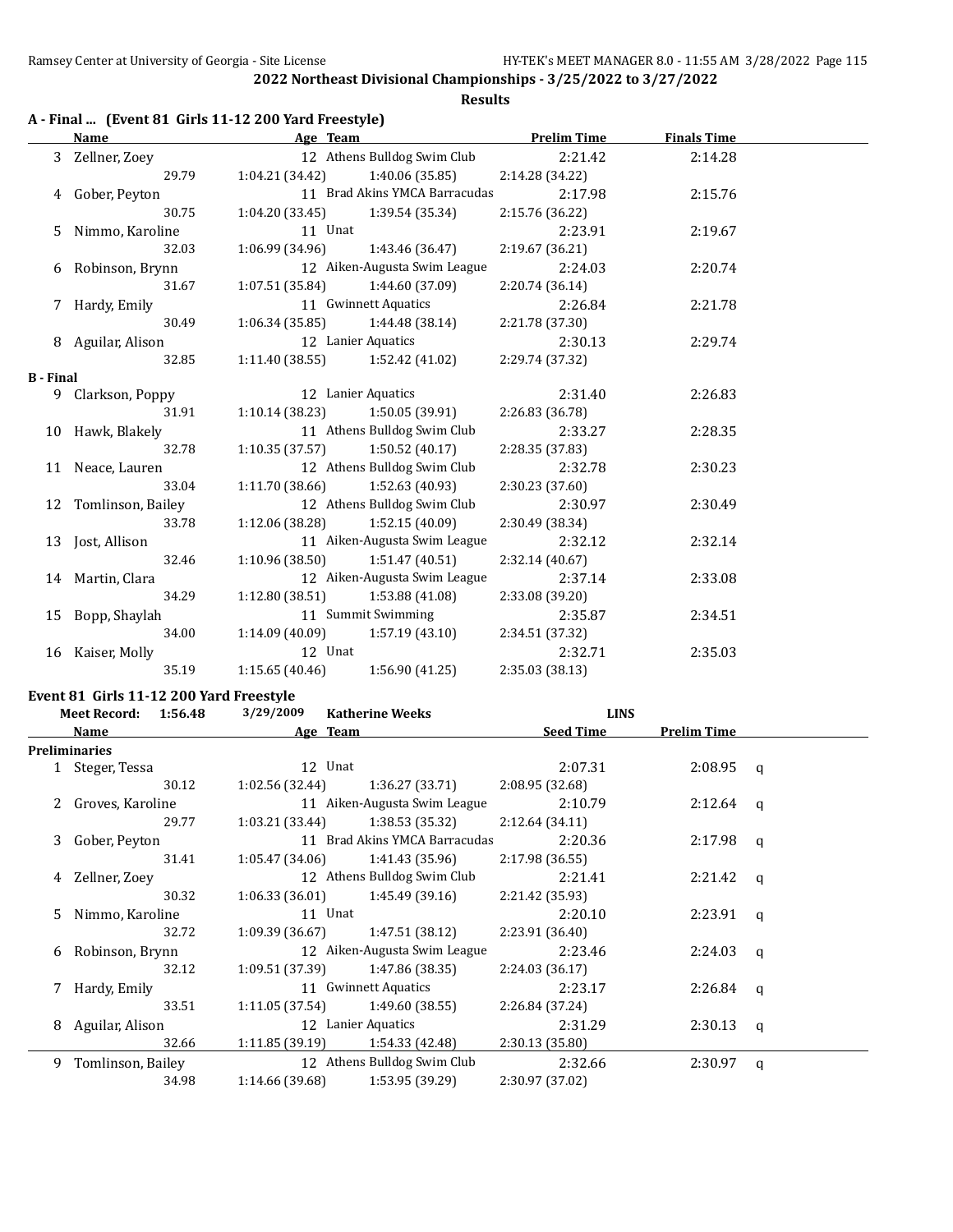**Results**

|  |  | A - Final  (Event 81 Girls 11-12 200 Yard Freestyle) |  |
|--|--|------------------------------------------------------|--|
|--|--|------------------------------------------------------|--|

|                  | Name                 | Age Team                                           |                               | <b>Prelim Time</b> | <b>Finals Time</b> |  |
|------------------|----------------------|----------------------------------------------------|-------------------------------|--------------------|--------------------|--|
|                  | 3 Zellner, Zoey      |                                                    | 12 Athens Bulldog Swim Club   | 2:21.42            | 2:14.28            |  |
|                  | 29.79                | $1:04.21(34.42)$ $1:40.06(35.85)$                  |                               | 2:14.28 (34.22)    |                    |  |
|                  | 4 Gober, Peyton      |                                                    | 11 Brad Akins YMCA Barracudas | 2:17.98            | 2:15.76            |  |
|                  | 30.75                | $1:04.20(33.45)$ $1:39.54(35.34)$                  |                               | 2:15.76 (36.22)    |                    |  |
|                  | 5 Nimmo, Karoline    | 11 Unat                                            |                               | 2:23.91            | 2:19.67            |  |
|                  | 32.03                | $1:06.99(34.96)$ $1:43.46(36.47)$                  |                               | 2:19.67(36.21)     |                    |  |
|                  | 6 Robinson, Brynn    | 12 Aiken-Augusta Swim League                       |                               | 2:24.03            | 2:20.74            |  |
|                  | 31.67                | $1:07.51(35.84)$ $1:44.60(37.09)$                  |                               | 2:20.74 (36.14)    |                    |  |
|                  | 7 Hardy, Emily       |                                                    | 11 Gwinnett Aquatics          | 2:26.84            | 2:21.78            |  |
|                  | 30.49                | $1:06.34(35.85)$ $1:44.48(38.14)$                  |                               | 2:21.78 (37.30)    |                    |  |
|                  | 8 Aguilar, Alison    | 12 Lanier Aquatics                                 |                               | 2:30.13            | 2:29.74            |  |
|                  | 32.85                | $1:11.40(38.55)$ $1:52.42(41.02)$                  |                               | 2:29.74 (37.32)    |                    |  |
| <b>B</b> - Final |                      |                                                    |                               |                    |                    |  |
|                  | 9 Clarkson, Poppy    | 12 Lanier Aquatics                                 |                               | 2:31.40            | 2:26.83            |  |
|                  | 31.91                | $1:10.14(38.23)$ $1:50.05(39.91)$                  |                               | 2:26.83 (36.78)    |                    |  |
|                  | 10 Hawk, Blakely     |                                                    | 11 Athens Bulldog Swim Club   | 2:33.27            | 2:28.35            |  |
|                  | 32.78                | $1:10.35(37.57)$ $1:50.52(40.17)$                  |                               | 2:28.35 (37.83)    |                    |  |
|                  | 11 Neace, Lauren     | 12 Athens Bulldog Swim Club                        |                               | 2:32.78            | 2:30.23            |  |
|                  | 33.04                | $1:11.70(38.66)$ $1:52.63(40.93)$                  |                               | 2:30.23(37.60)     |                    |  |
|                  | 12 Tomlinson, Bailey |                                                    | 12 Athens Bulldog Swim Club   | 2:30.97            | 2:30.49            |  |
|                  | 33.78                | $1:12.06(38.28)$ $1:52.15(40.09)$                  |                               | 2:30.49 (38.34)    |                    |  |
|                  | 13 Jost, Allison     |                                                    | 11 Aiken-Augusta Swim League  | 2:32.12            | 2:32.14            |  |
|                  | 32.46                | $1:10.96(38.50)$ $1:51.47(40.51)$                  |                               | 2:32.14 (40.67)    |                    |  |
|                  | 14 Martin, Clara     |                                                    | 12 Aiken-Augusta Swim League  | 2:37.14            | 2:33.08            |  |
|                  | 34.29                | $1:12.80(38.51)$ $1:53.88(41.08)$                  |                               | 2:33.08 (39.20)    |                    |  |
|                  | 15 Bopp, Shaylah     | 11 Summit Swimming                                 |                               | 2:35.87            | 2:34.51            |  |
|                  | 34.00                | $1:14.09(40.09)$ $1:57.19(43.10)$ $2:34.51(37.32)$ |                               |                    |                    |  |
|                  | 16 Kaiser, Molly     | 12 Unat                                            |                               | 2:32.71            | 2:35.03            |  |
|                  | 35.19                | $1:15.65(40.46)$ $1:56.90(41.25)$                  |                               | 2:35.03 (38.13)    |                    |  |

# **Event 81 Girls 11-12 200 Yard Freestyle**<br>Meet Becord: 1.56.49 2/29/2009

|    | Event 81 Girls 11-12 200 raid Freestyle |       |                 |                                   |                  |                    |   |
|----|-----------------------------------------|-------|-----------------|-----------------------------------|------------------|--------------------|---|
|    | Meet Record: 1:56.48                    |       | 3/29/2009       | <b>Katherine Weeks</b>            | <b>LINS</b>      |                    |   |
|    | Name                                    |       |                 | Age Team                          | <b>Seed Time</b> | <b>Prelim Time</b> |   |
|    | <b>Preliminaries</b>                    |       |                 |                                   |                  |                    |   |
|    | 1 Steger, Tessa                         |       |                 | 12 Unat                           | 2:07.31          | $2:08.95$ q        |   |
|    |                                         | 30.12 | 1:02.56 (32.44) | 1:36.27 (33.71)                   | 2:08.95(32.68)   |                    |   |
|    | 2 Groves, Karoline                      |       |                 | 11 Aiken-Augusta Swim League      | 2:10.79          | $2:12.64$ q        |   |
|    |                                         | 29.77 | 1:03.21 (33.44) | 1:38.53 (35.32)                   | 2:12.64(34.11)   |                    |   |
|    | 3 Gober, Peyton                         |       |                 | 11 Brad Akins YMCA Barracudas     | 2:20.36          | $2:17.98$ q        |   |
|    |                                         | 31.41 | 1:05.47 (34.06) | 1:41.43 (35.96)                   | 2:17.98(36.55)   |                    |   |
| 4  | Zellner, Zoey                           |       |                 | 12 Athens Bulldog Swim Club       | 2:21.41          | $2:21.42$ q        |   |
|    |                                         | 30.32 | 1:06.33(36.01)  | 1:45.49 (39.16)                   | 2:21.42 (35.93)  |                    |   |
| .5 | Nimmo, Karoline                         |       |                 | 11 Unat                           | 2:20.10          | $2:23.91$ q        |   |
|    |                                         | 32.72 | 1:09.39 (36.67) | 1:47.51 (38.12)                   | 2:23.91 (36.40)  |                    |   |
| 6  | Robinson, Brynn                         |       |                 | 12 Aiken-Augusta Swim League      | 2:23.46          | 2:24.03            | a |
|    |                                         | 32.12 |                 | $1:09.51(37.39)$ $1:47.86(38.35)$ | 2:24.03(36.17)   |                    |   |
|    | 7 Hardy, Emily                          |       |                 | 11 Gwinnett Aquatics              | 2:23.17          | $2:26.84$ q        |   |
|    |                                         | 33.51 |                 | $1:11.05(37.54)$ $1:49.60(38.55)$ | 2:26.84 (37.24)  |                    |   |
| 8  | Aguilar, Alison                         |       |                 | 12 Lanier Aquatics                | 2:31.29          | $2:30.13$ q        |   |
|    |                                         | 32.66 | 1:11.85 (39.19) | 1:54.33 (42.48)                   | 2:30.13 (35.80)  |                    |   |
| 9  | Tomlinson, Bailey                       |       |                 | 12 Athens Bulldog Swim Club       | 2:32.66          | 2:30.97            | q |
|    |                                         | 34.98 | 1:14.66 (39.68) | 1:53.95 (39.29)                   | 2:30.97 (37.02)  |                    |   |
|    |                                         |       |                 |                                   |                  |                    |   |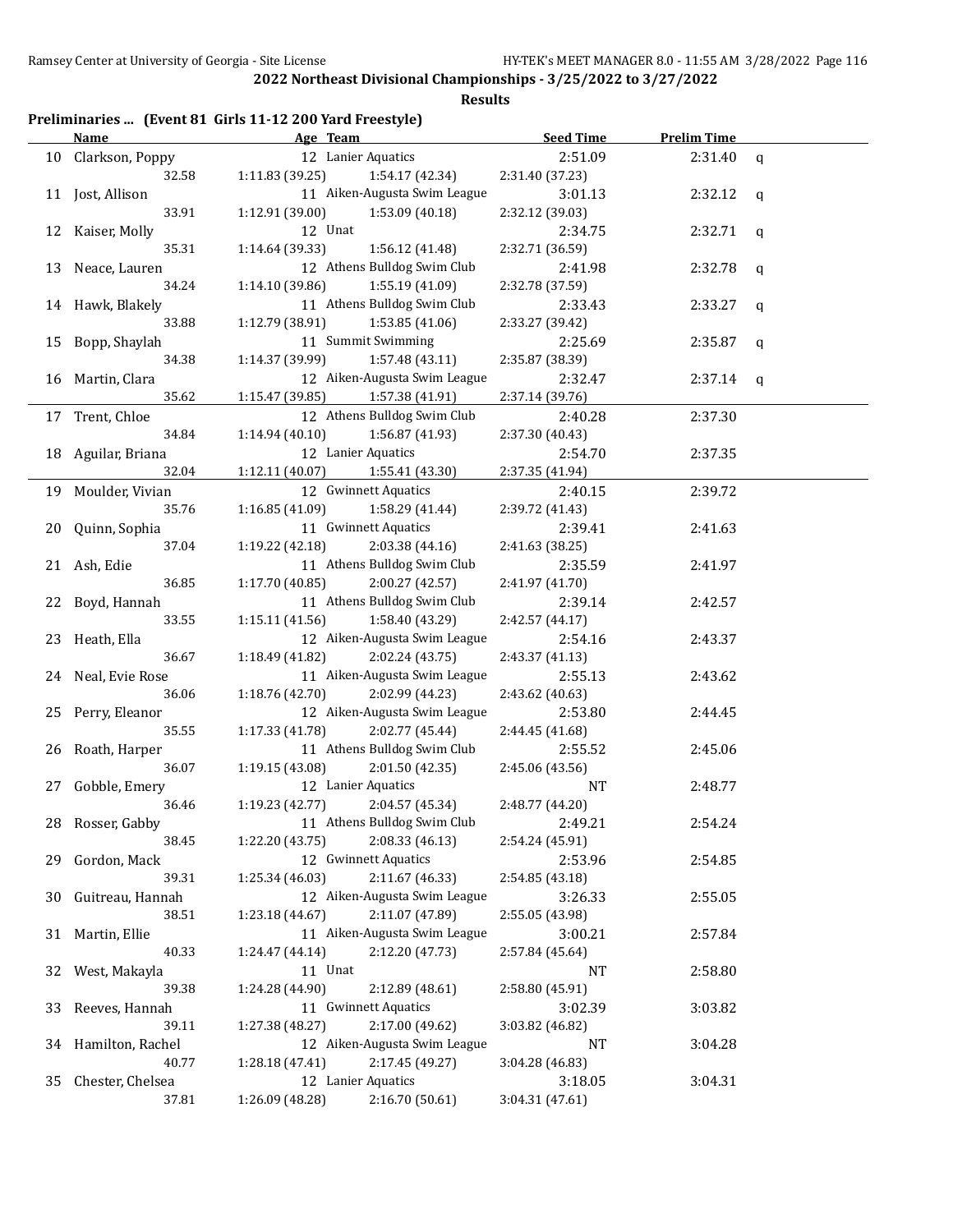**Results**

# **Preliminaries ... (Event 81 Girls 11-12 200 Yard Freestyle)**

|    | Name               | Age Team                           | <b>Seed Time</b> | <b>Prelim Time</b> |   |
|----|--------------------|------------------------------------|------------------|--------------------|---|
|    | 10 Clarkson, Poppy | 12 Lanier Aquatics                 | 2:51.09          | 2:31.40            | q |
|    | 32.58              | 1:11.83(39.25)<br>1:54.17 (42.34)  | 2:31.40 (37.23)  |                    |   |
|    | 11 Jost, Allison   | 11 Aiken-Augusta Swim League       | 3:01.13          | 2:32.12            | q |
|    | 33.91              | 1:12.91 (39.00)<br>1:53.09 (40.18) | 2:32.12 (39.03)  |                    |   |
|    | 12 Kaiser, Molly   | 12 Unat                            | 2:34.75          | 2:32.71            | q |
|    | 35.31              | 1:14.64 (39.33)<br>1:56.12 (41.48) | 2:32.71 (36.59)  |                    |   |
|    | 13 Neace, Lauren   | 12 Athens Bulldog Swim Club        | 2:41.98          | 2:32.78            | q |
|    | 34.24              | 1:14.10 (39.86)<br>1:55.19 (41.09) | 2:32.78 (37.59)  |                    |   |
|    | 14 Hawk, Blakely   | 11 Athens Bulldog Swim Club        | 2:33.43          | 2:33.27            | q |
|    | 33.88              | 1:12.79 (38.91)<br>1:53.85 (41.06) | 2:33.27 (39.42)  |                    |   |
| 15 | Bopp, Shaylah      | 11 Summit Swimming                 | 2:25.69          | 2:35.87            | q |
|    | 34.38              | 1:14.37 (39.99)<br>1:57.48 (43.11) | 2:35.87 (38.39)  |                    |   |
|    | 16 Martin, Clara   | 12 Aiken-Augusta Swim League       | 2:32.47          | 2:37.14            | q |
|    | 35.62              | 1:15.47 (39.85)<br>1:57.38 (41.91) | 2:37.14 (39.76)  |                    |   |
|    | 17 Trent, Chloe    | 12 Athens Bulldog Swim Club        | 2:40.28          | 2:37.30            |   |
|    | 34.84              | 1:14.94 (40.10)<br>1:56.87 (41.93) | 2:37.30 (40.43)  |                    |   |
|    | 18 Aguilar, Briana | 12 Lanier Aquatics                 | 2:54.70          | 2:37.35            |   |
|    | 32.04              | 1:12.11 (40.07)<br>1:55.41 (43.30) | 2:37.35 (41.94)  |                    |   |
|    | 19 Moulder, Vivian | 12 Gwinnett Aquatics               | 2:40.15          | 2:39.72            |   |
|    | 35.76              | 1:16.85 (41.09)<br>1:58.29 (41.44) | 2:39.72 (41.43)  |                    |   |
| 20 | Quinn, Sophia      | 11 Gwinnett Aquatics               | 2:39.41          | 2:41.63            |   |
|    | 37.04              | 1:19.22 (42.18)<br>2:03.38 (44.16) | 2:41.63 (38.25)  |                    |   |
|    | 21 Ash, Edie       | 11 Athens Bulldog Swim Club        | 2:35.59          | 2:41.97            |   |
|    | 36.85              | 1:17.70 (40.85)<br>2:00.27 (42.57) | 2:41.97 (41.70)  |                    |   |
|    | 22 Boyd, Hannah    | 11 Athens Bulldog Swim Club        | 2:39.14          | 2:42.57            |   |
|    | 33.55              | 1:58.40 (43.29)<br>1:15.11 (41.56) | 2:42.57 (44.17)  |                    |   |
|    | 23 Heath, Ella     | 12 Aiken-Augusta Swim League       | 2:54.16          | 2:43.37            |   |
|    | 36.67              | 1:18.49 (41.82)<br>2:02.24 (43.75) | 2:43.37 (41.13)  |                    |   |
|    | 24 Neal, Evie Rose | 11 Aiken-Augusta Swim League       | 2:55.13          | 2:43.62            |   |
|    | 36.06              | 1:18.76 (42.70)<br>2:02.99 (44.23) | 2:43.62 (40.63)  |                    |   |
|    | 25 Perry, Eleanor  | 12 Aiken-Augusta Swim League       | 2:53.80          | 2:44.45            |   |
|    | 35.55              | 1:17.33 (41.78)<br>2:02.77 (45.44) | 2:44.45 (41.68)  |                    |   |
| 26 | Roath, Harper      | 11 Athens Bulldog Swim Club        | 2:55.52          | 2:45.06            |   |
|    | 36.07              | 1:19.15 (43.08)<br>2:01.50 (42.35) | 2:45.06 (43.56)  |                    |   |
| 27 | Gobble, Emery      | 12 Lanier Aquatics                 | NT               | 2:48.77            |   |
|    | 36.46              | 1:19.23(42.77)<br>2:04.57 (45.34)  | 2:48.77 (44.20)  |                    |   |
|    | 28 Rosser, Gabby   | 11 Athens Bulldog Swim Club        | 2:49.21          | 2:54.24            |   |
|    | 38.45              | 2:08.33 (46.13)<br>1:22.20(43.75)  | 2:54.24 (45.91)  |                    |   |
| 29 | Gordon, Mack       | 12 Gwinnett Aquatics               | 2:53.96          | 2:54.85            |   |
|    | 39.31              | 2:11.67 (46.33)<br>1:25.34 (46.03) | 2:54.85 (43.18)  |                    |   |
| 30 | Guitreau, Hannah   | 12 Aiken-Augusta Swim League       | 3:26.33          | 2:55.05            |   |
|    | 38.51              | 2:11.07 (47.89)<br>1:23.18 (44.67) | 2:55.05 (43.98)  |                    |   |
| 31 | Martin, Ellie      | 11 Aiken-Augusta Swim League       | 3:00.21          | 2:57.84            |   |
|    | 40.33              | 2:12.20 (47.73)<br>1:24.47(44.14)  | 2:57.84 (45.64)  |                    |   |
| 32 | West, Makayla      | 11 Unat                            | <b>NT</b>        | 2:58.80            |   |
|    | 39.38              | 1:24.28 (44.90)<br>2:12.89 (48.61) | 2:58.80 (45.91)  |                    |   |
| 33 | Reeves, Hannah     | 11 Gwinnett Aquatics               | 3:02.39          | 3:03.82            |   |
|    | 39.11              | 2:17.00 (49.62)<br>1:27.38 (48.27) | 3:03.82 (46.82)  |                    |   |
| 34 | Hamilton, Rachel   | 12 Aiken-Augusta Swim League       | <b>NT</b>        | 3:04.28            |   |
|    | 40.77              | 2:17.45 (49.27)<br>1:28.18 (47.41) | 3:04.28 (46.83)  |                    |   |
| 35 | Chester, Chelsea   | 12 Lanier Aquatics                 | 3:18.05          | 3:04.31            |   |
|    | 37.81              | 2:16.70 (50.61)<br>1:26.09 (48.28) | 3:04.31 (47.61)  |                    |   |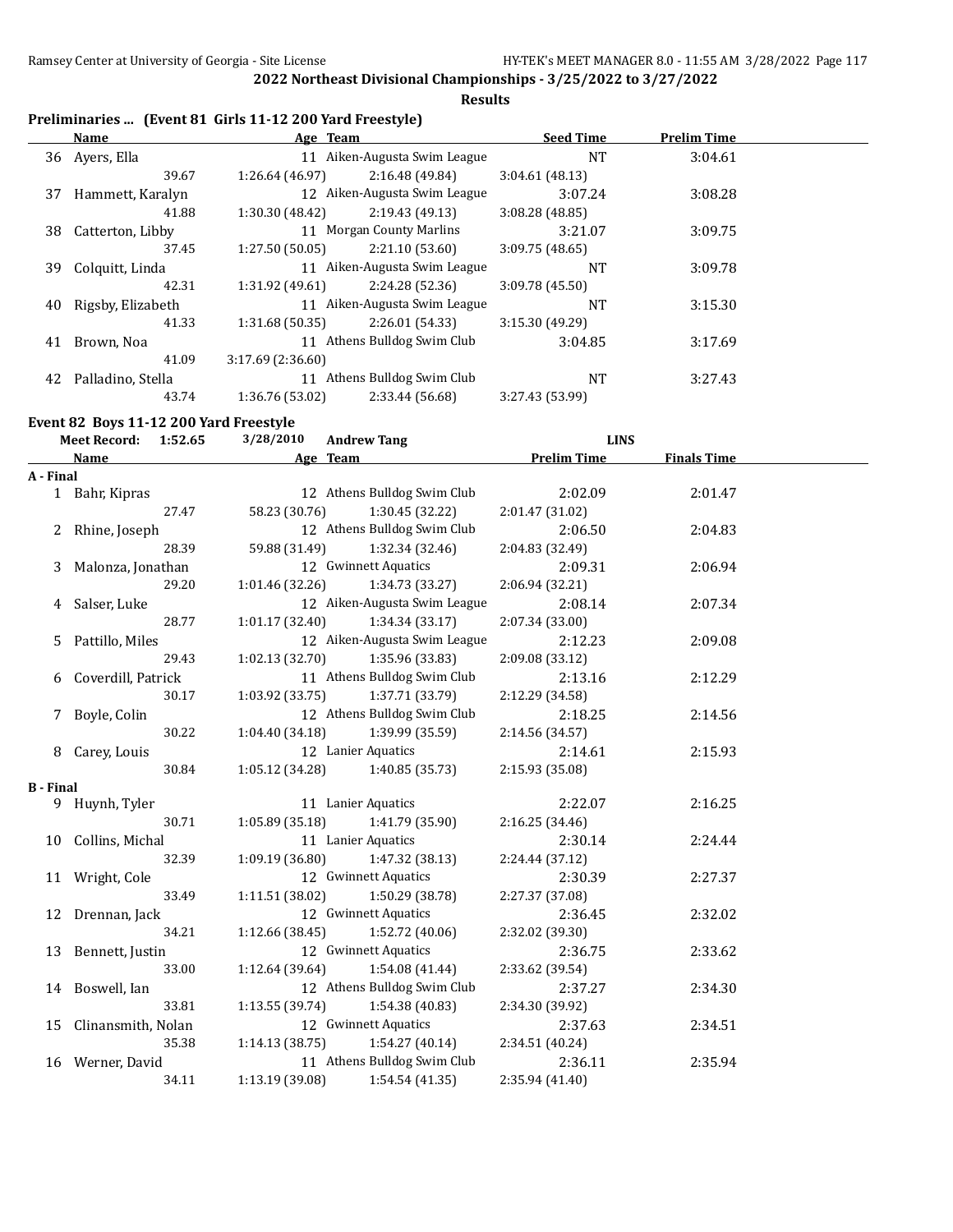$\overline{a}$ 

**2022 Northeast Divisional Championships - 3/25/2022 to 3/27/2022**

**Results**

# **Preliminaries ... (Event 81 Girls 11-12 200 Yard Freestyle)**

|    | Name              | Age Team         |                              | <b>Seed Time</b> | <b>Prelim Time</b> |  |
|----|-------------------|------------------|------------------------------|------------------|--------------------|--|
|    | 36 Avers, Ella    | 11               | Aiken-Augusta Swim League    | NT               | 3:04.61            |  |
|    | 39.67             | 1:26.64 (46.97)  | 2:16.48 (49.84)              | 3:04.61(48.13)   |                    |  |
| 37 | Hammett, Karalyn  |                  | 12 Aiken-Augusta Swim League | 3:07.24          | 3:08.28            |  |
|    | 41.88             | 1:30.30 (48.42)  | 2:19.43(49.13)               | 3:08.28(48.85)   |                    |  |
| 38 | Catterton, Libby  |                  | 11 Morgan County Marlins     | 3:21.07          | 3:09.75            |  |
|    | 37.45             | 1:27.50(50.05)   | 2:21.10(53.60)               | 3:09.75(48.65)   |                    |  |
| 39 | Colquitt, Linda   |                  | 11 Aiken-Augusta Swim League | NT               | 3:09.78            |  |
|    | 42.31             | 1:31.92 (49.61)  | 2:24.28 (52.36)              | 3:09.78 (45.50)  |                    |  |
| 40 | Rigsby, Elizabeth |                  | 11 Aiken-Augusta Swim League | NT               | 3:15.30            |  |
|    | 41.33             | 1:31.68(50.35)   | 2:26.01(54.33)               | 3:15.30(49.29)   |                    |  |
| 41 | Brown, Noa        |                  | 11 Athens Bulldog Swim Club  | 3:04.85          | 3:17.69            |  |
|    | 41.09             | 3:17.69(2:36.60) |                              |                  |                    |  |
| 42 | Palladino, Stella | 11               | Athens Bulldog Swim Club     | NT               | 3:27.43            |  |
|    | 43.74             | 1:36.76 (53.02)  | 2:33.44 (56.68)              | 3:27.43 (53.99)  |                    |  |

#### **Event 82 Boys 11-12 200 Yard Freestyle**

|                  | <b>Meet Record:</b>   | 1:52.65 | 3/28/2010       | <b>Andrew Tang</b>                | <b>LINS</b>        |                    |  |
|------------------|-----------------------|---------|-----------------|-----------------------------------|--------------------|--------------------|--|
|                  | <b>Name</b>           |         |                 | Age Team                          | <b>Prelim Time</b> | <b>Finals Time</b> |  |
| A - Final        |                       |         |                 |                                   |                    |                    |  |
|                  | 1 Bahr, Kipras        |         |                 | 12 Athens Bulldog Swim Club       | 2:02.09            | 2:01.47            |  |
|                  |                       | 27.47   | 58.23 (30.76)   | 1:30.45 (32.22)                   | 2:01.47 (31.02)    |                    |  |
| 2                | Rhine, Joseph         |         |                 | 12 Athens Bulldog Swim Club       | 2:06.50            | 2:04.83            |  |
|                  |                       | 28.39   | 59.88 (31.49)   | 1:32.34 (32.46)                   | 2:04.83 (32.49)    |                    |  |
| 3                | Malonza, Jonathan     |         |                 | 12 Gwinnett Aquatics              | 2:09.31            | 2:06.94            |  |
|                  |                       | 29.20   | 1:01.46 (32.26) | 1:34.73 (33.27)                   | 2:06.94 (32.21)    |                    |  |
| 4                | Salser, Luke          |         |                 | 12 Aiken-Augusta Swim League      | 2:08.14            | 2:07.34            |  |
|                  |                       | 28.77   | 1:01.17(32.40)  | 1:34.34 (33.17)                   | 2:07.34 (33.00)    |                    |  |
| 5                | Pattillo, Miles       |         |                 | 12 Aiken-Augusta Swim League      | 2:12.23            | 2:09.08            |  |
|                  |                       | 29.43   | 1:02.13(32.70)  | 1:35.96 (33.83)                   | 2:09.08 (33.12)    |                    |  |
|                  | 6 Coverdill, Patrick  |         |                 | 11 Athens Bulldog Swim Club       | 2:13.16            | 2:12.29            |  |
|                  |                       | 30.17   | 1:03.92(33.75)  | 1:37.71 (33.79)                   | 2:12.29 (34.58)    |                    |  |
| 7                | Boyle, Colin          |         |                 | 12 Athens Bulldog Swim Club       | 2:18.25            | 2:14.56            |  |
|                  |                       | 30.22   | 1:04.40 (34.18) | 1:39.99 (35.59)                   | 2:14.56 (34.57)    |                    |  |
| 8                | Carey, Louis          |         |                 | 12 Lanier Aquatics                | 2:14.61            | 2:15.93            |  |
|                  |                       | 30.84   |                 | $1:05.12(34.28)$ $1:40.85(35.73)$ | 2:15.93 (35.08)    |                    |  |
| <b>B</b> - Final |                       |         |                 |                                   |                    |                    |  |
|                  | 9 Huynh, Tyler        |         |                 | 11 Lanier Aquatics                | 2:22.07            | 2:16.25            |  |
|                  |                       | 30.71   | 1:05.89(35.18)  | 1:41.79 (35.90)                   | 2:16.25(34.46)     |                    |  |
|                  | 10 Collins, Michal    |         |                 | 11 Lanier Aquatics                | 2:30.14            | 2:24.44            |  |
|                  |                       | 32.39   | 1:09.19(36.80)  | 1:47.32 (38.13)                   | 2:24.44 (37.12)    |                    |  |
|                  | 11 Wright, Cole       |         |                 | 12 Gwinnett Aquatics              | 2:30.39            | 2:27.37            |  |
|                  |                       | 33.49   | 1:11.51 (38.02) | 1:50.29 (38.78)                   | 2:27.37 (37.08)    |                    |  |
|                  | 12 Drennan, Jack      |         |                 | 12 Gwinnett Aquatics              | 2:36.45            | 2:32.02            |  |
|                  |                       | 34.21   | 1:12.66 (38.45) | 1:52.72 (40.06)                   | 2:32.02 (39.30)    |                    |  |
|                  | 13 Bennett, Justin    |         |                 | 12 Gwinnett Aquatics              | 2:36.75            | 2:33.62            |  |
|                  |                       | 33.00   | 1:12.64 (39.64) | 1:54.08 (41.44)                   | 2:33.62 (39.54)    |                    |  |
|                  | 14 Boswell, Ian       |         |                 | 12 Athens Bulldog Swim Club       | 2:37.27            | 2:34.30            |  |
|                  |                       | 33.81   | 1:13.55(39.74)  | 1:54.38 (40.83)                   | 2:34.30 (39.92)    |                    |  |
|                  | 15 Clinansmith, Nolan |         |                 | 12 Gwinnett Aquatics              | 2:37.63            | 2:34.51            |  |
|                  |                       | 35.38   | 1:14.13(38.75)  | 1:54.27(40.14)                    | 2:34.51 (40.24)    |                    |  |
|                  | 16 Werner, David      |         |                 | 11 Athens Bulldog Swim Club       | 2:36.11            | 2:35.94            |  |
|                  |                       | 34.11   | 1:13.19 (39.08) | 1:54.54(41.35)                    | 2:35.94 (41.40)    |                    |  |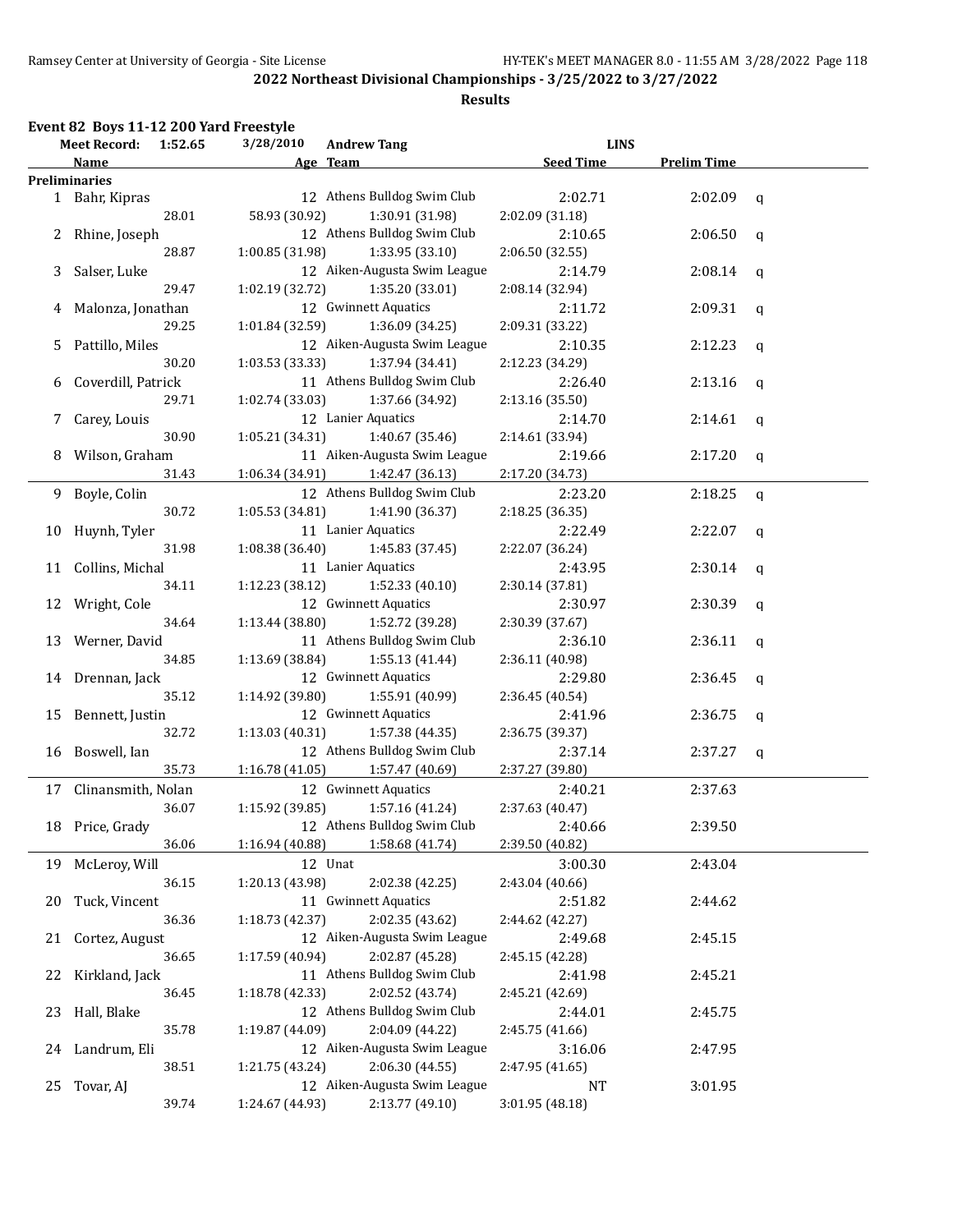# **Results**

#### **Event 82 Boys 11-12 200 Yard Freestyle**

|    | <b>Meet Record:</b>   | 1:52.65 | 3/28/2010       | <b>Andrew Tang</b>           |                            | <b>LINS</b>        |             |  |  |  |
|----|-----------------------|---------|-----------------|------------------------------|----------------------------|--------------------|-------------|--|--|--|
|    | Name                  |         |                 | Age Team                     | <b>Seed Time</b>           | <b>Prelim Time</b> |             |  |  |  |
|    | <b>Preliminaries</b>  |         |                 |                              |                            |                    |             |  |  |  |
|    | 1 Bahr, Kipras        |         |                 | 12 Athens Bulldog Swim Club  | 2:02.71                    | 2:02.09            | q           |  |  |  |
|    |                       | 28.01   | 58.93 (30.92)   | 1:30.91 (31.98)              | 2:02.09 (31.18)            |                    |             |  |  |  |
| 2  | Rhine, Joseph         |         |                 | 12 Athens Bulldog Swim Club  | 2:10.65                    | 2:06.50            | q           |  |  |  |
|    |                       | 28.87   | 1:00.85(31.98)  | 1:33.95 (33.10)              | 2:06.50 (32.55)            |                    |             |  |  |  |
| 3  | Salser, Luke          |         |                 | 12 Aiken-Augusta Swim League | 2:14.79                    | 2:08.14            | $\mathbf q$ |  |  |  |
|    |                       | 29.47   | 1:02.19(32.72)  | 1:35.20 (33.01)              | 2:08.14 (32.94)            |                    |             |  |  |  |
| 4  | Malonza, Jonathan     |         |                 | 12 Gwinnett Aquatics         | 2:11.72                    | 2:09.31            | q           |  |  |  |
|    |                       | 29.25   | 1:01.84 (32.59) | 1:36.09 (34.25)              | 2:09.31 (33.22)            |                    |             |  |  |  |
| 5. | Pattillo, Miles       |         |                 | 12 Aiken-Augusta Swim League | 2:10.35                    | 2:12.23            | q           |  |  |  |
|    |                       | 30.20   | 1:03.53 (33.33) | 1:37.94 (34.41)              | 2:12.23 (34.29)            |                    |             |  |  |  |
| 6  | Coverdill, Patrick    |         |                 | 11 Athens Bulldog Swim Club  | 2:26.40                    | 2:13.16            | q           |  |  |  |
|    |                       | 29.71   | 1:02.74 (33.03) | 1:37.66 (34.92)              | 2:13.16 (35.50)            |                    |             |  |  |  |
|    | 7 Carey, Louis        |         |                 | 12 Lanier Aquatics           | 2:14.70                    | 2:14.61            | q           |  |  |  |
|    |                       | 30.90   | 1:05.21 (34.31) | 1:40.67 (35.46)              | 2:14.61 (33.94)            |                    |             |  |  |  |
|    | 8 Wilson, Graham      |         |                 | 11 Aiken-Augusta Swim League | 2:19.66                    | 2:17.20            | q           |  |  |  |
|    |                       | 31.43   | 1:06.34 (34.91) | 1:42.47 (36.13)              | 2:17.20 (34.73)            |                    |             |  |  |  |
|    | 9 Boyle, Colin        |         |                 | 12 Athens Bulldog Swim Club  | 2:23.20                    | 2:18.25            | q           |  |  |  |
|    |                       | 30.72   | 1:05.53 (34.81) | 1:41.90 (36.37)              | 2:18.25 (36.35)            |                    |             |  |  |  |
|    | 10 Huynh, Tyler       |         |                 | 11 Lanier Aquatics           | 2:22.49                    | 2:22.07            | q           |  |  |  |
|    |                       | 31.98   | 1:08.38(36.40)  | 1:45.83 (37.45)              | 2:22.07 (36.24)            |                    |             |  |  |  |
|    | 11 Collins, Michal    |         |                 | 11 Lanier Aquatics           | 2:43.95                    | 2:30.14            |             |  |  |  |
|    |                       | 34.11   | 1:12.23(38.12)  | 1:52.33 (40.10)              | 2:30.14 (37.81)            |                    | q           |  |  |  |
|    |                       |         |                 | 12 Gwinnett Aquatics         | 2:30.97                    | 2:30.39            |             |  |  |  |
|    | 12 Wright, Cole       | 34.64   | 1:13.44 (38.80) | 1:52.72 (39.28)              |                            |                    | q           |  |  |  |
|    |                       |         |                 | 11 Athens Bulldog Swim Club  | 2:30.39 (37.67)<br>2:36.10 | 2:36.11            |             |  |  |  |
|    | 13 Werner, David      | 34.85   |                 | 1:55.13 (41.44)              |                            |                    | q           |  |  |  |
|    |                       |         | 1:13.69 (38.84) |                              | 2:36.11 (40.98)            |                    |             |  |  |  |
|    | 14 Drennan, Jack      | 35.12   |                 | 12 Gwinnett Aquatics         | 2:29.80                    | 2:36.45            | q           |  |  |  |
|    |                       |         | 1:14.92 (39.80) | 1:55.91 (40.99)              | 2:36.45 (40.54)            |                    |             |  |  |  |
|    | 15 Bennett, Justin    |         |                 | 12 Gwinnett Aquatics         | 2:41.96                    | 2:36.75            | q           |  |  |  |
|    |                       | 32.72   | 1:13.03 (40.31) | 1:57.38 (44.35)              | 2:36.75 (39.37)            |                    |             |  |  |  |
|    | 16 Boswell, Ian       |         |                 | 12 Athens Bulldog Swim Club  | 2:37.14                    | 2:37.27            | q           |  |  |  |
|    |                       | 35.73   | 1:16.78 (41.05) | 1:57.47 (40.69)              | 2:37.27 (39.80)            |                    |             |  |  |  |
|    | 17 Clinansmith, Nolan |         |                 | 12 Gwinnett Aquatics         | 2:40.21                    | 2:37.63            |             |  |  |  |
|    |                       | 36.07   | 1:15.92 (39.85) | 1:57.16 (41.24)              | 2:37.63 (40.47)            |                    |             |  |  |  |
|    | 18 Price, Grady       |         |                 | 12 Athens Bulldog Swim Club  | 2:40.66                    | 2:39.50            |             |  |  |  |
|    |                       | 36.06   | 1:16.94 (40.88) | 1:58.68 (41.74)              | 2:39.50 (40.82)            |                    |             |  |  |  |
| 19 | McLeroy, Will         |         |                 | 12 Unat                      | 3:00.30                    | 2:43.04            |             |  |  |  |
|    |                       | 36.15   | 1:20.13 (43.98) | 2:02.38 (42.25)              | 2:43.04 (40.66)            |                    |             |  |  |  |
| 20 | Tuck, Vincent         |         |                 | 11 Gwinnett Aquatics         | 2:51.82                    | 2:44.62            |             |  |  |  |
|    |                       | 36.36   | 1:18.73 (42.37) | 2:02.35 (43.62)              | 2:44.62 (42.27)            |                    |             |  |  |  |
| 21 | Cortez, August        |         |                 | 12 Aiken-Augusta Swim League | 2:49.68                    | 2:45.15            |             |  |  |  |
|    |                       | 36.65   | 1:17.59 (40.94) | 2:02.87 (45.28)              | 2:45.15 (42.28)            |                    |             |  |  |  |
| 22 | Kirkland, Jack        |         |                 | 11 Athens Bulldog Swim Club  | 2:41.98                    | 2:45.21            |             |  |  |  |
|    |                       | 36.45   | 1:18.78 (42.33) | 2:02.52 (43.74)              | 2:45.21 (42.69)            |                    |             |  |  |  |
| 23 | Hall, Blake           |         |                 | 12 Athens Bulldog Swim Club  | 2:44.01                    | 2:45.75            |             |  |  |  |
|    |                       | 35.78   | 1:19.87 (44.09) | 2:04.09 (44.22)              | 2:45.75 (41.66)            |                    |             |  |  |  |
|    | 24 Landrum, Eli       |         |                 | 12 Aiken-Augusta Swim League | 3:16.06                    | 2:47.95            |             |  |  |  |
|    |                       | 38.51   | 1:21.75 (43.24) | 2:06.30 (44.55)              | 2:47.95 (41.65)            |                    |             |  |  |  |
| 25 | Tovar, AJ             |         |                 | 12 Aiken-Augusta Swim League | NT                         | 3:01.95            |             |  |  |  |
|    |                       | 39.74   | 1:24.67 (44.93) | 2:13.77 (49.10)              | 3:01.95 (48.18)            |                    |             |  |  |  |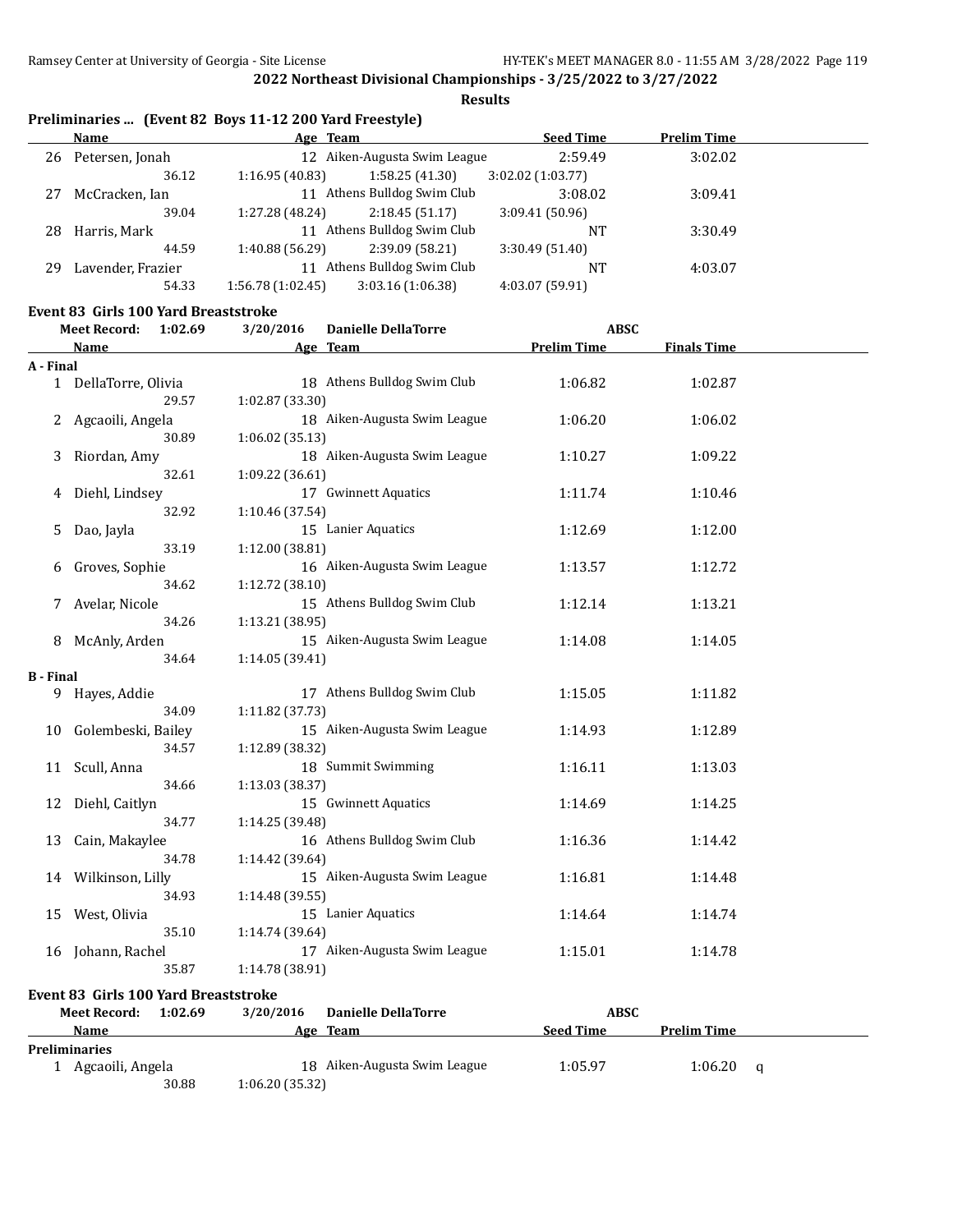**Results**

|    | <b>Name</b>       | Age Team         |                              | <b>Seed Time</b> | <b>Prelim Time</b> |
|----|-------------------|------------------|------------------------------|------------------|--------------------|
| 26 | Petersen, Jonah   |                  | 12 Aiken-Augusta Swim League | 2:59.49          | 3:02.02            |
|    | 36.12             | 1:16.95(40.83)   | 1:58.25(41.30)               | 3:02.02(1:03.77) |                    |
| 27 | McCracken, Ian    |                  | 11 Athens Bulldog Swim Club  | 3:08.02          | 3:09.41            |
|    | 39.04             | 1:27.28 (48.24)  | 2:18.45(51.17)               | 3:09.41(50.96)   |                    |
| 28 | Harris, Mark      |                  | 11 Athens Bulldog Swim Club  | NT               | 3:30.49            |
|    | 44.59             | 1:40.88 (56.29)  | 2:39.09 (58.21)              | 3:30.49(51.40)   |                    |
| 29 | Lavender, Frazier | 11               | Athens Bulldog Swim Club     | NT               | 4:03.07            |
|    | 54.33             | 1:56.78(1:02.45) | 3:03.16(1:06.38)             | 4:03.07 (59.91)  |                    |

#### **Event 83 Girls 100 Yard Breaststroke**

|                  | <b>Meet Record:</b><br>1:02.69              | 3/20/2016       | <b>Danielle DellaTorre</b>   | <b>ABSC</b>        |                    |   |
|------------------|---------------------------------------------|-----------------|------------------------------|--------------------|--------------------|---|
|                  | <b>Name</b>                                 |                 | Age Team                     | <b>Prelim Time</b> | <b>Finals Time</b> |   |
| A - Final        |                                             |                 |                              |                    |                    |   |
|                  | 1 DellaTorre, Olivia                        |                 | 18 Athens Bulldog Swim Club  | 1:06.82            | 1:02.87            |   |
|                  | 29.57                                       | 1:02.87 (33.30) |                              |                    |                    |   |
| 2                | Agcaoili, Angela                            |                 | 18 Aiken-Augusta Swim League | 1:06.20            | 1:06.02            |   |
|                  | 30.89                                       | 1:06.02 (35.13) |                              |                    |                    |   |
| 3                | Riordan, Amy                                |                 | 18 Aiken-Augusta Swim League | 1:10.27            | 1:09.22            |   |
|                  | 32.61                                       | 1:09.22 (36.61) |                              |                    |                    |   |
| 4                | Diehl, Lindsey                              |                 | 17 Gwinnett Aquatics         | 1:11.74            | 1:10.46            |   |
|                  | 32.92                                       | 1:10.46 (37.54) |                              |                    |                    |   |
| 5                | Dao, Jayla                                  |                 | 15 Lanier Aquatics           | 1:12.69            | 1:12.00            |   |
|                  | 33.19<br>1:12.00 (38.81)                    |                 |                              |                    |                    |   |
| 6                | Groves, Sophie                              |                 | 16 Aiken-Augusta Swim League | 1:13.57            | 1:12.72            |   |
|                  | 34.62                                       | 1:12.72 (38.10) |                              |                    |                    |   |
| 7                | Avelar, Nicole                              |                 | 15 Athens Bulldog Swim Club  | 1:12.14            | 1:13.21            |   |
|                  | 34.26                                       | 1:13.21 (38.95) |                              |                    |                    |   |
| 8                | McAnly, Arden                               |                 | 15 Aiken-Augusta Swim League | 1:14.08            | 1:14.05            |   |
|                  | 34.64                                       | 1:14.05 (39.41) |                              |                    |                    |   |
| <b>B</b> - Final |                                             |                 |                              |                    |                    |   |
| 9                | Hayes, Addie                                |                 | 17 Athens Bulldog Swim Club  | 1:15.05            | 1:11.82            |   |
|                  | 34.09                                       | 1:11.82 (37.73) |                              |                    |                    |   |
| 10               | Golembeski, Bailey                          |                 | 15 Aiken-Augusta Swim League | 1:14.93            | 1:12.89            |   |
|                  | 34.57                                       | 1:12.89 (38.32) |                              |                    |                    |   |
| 11               | Scull, Anna                                 |                 | 18 Summit Swimming           | 1:16.11            | 1:13.03            |   |
|                  | 34.66                                       | 1:13.03 (38.37) |                              |                    |                    |   |
| 12               | Diehl, Caitlyn                              |                 | 15 Gwinnett Aquatics         | 1:14.69            | 1:14.25            |   |
|                  | 34.77                                       | 1:14.25 (39.48) |                              |                    |                    |   |
| 13               | Cain, Makaylee                              |                 | 16 Athens Bulldog Swim Club  | 1:16.36            | 1:14.42            |   |
|                  | 34.78                                       | 1:14.42 (39.64) |                              |                    |                    |   |
| 14               | Wilkinson, Lilly                            |                 | 15 Aiken-Augusta Swim League | 1:16.81            | 1:14.48            |   |
|                  | 34.93                                       | 1:14.48 (39.55) |                              |                    |                    |   |
| 15               | West, Olivia                                |                 | 15 Lanier Aquatics           | 1:14.64            | 1:14.74            |   |
|                  | 35.10                                       | 1:14.74 (39.64) |                              |                    |                    |   |
|                  | 16 Johann, Rachel                           |                 | 17 Aiken-Augusta Swim League | 1:15.01            | 1:14.78            |   |
|                  | 35.87                                       | 1:14.78 (38.91) |                              |                    |                    |   |
|                  | <b>Event 83 Girls 100 Yard Breaststroke</b> |                 |                              |                    |                    |   |
|                  | <b>Meet Record:</b><br>1:02.69              | 3/20/2016       | <b>Danielle DellaTorre</b>   | <b>ABSC</b>        |                    |   |
|                  | Name                                        |                 | Age Team                     | <b>Seed Time</b>   | <b>Prelim Time</b> |   |
|                  | <b>Preliminaries</b>                        |                 |                              |                    |                    |   |
|                  | 1 Agcaoili, Angela                          |                 | 18 Aiken-Augusta Swim League | 1:05.97            | 1:06.20            | q |

30.88 1:06.20 (35.32)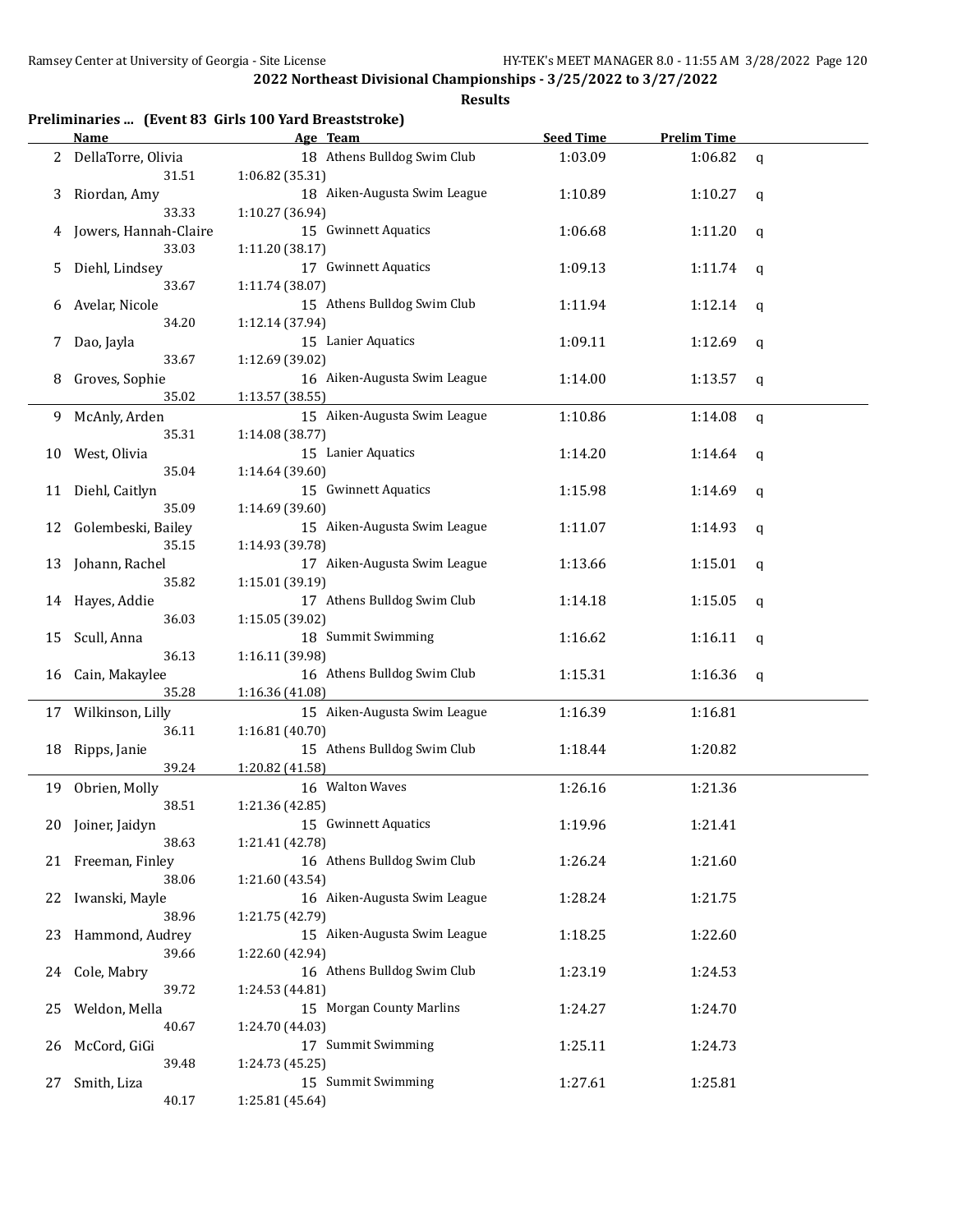|  |  |  | Preliminaries  (Event 83 Girls 100 Yard Breaststroke) |  |
|--|--|--|-------------------------------------------------------|--|
|--|--|--|-------------------------------------------------------|--|

|    | <b>Name</b>                    | Age Team                                        | <b>Seed Time</b> | <b>Prelim Time</b> |             |
|----|--------------------------------|-------------------------------------------------|------------------|--------------------|-------------|
| 2  | DellaTorre, Olivia<br>31.51    | 18 Athens Bulldog Swim Club<br>1:06.82 (35.31)  | 1:03.09          | 1:06.82            | $\mathbf q$ |
| 3  | Riordan, Amy<br>33.33          | 18 Aiken-Augusta Swim League<br>1:10.27 (36.94) | 1:10.89          | 1:10.27            | q           |
|    | Jowers, Hannah-Claire<br>33.03 | 15 Gwinnett Aquatics<br>1:11.20 (38.17)         | 1:06.68          | 1:11.20            | q           |
| 5  | Diehl, Lindsey<br>33.67        | 17 Gwinnett Aquatics<br>1:11.74 (38.07)         | 1:09.13          | 1:11.74            | q           |
| 6  | Avelar, Nicole<br>34.20        | 15 Athens Bulldog Swim Club<br>1:12.14 (37.94)  | 1:11.94          | 1:12.14            | q           |
| 7  | Dao, Jayla<br>33.67            | 15 Lanier Aquatics<br>1:12.69 (39.02)           | 1:09.11          | 1:12.69            | q           |
| 8  | Groves, Sophie<br>35.02        | 16 Aiken-Augusta Swim League<br>1:13.57 (38.55) | 1:14.00          | 1:13.57            | q           |
| 9. | McAnly, Arden<br>35.31         | 15 Aiken-Augusta Swim League<br>1:14.08 (38.77) | 1:10.86          | 1:14.08            | $\mathbf q$ |
| 10 | West, Olivia<br>35.04          | 15 Lanier Aquatics<br>1:14.64 (39.60)           | 1:14.20          | 1:14.64            | q           |
|    | 11 Diehl, Caitlyn<br>35.09     | 15 Gwinnett Aquatics<br>1:14.69 (39.60)         | 1:15.98          | 1:14.69            | q           |
| 12 | Golembeski, Bailey<br>35.15    | 15 Aiken-Augusta Swim League<br>1:14.93 (39.78) | 1:11.07          | 1:14.93            | q           |
| 13 | Johann, Rachel<br>35.82        | 17 Aiken-Augusta Swim League<br>1:15.01 (39.19) | 1:13.66          | 1:15.01            | q           |
| 14 | Hayes, Addie<br>36.03          | 17 Athens Bulldog Swim Club<br>1:15.05 (39.02)  | 1:14.18          | 1:15.05            | q           |
| 15 | Scull, Anna<br>36.13           | 18 Summit Swimming<br>1:16.11 (39.98)           | 1:16.62          | 1:16.11            | $\mathbf q$ |
| 16 | Cain, Makaylee<br>35.28        | 16 Athens Bulldog Swim Club<br>1:16.36 (41.08)  | 1:15.31          | 1:16.36            | q           |
|    | 17 Wilkinson, Lilly<br>36.11   | 15 Aiken-Augusta Swim League<br>1:16.81 (40.70) | 1:16.39          | 1:16.81            |             |
|    | 18 Ripps, Janie<br>39.24       | 15 Athens Bulldog Swim Club<br>1:20.82 (41.58)  | 1:18.44          | 1:20.82            |             |
|    | 19 Obrien, Molly<br>38.51      | 16 Walton Waves<br>1:21.36 (42.85)              | 1:26.16          | 1:21.36            |             |
|    | 20 Joiner, Jaidyn<br>38.63     | 15 Gwinnett Aquatics<br>1:21.41 (42.78)         | 1:19.96          | 1:21.41            |             |
|    | 21 Freeman, Finley<br>38.06    | 16 Athens Bulldog Swim Club<br>1:21.60 (43.54)  | 1:26.24          | 1:21.60            |             |
| 22 | Iwanski, Mayle<br>38.96        | 16 Aiken-Augusta Swim League<br>1:21.75 (42.79) | 1:28.24          | 1:21.75            |             |
| 23 | Hammond, Audrey<br>39.66       | 15 Aiken-Augusta Swim League<br>1:22.60 (42.94) | 1:18.25          | 1:22.60            |             |
| 24 | Cole, Mabry<br>39.72           | 16 Athens Bulldog Swim Club<br>1:24.53 (44.81)  | 1:23.19          | 1:24.53            |             |
| 25 | Weldon, Mella<br>40.67         | 15 Morgan County Marlins<br>1:24.70 (44.03)     | 1:24.27          | 1:24.70            |             |
| 26 | McCord, GiGi<br>39.48          | 17 Summit Swimming<br>1:24.73 (45.25)           | 1:25.11          | 1:24.73            |             |
| 27 | Smith, Liza<br>40.17           | 15 Summit Swimming<br>1:25.81 (45.64)           | 1:27.61          | 1:25.81            |             |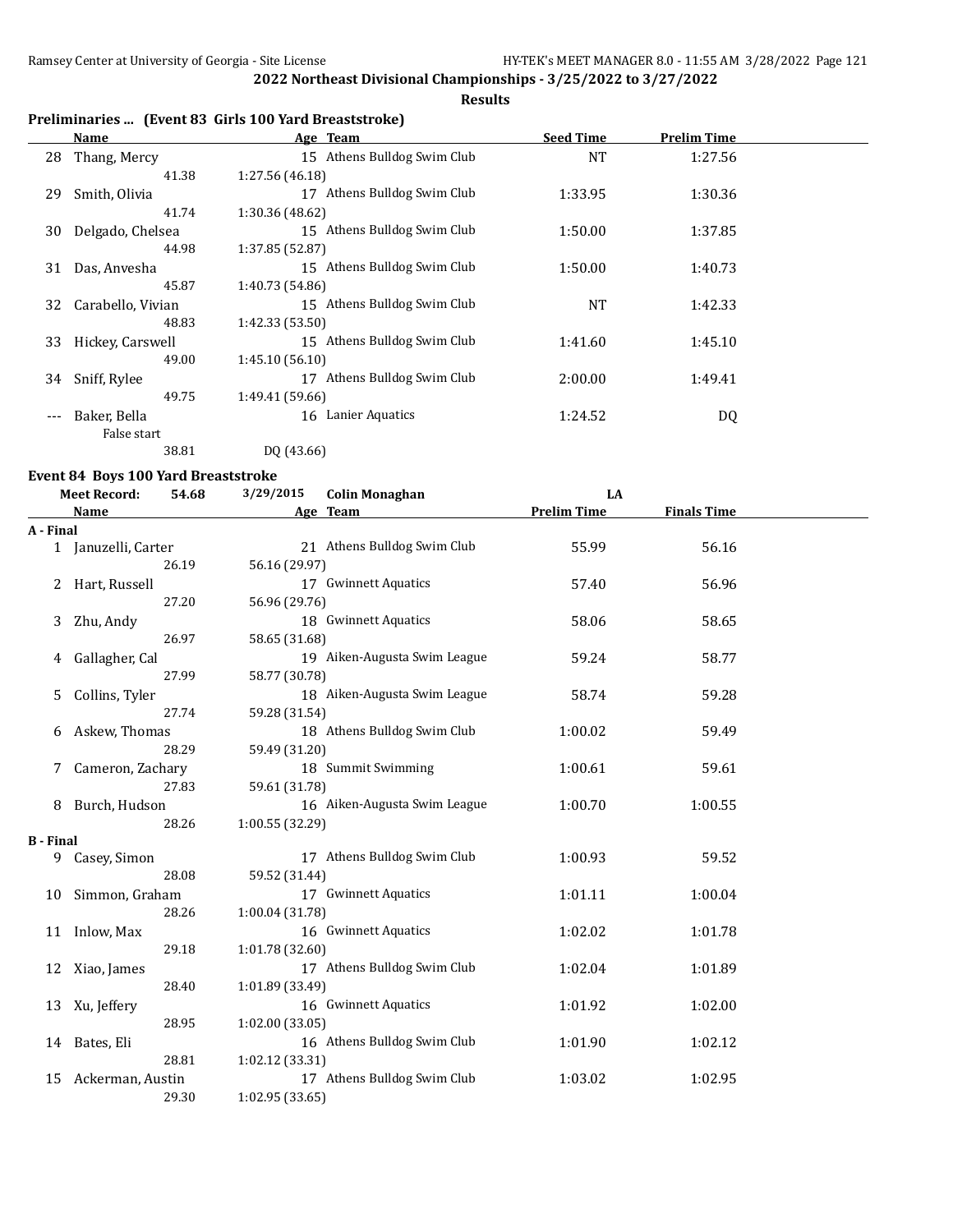$\overline{a}$ 

**2022 Northeast Divisional Championships - 3/25/2022 to 3/27/2022**

# **Results**

# **Preliminaries ... (Event 83 Girls 100 Yard Breaststroke)**

|       | Name              | Age Team                                    | <b>Seed Time</b> | <b>Prelim Time</b> |  |
|-------|-------------------|---------------------------------------------|------------------|--------------------|--|
| 28    | Thang, Mercy      | 15 Athens Bulldog Swim Club                 | <b>NT</b>        | 1:27.56            |  |
|       | 41.38             | 1:27.56 (46.18)                             |                  |                    |  |
| 29    | Smith, Olivia     | Athens Bulldog Swim Club<br>17              | 1:33.95          | 1:30.36            |  |
|       | 41.74             | 1:30.36 (48.62)                             |                  |                    |  |
| 30    | Delgado, Chelsea  | Athens Bulldog Swim Club<br>15 <sup>1</sup> | 1:50.00          | 1:37.85            |  |
|       | 44.98             | 1:37.85 (52.87)                             |                  |                    |  |
| 31    | Das, Anvesha      | 15 Athens Bulldog Swim Club                 | 1:50.00          | 1:40.73            |  |
|       | 45.87             | 1:40.73 (54.86)                             |                  |                    |  |
| 32    | Carabello, Vivian | 15 Athens Bulldog Swim Club                 | <b>NT</b>        | 1:42.33            |  |
|       | 48.83             | 1:42.33 (53.50)                             |                  |                    |  |
| 33    | Hickey, Carswell  | Athens Bulldog Swim Club<br>15              | 1:41.60          | 1:45.10            |  |
|       | 49.00             | 1:45.10(56.10)                              |                  |                    |  |
| 34    | Sniff, Rylee      | Athens Bulldog Swim Club<br>17              | 2:00.00          | 1:49.41            |  |
|       | 49.75             | 1:49.41 (59.66)                             |                  |                    |  |
| $---$ | Baker, Bella      | Lanier Aquatics<br>16                       | 1:24.52          | DQ                 |  |
|       | False start       |                                             |                  |                    |  |
|       | 38.81             | DQ (43.66)                                  |                  |                    |  |

#### **Event 84 Boys 100 Yard Breaststroke**

|                  | <b>Meet Record:</b><br>54.68 | 3/29/2015       | <b>Colin Monaghan</b>        | LA                 |                    |  |
|------------------|------------------------------|-----------------|------------------------------|--------------------|--------------------|--|
|                  | <b>Name</b>                  |                 | Age Team                     | <b>Prelim Time</b> | <b>Finals Time</b> |  |
| A - Final        |                              |                 |                              |                    |                    |  |
|                  | 1 Januzelli, Carter          |                 | 21 Athens Bulldog Swim Club  | 55.99              | 56.16              |  |
|                  | 26.19                        | 56.16 (29.97)   |                              |                    |                    |  |
|                  | Hart, Russell                |                 | 17 Gwinnett Aquatics         | 57.40              | 56.96              |  |
|                  | 27.20                        | 56.96 (29.76)   |                              |                    |                    |  |
| 3                | Zhu, Andy                    |                 | 18 Gwinnett Aquatics         | 58.06              | 58.65              |  |
|                  | 26.97                        | 58.65 (31.68)   |                              |                    |                    |  |
| 4                | Gallagher, Cal               |                 | 19 Aiken-Augusta Swim League | 59.24              | 58.77              |  |
|                  | 27.99                        | 58.77 (30.78)   |                              |                    |                    |  |
| 5                | Collins, Tyler               |                 | 18 Aiken-Augusta Swim League | 58.74              | 59.28              |  |
|                  | 27.74                        | 59.28 (31.54)   |                              |                    |                    |  |
| 6                | Askew, Thomas                |                 | 18 Athens Bulldog Swim Club  | 1:00.02            | 59.49              |  |
|                  | 28.29                        | 59.49 (31.20)   |                              |                    |                    |  |
| 7                | Cameron, Zachary             |                 | 18 Summit Swimming           | 1:00.61            | 59.61              |  |
|                  | 27.83                        | 59.61 (31.78)   |                              |                    |                    |  |
| 8                | Burch, Hudson                |                 | 16 Aiken-Augusta Swim League | 1:00.70            | 1:00.55            |  |
|                  | 28.26                        | 1:00.55 (32.29) |                              |                    |                    |  |
| <b>B</b> - Final |                              |                 |                              |                    |                    |  |
| 9                | Casey, Simon                 |                 | 17 Athens Bulldog Swim Club  | 1:00.93            | 59.52              |  |
|                  | 28.08                        | 59.52 (31.44)   |                              |                    |                    |  |
| 10               | Simmon, Graham               |                 | 17 Gwinnett Aquatics         | 1:01.11            | 1:00.04            |  |
|                  | 28.26                        | 1:00.04 (31.78) |                              |                    |                    |  |
| 11               | Inlow, Max                   |                 | 16 Gwinnett Aquatics         | 1:02.02            | 1:01.78            |  |
|                  | 29.18                        | 1:01.78 (32.60) |                              |                    |                    |  |
|                  | 12 Xiao, James               |                 | 17 Athens Bulldog Swim Club  | 1:02.04            | 1:01.89            |  |
|                  | 28.40                        | 1:01.89 (33.49) |                              |                    |                    |  |
| 13               | Xu, Jeffery                  |                 | 16 Gwinnett Aquatics         | 1:01.92            | 1:02.00            |  |
|                  | 28.95                        | 1:02.00(33.05)  |                              |                    |                    |  |
|                  | 14 Bates, Eli                |                 | 16 Athens Bulldog Swim Club  | 1:01.90            | 1:02.12            |  |
|                  | 28.81                        | 1:02.12 (33.31) |                              |                    |                    |  |
| 15               | Ackerman, Austin             |                 | 17 Athens Bulldog Swim Club  | 1:03.02            | 1:02.95            |  |
|                  | 29.30                        | 1:02.95 (33.65) |                              |                    |                    |  |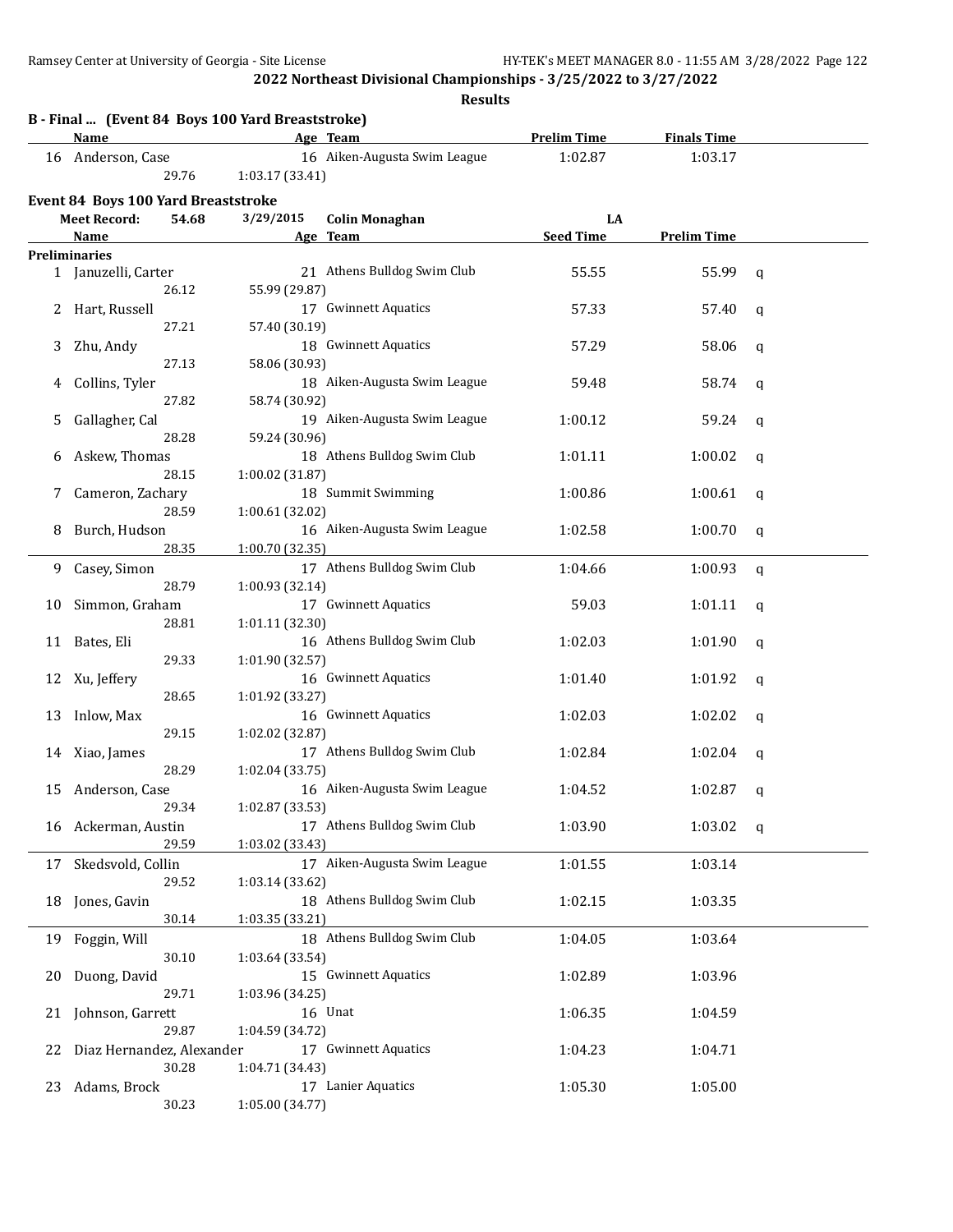|    | B - Final  (Event 84 Boys 100 Yard Breaststroke)<br>Name |       |                 | Age Team                     | <b>Prelim Time</b> | <b>Finals Time</b> |             |
|----|----------------------------------------------------------|-------|-----------------|------------------------------|--------------------|--------------------|-------------|
|    | 16 Anderson, Case                                        |       |                 | 16 Aiken-Augusta Swim League | 1:02.87            | 1:03.17            |             |
|    |                                                          | 29.76 | 1:03.17 (33.41) |                              |                    |                    |             |
|    |                                                          |       |                 |                              |                    |                    |             |
|    | <b>Event 84 Boys 100 Yard Breaststroke</b>               |       |                 |                              |                    |                    |             |
|    | <b>Meet Record:</b>                                      | 54.68 | 3/29/2015       | <b>Colin Monaghan</b>        | LA                 |                    |             |
|    | Name                                                     |       |                 | Age Team                     | <b>Seed Time</b>   | <b>Prelim Time</b> |             |
|    | <b>Preliminaries</b>                                     |       |                 |                              |                    |                    |             |
|    | 1 Januzelli, Carter                                      |       |                 | 21 Athens Bulldog Swim Club  | 55.55              | 55.99              | q           |
|    |                                                          | 26.12 | 55.99 (29.87)   |                              |                    |                    |             |
|    | 2 Hart, Russell                                          |       |                 | 17 Gwinnett Aquatics         | 57.33              | 57.40              | q           |
|    |                                                          | 27.21 | 57.40 (30.19)   |                              |                    |                    |             |
| 3  | Zhu, Andy                                                |       |                 | 18 Gwinnett Aquatics         | 57.29              | 58.06              | q           |
|    |                                                          | 27.13 | 58.06 (30.93)   |                              |                    |                    |             |
| 4  | Collins, Tyler                                           |       |                 | 18 Aiken-Augusta Swim League | 59.48              | 58.74              | q           |
|    |                                                          | 27.82 | 58.74 (30.92)   |                              |                    |                    |             |
| 5  | Gallagher, Cal                                           |       |                 | 19 Aiken-Augusta Swim League | 1:00.12            | 59.24              | q           |
|    |                                                          | 28.28 | 59.24 (30.96)   |                              |                    |                    |             |
| 6  | Askew, Thomas                                            |       |                 | 18 Athens Bulldog Swim Club  | 1:01.11            | 1:00.02            | q           |
|    |                                                          | 28.15 | 1:00.02 (31.87) |                              |                    |                    |             |
| 7  | Cameron, Zachary                                         |       |                 | 18 Summit Swimming           | 1:00.86            | 1:00.61            | q           |
|    |                                                          | 28.59 | 1:00.61 (32.02) |                              |                    |                    |             |
| 8  | Burch, Hudson                                            |       |                 | 16 Aiken-Augusta Swim League | 1:02.58            | 1:00.70            | q           |
|    |                                                          | 28.35 | 1:00.70 (32.35) |                              |                    |                    |             |
| 9  | Casey, Simon                                             |       |                 | 17 Athens Bulldog Swim Club  | 1:04.66            | 1:00.93            | $\mathbf q$ |
|    |                                                          | 28.79 | 1:00.93 (32.14) |                              |                    |                    |             |
| 10 | Simmon, Graham                                           |       |                 | 17 Gwinnett Aquatics         | 59.03              | 1:01.11            | q           |
|    |                                                          | 28.81 | 1:01.11 (32.30) |                              |                    |                    |             |
| 11 | Bates, Eli                                               |       |                 | 16 Athens Bulldog Swim Club  | 1:02.03            | 1:01.90            | q           |
|    |                                                          | 29.33 | 1:01.90 (32.57) |                              |                    |                    |             |
| 12 | Xu, Jeffery                                              |       |                 | 16 Gwinnett Aquatics         | 1:01.40            | 1:01.92            | q           |
|    |                                                          | 28.65 | 1:01.92 (33.27) |                              |                    |                    |             |
| 13 | Inlow, Max                                               |       |                 | 16 Gwinnett Aquatics         | 1:02.03            | 1:02.02            | q           |
|    |                                                          | 29.15 | 1:02.02 (32.87) |                              |                    |                    |             |
|    | 14 Xiao, James                                           |       |                 | 17 Athens Bulldog Swim Club  | 1:02.84            | 1:02.04            | q           |
|    |                                                          | 28.29 | 1:02.04(33.75)  |                              |                    |                    |             |
| 15 | Anderson, Case                                           |       |                 | 16 Aiken-Augusta Swim League | 1:04.52            | 1:02.87            | q           |
|    |                                                          | 29.34 | 1:02.87 (33.53) |                              |                    |                    |             |
| 16 | Ackerman, Austin                                         |       |                 | 17 Athens Bulldog Swim Club  | 1:03.90            | 1:03.02            | q           |
|    |                                                          | 29.59 | 1:03.02 (33.43) |                              |                    |                    |             |
| 17 | Skedsvold, Collin                                        |       |                 | 17 Aiken-Augusta Swim League | 1:01.55            | 1:03.14            |             |
|    |                                                          | 29.52 | 1:03.14 (33.62) |                              |                    |                    |             |
| 18 | Jones, Gavin                                             |       |                 | 18 Athens Bulldog Swim Club  | 1:02.15            | 1:03.35            |             |
|    |                                                          | 30.14 | 1:03.35 (33.21) |                              |                    |                    |             |
| 19 | Foggin, Will                                             |       |                 | 18 Athens Bulldog Swim Club  | 1:04.05            | 1:03.64            |             |
|    |                                                          | 30.10 | 1:03.64 (33.54) |                              |                    |                    |             |
| 20 | Duong, David                                             |       |                 | 15 Gwinnett Aquatics         | 1:02.89            | 1:03.96            |             |
|    |                                                          | 29.71 | 1:03.96 (34.25) |                              |                    |                    |             |
| 21 | Johnson, Garrett                                         |       |                 | 16 Unat                      | 1:06.35            | 1:04.59            |             |
|    |                                                          | 29.87 | 1:04.59 (34.72) |                              |                    |                    |             |
| 22 | Diaz Hernandez, Alexander                                |       |                 | 17 Gwinnett Aquatics         | 1:04.23            | 1:04.71            |             |
|    |                                                          | 30.28 | 1:04.71 (34.43) |                              |                    |                    |             |
| 23 | Adams, Brock                                             |       |                 | 17 Lanier Aquatics           | 1:05.30            | 1:05.00            |             |
|    |                                                          | 30.23 | 1:05.00 (34.77) |                              |                    |                    |             |
|    |                                                          |       |                 |                              |                    |                    |             |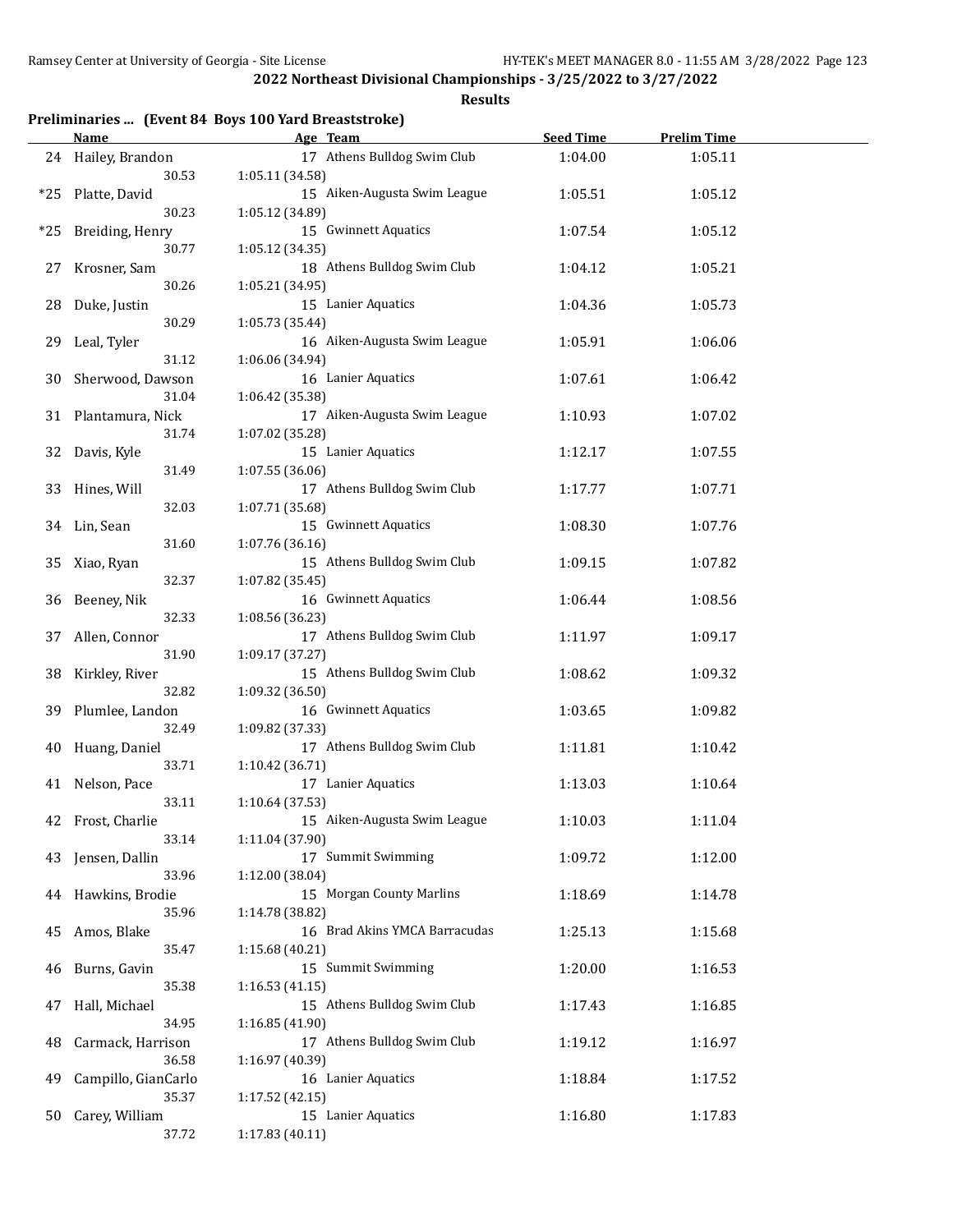| Preliminaries  (Event 84 Boys 100 Yard Breaststroke) |  |  |  |  |
|------------------------------------------------------|--|--|--|--|
|------------------------------------------------------|--|--|--|--|

|     | <b>Name</b>         | Age Team                      | <b>Seed Time</b> | <b>Prelim Time</b> |  |
|-----|---------------------|-------------------------------|------------------|--------------------|--|
|     | 24 Hailey, Brandon  | 17 Athens Bulldog Swim Club   | 1:04.00          | 1:05.11            |  |
|     | 30.53               | 1:05.11 (34.58)               |                  |                    |  |
| *25 | Platte, David       | 15 Aiken-Augusta Swim League  | 1:05.51          | 1:05.12            |  |
|     | 30.23               | 1:05.12 (34.89)               |                  |                    |  |
| *25 | Breiding, Henry     | 15 Gwinnett Aquatics          | 1:07.54          | 1:05.12            |  |
|     | 30.77               | 1:05.12 (34.35)               |                  |                    |  |
| 27  | Krosner, Sam        | 18 Athens Bulldog Swim Club   | 1:04.12          | 1:05.21            |  |
|     | 30.26               | 1:05.21 (34.95)               |                  |                    |  |
|     |                     |                               |                  |                    |  |
| 28  | Duke, Justin        | 15 Lanier Aquatics            | 1:04.36          | 1:05.73            |  |
|     | 30.29               | 1:05.73 (35.44)               |                  |                    |  |
| 29  | Leal, Tyler         | 16 Aiken-Augusta Swim League  | 1:05.91          | 1:06.06            |  |
|     | 31.12               | 1:06.06 (34.94)               |                  |                    |  |
| 30  | Sherwood, Dawson    | 16 Lanier Aquatics            | 1:07.61          | 1:06.42            |  |
|     | 31.04               | 1:06.42 (35.38)               |                  |                    |  |
| 31  | Plantamura, Nick    | 17 Aiken-Augusta Swim League  | 1:10.93          | 1:07.02            |  |
|     | 31.74               | 1:07.02 (35.28)               |                  |                    |  |
| 32  | Davis, Kyle         | 15 Lanier Aquatics            | 1:12.17          | 1:07.55            |  |
|     | 31.49               | 1:07.55 (36.06)               |                  |                    |  |
|     | 33 Hines, Will      | 17 Athens Bulldog Swim Club   | 1:17.77          | 1:07.71            |  |
|     | 32.03               | 1:07.71 (35.68)               |                  |                    |  |
|     | 34 Lin, Sean        | 15 Gwinnett Aquatics          | 1:08.30          | 1:07.76            |  |
|     | 31.60               | 1:07.76 (36.16)               |                  |                    |  |
| 35  | Xiao, Ryan          | 15 Athens Bulldog Swim Club   | 1:09.15          | 1:07.82            |  |
|     | 32.37               | 1:07.82 (35.45)               |                  |                    |  |
| 36  | Beeney, Nik         | 16 Gwinnett Aquatics          | 1:06.44          | 1:08.56            |  |
|     | 32.33               | 1:08.56 (36.23)               |                  |                    |  |
| 37  | Allen, Connor       | 17 Athens Bulldog Swim Club   | 1:11.97          | 1:09.17            |  |
|     | 31.90               | 1:09.17 (37.27)               |                  |                    |  |
| 38  | Kirkley, River      | 15 Athens Bulldog Swim Club   | 1:08.62          | 1:09.32            |  |
|     | 32.82               | 1:09.32 (36.50)               |                  |                    |  |
|     |                     |                               |                  |                    |  |
|     | 39 Plumlee, Landon  | 16 Gwinnett Aquatics          | 1:03.65          | 1:09.82            |  |
|     | 32.49               | 1:09.82 (37.33)               |                  |                    |  |
| 40  | Huang, Daniel       | 17 Athens Bulldog Swim Club   | 1:11.81          | 1:10.42            |  |
|     | 33.71               | 1:10.42 (36.71)               |                  |                    |  |
| 41  | Nelson, Pace        | 17 Lanier Aquatics            | 1:13.03          | 1:10.64            |  |
|     | 33.11               | 1:10.64 (37.53)               |                  |                    |  |
|     | 42 Frost, Charlie   | 15 Aiken-Augusta Swim League  | 1:10.03          | 1:11.04            |  |
|     | 33.14               | 1:11.04 (37.90)               |                  |                    |  |
|     | 43 Jensen, Dallin   | 17 Summit Swimming            | 1:09.72          | 1:12.00            |  |
|     | 33.96               | 1:12.00 (38.04)               |                  |                    |  |
| 44  | Hawkins, Brodie     | 15 Morgan County Marlins      | 1:18.69          | 1:14.78            |  |
|     | 35.96               | 1:14.78 (38.82)               |                  |                    |  |
| 45  | Amos, Blake         | 16 Brad Akins YMCA Barracudas | 1:25.13          | 1:15.68            |  |
|     | 35.47               | 1:15.68 (40.21)               |                  |                    |  |
| 46  | Burns, Gavin        | 15 Summit Swimming            | 1:20.00          | 1:16.53            |  |
|     | 35.38               | 1:16.53(41.15)                |                  |                    |  |
| 47  | Hall, Michael       | 15 Athens Bulldog Swim Club   | 1:17.43          | 1:16.85            |  |
|     | 34.95               | 1:16.85 (41.90)               |                  |                    |  |
| 48  | Carmack, Harrison   | 17 Athens Bulldog Swim Club   | 1:19.12          | 1:16.97            |  |
|     | 36.58               | 1:16.97 (40.39)               |                  |                    |  |
| 49  | Campillo, GianCarlo | 16 Lanier Aquatics            | 1:18.84          | 1:17.52            |  |
|     | 35.37               | 1:17.52 (42.15)               |                  |                    |  |
| 50  | Carey, William      | 15 Lanier Aquatics            | 1:16.80          | 1:17.83            |  |
|     | 37.72               | 1:17.83 (40.11)               |                  |                    |  |
|     |                     |                               |                  |                    |  |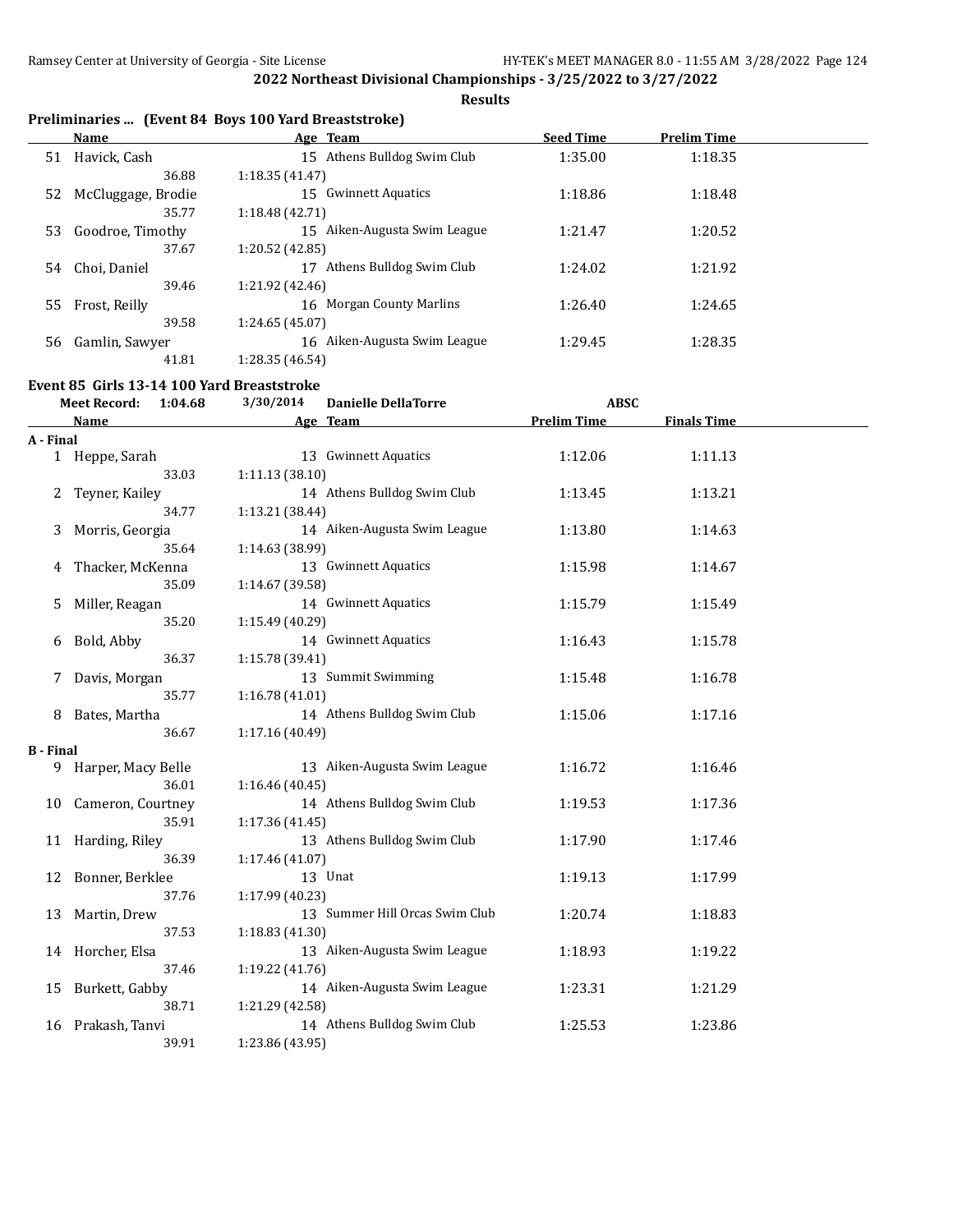**Results**

# **Preliminaries ... (Event 84 Boys 100 Yard Breaststroke)**

|    | Name               | Age Team                     | <b>Seed Time</b> | <b>Prelim Time</b> |  |
|----|--------------------|------------------------------|------------------|--------------------|--|
| 51 | Havick, Cash       | 15 Athens Bulldog Swim Club  | 1:35.00          | 1:18.35            |  |
|    | 36.88              | 1:18.35(41.47)               |                  |                    |  |
| 52 | McCluggage, Brodie | Gwinnett Aquatics<br>15      | 1:18.86          | 1:18.48            |  |
|    | 35.77              | 1:18.48 (42.71)              |                  |                    |  |
| 53 | Goodroe, Timothy   | 15 Aiken-Augusta Swim League | 1:21.47          | 1:20.52            |  |
|    | 37.67              | 1:20.52 (42.85)              |                  |                    |  |
| 54 | Choi, Daniel       | Athens Bulldog Swim Club     | 1:24.02          | 1:21.92            |  |
|    | 39.46              | 1:21.92 (42.46)              |                  |                    |  |
|    | 55 Frost, Reilly   | 16 Morgan County Marlins     | 1:26.40          | 1:24.65            |  |
|    | 39.58              | 1:24.65 (45.07)              |                  |                    |  |
| 56 | Gamlin, Sawyer     | 16 Aiken-Augusta Swim League | 1:29.45          | 1:28.35            |  |
|    | 41.81              | 1:28.35 (46.54)              |                  |                    |  |

# **Event 85 Girls 13-14 100 Yard Breaststroke**

|                  | <b>Meet Record:</b><br>1:04.68 | 3/30/2014       | <b>Danielle DellaTorre</b>     | <b>ABSC</b>        |                    |  |
|------------------|--------------------------------|-----------------|--------------------------------|--------------------|--------------------|--|
|                  | <b>Name</b>                    |                 | Age Team                       | <b>Prelim Time</b> | <b>Finals Time</b> |  |
| A - Final        |                                |                 |                                |                    |                    |  |
|                  | 1 Heppe, Sarah                 |                 | 13 Gwinnett Aquatics           | 1:12.06            | 1:11.13            |  |
|                  | 33.03                          | 1:11.13(38.10)  |                                |                    |                    |  |
| 2                | Teyner, Kailey                 |                 | 14 Athens Bulldog Swim Club    | 1:13.45            | 1:13.21            |  |
|                  | 34.77                          | 1:13.21 (38.44) |                                |                    |                    |  |
| 3                | Morris, Georgia                |                 | 14 Aiken-Augusta Swim League   | 1:13.80            | 1:14.63            |  |
|                  | 35.64                          | 1:14.63 (38.99) |                                |                    |                    |  |
| 4                | Thacker, McKenna               |                 | 13 Gwinnett Aquatics           | 1:15.98            | 1:14.67            |  |
|                  | 35.09                          | 1:14.67 (39.58) |                                |                    |                    |  |
| 5.               | Miller, Reagan                 |                 | 14 Gwinnett Aquatics           | 1:15.79            | 1:15.49            |  |
|                  | 35.20                          | 1:15.49 (40.29) |                                |                    |                    |  |
| 6                | Bold, Abby                     |                 | 14 Gwinnett Aquatics           | 1:16.43            | 1:15.78            |  |
|                  | 36.37                          | 1:15.78 (39.41) |                                |                    |                    |  |
| 7                | Davis, Morgan                  |                 | 13 Summit Swimming             | 1:15.48            | 1:16.78            |  |
|                  | 35.77                          | 1:16.78(41.01)  |                                |                    |                    |  |
| 8                | Bates, Martha                  |                 | 14 Athens Bulldog Swim Club    | 1:15.06            | 1:17.16            |  |
|                  | 36.67                          | 1:17.16 (40.49) |                                |                    |                    |  |
| <b>B</b> - Final |                                |                 |                                |                    |                    |  |
| 9                | Harper, Macy Belle             |                 | 13 Aiken-Augusta Swim League   | 1:16.72            | 1:16.46            |  |
|                  | 36.01                          | 1:16.46 (40.45) |                                |                    |                    |  |
| 10               | Cameron, Courtney              |                 | 14 Athens Bulldog Swim Club    | 1:19.53            | 1:17.36            |  |
|                  | 35.91                          | 1:17.36 (41.45) |                                |                    |                    |  |
|                  | 11 Harding, Riley              |                 | 13 Athens Bulldog Swim Club    | 1:17.90            | 1:17.46            |  |
|                  | 36.39                          | 1:17.46 (41.07) |                                |                    |                    |  |
| 12               | Bonner, Berklee                |                 | 13 Unat                        | 1:19.13            | 1:17.99            |  |
|                  | 37.76                          | 1:17.99 (40.23) |                                |                    |                    |  |
| 13               | Martin, Drew                   |                 | 13 Summer Hill Orcas Swim Club | 1:20.74            | 1:18.83            |  |
|                  | 37.53                          | 1:18.83 (41.30) |                                |                    |                    |  |
|                  | 14 Horcher, Elsa               |                 | 13 Aiken-Augusta Swim League   | 1:18.93            | 1:19.22            |  |
|                  | 37.46                          | 1:19.22 (41.76) |                                |                    |                    |  |
| 15               | Burkett, Gabby                 |                 | 14 Aiken-Augusta Swim League   | 1:23.31            | 1:21.29            |  |
|                  | 38.71                          | 1:21.29 (42.58) |                                |                    |                    |  |
| 16               | Prakash, Tanvi                 |                 | 14 Athens Bulldog Swim Club    | 1:25.53            | 1:23.86            |  |
|                  | 39.91                          | 1:23.86 (43.95) |                                |                    |                    |  |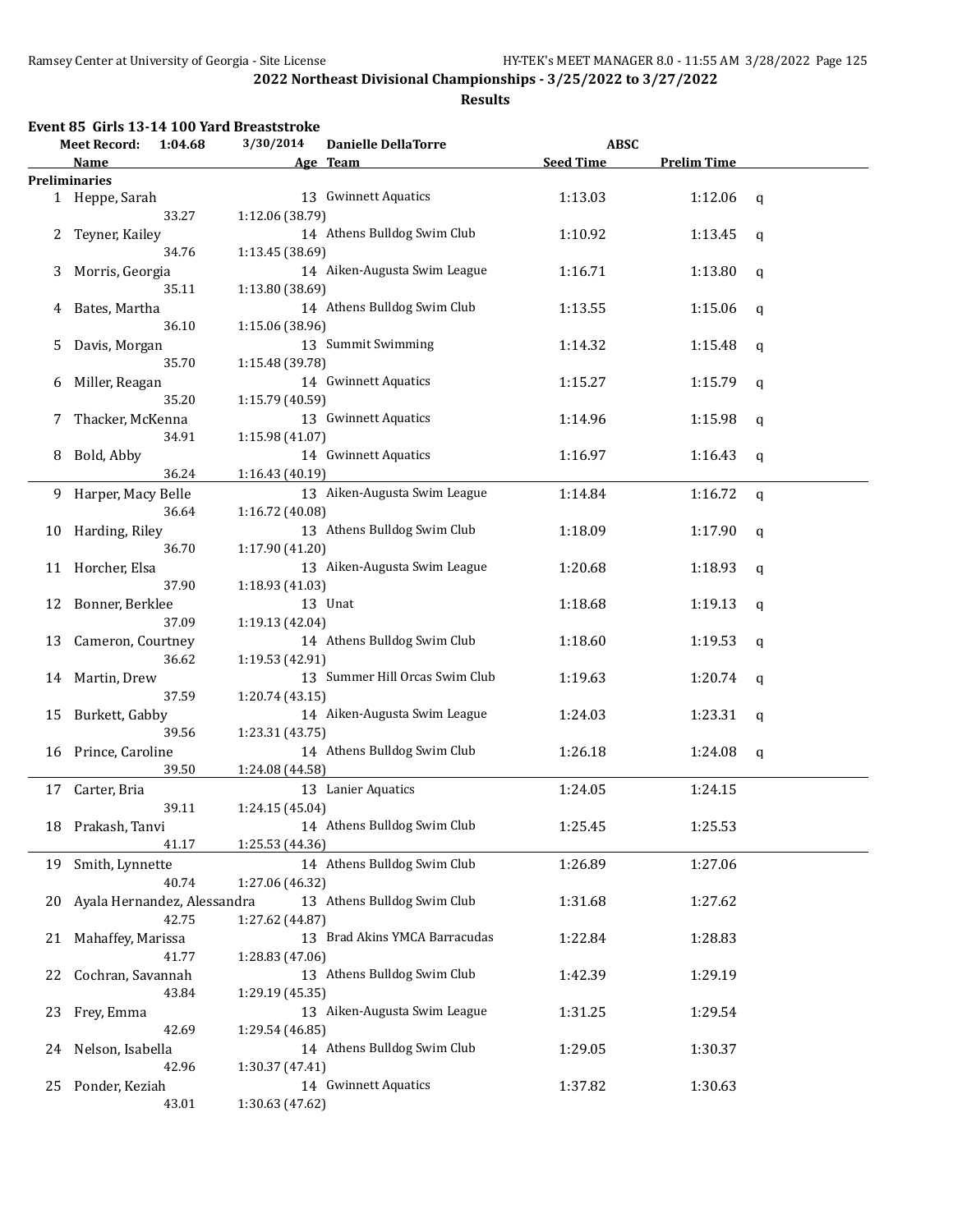|    | Event 85 Girls 13-14 100 Yard Breaststroke |         |                 |                                |                  |                    |             |
|----|--------------------------------------------|---------|-----------------|--------------------------------|------------------|--------------------|-------------|
|    | <b>Meet Record:</b>                        | 1:04.68 | 3/30/2014       | <b>Danielle DellaTorre</b>     | <b>ABSC</b>      |                    |             |
|    | Name                                       |         |                 | Age Team                       | <b>Seed Time</b> | <b>Prelim Time</b> |             |
|    | <b>Preliminaries</b>                       |         |                 |                                |                  |                    |             |
|    | 1 Heppe, Sarah                             |         |                 | 13 Gwinnett Aquatics           | 1:13.03          | 1:12.06            | q           |
|    |                                            | 33.27   | 1:12.06 (38.79) |                                |                  |                    |             |
| 2  | Teyner, Kailey                             |         |                 | 14 Athens Bulldog Swim Club    | 1:10.92          | 1:13.45            | q           |
|    |                                            | 34.76   | 1:13.45 (38.69) |                                |                  |                    |             |
| 3  | Morris, Georgia                            |         |                 | 14 Aiken-Augusta Swim League   | 1:16.71          | 1:13.80            | $\mathbf q$ |
|    |                                            | 35.11   | 1:13.80 (38.69) |                                |                  |                    |             |
| 4  | Bates, Martha                              |         |                 | 14 Athens Bulldog Swim Club    | 1:13.55          | 1:15.06            | q           |
|    |                                            | 36.10   | 1:15.06 (38.96) |                                |                  |                    |             |
| 5  | Davis, Morgan                              |         |                 | 13 Summit Swimming             | 1:14.32          | 1:15.48            | q           |
|    |                                            | 35.70   | 1:15.48 (39.78) |                                |                  |                    |             |
| 6  | Miller, Reagan                             |         |                 | 14 Gwinnett Aquatics           | 1:15.27          | 1:15.79            | q           |
|    |                                            | 35.20   | 1:15.79 (40.59) |                                |                  |                    |             |
| 7  | Thacker, McKenna                           |         |                 | 13 Gwinnett Aquatics           | 1:14.96          | 1:15.98            | $\mathbf q$ |
|    |                                            | 34.91   | 1:15.98 (41.07) |                                |                  |                    |             |
| 8  | Bold, Abby                                 |         |                 | 14 Gwinnett Aquatics           | 1:16.97          | 1:16.43            | q           |
|    |                                            | 36.24   | 1:16.43 (40.19) |                                |                  |                    |             |
| 9. | Harper, Macy Belle                         |         |                 | 13 Aiken-Augusta Swim League   | 1:14.84          | 1:16.72            | $\mathbf q$ |
|    |                                            | 36.64   | 1:16.72 (40.08) |                                |                  |                    |             |
| 10 | Harding, Riley                             |         |                 | 13 Athens Bulldog Swim Club    | 1:18.09          | 1:17.90            | q           |
|    |                                            | 36.70   | 1:17.90 (41.20) |                                |                  |                    |             |
| 11 | Horcher, Elsa                              |         |                 | 13 Aiken-Augusta Swim League   | 1:20.68          | 1:18.93            | q           |
|    |                                            | 37.90   | 1:18.93 (41.03) |                                |                  |                    |             |
| 12 | Bonner, Berklee                            |         |                 | 13 Unat                        | 1:18.68          | 1:19.13            | q           |
|    |                                            | 37.09   | 1:19.13 (42.04) |                                |                  |                    |             |
| 13 | Cameron, Courtney                          |         |                 | 14 Athens Bulldog Swim Club    | 1:18.60          | 1:19.53            | q           |
|    |                                            | 36.62   | 1:19.53 (42.91) |                                |                  |                    |             |
| 14 | Martin, Drew                               |         |                 | 13 Summer Hill Orcas Swim Club | 1:19.63          | 1:20.74            | q           |
|    |                                            | 37.59   | 1:20.74 (43.15) |                                |                  |                    |             |
| 15 | Burkett, Gabby                             |         |                 | 14 Aiken-Augusta Swim League   | 1:24.03          | 1:23.31            | q           |
|    |                                            | 39.56   | 1:23.31 (43.75) |                                |                  |                    |             |
| 16 | Prince, Caroline                           |         |                 | 14 Athens Bulldog Swim Club    | 1:26.18          | 1:24.08            | q           |
|    |                                            | 39.50   | 1:24.08 (44.58) |                                |                  |                    |             |
| 17 | Carter, Bria                               |         |                 | 13 Lanier Aquatics             | 1:24.05          | 1:24.15            |             |
|    |                                            | 39.11   | 1:24.15 (45.04) |                                |                  |                    |             |
|    | 18 Prakash, Tanvi                          |         |                 | 14 Athens Bulldog Swim Club    | 1:25.45          | 1:25.53            |             |
|    |                                            | 41.17   | 1:25.53 (44.36) |                                |                  |                    |             |
| 19 | Smith, Lynnette                            |         |                 | 14 Athens Bulldog Swim Club    | 1:26.89          | 1:27.06            |             |
|    |                                            | 40.74   | 1:27.06 (46.32) |                                |                  |                    |             |
| 20 | Ayala Hernandez, Alessandra                |         |                 | 13 Athens Bulldog Swim Club    | 1:31.68          | 1:27.62            |             |
|    |                                            | 42.75   | 1:27.62 (44.87) |                                |                  |                    |             |
| 21 | Mahaffey, Marissa                          |         |                 | 13 Brad Akins YMCA Barracudas  | 1:22.84          | 1:28.83            |             |
|    |                                            | 41.77   | 1:28.83 (47.06) |                                |                  |                    |             |
| 22 | Cochran, Savannah                          |         |                 | 13 Athens Bulldog Swim Club    | 1:42.39          | 1:29.19            |             |
|    |                                            | 43.84   | 1:29.19 (45.35) |                                |                  |                    |             |
| 23 | Frey, Emma                                 |         |                 | 13 Aiken-Augusta Swim League   | 1:31.25          | 1:29.54            |             |
|    |                                            | 42.69   | 1:29.54 (46.85) |                                |                  |                    |             |
| 24 | Nelson, Isabella                           |         |                 | 14 Athens Bulldog Swim Club    | 1:29.05          | 1:30.37            |             |
|    |                                            | 42.96   | 1:30.37 (47.41) |                                |                  |                    |             |
| 25 | Ponder, Keziah                             |         |                 | 14 Gwinnett Aquatics           | 1:37.82          | 1:30.63            |             |
|    |                                            | 43.01   | 1:30.63 (47.62) |                                |                  |                    |             |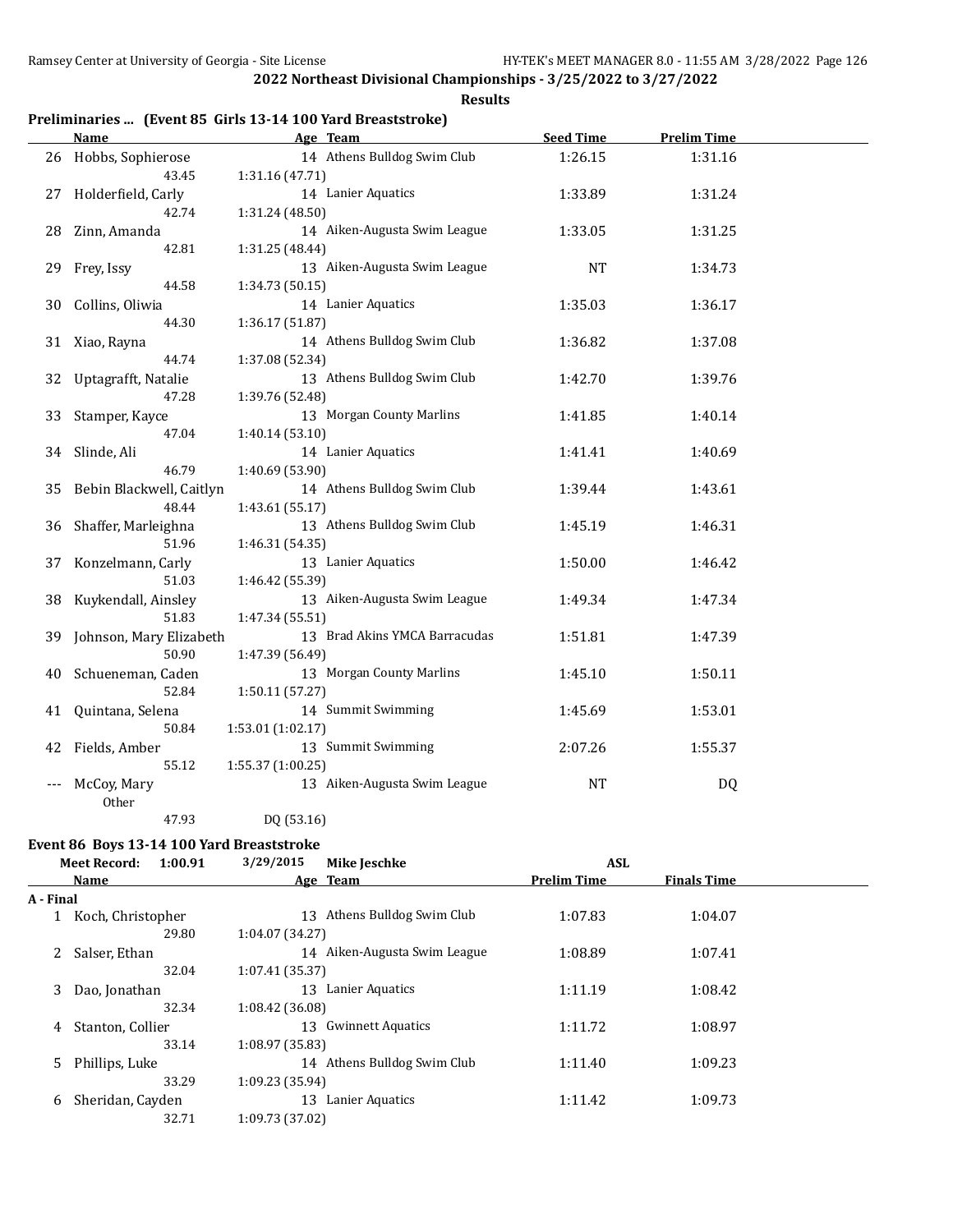**Results**

# **Preliminaries ... (Event 85 Girls 13-14 100 Yard Breaststroke)**

|    | <b>Name</b>              | Age Team                      | <b>Seed Time</b> | <b>Prelim Time</b> |  |
|----|--------------------------|-------------------------------|------------------|--------------------|--|
|    | 26 Hobbs, Sophierose     | 14 Athens Bulldog Swim Club   | 1:26.15          | 1:31.16            |  |
|    | 43.45                    | 1:31.16 (47.71)               |                  |                    |  |
| 27 | Holderfield, Carly       | 14 Lanier Aquatics            | 1:33.89          | 1:31.24            |  |
|    | 42.74                    | 1:31.24 (48.50)               |                  |                    |  |
| 28 | Zinn, Amanda             | 14 Aiken-Augusta Swim League  | 1:33.05          | 1:31.25            |  |
|    | 42.81                    | 1:31.25 (48.44)               |                  |                    |  |
| 29 | Frey, Issy               | 13 Aiken-Augusta Swim League  | <b>NT</b>        | 1:34.73            |  |
|    | 44.58                    | 1:34.73 (50.15)               |                  |                    |  |
| 30 | Collins, Oliwia          | 14 Lanier Aquatics            | 1:35.03          | 1:36.17            |  |
|    | 44.30                    | 1:36.17 (51.87)               |                  |                    |  |
| 31 | Xiao, Rayna              | 14 Athens Bulldog Swim Club   | 1:36.82          | 1:37.08            |  |
|    | 44.74                    | 1:37.08 (52.34)               |                  |                    |  |
| 32 | Uptagrafft, Natalie      | 13 Athens Bulldog Swim Club   | 1:42.70          | 1:39.76            |  |
|    | 47.28                    | 1:39.76 (52.48)               |                  |                    |  |
| 33 | Stamper, Kayce           | 13 Morgan County Marlins      | 1:41.85          | 1:40.14            |  |
|    | 47.04                    | 1:40.14 (53.10)               |                  |                    |  |
| 34 | Slinde, Ali              | 14 Lanier Aquatics            | 1:41.41          | 1:40.69            |  |
|    | 46.79                    | 1:40.69 (53.90)               |                  |                    |  |
| 35 | Bebin Blackwell, Caitlyn | 14 Athens Bulldog Swim Club   | 1:39.44          | 1:43.61            |  |
|    | 48.44                    | 1:43.61(55.17)                |                  |                    |  |
| 36 | Shaffer, Marleighna      | 13 Athens Bulldog Swim Club   | 1:45.19          | 1:46.31            |  |
|    | 51.96                    | 1:46.31 (54.35)               |                  |                    |  |
| 37 | Konzelmann, Carly        | 13 Lanier Aquatics            | 1:50.00          | 1:46.42            |  |
|    | 51.03                    | 1:46.42 (55.39)               |                  |                    |  |
| 38 | Kuykendall, Ainsley      | 13 Aiken-Augusta Swim League  | 1:49.34          | 1:47.34            |  |
|    | 51.83                    | 1:47.34 (55.51)               |                  |                    |  |
| 39 | Johnson, Mary Elizabeth  | 13 Brad Akins YMCA Barracudas | 1:51.81          | 1:47.39            |  |
|    | 50.90                    | 1:47.39 (56.49)               |                  |                    |  |
| 40 | Schueneman, Caden        | 13 Morgan County Marlins      | 1:45.10          | 1:50.11            |  |
|    | 52.84                    | 1:50.11(57.27)                |                  |                    |  |
| 41 | Quintana, Selena         | 14 Summit Swimming            | 1:45.69          | 1:53.01            |  |
|    | 50.84                    | 1:53.01(1:02.17)              |                  |                    |  |
| 42 | Fields, Amber            | 13 Summit Swimming            | 2:07.26          | 1:55.37            |  |
|    | 55.12                    | 1:55.37(1:00.25)              |                  |                    |  |
|    | McCoy, Mary              | 13 Aiken-Augusta Swim League  | <b>NT</b>        | DQ                 |  |
|    | Other                    |                               |                  |                    |  |
|    | 47.93                    | DQ (53.16)                    |                  |                    |  |

# **Event 86 Boys 13-14 100 Yard Breaststroke**

| 1:00.91<br><b>Meet Record:</b> |                   | 3/29/2015<br><b>Mike Jeschke</b> | <b>ASL</b>         |                    |  |
|--------------------------------|-------------------|----------------------------------|--------------------|--------------------|--|
|                                | <b>Name</b>       | Age Team                         | <b>Prelim Time</b> | <b>Finals Time</b> |  |
| A - Final                      |                   |                                  |                    |                    |  |
|                                | Koch, Christopher | Athens Bulldog Swim Club<br>13   | 1:07.83            | 1:04.07            |  |
|                                | 29.80             | 1:04.07 (34.27)                  |                    |                    |  |
|                                | Salser, Ethan     | 14 Aiken-Augusta Swim League     | 1:08.89            | 1:07.41            |  |
|                                | 32.04             | 1:07.41 (35.37)                  |                    |                    |  |
| 3                              | Dao, Jonathan     | Lanier Aquatics<br>13            | 1:11.19            | 1:08.42            |  |
|                                | 32.34             | 1:08.42 (36.08)                  |                    |                    |  |
| 4                              | Stanton, Collier  | <b>Gwinnett Aquatics</b><br>13   | 1:11.72            | 1:08.97            |  |
|                                | 33.14             | 1:08.97 (35.83)                  |                    |                    |  |
| 5.                             | Phillips, Luke    | 14 Athens Bulldog Swim Club      | 1:11.40            | 1:09.23            |  |
|                                | 33.29             | 1:09.23 (35.94)                  |                    |                    |  |
| 6                              | Sheridan, Cayden  | Lanier Aquatics<br>13            | 1:11.42            | 1:09.73            |  |
|                                | 32.71             | 1:09.73 (37.02)                  |                    |                    |  |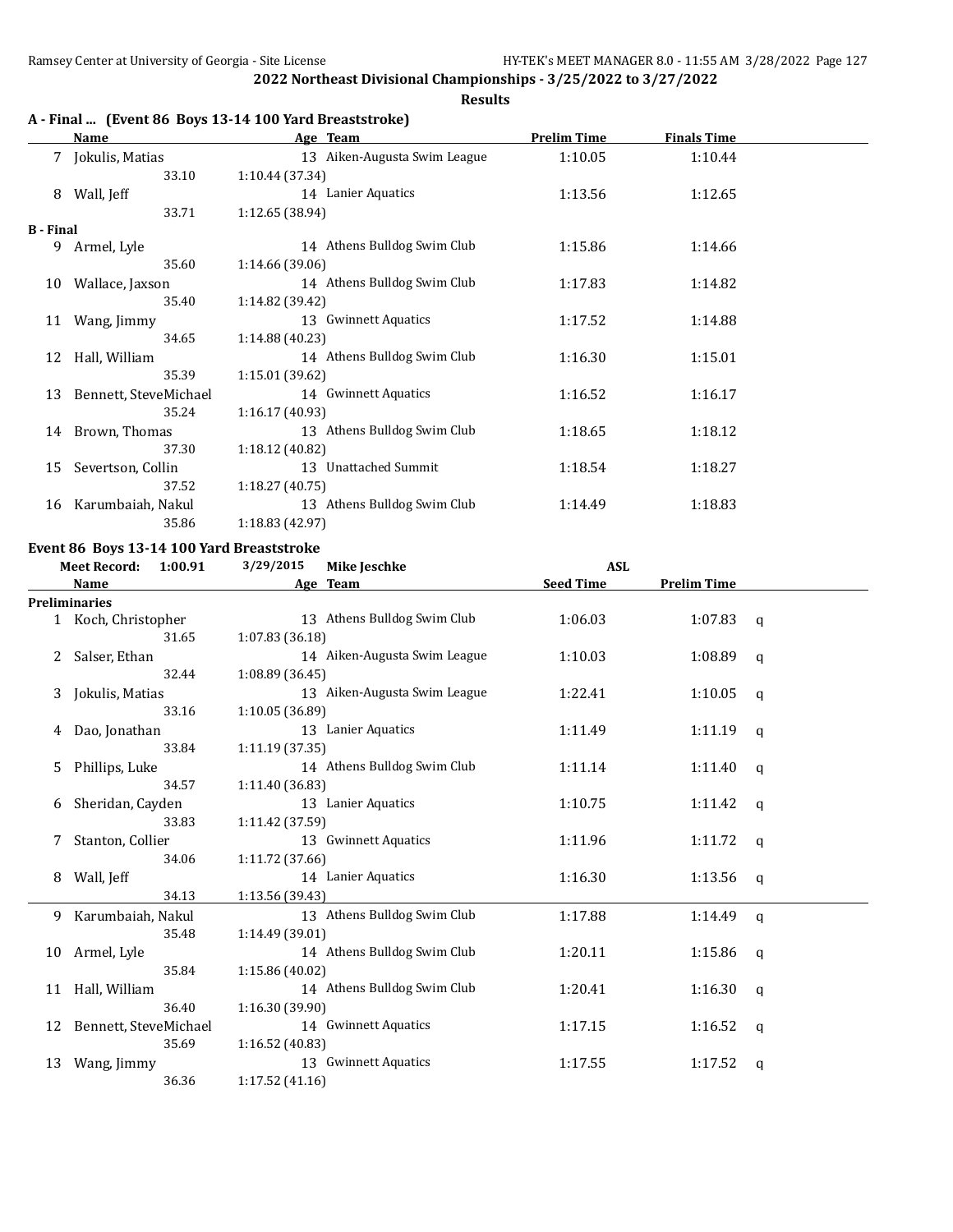34.06 1:11.72 (37.66)

34.13 1:13.56 (39.43)

35.48 1:14.49 (39.01)

36.40 1:16.30 (39.90)

35.69 1:16.52 (40.83)

36.36 1:17.52 (41.16)

35.84 1:15.86 (40.02)

**2022 Northeast Divisional Championships - 3/25/2022 to 3/27/2022**

**Results**

|                  | Name                                      | A - Final  (Event 86 Boys 13-14 100 Yard Breaststroke)<br>Age Team | <b>Prelim Time</b> | <b>Finals Time</b> |             |
|------------------|-------------------------------------------|--------------------------------------------------------------------|--------------------|--------------------|-------------|
|                  | 7 Jokulis, Matias                         | 13 Aiken-Augusta Swim League                                       | 1:10.05            | 1:10.44            |             |
|                  | 33.10                                     | 1:10.44 (37.34)                                                    |                    |                    |             |
| 8                | Wall, Jeff                                | 14 Lanier Aquatics                                                 | 1:13.56            | 1:12.65            |             |
|                  | 33.71                                     | 1:12.65 (38.94)                                                    |                    |                    |             |
| <b>B</b> - Final |                                           |                                                                    |                    |                    |             |
|                  | 9 Armel, Lyle                             | 14 Athens Bulldog Swim Club                                        | 1:15.86            | 1:14.66            |             |
|                  | 35.60                                     | 1:14.66 (39.06)                                                    |                    |                    |             |
|                  | 10 Wallace, Jaxson                        | 14 Athens Bulldog Swim Club                                        | 1:17.83            | 1:14.82            |             |
|                  | 35.40                                     | 1:14.82 (39.42)                                                    |                    |                    |             |
|                  | 11 Wang, Jimmy                            | 13 Gwinnett Aquatics                                               | 1:17.52            | 1:14.88            |             |
|                  | 34.65                                     | 1:14.88 (40.23)                                                    |                    |                    |             |
|                  | 12 Hall, William                          | 14 Athens Bulldog Swim Club                                        | 1:16.30            | 1:15.01            |             |
|                  | 35.39                                     | 1:15.01 (39.62)                                                    |                    |                    |             |
| 13               | Bennett, SteveMichael                     | 14 Gwinnett Aquatics                                               | 1:16.52            | 1:16.17            |             |
|                  | 35.24                                     | 1:16.17 (40.93)                                                    |                    |                    |             |
|                  | 14 Brown, Thomas                          | 13 Athens Bulldog Swim Club                                        | 1:18.65            | 1:18.12            |             |
|                  | 37.30                                     | 1:18.12 (40.82)                                                    |                    |                    |             |
| 15               | Severtson, Collin                         | 13 Unattached Summit                                               | 1:18.54            | 1:18.27            |             |
|                  | 37.52                                     | 1:18.27 (40.75)                                                    |                    |                    |             |
|                  | 16 Karumbaiah, Nakul                      | 13 Athens Bulldog Swim Club                                        | 1:14.49            | 1:18.83            |             |
|                  | 35.86                                     | 1:18.83 (42.97)                                                    |                    |                    |             |
|                  | Event 86 Boys 13-14 100 Yard Breaststroke |                                                                    |                    |                    |             |
|                  | <b>Meet Record:</b><br>1:00.91            | 3/29/2015<br><b>Mike Jeschke</b>                                   | <b>ASL</b>         |                    |             |
|                  | Name                                      | Age Team                                                           | <b>Seed Time</b>   | <b>Prelim Time</b> |             |
|                  | <b>Preliminaries</b>                      |                                                                    |                    |                    |             |
|                  | 1 Koch, Christopher                       | 13 Athens Bulldog Swim Club                                        | 1:06.03            | 1:07.83            | $\mathbf q$ |
|                  | 31.65                                     | 1:07.83(36.18)                                                     |                    |                    |             |
|                  | Salser, Ethan                             | 14 Aiken-Augusta Swim League                                       | 1:10.03            | 1:08.89            | q           |
|                  | 32.44                                     | 1:08.89 (36.45)                                                    |                    |                    |             |
| 3                | Jokulis, Matias                           | 13 Aiken-Augusta Swim League                                       | 1:22.41            | 1:10.05            | q           |
|                  | 33.16                                     | 1:10.05 (36.89)                                                    |                    |                    |             |
| 4                | Dao, Jonathan                             | 13 Lanier Aquatics                                                 | 1:11.49            | 1:11.19            | q           |
|                  | 33.84                                     | 1:11.19 (37.35)                                                    |                    |                    |             |
| 5                | Phillips, Luke                            | 14 Athens Bulldog Swim Club                                        | 1:11.14            | 1:11.40            | $\mathbf q$ |
|                  | 34.57                                     | 1:11.40 (36.83)                                                    |                    |                    |             |
| 6                | Sheridan, Cayden                          | 13 Lanier Aquatics                                                 | 1:10.75            | 1:11.42            | $\mathbf q$ |
|                  | 33.83                                     | 1:11.42 (37.59)<br>13 Gwinnett Aquatics                            |                    |                    |             |
| 7                | Stanton, Collier                          |                                                                    | 1:11.96            | 1:11.72            | q           |

8 Wall, Jeff 14 Lanier Aquatics 1:16.30 1:13.56 q

9 Karumbaiah, Nakul 13 Athens Bulldog Swim Club 1:17.88 1:14.49 q

10 Armel, Lyle 14 Athens Bulldog Swim Club 1:20.11 1:15.86 q<br>35.84 1:15.86 (40.02)

11 Hall, William 14 Athens Bulldog Swim Club 1:20.41 1:16.30 q

12 Bennett, SteveMichael 14 Gwinnett Aquatics 1:17.15 1:16.52 q

13 Wang, Jimmy 13 Gwinnett Aquatics 1:17.55 1:17.52 q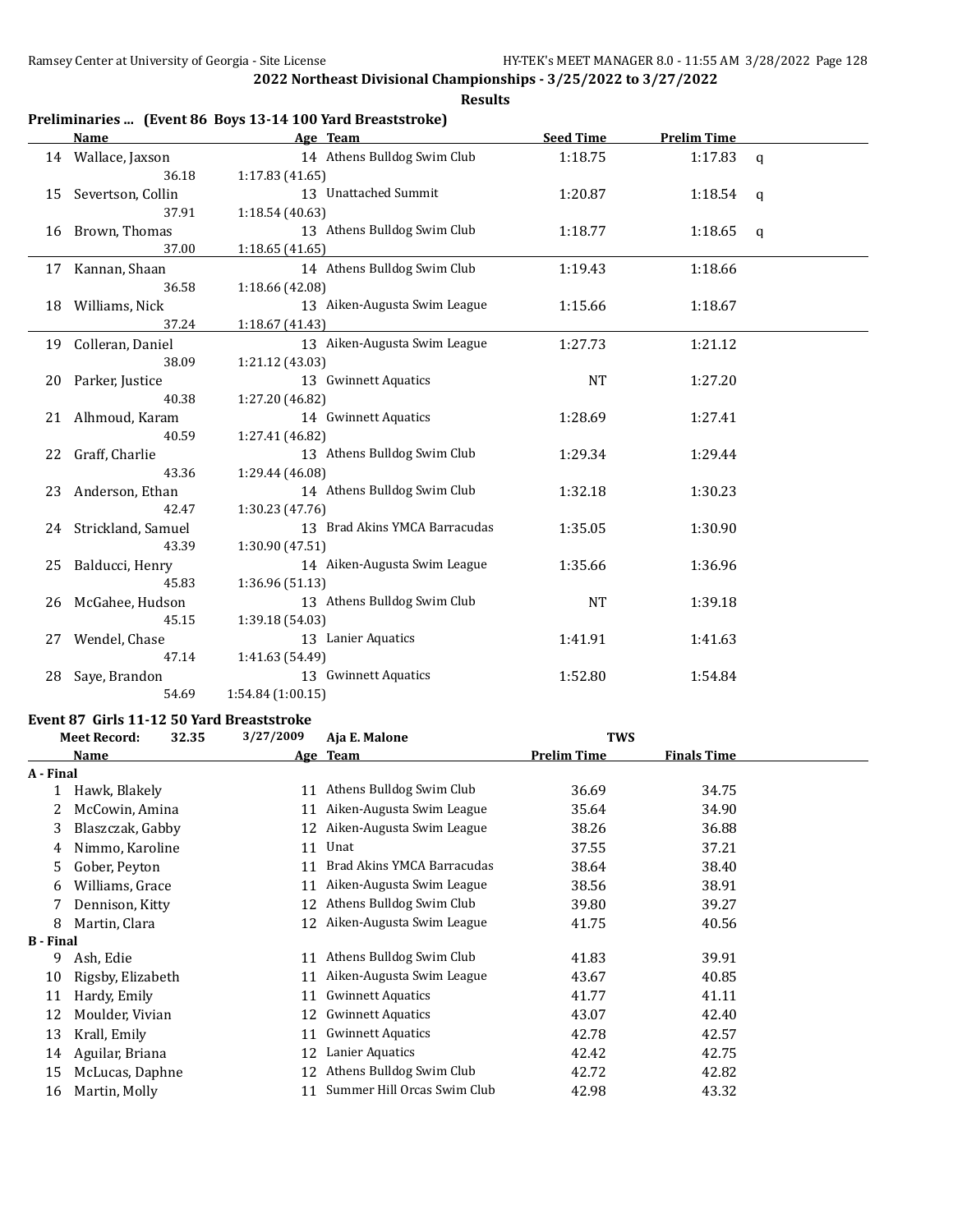|    | Name                  | Age Team                      | <b>Seed Time</b> | <b>Prelim Time</b> |              |
|----|-----------------------|-------------------------------|------------------|--------------------|--------------|
|    | 14 Wallace, Jaxson    | 14 Athens Bulldog Swim Club   | 1:18.75          | 1:17.83 $q$        |              |
|    | 36.18                 | 1:17.83(41.65)                |                  |                    |              |
|    | 15 Severtson, Collin  | 13 Unattached Summit          | 1:20.87          | 1:18.54            | q            |
|    | 37.91                 | 1:18.54 (40.63)               |                  |                    |              |
|    | 16 Brown, Thomas      | 13 Athens Bulldog Swim Club   | 1:18.77          | 1:18.65            | $\mathbf{q}$ |
|    | 37.00                 | 1:18.65(41.65)                |                  |                    |              |
|    | 17 Kannan, Shaan      | 14 Athens Bulldog Swim Club   | 1:19.43          | 1:18.66            |              |
|    | 36.58                 | 1:18.66 (42.08)               |                  |                    |              |
|    | 18 Williams, Nick     | 13 Aiken-Augusta Swim League  | 1:15.66          | 1:18.67            |              |
|    | 37.24                 | 1:18.67 (41.43)               |                  |                    |              |
|    | 19 Colleran, Daniel   | 13 Aiken-Augusta Swim League  | 1:27.73          | 1:21.12            |              |
|    | 38.09                 | 1:21.12 (43.03)               |                  |                    |              |
|    | 20 Parker, Justice    | 13 Gwinnett Aquatics          | <b>NT</b>        | 1:27.20            |              |
|    | 40.38                 | 1:27.20 (46.82)               |                  |                    |              |
|    | 21 Alhmoud, Karam     | 14 Gwinnett Aquatics          | 1:28.69          | 1:27.41            |              |
|    | 40.59                 | 1:27.41 (46.82)               |                  |                    |              |
|    | 22 Graff, Charlie     | 13 Athens Bulldog Swim Club   | 1:29.34          | 1:29.44            |              |
|    | 43.36                 | 1:29.44 (46.08)               |                  |                    |              |
| 23 | Anderson, Ethan       | 14 Athens Bulldog Swim Club   | 1:32.18          | 1:30.23            |              |
|    | 42.47                 | 1:30.23 (47.76)               |                  |                    |              |
|    | 24 Strickland, Samuel | 13 Brad Akins YMCA Barracudas | 1:35.05          | 1:30.90            |              |
|    | 43.39                 | 1:30.90 (47.51)               |                  |                    |              |
| 25 | Balducci, Henry       | 14 Aiken-Augusta Swim League  | 1:35.66          | 1:36.96            |              |
|    | 45.83                 | 1:36.96 (51.13)               |                  |                    |              |
|    | 26 McGahee, Hudson    | 13 Athens Bulldog Swim Club   | <b>NT</b>        | 1:39.18            |              |
|    | 45.15                 | 1:39.18 (54.03)               |                  |                    |              |
| 27 | Wendel, Chase         | 13 Lanier Aquatics            | 1:41.91          | 1:41.63            |              |
|    | 47.14                 | 1:41.63 (54.49)               |                  |                    |              |
| 28 | Saye, Brandon         | 13 Gwinnett Aquatics          | 1:52.80          | 1:54.84            |              |
|    | 54.69                 | 1:54.84 (1:00.15)             |                  |                    |              |

# **Event 87 Girls 11-12 50 Yard Breaststroke**

|                  | <b>Meet Record:</b><br>32.35 | 3/27/2009 | Aja E. Malone               | <b>TWS</b>         |                    |  |
|------------------|------------------------------|-----------|-----------------------------|--------------------|--------------------|--|
|                  | Name                         |           | Age Team                    | <b>Prelim Time</b> | <b>Finals Time</b> |  |
| A - Final        |                              |           |                             |                    |                    |  |
|                  | Hawk, Blakely                | 11        | Athens Bulldog Swim Club    | 36.69              | 34.75              |  |
| 2                | McCowin, Amina               | 11        | Aiken-Augusta Swim League   | 35.64              | 34.90              |  |
| 3                | Blaszczak, Gabby             | 12        | Aiken-Augusta Swim League   | 38.26              | 36.88              |  |
| 4                | Nimmo, Karoline              | 11        | Unat                        | 37.55              | 37.21              |  |
| 5                | Gober, Peyton                | 11        | Brad Akins YMCA Barracudas  | 38.64              | 38.40              |  |
| 6                | Williams, Grace              | 11        | Aiken-Augusta Swim League   | 38.56              | 38.91              |  |
|                  | Dennison, Kitty              | 12        | Athens Bulldog Swim Club    | 39.80              | 39.27              |  |
| 8                | Martin, Clara                | 12        | Aiken-Augusta Swim League   | 41.75              | 40.56              |  |
| <b>B</b> - Final |                              |           |                             |                    |                    |  |
| 9                | Ash, Edie                    | 11        | Athens Bulldog Swim Club    | 41.83              | 39.91              |  |
| 10               | Rigsby, Elizabeth            | 11        | Aiken-Augusta Swim League   | 43.67              | 40.85              |  |
| 11               | Hardy, Emily                 | 11        | <b>Gwinnett Aquatics</b>    | 41.77              | 41.11              |  |
| 12               | Moulder, Vivian              | 12        | <b>Gwinnett Aquatics</b>    | 43.07              | 42.40              |  |
| 13               | Krall, Emily                 | 11        | <b>Gwinnett Aquatics</b>    | 42.78              | 42.57              |  |
| 14               | Aguilar, Briana              | 12        | Lanier Aquatics             | 42.42              | 42.75              |  |
| 15               | McLucas, Daphne              | 12        | Athens Bulldog Swim Club    | 42.72              | 42.82              |  |
| 16               | Martin, Molly                | 11        | Summer Hill Orcas Swim Club | 42.98              | 43.32              |  |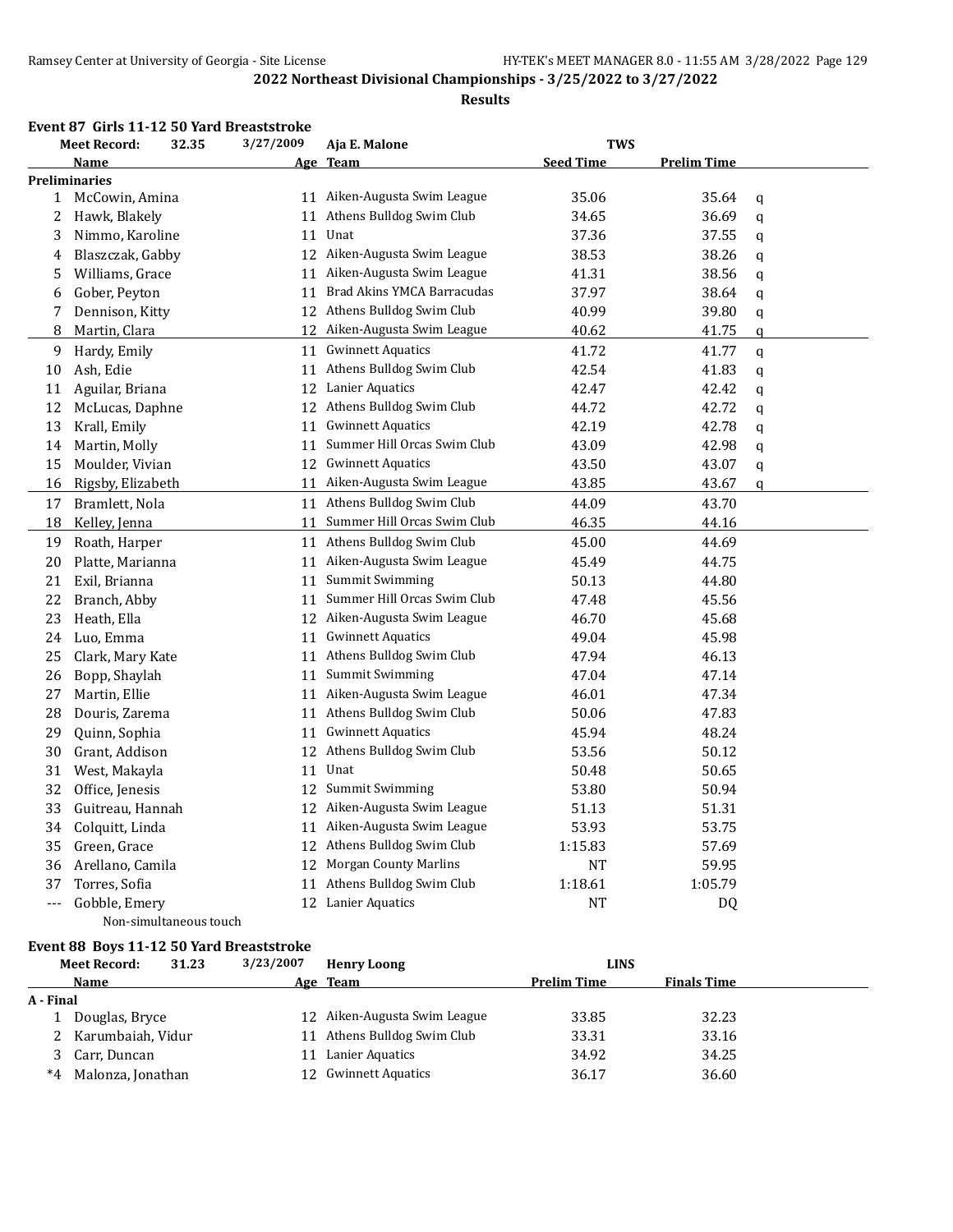#### **Results**

#### **Event 87 Girls 11-12 50 Yard Breaststroke**

|                      | <b>Meet Record:</b>  | 32.35                  | 3/27/2009 | Aja E. Malone                 | <b>TWS</b>       |                    |             |
|----------------------|----------------------|------------------------|-----------|-------------------------------|------------------|--------------------|-------------|
|                      | <b>Name</b>          |                        |           | Age Team                      | <b>Seed Time</b> | <b>Prelim Time</b> |             |
|                      | <b>Preliminaries</b> |                        |           |                               |                  |                    |             |
|                      | 1 McCowin, Amina     |                        |           | 11 Aiken-Augusta Swim League  | 35.06            | 35.64              | q           |
| 2                    | Hawk, Blakely        |                        | 11        | Athens Bulldog Swim Club      | 34.65            | 36.69              | q           |
| 3                    | Nimmo, Karoline      |                        | 11        | Unat                          | 37.36            | 37.55              | q           |
| 4                    | Blaszczak, Gabby     |                        |           | 12 Aiken-Augusta Swim League  | 38.53            | 38.26              | q           |
| 5                    | Williams, Grace      |                        | 11        | Aiken-Augusta Swim League     | 41.31            | 38.56              | q           |
| 6                    | Gober, Peyton        |                        |           | 11 Brad Akins YMCA Barracudas | 37.97            | 38.64              | q           |
| 7                    | Dennison, Kitty      |                        |           | 12 Athens Bulldog Swim Club   | 40.99            | 39.80              | q           |
| 8                    | Martin, Clara        |                        |           | 12 Aiken-Augusta Swim League  | 40.62            | 41.75              | $\mathbf q$ |
| 9                    | Hardy, Emily         |                        |           | 11 Gwinnett Aquatics          | 41.72            | 41.77              | q           |
| 10                   | Ash, Edie            |                        |           | 11 Athens Bulldog Swim Club   | 42.54            | 41.83              | q           |
| 11                   | Aguilar, Briana      |                        |           | 12 Lanier Aquatics            | 42.47            | 42.42              | q           |
| 12                   | McLucas, Daphne      |                        |           | 12 Athens Bulldog Swim Club   | 44.72            | 42.72              | q           |
| 13                   | Krall, Emily         |                        | 11        | <b>Gwinnett Aquatics</b>      | 42.19            | 42.78              | q           |
| 14                   | Martin, Molly        |                        | 11        | Summer Hill Orcas Swim Club   | 43.09            | 42.98              | q           |
| 15                   | Moulder, Vivian      |                        |           | 12 Gwinnett Aquatics          | 43.50            | 43.07              | q           |
| 16                   | Rigsby, Elizabeth    |                        | 11        | Aiken-Augusta Swim League     | 43.85            | 43.67              | q           |
| 17                   | Bramlett, Nola       |                        |           | 11 Athens Bulldog Swim Club   | 44.09            | 43.70              |             |
| 18                   | Kelley, Jenna        |                        | 11        | Summer Hill Orcas Swim Club   | 46.35            | 44.16              |             |
| 19                   | Roath, Harper        |                        |           | 11 Athens Bulldog Swim Club   | 45.00            | 44.69              |             |
| 20                   | Platte, Marianna     |                        | 11        | Aiken-Augusta Swim League     | 45.49            | 44.75              |             |
| 21                   | Exil, Brianna        |                        | 11        | <b>Summit Swimming</b>        | 50.13            | 44.80              |             |
| 22                   | Branch, Abby         |                        | 11        | Summer Hill Orcas Swim Club   | 47.48            | 45.56              |             |
| 23                   | Heath, Ella          |                        |           | 12 Aiken-Augusta Swim League  | 46.70            | 45.68              |             |
| 24                   | Luo, Emma            |                        | 11        | <b>Gwinnett Aquatics</b>      | 49.04            | 45.98              |             |
| 25                   | Clark, Mary Kate     |                        | 11        | Athens Bulldog Swim Club      | 47.94            | 46.13              |             |
| 26                   | Bopp, Shaylah        |                        | 11        | <b>Summit Swimming</b>        | 47.04            | 47.14              |             |
| 27                   | Martin, Ellie        |                        | 11        | Aiken-Augusta Swim League     | 46.01            | 47.34              |             |
| 28                   | Douris, Zarema       |                        |           | 11 Athens Bulldog Swim Club   | 50.06            | 47.83              |             |
| 29                   | Quinn, Sophia        |                        | 11        | <b>Gwinnett Aquatics</b>      | 45.94            | 48.24              |             |
| 30                   | Grant, Addison       |                        | 12        | Athens Bulldog Swim Club      | 53.56            | 50.12              |             |
| 31                   | West, Makayla        |                        | 11        | Unat                          | 50.48            | 50.65              |             |
| 32                   | Office, Jenesis      |                        | 12        | Summit Swimming               | 53.80            | 50.94              |             |
| 33                   | Guitreau, Hannah     |                        |           | 12 Aiken-Augusta Swim League  | 51.13            | 51.31              |             |
| 34                   | Colquitt, Linda      |                        | 11        | Aiken-Augusta Swim League     | 53.93            | 53.75              |             |
| 35                   | Green, Grace         |                        | 12        | Athens Bulldog Swim Club      | 1:15.83          | 57.69              |             |
| 36                   | Arellano, Camila     |                        | 12        | <b>Morgan County Marlins</b>  | NT               | 59.95              |             |
| 37                   | Torres, Sofia        |                        | 11        | Athens Bulldog Swim Club      | 1:18.61          | 1:05.79            |             |
| $\scriptstyle\cdots$ | Gobble, Emery        |                        |           | 12 Lanier Aquatics            | NT               | <b>DQ</b>          |             |
|                      |                      | Non-simultaneous touch |           |                               |                  |                    |             |

# **Event 88 Boys 11-12 50 Yard Breaststroke**

|           | <b>Meet Record:</b> | 31.23 | 3/23/2007 | <b>Henry Loong</b>           | <b>LINS</b>        |                    |  |
|-----------|---------------------|-------|-----------|------------------------------|--------------------|--------------------|--|
|           | <b>Name</b>         |       |           | Age Team                     | <b>Prelim Time</b> | <b>Finals Time</b> |  |
| A - Final |                     |       |           |                              |                    |                    |  |
|           | Douglas, Bryce      |       |           | 12 Aiken-Augusta Swim League | 33.85              | 32.23              |  |
|           | Karumbaiah, Vidur   |       |           | 11 Athens Bulldog Swim Club  | 33.31              | 33.16              |  |
|           | Carr, Duncan        |       |           | Lanier Aquatics              | 34.92              | 34.25              |  |
| $*4$      | Malonza, Jonathan   |       |           | 12 Gwinnett Aquatics         | 36.17              | 36.60              |  |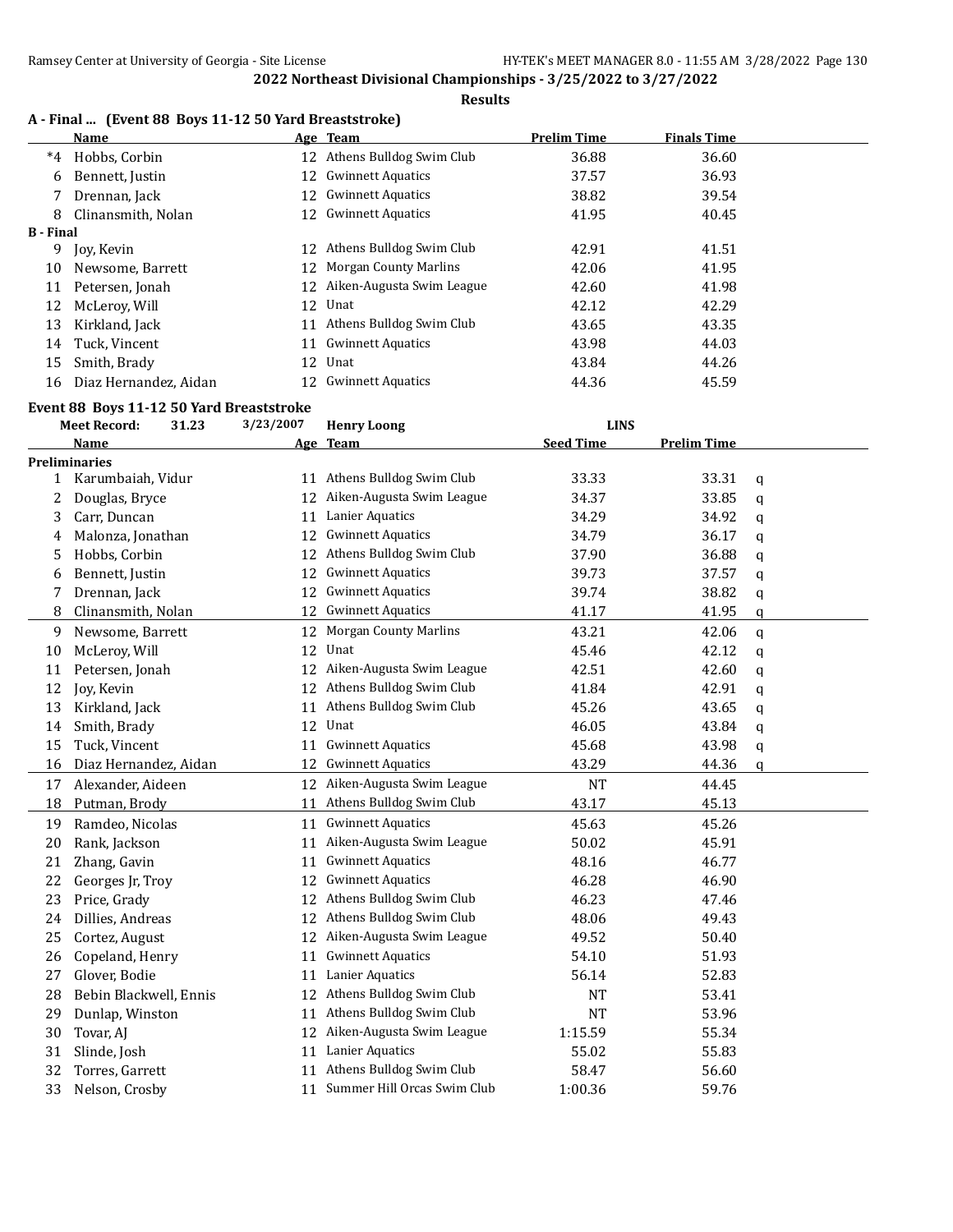# **Results**

|  |  |  |  | A - Final  (Event 88 Boys 11-12 50 Yard Breaststroke) |
|--|--|--|--|-------------------------------------------------------|
|--|--|--|--|-------------------------------------------------------|

|                  | Name                  |     | Age Team                    | <b>Prelim Time</b> | <b>Finals Time</b> |  |
|------------------|-----------------------|-----|-----------------------------|--------------------|--------------------|--|
| $^*4$            | Hobbs, Corbin         |     | 12 Athens Bulldog Swim Club | 36.88              | 36.60              |  |
| 6                | Bennett, Justin       |     | 12 Gwinnett Aquatics        | 37.57              | 36.93              |  |
|                  | Drennan, Jack         |     | 12 Gwinnett Aquatics        | 38.82              | 39.54              |  |
| 8                | Clinansmith, Nolan    |     | 12 Gwinnett Aquatics        | 41.95              | 40.45              |  |
| <b>B</b> - Final |                       |     |                             |                    |                    |  |
| 9                | Joy, Kevin            | 12. | Athens Bulldog Swim Club    | 42.91              | 41.51              |  |
| 10               | Newsome, Barrett      |     | 12 Morgan County Marlins    | 42.06              | 41.95              |  |
| 11               | Petersen, Jonah       | 12  | Aiken-Augusta Swim League   | 42.60              | 41.98              |  |
| 12               | McLeroy, Will         |     | 12 Unat                     | 42.12              | 42.29              |  |
| 13               | Kirkland, Jack        | 11  | Athens Bulldog Swim Club    | 43.65              | 43.35              |  |
| 14               | Tuck, Vincent         |     | 11 Gwinnett Aquatics        | 43.98              | 44.03              |  |
| 15               | Smith, Brady          |     | 12 Unat                     | 43.84              | 44.26              |  |
| 16               | Diaz Hernandez, Aidan |     | 12 Gwinnett Aquatics        | 44.36              | 45.59              |  |

#### **Event 88 Boys 11-12 50 Yard Breaststroke**

|              | 3/23/2007<br><b>Meet Record:</b><br><b>LINS</b><br>31.23<br><b>Henry Loong</b> |  |    |                                |                  |                    |   |
|--------------|--------------------------------------------------------------------------------|--|----|--------------------------------|------------------|--------------------|---|
|              | <b>Name</b>                                                                    |  |    | Age Team                       | <b>Seed Time</b> | <b>Prelim Time</b> |   |
|              | <b>Preliminaries</b>                                                           |  |    |                                |                  |                    |   |
| $\mathbf{1}$ | Karumbaiah, Vidur                                                              |  |    | 11 Athens Bulldog Swim Club    | 33.33            | 33.31              | q |
| 2            | Douglas, Bryce                                                                 |  | 12 | Aiken-Augusta Swim League      | 34.37            | 33.85              | q |
| 3            | Carr, Duncan                                                                   |  | 11 | Lanier Aquatics                | 34.29            | 34.92              | q |
| 4            | Malonza, Jonathan                                                              |  | 12 | <b>Gwinnett Aquatics</b>       | 34.79            | 36.17              | q |
| 5            | Hobbs, Corbin                                                                  |  | 12 | Athens Bulldog Swim Club       | 37.90            | 36.88              | q |
| 6            | Bennett, Justin                                                                |  | 12 | <b>Gwinnett Aquatics</b>       | 39.73            | 37.57              | q |
| 7            | Drennan, Jack                                                                  |  | 12 | <b>Gwinnett Aquatics</b>       | 39.74            | 38.82              | q |
| 8            | Clinansmith, Nolan                                                             |  | 12 | <b>Gwinnett Aquatics</b>       | 41.17            | 41.95              | a |
| 9            | Newsome, Barrett                                                               |  | 12 | <b>Morgan County Marlins</b>   | 43.21            | 42.06              | q |
| 10           | McLeroy, Will                                                                  |  | 12 | Unat                           | 45.46            | 42.12              | q |
| 11           | Petersen, Jonah                                                                |  | 12 | Aiken-Augusta Swim League      | 42.51            | 42.60              | q |
| 12           | Joy, Kevin                                                                     |  | 12 | Athens Bulldog Swim Club       | 41.84            | 42.91              | q |
| 13           | Kirkland, Jack                                                                 |  | 11 | Athens Bulldog Swim Club       | 45.26            | 43.65              | a |
| 14           | Smith, Brady                                                                   |  | 12 | Unat                           | 46.05            | 43.84              | q |
| 15           | Tuck, Vincent                                                                  |  | 11 | <b>Gwinnett Aquatics</b>       | 45.68            | 43.98              | q |
| 16           | Diaz Hernandez, Aidan                                                          |  | 12 | <b>Gwinnett Aquatics</b>       | 43.29            | 44.36              | a |
| 17           | Alexander, Aideen                                                              |  |    | 12 Aiken-Augusta Swim League   | <b>NT</b>        | 44.45              |   |
| 18           | Putman, Brody                                                                  |  | 11 | Athens Bulldog Swim Club       | 43.17            | 45.13              |   |
| 19           | Ramdeo, Nicolas                                                                |  | 11 | <b>Gwinnett Aquatics</b>       | 45.63            | 45.26              |   |
| 20           | Rank, Jackson                                                                  |  | 11 | Aiken-Augusta Swim League      | 50.02            | 45.91              |   |
| 21           | Zhang, Gavin                                                                   |  | 11 | <b>Gwinnett Aquatics</b>       | 48.16            | 46.77              |   |
| 22           | Georges Jr, Troy                                                               |  | 12 | <b>Gwinnett Aquatics</b>       | 46.28            | 46.90              |   |
| 23           | Price, Grady                                                                   |  | 12 | Athens Bulldog Swim Club       | 46.23            | 47.46              |   |
| 24           | Dillies, Andreas                                                               |  | 12 | Athens Bulldog Swim Club       | 48.06            | 49.43              |   |
| 25           | Cortez, August                                                                 |  | 12 | Aiken-Augusta Swim League      | 49.52            | 50.40              |   |
| 26           | Copeland, Henry                                                                |  | 11 | <b>Gwinnett Aquatics</b>       | 54.10            | 51.93              |   |
| 27           | Glover, Bodie                                                                  |  | 11 | Lanier Aquatics                | 56.14            | 52.83              |   |
| 28           | Bebin Blackwell, Ennis                                                         |  | 12 | Athens Bulldog Swim Club       | <b>NT</b>        | 53.41              |   |
| 29           | Dunlap, Winston                                                                |  | 11 | Athens Bulldog Swim Club       | <b>NT</b>        | 53.96              |   |
| 30           | Tovar, AJ                                                                      |  | 12 | Aiken-Augusta Swim League      | 1:15.59          | 55.34              |   |
| 31           | Slinde, Josh                                                                   |  | 11 | Lanier Aquatics                | 55.02            | 55.83              |   |
| 32           | Torres, Garrett                                                                |  | 11 | Athens Bulldog Swim Club       | 58.47            | 56.60              |   |
| 33           | Nelson, Crosby                                                                 |  |    | 11 Summer Hill Orcas Swim Club | 1:00.36          | 59.76              |   |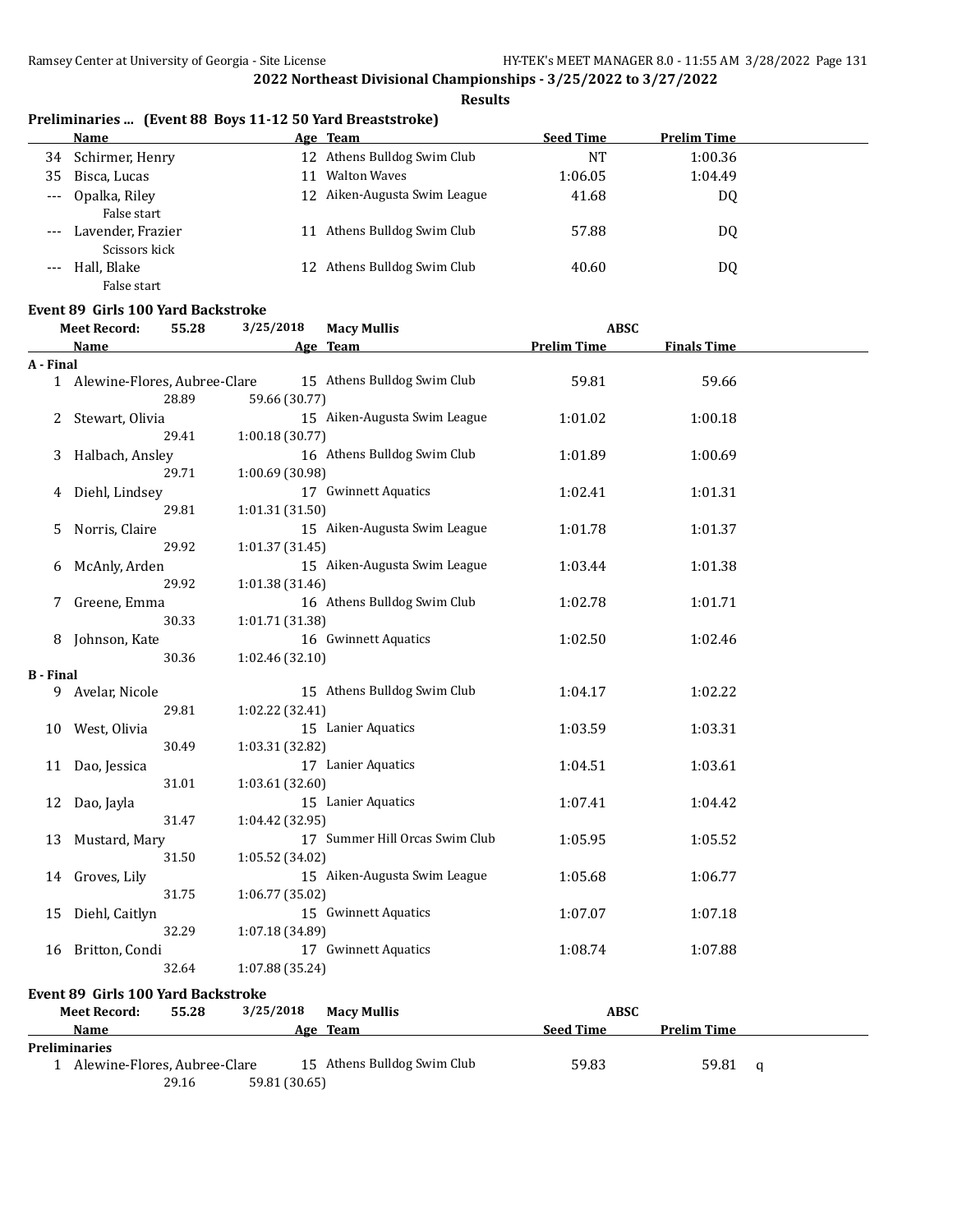# **Results**

|  |  |  | Preliminaries  (Event 88 Boys 11-12 50 Yard Breaststroke) |
|--|--|--|-----------------------------------------------------------|
|--|--|--|-----------------------------------------------------------|

|       | Name              |    | Age Team                     | <b>Seed Time</b> | <b>Prelim Time</b> |  |
|-------|-------------------|----|------------------------------|------------------|--------------------|--|
| 34    | Schirmer, Henry   |    | 12 Athens Bulldog Swim Club  | NT               | 1:00.36            |  |
| 35    | Bisca, Lucas      | 11 | <b>Walton Waves</b>          | 1:06.05          | 1:04.49            |  |
| $---$ | Opalka, Riley     |    | 12 Aiken-Augusta Swim League | 41.68            | DQ                 |  |
|       | False start       |    |                              |                  |                    |  |
| $---$ | Lavender, Frazier | 11 | Athens Bulldog Swim Club     | 57.88            | DQ                 |  |
|       | Scissors kick     |    |                              |                  |                    |  |
| $---$ | Hall, Blake       |    | 12 Athens Bulldog Swim Club  | 40.60            | DQ                 |  |
|       | False start       |    |                              |                  |                    |  |

# **Event 89 Girls 100 Yard Backstroke**<br>Meet Record: 55.28 3/25

|                  | 3/25/2018<br><b>Meet Record:</b><br><b>Macy Mullis</b><br><b>ABSC</b><br>55.28 |                 |                                |                    |                    |   |
|------------------|--------------------------------------------------------------------------------|-----------------|--------------------------------|--------------------|--------------------|---|
|                  | Name                                                                           |                 | Age Team                       | <b>Prelim Time</b> | <b>Finals Time</b> |   |
| A - Final        |                                                                                |                 |                                |                    |                    |   |
|                  | 1 Alewine-Flores, Aubree-Clare                                                 |                 | 15 Athens Bulldog Swim Club    | 59.81              | 59.66              |   |
|                  | 28.89                                                                          | 59.66 (30.77)   |                                |                    |                    |   |
| 2                | Stewart, Olivia                                                                |                 | 15 Aiken-Augusta Swim League   | 1:01.02            | 1:00.18            |   |
|                  | 29.41                                                                          | 1:00.18(30.77)  |                                |                    |                    |   |
| 3                | Halbach, Ansley                                                                |                 | 16 Athens Bulldog Swim Club    | 1:01.89            | 1:00.69            |   |
|                  | 29.71                                                                          | 1:00.69 (30.98) |                                |                    |                    |   |
| 4                | Diehl, Lindsey                                                                 |                 | 17 Gwinnett Aquatics           | 1:02.41            | 1:01.31            |   |
|                  | 29.81                                                                          | 1:01.31 (31.50) |                                |                    |                    |   |
| 5                | Norris, Claire                                                                 |                 | 15 Aiken-Augusta Swim League   | 1:01.78            | 1:01.37            |   |
|                  | 29.92                                                                          | 1:01.37 (31.45) |                                |                    |                    |   |
| 6                | McAnly, Arden                                                                  |                 | 15 Aiken-Augusta Swim League   | 1:03.44            | 1:01.38            |   |
|                  | 29.92                                                                          | 1:01.38 (31.46) |                                |                    |                    |   |
| 7                | Greene, Emma                                                                   |                 | 16 Athens Bulldog Swim Club    | 1:02.78            | 1:01.71            |   |
|                  | 30.33                                                                          | 1:01.71 (31.38) |                                |                    |                    |   |
| 8                | Johnson, Kate                                                                  |                 | 16 Gwinnett Aquatics           | 1:02.50            | 1:02.46            |   |
|                  | 30.36                                                                          | 1:02.46 (32.10) |                                |                    |                    |   |
| <b>B</b> - Final |                                                                                |                 |                                |                    |                    |   |
| 9                | Avelar, Nicole                                                                 |                 | 15 Athens Bulldog Swim Club    | 1:04.17            | 1:02.22            |   |
|                  | 29.81                                                                          | 1:02.22 (32.41) |                                |                    |                    |   |
| 10               | West, Olivia                                                                   |                 | 15 Lanier Aquatics             | 1:03.59            | 1:03.31            |   |
|                  | 30.49                                                                          | 1:03.31 (32.82) |                                |                    |                    |   |
| 11               | Dao, Jessica                                                                   |                 | 17 Lanier Aquatics             | 1:04.51            | 1:03.61            |   |
|                  | 31.01                                                                          | 1:03.61 (32.60) |                                |                    |                    |   |
|                  |                                                                                |                 | 15 Lanier Aquatics             | 1:07.41            | 1:04.42            |   |
| 12               | Dao, Jayla<br>31.47                                                            | 1:04.42 (32.95) |                                |                    |                    |   |
|                  |                                                                                |                 | 17 Summer Hill Orcas Swim Club |                    |                    |   |
| 13               | Mustard, Mary                                                                  |                 |                                | 1:05.95            | 1:05.52            |   |
|                  | 31.50                                                                          | 1:05.52 (34.02) |                                |                    |                    |   |
| 14               | Groves, Lily                                                                   |                 | 15 Aiken-Augusta Swim League   | 1:05.68            | 1:06.77            |   |
|                  | 31.75                                                                          | 1:06.77 (35.02) |                                |                    |                    |   |
| 15               | Diehl, Caitlyn                                                                 |                 | 15 Gwinnett Aquatics           | 1:07.07            | 1:07.18            |   |
|                  | 32.29                                                                          | 1:07.18 (34.89) |                                |                    |                    |   |
|                  | 16 Britton, Condi                                                              |                 | 17 Gwinnett Aquatics           | 1:08.74            | 1:07.88            |   |
|                  | 32.64                                                                          | 1:07.88 (35.24) |                                |                    |                    |   |
|                  | Event 89 Girls 100 Yard Backstroke                                             |                 |                                |                    |                    |   |
|                  | <b>Meet Record:</b><br>55.28                                                   | 3/25/2018       | <b>Macy Mullis</b>             | <b>ABSC</b>        |                    |   |
|                  | Name                                                                           |                 | Age Team                       | <b>Seed Time</b>   | <b>Prelim Time</b> |   |
|                  | <b>Preliminaries</b>                                                           |                 |                                |                    |                    |   |
|                  | 1 Alewine-Flores, Aubree-Clare                                                 |                 | 15 Athens Bulldog Swim Club    | 59.83              | 59.81              | q |
|                  | 29.16                                                                          | 59.81 (30.65)   |                                |                    |                    |   |
|                  |                                                                                |                 |                                |                    |                    |   |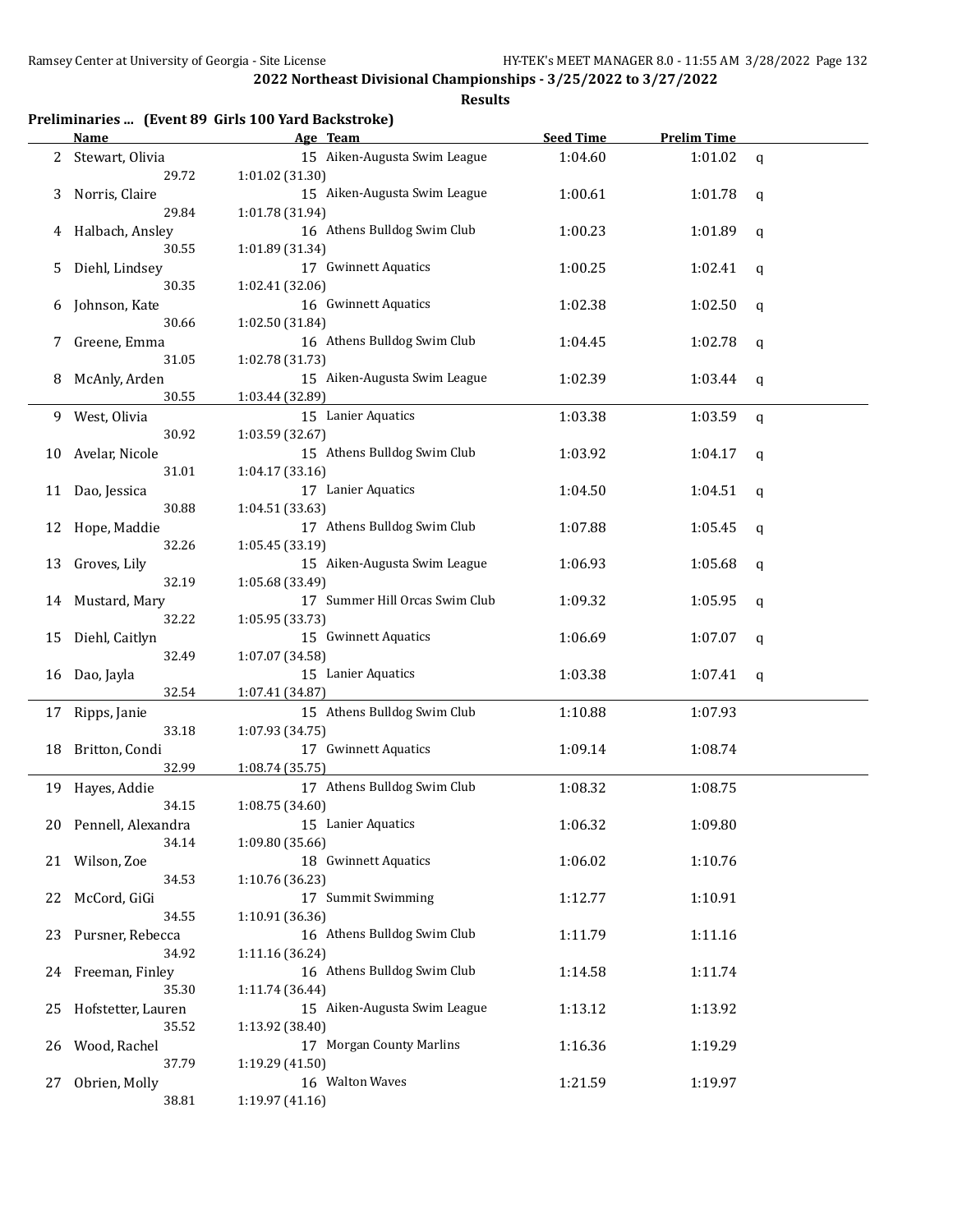|  |  |  | Preliminaries  (Event 89 Girls 100 Yard Backstroke) |
|--|--|--|-----------------------------------------------------|
|--|--|--|-----------------------------------------------------|

|    | <u>Name</u>           | Age Team                       | <b>Seed Time</b> | <b>Prelim Time</b> |   |
|----|-----------------------|--------------------------------|------------------|--------------------|---|
|    | 2 Stewart, Olivia     | 15 Aiken-Augusta Swim League   | 1:04.60          | 1:01.02            | q |
|    | 29.72                 | 1:01.02(31.30)                 |                  |                    |   |
| 3  | Norris, Claire        | 15 Aiken-Augusta Swim League   | 1:00.61          | 1:01.78            | q |
|    | 29.84                 | 1:01.78 (31.94)                |                  |                    |   |
|    | Halbach, Ansley       | 16 Athens Bulldog Swim Club    | 1:00.23          | 1:01.89            | q |
|    | 30.55                 | 1:01.89 (31.34)                |                  |                    |   |
| 5  | Diehl, Lindsey        | 17 Gwinnett Aquatics           | 1:00.25          | 1:02.41            | q |
|    | 30.35                 | 1:02.41 (32.06)                |                  |                    |   |
| 6  | Johnson, Kate         | 16 Gwinnett Aquatics           | 1:02.38          | 1:02.50            | q |
|    | 30.66                 | 1:02.50 (31.84)                |                  |                    |   |
| 7  | Greene, Emma          | 16 Athens Bulldog Swim Club    | 1:04.45          | 1:02.78            | q |
|    | 31.05                 | 1:02.78 (31.73)                |                  |                    |   |
| 8  | McAnly, Arden         | 15 Aiken-Augusta Swim League   | 1:02.39          | 1:03.44            | q |
|    | 30.55                 | 1:03.44 (32.89)                |                  |                    |   |
| 9  | West, Olivia          | 15 Lanier Aquatics             | 1:03.38          | 1:03.59            | q |
|    | 30.92                 | 1:03.59 (32.67)                |                  |                    |   |
| 10 | Avelar, Nicole        | 15 Athens Bulldog Swim Club    | 1:03.92          | 1:04.17            | q |
|    | 31.01                 | 1:04.17 (33.16)                |                  |                    |   |
| 11 | Dao, Jessica          | 17 Lanier Aquatics             | 1:04.50          | 1:04.51            | q |
|    | 30.88                 | 1:04.51 (33.63)                |                  |                    |   |
| 12 | Hope, Maddie          | 17 Athens Bulldog Swim Club    | 1:07.88          | 1:05.45            | q |
|    | 32.26                 | 1:05.45 (33.19)                |                  |                    |   |
| 13 | Groves, Lily          | 15 Aiken-Augusta Swim League   | 1:06.93          | 1:05.68            | q |
|    | 32.19                 | 1:05.68 (33.49)                |                  |                    |   |
| 14 | Mustard, Mary         | 17 Summer Hill Orcas Swim Club | 1:09.32          | 1:05.95            | q |
|    | 32.22                 | 1:05.95 (33.73)                |                  |                    |   |
| 15 | Diehl, Caitlyn        | 15 Gwinnett Aquatics           | 1:06.69          | 1:07.07            | q |
|    | 32.49                 | 1:07.07 (34.58)                |                  |                    |   |
| 16 | Dao, Jayla            | 15 Lanier Aquatics             | 1:03.38          | 1:07.41            | q |
|    | 32.54                 | 1:07.41 (34.87)                |                  |                    |   |
|    | 17 Ripps, Janie       | 15 Athens Bulldog Swim Club    | 1:10.88          | 1:07.93            |   |
|    | 33.18                 | 1:07.93 (34.75)                |                  |                    |   |
| 18 | Britton, Condi        | 17 Gwinnett Aquatics           | 1:09.14          | 1:08.74            |   |
|    | 32.99                 | 1:08.74 (35.75)                |                  |                    |   |
|    | 19 Hayes, Addie       | 17 Athens Bulldog Swim Club    | 1:08.32          | 1:08.75            |   |
|    | 34.15                 | 1:08.75 (34.60)                |                  |                    |   |
|    | 20 Pennell, Alexandra | 15 Lanier Aquatics             | 1:06.32          | 1:09.80            |   |
|    | 34.14                 | 1:09.80 (35.66)                |                  |                    |   |
|    | 21 Wilson, Zoe        | 18 Gwinnett Aquatics           | 1:06.02          | 1:10.76            |   |
|    | 34.53                 | 1:10.76 (36.23)                |                  |                    |   |
|    | 22 McCord, GiGi       | 17 Summit Swimming             | 1:12.77          | 1:10.91            |   |
|    | 34.55                 | 1:10.91 (36.36)                |                  |                    |   |
| 23 | Pursner, Rebecca      | 16 Athens Bulldog Swim Club    | 1:11.79          | 1:11.16            |   |
|    | 34.92                 | 1:11.16 (36.24)                |                  |                    |   |
|    | 24 Freeman, Finley    | 16 Athens Bulldog Swim Club    | 1:14.58          | 1:11.74            |   |
|    | 35.30                 | 1:11.74 (36.44)                |                  |                    |   |
| 25 | Hofstetter, Lauren    | 15 Aiken-Augusta Swim League   | 1:13.12          | 1:13.92            |   |
|    | 35.52                 | 1:13.92 (38.40)                |                  |                    |   |
| 26 | Wood, Rachel          | 17 Morgan County Marlins       | 1:16.36          | 1:19.29            |   |
|    | 37.79                 | 1:19.29 (41.50)                |                  |                    |   |
| 27 | Obrien, Molly         | 16 Walton Waves                | 1:21.59          | 1:19.97            |   |
|    | 38.81                 | 1:19.97 (41.16)                |                  |                    |   |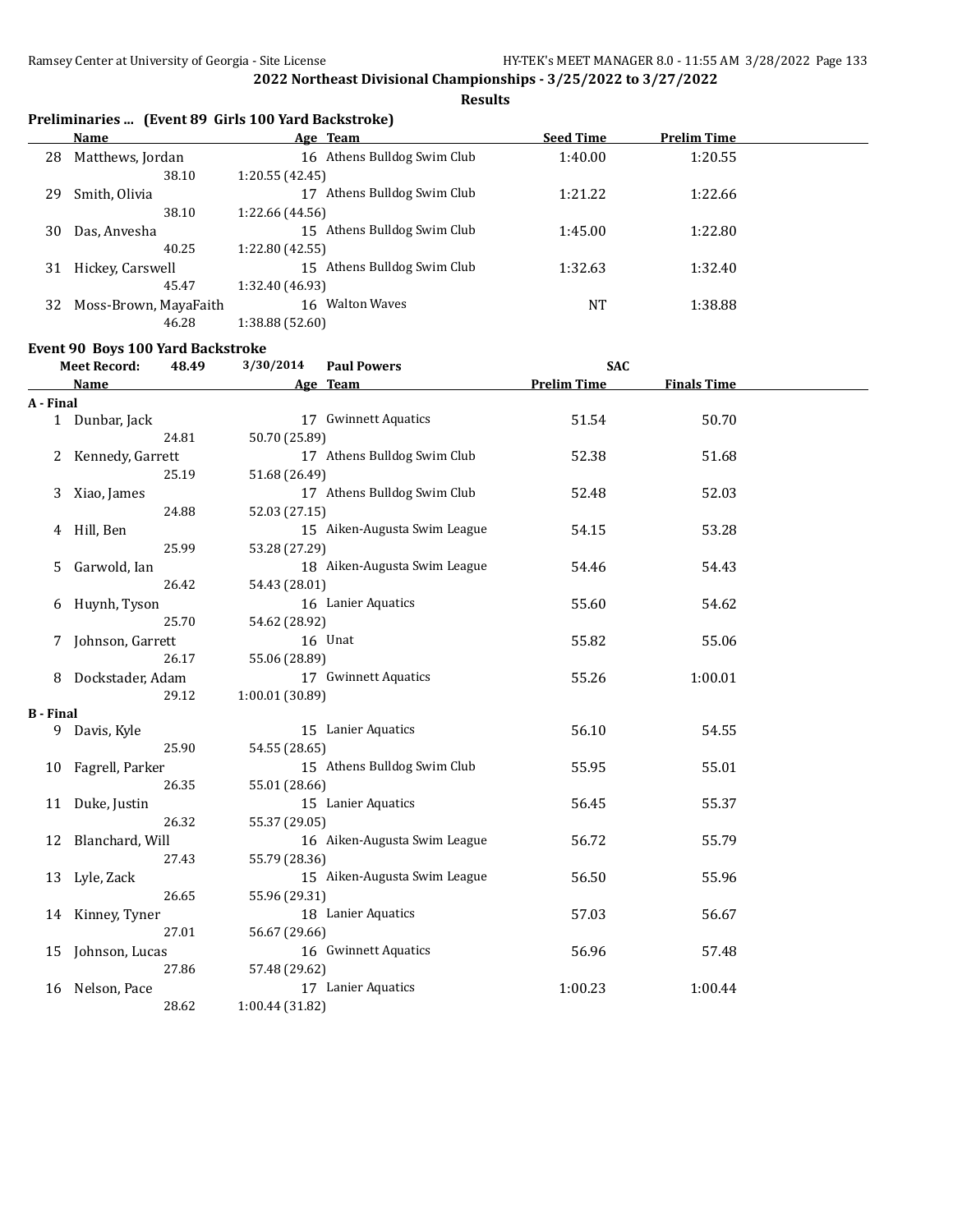**Results**

|  |  | Preliminaries  (Event 89 Girls 100 Yard Backstroke) |  |
|--|--|-----------------------------------------------------|--|
|--|--|-----------------------------------------------------|--|

|    | Name                  | Age Team                       | <b>Seed Time</b> | <b>Prelim Time</b> |  |
|----|-----------------------|--------------------------------|------------------|--------------------|--|
| 28 | Matthews, Jordan      | 16 Athens Bulldog Swim Club    | 1:40.00          | 1:20.55            |  |
|    | 38.10                 | 1:20.55 (42.45)                |                  |                    |  |
| 29 | Smith, Olivia         | Athens Bulldog Swim Club<br>17 | 1:21.22          | 1:22.66            |  |
|    | 38.10                 | 1:22.66 (44.56)                |                  |                    |  |
| 30 | Das, Anvesha          | 15 Athens Bulldog Swim Club    | 1:45.00          | 1:22.80            |  |
|    | 40.25                 | 1:22.80 (42.55)                |                  |                    |  |
| 31 | Hickey, Carswell      | 15 Athens Bulldog Swim Club    | 1:32.63          | 1:32.40            |  |
|    | 45.47                 | 1:32.40 (46.93)                |                  |                    |  |
| 32 | Moss-Brown, MayaFaith | <b>Walton Waves</b><br>16      | NT               | 1:38.88            |  |
|    | 46.28                 | 1:38.88 (52.60)                |                  |                    |  |

# **Event 90 Boys 100 Yard Backstroke**

|                  | <b>Meet Record:</b><br>48.49 | 3/30/2014       | <b>Paul Powers</b>           | <b>SAC</b>         |                    |  |
|------------------|------------------------------|-----------------|------------------------------|--------------------|--------------------|--|
|                  | <b>Name</b>                  |                 | Age Team                     | <b>Prelim Time</b> | <b>Finals Time</b> |  |
| A - Final        |                              |                 |                              |                    |                    |  |
|                  | 1 Dunbar, Jack               |                 | 17 Gwinnett Aquatics         | 51.54              | 50.70              |  |
|                  | 24.81                        | 50.70 (25.89)   |                              |                    |                    |  |
|                  | 2 Kennedy, Garrett           |                 | 17 Athens Bulldog Swim Club  | 52.38              | 51.68              |  |
|                  | 25.19                        | 51.68 (26.49)   |                              |                    |                    |  |
| 3                | Xiao, James                  |                 | 17 Athens Bulldog Swim Club  | 52.48              | 52.03              |  |
|                  | 24.88                        | 52.03 (27.15)   |                              |                    |                    |  |
| 4                | Hill, Ben                    |                 | 15 Aiken-Augusta Swim League | 54.15              | 53.28              |  |
|                  | 25.99                        | 53.28 (27.29)   |                              |                    |                    |  |
| 5                | Garwold, Ian                 |                 | 18 Aiken-Augusta Swim League | 54.46              | 54.43              |  |
|                  | 26.42                        | 54.43 (28.01)   |                              |                    |                    |  |
| 6                | Huynh, Tyson                 |                 | 16 Lanier Aquatics           | 55.60              | 54.62              |  |
|                  | 25.70                        | 54.62 (28.92)   |                              |                    |                    |  |
|                  | Johnson, Garrett             |                 | 16 Unat                      | 55.82              | 55.06              |  |
|                  | 26.17                        | 55.06 (28.89)   |                              |                    |                    |  |
| 8                | Dockstader, Adam             |                 | 17 Gwinnett Aquatics         | 55.26              | 1:00.01            |  |
|                  | 29.12                        | 1:00.01 (30.89) |                              |                    |                    |  |
| <b>B</b> - Final |                              |                 |                              |                    |                    |  |
| 9                | Davis, Kyle                  |                 | 15 Lanier Aquatics           | 56.10              | 54.55              |  |
|                  | 25.90                        | 54.55 (28.65)   |                              |                    |                    |  |
|                  | 10 Fagrell, Parker           |                 | 15 Athens Bulldog Swim Club  | 55.95              | 55.01              |  |
|                  | 26.35                        | 55.01 (28.66)   |                              |                    |                    |  |
|                  | 11 Duke, Justin              |                 | 15 Lanier Aquatics           | 56.45              | 55.37              |  |
|                  | 26.32                        | 55.37 (29.05)   |                              |                    |                    |  |
|                  | 12 Blanchard, Will           |                 | 16 Aiken-Augusta Swim League | 56.72              | 55.79              |  |
|                  | 27.43                        | 55.79 (28.36)   |                              |                    |                    |  |
|                  | 13 Lyle, Zack                |                 | 15 Aiken-Augusta Swim League | 56.50              | 55.96              |  |
|                  | 26.65                        | 55.96 (29.31)   |                              |                    |                    |  |
| 14               | Kinney, Tyner                |                 | 18 Lanier Aquatics           | 57.03              | 56.67              |  |
|                  | 27.01                        | 56.67 (29.66)   |                              |                    |                    |  |
| 15               | Johnson, Lucas               |                 | 16 Gwinnett Aquatics         | 56.96              | 57.48              |  |
|                  | 27.86                        | 57.48 (29.62)   |                              |                    |                    |  |
| 16               | Nelson, Pace                 |                 | 17 Lanier Aquatics           | 1:00.23            | 1:00.44            |  |
|                  | 28.62                        | 1:00.44 (31.82) |                              |                    |                    |  |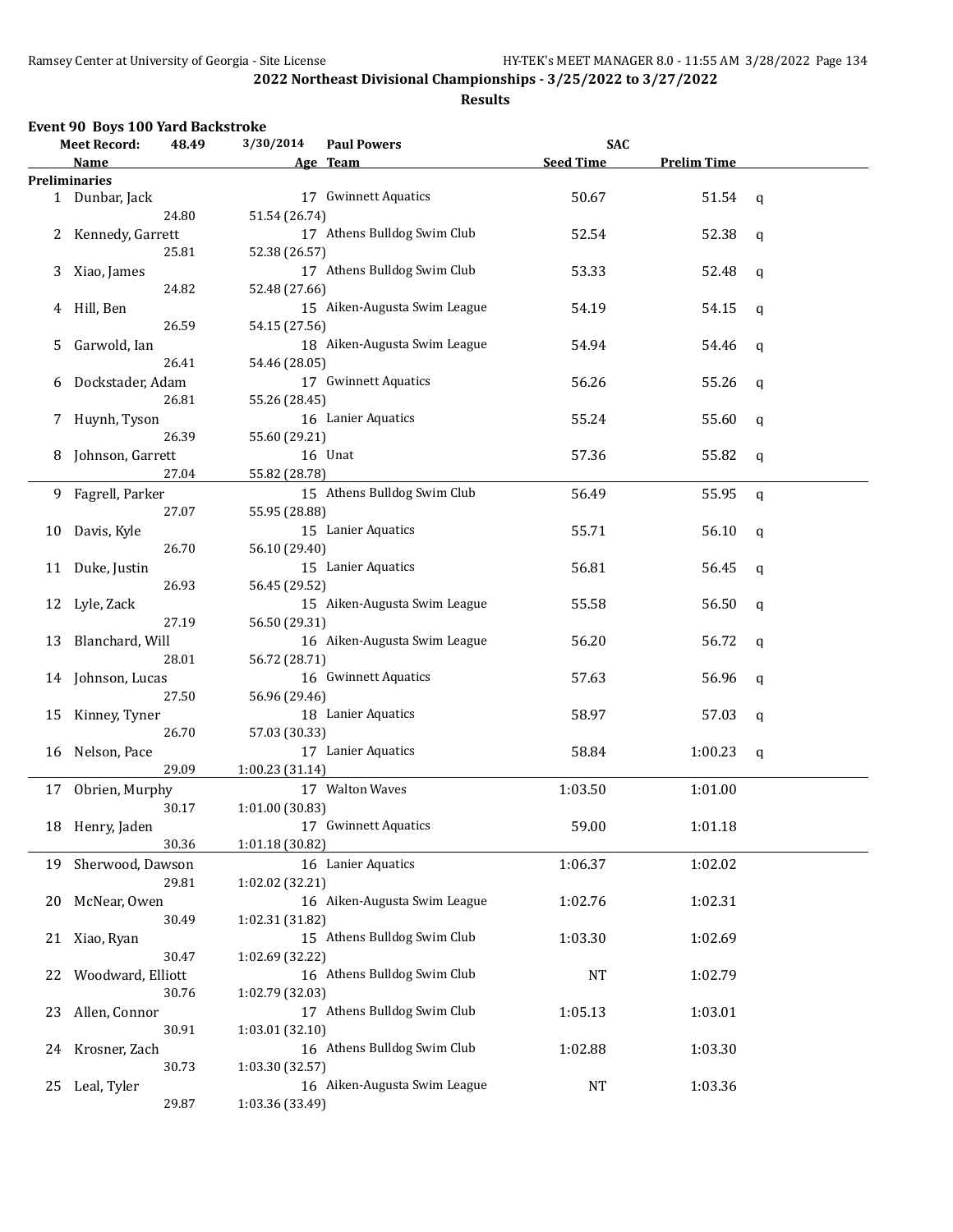#### **Results**

# **Event 90 Boys 100 Yard Backstroke**

|    | <b>Meet Record:</b>  | 48.49 | 3/30/2014       | <b>Paul Powers</b>           | <b>SAC</b>       |                    |             |
|----|----------------------|-------|-----------------|------------------------------|------------------|--------------------|-------------|
|    | Name                 |       |                 | Age Team                     | <b>Seed Time</b> | <b>Prelim Time</b> |             |
|    | <b>Preliminaries</b> |       |                 |                              |                  |                    |             |
|    | 1 Dunbar, Jack       |       |                 | 17 Gwinnett Aquatics         | 50.67            | 51.54              | q           |
|    |                      | 24.80 | 51.54 (26.74)   |                              |                  |                    |             |
|    | 2 Kennedy, Garrett   |       |                 | 17 Athens Bulldog Swim Club  | 52.54            | 52.38              | q           |
|    |                      | 25.81 | 52.38 (26.57)   |                              |                  |                    |             |
| 3  | Xiao, James          |       |                 | 17 Athens Bulldog Swim Club  | 53.33            | 52.48              | q           |
|    |                      | 24.82 | 52.48 (27.66)   |                              |                  |                    |             |
| 4  | Hill, Ben            |       |                 | 15 Aiken-Augusta Swim League | 54.19            | 54.15              | q           |
|    |                      | 26.59 | 54.15 (27.56)   |                              |                  |                    |             |
| 5  | Garwold, Ian         |       |                 | 18 Aiken-Augusta Swim League | 54.94            | 54.46              | q           |
|    |                      | 26.41 | 54.46 (28.05)   |                              |                  |                    |             |
|    |                      |       |                 | 17 Gwinnett Aquatics         | 56.26            |                    |             |
| 6  | Dockstader, Adam     |       |                 |                              |                  | 55.26              | q           |
|    |                      | 26.81 | 55.26 (28.45)   |                              |                  |                    |             |
| 7  | Huynh, Tyson         |       |                 | 16 Lanier Aquatics           | 55.24            | 55.60              | q           |
|    |                      | 26.39 | 55.60 (29.21)   |                              |                  |                    |             |
| 8  | Johnson, Garrett     |       |                 | 16 Unat                      | 57.36            | 55.82              | q           |
|    |                      | 27.04 | 55.82 (28.78)   |                              |                  |                    |             |
| 9  | Fagrell, Parker      |       |                 | 15 Athens Bulldog Swim Club  | 56.49            | 55.95              | $\mathbf q$ |
|    |                      | 27.07 | 55.95 (28.88)   |                              |                  |                    |             |
| 10 | Davis, Kyle          |       |                 | 15 Lanier Aquatics           | 55.71            | 56.10              | q           |
|    |                      | 26.70 | 56.10 (29.40)   |                              |                  |                    |             |
| 11 | Duke, Justin         |       |                 | 15 Lanier Aquatics           | 56.81            | 56.45              | q           |
|    |                      | 26.93 | 56.45 (29.52)   |                              |                  |                    |             |
|    | 12 Lyle, Zack        |       |                 | 15 Aiken-Augusta Swim League | 55.58            | 56.50              | q           |
|    |                      | 27.19 | 56.50 (29.31)   |                              |                  |                    |             |
|    | 13 Blanchard, Will   |       |                 | 16 Aiken-Augusta Swim League | 56.20            | 56.72              | q           |
|    |                      | 28.01 | 56.72 (28.71)   |                              |                  |                    |             |
|    | 14 Johnson, Lucas    |       |                 | 16 Gwinnett Aquatics         | 57.63            | 56.96              | q           |
|    |                      | 27.50 | 56.96 (29.46)   |                              |                  |                    |             |
|    | 15 Kinney, Tyner     |       |                 | 18 Lanier Aquatics           | 58.97            | 57.03              |             |
|    |                      | 26.70 | 57.03 (30.33)   |                              |                  |                    | q           |
|    |                      |       |                 |                              |                  |                    |             |
| 16 | Nelson, Pace         |       |                 | 17 Lanier Aquatics           | 58.84            | 1:00.23            | q           |
|    |                      | 29.09 | 1:00.23 (31.14) |                              |                  |                    |             |
|    | 17 Obrien, Murphy    |       |                 | 17 Walton Waves              | 1:03.50          | 1:01.00            |             |
|    |                      | 30.17 | 1:01.00 (30.83) |                              |                  |                    |             |
|    | 18 Henry, Jaden      |       |                 | 17 Gwinnett Aquatics         | 59.00            | 1:01.18            |             |
|    |                      | 30.36 | 1:01.18 (30.82) |                              |                  |                    |             |
|    | 19 Sherwood, Dawson  |       |                 | 16 Lanier Aquatics           | 1:06.37          | 1:02.02            |             |
|    |                      | 29.81 | 1:02.02 (32.21) |                              |                  |                    |             |
| 20 | McNear, Owen         |       |                 | 16 Aiken-Augusta Swim League | 1:02.76          | 1:02.31            |             |
|    |                      | 30.49 | 1:02.31 (31.82) |                              |                  |                    |             |
|    | 21 Xiao, Ryan        |       |                 | 15 Athens Bulldog Swim Club  | 1:03.30          | 1:02.69            |             |
|    |                      | 30.47 | 1:02.69 (32.22) |                              |                  |                    |             |
| 22 | Woodward, Elliott    |       |                 | 16 Athens Bulldog Swim Club  | <b>NT</b>        | 1:02.79            |             |
|    |                      | 30.76 | 1:02.79 (32.03) |                              |                  |                    |             |
| 23 | Allen, Connor        |       |                 | 17 Athens Bulldog Swim Club  | 1:05.13          | 1:03.01            |             |
|    |                      | 30.91 | 1:03.01(32.10)  |                              |                  |                    |             |
| 24 | Krosner, Zach        |       |                 | 16 Athens Bulldog Swim Club  | 1:02.88          | 1:03.30            |             |
|    |                      | 30.73 |                 |                              |                  |                    |             |
|    |                      |       | 1:03.30 (32.57) | 16 Aiken-Augusta Swim League |                  |                    |             |
| 25 | Leal, Tyler          |       |                 |                              | NT               | 1:03.36            |             |
|    |                      | 29.87 | 1:03.36 (33.49) |                              |                  |                    |             |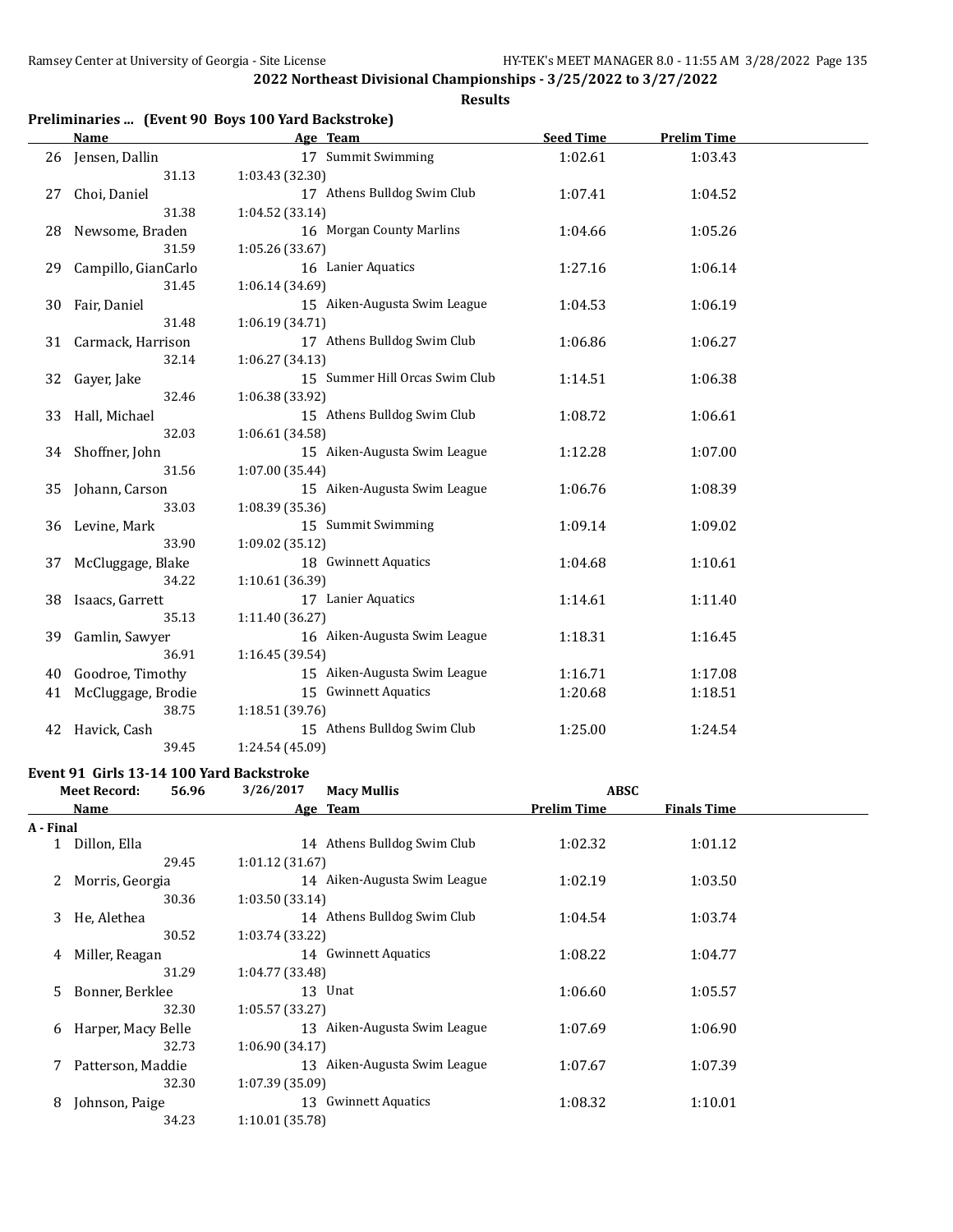**Results**

# **Preliminaries ... (Event 90 Boys 100 Yard Backstroke)**

|    | <b>Name</b>         | Age Team                       | <b>Seed Time</b> | <b>Prelim Time</b> |  |
|----|---------------------|--------------------------------|------------------|--------------------|--|
|    | 26 Jensen, Dallin   | 17 Summit Swimming             | 1:02.61          | 1:03.43            |  |
|    | 31.13               | 1:03.43 (32.30)                |                  |                    |  |
| 27 | Choi, Daniel        | 17 Athens Bulldog Swim Club    | 1:07.41          | 1:04.52            |  |
|    | 31.38               | 1:04.52 (33.14)                |                  |                    |  |
| 28 | Newsome, Braden     | 16 Morgan County Marlins       | 1:04.66          | 1:05.26            |  |
|    | 31.59               | 1:05.26 (33.67)                |                  |                    |  |
| 29 | Campillo, GianCarlo | 16 Lanier Aquatics             | 1:27.16          | 1:06.14            |  |
|    | 31.45               | 1:06.14 (34.69)                |                  |                    |  |
| 30 | Fair, Daniel        | 15 Aiken-Augusta Swim League   | 1:04.53          | 1:06.19            |  |
|    | 31.48               | 1:06.19 (34.71)                |                  |                    |  |
| 31 | Carmack, Harrison   | 17 Athens Bulldog Swim Club    | 1:06.86          | 1:06.27            |  |
|    | 32.14               | 1:06.27 (34.13)                |                  |                    |  |
| 32 | Gayer, Jake         | 15 Summer Hill Orcas Swim Club | 1:14.51          | 1:06.38            |  |
|    | 32.46               | 1:06.38 (33.92)                |                  |                    |  |
| 33 | Hall, Michael       | 15 Athens Bulldog Swim Club    | 1:08.72          | 1:06.61            |  |
|    | 32.03               | 1:06.61 (34.58)                |                  |                    |  |
|    | 34 Shoffner, John   | 15 Aiken-Augusta Swim League   | 1:12.28          | 1:07.00            |  |
|    | 31.56               | 1:07.00 (35.44)                |                  |                    |  |
| 35 | Johann, Carson      | 15 Aiken-Augusta Swim League   | 1:06.76          | 1:08.39            |  |
|    | 33.03               | 1:08.39 (35.36)                |                  |                    |  |
| 36 | Levine, Mark        | 15 Summit Swimming             | 1:09.14          | 1:09.02            |  |
|    | 33.90               | 1:09.02 (35.12)                |                  |                    |  |
| 37 | McCluggage, Blake   | 18 Gwinnett Aquatics           | 1:04.68          | 1:10.61            |  |
|    | 34.22               | 1:10.61 (36.39)                |                  |                    |  |
| 38 | Isaacs, Garrett     | 17 Lanier Aquatics             | 1:14.61          | 1:11.40            |  |
|    | 35.13               | 1:11.40 (36.27)                |                  |                    |  |
| 39 | Gamlin, Sawyer      | 16 Aiken-Augusta Swim League   | 1:18.31          | 1:16.45            |  |
|    | 36.91               | 1:16.45 (39.54)                |                  |                    |  |
| 40 | Goodroe, Timothy    | 15 Aiken-Augusta Swim League   | 1:16.71          | 1:17.08            |  |
| 41 | McCluggage, Brodie  | 15 Gwinnett Aquatics           | 1:20.68          | 1:18.51            |  |
|    | 38.75               | 1:18.51 (39.76)                |                  |                    |  |
| 42 | Havick, Cash        | 15 Athens Bulldog Swim Club    | 1:25.00          | 1:24.54            |  |
|    | 39.45               | 1:24.54 (45.09)                |                  |                    |  |

#### **Event 91 Girls 13-14 100 Yard Backstroke**

|           | <b>Meet Record:</b><br>56.96 | 3/26/2017       | <b>Macy Mullis</b>           | <b>ABSC</b>        |                    |  |
|-----------|------------------------------|-----------------|------------------------------|--------------------|--------------------|--|
|           | Name                         |                 | Age Team                     | <b>Prelim Time</b> | <b>Finals Time</b> |  |
| A - Final |                              |                 |                              |                    |                    |  |
|           | Dillon, Ella                 |                 | 14 Athens Bulldog Swim Club  | 1:02.32            | 1:01.12            |  |
|           | 29.45                        | 1:01.12(31.67)  |                              |                    |                    |  |
| 2         | Morris, Georgia              |                 | 14 Aiken-Augusta Swim League | 1:02.19            | 1:03.50            |  |
|           | 30.36                        | 1:03.50(33.14)  |                              |                    |                    |  |
| 3         | He, Alethea                  |                 | 14 Athens Bulldog Swim Club  | 1:04.54            | 1:03.74            |  |
|           | 30.52                        | 1:03.74 (33.22) |                              |                    |                    |  |
| 4         | Miller, Reagan               |                 | 14 Gwinnett Aquatics         | 1:08.22            | 1:04.77            |  |
|           | 31.29                        | 1:04.77 (33.48) |                              |                    |                    |  |
| 5.        | Bonner, Berklee              |                 | 13 Unat                      | 1:06.60            | 1:05.57            |  |
|           | 32.30                        | 1:05.57(33.27)  |                              |                    |                    |  |
| 6         | Harper, Macy Belle           |                 | 13 Aiken-Augusta Swim League | 1:07.69            | 1:06.90            |  |
|           | 32.73                        | 1:06.90(34.17)  |                              |                    |                    |  |
|           | Patterson, Maddie            |                 | 13 Aiken-Augusta Swim League | 1:07.67            | 1:07.39            |  |
|           | 32.30                        | 1:07.39(35.09)  |                              |                    |                    |  |
| 8         | Johnson, Paige               | 13              | <b>Gwinnett Aquatics</b>     | 1:08.32            | 1:10.01            |  |
|           | 34.23                        | 1:10.01 (35.78) |                              |                    |                    |  |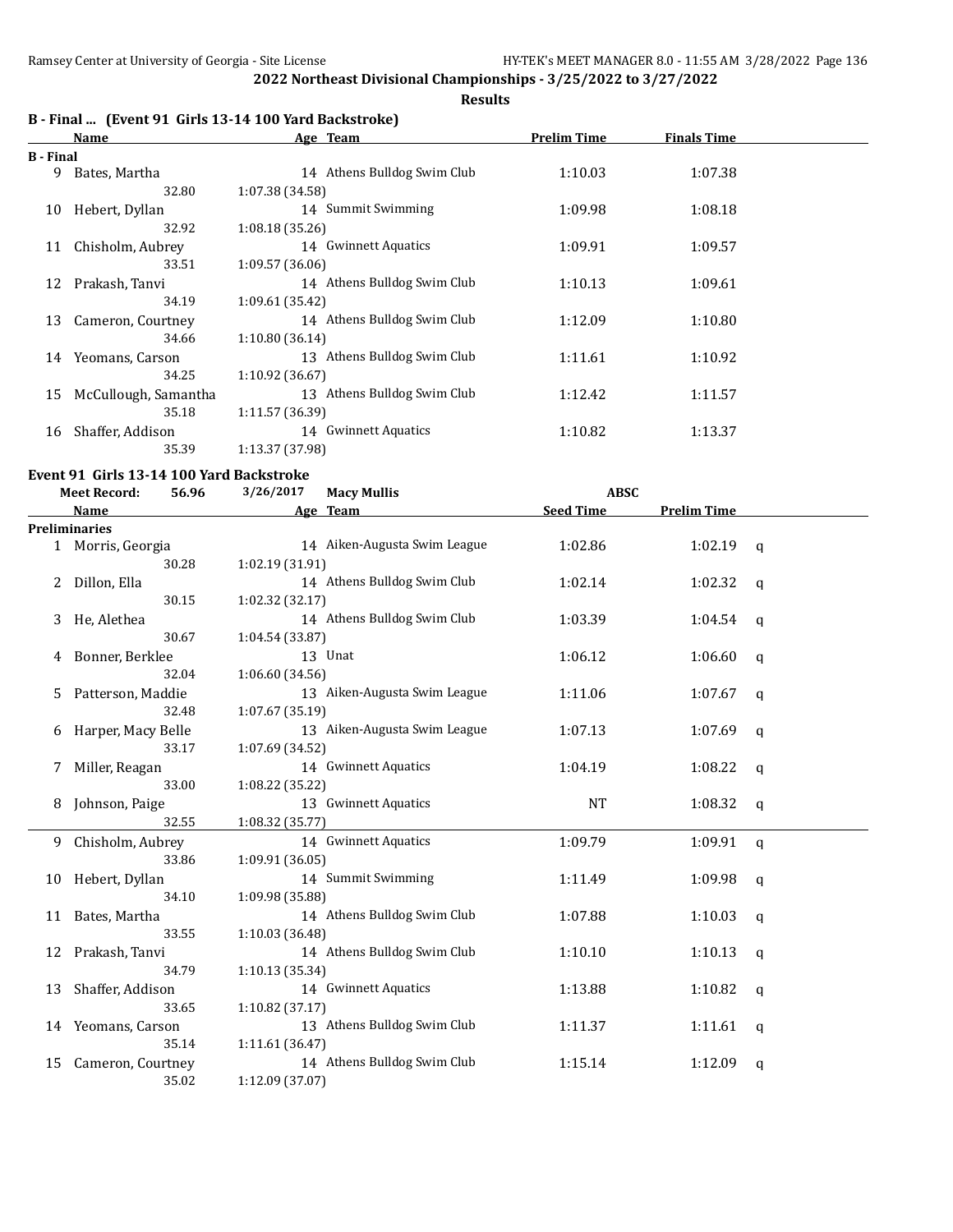# **Results**

# **B - Final ... (Event 91 Girls 13-14 100 Yard Backstroke)**

|           | Name                 | Age Team                       | <b>Prelim Time</b> | <b>Finals Time</b> |  |
|-----------|----------------------|--------------------------------|--------------------|--------------------|--|
| B - Final |                      |                                |                    |                    |  |
| 9         | Bates, Martha        | 14 Athens Bulldog Swim Club    | 1:10.03            | 1:07.38            |  |
|           | 32.80                | 1:07.38 (34.58)                |                    |                    |  |
| 10        | Hebert, Dyllan       | 14 Summit Swimming             | 1:09.98            | 1:08.18            |  |
|           | 32.92                | 1:08.18(35.26)                 |                    |                    |  |
| 11        | Chisholm, Aubrey     | 14 Gwinnett Aquatics           | 1:09.91            | 1:09.57            |  |
|           | 33.51                | 1:09.57(36.06)                 |                    |                    |  |
| 12        | Prakash, Tanvi       | 14 Athens Bulldog Swim Club    | 1:10.13            | 1:09.61            |  |
|           | 34.19                | 1:09.61(35.42)                 |                    |                    |  |
| 13        | Cameron, Courtney    | 14 Athens Bulldog Swim Club    | 1:12.09            | 1:10.80            |  |
|           | 34.66                | 1:10.80(36.14)                 |                    |                    |  |
| 14        | Yeomans, Carson      | 13 Athens Bulldog Swim Club    | 1:11.61            | 1:10.92            |  |
|           | 34.25                | 1:10.92(36.67)                 |                    |                    |  |
| 15        | McCullough, Samantha | Athens Bulldog Swim Club<br>13 | 1:12.42            | 1:11.57            |  |
|           | 35.18                | 1:11.57 (36.39)                |                    |                    |  |
| 16        | Shaffer, Addison     | 14 Gwinnett Aquatics           | 1:10.82            | 1:13.37            |  |
|           | 35.39                | 1:13.37 (37.98)                |                    |                    |  |

# **Event 91 Girls 13-14 100 Yard Backstroke**

|    | <b>Meet Record:</b>  | 56.96 | 3/26/2017       | <b>Macy Mullis</b>           | <b>ABSC</b>      |                    |              |
|----|----------------------|-------|-----------------|------------------------------|------------------|--------------------|--------------|
|    | <b>Name</b>          |       |                 | Age Team                     | <b>Seed Time</b> | <b>Prelim Time</b> |              |
|    | <b>Preliminaries</b> |       |                 |                              |                  |                    |              |
|    | 1 Morris, Georgia    |       |                 | 14 Aiken-Augusta Swim League | 1:02.86          | 1:02.19            | q            |
|    | 30.28                |       | 1:02.19 (31.91) |                              |                  |                    |              |
| 2  | Dillon, Ella         |       |                 | 14 Athens Bulldog Swim Club  | 1:02.14          | 1:02.32            | q            |
|    | 30.15                |       | 1:02.32 (32.17) |                              |                  |                    |              |
| 3  | He, Alethea          |       |                 | 14 Athens Bulldog Swim Club  | 1:03.39          | 1:04.54            | q            |
|    | 30.67                |       | 1:04.54 (33.87) |                              |                  |                    |              |
| 4  | Bonner, Berklee      |       |                 | 13 Unat                      | 1:06.12          | 1:06.60            | q            |
|    | 32.04                |       | 1:06.60 (34.56) |                              |                  |                    |              |
| 5  | Patterson, Maddie    |       |                 | 13 Aiken-Augusta Swim League | 1:11.06          | 1:07.67            | q            |
|    | 32.48                |       | 1:07.67 (35.19) |                              |                  |                    |              |
| 6  | Harper, Macy Belle   |       |                 | 13 Aiken-Augusta Swim League | 1:07.13          | 1:07.69            | $\mathbf q$  |
|    | 33.17                |       | 1:07.69 (34.52) |                              |                  |                    |              |
| 7  | Miller, Reagan       |       |                 | 14 Gwinnett Aquatics         | 1:04.19          | 1:08.22            | a            |
|    | 33.00                |       | 1:08.22 (35.22) |                              |                  |                    |              |
| 8  | Johnson, Paige       |       |                 | 13 Gwinnett Aquatics         | <b>NT</b>        | 1:08.32            | q            |
|    | 32.55                |       | 1:08.32(35.77)  |                              |                  |                    |              |
| 9. | Chisholm, Aubrey     |       |                 | 14 Gwinnett Aquatics         | 1:09.79          | 1:09.91            | $\mathsf{q}$ |
|    | 33.86                |       | 1:09.91 (36.05) |                              |                  |                    |              |
| 10 | Hebert, Dyllan       |       |                 | 14 Summit Swimming           | 1:11.49          | 1:09.98            | a            |
|    | 34.10                |       | 1:09.98 (35.88) |                              |                  |                    |              |
| 11 | Bates, Martha        |       |                 | 14 Athens Bulldog Swim Club  | 1:07.88          | 1:10.03            | q            |
|    | 33.55                |       | 1:10.03 (36.48) |                              |                  |                    |              |
| 12 | Prakash, Tanvi       |       |                 | 14 Athens Bulldog Swim Club  | 1:10.10          | 1:10.13            | q            |
|    | 34.79                |       | 1:10.13(35.34)  |                              |                  |                    |              |
| 13 | Shaffer, Addison     |       |                 | 14 Gwinnett Aquatics         | 1:13.88          | 1:10.82            | q            |
|    | 33.65                |       | 1:10.82(37.17)  |                              |                  |                    |              |
|    | 14 Yeomans, Carson   |       |                 | 13 Athens Bulldog Swim Club  | 1:11.37          | 1:11.61            | q            |
|    | 35.14                |       | 1:11.61 (36.47) |                              |                  |                    |              |
| 15 | Cameron, Courtney    |       |                 | 14 Athens Bulldog Swim Club  | 1:15.14          | 1:12.09            | q            |
|    | 35.02                |       | 1:12.09 (37.07) |                              |                  |                    |              |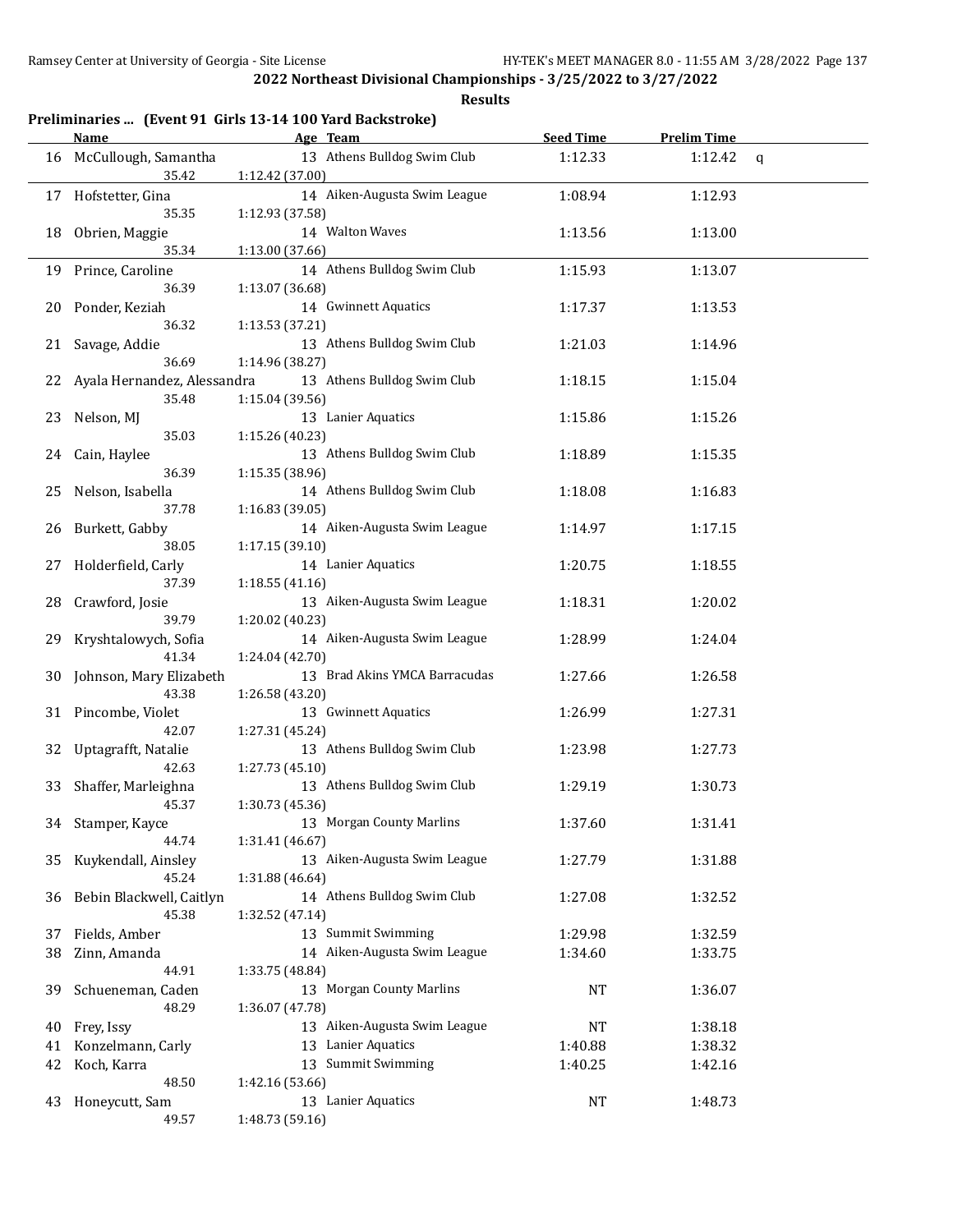|    | <b>Name</b>                 | Preliminaries  (Event 91 Girls 13-14 100 Yard Backstroke)<br>Age Team | <b>Seed Time</b> | <b>Prelim Time</b> |                |
|----|-----------------------------|-----------------------------------------------------------------------|------------------|--------------------|----------------|
| 16 | McCullough, Samantha        | 13 Athens Bulldog Swim Club                                           | 1:12.33          | 1:12.42            | $\mathfrak{q}$ |
|    | 35.42                       | 1:12.42 (37.00)                                                       |                  |                    |                |
|    | 17 Hofstetter, Gina         | 14 Aiken-Augusta Swim League                                          | 1:08.94          | 1:12.93            |                |
|    | 35.35                       | 1:12.93 (37.58)                                                       |                  |                    |                |
| 18 | Obrien, Maggie              | 14 Walton Waves                                                       | 1:13.56          | 1:13.00            |                |
|    | 35.34                       | 1:13.00 (37.66)                                                       |                  |                    |                |
| 19 | Prince, Caroline            | 14 Athens Bulldog Swim Club                                           | 1:15.93          | 1:13.07            |                |
|    | 36.39                       | 1:13.07 (36.68)                                                       |                  |                    |                |
| 20 | Ponder, Keziah              | 14 Gwinnett Aquatics                                                  | 1:17.37          | 1:13.53            |                |
|    | 36.32                       | 1:13.53 (37.21)                                                       |                  |                    |                |
| 21 | Savage, Addie               | 13 Athens Bulldog Swim Club                                           | 1:21.03          | 1:14.96            |                |
|    | 36.69                       | 1:14.96 (38.27)                                                       |                  |                    |                |
| 22 | Ayala Hernandez, Alessandra | 13 Athens Bulldog Swim Club                                           | 1:18.15          | 1:15.04            |                |
|    | 35.48                       | 1:15.04 (39.56)                                                       |                  |                    |                |
| 23 | Nelson, MJ                  | 13 Lanier Aquatics                                                    | 1:15.86          | 1:15.26            |                |
|    | 35.03                       | 1:15.26 (40.23)                                                       |                  |                    |                |
| 24 | Cain, Haylee                | 13 Athens Bulldog Swim Club                                           | 1:18.89          | 1:15.35            |                |
|    | 36.39                       | 1:15.35 (38.96)                                                       |                  |                    |                |
| 25 | Nelson, Isabella            | 14 Athens Bulldog Swim Club                                           | 1:18.08          | 1:16.83            |                |
|    | 37.78                       | 1:16.83 (39.05)                                                       |                  |                    |                |
| 26 | Burkett, Gabby              | 14 Aiken-Augusta Swim League                                          | 1:14.97          | 1:17.15            |                |
|    | 38.05                       | 1:17.15 (39.10)                                                       |                  |                    |                |
| 27 | Holderfield, Carly          | 14 Lanier Aquatics                                                    | 1:20.75          | 1:18.55            |                |
|    | 37.39                       | 1:18.55(41.16)<br>13 Aiken-Augusta Swim League                        |                  |                    |                |
| 28 | Crawford, Josie<br>39.79    | 1:20.02 (40.23)                                                       | 1:18.31          | 1:20.02            |                |
| 29 | Kryshtalowych, Sofia        | 14 Aiken-Augusta Swim League                                          | 1:28.99          | 1:24.04            |                |
|    | 41.34                       | 1:24.04 (42.70)                                                       |                  |                    |                |
| 30 | Johnson, Mary Elizabeth     | 13 Brad Akins YMCA Barracudas                                         | 1:27.66          | 1:26.58            |                |
|    | 43.38                       | 1:26.58 (43.20)                                                       |                  |                    |                |
| 31 | Pincombe, Violet            | 13 Gwinnett Aquatics                                                  | 1:26.99          | 1:27.31            |                |
|    | 42.07                       | 1:27.31 (45.24)                                                       |                  |                    |                |
| 32 | Uptagrafft, Natalie         | 13 Athens Bulldog Swim Club                                           | 1:23.98          | 1:27.73            |                |
|    | 42.63                       | 1:27.73 (45.10)                                                       |                  |                    |                |
| 33 | Shaffer, Marleighna         | 13 Athens Bulldog Swim Club                                           | 1:29.19          | 1:30.73            |                |
|    | 45.37                       | 1:30.73 (45.36)                                                       |                  |                    |                |
| 34 | Stamper, Kayce              | 13 Morgan County Marlins                                              | 1:37.60          | 1:31.41            |                |
|    | 44.74                       | 1:31.41 (46.67)                                                       |                  |                    |                |
| 35 | Kuykendall, Ainsley         | 13 Aiken-Augusta Swim League                                          | 1:27.79          | 1:31.88            |                |
|    | 45.24                       | 1:31.88 (46.64)                                                       |                  |                    |                |
| 36 | Bebin Blackwell, Caitlyn    | 14 Athens Bulldog Swim Club                                           | 1:27.08          | 1:32.52            |                |
|    | 45.38                       | 1:32.52 (47.14)                                                       |                  |                    |                |
| 37 | Fields, Amber               | 13 Summit Swimming                                                    | 1:29.98          | 1:32.59            |                |
| 38 | Zinn, Amanda                | 14 Aiken-Augusta Swim League                                          | 1:34.60          | 1:33.75            |                |
|    | 44.91                       | 1:33.75 (48.84)                                                       |                  |                    |                |
| 39 | Schueneman, Caden           | 13 Morgan County Marlins                                              | <b>NT</b>        | 1:36.07            |                |
|    | 48.29                       | 1:36.07 (47.78)                                                       |                  |                    |                |
| 40 | Frey, Issy                  | 13 Aiken-Augusta Swim League                                          | NT               | 1:38.18            |                |
| 41 | Konzelmann, Carly           | 13 Lanier Aquatics                                                    | 1:40.88          | 1:38.32            |                |
| 42 | Koch, Karra                 | 13 Summit Swimming                                                    | 1:40.25          | 1:42.16            |                |
|    | 48.50                       | 1:42.16 (53.66)                                                       |                  |                    |                |
| 43 | Honeycutt, Sam              | 13 Lanier Aquatics                                                    | <b>NT</b>        | 1:48.73            |                |
|    | 49.57                       | 1:48.73 (59.16)                                                       |                  |                    |                |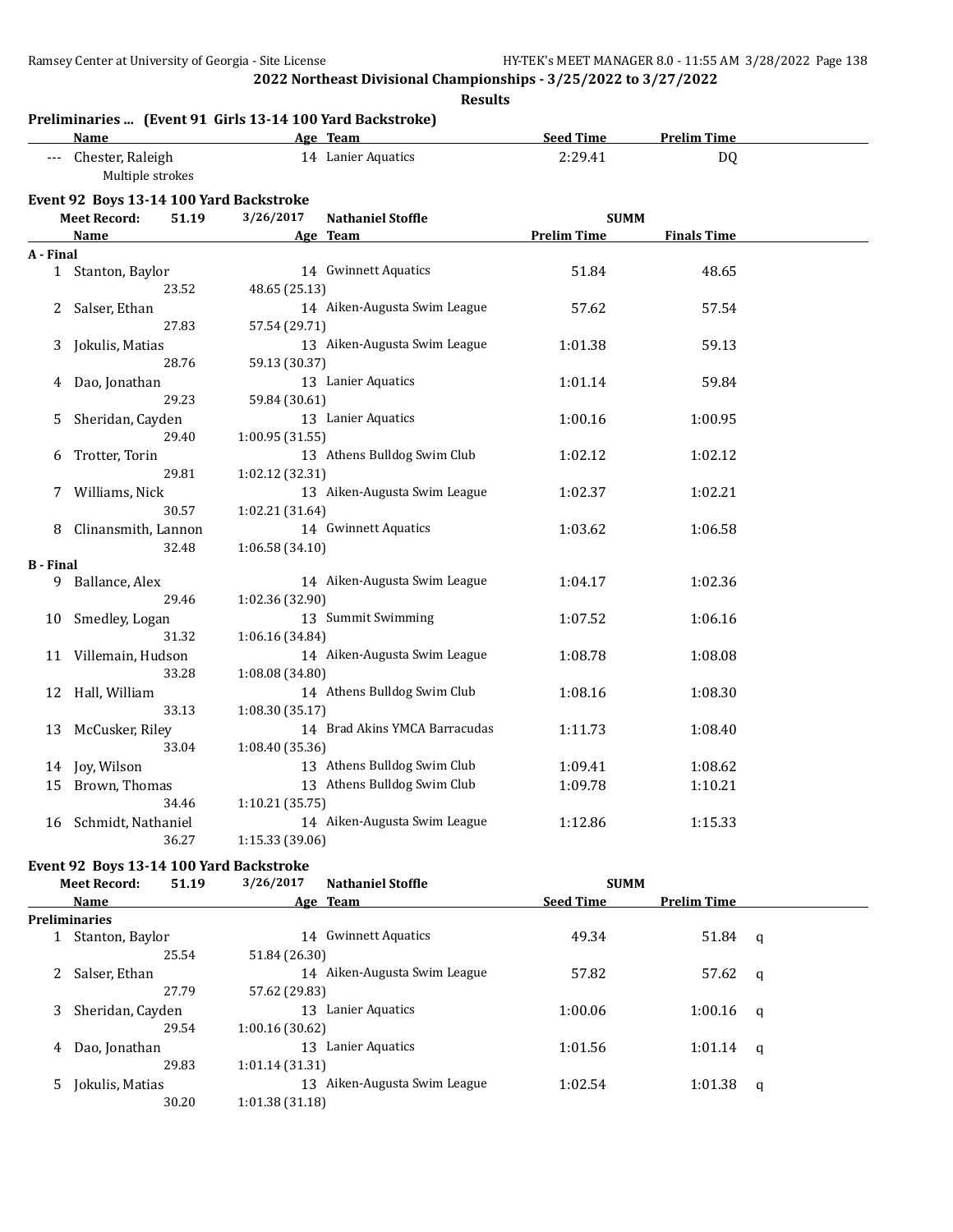**Results**

|                  | Preliminaries  (Event 91 Girls 13-14 100 Yard Backstroke) |                 |                                |                             |                          |  |
|------------------|-----------------------------------------------------------|-----------------|--------------------------------|-----------------------------|--------------------------|--|
|                  | <b>Name</b><br>--- Chester, Raleigh                       |                 | Age Team<br>14 Lanier Aquatics | <b>Seed Time</b><br>2:29.41 | <b>Prelim Time</b><br>DQ |  |
|                  | Multiple strokes                                          |                 |                                |                             |                          |  |
|                  | Event 92 Boys 13-14 100 Yard Backstroke                   |                 |                                |                             |                          |  |
|                  | <b>Meet Record:</b><br>51.19                              | 3/26/2017       | <b>Nathaniel Stoffle</b>       | <b>SUMM</b>                 |                          |  |
|                  | <b>Name</b>                                               |                 | Age Team                       | <b>Prelim Time</b>          | <b>Finals Time</b>       |  |
| A - Final        |                                                           |                 |                                |                             |                          |  |
|                  | 1 Stanton, Baylor                                         |                 | 14 Gwinnett Aquatics           | 51.84                       | 48.65                    |  |
|                  | 23.52                                                     | 48.65 (25.13)   |                                |                             |                          |  |
| 2                | Salser, Ethan<br>27.83                                    | 57.54 (29.71)   | 14 Aiken-Augusta Swim League   | 57.62                       | 57.54                    |  |
|                  | Jokulis, Matias                                           |                 | 13 Aiken-Augusta Swim League   | 1:01.38                     | 59.13                    |  |
| 3                | 28.76                                                     | 59.13 (30.37)   |                                |                             |                          |  |
| 4                | Dao, Jonathan                                             |                 | 13 Lanier Aquatics             | 1:01.14                     | 59.84                    |  |
|                  | 29.23                                                     | 59.84 (30.61)   |                                |                             |                          |  |
| 5                | Sheridan, Cayden                                          |                 | 13 Lanier Aquatics             | 1:00.16                     | 1:00.95                  |  |
|                  | 29.40                                                     | 1:00.95(31.55)  |                                |                             |                          |  |
| 6                | Trotter, Torin                                            |                 | 13 Athens Bulldog Swim Club    | 1:02.12                     | 1:02.12                  |  |
|                  | 29.81                                                     | 1:02.12 (32.31) |                                |                             |                          |  |
| 7                | Williams, Nick                                            |                 | 13 Aiken-Augusta Swim League   | 1:02.37                     | 1:02.21                  |  |
|                  | 30.57                                                     | 1:02.21 (31.64) |                                |                             |                          |  |
| 8                | Clinansmith, Lannon                                       |                 | 14 Gwinnett Aquatics           | 1:03.62                     | 1:06.58                  |  |
|                  | 32.48                                                     | 1:06.58(34.10)  |                                |                             |                          |  |
| <b>B</b> - Final |                                                           |                 |                                |                             |                          |  |
| 9.               | Ballance, Alex                                            |                 | 14 Aiken-Augusta Swim League   | 1:04.17                     | 1:02.36                  |  |
|                  | 29.46                                                     | 1:02.36 (32.90) |                                |                             |                          |  |
| 10               | Smedley, Logan                                            |                 | 13 Summit Swimming             | 1:07.52                     | 1:06.16                  |  |
|                  | 31.32                                                     | 1:06.16 (34.84) |                                |                             |                          |  |
| 11               | Villemain, Hudson                                         |                 | 14 Aiken-Augusta Swim League   | 1:08.78                     | 1:08.08                  |  |
|                  | 33.28                                                     | 1:08.08 (34.80) |                                |                             |                          |  |
| 12               | Hall, William                                             |                 | 14 Athens Bulldog Swim Club    | 1:08.16                     | 1:08.30                  |  |
|                  | 33.13                                                     | 1:08.30(35.17)  |                                |                             |                          |  |
| 13               | McCusker, Riley                                           |                 | 14 Brad Akins YMCA Barracudas  | 1:11.73                     | 1:08.40                  |  |
|                  | 33.04                                                     | 1:08.40 (35.36) |                                |                             |                          |  |
| 14               | Joy, Wilson                                               |                 | 13 Athens Bulldog Swim Club    | 1:09.41                     | 1:08.62                  |  |
| 15               | Brown, Thomas                                             |                 | 13 Athens Bulldog Swim Club    | 1:09.78                     | 1:10.21                  |  |
|                  | 34.46                                                     | 1:10.21(35.75)  |                                |                             |                          |  |
| 16               | Schmidt, Nathaniel                                        |                 | 14 Aiken-Augusta Swim League   | 1:12.86                     | 1:15.33                  |  |
|                  | 36.27                                                     | 1:15.33 (39.06) |                                |                             |                          |  |

# **Event 92 Boys 13-14 100 Yard Backstroke**

|   | <b>Meet Record:</b>  | 51.19 | 3/26/2017       | <b>Nathaniel Stoffle</b>     | <b>SUMM</b>      |                    |   |  |
|---|----------------------|-------|-----------------|------------------------------|------------------|--------------------|---|--|
|   | <b>Name</b>          |       |                 | Age Team                     | <b>Seed Time</b> | <b>Prelim Time</b> |   |  |
|   | <b>Preliminaries</b> |       |                 |                              |                  |                    |   |  |
|   | Stanton, Baylor      |       | 14              | Gwinnett Aquatics            | 49.34            | 51.84              | q |  |
|   |                      | 25.54 | 51.84 (26.30)   |                              |                  |                    |   |  |
|   | Salser, Ethan        |       |                 | 14 Aiken-Augusta Swim League | 57.82            | 57.62              | q |  |
|   |                      | 27.79 | 57.62 (29.83)   |                              |                  |                    |   |  |
| 3 | Sheridan, Cayden     |       | 13              | Lanier Aquatics              | 1:00.06          | 1:00.16            | q |  |
|   |                      | 29.54 | 1:00.16 (30.62) |                              |                  |                    |   |  |
| 4 | Dao, Jonathan        |       | 13              | Lanier Aquatics              | 1:01.56          | 1:01.14            | q |  |
|   |                      | 29.83 | 1:01.14 (31.31) |                              |                  |                    |   |  |
| 5 | Jokulis, Matias      |       | 13              | Aiken-Augusta Swim League    | 1:02.54          | 1:01.38            | q |  |
|   |                      | 30.20 | 1:01.38 (31.18) |                              |                  |                    |   |  |
|   |                      |       |                 |                              |                  |                    |   |  |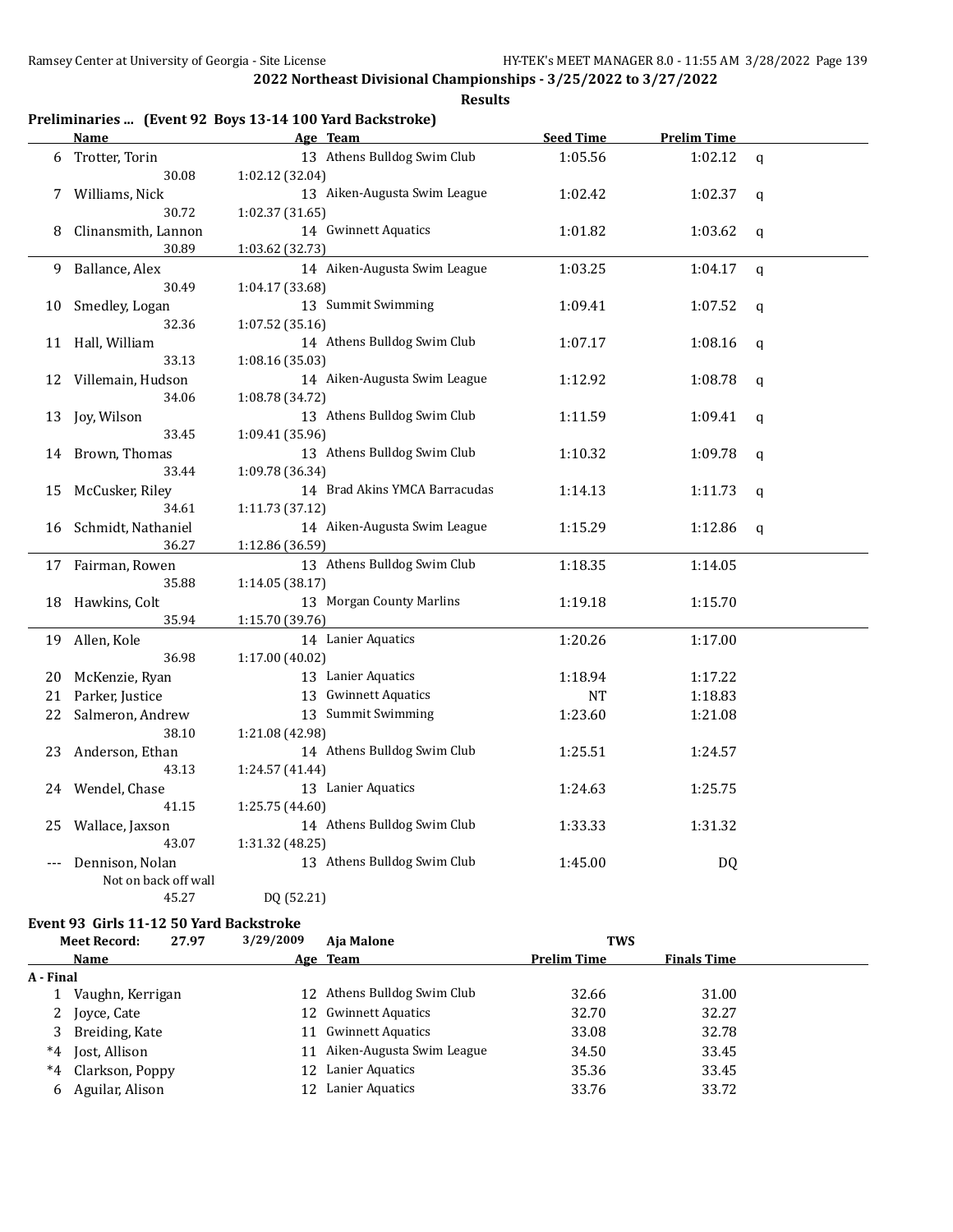**Results**

|  |  |  | Preliminaries  (Event 92 Boys 13-14 100 Yard Backstroke) |
|--|--|--|----------------------------------------------------------|
|--|--|--|----------------------------------------------------------|

|       | <b>Name</b>          | Age Team                      | <b>Seed Time</b> | <b>Prelim Time</b> |             |
|-------|----------------------|-------------------------------|------------------|--------------------|-------------|
| 6     | Trotter, Torin       | 13 Athens Bulldog Swim Club   | 1:05.56          | 1:02.12            | q           |
|       | 30.08                | 1:02.12 (32.04)               |                  |                    |             |
| 7     | Williams, Nick       | 13 Aiken-Augusta Swim League  | 1:02.42          | 1:02.37            | q           |
|       | 30.72                | 1:02.37 (31.65)               |                  |                    |             |
| 8     | Clinansmith, Lannon  | 14 Gwinnett Aquatics          | 1:01.82          | 1:03.62            | q           |
|       | 30.89                | 1:03.62 (32.73)               |                  |                    |             |
| 9     | Ballance, Alex       | 14 Aiken-Augusta Swim League  | 1:03.25          | 1:04.17            | $\mathbf q$ |
|       | 30.49                | 1:04.17 (33.68)               |                  |                    |             |
| 10    | Smedley, Logan       | 13 Summit Swimming            | 1:09.41          | 1:07.52            | q           |
|       | 32.36                | 1:07.52 (35.16)               |                  |                    |             |
|       | 11 Hall, William     | 14 Athens Bulldog Swim Club   | 1:07.17          | 1:08.16            | q           |
|       | 33.13                | 1:08.16 (35.03)               |                  |                    |             |
| 12    | Villemain, Hudson    | 14 Aiken-Augusta Swim League  | 1:12.92          | 1:08.78            | q           |
|       | 34.06                | 1:08.78 (34.72)               |                  |                    |             |
| 13    | Joy, Wilson          | 13 Athens Bulldog Swim Club   | 1:11.59          | 1:09.41            | q           |
|       | 33.45                | 1:09.41 (35.96)               |                  |                    |             |
| 14    | Brown, Thomas        | 13 Athens Bulldog Swim Club   | 1:10.32          | 1:09.78            | q           |
|       | 33.44                | 1:09.78 (36.34)               |                  |                    |             |
| 15    | McCusker, Riley      | 14 Brad Akins YMCA Barracudas | 1:14.13          | 1:11.73            | q           |
|       | 34.61                | 1:11.73 (37.12)               |                  |                    |             |
| 16    | Schmidt, Nathaniel   | 14 Aiken-Augusta Swim League  | 1:15.29          | 1:12.86            | $\mathbf q$ |
|       | 36.27                | 1:12.86 (36.59)               |                  |                    |             |
|       | 17 Fairman, Rowen    | 13 Athens Bulldog Swim Club   | 1:18.35          | 1:14.05            |             |
|       | 35.88                | 1:14.05 (38.17)               |                  |                    |             |
| 18    | Hawkins, Colt        | 13 Morgan County Marlins      | 1:19.18          | 1:15.70            |             |
|       | 35.94                | 1:15.70 (39.76)               |                  |                    |             |
| 19    | Allen, Kole          | 14 Lanier Aquatics            | 1:20.26          | 1:17.00            |             |
|       | 36.98                | 1:17.00 (40.02)               |                  |                    |             |
| 20    | McKenzie, Ryan       | 13 Lanier Aquatics            | 1:18.94          | 1:17.22            |             |
| 21    | Parker, Justice      | 13 Gwinnett Aquatics          | NT               | 1:18.83            |             |
| 22    | Salmeron, Andrew     | 13 Summit Swimming            | 1:23.60          | 1:21.08            |             |
|       | 38.10                | 1:21.08 (42.98)               |                  |                    |             |
| 23    | Anderson, Ethan      | 14 Athens Bulldog Swim Club   | 1:25.51          | 1:24.57            |             |
|       | 43.13                | 1:24.57 (41.44)               |                  |                    |             |
| 24    | Wendel, Chase        | 13 Lanier Aquatics            | 1:24.63          | 1:25.75            |             |
|       | 41.15                | 1:25.75 (44.60)               |                  |                    |             |
| 25    | Wallace, Jaxson      | 14 Athens Bulldog Swim Club   | 1:33.33          | 1:31.32            |             |
|       | 43.07                | 1:31.32 (48.25)               |                  |                    |             |
| $---$ | Dennison, Nolan      | 13 Athens Bulldog Swim Club   | 1:45.00          | DQ                 |             |
|       | Not on back off wall |                               |                  |                    |             |
|       | 45.27                | DQ (52.21)                    |                  |                    |             |

## **Event 93 Girls 11-12 50 Yard Backstroke**

|           | <b>Meet Record:</b> | 27.97 | 3/29/2009 | Aia Malone                  | <b>TWS</b>         |                    |  |
|-----------|---------------------|-------|-----------|-----------------------------|--------------------|--------------------|--|
|           | <b>Name</b>         |       |           | Age Team                    | <b>Prelim Time</b> | <b>Finals Time</b> |  |
| A - Final |                     |       |           |                             |                    |                    |  |
|           | Vaughn, Kerrigan    |       |           | 12 Athens Bulldog Swim Club | 32.66              | 31.00              |  |
| 2         | Joyce, Cate         |       |           | 12 Gwinnett Aquatics        | 32.70              | 32.27              |  |
| 3         | Breiding, Kate      |       |           | 11 Gwinnett Aquatics        | 33.08              | 32.78              |  |
| $*4$      | Jost, Allison       |       | 11        | Aiken-Augusta Swim League   | 34.50              | 33.45              |  |
| *4        | Clarkson, Poppy     |       | 12.       | Lanier Aquatics             | 35.36              | 33.45              |  |
| 6         | Aguilar, Alison     |       | 12        | Lanier Aquatics             | 33.76              | 33.72              |  |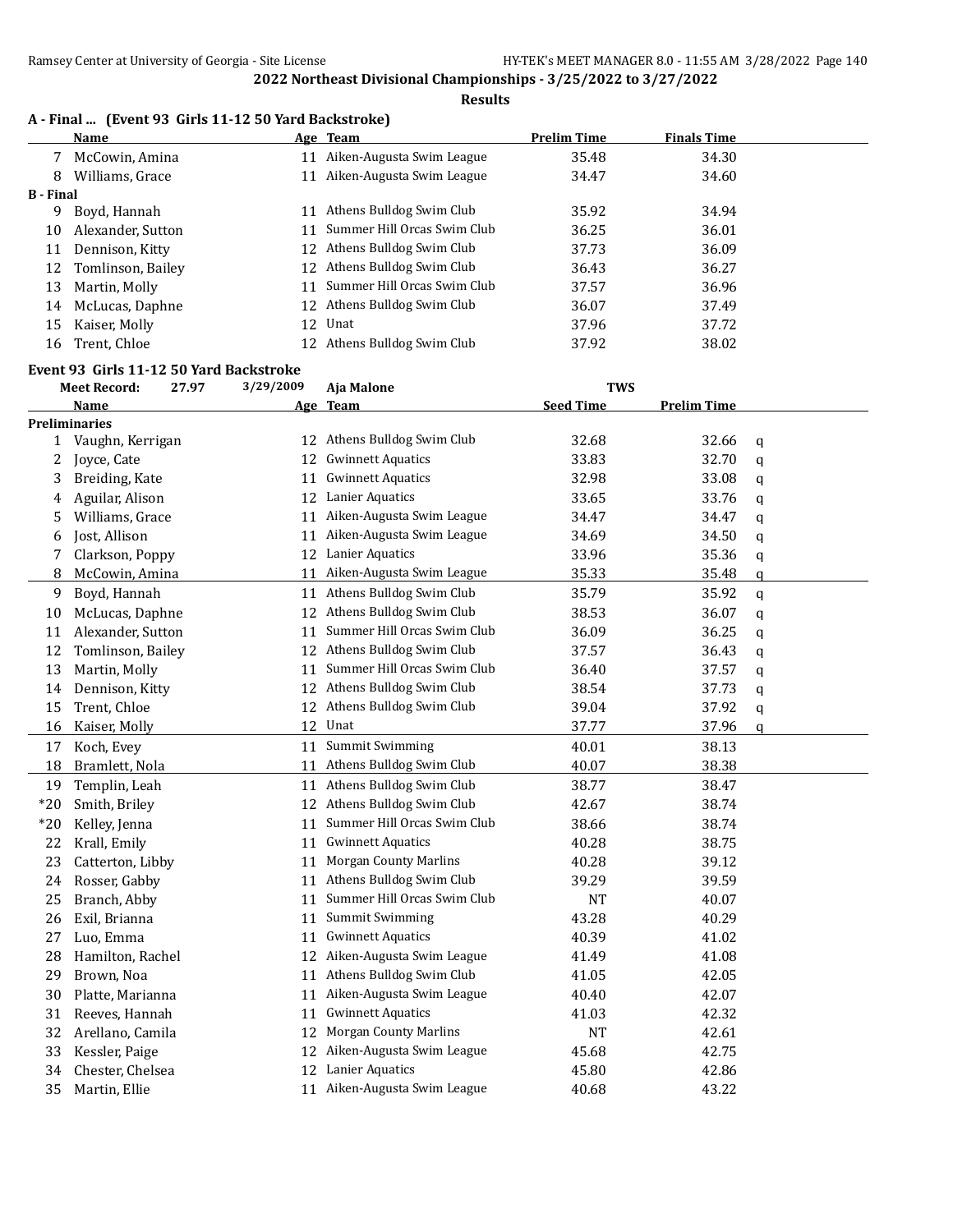**Results**

|  |  |  |  | A - Final  (Event 93 Girls 11-12 50 Yard Backstroke) |
|--|--|--|--|------------------------------------------------------|
|--|--|--|--|------------------------------------------------------|

| <b>Name</b>       |    |                           | <b>Prelim Time</b>                                                                                                                                                                                                                            | <b>Finals Time</b> |  |
|-------------------|----|---------------------------|-----------------------------------------------------------------------------------------------------------------------------------------------------------------------------------------------------------------------------------------------|--------------------|--|
| McCowin, Amina    |    | Aiken-Augusta Swim League | 35.48                                                                                                                                                                                                                                         | 34.30              |  |
| Williams, Grace   | 11 |                           | 34.47                                                                                                                                                                                                                                         | 34.60              |  |
| B - Final         |    |                           |                                                                                                                                                                                                                                               |                    |  |
| Boyd, Hannah      | 11 | Athens Bulldog Swim Club  | 35.92                                                                                                                                                                                                                                         | 34.94              |  |
| Alexander, Sutton |    |                           | 36.25                                                                                                                                                                                                                                         | 36.01              |  |
| Dennison, Kitty   |    |                           | 37.73                                                                                                                                                                                                                                         | 36.09              |  |
| Tomlinson, Bailey |    |                           | 36.43                                                                                                                                                                                                                                         | 36.27              |  |
| Martin, Molly     |    |                           | 37.57                                                                                                                                                                                                                                         | 36.96              |  |
| McLucas, Daphne   |    |                           | 36.07                                                                                                                                                                                                                                         | 37.49              |  |
| Kaiser, Molly     |    |                           | 37.96                                                                                                                                                                                                                                         | 37.72              |  |
| Trent, Chloe      |    |                           | 37.92                                                                                                                                                                                                                                         | 38.02              |  |
|                   |    |                           | Age Team<br>Aiken-Augusta Swim League<br>Summer Hill Orcas Swim Club<br>12 Athens Bulldog Swim Club<br>12 Athens Bulldog Swim Club<br>11 Summer Hill Orcas Swim Club<br>12 Athens Bulldog Swim Club<br>12 Unat<br>12 Athens Bulldog Swim Club |                    |  |

# **Event 93 Girls 11-12 50 Yard Backstroke**

|              | <b>Meet Record:</b>  | 27.97 | 3/29/2009 | Aja Malone                   | <b>TWS</b>       |                    |               |
|--------------|----------------------|-------|-----------|------------------------------|------------------|--------------------|---------------|
|              | <b>Name</b>          |       |           | Age Team                     | <b>Seed Time</b> | <b>Prelim Time</b> |               |
|              | <b>Preliminaries</b> |       |           |                              |                  |                    |               |
| $\mathbf{1}$ | Vaughn, Kerrigan     |       |           | 12 Athens Bulldog Swim Club  | 32.68            | 32.66              | q             |
| 2            | Joyce, Cate          |       |           | 12 Gwinnett Aquatics         | 33.83            | 32.70              | $\mathbf q$   |
| 3            | Breiding, Kate       |       | 11        | <b>Gwinnett Aquatics</b>     | 32.98            | 33.08              | $\mathbf q$   |
| 4            | Aguilar, Alison      |       | 12        | Lanier Aquatics              | 33.65            | 33.76              | $\mathbf q$   |
| 5            | Williams, Grace      |       | 11        | Aiken-Augusta Swim League    | 34.47            | 34.47              | q             |
| 6            | Jost, Allison        |       | 11        | Aiken-Augusta Swim League    | 34.69            | 34.50              | $\mathbf q$   |
| 7            | Clarkson, Poppy      |       |           | 12 Lanier Aquatics           | 33.96            | 35.36              | q             |
| 8            | McCowin, Amina       |       | 11        | Aiken-Augusta Swim League    | 35.33            | 35.48              | $\mathfrak q$ |
| 9            | Boyd, Hannah         |       |           | 11 Athens Bulldog Swim Club  | 35.79            | 35.92              | q             |
| 10           | McLucas, Daphne      |       |           | 12 Athens Bulldog Swim Club  | 38.53            | 36.07              | $\mathbf q$   |
| 11           | Alexander, Sutton    |       | 11        | Summer Hill Orcas Swim Club  | 36.09            | 36.25              | q             |
| 12           | Tomlinson, Bailey    |       | 12        | Athens Bulldog Swim Club     | 37.57            | 36.43              | q             |
| 13           | Martin, Molly        |       | 11        | Summer Hill Orcas Swim Club  | 36.40            | 37.57              | q             |
| 14           | Dennison, Kitty      |       | 12        | Athens Bulldog Swim Club     | 38.54            | 37.73              | q             |
| 15           | Trent, Chloe         |       | 12        | Athens Bulldog Swim Club     | 39.04            | 37.92              | q             |
| 16           | Kaiser, Molly        |       | 12        | Unat                         | 37.77            | 37.96              | $\mathfrak q$ |
| 17           | Koch, Evey           |       | 11        | <b>Summit Swimming</b>       | 40.01            | 38.13              |               |
| 18           | Bramlett, Nola       |       | 11        | Athens Bulldog Swim Club     | 40.07            | 38.38              |               |
| 19           | Templin, Leah        |       |           | 11 Athens Bulldog Swim Club  | 38.77            | 38.47              |               |
| $*20$        | Smith, Briley        |       |           | 12 Athens Bulldog Swim Club  | 42.67            | 38.74              |               |
| $*20$        | Kelley, Jenna        |       | 11        | Summer Hill Orcas Swim Club  | 38.66            | 38.74              |               |
| 22           | Krall, Emily         |       | 11        | <b>Gwinnett Aquatics</b>     | 40.28            | 38.75              |               |
| 23           | Catterton, Libby     |       | 11        | <b>Morgan County Marlins</b> | 40.28            | 39.12              |               |
| 24           | Rosser, Gabby        |       | 11        | Athens Bulldog Swim Club     | 39.29            | 39.59              |               |
| 25           | Branch, Abby         |       | 11        | Summer Hill Orcas Swim Club  | <b>NT</b>        | 40.07              |               |
| 26           | Exil, Brianna        |       | 11        | Summit Swimming              | 43.28            | 40.29              |               |
| 27           | Luo, Emma            |       | 11        | <b>Gwinnett Aquatics</b>     | 40.39            | 41.02              |               |
| 28           | Hamilton, Rachel     |       |           | 12 Aiken-Augusta Swim League | 41.49            | 41.08              |               |
| 29           | Brown, Noa           |       | 11        | Athens Bulldog Swim Club     | 41.05            | 42.05              |               |
| 30           | Platte, Marianna     |       |           | 11 Aiken-Augusta Swim League | 40.40            | 42.07              |               |
| 31           | Reeves, Hannah       |       | 11        | <b>Gwinnett Aquatics</b>     | 41.03            | 42.32              |               |
| 32           | Arellano, Camila     |       | 12        | <b>Morgan County Marlins</b> | <b>NT</b>        | 42.61              |               |
| 33           | Kessler, Paige       |       | 12        | Aiken-Augusta Swim League    | 45.68            | 42.75              |               |
| 34           | Chester, Chelsea     |       |           | 12 Lanier Aquatics           | 45.80            | 42.86              |               |
| 35           | Martin, Ellie        |       |           | 11 Aiken-Augusta Swim League | 40.68            | 43.22              |               |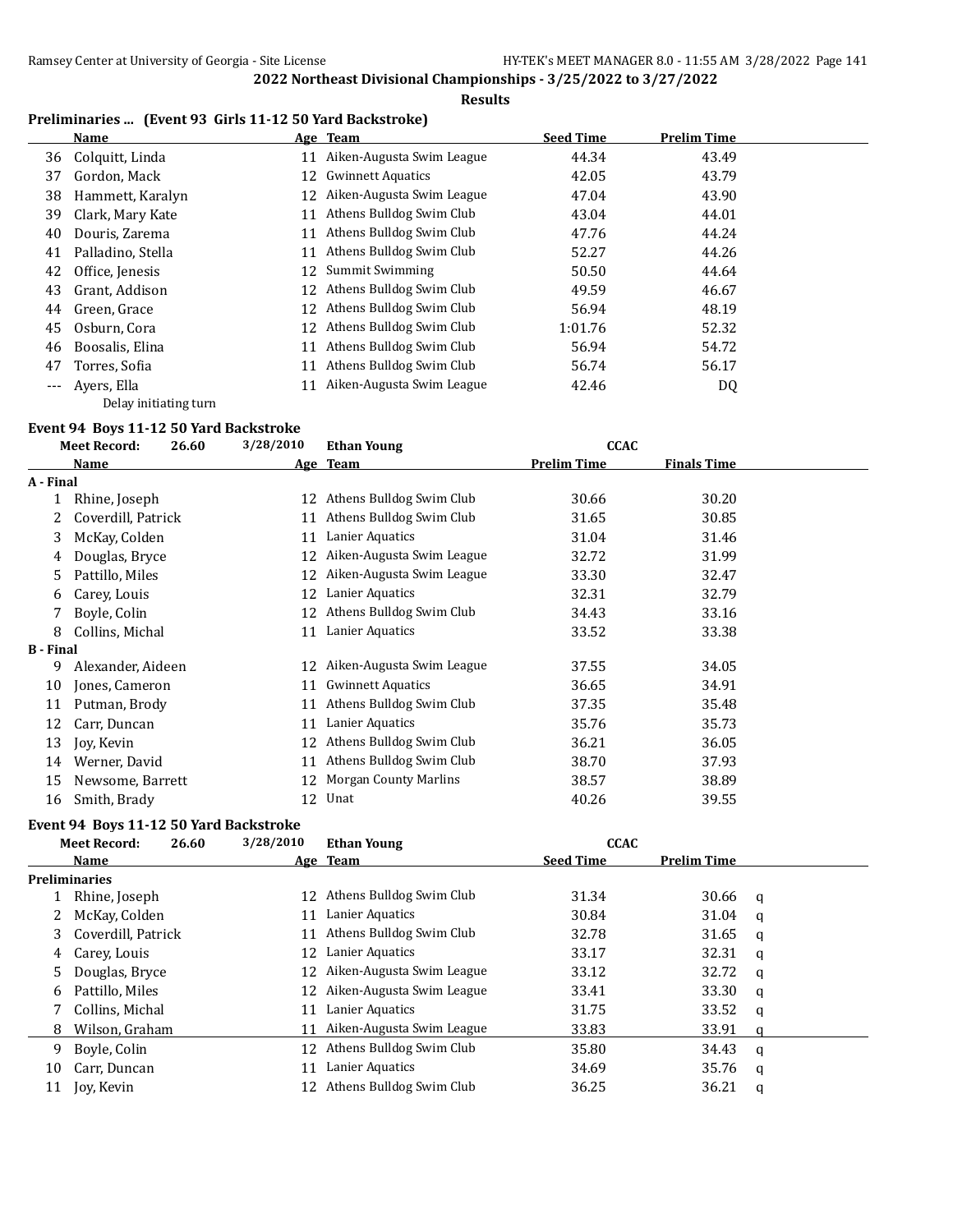# **Results**

# **Preliminaries ... (Event 93 Girls 11-12 50 Yard Backstroke)**

|    | Name               |    | Age Team                  | <b>Seed Time</b> | <b>Prelim Time</b> |
|----|--------------------|----|---------------------------|------------------|--------------------|
|    | 36 Colquitt, Linda |    | Aiken-Augusta Swim League | 44.34            | 43.49              |
| 37 | Gordon, Mack       | 12 | <b>Gwinnett Aquatics</b>  | 42.05            | 43.79              |
| 38 | Hammett, Karalyn   | 12 | Aiken-Augusta Swim League | 47.04            | 43.90              |
| 39 | Clark, Mary Kate   |    | Athens Bulldog Swim Club  | 43.04            | 44.01              |
| 40 | Douris, Zarema     |    | Athens Bulldog Swim Club  | 47.76            | 44.24              |
| 41 | Palladino, Stella  |    | Athens Bulldog Swim Club  | 52.27            | 44.26              |
| 42 | Office, Jenesis    | 12 | Summit Swimming           | 50.50            | 44.64              |
| 43 | Grant, Addison     | 12 | Athens Bulldog Swim Club  | 49.59            | 46.67              |
| 44 | Green, Grace       | 12 | Athens Bulldog Swim Club  | 56.94            | 48.19              |
| 45 | Osburn, Cora       | 12 | Athens Bulldog Swim Club  | 1:01.76          | 52.32              |
| 46 | Boosalis, Elina    |    | Athens Bulldog Swim Club  | 56.94            | 54.72              |
| 47 | Torres, Sofia      | 11 | Athens Bulldog Swim Club  | 56.74            | 56.17              |
|    | Avers, Ella        |    | Aiken-Augusta Swim League | 42.46            | DQ                 |
|    |                    |    |                           |                  |                    |

Delay initiating turn

# **Event 94 Boys 11-12 50 Yard Backstroke**

|                  | <b>Meet Record:</b><br>26.60 | 3/28/2010 | <b>Ethan Young</b>           | <b>CCAC</b>        |                    |  |
|------------------|------------------------------|-----------|------------------------------|--------------------|--------------------|--|
|                  | <b>Name</b>                  |           | Age Team                     | <b>Prelim Time</b> | <b>Finals Time</b> |  |
| A - Final        |                              |           |                              |                    |                    |  |
|                  | Rhine, Joseph                | 12        | Athens Bulldog Swim Club     | 30.66              | 30.20              |  |
|                  | Coverdill, Patrick           | 11        | Athens Bulldog Swim Club     | 31.65              | 30.85              |  |
| 3                | McKay, Colden                | 11        | Lanier Aquatics              | 31.04              | 31.46              |  |
| 4                | Douglas, Bryce               | 12        | Aiken-Augusta Swim League    | 32.72              | 31.99              |  |
| 5.               | Pattillo, Miles              | 12        | Aiken-Augusta Swim League    | 33.30              | 32.47              |  |
| 6                | Carey, Louis                 | 12        | Lanier Aquatics              | 32.31              | 32.79              |  |
|                  | Boyle, Colin                 | 12        | Athens Bulldog Swim Club     | 34.43              | 33.16              |  |
| 8                | Collins, Michal              | 11        | Lanier Aquatics              | 33.52              | 33.38              |  |
| <b>B</b> - Final |                              |           |                              |                    |                    |  |
| 9                | Alexander, Aideen            | 12        | Aiken-Augusta Swim League    | 37.55              | 34.05              |  |
| 10               | Jones, Cameron               | 11        | <b>Gwinnett Aquatics</b>     | 36.65              | 34.91              |  |
| 11               | Putman, Brody                | 11        | Athens Bulldog Swim Club     | 37.35              | 35.48              |  |
| 12               | Carr, Duncan                 | 11        | Lanier Aquatics              | 35.76              | 35.73              |  |
| 13               | Joy, Kevin                   | 12        | Athens Bulldog Swim Club     | 36.21              | 36.05              |  |
| 14               | Werner, David                | 11        | Athens Bulldog Swim Club     | 38.70              | 37.93              |  |
| 15               | Newsome, Barrett             | 12        | <b>Morgan County Marlins</b> | 38.57              | 38.89              |  |
| 16               | Smith, Brady                 | 12        | Unat                         | 40.26              | 39.55              |  |

# **Event 94 Boys 11-12 50 Yard Backstroke**

|    | 26.60<br><b>Meet Record:</b> | 3/28/2010 | <b>Ethan Young</b>           | <b>CCAC</b>      |                    |   |
|----|------------------------------|-----------|------------------------------|------------------|--------------------|---|
|    | <b>Name</b>                  |           | Age Team                     | <b>Seed Time</b> | <b>Prelim Time</b> |   |
|    | <b>Preliminaries</b>         |           |                              |                  |                    |   |
|    | Rhine, Joseph                | 12        | Athens Bulldog Swim Club     | 31.34            | 30.66              | a |
|    | McKay, Colden                | 11        | Lanier Aquatics              | 30.84            | 31.04              | a |
| 3  | Coverdill, Patrick           | 11        | Athens Bulldog Swim Club     | 32.78            | 31.65              | a |
| 4  | Carey, Louis                 | 12        | Lanier Aquatics              | 33.17            | 32.31              | q |
| 5  | Douglas, Bryce               |           | 12 Aiken-Augusta Swim League | 33.12            | 32.72              | a |
| 6  | Pattillo, Miles              |           | 12 Aiken-Augusta Swim League | 33.41            | 33.30              | a |
|    | Collins, Michal              | 11        | Lanier Aquatics              | 31.75            | 33.52              | q |
| 8  | Wilson, Graham               | 11        | Aiken-Augusta Swim League    | 33.83            | 33.91              |   |
| 9  | Boyle, Colin                 |           | 12 Athens Bulldog Swim Club  | 35.80            | 34.43              | a |
| 10 | Carr, Duncan                 | 11        | Lanier Aquatics              | 34.69            | 35.76              | a |
| 11 | Joy, Kevin                   |           | Athens Bulldog Swim Club     | 36.25            | 36.21              | a |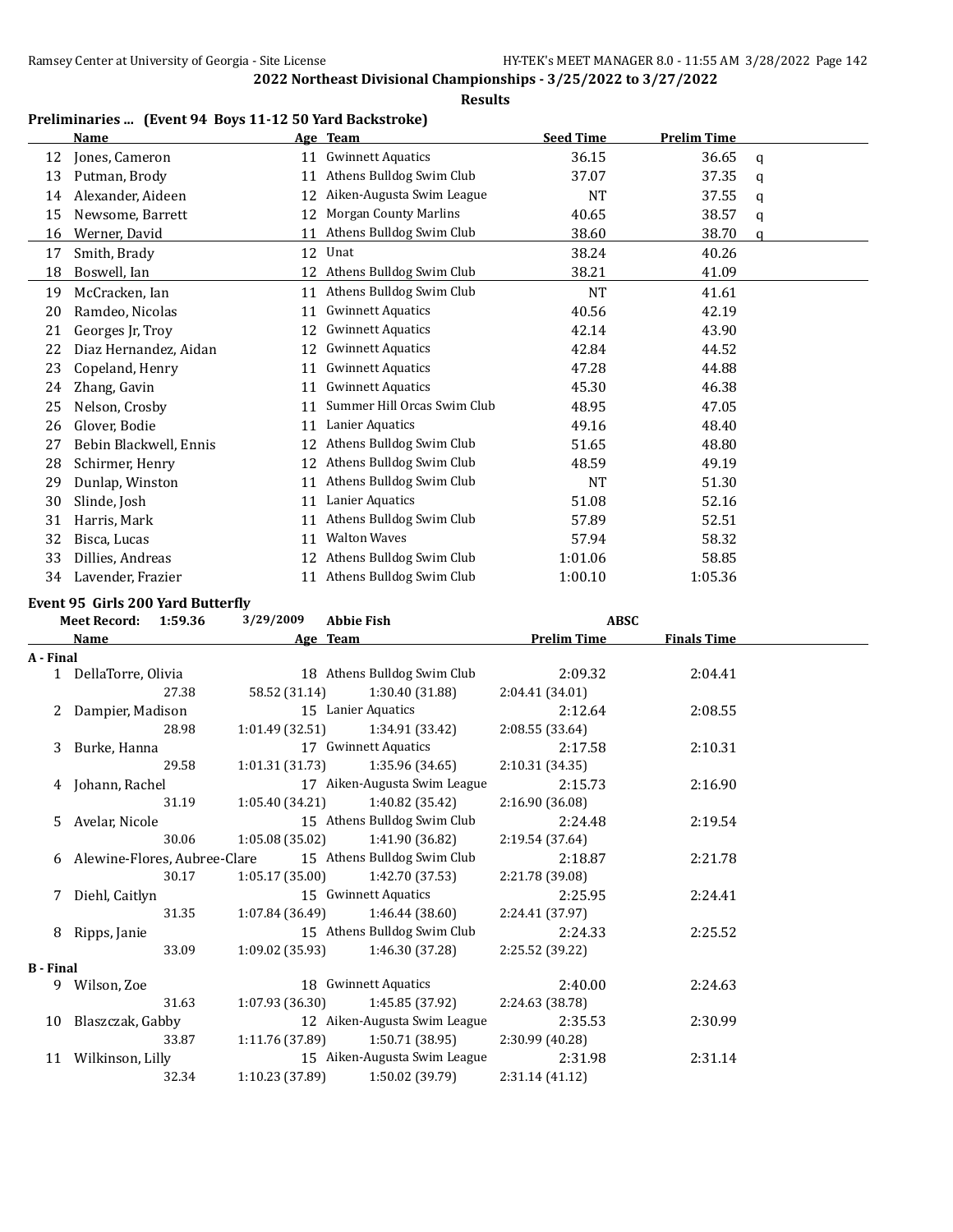**Results**

|    | Name                   |    | Age Team                     | <b>Seed Time</b> | <b>Prelim Time</b> |   |
|----|------------------------|----|------------------------------|------------------|--------------------|---|
| 12 | Jones, Cameron         | 11 | <b>Gwinnett Aquatics</b>     | 36.15            | 36.65              | a |
| 13 | Putman, Brody          | 11 | Athens Bulldog Swim Club     | 37.07            | 37.35              | q |
| 14 | Alexander, Aideen      | 12 | Aiken-Augusta Swim League    | NT               | 37.55              | a |
| 15 | Newsome, Barrett       | 12 | <b>Morgan County Marlins</b> | 40.65            | 38.57              | q |
| 16 | Werner, David          | 11 | Athens Bulldog Swim Club     | 38.60            | 38.70              | a |
| 17 | Smith, Brady           | 12 | Unat                         | 38.24            | 40.26              |   |
| 18 | Boswell, Ian           | 12 | Athens Bulldog Swim Club     | 38.21            | 41.09              |   |
| 19 | McCracken, Ian         | 11 | Athens Bulldog Swim Club     | NT               | 41.61              |   |
| 20 | Ramdeo, Nicolas        | 11 | <b>Gwinnett Aquatics</b>     | 40.56            | 42.19              |   |
| 21 | Georges Jr, Troy       | 12 | <b>Gwinnett Aquatics</b>     | 42.14            | 43.90              |   |
| 22 | Diaz Hernandez, Aidan  | 12 | <b>Gwinnett Aquatics</b>     | 42.84            | 44.52              |   |
| 23 | Copeland, Henry        | 11 | <b>Gwinnett Aquatics</b>     | 47.28            | 44.88              |   |
| 24 | Zhang, Gavin           | 11 | <b>Gwinnett Aquatics</b>     | 45.30            | 46.38              |   |
| 25 | Nelson, Crosby         | 11 | Summer Hill Orcas Swim Club  | 48.95            | 47.05              |   |
| 26 | Glover, Bodie          | 11 | Lanier Aquatics              | 49.16            | 48.40              |   |
| 27 | Bebin Blackwell, Ennis | 12 | Athens Bulldog Swim Club     | 51.65            | 48.80              |   |
| 28 | Schirmer, Henry        | 12 | Athens Bulldog Swim Club     | 48.59            | 49.19              |   |
| 29 | Dunlap, Winston        | 11 | Athens Bulldog Swim Club     | <b>NT</b>        | 51.30              |   |
| 30 | Slinde, Josh           | 11 | Lanier Aquatics              | 51.08            | 52.16              |   |
| 31 | Harris, Mark           | 11 | Athens Bulldog Swim Club     | 57.89            | 52.51              |   |
| 32 | Bisca, Lucas           | 11 | <b>Walton Waves</b>          | 57.94            | 58.32              |   |
| 33 | Dillies, Andreas       | 12 | Athens Bulldog Swim Club     | 1:01.06          | 58.85              |   |
| 34 | Lavender, Frazier      | 11 | Athens Bulldog Swim Club     | 1:00.10          | 1:05.36            |   |

# **Event 95 Girls 200 Yard Butterfly**

|                  | Meet Record: 1:59.36 |       | 3/29/2009       | <b>Abbie Fish</b>                                          | <b>ABSC</b>        |                    |  |
|------------------|----------------------|-------|-----------------|------------------------------------------------------------|--------------------|--------------------|--|
|                  | <b>Name</b>          |       |                 | Age Team                                                   | <b>Prelim Time</b> | <b>Finals Time</b> |  |
| A - Final        |                      |       |                 |                                                            |                    |                    |  |
|                  | 1 DellaTorre, Olivia |       |                 | 18 Athens Bulldog Swim Club                                | 2:09.32            | 2:04.41            |  |
|                  |                      | 27.38 |                 | 58.52 (31.14) 1:30.40 (31.88)                              | 2:04.41(34.01)     |                    |  |
|                  | 2 Dampier, Madison   |       |                 | 15 Lanier Aquatics                                         | 2:12.64            | 2:08.55            |  |
|                  |                      | 28.98 |                 | $1:01.49(32.51)$ $1:34.91(33.42)$                          | 2:08.55(33.64)     |                    |  |
|                  | 3 Burke, Hanna       |       |                 | 17 Gwinnett Aquatics                                       | 2:17.58            | 2:10.31            |  |
|                  |                      | 29.58 |                 | $1:01.31(31.73)$ $1:35.96(34.65)$                          | 2:10.31 (34.35)    |                    |  |
|                  | 4 Johann, Rachel     |       |                 | 17 Aiken-Augusta Swim League                               | 2:15.73            | 2:16.90            |  |
|                  |                      | 31.19 |                 | $1:05.40(34.21)$ $1:40.82(35.42)$                          | 2:16.90(36.08)     |                    |  |
|                  | 5 Avelar, Nicole     |       |                 | 15 Athens Bulldog Swim Club                                | 2:24.48            | 2:19.54            |  |
|                  |                      | 30.06 | 1:05.08 (35.02) | 1:41.90 (36.82)                                            | 2:19.54 (37.64)    |                    |  |
|                  |                      |       |                 | 6 Alewine-Flores, Aubree-Clare 15 Athens Bulldog Swim Club | 2:18.87            | 2:21.78            |  |
|                  |                      | 30.17 | 1:05.17(35.00)  | 1:42.70 (37.53)                                            | 2:21.78 (39.08)    |                    |  |
| 7                | Diehl, Caitlyn       |       |                 | 15 Gwinnett Aquatics                                       | 2:25.95            | 2:24.41            |  |
|                  |                      | 31.35 |                 | $1:07.84(36.49)$ $1:46.44(38.60)$                          | 2:24.41 (37.97)    |                    |  |
| 8                | Ripps, Janie         |       |                 | 15 Athens Bulldog Swim Club                                | 2:24.33            | 2:25.52            |  |
|                  |                      | 33.09 |                 | $1:09.02$ (35.93) $1:46.30$ (37.28)                        | 2:25.52 (39.22)    |                    |  |
| <b>B</b> - Final |                      |       |                 |                                                            |                    |                    |  |
|                  | 9 Wilson, Zoe        |       |                 | 18 Gwinnett Aquatics                                       | 2:40.00            | 2:24.63            |  |
|                  |                      | 31.63 | 1:07.93 (36.30) | 1:45.85 (37.92)                                            | 2:24.63 (38.78)    |                    |  |
|                  | 10 Blaszczak, Gabby  |       |                 | 12 Aiken-Augusta Swim League                               | 2:35.53            | 2:30.99            |  |
|                  |                      | 33.87 |                 | $1:11.76(37.89)$ $1:50.71(38.95)$                          | 2:30.99 (40.28)    |                    |  |
|                  | 11 Wilkinson, Lilly  |       |                 | 15 Aiken-Augusta Swim League                               | 2:31.98            | 2:31.14            |  |
|                  |                      | 32.34 | 1:10.23 (37.89) | 1:50.02 (39.79)                                            | 2:31.14 (41.12)    |                    |  |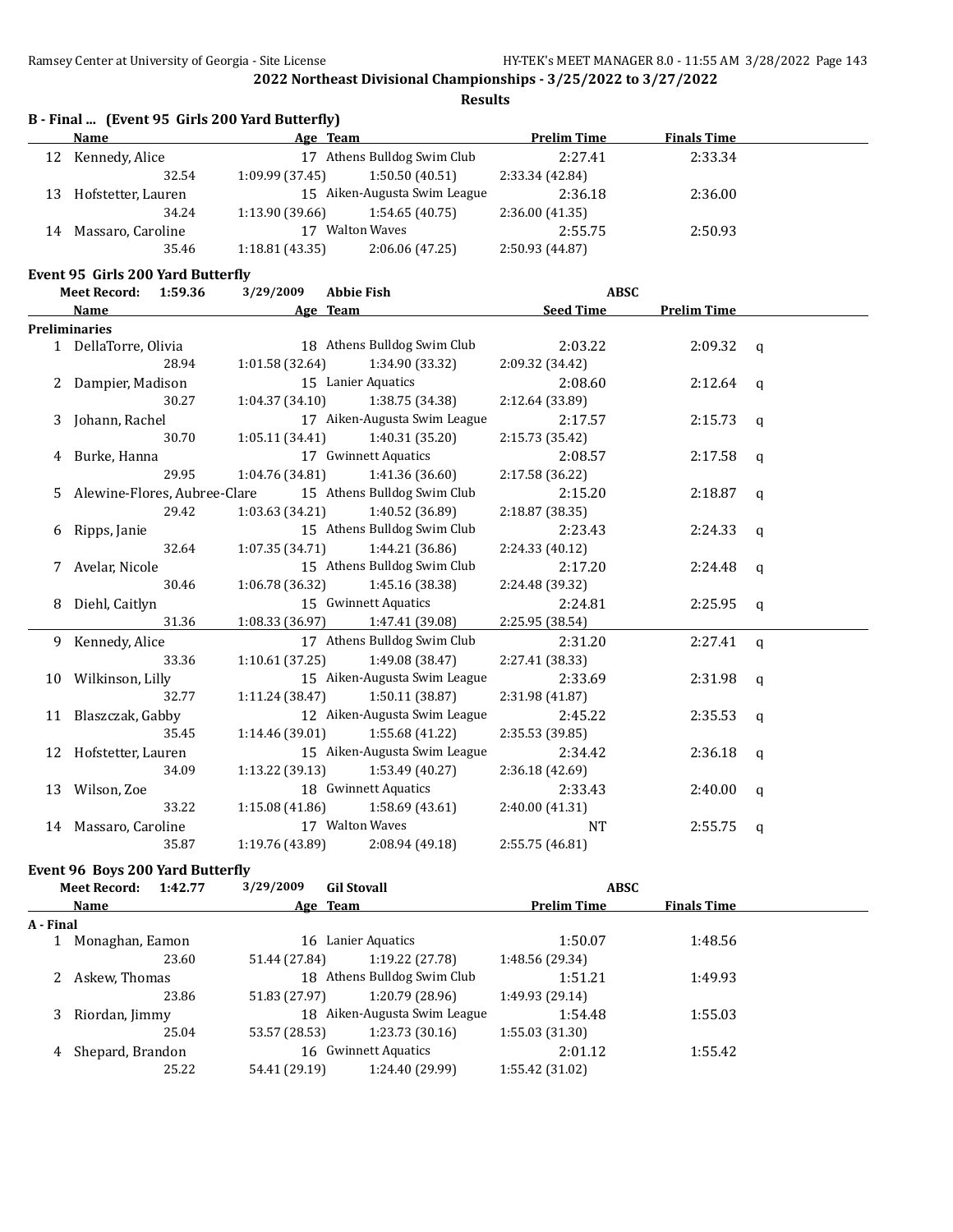**Results**

|    | Name                              | Age Team        |                              | <b>Prelim Time</b> | <b>Finals Time</b> |  |
|----|-----------------------------------|-----------------|------------------------------|--------------------|--------------------|--|
| 12 | Kennedy, Alice                    | 17              | Athens Bulldog Swim Club     | 2:27.41            | 2:33.34            |  |
|    | 32.54                             | 1:09.99(37.45)  | 1:50.50(40.51)               | 2:33.34 (42.84)    |                    |  |
| 13 | Hofstetter, Lauren                |                 | 15 Aiken-Augusta Swim League | 2:36.18            | 2:36.00            |  |
|    | 34.24                             | 1:13.90 (39.66) | 1:54.65(40.75)               | 2:36.00(41.35)     |                    |  |
| 14 | Massaro, Caroline                 | 17              | <b>Walton Waves</b>          | 2:55.75            | 2:50.93            |  |
|    | 35.46                             | 1:18.81(43.35)  | 2:06.06(47.25)               | 2:50.93 (44.87)    |                    |  |
|    | Event 95 Girls 200 Yard Butterfly |                 |                              |                    |                    |  |
|    | 1:59.36<br><b>Meet Record:</b>    | 3/29/2009       | <b>Abbie Fish</b>            | <b>ABSC</b>        |                    |  |

|   | Name                         | Age Team                          |                                     | <b>Seed Time</b> | <b>Prelim Time</b> |              |
|---|------------------------------|-----------------------------------|-------------------------------------|------------------|--------------------|--------------|
|   | <b>Preliminaries</b>         |                                   |                                     |                  |                    |              |
|   | 1 DellaTorre, Olivia         |                                   | 18 Athens Bulldog Swim Club         | 2:03.22          | $2:09.32$ q        |              |
|   | 28.94                        | 1:01.58(32.64)                    | 1:34.90 (33.32)                     | 2:09.32 (34.42)  |                    |              |
|   | 2 Dampier, Madison           |                                   | 15 Lanier Aquatics                  | 2:08.60          | $2:12.64$ q        |              |
|   | 30.27                        | $1:04.37(34.10)$ $1:38.75(34.38)$ |                                     | 2:12.64 (33.89)  |                    |              |
| 3 | Johann, Rachel               |                                   | 17 Aiken-Augusta Swim League        | 2:17.57          | $2:15.73$ q        |              |
|   | 30.70                        | $1:05.11(34.41)$ $1:40.31(35.20)$ |                                     | 2:15.73 (35.42)  |                    |              |
|   | Burke, Hanna                 |                                   | 17 Gwinnett Aquatics                | 2:08.57          | $2:17.58$ q        |              |
|   | 29.95                        |                                   | $1:04.76(34.81)$ $1:41.36(36.60)$   | 2:17.58 (36.22)  |                    |              |
| 5 | Alewine-Flores, Aubree-Clare |                                   | 15 Athens Bulldog Swim Club         | 2:15.20          | 2:18.87            | $\mathbf{q}$ |
|   | 29.42                        | $1:03.63(34.21)$ $1:40.52(36.89)$ |                                     | 2:18.87 (38.35)  |                    |              |
| 6 | Ripps, Janie                 |                                   | 15 Athens Bulldog Swim Club         | 2:23.43          | $2:24.33$ q        |              |
|   | 32.64                        | $1:07.35(34.71)$ $1:44.21(36.86)$ |                                     | 2:24.33 (40.12)  |                    |              |
|   | 7 Avelar, Nicole             |                                   | 15 Athens Bulldog Swim Club         | 2:17.20          | 2:24.48            | q            |
|   | 30.46                        | $1:06.78(36.32)$ $1:45.16(38.38)$ |                                     | 2:24.48 (39.32)  |                    |              |
| 8 | Diehl, Caitlyn               |                                   | 15 Gwinnett Aquatics                | 2:24.81          | $2:25.95$ q        |              |
|   | 31.36                        | $1:08.33(36.97)$ $1:47.41(39.08)$ |                                     | 2:25.95 (38.54)  |                    |              |
|   | 9 Kennedy, Alice             |                                   | 17 Athens Bulldog Swim Club         | 2:31.20          | 2:27.41            | $\mathbf q$  |
|   | 33.36                        | 1:10.61(37.25)                    | 1:49.08 (38.47)                     | 2:27.41 (38.33)  |                    |              |
|   | 10 Wilkinson, Lilly          |                                   | 15 Aiken-Augusta Swim League        | 2:33.69          | $2:31.98$ q        |              |
|   | 32.77                        | $1:11.24(38.47)$ $1:50.11(38.87)$ |                                     | 2:31.98 (41.87)  |                    |              |
|   | 11 Blaszczak, Gabby          |                                   | 12 Aiken-Augusta Swim League        | 2:45.22          | $2:35.53$ q        |              |
|   | 35.45                        | $1:14.46(39.01)$ $1:55.68(41.22)$ |                                     | 2:35.53 (39.85)  |                    |              |
|   | 12 Hofstetter, Lauren        |                                   | 15 Aiken-Augusta Swim League        | 2:34.42          | $2:36.18$ q        |              |
|   | 34.09                        |                                   | $1:13.22$ (39.13) $1:53.49$ (40.27) | 2:36.18(42.69)   |                    |              |
|   | 13 Wilson, Zoe               |                                   | 18 Gwinnett Aquatics                | 2:33.43          | 2:40.00            | q            |
|   | 33.22                        |                                   | $1:15.08(41.86)$ $1:58.69(43.61)$   | 2:40.00 (41.31)  |                    |              |
|   | 14 Massaro, Caroline         |                                   | 17 Walton Waves                     | <b>NT</b>        | 2:55.75            | q            |
|   | 35.87                        | 1:19.76 (43.89)                   | 2:08.94 (49.18)                     | 2:55.75 (46.81)  |                    |              |

# **Event 96 Boys 200 Yard Butterfly**

|           | <b>Meet Record:</b><br>1:42.77           | 3/29/2009     | <b>Gil Stovall</b>           | <b>ABSC</b>        |                    |  |
|-----------|------------------------------------------|---------------|------------------------------|--------------------|--------------------|--|
|           | Name                                     |               | Age Team                     | <b>Prelim Time</b> | <b>Finals Time</b> |  |
| A - Final |                                          |               |                              |                    |                    |  |
|           | Monaghan, Eamon                          |               | 16 Lanier Aquatics           | 1:50.07            | 1:48.56            |  |
|           | 23.60                                    | 51.44 (27.84) | 1:19.22 (27.78)              | 1:48.56 (29.34)    |                    |  |
|           | Askew, Thomas                            |               | 18 Athens Bulldog Swim Club  | 1:51.21            | 1:49.93            |  |
|           | 23.86                                    | 51.83 (27.97) | 1:20.79 (28.96)              | 1:49.93 (29.14)    |                    |  |
| 3         | Riordan, Jimmy                           |               | 18 Aiken-Augusta Swim League | 1:54.48            | 1:55.03            |  |
|           | 25.04                                    | 53.57 (28.53) | 1:23.73(30.16)               | 1:55.03(31.30)     |                    |  |
| 4         | 16 Gwinnett Aquatics<br>Shepard, Brandon |               |                              | 2:01.12            | 1:55.42            |  |
|           | 25.22                                    | 54.41 (29.19) | 1:24.40 (29.99)              | 1:55.42 (31.02)    |                    |  |
|           |                                          |               |                              |                    |                    |  |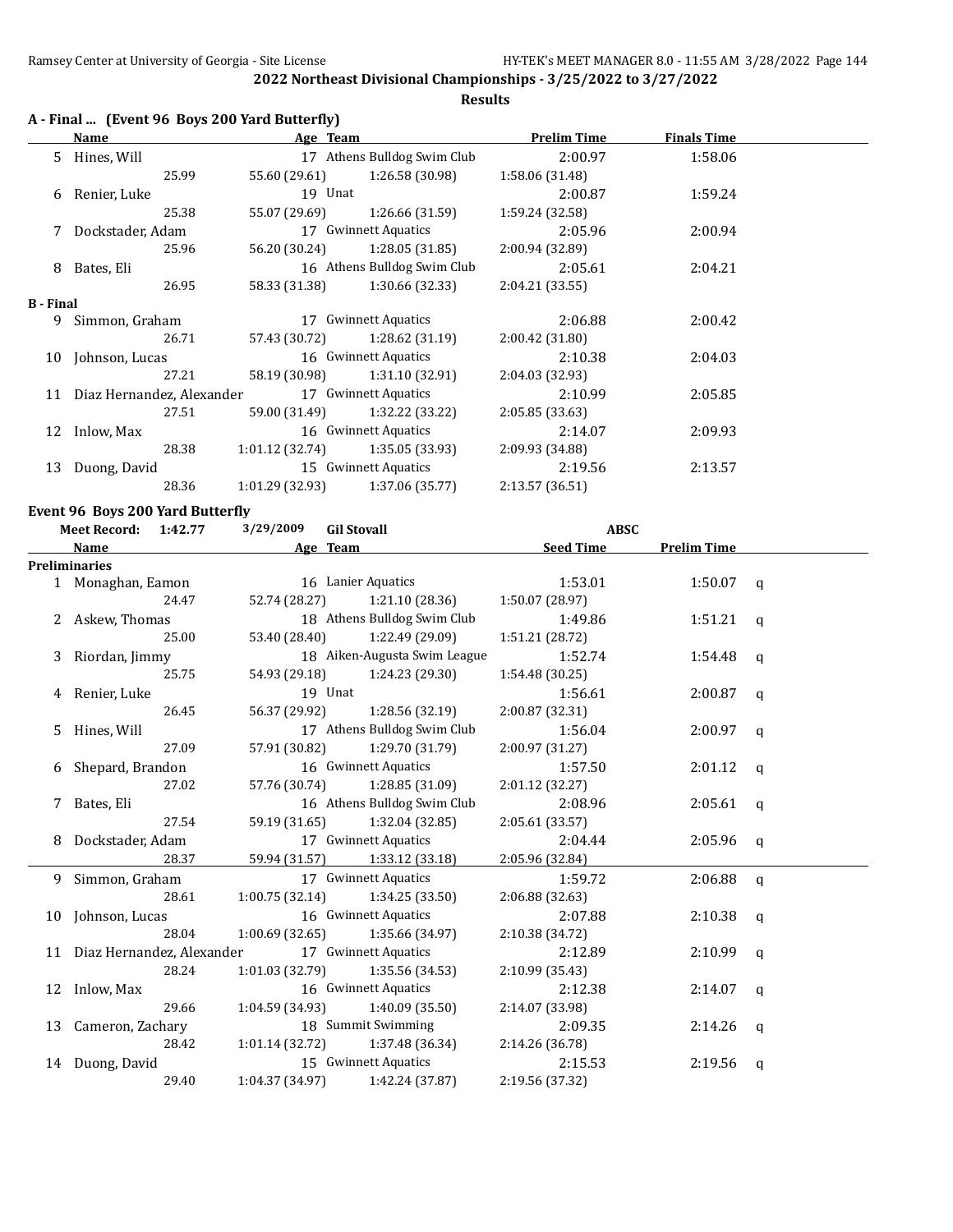**Results**

|  | A - Final  (Event 96 Boys 200 Yard Butterfly) |  |
|--|-----------------------------------------------|--|
|--|-----------------------------------------------|--|

|                              | Name                                      | Age Team                    |                                     | <b>Prelim Time</b> | <b>Finals Time</b> |  |
|------------------------------|-------------------------------------------|-----------------------------|-------------------------------------|--------------------|--------------------|--|
|                              | 5 Hines, Will                             |                             | 17 Athens Bulldog Swim Club         | 2:00.97            | 1:58.06            |  |
|                              | 25.99                                     | 55.60 (29.61)               | 1:26.58 (30.98)                     | 1:58.06 (31.48)    |                    |  |
| 6                            | Renier, Luke                              | 19 Unat                     |                                     | 2:00.87            | 1:59.24            |  |
|                              | 25.38                                     | 55.07 (29.69)               | 1:26.66 (31.59)                     | 1:59.24 (32.58)    |                    |  |
|                              | Dockstader, Adam                          |                             | 17 Gwinnett Aquatics                | 2:05.96            | 2:00.94            |  |
|                              | 25.96                                     | 56.20 (30.24)               | 1:28.05 (31.85)                     | 2:00.94 (32.89)    |                    |  |
| 8                            | Bates, Eli                                | 16 Athens Bulldog Swim Club |                                     | 2:05.61            | 2:04.21            |  |
|                              | 26.95                                     | 58.33 (31.38)               | 1:30.66(32.33)                      | 2:04.21(33.55)     |                    |  |
| <b>B</b> - Final             |                                           |                             |                                     |                    |                    |  |
| 9                            | Simmon, Graham                            |                             | 17 Gwinnett Aquatics                | 2:06.88            | 2:00.42            |  |
|                              | 26.71                                     | 57.43 (30.72)               | 1:28.62 (31.19)                     | 2:00.42(31.80)     |                    |  |
|                              | 16 Gwinnett Aquatics<br>10 Johnson, Lucas |                             | 2:10.38                             | 2:04.03            |                    |  |
|                              | 27.21                                     | 58.19 (30.98)               | 1:31.10 (32.91)                     | 2:04.03 (32.93)    |                    |  |
| 11 Diaz Hernandez, Alexander |                                           |                             | 17 Gwinnett Aquatics                | 2:10.99            | 2:05.85            |  |
|                              | 27.51                                     | 59.00 (31.49)               | 1:32.22 (33.22)                     | 2:05.85(33.63)     |                    |  |
|                              | 16 Gwinnett Aquatics<br>12 Inlow, Max     |                             | 2:14.07                             | 2:09.93            |                    |  |
|                              | 28.38                                     |                             | $1:01.12$ (32.74) $1:35.05$ (33.93) | 2:09.93 (34.88)    |                    |  |
| 13                           | Duong, David                              | 15 Gwinnett Aquatics        |                                     | 2:19.56            | 2:13.57            |  |
|                              | 28.36                                     | 1:01.29 (32.93)             | 1:37.06 (35.77)                     | 2:13.57 (36.51)    |                    |  |

# **Event 96 Boys 200 Yard Butterfly**

|   | 3/29/2009<br><b>Gil Stovall</b><br><b>Meet Record:</b><br>1:42.77 |                 | <b>ABSC</b>                       |                  |                    |              |
|---|-------------------------------------------------------------------|-----------------|-----------------------------------|------------------|--------------------|--------------|
|   | Name                                                              |                 | Age Team                          | <b>Seed Time</b> | <b>Prelim Time</b> |              |
|   | <b>Preliminaries</b>                                              |                 |                                   |                  |                    |              |
|   | 1 Monaghan, Eamon                                                 |                 | 16 Lanier Aquatics                | 1:53.01          | $1:50.07$ q        |              |
|   | 24.47                                                             |                 | 52.74 (28.27) 1:21.10 (28.36)     | 1:50.07 (28.97)  |                    |              |
|   | 2 Askew, Thomas                                                   |                 | 18 Athens Bulldog Swim Club       | 1:49.86          | $1:51.21$ q        |              |
|   | 25.00                                                             | 53.40 (28.40)   | 1:22.49 (29.09)                   | 1:51.21 (28.72)  |                    |              |
| 3 | Riordan, Jimmy                                                    |                 | 18 Aiken-Augusta Swim League      | 1:52.74          | 1:54.48            | a            |
|   | 25.75                                                             | 54.93 (29.18)   | 1:24.23 (29.30)                   | 1:54.48 (30.25)  |                    |              |
|   | 4 Renier, Luke                                                    |                 | 19 Unat                           | 1:56.61          | 2:00.87            | $\mathsf{q}$ |
|   | 26.45                                                             | 56.37 (29.92)   | 1:28.56 (32.19)                   | 2:00.87 (32.31)  |                    |              |
|   | 5 Hines, Will                                                     |                 | 17 Athens Bulldog Swim Club       | 1:56.04          | 2:00.97            | q            |
|   | 27.09                                                             | 57.91 (30.82)   | 1:29.70 (31.79)                   | 2:00.97(31.27)   |                    |              |
|   | 6 Shepard, Brandon                                                |                 | 16 Gwinnett Aquatics              | 1:57.50          | 2:01.12            | q            |
|   | 27.02                                                             | 57.76 (30.74)   | 1:28.85 (31.09)                   | 2:01.12 (32.27)  |                    |              |
|   | 7 Bates, Eli                                                      |                 | 16 Athens Bulldog Swim Club       | 2:08.96          | $2:05.61$ q        |              |
|   | 27.54                                                             | 59.19 (31.65)   | 1:32.04 (32.85)                   | 2:05.61 (33.57)  |                    |              |
|   | 8 Dockstader, Adam                                                |                 | 17 Gwinnett Aquatics              | 2:04.44          | $2:05.96$ q        |              |
|   | 28.37                                                             |                 | 59.94 (31.57) 1:33.12 (33.18)     | 2:05.96 (32.84)  |                    |              |
|   | 9 Simmon, Graham                                                  |                 | 17 Gwinnett Aquatics              | 1:59.72          | $2:06.88$ q        |              |
|   | 28.61                                                             | 1:00.75(32.14)  | 1:34.25 (33.50)                   | 2:06.88 (32.63)  |                    |              |
|   | 10 Johnson, Lucas                                                 |                 | 16 Gwinnett Aquatics              | 2:07.88          | $2:10.38$ q        |              |
|   | 28.04                                                             |                 | 1:00.69 (32.65) 1:35.66 (34.97)   | 2:10.38 (34.72)  |                    |              |
|   | 11 Diaz Hernandez, Alexander                                      |                 | 17 Gwinnett Aquatics              | 2:12.89          | $2:10.99$ q        |              |
|   | 28.24                                                             | 1:01.03 (32.79) | 1:35.56 (34.53)                   | 2:10.99 (35.43)  |                    |              |
|   | 12 Inlow, Max                                                     |                 | 16 Gwinnett Aquatics              | 2:12.38          | 2:14.07            | $\mathsf{q}$ |
|   | 29.66                                                             |                 | $1:04.59(34.93)$ $1:40.09(35.50)$ | 2:14.07 (33.98)  |                    |              |
|   | 13 Cameron, Zachary                                               |                 | 18 Summit Swimming                | 2:09.35          | 2:14.26            | q            |
|   | 28.42                                                             |                 | $1:01.14(32.72)$ $1:37.48(36.34)$ | 2:14.26 (36.78)  |                    |              |
|   | 14 Duong, David                                                   |                 | 15 Gwinnett Aquatics              | 2:15.53          | 2:19.56            | q            |
|   | 29.40                                                             | 1:04.37 (34.97) | 1:42.24 (37.87)                   | 2:19.56 (37.32)  |                    |              |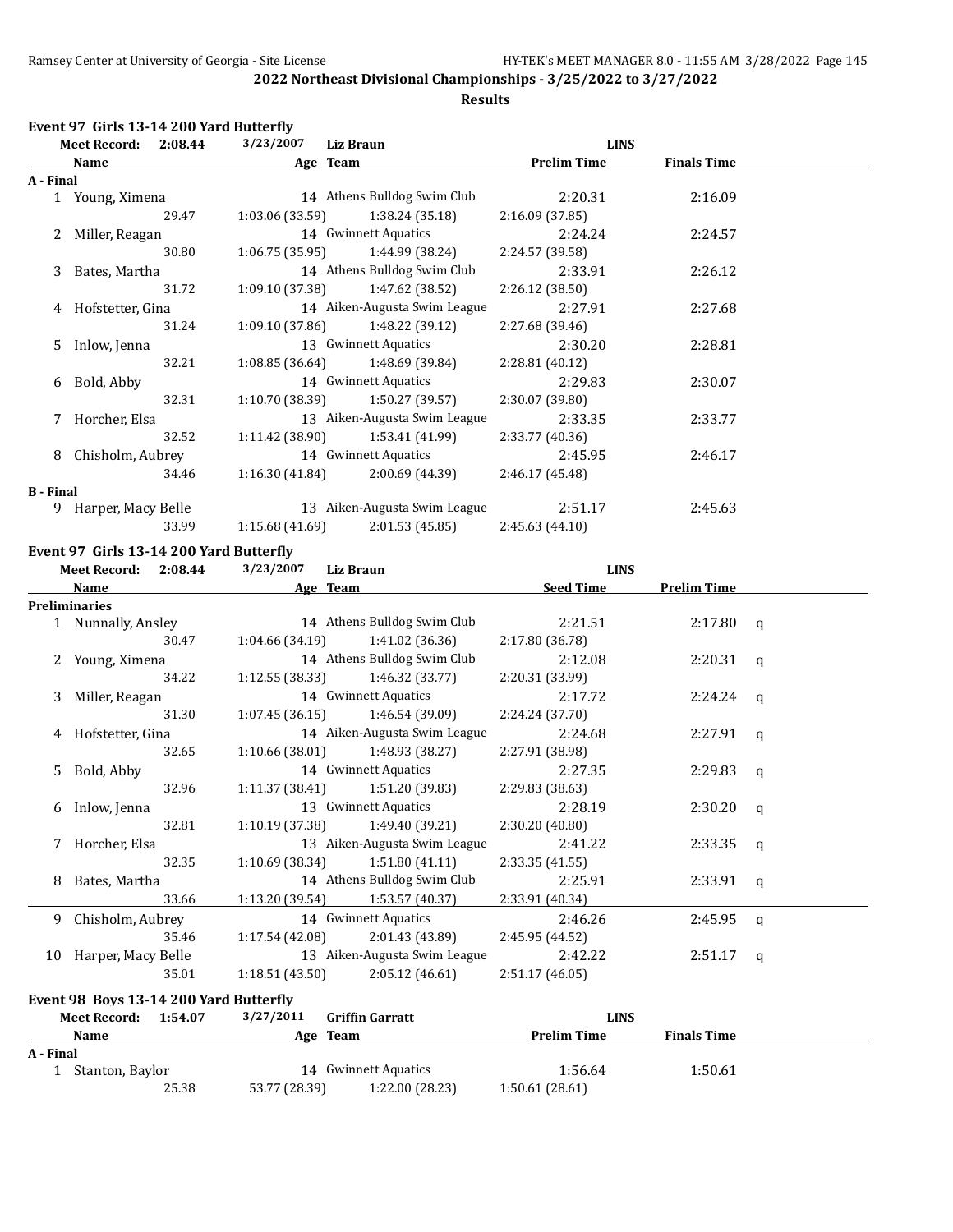#### **Results**

#### **Event 97 Girls 13-14 200 Yard Butterfly**

| Meet Record: 2:08.44 |                    | 3/23/2007<br>Liz Braun |                 | <b>LINS</b>                         |                    |                    |  |
|----------------------|--------------------|------------------------|-----------------|-------------------------------------|--------------------|--------------------|--|
|                      | Name               |                        | Age Team        |                                     | <b>Prelim Time</b> | <b>Finals Time</b> |  |
| A - Final            |                    |                        |                 |                                     |                    |                    |  |
|                      | 1 Young, Ximena    |                        |                 | 14 Athens Bulldog Swim Club         | 2:20.31            | 2:16.09            |  |
|                      |                    | 29.47                  |                 | $1:03.06(33.59)$ $1:38.24(35.18)$   | 2:16.09(37.85)     |                    |  |
|                      | 2 Miller, Reagan   |                        |                 | 14 Gwinnett Aquatics                | 2:24.24            | 2:24.57            |  |
|                      |                    | 30.80                  |                 | $1:06.75(35.95)$ $1:44.99(38.24)$   | 2:24.57 (39.58)    |                    |  |
|                      | 3 Bates, Martha    |                        |                 | 14 Athens Bulldog Swim Club         | 2:33.91            | 2:26.12            |  |
|                      |                    | 31.72                  |                 | $1:09.10(37.38)$ $1:47.62(38.52)$   | 2:26.12 (38.50)    |                    |  |
|                      | 4 Hofstetter, Gina |                        |                 | 14 Aiken-Augusta Swim League        | 2:27.91            | 2:27.68            |  |
|                      |                    | 31.24                  |                 | $1:09.10(37.86)$ $1:48.22(39.12)$   | 2:27.68 (39.46)    |                    |  |
|                      | 5 Inlow, Jenna     |                        |                 | 13 Gwinnett Aquatics                | 2:30.20            | 2:28.81            |  |
|                      |                    | 32.21                  |                 | $1:08.85(36.64)$ $1:48.69(39.84)$   | 2:28.81 (40.12)    |                    |  |
|                      | 6 Bold, Abby       |                        |                 | 14 Gwinnett Aquatics                | 2:29.83            | 2:30.07            |  |
|                      |                    | 32.31                  |                 | $1:10.70(38.39)$ $1:50.27(39.57)$   | 2:30.07 (39.80)    |                    |  |
|                      | 7 Horcher, Elsa    |                        |                 | 13 Aiken-Augusta Swim League        | 2:33.35            | 2:33.77            |  |
|                      |                    | 32.52                  |                 | $1:11.42$ (38.90) $1:53.41$ (41.99) | 2:33.77 (40.36)    |                    |  |
| 8                    | Chisholm, Aubrey   |                        |                 | 14 Gwinnett Aquatics                | 2:45.95            | 2:46.17            |  |
|                      |                    | 34.46                  |                 | $1:16.30(41.84)$ $2:00.69(44.39)$   | 2:46.17 (45.48)    |                    |  |
| <b>B</b> - Final     |                    |                        |                 |                                     |                    |                    |  |
| 9.                   | Harper, Macy Belle |                        |                 | 13 Aiken-Augusta Swim League        | 2:51.17            | 2:45.63            |  |
|                      |                    | 33.99                  | 1:15.68 (41.69) | 2:01.53 (45.85)                     | 2:45.63(44.10)     |                    |  |

# **Event 97 Girls 13-14 200 Yard Butterfly**

|           | <b>Meet Record:</b>                    | 2:08.44 | 3/23/2007       | <b>Liz Braun</b>                    | <b>LINS</b>        |                    |              |
|-----------|----------------------------------------|---------|-----------------|-------------------------------------|--------------------|--------------------|--------------|
|           | <b>Name</b>                            |         |                 | Age Team                            | <b>Seed Time</b>   | <b>Prelim Time</b> |              |
|           | <b>Preliminaries</b>                   |         |                 |                                     |                    |                    |              |
|           | 1 Nunnally, Ansley                     |         |                 | 14 Athens Bulldog Swim Club         | 2:21.51            | $2:17.80$ a        |              |
|           |                                        | 30.47   | 1:04.66 (34.19) | 1:41.02 (36.36)                     | 2:17.80 (36.78)    |                    |              |
|           | 2 Young, Ximena                        |         |                 | 14 Athens Bulldog Swim Club         | 2:12.08            | $2:20.31$ a        |              |
|           |                                        | 34.22   |                 | $1:12.55(38.33)$ $1:46.32(33.77)$   | 2:20.31 (33.99)    |                    |              |
| 3         | Miller, Reagan                         |         |                 | 14 Gwinnett Aquatics                | 2:17.72            | 2:24.24            | q            |
|           |                                        | 31.30   |                 | $1:07.45(36.15)$ $1:46.54(39.09)$   | 2:24.24 (37.70)    |                    |              |
|           | 4 Hofstetter, Gina                     |         |                 | 14 Aiken-Augusta Swim League        | 2:24.68            | $2:27.91$ q        |              |
|           |                                        | 32.65   |                 | 1:10.66 (38.01) 1:48.93 (38.27)     | 2:27.91 (38.98)    |                    |              |
| 5.        | Bold, Abby                             |         |                 | 14 Gwinnett Aquatics                | 2:27.35            | 2:29.83            | q            |
|           |                                        | 32.96   |                 | $1:11.37(38.41)$ $1:51.20(39.83)$   | 2:29.83 (38.63)    |                    |              |
| 6         | Inlow, Jenna                           |         |                 | 13 Gwinnett Aquatics                | 2:28.19            | 2:30.20            | q            |
|           |                                        | 32.81   |                 | $1:10.19$ (37.38) $1:49.40$ (39.21) | 2:30.20 (40.80)    |                    |              |
|           | 7 Horcher, Elsa                        |         |                 | 13 Aiken-Augusta Swim League        | 2:41.22            | 2:33.35            | $\mathbf{q}$ |
|           |                                        | 32.35   | 1:10.69 (38.34) | 1:51.80(41.11)                      | 2:33.35(41.55)     |                    |              |
| 8         | Bates, Martha                          |         |                 | 14 Athens Bulldog Swim Club         | 2:25.91            | $2:33.91$ q        |              |
|           |                                        | 33.66   |                 | $1:13.20(39.54)$ $1:53.57(40.37)$   | 2:33.91 (40.34)    |                    |              |
|           | 9 Chisholm, Aubrey                     |         |                 | 14 Gwinnett Aquatics                | 2:46.26            | 2:45.95            | $\alpha$     |
|           |                                        | 35.46   |                 | $1:17.54(42.08)$ $2:01.43(43.89)$   | 2:45.95(44.52)     |                    |              |
|           | 10 Harper, Macy Belle                  |         |                 | 13 Aiken-Augusta Swim League        | 2:42.22            | 2:51.17            | $\mathbf{q}$ |
|           |                                        | 35.01   |                 | $1:18.51(43.50)$ $2:05.12(46.61)$   | 2:51.17 (46.05)    |                    |              |
|           | Event 98 Boys 13-14 200 Yard Butterfly |         |                 |                                     |                    |                    |              |
|           | Meet Record: 1:54.07                   |         | 3/27/2011       | <b>Griffin Garratt</b>              | <b>LINS</b>        |                    |              |
|           | Name                                   |         |                 | Age Team                            | <b>Prelim Time</b> | <b>Finals Time</b> |              |
| A - Final |                                        |         |                 |                                     |                    |                    |              |
|           | 1 Stanton, Baylor                      |         |                 | 14 Gwinnett Aquatics                | 1:56.64            | 1:50.61            |              |
|           |                                        | 25.38   | 53.77 (28.39)   | 1:22.00 (28.23)                     | 1:50.61(28.61)     |                    |              |
|           |                                        |         |                 |                                     |                    |                    |              |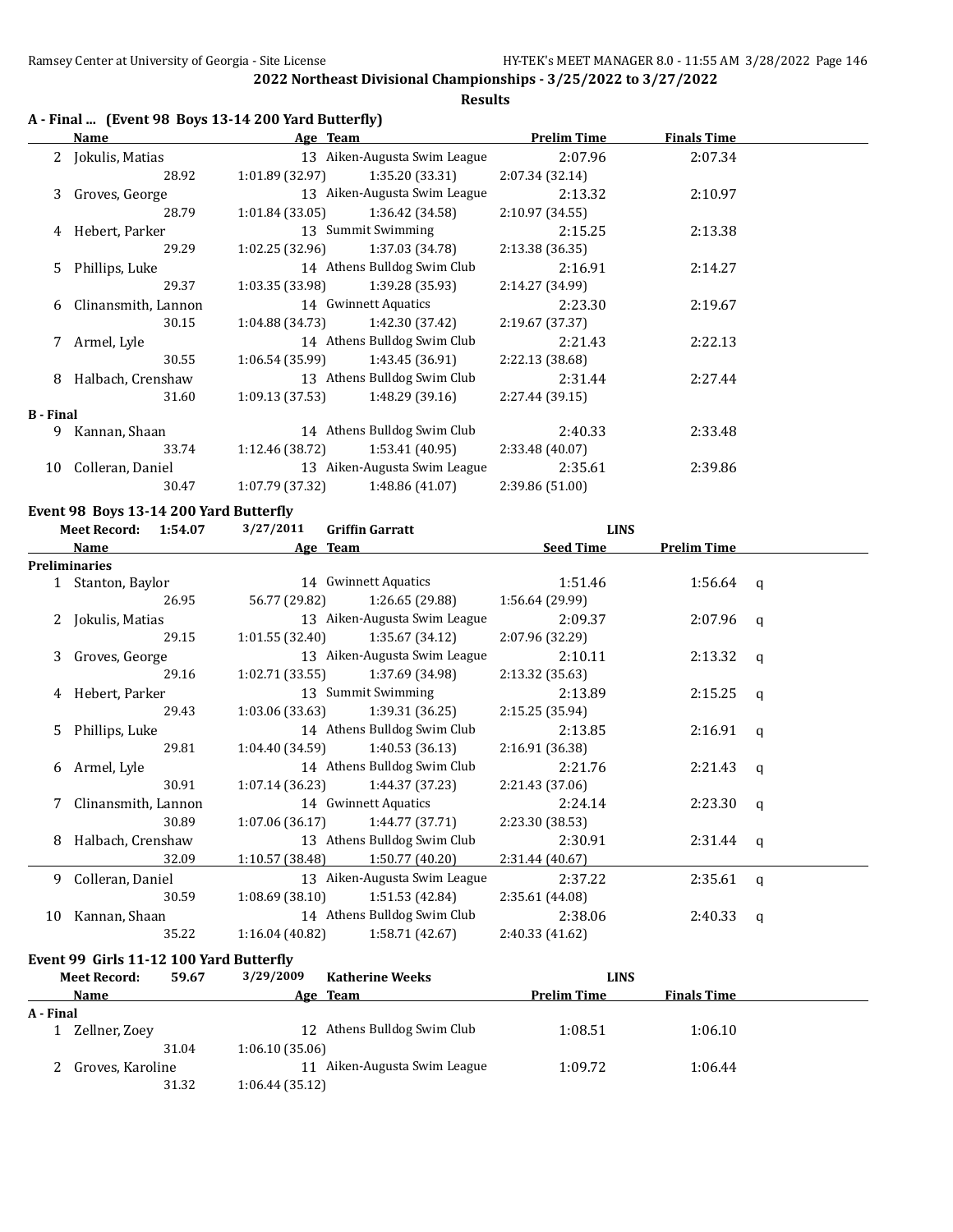#### **Results**

# **A - Final ... (Event 98 Boys 13-14 200 Yard Butterfly)**

|                  | Name                | Age Team        |                              | <b>Prelim Time</b> | <b>Finals Time</b> |  |
|------------------|---------------------|-----------------|------------------------------|--------------------|--------------------|--|
|                  | 2 Jokulis, Matias   |                 | 13 Aiken-Augusta Swim League | 2:07.96            | 2:07.34            |  |
|                  | 28.92               | 1:01.89(32.97)  | 1:35.20 (33.31)              | 2:07.34(32.14)     |                    |  |
| 3                | Groves, George      |                 | 13 Aiken-Augusta Swim League | 2:13.32            | 2:10.97            |  |
|                  | 28.79               | 1:01.84(33.05)  | 1:36.42 (34.58)              | 2:10.97(34.55)     |                    |  |
| 4                | Hebert, Parker      |                 | 13 Summit Swimming           | 2:15.25            | 2:13.38            |  |
|                  | 29.29               | 1:02.25 (32.96) | 1:37.03 (34.78)              | 2:13.38(36.35)     |                    |  |
| 5.               | Phillips, Luke      |                 | 14 Athens Bulldog Swim Club  | 2:16.91            | 2:14.27            |  |
|                  | 29.37               | 1:03.35(33.98)  | 1:39.28 (35.93)              | 2:14.27 (34.99)    |                    |  |
| 6                | Clinansmith, Lannon |                 | 14 Gwinnett Aquatics         | 2:23.30            | 2:19.67            |  |
|                  | 30.15               | 1:04.88 (34.73) | 1:42.30 (37.42)              | 2:19.67(37.37)     |                    |  |
| 7                | Armel, Lyle         |                 | 14 Athens Bulldog Swim Club  | 2:21.43            | 2:22.13            |  |
|                  | 30.55               | 1:06.54 (35.99) | 1:43.45 (36.91)              | 2:22.13 (38.68)    |                    |  |
| 8                | Halbach, Crenshaw   |                 | 13 Athens Bulldog Swim Club  | 2:31.44            | 2:27.44            |  |
|                  | 31.60               | 1:09.13(37.53)  | 1:48.29 (39.16)              | 2:27.44(39.15)     |                    |  |
| <b>B</b> - Final |                     |                 |                              |                    |                    |  |
| 9                | Kannan, Shaan       |                 | 14 Athens Bulldog Swim Club  | 2:40.33            | 2:33.48            |  |
|                  | 33.74               | 1:12.46(38.72)  | 1:53.41(40.95)               | 2:33.48 (40.07)    |                    |  |
| 10               | Colleran, Daniel    |                 | 13 Aiken-Augusta Swim League | 2:35.61            | 2:39.86            |  |
|                  | 30.47               | 1:07.79 (37.32) | 1:48.86(41.07)               | 2:39.86 (51.00)    |                    |  |

#### **Event 98 Boys 13-14 200 Yard Butterfly**

| 3/27/2011<br><b>Meet Record:</b><br>1:54.07<br><b>Griffin Garratt</b><br><b>LINS</b> |                      |       |                 |                              |                  |                    |              |
|--------------------------------------------------------------------------------------|----------------------|-------|-----------------|------------------------------|------------------|--------------------|--------------|
|                                                                                      | Name                 |       |                 | Age Team                     | <b>Seed Time</b> | <b>Prelim Time</b> |              |
|                                                                                      | <b>Preliminaries</b> |       |                 |                              |                  |                    |              |
|                                                                                      | 1 Stanton, Baylor    |       |                 | 14 Gwinnett Aquatics         | 1:51.46          | $1:56.64$ q        |              |
|                                                                                      |                      | 26.95 | 56.77 (29.82)   | 1:26.65 (29.88)              | 1:56.64 (29.99)  |                    |              |
|                                                                                      | 2 Jokulis, Matias    |       |                 | 13 Aiken-Augusta Swim League | 2:09.37          | $2:07.96$ q        |              |
|                                                                                      |                      | 29.15 | 1:01.55(32.40)  | 1:35.67 (34.12)              | 2:07.96 (32.29)  |                    |              |
|                                                                                      | 3 Groves, George     |       |                 | 13 Aiken-Augusta Swim League | 2:10.11          | $2:13.32$ q        |              |
|                                                                                      |                      | 29.16 | 1:02.71(33.55)  | 1:37.69 (34.98)              | 2:13.32 (35.63)  |                    |              |
| 4                                                                                    | Hebert, Parker       |       |                 | 13 Summit Swimming           | 2:13.89          | 2:15.25            | $\mathbf{q}$ |
|                                                                                      |                      | 29.43 | 1:03.06 (33.63) | 1:39.31 (36.25)              | 2:15.25(35.94)   |                    |              |
| 5.                                                                                   | Phillips, Luke       |       |                 | 14 Athens Bulldog Swim Club  | 2:13.85          | $2:16.91$ q        |              |
|                                                                                      |                      | 29.81 | 1:04.40 (34.59) | 1:40.53(36.13)               | 2:16.91 (36.38)  |                    |              |
| 6                                                                                    | Armel, Lyle          |       |                 | 14 Athens Bulldog Swim Club  | 2:21.76          | $2:21.43$ q        |              |
|                                                                                      |                      | 30.91 | 1:07.14(36.23)  | 1:44.37 (37.23)              | 2:21.43(37.06)   |                    |              |
|                                                                                      | Clinansmith, Lannon  |       |                 | 14 Gwinnett Aquatics         | 2:24.14          | 2:23.30            | q            |
|                                                                                      |                      | 30.89 | 1:07.06(36.17)  | 1:44.77 (37.71)              | 2:23.30 (38.53)  |                    |              |
| 8                                                                                    | Halbach, Crenshaw    |       |                 | 13 Athens Bulldog Swim Club  | 2:30.91          | $2:31.44$ q        |              |
|                                                                                      |                      | 32.09 | 1:10.57 (38.48) | 1:50.77(40.20)               | 2:31.44 (40.67)  |                    |              |
| 9                                                                                    | Colleran, Daniel     |       |                 | 13 Aiken-Augusta Swim League | 2:37.22          | $2:35.61$ q        |              |
|                                                                                      |                      | 30.59 | 1:08.69(38.10)  | 1:51.53 (42.84)              | 2:35.61(44.08)   |                    |              |
| 10                                                                                   | Kannan, Shaan        |       |                 | 14 Athens Bulldog Swim Club  | 2:38.06          | 2:40.33            | q            |
|                                                                                      |                      | 35.22 | 1:16.04(40.82)  | 1:58.71 (42.67)              | 2:40.33 (41.62)  |                    |              |

#### **Event 99 Girls 11-12 100 Yard Butterfly**

|           | 59.67<br><b>Meet Record:</b> | 3/29/2009<br><b>Katherine Weeks</b> | <b>LINS</b>        |                    |  |
|-----------|------------------------------|-------------------------------------|--------------------|--------------------|--|
|           | Name                         | Age Team                            | <b>Prelim Time</b> | <b>Finals Time</b> |  |
| A - Final |                              |                                     |                    |                    |  |
|           | Zellner, Zoev                | 12 Athens Bulldog Swim Club         | 1:08.51            | 1:06.10            |  |
|           | 31.04                        | 1:06.10(35.06)                      |                    |                    |  |
|           | Groves, Karoline             | Aiken-Augusta Swim League           | 1:09.72            | 1:06.44            |  |
|           | 31.32                        | 1:06.44(35.12)                      |                    |                    |  |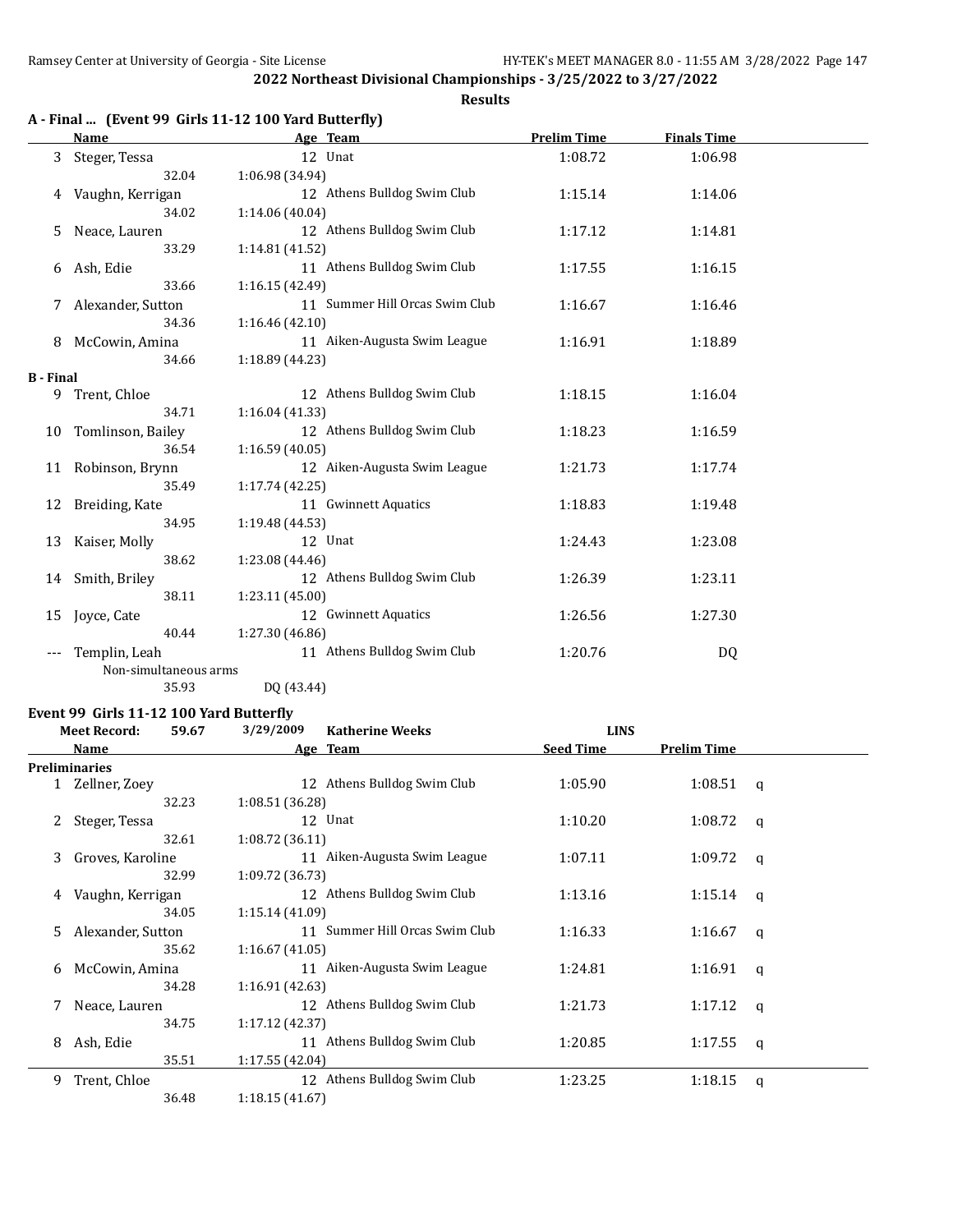# **Results**

|  |  | A - Final  (Event 99 Girls 11-12 100 Yard Butterfly) |  |
|--|--|------------------------------------------------------|--|
|--|--|------------------------------------------------------|--|

|                  | <b>Name</b>           | Age Team                       | <b>Prelim Time</b> | <b>Finals Time</b> |  |
|------------------|-----------------------|--------------------------------|--------------------|--------------------|--|
| 3                | Steger, Tessa         | 12 Unat                        | 1:08.72            | 1:06.98            |  |
|                  | 32.04                 | 1:06.98 (34.94)                |                    |                    |  |
| 4                | Vaughn, Kerrigan      | 12 Athens Bulldog Swim Club    | 1:15.14            | 1:14.06            |  |
|                  | 34.02                 | 1:14.06 (40.04)                |                    |                    |  |
| 5                | Neace, Lauren         | 12 Athens Bulldog Swim Club    | 1:17.12            | 1:14.81            |  |
|                  | 33.29                 | 1:14.81(41.52)                 |                    |                    |  |
| 6                | Ash, Edie             | 11 Athens Bulldog Swim Club    | 1:17.55            | 1:16.15            |  |
|                  | 33.66                 | 1:16.15 (42.49)                |                    |                    |  |
| 7                | Alexander, Sutton     | 11 Summer Hill Orcas Swim Club | 1:16.67            | 1:16.46            |  |
|                  | 34.36                 | 1:16.46 (42.10)                |                    |                    |  |
|                  | 8 McCowin, Amina      | 11 Aiken-Augusta Swim League   | 1:16.91            | 1:18.89            |  |
|                  | 34.66                 | 1:18.89 (44.23)                |                    |                    |  |
| <b>B</b> - Final |                       |                                |                    |                    |  |
| 9                | Trent, Chloe          | 12 Athens Bulldog Swim Club    | 1:18.15            | 1:16.04            |  |
|                  | 34.71                 | 1:16.04(41.33)                 |                    |                    |  |
| 10               | Tomlinson, Bailey     | 12 Athens Bulldog Swim Club    | 1:18.23            | 1:16.59            |  |
|                  | 36.54                 | 1:16.59 (40.05)                |                    |                    |  |
| 11               | Robinson, Brynn       | 12 Aiken-Augusta Swim League   | 1:21.73            | 1:17.74            |  |
|                  | 35.49                 | 1:17.74(42.25)                 |                    |                    |  |
| 12               | Breiding, Kate        | 11 Gwinnett Aquatics           | 1:18.83            | 1:19.48            |  |
|                  | 34.95                 | 1:19.48 (44.53)                |                    |                    |  |
| 13               | Kaiser, Molly         | 12 Unat                        | 1:24.43            | 1:23.08            |  |
|                  | 38.62                 | 1:23.08 (44.46)                |                    |                    |  |
| 14               | Smith, Briley         | 12 Athens Bulldog Swim Club    | 1:26.39            | 1:23.11            |  |
|                  | 38.11                 | 1:23.11 (45.00)                |                    |                    |  |
| 15               | Joyce, Cate           | 12 Gwinnett Aquatics           | 1:26.56            | 1:27.30            |  |
|                  | 40.44                 | 1:27.30 (46.86)                |                    |                    |  |
| ---              | Templin, Leah         | 11 Athens Bulldog Swim Club    | 1:20.76            | DQ                 |  |
|                  | Non-simultaneous arms |                                |                    |                    |  |
|                  | 35.93                 | DQ (43.44)                     |                    |                    |  |

#### **Event 99 Girls 11-12 100 Yard Butterfly**

| 3/29/2009<br><b>Meet Record:</b><br>59.67<br><b>Katherine Weeks</b><br><b>LINS</b> |  |                                                                                                                                                              |                                                                                                                                                                                                                                                                                                                                                                                                                                                     |                    |                                                      |
|------------------------------------------------------------------------------------|--|--------------------------------------------------------------------------------------------------------------------------------------------------------------|-----------------------------------------------------------------------------------------------------------------------------------------------------------------------------------------------------------------------------------------------------------------------------------------------------------------------------------------------------------------------------------------------------------------------------------------------------|--------------------|------------------------------------------------------|
| <b>Name</b>                                                                        |  |                                                                                                                                                              | <b>Seed Time</b>                                                                                                                                                                                                                                                                                                                                                                                                                                    | <b>Prelim Time</b> |                                                      |
| <b>Preliminaries</b>                                                               |  |                                                                                                                                                              |                                                                                                                                                                                                                                                                                                                                                                                                                                                     |                    |                                                      |
| 1 Zellner, Zoey                                                                    |  |                                                                                                                                                              | 1:05.90                                                                                                                                                                                                                                                                                                                                                                                                                                             |                    |                                                      |
|                                                                                    |  |                                                                                                                                                              |                                                                                                                                                                                                                                                                                                                                                                                                                                                     |                    |                                                      |
| Steger, Tessa                                                                      |  |                                                                                                                                                              | 1:10.20                                                                                                                                                                                                                                                                                                                                                                                                                                             |                    | a                                                    |
|                                                                                    |  |                                                                                                                                                              |                                                                                                                                                                                                                                                                                                                                                                                                                                                     |                    |                                                      |
|                                                                                    |  |                                                                                                                                                              | 1:07.11                                                                                                                                                                                                                                                                                                                                                                                                                                             | 1:09.72            | q                                                    |
|                                                                                    |  |                                                                                                                                                              |                                                                                                                                                                                                                                                                                                                                                                                                                                                     |                    |                                                      |
|                                                                                    |  |                                                                                                                                                              | 1:13.16                                                                                                                                                                                                                                                                                                                                                                                                                                             |                    |                                                      |
|                                                                                    |  |                                                                                                                                                              |                                                                                                                                                                                                                                                                                                                                                                                                                                                     |                    |                                                      |
|                                                                                    |  |                                                                                                                                                              | 1:16.33                                                                                                                                                                                                                                                                                                                                                                                                                                             | 1:16.67            | q                                                    |
|                                                                                    |  |                                                                                                                                                              |                                                                                                                                                                                                                                                                                                                                                                                                                                                     |                    |                                                      |
|                                                                                    |  |                                                                                                                                                              | 1:24.81                                                                                                                                                                                                                                                                                                                                                                                                                                             | 1:16.91            | q                                                    |
|                                                                                    |  |                                                                                                                                                              |                                                                                                                                                                                                                                                                                                                                                                                                                                                     |                    |                                                      |
| Neace, Lauren                                                                      |  |                                                                                                                                                              | 1:21.73                                                                                                                                                                                                                                                                                                                                                                                                                                             |                    |                                                      |
|                                                                                    |  |                                                                                                                                                              |                                                                                                                                                                                                                                                                                                                                                                                                                                                     |                    |                                                      |
| Ash, Edie                                                                          |  |                                                                                                                                                              | 1:20.85                                                                                                                                                                                                                                                                                                                                                                                                                                             | 1:17.55            | q                                                    |
|                                                                                    |  |                                                                                                                                                              |                                                                                                                                                                                                                                                                                                                                                                                                                                                     |                    |                                                      |
| Trent, Chloe                                                                       |  |                                                                                                                                                              | 1:23.25                                                                                                                                                                                                                                                                                                                                                                                                                                             | 1:18.15            | q                                                    |
|                                                                                    |  |                                                                                                                                                              |                                                                                                                                                                                                                                                                                                                                                                                                                                                     |                    |                                                      |
|                                                                                    |  | 32.23<br>32.61<br>Groves, Karoline<br>32.99<br>Vaughn, Kerrigan<br>34.05<br>Alexander, Sutton<br>35.62<br>McCowin, Amina<br>34.28<br>34.75<br>35.51<br>36.48 | Age Team<br>12 Athens Bulldog Swim Club<br>1:08.51 (36.28)<br>12 Unat<br>1:08.72(36.11)<br>11 Aiken-Augusta Swim League<br>1:09.72(36.73)<br>12 Athens Bulldog Swim Club<br>1:15.14(41.09)<br>11 Summer Hill Orcas Swim Club<br>1:16.67(41.05)<br>11 Aiken-Augusta Swim League<br>1:16.91(42.63)<br>12 Athens Bulldog Swim Club<br>1:17.12(42.37)<br>11 Athens Bulldog Swim Club<br>1:17.55(42.04)<br>12 Athens Bulldog Swim Club<br>1:18.15(41.67) |                    | $1:08.51$ q<br>1:08.72<br>$1:15.14$ q<br>$1:17.12$ q |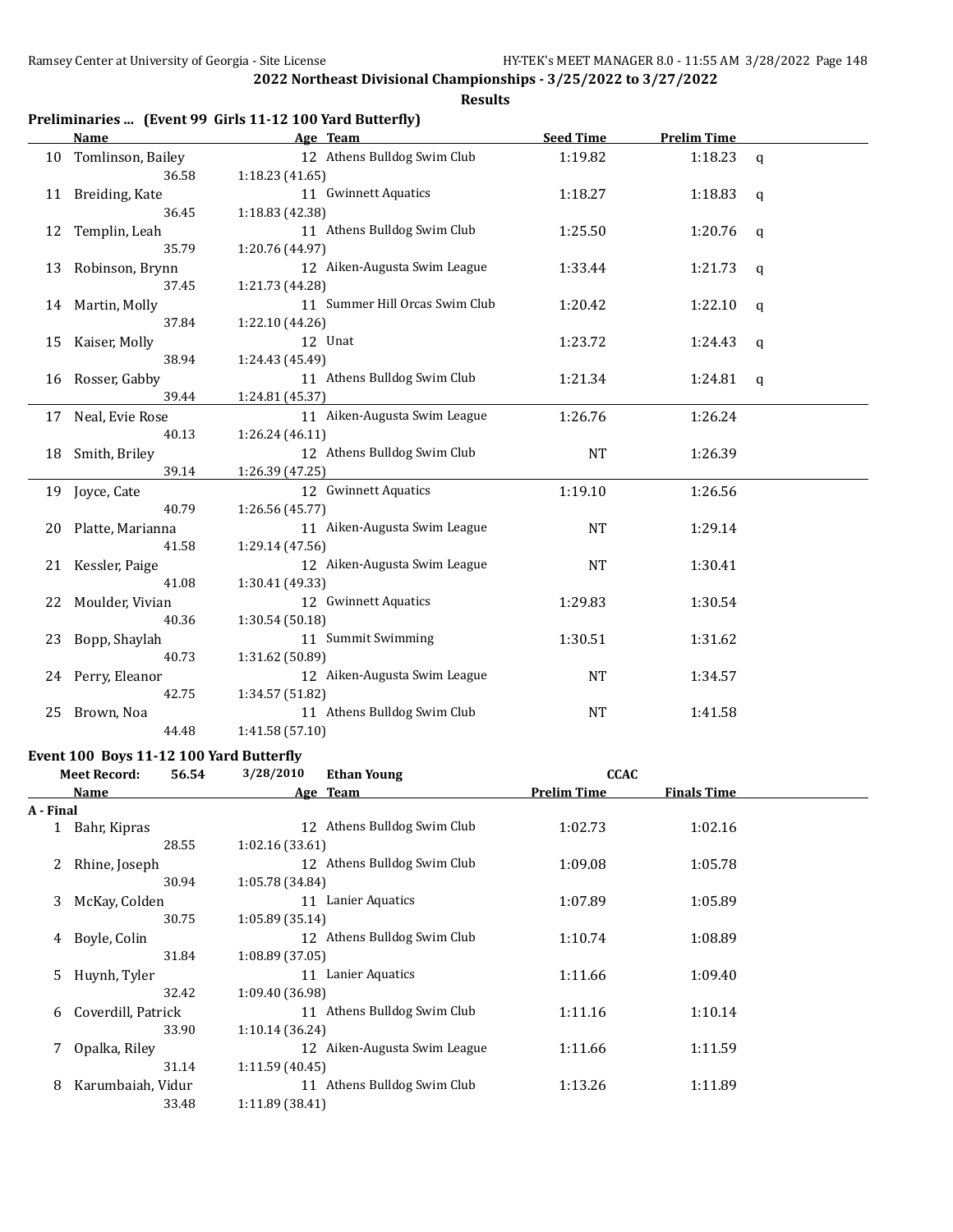**Results**

|  |  |  | Preliminaries  (Event 99 Girls 11-12 100 Yard Butterfly) |
|--|--|--|----------------------------------------------------------|
|--|--|--|----------------------------------------------------------|

|    | Name                 | Age Team                       | <b>Seed Time</b> | <b>Prelim Time</b> |              |
|----|----------------------|--------------------------------|------------------|--------------------|--------------|
|    | 10 Tomlinson, Bailey | 12 Athens Bulldog Swim Club    | 1:19.82          | 1:18.23            | $\mathsf{q}$ |
|    | 36.58                | 1:18.23(41.65)                 |                  |                    |              |
|    | 11 Breiding, Kate    | 11 Gwinnett Aquatics           | 1:18.27          | 1:18.83            | q            |
|    | 36.45                | 1:18.83 (42.38)                |                  |                    |              |
| 12 | Templin, Leah        | 11 Athens Bulldog Swim Club    | 1:25.50          | 1:20.76            | $\mathsf{q}$ |
|    | 35.79                | 1:20.76 (44.97)                |                  |                    |              |
|    | 13 Robinson, Brynn   | 12 Aiken-Augusta Swim League   | 1:33.44          | 1:21.73            | q            |
|    | 37.45                | 1:21.73 (44.28)                |                  |                    |              |
|    | 14 Martin, Molly     | 11 Summer Hill Orcas Swim Club | 1:20.42          | 1:22.10            | q            |
|    | 37.84                | 1:22.10 (44.26)                |                  |                    |              |
|    | 15 Kaiser, Molly     | 12 Unat                        | 1:23.72          | 1:24.43            | q            |
|    | 38.94                | 1:24.43 (45.49)                |                  |                    |              |
|    | 16 Rosser, Gabby     | 11 Athens Bulldog Swim Club    | 1:21.34          | 1:24.81            | q            |
|    | 39.44                | 1:24.81 (45.37)                |                  |                    |              |
|    | 17 Neal, Evie Rose   | 11 Aiken-Augusta Swim League   | 1:26.76          | 1:26.24            |              |
|    | 40.13                | 1:26.24(46.11)                 |                  |                    |              |
|    | 18 Smith, Briley     | 12 Athens Bulldog Swim Club    | <b>NT</b>        | 1:26.39            |              |
|    | 39.14                | 1:26.39 (47.25)                |                  |                    |              |
| 19 | Joyce, Cate          | 12 Gwinnett Aquatics           | 1:19.10          | 1:26.56            |              |
|    | 40.79                | 1:26.56 (45.77)                |                  |                    |              |
|    | 20 Platte, Marianna  | 11 Aiken-Augusta Swim League   | <b>NT</b>        | 1:29.14            |              |
|    | 41.58                | 1:29.14 (47.56)                |                  |                    |              |
|    | 21 Kessler, Paige    | 12 Aiken-Augusta Swim League   | <b>NT</b>        | 1:30.41            |              |
|    | 41.08                | 1:30.41 (49.33)                |                  |                    |              |
| 22 | Moulder, Vivian      | 12 Gwinnett Aquatics           | 1:29.83          | 1:30.54            |              |
|    | 40.36                | 1:30.54 (50.18)                |                  |                    |              |
| 23 | Bopp, Shaylah        | 11 Summit Swimming             | 1:30.51          | 1:31.62            |              |
|    | 40.73                | 1:31.62 (50.89)                |                  |                    |              |
|    | 24 Perry, Eleanor    | 12 Aiken-Augusta Swim League   | <b>NT</b>        | 1:34.57            |              |
|    | 42.75                | 1:34.57 (51.82)                |                  |                    |              |
| 25 | Brown, Noa           | 11 Athens Bulldog Swim Club    | <b>NT</b>        | 1:41.58            |              |
|    | 44.48                | 1:41.58 (57.10)                |                  |                    |              |

#### **Event 100 Boys 11-12 100 Yard Butterfly**

| 3/28/2010<br><b>Meet Record:</b><br>56.54<br><b>Ethan Young</b> |                    | <b>CCAC</b> |                 |                              |                    |                    |  |
|-----------------------------------------------------------------|--------------------|-------------|-----------------|------------------------------|--------------------|--------------------|--|
|                                                                 | Name               |             |                 | Age Team                     | <b>Prelim Time</b> | <b>Finals Time</b> |  |
| A - Final                                                       |                    |             |                 |                              |                    |                    |  |
|                                                                 | Bahr, Kipras       |             | 12              | Athens Bulldog Swim Club     | 1:02.73            | 1:02.16            |  |
|                                                                 |                    | 28.55       | 1:02.16(33.61)  |                              |                    |                    |  |
| 2                                                               | Rhine, Joseph      |             |                 | 12 Athens Bulldog Swim Club  | 1:09.08            | 1:05.78            |  |
|                                                                 |                    | 30.94       | 1:05.78 (34.84) |                              |                    |                    |  |
| 3                                                               | McKay, Colden      |             | 11              | Lanier Aquatics              | 1:07.89            | 1:05.89            |  |
|                                                                 |                    | 30.75       | 1:05.89 (35.14) |                              |                    |                    |  |
| 4                                                               | Boyle, Colin       |             |                 | 12 Athens Bulldog Swim Club  | 1:10.74            | 1:08.89            |  |
|                                                                 |                    | 31.84       | 1:08.89 (37.05) |                              |                    |                    |  |
| 5.                                                              | Huynh, Tyler       |             | 11              | Lanier Aquatics              | 1:11.66            | 1:09.40            |  |
|                                                                 |                    | 32.42       | 1:09.40 (36.98) |                              |                    |                    |  |
| 6                                                               | Coverdill, Patrick |             | 11              | Athens Bulldog Swim Club     | 1:11.16            | 1:10.14            |  |
|                                                                 |                    | 33.90       | 1:10.14(36.24)  |                              |                    |                    |  |
| 7                                                               | Opalka, Riley      |             |                 | 12 Aiken-Augusta Swim League | 1:11.66            | 1:11.59            |  |
|                                                                 |                    | 31.14       | 1:11.59(40.45)  |                              |                    |                    |  |
| 8                                                               | Karumbaiah, Vidur  |             | 11              | Athens Bulldog Swim Club     | 1:13.26            | 1:11.89            |  |
|                                                                 |                    | 33.48       | 1:11.89(38.41)  |                              |                    |                    |  |
|                                                                 |                    |             |                 |                              |                    |                    |  |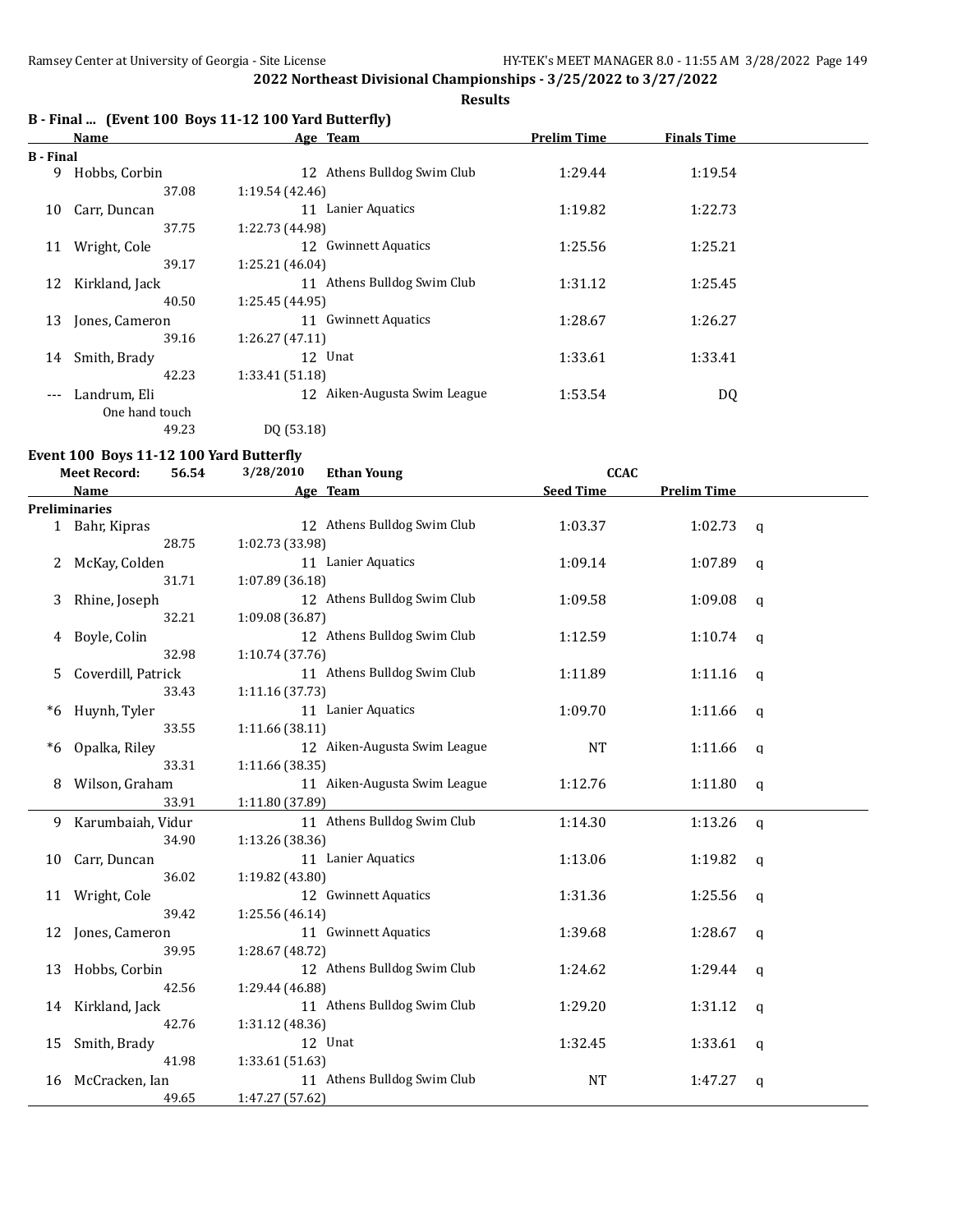#### **Results**

# **B - Final ... (Event 100 Boys 11-12 100 Yard Butterfly)**

|           | Name           | Age Team                                     | <b>Prelim Time</b> | <b>Finals Time</b> |  |
|-----------|----------------|----------------------------------------------|--------------------|--------------------|--|
| B - Final |                |                                              |                    |                    |  |
| 9         | Hobbs, Corbin  | Athens Bulldog Swim Club<br>12               | 1:29.44            | 1:19.54            |  |
|           | 37.08          | 1:19.54(42.46)                               |                    |                    |  |
| 10        | Carr, Duncan   | 11 Lanier Aquatics                           | 1:19.82            | 1:22.73            |  |
|           | 37.75          | 1:22.73 (44.98)                              |                    |                    |  |
| 11        | Wright, Cole   | 12 Gwinnett Aquatics                         | 1:25.56            | 1:25.21            |  |
|           | 39.17          | 1:25.21 (46.04)                              |                    |                    |  |
| 12        | Kirkland, Jack | 11 Athens Bulldog Swim Club                  | 1:31.12            | 1:25.45            |  |
|           | 40.50          | 1:25.45 (44.95)                              |                    |                    |  |
| 13        | Jones, Cameron | <b>Gwinnett Aquatics</b><br>11               | 1:28.67            | 1:26.27            |  |
|           | 39.16          | 1:26.27(47.11)                               |                    |                    |  |
| 14        | Smith, Brady   | 12 Unat                                      | 1:33.61            | 1:33.41            |  |
|           | 42.23          | 1:33.41 (51.18)                              |                    |                    |  |
| $---$     | Landrum, Eli   | Aiken-Augusta Swim League<br>12 <sup>°</sup> | 1:53.54            | DQ                 |  |
|           | One hand touch |                                              |                    |                    |  |
|           | 49.23          | DQ (53.18)                                   |                    |                    |  |

# **Event 100 Boys 11-12 100 Yard Butterfly**<br>Meet Record: 56.54 3/28/2010

|      | <b>Meet Record:</b>      | 56.54 | 3/28/2010       | <b>Ethan Young</b>           | <b>CCAC</b>      |                    |              |
|------|--------------------------|-------|-----------------|------------------------------|------------------|--------------------|--------------|
|      | <b>Name</b>              |       |                 | Age Team                     | <b>Seed Time</b> | <b>Prelim Time</b> |              |
|      | <b>Preliminaries</b>     |       |                 |                              |                  |                    |              |
|      | 1 Bahr, Kipras           |       |                 | 12 Athens Bulldog Swim Club  | 1:03.37          | 1:02.73            | q            |
|      | 28.75<br>1:02.73 (33.98) |       |                 |                              |                  |                    |              |
| 2    | McKay, Colden            |       |                 | 11 Lanier Aquatics           | 1:09.14          | 1:07.89            | a            |
|      |                          | 31.71 | 1:07.89 (36.18) |                              |                  |                    |              |
| 3    | Rhine, Joseph            |       |                 | 12 Athens Bulldog Swim Club  | 1:09.58          | 1:09.08            | q            |
|      |                          | 32.21 | 1:09.08 (36.87) |                              |                  |                    |              |
| 4    | Boyle, Colin             |       |                 | 12 Athens Bulldog Swim Club  | 1:12.59          | 1:10.74            | q            |
|      |                          | 32.98 | 1:10.74 (37.76) |                              |                  |                    |              |
| 5    | Coverdill, Patrick       |       |                 | 11 Athens Bulldog Swim Club  | 1:11.89          | 1:11.16            | $\mathsf{q}$ |
|      |                          | 33.43 | 1:11.16 (37.73) |                              |                  |                    |              |
| *6   | Huynh, Tyler             |       |                 | 11 Lanier Aquatics           | 1:09.70          | 1:11.66            | q            |
|      |                          | 33.55 | 1:11.66(38.11)  |                              |                  |                    |              |
| $*6$ | Opalka, Riley            |       |                 | 12 Aiken-Augusta Swim League | NT               | 1:11.66            | q            |
|      |                          | 33.31 | 1:11.66 (38.35) |                              |                  |                    |              |
| 8    | Wilson, Graham           |       |                 | 11 Aiken-Augusta Swim League | 1:12.76          | 1:11.80            | $\mathsf{q}$ |
|      |                          | 33.91 | 1:11.80 (37.89) |                              |                  |                    |              |
|      | 9 Karumbaiah, Vidur      |       |                 | 11 Athens Bulldog Swim Club  | 1:14.30          | 1:13.26            | q            |
|      |                          | 34.90 | 1:13.26 (38.36) |                              |                  |                    |              |
| 10   | Carr, Duncan             |       |                 | 11 Lanier Aquatics           | 1:13.06          | 1:19.82            | q            |
|      |                          | 36.02 | 1:19.82 (43.80) |                              |                  |                    |              |
|      | 11 Wright, Cole          |       |                 | 12 Gwinnett Aquatics         | 1:31.36          | 1:25.56            | q            |
|      |                          | 39.42 | 1:25.56 (46.14) |                              |                  |                    |              |
| 12   | Jones, Cameron           |       |                 | 11 Gwinnett Aquatics         | 1:39.68          | 1:28.67            | q            |
|      |                          | 39.95 | 1:28.67 (48.72) |                              |                  |                    |              |
| 13   | Hobbs, Corbin            |       |                 | 12 Athens Bulldog Swim Club  | 1:24.62          | 1:29.44            | q            |
|      |                          | 42.56 | 1:29.44 (46.88) |                              |                  |                    |              |
|      | 14 Kirkland, Jack        |       |                 | 11 Athens Bulldog Swim Club  | 1:29.20          | 1:31.12            | a            |
|      |                          | 42.76 | 1:31.12 (48.36) |                              |                  |                    |              |
| 15   | Smith, Brady             |       |                 | 12 Unat                      | 1:32.45          | 1:33.61            | $\mathsf{q}$ |
|      |                          | 41.98 | 1:33.61 (51.63) |                              |                  |                    |              |
| 16   | McCracken, Ian           |       |                 | 11 Athens Bulldog Swim Club  | NT               | 1:47.27            | a            |
|      |                          | 49.65 | 1:47.27 (57.62) |                              |                  |                    |              |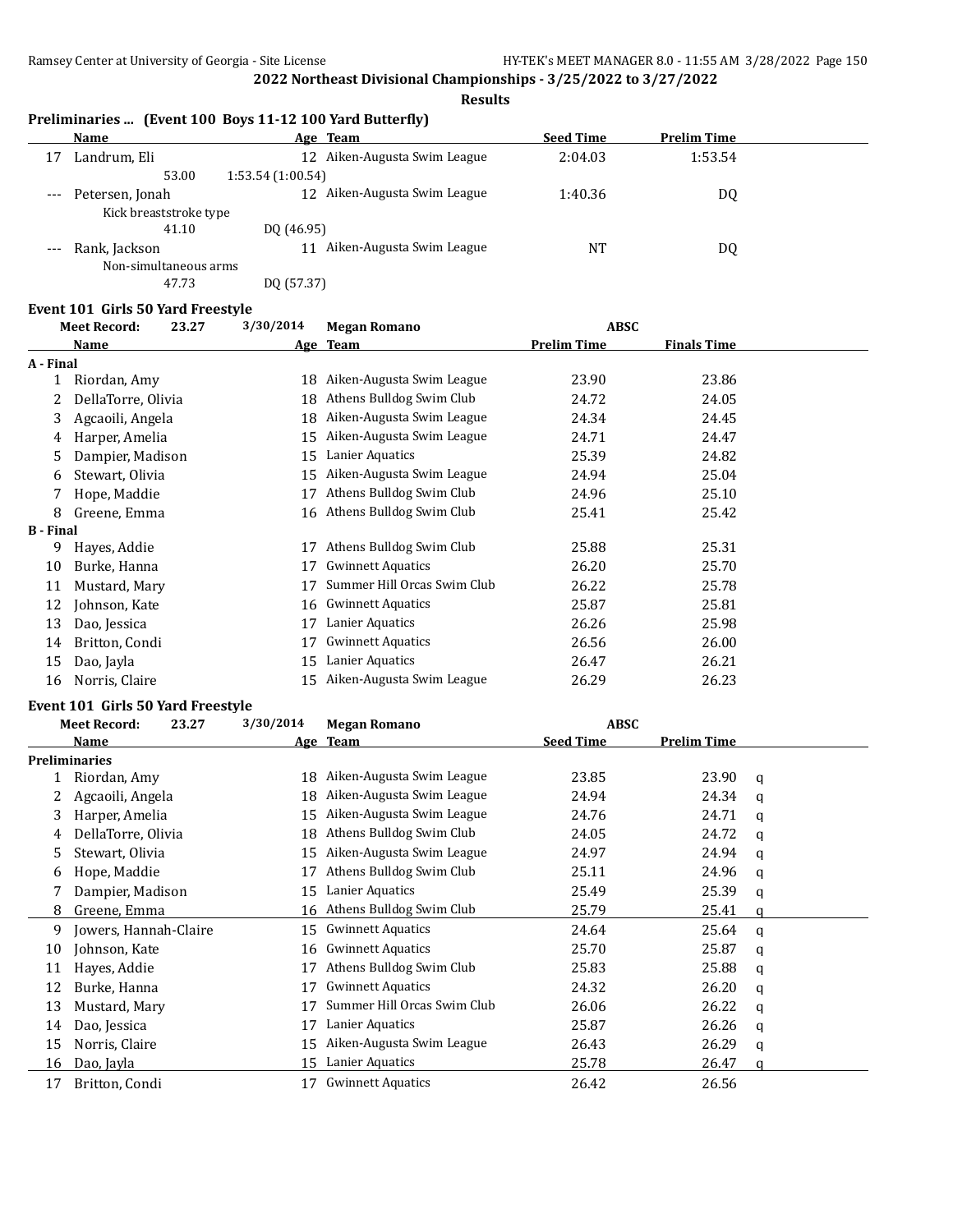#### **Results**

|    |                        | Preliminaries  (Event 100 Boys 11-12 100 Yard Butterfly) |                  |                    |  |
|----|------------------------|----------------------------------------------------------|------------------|--------------------|--|
|    | Name                   | Age Team                                                 | <b>Seed Time</b> | <b>Prelim Time</b> |  |
| 17 | Landrum, Eli           | 12 Aiken-Augusta Swim League                             | 2:04.03          | 1:53.54            |  |
|    | 53.00                  | 1:53.54(1:00.54)                                         |                  |                    |  |
|    | Petersen, Jonah        | 12 Aiken-Augusta Swim League                             | 1:40.36          | DQ                 |  |
|    | Kick breaststroke type |                                                          |                  |                    |  |
|    | 41.10                  | DO (46.95)                                               |                  |                    |  |
|    | Rank, Jackson          | Aiken-Augusta Swim League                                | NT               | DQ                 |  |
|    | Non-simultaneous arms  |                                                          |                  |                    |  |

47.73 DQ (57.37)

#### **Event 101 Girls 50 Yard Freestyle**

|                  | <b>Meet Record:</b><br>23.27 | 3/30/2014 | <b>Megan Romano</b>         | <b>ABSC</b>        |                    |
|------------------|------------------------------|-----------|-----------------------------|--------------------|--------------------|
|                  | Name                         |           | Age Team                    | <b>Prelim Time</b> | <b>Finals Time</b> |
| A - Final        |                              |           |                             |                    |                    |
|                  | Riordan, Amy                 | 18        | Aiken-Augusta Swim League   | 23.90              | 23.86              |
|                  | DellaTorre, Olivia           | 18        | Athens Bulldog Swim Club    | 24.72              | 24.05              |
| 3                | Agcaoili, Angela             | 18        | Aiken-Augusta Swim League   | 24.34              | 24.45              |
| 4                | Harper, Amelia               | 15        | Aiken-Augusta Swim League   | 24.71              | 24.47              |
| 5.               | Dampier, Madison             | 15        | Lanier Aquatics             | 25.39              | 24.82              |
| 6                | Stewart, Olivia              | 15        | Aiken-Augusta Swim League   | 24.94              | 25.04              |
|                  | Hope, Maddie                 | 17        | Athens Bulldog Swim Club    | 24.96              | 25.10              |
| 8                | Greene, Emma                 | 16        | Athens Bulldog Swim Club    | 25.41              | 25.42              |
| <b>B</b> - Final |                              |           |                             |                    |                    |
| 9                | Hayes, Addie                 | 17        | Athens Bulldog Swim Club    | 25.88              | 25.31              |
| 10               | Burke, Hanna                 | 17        | <b>Gwinnett Aquatics</b>    | 26.20              | 25.70              |
| 11               | Mustard, Mary                | 17        | Summer Hill Orcas Swim Club | 26.22              | 25.78              |
| 12               | Johnson, Kate                |           | 16 Gwinnett Aquatics        | 25.87              | 25.81              |
| 13               | Dao, Jessica                 | 17        | Lanier Aquatics             | 26.26              | 25.98              |
| 14               | Britton, Condi               | 17        | <b>Gwinnett Aquatics</b>    | 26.56              | 26.00              |
| 15               | Dao, Jayla                   | 15        | Lanier Aquatics             | 26.47              | 26.21              |
| 16               | Norris, Claire               | 15        | Aiken-Augusta Swim League   | 26.29              | 26.23              |

#### **Event 101 Girls 50 Yard Freestyle**

|    | <b>Meet Record:</b><br>23.27 | 3/30/2014 | <b>Megan Romano</b>         | <b>ABSC</b>      |                    |   |
|----|------------------------------|-----------|-----------------------------|------------------|--------------------|---|
|    | Name                         |           | Age Team                    | <b>Seed Time</b> | <b>Prelim Time</b> |   |
|    | <b>Preliminaries</b>         |           |                             |                  |                    |   |
|    | Riordan, Amy                 | 18        | Aiken-Augusta Swim League   | 23.85            | 23.90              | a |
|    | Agcaoili, Angela             | 18        | Aiken-Augusta Swim League   | 24.94            | 24.34              | a |
| 3  | Harper, Amelia               | 15        | Aiken-Augusta Swim League   | 24.76            | 24.71              | a |
| 4  | DellaTorre, Olivia           | 18        | Athens Bulldog Swim Club    | 24.05            | 24.72              | a |
| 5  | Stewart, Olivia              | 15        | Aiken-Augusta Swim League   | 24.97            | 24.94              | a |
| 6  | Hope, Maddie                 | 17        | Athens Bulldog Swim Club    | 25.11            | 24.96              | a |
|    | Dampier, Madison             | 15        | Lanier Aquatics             | 25.49            | 25.39              | q |
| 8  | Greene, Emma                 | 16        | Athens Bulldog Swim Club    | 25.79            | 25.41              | a |
| 9  | Jowers, Hannah-Claire        | 15        | <b>Gwinnett Aquatics</b>    | 24.64            | 25.64              | a |
| 10 | Johnson, Kate                | 16        | <b>Gwinnett Aquatics</b>    | 25.70            | 25.87              | a |
| 11 | Hayes, Addie                 |           | Athens Bulldog Swim Club    | 25.83            | 25.88              | q |
| 12 | Burke, Hanna                 | 17        | <b>Gwinnett Aquatics</b>    | 24.32            | 26.20              | q |
| 13 | Mustard, Mary                | 17        | Summer Hill Orcas Swim Club | 26.06            | 26.22              | q |
| 14 | Dao, Jessica                 | 17        | Lanier Aquatics             | 25.87            | 26.26              | q |
| 15 | Norris, Claire               | 15        | Aiken-Augusta Swim League   | 26.43            | 26.29              | a |
| 16 | Dao, Jayla                   | 15        | Lanier Aquatics             | 25.78            | 26.47              | a |
| 17 | Britton, Condi               | 17        | <b>Gwinnett Aquatics</b>    | 26.42            | 26.56              |   |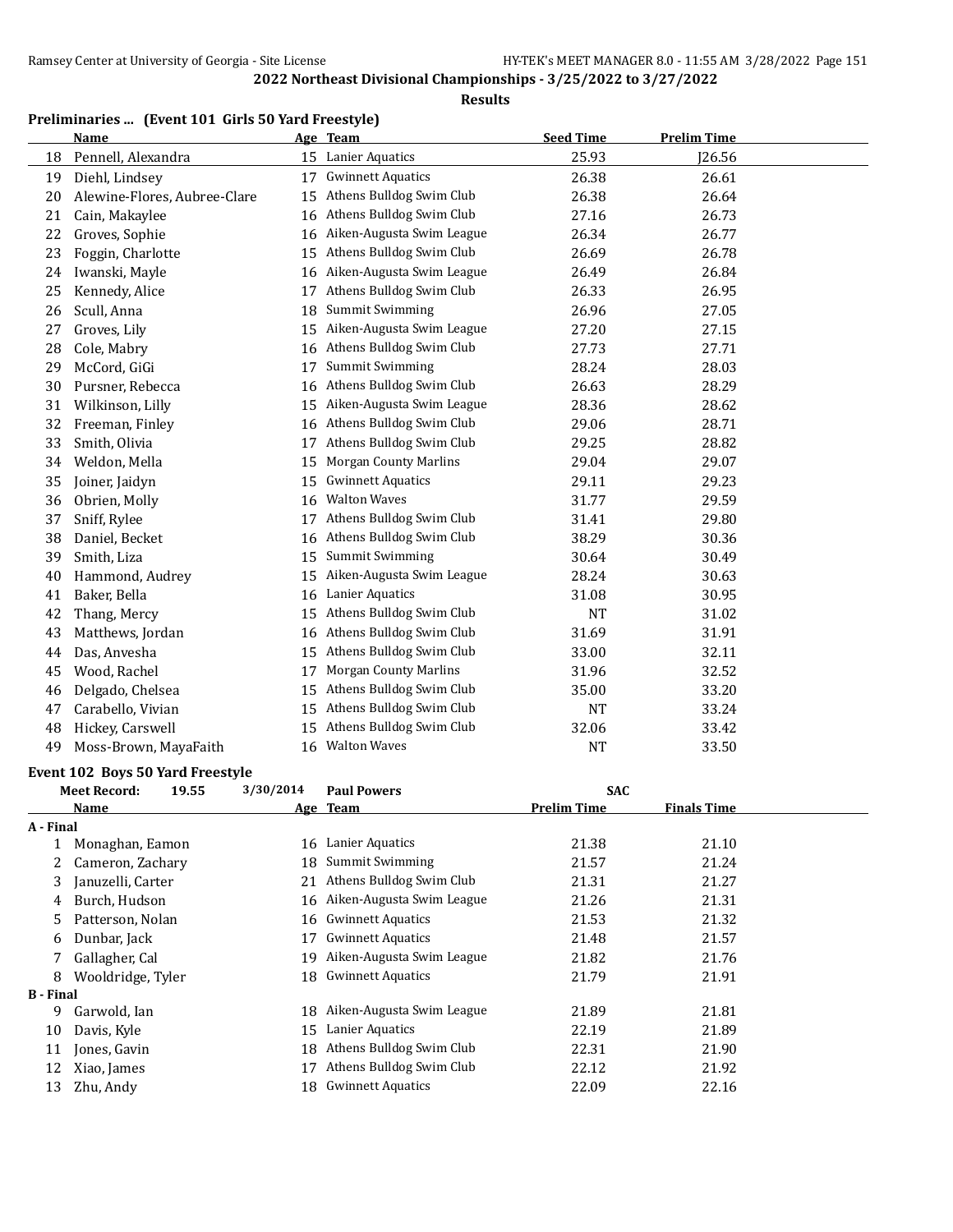#### **Results**

# **Preliminaries ... (Event 101 Girls 50 Yard Freestyle)**

|    | <b>Name</b>                  |    | Age Team                     | <b>Seed Time</b> | <b>Prelim Time</b> |  |
|----|------------------------------|----|------------------------------|------------------|--------------------|--|
| 18 | Pennell, Alexandra           |    | 15 Lanier Aquatics           | 25.93            | J26.56             |  |
| 19 | Diehl, Lindsey               | 17 | <b>Gwinnett Aquatics</b>     | 26.38            | 26.61              |  |
| 20 | Alewine-Flores, Aubree-Clare | 15 | Athens Bulldog Swim Club     | 26.38            | 26.64              |  |
| 21 | Cain, Makaylee               | 16 | Athens Bulldog Swim Club     | 27.16            | 26.73              |  |
| 22 | Groves, Sophie               | 16 | Aiken-Augusta Swim League    | 26.34            | 26.77              |  |
| 23 | Foggin, Charlotte            | 15 | Athens Bulldog Swim Club     | 26.69            | 26.78              |  |
| 24 | Iwanski, Mayle               | 16 | Aiken-Augusta Swim League    | 26.49            | 26.84              |  |
| 25 | Kennedy, Alice               | 17 | Athens Bulldog Swim Club     | 26.33            | 26.95              |  |
| 26 | Scull, Anna                  | 18 | <b>Summit Swimming</b>       | 26.96            | 27.05              |  |
| 27 | Groves, Lily                 | 15 | Aiken-Augusta Swim League    | 27.20            | 27.15              |  |
| 28 | Cole, Mabry                  | 16 | Athens Bulldog Swim Club     | 27.73            | 27.71              |  |
| 29 | McCord, GiGi                 | 17 | <b>Summit Swimming</b>       | 28.24            | 28.03              |  |
| 30 | Pursner, Rebecca             | 16 | Athens Bulldog Swim Club     | 26.63            | 28.29              |  |
| 31 | Wilkinson, Lilly             | 15 | Aiken-Augusta Swim League    | 28.36            | 28.62              |  |
| 32 | Freeman, Finley              | 16 | Athens Bulldog Swim Club     | 29.06            | 28.71              |  |
| 33 | Smith, Olivia                | 17 | Athens Bulldog Swim Club     | 29.25            | 28.82              |  |
| 34 | Weldon, Mella                | 15 | <b>Morgan County Marlins</b> | 29.04            | 29.07              |  |
| 35 | Joiner, Jaidyn               | 15 | <b>Gwinnett Aquatics</b>     | 29.11            | 29.23              |  |
| 36 | Obrien, Molly                | 16 | <b>Walton Waves</b>          | 31.77            | 29.59              |  |
| 37 | Sniff, Rylee                 | 17 | Athens Bulldog Swim Club     | 31.41            | 29.80              |  |
| 38 | Daniel, Becket               | 16 | Athens Bulldog Swim Club     | 38.29            | 30.36              |  |
| 39 | Smith, Liza                  | 15 | <b>Summit Swimming</b>       | 30.64            | 30.49              |  |
| 40 | Hammond, Audrey              | 15 | Aiken-Augusta Swim League    | 28.24            | 30.63              |  |
| 41 | Baker, Bella                 | 16 | Lanier Aquatics              | 31.08            | 30.95              |  |
| 42 | Thang, Mercy                 | 15 | Athens Bulldog Swim Club     | NT               | 31.02              |  |
| 43 | Matthews, Jordan             | 16 | Athens Bulldog Swim Club     | 31.69            | 31.91              |  |
| 44 | Das, Anvesha                 | 15 | Athens Bulldog Swim Club     | 33.00            | 32.11              |  |
| 45 | Wood, Rachel                 | 17 | <b>Morgan County Marlins</b> | 31.96            | 32.52              |  |
| 46 | Delgado, Chelsea             | 15 | Athens Bulldog Swim Club     | 35.00            | 33.20              |  |
| 47 | Carabello, Vivian            | 15 | Athens Bulldog Swim Club     | <b>NT</b>        | 33.24              |  |
| 48 | Hickey, Carswell             | 15 | Athens Bulldog Swim Club     | 32.06            | 33.42              |  |
| 49 | Moss-Brown, MayaFaith        | 16 | <b>Walton Waves</b>          | <b>NT</b>        | 33.50              |  |

#### **Event 102 Boys 50 Yard Freestyle**

|              | 19.55                                                | 3/30/2014                                                                                                                            | <b>Paul Powers</b>        | <b>SAC</b>         |                    |  |
|--------------|------------------------------------------------------|--------------------------------------------------------------------------------------------------------------------------------------|---------------------------|--------------------|--------------------|--|
| Name         |                                                      |                                                                                                                                      |                           | <b>Prelim Time</b> | <b>Finals Time</b> |  |
|              |                                                      |                                                                                                                                      |                           |                    |                    |  |
|              |                                                      | 16                                                                                                                                   | Lanier Aquatics           | 21.38              | 21.10              |  |
|              |                                                      | 18                                                                                                                                   | Summit Swimming           | 21.57              | 21.24              |  |
|              |                                                      | 21                                                                                                                                   | Athens Bulldog Swim Club  | 21.31              | 21.27              |  |
|              |                                                      | 16                                                                                                                                   | Aiken-Augusta Swim League | 21.26              | 21.31              |  |
|              |                                                      |                                                                                                                                      | <b>Gwinnett Aquatics</b>  | 21.53              | 21.32              |  |
| Dunbar, Jack |                                                      | 17                                                                                                                                   | <b>Gwinnett Aquatics</b>  | 21.48              | 21.57              |  |
|              |                                                      | 19                                                                                                                                   | Aiken-Augusta Swim League | 21.82              | 21.76              |  |
|              |                                                      | 18                                                                                                                                   | <b>Gwinnett Aquatics</b>  | 21.79              | 21.91              |  |
|              |                                                      |                                                                                                                                      |                           |                    |                    |  |
| Garwold, Ian |                                                      | 18                                                                                                                                   | Aiken-Augusta Swim League | 21.89              | 21.81              |  |
| Davis, Kyle  |                                                      | 15                                                                                                                                   | Lanier Aquatics           | 22.19              | 21.89              |  |
| Jones, Gavin |                                                      | 18                                                                                                                                   | Athens Bulldog Swim Club  | 22.31              | 21.90              |  |
| Xiao, James  |                                                      | 17                                                                                                                                   | Athens Bulldog Swim Club  | 22.12              | 21.92              |  |
| Zhu, Andy    |                                                      | 18                                                                                                                                   | <b>Gwinnett Aquatics</b>  | 22.09              | 22.16              |  |
|              | <b>Meet Record:</b><br>A - Final<br><b>B</b> - Final | Monaghan, Eamon<br>Cameron, Zachary<br>Januzelli, Carter<br>Burch, Hudson<br>Patterson, Nolan<br>Gallagher, Cal<br>Wooldridge, Tyler |                           | Age Team<br>16     |                    |  |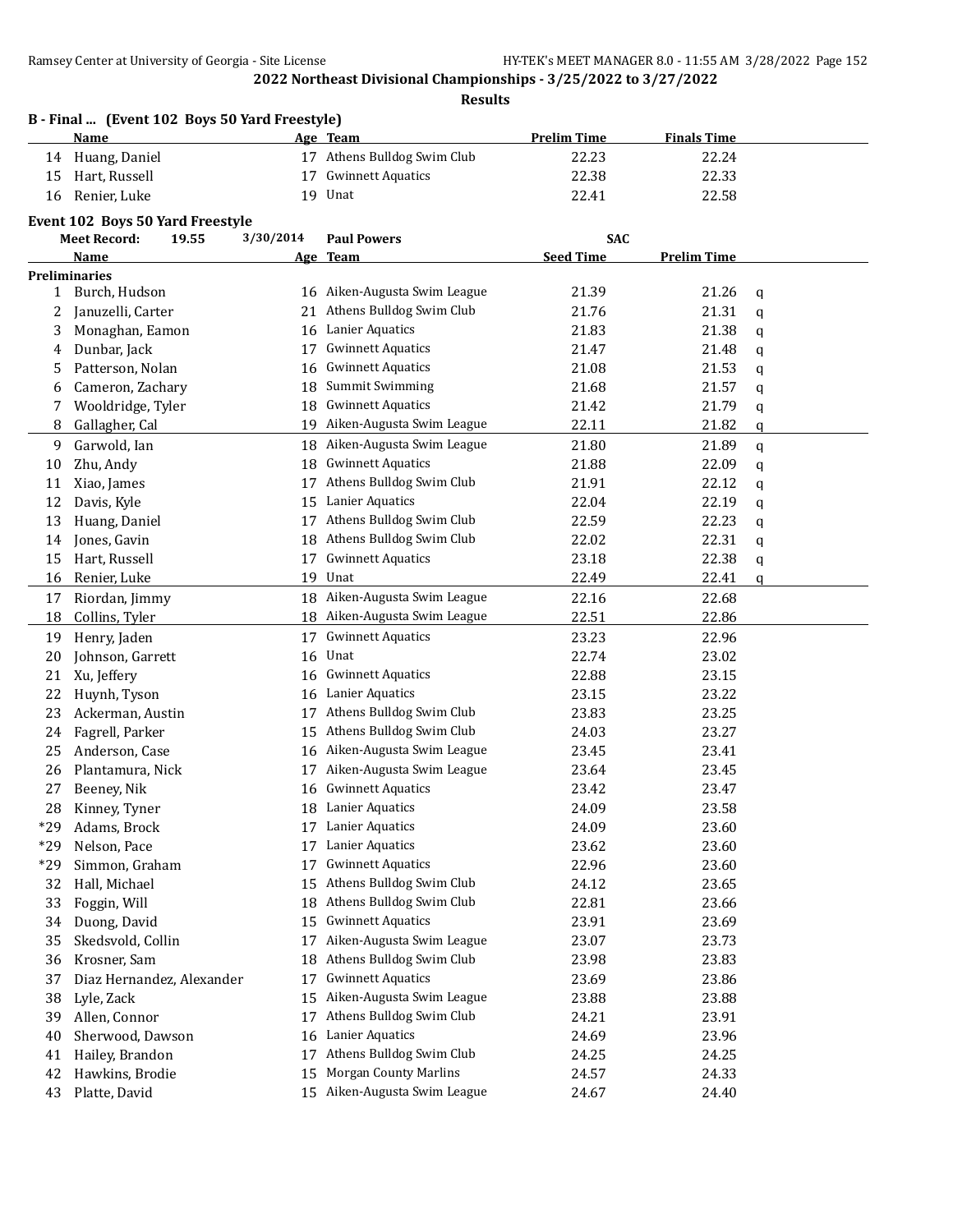**Results**

|              | B - Final  (Event 102 Boys 50 Yard Freestyle)<br><b>Name</b>     |           | <u>Age Team</u>              | <b>Prelim Time</b> | <b>Finals Time</b> |   |
|--------------|------------------------------------------------------------------|-----------|------------------------------|--------------------|--------------------|---|
| 14           | Huang, Daniel                                                    |           | 17 Athens Bulldog Swim Club  | 22.23              | 22.24              |   |
| 15           | Hart, Russell                                                    | 17        | <b>Gwinnett Aquatics</b>     | 22.38              | 22.33              |   |
| 16           | Renier, Luke                                                     |           | 19 Unat                      | 22.41              | 22.58              |   |
|              |                                                                  |           |                              |                    |                    |   |
|              | Event 102 Boys 50 Yard Freestyle<br><b>Meet Record:</b><br>19.55 | 3/30/2014 | <b>Paul Powers</b>           | SAC                |                    |   |
|              | Name                                                             |           | Age Team                     | <b>Seed Time</b>   | <b>Prelim Time</b> |   |
|              | <b>Preliminaries</b>                                             |           |                              |                    |                    |   |
| $\mathbf{1}$ | Burch, Hudson                                                    |           | 16 Aiken-Augusta Swim League | 21.39              | 21.26              | q |
| 2            | Januzelli, Carter                                                | 21        | Athens Bulldog Swim Club     | 21.76              | 21.31              | q |
| 3            | Monaghan, Eamon                                                  | 16        | Lanier Aquatics              | 21.83              | 21.38              | q |
| 4            | Dunbar, Jack                                                     | 17        | <b>Gwinnett Aquatics</b>     | 21.47              | 21.48              | q |
| 5            | Patterson, Nolan                                                 | 16        | <b>Gwinnett Aquatics</b>     | 21.08              | 21.53              | q |
| 6            | Cameron, Zachary                                                 | 18        | Summit Swimming              | 21.68              | 21.57              | q |
| 7            | Wooldridge, Tyler                                                | 18        | <b>Gwinnett Aquatics</b>     | 21.42              | 21.79              | q |
| 8            | Gallagher, Cal                                                   | 19        | Aiken-Augusta Swim League    | 22.11              | 21.82              | q |
| 9            | Garwold, Ian                                                     | 18        | Aiken-Augusta Swim League    | 21.80              | 21.89              | q |
| 10           | Zhu, Andy                                                        | 18        | <b>Gwinnett Aquatics</b>     | 21.88              | 22.09              | q |
| 11           | Xiao, James                                                      | 17        | Athens Bulldog Swim Club     | 21.91              | 22.12              | q |
| 12           | Davis, Kyle                                                      | 15        | Lanier Aquatics              | 22.04              | 22.19              | q |
| 13           | Huang, Daniel                                                    | 17        | Athens Bulldog Swim Club     | 22.59              | 22.23              | q |
| 14           | Jones, Gavin                                                     | 18        | Athens Bulldog Swim Club     | 22.02              | 22.31              | q |
| 15           | Hart, Russell                                                    | 17        | <b>Gwinnett Aquatics</b>     | 23.18              | 22.38              | q |
| 16           | Renier, Luke                                                     | 19        | Unat                         | 22.49              | 22.41              | q |
| 17           | Riordan, Jimmy                                                   |           | 18 Aiken-Augusta Swim League | 22.16              | 22.68              |   |
| 18           | Collins, Tyler                                                   |           | 18 Aiken-Augusta Swim League | 22.51              | 22.86              |   |
| 19           | Henry, Jaden                                                     | 17        | <b>Gwinnett Aquatics</b>     | 23.23              | 22.96              |   |
| 20           | Johnson, Garrett                                                 | 16        | Unat                         | 22.74              | 23.02              |   |
| 21           | Xu, Jeffery                                                      | 16        | <b>Gwinnett Aquatics</b>     | 22.88              | 23.15              |   |
| 22           | Huynh, Tyson                                                     | 16        | Lanier Aquatics              | 23.15              | 23.22              |   |
| 23           | Ackerman, Austin                                                 | 17        | Athens Bulldog Swim Club     | 23.83              | 23.25              |   |
| 24           | Fagrell, Parker                                                  | 15        | Athens Bulldog Swim Club     | 24.03              | 23.27              |   |
| 25           | Anderson, Case                                                   | 16        | Aiken-Augusta Swim League    | 23.45              | 23.41              |   |
| 26           | Plantamura, Nick                                                 | 17        | Aiken-Augusta Swim League    | 23.64              | 23.45              |   |
| 27           | Beeney, Nik                                                      |           | 16 Gwinnett Aquatics         | 23.42              | 23.47              |   |
| 28           | Kinney, Tyner                                                    |           | 18 Lanier Aquatics           | 24.09              | 23.58              |   |
| $*29$        | Adams, Brock                                                     | 17        | Lanier Aquatics              | 24.09              | 23.60              |   |
| $*29$        | Nelson, Pace                                                     | 17        | Lanier Aquatics              | 23.62              | 23.60              |   |
| $*29$        | Simmon, Graham                                                   | 17        | <b>Gwinnett Aquatics</b>     | 22.96              | 23.60              |   |
| 32           | Hall, Michael                                                    | 15        | Athens Bulldog Swim Club     | 24.12              | 23.65              |   |
| 33           | Foggin, Will                                                     | 18        | Athens Bulldog Swim Club     | 22.81              | 23.66              |   |
| 34           | Duong, David                                                     | 15        | <b>Gwinnett Aquatics</b>     | 23.91              | 23.69              |   |
| 35           | Skedsvold, Collin                                                | 17        | Aiken-Augusta Swim League    | 23.07              | 23.73              |   |
| 36           | Krosner, Sam                                                     | 18        | Athens Bulldog Swim Club     | 23.98              | 23.83              |   |
| 37           | Diaz Hernandez, Alexander                                        | 17        | <b>Gwinnett Aquatics</b>     | 23.69              | 23.86              |   |
| 38           | Lyle, Zack                                                       | 15        | Aiken-Augusta Swim League    | 23.88              | 23.88              |   |
| 39           | Allen, Connor                                                    | 17        | Athens Bulldog Swim Club     | 24.21              | 23.91              |   |
| 40           | Sherwood, Dawson                                                 | 16        | Lanier Aquatics              | 24.69              | 23.96              |   |
| 41           | Hailey, Brandon                                                  | 17        | Athens Bulldog Swim Club     | 24.25              | 24.25              |   |
| 42           | Hawkins, Brodie                                                  | 15        | <b>Morgan County Marlins</b> | 24.57              | 24.33              |   |
| 43           | Platte, David                                                    |           | 15 Aiken-Augusta Swim League | 24.67              | 24.40              |   |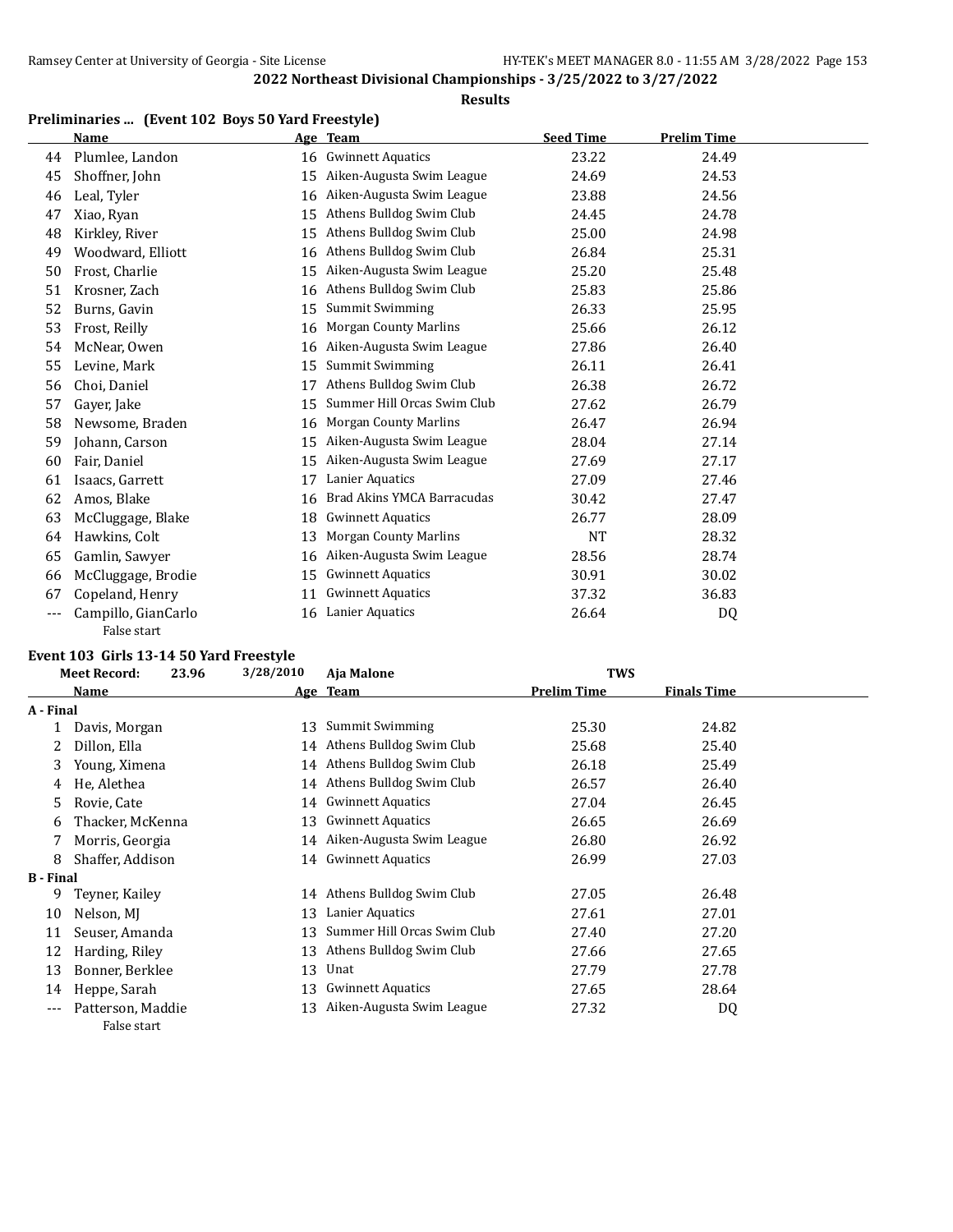#### **Results**

# **Preliminaries ... (Event 102 Boys 50 Yard Freestyle)**

|    | <b>Name</b>         |    | Age Team                     | <b>Seed Time</b> | <b>Prelim Time</b> |  |
|----|---------------------|----|------------------------------|------------------|--------------------|--|
| 44 | Plumlee, Landon     | 16 | <b>Gwinnett Aquatics</b>     | 23.22            | 24.49              |  |
| 45 | Shoffner, John      | 15 | Aiken-Augusta Swim League    | 24.69            | 24.53              |  |
| 46 | Leal, Tyler         | 16 | Aiken-Augusta Swim League    | 23.88            | 24.56              |  |
| 47 | Xiao, Ryan          | 15 | Athens Bulldog Swim Club     | 24.45            | 24.78              |  |
| 48 | Kirkley, River      | 15 | Athens Bulldog Swim Club     | 25.00            | 24.98              |  |
| 49 | Woodward, Elliott   | 16 | Athens Bulldog Swim Club     | 26.84            | 25.31              |  |
| 50 | Frost, Charlie      | 15 | Aiken-Augusta Swim League    | 25.20            | 25.48              |  |
| 51 | Krosner, Zach       | 16 | Athens Bulldog Swim Club     | 25.83            | 25.86              |  |
| 52 | Burns, Gavin        | 15 | <b>Summit Swimming</b>       | 26.33            | 25.95              |  |
| 53 | Frost, Reilly       | 16 | <b>Morgan County Marlins</b> | 25.66            | 26.12              |  |
| 54 | McNear, Owen        | 16 | Aiken-Augusta Swim League    | 27.86            | 26.40              |  |
| 55 | Levine, Mark        | 15 | <b>Summit Swimming</b>       | 26.11            | 26.41              |  |
| 56 | Choi, Daniel        | 17 | Athens Bulldog Swim Club     | 26.38            | 26.72              |  |
| 57 | Gayer, Jake         | 15 | Summer Hill Orcas Swim Club  | 27.62            | 26.79              |  |
| 58 | Newsome, Braden     | 16 | <b>Morgan County Marlins</b> | 26.47            | 26.94              |  |
| 59 | Johann, Carson      | 15 | Aiken-Augusta Swim League    | 28.04            | 27.14              |  |
| 60 | Fair, Daniel        | 15 | Aiken-Augusta Swim League    | 27.69            | 27.17              |  |
| 61 | Isaacs, Garrett     | 17 | Lanier Aquatics              | 27.09            | 27.46              |  |
| 62 | Amos, Blake         | 16 | Brad Akins YMCA Barracudas   | 30.42            | 27.47              |  |
| 63 | McCluggage, Blake   | 18 | <b>Gwinnett Aquatics</b>     | 26.77            | 28.09              |  |
| 64 | Hawkins, Colt       | 13 | <b>Morgan County Marlins</b> | <b>NT</b>        | 28.32              |  |
| 65 | Gamlin, Sawyer      | 16 | Aiken-Augusta Swim League    | 28.56            | 28.74              |  |
| 66 | McCluggage, Brodie  | 15 | <b>Gwinnett Aquatics</b>     | 30.91            | 30.02              |  |
| 67 | Copeland, Henry     | 11 | <b>Gwinnett Aquatics</b>     | 37.32            | 36.83              |  |
|    | Campillo, GianCarlo | 16 | Lanier Aquatics              | 26.64            | DQ                 |  |
|    | False start         |    |                              |                  |                    |  |

# **Event 103 Girls 13-14 50 Yard Freestyle**

|                  | <b>Meet Record:</b><br>23.96 | 3/28/2010 | Aja Malone                   | <b>TWS</b>         |                    |
|------------------|------------------------------|-----------|------------------------------|--------------------|--------------------|
|                  | Name                         |           | Age Team                     | <b>Prelim Time</b> | <b>Finals Time</b> |
| A - Final        |                              |           |                              |                    |                    |
|                  | Davis, Morgan                | 13        | Summit Swimming              | 25.30              | 24.82              |
|                  | Dillon, Ella                 |           | 14 Athens Bulldog Swim Club  | 25.68              | 25.40              |
| 3                | Young, Ximena                | 14        | Athens Bulldog Swim Club     | 26.18              | 25.49              |
| 4                | He, Alethea                  | 14        | Athens Bulldog Swim Club     | 26.57              | 26.40              |
| 5.               | Rovie, Cate                  |           | 14 Gwinnett Aquatics         | 27.04              | 26.45              |
| 6                | Thacker, McKenna             | 13        | <b>Gwinnett Aquatics</b>     | 26.65              | 26.69              |
| 7                | Morris, Georgia              |           | 14 Aiken-Augusta Swim League | 26.80              | 26.92              |
| 8                | Shaffer, Addison             |           | 14 Gwinnett Aquatics         | 26.99              | 27.03              |
| <b>B</b> - Final |                              |           |                              |                    |                    |
| 9                | Teyner, Kailey               | 14        | Athens Bulldog Swim Club     | 27.05              | 26.48              |
| 10               | Nelson, MJ                   | 13        | Lanier Aquatics              | 27.61              | 27.01              |
| 11               | Seuser, Amanda               | 13        | Summer Hill Orcas Swim Club  | 27.40              | 27.20              |
| 12               | Harding, Riley               | 13        | Athens Bulldog Swim Club     | 27.66              | 27.65              |
| 13               | Bonner, Berklee              | 13        | Unat                         | 27.79              | 27.78              |
| 14               | Heppe, Sarah                 | 13        | <b>Gwinnett Aquatics</b>     | 27.65              | 28.64              |
| ---              | Patterson, Maddie            | 13        | Aiken-Augusta Swim League    | 27.32              | DQ                 |
|                  | False start                  |           |                              |                    |                    |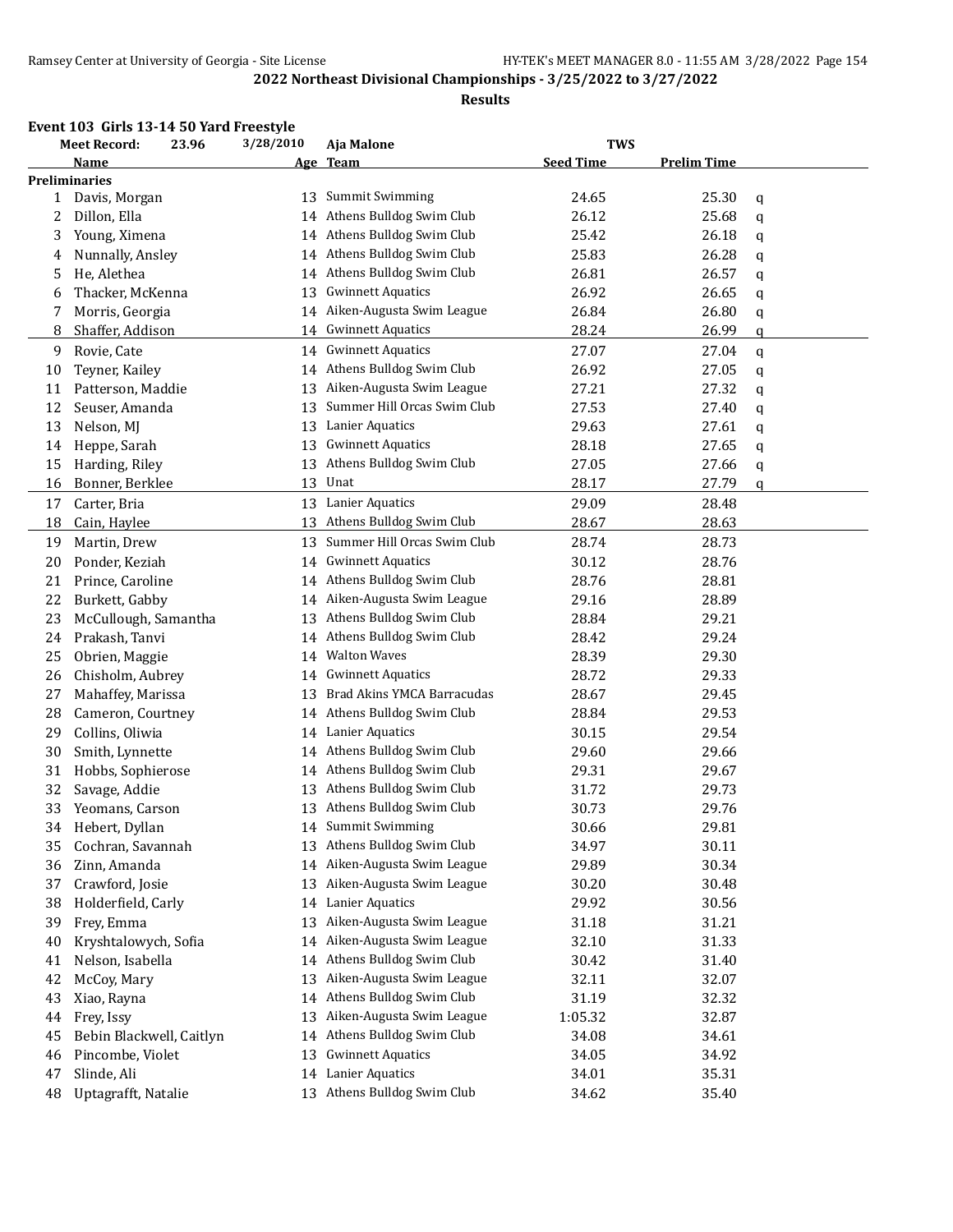#### **Results**

# **Event 103 Girls 13-14 50 Yard Freestyle**

|    | <b>Meet Record:</b><br>23.96 |  | 3/28/2010<br>Aja Malone |                                                       | <b>TWS</b>       |                    |   |
|----|------------------------------|--|-------------------------|-------------------------------------------------------|------------------|--------------------|---|
|    | Name                         |  |                         | Age Team                                              | <b>Seed Time</b> | <b>Prelim Time</b> |   |
|    | <b>Preliminaries</b>         |  |                         |                                                       |                  |                    |   |
| 1  | Davis, Morgan                |  | 13                      | <b>Summit Swimming</b>                                | 24.65            | 25.30              | q |
| 2  | Dillon, Ella                 |  | 14                      | Athens Bulldog Swim Club                              | 26.12            | 25.68              | q |
| 3  | Young, Ximena                |  |                         | 14 Athens Bulldog Swim Club                           | 25.42            | 26.18              | q |
| 4  | Nunnally, Ansley             |  |                         | 14 Athens Bulldog Swim Club                           | 25.83            | 26.28              | q |
| 5  | He, Alethea                  |  |                         | 14 Athens Bulldog Swim Club                           | 26.81            | 26.57              | q |
| 6  | Thacker, McKenna             |  | 13                      | <b>Gwinnett Aquatics</b>                              | 26.92            | 26.65              | q |
| 7  | Morris, Georgia              |  |                         | 14 Aiken-Augusta Swim League                          | 26.84            | 26.80              | q |
| 8  | Shaffer, Addison             |  |                         | 14 Gwinnett Aquatics                                  | 28.24            | 26.99              | q |
| 9  | Rovie, Cate                  |  | 14                      | <b>Gwinnett Aquatics</b>                              | 27.07            | 27.04              | q |
| 10 | Teyner, Kailey               |  | 14                      | Athens Bulldog Swim Club                              | 26.92            | 27.05              | q |
| 11 | Patterson, Maddie            |  | 13                      | Aiken-Augusta Swim League                             | 27.21            | 27.32              | q |
| 12 | Seuser, Amanda               |  | 13                      | Summer Hill Orcas Swim Club                           | 27.53            | 27.40              | q |
| 13 | Nelson, MJ                   |  | 13                      | Lanier Aquatics                                       | 29.63            | 27.61              | q |
| 14 | Heppe, Sarah                 |  | 13                      | <b>Gwinnett Aquatics</b>                              | 28.18            | 27.65              | q |
| 15 | Harding, Riley               |  | 13                      | Athens Bulldog Swim Club                              | 27.05            | 27.66              | q |
| 16 | Bonner, Berklee              |  | 13                      | Unat                                                  | 28.17            | 27.79              | a |
| 17 | Carter, Bria                 |  |                         | 13 Lanier Aquatics                                    | 29.09            | 28.48              |   |
| 18 | Cain, Haylee                 |  | 13                      | Athens Bulldog Swim Club                              | 28.67            | 28.63              |   |
| 19 | Martin, Drew                 |  | 13                      | Summer Hill Orcas Swim Club                           | 28.74            | 28.73              |   |
| 20 | Ponder, Keziah               |  | 14                      | <b>Gwinnett Aquatics</b>                              | 30.12            | 28.76              |   |
| 21 | Prince, Caroline             |  | 14                      | Athens Bulldog Swim Club                              | 28.76            | 28.81              |   |
| 22 | Burkett, Gabby               |  | 14                      | Aiken-Augusta Swim League                             | 29.16            | 28.89              |   |
| 23 | McCullough, Samantha         |  | 13                      | Athens Bulldog Swim Club                              | 28.84            | 29.21              |   |
| 24 | Prakash, Tanvi               |  |                         | 14 Athens Bulldog Swim Club                           | 28.42            | 29.24              |   |
| 25 | Obrien, Maggie               |  | 14                      | <b>Walton Waves</b>                                   | 28.39            | 29.30              |   |
| 26 | Chisholm, Aubrey             |  |                         | 14 Gwinnett Aquatics                                  | 28.72            | 29.33              |   |
| 27 | Mahaffey, Marissa            |  | 13                      | Brad Akins YMCA Barracudas                            | 28.67            | 29.45              |   |
| 28 | Cameron, Courtney            |  |                         | 14 Athens Bulldog Swim Club                           | 28.84            | 29.53              |   |
| 29 | Collins, Oliwia              |  |                         | 14 Lanier Aquatics                                    | 30.15            | 29.54              |   |
| 30 | Smith, Lynnette              |  | 14                      | Athens Bulldog Swim Club                              | 29.60            | 29.66              |   |
| 31 | Hobbs, Sophierose            |  | 14                      | Athens Bulldog Swim Club                              | 29.31            | 29.67              |   |
| 32 | Savage, Addie                |  | 13                      | Athens Bulldog Swim Club                              | 31.72            | 29.73              |   |
| 33 | Yeomans, Carson              |  | 13                      | Athens Bulldog Swim Club                              | 30.73            | 29.76              |   |
| 34 | Hebert, Dyllan               |  |                         | 14 Summit Swimming                                    | 30.66            | 29.81              |   |
| 35 | Cochran, Savannah            |  | 13                      | Athens Bulldog Swim Club                              | 34.97            | 30.11              |   |
| 36 | Zinn, Amanda                 |  |                         | 14 Aiken-Augusta Swim League                          | 29.89            | 30.34              |   |
|    | Crawford, Josie              |  |                         | Aiken-Augusta Swim League                             | 30.20            | 30.48              |   |
| 37 |                              |  | 13                      | Lanier Aquatics                                       |                  |                    |   |
| 38 | Holderfield, Carly           |  | 14                      | Aiken-Augusta Swim League                             | 29.92            | 30.56              |   |
| 39 | Frey, Emma                   |  | 13                      | Aiken-Augusta Swim League                             | 31.18            | 31.21              |   |
| 40 | Kryshtalowych, Sofia         |  | 14                      |                                                       | 32.10            | 31.33              |   |
| 41 | Nelson, Isabella             |  | 14<br>13                | Athens Bulldog Swim Club<br>Aiken-Augusta Swim League | 30.42            | 31.40              |   |
| 42 | McCoy, Mary                  |  |                         |                                                       | 32.11            | 32.07              |   |
| 43 | Xiao, Rayna                  |  | 14                      | Athens Bulldog Swim Club                              | 31.19            | 32.32              |   |
| 44 | Frey, Issy                   |  | 13                      | Aiken-Augusta Swim League                             | 1:05.32          | 32.87              |   |
| 45 | Bebin Blackwell, Caitlyn     |  | 14                      | Athens Bulldog Swim Club                              | 34.08            | 34.61              |   |
| 46 | Pincombe, Violet             |  | 13                      | <b>Gwinnett Aquatics</b>                              | 34.05            | 34.92              |   |
| 47 | Slinde, Ali                  |  | 14                      | Lanier Aquatics                                       | 34.01            | 35.31              |   |
| 48 | Uptagrafft, Natalie          |  | 13                      | Athens Bulldog Swim Club                              | 34.62            | 35.40              |   |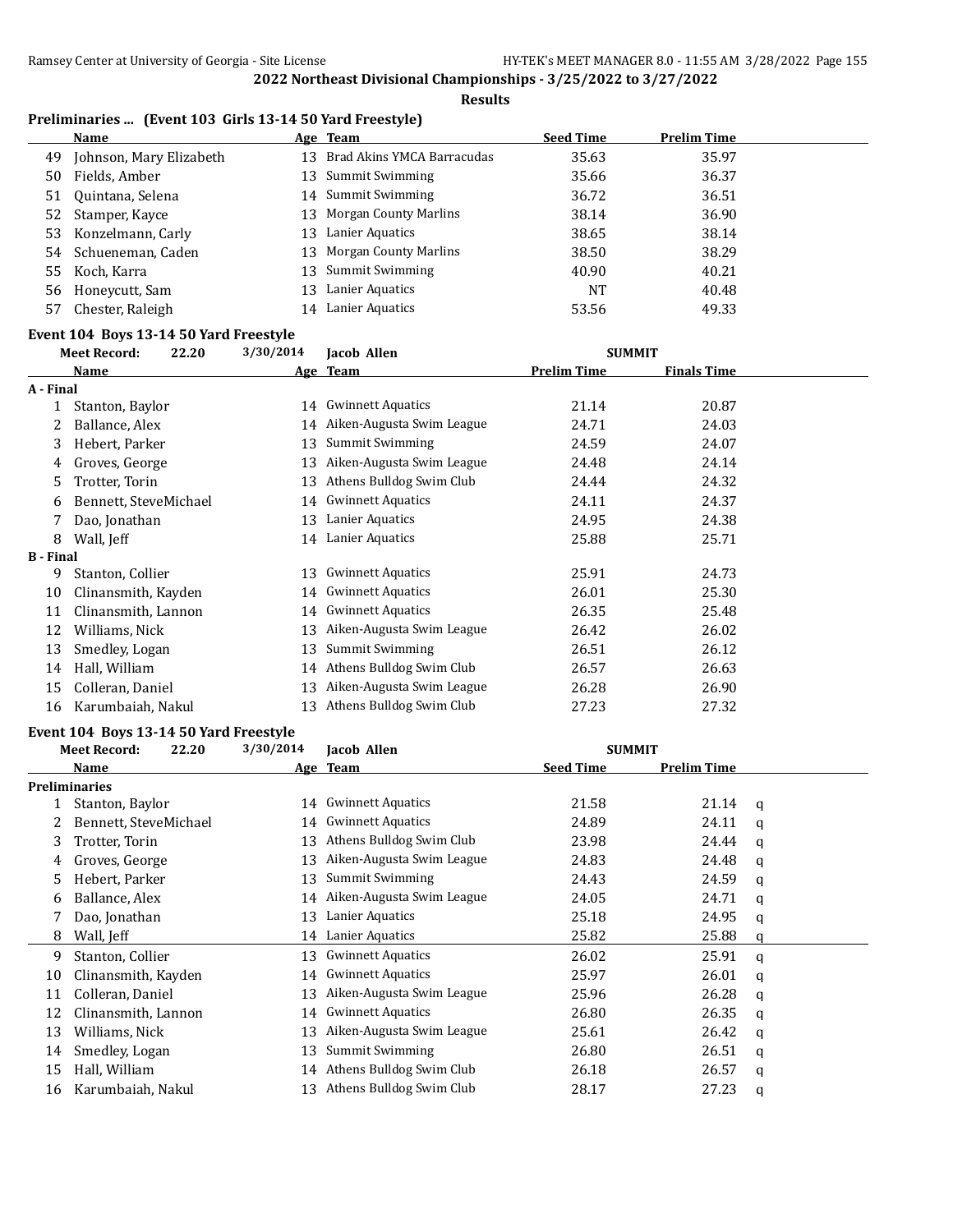#### **Results**

# **Preliminaries ... (Event 103 Girls 13-14 50 Yard Freestyle)**

|     | Name                    |    | Age Team                      | <b>Seed Time</b> | <b>Prelim Time</b> |
|-----|-------------------------|----|-------------------------------|------------------|--------------------|
| 49. | Johnson, Mary Elizabeth |    | 13 Brad Akins YMCA Barracudas | 35.63            | 35.97              |
| 50  | Fields, Amber           |    | 13 Summit Swimming            | 35.66            | 36.37              |
| 51  | Ouintana, Selena        |    | 14 Summit Swimming            | 36.72            | 36.51              |
|     | 52 Stamper, Kayce       |    | 13 Morgan County Marlins      | 38.14            | 36.90              |
|     | 53 Konzelmann, Carly    |    | 13 Lanier Aquatics            | 38.65            | 38.14              |
|     | 54 Schueneman, Caden    |    | 13 Morgan County Marlins      | 38.50            | 38.29              |
|     | 55 Koch, Karra          |    | 13 Summit Swimming            | 40.90            | 40.21              |
|     | 56 Honeycutt, Sam       | 13 | Lanier Aquatics               | <b>NT</b>        | 40.48              |
| 57  | Chester, Raleigh        |    | 14 Lanier Aquatics            | 53.56            | 49.33              |

#### **Event 104 Boys 13-14 50 Yard Freestyle**

|                  | <b>Meet Record:</b>   | 22.20 | 3/30/2014 | Jacob Allen               | <b>SUMMIT</b>      |                    |  |
|------------------|-----------------------|-------|-----------|---------------------------|--------------------|--------------------|--|
|                  | Name                  |       |           | Age Team                  | <b>Prelim Time</b> | <b>Finals Time</b> |  |
| A - Final        |                       |       |           |                           |                    |                    |  |
| 1                | Stanton, Baylor       |       | 14        | <b>Gwinnett Aquatics</b>  | 21.14              | 20.87              |  |
| 2                | Ballance, Alex        |       | 14        | Aiken-Augusta Swim League | 24.71              | 24.03              |  |
| 3                | Hebert, Parker        |       | 13        | Summit Swimming           | 24.59              | 24.07              |  |
| 4                | Groves, George        |       | 13        | Aiken-Augusta Swim League | 24.48              | 24.14              |  |
| 5.               | Trotter, Torin        |       | 13        | Athens Bulldog Swim Club  | 24.44              | 24.32              |  |
| 6                | Bennett, SteveMichael |       | 14        | <b>Gwinnett Aquatics</b>  | 24.11              | 24.37              |  |
|                  | Dao, Jonathan         |       | 13        | Lanier Aquatics           | 24.95              | 24.38              |  |
| 8                | Wall, Jeff            |       | 14        | Lanier Aquatics           | 25.88              | 25.71              |  |
| <b>B</b> - Final |                       |       |           |                           |                    |                    |  |
| 9                | Stanton, Collier      |       | 13        | <b>Gwinnett Aquatics</b>  | 25.91              | 24.73              |  |
| 10               | Clinansmith, Kayden   |       | 14        | <b>Gwinnett Aquatics</b>  | 26.01              | 25.30              |  |
| 11               | Clinansmith, Lannon   |       | 14        | <b>Gwinnett Aquatics</b>  | 26.35              | 25.48              |  |
| 12               | Williams, Nick        |       | 13        | Aiken-Augusta Swim League | 26.42              | 26.02              |  |
| 13               | Smedley, Logan        |       | 13        | Summit Swimming           | 26.51              | 26.12              |  |
| 14               | Hall, William         |       | 14        | Athens Bulldog Swim Club  | 26.57              | 26.63              |  |
| 15               | Colleran, Daniel      |       | 13        | Aiken-Augusta Swim League | 26.28              | 26.90              |  |
| 16               | Karumbaiah, Nakul     |       | 13        | Athens Bulldog Swim Club  | 27.23              | 27.32              |  |
|                  |                       |       |           |                           |                    |                    |  |

#### **Event 104 Boys 13-14 50 Yard Freestyle**

|    | <b>Meet Record:</b>   | 22.20 | 3/30/2014 | Jacob Allen               | <b>SUMMIT</b>    |                    |   |
|----|-----------------------|-------|-----------|---------------------------|------------------|--------------------|---|
|    | Name                  |       |           | Age Team                  | <b>Seed Time</b> | <b>Prelim Time</b> |   |
|    | <b>Preliminaries</b>  |       |           |                           |                  |                    |   |
|    | Stanton, Baylor       |       | 14        | <b>Gwinnett Aquatics</b>  | 21.58            | 21.14              | a |
|    | Bennett, SteveMichael |       | 14        | <b>Gwinnett Aquatics</b>  | 24.89            | 24.11              | a |
| 3  | Trotter, Torin        |       | 13        | Athens Bulldog Swim Club  | 23.98            | 24.44              | a |
| 4  | Groves, George        |       | 13        | Aiken-Augusta Swim League | 24.83            | 24.48              | a |
| 5. | Hebert, Parker        |       | 13        | Summit Swimming           | 24.43            | 24.59              | a |
| 6  | Ballance, Alex        |       | 14        | Aiken-Augusta Swim League | 24.05            | 24.71              | q |
|    | Dao, Jonathan         |       | 13        | Lanier Aquatics           | 25.18            | 24.95              | a |
| 8  | Wall, Jeff            |       | 14        | Lanier Aquatics           | 25.82            | 25.88              | a |
| 9  | Stanton, Collier      |       | 13        | <b>Gwinnett Aquatics</b>  | 26.02            | 25.91              | a |
| 10 | Clinansmith, Kayden   |       | 14        | Gwinnett Aquatics         | 25.97            | 26.01              | q |
| 11 | Colleran, Daniel      |       | 13        | Aiken-Augusta Swim League | 25.96            | 26.28              | a |
| 12 | Clinansmith, Lannon   |       | 14        | <b>Gwinnett Aquatics</b>  | 26.80            | 26.35              | q |
| 13 | Williams, Nick        |       | 13        | Aiken-Augusta Swim League | 25.61            | 26.42              | a |
| 14 | Smedley, Logan        |       | 13        | Summit Swimming           | 26.80            | 26.51              | a |
| 15 | Hall, William         |       | 14        | Athens Bulldog Swim Club  | 26.18            | 26.57              | a |
| 16 | Karumbaiah, Nakul     |       | 13        | Athens Bulldog Swim Club  | 28.17            | 27.23              | q |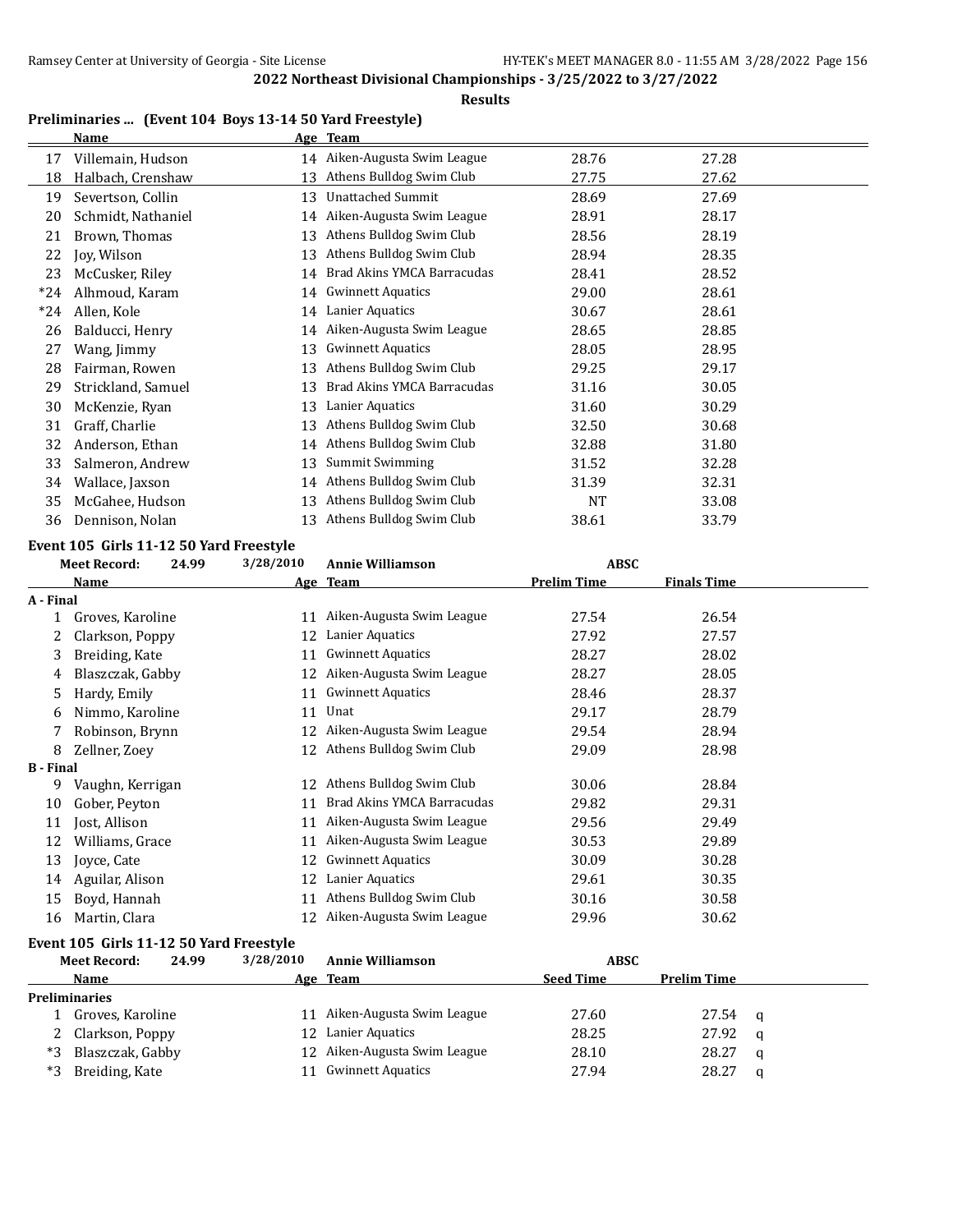**Results**

#### **Preliminaries ... (Event 104 Boys 13-14 50 Yard Freestyle) Name Age Team**

|       | Name               | <u>Age</u> | - ream                       |           |       |
|-------|--------------------|------------|------------------------------|-----------|-------|
| 17    | Villemain, Hudson  |            | 14 Aiken-Augusta Swim League | 28.76     | 27.28 |
| 18    | Halbach, Crenshaw  | 13         | Athens Bulldog Swim Club     | 27.75     | 27.62 |
| 19    | Severtson, Collin  | 13         | <b>Unattached Summit</b>     | 28.69     | 27.69 |
| 20    | Schmidt, Nathaniel | 14         | Aiken-Augusta Swim League    | 28.91     | 28.17 |
| 21    | Brown, Thomas      | 13         | Athens Bulldog Swim Club     | 28.56     | 28.19 |
| 22    | Joy, Wilson        | 13         | Athens Bulldog Swim Club     | 28.94     | 28.35 |
| 23    | McCusker, Riley    | 14         | Brad Akins YMCA Barracudas   | 28.41     | 28.52 |
| $*24$ | Alhmoud, Karam     |            | 14 Gwinnett Aquatics         | 29.00     | 28.61 |
| $*24$ | Allen, Kole        | 14         | Lanier Aquatics              | 30.67     | 28.61 |
| 26    | Balducci, Henry    | 14         | Aiken-Augusta Swim League    | 28.65     | 28.85 |
| 27    | Wang, Jimmy        | 13         | <b>Gwinnett Aquatics</b>     | 28.05     | 28.95 |
| 28    | Fairman, Rowen     | 13         | Athens Bulldog Swim Club     | 29.25     | 29.17 |
| 29    | Strickland, Samuel | 13         | Brad Akins YMCA Barracudas   | 31.16     | 30.05 |
| 30    | McKenzie, Ryan     | 13         | Lanier Aquatics              | 31.60     | 30.29 |
| 31    | Graff, Charlie     | 13         | Athens Bulldog Swim Club     | 32.50     | 30.68 |
| 32    | Anderson, Ethan    | 14         | Athens Bulldog Swim Club     | 32.88     | 31.80 |
| 33    | Salmeron, Andrew   | 13         | <b>Summit Swimming</b>       | 31.52     | 32.28 |
| 34    | Wallace, Jaxson    | 14         | Athens Bulldog Swim Club     | 31.39     | 32.31 |
| 35    | McGahee, Hudson    | 13         | Athens Bulldog Swim Club     | <b>NT</b> | 33.08 |
| 36    | Dennison, Nolan    | 13         | Athens Bulldog Swim Club     | 38.61     | 33.79 |

# **Event 105 Girls 11-12 50 Yard Freestyle**<br>Most Becord: 24.99 3/28/2010

|                  | <b>Meet Record:</b> | 24.99 | 3/28/2010  | <b>Annie Williamson</b>    | <b>ABSC</b>        |                    |  |
|------------------|---------------------|-------|------------|----------------------------|--------------------|--------------------|--|
|                  | Name                |       | <u>Age</u> | <b>Team</b>                | <b>Prelim Time</b> | <b>Finals Time</b> |  |
| A - Final        |                     |       |            |                            |                    |                    |  |
|                  | Groves, Karoline    |       | 11         | Aiken-Augusta Swim League  | 27.54              | 26.54              |  |
| 2                | Clarkson, Poppy     |       | 12         | Lanier Aquatics            | 27.92              | 27.57              |  |
| 3                | Breiding, Kate      |       | 11         | <b>Gwinnett Aquatics</b>   | 28.27              | 28.02              |  |
| 4                | Blaszczak, Gabby    |       | 12         | Aiken-Augusta Swim League  | 28.27              | 28.05              |  |
| 5                | Hardy, Emily        |       | 11         | <b>Gwinnett Aquatics</b>   | 28.46              | 28.37              |  |
| 6                | Nimmo, Karoline     |       | 11         | Unat                       | 29.17              | 28.79              |  |
|                  | Robinson, Brynn     |       | 12         | Aiken-Augusta Swim League  | 29.54              | 28.94              |  |
| 8                | Zellner, Zoey       |       | 12         | Athens Bulldog Swim Club   | 29.09              | 28.98              |  |
| <b>B</b> - Final |                     |       |            |                            |                    |                    |  |
| 9                | Vaughn, Kerrigan    |       | 12         | Athens Bulldog Swim Club   | 30.06              | 28.84              |  |
| 10               | Gober, Peyton       |       | 11         | Brad Akins YMCA Barracudas | 29.82              | 29.31              |  |
| 11               | Jost, Allison       |       | 11         | Aiken-Augusta Swim League  | 29.56              | 29.49              |  |
| 12               | Williams, Grace     |       | 11         | Aiken-Augusta Swim League  | 30.53              | 29.89              |  |
| 13               | Joyce, Cate         |       | 12         | <b>Gwinnett Aquatics</b>   | 30.09              | 30.28              |  |
| 14               | Aguilar, Alison     |       | 12         | Lanier Aquatics            | 29.61              | 30.35              |  |
| 15               | Boyd, Hannah        |       | 11         | Athens Bulldog Swim Club   | 30.16              | 30.58              |  |
| 16               | Martin, Clara       |       | 12         | Aiken-Augusta Swim League  | 29.96              | 30.62              |  |
|                  |                     |       |            |                            |                    |                    |  |

#### **Event 105 Girls 11-12 50 Yard Freestyle**

|      | <b>Meet Record:</b>  | 24.99 | 3/28/2010 | <b>Annie Williamson</b>      | <b>ABSC</b>      |                    |          |
|------|----------------------|-------|-----------|------------------------------|------------------|--------------------|----------|
|      | <b>Name</b>          |       |           | Age Team                     | <b>Seed Time</b> | <b>Prelim Time</b> |          |
|      | <b>Preliminaries</b> |       |           |                              |                  |                    |          |
|      | Groves, Karoline     |       |           | 11 Aiken-Augusta Swim League | 27.60            | 27.54              | $\alpha$ |
|      | 2 Clarkson, Poppy    |       |           | 12 Lanier Aquatics           | 28.25            | 27.92              | - a      |
| *2   | Blaszczak, Gabby     |       |           | 12 Aiken-Augusta Swim League | 28.10            | 28.27              | a        |
| $*2$ | Breiding, Kate       |       | 11        | Gwinnett Aquatics            | 27.94            | 28.27              |          |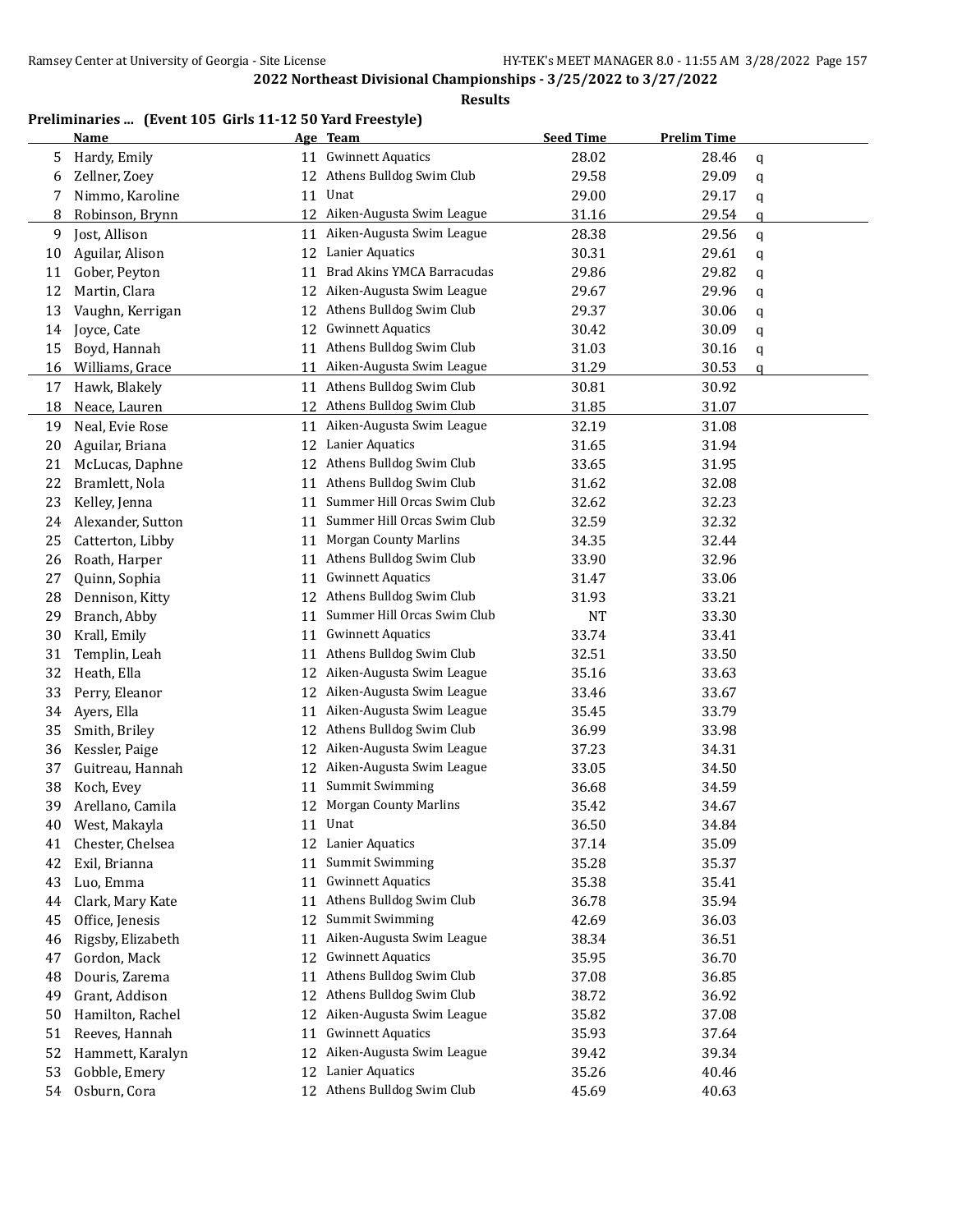**Results**

# **Preliminaries ... (Event 105 Girls 11-12 50 Yard Freestyle)**

|    | <b>Name</b>       |    | Age Team                     | <b>Seed Time</b> | <b>Prelim Time</b> |   |
|----|-------------------|----|------------------------------|------------------|--------------------|---|
| 5  | Hardy, Emily      | 11 | <b>Gwinnett Aquatics</b>     | 28.02            | 28.46              | q |
| 6  | Zellner, Zoey     |    | 12 Athens Bulldog Swim Club  | 29.58            | 29.09              | q |
| 7  | Nimmo, Karoline   | 11 | Unat                         | 29.00            | 29.17              | q |
| 8  | Robinson, Brynn   |    | 12 Aiken-Augusta Swim League | 31.16            | 29.54              | q |
| 9  | Jost, Allison     | 11 | Aiken-Augusta Swim League    | 28.38            | 29.56              | q |
| 10 | Aguilar, Alison   | 12 | Lanier Aquatics              | 30.31            | 29.61              | q |
| 11 | Gober, Peyton     | 11 | Brad Akins YMCA Barracudas   | 29.86            | 29.82              | q |
| 12 | Martin, Clara     |    | 12 Aiken-Augusta Swim League | 29.67            | 29.96              | q |
| 13 | Vaughn, Kerrigan  | 12 | Athens Bulldog Swim Club     | 29.37            | 30.06              | q |
| 14 | Joyce, Cate       | 12 | <b>Gwinnett Aquatics</b>     | 30.42            | 30.09              | q |
| 15 | Boyd, Hannah      |    | 11 Athens Bulldog Swim Club  | 31.03            | 30.16              | q |
| 16 | Williams, Grace   |    | 11 Aiken-Augusta Swim League | 31.29            | 30.53              | a |
| 17 | Hawk, Blakely     |    | 11 Athens Bulldog Swim Club  | 30.81            | 30.92              |   |
| 18 | Neace, Lauren     |    | 12 Athens Bulldog Swim Club  | 31.85            | 31.07              |   |
| 19 | Neal, Evie Rose   | 11 | Aiken-Augusta Swim League    | 32.19            | 31.08              |   |
| 20 | Aguilar, Briana   | 12 | Lanier Aquatics              | 31.65            | 31.94              |   |
| 21 | McLucas, Daphne   | 12 | Athens Bulldog Swim Club     | 33.65            | 31.95              |   |
| 22 | Bramlett, Nola    | 11 | Athens Bulldog Swim Club     | 31.62            | 32.08              |   |
| 23 | Kelley, Jenna     | 11 | Summer Hill Orcas Swim Club  | 32.62            | 32.23              |   |
| 24 | Alexander, Sutton | 11 | Summer Hill Orcas Swim Club  | 32.59            | 32.32              |   |
| 25 | Catterton, Libby  | 11 | <b>Morgan County Marlins</b> | 34.35            | 32.44              |   |
| 26 | Roath, Harper     | 11 | Athens Bulldog Swim Club     | 33.90            | 32.96              |   |
| 27 | Quinn, Sophia     | 11 | <b>Gwinnett Aquatics</b>     | 31.47            | 33.06              |   |
| 28 | Dennison, Kitty   |    | 12 Athens Bulldog Swim Club  | 31.93            | 33.21              |   |
| 29 | Branch, Abby      | 11 | Summer Hill Orcas Swim Club  | NT               | 33.30              |   |
| 30 | Krall, Emily      | 11 | <b>Gwinnett Aquatics</b>     | 33.74            | 33.41              |   |
| 31 | Templin, Leah     | 11 | Athens Bulldog Swim Club     | 32.51            | 33.50              |   |
| 32 | Heath, Ella       | 12 | Aiken-Augusta Swim League    | 35.16            | 33.63              |   |
| 33 | Perry, Eleanor    |    | 12 Aiken-Augusta Swim League | 33.46            | 33.67              |   |
| 34 | Ayers, Ella       | 11 | Aiken-Augusta Swim League    | 35.45            | 33.79              |   |
| 35 | Smith, Briley     | 12 | Athens Bulldog Swim Club     | 36.99            | 33.98              |   |
| 36 | Kessler, Paige    | 12 | Aiken-Augusta Swim League    | 37.23            | 34.31              |   |
| 37 | Guitreau, Hannah  | 12 | Aiken-Augusta Swim League    | 33.05            | 34.50              |   |
| 38 | Koch, Evey        | 11 | Summit Swimming              | 36.68            | 34.59              |   |
| 39 | Arellano, Camila  |    | 12 Morgan County Marlins     | 35.42            | 34.67              |   |
| 40 | West, Makayla     |    | 11 Unat                      | 36.50            | 34.84              |   |
| 41 | Chester, Chelsea  |    | 12 Lanier Aquatics           | 37.14            | 35.09              |   |
| 42 | Exil, Brianna     | 11 | Summit Swimming              | 35.28            | 35.37              |   |
| 43 | Luo, Emma         | 11 | <b>Gwinnett Aquatics</b>     | 35.38            | 35.41              |   |
| 44 | Clark, Mary Kate  | 11 | Athens Bulldog Swim Club     | 36.78            | 35.94              |   |
| 45 | Office, Jenesis   | 12 | Summit Swimming              | 42.69            | 36.03              |   |
| 46 | Rigsby, Elizabeth | 11 | Aiken-Augusta Swim League    | 38.34            | 36.51              |   |
| 47 | Gordon, Mack      | 12 | <b>Gwinnett Aquatics</b>     | 35.95            | 36.70              |   |
| 48 | Douris, Zarema    | 11 | Athens Bulldog Swim Club     | 37.08            | 36.85              |   |
| 49 | Grant, Addison    | 12 | Athens Bulldog Swim Club     | 38.72            | 36.92              |   |
| 50 | Hamilton, Rachel  | 12 | Aiken-Augusta Swim League    | 35.82            | 37.08              |   |
| 51 | Reeves, Hannah    | 11 | <b>Gwinnett Aquatics</b>     | 35.93            | 37.64              |   |
| 52 | Hammett, Karalyn  | 12 | Aiken-Augusta Swim League    | 39.42            | 39.34              |   |
| 53 | Gobble, Emery     | 12 | Lanier Aquatics              | 35.26            | 40.46              |   |
| 54 | Osburn, Cora      |    | 12 Athens Bulldog Swim Club  | 45.69            | 40.63              |   |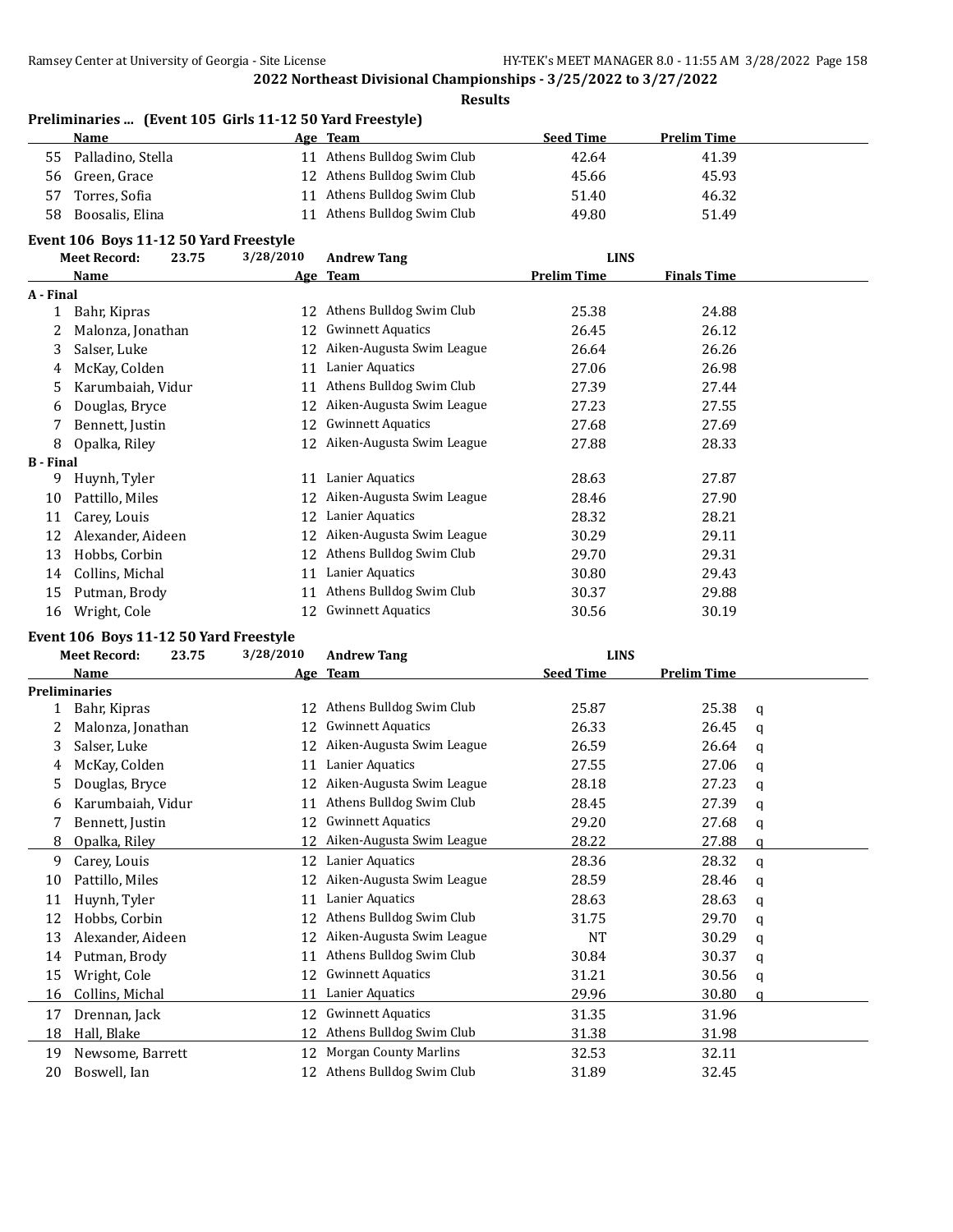#### **Results**

|    | Preliminaries  (Event 105 Girls 11-12 50 Yard Freestyle) |    |                             |                  |                    |  |
|----|----------------------------------------------------------|----|-----------------------------|------------------|--------------------|--|
|    | Name                                                     |    | Age Team                    | <b>Seed Time</b> | <b>Prelim Time</b> |  |
| 55 | Palladino, Stella                                        |    | 11 Athens Bulldog Swim Club | 42.64            | 41.39              |  |
| 56 | Green, Grace                                             |    | 12 Athens Bulldog Swim Club | 45.66            | 45.93              |  |
| 57 | Torres, Sofia                                            | 11 | Athens Bulldog Swim Club    | 51.40            | 46.32              |  |
| 58 | Boosalis, Elina                                          | 11 | Athens Bulldog Swim Club    | 49.80            | 51.49              |  |

#### **Event 106 Boys 11-12 50 Yard Freestyle**

|                  | <b>Meet Record:</b> | 23.75 | 3/28/2010 | <b>Andrew Tang</b>        | <b>LINS</b>        |                    |  |
|------------------|---------------------|-------|-----------|---------------------------|--------------------|--------------------|--|
|                  | Name                |       |           | Age Team                  | <b>Prelim Time</b> | <b>Finals Time</b> |  |
| A - Final        |                     |       |           |                           |                    |                    |  |
|                  | Bahr, Kipras        |       | 12        | Athens Bulldog Swim Club  | 25.38              | 24.88              |  |
|                  | Malonza, Jonathan   |       | 12        | <b>Gwinnett Aquatics</b>  | 26.45              | 26.12              |  |
| 3                | Salser, Luke        |       | 12        | Aiken-Augusta Swim League | 26.64              | 26.26              |  |
| 4                | McKay, Colden       |       | 11        | Lanier Aquatics           | 27.06              | 26.98              |  |
| 5                | Karumbaiah, Vidur   |       | 11        | Athens Bulldog Swim Club  | 27.39              | 27.44              |  |
| 6                | Douglas, Bryce      |       | 12        | Aiken-Augusta Swim League | 27.23              | 27.55              |  |
|                  | Bennett, Justin     |       | 12        | <b>Gwinnett Aquatics</b>  | 27.68              | 27.69              |  |
| 8                | Opalka, Riley       |       | 12        | Aiken-Augusta Swim League | 27.88              | 28.33              |  |
| <b>B</b> - Final |                     |       |           |                           |                    |                    |  |
| 9                | Huynh, Tyler        |       | 11        | Lanier Aquatics           | 28.63              | 27.87              |  |
| 10               | Pattillo, Miles     |       | 12        | Aiken-Augusta Swim League | 28.46              | 27.90              |  |
| 11               | Carey, Louis        |       | 12        | Lanier Aquatics           | 28.32              | 28.21              |  |
| 12               | Alexander, Aideen   |       | 12        | Aiken-Augusta Swim League | 30.29              | 29.11              |  |
| 13               | Hobbs, Corbin       |       | 12        | Athens Bulldog Swim Club  | 29.70              | 29.31              |  |
| 14               | Collins, Michal     |       | 11        | Lanier Aquatics           | 30.80              | 29.43              |  |
| 15               | Putman, Brody       |       | 11        | Athens Bulldog Swim Club  | 30.37              | 29.88              |  |
| 16               | Wright, Cole        |       | 12        | <b>Gwinnett Aquatics</b>  | 30.56              | 30.19              |  |

#### **Event 106 Boys 11-12 50 Yard Freestyle**

|    | <b>Meet Record:</b><br>23.75 | 3/28/2010 | <b>Andrew Tang</b>           | <b>LINS</b>      |                    |   |
|----|------------------------------|-----------|------------------------------|------------------|--------------------|---|
|    | Name                         |           | Age Team                     | <b>Seed Time</b> | <b>Prelim Time</b> |   |
|    | <b>Preliminaries</b>         |           |                              |                  |                    |   |
|    | Bahr, Kipras                 | 12        | Athens Bulldog Swim Club     | 25.87            | 25.38              | a |
| 2  | Malonza, Jonathan            | 12        | <b>Gwinnett Aquatics</b>     | 26.33            | 26.45              | q |
| 3  | Salser, Luke                 | 12        | Aiken-Augusta Swim League    | 26.59            | 26.64              | a |
| 4  | McKay, Colden                | 11        | Lanier Aquatics              | 27.55            | 27.06              | q |
| 5  | Douglas, Bryce               | 12        | Aiken-Augusta Swim League    | 28.18            | 27.23              | a |
| 6  | Karumbaiah, Vidur            | 11        | Athens Bulldog Swim Club     | 28.45            | 27.39              | a |
| 7  | Bennett, Justin              | 12        | <b>Gwinnett Aquatics</b>     | 29.20            | 27.68              | q |
| 8  | Opalka, Riley                | 12        | Aiken-Augusta Swim League    | 28.22            | 27.88              | a |
| 9  | Carey, Louis                 | 12        | Lanier Aquatics              | 28.36            | 28.32              | a |
| 10 | Pattillo, Miles              | 12        | Aiken-Augusta Swim League    | 28.59            | 28.46              | a |
| 11 | Huynh, Tyler                 | 11        | Lanier Aquatics              | 28.63            | 28.63              | q |
| 12 | Hobbs, Corbin                | 12        | Athens Bulldog Swim Club     | 31.75            | 29.70              | q |
| 13 | Alexander, Aideen            | 12        | Aiken-Augusta Swim League    | <b>NT</b>        | 30.29              | q |
| 14 | Putman, Brody                | 11        | Athens Bulldog Swim Club     | 30.84            | 30.37              | q |
| 15 | Wright, Cole                 | 12        | <b>Gwinnett Aquatics</b>     | 31.21            | 30.56              | q |
| 16 | Collins, Michal              | 11        | Lanier Aquatics              | 29.96            | 30.80              | a |
| 17 | Drennan, Jack                | 12        | <b>Gwinnett Aquatics</b>     | 31.35            | 31.96              |   |
| 18 | Hall, Blake                  | 12        | Athens Bulldog Swim Club     | 31.38            | 31.98              |   |
| 19 | Newsome, Barrett             | 12        | <b>Morgan County Marlins</b> | 32.53            | 32.11              |   |
| 20 | Boswell, Ian                 | 12        | Athens Bulldog Swim Club     | 31.89            | 32.45              |   |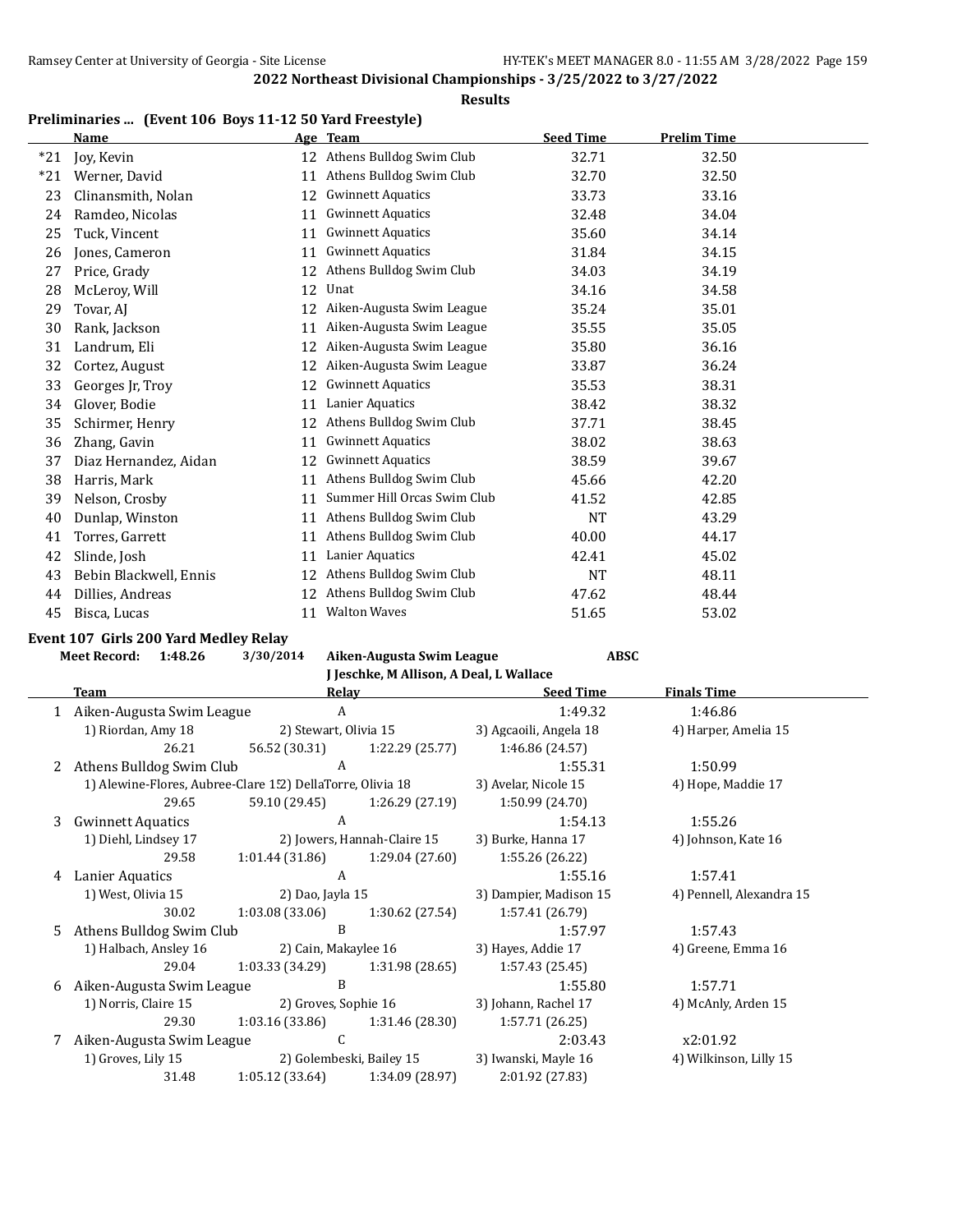#### **Results**

# **Preliminaries ... (Event 106 Boys 11-12 50 Yard Freestyle)**

|       | <b>Name</b>            |    | Age Team                    | <b>Seed Time</b> | <b>Prelim Time</b> |
|-------|------------------------|----|-----------------------------|------------------|--------------------|
| $*21$ | Joy, Kevin             | 12 | Athens Bulldog Swim Club    | 32.71            | 32.50              |
| $*21$ | Werner, David          | 11 | Athens Bulldog Swim Club    | 32.70            | 32.50              |
| 23    | Clinansmith, Nolan     | 12 | <b>Gwinnett Aquatics</b>    | 33.73            | 33.16              |
| 24    | Ramdeo, Nicolas        | 11 | <b>Gwinnett Aquatics</b>    | 32.48            | 34.04              |
| 25    | Tuck, Vincent          | 11 | <b>Gwinnett Aquatics</b>    | 35.60            | 34.14              |
| 26    | Jones, Cameron         | 11 | <b>Gwinnett Aquatics</b>    | 31.84            | 34.15              |
| 27    | Price, Grady           | 12 | Athens Bulldog Swim Club    | 34.03            | 34.19              |
| 28    | McLeroy, Will          | 12 | Unat                        | 34.16            | 34.58              |
| 29    | Tovar, AJ              | 12 | Aiken-Augusta Swim League   | 35.24            | 35.01              |
| 30    | Rank, Jackson          | 11 | Aiken-Augusta Swim League   | 35.55            | 35.05              |
| 31    | Landrum, Eli           | 12 | Aiken-Augusta Swim League   | 35.80            | 36.16              |
| 32    | Cortez, August         | 12 | Aiken-Augusta Swim League   | 33.87            | 36.24              |
| 33    | Georges Jr, Troy       | 12 | <b>Gwinnett Aquatics</b>    | 35.53            | 38.31              |
| 34    | Glover, Bodie          | 11 | Lanier Aquatics             | 38.42            | 38.32              |
| 35    | Schirmer, Henry        | 12 | Athens Bulldog Swim Club    | 37.71            | 38.45              |
| 36    | Zhang, Gavin           | 11 | <b>Gwinnett Aquatics</b>    | 38.02            | 38.63              |
| 37    | Diaz Hernandez, Aidan  | 12 | <b>Gwinnett Aquatics</b>    | 38.59            | 39.67              |
| 38    | Harris, Mark           | 11 | Athens Bulldog Swim Club    | 45.66            | 42.20              |
| 39    | Nelson, Crosby         | 11 | Summer Hill Orcas Swim Club | 41.52            | 42.85              |
| 40    | Dunlap, Winston        | 11 | Athens Bulldog Swim Club    | <b>NT</b>        | 43.29              |
| 41    | Torres, Garrett        | 11 | Athens Bulldog Swim Club    | 40.00            | 44.17              |
| 42    | Slinde, Josh           | 11 | Lanier Aquatics             | 42.41            | 45.02              |
| 43    | Bebin Blackwell, Ennis | 12 | Athens Bulldog Swim Club    | <b>NT</b>        | 48.11              |
| 44    | Dillies, Andreas       | 12 | Athens Bulldog Swim Club    | 47.62            | 48.44              |
| 45    | Bisca, Lucas           | 11 | <b>Walton Waves</b>         | 51.65            | 53.02              |

# **Event 107 Girls 200 Yard Medley Relay**

**Meet Record: 1:48.26 3/30/2014 Aiken-Augusta Swim League ABSC**

**J Jeschke, M Allison, A Deal, L Wallace**

|   | Team                                                       | Relav                         |                             | <b>Seed Time</b>       | <b>Finals Time</b>       |  |
|---|------------------------------------------------------------|-------------------------------|-----------------------------|------------------------|--------------------------|--|
|   | Aiken-Augusta Swim League                                  | A                             |                             | 1:49.32                | 1:46.86                  |  |
|   | 1) Riordan, Amy 18                                         | 2) Stewart, Olivia 15         |                             | 3) Agcaoili, Angela 18 | 4) Harper, Amelia 15     |  |
|   | 26.21                                                      | 56.52 (30.31) 1:22.29 (25.77) |                             | 1:46.86 (24.57)        |                          |  |
|   | 2 Athens Bulldog Swim Club                                 | A                             |                             | 1:55.31                | 1:50.99                  |  |
|   | 1) Alewine-Flores, Aubree-Clare 152) DellaTorre, Olivia 18 |                               |                             | 3) Avelar, Nicole 15   | 4) Hope, Maddie 17       |  |
|   | 29.65                                                      | 59.10 (29.45)                 | 1:26.29 (27.19)             | 1:50.99 (24.70)        |                          |  |
| 3 | <b>Gwinnett Aquatics</b>                                   | A                             |                             | 1:54.13                | 1:55.26                  |  |
|   | 1) Diehl, Lindsey 17                                       |                               | 2) Jowers, Hannah-Claire 15 | 3) Burke, Hanna 17     | 4) Johnson, Kate 16      |  |
|   | 29.58                                                      | 1:01.44 (31.86)               | 1:29.04 (27.60)             | 1:55.26 (26.22)        |                          |  |
| 4 | Lanier Aquatics                                            | A                             |                             | 1:55.16                | 1:57.41                  |  |
|   | 1) West, Olivia 15                                         | 2) Dao, Jayla 15              |                             | 3) Dampier, Madison 15 | 4) Pennell, Alexandra 15 |  |
|   | 30.02                                                      | 1:03.08(33.06)                | 1:30.62 (27.54)             | 1:57.41 (26.79)        |                          |  |
|   | 5 Athens Bulldog Swim Club                                 | B                             |                             | 1:57.97                | 1:57.43                  |  |
|   | 1) Halbach, Ansley 16                                      | 2) Cain, Makaylee 16          |                             | 3) Hayes, Addie 17     | 4) Greene, Emma 16       |  |
|   | 29.04                                                      | 1:03.33 (34.29)               | 1:31.98 (28.65)             | 1:57.43(25.45)         |                          |  |
| 6 | Aiken-Augusta Swim League                                  | B                             |                             | 1:55.80                | 1:57.71                  |  |
|   | 1) Norris, Claire 15                                       | 2) Groves, Sophie 16          |                             | 3) Johann, Rachel 17   | 4) McAnly, Arden 15      |  |
|   | 29.30                                                      | 1:03.16 (33.86)               | 1:31.46 (28.30)             | 1:57.71 (26.25)        |                          |  |
|   | 7 Aiken-Augusta Swim League                                | $\mathcal{C}$                 |                             | 2:03.43                | x2:01.92                 |  |
|   | 1) Groves, Lily 15                                         | 2) Golembeski, Bailey 15      |                             | 3) Iwanski, Mayle 16   | 4) Wilkinson, Lilly 15   |  |
|   | 31.48                                                      | 1:05.12 (33.64)               | 1:34.09 (28.97)             | 2:01.92 (27.83)        |                          |  |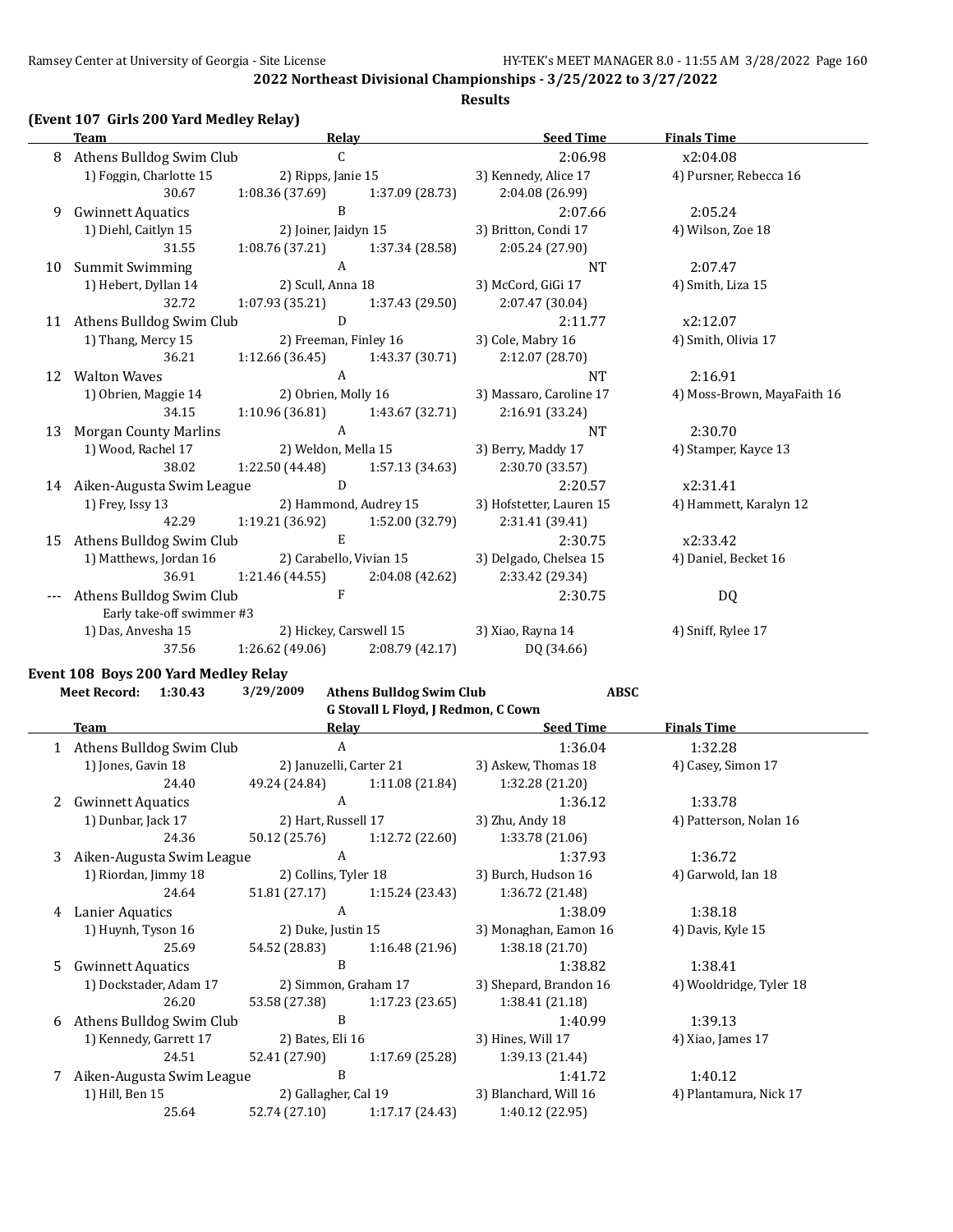#### **Results**

# **(Event 107 Girls 200 Yard Medley Relay)**

|    | <b>Team</b>                  | <b>Relay</b>                      |                        | <b>Seed Time</b>                                   | <b>Finals Time</b>          |
|----|------------------------------|-----------------------------------|------------------------|----------------------------------------------------|-----------------------------|
|    | 8 Athens Bulldog Swim Club   | C.                                |                        | 2:06.98                                            | x2:04.08                    |
|    | 1) Foggin, Charlotte 15      |                                   | 2) Ripps, Janie 15     | 3) Kennedy, Alice 17                               | 4) Pursner, Rebecca 16      |
|    | 30.67                        | $1:08.36(37.69)$ $1:37.09(28.73)$ |                        | 2:04.08 (26.99)                                    |                             |
| 9  | <b>Gwinnett Aquatics</b>     | B                                 |                        | 2:07.66                                            | 2:05.24                     |
|    | 1) Diehl, Caitlyn 15         |                                   | 2) Joiner, Jaidyn 15   | 3) Britton, Condi 17                               | 4) Wilson, Zoe 18           |
|    | 31.55                        | $1:08.76(37.21)$ $1:37.34(28.58)$ |                        | 2:05.24(27.90)                                     |                             |
| 10 | Summit Swimming              | A                                 |                        | <b>NT</b>                                          | 2:07.47                     |
|    | 1) Hebert, Dyllan 14         | 2) Scull, Anna 18                 |                        | 3) McCord, GiGi 17                                 | 4) Smith, Liza 15           |
|    | 32.72                        | $1:07.93(35.21)$ $1:37.43(29.50)$ |                        | 2:07.47 (30.04)                                    |                             |
|    | 11 Athens Bulldog Swim Club  | D                                 |                        | 2:11.77                                            | x2:12.07                    |
|    | 1) Thang, Mercy 15           | 2) Freeman, Finley 16             |                        | 3) Cole, Mabry 16                                  | 4) Smith, Olivia 17         |
|    | 36.21                        | $1:12.66(36.45)$ $1:43.37(30.71)$ |                        | 2:12.07(28.70)                                     |                             |
|    | 12 Walton Waves              | $\mathsf{A}$                      |                        | <b>NT</b>                                          | 2:16.91                     |
|    | 1) Obrien, Maggie 14         | 2) Obrien, Molly 16               |                        | 3) Massaro, Caroline 17                            | 4) Moss-Brown, MayaFaith 16 |
|    | 34.15                        | $1:10.96(36.81)$ $1:43.67(32.71)$ |                        | 2:16.91 (33.24)                                    |                             |
| 13 | <b>Morgan County Marlins</b> | $\mathbf{A}$                      |                        | <b>NT</b>                                          | 2:30.70                     |
|    | 1) Wood, Rachel 17           | 2) Weldon, Mella 15               |                        | 3) Berry, Maddy 17                                 | 4) Stamper, Kayce 13        |
|    | 38.02                        |                                   |                        | 1:22.50 (44.48) 1:57.13 (34.63) 2:30.70 (33.57)    |                             |
|    | 14 Aiken-Augusta Swim League | $\overline{D}$                    |                        | 2:20.57                                            | x2:31.41                    |
|    | 1) Frey, Issy 13             |                                   | 2) Hammond, Audrey 15  | 3) Hofstetter, Lauren 15                           | 4) Hammett, Karalyn 12      |
|    | 42.29                        | 1:19.21 (36.92) 1:52.00 (32.79)   |                        | 2:31.41 (39.41)                                    |                             |
| 15 | Athens Bulldog Swim Club     | E                                 |                        | 2:30.75                                            | x2:33.42                    |
|    | 1) Matthews, Jordan 16       | 2) Carabello, Vivian 15           |                        | 3) Delgado, Chelsea 15                             | 4) Daniel, Becket 16        |
|    | 36.91                        |                                   |                        | $1:21.46(44.55)$ $2:04.08(42.62)$ $2:33.42(29.34)$ |                             |
|    | Athens Bulldog Swim Club     | $\mathbf{F}$                      |                        | 2:30.75                                            | DQ                          |
|    | Early take-off swimmer #3    |                                   |                        |                                                    |                             |
|    | 1) Das, Anvesha 15           |                                   | 2) Hickey, Carswell 15 | 3) Xiao, Rayna 14                                  | 4) Sniff, Rylee 17          |
|    | 37.56                        | 1:26.62 (49.06)                   | 2:08.79(42.17)         | DQ (34.66)                                         |                             |

#### **Event 108 Boys 200 Yard Medley Relay**

| <b>Meet Record:</b> | 1:30.43                    | 3/29/2009               | <b>Athens Bulldog Swim Club</b>     | <b>ABSC</b>            |                         |
|---------------------|----------------------------|-------------------------|-------------------------------------|------------------------|-------------------------|
|                     |                            |                         | G Stovall L Floyd, J Redmon, C Cown |                        |                         |
| <b>Team</b>         |                            | Relay                   |                                     | <b>Seed Time</b>       | <b>Finals Time</b>      |
|                     | 1 Athens Bulldog Swim Club | A                       |                                     | 1:36.04                | 1:32.28                 |
|                     | 1) Jones, Gavin 18         | 2) Januzelli, Carter 21 |                                     | 3) Askew, Thomas 18    | 4) Casey, Simon 17      |
|                     | 24.40                      | 49.24 (24.84)           | 1:11.08 (21.84)                     | 1:32.28 (21.20)        |                         |
| 2                   | <b>Gwinnett Aquatics</b>   | A                       |                                     | 1:36.12                | 1:33.78                 |
|                     | 1) Dunbar, Jack 17         |                         | 2) Hart, Russell 17                 | 3) Zhu, Andy 18        | 4) Patterson, Nolan 16  |
|                     | 24.36                      | 50.12 (25.76)           | 1:12.72(22.60)                      | 1:33.78 (21.06)        |                         |
| 3                   | Aiken-Augusta Swim League  | A                       |                                     | 1:37.93                | 1:36.72                 |
|                     | 1) Riordan, Jimmy 18       |                         | 2) Collins, Tyler 18                | 3) Burch, Hudson 16    | 4) Garwold, Ian 18      |
|                     | 24.64                      | 51.81 (27.17)           | 1:15.24 (23.43)                     | 1:36.72 (21.48)        |                         |
| 4                   | A<br>Lanier Aquatics       |                         |                                     | 1:38.09                | 1:38.18                 |
|                     | 1) Huynh, Tyson 16         |                         | 2) Duke, Justin 15                  | 3) Monaghan, Eamon 16  | 4) Davis, Kyle 15       |
|                     | 25.69                      | 54.52 (28.83)           | 1:16.48(21.96)                      | 1:38.18 (21.70)        |                         |
| 5.                  | <b>Gwinnett Aquatics</b>   | B                       |                                     | 1:38.82                | 1:38.41                 |
|                     | 1) Dockstader, Adam 17     | 2) Simmon, Graham 17    |                                     | 3) Shepard, Brandon 16 | 4) Wooldridge, Tyler 18 |
|                     | 26.20                      | 53.58 (27.38)           | 1:17.23 (23.65)                     | 1:38.41 (21.18)        |                         |
| 6                   | Athens Bulldog Swim Club   | B                       |                                     | 1:40.99                | 1:39.13                 |
|                     | 1) Kennedy, Garrett 17     | 2) Bates, Eli 16        |                                     | 3) Hines, Will 17      | 4) Xiao, James 17       |
|                     | 24.51                      | 52.41 (27.90)           | 1:17.69 (25.28)                     | 1:39.13 (21.44)        |                         |
|                     | Aiken-Augusta Swim League  | B                       |                                     | 1:41.72                | 1:40.12                 |
| 1) Hill, Ben 15     |                            | 2) Gallagher, Cal 19    |                                     | 3) Blanchard, Will 16  | 4) Plantamura, Nick 17  |
|                     | 25.64                      | 52.74 (27.10)           | 1:17.17(24.43)                      | 1:40.12 (22.95)        |                         |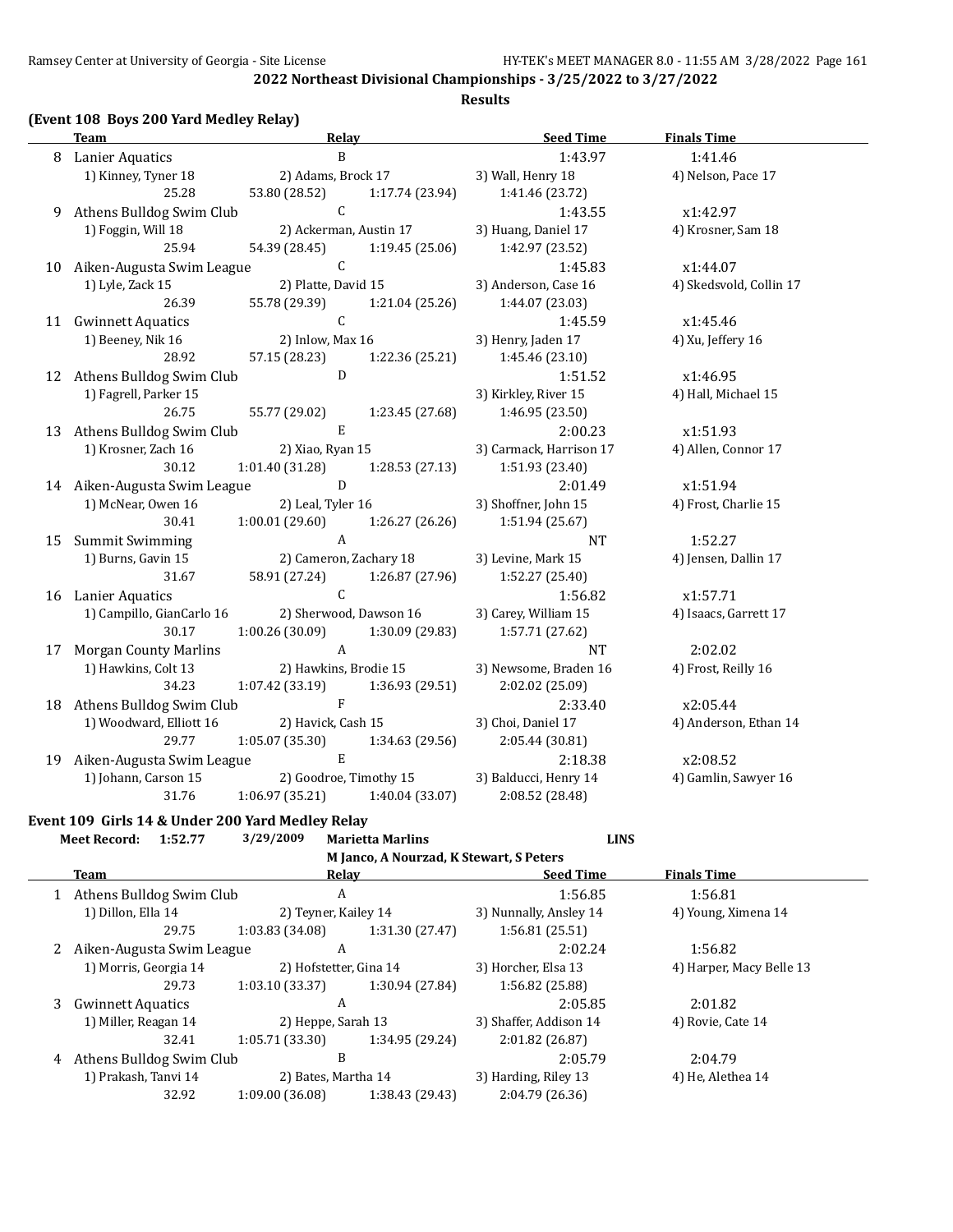**Results**

# **(Event 108 Boys 200 Yard Medley Relay)**

| <b>Team</b>                  | Relay                               |                               | <b>Seed Time</b>        | <b>Finals Time</b>      |  |
|------------------------------|-------------------------------------|-------------------------------|-------------------------|-------------------------|--|
| 8 Lanier Aquatics            | $\, {\bf B}$                        |                               | 1:43.97                 | 1:41.46                 |  |
| 1) Kinney, Tyner 18          |                                     | 2) Adams, Brock 17            | 3) Wall, Henry 18       | 4) Nelson, Pace 17      |  |
| 25.28                        | 53.80 (28.52)                       | 1:17.74 (23.94)               | 1:41.46 (23.72)         |                         |  |
| 9 Athens Bulldog Swim Club   | $\mathsf{C}$                        |                               | 1:43.55                 | x1:42.97                |  |
| 1) Foggin, Will 18           |                                     | 2) Ackerman, Austin 17        | 3) Huang, Daniel 17     | 4) Krosner, Sam 18      |  |
| 25.94                        |                                     | 54.39 (28.45) 1:19.45 (25.06) | 1:42.97 (23.52)         |                         |  |
| 10 Aiken-Augusta Swim League | $\overline{C}$                      |                               | 1:45.83                 | x1:44.07                |  |
| 1) Lyle, Zack 15             | 2) Platte, David 15                 |                               | 3) Anderson, Case 16    | 4) Skedsvold, Collin 17 |  |
| 26.39                        | 55.78 (29.39)                       | 1:21.04 (25.26)               | 1:44.07 (23.03)         |                         |  |
| 11 Gwinnett Aquatics         | $\mathsf{C}$                        |                               | 1:45.59                 | x1:45.46                |  |
| 1) Beeney, Nik 16            | 2) Inlow, Max 16                    |                               | 3) Henry, Jaden 17      | 4) Xu, Jeffery 16       |  |
| 28.92                        | 57.15 (28.23)                       | 1:22.36 (25.21)               | 1:45.46(23.10)          |                         |  |
| 12 Athens Bulldog Swim Club  | D                                   |                               | 1:51.52                 | x1:46.95                |  |
| 1) Fagrell, Parker 15        |                                     |                               | 3) Kirkley, River 15    | 4) Hall, Michael 15     |  |
| 26.75                        |                                     | 55.77 (29.02) 1:23.45 (27.68) | 1:46.95 (23.50)         |                         |  |
| 13 Athens Bulldog Swim Club  | $\mathbf E$                         |                               | 2:00.23                 | x1:51.93                |  |
| 1) Krosner, Zach 16          | 2) Xiao, Ryan 15                    |                               | 3) Carmack, Harrison 17 | 4) Allen, Connor 17     |  |
| 30.12                        | 1:01.40 (31.28)                     | 1:28.53(27.13)                | 1:51.93 (23.40)         |                         |  |
| 14 Aiken-Augusta Swim League | D                                   |                               | 2:01.49                 | x1:51.94                |  |
| 1) McNear, Owen 16           | 2) Leal, Tyler 16                   |                               | 3) Shoffner, John 15    | 4) Frost, Charlie 15    |  |
| 30.41                        | 1:00.01 (29.60)                     | 1:26.27 (26.26)               | 1:51.94 (25.67)         |                         |  |
| 15 Summit Swimming           | $\mathbf{A}$                        |                               | $\rm{NT}$               | 1:52.27                 |  |
| 1) Burns, Gavin 15           | 2) Cameron, Zachary 18              |                               | 3) Levine, Mark 15      | 4) Jensen, Dallin 17    |  |
| 31.67                        |                                     | 58.91 (27.24) 1:26.87 (27.96) | 1:52.27 (25.40)         |                         |  |
| 16 Lanier Aquatics           | $\mathsf{C}$                        |                               | 1:56.82                 | x1:57.71                |  |
| 1) Campillo, GianCarlo 16    |                                     | 2) Sherwood, Dawson 16        | 3) Carey, William 15    | 4) Isaacs, Garrett 17   |  |
| 30.17                        | $1:00.26(30.09)$ $1:30.09(29.83)$   |                               | 1:57.71 (27.62)         |                         |  |
| 17 Morgan County Marlins     | $\overline{A}$                      |                               | <b>NT</b>               | 2:02.02                 |  |
| 1) Hawkins, Colt 13          |                                     | 2) Hawkins, Brodie 15         | 3) Newsome, Braden 16   | 4) Frost, Reilly 16     |  |
| 34.23                        | $1:07.42$ (33.19) $1:36.93$ (29.51) |                               | 2:02.02 (25.09)         |                         |  |
| 18 Athens Bulldog Swim Club  | $\mathbf{F}$                        |                               | 2:33.40                 | x2:05.44                |  |
| 1) Woodward, Elliott 16      |                                     | 2) Havick, Cash 15            | 3) Choi, Daniel 17      | 4) Anderson, Ethan 14   |  |
| 29.77                        | $1:05.07(35.30)$ $1:34.63(29.56)$   |                               | 2:05.44(30.81)          |                         |  |
| 19 Aiken-Augusta Swim League | $\overline{E}$                      |                               | 2:18.38                 | x2:08.52                |  |
| 1) Johann, Carson 15         | 2) Goodroe, Timothy 15              |                               | 3) Balducci, Henry 14   | 4) Gamlin, Sawyer 16    |  |
| 31.76                        | $1:06.97(35.21)$ $1:40.04(33.07)$   |                               | 2:08.52 (28.48)         |                         |  |
|                              |                                     |                               |                         |                         |  |

#### **Event 109 Girls 14 & Under 200 Yard Medley Relay**



**M Janco, A Nourzad, K Stewart, S Peters**

|   | Team                      | Relav                  |                 | <b>Seed Time</b>       | <b>Finals Time</b>       |
|---|---------------------------|------------------------|-----------------|------------------------|--------------------------|
|   | Athens Bulldog Swim Club  | A                      |                 | 1:56.85                | 1:56.81                  |
|   | 1) Dillon, Ella 14        | 2) Teyner, Kailey 14   |                 | 3) Nunnally, Ansley 14 | 4) Young, Ximena 14      |
|   | 29.75                     | 1:03.83(34.08)         | 1:31.30 (27.47) | 1:56.81(25.51)         |                          |
|   | Aiken-Augusta Swim League | A                      |                 | 2:02.24                | 1:56.82                  |
|   | 1) Morris, Georgia 14     | 2) Hofstetter, Gina 14 |                 | 3) Horcher, Elsa 13    | 4) Harper, Macy Belle 13 |
|   | 29.73                     | 1:03.10(33.37)         | 1:30.94 (27.84) | 1:56.82 (25.88)        |                          |
| 3 | Gwinnett Aquatics         | A                      |                 | 2:05.85                | 2:01.82                  |
|   | 1) Miller, Reagan 14      | 2) Heppe, Sarah 13     |                 | 3) Shaffer, Addison 14 | 4) Rovie, Cate 14        |
|   | 32.41                     | 1:05.71(33.30)         | 1:34.95 (29.24) | 2:01.82 (26.87)        |                          |
| 4 | Athens Bulldog Swim Club  | B                      |                 | 2:05.79                | 2:04.79                  |
|   | 1) Prakash, Tanvi 14      | 2) Bates, Martha 14    |                 | 3) Harding, Riley 13   | 4) He, Alethea 14        |
|   | 32.92                     | 1:09.00(36.08)         | 1:38.43 (29.43) | 2:04.79 (26.36)        |                          |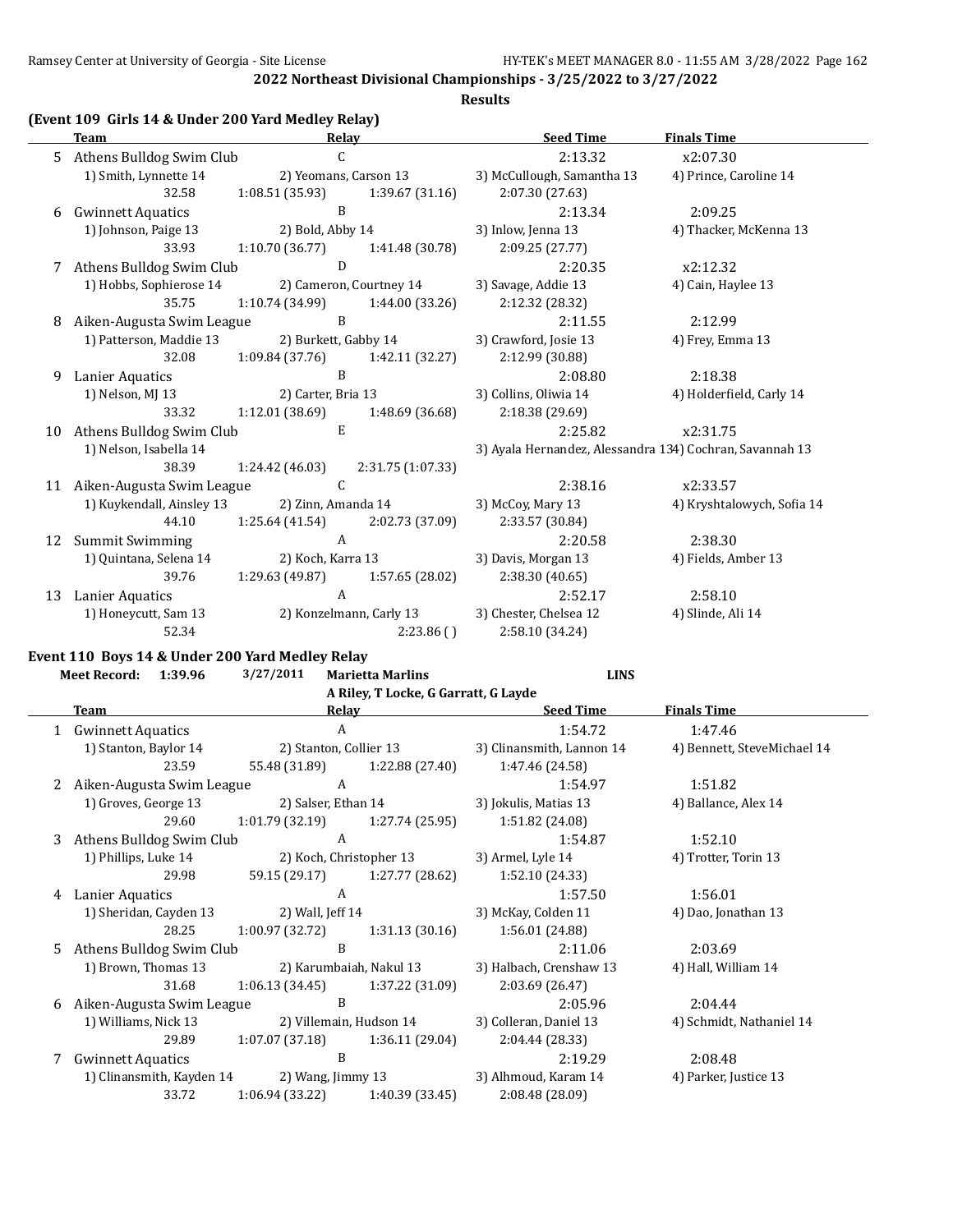**Results**

# **(Event 109 Girls 14 & Under 200 Yard Medley Relay)**

|    | <b>Team</b>               | Relay                 |                         | <b>Seed Time</b>                                         | <b>Finals Time</b>         |
|----|---------------------------|-----------------------|-------------------------|----------------------------------------------------------|----------------------------|
| 5. | Athens Bulldog Swim Club  | C                     |                         | 2:13.32                                                  | x2:07.30                   |
|    | 1) Smith, Lynnette 14     | 2) Yeomans, Carson 13 |                         | 3) McCullough, Samantha 13                               | 4) Prince, Caroline 14     |
|    | 32.58                     | 1:08.51(35.93)        | 1:39.67 (31.16)         | 2:07.30 (27.63)                                          |                            |
| 6  | <b>Gwinnett Aquatics</b>  | B                     |                         | 2:13.34                                                  | 2:09.25                    |
|    | 1) Johnson, Paige 13      | 2) Bold, Abby 14      |                         | 3) Inlow, Jenna 13                                       | 4) Thacker, McKenna 13     |
|    | 33.93                     | 1:10.70(36.77)        | 1:41.48 (30.78)         | 2:09.25 (27.77)                                          |                            |
| 7  | Athens Bulldog Swim Club  | D                     |                         | 2:20.35                                                  | x2:12.32                   |
|    | 1) Hobbs, Sophierose 14   |                       | 2) Cameron, Courtney 14 | 3) Savage, Addie 13                                      | 4) Cain, Haylee 13         |
|    | 35.75                     | 1:10.74(34.99)        | 1:44.00 (33.26)         | 2:12.32 (28.32)                                          |                            |
| 8  | Aiken-Augusta Swim League | B                     |                         | 2:11.55                                                  | 2:12.99                    |
|    | 1) Patterson, Maddie 13   | 2) Burkett, Gabby 14  |                         | 3) Crawford, Josie 13                                    | 4) Frey, Emma 13           |
|    | 32.08                     | 1:09.84(37.76)        | 1:42.11 (32.27)         | 2:12.99 (30.88)                                          |                            |
| 9  | Lanier Aquatics           | B                     |                         | 2:08.80                                                  | 2:18.38                    |
|    | 1) Nelson, MJ 13          | 2) Carter, Bria 13    |                         | 3) Collins, Oliwia 14                                    | 4) Holderfield, Carly 14   |
|    | 33.32                     | 1:12.01 (38.69)       | 1:48.69 (36.68)         | 2:18.38 (29.69)                                          |                            |
| 10 | Athens Bulldog Swim Club  | E                     |                         | 2:25.82                                                  | x2:31.75                   |
|    | 1) Nelson, Isabella 14    |                       |                         | 3) Ayala Hernandez, Alessandra 134) Cochran, Savannah 13 |                            |
|    | 38.39                     | 1:24.42 (46.03)       | 2:31.75 (1:07.33)       |                                                          |                            |
| 11 | Aiken-Augusta Swim League | C                     |                         | 2:38.16                                                  | x2:33.57                   |
|    | 1) Kuykendall, Ainsley 13 | 2) Zinn, Amanda 14    |                         | 3) McCoy, Mary 13                                        | 4) Kryshtalowych, Sofia 14 |
|    | 44.10                     | 1:25.64(41.54)        | 2:02.73 (37.09)         | 2:33.57 (30.84)                                          |                            |
| 12 | <b>Summit Swimming</b>    | $\mathbf{A}$          |                         | 2:20.58                                                  | 2:38.30                    |
|    | 1) Quintana, Selena 14    | 2) Koch, Karra 13     |                         | 3) Davis, Morgan 13                                      | 4) Fields, Amber 13        |
|    | 39.76                     | 1:29.63(49.87)        | 1:57.65 (28.02)         | 2:38.30 (40.65)                                          |                            |
| 13 | Lanier Aquatics           | A                     |                         | 2:52.17                                                  | 2:58.10                    |
|    | 1) Honeycutt, Sam 13      |                       | 2) Konzelmann, Carly 13 | 3) Chester, Chelsea 12                                   | 4) Slinde, Ali 14          |
|    | 52.34                     |                       | 2:23.86()               | 2:58.10 (34.24)                                          |                            |

#### **Event 110 Boys 14 & Under 200 Yard Medley Relay**

**Meet Record: 1:39.96 3/27/2011 Marietta Marlins LINS**

|   |                             |                         | A Riley, T Locke, G Garratt, G Layde |                           |                             |
|---|-----------------------------|-------------------------|--------------------------------------|---------------------------|-----------------------------|
|   | Team                        | Relay                   |                                      | <b>Seed Time</b>          | <b>Finals Time</b>          |
| 1 | <b>Gwinnett Aquatics</b>    | A                       |                                      | 1:54.72                   | 1:47.46                     |
|   | 1) Stanton, Baylor 14       | 2) Stanton, Collier 13  |                                      | 3) Clinansmith, Lannon 14 | 4) Bennett, SteveMichael 14 |
|   | 23.59                       | 55.48 (31.89)           | 1:22.88 (27.40)                      | 1:47.46 (24.58)           |                             |
|   | Aiken-Augusta Swim League   | A                       |                                      | 1:54.97                   | 1:51.82                     |
|   | 1) Groves, George 13        | 2) Salser, Ethan 14     |                                      | 3) Jokulis, Matias 13     | 4) Ballance, Alex 14        |
|   | 29.60                       | 1:01.79 (32.19)         | 1:27.74 (25.95)                      | 1:51.82 (24.08)           |                             |
| 3 | Athens Bulldog Swim Club    | A                       |                                      | 1:54.87                   | 1:52.10                     |
|   | 1) Phillips, Luke 14        | 2) Koch, Christopher 13 |                                      | 3) Armel, Lyle 14         | 4) Trotter, Torin 13        |
|   | 29.98                       |                         | 59.15 (29.17) 1:27.77 (28.62)        | 1:52.10 (24.33)           |                             |
| 4 | Lanier Aquatics             | A                       |                                      | 1:57.50                   | 1:56.01                     |
|   | 1) Sheridan, Cayden 13      | 2) Wall, Jeff 14        |                                      | 3) McKay, Colden 11       | 4) Dao, Jonathan 13         |
|   | 28.25                       | 1:00.97 (32.72)         | 1:31.13(30.16)                       | 1:56.01 (24.88)           |                             |
| 5 | Athens Bulldog Swim Club    | B                       |                                      | 2:11.06                   | 2:03.69                     |
|   | 1) Brown, Thomas 13         |                         | 2) Karumbaiah, Nakul 13              | 3) Halbach, Crenshaw 13   | 4) Hall, William 14         |
|   | 31.68                       | 1:06.13(34.45)          | 1:37.22 (31.09)                      | 2:03.69 (26.47)           |                             |
|   | 6 Aiken-Augusta Swim League | B                       |                                      | 2:05.96                   | 2:04.44                     |
|   | 1) Williams, Nick 13        |                         | 2) Villemain, Hudson 14              | 3) Colleran, Daniel 13    | 4) Schmidt, Nathaniel 14    |
|   | 29.89                       | 1:07.07(37.18)          | 1:36.11 (29.04)                      | 2:04.44 (28.33)           |                             |
|   | <b>Gwinnett Aquatics</b>    | B                       |                                      | 2:19.29                   | 2:08.48                     |
|   | 1) Clinansmith, Kayden 14   | 2) Wang, Jimmy 13       |                                      | 3) Alhmoud, Karam 14      | 4) Parker, Justice 13       |
|   | 33.72                       | 1:06.94(33.22)          | 1:40.39 (33.45)                      | 2:08.48 (28.09)           |                             |
|   |                             |                         |                                      |                           |                             |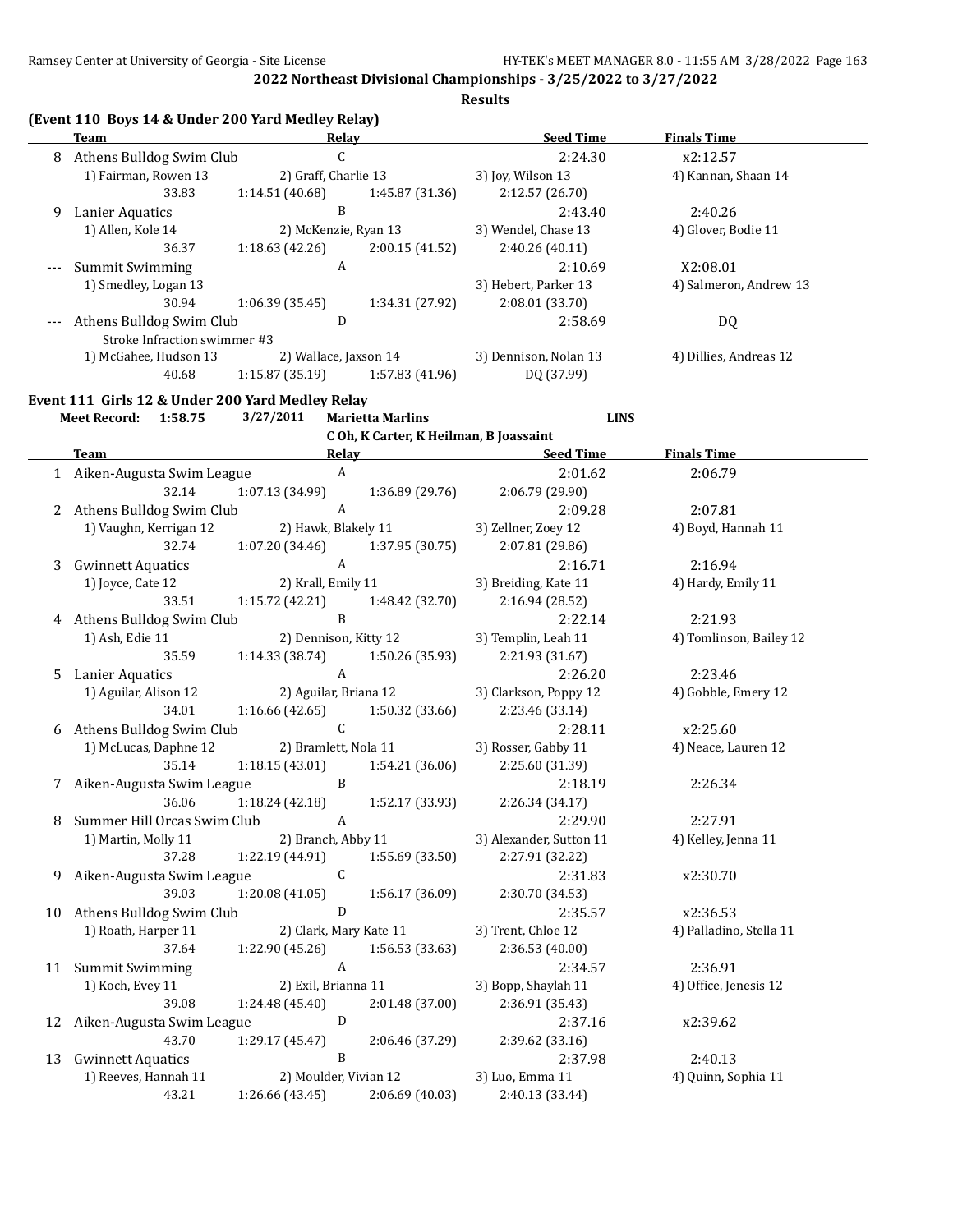**Results**

|       | <b>Team</b>                                      | (Event 110 Boys 14 & Under 200 Yard Medley Relay)<br>Relay  | <b>Seed Time</b>                       | <b>Finals Time</b>      |
|-------|--------------------------------------------------|-------------------------------------------------------------|----------------------------------------|-------------------------|
|       | 8 Athens Bulldog Swim Club                       | $\mathsf C$                                                 | 2:24.30                                | x2:12.57                |
|       | 1) Fairman, Rowen 13                             | 2) Graff, Charlie 13                                        | 3) Joy, Wilson 13                      | 4) Kannan, Shaan 14     |
|       | 33.83                                            | 1:14.51 (40.68)<br>1:45.87 (31.36)                          | 2:12.57 (26.70)                        |                         |
| 9     | Lanier Aquatics                                  | B                                                           | 2:43.40                                | 2:40.26                 |
|       | 1) Allen, Kole 14                                | 2) McKenzie, Ryan 13                                        | 3) Wendel, Chase 13                    | 4) Glover, Bodie 11     |
|       | 36.37                                            | 1:18.63 (42.26)<br>2:00.15 (41.52)                          | 2:40.26 (40.11)                        |                         |
|       | <b>Summit Swimming</b>                           | $\boldsymbol{A}$                                            | 2:10.69                                | X2:08.01                |
| $---$ | 1) Smedley, Logan 13                             |                                                             | 3) Hebert, Parker 13                   | 4) Salmeron, Andrew 13  |
|       | 30.94                                            |                                                             |                                        |                         |
|       |                                                  | 1:06.39 (35.45)<br>1:34.31 (27.92)<br>D                     | 2:08.01 (33.70)                        |                         |
|       | Athens Bulldog Swim Club                         |                                                             | 2:58.69                                | DQ                      |
|       | Stroke Infraction swimmer #3                     |                                                             |                                        |                         |
|       | 1) McGahee, Hudson 13                            | 2) Wallace, Jaxson 14                                       | 3) Dennison, Nolan 13                  | 4) Dillies, Andreas 12  |
|       | 40.68                                            | 1:15.87(35.19)<br>1:57.83 (41.96)                           | DQ (37.99)                             |                         |
|       | Event 111 Girls 12 & Under 200 Yard Medley Relay |                                                             |                                        |                         |
|       | Meet Record: 1:58.75                             | 3/27/2011<br><b>Marietta Marlins</b>                        | <b>LINS</b>                            |                         |
|       |                                                  |                                                             | C Oh, K Carter, K Heilman, B Joassaint |                         |
|       | <b>Team</b>                                      | Relay                                                       | <b>Seed Time</b>                       | <b>Finals Time</b>      |
|       | 1 Aiken-Augusta Swim League                      | $\boldsymbol{A}$                                            | 2:01.62                                | 2:06.79                 |
|       | 32.14                                            | 1:07.13 (34.99)<br>1:36.89 (29.76)                          | 2:06.79 (29.90)                        |                         |
| 2     | Athens Bulldog Swim Club                         | $\boldsymbol{A}$                                            | 2:09.28                                | 2:07.81                 |
|       | 1) Vaughn, Kerrigan 12                           | 2) Hawk, Blakely 11                                         | 3) Zellner, Zoey 12                    | 4) Boyd, Hannah 11      |
|       | 32.74                                            | 1:07.20 (34.46)<br>1:37.95 (30.75)                          | 2:07.81 (29.86)                        |                         |
| 3     | <b>Gwinnett Aquatics</b>                         | $\boldsymbol{A}$                                            | 2:16.71                                | 2:16.94                 |
|       | 1) Joyce, Cate 12                                | 2) Krall, Emily 11                                          | 3) Breiding, Kate 11                   | 4) Hardy, Emily 11      |
|       | 33.51                                            | 1:15.72 (42.21)<br>1:48.42 (32.70)                          | 2:16.94 (28.52)                        |                         |
|       | 4 Athens Bulldog Swim Club                       | $\mathbf{B}$                                                | 2:22.14                                | 2:21.93                 |
|       | 1) Ash, Edie 11                                  | 2) Dennison, Kitty 12                                       | 3) Templin, Leah 11                    | 4) Tomlinson, Bailey 12 |
|       | 35.59                                            |                                                             |                                        |                         |
|       |                                                  | 1:14.33 (38.74)<br>1:50.26 (35.93)                          | 2:21.93 (31.67)                        |                         |
| 5.    | Lanier Aquatics                                  | $\mathbf{A}$                                                | 2:26.20                                | 2:23.46                 |
|       | 1) Aguilar, Alison 12                            | 2) Aguilar, Briana 12                                       | 3) Clarkson, Poppy 12                  | 4) Gobble, Emery 12     |
|       | 34.01                                            | 1:16.66(42.65)<br>1:50.32 (33.66)                           | 2:23.46 (33.14)                        |                         |
|       | 6 Athens Bulldog Swim Club                       | $\mathsf C$                                                 | 2:28.11                                | x2:25.60                |
|       | 1) McLucas, Daphne 12                            | 2) Bramlett, Nola 11                                        | 3) Rosser, Gabby 11                    | 4) Neace, Lauren 12     |
|       | 35.14                                            | 1:18.15(43.01)<br>1:54.21 (36.06)                           | 2:25.60 (31.39)                        |                         |
|       | 7 Aiken-Augusta Swim League                      | $\, {\bf B}$                                                | 2:18.19                                | 2:26.34                 |
|       | 36.06                                            | 1:18.24 (42.18)<br>1:52.17 (33.93)                          | 2:26.34 (34.17)                        |                         |
| 8     | Summer Hill Orcas Swim Club                      | $\boldsymbol{\mathsf{A}}$                                   | 2:29.90                                | 2:27.91                 |
|       | 1) Martin, Molly 11                              | 2) Branch, Abby 11                                          | 3) Alexander, Sutton 11                | 4) Kelley, Jenna 11     |
|       | 37.28                                            | 1:22.19 (44.91)<br>1:55.69 (33.50)                          | 2:27.91 (32.22)                        |                         |
| 9     | Aiken-Augusta Swim League                        | $\mathsf{C}$                                                | 2:31.83                                | x2:30.70                |
|       | 39.03                                            | 1:20.08 (41.05)<br>1:56.17 (36.09)                          | 2:30.70 (34.53)                        |                         |
| 10    | Athens Bulldog Swim Club                         | $\mathbf D$                                                 | 2:35.57                                | x2:36.53                |
|       | 1) Roath, Harper 11                              | 2) Clark, Mary Kate 11                                      | 3) Trent, Chloe 12                     | 4) Palladino, Stella 11 |
|       | 37.64                                            | 1:56.53 (33.63)<br>1:22.90 (45.26)                          | 2:36.53 (40.00)                        |                         |
|       | 11 Summit Swimming                               | $\boldsymbol{A}$                                            | 2:34.57                                | 2:36.91                 |
|       | 1) Koch, Evey 11                                 | 2) Exil, Brianna 11                                         | 3) Bopp, Shaylah 11                    | 4) Office, Jenesis 12   |
|       | 39.08                                            | 1:24.48 (45.40)<br>2:01.48 (37.00)                          | 2:36.91 (35.43)                        |                         |
|       |                                                  | D                                                           | 2:37.16                                | x2:39.62                |
|       |                                                  |                                                             |                                        |                         |
| 12    | Aiken-Augusta Swim League                        |                                                             |                                        |                         |
|       | 43.70                                            | 1:29.17 (45.47)<br>2:06.46 (37.29)                          | 2:39.62 (33.16)                        |                         |
| 13    | <b>Gwinnett Aquatics</b>                         | B                                                           | 2:37.98                                | 2:40.13                 |
|       | 1) Reeves, Hannah 11<br>43.21                    | 2) Moulder, Vivian 12<br>1:26.66 (43.45)<br>2:06.69 (40.03) | 3) Luo, Emma 11<br>2:40.13 (33.44)     | 4) Quinn, Sophia 11     |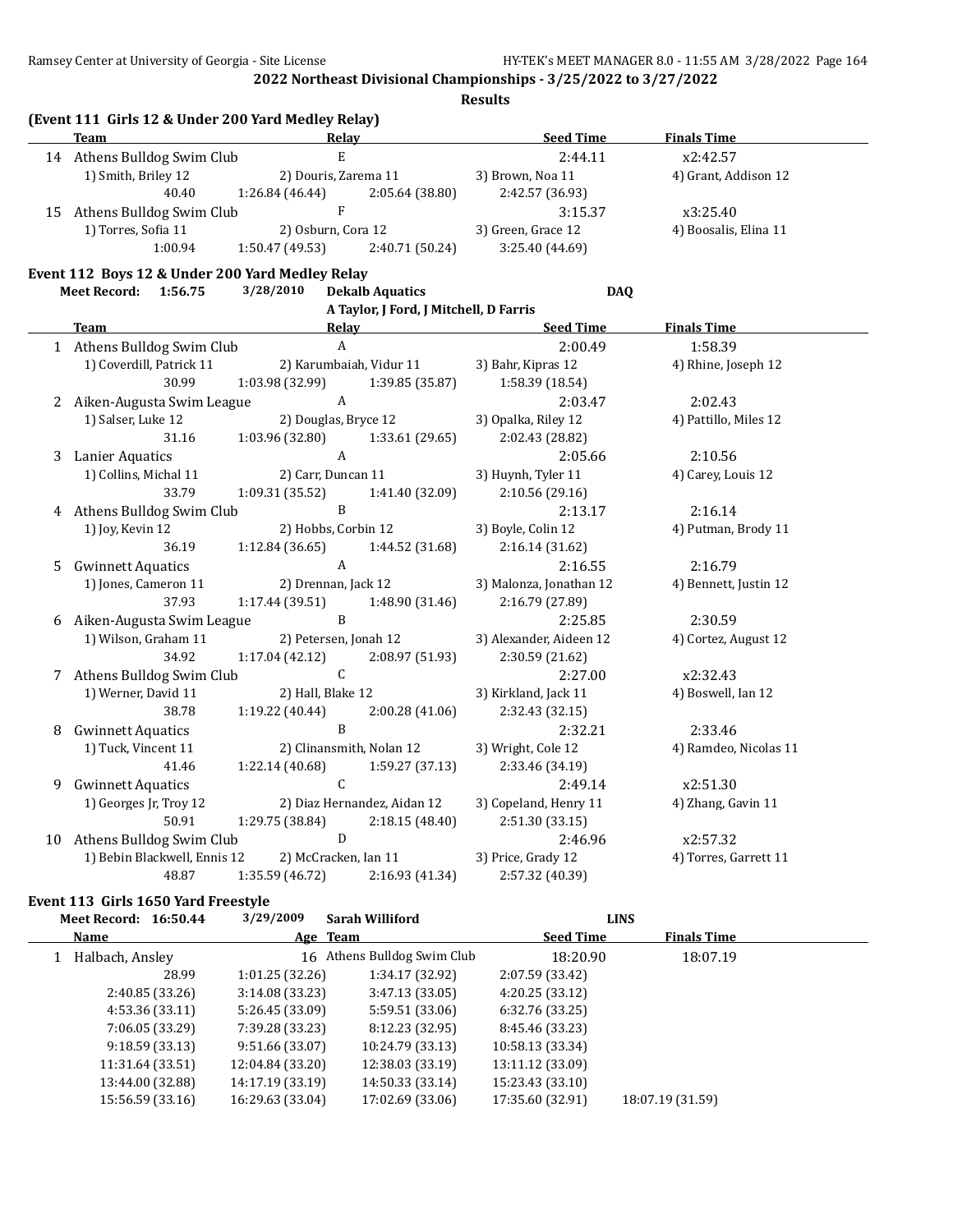**Results**

|    | (Event 111 Girls 12 & Under 200 Yard Medley Relay) |                           |                                        |                         |                       |
|----|----------------------------------------------------|---------------------------|----------------------------------------|-------------------------|-----------------------|
|    | <b>Team</b>                                        | Relay                     |                                        | <b>Seed Time</b>        | <b>Finals Time</b>    |
|    | 14 Athens Bulldog Swim Club                        | $\mathbf E$               |                                        | 2:44.11                 | x2:42.57              |
|    | 1) Smith, Briley 12                                | 2) Douris, Zarema 11      |                                        | 3) Brown, Noa 11        | 4) Grant, Addison 12  |
|    | 40.40                                              | 1:26.84 (46.44)           | 2:05.64 (38.80)                        | 2:42.57 (36.93)         |                       |
| 15 | Athens Bulldog Swim Club                           | $\mathbf{F}$              |                                        | 3:15.37                 | x3:25.40              |
|    | 1) Torres, Sofia 11                                | 2) Osburn, Cora 12        |                                        | 3) Green, Grace 12      | 4) Boosalis, Elina 11 |
|    | 1:00.94                                            | 1:50.47(49.53)            | 2:40.71 (50.24)                        | 3:25.40 (44.69)         |                       |
|    | Event 112 Boys 12 & Under 200 Yard Medley Relay    |                           |                                        |                         |                       |
|    | Meet Record: 1:56.75                               | 3/28/2010                 | <b>Dekalb Aquatics</b>                 | <b>DAQ</b>              |                       |
|    |                                                    |                           | A Taylor, J Ford, J Mitchell, D Farris |                         |                       |
|    | <b>Team</b>                                        | Relay                     |                                        | <b>Seed Time</b>        | <b>Finals Time</b>    |
|    | 1 Athens Bulldog Swim Club                         | $\boldsymbol{\mathsf{A}}$ |                                        | 2:00.49                 | 1:58.39               |
|    | 1) Coverdill, Patrick 11                           |                           | 2) Karumbaiah, Vidur 11                | 3) Bahr, Kipras 12      | 4) Rhine, Joseph 12   |
|    | 30.99<br>1:03.98 (32.99)<br>1:39.85 (35.87)        |                           | 1:58.39 (18.54)                        |                         |                       |
|    | 2 Aiken-Augusta Swim League                        | $\boldsymbol{\mathrm{A}}$ |                                        | 2:03.47                 | 2:02.43               |
|    | 1) Salser, Luke 12<br>2) Douglas, Bryce 12         |                           |                                        | 3) Opalka, Riley 12     | 4) Pattillo, Miles 12 |
|    | 31.16                                              | 1:03.96 (32.80)           | 1:33.61 (29.65)                        | 2:02.43 (28.82)         |                       |
|    | 3 Lanier Aquatics                                  | $\mathbf{A}$              |                                        | 2:05.66                 | 2:10.56               |
|    | 1) Collins, Michal 11                              | 2) Carr, Duncan 11        |                                        | 3) Huynh, Tyler 11      | 4) Carey, Louis 12    |
|    | 33.79                                              | 1:09.31 (35.52)           | 1:41.40 (32.09)                        | 2:10.56 (29.16)         |                       |
|    | 4 Athens Bulldog Swim Club                         | $\, {\bf B}$              |                                        | 2:13.17                 | 2:16.14               |
|    | 1) Joy, Kevin 12                                   | 2) Hobbs, Corbin 12       |                                        | 3) Boyle, Colin 12      | 4) Putman, Brody 11   |
|    | 36.19                                              | 1:12.84 (36.65)           | 1:44.52 (31.68)                        | 2:16.14 (31.62)         |                       |
| 5  | <b>Gwinnett Aquatics</b>                           | A                         |                                        | 2:16.55                 | 2:16.79               |
|    | 1) Jones, Cameron 11                               | 2) Drennan, Jack 12       |                                        | 3) Malonza, Jonathan 12 | 4) Bennett, Justin 12 |
|    | 37.93                                              | 1:17.44(39.51)            | 1:48.90 (31.46)                        | 2:16.79 (27.89)         |                       |
|    | 6 Aiken-Augusta Swim League                        | $\, {\bf B}$              |                                        | 2:25.85                 | 2:30.59               |
|    | 1) Wilson, Graham 11                               | 2) Petersen, Jonah 12     |                                        | 3) Alexander, Aideen 12 | 4) Cortez, August 12  |
|    | 34.92                                              | 1:17.04 (42.12)           | 2:08.97 (51.93)                        | 2:30.59 (21.62)         |                       |
|    | 7 Athens Bulldog Swim Club                         | $\mathsf{C}$              |                                        | 2:27.00                 | x2:32.43              |
|    | 1) Werner, David 11                                | 2) Hall, Blake 12         |                                        | 3) Kirkland, Jack 11    | 4) Boswell, Ian 12    |
|    | 38.78                                              | 1:19.22 (40.44)           | 2:00.28 (41.06)                        | 2:32.43 (32.15)         |                       |
| 8  | <b>Gwinnett Aquatics</b>                           | $\mathbf{B}$              |                                        | 2:32.21                 | 2:33.46               |
|    | 1) Tuck, Vincent 11                                |                           | 2) Clinansmith, Nolan 12               | 3) Wright, Cole 12      | 4) Ramdeo, Nicolas 11 |
|    | 41.46                                              | 1:22.14 (40.68)           | 1:59.27 (37.13)                        | 2:33.46 (34.19)         |                       |
| 9  | <b>Gwinnett Aquatics</b>                           | $\mathsf C$               |                                        | 2:49.14                 | x2:51.30              |
|    | 1) Georges Jr, Troy 12                             |                           | 2) Diaz Hernandez, Aidan 12            | 3) Copeland, Henry 11   | 4) Zhang, Gavin 11    |
|    | 50.91                                              | 1:29.75 (38.84)           | 2:18.15(48.40)                         | 2:51.30 (33.15)         |                       |
| 10 | Athens Bulldog Swim Club                           | D                         |                                        | 2:46.96                 | x2:57.32              |
|    |                                                    | 2) McCracken, Ian 11      |                                        | 3) Price, Grady 12      | 4) Torres, Garrett 11 |
|    | 1) Bebin Blackwell, Ennis 12<br>48.87              | 1:35.59 (46.72)           | 2:16.93 (41.34)                        | 2:57.32 (40.39)         |                       |

**Event 113 Girls 1650 Yard Freestyle**

**Meet Record: 16:50.44 3/29/2009 Sarah Williford LINS Name Age Team Seed Time Finals Time** 1 Halbach, Ansley 16 Athens Bulldog Swim Club 18:20.90 18:07.19 28.99 1:01.25 (32.26) 1:34.17 (32.92) 2:07.59 (33.42) 2:40.85 (33.26) 3:14.08 (33.23) 3:47.13 (33.05) 4:20.25 (33.12) 4:53.36 (33.11) 5:26.45 (33.09) 5:59.51 (33.06) 6:32.76 (33.25) 7:06.05 (33.29) 7:39.28 (33.23) 8:12.23 (32.95) 8:45.46 (33.23) 9:18.59 (33.13) 9:51.66 (33.07) 10:24.79 (33.13) 10:58.13 (33.34) 11:31.64 (33.51) 12:04.84 (33.20) 12:38.03 (33.19) 13:11.12 (33.09) 13:44.00 (32.88) 14:17.19 (33.19) 14:50.33 (33.14) 15:23.43 (33.10) 15:56.59 (33.16) 16:29.63 (33.04) 17:02.69 (33.06) 17:35.60 (32.91) 18:07.19 (31.59)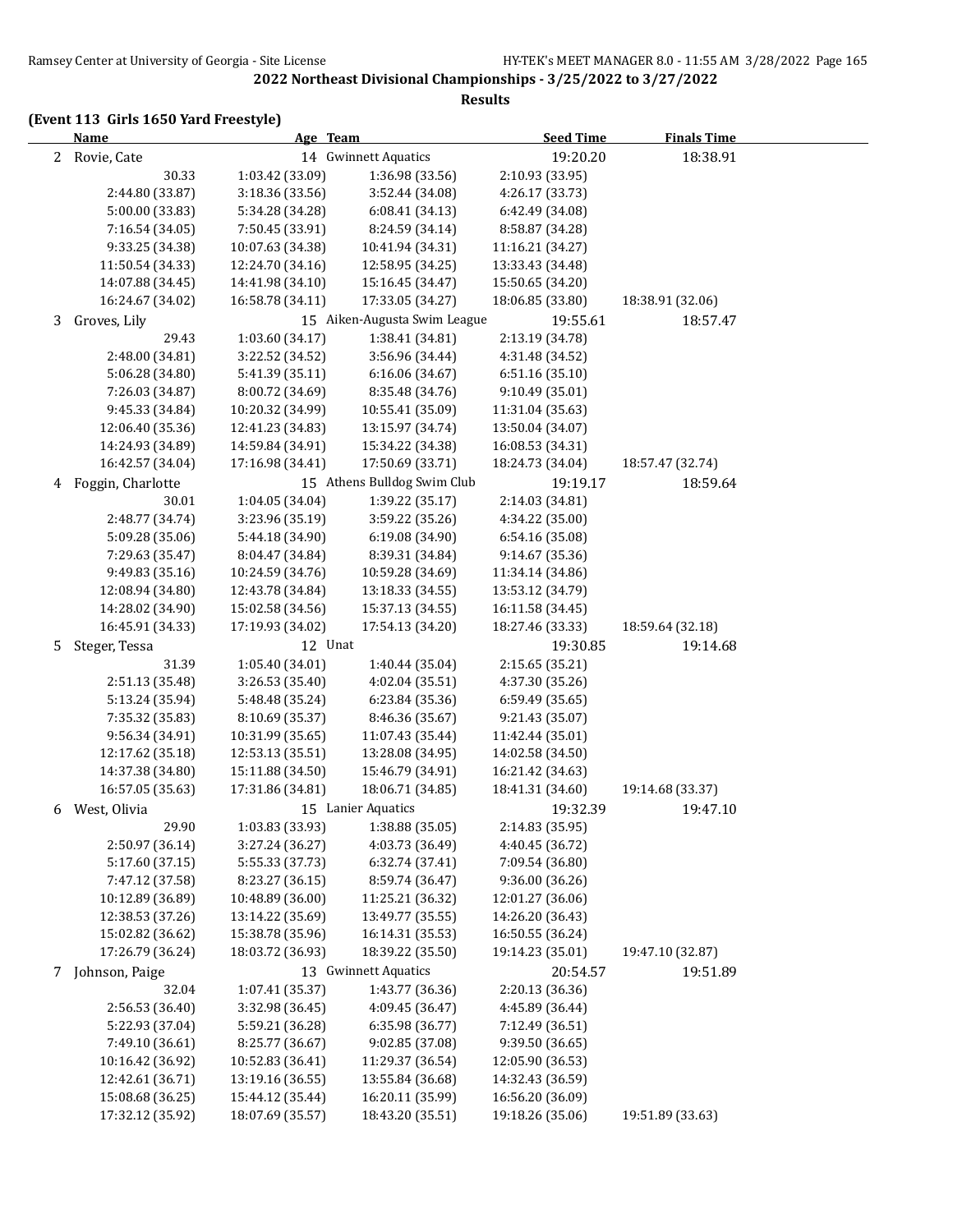#### **Results**

# **(Event 113 Girls 1650 Yard Freestyle)**

|   | <b>Name</b>       | Age Team         |                              | <b>Seed Time</b> | <b>Finals Time</b> |  |
|---|-------------------|------------------|------------------------------|------------------|--------------------|--|
|   | 2 Rovie, Cate     |                  | 14 Gwinnett Aquatics         | 19:20.20         | 18:38.91           |  |
|   | 30.33             | 1:03.42 (33.09)  | 1:36.98 (33.56)              | 2:10.93 (33.95)  |                    |  |
|   | 2:44.80 (33.87)   | 3:18.36 (33.56)  | 3:52.44 (34.08)              | 4:26.17 (33.73)  |                    |  |
|   | 5:00.00 (33.83)   | 5:34.28 (34.28)  | 6:08.41(34.13)               | 6:42.49 (34.08)  |                    |  |
|   | 7:16.54 (34.05)   | 7:50.45 (33.91)  | 8:24.59 (34.14)              | 8:58.87 (34.28)  |                    |  |
|   | 9:33.25 (34.38)   | 10:07.63 (34.38) | 10:41.94 (34.31)             | 11:16.21 (34.27) |                    |  |
|   | 11:50.54 (34.33)  | 12:24.70 (34.16) | 12:58.95 (34.25)             | 13:33.43 (34.48) |                    |  |
|   | 14:07.88 (34.45)  | 14:41.98 (34.10) | 15:16.45 (34.47)             | 15:50.65 (34.20) |                    |  |
|   | 16:24.67 (34.02)  | 16:58.78 (34.11) | 17:33.05 (34.27)             | 18:06.85 (33.80) | 18:38.91 (32.06)   |  |
| 3 | Groves, Lily      |                  | 15 Aiken-Augusta Swim League | 19:55.61         | 18:57.47           |  |
|   | 29.43             | 1:03.60 (34.17)  | 1:38.41 (34.81)              | 2:13.19 (34.78)  |                    |  |
|   | 2:48.00 (34.81)   | 3:22.52 (34.52)  | 3:56.96 (34.44)              | 4:31.48 (34.52)  |                    |  |
|   | 5:06.28 (34.80)   | 5:41.39 (35.11)  | 6:16.06 (34.67)              | 6:51.16 (35.10)  |                    |  |
|   | 7:26.03 (34.87)   | 8:00.72 (34.69)  | 8:35.48 (34.76)              | 9:10.49 (35.01)  |                    |  |
|   | 9:45.33 (34.84)   | 10:20.32 (34.99) | 10:55.41 (35.09)             | 11:31.04 (35.63) |                    |  |
|   | 12:06.40 (35.36)  | 12:41.23 (34.83) | 13:15.97 (34.74)             | 13:50.04 (34.07) |                    |  |
|   | 14:24.93 (34.89)  | 14:59.84 (34.91) | 15:34.22 (34.38)             | 16:08.53 (34.31) |                    |  |
|   | 16:42.57 (34.04)  | 17:16.98 (34.41) | 17:50.69 (33.71)             | 18:24.73 (34.04) | 18:57.47 (32.74)   |  |
| 4 | Foggin, Charlotte |                  | 15 Athens Bulldog Swim Club  | 19:19.17         | 18:59.64           |  |
|   | 30.01             | 1:04.05 (34.04)  | 1:39.22 (35.17)              | 2:14.03 (34.81)  |                    |  |
|   | 2:48.77 (34.74)   | 3:23.96 (35.19)  | 3:59.22 (35.26)              | 4:34.22 (35.00)  |                    |  |
|   | 5:09.28 (35.06)   | 5:44.18 (34.90)  | 6:19.08 (34.90)              | 6:54.16 (35.08)  |                    |  |
|   | 7:29.63 (35.47)   | 8:04.47 (34.84)  | 8:39.31 (34.84)              | 9:14.67 (35.36)  |                    |  |
|   | 9:49.83 (35.16)   | 10:24.59 (34.76) | 10:59.28 (34.69)             | 11:34.14 (34.86) |                    |  |
|   | 12:08.94 (34.80)  | 12:43.78 (34.84) | 13:18.33 (34.55)             | 13:53.12 (34.79) |                    |  |
|   | 14:28.02 (34.90)  | 15:02.58 (34.56) | 15:37.13 (34.55)             | 16:11.58 (34.45) |                    |  |
|   | 16:45.91 (34.33)  | 17:19.93 (34.02) | 17:54.13 (34.20)             | 18:27.46 (33.33) | 18:59.64 (32.18)   |  |
| 5 | Steger, Tessa     | 12 Unat          |                              | 19:30.85         | 19:14.68           |  |
|   | 31.39             | 1:05.40 (34.01)  | 1:40.44 (35.04)              | 2:15.65 (35.21)  |                    |  |
|   | 2:51.13 (35.48)   | 3:26.53 (35.40)  | 4:02.04 (35.51)              | 4:37.30 (35.26)  |                    |  |
|   | 5:13.24 (35.94)   | 5:48.48 (35.24)  | 6:23.84 (35.36)              | 6:59.49 (35.65)  |                    |  |
|   | 7:35.32 (35.83)   | 8:10.69 (35.37)  | 8:46.36 (35.67)              | 9:21.43 (35.07)  |                    |  |
|   | 9:56.34 (34.91)   | 10:31.99 (35.65) | 11:07.43 (35.44)             | 11:42.44 (35.01) |                    |  |
|   | 12:17.62 (35.18)  | 12:53.13 (35.51) | 13:28.08 (34.95)             | 14:02.58 (34.50) |                    |  |
|   | 14:37.38 (34.80)  | 15:11.88 (34.50) | 15:46.79 (34.91)             | 16:21.42 (34.63) |                    |  |
|   | 16:57.05 (35.63)  | 17:31.86 (34.81) | 18:06.71 (34.85)             | 18:41.31 (34.60) | 19:14.68 (33.37)   |  |
| 6 | West, Olivia      |                  | 15 Lanier Aquatics           | 19:32.39         | 19:47.10           |  |
|   | 29.90             | 1:03.83 (33.93)  | 1:38.88 (35.05)              | 2:14.83 (35.95)  |                    |  |
|   | 2:50.97 (36.14)   | 3:27.24 (36.27)  | 4:03.73 (36.49)              | 4:40.45 (36.72)  |                    |  |
|   | 5:17.60 (37.15)   | 5:55.33 (37.73)  | 6:32.74 (37.41)              | 7:09.54 (36.80)  |                    |  |
|   | 7:47.12 (37.58)   | 8:23.27 (36.15)  | 8:59.74 (36.47)              | 9:36.00 (36.26)  |                    |  |
|   | 10:12.89 (36.89)  | 10:48.89 (36.00) | 11:25.21 (36.32)             | 12:01.27 (36.06) |                    |  |
|   | 12:38.53 (37.26)  | 13:14.22 (35.69) | 13:49.77 (35.55)             | 14:26.20 (36.43) |                    |  |
|   | 15:02.82 (36.62)  | 15:38.78 (35.96) | 16:14.31 (35.53)             | 16:50.55 (36.24) |                    |  |
|   | 17:26.79 (36.24)  | 18:03.72 (36.93) | 18:39.22 (35.50)             | 19:14.23 (35.01) | 19:47.10 (32.87)   |  |
|   | 7 Johnson, Paige  |                  | 13 Gwinnett Aquatics         | 20:54.57         | 19:51.89           |  |
|   | 32.04             | 1:07.41 (35.37)  | 1:43.77 (36.36)              | 2:20.13 (36.36)  |                    |  |
|   | 2:56.53 (36.40)   | 3:32.98 (36.45)  | 4:09.45 (36.47)              | 4:45.89 (36.44)  |                    |  |
|   | 5:22.93 (37.04)   | 5:59.21 (36.28)  | 6:35.98 (36.77)              | 7:12.49 (36.51)  |                    |  |
|   | 7:49.10 (36.61)   | 8:25.77 (36.67)  | 9:02.85 (37.08)              | 9:39.50 (36.65)  |                    |  |
|   | 10:16.42 (36.92)  | 10:52.83 (36.41) | 11:29.37 (36.54)             | 12:05.90 (36.53) |                    |  |
|   | 12:42.61 (36.71)  | 13:19.16 (36.55) | 13:55.84 (36.68)             | 14:32.43 (36.59) |                    |  |
|   | 15:08.68 (36.25)  | 15:44.12 (35.44) | 16:20.11 (35.99)             | 16:56.20 (36.09) |                    |  |
|   | 17:32.12 (35.92)  | 18:07.69 (35.57) | 18:43.20 (35.51)             | 19:18.26 (35.06) | 19:51.89 (33.63)   |  |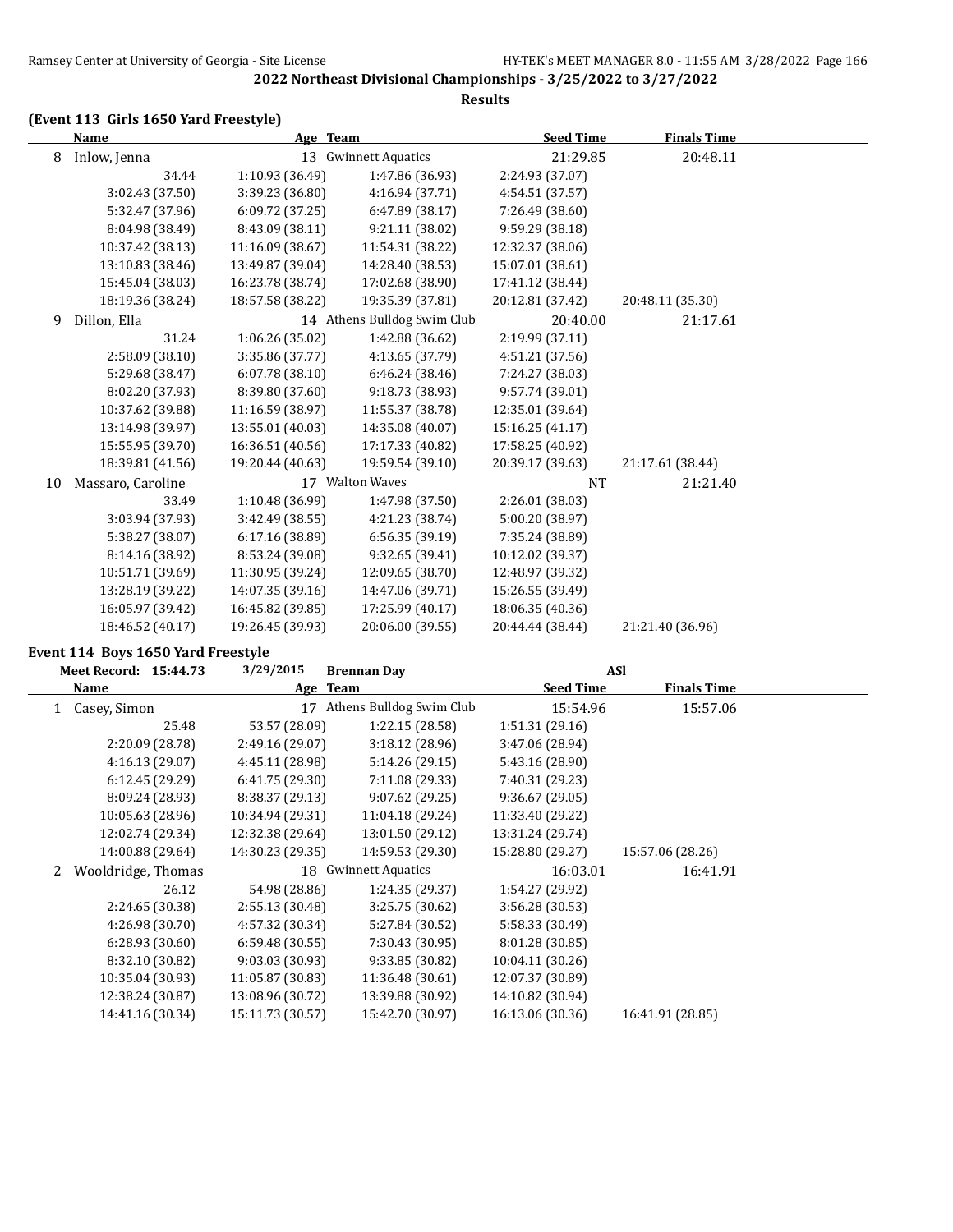# **(Event 113 Girls 1650 Yard Freestyle)**

|    | <b>Name</b>       | Age Team         |                             | <b>Seed Time</b> | <b>Finals Time</b> |  |
|----|-------------------|------------------|-----------------------------|------------------|--------------------|--|
| 8  | Inlow, Jenna      |                  | 13 Gwinnett Aquatics        | 21:29.85         | 20:48.11           |  |
|    | 34.44             | 1:10.93 (36.49)  | 1:47.86 (36.93)             | 2:24.93 (37.07)  |                    |  |
|    | 3:02.43 (37.50)   | 3:39.23 (36.80)  | 4:16.94 (37.71)             | 4:54.51 (37.57)  |                    |  |
|    | 5:32.47 (37.96)   | 6:09.72(37.25)   | 6:47.89 (38.17)             | 7:26.49 (38.60)  |                    |  |
|    | 8:04.98 (38.49)   | 8:43.09 (38.11)  | 9:21.11 (38.02)             | 9:59.29 (38.18)  |                    |  |
|    | 10:37.42 (38.13)  | 11:16.09 (38.67) | 11:54.31 (38.22)            | 12:32.37 (38.06) |                    |  |
|    | 13:10.83 (38.46)  | 13:49.87 (39.04) | 14:28.40 (38.53)            | 15:07.01 (38.61) |                    |  |
|    | 15:45.04 (38.03)  | 16:23.78 (38.74) | 17:02.68 (38.90)            | 17:41.12 (38.44) |                    |  |
|    | 18:19.36 (38.24)  | 18:57.58 (38.22) | 19:35.39 (37.81)            | 20:12.81 (37.42) | 20:48.11 (35.30)   |  |
| 9  | Dillon, Ella      |                  | 14 Athens Bulldog Swim Club | 20:40.00         | 21:17.61           |  |
|    | 31.24             | 1:06.26 (35.02)  | 1:42.88 (36.62)             | 2:19.99 (37.11)  |                    |  |
|    | 2:58.09 (38.10)   | 3:35.86 (37.77)  | 4:13.65 (37.79)             | 4:51.21 (37.56)  |                    |  |
|    | 5:29.68 (38.47)   | 6:07.78(38.10)   | 6:46.24(38.46)              | 7:24.27 (38.03)  |                    |  |
|    | 8:02.20 (37.93)   | 8:39.80 (37.60)  | 9:18.73 (38.93)             | 9:57.74 (39.01)  |                    |  |
|    | 10:37.62 (39.88)  | 11:16.59 (38.97) | 11:55.37 (38.78)            | 12:35.01 (39.64) |                    |  |
|    | 13:14.98 (39.97)  | 13:55.01 (40.03) | 14:35.08 (40.07)            | 15:16.25 (41.17) |                    |  |
|    | 15:55.95 (39.70)  | 16:36.51 (40.56) | 17:17.33 (40.82)            | 17:58.25 (40.92) |                    |  |
|    | 18:39.81 (41.56)  | 19:20.44 (40.63) | 19:59.54 (39.10)            | 20:39.17 (39.63) | 21:17.61 (38.44)   |  |
| 10 | Massaro, Caroline |                  | 17 Walton Waves             | <b>NT</b>        | 21:21.40           |  |
|    | 33.49             | 1:10.48 (36.99)  | 1:47.98 (37.50)             | 2:26.01 (38.03)  |                    |  |
|    | 3:03.94 (37.93)   | 3:42.49 (38.55)  | 4:21.23 (38.74)             | 5:00.20 (38.97)  |                    |  |
|    | 5:38.27 (38.07)   | 6:17.16 (38.89)  | 6:56.35 (39.19)             | 7:35.24 (38.89)  |                    |  |
|    | 8:14.16 (38.92)   | 8:53.24 (39.08)  | 9:32.65 (39.41)             | 10:12.02 (39.37) |                    |  |
|    | 10:51.71 (39.69)  | 11:30.95 (39.24) | 12:09.65 (38.70)            | 12:48.97 (39.32) |                    |  |
|    | 13:28.19 (39.22)  | 14:07.35 (39.16) | 14:47.06 (39.71)            | 15:26.55 (39.49) |                    |  |
|    | 16:05.97 (39.42)  | 16:45.82 (39.85) | 17:25.99 (40.17)            | 18:06.35 (40.36) |                    |  |
|    | 18:46.52 (40.17)  | 19:26.45 (39.93) | 20:06.00 (39.55)            | 20:44.44 (38.44) | 21:21.40 (36.96)   |  |

#### **Event 114 Boys 1650 Yard Freestyle**

|              | Meet Record: 15:44.73 | 3/29/2015        | <b>Brennan Day</b>       |                  | <b>ASI</b>         |  |
|--------------|-----------------------|------------------|--------------------------|------------------|--------------------|--|
|              | Name                  | Age Team         |                          | <b>Seed Time</b> | <b>Finals Time</b> |  |
| $\mathbf{1}$ | Casey, Simon          | 17               | Athens Bulldog Swim Club | 15:54.96         | 15:57.06           |  |
|              | 25.48                 | 53.57 (28.09)    | 1:22.15(28.58)           | 1:51.31(29.16)   |                    |  |
|              | 2:20.09 (28.78)       | 2:49.16 (29.07)  | 3:18.12(28.96)           | 3:47.06 (28.94)  |                    |  |
|              | 4:16.13(29.07)        | 4:45.11 (28.98)  | 5:14.26 (29.15)          | 5:43.16 (28.90)  |                    |  |
|              | 6:12.45(29.29)        | 6:41.75(29.30)   | 7:11.08 (29.33)          | 7:40.31 (29.23)  |                    |  |
|              | 8:09.24 (28.93)       | 8:38.37 (29.13)  | 9:07.62(29.25)           | 9:36.67(29.05)   |                    |  |
|              | 10:05.63 (28.96)      | 10:34.94 (29.31) | 11:04.18 (29.24)         | 11:33.40 (29.22) |                    |  |
|              | 12:02.74 (29.34)      | 12:32.38 (29.64) | 13:01.50 (29.12)         | 13:31.24 (29.74) |                    |  |
|              | 14:00.88 (29.64)      | 14:30.23 (29.35) | 14:59.53 (29.30)         | 15:28.80 (29.27) | 15:57.06 (28.26)   |  |
|              | Wooldridge, Thomas    | 18               | <b>Gwinnett Aquatics</b> | 16:03.01         | 16:41.91           |  |
|              | 26.12                 | 54.98 (28.86)    | 1:24.35 (29.37)          | 1:54.27 (29.92)  |                    |  |
|              | 2:24.65 (30.38)       | 2:55.13 (30.48)  | 3:25.75 (30.62)          | 3:56.28 (30.53)  |                    |  |
|              | 4:26.98 (30.70)       | 4:57.32 (30.34)  | 5:27.84 (30.52)          | 5:58.33 (30.49)  |                    |  |
|              | 6:28.93(30.60)        | 6:59.48(30.55)   | 7:30.43 (30.95)          | 8:01.28 (30.85)  |                    |  |
|              | 8:32.10 (30.82)       | 9:03.03 (30.93)  | 9:33.85 (30.82)          | 10:04.11 (30.26) |                    |  |
|              | 10:35.04 (30.93)      | 11:05.87 (30.83) | 11:36.48 (30.61)         | 12:07.37 (30.89) |                    |  |
|              | 12:38.24 (30.87)      | 13:08.96 (30.72) | 13:39.88 (30.92)         | 14:10.82 (30.94) |                    |  |
|              | 14:41.16 (30.34)      | 15:11.73 (30.57) | 15:42.70 (30.97)         | 16:13.06 (30.36) | 16:41.91 (28.85)   |  |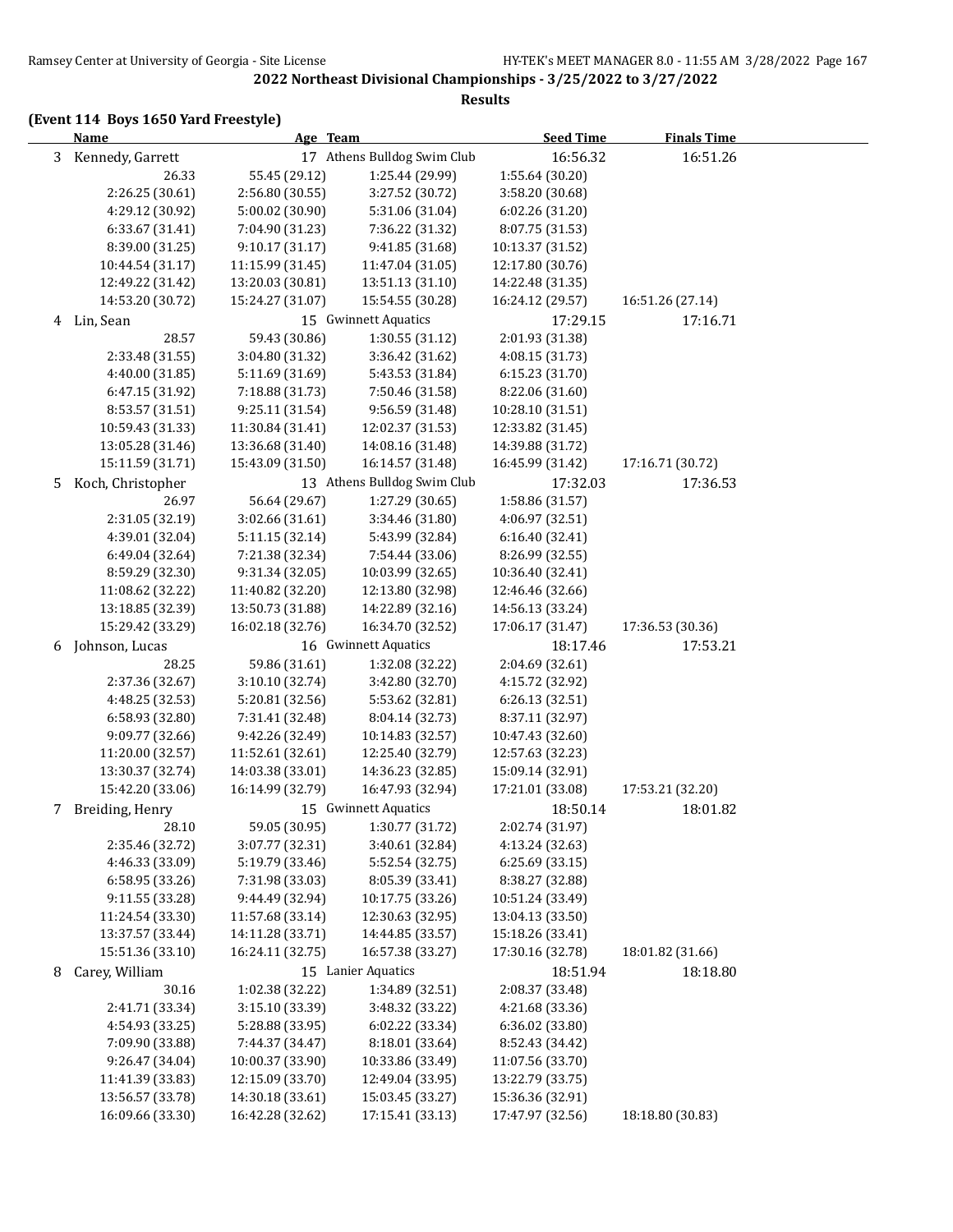#### **Results**

# **(Event 114 Boys 1650 Yard Freestyle)**

|    | <b>Name</b>        | Age Team         |                             | <b>Seed Time</b> | <b>Finals Time</b> |  |
|----|--------------------|------------------|-----------------------------|------------------|--------------------|--|
|    | 3 Kennedy, Garrett |                  | 17 Athens Bulldog Swim Club | 16:56.32         | 16:51.26           |  |
|    | 26.33              | 55.45 (29.12)    | 1:25.44 (29.99)             | 1:55.64 (30.20)  |                    |  |
|    | 2:26.25 (30.61)    | 2:56.80 (30.55)  | 3:27.52 (30.72)             | 3:58.20 (30.68)  |                    |  |
|    | 4:29.12 (30.92)    | 5:00.02 (30.90)  | 5:31.06 (31.04)             | 6:02.26 (31.20)  |                    |  |
|    | 6:33.67 (31.41)    | 7:04.90 (31.23)  | 7:36.22 (31.32)             | 8:07.75 (31.53)  |                    |  |
|    | 8:39.00 (31.25)    | 9:10.17 (31.17)  | 9:41.85 (31.68)             | 10:13.37 (31.52) |                    |  |
|    | 10:44.54 (31.17)   | 11:15.99 (31.45) | 11:47.04 (31.05)            | 12:17.80 (30.76) |                    |  |
|    | 12:49.22 (31.42)   | 13:20.03 (30.81) | 13:51.13 (31.10)            | 14:22.48 (31.35) |                    |  |
|    | 14:53.20 (30.72)   | 15:24.27 (31.07) | 15:54.55 (30.28)            | 16:24.12 (29.57) | 16:51.26 (27.14)   |  |
| 4  | Lin, Sean          |                  | 15 Gwinnett Aquatics        | 17:29.15         | 17:16.71           |  |
|    | 28.57              | 59.43 (30.86)    | 1:30.55 (31.12)             | 2:01.93 (31.38)  |                    |  |
|    | 2:33.48 (31.55)    | 3:04.80 (31.32)  | 3:36.42 (31.62)             | 4:08.15 (31.73)  |                    |  |
|    | 4:40.00 (31.85)    | 5:11.69 (31.69)  | 5:43.53 (31.84)             | 6:15.23 (31.70)  |                    |  |
|    | 6:47.15 (31.92)    | 7:18.88 (31.73)  | 7:50.46 (31.58)             | 8:22.06 (31.60)  |                    |  |
|    | 8:53.57 (31.51)    | 9:25.11 (31.54)  | 9:56.59 (31.48)             | 10:28.10 (31.51) |                    |  |
|    | 10:59.43 (31.33)   | 11:30.84 (31.41) | 12:02.37 (31.53)            | 12:33.82 (31.45) |                    |  |
|    | 13:05.28 (31.46)   | 13:36.68 (31.40) | 14:08.16 (31.48)            | 14:39.88 (31.72) |                    |  |
|    | 15:11.59 (31.71)   | 15:43.09 (31.50) | 16:14.57 (31.48)            | 16:45.99 (31.42) | 17:16.71 (30.72)   |  |
| 5. | Koch, Christopher  |                  | 13 Athens Bulldog Swim Club | 17:32.03         | 17:36.53           |  |
|    | 26.97              | 56.64 (29.67)    | 1:27.29 (30.65)             | 1:58.86 (31.57)  |                    |  |
|    | 2:31.05 (32.19)    | 3:02.66 (31.61)  | 3:34.46 (31.80)             | 4:06.97 (32.51)  |                    |  |
|    | 4:39.01 (32.04)    | 5:11.15 (32.14)  | 5:43.99 (32.84)             | 6:16.40 (32.41)  |                    |  |
|    | 6:49.04 (32.64)    | 7:21.38 (32.34)  | 7:54.44 (33.06)             | 8:26.99 (32.55)  |                    |  |
|    | 8:59.29 (32.30)    | 9:31.34 (32.05)  | 10:03.99 (32.65)            | 10:36.40 (32.41) |                    |  |
|    | 11:08.62 (32.22)   | 11:40.82 (32.20) | 12:13.80 (32.98)            | 12:46.46 (32.66) |                    |  |
|    | 13:18.85 (32.39)   | 13:50.73 (31.88) | 14:22.89 (32.16)            | 14:56.13 (33.24) |                    |  |
|    | 15:29.42 (33.29)   | 16:02.18 (32.76) | 16:34.70 (32.52)            | 17:06.17 (31.47) | 17:36.53 (30.36)   |  |
| 6  | Johnson, Lucas     |                  | 16 Gwinnett Aquatics        | 18:17.46         | 17:53.21           |  |
|    | 28.25              | 59.86 (31.61)    | 1:32.08 (32.22)             | 2:04.69 (32.61)  |                    |  |
|    | 2:37.36 (32.67)    | 3:10.10 (32.74)  | 3:42.80 (32.70)             | 4:15.72 (32.92)  |                    |  |
|    | 4:48.25 (32.53)    | 5:20.81 (32.56)  | 5:53.62 (32.81)             | 6:26.13 (32.51)  |                    |  |
|    | 6:58.93 (32.80)    | 7:31.41 (32.48)  | 8:04.14 (32.73)             | 8:37.11 (32.97)  |                    |  |
|    | 9:09.77 (32.66)    | 9:42.26 (32.49)  | 10:14.83 (32.57)            | 10:47.43 (32.60) |                    |  |
|    | 11:20.00 (32.57)   | 11:52.61 (32.61) | 12:25.40 (32.79)            | 12:57.63 (32.23) |                    |  |
|    | 13:30.37 (32.74)   | 14:03.38 (33.01) | 14:36.23 (32.85)            | 15:09.14 (32.91) |                    |  |
|    | 15:42.20 (33.06)   | 16:14.99 (32.79) | 16:47.93 (32.94)            | 17:21.01 (33.08) | 17:53.21 (32.20)   |  |
| 7  | Breiding, Henry    |                  | 15 Gwinnett Aquatics        | 18:50.14         | 18:01.82           |  |
|    | 28.10              | 59.05 (30.95)    | 1:30.77 (31.72)             | 2:02.74 (31.97)  |                    |  |
|    | 2:35.46 (32.72)    | 3:07.77 (32.31)  | 3:40.61 (32.84)             | 4:13.24 (32.63)  |                    |  |
|    | 4:46.33 (33.09)    | 5:19.79 (33.46)  | 5:52.54 (32.75)             | 6:25.69 (33.15)  |                    |  |
|    | 6:58.95 (33.26)    | 7:31.98 (33.03)  | 8:05.39 (33.41)             | 8:38.27 (32.88)  |                    |  |
|    | 9:11.55 (33.28)    | 9:44.49 (32.94)  | 10:17.75 (33.26)            | 10:51.24 (33.49) |                    |  |
|    | 11:24.54 (33.30)   | 11:57.68 (33.14) | 12:30.63 (32.95)            | 13:04.13 (33.50) |                    |  |
|    | 13:37.57 (33.44)   | 14:11.28 (33.71) | 14:44.85 (33.57)            | 15:18.26 (33.41) |                    |  |
|    | 15:51.36 (33.10)   | 16:24.11 (32.75) | 16:57.38 (33.27)            | 17:30.16 (32.78) | 18:01.82 (31.66)   |  |
| 8  | Carey, William     |                  | 15 Lanier Aquatics          | 18:51.94         | 18:18.80           |  |
|    | 30.16              | 1:02.38 (32.22)  | 1:34.89 (32.51)             | 2:08.37 (33.48)  |                    |  |
|    | 2:41.71 (33.34)    | 3:15.10 (33.39)  | 3:48.32 (33.22)             | 4:21.68 (33.36)  |                    |  |
|    | 4:54.93 (33.25)    | 5:28.88 (33.95)  | 6:02.22 (33.34)             | 6:36.02 (33.80)  |                    |  |
|    | 7:09.90 (33.88)    | 7:44.37 (34.47)  | 8:18.01 (33.64)             | 8:52.43 (34.42)  |                    |  |
|    | 9:26.47 (34.04)    | 10:00.37 (33.90) | 10:33.86 (33.49)            | 11:07.56 (33.70) |                    |  |
|    | 11:41.39 (33.83)   | 12:15.09 (33.70) | 12:49.04 (33.95)            | 13:22.79 (33.75) |                    |  |
|    | 13:56.57 (33.78)   | 14:30.18 (33.61) | 15:03.45 (33.27)            | 15:36.36 (32.91) |                    |  |
|    | 16:09.66 (33.30)   | 16:42.28 (32.62) | 17:15.41 (33.13)            | 17:47.97 (32.56) | 18:18.80 (30.83)   |  |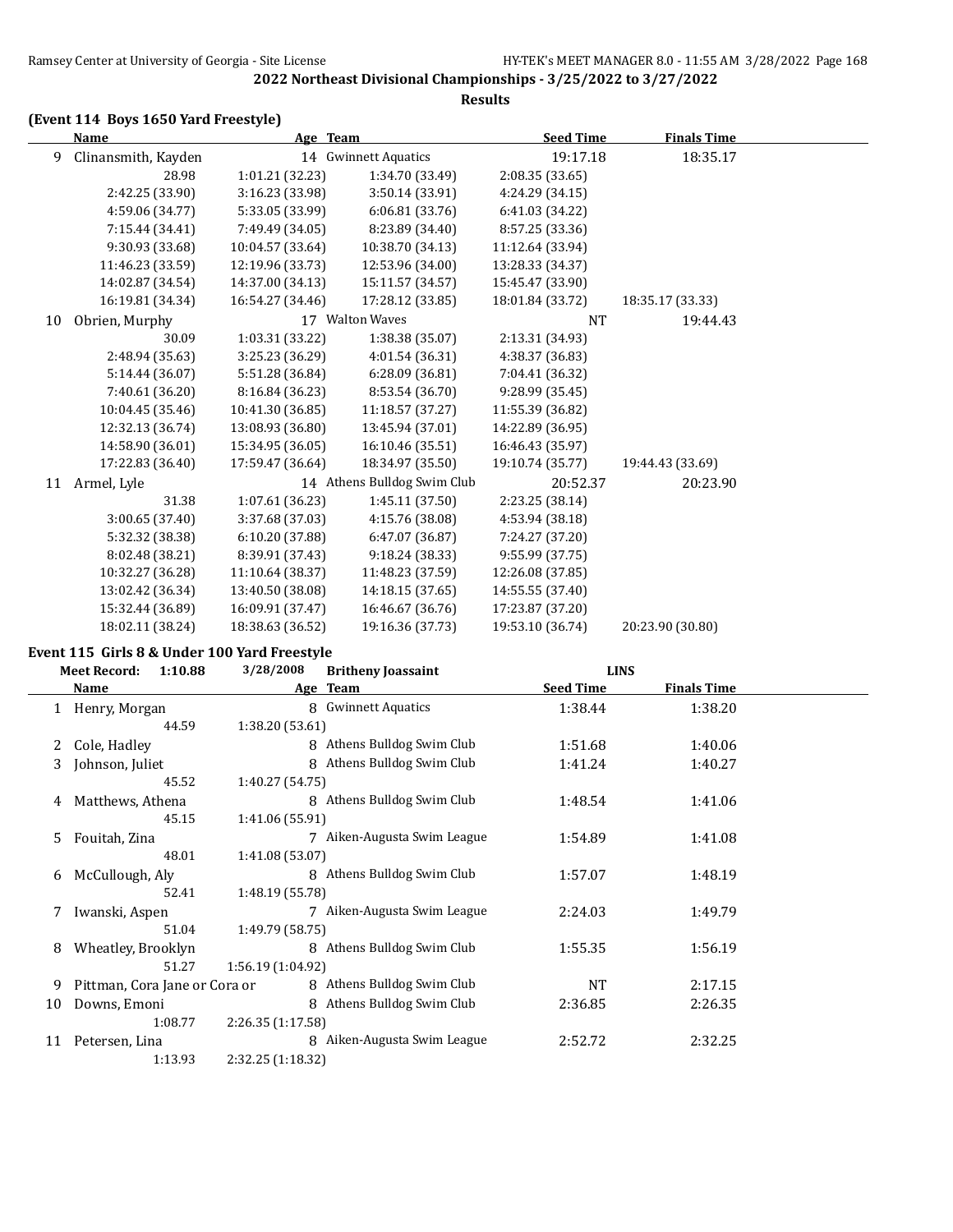# **(Event 114 Boys 1650 Yard Freestyle)**

|    | Name                | Age Team         |                             | <b>Seed Time</b> | <b>Finals Time</b> |  |
|----|---------------------|------------------|-----------------------------|------------------|--------------------|--|
| 9  | Clinansmith, Kayden |                  | 14 Gwinnett Aquatics        | 19:17.18         | 18:35.17           |  |
|    | 28.98               | 1:01.21 (32.23)  | 1:34.70 (33.49)             | 2:08.35 (33.65)  |                    |  |
|    | 2:42.25 (33.90)     | 3:16.23 (33.98)  | 3:50.14 (33.91)             | 4:24.29 (34.15)  |                    |  |
|    | 4:59.06 (34.77)     | 5:33.05 (33.99)  | 6:06.81(33.76)              | 6:41.03 (34.22)  |                    |  |
|    | 7:15.44 (34.41)     | 7:49.49 (34.05)  | 8:23.89 (34.40)             | 8:57.25 (33.36)  |                    |  |
|    | 9:30.93 (33.68)     | 10:04.57 (33.64) | 10:38.70 (34.13)            | 11:12.64 (33.94) |                    |  |
|    | 11:46.23 (33.59)    | 12:19.96 (33.73) | 12:53.96 (34.00)            | 13:28.33 (34.37) |                    |  |
|    | 14:02.87 (34.54)    | 14:37.00 (34.13) | 15:11.57 (34.57)            | 15:45.47 (33.90) |                    |  |
|    | 16:19.81 (34.34)    | 16:54.27 (34.46) | 17:28.12 (33.85)            | 18:01.84 (33.72) | 18:35.17 (33.33)   |  |
| 10 | Obrien, Murphy      |                  | 17 Walton Waves             | <b>NT</b>        | 19:44.43           |  |
|    | 30.09               | 1:03.31 (33.22)  | 1:38.38 (35.07)             | 2:13.31 (34.93)  |                    |  |
|    | 2:48.94 (35.63)     | 3:25.23 (36.29)  | 4:01.54 (36.31)             | 4:38.37 (36.83)  |                    |  |
|    | 5:14.44 (36.07)     | 5:51.28 (36.84)  | 6:28.09 (36.81)             | 7:04.41 (36.32)  |                    |  |
|    | 7:40.61 (36.20)     | 8:16.84 (36.23)  | 8:53.54 (36.70)             | 9:28.99 (35.45)  |                    |  |
|    | 10:04.45 (35.46)    | 10:41.30 (36.85) | 11:18.57 (37.27)            | 11:55.39 (36.82) |                    |  |
|    | 12:32.13 (36.74)    | 13:08.93 (36.80) | 13:45.94 (37.01)            | 14:22.89 (36.95) |                    |  |
|    | 14:58.90 (36.01)    | 15:34.95 (36.05) | 16:10.46 (35.51)            | 16:46.43 (35.97) |                    |  |
|    | 17:22.83 (36.40)    | 17:59.47 (36.64) | 18:34.97 (35.50)            | 19:10.74 (35.77) | 19:44.43 (33.69)   |  |
| 11 | Armel, Lyle         |                  | 14 Athens Bulldog Swim Club | 20:52.37         | 20:23.90           |  |
|    | 31.38               | 1:07.61 (36.23)  | 1:45.11 (37.50)             | 2:23.25 (38.14)  |                    |  |
|    | 3:00.65 (37.40)     | 3:37.68 (37.03)  | 4:15.76 (38.08)             | 4:53.94 (38.18)  |                    |  |
|    | 5:32.32 (38.38)     | 6:10.20 (37.88)  | 6:47.07 (36.87)             | 7:24.27 (37.20)  |                    |  |
|    | 8:02.48 (38.21)     | 8:39.91 (37.43)  | 9:18.24 (38.33)             | 9:55.99 (37.75)  |                    |  |
|    | 10:32.27 (36.28)    | 11:10.64 (38.37) | 11:48.23 (37.59)            | 12:26.08 (37.85) |                    |  |
|    | 13:02.42 (36.34)    | 13:40.50 (38.08) | 14:18.15 (37.65)            | 14:55.55 (37.40) |                    |  |
|    | 15:32.44 (36.89)    | 16:09.91 (37.47) | 16:46.67 (36.76)            | 17:23.87 (37.20) |                    |  |
|    | 18:02.11 (38.24)    | 18:38.63 (36.52) | 19:16.36 (37.73)            | 19:53.10 (36.74) | 20:23.90 (30.80)   |  |

# **Event 115 Girls 8 & Under 100 Yard Freestyle**

|    | <b>Meet Record:</b><br>1:10.88 | 3/28/2008         | <b>Britheny Joassaint</b>   | <b>LINS</b>      |                    |  |
|----|--------------------------------|-------------------|-----------------------------|------------------|--------------------|--|
|    | Name                           |                   | Age Team                    | <b>Seed Time</b> | <b>Finals Time</b> |  |
|    | 1 Henry, Morgan                | 8                 | <b>Gwinnett Aquatics</b>    | 1:38.44          | 1:38.20            |  |
|    | 44.59                          | 1:38.20 (53.61)   |                             |                  |                    |  |
| 2  | Cole, Hadley                   | $\mathsf{R}$      | Athens Bulldog Swim Club    | 1:51.68          | 1:40.06            |  |
| 3  | Johnson, Juliet                | 8                 | Athens Bulldog Swim Club    | 1:41.24          | 1:40.27            |  |
|    | 45.52                          | 1:40.27 (54.75)   |                             |                  |                    |  |
| 4  | Matthews, Athena               |                   | 8 Athens Bulldog Swim Club  | 1:48.54          | 1:41.06            |  |
|    | 45.15                          | 1:41.06 (55.91)   |                             |                  |                    |  |
| 5. | Fouitah, Zina                  | 7                 | Aiken-Augusta Swim League   | 1:54.89          | 1:41.08            |  |
|    | 48.01                          | 1:41.08 (53.07)   |                             |                  |                    |  |
| 6  | McCullough, Aly                |                   | 8 Athens Bulldog Swim Club  | 1:57.07          | 1:48.19            |  |
|    | 52.41                          | 1:48.19 (55.78)   |                             |                  |                    |  |
| 7  | Iwanski, Aspen                 |                   | 7 Aiken-Augusta Swim League | 2:24.03          | 1:49.79            |  |
|    | 51.04                          | 1:49.79 (58.75)   |                             |                  |                    |  |
| 8  | Wheatley, Brooklyn             |                   | 8 Athens Bulldog Swim Club  | 1:55.35          | 1:56.19            |  |
|    | 51.27                          | 1:56.19 (1:04.92) |                             |                  |                    |  |
| 9  | Pittman, Cora Jane or Cora or  |                   | 8 Athens Bulldog Swim Club  | <b>NT</b>        | 2:17.15            |  |
| 10 | Downs, Emoni                   |                   | 8 Athens Bulldog Swim Club  | 2:36.85          | 2:26.35            |  |
|    | 1:08.77                        | 2:26.35(1:17.58)  |                             |                  |                    |  |
| 11 | Petersen, Lina                 | 8                 | Aiken-Augusta Swim League   | 2:52.72          | 2:32.25            |  |
|    | 1:13.93                        | 2:32.25 (1:18.32) |                             |                  |                    |  |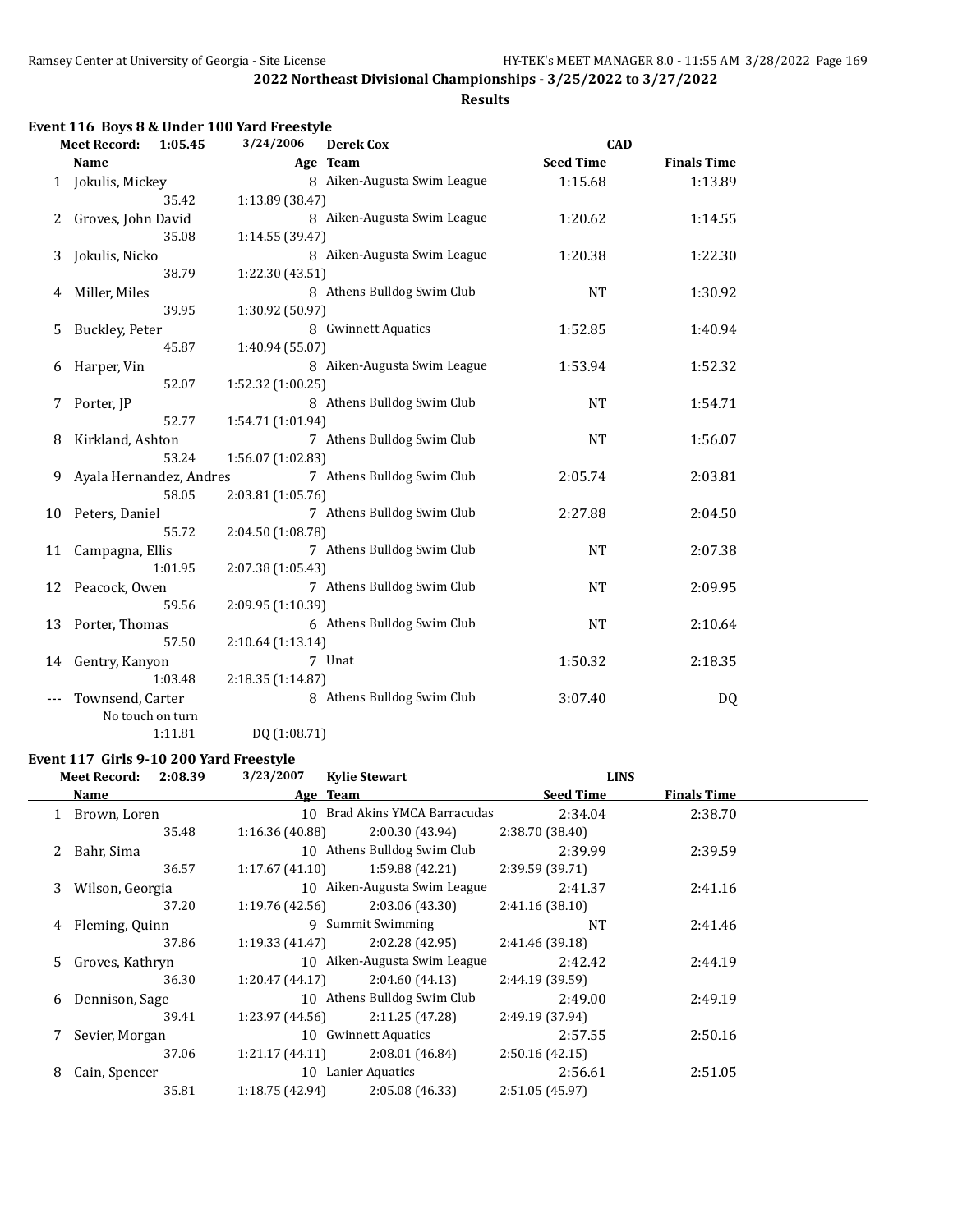#### **Results**

|     |                                | Event 116 Boys 8 & Under 100 Yard Freestyle |                             |                  |                    |  |
|-----|--------------------------------|---------------------------------------------|-----------------------------|------------------|--------------------|--|
|     | <b>Meet Record:</b><br>1:05.45 | 3/24/2006                                   | <b>Derek Cox</b>            | <b>CAD</b>       |                    |  |
|     | Name                           |                                             | Age Team                    | <b>Seed Time</b> | <b>Finals Time</b> |  |
|     | 1 Jokulis, Mickey              |                                             | 8 Aiken-Augusta Swim League | 1:15.68          | 1:13.89            |  |
|     | 35.42                          | 1:13.89 (38.47)                             |                             |                  |                    |  |
| 2   | Groves, John David             |                                             | 8 Aiken-Augusta Swim League | 1:20.62          | 1:14.55            |  |
|     | 35.08                          | 1:14.55(39.47)                              |                             |                  |                    |  |
| 3   | Jokulis, Nicko                 |                                             | 8 Aiken-Augusta Swim League | 1:20.38          | 1:22.30            |  |
|     | 38.79                          | 1:22.30 (43.51)                             |                             |                  |                    |  |
| 4   | Miller, Miles                  |                                             | 8 Athens Bulldog Swim Club  | <b>NT</b>        | 1:30.92            |  |
|     | 39.95                          | 1:30.92 (50.97)                             |                             |                  |                    |  |
| 5   | Buckley, Peter                 |                                             | 8 Gwinnett Aquatics         | 1:52.85          | 1:40.94            |  |
|     | 45.87                          | 1:40.94 (55.07)                             |                             |                  |                    |  |
| 6   | Harper, Vin                    |                                             | 8 Aiken-Augusta Swim League | 1:53.94          | 1:52.32            |  |
|     | 52.07                          | 1:52.32 (1:00.25)                           |                             |                  |                    |  |
| 7   | Porter, JP                     |                                             | 8 Athens Bulldog Swim Club  | <b>NT</b>        | 1:54.71            |  |
|     | 52.77                          | 1:54.71 (1:01.94)                           |                             |                  |                    |  |
| 8   | Kirkland, Ashton               |                                             | 7 Athens Bulldog Swim Club  | <b>NT</b>        | 1:56.07            |  |
|     | 53.24                          | 1:56.07 (1:02.83)                           |                             |                  |                    |  |
| 9   | Ayala Hernandez, Andres        |                                             | 7 Athens Bulldog Swim Club  | 2:05.74          | 2:03.81            |  |
|     | 58.05                          | 2:03.81 (1:05.76)                           |                             |                  |                    |  |
| 10  | Peters, Daniel                 |                                             | 7 Athens Bulldog Swim Club  | 2:27.88          | 2:04.50            |  |
|     | 55.72                          | 2:04.50 (1:08.78)                           |                             |                  |                    |  |
| 11  | Campagna, Ellis                |                                             | 7 Athens Bulldog Swim Club  | <b>NT</b>        | 2:07.38            |  |
|     | 1:01.95                        | 2:07.38 (1:05.43)                           |                             |                  |                    |  |
| 12  | Peacock, Owen                  |                                             | 7 Athens Bulldog Swim Club  | <b>NT</b>        | 2:09.95            |  |
|     | 59.56                          | 2:09.95 (1:10.39)                           |                             |                  |                    |  |
| 13  | Porter, Thomas                 |                                             | 6 Athens Bulldog Swim Club  | <b>NT</b>        | 2:10.64            |  |
|     | 57.50                          | 2:10.64 (1:13.14)                           |                             |                  |                    |  |
| 14  | Gentry, Kanyon                 |                                             | 7 Unat                      | 1:50.32          | 2:18.35            |  |
|     | 1:03.48                        | 2:18.35 (1:14.87)                           |                             |                  |                    |  |
| --- | Townsend, Carter               |                                             | 8 Athens Bulldog Swim Club  | 3:07.40          | DQ                 |  |
|     | No touch on turn               |                                             |                             |                  |                    |  |
|     | 1:11.81                        | DQ (1:08.71)                                |                             |                  |                    |  |

#### **Event 117 Girls 9-10 200 Yard Freestyle**

|   | <b>Meet Record:</b> | 2:08.39 | 3/23/2007       | <b>Kylie Stewart</b>          | <b>LINS</b>      |                    |  |
|---|---------------------|---------|-----------------|-------------------------------|------------------|--------------------|--|
|   | Name                |         |                 | Age Team                      | <b>Seed Time</b> | <b>Finals Time</b> |  |
|   | 1 Brown, Loren      |         |                 | 10 Brad Akins YMCA Barracudas | 2:34.04          | 2:38.70            |  |
|   |                     | 35.48   | 1:16.36 (40.88) | 2:00.30(43.94)                | 2:38.70(38.40)   |                    |  |
|   | 2 Bahr, Sima        |         |                 | 10 Athens Bulldog Swim Club   | 2:39.99          | 2:39.59            |  |
|   |                     | 36.57   | 1:17.67 (41.10) | 1:59.88 (42.21)               | 2:39.59(39.71)   |                    |  |
|   | 3 Wilson, Georgia   |         |                 | 10 Aiken-Augusta Swim League  | 2:41.37          | 2:41.16            |  |
|   |                     | 37.20   | 1:19.76 (42.56) | 2:03.06 (43.30)               | 2:41.16(38.10)   |                    |  |
|   | 4 Fleming, Quinn    |         |                 | 9 Summit Swimming             | <b>NT</b>        | 2:41.46            |  |
|   |                     | 37.86   | 1:19.33 (41.47) | 2:02.28 (42.95)               | 2:41.46 (39.18)  |                    |  |
|   | 5 Groves, Kathryn   |         |                 | 10 Aiken-Augusta Swim League  | 2:42.42          | 2:44.19            |  |
|   |                     | 36.30   | 1:20.47 (44.17) | 2:04.60(44.13)                | 2:44.19 (39.59)  |                    |  |
|   | 6 Dennison, Sage    |         |                 | 10 Athens Bulldog Swim Club   | 2:49.00          | 2:49.19            |  |
|   |                     | 39.41   | 1:23.97 (44.56) | 2:11.25(47.28)                | 2:49.19 (37.94)  |                    |  |
| 7 | Sevier, Morgan      |         |                 | 10 Gwinnett Aquatics          | 2:57.55          | 2:50.16            |  |
|   |                     | 37.06   | 1:21.17 (44.11) | 2:08.01 (46.84)               | 2:50.16(42.15)   |                    |  |
| 8 | Cain, Spencer       |         |                 | 10 Lanier Aquatics            | 2:56.61          | 2:51.05            |  |
|   |                     | 35.81   | 1:18.75(42.94)  | 2:05.08 (46.33)               | 2:51.05(45.97)   |                    |  |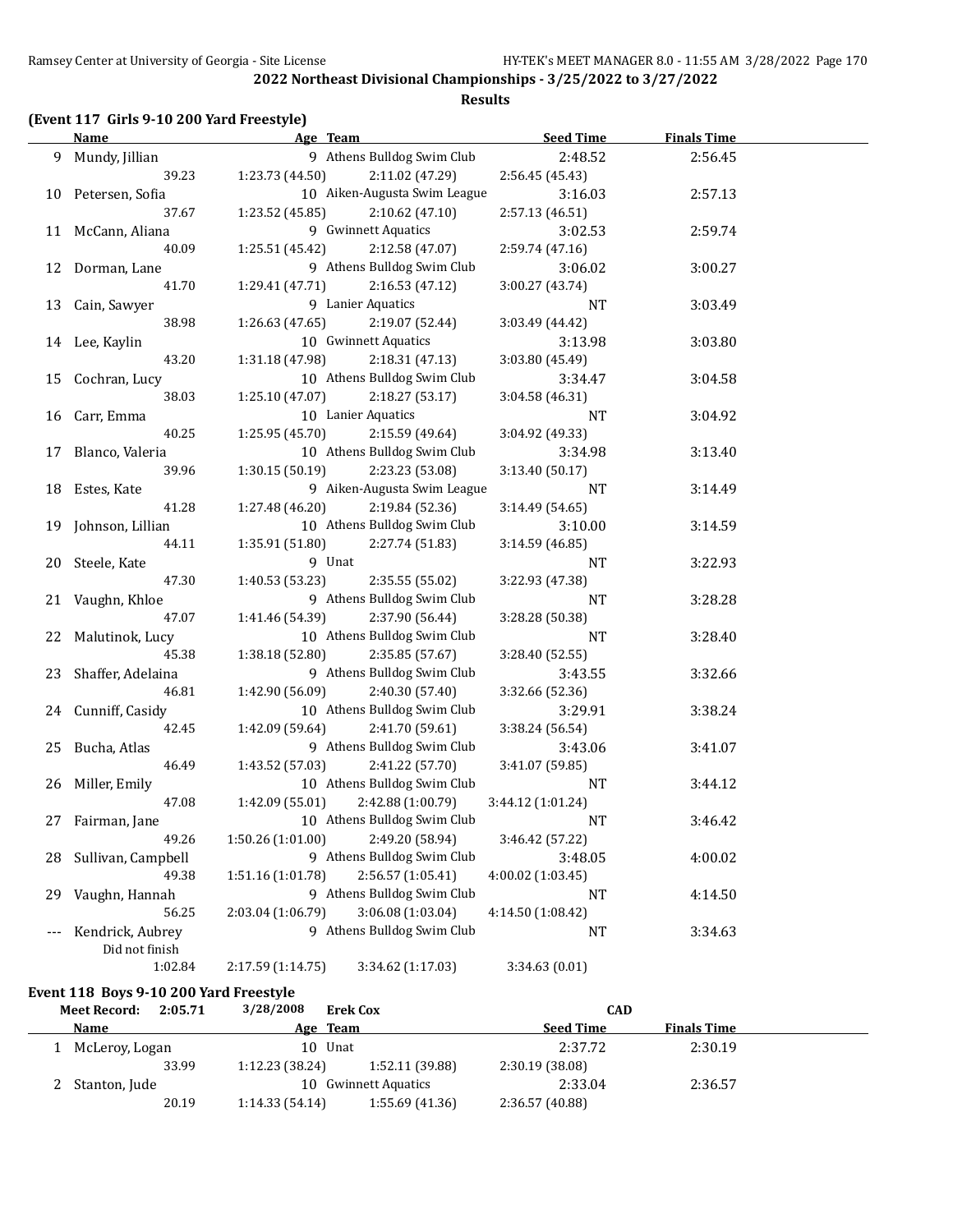# **(Event 117 Girls 9-10 200 Yard Freestyle)**

|    | <b>Name</b>        | Age Team          |                              | <b>Seed Time</b>  | <b>Finals Time</b> |  |
|----|--------------------|-------------------|------------------------------|-------------------|--------------------|--|
|    | 9 Mundy, Jillian   |                   | 9 Athens Bulldog Swim Club   | 2:48.52           | 2:56.45            |  |
|    | 39.23              | 1:23.73 (44.50)   | 2:11.02 (47.29)              | 2:56.45 (45.43)   |                    |  |
|    | 10 Petersen, Sofia |                   | 10 Aiken-Augusta Swim League | 3:16.03           | 2:57.13            |  |
|    | 37.67              | 1:23.52 (45.85)   | 2:10.62 (47.10)              | 2:57.13 (46.51)   |                    |  |
|    | 11 McCann, Aliana  |                   | 9 Gwinnett Aquatics          | 3:02.53           | 2:59.74            |  |
|    | 40.09              | 1:25.51 (45.42)   | 2:12.58 (47.07)              | 2:59.74 (47.16)   |                    |  |
|    | 12 Dorman, Lane    |                   | 9 Athens Bulldog Swim Club   | 3:06.02           | 3:00.27            |  |
|    | 41.70              | 1:29.41 (47.71)   | 2:16.53(47.12)               | 3:00.27 (43.74)   |                    |  |
|    | 13 Cain, Sawyer    |                   | 9 Lanier Aquatics            | NT                | 3:03.49            |  |
|    | 38.98              | 1:26.63(47.65)    | 2:19.07 (52.44)              | 3:03.49 (44.42)   |                    |  |
|    | 14 Lee, Kaylin     |                   | 10 Gwinnett Aquatics         | 3:13.98           | 3:03.80            |  |
|    | 43.20              | 1:31.18 (47.98)   | 2:18.31 (47.13)              | 3:03.80 (45.49)   |                    |  |
| 15 | Cochran, Lucy      |                   | 10 Athens Bulldog Swim Club  | 3:34.47           | 3:04.58            |  |
|    | 38.03              | 1:25.10 (47.07)   | 2:18.27 (53.17)              | 3:04.58 (46.31)   |                    |  |
|    | 16 Carr, Emma      |                   | 10 Lanier Aquatics           | NT                | 3:04.92            |  |
|    | 40.25              | 1:25.95(45.70)    | 2:15.59 (49.64)              | 3:04.92 (49.33)   |                    |  |
|    | 17 Blanco, Valeria |                   | 10 Athens Bulldog Swim Club  | 3:34.98           | 3:13.40            |  |
|    | 39.96              | 1:30.15(50.19)    | 2:23.23 (53.08)              | 3:13.40 (50.17)   |                    |  |
|    | 18 Estes, Kate     |                   | 9 Aiken-Augusta Swim League  | NT                | 3:14.49            |  |
|    | 41.28              | 1:27.48 (46.20)   | 2:19.84 (52.36)              | 3:14.49 (54.65)   |                    |  |
| 19 | Johnson, Lillian   |                   | 10 Athens Bulldog Swim Club  | 3:10.00           | 3:14.59            |  |
|    | 44.11              | 1:35.91(51.80)    | 2:27.74 (51.83)              | 3:14.59 (46.85)   |                    |  |
| 20 | Steele, Kate       | 9 Unat            |                              | NT                | 3:22.93            |  |
|    | 47.30              | 1:40.53 (53.23)   | 2:35.55 (55.02)              | 3:22.93 (47.38)   |                    |  |
|    | 21 Vaughn, Khloe   |                   | 9 Athens Bulldog Swim Club   | NT                | 3:28.28            |  |
|    | 47.07              | 1:41.46 (54.39)   | 2:37.90 (56.44)              | 3:28.28 (50.38)   |                    |  |
| 22 | Malutinok, Lucy    |                   | 10 Athens Bulldog Swim Club  | NT                | 3:28.40            |  |
|    | 45.38              | 1:38.18 (52.80)   | 2:35.85 (57.67)              | 3:28.40 (52.55)   |                    |  |
| 23 | Shaffer, Adelaina  |                   | 9 Athens Bulldog Swim Club   | 3:43.55           | 3:32.66            |  |
|    | 46.81              | 1:42.90 (56.09)   | 2:40.30 (57.40)              | 3:32.66 (52.36)   |                    |  |
|    | 24 Cunniff, Casidy |                   | 10 Athens Bulldog Swim Club  | 3:29.91           | 3:38.24            |  |
|    | 42.45              | 1:42.09 (59.64)   | 2:41.70 (59.61)              | 3:38.24 (56.54)   |                    |  |
|    | 25 Bucha, Atlas    |                   | 9 Athens Bulldog Swim Club   | 3:43.06           | 3:41.07            |  |
|    | 46.49              | 1:43.52 (57.03)   | 2:41.22 (57.70)              | 3:41.07 (59.85)   |                    |  |
|    | 26 Miller, Emily   |                   | 10 Athens Bulldog Swim Club  | <b>NT</b>         | 3:44.12            |  |
|    | 47.08              | 1:42.09(55.01)    | 2:42.88 (1:00.79)            | 3:44.12 (1:01.24) |                    |  |
|    | 27 Fairman, Jane   |                   | 10 Athens Bulldog Swim Club  | NT                | 3:46.42            |  |
|    | 49.26              | 1:50.26 (1:01.00) | 2:49.20 (58.94)              | 3:46.42 (57.22)   |                    |  |
| 28 | Sullivan, Campbell |                   | 9 Athens Bulldog Swim Club   | 3:48.05           | 4:00.02            |  |
|    | 49.38              | 1:51.16 (1:01.78) | 2:56.57 (1:05.41)            | 4:00.02 (1:03.45) |                    |  |
| 29 | Vaughn, Hannah     |                   | 9 Athens Bulldog Swim Club   | NT                | 4:14.50            |  |
|    | 56.25              | 2:03.04 (1:06.79) | 3:06.08 (1:03.04)            | 4:14.50 (1:08.42) |                    |  |
|    | Kendrick, Aubrey   |                   | 9 Athens Bulldog Swim Club   | NT                | 3:34.63            |  |
|    | Did not finish     |                   |                              |                   |                    |  |
|    | 1:02.84            | 2:17.59 (1:14.75) | 3:34.62 (1:17.03)            | 3:34.63(0.01)     |                    |  |

# **Event 118 Boys 9-10 200 Yard Freestyle**

| <b>Meet Record:</b> | 2:05.71        | 3/28/2008      | <b>Erek Cox</b>      | CAD              |                    |  |
|---------------------|----------------|----------------|----------------------|------------------|--------------------|--|
| Name                |                | Age Team       |                      | <b>Seed Time</b> | <b>Finals Time</b> |  |
|                     | McLeroy, Logan | 10 Unat        |                      | 2:37.72          | 2:30.19            |  |
|                     | 33.99          | 1:12.23(38.24) | 1:52.11 (39.88)      | 2:30.19 (38.08)  |                    |  |
|                     | Stanton, Jude  |                | 10 Gwinnett Aquatics | 2:33.04          | 2:36.57            |  |
|                     | 20.19          | 1:14.33(54.14) | 1:55.69(41.36)       | 2:36.57 (40.88)  |                    |  |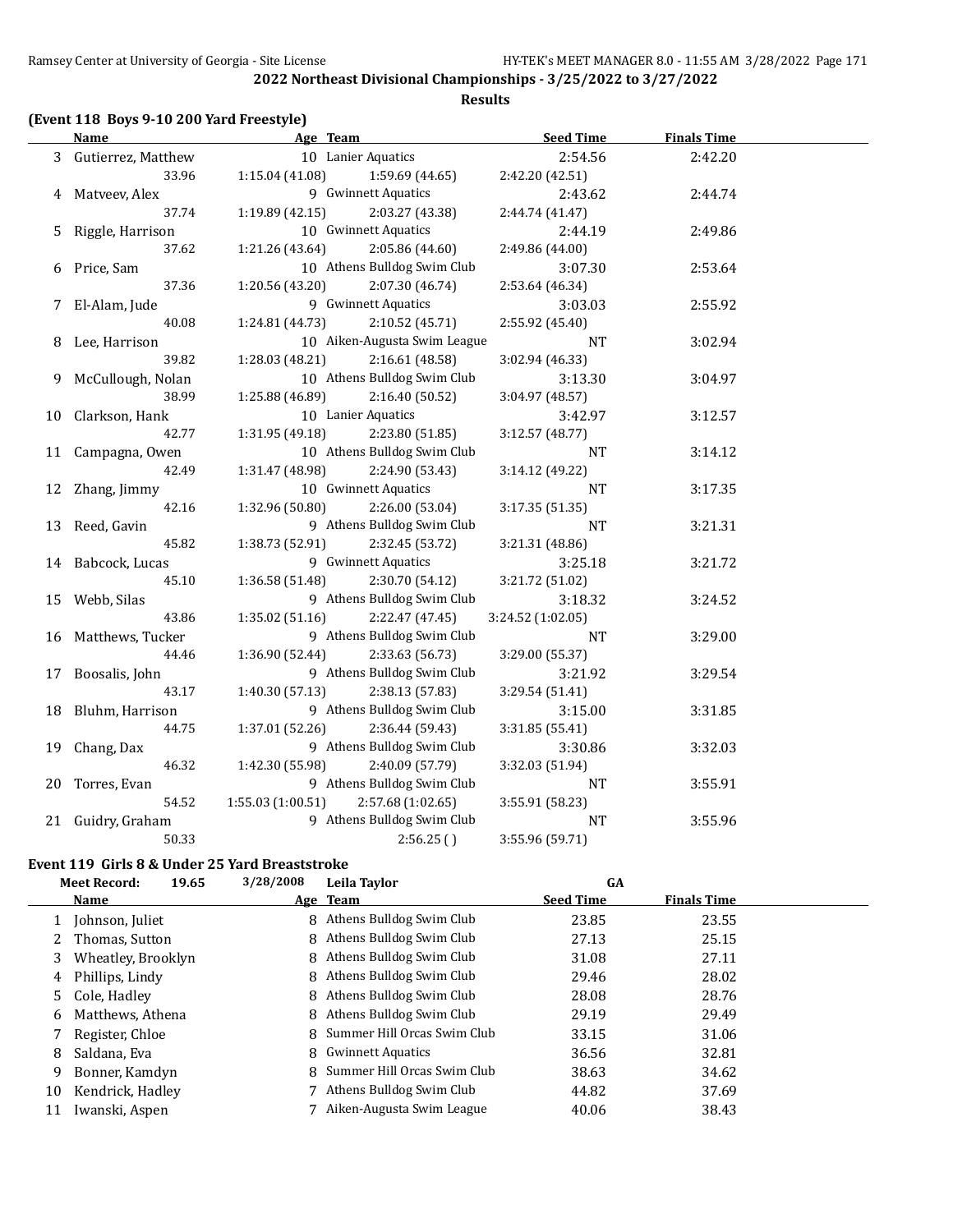#### **Results**

# **(Event 118 Boys 9-10 200 Yard Freestyle)**

|    | <b>Name</b>          | Age Team                              | <b>Seed Time</b>  | <b>Finals Time</b> |  |
|----|----------------------|---------------------------------------|-------------------|--------------------|--|
|    | 3 Gutierrez, Matthew | 10 Lanier Aquatics                    | 2:54.56           | 2:42.20            |  |
|    | 33.96                | 1:15.04(41.08)<br>1:59.69 (44.65)     | 2:42.20 (42.51)   |                    |  |
|    | 4 Matyeev, Alex      | 9 Gwinnett Aquatics                   | 2:43.62           | 2:44.74            |  |
|    | 37.74                | 2:03.27 (43.38)<br>1:19.89(42.15)     | 2:44.74 (41.47)   |                    |  |
| 5. | Riggle, Harrison     | 10 Gwinnett Aquatics                  | 2:44.19           | 2:49.86            |  |
|    | 37.62                | 1:21.26 (43.64)<br>2:05.86 (44.60)    | 2:49.86 (44.00)   |                    |  |
|    | 6 Price, Sam         | 10 Athens Bulldog Swim Club           | 3:07.30           | 2:53.64            |  |
|    | 37.36                | 1:20.56 (43.20)<br>2:07.30 (46.74)    | 2:53.64 (46.34)   |                    |  |
|    | 7 El-Alam, Jude      | 9 Gwinnett Aquatics                   | 3:03.03           | 2:55.92            |  |
|    | 40.08                | 1:24.81(44.73)<br>2:10.52 (45.71)     | 2:55.92 (45.40)   |                    |  |
|    | 8 Lee, Harrison      | 10 Aiken-Augusta Swim League          | NT                | 3:02.94            |  |
|    | 39.82                | 1:28.03 (48.21)<br>2:16.61(48.58)     | 3:02.94 (46.33)   |                    |  |
|    | 9 McCullough, Nolan  | 10 Athens Bulldog Swim Club           | 3:13.30           | 3:04.97            |  |
|    | 38.99                | 1:25.88 (46.89)<br>2:16.40 (50.52)    | 3:04.97 (48.57)   |                    |  |
| 10 | Clarkson, Hank       | 10 Lanier Aquatics                    | 3:42.97           | 3:12.57            |  |
|    | 42.77                | 1:31.95(49.18)<br>2:23.80 (51.85)     | 3:12.57 (48.77)   |                    |  |
| 11 | Campagna, Owen       | 10 Athens Bulldog Swim Club           | <b>NT</b>         | 3:14.12            |  |
|    | 42.49                | 1:31.47 (48.98)<br>2:24.90 (53.43)    | 3:14.12 (49.22)   |                    |  |
| 12 | Zhang, Jimmy         | 10 Gwinnett Aquatics                  | NT                | 3:17.35            |  |
|    | 42.16                | 1:32.96 (50.80)<br>2:26.00 (53.04)    | 3:17.35 (51.35)   |                    |  |
| 13 | Reed, Gavin          | 9 Athens Bulldog Swim Club            | NT                | 3:21.31            |  |
|    | 45.82                | 1:38.73 (52.91)<br>2:32.45 (53.72)    | 3:21.31 (48.86)   |                    |  |
|    | 14 Babcock, Lucas    | 9 Gwinnett Aquatics                   | 3:25.18           | 3:21.72            |  |
|    | 45.10                | 1:36.58 (51.48)<br>2:30.70 (54.12)    | 3:21.72 (51.02)   |                    |  |
|    | 15 Webb, Silas       | 9 Athens Bulldog Swim Club            | 3:18.32           | 3:24.52            |  |
|    | 43.86                | 1:35.02(51.16)<br>2:22.47 (47.45)     | 3:24.52 (1:02.05) |                    |  |
|    | 16 Matthews, Tucker  | 9 Athens Bulldog Swim Club            | NT                | 3:29.00            |  |
|    | 44.46                | 1:36.90 (52.44)<br>2:33.63 (56.73)    | 3:29.00 (55.37)   |                    |  |
|    | 17 Boosalis, John    | 9 Athens Bulldog Swim Club            | 3:21.92           | 3:29.54            |  |
|    | 43.17                | 1:40.30(57.13)<br>2:38.13 (57.83)     | 3:29.54 (51.41)   |                    |  |
|    | 18 Bluhm, Harrison   | 9 Athens Bulldog Swim Club            | 3:15.00           | 3:31.85            |  |
|    | 44.75                | 1:37.01(52.26)<br>2:36.44 (59.43)     | 3:31.85 (55.41)   |                    |  |
|    | 19 Chang, Dax        | 9 Athens Bulldog Swim Club            | 3:30.86           | 3:32.03            |  |
|    | 46.32                | 1:42.30 (55.98)<br>2:40.09 (57.79)    | 3:32.03 (51.94)   |                    |  |
| 20 | Torres, Evan         | 9 Athens Bulldog Swim Club            | <b>NT</b>         | 3:55.91            |  |
|    | 54.52                | 1:55.03(1:00.51)<br>2:57.68 (1:02.65) | 3:55.91 (58.23)   |                    |  |
|    | 21 Guidry, Graham    | 9 Athens Bulldog Swim Club            | <b>NT</b>         | 3:55.96            |  |
|    | 50.33                | 2:56.25(                              | 3:55.96 (59.71)   |                    |  |

# **Event 119 Girls 8 & Under 25 Yard Breaststroke**

|    | <b>Meet Record:</b> | 19.65 | 3/28/2008 | Leila Taylor                  | GA               |                    |  |
|----|---------------------|-------|-----------|-------------------------------|------------------|--------------------|--|
|    | Name                |       |           | Age Team                      | <b>Seed Time</b> | <b>Finals Time</b> |  |
|    | Johnson, Juliet     |       | 8         | Athens Bulldog Swim Club      | 23.85            | 23.55              |  |
|    | 2 Thomas, Sutton    |       |           | 8 Athens Bulldog Swim Club    | 27.13            | 25.15              |  |
| 3  | Wheatley, Brooklyn  |       | 8.        | Athens Bulldog Swim Club      | 31.08            | 27.11              |  |
|    | 4 Phillips, Lindy   |       | 8         | Athens Bulldog Swim Club      | 29.46            | 28.02              |  |
|    | 5 Cole, Hadley      |       | 8.        | Athens Bulldog Swim Club      | 28.08            | 28.76              |  |
| 6  | Matthews, Athena    |       |           | 8 Athens Bulldog Swim Club    | 29.19            | 29.49              |  |
|    | Register, Chloe     |       |           | 8 Summer Hill Orcas Swim Club | 33.15            | 31.06              |  |
| 8  | Saldana, Eva        |       |           | 8 Gwinnett Aquatics           | 36.56            | 32.81              |  |
| 9  | Bonner, Kamdyn      |       |           | 8 Summer Hill Orcas Swim Club | 38.63            | 34.62              |  |
| 10 | Kendrick, Hadley    |       |           | Athens Bulldog Swim Club      | 44.82            | 37.69              |  |
| 11 | Iwanski, Aspen      |       |           | Aiken-Augusta Swim League     | 40.06            | 38.43              |  |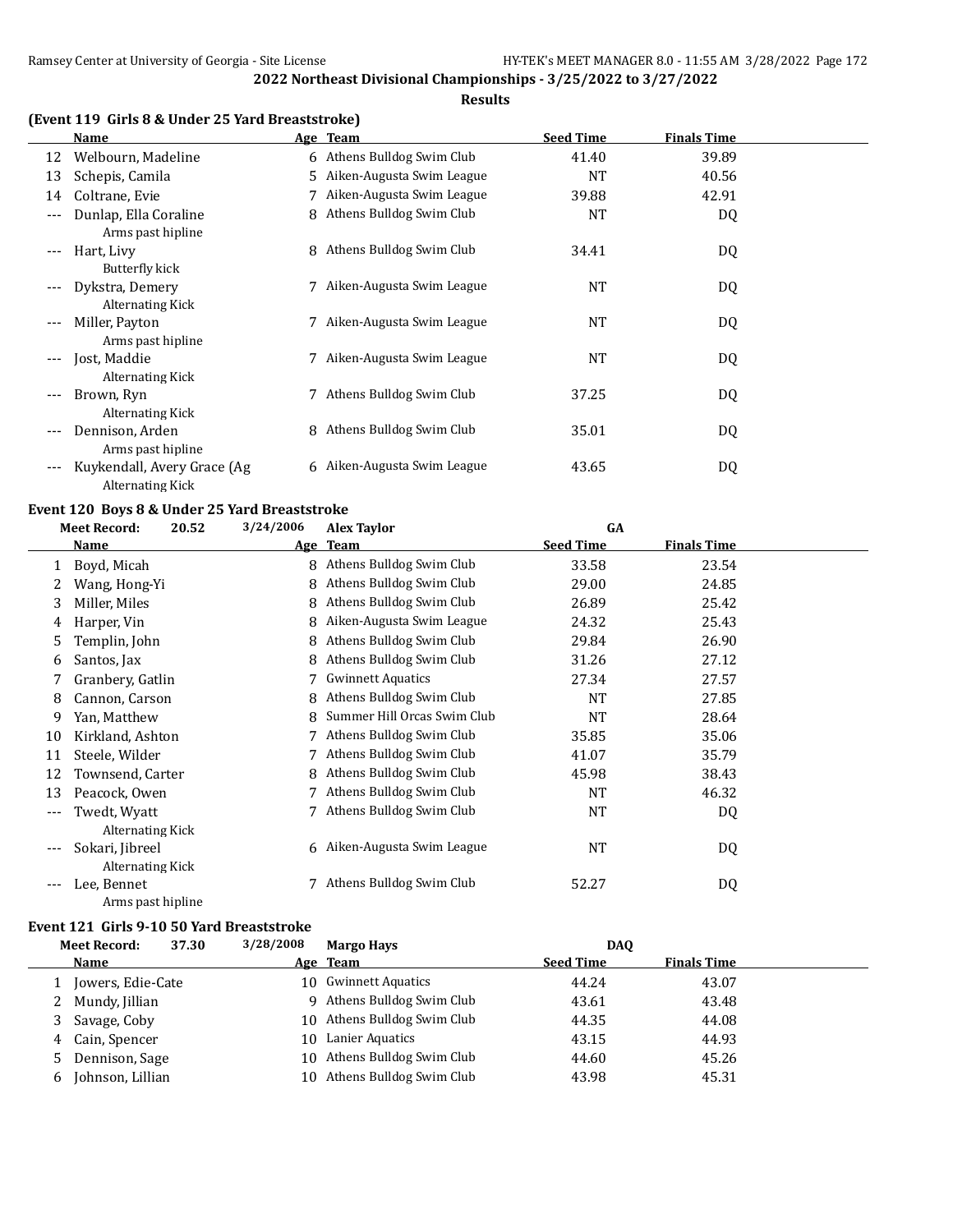#### **Results**

|         | Name                                                   |    | <u>Age Team</u>            | <b>Seed Time</b> | <b>Finals Time</b> |  |
|---------|--------------------------------------------------------|----|----------------------------|------------------|--------------------|--|
| 12      | Welbourn, Madeline                                     |    | 6 Athens Bulldog Swim Club | 41.40            | 39.89              |  |
| 13      | Schepis, Camila                                        | 5. | Aiken-Augusta Swim League  | <b>NT</b>        | 40.56              |  |
| 14      | Coltrane, Evie                                         |    | Aiken-Augusta Swim League  | 39.88            | 42.91              |  |
| ---     | Dunlap, Ella Coraline<br>Arms past hipline             | 8  | Athens Bulldog Swim Club   | <b>NT</b>        | DQ                 |  |
| $---$   | Hart, Livy<br>Butterfly kick                           | 8  | Athens Bulldog Swim Club   | 34.41            | DQ                 |  |
|         | Dykstra, Demery<br>Alternating Kick                    |    | Aiken-Augusta Swim League  | <b>NT</b>        | DQ                 |  |
| $---$   | Miller, Payton<br>Arms past hipline                    |    | Aiken-Augusta Swim League  | <b>NT</b>        | DQ                 |  |
| $---$   | Jost, Maddie<br>Alternating Kick                       |    | Aiken-Augusta Swim League  | NT               | DQ                 |  |
| $- - -$ | Brown, Ryn<br>Alternating Kick                         |    | Athens Bulldog Swim Club   | 37.25            | DQ                 |  |
| ---     | Dennison, Arden<br>Arms past hipline                   | 8  | Athens Bulldog Swim Club   | 35.01            | DQ                 |  |
| ---     | Kuykendall, Avery Grace (Ag<br><b>Alternating Kick</b> | 6  | Aiken-Augusta Swim League  | 43.65            | DQ                 |  |

# **Event 120 Boys 8 & Under 25 Yard Breaststroke**

|     | <b>Meet Record:</b> | 20.52 | 3/24/2006  | <b>Alex Taylor</b>          | GA               |                    |  |
|-----|---------------------|-------|------------|-----------------------------|------------------|--------------------|--|
|     | Name                |       | <u>Age</u> | <b>Team</b>                 | <b>Seed Time</b> | <b>Finals Time</b> |  |
| 1   | Boyd, Micah         |       | 8          | Athens Bulldog Swim Club    | 33.58            | 23.54              |  |
|     | Wang, Hong-Yi       |       | 8          | Athens Bulldog Swim Club    | 29.00            | 24.85              |  |
| 3   | Miller, Miles       |       | 8.         | Athens Bulldog Swim Club    | 26.89            | 25.42              |  |
| 4   | Harper, Vin         |       | 8          | Aiken-Augusta Swim League   | 24.32            | 25.43              |  |
| 5   | Templin, John       |       | 8          | Athens Bulldog Swim Club    | 29.84            | 26.90              |  |
| 6   | Santos, Jax         |       | 8          | Athens Bulldog Swim Club    | 31.26            | 27.12              |  |
|     | Granbery, Gatlin    |       |            | <b>Gwinnett Aquatics</b>    | 27.34            | 27.57              |  |
| 8   | Cannon, Carson      |       | 8          | Athens Bulldog Swim Club    | <b>NT</b>        | 27.85              |  |
| 9   | Yan, Matthew        |       | 8          | Summer Hill Orcas Swim Club | NT               | 28.64              |  |
| 10  | Kirkland, Ashton    |       |            | Athens Bulldog Swim Club    | 35.85            | 35.06              |  |
| 11  | Steele, Wilder      |       |            | Athens Bulldog Swim Club    | 41.07            | 35.79              |  |
| 12  | Townsend, Carter    |       | 8          | Athens Bulldog Swim Club    | 45.98            | 38.43              |  |
| 13  | Peacock, Owen       |       |            | Athens Bulldog Swim Club    | <b>NT</b>        | 46.32              |  |
| --- | Twedt, Wyatt        |       |            | Athens Bulldog Swim Club    | NT               | DQ                 |  |
|     | Alternating Kick    |       |            |                             |                  |                    |  |
|     | Sokari, Jibreel     |       |            | 6 Aiken-Augusta Swim League | NT               | DQ                 |  |
|     | Alternating Kick    |       |            |                             |                  |                    |  |
|     | Lee, Bennet         |       |            | Athens Bulldog Swim Club    | 52.27            | DQ                 |  |
|     | Arms past hipline   |       |            |                             |                  |                    |  |

#### **Event 121 Girls 9-10 50 Yard Breaststroke**

|   | 37.30<br><b>Meet Record:</b> | 3/28/2008 | <b>Margo Hays</b>           | DAO              |                    |  |
|---|------------------------------|-----------|-----------------------------|------------------|--------------------|--|
|   | Name                         |           | Age Team                    | <b>Seed Time</b> | <b>Finals Time</b> |  |
|   | Jowers, Edie-Cate            |           | 10 Gwinnett Aquatics        | 44.24            | 43.07              |  |
|   | Mundy, Jillian               |           | Athens Bulldog Swim Club    | 43.61            | 43.48              |  |
|   | Savage, Coby                 |           | 10 Athens Bulldog Swim Club | 44.35            | 44.08              |  |
| 4 | Cain, Spencer                | 10        | Lanier Aquatics             | 43.15            | 44.93              |  |
| 5 | Dennison, Sage               |           | 10 Athens Bulldog Swim Club | 44.60            | 45.26              |  |
| b | Johnson, Lillian             | 10        | Athens Bulldog Swim Club    | 43.98            | 45.31              |  |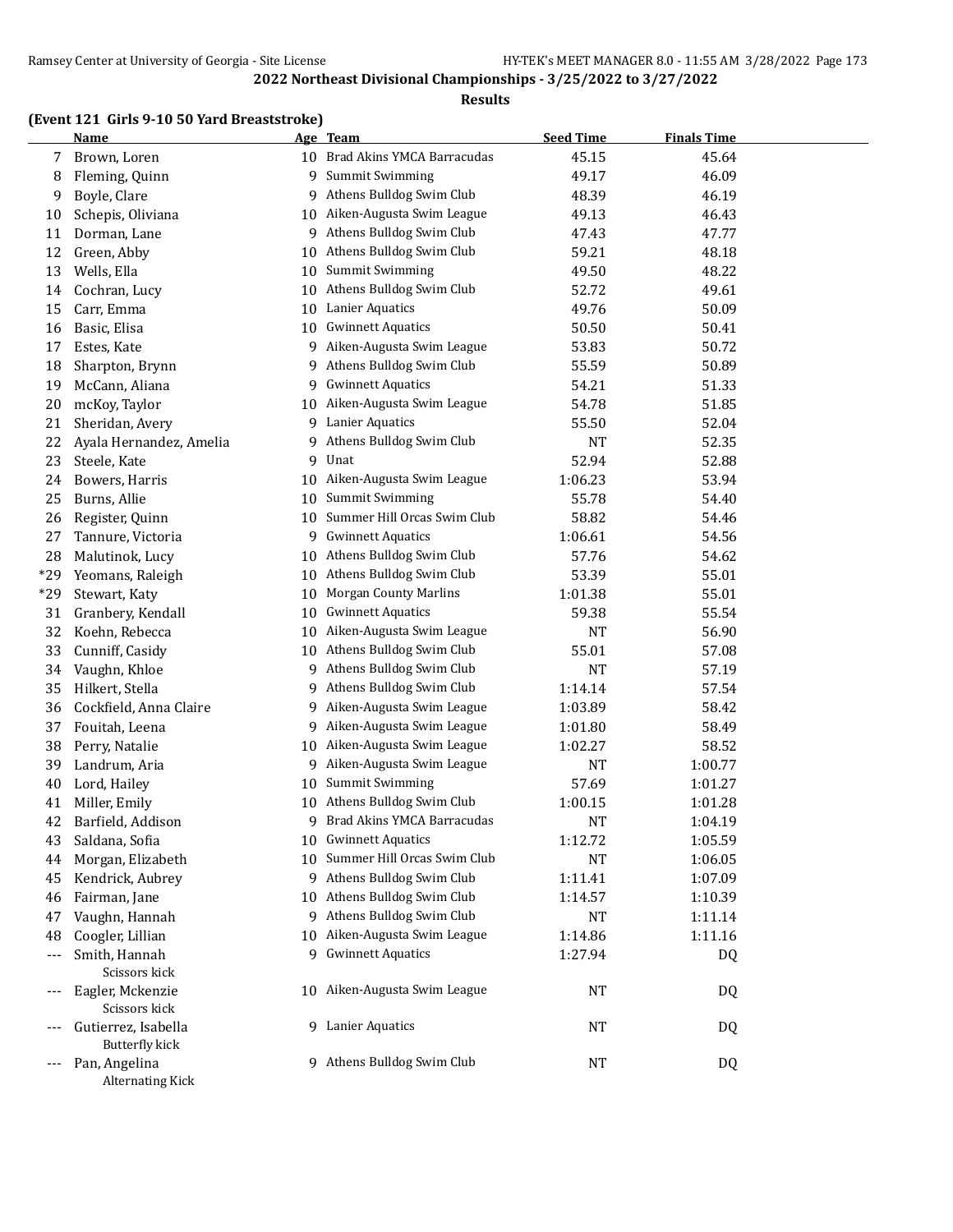#### **Results**

| (Event 121 Girls 9-10 50 Yard Breaststroke) |
|---------------------------------------------|
|                                             |

|     | <b>Name</b>                       |    | Age Team                      | <b>Seed Time</b> | <b>Finals Time</b> |  |
|-----|-----------------------------------|----|-------------------------------|------------------|--------------------|--|
| 7   | Brown, Loren                      |    | 10 Brad Akins YMCA Barracudas | 45.15            | 45.64              |  |
| 8   | Fleming, Quinn                    | 9  | Summit Swimming               | 49.17            | 46.09              |  |
| 9   | Boyle, Clare                      | 9  | Athens Bulldog Swim Club      | 48.39            | 46.19              |  |
| 10  | Schepis, Oliviana                 | 10 | Aiken-Augusta Swim League     | 49.13            | 46.43              |  |
| 11  | Dorman, Lane                      | 9  | Athens Bulldog Swim Club      | 47.43            | 47.77              |  |
| 12  | Green, Abby                       | 10 | Athens Bulldog Swim Club      | 59.21            | 48.18              |  |
| 13  | Wells, Ella                       | 10 | Summit Swimming               | 49.50            | 48.22              |  |
| 14  | Cochran, Lucy                     | 10 | Athens Bulldog Swim Club      | 52.72            | 49.61              |  |
| 15  | Carr, Emma                        | 10 | Lanier Aquatics               | 49.76            | 50.09              |  |
| 16  | Basic, Elisa                      | 10 | <b>Gwinnett Aquatics</b>      | 50.50            | 50.41              |  |
| 17  | Estes, Kate                       | 9  | Aiken-Augusta Swim League     | 53.83            | 50.72              |  |
| 18  | Sharpton, Brynn                   | 9  | Athens Bulldog Swim Club      | 55.59            | 50.89              |  |
| 19  | McCann, Aliana                    | 9  | <b>Gwinnett Aquatics</b>      | 54.21            | 51.33              |  |
| 20  | mcKoy, Taylor                     | 10 | Aiken-Augusta Swim League     | 54.78            | 51.85              |  |
| 21  | Sheridan, Avery                   | 9  | Lanier Aquatics               | 55.50            | 52.04              |  |
| 22  | Ayala Hernandez, Amelia           | 9  | Athens Bulldog Swim Club      | <b>NT</b>        | 52.35              |  |
| 23  | Steele, Kate                      | 9  | Unat                          | 52.94            | 52.88              |  |
| 24  | Bowers, Harris                    | 10 | Aiken-Augusta Swim League     | 1:06.23          | 53.94              |  |
| 25  | Burns, Allie                      | 10 | Summit Swimming               | 55.78            | 54.40              |  |
| 26  | Register, Quinn                   | 10 | Summer Hill Orcas Swim Club   | 58.82            | 54.46              |  |
| 27  | Tannure, Victoria                 | 9  | <b>Gwinnett Aquatics</b>      | 1:06.61          | 54.56              |  |
| 28  | Malutinok, Lucy                   | 10 | Athens Bulldog Swim Club      | 57.76            | 54.62              |  |
| *29 | Yeomans, Raleigh                  | 10 | Athens Bulldog Swim Club      | 53.39            | 55.01              |  |
| *29 | Stewart, Katy                     | 10 | <b>Morgan County Marlins</b>  | 1:01.38          | 55.01              |  |
| 31  | Granbery, Kendall                 | 10 | <b>Gwinnett Aquatics</b>      | 59.38            | 55.54              |  |
| 32  | Koehn, Rebecca                    | 10 | Aiken-Augusta Swim League     | NT               | 56.90              |  |
| 33  | Cunniff, Casidy                   | 10 | Athens Bulldog Swim Club      | 55.01            | 57.08              |  |
| 34  | Vaughn, Khloe                     | 9  | Athens Bulldog Swim Club      | NT               | 57.19              |  |
| 35  | Hilkert, Stella                   | 9. | Athens Bulldog Swim Club      | 1:14.14          | 57.54              |  |
| 36  | Cockfield, Anna Claire            | 9  | Aiken-Augusta Swim League     | 1:03.89          | 58.42              |  |
| 37  | Fouitah, Leena                    | 9. | Aiken-Augusta Swim League     | 1:01.80          | 58.49              |  |
| 38  | Perry, Natalie                    | 10 | Aiken-Augusta Swim League     | 1:02.27          | 58.52              |  |
| 39  | Landrum, Aria                     | 9  | Aiken-Augusta Swim League     | NT               | 1:00.77            |  |
| 40  | Lord, Hailey                      | 10 | Summit Swimming               | 57.69            | 1:01.27            |  |
| 41  | Miller, Emily                     | 10 | Athens Bulldog Swim Club      | 1:00.15          | 1:01.28            |  |
| 42  | Barfield, Addison                 | 9  | Brad Akins YMCA Barracudas    | <b>NT</b>        | 1:04.19            |  |
| 43  | Saldana, Sofia                    |    | 10 Gwinnett Aquatics          | 1:12.72          | 1:05.59            |  |
| 44  | Morgan, Elizabeth                 | 10 | Summer Hill Orcas Swim Club   | <b>NT</b>        | 1:06.05            |  |
| 45  | Kendrick, Aubrey                  | 9  | Athens Bulldog Swim Club      | 1:11.41          | 1:07.09            |  |
| 46  | Fairman, Jane                     | 10 | Athens Bulldog Swim Club      | 1:14.57          | 1:10.39            |  |
| 47  | Vaughn, Hannah                    | 9  | Athens Bulldog Swim Club      | NT               | 1:11.14            |  |
| 48  | Coogler, Lillian                  | 10 | Aiken-Augusta Swim League     | 1:14.86          | 1:11.16            |  |
| --- | Smith, Hannah                     | 9. | <b>Gwinnett Aquatics</b>      | 1:27.94          | DQ                 |  |
|     | Scissors kick                     |    |                               |                  |                    |  |
|     | Eagler, Mckenzie                  |    | 10 Aiken-Augusta Swim League  | <b>NT</b>        | DQ                 |  |
|     | Scissors kick                     |    |                               |                  |                    |  |
|     | Gutierrez, Isabella               |    | 9 Lanier Aquatics             | NT               | DQ                 |  |
|     | <b>Butterfly kick</b>             |    |                               |                  |                    |  |
|     | Pan, Angelina<br>Alternating Kick |    | 9 Athens Bulldog Swim Club    | <b>NT</b>        | DQ                 |  |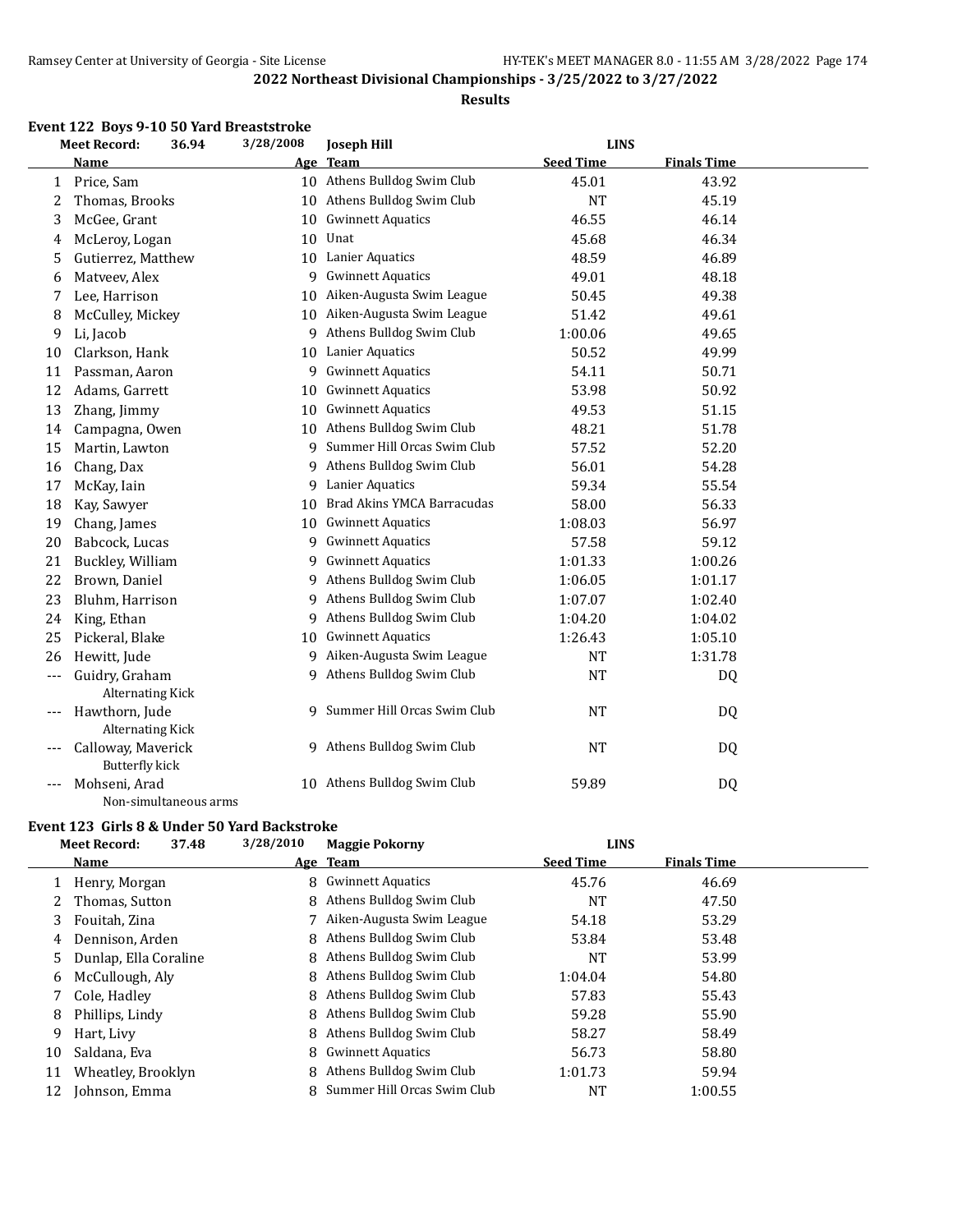#### **Results**

#### **Event 122 Boys 9-10 50 Yard Breaststroke**

|              | 3/28/2008<br><b>Meet Record:</b><br><b>LINS</b><br>36.94<br><b>Joseph Hill</b> |            |                               |                  |                    |  |
|--------------|--------------------------------------------------------------------------------|------------|-------------------------------|------------------|--------------------|--|
|              | <b>Name</b>                                                                    | <u>Age</u> | <b>Team</b>                   | <b>Seed Time</b> | <b>Finals Time</b> |  |
| $\mathbf{1}$ | Price, Sam                                                                     |            | 10 Athens Bulldog Swim Club   | 45.01            | 43.92              |  |
| 2            | Thomas, Brooks                                                                 |            | 10 Athens Bulldog Swim Club   | <b>NT</b>        | 45.19              |  |
| 3            | McGee, Grant                                                                   | 10         | <b>Gwinnett Aquatics</b>      | 46.55            | 46.14              |  |
| 4            | McLeroy, Logan                                                                 | 10         | Unat                          | 45.68            | 46.34              |  |
| 5            | Gutierrez, Matthew                                                             |            | 10 Lanier Aquatics            | 48.59            | 46.89              |  |
| 6            | Matveev, Alex                                                                  | 9.         | <b>Gwinnett Aquatics</b>      | 49.01            | 48.18              |  |
| 7            | Lee, Harrison                                                                  | 10         | Aiken-Augusta Swim League     | 50.45            | 49.38              |  |
| 8            | McCulley, Mickey                                                               |            | 10 Aiken-Augusta Swim League  | 51.42            | 49.61              |  |
| 9            | Li, Jacob                                                                      |            | 9 Athens Bulldog Swim Club    | 1:00.06          | 49.65              |  |
| 10           | Clarkson, Hank                                                                 |            | 10 Lanier Aquatics            | 50.52            | 49.99              |  |
| 11           | Passman, Aaron                                                                 | 9          | <b>Gwinnett Aquatics</b>      | 54.11            | 50.71              |  |
| 12           | Adams, Garrett                                                                 | 10         | <b>Gwinnett Aquatics</b>      | 53.98            | 50.92              |  |
| 13           | Zhang, Jimmy                                                                   | 10         | <b>Gwinnett Aquatics</b>      | 49.53            | 51.15              |  |
| 14           | Campagna, Owen                                                                 | 10         | Athens Bulldog Swim Club      | 48.21            | 51.78              |  |
| 15           | Martin, Lawton                                                                 | 9.         | Summer Hill Orcas Swim Club   | 57.52            | 52.20              |  |
| 16           | Chang, Dax                                                                     | 9          | Athens Bulldog Swim Club      | 56.01            | 54.28              |  |
| 17           | McKay, Iain                                                                    | 9          | Lanier Aquatics               | 59.34            | 55.54              |  |
| 18           | Kay, Sawyer                                                                    | 10         | Brad Akins YMCA Barracudas    | 58.00            | 56.33              |  |
| 19           | Chang, James                                                                   |            | 10 Gwinnett Aquatics          | 1:08.03          | 56.97              |  |
| 20           | Babcock, Lucas                                                                 | 9          | <b>Gwinnett Aquatics</b>      | 57.58            | 59.12              |  |
| 21           | Buckley, William                                                               | 9          | <b>Gwinnett Aquatics</b>      | 1:01.33          | 1:00.26            |  |
| 22           | Brown, Daniel                                                                  |            | 9 Athens Bulldog Swim Club    | 1:06.05          | 1:01.17            |  |
| 23           | Bluhm, Harrison                                                                | 9.         | Athens Bulldog Swim Club      | 1:07.07          | 1:02.40            |  |
| 24           | King, Ethan                                                                    | 9          | Athens Bulldog Swim Club      | 1:04.20          | 1:04.02            |  |
| 25           | Pickeral, Blake                                                                | 10         | <b>Gwinnett Aquatics</b>      | 1:26.43          | 1:05.10            |  |
| 26           | Hewitt, Jude                                                                   |            | 9 Aiken-Augusta Swim League   | <b>NT</b>        | 1:31.78            |  |
| $---$        | Guidry, Graham                                                                 |            | 9 Athens Bulldog Swim Club    | <b>NT</b>        | DQ                 |  |
|              | <b>Alternating Kick</b>                                                        |            |                               |                  |                    |  |
|              | Hawthorn, Jude                                                                 |            | 9 Summer Hill Orcas Swim Club | <b>NT</b>        | DQ                 |  |
|              | <b>Alternating Kick</b>                                                        |            |                               |                  |                    |  |
|              | Calloway, Maverick                                                             |            | 9 Athens Bulldog Swim Club    | <b>NT</b>        | DQ                 |  |
|              | <b>Butterfly kick</b>                                                          |            |                               |                  |                    |  |
|              | Mohseni, Arad                                                                  |            | 10 Athens Bulldog Swim Club   | 59.89            | DQ                 |  |
|              | Non-simultaneous arms                                                          |            |                               |                  |                    |  |

#### **Event 123 Girls 8 & Under 50 Yard Backstroke**

|    | 37.48<br><b>Meet Record:</b> | 3/28/2010 | <b>Maggie Pokorny</b>       | <b>LINS</b>      |                    |  |
|----|------------------------------|-----------|-----------------------------|------------------|--------------------|--|
|    | Name                         |           | Age Team                    | <b>Seed Time</b> | <b>Finals Time</b> |  |
|    | Henry, Morgan                | 8         | <b>Gwinnett Aquatics</b>    | 45.76            | 46.69              |  |
| 2  | Thomas, Sutton               | 8         | Athens Bulldog Swim Club    | <b>NT</b>        | 47.50              |  |
| 3  | Fouitah, Zina                |           | Aiken-Augusta Swim League   | 54.18            | 53.29              |  |
| 4  | Dennison, Arden              | 8         | Athens Bulldog Swim Club    | 53.84            | 53.48              |  |
| 5. | Dunlap, Ella Coraline        | 8         | Athens Bulldog Swim Club    | <b>NT</b>        | 53.99              |  |
| 6  | McCullough, Aly              |           | 8 Athens Bulldog Swim Club  | 1:04.04          | 54.80              |  |
| 7  | Cole, Hadley                 | 8         | Athens Bulldog Swim Club    | 57.83            | 55.43              |  |
| 8  | Phillips, Lindy              | 8.        | Athens Bulldog Swim Club    | 59.28            | 55.90              |  |
| 9  | Hart, Livy                   |           | 8 Athens Bulldog Swim Club  | 58.27            | 58.49              |  |
| 10 | Saldana, Eva                 |           | 8 Gwinnett Aquatics         | 56.73            | 58.80              |  |
| 11 | Wheatley, Brooklyn           | 8         | Athens Bulldog Swim Club    | 1:01.73          | 59.94              |  |
| 12 | Johnson, Emma                | 8         | Summer Hill Orcas Swim Club | NT               | 1:00.55            |  |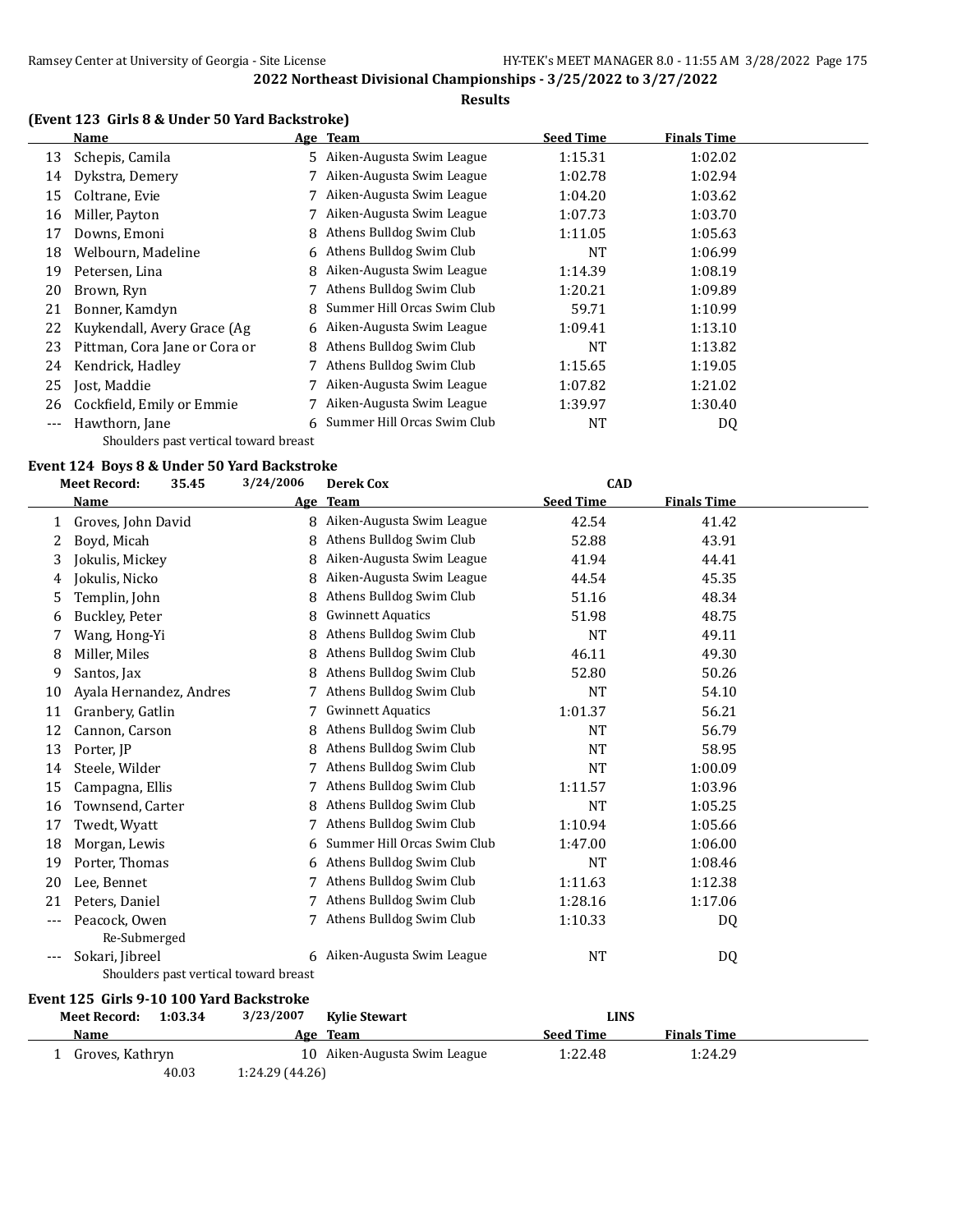#### **Results**

# **(Event 123 Girls 8 & Under 50 Yard Backstroke)**

|    | Name                                  | Age Team                      | <b>Seed Time</b> | <b>Finals Time</b> |  |
|----|---------------------------------------|-------------------------------|------------------|--------------------|--|
| 13 | Schepis, Camila                       | 5 Aiken-Augusta Swim League   | 1:15.31          | 1:02.02            |  |
| 14 | Dykstra, Demery                       | 7 Aiken-Augusta Swim League   | 1:02.78          | 1:02.94            |  |
| 15 | Coltrane, Evie                        | 7 Aiken-Augusta Swim League   | 1:04.20          | 1:03.62            |  |
| 16 | Miller, Payton                        | 7 Aiken-Augusta Swim League   | 1:07.73          | 1:03.70            |  |
| 17 | Downs, Emoni                          | 8 Athens Bulldog Swim Club    | 1:11.05          | 1:05.63            |  |
| 18 | Welbourn, Madeline                    | 6 Athens Bulldog Swim Club    | NT               | 1:06.99            |  |
| 19 | Petersen, Lina                        | 8 Aiken-Augusta Swim League   | 1:14.39          | 1:08.19            |  |
| 20 | Brown, Ryn                            | 7 Athens Bulldog Swim Club    | 1:20.21          | 1:09.89            |  |
| 21 | Bonner, Kamdyn                        | 8 Summer Hill Orcas Swim Club | 59.71            | 1:10.99            |  |
| 22 | Kuykendall, Avery Grace (Ag           | 6 Aiken-Augusta Swim League   | 1:09.41          | 1:13.10            |  |
| 23 | Pittman, Cora Jane or Cora or         | 8 Athens Bulldog Swim Club    | NT               | 1:13.82            |  |
| 24 | Kendrick, Hadley                      | Athens Bulldog Swim Club      | 1:15.65          | 1:19.05            |  |
| 25 | Jost, Maddie                          | Aiken-Augusta Swim League     | 1:07.82          | 1:21.02            |  |
| 26 | Cockfield, Emily or Emmie             | Aiken-Augusta Swim League     | 1:39.97          | 1:30.40            |  |
|    | Hawthorn, Jane                        | 6 Summer Hill Orcas Swim Club | <b>NT</b>        | DQ                 |  |
|    | Shoulders past vertical toward breast |                               |                  |                    |  |

#### **Event 124 Boys 8 & Under 50 Yard Backstroke**

**Event 125 Girls 9-10 100 Yard Backstroke**

|     | <b>Meet Record:</b><br>35.45 | 3/24/2006                             | <b>Derek Cox</b>            | <b>CAD</b>       |                    |  |
|-----|------------------------------|---------------------------------------|-----------------------------|------------------|--------------------|--|
|     | Name                         | <u>Age</u>                            | <b>Team</b>                 | <b>Seed Time</b> | <b>Finals Time</b> |  |
| 1   | Groves, John David           | 8                                     | Aiken-Augusta Swim League   | 42.54            | 41.42              |  |
| 2   | Boyd, Micah                  | 8                                     | Athens Bulldog Swim Club    | 52.88            | 43.91              |  |
| 3   | Jokulis, Mickey              | 8                                     | Aiken-Augusta Swim League   | 41.94            | 44.41              |  |
| 4   | Jokulis, Nicko               | 8                                     | Aiken-Augusta Swim League   | 44.54            | 45.35              |  |
| 5   | Templin, John                | 8                                     | Athens Bulldog Swim Club    | 51.16            | 48.34              |  |
| 6   | Buckley, Peter               | 8                                     | <b>Gwinnett Aquatics</b>    | 51.98            | 48.75              |  |
| 7   | Wang, Hong-Yi                | 8                                     | Athens Bulldog Swim Club    | <b>NT</b>        | 49.11              |  |
| 8   | Miller, Miles                | 8                                     | Athens Bulldog Swim Club    | 46.11            | 49.30              |  |
| 9   | Santos, Jax                  | 8                                     | Athens Bulldog Swim Club    | 52.80            | 50.26              |  |
| 10  | Ayala Hernandez, Andres      | 7                                     | Athens Bulldog Swim Club    | <b>NT</b>        | 54.10              |  |
| 11  | Granbery, Gatlin             |                                       | <b>Gwinnett Aquatics</b>    | 1:01.37          | 56.21              |  |
| 12  | Cannon, Carson               | 8                                     | Athens Bulldog Swim Club    | <b>NT</b>        | 56.79              |  |
| 13  | Porter, IP                   | 8                                     | Athens Bulldog Swim Club    | <b>NT</b>        | 58.95              |  |
| 14  | Steele, Wilder               | 7                                     | Athens Bulldog Swim Club    | <b>NT</b>        | 1:00.09            |  |
| 15  | Campagna, Ellis              |                                       | Athens Bulldog Swim Club    | 1:11.57          | 1:03.96            |  |
| 16  | Townsend, Carter             | 8                                     | Athens Bulldog Swim Club    | <b>NT</b>        | 1:05.25            |  |
| 17  | Twedt, Wyatt                 | 7                                     | Athens Bulldog Swim Club    | 1:10.94          | 1:05.66            |  |
| 18  | Morgan, Lewis                | 6                                     | Summer Hill Orcas Swim Club | 1:47.00          | 1:06.00            |  |
| 19  | Porter, Thomas               | 6                                     | Athens Bulldog Swim Club    | <b>NT</b>        | 1:08.46            |  |
| 20  | Lee, Bennet                  |                                       | Athens Bulldog Swim Club    | 1:11.63          | 1:12.38            |  |
| 21  | Peters, Daniel               |                                       | Athens Bulldog Swim Club    | 1:28.16          | 1:17.06            |  |
| --- | Peacock, Owen                | 7                                     | Athens Bulldog Swim Club    | 1:10.33          | DQ                 |  |
|     | Re-Submerged                 |                                       |                             |                  |                    |  |
| --- | Sokari, Jibreel              | 6                                     | Aiken-Augusta Swim League   | <b>NT</b>        | DQ                 |  |
|     |                              | Shoulders past vertical toward breast |                             |                  |                    |  |

| 1:03.34<br><b>Meet Record:</b> | 3/23/2007<br><b>Kylie Stewart</b> | LINS                                   |  |
|--------------------------------|-----------------------------------|----------------------------------------|--|
| <b>Name</b>                    | Age Team                          | <b>Finals Time</b><br><b>Seed Time</b> |  |
| Groves, Kathryn                | 10 Aiken-Augusta Swim League      | 1:24.29<br>1:22.48                     |  |
| 40.03                          | 1:24.29 (44.26)                   |                                        |  |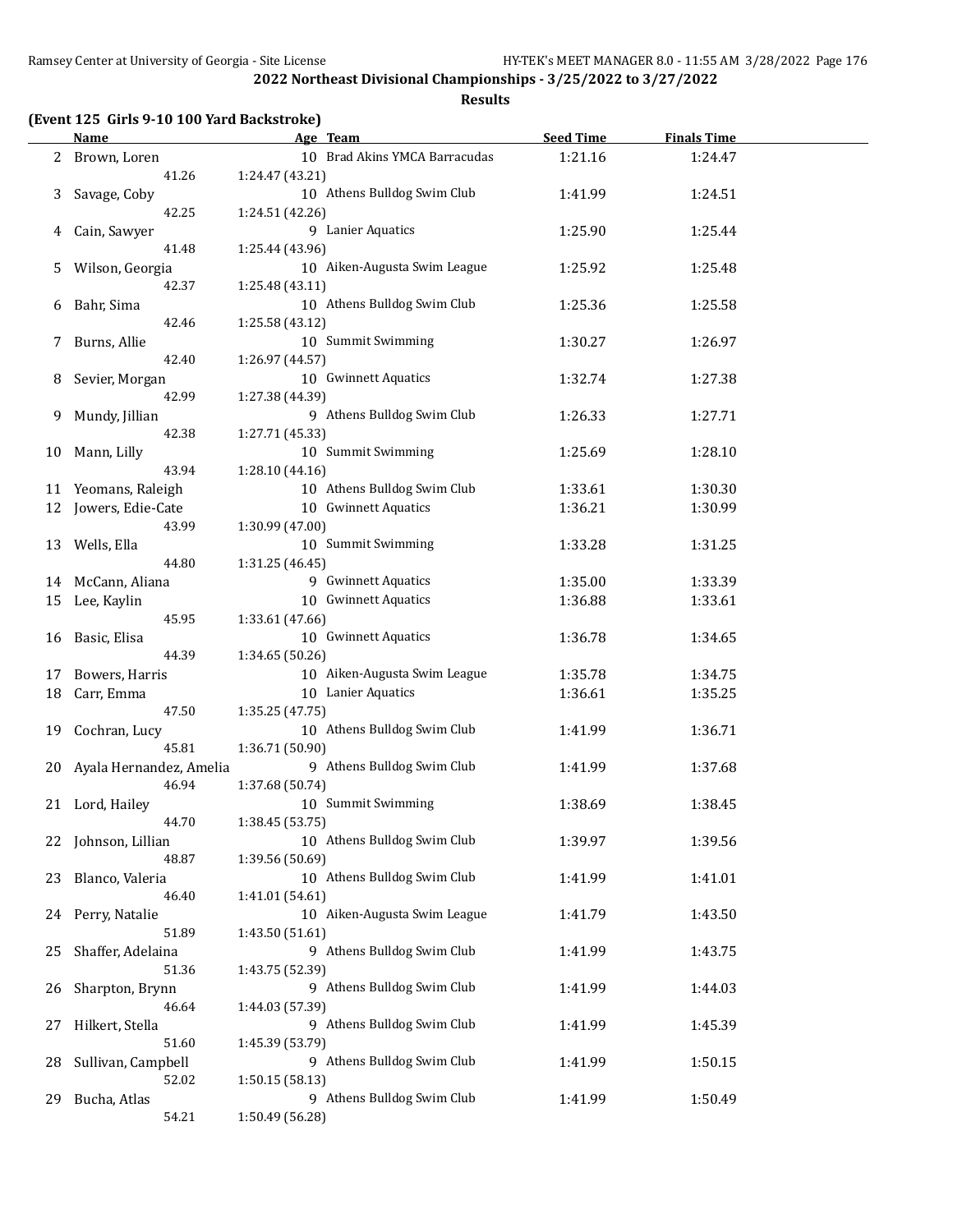**Results**

|  |  |  | (Event 125 Girls 9-10 100 Yard Backstroke) |
|--|--|--|--------------------------------------------|
|--|--|--|--------------------------------------------|

|    | <b>Name</b>              | Age Team                                |                               | <b>Seed Time</b> | <b>Finals Time</b> |  |
|----|--------------------------|-----------------------------------------|-------------------------------|------------------|--------------------|--|
|    | 2 Brown, Loren           |                                         | 10 Brad Akins YMCA Barracudas | 1:21.16          | 1:24.47            |  |
|    | 41.26                    | 1:24.47 (43.21)                         |                               |                  |                    |  |
| 3  | Savage, Coby             |                                         | 10 Athens Bulldog Swim Club   | 1:41.99          | 1:24.51            |  |
|    | 42.25                    | 1:24.51 (42.26)                         |                               |                  |                    |  |
| 4  | Cain, Sawyer             | 9 Lanier Aquatics                       |                               | 1:25.90          | 1:25.44            |  |
|    | 41.48                    | 1:25.44 (43.96)                         |                               |                  |                    |  |
|    |                          |                                         |                               |                  |                    |  |
| 5. | Wilson, Georgia          |                                         | 10 Aiken-Augusta Swim League  | 1:25.92          | 1:25.48            |  |
|    | 42.37                    | 1:25.48 (43.11)                         |                               |                  |                    |  |
| 6  | Bahr, Sima               |                                         | 10 Athens Bulldog Swim Club   | 1:25.36          | 1:25.58            |  |
|    | 42.46                    | 1:25.58 (43.12)                         |                               |                  |                    |  |
| 7  | Burns, Allie             | 10 Summit Swimming                      |                               | 1:30.27          | 1:26.97            |  |
|    | 42.40                    | 1:26.97 (44.57)                         |                               |                  |                    |  |
| 8  | Sevier, Morgan           | 10 Gwinnett Aquatics                    |                               | 1:32.74          | 1:27.38            |  |
|    | 42.99                    | 1:27.38 (44.39)                         |                               |                  |                    |  |
| 9  | Mundy, Jillian           |                                         | 9 Athens Bulldog Swim Club    | 1:26.33          | 1:27.71            |  |
|    | 42.38                    | 1:27.71 (45.33)                         |                               |                  |                    |  |
| 10 | Mann, Lilly              | 10 Summit Swimming                      |                               | 1:25.69          | 1:28.10            |  |
|    | 43.94                    | 1:28.10 (44.16)                         |                               |                  |                    |  |
| 11 | Yeomans, Raleigh         |                                         | 10 Athens Bulldog Swim Club   | 1:33.61          | 1:30.30            |  |
| 12 | Jowers, Edie-Cate        | 10 Gwinnett Aquatics                    |                               | 1:36.21          | 1:30.99            |  |
|    | 43.99                    | 1:30.99 (47.00)                         |                               |                  |                    |  |
| 13 | Wells, Ella              | 10 Summit Swimming                      |                               | 1:33.28          | 1:31.25            |  |
|    | 44.80                    | 1:31.25 (46.45)                         |                               |                  |                    |  |
|    | 14 McCann, Aliana        |                                         | 9 Gwinnett Aquatics           | 1:35.00          | 1:33.39            |  |
|    |                          | 10 Gwinnett Aquatics                    |                               |                  | 1:33.61            |  |
| 15 | Lee, Kaylin              |                                         |                               | 1:36.88          |                    |  |
|    | 45.95                    | 1:33.61 (47.66)<br>10 Gwinnett Aquatics |                               |                  |                    |  |
| 16 | Basic, Elisa             |                                         |                               | 1:36.78          | 1:34.65            |  |
|    | 44.39                    | 1:34.65 (50.26)                         |                               |                  |                    |  |
| 17 | Bowers, Harris           |                                         | 10 Aiken-Augusta Swim League  | 1:35.78          | 1:34.75            |  |
| 18 | Carr, Emma               | 10 Lanier Aquatics                      |                               | 1:36.61          | 1:35.25            |  |
|    | 47.50                    | 1:35.25 (47.75)                         |                               |                  |                    |  |
| 19 | Cochran, Lucy            |                                         | 10 Athens Bulldog Swim Club   | 1:41.99          | 1:36.71            |  |
|    | 45.81                    | 1:36.71 (50.90)                         |                               |                  |                    |  |
| 20 | Ayala Hernandez, Amelia  |                                         | 9 Athens Bulldog Swim Club    | 1:41.99          | 1:37.68            |  |
|    | 46.94                    | 1:37.68 (50.74)                         |                               |                  |                    |  |
|    | 21 Lord, Hailey          | 10 Summit Swimming                      |                               | 1:38.69          | 1:38.45            |  |
|    | 44.70                    | 1:38.45 (53.75)                         |                               |                  |                    |  |
| 22 | Johnson, Lillian         |                                         | 10 Athens Bulldog Swim Club   | 1:39.97          | 1:39.56            |  |
|    | 48.87                    | 1:39.56 (50.69)                         |                               |                  |                    |  |
| 23 | Blanco, Valeria          |                                         | 10 Athens Bulldog Swim Club   | 1:41.99          | 1:41.01            |  |
|    | 46.40                    | 1:41.01 (54.61)                         |                               |                  |                    |  |
| 24 | Perry, Natalie           |                                         | 10 Aiken-Augusta Swim League  | 1:41.79          | 1:43.50            |  |
|    | 51.89                    | 1:43.50 (51.61)                         |                               |                  |                    |  |
| 25 | Shaffer, Adelaina        |                                         | 9 Athens Bulldog Swim Club    | 1:41.99          | 1:43.75            |  |
|    | 51.36                    | 1:43.75 (52.39)                         |                               |                  |                    |  |
|    |                          |                                         | 9 Athens Bulldog Swim Club    |                  |                    |  |
| 26 | Sharpton, Brynn<br>46.64 |                                         |                               | 1:41.99          | 1:44.03            |  |
|    |                          | 1:44.03 (57.39)                         |                               |                  |                    |  |
| 27 | Hilkert, Stella          |                                         | 9 Athens Bulldog Swim Club    | 1:41.99          | 1:45.39            |  |
|    | 51.60                    | 1:45.39 (53.79)                         |                               |                  |                    |  |
| 28 | Sullivan, Campbell       |                                         | 9 Athens Bulldog Swim Club    | 1:41.99          | 1:50.15            |  |
|    | 52.02                    | 1:50.15 (58.13)                         |                               |                  |                    |  |
| 29 | Bucha, Atlas             |                                         | 9 Athens Bulldog Swim Club    | 1:41.99          | 1:50.49            |  |
|    | 54.21                    | 1:50.49 (56.28)                         |                               |                  |                    |  |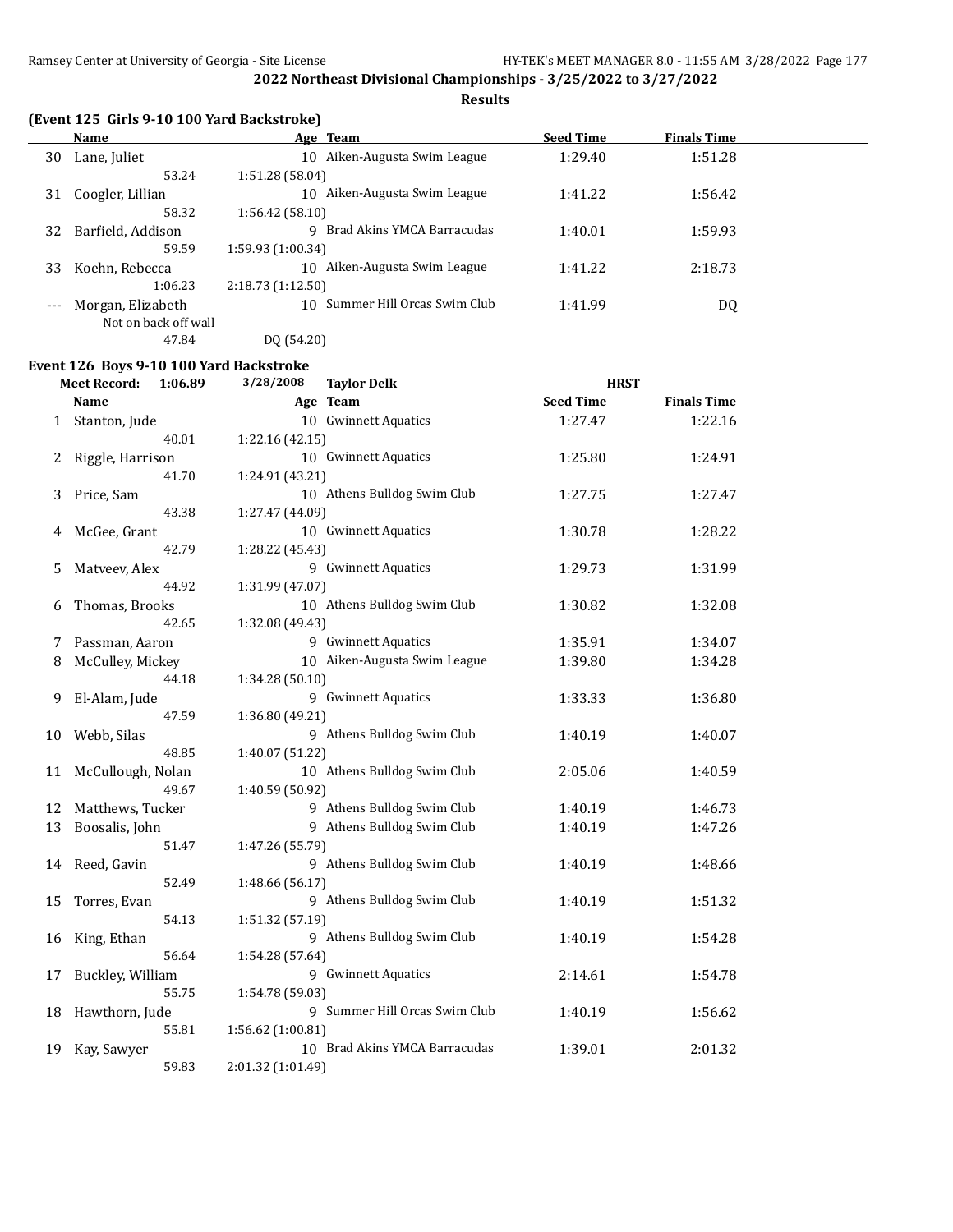**Results**

|  |  |  | (Event 125 Girls 9-10 100 Yard Backstroke) |
|--|--|--|--------------------------------------------|
|--|--|--|--------------------------------------------|

|       | Name                 | Age Team                        | <b>Seed Time</b> | <b>Finals Time</b> |  |
|-------|----------------------|---------------------------------|------------------|--------------------|--|
| 30    | Lane, Juliet         | Aiken-Augusta Swim League<br>10 | 1:29.40          | 1:51.28            |  |
|       | 53.24                | 1:51.28(58.04)                  |                  |                    |  |
| 31    | Coogler, Lillian     | Aiken-Augusta Swim League<br>10 | 1:41.22          | 1:56.42            |  |
|       | 58.32                | 1:56.42(58.10)                  |                  |                    |  |
| 32    | Barfield, Addison    | Brad Akins YMCA Barracudas<br>q | 1:40.01          | 1:59.93            |  |
|       | 59.59                | 1:59.93(1:00.34)                |                  |                    |  |
| 33    | Koehn, Rebecca       | Aiken-Augusta Swim League<br>10 | 1:41.22          | 2:18.73            |  |
|       | 1:06.23              | 2:18.73(1:12.50)                |                  |                    |  |
| $---$ | Morgan, Elizabeth    | 10 Summer Hill Orcas Swim Club  | 1:41.99          | DQ                 |  |
|       | Not on back off wall |                                 |                  |                    |  |
|       | 47.84                | DO (54.20)                      |                  |                    |  |

#### **Event 126 Boys 9-10 100 Yard Backstroke**

|    | <b>Meet Record:</b><br>1:06.89 | 3/28/2008<br><b>Taylor Delk</b> | <b>HRST</b>      |                    |  |
|----|--------------------------------|---------------------------------|------------------|--------------------|--|
|    | Name                           | Age Team                        | <b>Seed Time</b> | <b>Finals Time</b> |  |
|    | 1 Stanton, Jude                | 10 Gwinnett Aquatics            | 1:27.47          | 1:22.16            |  |
|    | 40.01                          | 1:22.16 (42.15)                 |                  |                    |  |
| 2  | Riggle, Harrison               | 10 Gwinnett Aquatics            | 1:25.80          | 1:24.91            |  |
|    | 41.70                          | 1:24.91 (43.21)                 |                  |                    |  |
| 3  | Price, Sam                     | 10 Athens Bulldog Swim Club     | 1:27.75          | 1:27.47            |  |
|    | 43.38                          | 1:27.47 (44.09)                 |                  |                    |  |
| 4  | McGee, Grant                   | 10 Gwinnett Aquatics            | 1:30.78          | 1:28.22            |  |
|    | 42.79                          | 1:28.22 (45.43)                 |                  |                    |  |
| 5  | Matveev, Alex                  | 9 Gwinnett Aquatics             | 1:29.73          | 1:31.99            |  |
|    | 44.92                          | 1:31.99 (47.07)                 |                  |                    |  |
| 6  | Thomas, Brooks                 | 10 Athens Bulldog Swim Club     | 1:30.82          | 1:32.08            |  |
|    | 42.65                          | 1:32.08 (49.43)                 |                  |                    |  |
| 7  | Passman, Aaron                 | 9 Gwinnett Aquatics             | 1:35.91          | 1:34.07            |  |
| 8  | McCulley, Mickey               | 10 Aiken-Augusta Swim League    | 1:39.80          | 1:34.28            |  |
|    | 44.18                          | 1:34.28 (50.10)                 |                  |                    |  |
| 9  | El-Alam, Jude                  | 9 Gwinnett Aquatics             | 1:33.33          | 1:36.80            |  |
|    | 47.59                          | 1:36.80 (49.21)                 |                  |                    |  |
| 10 | Webb, Silas                    | 9 Athens Bulldog Swim Club      | 1:40.19          | 1:40.07            |  |
|    | 48.85                          | 1:40.07 (51.22)                 |                  |                    |  |
| 11 | McCullough, Nolan              | 10 Athens Bulldog Swim Club     | 2:05.06          | 1:40.59            |  |
|    | 49.67                          | 1:40.59 (50.92)                 |                  |                    |  |
| 12 | Matthews, Tucker               | 9 Athens Bulldog Swim Club      | 1:40.19          | 1:46.73            |  |
| 13 | Boosalis, John                 | 9 Athens Bulldog Swim Club      | 1:40.19          | 1:47.26            |  |
|    | 51.47                          | 1:47.26 (55.79)                 |                  |                    |  |
| 14 | Reed, Gavin                    | 9 Athens Bulldog Swim Club      | 1:40.19          | 1:48.66            |  |
|    | 52.49                          | 1:48.66 (56.17)                 |                  |                    |  |
| 15 | Torres, Evan                   | 9 Athens Bulldog Swim Club      | 1:40.19          | 1:51.32            |  |
|    | 54.13                          | 1:51.32 (57.19)                 |                  |                    |  |
| 16 | King, Ethan                    | 9 Athens Bulldog Swim Club      | 1:40.19          | 1:54.28            |  |
|    | 56.64                          | 1:54.28 (57.64)                 |                  |                    |  |
| 17 | Buckley, William               | 9 Gwinnett Aquatics             | 2:14.61          | 1:54.78            |  |
|    | 55.75                          | 1:54.78 (59.03)                 |                  |                    |  |
| 18 | Hawthorn, Jude                 | 9 Summer Hill Orcas Swim Club   | 1:40.19          | 1:56.62            |  |
|    | 55.81                          | 1:56.62 (1:00.81)               |                  |                    |  |
| 19 | Kay, Sawyer                    | 10 Brad Akins YMCA Barracudas   | 1:39.01          | 2:01.32            |  |
|    | 59.83                          | 2:01.32 (1:01.49)               |                  |                    |  |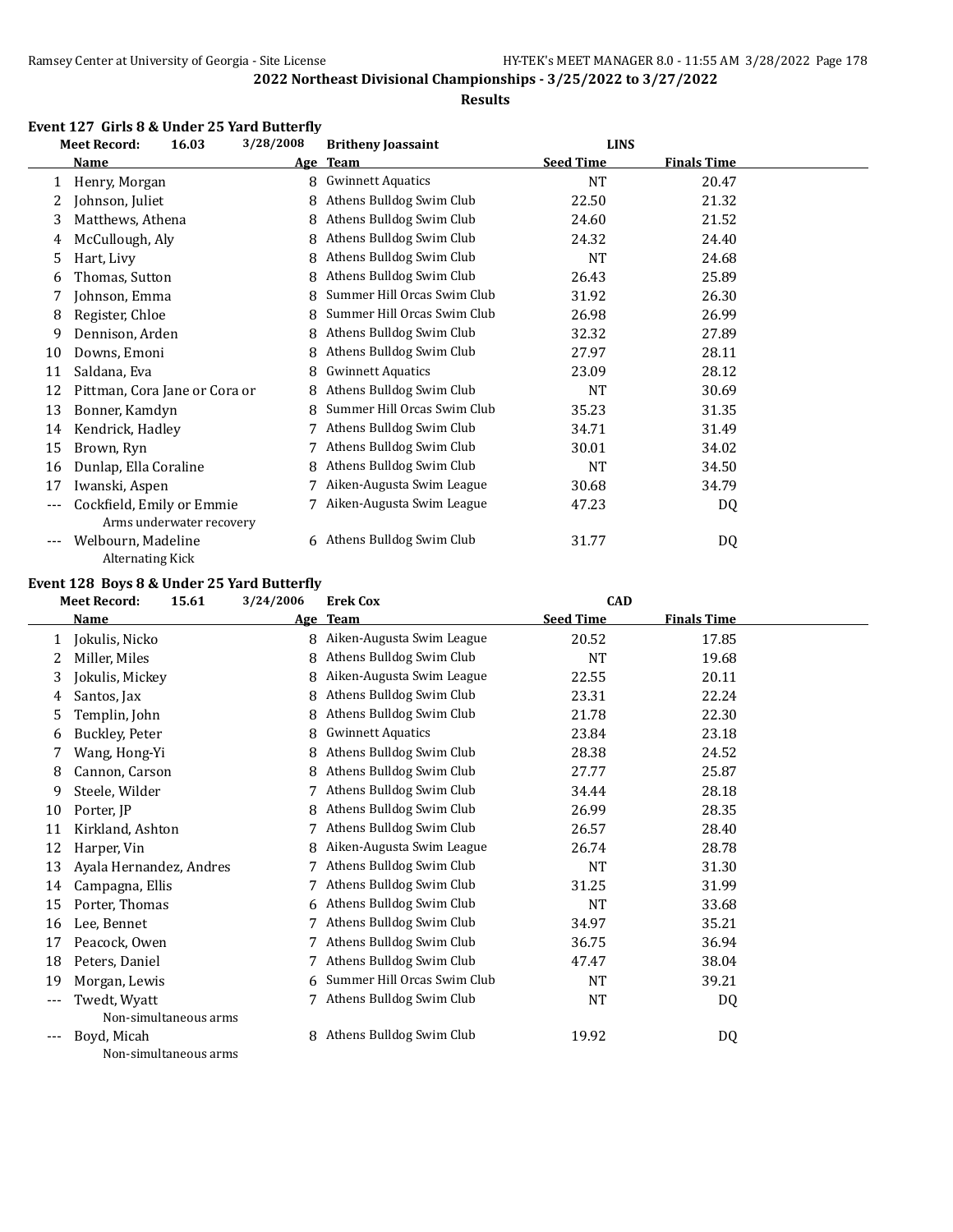#### **Results**

#### **Event 127 Girls 8 & Under 25 Yard Butterfly**

|       | <b>Meet Record:</b>                           | 16.03                    | 3/28/2008 | <b>Britheny Joassaint</b>   | <b>LINS</b>      |                    |  |
|-------|-----------------------------------------------|--------------------------|-----------|-----------------------------|------------------|--------------------|--|
|       | Name                                          |                          |           | Age Team                    | <b>Seed Time</b> | <b>Finals Time</b> |  |
| 1     | Henry, Morgan                                 |                          | 8         | <b>Gwinnett Aquatics</b>    | NT               | 20.47              |  |
| 2     | Johnson, Juliet                               |                          | 8         | Athens Bulldog Swim Club    | 22.50            | 21.32              |  |
| 3     | Matthews, Athena                              |                          | 8         | Athens Bulldog Swim Club    | 24.60            | 21.52              |  |
| 4     | McCullough, Aly                               |                          | 8         | Athens Bulldog Swim Club    | 24.32            | 24.40              |  |
| 5     | Hart, Livy                                    |                          | 8         | Athens Bulldog Swim Club    | <b>NT</b>        | 24.68              |  |
| 6     | Thomas, Sutton                                |                          | 8         | Athens Bulldog Swim Club    | 26.43            | 25.89              |  |
| 7     | Johnson, Emma                                 |                          | 8         | Summer Hill Orcas Swim Club | 31.92            | 26.30              |  |
| 8     | Register, Chloe                               |                          | 8         | Summer Hill Orcas Swim Club | 26.98            | 26.99              |  |
| 9     | Dennison, Arden                               |                          | 8         | Athens Bulldog Swim Club    | 32.32            | 27.89              |  |
| 10    | Downs, Emoni                                  |                          | 8         | Athens Bulldog Swim Club    | 27.97            | 28.11              |  |
| 11    | Saldana, Eva                                  |                          | 8         | <b>Gwinnett Aquatics</b>    | 23.09            | 28.12              |  |
| 12    | Pittman, Cora Jane or Cora or                 |                          |           | Athens Bulldog Swim Club    | NT               | 30.69              |  |
| 13    | Bonner, Kamdyn                                |                          | 8         | Summer Hill Orcas Swim Club | 35.23            | 31.35              |  |
| 14    | Kendrick, Hadley                              |                          |           | Athens Bulldog Swim Club    | 34.71            | 31.49              |  |
| 15    | Brown, Ryn                                    |                          |           | Athens Bulldog Swim Club    | 30.01            | 34.02              |  |
| 16    | Dunlap, Ella Coraline                         |                          | 8         | Athens Bulldog Swim Club    | NT               | 34.50              |  |
| 17    | Iwanski, Aspen                                |                          |           | Aiken-Augusta Swim League   | 30.68            | 34.79              |  |
| $---$ | Cockfield, Emily or Emmie                     |                          |           | Aiken-Augusta Swim League   | 47.23            | DQ                 |  |
| $---$ | Welbourn, Madeline<br><b>Alternating Kick</b> | Arms underwater recovery | 6         | Athens Bulldog Swim Club    | 31.77            | DQ                 |  |

#### **Event 128 Boys 8 & Under 25 Yard Butterfly**

|       | <b>Meet Record:</b><br>15.61 |                       | 3/24/2006  | <b>Erek Cox</b>             | <b>CAD</b>       |                    |  |
|-------|------------------------------|-----------------------|------------|-----------------------------|------------------|--------------------|--|
|       | Name                         |                       | <u>Age</u> | <b>Team</b>                 | <b>Seed Time</b> | <b>Finals Time</b> |  |
| 1     | Jokulis, Nicko               |                       | 8          | Aiken-Augusta Swim League   | 20.52            | 17.85              |  |
| 2     | Miller, Miles                |                       | 8          | Athens Bulldog Swim Club    | <b>NT</b>        | 19.68              |  |
| 3     | Jokulis, Mickey              |                       | 8          | Aiken-Augusta Swim League   | 22.55            | 20.11              |  |
| 4     | Santos, Jax                  |                       | 8          | Athens Bulldog Swim Club    | 23.31            | 22.24              |  |
| 5     | Templin, John                |                       | 8          | Athens Bulldog Swim Club    | 21.78            | 22.30              |  |
| 6     | Buckley, Peter               |                       | 8          | <b>Gwinnett Aquatics</b>    | 23.84            | 23.18              |  |
| 7     | Wang, Hong-Yi                |                       | 8          | Athens Bulldog Swim Club    | 28.38            | 24.52              |  |
| 8     | Cannon, Carson               |                       | 8          | Athens Bulldog Swim Club    | 27.77            | 25.87              |  |
| 9     | Steele, Wilder               |                       |            | Athens Bulldog Swim Club    | 34.44            | 28.18              |  |
| 10    | Porter, JP                   |                       | 8          | Athens Bulldog Swim Club    | 26.99            | 28.35              |  |
| 11    | Kirkland, Ashton             |                       |            | Athens Bulldog Swim Club    | 26.57            | 28.40              |  |
| 12    | Harper, Vin                  |                       | 8          | Aiken-Augusta Swim League   | 26.74            | 28.78              |  |
| 13    | Ayala Hernandez, Andres      |                       |            | Athens Bulldog Swim Club    | <b>NT</b>        | 31.30              |  |
| 14    | Campagna, Ellis              |                       | 7          | Athens Bulldog Swim Club    | 31.25            | 31.99              |  |
| 15    | Porter, Thomas               |                       | 6          | Athens Bulldog Swim Club    | NT               | 33.68              |  |
| 16    | Lee, Bennet                  |                       |            | Athens Bulldog Swim Club    | 34.97            | 35.21              |  |
| 17    | Peacock, Owen                |                       | 7          | Athens Bulldog Swim Club    | 36.75            | 36.94              |  |
| 18    | Peters, Daniel               |                       |            | Athens Bulldog Swim Club    | 47.47            | 38.04              |  |
| 19    | Morgan, Lewis                |                       | 6          | Summer Hill Orcas Swim Club | NT               | 39.21              |  |
| $---$ | Twedt, Wyatt                 |                       | 7          | Athens Bulldog Swim Club    | <b>NT</b>        | DQ                 |  |
|       |                              | Non-simultaneous arms |            |                             |                  |                    |  |
| $---$ | Boyd, Micah                  |                       |            | Athens Bulldog Swim Club    | 19.92            | DQ                 |  |
|       |                              | Non-simultaneous arms |            |                             |                  |                    |  |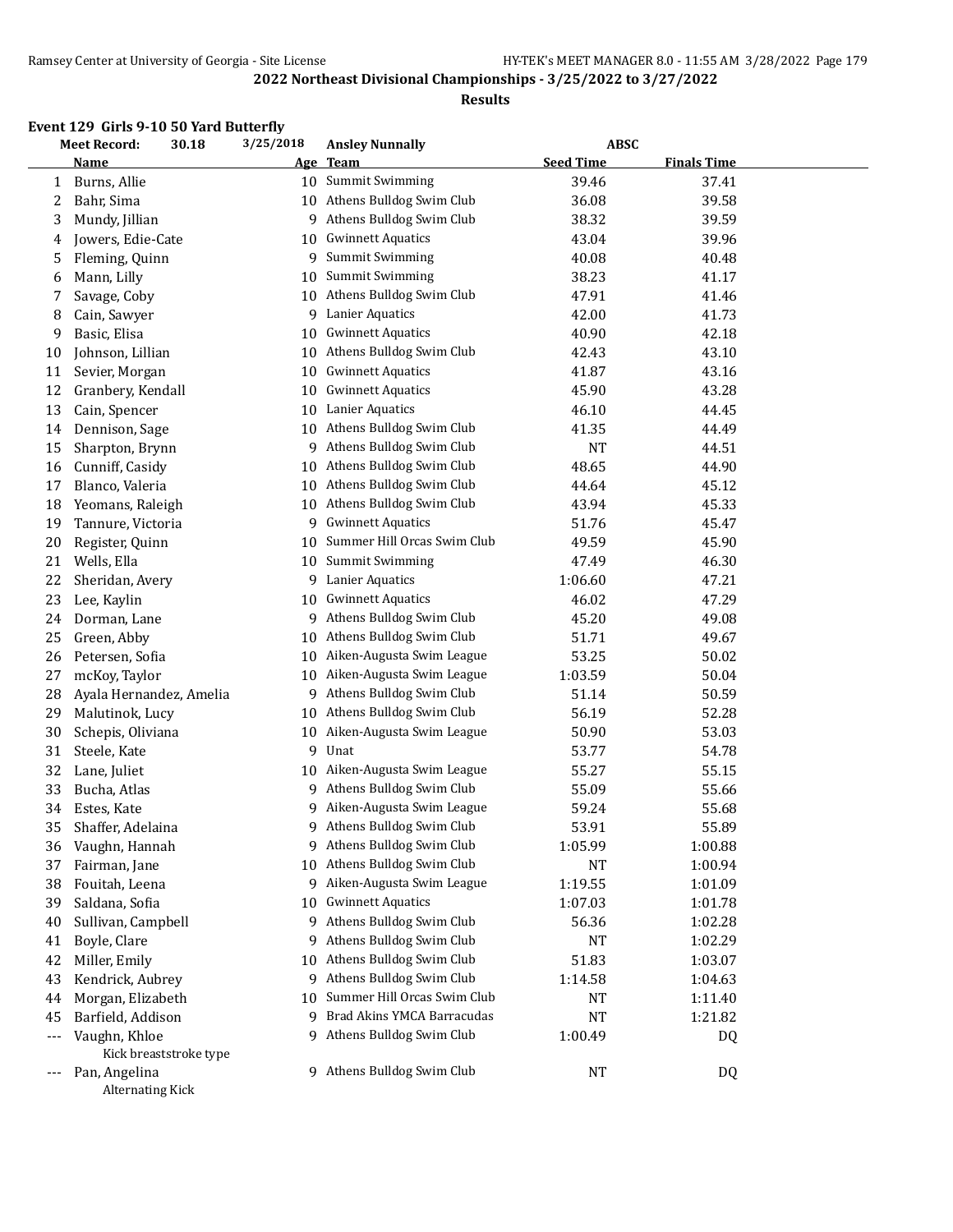#### **Results**

#### **Event 129 Girls 9-10 50 Yard Butterfly**

|     | <b>Meet Record:</b><br>30.18 | 3/25/2018 | <b>Ansley Nunnally</b>      | <b>ABSC</b>      |                    |  |
|-----|------------------------------|-----------|-----------------------------|------------------|--------------------|--|
|     | <b>Name</b>                  | Age       | <b>Team</b>                 | <b>Seed Time</b> | <b>Finals Time</b> |  |
| 1   | Burns, Allie                 |           | 10 Summit Swimming          | 39.46            | 37.41              |  |
| 2   | Bahr, Sima                   | 10        | Athens Bulldog Swim Club    | 36.08            | 39.58              |  |
| 3   | Mundy, Jillian               | 9         | Athens Bulldog Swim Club    | 38.32            | 39.59              |  |
| 4   | Jowers, Edie-Cate            | 10        | <b>Gwinnett Aquatics</b>    | 43.04            | 39.96              |  |
| 5   | Fleming, Quinn               | 9         | <b>Summit Swimming</b>      | 40.08            | 40.48              |  |
| 6   | Mann, Lilly                  | 10        | Summit Swimming             | 38.23            | 41.17              |  |
| 7   | Savage, Coby                 | 10        | Athens Bulldog Swim Club    | 47.91            | 41.46              |  |
| 8   | Cain, Sawyer                 | 9         | Lanier Aquatics             | 42.00            | 41.73              |  |
| 9   | Basic, Elisa                 | 10        | <b>Gwinnett Aquatics</b>    | 40.90            | 42.18              |  |
| 10  | Johnson, Lillian             | 10        | Athens Bulldog Swim Club    | 42.43            | 43.10              |  |
| 11  | Sevier, Morgan               | 10        | <b>Gwinnett Aquatics</b>    | 41.87            | 43.16              |  |
| 12  | Granbery, Kendall            | 10        | <b>Gwinnett Aquatics</b>    | 45.90            | 43.28              |  |
| 13  | Cain, Spencer                | 10        | <b>Lanier Aquatics</b>      | 46.10            | 44.45              |  |
| 14  | Dennison, Sage               | 10        | Athens Bulldog Swim Club    | 41.35            | 44.49              |  |
| 15  | Sharpton, Brynn              | 9         | Athens Bulldog Swim Club    | <b>NT</b>        | 44.51              |  |
| 16  | Cunniff, Casidy              | 10        | Athens Bulldog Swim Club    | 48.65            | 44.90              |  |
| 17  | Blanco, Valeria              | 10        | Athens Bulldog Swim Club    | 44.64            | 45.12              |  |
| 18  | Yeomans, Raleigh             | 10        | Athens Bulldog Swim Club    | 43.94            | 45.33              |  |
| 19  | Tannure, Victoria            | 9         | <b>Gwinnett Aquatics</b>    | 51.76            | 45.47              |  |
| 20  | Register, Quinn              | 10        | Summer Hill Orcas Swim Club | 49.59            | 45.90              |  |
| 21  | Wells, Ella                  | 10        | Summit Swimming             | 47.49            | 46.30              |  |
| 22  | Sheridan, Avery              | 9.        | Lanier Aquatics             | 1:06.60          | 47.21              |  |
| 23  | Lee, Kaylin                  | 10        | <b>Gwinnett Aquatics</b>    | 46.02            | 47.29              |  |
| 24  | Dorman, Lane                 | 9         | Athens Bulldog Swim Club    | 45.20            | 49.08              |  |
| 25  | Green, Abby                  | 10        | Athens Bulldog Swim Club    | 51.71            | 49.67              |  |
| 26  | Petersen, Sofia              | 10        | Aiken-Augusta Swim League   | 53.25            | 50.02              |  |
| 27  | mcKoy, Taylor                | 10        | Aiken-Augusta Swim League   | 1:03.59          | 50.04              |  |
| 28  | Ayala Hernandez, Amelia      | 9         | Athens Bulldog Swim Club    | 51.14            | 50.59              |  |
| 29  | Malutinok, Lucy              | 10        | Athens Bulldog Swim Club    | 56.19            | 52.28              |  |
| 30  | Schepis, Oliviana            | 10        | Aiken-Augusta Swim League   | 50.90            | 53.03              |  |
| 31  | Steele, Kate                 | 9         | Unat                        | 53.77            | 54.78              |  |
| 32  | Lane, Juliet                 | 10        | Aiken-Augusta Swim League   | 55.27            | 55.15              |  |
| 33  | Bucha, Atlas                 | 9         | Athens Bulldog Swim Club    | 55.09            | 55.66              |  |
| 34  | Estes, Kate                  | 9         | Aiken-Augusta Swim League   | 59.24            | 55.68              |  |
| 35  | Shaffer, Adelaina            | 9         | Athens Bulldog Swim Club    | 53.91            | 55.89              |  |
| 36  | Vaughn, Hannah               |           | 9 Athens Bulldog Swim Club  | 1:05.99          | 1:00.88            |  |
| 37  | Fairman, Jane                | 10        | Athens Bulldog Swim Club    | <b>NT</b>        | 1:00.94            |  |
| 38  | Fouitah, Leena               | 9         | Aiken-Augusta Swim League   | 1:19.55          | 1:01.09            |  |
| 39  | Saldana, Sofia               | 10        | <b>Gwinnett Aquatics</b>    | 1:07.03          | 1:01.78            |  |
| 40  | Sullivan, Campbell           | 9         | Athens Bulldog Swim Club    | 56.36            | 1:02.28            |  |
| 41  | Boyle, Clare                 | 9         | Athens Bulldog Swim Club    | NT               | 1:02.29            |  |
| 42  | Miller, Emily                | 10        | Athens Bulldog Swim Club    | 51.83            | 1:03.07            |  |
| 43  | Kendrick, Aubrey             | 9         | Athens Bulldog Swim Club    | 1:14.58          | 1:04.63            |  |
| 44  | Morgan, Elizabeth            | 10        | Summer Hill Orcas Swim Club | NT               | 1:11.40            |  |
| 45  | Barfield, Addison            | 9.        | Brad Akins YMCA Barracudas  | <b>NT</b>        | 1:21.82            |  |
|     | Vaughn, Khloe                | 9.        | Athens Bulldog Swim Club    | 1:00.49          | DQ                 |  |
| --- | Kick breaststroke type       |           |                             |                  |                    |  |
| --- | Pan, Angelina                |           | 9 Athens Bulldog Swim Club  | <b>NT</b>        | DQ                 |  |
|     | Alternating Kick             |           |                             |                  |                    |  |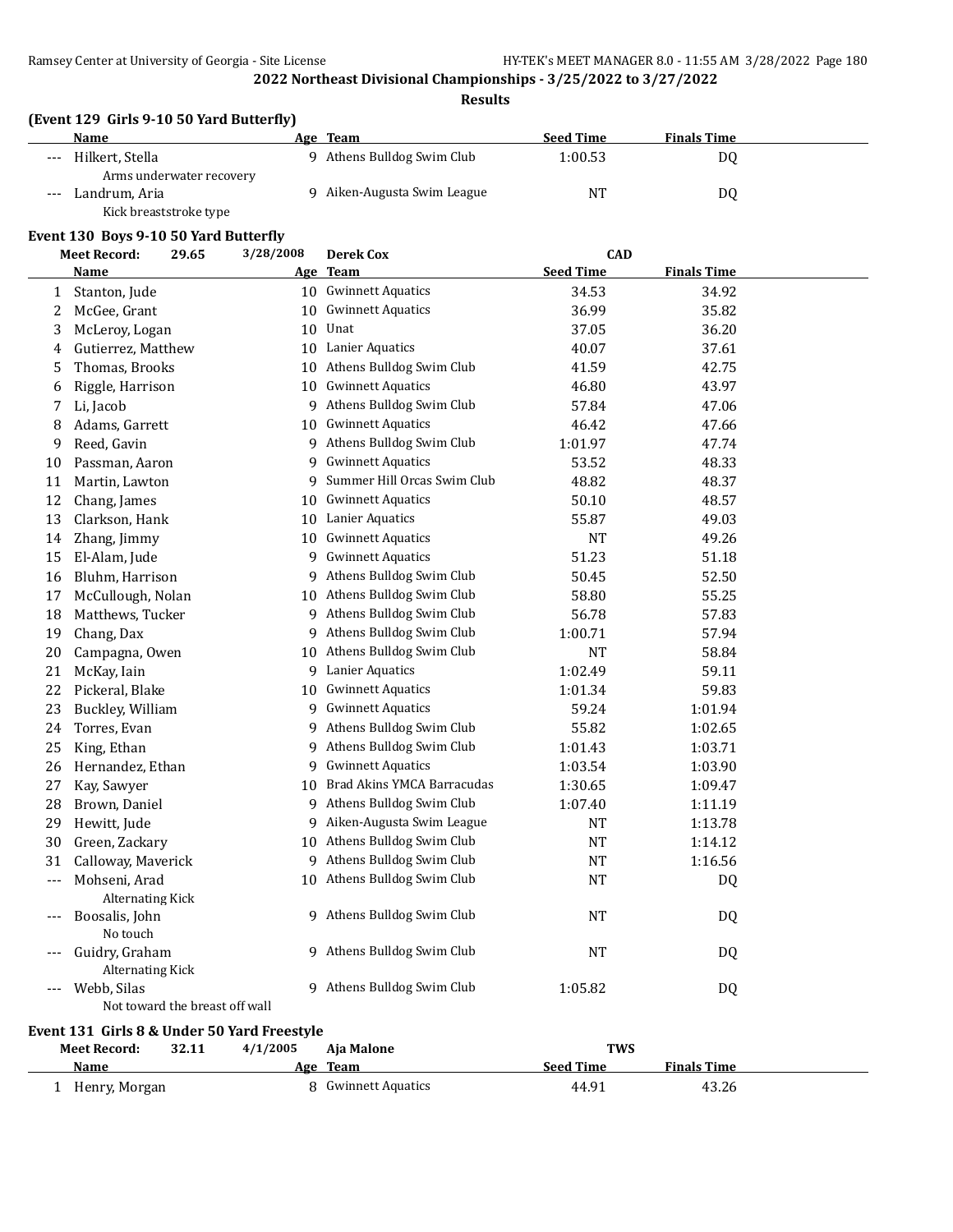**Results**

# **(Event 129 Girls 9-10 50 Yard Butterfly)**

|       | <b>Name</b>                                                         | Age | Team                       | <b>Seed Time</b> | <b>Finals Time</b> |
|-------|---------------------------------------------------------------------|-----|----------------------------|------------------|--------------------|
| $---$ | Hilkert, Stella                                                     |     | 9 Athens Bulldog Swim Club | 1:00.53          | D0                 |
| $---$ | Arms underwater recovery<br>Landrum, Aria<br>Kick breaststroke type |     | Aiken-Augusta Swim League  | NT               | D0                 |

#### **Event 130 Boys 9-10 50 Yard Butterfly**

|                                             | <b>Meet Record:</b>                       | 29.65 | 3/28/2008 | <b>Derek Cox</b>              | <b>CAD</b>       |                    |  |
|---------------------------------------------|-------------------------------------------|-------|-----------|-------------------------------|------------------|--------------------|--|
|                                             | <b>Name</b>                               |       |           | Age Team                      | <b>Seed Time</b> | <b>Finals Time</b> |  |
| $\mathbf{1}$                                | Stanton, Jude                             |       |           | 10 Gwinnett Aquatics          | 34.53            | 34.92              |  |
| $\overline{c}$                              | McGee, Grant                              |       |           | 10 Gwinnett Aquatics          | 36.99            | 35.82              |  |
| 3                                           | McLeroy, Logan                            |       |           | 10 Unat                       | 37.05            | 36.20              |  |
| 4                                           | Gutierrez, Matthew                        |       |           | 10 Lanier Aquatics            | 40.07            | 37.61              |  |
| 5                                           | Thomas, Brooks                            |       |           | 10 Athens Bulldog Swim Club   | 41.59            | 42.75              |  |
| 6                                           | Riggle, Harrison                          |       | 10        | <b>Gwinnett Aquatics</b>      | 46.80            | 43.97              |  |
| 7                                           | Li, Jacob                                 |       |           | 9 Athens Bulldog Swim Club    | 57.84            | 47.06              |  |
| 8                                           | Adams, Garrett                            |       | 10        | <b>Gwinnett Aquatics</b>      | 46.42            | 47.66              |  |
| 9                                           | Reed, Gavin                               |       |           | 9 Athens Bulldog Swim Club    | 1:01.97          | 47.74              |  |
| 10                                          | Passman, Aaron                            |       |           | 9 Gwinnett Aquatics           | 53.52            | 48.33              |  |
| 11                                          | Martin, Lawton                            |       |           | 9 Summer Hill Orcas Swim Club | 48.82            | 48.37              |  |
| 12                                          | Chang, James                              |       |           | 10 Gwinnett Aquatics          | 50.10            | 48.57              |  |
| 13                                          | Clarkson, Hank                            |       |           | 10 Lanier Aquatics            | 55.87            | 49.03              |  |
| 14                                          | Zhang, Jimmy                              |       |           | 10 Gwinnett Aquatics          | NT               | 49.26              |  |
| 15                                          | El-Alam, Jude                             |       |           | 9 Gwinnett Aquatics           | 51.23            | 51.18              |  |
| 16                                          | Bluhm, Harrison                           |       |           | 9 Athens Bulldog Swim Club    | 50.45            | 52.50              |  |
| 17                                          | McCullough, Nolan                         |       |           | 10 Athens Bulldog Swim Club   | 58.80            | 55.25              |  |
| 18                                          | Matthews, Tucker                          |       |           | 9 Athens Bulldog Swim Club    | 56.78            | 57.83              |  |
| 19                                          | Chang, Dax                                |       |           | 9 Athens Bulldog Swim Club    | 1:00.71          | 57.94              |  |
| 20                                          | Campagna, Owen                            |       |           | 10 Athens Bulldog Swim Club   | NT               | 58.84              |  |
| 21                                          | McKay, Iain                               |       |           | 9 Lanier Aquatics             | 1:02.49          | 59.11              |  |
| 22                                          | Pickeral, Blake                           |       |           | 10 Gwinnett Aquatics          | 1:01.34          | 59.83              |  |
| 23                                          | Buckley, William                          |       |           | 9 Gwinnett Aquatics           | 59.24            | 1:01.94            |  |
| 24                                          | Torres, Evan                              |       |           | 9 Athens Bulldog Swim Club    | 55.82            | 1:02.65            |  |
| 25                                          | King, Ethan                               |       | 9.        | Athens Bulldog Swim Club      | 1:01.43          | 1:03.71            |  |
| 26                                          | Hernandez, Ethan                          |       | 9         | <b>Gwinnett Aquatics</b>      | 1:03.54          | 1:03.90            |  |
| 27                                          | Kay, Sawyer                               |       | 10        | Brad Akins YMCA Barracudas    | 1:30.65          | 1:09.47            |  |
| 28                                          | Brown, Daniel                             |       |           | 9 Athens Bulldog Swim Club    | 1:07.40          | 1:11.19            |  |
| 29                                          | Hewitt, Jude                              |       |           | 9 Aiken-Augusta Swim League   | <b>NT</b>        | 1:13.78            |  |
| 30                                          | Green, Zackary                            |       |           | 10 Athens Bulldog Swim Club   | <b>NT</b>        | 1:14.12            |  |
| 31                                          | Calloway, Maverick                        |       |           | 9 Athens Bulldog Swim Club    | <b>NT</b>        | 1:16.56            |  |
| $\cdots$                                    | Mohseni, Arad                             |       |           | 10 Athens Bulldog Swim Club   | NT               | <b>DQ</b>          |  |
| $\cdots$                                    | <b>Alternating Kick</b><br>Boosalis, John |       |           | 9 Athens Bulldog Swim Club    | NT               | DQ                 |  |
|                                             | No touch                                  |       |           |                               |                  |                    |  |
| $---$                                       | Guidry, Graham<br><b>Alternating Kick</b> |       |           | 9 Athens Bulldog Swim Club    | <b>NT</b>        | <b>DQ</b>          |  |
|                                             | Webb, Silas                               |       | 9.        | Athens Bulldog Swim Club      | 1:05.82          | DQ                 |  |
| Not toward the breast off wall              |                                           |       |           |                               |                  |                    |  |
| Event 131 Girls 8 & Under 50 Yard Freestyle |                                           |       |           |                               |                  |                    |  |

| Meet Record:  | 32.11 | 4/1/2005 | Aia Malone          |                  | <b>TWS</b>         |  |
|---------------|-------|----------|---------------------|------------------|--------------------|--|
| Name          |       |          | Age Team            | <b>Seed Time</b> | <b>Finals Time</b> |  |
| Henry, Morgan |       |          | 8 Gwinnett Aquatics | 44.91            | 43.26              |  |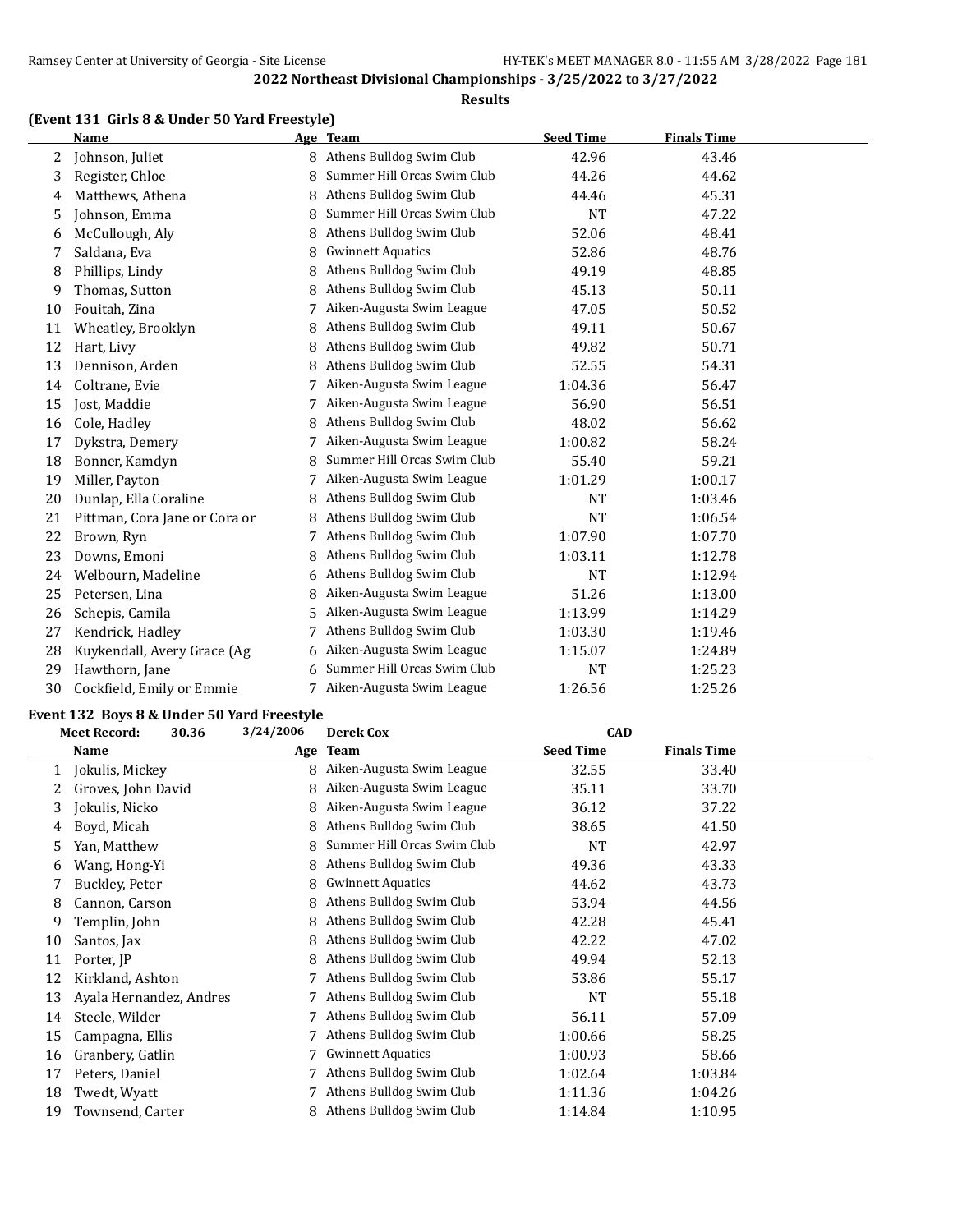# **Results**

# **(Event 131 Girls 8 & Under 50 Yard Freestyle)**

|    | Name                          |   | Age Team                    | <b>Seed Time</b> | <b>Finals Time</b> |  |
|----|-------------------------------|---|-----------------------------|------------------|--------------------|--|
| 2  | Johnson, Juliet               | 8 | Athens Bulldog Swim Club    | 42.96            | 43.46              |  |
| 3  | Register, Chloe               | 8 | Summer Hill Orcas Swim Club | 44.26            | 44.62              |  |
| 4  | Matthews, Athena              | 8 | Athens Bulldog Swim Club    | 44.46            | 45.31              |  |
| 5  | Johnson, Emma                 | 8 | Summer Hill Orcas Swim Club | <b>NT</b>        | 47.22              |  |
| 6  | McCullough, Aly               | 8 | Athens Bulldog Swim Club    | 52.06            | 48.41              |  |
| 7  | Saldana, Eva                  | 8 | <b>Gwinnett Aquatics</b>    | 52.86            | 48.76              |  |
| 8  | Phillips, Lindy               | 8 | Athens Bulldog Swim Club    | 49.19            | 48.85              |  |
| 9  | Thomas, Sutton                | 8 | Athens Bulldog Swim Club    | 45.13            | 50.11              |  |
| 10 | Fouitah, Zina                 |   | Aiken-Augusta Swim League   | 47.05            | 50.52              |  |
| 11 | Wheatley, Brooklyn            | 8 | Athens Bulldog Swim Club    | 49.11            | 50.67              |  |
| 12 | Hart, Livy                    | 8 | Athens Bulldog Swim Club    | 49.82            | 50.71              |  |
| 13 | Dennison, Arden               | 8 | Athens Bulldog Swim Club    | 52.55            | 54.31              |  |
| 14 | Coltrane, Evie                | 7 | Aiken-Augusta Swim League   | 1:04.36          | 56.47              |  |
| 15 | Jost, Maddie                  |   | Aiken-Augusta Swim League   | 56.90            | 56.51              |  |
| 16 | Cole, Hadley                  | 8 | Athens Bulldog Swim Club    | 48.02            | 56.62              |  |
| 17 | Dykstra, Demery               |   | Aiken-Augusta Swim League   | 1:00.82          | 58.24              |  |
| 18 | Bonner, Kamdyn                | 8 | Summer Hill Orcas Swim Club | 55.40            | 59.21              |  |
| 19 | Miller, Payton                |   | Aiken-Augusta Swim League   | 1:01.29          | 1:00.17            |  |
| 20 | Dunlap, Ella Coraline         | 8 | Athens Bulldog Swim Club    | <b>NT</b>        | 1:03.46            |  |
| 21 | Pittman, Cora Jane or Cora or | 8 | Athens Bulldog Swim Club    | <b>NT</b>        | 1:06.54            |  |
| 22 | Brown, Ryn                    | 7 | Athens Bulldog Swim Club    | 1:07.90          | 1:07.70            |  |
| 23 | Downs, Emoni                  | 8 | Athens Bulldog Swim Club    | 1:03.11          | 1:12.78            |  |
| 24 | Welbourn, Madeline            | 6 | Athens Bulldog Swim Club    | <b>NT</b>        | 1:12.94            |  |
| 25 | Petersen, Lina                | 8 | Aiken-Augusta Swim League   | 51.26            | 1:13.00            |  |
| 26 | Schepis, Camila               | 5 | Aiken-Augusta Swim League   | 1:13.99          | 1:14.29            |  |
| 27 | Kendrick, Hadley              |   | Athens Bulldog Swim Club    | 1:03.30          | 1:19.46            |  |
| 28 | Kuykendall, Avery Grace (Ag   | 6 | Aiken-Augusta Swim League   | 1:15.07          | 1:24.89            |  |
| 29 | Hawthorn, Jane                |   | Summer Hill Orcas Swim Club | <b>NT</b>        | 1:25.23            |  |
| 30 | Cockfield, Emily or Emmie     |   | Aiken-Augusta Swim League   | 1:26.56          | 1:25.26            |  |

# **Event 132 Boys 8 & Under 50 Yard Freestyle**<br>Meet Becord: 30.36 3/24/2006 Derek Cox

|    | <b>Meet Record:</b><br>30.36 | 3/24/2006 | Derek Cox                   | <b>CAD</b>       |                    |  |
|----|------------------------------|-----------|-----------------------------|------------------|--------------------|--|
|    | Name                         | Age       | <b>Team</b>                 | <b>Seed Time</b> | <b>Finals Time</b> |  |
|    | Jokulis, Mickey              | 8         | Aiken-Augusta Swim League   | 32.55            | 33.40              |  |
|    | Groves, John David           | 8         | Aiken-Augusta Swim League   | 35.11            | 33.70              |  |
| 3  | Jokulis, Nicko               | 8         | Aiken-Augusta Swim League   | 36.12            | 37.22              |  |
| 4  | Boyd, Micah                  | 8         | Athens Bulldog Swim Club    | 38.65            | 41.50              |  |
| 5  | Yan, Matthew                 | 8         | Summer Hill Orcas Swim Club | <b>NT</b>        | 42.97              |  |
| 6  | Wang, Hong-Yi                | 8         | Athens Bulldog Swim Club    | 49.36            | 43.33              |  |
|    | Buckley, Peter               | 8         | <b>Gwinnett Aquatics</b>    | 44.62            | 43.73              |  |
| 8  | Cannon, Carson               | 8         | Athens Bulldog Swim Club    | 53.94            | 44.56              |  |
| 9  | Templin, John                | 8         | Athens Bulldog Swim Club    | 42.28            | 45.41              |  |
| 10 | Santos, Jax                  | 8         | Athens Bulldog Swim Club    | 42.22            | 47.02              |  |
| 11 | Porter, JP                   | 8         | Athens Bulldog Swim Club    | 49.94            | 52.13              |  |
| 12 | Kirkland, Ashton             |           | Athens Bulldog Swim Club    | 53.86            | 55.17              |  |
| 13 | Ayala Hernandez, Andres      |           | 7 Athens Bulldog Swim Club  | NT               | 55.18              |  |
| 14 | Steele, Wilder               |           | Athens Bulldog Swim Club    | 56.11            | 57.09              |  |
| 15 | Campagna, Ellis              |           | 7 Athens Bulldog Swim Club  | 1:00.66          | 58.25              |  |
| 16 | Granbery, Gatlin             |           | <b>Gwinnett Aquatics</b>    | 1:00.93          | 58.66              |  |
| 17 | Peters, Daniel               |           | Athens Bulldog Swim Club    | 1:02.64          | 1:03.84            |  |
| 18 | Twedt, Wyatt                 |           | Athens Bulldog Swim Club    | 1:11.36          | 1:04.26            |  |
| 19 | Townsend, Carter             |           | Athens Bulldog Swim Club    | 1:14.84          | 1:10.95            |  |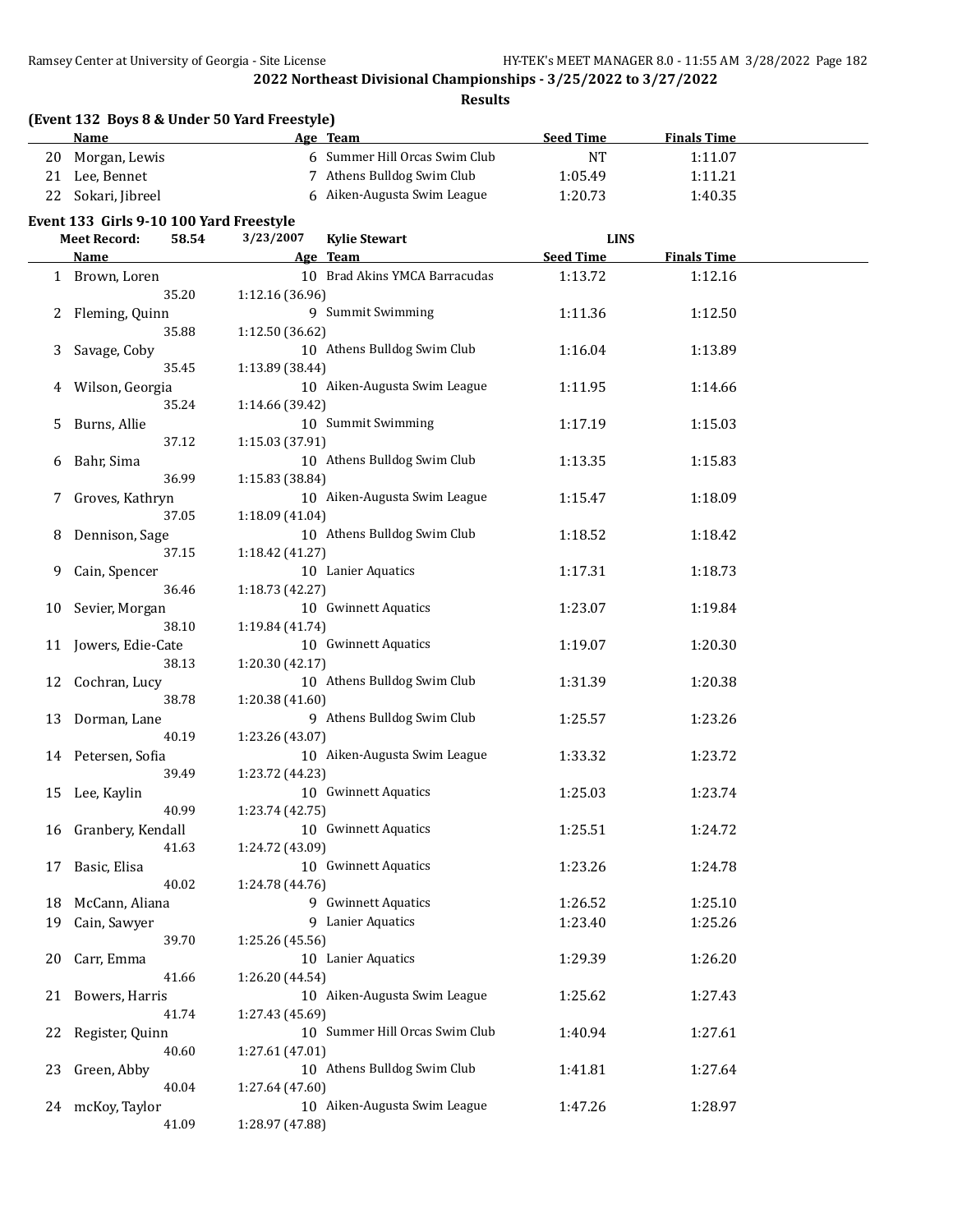**Results**

|              | (Event 132 Boys 8 & Under 50 Yard Freestyle) |                 |                                |                  |                    |  |
|--------------|----------------------------------------------|-----------------|--------------------------------|------------------|--------------------|--|
|              | <b>Name</b>                                  |                 | Age Team                       | <b>Seed Time</b> | <b>Finals Time</b> |  |
| 20           | Morgan, Lewis                                |                 | 6 Summer Hill Orcas Swim Club  | <b>NT</b>        | 1:11.07            |  |
| 21           | Lee, Bennet                                  |                 | 7 Athens Bulldog Swim Club     | 1:05.49          | 1:11.21            |  |
| 22           | Sokari, Jibreel                              |                 | 6 Aiken-Augusta Swim League    | 1:20.73          | 1:40.35            |  |
|              | Event 133 Girls 9-10 100 Yard Freestyle      |                 |                                |                  |                    |  |
|              | 58.54<br><b>Meet Record:</b>                 | 3/23/2007       | <b>Kylie Stewart</b>           | <b>LINS</b>      |                    |  |
|              | Name                                         |                 | Age Team                       | <b>Seed Time</b> | <b>Finals Time</b> |  |
|              | 1 Brown, Loren                               |                 | 10 Brad Akins YMCA Barracudas  | 1:13.72          | 1:12.16            |  |
|              | 35.20                                        | 1:12.16 (36.96) |                                |                  |                    |  |
| $\mathbf{Z}$ | Fleming, Quinn                               |                 | 9 Summit Swimming              | 1:11.36          | 1:12.50            |  |
|              | 35.88                                        | 1:12.50 (36.62) |                                |                  |                    |  |
| 3            | Savage, Coby                                 |                 | 10 Athens Bulldog Swim Club    | 1:16.04          | 1:13.89            |  |
|              | 35.45                                        | 1:13.89 (38.44) |                                |                  |                    |  |
| 4            | Wilson, Georgia                              |                 | 10 Aiken-Augusta Swim League   | 1:11.95          | 1:14.66            |  |
|              | 35.24                                        | 1:14.66 (39.42) |                                |                  |                    |  |
| 5            | Burns, Allie                                 |                 | 10 Summit Swimming             | 1:17.19          | 1:15.03            |  |
|              | 37.12                                        | 1:15.03 (37.91) |                                |                  |                    |  |
| 6            | Bahr, Sima                                   |                 | 10 Athens Bulldog Swim Club    | 1:13.35          | 1:15.83            |  |
|              | 36.99                                        | 1:15.83 (38.84) |                                |                  |                    |  |
| 7.           | Groves, Kathryn                              |                 | 10 Aiken-Augusta Swim League   | 1:15.47          | 1:18.09            |  |
|              | 37.05                                        | 1:18.09 (41.04) |                                |                  |                    |  |
| 8            | Dennison, Sage                               |                 | 10 Athens Bulldog Swim Club    | 1:18.52          | 1:18.42            |  |
|              | 37.15                                        | 1:18.42 (41.27) |                                |                  |                    |  |
| 9            | Cain, Spencer                                |                 | 10 Lanier Aquatics             | 1:17.31          | 1:18.73            |  |
|              | 36.46                                        | 1:18.73 (42.27) |                                |                  |                    |  |
| 10           | Sevier, Morgan                               |                 | 10 Gwinnett Aquatics           | 1:23.07          | 1:19.84            |  |
|              | 38.10                                        | 1:19.84 (41.74) |                                |                  |                    |  |
| 11           | Jowers, Edie-Cate                            |                 | 10 Gwinnett Aquatics           | 1:19.07          | 1:20.30            |  |
|              | 38.13                                        | 1:20.30 (42.17) |                                |                  |                    |  |
| 12           | Cochran, Lucy                                |                 | 10 Athens Bulldog Swim Club    | 1:31.39          | 1:20.38            |  |
|              | 38.78                                        | 1:20.38 (41.60) |                                |                  |                    |  |
| 13           | Dorman, Lane                                 |                 | 9 Athens Bulldog Swim Club     | 1:25.57          | 1:23.26            |  |
|              | 40.19                                        | 1:23.26 (43.07) |                                |                  |                    |  |
| 14           | Petersen, Sofia                              |                 | 10 Aiken-Augusta Swim League   | 1:33.32          | 1:23.72            |  |
|              | 39.49                                        | 1:23.72 (44.23) |                                |                  |                    |  |
| 15           | Lee, Kaylin                                  |                 | 10 Gwinnett Aquatics           | 1:25.03          | 1:23.74            |  |
|              | 40.99                                        | 1:23.74 (42.75) |                                |                  |                    |  |
| 16           | Granbery, Kendall<br>41.63                   |                 | 10 Gwinnett Aquatics           | 1:25.51          | 1:24.72            |  |
|              |                                              | 1:24.72 (43.09) | 10 Gwinnett Aquatics           |                  |                    |  |
| 17           | Basic, Elisa<br>40.02                        | 1:24.78 (44.76) |                                | 1:23.26          | 1:24.78            |  |
| 18           | McCann, Aliana                               |                 | 9 Gwinnett Aquatics            | 1:26.52          | 1:25.10            |  |
| 19           | Cain, Sawyer                                 |                 | 9 Lanier Aquatics              | 1:23.40          | 1:25.26            |  |
|              | 39.70                                        | 1:25.26 (45.56) |                                |                  |                    |  |
| 20           | Carr, Emma                                   |                 | 10 Lanier Aquatics             | 1:29.39          | 1:26.20            |  |
|              | 41.66                                        | 1:26.20 (44.54) |                                |                  |                    |  |
| 21           | Bowers, Harris                               |                 | 10 Aiken-Augusta Swim League   | 1:25.62          | 1:27.43            |  |
|              | 41.74                                        | 1:27.43 (45.69) |                                |                  |                    |  |
| 22           | Register, Quinn                              |                 | 10 Summer Hill Orcas Swim Club | 1:40.94          | 1:27.61            |  |
|              | 40.60                                        | 1:27.61 (47.01) |                                |                  |                    |  |
| 23           | Green, Abby                                  |                 | 10 Athens Bulldog Swim Club    | 1:41.81          | 1:27.64            |  |
|              | 40.04                                        | 1:27.64 (47.60) |                                |                  |                    |  |
|              | 24 mcKoy, Taylor                             |                 | 10 Aiken-Augusta Swim League   | 1:47.26          | 1:28.97            |  |
|              | 41.09                                        | 1:28.97 (47.88) |                                |                  |                    |  |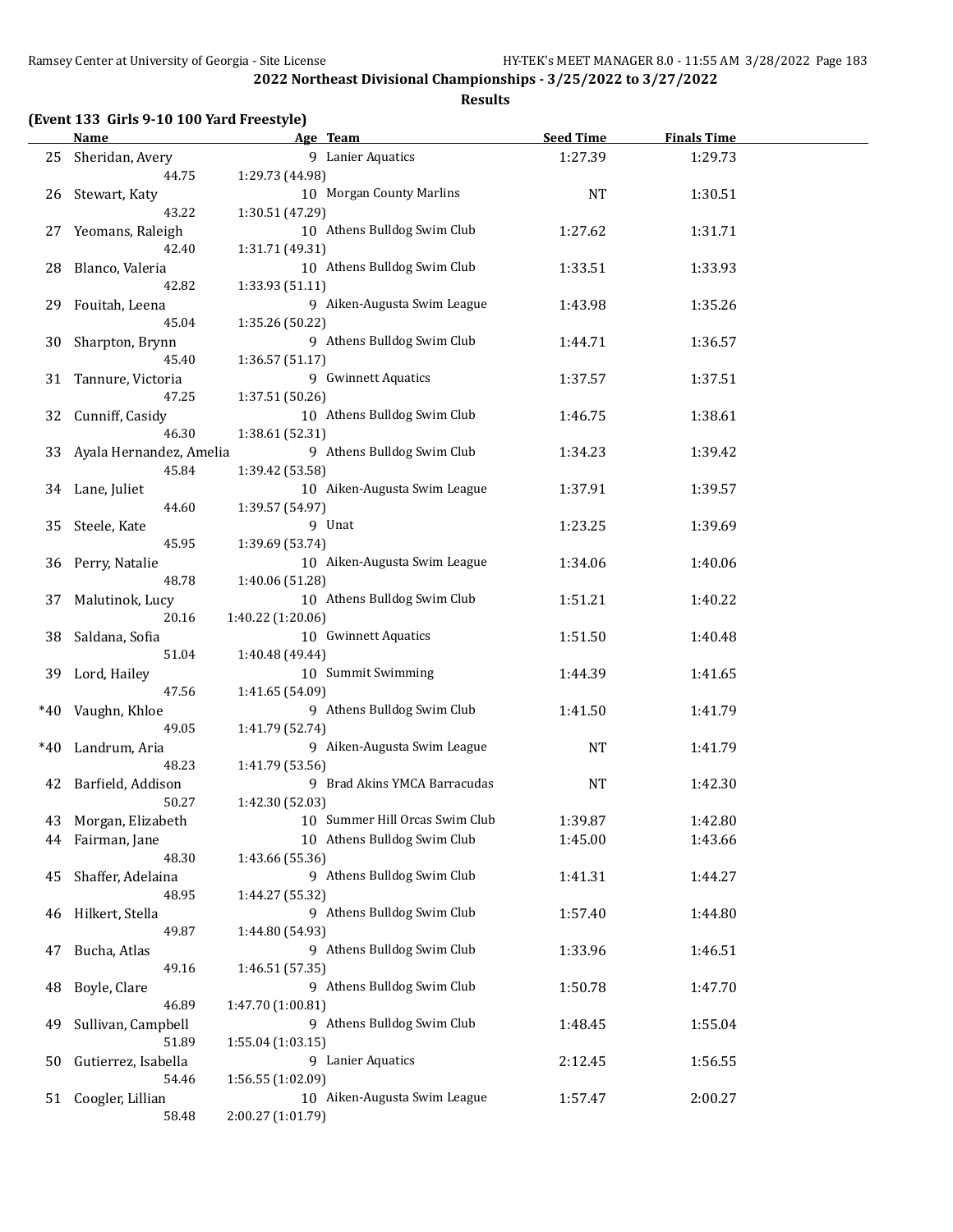|       | (Event 133 Girls 9-10 100 Yard Freestyle) |                                |                  |                    |  |  |
|-------|-------------------------------------------|--------------------------------|------------------|--------------------|--|--|
|       | <b>Name</b>                               | Age Team                       | <b>Seed Time</b> | <b>Finals Time</b> |  |  |
| 25    | Sheridan, Avery                           | 9 Lanier Aquatics              | 1:27.39          | 1:29.73            |  |  |
|       | 44.75                                     | 1:29.73 (44.98)                |                  |                    |  |  |
| 26    | Stewart, Katy                             | 10 Morgan County Marlins       | <b>NT</b>        | 1:30.51            |  |  |
|       | 43.22                                     | 1:30.51 (47.29)                |                  |                    |  |  |
| 27    | Yeomans, Raleigh                          | 10 Athens Bulldog Swim Club    | 1:27.62          | 1:31.71            |  |  |
|       | 42.40                                     | 1:31.71 (49.31)                |                  |                    |  |  |
| 28    | Blanco, Valeria                           | 10 Athens Bulldog Swim Club    | 1:33.51          | 1:33.93            |  |  |
|       | 42.82                                     | 1:33.93 (51.11)                |                  |                    |  |  |
| 29    | Fouitah, Leena                            | 9 Aiken-Augusta Swim League    | 1:43.98          | 1:35.26            |  |  |
|       | 45.04                                     | 1:35.26 (50.22)                |                  |                    |  |  |
| 30    | Sharpton, Brynn                           | 9 Athens Bulldog Swim Club     | 1:44.71          | 1:36.57            |  |  |
|       | 45.40                                     | 1:36.57 (51.17)                |                  |                    |  |  |
| 31    | Tannure, Victoria                         | 9 Gwinnett Aquatics            | 1:37.57          | 1:37.51            |  |  |
|       | 47.25                                     | 1:37.51 (50.26)                |                  |                    |  |  |
| 32    |                                           | 10 Athens Bulldog Swim Club    | 1:46.75          | 1:38.61            |  |  |
|       | Cunniff, Casidy<br>46.30                  | 1:38.61 (52.31)                |                  |                    |  |  |
|       |                                           | 9 Athens Bulldog Swim Club     |                  |                    |  |  |
| 33    | Ayala Hernandez, Amelia                   |                                | 1:34.23          | 1:39.42            |  |  |
|       | 45.84                                     | 1:39.42 (53.58)                |                  |                    |  |  |
| 34    | Lane, Juliet                              | 10 Aiken-Augusta Swim League   | 1:37.91          | 1:39.57            |  |  |
|       | 44.60                                     | 1:39.57 (54.97)                |                  |                    |  |  |
| 35    | Steele, Kate                              | 9 Unat                         | 1:23.25          | 1:39.69            |  |  |
|       | 45.95                                     | 1:39.69 (53.74)                |                  |                    |  |  |
| 36    | Perry, Natalie                            | 10 Aiken-Augusta Swim League   | 1:34.06          | 1:40.06            |  |  |
|       | 48.78                                     | 1:40.06 (51.28)                |                  |                    |  |  |
| 37    | Malutinok, Lucy                           | 10 Athens Bulldog Swim Club    | 1:51.21          | 1:40.22            |  |  |
|       | 20.16                                     | 1:40.22 (1:20.06)              |                  |                    |  |  |
| 38    | Saldana, Sofia                            | 10 Gwinnett Aquatics           | 1:51.50          | 1:40.48            |  |  |
|       | 51.04                                     | 1:40.48 (49.44)                |                  |                    |  |  |
| 39    | Lord, Hailey                              | 10 Summit Swimming             | 1:44.39          | 1:41.65            |  |  |
|       | 47.56                                     | 1:41.65 (54.09)                |                  |                    |  |  |
| $*40$ | Vaughn, Khloe                             | 9 Athens Bulldog Swim Club     | 1:41.50          | 1:41.79            |  |  |
|       | 49.05                                     | 1:41.79 (52.74)                |                  |                    |  |  |
| $*40$ | Landrum, Aria                             | 9 Aiken-Augusta Swim League    | <b>NT</b>        | 1:41.79            |  |  |
|       | 48.23                                     | 1:41.79 (53.56)                |                  |                    |  |  |
| 42    | Barfield, Addison                         | 9 Brad Akins YMCA Barracudas   | <b>NT</b>        | 1:42.30            |  |  |
|       | 50.27                                     | 1:42.30 (52.03)                |                  |                    |  |  |
| 43    | Morgan, Elizabeth                         | 10 Summer Hill Orcas Swim Club | 1:39.87          | 1:42.80            |  |  |
| 44    | Fairman, Jane                             | 10 Athens Bulldog Swim Club    | 1:45.00          | 1:43.66            |  |  |
|       | 48.30                                     | 1:43.66 (55.36)                |                  |                    |  |  |
| 45    | Shaffer, Adelaina                         | 9 Athens Bulldog Swim Club     | 1:41.31          | 1:44.27            |  |  |
|       | 48.95                                     | 1:44.27 (55.32)                |                  |                    |  |  |
| 46    | Hilkert, Stella                           | 9 Athens Bulldog Swim Club     | 1:57.40          | 1:44.80            |  |  |
|       | 49.87                                     | 1:44.80 (54.93)                |                  |                    |  |  |
| 47    | Bucha, Atlas                              | 9 Athens Bulldog Swim Club     | 1:33.96          | 1:46.51            |  |  |
|       | 49.16                                     | 1:46.51 (57.35)                |                  |                    |  |  |
| 48    | Boyle, Clare                              | 9 Athens Bulldog Swim Club     | 1:50.78          | 1:47.70            |  |  |
|       | 46.89                                     | 1:47.70 (1:00.81)              |                  |                    |  |  |
| 49    | Sullivan, Campbell                        | 9 Athens Bulldog Swim Club     | 1:48.45          | 1:55.04            |  |  |
|       | 51.89                                     | 1:55.04 (1:03.15)              |                  |                    |  |  |

50 Gutierrez, Isabella 9 Lanier Aquatics 2:12.45 1:56.55 54.46 1:56.55 (1:02.09) 51 Coogler, Lillian 10 Aiken-Augusta Swim League 1:57.47 2:00.27

58.48 2:00.27 (1:01.79)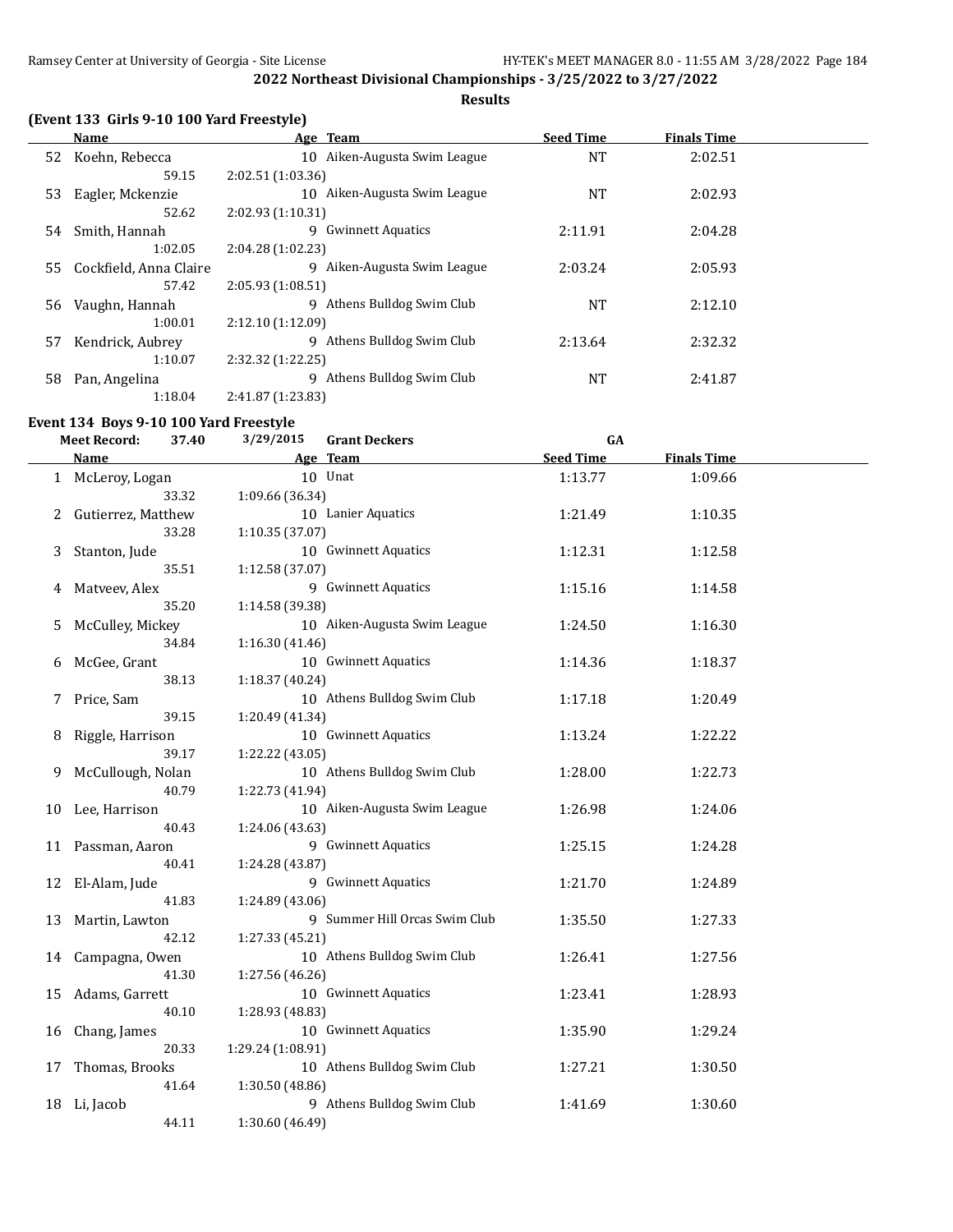# **Results**

# **(Event 133 Girls 9-10 100 Yard Freestyle)**

|     | Name                   | Age Team                      | <b>Seed Time</b> | <b>Finals Time</b> |  |
|-----|------------------------|-------------------------------|------------------|--------------------|--|
| 52  | Koehn, Rebecca         | 10 Aiken-Augusta Swim League  | NT               | 2:02.51            |  |
|     | 59.15                  | 2:02.51 (1:03.36)             |                  |                    |  |
| 53  | Eagler, Mckenzie       | 10 Aiken-Augusta Swim League  | <b>NT</b>        | 2:02.93            |  |
|     | 52.62                  | 2:02.93 (1:10.31)             |                  |                    |  |
| 54  | Smith, Hannah          | 9 Gwinnett Aquatics           | 2:11.91          | 2:04.28            |  |
|     | 1:02.05                | 2:04.28(1:02.23)              |                  |                    |  |
| 55. | Cockfield, Anna Claire | 9 Aiken-Augusta Swim League   | 2:03.24          | 2:05.93            |  |
|     | 57.42                  | 2:05.93(1:08.51)              |                  |                    |  |
| 56  | Vaughn, Hannah         | 9 Athens Bulldog Swim Club    | <b>NT</b>        | 2:12.10            |  |
|     | 1:00.01                | 2:12.10(1:12.09)              |                  |                    |  |
| 57  | Kendrick, Aubrey       | 9 Athens Bulldog Swim Club    | 2:13.64          | 2:32.32            |  |
|     | 1:10.07                | 2:32.32(1:22.25)              |                  |                    |  |
| 58  | Pan, Angelina          | Athens Bulldog Swim Club<br>q | <b>NT</b>        | 2:41.87            |  |
|     | 1:18.04                | 2:41.87 (1:23.83)             |                  |                    |  |

# **Event 134 Boys 9-10 100 Yard Freestyle**

|    | <b>Meet Record:</b> | 37.40 | 3/29/2015         | <b>Grant Deckers</b>          | GA               |                    |  |
|----|---------------------|-------|-------------------|-------------------------------|------------------|--------------------|--|
|    | <b>Name</b>         |       |                   | Age Team                      | <b>Seed Time</b> | <b>Finals Time</b> |  |
|    | 1 McLeroy, Logan    |       |                   | 10 Unat                       | 1:13.77          | 1:09.66            |  |
|    |                     | 33.32 | 1:09.66 (36.34)   |                               |                  |                    |  |
| 2  | Gutierrez, Matthew  |       |                   | 10 Lanier Aquatics            | 1:21.49          | 1:10.35            |  |
|    |                     | 33.28 | 1:10.35 (37.07)   |                               |                  |                    |  |
| 3  | Stanton, Jude       |       |                   | 10 Gwinnett Aquatics          | 1:12.31          | 1:12.58            |  |
|    |                     | 35.51 | 1:12.58 (37.07)   |                               |                  |                    |  |
| 4  | Matveev, Alex       |       |                   | 9 Gwinnett Aquatics           | 1:15.16          | 1:14.58            |  |
|    |                     | 35.20 | 1:14.58 (39.38)   |                               |                  |                    |  |
| 5. | McCulley, Mickey    |       |                   | 10 Aiken-Augusta Swim League  | 1:24.50          | 1:16.30            |  |
|    |                     | 34.84 | 1:16.30 (41.46)   |                               |                  |                    |  |
| 6  | McGee, Grant        |       |                   | 10 Gwinnett Aquatics          | 1:14.36          | 1:18.37            |  |
|    |                     | 38.13 | 1:18.37 (40.24)   |                               |                  |                    |  |
| 7  | Price, Sam          |       |                   | 10 Athens Bulldog Swim Club   | 1:17.18          | 1:20.49            |  |
|    |                     | 39.15 | 1:20.49 (41.34)   |                               |                  |                    |  |
| 8  | Riggle, Harrison    |       |                   | 10 Gwinnett Aquatics          | 1:13.24          | 1:22.22            |  |
|    |                     | 39.17 | 1:22.22 (43.05)   |                               |                  |                    |  |
| 9  | McCullough, Nolan   |       |                   | 10 Athens Bulldog Swim Club   | 1:28.00          | 1:22.73            |  |
|    |                     | 40.79 | 1:22.73 (41.94)   |                               |                  |                    |  |
| 10 | Lee, Harrison       |       |                   | 10 Aiken-Augusta Swim League  | 1:26.98          | 1:24.06            |  |
|    |                     | 40.43 | 1:24.06 (43.63)   |                               |                  |                    |  |
|    | 11 Passman, Aaron   |       |                   | 9 Gwinnett Aquatics           | 1:25.15          | 1:24.28            |  |
|    |                     | 40.41 | 1:24.28 (43.87)   |                               |                  |                    |  |
|    | 12 El-Alam, Jude    |       |                   | 9 Gwinnett Aquatics           | 1:21.70          | 1:24.89            |  |
|    |                     | 41.83 | 1:24.89 (43.06)   |                               |                  |                    |  |
| 13 | Martin, Lawton      |       |                   | 9 Summer Hill Orcas Swim Club | 1:35.50          | 1:27.33            |  |
|    |                     | 42.12 | 1:27.33 (45.21)   |                               |                  |                    |  |
| 14 | Campagna, Owen      | 41.30 |                   | 10 Athens Bulldog Swim Club   | 1:26.41          | 1:27.56            |  |
|    |                     |       | 1:27.56 (46.26)   | 10 Gwinnett Aquatics          |                  |                    |  |
| 15 | Adams, Garrett      | 40.10 | 1:28.93 (48.83)   |                               | 1:23.41          | 1:28.93            |  |
| 16 |                     |       |                   | 10 Gwinnett Aquatics          | 1:35.90          | 1:29.24            |  |
|    | Chang, James        | 20.33 | 1:29.24 (1:08.91) |                               |                  |                    |  |
| 17 | Thomas, Brooks      |       |                   | 10 Athens Bulldog Swim Club   | 1:27.21          | 1:30.50            |  |
|    |                     | 41.64 | 1:30.50 (48.86)   |                               |                  |                    |  |
| 18 | Li, Jacob           |       |                   | 9 Athens Bulldog Swim Club    | 1:41.69          | 1:30.60            |  |
|    |                     | 44.11 | 1:30.60 (46.49)   |                               |                  |                    |  |
|    |                     |       |                   |                               |                  |                    |  |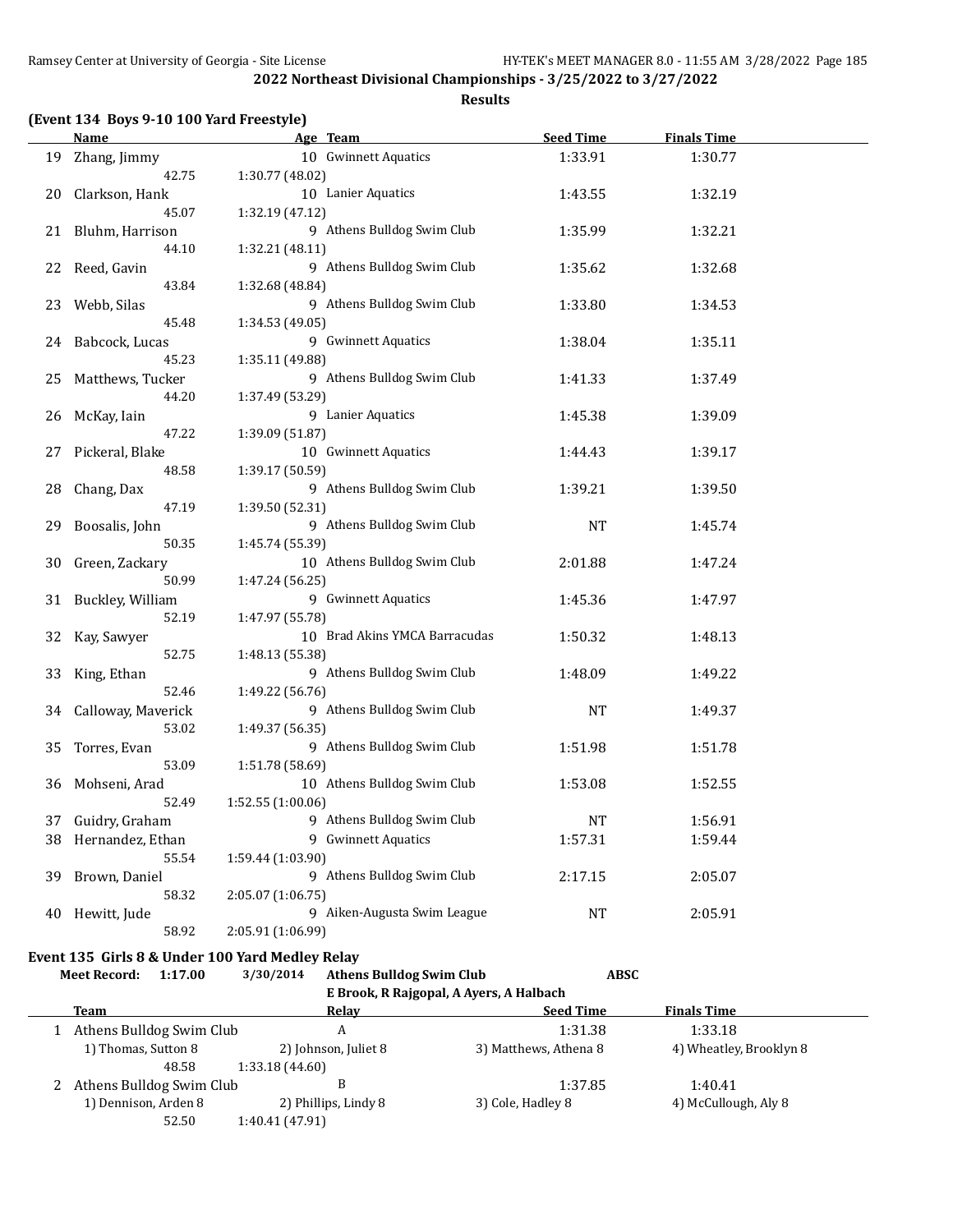# **Results**

|    | Name                                                                              | Age Team                                                         |                                         | <b>Seed Time</b>      | <b>Finals Time</b>      |  |
|----|-----------------------------------------------------------------------------------|------------------------------------------------------------------|-----------------------------------------|-----------------------|-------------------------|--|
| 19 | Zhang, Jimmy                                                                      | 10 Gwinnett Aquatics                                             |                                         | 1:33.91               | 1:30.77                 |  |
| 20 | 42.75<br>Clarkson, Hank                                                           | 1:30.77 (48.02)<br>10 Lanier Aquatics                            |                                         | 1:43.55               | 1:32.19                 |  |
| 21 | 45.07<br>Bluhm, Harrison                                                          | 1:32.19 (47.12)<br>9 Athens Bulldog Swim Club                    |                                         | 1:35.99               | 1:32.21                 |  |
| 22 | 44.10<br>Reed, Gavin                                                              | 1:32.21 (48.11)<br>9 Athens Bulldog Swim Club                    |                                         | 1:35.62               | 1:32.68                 |  |
| 23 | 43.84<br>Webb, Silas                                                              | 1:32.68 (48.84)<br>9 Athens Bulldog Swim Club                    |                                         | 1:33.80               | 1:34.53                 |  |
|    | 45.48                                                                             | 1:34.53 (49.05)                                                  |                                         |                       |                         |  |
| 24 | Babcock, Lucas<br>45.23                                                           | 9 Gwinnett Aquatics<br>1:35.11 (49.88)                           |                                         | 1:38.04               | 1:35.11                 |  |
| 25 | Matthews, Tucker<br>44.20                                                         | 9 Athens Bulldog Swim Club<br>1:37.49 (53.29)                    |                                         | 1:41.33               | 1:37.49                 |  |
| 26 | McKay, Iain<br>47.22                                                              | 9 Lanier Aquatics<br>1:39.09 (51.87)                             |                                         | 1:45.38               | 1:39.09                 |  |
| 27 | Pickeral, Blake                                                                   | 10 Gwinnett Aquatics                                             |                                         | 1:44.43               | 1:39.17                 |  |
| 28 | 48.58<br>Chang, Dax                                                               | 1:39.17 (50.59)<br>9 Athens Bulldog Swim Club                    |                                         | 1:39.21               | 1:39.50                 |  |
| 29 | 47.19<br>Boosalis, John                                                           | 1:39.50 (52.31)<br>9 Athens Bulldog Swim Club                    |                                         | NT                    | 1:45.74                 |  |
| 30 | 50.35<br>Green, Zackary                                                           | 1:45.74 (55.39)<br>10 Athens Bulldog Swim Club                   |                                         | 2:01.88               | 1:47.24                 |  |
| 31 | 50.99<br>Buckley, William                                                         | 1:47.24 (56.25)<br>9 Gwinnett Aquatics                           |                                         | 1:45.36               | 1:47.97                 |  |
| 32 | 52.19<br>Kay, Sawyer                                                              | 1:47.97 (55.78)<br>10 Brad Akins YMCA Barracudas                 |                                         | 1:50.32               | 1:48.13                 |  |
| 33 | 52.75<br>King, Ethan                                                              | 1:48.13 (55.38)<br>9 Athens Bulldog Swim Club                    |                                         | 1:48.09               | 1:49.22                 |  |
| 34 | 52.46<br>Calloway, Maverick<br>53.02                                              | 1:49.22 (56.76)<br>9 Athens Bulldog Swim Club<br>1:49.37 (56.35) |                                         | <b>NT</b>             | 1:49.37                 |  |
| 35 | Torres, Evan<br>53.09                                                             | 9 Athens Bulldog Swim Club<br>1:51.78 (58.69)                    |                                         | 1:51.98               | 1:51.78                 |  |
| 36 | Mohseni, Arad<br>52.49                                                            | 10 Athens Bulldog Swim Club<br>1:52.55 (1:00.06)                 |                                         | 1:53.08               | 1:52.55                 |  |
|    | 37 Guidry, Graham                                                                 | 9 Athens Bulldog Swim Club                                       |                                         | <b>NT</b>             | 1:56.91                 |  |
|    | 38 Hernandez, Ethan                                                               | 9 Gwinnett Aquatics                                              |                                         | 1:57.31               | 1:59.44                 |  |
|    | 55.54                                                                             | 1:59.44 (1:03.90)                                                |                                         |                       |                         |  |
| 39 | Brown, Daniel                                                                     | 9 Athens Bulldog Swim Club                                       |                                         | 2:17.15               | 2:05.07                 |  |
|    | 58.32                                                                             | 2:05.07 (1:06.75)                                                |                                         |                       |                         |  |
| 40 | Hewitt, Jude<br>58.92                                                             | 9 Aiken-Augusta Swim League<br>2:05.91 (1:06.99)                 |                                         | <b>NT</b>             | 2:05.91                 |  |
|    |                                                                                   |                                                                  |                                         |                       |                         |  |
|    | Event 135 Girls 8 & Under 100 Yard Medley Relay<br><b>Meet Record:</b><br>1:17.00 | 3/30/2014<br><b>Athens Bulldog Swim Club</b>                     |                                         | <b>ABSC</b>           |                         |  |
|    |                                                                                   |                                                                  | E Brook, R Rajgopal, A Ayers, A Halbach |                       |                         |  |
|    | <b>Team</b>                                                                       | <u>Relav</u>                                                     |                                         | <b>Seed Time</b>      | <b>Finals Time</b>      |  |
|    | 1 Athens Bulldog Swim Club                                                        | A                                                                |                                         | 1:31.38               | 1:33.18                 |  |
|    | 1) Thomas, Sutton 8                                                               | 2) Johnson, Juliet 8                                             |                                         | 3) Matthews, Athena 8 | 4) Wheatley, Brooklyn 8 |  |
|    | 48.58                                                                             | 1:33.18 (44.60)                                                  |                                         |                       |                         |  |
| 2  | Athens Bulldog Swim Club                                                          | B                                                                |                                         | 1:37.85               | 1:40.41                 |  |
|    | 1) Dennison, Arden 8                                                              | 2) Phillips, Lindy 8                                             | 3) Cole, Hadley 8                       |                       | 4) McCullough, Aly 8    |  |
|    | 52.50                                                                             | 1:40.41 (47.91)                                                  |                                         |                       |                         |  |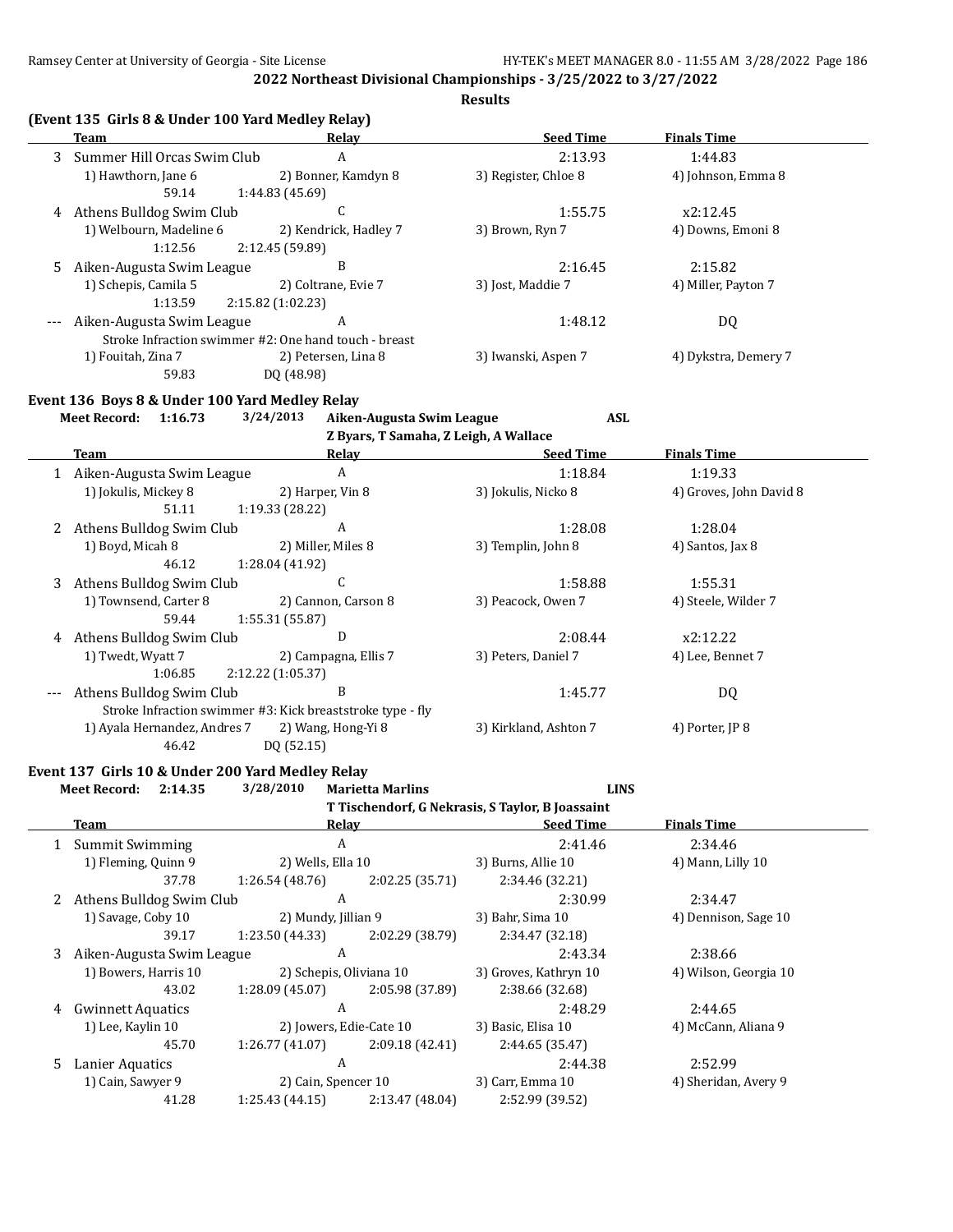**Results**

|    | (Event 135 Girls 8 & Under 100 Yard Medley Relay)<br>Team | Relay                                                                                          | <b>Seed Time</b>                                 | <b>Finals Time</b>              |
|----|-----------------------------------------------------------|------------------------------------------------------------------------------------------------|--------------------------------------------------|---------------------------------|
| 3  | Summer Hill Orcas Swim Club                               | A                                                                                              | 2:13.93                                          | 1:44.83                         |
|    | 1) Hawthorn, Jane 6<br>59.14                              | 2) Bonner, Kamdyn 8<br>1:44.83 (45.69)                                                         | 3) Register, Chloe 8                             | 4) Johnson, Emma 8              |
|    | 4 Athens Bulldog Swim Club                                | C                                                                                              | 1:55.75                                          | x2:12.45                        |
|    | 1) Welbourn, Madeline 6<br>1:12.56                        | 2) Kendrick, Hadley 7<br>2:12.45 (59.89)                                                       | 3) Brown, Ryn 7                                  | 4) Downs, Emoni 8               |
| 5. | Aiken-Augusta Swim League                                 | B                                                                                              | 2:16.45                                          | 2:15.82                         |
|    | 1) Schepis, Camila 5<br>1:13.59                           | 2) Coltrane, Evie 7<br>2:15.82 (1:02.23)                                                       | 3) Jost, Maddie 7                                | 4) Miller, Payton 7             |
|    | Aiken-Augusta Swim League                                 | A                                                                                              | 1:48.12                                          | DQ                              |
|    | 1) Fouitah, Zina 7<br>59.83                               | Stroke Infraction swimmer #2: One hand touch - breast<br>2) Petersen, Lina 8<br>DQ (48.98)     | 3) Iwanski, Aspen 7                              | 4) Dykstra, Demery 7            |
|    | Event 136 Boys 8 & Under 100 Yard Medley Relay            |                                                                                                |                                                  |                                 |
|    | Meet Record: 1:16.73                                      | 3/24/2013<br>Aiken-Augusta Swim League<br>Z Byars, T Samaha, Z Leigh, A Wallace                | <b>ASL</b>                                       |                                 |
|    | Team                                                      | Relay                                                                                          | <b>Seed Time</b>                                 | <b>Finals Time</b>              |
|    | 1 Aiken-Augusta Swim League                               | $\boldsymbol{A}$                                                                               | 1:18.84                                          | 1:19.33                         |
|    | 1) Jokulis, Mickey 8<br>51.11                             | 2) Harper, Vin 8<br>1:19.33 (28.22)                                                            | 3) Jokulis, Nicko 8                              | 4) Groves, John David 8         |
| 2  | Athens Bulldog Swim Club                                  | A                                                                                              | 1:28.08                                          | 1:28.04                         |
|    | 1) Boyd, Micah 8<br>46.12                                 | 2) Miller, Miles 8<br>1:28.04 (41.92)                                                          | 3) Templin, John 8                               | 4) Santos, Jax 8                |
| 3  | Athens Bulldog Swim Club                                  | C                                                                                              | 1:58.88                                          | 1:55.31                         |
|    | 1) Townsend, Carter 8<br>59.44                            | 2) Cannon, Carson 8<br>1:55.31 (55.87)                                                         | 3) Peacock, Owen 7                               | 4) Steele, Wilder 7             |
| 4  | Athens Bulldog Swim Club                                  | D                                                                                              | 2:08.44                                          | x2:12.22                        |
|    | 1) Twedt, Wyatt 7<br>1:06.85                              | 2) Campagna, Ellis 7<br>2:12.22 (1:05.37)                                                      | 3) Peters, Daniel 7                              | 4) Lee, Bennet 7                |
|    | Athens Bulldog Swim Club                                  | B                                                                                              | 1:45.77                                          | DQ                              |
|    | 1) Ayala Hernandez, Andres 7<br>46.42                     | Stroke Infraction swimmer #3: Kick breaststroke type - fly<br>2) Wang, Hong-Yi 8<br>DQ (52.15) | 3) Kirkland, Ashton 7                            | 4) Porter, JP 8                 |
|    |                                                           |                                                                                                |                                                  |                                 |
|    | Event 137 Girls 10 & Under 200 Yard Medley Relay          |                                                                                                |                                                  |                                 |
|    | 2:14.35<br><b>Meet Record:</b>                            | 3/28/2010<br><b>Marietta Marlins</b>                                                           | <b>LINS</b>                                      |                                 |
|    |                                                           |                                                                                                | T Tischendorf, G Nekrasis, S Taylor, B Joassaint |                                 |
|    | Team                                                      | <b>Relay</b>                                                                                   | <b>Seed Time</b>                                 | <b>Finals Time</b>              |
|    | 1 Summit Swimming                                         | $\boldsymbol{A}$                                                                               | 2:41.46                                          | 2:34.46<br>4) Mann, Lilly 10    |
|    | 1) Fleming, Quinn 9<br>37.78                              | 2) Wells, Ella 10<br>1:26.54(48.76)<br>2:02.25 (35.71)                                         | 3) Burns, Allie 10<br>2:34.46 (32.21)            |                                 |
|    | 2 Athens Bulldog Swim Club                                | $\boldsymbol{A}$                                                                               | 2:30.99                                          | 2:34.47                         |
|    | 1) Savage, Coby 10                                        | 2) Mundy, Jillian 9                                                                            | 3) Bahr, Sima 10                                 | 4) Dennison, Sage 10            |
|    | 39.17                                                     | 1:23.50 (44.33)<br>2:02.29 (38.79)                                                             | 2:34.47 (32.18)                                  |                                 |
|    | 3 Aiken-Augusta Swim League                               | $\boldsymbol{A}$                                                                               | 2:43.34                                          | 2:38.66                         |
|    | 1) Bowers, Harris 10<br>43.02                             | 2) Schepis, Oliviana 10<br>1:28.09 (45.07)<br>2:05.98 (37.89)                                  | 3) Groves, Kathryn 10<br>2:38.66 (32.68)         | 4) Wilson, Georgia 10           |
|    | 4 Gwinnett Aquatics                                       | $\boldsymbol{A}$                                                                               | 2:48.29                                          | 2:44.65                         |
|    | 1) Lee, Kaylin 10                                         | 2) Jowers, Edie-Cate 10                                                                        | 3) Basic, Elisa 10                               | 4) McCann, Aliana 9             |
|    | 45.70                                                     | 1:26.77 (41.07)<br>2:09.18 (42.41)                                                             | 2:44.65 (35.47)                                  |                                 |
| 5. | Lanier Aquatics<br>1) Cain, Sawyer 9                      | A<br>2) Cain, Spencer 10                                                                       | 2:44.38<br>3) Carr, Emma 10                      | 2:52.99<br>4) Sheridan, Avery 9 |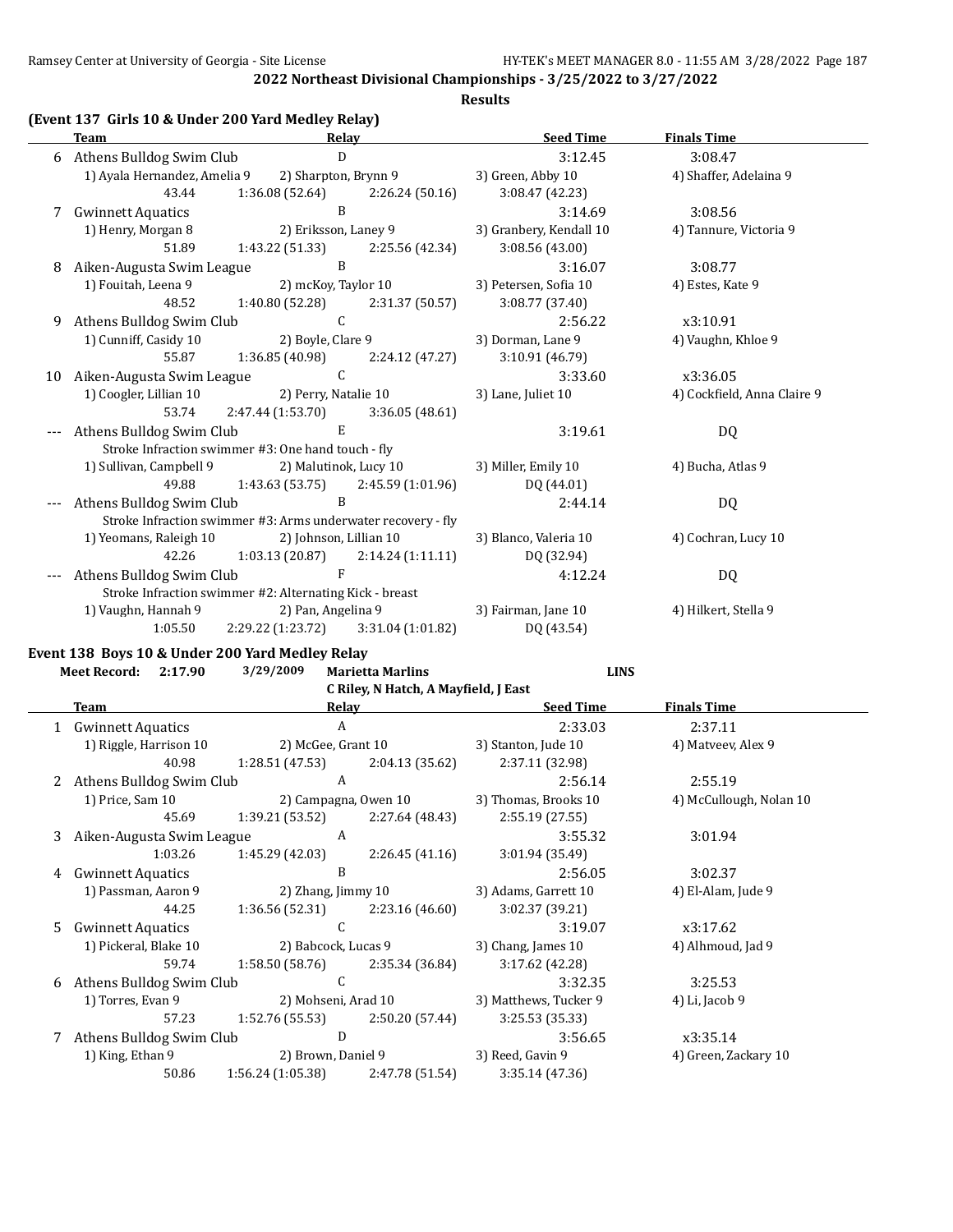#### **Results**

|  |  | (Event 137 Girls 10 & Under 200 Yard Medley Relay) |  |  |  |
|--|--|----------------------------------------------------|--|--|--|
|--|--|----------------------------------------------------|--|--|--|

|    | <b>Team</b>                  | Relay                                                        |                                     | <b>Seed Time</b>        | <b>Finals Time</b>          |
|----|------------------------------|--------------------------------------------------------------|-------------------------------------|-------------------------|-----------------------------|
|    | 6 Athens Bulldog Swim Club   | D                                                            |                                     | 3:12.45                 | 3:08.47                     |
|    | 1) Ayala Hernandez, Amelia 9 |                                                              | 2) Sharpton, Brynn 9                | 3) Green, Abby 10       | 4) Shaffer, Adelaina 9      |
|    | 43.44                        | 1:36.08 (52.64)                                              | 2:26.24(50.16)                      | 3:08.47 (42.23)         |                             |
| 7  | <b>Gwinnett Aquatics</b>     | B                                                            |                                     | 3:14.69                 | 3:08.56                     |
|    | 1) Henry, Morgan 8           | 2) Eriksson, Laney 9                                         |                                     | 3) Granbery, Kendall 10 | 4) Tannure, Victoria 9      |
|    | 51.89                        | 1:43.22 (51.33)                                              | 2:25.56 (42.34)                     | 3:08.56(43.00)          |                             |
| 8  | Aiken-Augusta Swim League    | B                                                            |                                     | 3:16.07                 | 3:08.77                     |
|    | 1) Fouitah, Leena 9          | 2) mcKoy, Taylor 10                                          |                                     | 3) Petersen, Sofia 10   | 4) Estes, Kate 9            |
|    | 48.52                        | 1:40.80 (52.28)                                              | 2:31.37 (50.57)                     | 3:08.77 (37.40)         |                             |
| 9  | Athens Bulldog Swim Club     | $\mathcal{C}$                                                |                                     | 2:56.22                 | x3:10.91                    |
|    | 1) Cunniff, Casidy 10        | 2) Boyle, Clare 9                                            |                                     | 3) Dorman, Lane 9       | 4) Vaughn, Khloe 9          |
|    | 55.87                        | 1:36.85 (40.98)                                              | 2:24.12 (47.27)                     | 3:10.91 (46.79)         |                             |
| 10 | Aiken-Augusta Swim League    | $\mathcal{C}$                                                |                                     | 3:33.60                 | x3:36.05                    |
|    | 1) Coogler, Lillian 10       | 2) Perry, Natalie 10                                         |                                     | 3) Lane, Juliet 10      | 4) Cockfield, Anna Claire 9 |
|    | 53.74                        | 2:47.44 (1:53.70)                                            | 3:36.05(48.61)                      |                         |                             |
|    | Athens Bulldog Swim Club     | E.                                                           |                                     | 3:19.61                 | DQ                          |
|    |                              | Stroke Infraction swimmer #3: One hand touch - fly           |                                     |                         |                             |
|    | 1) Sullivan, Campbell 9      | 2) Malutinok, Lucy 10                                        |                                     | 3) Miller, Emily 10     | 4) Bucha, Atlas 9           |
|    | 49.88                        | $1:43.63(53.75)$ $2:45.59(1:01.96)$                          |                                     | DQ (44.01)              |                             |
|    | Athens Bulldog Swim Club     | <sub>R</sub>                                                 |                                     | 2:44.14                 | DQ                          |
|    |                              | Stroke Infraction swimmer #3: Arms underwater recovery - fly |                                     |                         |                             |
|    | 1) Yeomans, Raleigh 10       | 2) Johnson, Lillian 10                                       |                                     | 3) Blanco, Valeria 10   | 4) Cochran, Lucy 10         |
|    | 42.26                        |                                                              | $1:03.13(20.87)$ $2:14.24(1:11.11)$ | DQ (32.94)              |                             |
|    | Athens Bulldog Swim Club     | $\mathbf{F}$                                                 |                                     | 4:12.24                 | DQ                          |
|    |                              | Stroke Infraction swimmer #2: Alternating Kick - breast      |                                     |                         |                             |
|    | 1) Vaughn, Hannah 9          | 2) Pan, Angelina 9                                           |                                     | 3) Fairman, Jane 10     | 4) Hilkert, Stella 9        |
|    | 1:05.50                      | 2:29.22 (1:23.72) 3:31.04 (1:01.82)                          |                                     | DQ (43.54)              |                             |
|    |                              |                                                              |                                     |                         |                             |

#### **Event 138 Boys 10 & Under 200 Yard Medley Relay**

**Meet Record: 2:17.90 3/29/2009 Marietta Marlins LINS**

|    |                           |                      | C Riley, N Hatch, A Mayfield, J East |                       |                         |
|----|---------------------------|----------------------|--------------------------------------|-----------------------|-------------------------|
|    | Team                      | Relay                |                                      | <b>Seed Time</b>      | <b>Finals Time</b>      |
| 1  | <b>Gwinnett Aquatics</b>  | A                    |                                      | 2:33.03               | 2:37.11                 |
|    | 1) Riggle, Harrison 10    | 2) McGee, Grant 10   |                                      | 3) Stanton, Jude 10   | 4) Matyeev, Alex 9      |
|    | 40.98                     | 1:28.51 (47.53)      | 2:04.13 (35.62)                      | 2:37.11 (32.98)       |                         |
|    | Athens Bulldog Swim Club  | $\mathbf{A}$         |                                      | 2:56.14               | 2:55.19                 |
|    | 1) Price, Sam 10          | 2) Campagna, Owen 10 |                                      | 3) Thomas, Brooks 10  | 4) McCullough, Nolan 10 |
|    | 45.69                     | 1:39.21 (53.52)      | 2:27.64 (48.43)                      | 2:55.19(27.55)        |                         |
| 3  | Aiken-Augusta Swim League | A                    |                                      | 3:55.32               | 3:01.94                 |
|    | 1:03.26                   | 1:45.29 (42.03)      | 2:26.45(41.16)                       | 3:01.94(35.49)        |                         |
| 4  | <b>Gwinnett Aquatics</b>  | B                    |                                      | 2:56.05               | 3:02.37                 |
|    | 1) Passman, Aaron 9       | 2) Zhang, Jimmy 10   |                                      | 3) Adams, Garrett 10  | 4) El-Alam, Jude 9      |
|    | 44.25                     | 1:36.56 (52.31)      | 2:23.16 (46.60)                      | 3:02.37(39.21)        |                         |
| 5. | <b>Gwinnett Aquatics</b>  | C                    |                                      | 3:19.07               | x3:17.62                |
|    | 1) Pickeral, Blake 10     | 2) Babcock, Lucas 9  |                                      | 3) Chang, James 10    | 4) Alhmoud, Jad 9       |
|    | 59.74                     | 1:58.50 (58.76)      | 2:35.34 (36.84)                      | 3:17.62 (42.28)       |                         |
| 6  | Athens Bulldog Swim Club  | C                    |                                      | 3:32.35               | 3:25.53                 |
|    | 1) Torres, Evan 9         | 2) Mohseni, Arad 10  |                                      | 3) Matthews, Tucker 9 | 4) Li, Jacob 9          |
|    | 57.23                     | 1:52.76 (55.53)      | 2:50.20 (57.44)                      | 3:25.53 (35.33)       |                         |
|    | Athens Bulldog Swim Club  | D                    |                                      | 3:56.65               | x3:35.14                |
|    | 1) King, Ethan 9          | 2) Brown, Daniel 9   |                                      | 3) Reed, Gavin 9      | 4) Green, Zackary 10    |
|    | 50.86                     | 1:56.24(1:05.38)     | 2:47.78 (51.54)                      | 3:35.14(47.36)        |                         |